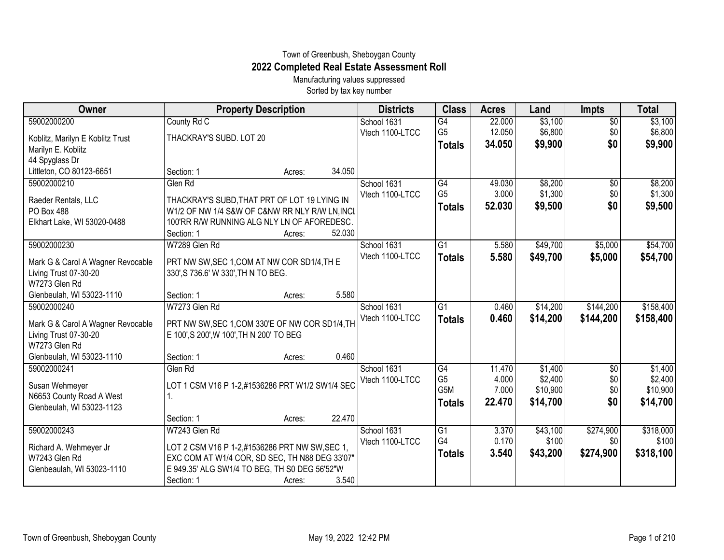## Town of Greenbush, Sheboygan County **2022 Completed Real Estate Assessment Roll**

Manufacturing values suppressed Sorted by tax key number

| Owner                             | <b>Property Description</b>                     | <b>Districts</b> | <b>Class</b>     | <b>Acres</b> | Land     | <b>Impts</b>    | <b>Total</b> |
|-----------------------------------|-------------------------------------------------|------------------|------------------|--------------|----------|-----------------|--------------|
| 59002000200                       | County Rd C                                     | School 1631      | $\overline{G4}$  | 22.000       | \$3,100  | $\overline{50}$ | \$3,100      |
| Koblitz, Marilyn E Koblitz Trust  | THACKRAY'S SUBD. LOT 20                         | Vtech 1100-LTCC  | G <sub>5</sub>   | 12.050       | \$6,800  | \$0             | \$6,800      |
| Marilyn E. Koblitz                |                                                 |                  | <b>Totals</b>    | 34.050       | \$9,900  | \$0             | \$9,900      |
| 44 Spyglass Dr                    |                                                 |                  |                  |              |          |                 |              |
| Littleton, CO 80123-6651          | 34.050<br>Section: 1<br>Acres:                  |                  |                  |              |          |                 |              |
| 59002000210                       | Glen Rd                                         | School 1631      | G4               | 49.030       | \$8,200  | $\sqrt{$0}$     | \$8,200      |
| Raeder Rentals, LLC               | THACKRAY'S SUBD, THAT PRT OF LOT 19 LYING IN    | Vtech 1100-LTCC  | G <sub>5</sub>   | 3.000        | \$1,300  | \$0             | \$1,300      |
| PO Box 488                        | W1/2 OF NW 1/4 S&W OF C&NW RR NLY R/W LN, INCL  |                  | <b>Totals</b>    | 52.030       | \$9,500  | \$0             | \$9,500      |
| Elkhart Lake, WI 53020-0488       | 100'RR R/W RUNNING ALG NLY LN OF AFOREDESC.     |                  |                  |              |          |                 |              |
|                                   | 52.030<br>Section: 1<br>Acres:                  |                  |                  |              |          |                 |              |
| 59002000230                       | W7289 Glen Rd                                   | School 1631      | G1               | 5.580        | \$49,700 | \$5,000         | \$54,700     |
| Mark G & Carol A Wagner Revocable | PRT NW SW, SEC 1, COM AT NW COR SD1/4, TH E     | Vtech 1100-LTCC  | <b>Totals</b>    | 5.580        | \$49,700 | \$5,000         | \$54,700     |
| Living Trust 07-30-20             | 330', S 736.6' W 330', TH N TO BEG.             |                  |                  |              |          |                 |              |
| W7273 Glen Rd                     |                                                 |                  |                  |              |          |                 |              |
| Glenbeulah, WI 53023-1110         | 5.580<br>Section: 1<br>Acres:                   |                  |                  |              |          |                 |              |
| 59002000240                       | W7273 Glen Rd                                   | School 1631      | G1               | 0.460        | \$14,200 | \$144,200       | \$158,400    |
| Mark G & Carol A Wagner Revocable | PRT NW SW, SEC 1, COM 330'E OF NW COR SD1/4, TH | Vtech 1100-LTCC  | <b>Totals</b>    | 0.460        | \$14,200 | \$144,200       | \$158,400    |
| Living Trust 07-30-20             | E 100', S 200', W 100', TH N 200' TO BEG        |                  |                  |              |          |                 |              |
| W7273 Glen Rd                     |                                                 |                  |                  |              |          |                 |              |
| Glenbeulah, WI 53023-1110         | 0.460<br>Section: 1<br>Acres:                   |                  |                  |              |          |                 |              |
| 59002000241                       | Glen Rd                                         | School 1631      | G4               | 11.470       | \$1,400  | \$0             | \$1,400      |
| Susan Wehmeyer                    | LOT 1 CSM V16 P 1-2,#1536286 PRT W1/2 SW1/4 SEC | Vtech 1100-LTCC  | G <sub>5</sub>   | 4.000        | \$2,400  | \$0             | \$2,400      |
| N6653 County Road A West          |                                                 |                  | G <sub>5</sub> M | 7.000        | \$10,900 | \$0             | \$10,900     |
| Glenbeulah, WI 53023-1123         |                                                 |                  | <b>Totals</b>    | 22,470       | \$14,700 | \$0             | \$14,700     |
|                                   | 22.470<br>Section: 1<br>Acres:                  |                  |                  |              |          |                 |              |
| 59002000243                       | W7243 Glen Rd                                   | School 1631      | $\overline{G1}$  | 3.370        | \$43,100 | \$274,900       | \$318,000    |
| Richard A. Wehmeyer Jr            | LOT 2 CSM V16 P 1-2,#1536286 PRT NW SW, SEC 1,  | Vtech 1100-LTCC  | G <sub>4</sub>   | 0.170        | \$100    | \$0             | \$100        |
| W7243 Glen Rd                     | EXC COM AT W1/4 COR, SD SEC, TH N88 DEG 33'07"  |                  | <b>Totals</b>    | 3.540        | \$43,200 | \$274,900       | \$318,100    |
| Glenbeaulah, WI 53023-1110        | E 949.35' ALG SW1/4 TO BEG, TH S0 DEG 56'52"W   |                  |                  |              |          |                 |              |
|                                   | Section: 1<br>3.540<br>Acres:                   |                  |                  |              |          |                 |              |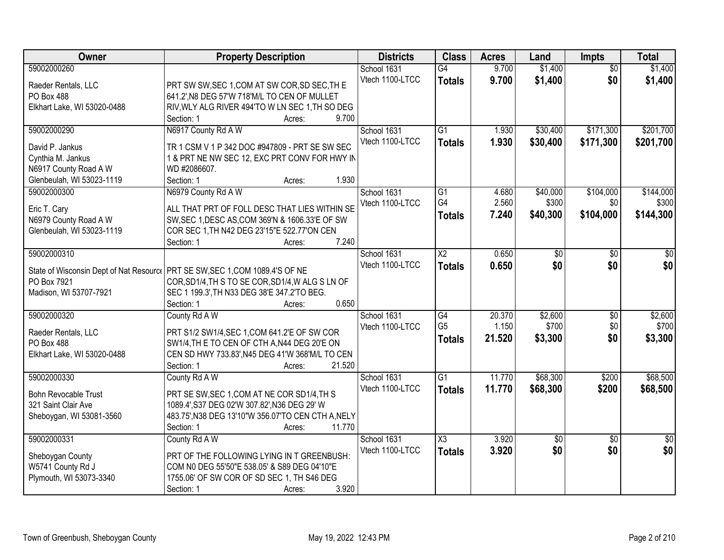| Owner                                              | <b>Property Description</b>                                   | <b>Districts</b> | <b>Class</b>           | <b>Acres</b> | Land     | <b>Impts</b>    | <b>Total</b>    |
|----------------------------------------------------|---------------------------------------------------------------|------------------|------------------------|--------------|----------|-----------------|-----------------|
| 59002000260                                        |                                                               | School 1631      | G4                     | 9.700        | \$1,400  | $\overline{50}$ | \$1,400         |
| Raeder Rentals, LLC                                | PRT SW SW, SEC 1, COM AT SW COR, SD SEC, TH E                 | Vtech 1100-LTCC  | <b>Totals</b>          | 9.700        | \$1,400  | \$0             | \$1,400         |
| PO Box 488                                         | 641.2', N8 DEG 57'W 718'M/L TO CEN OF MULLET                  |                  |                        |              |          |                 |                 |
| Elkhart Lake, WI 53020-0488                        | RIV, WLY ALG RIVER 494'TO W LN SEC 1, TH SO DEG               |                  |                        |              |          |                 |                 |
|                                                    | 9.700<br>Section: 1<br>Acres:                                 |                  |                        |              |          |                 |                 |
| 59002000290                                        | N6917 County Rd A W                                           | School 1631      | $\overline{G1}$        | 1.930        | \$30,400 | \$171,300       | \$201,700       |
|                                                    |                                                               | Vtech 1100-LTCC  | <b>Totals</b>          | 1.930        | \$30,400 | \$171,300       | \$201,700       |
| David P. Jankus                                    | TR 1 CSM V 1 P 342 DOC #947809 - PRT SE SW SEC                |                  |                        |              |          |                 |                 |
| Cynthia M. Jankus                                  | 1 & PRT NE NW SEC 12, EXC PRT CONV FOR HWY IN<br>WD #2086607. |                  |                        |              |          |                 |                 |
| N6917 County Road A W<br>Glenbeulah, WI 53023-1119 | 1.930<br>Section: 1<br>Acres:                                 |                  |                        |              |          |                 |                 |
| 59002000300                                        | N6979 County Rd A W                                           | School 1631      | $\overline{G1}$        | 4.680        | \$40,000 | \$104,000       | \$144,000       |
|                                                    |                                                               | Vtech 1100-LTCC  | G4                     | 2.560        | \$300    | \$0             | \$300           |
| Eric T. Cary                                       | ALL THAT PRT OF FOLL DESC THAT LIES WITHIN SE                 |                  |                        | 7.240        |          |                 |                 |
| N6979 County Road A W                              | SW, SEC 1, DESC AS, COM 369'N & 1606.33'E OF SW               |                  | <b>Totals</b>          |              | \$40,300 | \$104,000       | \$144,300       |
| Glenbeulah, WI 53023-1119                          | COR SEC 1, TH N42 DEG 23'15"E 522.77'ON CEN                   |                  |                        |              |          |                 |                 |
|                                                    | 7.240<br>Section: 1<br>Acres:                                 |                  |                        |              |          |                 |                 |
| 59002000310                                        |                                                               | School 1631      | $\overline{\text{X2}}$ | 0.650        | \$0      | \$0             | \$0             |
| State of Wisconsin Dept of Nat Resource            | PRT SE SW, SEC 1, COM 1089.4'S OF NE                          | Vtech 1100-LTCC  | <b>Totals</b>          | 0.650        | \$0      | \$0             | \$0             |
| PO Box 7921                                        | COR, SD1/4, TH S TO SE COR, SD1/4, W ALG S LN OF              |                  |                        |              |          |                 |                 |
| Madison, WI 53707-7921                             | SEC 1 199.3', TH N33 DEG 38'E 347.2'TO BEG.                   |                  |                        |              |          |                 |                 |
|                                                    | 0.650<br>Section: 1<br>Acres:                                 |                  |                        |              |          |                 |                 |
| 59002000320                                        | County Rd A W                                                 | School 1631      | $\overline{G4}$        | 20.370       | \$2,600  | $\overline{50}$ | \$2,600         |
|                                                    |                                                               | Vtech 1100-LTCC  | G <sub>5</sub>         | 1.150        | \$700    | \$0             | \$700           |
| Raeder Rentals, LLC                                | PRT S1/2 SW1/4, SEC 1, COM 641.2'E OF SW COR                  |                  | <b>Totals</b>          | 21.520       | \$3,300  | \$0             | \$3,300         |
| PO Box 488                                         | SW1/4, TH E TO CEN OF CTH A, N44 DEG 20'E ON                  |                  |                        |              |          |                 |                 |
| Elkhart Lake, WI 53020-0488                        | CEN SD HWY 733.83', N45 DEG 41'W 368'M/L TO CEN               |                  |                        |              |          |                 |                 |
|                                                    | 21.520<br>Section: 1<br>Acres:                                |                  |                        |              |          |                 |                 |
| 59002000330                                        | County Rd A W                                                 | School 1631      | G1                     | 11.770       | \$68,300 | \$200           | \$68,500        |
| <b>Bohn Revocable Trust</b>                        | PRT SE SW, SEC 1, COM AT NE COR SD1/4, TH S                   | Vtech 1100-LTCC  | <b>Totals</b>          | 11.770       | \$68,300 | \$200           | \$68,500        |
| 321 Saint Clair Ave                                | 1089.4', S37 DEG 02'W 307.82', N36 DEG 29' W                  |                  |                        |              |          |                 |                 |
| Sheboygan, WI 53081-3560                           | 483.75', N38 DEG 13'10"W 356.07'TO CEN CTH A, NELY            |                  |                        |              |          |                 |                 |
|                                                    | 11.770<br>Section: 1<br>Acres:                                |                  |                        |              |          |                 |                 |
| 59002000331                                        | County Rd A W                                                 | School 1631      | X3                     | 3.920        | \$0      | $\overline{50}$ | $\overline{50}$ |
|                                                    |                                                               | Vtech 1100-LTCC  | <b>Totals</b>          | 3.920        | \$0      | \$0             | \$0             |
| Sheboygan County                                   | PRT OF THE FOLLOWING LYING IN T GREENBUSH:                    |                  |                        |              |          |                 |                 |
| W5741 County Rd J                                  | COM N0 DEG 55'50"E 538.05' & S89 DEG 04'10"E                  |                  |                        |              |          |                 |                 |
| Plymouth, WI 53073-3340                            | 1755.06' OF SW COR OF SD SEC 1, TH S46 DEG                    |                  |                        |              |          |                 |                 |
|                                                    | 3.920<br>Section: 1<br>Acres:                                 |                  |                        |              |          |                 |                 |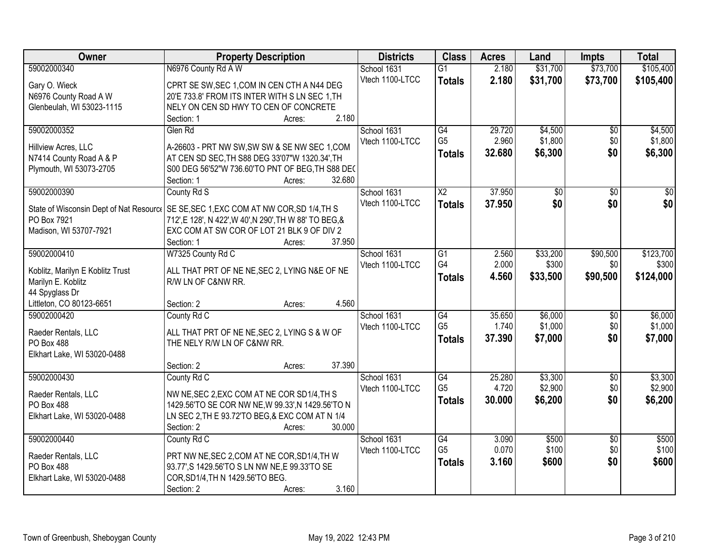| \$105,400<br>59002000340<br>N6976 County Rd A W<br>2.180<br>\$31,700<br>\$73,700<br>School 1631<br>$\overline{G1}$<br>Vtech 1100-LTCC<br>2.180<br>\$31,700<br>\$73,700<br>\$105,400<br><b>Totals</b><br>Gary O. Wieck<br>CPRT SE SW, SEC 1, COM IN CEN CTH A N44 DEG<br>N6976 County Road A W<br>20'E 733.8' FROM ITS INTER WITH S LN SEC 1, TH |
|-------------------------------------------------------------------------------------------------------------------------------------------------------------------------------------------------------------------------------------------------------------------------------------------------------------------------------------------------|
|                                                                                                                                                                                                                                                                                                                                                 |
|                                                                                                                                                                                                                                                                                                                                                 |
|                                                                                                                                                                                                                                                                                                                                                 |
| NELY ON CEN SD HWY TO CEN OF CONCRETE<br>Glenbeulah, WI 53023-1115                                                                                                                                                                                                                                                                              |
| 2.180<br>Section: 1<br>Acres:                                                                                                                                                                                                                                                                                                                   |
| 59002000352<br>G4<br>29.720<br>\$4,500<br>\$4,500<br>Glen Rd<br>School 1631<br>\$0                                                                                                                                                                                                                                                              |
| G <sub>5</sub><br>2.960<br>\$1,800<br>\$0<br>\$1,800<br>Vtech 1100-LTCC                                                                                                                                                                                                                                                                         |
| A-26603 - PRT NW SW, SW SW & SE NW SEC 1, COM<br>Hillview Acres, LLC<br>\$0<br>32.680<br>\$6,300<br>\$6,300<br><b>Totals</b>                                                                                                                                                                                                                    |
| AT CEN SD SEC, TH S88 DEG 33'07"W 1320.34', TH<br>N7414 County Road A & P                                                                                                                                                                                                                                                                       |
| Plymouth, WI 53073-2705<br>S00 DEG 56'52"W 736.60'TO PNT OF BEG, TH S88 DEC<br>32.680                                                                                                                                                                                                                                                           |
| Section: 1<br>Acres:<br>37.950<br>59002000390<br>School 1631<br>$\overline{X2}$<br>$\overline{50}$<br>$\overline{50}$<br>$\overline{30}$                                                                                                                                                                                                        |
| County Rd S<br>\$0<br>Vtech 1100-LTCC                                                                                                                                                                                                                                                                                                           |
| \$0 <br>\$0<br>37.950<br><b>Totals</b><br>State of Wisconsin Dept of Nat Resourc   SE SE, SEC 1, EXC COM AT NW COR, SD 1/4, TH S                                                                                                                                                                                                                |
| PO Box 7921<br>712', E 128', N 422', W 40', N 290', TH W 88' TO BEG, &                                                                                                                                                                                                                                                                          |
| EXC COM AT SW COR OF LOT 21 BLK 9 OF DIV 2<br>Madison, WI 53707-7921                                                                                                                                                                                                                                                                            |
| Section: 1<br>37.950<br>Acres:                                                                                                                                                                                                                                                                                                                  |
| W7325 County Rd C<br>\$33,200<br>\$90,500<br>\$123,700<br>59002000410<br>School 1631<br>G1<br>2.560                                                                                                                                                                                                                                             |
| G4<br>2.000<br>Vtech 1100-LTCC<br>\$300<br>\$0<br>\$300<br>ALL THAT PRT OF NE NE, SEC 2, LYING N&E OF NE<br>Koblitz, Marilyn E Koblitz Trust                                                                                                                                                                                                    |
| 4.560<br>\$90,500<br>\$124,000<br>\$33,500<br><b>Totals</b><br>R/W LN OF C&NW RR.<br>Marilyn E. Koblitz                                                                                                                                                                                                                                         |
| 44 Spyglass Dr                                                                                                                                                                                                                                                                                                                                  |
| 4.560<br>Littleton, CO 80123-6651<br>Section: 2<br>Acres:                                                                                                                                                                                                                                                                                       |
| \$6,000<br>\$6,000<br>59002000420<br>$\overline{G4}$<br>35.650<br>County Rd C<br>School 1631<br>$\overline{50}$                                                                                                                                                                                                                                 |
| G <sub>5</sub><br>\$1,000<br>1.740<br>\$1,000<br>\$0<br>Vtech 1100-LTCC                                                                                                                                                                                                                                                                         |
| ALL THAT PRT OF NE NE, SEC 2, LYING S & W OF<br>Raeder Rentals, LLC<br>\$0<br>37.390<br>\$7,000<br>\$7,000<br><b>Totals</b>                                                                                                                                                                                                                     |
| PO Box 488<br>THE NELY R/W LN OF C&NW RR.                                                                                                                                                                                                                                                                                                       |
| Elkhart Lake, WI 53020-0488                                                                                                                                                                                                                                                                                                                     |
| 37.390<br>Section: 2<br>Acres:                                                                                                                                                                                                                                                                                                                  |
| G4<br>\$3,300<br>\$3,300<br>59002000430<br>County Rd C<br>School 1631<br>25.280<br>$\sqrt{6}$<br>G <sub>5</sub>                                                                                                                                                                                                                                 |
| \$2,900<br>\$2,900<br>4.720<br>\$0<br>Vtech 1100-LTCC<br>NW NE, SEC 2, EXC COM AT NE COR SD1/4, TH S<br>Raeder Rentals, LLC                                                                                                                                                                                                                     |
| \$0<br>30.000<br>\$6,200<br>\$6,200<br><b>Totals</b><br>PO Box 488<br>1429.56'TO SE COR NW NE, W 99.33', N 1429.56'TO N                                                                                                                                                                                                                         |
| LN SEC 2, TH E 93.72'TO BEG, & EXC COM AT N 1/4<br>Elkhart Lake, WI 53020-0488                                                                                                                                                                                                                                                                  |
| 30.000<br>Section: 2<br>Acres:                                                                                                                                                                                                                                                                                                                  |
| 59002000440<br>County Rd C<br>\$500<br>School 1631<br>G4<br>3.090<br>\$500<br>$\overline{50}$                                                                                                                                                                                                                                                   |
| \$100<br>G <sub>5</sub><br>0.070<br>\$100<br>\$0<br>Vtech 1100-LTCC<br>Raeder Rentals, LLC<br>PRT NW NE, SEC 2, COM AT NE COR, SD1/4, TH W                                                                                                                                                                                                      |
| \$0<br>\$600<br>\$600<br>3.160<br><b>Totals</b><br>PO Box 488<br>93.77', S 1429.56'TO S LN NW NE, E 99.33'TO SE                                                                                                                                                                                                                                 |
| COR, SD1/4, TH N 1429.56'TO BEG.<br>Elkhart Lake, WI 53020-0488                                                                                                                                                                                                                                                                                 |
| 3.160<br>Section: 2<br>Acres:                                                                                                                                                                                                                                                                                                                   |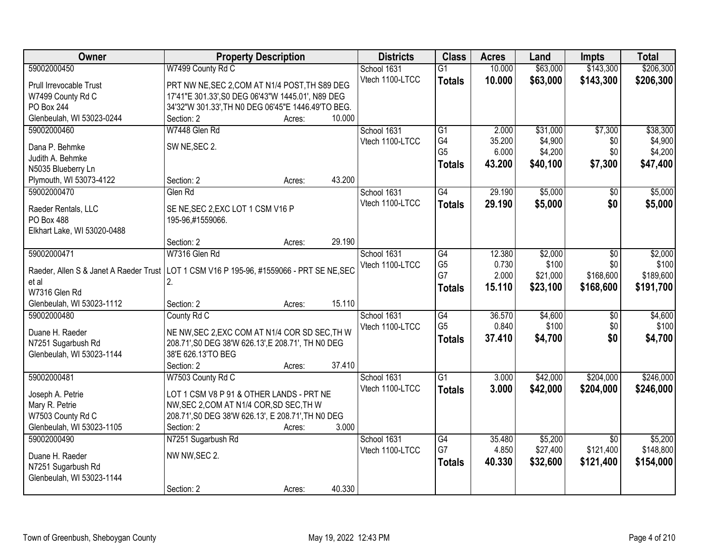| Owner                                                                                      | <b>Property Description</b>                           |        |        | <b>Districts</b>               | <b>Class</b>    | <b>Acres</b>    | Land             | <b>Impts</b>    | <b>Total</b>     |
|--------------------------------------------------------------------------------------------|-------------------------------------------------------|--------|--------|--------------------------------|-----------------|-----------------|------------------|-----------------|------------------|
| 59002000450                                                                                | W7499 County Rd C                                     |        |        | School 1631                    | $\overline{G1}$ | 10.000          | \$63,000         | \$143,300       | \$206,300        |
| Prull Irrevocable Trust                                                                    | PRT NW NE, SEC 2, COM AT N1/4 POST, TH S89 DEG        |        |        | Vtech 1100-LTCC                | <b>Totals</b>   | 10.000          | \$63,000         | \$143,300       | \$206,300        |
| W7499 County Rd C                                                                          | 17'41"E 301.33', S0 DEG 06'43"W 1445.01', N89 DEG     |        |        |                                |                 |                 |                  |                 |                  |
| PO Box 244                                                                                 | 34'32"W 301.33', TH N0 DEG 06'45"E 1446.49'TO BEG.    |        |        |                                |                 |                 |                  |                 |                  |
| Glenbeulah, WI 53023-0244                                                                  | Section: 2                                            | Acres: | 10.000 |                                |                 |                 |                  |                 |                  |
| 59002000460                                                                                | W7448 Glen Rd                                         |        |        | School 1631                    | $\overline{G1}$ | 2.000           | \$31,000         | \$7,300         | \$38,300         |
| Dana P. Behmke                                                                             | SW NE, SEC 2.                                         |        |        | Vtech 1100-LTCC                | G4              | 35.200          | \$4,900          | \$0             | \$4,900          |
| Judith A. Behmke                                                                           |                                                       |        |        |                                | G <sub>5</sub>  | 6.000           | \$4,200          | \$0             | \$4,200          |
| N5035 Blueberry Ln                                                                         |                                                       |        |        |                                | <b>Totals</b>   | 43.200          | \$40,100         | \$7,300         | \$47,400         |
| Plymouth, WI 53073-4122                                                                    | Section: 2                                            | Acres: | 43.200 |                                |                 |                 |                  |                 |                  |
| 59002000470                                                                                | Glen Rd                                               |        |        | School 1631                    | G4              | 29.190          | \$5,000          | \$0             | \$5,000          |
|                                                                                            |                                                       |        |        | Vtech 1100-LTCC                | <b>Totals</b>   | 29.190          | \$5,000          | \$0             | \$5,000          |
| Raeder Rentals, LLC<br><b>PO Box 488</b>                                                   | SE NE, SEC 2, EXC LOT 1 CSM V16 P<br>195-96,#1559066. |        |        |                                |                 |                 |                  |                 |                  |
| Elkhart Lake, WI 53020-0488                                                                |                                                       |        |        |                                |                 |                 |                  |                 |                  |
|                                                                                            | Section: 2                                            | Acres: | 29.190 |                                |                 |                 |                  |                 |                  |
| 59002000471                                                                                | W7316 Glen Rd                                         |        |        | School 1631                    | G4              | 12.380          | \$2,000          | \$0             | \$2,000          |
|                                                                                            |                                                       |        |        | Vtech 1100-LTCC                | G <sub>5</sub>  | 0.730           | \$100            | \$0             | \$100            |
| Raeder, Allen S & Janet A Raeder Trust   LOT 1 CSM V16 P 195-96, #1559066 - PRT SE NE, SEC |                                                       |        |        |                                | G7              | 2.000           | \$21,000         | \$168,600       | \$189,600        |
| et al                                                                                      | 2.                                                    |        |        |                                | <b>Totals</b>   | 15.110          | \$23,100         | \$168,600       | \$191,700        |
| W7316 Glen Rd                                                                              |                                                       |        |        |                                |                 |                 |                  |                 |                  |
| Glenbeulah, WI 53023-1112<br>59002000480                                                   | Section: 2                                            | Acres: | 15.110 |                                | $\overline{G4}$ |                 |                  |                 |                  |
|                                                                                            | County Rd C                                           |        |        | School 1631<br>Vtech 1100-LTCC | G <sub>5</sub>  | 36.570<br>0.840 | \$4,600<br>\$100 | \$0<br>\$0      | \$4,600<br>\$100 |
| Duane H. Raeder                                                                            | NE NW, SEC 2, EXC COM AT N1/4 COR SD SEC, TH W        |        |        |                                | <b>Totals</b>   | 37.410          | \$4,700          | \$0             | \$4,700          |
| N7251 Sugarbush Rd                                                                         | 208.71', S0 DEG 38'W 626.13', E 208.71', TH N0 DEG    |        |        |                                |                 |                 |                  |                 |                  |
| Glenbeulah, WI 53023-1144                                                                  | 38'E 626.13'TO BEG                                    |        |        |                                |                 |                 |                  |                 |                  |
|                                                                                            | Section: 2                                            | Acres: | 37.410 |                                |                 |                 |                  |                 |                  |
| 59002000481                                                                                | W7503 County Rd C                                     |        |        | School 1631                    | $\overline{G1}$ | 3.000           | \$42,000         | \$204,000       | \$246,000        |
| Joseph A. Petrie                                                                           | LOT 1 CSM V8 P 91 & OTHER LANDS - PRT NE              |        |        | Vtech 1100-LTCC                | <b>Totals</b>   | 3.000           | \$42,000         | \$204,000       | \$246,000        |
| Mary R. Petrie                                                                             | NW, SEC 2, COM AT N1/4 COR, SD SEC, TH W              |        |        |                                |                 |                 |                  |                 |                  |
| W7503 County Rd C                                                                          | 208.71', S0 DEG 38'W 626.13', E 208.71', TH N0 DEG    |        |        |                                |                 |                 |                  |                 |                  |
| Glenbeulah, WI 53023-1105                                                                  | Section: 2                                            | Acres: | 3.000  |                                |                 |                 |                  |                 |                  |
| 59002000490                                                                                | N7251 Sugarbush Rd                                    |        |        | School 1631                    | $\overline{G4}$ | 35.480          | \$5,200          | $\overline{30}$ | \$5,200          |
| Duane H. Raeder                                                                            | NW NW, SEC 2.                                         |        |        | Vtech 1100-LTCC                | G7              | 4.850           | \$27,400         | \$121,400       | \$148,800        |
| N7251 Sugarbush Rd                                                                         |                                                       |        |        |                                | <b>Totals</b>   | 40.330          | \$32,600         | \$121,400       | \$154,000        |
| Glenbeulah, WI 53023-1144                                                                  |                                                       |        |        |                                |                 |                 |                  |                 |                  |
|                                                                                            | Section: 2                                            | Acres: | 40.330 |                                |                 |                 |                  |                 |                  |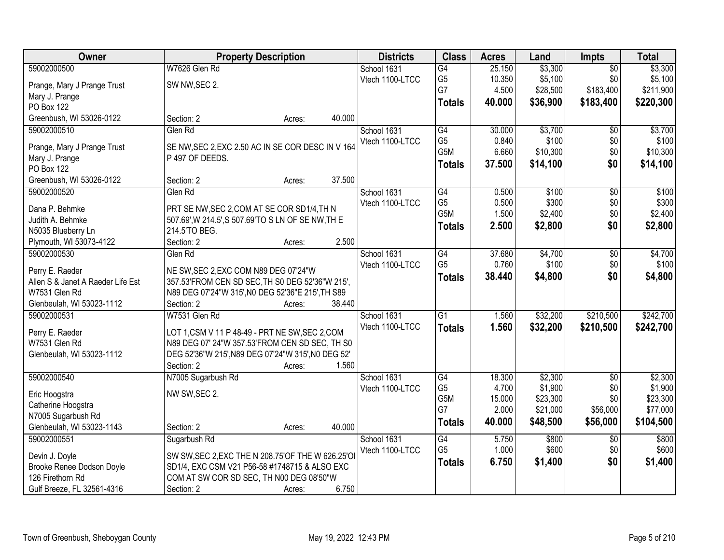| Owner                             | <b>Property Description</b>                         |                  | <b>Districts</b> | <b>Class</b>          | <b>Acres</b> | Land     | <b>Impts</b>    | <b>Total</b> |
|-----------------------------------|-----------------------------------------------------|------------------|------------------|-----------------------|--------------|----------|-----------------|--------------|
| 59002000500                       | W7626 Glen Rd                                       |                  | School 1631      | G4                    | 25.150       | \$3,300  | $\overline{50}$ | \$3,300      |
| Prange, Mary J Prange Trust       | SW NW, SEC 2.                                       |                  | Vtech 1100-LTCC  | G <sub>5</sub>        | 10.350       | \$5,100  | \$0             | \$5,100      |
| Mary J. Prange                    |                                                     |                  |                  | G7                    | 4.500        | \$28,500 | \$183,400       | \$211,900    |
| PO Box 122                        |                                                     |                  |                  | <b>Totals</b>         | 40.000       | \$36,900 | \$183,400       | \$220,300    |
| Greenbush, WI 53026-0122          | Section: 2                                          | 40.000<br>Acres: |                  |                       |              |          |                 |              |
| 59002000510                       | Glen Rd                                             |                  | School 1631      | G4                    | 30.000       | \$3,700  | \$0             | \$3,700      |
|                                   |                                                     |                  | Vtech 1100-LTCC  | G <sub>5</sub>        | 0.840        | \$100    | \$0             | \$100        |
| Prange, Mary J Prange Trust       | SE NW, SEC 2, EXC 2.50 AC IN SE COR DESC IN V 164   |                  |                  | G5M                   | 6.660        | \$10,300 | \$0             | \$10,300     |
| Mary J. Prange                    | P 497 OF DEEDS.                                     |                  |                  | <b>Totals</b>         | 37.500       | \$14,100 | \$0             | \$14,100     |
| PO Box 122                        |                                                     |                  |                  |                       |              |          |                 |              |
| Greenbush, WI 53026-0122          | Section: 2                                          | 37.500<br>Acres: |                  |                       |              |          |                 |              |
| 59002000520                       | Glen Rd                                             |                  | School 1631      | G4                    | 0.500        | \$100    | \$0             | \$100        |
| Dana P. Behmke                    | PRT SE NW, SEC 2, COM AT SE COR SD1/4, TH N         |                  | Vtech 1100-LTCC  | G <sub>5</sub><br>G5M | 0.500        | \$300    | \$0<br>\$0      | \$300        |
| Judith A. Behmke                  | 507.69', W 214.5', S 507.69'TO S LN OF SE NW, TH E  |                  |                  |                       | 1.500        | \$2,400  |                 | \$2,400      |
| N5035 Blueberry Ln                | 214.5'TO BEG.                                       |                  |                  | <b>Totals</b>         | 2.500        | \$2,800  | \$0             | \$2,800      |
| Plymouth, WI 53073-4122           | Section: 2                                          | 2.500<br>Acres:  |                  |                       |              |          |                 |              |
| 59002000530                       | Glen Rd                                             |                  | School 1631      | $\overline{G4}$       | 37.680       | \$4,700  | \$0             | \$4,700      |
| Perry E. Raeder                   | NE SW, SEC 2, EXC COM N89 DEG 07'24"W               |                  | Vtech 1100-LTCC  | G <sub>5</sub>        | 0.760        | \$100    | \$0             | \$100        |
| Allen S & Janet A Raeder Life Est | 357.53'FROM CEN SD SEC, TH S0 DEG 52'36"W 215',     |                  |                  | <b>Totals</b>         | 38.440       | \$4,800  | \$0             | \$4,800      |
| W7531 Glen Rd                     | N89 DEG 07'24"W 315', N0 DEG 52'36"E 215', TH S89   |                  |                  |                       |              |          |                 |              |
| Glenbeulah, WI 53023-1112         | Section: 2                                          | 38.440<br>Acres: |                  |                       |              |          |                 |              |
| 59002000531                       | W7531 Glen Rd                                       |                  | School 1631      | $\overline{G1}$       | 1.560        | \$32,200 | \$210,500       | \$242,700    |
|                                   |                                                     |                  | Vtech 1100-LTCC  |                       | 1.560        | \$32,200 |                 | \$242,700    |
| Perry E. Raeder                   | LOT 1, CSM V 11 P 48-49 - PRT NE SW, SEC 2, COM     |                  |                  | <b>Totals</b>         |              |          | \$210,500       |              |
| W7531 Glen Rd                     | N89 DEG 07' 24"W 357.53'FROM CEN SD SEC, TH S0      |                  |                  |                       |              |          |                 |              |
| Glenbeulah, WI 53023-1112         | DEG 52'36"W 215', N89 DEG 07'24"W 315', N0 DEG 52'  |                  |                  |                       |              |          |                 |              |
|                                   | Section: 2                                          | 1.560<br>Acres:  |                  |                       |              |          |                 |              |
| 59002000540                       | N7005 Sugarbush Rd                                  |                  | School 1631      | $\overline{G4}$       | 18.300       | \$2,300  | $\overline{50}$ | \$2,300      |
| Eric Hoogstra                     | NW SW, SEC 2.                                       |                  | Vtech 1100-LTCC  | G <sub>5</sub>        | 4.700        | \$1,900  | \$0             | \$1,900      |
| Catherine Hoogstra                |                                                     |                  |                  | G <sub>5</sub> M      | 15.000       | \$23,300 | \$0             | \$23,300     |
| N7005 Sugarbush Rd                |                                                     |                  |                  | G7                    | 2.000        | \$21,000 | \$56,000        | \$77,000     |
| Glenbeulah, WI 53023-1143         | Section: 2                                          | 40.000<br>Acres: |                  | <b>Totals</b>         | 40.000       | \$48,500 | \$56,000        | \$104,500    |
| 59002000551                       | Sugarbush Rd                                        |                  | School 1631      | G4                    | 5.750        | \$800    | $\overline{50}$ | \$800        |
|                                   |                                                     |                  | Vtech 1100-LTCC  | G <sub>5</sub>        | 1.000        | \$600    | \$0             | \$600        |
| Devin J. Doyle                    | SW SW, SEC 2, EXC THE N 208.75' OF THE W 626.25' OI |                  |                  | <b>Totals</b>         | 6.750        | \$1,400  | \$0             | \$1,400      |
| Brooke Renee Dodson Doyle         | SD1/4, EXC CSM V21 P56-58 #1748715 & ALSO EXC       |                  |                  |                       |              |          |                 |              |
| 126 Firethorn Rd                  | COM AT SW COR SD SEC, TH N00 DEG 08'50"W            |                  |                  |                       |              |          |                 |              |
| Gulf Breeze, FL 32561-4316        | Section: 2                                          | 6.750<br>Acres:  |                  |                       |              |          |                 |              |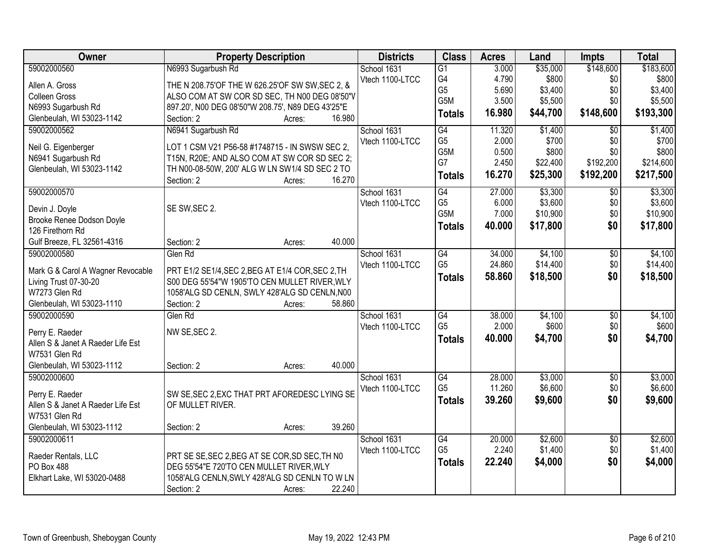| Owner                                      | <b>Property Description</b>                              | <b>Districts</b> | <b>Class</b>     | <b>Acres</b> | Land     | <b>Impts</b>    | <b>Total</b> |
|--------------------------------------------|----------------------------------------------------------|------------------|------------------|--------------|----------|-----------------|--------------|
| 59002000560                                | N6993 Sugarbush Rd                                       | School 1631      | $\overline{G1}$  | 3.000        | \$35,000 | \$148,600       | \$183,600    |
| Allen A. Gross                             | THE N 208.75'OF THE W 626.25'OF SW SW, SEC 2, &          | Vtech 1100-LTCC  | G4               | 4.790        | \$800    | \$0             | \$800        |
| <b>Colleen Gross</b>                       | ALSO COM AT SW COR SD SEC, TH N00 DEG 08'50"V            |                  | G <sub>5</sub>   | 5.690        | \$3,400  | \$0             | \$3,400      |
| N6993 Sugarbush Rd                         | 897.20', N00 DEG 08'50"W 208.75', N89 DEG 43'25"E        |                  | G5M              | 3.500        | \$5,500  | \$0             | \$5,500      |
| Glenbeulah, WI 53023-1142                  | 16.980<br>Section: 2<br>Acres:                           |                  | <b>Totals</b>    | 16.980       | \$44,700 | \$148,600       | \$193,300    |
| 59002000562                                | N6941 Sugarbush Rd                                       | School 1631      | G4               | 11.320       | \$1,400  | $\overline{50}$ | \$1,400      |
|                                            |                                                          | Vtech 1100-LTCC  | G <sub>5</sub>   | 2.000        | \$700    | \$0             | \$700        |
| Neil G. Eigenberger                        | LOT 1 CSM V21 P56-58 #1748715 - IN SWSW SEC 2,           |                  | G5M              | 0.500        | \$800    | \$0             | \$800        |
| N6941 Sugarbush Rd                         | T15N, R20E; AND ALSO COM AT SW COR SD SEC 2;             |                  | G7               | 2.450        | \$22,400 | \$192,200       | \$214,600    |
| Glenbeulah, WI 53023-1142                  | TH N00-08-50W, 200' ALG W LN SW1/4 SD SEC 2 TO<br>16.270 |                  | <b>Totals</b>    | 16.270       | \$25,300 | \$192,200       | \$217,500    |
| 59002000570                                | Section: 2<br>Acres:                                     | School 1631      | G4               | 27.000       | \$3,300  | $\sqrt{50}$     | \$3,300      |
|                                            |                                                          | Vtech 1100-LTCC  | G <sub>5</sub>   | 6.000        | \$3,600  | \$0             | \$3,600      |
| Devin J. Doyle                             | SE SW, SEC 2.                                            |                  | G <sub>5</sub> M | 7.000        | \$10,900 | \$0             | \$10,900     |
| Brooke Renee Dodson Doyle                  |                                                          |                  | <b>Totals</b>    | 40.000       | \$17,800 | \$0             | \$17,800     |
| 126 Firethorn Rd                           |                                                          |                  |                  |              |          |                 |              |
| Gulf Breeze, FL 32561-4316                 | 40.000<br>Section: 2<br>Acres:                           |                  |                  |              |          |                 |              |
| 59002000580                                | Glen Rd                                                  | School 1631      | G4               | 34.000       | \$4,100  | \$0             | \$4,100      |
| Mark G & Carol A Wagner Revocable          | PRT E1/2 SE1/4, SEC 2, BEG AT E1/4 COR, SEC 2, TH        | Vtech 1100-LTCC  | G <sub>5</sub>   | 24.860       | \$14,400 | \$0             | \$14,400     |
| Living Trust 07-30-20                      | S00 DEG 55'54"W 1905'TO CEN MULLET RIVER, WLY            |                  | <b>Totals</b>    | 58.860       | \$18,500 | \$0             | \$18,500     |
| W7273 Glen Rd                              | 1058'ALG SD CENLN, SWLY 428'ALG SD CENLN, N00            |                  |                  |              |          |                 |              |
| Glenbeulah, WI 53023-1110                  | 58.860<br>Section: 2<br>Acres:                           |                  |                  |              |          |                 |              |
| 59002000590                                | Glen Rd                                                  | School 1631      | $\overline{G4}$  | 38.000       | \$4,100  | \$0             | \$4,100      |
|                                            |                                                          | Vtech 1100-LTCC  | G <sub>5</sub>   | 2.000        | \$600    | \$0             | \$600        |
| Perry E. Raeder                            | NW SE, SEC 2.                                            |                  | <b>Totals</b>    | 40.000       | \$4,700  | \$0             | \$4,700      |
| Allen S & Janet A Raeder Life Est          |                                                          |                  |                  |              |          |                 |              |
| W7531 Glen Rd<br>Glenbeulah, WI 53023-1112 | 40.000<br>Section: 2                                     |                  |                  |              |          |                 |              |
| 59002000600                                | Acres:                                                   | School 1631      | $\overline{G4}$  | 28.000       | \$3,000  | $\overline{60}$ | \$3,000      |
|                                            |                                                          | Vtech 1100-LTCC  | G <sub>5</sub>   | 11.260       | \$6,600  | \$0             | \$6,600      |
| Perry E. Raeder                            | SW SE, SEC 2, EXC THAT PRT AFOREDESC LYING SE            |                  |                  | 39.260       | \$9,600  | \$0             | \$9,600      |
| Allen S & Janet A Raeder Life Est          | OF MULLET RIVER.                                         |                  | <b>Totals</b>    |              |          |                 |              |
| W7531 Glen Rd                              |                                                          |                  |                  |              |          |                 |              |
| Glenbeulah, WI 53023-1112                  | 39.260<br>Section: 2<br>Acres:                           |                  |                  |              |          |                 |              |
| 59002000611                                |                                                          | School 1631      | G4               | 20.000       | \$2,600  | $\overline{50}$ | \$2,600      |
| Raeder Rentals, LLC                        | PRT SE SE, SEC 2, BEG AT SE COR, SD SEC, TH NO           | Vtech 1100-LTCC  | G <sub>5</sub>   | 2.240        | \$1,400  | \$0             | \$1,400      |
| PO Box 488                                 | DEG 55'54"E 720'TO CEN MULLET RIVER, WLY                 |                  | <b>Totals</b>    | 22.240       | \$4,000  | \$0             | \$4,000      |
| Elkhart Lake, WI 53020-0488                | 1058'ALG CENLN, SWLY 428'ALG SD CENLN TO W LN            |                  |                  |              |          |                 |              |
|                                            | 22.240<br>Section: 2<br>Acres:                           |                  |                  |              |          |                 |              |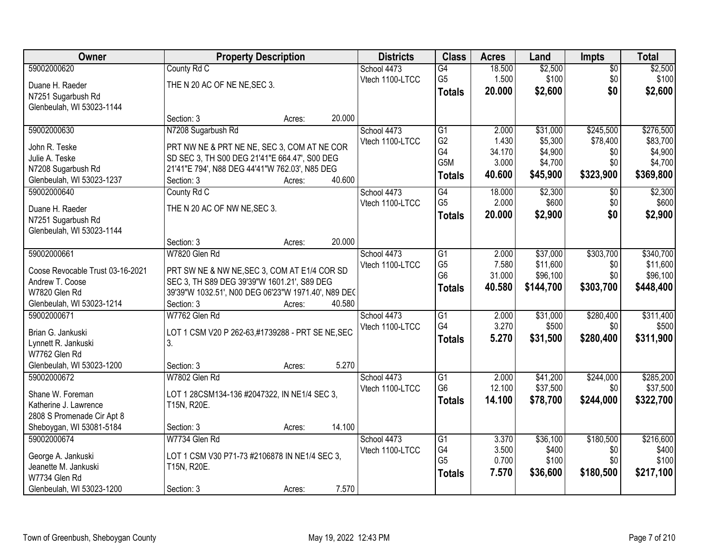| Owner                            |                                                     | <b>Property Description</b> |        | <b>Districts</b> | <b>Class</b>     | <b>Acres</b> | Land      | <b>Impts</b>    | <b>Total</b> |
|----------------------------------|-----------------------------------------------------|-----------------------------|--------|------------------|------------------|--------------|-----------|-----------------|--------------|
| 59002000620                      | County Rd C                                         |                             |        | School 4473      | G4               | 18.500       | \$2,500   | $\overline{50}$ | \$2,500      |
| Duane H. Raeder                  | THE N 20 AC OF NE NE, SEC 3.                        |                             |        | Vtech 1100-LTCC  | G <sub>5</sub>   | 1.500        | \$100     | \$0             | \$100        |
| N7251 Sugarbush Rd               |                                                     |                             |        |                  | <b>Totals</b>    | 20.000       | \$2,600   | \$0             | \$2,600      |
| Glenbeulah, WI 53023-1144        |                                                     |                             |        |                  |                  |              |           |                 |              |
|                                  | Section: 3                                          | Acres:                      | 20.000 |                  |                  |              |           |                 |              |
| 59002000630                      | N7208 Sugarbush Rd                                  |                             |        | School 4473      | $\overline{G1}$  | 2.000        | \$31,000  | \$245,500       | \$276,500    |
| John R. Teske                    | PRT NW NE & PRT NE NE, SEC 3, COM AT NE COR         |                             |        | Vtech 1100-LTCC  | G <sub>2</sub>   | 1.430        | \$5,300   | \$78,400        | \$83,700     |
| Julie A. Teske                   | SD SEC 3, TH S00 DEG 21'41"E 664.47', S00 DEG       |                             |        |                  | G4               | 34.170       | \$4,900   | \$0             | \$4,900      |
| N7208 Sugarbush Rd               | 21'41"E 794', N88 DEG 44'41"W 762.03', N85 DEG      |                             |        |                  | G <sub>5</sub> M | 3.000        | \$4,700   | \$0             | \$4,700      |
| Glenbeulah, WI 53023-1237        | Section: 3                                          | Acres:                      | 40.600 |                  | <b>Totals</b>    | 40.600       | \$45,900  | \$323,900       | \$369,800    |
| 59002000640                      | County Rd C                                         |                             |        | School 4473      | G4               | 18.000       | \$2,300   | $\sqrt[6]{}$    | \$2,300      |
| Duane H. Raeder                  | THE N 20 AC OF NW NE, SEC 3.                        |                             |        | Vtech 1100-LTCC  | G <sub>5</sub>   | 2.000        | \$600     | \$0             | \$600        |
| N7251 Sugarbush Rd               |                                                     |                             |        |                  | <b>Totals</b>    | 20.000       | \$2,900   | \$0             | \$2,900      |
| Glenbeulah, WI 53023-1144        |                                                     |                             |        |                  |                  |              |           |                 |              |
|                                  | Section: 3                                          | Acres:                      | 20.000 |                  |                  |              |           |                 |              |
| 59002000661                      | W7820 Glen Rd                                       |                             |        | School 4473      | $\overline{G1}$  | 2.000        | \$37,000  | \$303,700       | \$340,700    |
| Coose Revocable Trust 03-16-2021 | PRT SW NE & NW NE, SEC 3, COM AT E1/4 COR SD        |                             |        | Vtech 1100-LTCC  | G <sub>5</sub>   | 7.580        | \$11,600  | \$0             | \$11,600     |
| Andrew T. Coose                  | SEC 3, TH S89 DEG 39'39"W 1601.21', S89 DEG         |                             |        |                  | G <sub>6</sub>   | 31.000       | \$96,100  | \$0             | \$96,100     |
| W7820 Glen Rd                    | 39'39"W 1032.51', N00 DEG 06'23"W 1971.40', N89 DEC |                             |        |                  | <b>Totals</b>    | 40.580       | \$144,700 | \$303,700       | \$448,400    |
| Glenbeulah, WI 53023-1214        | Section: 3                                          | Acres:                      | 40.580 |                  |                  |              |           |                 |              |
| 59002000671                      | W7762 Glen Rd                                       |                             |        | School 4473      | $\overline{G1}$  | 2.000        | \$31,000  | \$280,400       | \$311,400    |
| Brian G. Jankuski                | LOT 1 CSM V20 P 262-63,#1739288 - PRT SE NE, SEC    |                             |        | Vtech 1100-LTCC  | G4               | 3.270        | \$500     | \$0             | \$500        |
| Lynnett R. Jankuski              | 3.                                                  |                             |        |                  | <b>Totals</b>    | 5.270        | \$31,500  | \$280,400       | \$311,900    |
| W7762 Glen Rd                    |                                                     |                             |        |                  |                  |              |           |                 |              |
| Glenbeulah, WI 53023-1200        | Section: 3                                          | Acres:                      | 5.270  |                  |                  |              |           |                 |              |
| 59002000672                      | W7802 Glen Rd                                       |                             |        | School 4473      | G1               | 2.000        | \$41,200  | \$244,000       | \$285,200    |
| Shane W. Foreman                 | LOT 1 28CSM134-136 #2047322, IN NE1/4 SEC 3,        |                             |        | Vtech 1100-LTCC  | G <sub>6</sub>   | 12.100       | \$37,500  | \$0             | \$37,500     |
| Katherine J. Lawrence            | T15N, R20E.                                         |                             |        |                  | <b>Totals</b>    | 14.100       | \$78,700  | \$244,000       | \$322,700    |
| 2808 S Promenade Cir Apt 8       |                                                     |                             |        |                  |                  |              |           |                 |              |
| Sheboygan, WI 53081-5184         | Section: 3                                          | Acres:                      | 14.100 |                  |                  |              |           |                 |              |
| 59002000674                      | W7734 Glen Rd                                       |                             |        | School 4473      | G1               | 3.370        | \$36,100  | \$180,500       | \$216,600    |
| George A. Jankuski               | LOT 1 CSM V30 P71-73 #2106878 IN NE1/4 SEC 3,       |                             |        | Vtech 1100-LTCC  | G4               | 3.500        | \$400     | \$0             | \$400        |
| Jeanette M. Jankuski             | T15N, R20E.                                         |                             |        |                  | G <sub>5</sub>   | 0.700        | \$100     | \$0             | \$100        |
| W7734 Glen Rd                    |                                                     |                             |        |                  | <b>Totals</b>    | 7.570        | \$36,600  | \$180,500       | \$217,100    |
| Glenbeulah, WI 53023-1200        | Section: 3                                          | Acres:                      | 7.570  |                  |                  |              |           |                 |              |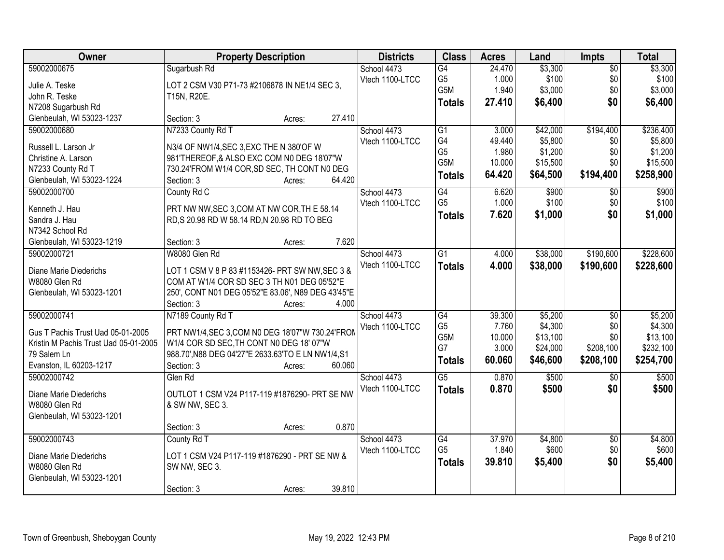| Owner                                 | <b>Property Description</b>                        | <b>Districts</b> | <b>Class</b>     | <b>Acres</b> | Land     | <b>Impts</b>    | <b>Total</b> |
|---------------------------------------|----------------------------------------------------|------------------|------------------|--------------|----------|-----------------|--------------|
| 59002000675                           | Sugarbush Rd                                       | School 4473      | G4               | 24.470       | \$3,300  | $\overline{50}$ | \$3,300      |
| Julie A. Teske                        | LOT 2 CSM V30 P71-73 #2106878 IN NE1/4 SEC 3,      | Vtech 1100-LTCC  | G <sub>5</sub>   | 1.000        | \$100    | \$0             | \$100        |
| John R. Teske                         | T15N, R20E.                                        |                  | G5M              | 1.940        | \$3,000  | \$0             | \$3,000      |
| N7208 Sugarbush Rd                    |                                                    |                  | <b>Totals</b>    | 27.410       | \$6,400  | \$0             | \$6,400      |
| Glenbeulah, WI 53023-1237             | 27.410<br>Section: 3<br>Acres:                     |                  |                  |              |          |                 |              |
| 59002000680                           | N7233 County Rd T                                  | School 4473      | G1               | 3.000        | \$42,000 | \$194,400       | \$236,400    |
|                                       |                                                    | Vtech 1100-LTCC  | G4               | 49.440       | \$5,800  | \$0             | \$5,800      |
| Russell L. Larson Jr                  | N3/4 OF NW1/4, SEC 3, EXC THE N 380'OF W           |                  | G <sub>5</sub>   | 1.980        | \$1,200  | \$0             | \$1,200      |
| Christine A. Larson                   | 981'THEREOF, & ALSO EXC COM N0 DEG 18'07"W         |                  | G <sub>5</sub> M | 10.000       | \$15,500 | \$0             | \$15,500     |
| N7233 County Rd T                     | 730.24'FROM W1/4 COR, SD SEC, TH CONT N0 DEG       |                  | <b>Totals</b>    | 64.420       | \$64,500 | \$194,400       | \$258,900    |
| Glenbeulah, WI 53023-1224             | 64.420<br>Section: 3<br>Acres:                     |                  |                  |              |          |                 |              |
| 59002000700                           | County Rd C                                        | School 4473      | G4               | 6.620        | \$900    | \$0             | \$900        |
| Kenneth J. Hau                        | PRT NW NW, SEC 3, COM AT NW COR, TH E 58.14        | Vtech 1100-LTCC  | G <sub>5</sub>   | 1.000        | \$100    | \$0             | \$100        |
| Sandra J. Hau                         | RD, S 20.98 RD W 58.14 RD, N 20.98 RD TO BEG       |                  | <b>Totals</b>    | 7.620        | \$1,000  | \$0             | \$1,000      |
| N7342 School Rd                       |                                                    |                  |                  |              |          |                 |              |
| Glenbeulah, WI 53023-1219             | 7.620<br>Section: 3<br>Acres:                      |                  |                  |              |          |                 |              |
| 59002000721                           | W8080 Glen Rd                                      | School 4473      | G <sub>1</sub>   | 4.000        | \$38,000 | \$190,600       | \$228,600    |
|                                       |                                                    | Vtech 1100-LTCC  | <b>Totals</b>    | 4.000        | \$38,000 | \$190,600       | \$228,600    |
| Diane Marie Diederichs                | LOT 1 CSM V 8 P 83 #1153426- PRT SW NW, SEC 3 &    |                  |                  |              |          |                 |              |
| W8080 Glen Rd                         | COM AT W1/4 COR SD SEC 3 TH N01 DEG 05'52"E        |                  |                  |              |          |                 |              |
| Glenbeulah, WI 53023-1201             | 250', CONT N01 DEG 05'52"E 83.06', N89 DEG 43'45"E |                  |                  |              |          |                 |              |
|                                       | 4.000<br>Section: 3<br>Acres:                      |                  |                  |              |          |                 |              |
| 59002000741                           | N7189 County Rd T                                  | School 4473      | $\overline{G4}$  | 39.300       | \$5,200  | $\overline{50}$ | \$5,200      |
| Gus T Pachis Trust Uad 05-01-2005     | PRT NW1/4, SEC 3, COM N0 DEG 18'07"W 730.24'FROM   | Vtech 1100-LTCC  | G <sub>5</sub>   | 7.760        | \$4,300  | \$0             | \$4,300      |
| Kristin M Pachis Trust Uad 05-01-2005 | W1/4 COR SD SEC, TH CONT N0 DEG 18' 07"W           |                  | G5M              | 10.000       | \$13,100 | \$0             | \$13,100     |
| 79 Salem Ln                           | 988.70', N88 DEG 04'27"E 2633.63'TO E LN NW1/4, S1 |                  | G7               | 3.000        | \$24,000 | \$208,100       | \$232,100    |
| Evanston, IL 60203-1217               | 60.060<br>Section: 3<br>Acres:                     |                  | <b>Totals</b>    | 60.060       | \$46,600 | \$208,100       | \$254,700    |
| 59002000742                           | Glen Rd                                            | School 4473      | $\overline{G5}$  | 0.870        | \$500    | \$0             | \$500        |
|                                       |                                                    | Vtech 1100-LTCC  | <b>Totals</b>    | 0.870        | \$500    | \$0             | \$500        |
| Diane Marie Diederichs                | OUTLOT 1 CSM V24 P117-119 #1876290- PRT SE NW      |                  |                  |              |          |                 |              |
| W8080 Glen Rd                         | & SW NW, SEC 3.                                    |                  |                  |              |          |                 |              |
| Glenbeulah, WI 53023-1201             |                                                    |                  |                  |              |          |                 |              |
|                                       | 0.870<br>Section: 3<br>Acres:                      |                  |                  |              |          |                 |              |
| 59002000743                           | County Rd T                                        | School 4473      | G4               | 37.970       | \$4,800  | $\overline{50}$ | \$4,800      |
| Diane Marie Diederichs                | LOT 1 CSM V24 P117-119 #1876290 - PRT SE NW &      | Vtech 1100-LTCC  | G <sub>5</sub>   | 1.840        | \$600    | \$0             | \$600        |
| W8080 Glen Rd                         | SW NW, SEC 3.                                      |                  | <b>Totals</b>    | 39.810       | \$5,400  | \$0             | \$5,400      |
| Glenbeulah, WI 53023-1201             |                                                    |                  |                  |              |          |                 |              |
|                                       | 39.810<br>Section: 3<br>Acres:                     |                  |                  |              |          |                 |              |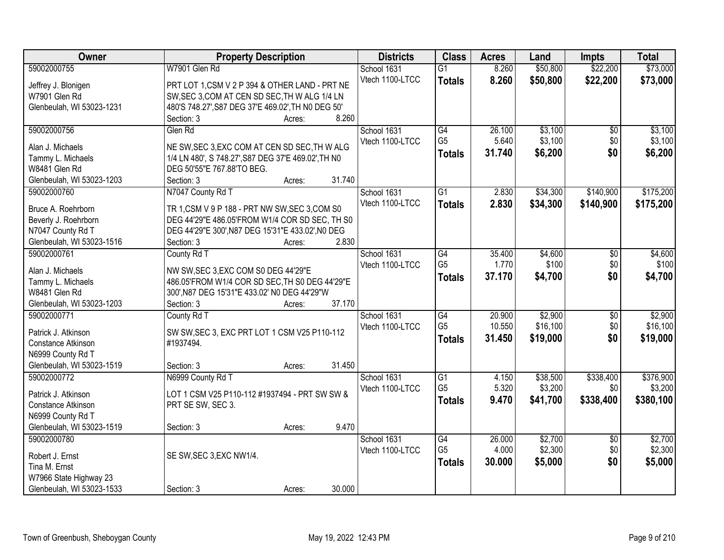| Owner                     | <b>Property Description</b>                               | <b>Districts</b> | <b>Class</b>    | <b>Acres</b> | Land     | <b>Impts</b>    | <b>Total</b> |
|---------------------------|-----------------------------------------------------------|------------------|-----------------|--------------|----------|-----------------|--------------|
| 59002000755               | W7901 Glen Rd                                             | School 1631      | $\overline{G1}$ | 8.260        | \$50,800 | \$22,200        | \$73,000     |
| Jeffrey J. Blonigen       | PRT LOT 1,CSM V 2 P 394 & OTHER LAND - PRT NE             | Vtech 1100-LTCC  | <b>Totals</b>   | 8.260        | \$50,800 | \$22,200        | \$73,000     |
| W7901 Glen Rd             | SW, SEC 3, COM AT CEN SD SEC, TH W ALG 1/4 LN             |                  |                 |              |          |                 |              |
| Glenbeulah, WI 53023-1231 | 480'S 748.27', S87 DEG 37'E 469.02', TH N0 DEG 50'        |                  |                 |              |          |                 |              |
|                           | 8.260<br>Section: 3<br>Acres:                             |                  |                 |              |          |                 |              |
| 59002000756               | Glen Rd                                                   | School 1631      | G4              | 26.100       | \$3,100  | $\overline{50}$ | \$3,100      |
|                           |                                                           | Vtech 1100-LTCC  | G <sub>5</sub>  | 5.640        | \$3,100  | \$0             | \$3,100      |
| Alan J. Michaels          | NE SW, SEC 3, EXC COM AT CEN SD SEC, TH W ALG             |                  | <b>Totals</b>   | 31.740       | \$6,200  | \$0             | \$6,200      |
| Tammy L. Michaels         | 1/4 LN 480', S 748.27', S87 DEG 37'E 469.02', TH N0       |                  |                 |              |          |                 |              |
| W8481 Glen Rd             | DEG 50'55"E 767.88'TO BEG.                                |                  |                 |              |          |                 |              |
| Glenbeulah, WI 53023-1203 | 31.740<br>Section: 3<br>Acres:                            |                  |                 |              |          |                 |              |
| 59002000760               | N7047 County Rd T                                         | School 1631      | G1              | 2.830        | \$34,300 | \$140,900       | \$175,200    |
| Bruce A. Roehrborn        | TR 1, CSM V 9 P 188 - PRT NW SW, SEC 3, COM S0            | Vtech 1100-LTCC  | <b>Totals</b>   | 2.830        | \$34,300 | \$140,900       | \$175,200    |
| Beverly J. Roehrborn      | DEG 44'29"E 486.05'FROM W1/4 COR SD SEC, TH S0            |                  |                 |              |          |                 |              |
| N7047 County Rd T         | DEG 44'29"E 300', N87 DEG 15'31"E 433.02', N0 DEG         |                  |                 |              |          |                 |              |
| Glenbeulah, WI 53023-1516 | 2.830<br>Section: 3<br>Acres:                             |                  |                 |              |          |                 |              |
| 59002000761               | County Rd T                                               | School 1631      | G4              | 35.400       | \$4,600  | \$0             | \$4,600      |
|                           |                                                           | Vtech 1100-LTCC  | G <sub>5</sub>  | 1.770        | \$100    | \$0             | \$100        |
| Alan J. Michaels          | NW SW, SEC 3, EXC COM S0 DEG 44'29"E                      |                  |                 | 37.170       | \$4,700  | \$0             | \$4,700      |
| Tammy L. Michaels         | 486.05'FROM W1/4 COR SD SEC, TH S0 DEG 44'29"E            |                  | <b>Totals</b>   |              |          |                 |              |
| W8481 Glen Rd             | 300', N87 DEG 15'31"E 433.02' N0 DEG 44'29"W              |                  |                 |              |          |                 |              |
| Glenbeulah, WI 53023-1203 | 37.170<br>Section: 3<br>Acres:                            |                  |                 |              |          |                 |              |
| 59002000771               | County Rd T                                               | School 1631      | $\overline{G4}$ | 20.900       | \$2,900  | $\overline{30}$ | \$2,900      |
| Patrick J. Atkinson       |                                                           | Vtech 1100-LTCC  | G <sub>5</sub>  | 10.550       | \$16,100 | \$0             | \$16,100     |
| Constance Atkinson        | SW SW, SEC 3, EXC PRT LOT 1 CSM V25 P110-112<br>#1937494. |                  | <b>Totals</b>   | 31.450       | \$19,000 | \$0             | \$19,000     |
| N6999 County Rd T         |                                                           |                  |                 |              |          |                 |              |
| Glenbeulah, WI 53023-1519 | 31.450<br>Section: 3                                      |                  |                 |              |          |                 |              |
| 59002000772               | Acres:<br>N6999 County Rd T                               | School 1631      | $\overline{G1}$ | 4.150        | \$38,500 | \$338,400       | \$376,900    |
|                           |                                                           | Vtech 1100-LTCC  | G <sub>5</sub>  | 5.320        | \$3,200  | \$0             | \$3,200      |
| Patrick J. Atkinson       | LOT 1 CSM V25 P110-112 #1937494 - PRT SW SW &             |                  |                 |              |          |                 |              |
| Constance Atkinson        | PRT SE SW, SEC 3.                                         |                  | <b>Totals</b>   | 9.470        | \$41,700 | \$338,400       | \$380,100    |
| N6999 County Rd T         |                                                           |                  |                 |              |          |                 |              |
| Glenbeulah, WI 53023-1519 | 9.470<br>Section: 3<br>Acres:                             |                  |                 |              |          |                 |              |
| 59002000780               |                                                           | School 1631      | G4              | 26.000       | \$2,700  | $\overline{50}$ | \$2,700      |
|                           |                                                           | Vtech 1100-LTCC  | G <sub>5</sub>  | 4.000        | \$2,300  | \$0             | \$2,300      |
| Robert J. Ernst           | SE SW, SEC 3, EXC NW1/4.                                  |                  | <b>Totals</b>   | 30.000       | \$5,000  | \$0             | \$5,000      |
| Tina M. Ernst             |                                                           |                  |                 |              |          |                 |              |
| W7966 State Highway 23    |                                                           |                  |                 |              |          |                 |              |
| Glenbeulah, WI 53023-1533 | 30.000<br>Section: 3<br>Acres:                            |                  |                 |              |          |                 |              |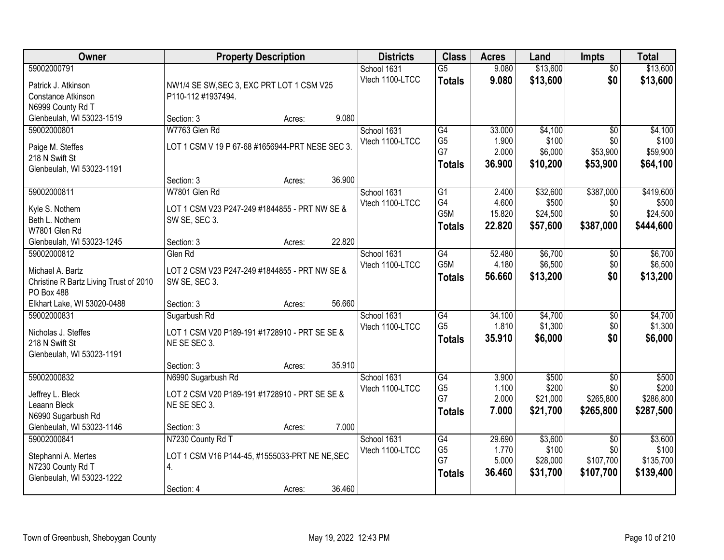| Owner                                                                                                                         | <b>Property Description</b>                                                                                               | <b>Districts</b>               | <b>Class</b>                                               | <b>Acres</b>                       | Land                                      | <b>Impts</b>                                     | <b>Total</b>                                |
|-------------------------------------------------------------------------------------------------------------------------------|---------------------------------------------------------------------------------------------------------------------------|--------------------------------|------------------------------------------------------------|------------------------------------|-------------------------------------------|--------------------------------------------------|---------------------------------------------|
| 59002000791<br>Patrick J. Atkinson<br>Constance Atkinson                                                                      | NW1/4 SE SW, SEC 3, EXC PRT LOT 1 CSM V25<br>P110-112 #1937494.                                                           | School 1631<br>Vtech 1100-LTCC | $\overline{G5}$<br><b>Totals</b>                           | 9.080<br>9.080                     | \$13,600<br>\$13,600                      | $\overline{50}$<br>\$0                           | \$13,600<br>\$13,600                        |
| N6999 County Rd T<br>Glenbeulah, WI 53023-1519                                                                                | 9.080<br>Section: 3<br>Acres:                                                                                             |                                |                                                            |                                    |                                           |                                                  |                                             |
| 59002000801<br>Paige M. Steffes<br>218 N Swift St<br>Glenbeulah, WI 53023-1191                                                | W7763 Glen Rd<br>LOT 1 CSM V 19 P 67-68 #1656944-PRT NESE SEC 3.<br>36.900<br>Section: 3<br>Acres:                        | School 1631<br>Vtech 1100-LTCC | $\overline{G4}$<br>G <sub>5</sub><br>G7<br><b>Totals</b>   | 33.000<br>1.900<br>2.000<br>36.900 | \$4,100<br>\$100<br>\$6,000<br>\$10,200   | $\overline{50}$<br>\$0<br>\$53,900<br>\$53,900   | \$4,100<br>\$100<br>\$59,900<br>\$64,100    |
| 59002000811<br>Kyle S. Nothem<br>Beth L. Nothem<br>W7801 Glen Rd<br>Glenbeulah, WI 53023-1245                                 | W7801 Glen Rd<br>LOT 1 CSM V23 P247-249 #1844855 - PRT NW SE &<br>SW SE, SEC 3.<br>22.820<br>Section: 3<br>Acres:         | School 1631<br>Vtech 1100-LTCC | $\overline{G1}$<br>G4<br>G <sub>5</sub> M<br><b>Totals</b> | 2.400<br>4.600<br>15.820<br>22.820 | \$32,600<br>\$500<br>\$24,500<br>\$57,600 | \$387,000<br>\$0<br>\$0<br>\$387,000             | \$419,600<br>\$500<br>\$24,500<br>\$444,600 |
| 59002000812<br>Michael A. Bartz<br>Christine R Bartz Living Trust of 2010<br><b>PO Box 488</b><br>Elkhart Lake, WI 53020-0488 | Glen Rd<br>LOT 2 CSM V23 P247-249 #1844855 - PRT NW SE &<br>SW SE, SEC 3.<br>56.660<br>Section: 3                         | School 1631<br>Vtech 1100-LTCC | G4<br>G5M<br><b>Totals</b>                                 | 52.480<br>4.180<br>56.660          | \$6,700<br>\$6,500<br>\$13,200            | $\sqrt[6]{3}$<br>\$0<br>\$0                      | \$6,700<br>\$6,500<br>\$13,200              |
| 59002000831<br>Nicholas J. Steffes<br>218 N Swift St<br>Glenbeulah, WI 53023-1191                                             | Acres:<br>Sugarbush Rd<br>LOT 1 CSM V20 P189-191 #1728910 - PRT SE SE &<br>NE SE SEC 3.<br>35.910<br>Section: 3<br>Acres: | School 1631<br>Vtech 1100-LTCC | $\overline{G4}$<br>G <sub>5</sub><br><b>Totals</b>         | 34.100<br>1.810<br>35.910          | \$4,700<br>\$1,300<br>\$6,000             | $\overline{50}$<br>\$0<br>\$0                    | \$4,700<br>\$1,300<br>\$6,000               |
| 59002000832<br>Jeffrey L. Bleck<br>Leaann Bleck<br>N6990 Sugarbush Rd<br>Glenbeulah, WI 53023-1146                            | N6990 Sugarbush Rd<br>LOT 2 CSM V20 P189-191 #1728910 - PRT SE SE &<br>NE SE SEC 3.<br>7.000<br>Section: 3<br>Acres:      | School 1631<br>Vtech 1100-LTCC | G4<br>G <sub>5</sub><br>G7<br><b>Totals</b>                | 3.900<br>1.100<br>2.000<br>7.000   | \$500<br>\$200<br>\$21,000<br>\$21,700    | $\overline{50}$<br>\$0<br>\$265,800<br>\$265,800 | \$500<br>\$200<br>\$286,800<br>\$287,500    |
| 59002000841<br>Stephanni A. Mertes<br>N7230 County Rd T<br>Glenbeulah, WI 53023-1222                                          | N7230 County Rd T<br>LOT 1 CSM V16 P144-45, #1555033-PRT NE NE, SEC<br>4.<br>36.460<br>Section: 4<br>Acres:               | School 1631<br>Vtech 1100-LTCC | G4<br>G <sub>5</sub><br>G7<br><b>Totals</b>                | 29.690<br>1.770<br>5.000<br>36.460 | \$3,600<br>\$100<br>\$28,000<br>\$31,700  | $\overline{30}$<br>\$0<br>\$107,700<br>\$107,700 | \$3,600<br>\$100<br>\$135,700<br>\$139,400  |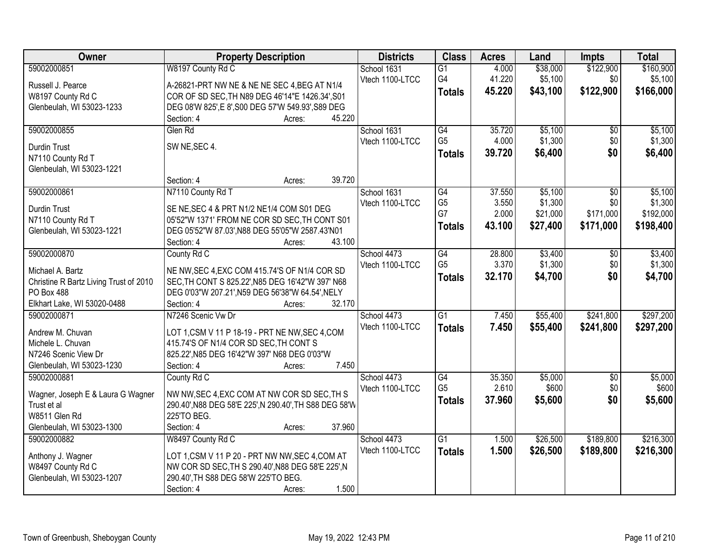| Owner                                          | <b>Property Description</b>                            | <b>Districts</b> | <b>Class</b>    | <b>Acres</b> | Land     | <b>Impts</b>    | <b>Total</b> |
|------------------------------------------------|--------------------------------------------------------|------------------|-----------------|--------------|----------|-----------------|--------------|
| 59002000851                                    | W8197 County Rd C                                      | School 1631      | $\overline{G1}$ | 4.000        | \$38,000 | \$122,900       | \$160,900    |
| Russell J. Pearce                              | A-26821-PRT NW NE & NE NE SEC 4, BEG AT N1/4           | Vtech 1100-LTCC  | G4              | 41.220       | \$5,100  | \$0             | \$5,100      |
| W8197 County Rd C                              | COR OF SD SEC, TH N89 DEG 46'14"E 1426.34', S01        |                  | <b>Totals</b>   | 45.220       | \$43,100 | \$122,900       | \$166,000    |
| Glenbeulah, WI 53023-1233                      | DEG 08'W 825', E 8', S00 DEG 57'W 549.93', S89 DEG     |                  |                 |              |          |                 |              |
|                                                | 45.220<br>Section: 4<br>Acres:                         |                  |                 |              |          |                 |              |
| 59002000855                                    | Glen Rd                                                | School 1631      | G4              | 35.720       | \$5,100  | \$0             | \$5,100      |
|                                                |                                                        | Vtech 1100-LTCC  | G <sub>5</sub>  | 4.000        | \$1,300  | \$0             | \$1,300      |
| <b>Durdin Trust</b>                            | SW NE, SEC 4.                                          |                  | Totals          | 39.720       | \$6,400  | \$0             | \$6,400      |
| N7110 County Rd T<br>Glenbeulah, WI 53023-1221 |                                                        |                  |                 |              |          |                 |              |
|                                                | 39.720<br>Section: 4<br>Acres:                         |                  |                 |              |          |                 |              |
| 59002000861                                    | N7110 County Rd T                                      | School 1631      | G4              | 37.550       | \$5,100  | $\overline{50}$ | \$5,100      |
|                                                |                                                        | Vtech 1100-LTCC  | G <sub>5</sub>  | 3.550        | \$1,300  | \$0             | \$1,300      |
| <b>Durdin Trust</b>                            | SE NE, SEC 4 & PRT N1/2 NE1/4 COM S01 DEG              |                  | G7              | 2.000        | \$21,000 | \$171,000       | \$192,000    |
| N7110 County Rd T                              | 05'52"W 1371' FROM NE COR SD SEC, TH CONT S01          |                  | <b>Totals</b>   | 43.100       | \$27,400 | \$171,000       | \$198,400    |
| Glenbeulah, WI 53023-1221                      | DEG 05'52"W 87.03', N88 DEG 55'05"W 2587.43'N01        |                  |                 |              |          |                 |              |
|                                                | 43.100<br>Section: 4<br>Acres:                         |                  |                 |              |          |                 |              |
| 59002000870                                    | County Rd C                                            | School 4473      | G4              | 28.800       | \$3,400  | \$0             | \$3,400      |
| Michael A. Bartz                               | NE NW, SEC 4, EXC COM 415.74'S OF N1/4 COR SD          | Vtech 1100-LTCC  | G <sub>5</sub>  | 3.370        | \$1,300  | \$0             | \$1,300      |
| Christine R Bartz Living Trust of 2010         | SEC, TH CONT S 825.22', N85 DEG 16'42"W 397' N68       |                  | Totals          | 32.170       | \$4,700  | \$0             | \$4,700      |
| <b>PO Box 488</b>                              | DEG 0'03"W 207.21', N59 DEG 56'38"W 64.54', NELY       |                  |                 |              |          |                 |              |
| Elkhart Lake, WI 53020-0488                    | 32.170<br>Section: 4<br>Acres:                         |                  |                 |              |          |                 |              |
| 59002000871                                    | N7246 Scenic Vw Dr                                     | School 4473      | $\overline{G1}$ | 7.450        | \$55,400 | \$241,800       | \$297,200    |
| Andrew M. Chuvan                               | LOT 1,CSM V 11 P 18-19 - PRT NE NW, SEC 4, COM         | Vtech 1100-LTCC  | <b>Totals</b>   | 7.450        | \$55,400 | \$241,800       | \$297,200    |
| Michele L. Chuvan                              | 415.74'S OF N1/4 COR SD SEC, TH CONT S                 |                  |                 |              |          |                 |              |
| N7246 Scenic View Dr                           | 825.22', N85 DEG 16'42"W 397' N68 DEG 0'03"W           |                  |                 |              |          |                 |              |
| Glenbeulah, WI 53023-1230                      | Section: 4<br>7.450<br>Acres:                          |                  |                 |              |          |                 |              |
| 59002000881                                    | County Rd C                                            | School 4473      | G4              | 35.350       | \$5,000  | $\sqrt{6}$      | \$5,000      |
|                                                |                                                        | Vtech 1100-LTCC  | G <sub>5</sub>  | 2.610        | \$600    | \$0             | \$600        |
| Wagner, Joseph E & Laura G Wagner              | NW NW, SEC 4, EXC COM AT NW COR SD SEC, TH S           |                  | <b>Totals</b>   | 37.960       | \$5,600  | \$0             | \$5,600      |
| Trust et al                                    | 290.40', N88 DEG 58'E 225', N 290.40', TH S88 DEG 58'W |                  |                 |              |          |                 |              |
| W8511 Glen Rd                                  | 225'TO BEG.                                            |                  |                 |              |          |                 |              |
| Glenbeulah, WI 53023-1300                      | 37.960<br>Section: 4<br>Acres:                         |                  |                 |              |          |                 |              |
| 59002000882                                    | W8497 County Rd C                                      | School 4473      | $\overline{G1}$ | 1.500        | \$26,500 | \$189,800       | \$216,300    |
| Anthony J. Wagner                              | LOT 1,CSM V 11 P 20 - PRT NW NW, SEC 4, COM AT         | Vtech 1100-LTCC  | <b>Totals</b>   | 1.500        | \$26,500 | \$189,800       | \$216,300    |
| W8497 County Rd C                              | NW COR SD SEC, TH S 290.40', N88 DEG 58'E 225', N      |                  |                 |              |          |                 |              |
| Glenbeulah, WI 53023-1207                      | 290.40', TH S88 DEG 58'W 225'TO BEG.                   |                  |                 |              |          |                 |              |
|                                                | 1.500<br>Section: 4<br>Acres:                          |                  |                 |              |          |                 |              |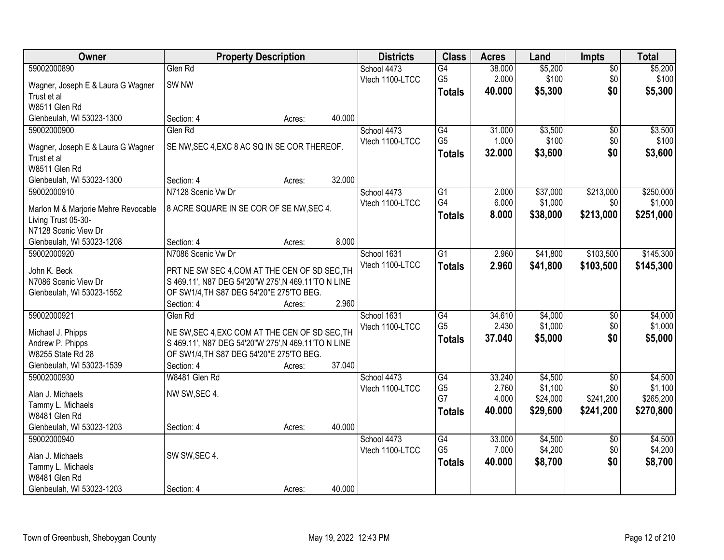| Owner                               | <b>Property Description</b>                                                                     |        |        | <b>Districts</b> | <b>Class</b>    | <b>Acres</b> | Land     | <b>Impts</b>    | <b>Total</b> |
|-------------------------------------|-------------------------------------------------------------------------------------------------|--------|--------|------------------|-----------------|--------------|----------|-----------------|--------------|
| 59002000890                         | Glen Rd                                                                                         |        |        | School 4473      | G4              | 38.000       | \$5,200  | \$0             | \$5,200      |
| Wagner, Joseph E & Laura G Wagner   | SW <sub>NW</sub>                                                                                |        |        | Vtech 1100-LTCC  | G <sub>5</sub>  | 2.000        | \$100    | \$0             | \$100        |
| Trust et al                         |                                                                                                 |        |        |                  | <b>Totals</b>   | 40.000       | \$5,300  | \$0             | \$5,300      |
| W8511 Glen Rd                       |                                                                                                 |        |        |                  |                 |              |          |                 |              |
| Glenbeulah, WI 53023-1300           | Section: 4                                                                                      | Acres: | 40.000 |                  |                 |              |          |                 |              |
| 59002000900                         | Glen Rd                                                                                         |        |        | School 4473      | $\overline{G4}$ | 31.000       | \$3,500  | \$0             | \$3,500      |
|                                     |                                                                                                 |        |        | Vtech 1100-LTCC  | G <sub>5</sub>  | 1.000        | \$100    | \$0             | \$100        |
| Wagner, Joseph E & Laura G Wagner   | SE NW, SEC 4, EXC 8 AC SQ IN SE COR THEREOF.                                                    |        |        |                  | <b>Totals</b>   | 32.000       | \$3,600  | \$0             | \$3,600      |
| Trust et al                         |                                                                                                 |        |        |                  |                 |              |          |                 |              |
| W8511 Glen Rd                       |                                                                                                 |        |        |                  |                 |              |          |                 |              |
| Glenbeulah, WI 53023-1300           | Section: 4                                                                                      | Acres: | 32.000 |                  |                 |              |          |                 |              |
| 59002000910                         | N7128 Scenic Vw Dr                                                                              |        |        | School 4473      | $\overline{G1}$ | 2.000        | \$37,000 | \$213,000       | \$250,000    |
| Marlon M & Marjorie Mehre Revocable | 8 ACRE SQUARE IN SE COR OF SE NW, SEC 4.                                                        |        |        | Vtech 1100-LTCC  | G4              | 6.000        | \$1,000  | \$0             | \$1,000      |
| Living Trust 05-30-                 |                                                                                                 |        |        |                  | <b>Totals</b>   | 8.000        | \$38,000 | \$213,000       | \$251,000    |
| N7128 Scenic View Dr                |                                                                                                 |        |        |                  |                 |              |          |                 |              |
| Glenbeulah, WI 53023-1208           | Section: 4                                                                                      | Acres: | 8.000  |                  |                 |              |          |                 |              |
| 59002000920                         | N7086 Scenic Vw Dr                                                                              |        |        | School 1631      | $\overline{G1}$ | 2.960        | \$41,800 | \$103,500       | \$145,300    |
|                                     |                                                                                                 |        |        | Vtech 1100-LTCC  | <b>Totals</b>   | 2.960        | \$41,800 | \$103,500       | \$145,300    |
| John K. Beck                        | PRT NE SW SEC 4, COM AT THE CEN OF SD SEC, TH                                                   |        |        |                  |                 |              |          |                 |              |
| N7086 Scenic View Dr                | S 469.11', N87 DEG 54'20"W 275', N 469.11'TO N LINE<br>OF SW1/4, TH S87 DEG 54'20"E 275'TO BEG. |        |        |                  |                 |              |          |                 |              |
| Glenbeulah, WI 53023-1552           | Section: 4                                                                                      | Acres: | 2.960  |                  |                 |              |          |                 |              |
| 59002000921                         | Glen Rd                                                                                         |        |        | School 1631      | $\overline{G4}$ | 34.610       | \$4,000  | \$0             | \$4,000      |
|                                     |                                                                                                 |        |        | Vtech 1100-LTCC  | G <sub>5</sub>  | 2.430        | \$1,000  | \$0             | \$1,000      |
| Michael J. Phipps                   | NE SW, SEC 4, EXC COM AT THE CEN OF SD SEC, TH                                                  |        |        |                  |                 | 37.040       | \$5,000  | \$0             | \$5,000      |
| Andrew P. Phipps                    | S 469.11', N87 DEG 54'20"W 275', N 469.11'TO N LINE                                             |        |        |                  | <b>Totals</b>   |              |          |                 |              |
| W8255 State Rd 28                   | OF SW1/4, TH S87 DEG 54'20"E 275'TO BEG.                                                        |        |        |                  |                 |              |          |                 |              |
| Glenbeulah, WI 53023-1539           | Section: 4                                                                                      | Acres: | 37.040 |                  |                 |              |          |                 |              |
| 59002000930                         | W8481 Glen Rd                                                                                   |        |        | School 4473      | G4              | 33.240       | \$4,500  | $\overline{50}$ | \$4,500      |
| Alan J. Michaels                    | NW SW, SEC 4.                                                                                   |        |        | Vtech 1100-LTCC  | G <sub>5</sub>  | 2.760        | \$1,100  | \$0             | \$1,100      |
| Tammy L. Michaels                   |                                                                                                 |        |        |                  | G7              | 4.000        | \$24,000 | \$241,200       | \$265,200    |
| W8481 Glen Rd                       |                                                                                                 |        |        |                  | <b>Totals</b>   | 40,000       | \$29,600 | \$241,200       | \$270,800    |
| Glenbeulah, WI 53023-1203           | Section: 4                                                                                      | Acres: | 40.000 |                  |                 |              |          |                 |              |
| 59002000940                         |                                                                                                 |        |        | School 4473      | G4              | 33.000       | \$4,500  | $\overline{50}$ | \$4,500      |
|                                     |                                                                                                 |        |        | Vtech 1100-LTCC  | G <sub>5</sub>  | 7.000        | \$4,200  | \$0             | \$4,200      |
| Alan J. Michaels                    | SW SW, SEC 4.                                                                                   |        |        |                  | <b>Totals</b>   | 40.000       | \$8,700  | \$0             | \$8,700      |
| Tammy L. Michaels                   |                                                                                                 |        |        |                  |                 |              |          |                 |              |
| W8481 Glen Rd                       |                                                                                                 |        |        |                  |                 |              |          |                 |              |
| Glenbeulah, WI 53023-1203           | Section: 4                                                                                      | Acres: | 40.000 |                  |                 |              |          |                 |              |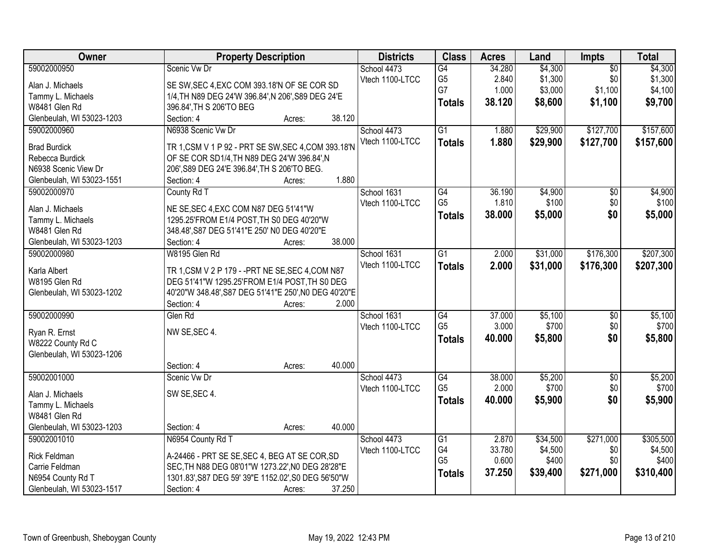| Owner                     | <b>Property Description</b>                           |        |        | <b>Districts</b> | <b>Class</b>    | <b>Acres</b> | Land                | <b>Impts</b>    | <b>Total</b> |
|---------------------------|-------------------------------------------------------|--------|--------|------------------|-----------------|--------------|---------------------|-----------------|--------------|
| 59002000950               | Scenic Vw Dr                                          |        |        | School 4473      | G4              | 34.280       | \$4,300             | $\overline{50}$ | \$4,300      |
| Alan J. Michaels          | SE SW, SEC 4, EXC COM 393.18'N OF SE COR SD           |        |        | Vtech 1100-LTCC  | G <sub>5</sub>  | 2.840        | \$1,300             | \$0             | \$1,300      |
| Tammy L. Michaels         | 1/4, TH N89 DEG 24'W 396.84', N 206', S89 DEG 24'E    |        |        |                  | G7              | 1.000        | \$3,000             | \$1,100         | \$4,100      |
| W8481 Glen Rd             | 396.84', TH S 206'TO BEG                              |        |        |                  | <b>Totals</b>   | 38.120       | \$8,600             | \$1,100         | \$9,700      |
| Glenbeulah, WI 53023-1203 | Section: 4                                            | Acres: | 38.120 |                  |                 |              |                     |                 |              |
| 59002000960               | N6938 Scenic Vw Dr                                    |        |        | School 4473      | $\overline{G1}$ | 1.880        | \$29,900            | \$127,700       | \$157,600    |
|                           |                                                       |        |        | Vtech 1100-LTCC  | <b>Totals</b>   | 1.880        | \$29,900            | \$127,700       | \$157,600    |
| <b>Brad Burdick</b>       | TR 1, CSM V 1 P 92 - PRT SE SW, SEC 4, COM 393.18'N   |        |        |                  |                 |              |                     |                 |              |
| Rebecca Burdick           | OF SE COR SD1/4, TH N89 DEG 24'W 396.84', N           |        |        |                  |                 |              |                     |                 |              |
| N6938 Scenic View Dr      | 206', S89 DEG 24'E 396.84', TH S 206'TO BEG.          |        |        |                  |                 |              |                     |                 |              |
| Glenbeulah, WI 53023-1551 | Section: 4                                            | Acres: | 1.880  |                  |                 |              |                     |                 |              |
| 59002000970               | County Rd T                                           |        |        | School 1631      | G4              | 36.190       | \$4,900             | $\overline{50}$ | \$4,900      |
| Alan J. Michaels          | NE SE, SEC 4, EXC COM N87 DEG 51'41"W                 |        |        | Vtech 1100-LTCC  | G <sub>5</sub>  | 1.810        | \$100               | \$0             | \$100        |
| Tammy L. Michaels         | 1295.25'FROM E1/4 POST, TH S0 DEG 40'20"W             |        |        |                  | <b>Totals</b>   | 38,000       | \$5,000             | \$0             | \$5,000      |
| W8481 Glen Rd             | 348.48', S87 DEG 51'41"E 250' N0 DEG 40'20"E          |        |        |                  |                 |              |                     |                 |              |
| Glenbeulah, WI 53023-1203 | Section: 4                                            | Acres: | 38.000 |                  |                 |              |                     |                 |              |
| 59002000980               | W8195 Glen Rd                                         |        |        | School 1631      | G1              | 2.000        | \$31,000            | \$176,300       | \$207,300    |
|                           |                                                       |        |        | Vtech 1100-LTCC  | <b>Totals</b>   | 2.000        | \$31,000            | \$176,300       | \$207,300    |
| Karla Albert              | TR 1, CSM V 2 P 179 - - PRT NE SE, SEC 4, COM N87     |        |        |                  |                 |              |                     |                 |              |
| W8195 Glen Rd             | DEG 51'41"W 1295.25'FROM E1/4 POST, TH S0 DEG         |        |        |                  |                 |              |                     |                 |              |
| Glenbeulah, WI 53023-1202 | 40'20"W 348.48', S87 DEG 51'41"E 250', N0 DEG 40'20"E |        |        |                  |                 |              |                     |                 |              |
|                           | Section: 4                                            | Acres: | 2.000  |                  |                 |              |                     |                 |              |
| 59002000990               | Glen Rd                                               |        |        | School 1631      | $\overline{G4}$ | 37.000       | \$5,100             | $\overline{50}$ | \$5,100      |
| Ryan R. Ernst             | NW SE, SEC 4.                                         |        |        | Vtech 1100-LTCC  | G <sub>5</sub>  | 3.000        | \$700               | \$0             | \$700        |
| W8222 County Rd C         |                                                       |        |        |                  | <b>Totals</b>   | 40.000       | \$5,800             | \$0             | \$5,800      |
| Glenbeulah, WI 53023-1206 |                                                       |        |        |                  |                 |              |                     |                 |              |
|                           | Section: 4                                            | Acres: | 40.000 |                  |                 |              |                     |                 |              |
| 59002001000               | Scenic Vw Dr                                          |        |        | School 4473      | G4              | 38.000       | \$5,200             | $\overline{60}$ | \$5,200      |
| Alan J. Michaels          | SW SE, SEC 4.                                         |        |        | Vtech 1100-LTCC  | G <sub>5</sub>  | 2.000        | \$700               | \$0             | \$700        |
| Tammy L. Michaels         |                                                       |        |        |                  | <b>Totals</b>   | 40.000       | \$5,900             | \$0             | \$5,900      |
| W8481 Glen Rd             |                                                       |        |        |                  |                 |              |                     |                 |              |
| Glenbeulah, WI 53023-1203 | Section: 4                                            | Acres: | 40.000 |                  |                 |              |                     |                 |              |
| 59002001010               | N6954 County Rd T                                     |        |        |                  | G1              | 2.870        |                     | \$271,000       | \$305,500    |
|                           |                                                       |        |        | School 4473      | G4              | 33.780       | \$34,500<br>\$4,500 | \$0             | \$4,500      |
| <b>Rick Feldman</b>       | A-24466 - PRT SE SE, SEC 4, BEG AT SE COR, SD         |        |        | Vtech 1100-LTCC  | G <sub>5</sub>  | 0.600        | \$400               | \$0             | \$400        |
| Carrie Feldman            | SEC, TH N88 DEG 08'01"W 1273.22', N0 DEG 28'28"E      |        |        |                  |                 | 37.250       |                     |                 |              |
| N6954 County Rd T         | 1301.83', S87 DEG 59' 39"E 1152.02', S0 DEG 56'50"W   |        |        |                  | <b>Totals</b>   |              | \$39,400            | \$271,000       | \$310,400    |
| Glenbeulah, WI 53023-1517 | Section: 4                                            | Acres: | 37.250 |                  |                 |              |                     |                 |              |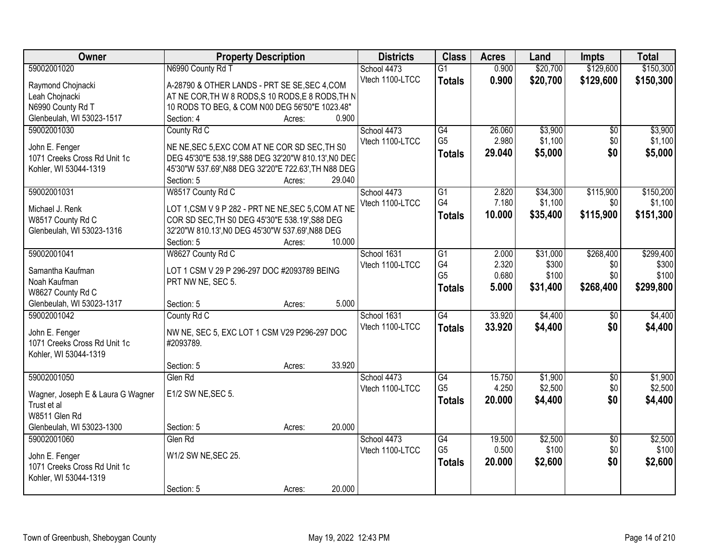| Owner                             | <b>Property Description</b>                          |        |        | <b>Districts</b>               | <b>Class</b>    | <b>Acres</b>    | Land               | <b>Impts</b>       | <b>Total</b>       |
|-----------------------------------|------------------------------------------------------|--------|--------|--------------------------------|-----------------|-----------------|--------------------|--------------------|--------------------|
| 59002001020                       | N6990 County Rd T                                    |        |        | School 4473                    | $\overline{G1}$ | 0.900           | \$20,700           | \$129,600          | \$150,300          |
| Raymond Chojnacki                 | A-28790 & OTHER LANDS - PRT SE SE, SEC 4, COM        |        |        | Vtech 1100-LTCC                | <b>Totals</b>   | 0.900           | \$20,700           | \$129,600          | \$150,300          |
| Leah Chojnacki                    | AT NE COR, TH W 8 RODS, S 10 RODS, E 8 RODS, TH N    |        |        |                                |                 |                 |                    |                    |                    |
| N6990 County Rd T                 | 10 RODS TO BEG, & COM N00 DEG 56'50"E 1023.48"       |        |        |                                |                 |                 |                    |                    |                    |
| Glenbeulah, WI 53023-1517         | Section: 4                                           | Acres: | 0.900  |                                |                 |                 |                    |                    |                    |
| 59002001030                       | County Rd C                                          |        |        | School 4473                    | G4              | 26.060          | \$3,900            | $\overline{50}$    | \$3,900            |
|                                   |                                                      |        |        | Vtech 1100-LTCC                | G <sub>5</sub>  | 2.980           | \$1,100            | \$0                | \$1,100            |
| John E. Fenger                    | NE NE, SEC 5, EXC COM AT NE COR SD SEC, TH S0        |        |        |                                | <b>Totals</b>   | 29.040          | \$5,000            | \$0                | \$5,000            |
| 1071 Creeks Cross Rd Unit 1c      | DEG 45'30"E 538.19', S88 DEG 32'20"W 810.13', NO DEC |        |        |                                |                 |                 |                    |                    |                    |
| Kohler, WI 53044-1319             | 45'30"W 537.69', N88 DEG 32'20"E 722.63', TH N88 DEG |        | 29.040 |                                |                 |                 |                    |                    |                    |
| 59002001031                       | Section: 5<br>W8517 County Rd C                      | Acres: |        | School 4473                    | $\overline{G1}$ | 2.820           | \$34,300           | \$115,900          | \$150,200          |
|                                   |                                                      |        |        | Vtech 1100-LTCC                | G4              | 7.180           | \$1,100            | \$0                | \$1,100            |
| Michael J. Renk                   | LOT 1, CSM V 9 P 282 - PRT NE NE, SEC 5, COM AT NE   |        |        |                                |                 | 10.000          | \$35,400           | \$115,900          | \$151,300          |
| W8517 County Rd C                 | COR SD SEC, TH S0 DEG 45'30"E 538.19', S88 DEG       |        |        |                                | <b>Totals</b>   |                 |                    |                    |                    |
| Glenbeulah, WI 53023-1316         | 32'20"W 810.13', NO DEG 45'30"W 537.69', N88 DEG     |        |        |                                |                 |                 |                    |                    |                    |
|                                   | Section: 5                                           | Acres: | 10.000 |                                |                 |                 |                    |                    |                    |
| 59002001041                       | W8627 County Rd C                                    |        |        | School 1631                    | $\overline{G1}$ | 2.000           | \$31,000           | \$268,400          | \$299,400          |
| Samantha Kaufman                  | LOT 1 CSM V 29 P 296-297 DOC #2093789 BEING          |        |        | Vtech 1100-LTCC                | G4              | 2.320           | \$300              | \$0                | \$300              |
| Noah Kaufman                      | PRT NW NE, SEC 5.                                    |        |        |                                | G <sub>5</sub>  | 0.680           | \$100              | \$0                | \$100              |
| W8627 County Rd C                 |                                                      |        |        |                                | <b>Totals</b>   | 5.000           | \$31,400           | \$268,400          | \$299,800          |
| Glenbeulah, WI 53023-1317         | Section: 5                                           | Acres: | 5.000  |                                |                 |                 |                    |                    |                    |
| 59002001042                       | County Rd C                                          |        |        | School 1631                    | G4              | 33.920          | \$4,400            | $\overline{50}$    | \$4,400            |
|                                   |                                                      |        |        | Vtech 1100-LTCC                | <b>Totals</b>   | 33.920          | \$4,400            | \$0                | \$4,400            |
| John E. Fenger                    | NW NE, SEC 5, EXC LOT 1 CSM V29 P296-297 DOC         |        |        |                                |                 |                 |                    |                    |                    |
| 1071 Creeks Cross Rd Unit 1c      | #2093789.                                            |        |        |                                |                 |                 |                    |                    |                    |
| Kohler, WI 53044-1319             |                                                      |        | 33.920 |                                |                 |                 |                    |                    |                    |
| 59002001050                       | Section: 5                                           | Acres: |        |                                | G4              |                 |                    |                    |                    |
|                                   | Glen Rd                                              |        |        | School 4473<br>Vtech 1100-LTCC | G <sub>5</sub>  | 15.750<br>4.250 | \$1,900<br>\$2,500 | $\sqrt{$0}$<br>\$0 | \$1,900<br>\$2,500 |
| Wagner, Joseph E & Laura G Wagner | E1/2 SW NE, SEC 5.                                   |        |        |                                |                 |                 |                    |                    |                    |
| Trust et al                       |                                                      |        |        |                                | <b>Totals</b>   | 20.000          | \$4,400            | \$0                | \$4,400            |
| W8511 Glen Rd                     |                                                      |        |        |                                |                 |                 |                    |                    |                    |
| Glenbeulah, WI 53023-1300         | Section: 5                                           | Acres: | 20.000 |                                |                 |                 |                    |                    |                    |
| 59002001060                       | Glen Rd                                              |        |        | School 4473                    | $\overline{G4}$ | 19.500          | \$2,500            | $\overline{30}$    | \$2,500            |
| John E. Fenger                    | W1/2 SW NE, SEC 25.                                  |        |        | Vtech 1100-LTCC                | G <sub>5</sub>  | 0.500           | \$100              | \$0                | \$100              |
| 1071 Creeks Cross Rd Unit 1c      |                                                      |        |        |                                | <b>Totals</b>   | 20,000          | \$2,600            | \$0                | \$2,600            |
| Kohler, WI 53044-1319             |                                                      |        |        |                                |                 |                 |                    |                    |                    |
|                                   | Section: 5                                           | Acres: | 20.000 |                                |                 |                 |                    |                    |                    |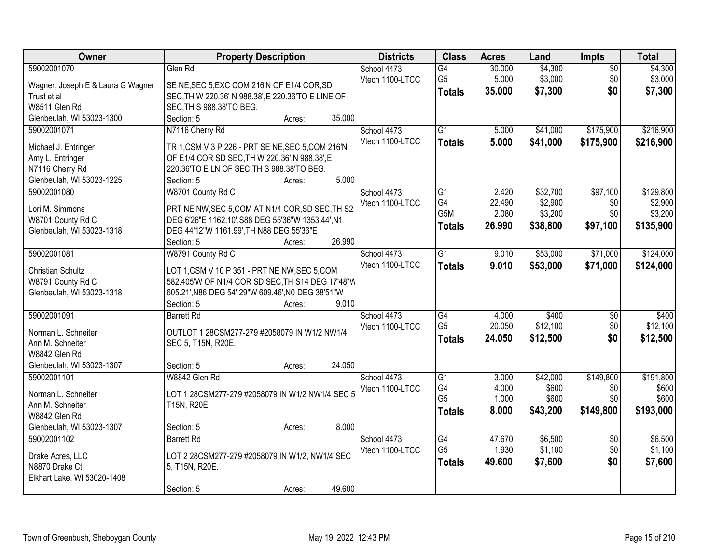| Owner                               | <b>Property Description</b>                                                                  | <b>Districts</b> | <b>Class</b>         | <b>Acres</b>   | Land           | <b>Impts</b>    | <b>Total</b>   |
|-------------------------------------|----------------------------------------------------------------------------------------------|------------------|----------------------|----------------|----------------|-----------------|----------------|
| 59002001070                         | Glen Rd                                                                                      | School 4473      | $\overline{G4}$      | 30.000         | \$4,300        | $\overline{50}$ | \$4,300        |
| Wagner, Joseph E & Laura G Wagner   | SE NE, SEC 5, EXC COM 216'N OF E1/4 COR, SD                                                  | Vtech 1100-LTCC  | G <sub>5</sub>       | 5.000          | \$3,000        | \$0             | \$3,000        |
| Trust et al                         | SEC, TH W 220.36' N 988.38', E 220.36'TO E LINE OF                                           |                  | <b>Totals</b>        | 35.000         | \$7,300        | \$0             | \$7,300        |
| W8511 Glen Rd                       | SEC, TH S 988.38'TO BEG.                                                                     |                  |                      |                |                |                 |                |
| Glenbeulah, WI 53023-1300           | Section: 5<br>35.000<br>Acres:                                                               |                  |                      |                |                |                 |                |
| 59002001071                         | N7116 Cherry Rd                                                                              | School 4473      | $\overline{G1}$      | 5.000          | \$41,000       | \$175,900       | \$216,900      |
|                                     |                                                                                              | Vtech 1100-LTCC  | <b>Totals</b>        | 5.000          | \$41,000       | \$175,900       | \$216,900      |
| Michael J. Entringer                | TR 1, CSM V 3 P 226 - PRT SE NE, SEC 5, COM 216'N                                            |                  |                      |                |                |                 |                |
| Amy L. Entringer<br>N7116 Cherry Rd | OF E1/4 COR SD SEC, TH W 220.36', N 988.38', E<br>220.36'TO E LN OF SEC, TH S 988.38'TO BEG. |                  |                      |                |                |                 |                |
| Glenbeulah, WI 53023-1225           | 5.000<br>Section: 5<br>Acres:                                                                |                  |                      |                |                |                 |                |
| 59002001080                         | W8701 County Rd C                                                                            | School 4473      | $\overline{G1}$      | 2.420          | \$32,700       | \$97,100        | \$129,800      |
|                                     |                                                                                              | Vtech 1100-LTCC  | G4                   | 22.490         | \$2,900        | \$0             | \$2,900        |
| Lori M. Simmons                     | PRT NE NW, SEC 5, COM AT N1/4 COR, SD SEC, TH S2                                             |                  | G5M                  | 2.080          | \$3,200        | \$0             | \$3,200        |
| W8701 County Rd C                   | DEG 6'26"E 1162.10', S88 DEG 55'36"W 1353.44', N1                                            |                  | <b>Totals</b>        | 26.990         | \$38,800       | \$97,100        | \$135,900      |
| Glenbeulah, WI 53023-1318           | DEG 44'12"W 1161.99', TH N88 DEG 55'36"E                                                     |                  |                      |                |                |                 |                |
|                                     | 26.990<br>Section: 5<br>Acres:                                                               |                  |                      |                |                |                 |                |
| 59002001081                         | W8791 County Rd C                                                                            | School 4473      | $\overline{G1}$      | 9.010          | \$53,000       | \$71,000        | \$124,000      |
| Christian Schultz                   | LOT 1,CSM V 10 P 351 - PRT NE NW, SEC 5, COM                                                 | Vtech 1100-LTCC  | <b>Totals</b>        | 9.010          | \$53,000       | \$71,000        | \$124,000      |
| W8791 County Rd C                   | 582.405'W OF N1/4 COR SD SEC, TH S14 DEG 17'48"W                                             |                  |                      |                |                |                 |                |
| Glenbeulah, WI 53023-1318           | 605.21', N86 DEG 54' 29"W 609.46', N0 DEG 38'51"W                                            |                  |                      |                |                |                 |                |
|                                     | 9.010<br>Section: 5<br>Acres:                                                                |                  |                      |                |                |                 |                |
| 59002001091                         | <b>Barrett Rd</b>                                                                            | School 4473      | $\overline{G4}$      | 4.000          | \$400          | $\overline{50}$ | \$400          |
|                                     |                                                                                              | Vtech 1100-LTCC  | G <sub>5</sub>       | 20.050         | \$12,100       | \$0             | \$12,100       |
| Norman L. Schneiter                 | OUTLOT 1 28CSM277-279 #2058079 IN W1/2 NW1/4                                                 |                  | <b>Totals</b>        | 24.050         | \$12,500       | \$0             | \$12,500       |
| Ann M. Schneiter                    | SEC 5, T15N, R20E.                                                                           |                  |                      |                |                |                 |                |
| W8842 Glen Rd                       |                                                                                              |                  |                      |                |                |                 |                |
| Glenbeulah, WI 53023-1307           | 24.050<br>Section: 5<br>Acres:                                                               |                  |                      |                |                |                 |                |
| 59002001101                         | W8842 Glen Rd                                                                                | School 4473      | $\overline{G1}$      | 3.000          | \$42,000       | \$149,800       | \$191,800      |
| Norman L. Schneiter                 | LOT 1 28CSM277-279 #2058079 IN W1/2 NW1/4 SEC 5                                              | Vtech 1100-LTCC  | G4<br>G <sub>5</sub> | 4.000<br>1.000 | \$600<br>\$600 | \$0<br>\$0      | \$600<br>\$600 |
| Ann M. Schneiter                    | T15N, R20E.                                                                                  |                  |                      |                |                |                 |                |
| W8842 Glen Rd                       |                                                                                              |                  | <b>Totals</b>        | 8.000          | \$43,200       | \$149,800       | \$193,000      |
| Glenbeulah, WI 53023-1307           | 8.000<br>Section: 5<br>Acres:                                                                |                  |                      |                |                |                 |                |
| 59002001102                         | <b>Barrett Rd</b>                                                                            | School 4473      | G4                   | 47.670         | \$6,500        | $\overline{30}$ | \$6,500        |
| Drake Acres, LLC                    | LOT 2 28CSM277-279 #2058079 IN W1/2, NW1/4 SEC                                               | Vtech 1100-LTCC  | G <sub>5</sub>       | 1.930          | \$1,100        | \$0             | \$1,100        |
| N8870 Drake Ct                      | 5, T15N, R20E.                                                                               |                  | <b>Totals</b>        | 49.600         | \$7,600        | \$0             | \$7,600        |
| Elkhart Lake, WI 53020-1408         |                                                                                              |                  |                      |                |                |                 |                |
|                                     | 49.600<br>Section: 5<br>Acres:                                                               |                  |                      |                |                |                 |                |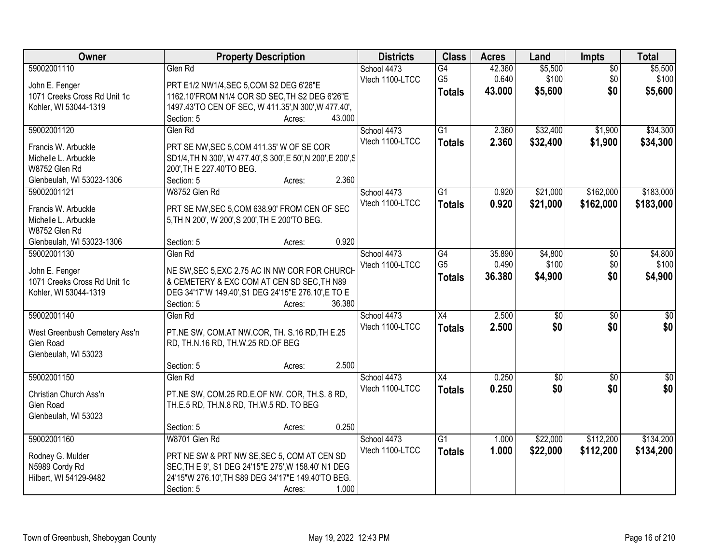| Owner                         |                                                     | <b>Property Description</b>                                   |        | <b>Districts</b>               | <b>Class</b>                     | <b>Acres</b>    | Land                   | <b>Impts</b>           | <b>Total</b>         |
|-------------------------------|-----------------------------------------------------|---------------------------------------------------------------|--------|--------------------------------|----------------------------------|-----------------|------------------------|------------------------|----------------------|
| 59002001110<br>John E. Fenger | Glen Rd<br>PRT E1/2 NW1/4, SEC 5, COM S2 DEG 6'26"E |                                                               |        | School 4473<br>Vtech 1100-LTCC | G4<br>G <sub>5</sub>             | 42.360<br>0.640 | \$5,500<br>\$100       | $\sqrt{$0}$<br>\$0     | \$5,500<br>\$100     |
| 1071 Creeks Cross Rd Unit 1c  |                                                     | 1162.10'FROM N1/4 COR SD SEC, TH S2 DEG 6'26"E                |        |                                | <b>Totals</b>                    | 43.000          | \$5,600                | \$0                    | \$5,600              |
| Kohler, WI 53044-1319         |                                                     | 1497.43'TO CEN OF SEC, W 411.35', N 300', W 477.40',          |        |                                |                                  |                 |                        |                        |                      |
|                               | Section: 5                                          | Acres:                                                        | 43.000 |                                |                                  |                 |                        |                        |                      |
| 59002001120                   | Glen Rd                                             |                                                               |        | School 4473<br>Vtech 1100-LTCC | $\overline{G1}$<br><b>Totals</b> | 2.360<br>2.360  | \$32,400<br>\$32,400   | \$1,900<br>\$1,900     | \$34,300<br>\$34,300 |
| Francis W. Arbuckle           |                                                     | PRT SE NW, SEC 5, COM 411.35' W OF SE COR                     |        |                                |                                  |                 |                        |                        |                      |
| Michelle L. Arbuckle          |                                                     | SD1/4, TH N 300', W 477.40', S 300', E 50', N 200', E 200', S |        |                                |                                  |                 |                        |                        |                      |
| W8752 Glen Rd                 | 200', TH E 227.40'TO BEG.                           |                                                               |        |                                |                                  |                 |                        |                        |                      |
| Glenbeulah, WI 53023-1306     | Section: 5                                          | Acres:                                                        | 2.360  |                                |                                  |                 |                        |                        |                      |
| 59002001121                   | W8752 Glen Rd                                       |                                                               |        | School 4473                    | $\overline{G1}$                  | 0.920           | \$21,000               | \$162,000              | \$183,000            |
| Francis W. Arbuckle           |                                                     | PRT SE NW, SEC 5, COM 638.90' FROM CEN OF SEC                 |        | Vtech 1100-LTCC                | <b>Totals</b>                    | 0.920           | \$21,000               | \$162,000              | \$183,000            |
| Michelle L. Arbuckle          | 5, TH N 200', W 200', S 200', TH E 200'TO BEG.      |                                                               |        |                                |                                  |                 |                        |                        |                      |
| W8752 Glen Rd                 |                                                     |                                                               |        |                                |                                  |                 |                        |                        |                      |
| Glenbeulah, WI 53023-1306     | Section: 5                                          | Acres:                                                        | 0.920  |                                |                                  |                 |                        |                        |                      |
| 59002001130                   | Glen Rd                                             |                                                               |        | School 4473                    | G4                               | 35.890          | \$4,800                | \$0                    | \$4,800              |
| John E. Fenger                |                                                     | NE SW, SEC 5, EXC 2.75 AC IN NW COR FOR CHURCH                |        | Vtech 1100-LTCC                | G <sub>5</sub>                   | 0.490           | \$100                  | \$0                    | \$100                |
| 1071 Creeks Cross Rd Unit 1c  |                                                     | & CEMETERY & EXC COM AT CEN SD SEC, TH N89                    |        |                                | <b>Totals</b>                    | 36.380          | \$4,900                | \$0                    | \$4,900              |
| Kohler, WI 53044-1319         |                                                     | DEG 34'17"W 149.40', S1 DEG 24'15"E 276.10', E TO E           |        |                                |                                  |                 |                        |                        |                      |
|                               | Section: 5                                          | Acres:                                                        | 36.380 |                                |                                  |                 |                        |                        |                      |
| 59002001140                   | Glen Rd                                             |                                                               |        | School 4473<br>Vtech 1100-LTCC | X4<br><b>Totals</b>              | 2.500<br>2.500  | $\overline{50}$<br>\$0 | $\overline{50}$<br>\$0 | $\sqrt{50}$<br>\$0   |
| West Greenbush Cemetery Ass'n |                                                     | PT.NE SW, COM.AT NW.COR, TH. S.16 RD, TH E.25                 |        |                                |                                  |                 |                        |                        |                      |
| Glen Road                     | RD, TH.N.16 RD, TH.W.25 RD.OF BEG                   |                                                               |        |                                |                                  |                 |                        |                        |                      |
| Glenbeulah, WI 53023          |                                                     |                                                               |        |                                |                                  |                 |                        |                        |                      |
|                               | Section: 5                                          | Acres:                                                        | 2.500  |                                |                                  |                 |                        |                        |                      |
| 59002001150                   | Glen Rd                                             |                                                               |        | School 4473                    | X4                               | 0.250           | $\sqrt{50}$            | \$0                    | \$0                  |
| Christian Church Ass'n        |                                                     | PT.NE SW, COM.25 RD.E.OF NW. COR, TH.S. 8 RD,                 |        | Vtech 1100-LTCC                | <b>Totals</b>                    | 0.250           | \$0                    | \$0                    | \$0                  |
| Glen Road                     | TH.E.5 RD, TH.N.8 RD, TH.W.5 RD. TO BEG             |                                                               |        |                                |                                  |                 |                        |                        |                      |
| Glenbeulah, WI 53023          |                                                     |                                                               |        |                                |                                  |                 |                        |                        |                      |
|                               | Section: 5                                          | Acres:                                                        | 0.250  |                                |                                  |                 |                        |                        |                      |
| 59002001160                   | W8701 Glen Rd                                       |                                                               |        | School 4473                    | G1                               | 1.000           | \$22,000               | \$112,200              | \$134,200            |
|                               |                                                     |                                                               |        | Vtech 1100-LTCC                | <b>Totals</b>                    | 1.000           | \$22,000               | \$112,200              | \$134,200            |
| Rodney G. Mulder              |                                                     | PRT NE SW & PRT NW SE, SEC 5, COM AT CEN SD                   |        |                                |                                  |                 |                        |                        |                      |
| N5989 Cordy Rd                | SEC, TH E 9', S1 DEG 24'15"E 275', W 158.40' N1 DEG |                                                               |        |                                |                                  |                 |                        |                        |                      |
| Hilbert, WI 54129-9482        | 24'15"W 276.10', TH S89 DEG 34'17"E 149.40'TO BEG.  |                                                               |        |                                |                                  |                 |                        |                        |                      |
|                               | Section: 5                                          | Acres:                                                        | 1.000  |                                |                                  |                 |                        |                        |                      |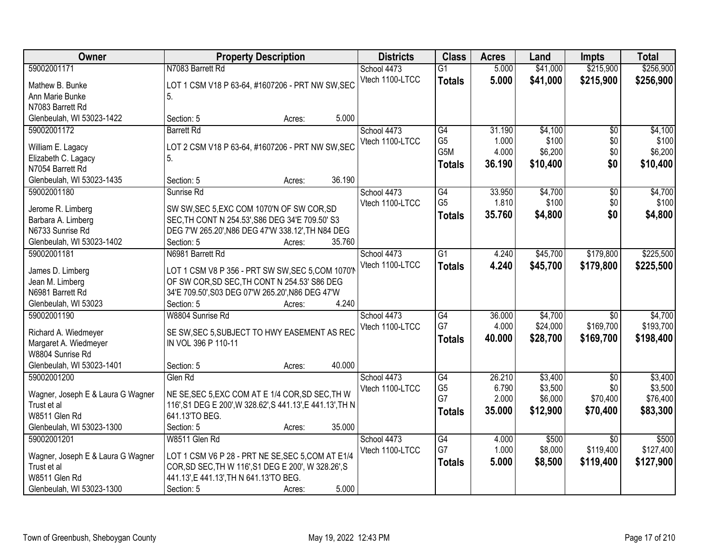| Owner                               | <b>Property Description</b>                                |        | <b>Districts</b> | <b>Class</b>                      | <b>Acres</b> | Land     | <b>Impts</b>    | <b>Total</b> |
|-------------------------------------|------------------------------------------------------------|--------|------------------|-----------------------------------|--------------|----------|-----------------|--------------|
| 59002001171                         | N7083 Barrett Rd                                           |        | School 4473      | $\overline{G1}$                   | 5.000        | \$41,000 | \$215,900       | \$256,900    |
| Mathew B. Bunke                     | LOT 1 CSM V18 P 63-64, #1607206 - PRT NW SW, SEC           |        | Vtech 1100-LTCC  | <b>Totals</b>                     | 5.000        | \$41,000 | \$215,900       | \$256,900    |
| Ann Marie Bunke                     | 5.                                                         |        |                  |                                   |              |          |                 |              |
| N7083 Barrett Rd                    |                                                            |        |                  |                                   |              |          |                 |              |
| Glenbeulah, WI 53023-1422           | Section: 5<br>Acres:                                       | 5.000  |                  |                                   |              |          |                 |              |
| 59002001172                         | <b>Barrett Rd</b>                                          |        | School 4473      | G4                                | 31.190       | \$4,100  | $\overline{50}$ | \$4,100      |
|                                     |                                                            |        | Vtech 1100-LTCC  | G <sub>5</sub>                    | 1.000        | \$100    | \$0             | \$100        |
| William E. Lagacy                   | LOT 2 CSM V18 P 63-64, #1607206 - PRT NW SW, SEC           |        |                  | G <sub>5</sub> M                  | 4.000        | \$6,200  | \$0             | \$6,200      |
| Elizabeth C. Lagacy                 | 5.                                                         |        |                  | <b>Totals</b>                     | 36.190       | \$10,400 | \$0             | \$10,400     |
| N7054 Barrett Rd                    |                                                            | 36.190 |                  |                                   |              |          |                 |              |
| Glenbeulah, WI 53023-1435           | Section: 5<br>Acres:                                       |        |                  |                                   |              |          |                 |              |
| 59002001180                         | Sunrise Rd                                                 |        | School 4473      | $\overline{G4}$<br>G <sub>5</sub> | 33.950       | \$4,700  | $\overline{50}$ | \$4,700      |
| Jerome R. Limberg                   | SW SW, SEC 5, EXC COM 1070'N OF SW COR, SD                 |        | Vtech 1100-LTCC  |                                   | 1.810        | \$100    | \$0             | \$100        |
| Barbara A. Limberg                  | SEC, TH CONT N 254.53', S86 DEG 34'E 709.50' S3            |        |                  | <b>Totals</b>                     | 35.760       | \$4,800  | \$0             | \$4,800      |
| N6733 Sunrise Rd                    | DEG 7'W 265.20', N86 DEG 47'W 338.12', TH N84 DEG          |        |                  |                                   |              |          |                 |              |
| Glenbeulah, WI 53023-1402           | Section: 5<br>Acres:                                       | 35.760 |                  |                                   |              |          |                 |              |
| 59002001181                         | N6981 Barrett Rd                                           |        | School 4473      | $\overline{G1}$                   | 4.240        | \$45,700 | \$179,800       | \$225,500    |
|                                     | LOT 1 CSM V8 P 356 - PRT SW SW, SEC 5, COM 1070'N          |        | Vtech 1100-LTCC  | <b>Totals</b>                     | 4.240        | \$45,700 | \$179,800       | \$225,500    |
| James D. Limberg<br>Jean M. Limberg | OF SW COR, SD SEC, TH CONT N 254.53' S86 DEG               |        |                  |                                   |              |          |                 |              |
| N6981 Barrett Rd                    | 34'E 709.50', S03 DEG 07'W 265.20', N86 DEG 47'W           |        |                  |                                   |              |          |                 |              |
| Glenbeulah, WI 53023                | Section: 5<br>Acres:                                       | 4.240  |                  |                                   |              |          |                 |              |
| 59002001190                         | W8804 Sunrise Rd                                           |        | School 4473      | $\overline{G4}$                   | 36.000       | \$4,700  | $\overline{30}$ | \$4,700      |
|                                     |                                                            |        | Vtech 1100-LTCC  | G7                                | 4.000        | \$24,000 | \$169,700       | \$193,700    |
| Richard A. Wiedmeyer                | SE SW, SEC 5, SUBJECT TO HWY EASEMENT AS REC               |        |                  |                                   | 40.000       | \$28,700 | \$169,700       | \$198,400    |
| Margaret A. Wiedmeyer               | IN VOL 396 P 110-11                                        |        |                  | <b>Totals</b>                     |              |          |                 |              |
| W8804 Sunrise Rd                    |                                                            |        |                  |                                   |              |          |                 |              |
| Glenbeulah, WI 53023-1401           | Section: 5<br>Acres:                                       | 40.000 |                  |                                   |              |          |                 |              |
| 59002001200                         | Glen Rd                                                    |        | School 4473      | $\overline{G4}$                   | 26.210       | \$3,400  | $\overline{50}$ | \$3,400      |
| Wagner, Joseph E & Laura G Wagner   | NE SE, SEC 5, EXC COM AT E 1/4 COR, SD SEC, TH W           |        | Vtech 1100-LTCC  | G <sub>5</sub>                    | 6.790        | \$3,500  | \$0             | \$3,500      |
| Trust et al                         | 116', S1 DEG E 200', W 328.62', S 441.13', E 441.13', TH N |        |                  | G7                                | 2.000        | \$6,000  | \$70,400        | \$76,400     |
| W8511 Glen Rd                       | 641.13'TO BEG.                                             |        |                  | <b>Totals</b>                     | 35.000       | \$12,900 | \$70,400        | \$83,300     |
| Glenbeulah, WI 53023-1300           | Section: 5<br>Acres:                                       | 35.000 |                  |                                   |              |          |                 |              |
| 59002001201                         | W8511 Glen Rd                                              |        | School 4473      | $\overline{G4}$                   | 4.000        | \$500    | $\overline{30}$ | \$500        |
|                                     |                                                            |        | Vtech 1100-LTCC  | G7                                | 1.000        | \$8,000  | \$119,400       | \$127,400    |
| Wagner, Joseph E & Laura G Wagner   | LOT 1 CSM V6 P 28 - PRT NE SE, SEC 5, COM AT E1/4          |        |                  | <b>Totals</b>                     | 5.000        | \$8,500  | \$119,400       | \$127,900    |
| Trust et al                         | COR, SD SEC, TH W 116', S1 DEG E 200', W 328.26', S        |        |                  |                                   |              |          |                 |              |
| W8511 Glen Rd                       | 441.13', E 441.13', TH N 641.13'TO BEG.                    |        |                  |                                   |              |          |                 |              |
| Glenbeulah, WI 53023-1300           | Section: 5<br>Acres:                                       | 5.000  |                  |                                   |              |          |                 |              |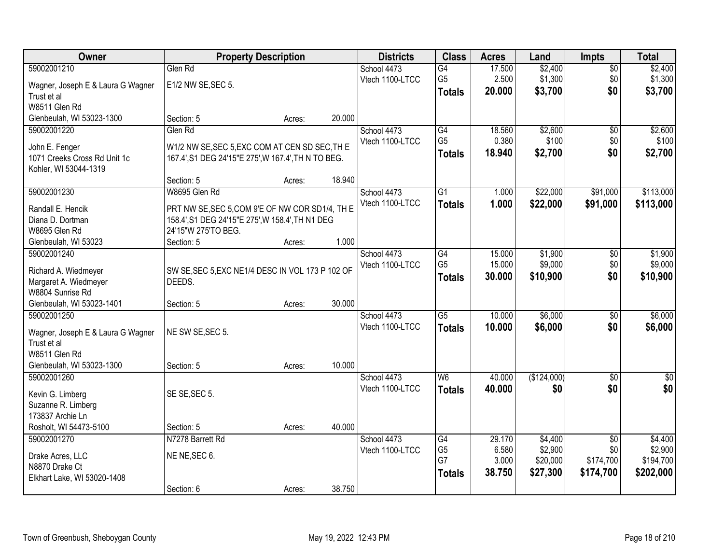| Owner                                     |                                                            | <b>Property Description</b> |        | <b>Districts</b> | <b>Class</b>    | <b>Acres</b> | Land        | <b>Impts</b>    | <b>Total</b> |
|-------------------------------------------|------------------------------------------------------------|-----------------------------|--------|------------------|-----------------|--------------|-------------|-----------------|--------------|
| 59002001210                               | Glen Rd                                                    |                             |        | School 4473      | $\overline{G4}$ | 17.500       | \$2,400     | $\overline{50}$ | \$2,400      |
| Wagner, Joseph E & Laura G Wagner         | E1/2 NW SE, SEC 5.                                         |                             |        | Vtech 1100-LTCC  | G <sub>5</sub>  | 2.500        | \$1,300     | \$0             | \$1,300      |
| Trust et al                               |                                                            |                             |        |                  | <b>Totals</b>   | 20.000       | \$3,700     | \$0             | \$3,700      |
| W8511 Glen Rd                             |                                                            |                             |        |                  |                 |              |             |                 |              |
| Glenbeulah, WI 53023-1300                 | Section: 5                                                 | Acres:                      | 20.000 |                  |                 |              |             |                 |              |
| 59002001220                               | Glen Rd                                                    |                             |        | School 4473      | G4              | 18.560       | \$2,600     | $\overline{50}$ | \$2,600      |
|                                           |                                                            |                             |        | Vtech 1100-LTCC  | G <sub>5</sub>  | 0.380        | \$100       | \$0             | \$100        |
| John E. Fenger                            | W1/2 NW SE, SEC 5, EXC COM AT CEN SD SEC, TH E             |                             |        |                  | <b>Totals</b>   | 18.940       | \$2,700     | \$0             | \$2,700      |
| 1071 Creeks Cross Rd Unit 1c              | 167.4', S1 DEG 24'15"E 275', W 167.4', TH N TO BEG.        |                             |        |                  |                 |              |             |                 |              |
| Kohler, WI 53044-1319                     |                                                            |                             |        |                  |                 |              |             |                 |              |
|                                           | Section: 5                                                 | Acres:                      | 18.940 |                  |                 |              |             |                 |              |
| 59002001230                               | W8695 Glen Rd                                              |                             |        | School 4473      | $\overline{G1}$ | 1.000        | \$22,000    | \$91,000        | \$113,000    |
| Randall E. Hencik                         | PRT NW SE, SEC 5, COM 9'E OF NW COR SD1/4, TH E            |                             |        | Vtech 1100-LTCC  | <b>Totals</b>   | 1.000        | \$22,000    | \$91,000        | \$113,000    |
| Diana D. Dortman                          | 158.4', S1 DEG 24'15"E 275', W 158.4', TH N1 DEG           |                             |        |                  |                 |              |             |                 |              |
| W8695 Glen Rd                             | 24'15"W 275'TO BEG.                                        |                             |        |                  |                 |              |             |                 |              |
| Glenbeulah, WI 53023                      | Section: 5                                                 | Acres:                      | 1.000  |                  |                 |              |             |                 |              |
| 59002001240                               |                                                            |                             |        | School 4473      | G4              | 15.000       | \$1,900     | \$0             | \$1,900      |
|                                           |                                                            |                             |        | Vtech 1100-LTCC  | G <sub>5</sub>  | 15.000       | \$9,000     | \$0             | \$9,000      |
| Richard A. Wiedmeyer                      | SW SE, SEC 5, EXC NE1/4 DESC IN VOL 173 P 102 OF<br>DEEDS. |                             |        |                  | Totals          | 30.000       | \$10,900    | \$0             | \$10,900     |
| Margaret A. Wiedmeyer<br>W8804 Sunrise Rd |                                                            |                             |        |                  |                 |              |             |                 |              |
| Glenbeulah, WI 53023-1401                 | Section: 5                                                 | Acres:                      | 30.000 |                  |                 |              |             |                 |              |
| 59002001250                               |                                                            |                             |        | School 4473      | $\overline{G5}$ | 10.000       | \$6,000     | $\overline{30}$ | \$6,000      |
|                                           |                                                            |                             |        | Vtech 1100-LTCC  |                 | 10.000       | \$6,000     | \$0             | \$6,000      |
| Wagner, Joseph E & Laura G Wagner         | NE SW SE, SEC 5.                                           |                             |        |                  | <b>Totals</b>   |              |             |                 |              |
| Trust et al                               |                                                            |                             |        |                  |                 |              |             |                 |              |
| W8511 Glen Rd                             |                                                            |                             |        |                  |                 |              |             |                 |              |
| Glenbeulah, WI 53023-1300                 | Section: 5                                                 | Acres:                      | 10.000 |                  |                 |              |             |                 |              |
| 59002001260                               |                                                            |                             |        | School 4473      | W <sub>6</sub>  | 40.000       | (\$124,000) | $\sqrt{6}$      | $\sqrt{50}$  |
| Kevin G. Limberg                          | SE SE, SEC 5.                                              |                             |        | Vtech 1100-LTCC  | <b>Totals</b>   | 40.000       | \$0         | \$0             | \$0          |
| Suzanne R. Limberg                        |                                                            |                             |        |                  |                 |              |             |                 |              |
| 173837 Archie Ln                          |                                                            |                             |        |                  |                 |              |             |                 |              |
| Rosholt, WI 54473-5100                    | Section: 5                                                 | Acres:                      | 40.000 |                  |                 |              |             |                 |              |
| 59002001270                               | N7278 Barrett Rd                                           |                             |        | School 4473      | G4              | 29.170       | \$4,400     | $\overline{50}$ | \$4,400      |
|                                           |                                                            |                             |        | Vtech 1100-LTCC  | G <sub>5</sub>  | 6.580        | \$2,900     | \$0             | \$2,900      |
| Drake Acres, LLC                          | NE NE, SEC 6.                                              |                             |        |                  | G7              | 3.000        | \$20,000    | \$174,700       | \$194,700    |
| N8870 Drake Ct                            |                                                            |                             |        |                  | <b>Totals</b>   | 38.750       | \$27,300    | \$174,700       | \$202,000    |
| Elkhart Lake, WI 53020-1408               |                                                            |                             |        |                  |                 |              |             |                 |              |
|                                           | Section: 6                                                 | Acres:                      | 38.750 |                  |                 |              |             |                 |              |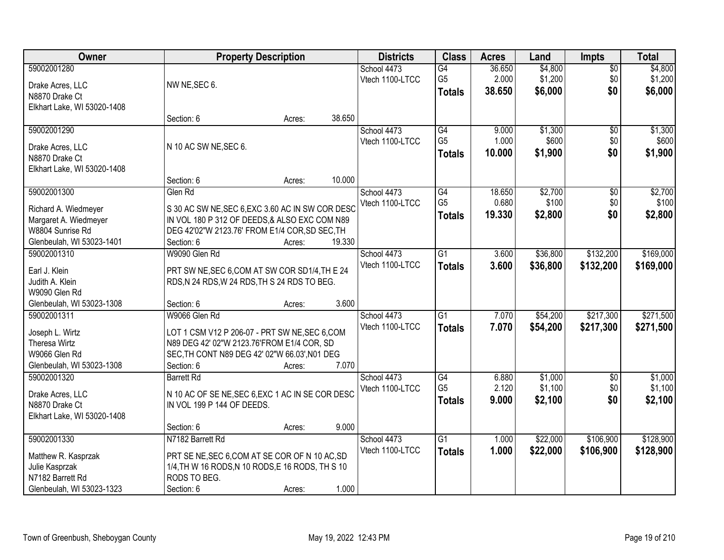| Owner                            |                                                                                                | <b>Property Description</b> |        | <b>Districts</b> | <b>Class</b>    | <b>Acres</b> | Land     | <b>Impts</b> | <b>Total</b> |
|----------------------------------|------------------------------------------------------------------------------------------------|-----------------------------|--------|------------------|-----------------|--------------|----------|--------------|--------------|
| 59002001280                      |                                                                                                |                             |        | School 4473      | $\overline{G4}$ | 36.650       | \$4,800  | $\sqrt{$0}$  | \$4,800      |
| Drake Acres, LLC                 | NW NE, SEC 6.                                                                                  |                             |        | Vtech 1100-LTCC  | G <sub>5</sub>  | 2.000        | \$1,200  | \$0          | \$1,200      |
| N8870 Drake Ct                   |                                                                                                |                             |        |                  | <b>Totals</b>   | 38.650       | \$6,000  | \$0          | \$6,000      |
| Elkhart Lake, WI 53020-1408      |                                                                                                |                             |        |                  |                 |              |          |              |              |
|                                  | Section: 6                                                                                     | Acres:                      | 38.650 |                  |                 |              |          |              |              |
| 59002001290                      |                                                                                                |                             |        | School 4473      | G4              | 9.000        | \$1,300  | \$0          | \$1,300      |
| Drake Acres, LLC                 | N 10 AC SW NE, SEC 6.                                                                          |                             |        | Vtech 1100-LTCC  | G <sub>5</sub>  | 1.000        | \$600    | \$0          | \$600        |
| N8870 Drake Ct                   |                                                                                                |                             |        |                  | <b>Totals</b>   | 10.000       | \$1,900  | \$0          | \$1,900      |
| Elkhart Lake, WI 53020-1408      |                                                                                                |                             |        |                  |                 |              |          |              |              |
|                                  | Section: 6                                                                                     | Acres:                      | 10.000 |                  |                 |              |          |              |              |
| 59002001300                      | Glen Rd                                                                                        |                             |        | School 4473      | G4              | 18.650       | \$2,700  | \$0          | \$2,700      |
| Richard A. Wiedmeyer             | S 30 AC SW NE, SEC 6, EXC 3.60 AC IN SW COR DESC                                               |                             |        | Vtech 1100-LTCC  | G <sub>5</sub>  | 0.680        | \$100    | \$0          | \$100        |
| Margaret A. Wiedmeyer            | IN VOL 180 P 312 OF DEEDS, & ALSO EXC COM N89                                                  |                             |        |                  | <b>Totals</b>   | 19.330       | \$2,800  | \$0          | \$2,800      |
| W8804 Sunrise Rd                 | DEG 42'02"W 2123.76' FROM E1/4 COR, SD SEC, TH                                                 |                             |        |                  |                 |              |          |              |              |
| Glenbeulah, WI 53023-1401        | Section: 6                                                                                     | Acres:                      | 19.330 |                  |                 |              |          |              |              |
| 59002001310                      | W9090 Glen Rd                                                                                  |                             |        | School 4473      | $\overline{G1}$ | 3.600        | \$36,800 | \$132,200    | \$169,000    |
|                                  |                                                                                                |                             |        | Vtech 1100-LTCC  | <b>Totals</b>   | 3.600        | \$36,800 | \$132,200    | \$169,000    |
| Earl J. Klein<br>Judith A. Klein | PRT SW NE, SEC 6, COM AT SW COR SD1/4, TH E 24<br>RDS, N 24 RDS, W 24 RDS, TH S 24 RDS TO BEG. |                             |        |                  |                 |              |          |              |              |
| W9090 Glen Rd                    |                                                                                                |                             |        |                  |                 |              |          |              |              |
| Glenbeulah, WI 53023-1308        | Section: 6                                                                                     | Acres:                      | 3.600  |                  |                 |              |          |              |              |
| 59002001311                      | W9066 Glen Rd                                                                                  |                             |        | School 4473      | $\overline{G1}$ | 7.070        | \$54,200 | \$217,300    | \$271,500    |
|                                  |                                                                                                |                             |        | Vtech 1100-LTCC  | <b>Totals</b>   | 7.070        | \$54,200 | \$217,300    | \$271,500    |
| Joseph L. Wirtz                  | LOT 1 CSM V12 P 206-07 - PRT SW NE, SEC 6, COM                                                 |                             |        |                  |                 |              |          |              |              |
| Theresa Wirtz<br>W9066 Glen Rd   | N89 DEG 42' 02"W 2123.76'FROM E1/4 COR, SD                                                     |                             |        |                  |                 |              |          |              |              |
| Glenbeulah, WI 53023-1308        | SEC, TH CONT N89 DEG 42' 02"W 66.03', N01 DEG<br>Section: 6                                    | Acres:                      | 7.070  |                  |                 |              |          |              |              |
| 59002001320                      | <b>Barrett Rd</b>                                                                              |                             |        | School 4473      | G4              | 6.880        | \$1,000  | $\sqrt{6}$   | \$1,000      |
|                                  |                                                                                                |                             |        | Vtech 1100-LTCC  | G <sub>5</sub>  | 2.120        | \$1,100  | \$0          | \$1,100      |
| Drake Acres, LLC                 | N 10 AC OF SE NE, SEC 6, EXC 1 AC IN SE COR DESC                                               |                             |        |                  | <b>Totals</b>   | 9.000        | \$2,100  | \$0          | \$2,100      |
| N8870 Drake Ct                   | IN VOL 199 P 144 OF DEEDS.                                                                     |                             |        |                  |                 |              |          |              |              |
| Elkhart Lake, WI 53020-1408      |                                                                                                |                             |        |                  |                 |              |          |              |              |
|                                  | Section: 6                                                                                     | Acres:                      | 9.000  |                  |                 |              |          |              |              |
| 59002001330                      | N7182 Barrett Rd                                                                               |                             |        | School 4473      | $\overline{G1}$ | 1.000        | \$22,000 | \$106,900    | \$128,900    |
| Matthew R. Kasprzak              | PRT SE NE, SEC 6, COM AT SE COR OF N 10 AC, SD                                                 |                             |        | Vtech 1100-LTCC  | <b>Totals</b>   | 1.000        | \$22,000 | \$106,900    | \$128,900    |
| Julie Kasprzak                   | 1/4, TH W 16 RODS, N 10 RODS, E 16 RODS, TH S 10                                               |                             |        |                  |                 |              |          |              |              |
| N7182 Barrett Rd                 | RODS TO BEG.                                                                                   |                             |        |                  |                 |              |          |              |              |
| Glenbeulah, WI 53023-1323        | Section: 6                                                                                     | Acres:                      | 1.000  |                  |                 |              |          |              |              |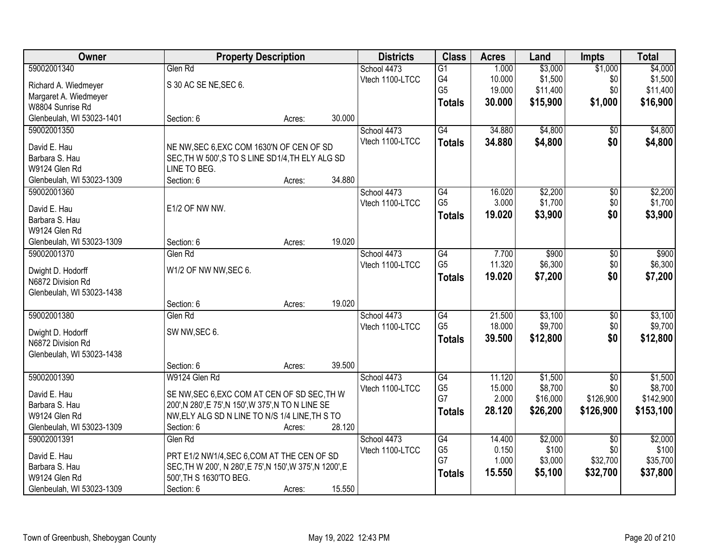| Owner                          |                                                                                                     | <b>Property Description</b> |        | <b>Districts</b> | <b>Class</b>         | <b>Acres</b>   | Land             | <b>Impts</b>    | <b>Total</b>     |
|--------------------------------|-----------------------------------------------------------------------------------------------------|-----------------------------|--------|------------------|----------------------|----------------|------------------|-----------------|------------------|
| 59002001340                    | Glen Rd                                                                                             |                             |        | School 4473      | $\overline{G1}$      | 1.000          | \$3,000          | \$1,000         | \$4,000          |
| Richard A. Wiedmeyer           | S 30 AC SE NE, SEC 6.                                                                               |                             |        | Vtech 1100-LTCC  | G4                   | 10.000         | \$1,500          | \$0             | \$1,500          |
| Margaret A. Wiedmeyer          |                                                                                                     |                             |        |                  | G <sub>5</sub>       | 19.000         | \$11,400         | \$0             | \$11,400         |
| W8804 Sunrise Rd               |                                                                                                     |                             |        |                  | <b>Totals</b>        | 30.000         | \$15,900         | \$1,000         | \$16,900         |
| Glenbeulah, WI 53023-1401      | Section: 6                                                                                          | Acres:                      | 30.000 |                  |                      |                |                  |                 |                  |
| 59002001350                    |                                                                                                     |                             |        | School 4473      | G4                   | 34.880         | \$4,800          | $\overline{50}$ | \$4,800          |
|                                |                                                                                                     |                             |        | Vtech 1100-LTCC  | <b>Totals</b>        | 34.880         | \$4,800          | \$0             | \$4,800          |
| David E. Hau                   | NE NW, SEC 6, EXC COM 1630'N OF CEN OF SD                                                           |                             |        |                  |                      |                |                  |                 |                  |
| Barbara S. Hau                 | SEC, TH W 500', S TO S LINE SD1/4, TH ELY ALG SD                                                    |                             |        |                  |                      |                |                  |                 |                  |
| W9124 Glen Rd                  | LINE TO BEG.                                                                                        |                             |        |                  |                      |                |                  |                 |                  |
| Glenbeulah, WI 53023-1309      | Section: 6                                                                                          | Acres:                      | 34.880 |                  |                      |                |                  |                 |                  |
| 59002001360                    |                                                                                                     |                             |        | School 4473      | G4                   | 16.020         | \$2,200          | $\overline{50}$ | \$2,200          |
| David E. Hau                   | E1/2 OF NW NW.                                                                                      |                             |        | Vtech 1100-LTCC  | G <sub>5</sub>       | 3.000          | \$1,700          | \$0             | \$1,700          |
| Barbara S. Hau                 |                                                                                                     |                             |        |                  | <b>Totals</b>        | 19.020         | \$3,900          | \$0             | \$3,900          |
| W9124 Glen Rd                  |                                                                                                     |                             |        |                  |                      |                |                  |                 |                  |
| Glenbeulah, WI 53023-1309      | Section: 6                                                                                          | Acres:                      | 19.020 |                  |                      |                |                  |                 |                  |
| 59002001370                    | Glen Rd                                                                                             |                             |        | School 4473      | G4                   | 7.700          | \$900            | \$0             | \$900            |
|                                |                                                                                                     |                             |        | Vtech 1100-LTCC  | G <sub>5</sub>       | 11.320         | \$6,300          | \$0             | \$6,300          |
| Dwight D. Hodorff              | W1/2 OF NW NW, SEC 6.                                                                               |                             |        |                  | <b>Totals</b>        | 19.020         | \$7,200          | \$0             | \$7,200          |
| N6872 Division Rd              |                                                                                                     |                             |        |                  |                      |                |                  |                 |                  |
| Glenbeulah, WI 53023-1438      |                                                                                                     |                             |        |                  |                      |                |                  |                 |                  |
|                                | Section: 6                                                                                          | Acres:                      | 19.020 |                  |                      |                |                  |                 |                  |
| 59002001380                    | Glen Rd                                                                                             |                             |        | School 4473      | $\overline{G4}$      | 21.500         | \$3,100          | \$0             | \$3,100          |
| Dwight D. Hodorff              | SW NW, SEC 6.                                                                                       |                             |        | Vtech 1100-LTCC  | G <sub>5</sub>       | 18.000         | \$9,700          | \$0             | \$9,700          |
| N6872 Division Rd              |                                                                                                     |                             |        |                  | <b>Totals</b>        | 39.500         | \$12,800         | \$0             | \$12,800         |
| Glenbeulah, WI 53023-1438      |                                                                                                     |                             |        |                  |                      |                |                  |                 |                  |
|                                | Section: 6                                                                                          | Acres:                      | 39.500 |                  |                      |                |                  |                 |                  |
| 59002001390                    | W9124 Glen Rd                                                                                       |                             |        | School 4473      | $\overline{G4}$      | 11.120         | \$1,500          | $\overline{50}$ | \$1,500          |
|                                |                                                                                                     |                             |        | Vtech 1100-LTCC  | G <sub>5</sub>       | 15.000         | \$8,700          | \$0             | \$8,700          |
| David E. Hau<br>Barbara S. Hau | SE NW, SEC 6, EXC COM AT CEN OF SD SEC, TH W<br>200', N 280', E 75', N 150', W 375', N TO N LINE SE |                             |        |                  | G7                   | 2.000          | \$16,000         | \$126,900       | \$142,900        |
| W9124 Glen Rd                  | NW, ELY ALG SD N LINE TO N/S 1/4 LINE, TH S TO                                                      |                             |        |                  | <b>Totals</b>        | 28.120         | \$26,200         | \$126,900       | \$153,100        |
| Glenbeulah, WI 53023-1309      | Section: 6                                                                                          |                             | 28.120 |                  |                      |                |                  |                 |                  |
|                                |                                                                                                     | Acres:                      |        |                  |                      |                |                  |                 |                  |
| 59002001391                    | Glen Rd                                                                                             |                             |        | School 4473      | G4                   | 14.400         | \$2,000<br>\$100 | $\overline{50}$ | \$2,000<br>\$100 |
| David E. Hau                   | PRT E1/2 NW1/4, SEC 6, COM AT THE CEN OF SD                                                         |                             |        | Vtech 1100-LTCC  | G <sub>5</sub><br>G7 | 0.150<br>1.000 | \$3,000          | \$0<br>\$32,700 | \$35,700         |
| Barbara S. Hau                 | SEC, TH W 200', N 280', E 75', N 150', W 375', N 1200', E                                           |                             |        |                  |                      |                |                  |                 |                  |
| W9124 Glen Rd                  | 500', TH S 1630'TO BEG.                                                                             |                             |        |                  | <b>Totals</b>        | 15.550         | \$5,100          | \$32,700        | \$37,800         |
| Glenbeulah, WI 53023-1309      | Section: 6                                                                                          | Acres:                      | 15.550 |                  |                      |                |                  |                 |                  |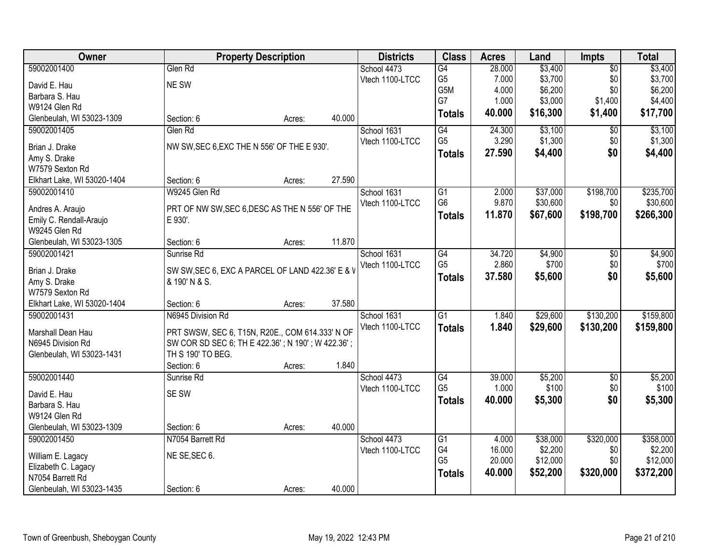| Owner                                       | <b>Property Description</b>                               |        |        | <b>Districts</b> | <b>Class</b>    | <b>Acres</b> | Land     | <b>Impts</b>    | <b>Total</b> |
|---------------------------------------------|-----------------------------------------------------------|--------|--------|------------------|-----------------|--------------|----------|-----------------|--------------|
| 59002001400                                 | Glen Rd                                                   |        |        | School 4473      | G4              | 28.000       | \$3,400  | $\overline{50}$ | \$3,400      |
| David E. Hau                                | NE SW                                                     |        |        | Vtech 1100-LTCC  | G <sub>5</sub>  | 7.000        | \$3,700  | \$0             | \$3,700      |
| Barbara S. Hau                              |                                                           |        |        |                  | G5M             | 4.000        | \$6,200  | \$0             | \$6,200      |
| W9124 Glen Rd                               |                                                           |        |        |                  | G7              | 1.000        | \$3,000  | \$1,400         | \$4,400      |
| Glenbeulah, WI 53023-1309                   | Section: 6                                                | Acres: | 40.000 |                  | <b>Totals</b>   | 40.000       | \$16,300 | \$1,400         | \$17,700     |
| 59002001405                                 | Glen Rd                                                   |        |        | School 1631      | G4              | 24.300       | \$3,100  | $\overline{50}$ | \$3,100      |
| Brian J. Drake                              | NW SW, SEC 6, EXC THE N 556' OF THE E 930'.               |        |        | Vtech 1100-LTCC  | G <sub>5</sub>  | 3.290        | \$1,300  | \$0             | \$1,300      |
| Amy S. Drake                                |                                                           |        |        |                  | <b>Totals</b>   | 27.590       | \$4,400  | \$0             | \$4,400      |
| W7579 Sexton Rd                             |                                                           |        |        |                  |                 |              |          |                 |              |
| Elkhart Lake, WI 53020-1404                 | Section: 6                                                | Acres: | 27.590 |                  |                 |              |          |                 |              |
| 59002001410                                 | W9245 Glen Rd                                             |        |        | School 1631      | $\overline{G1}$ | 2.000        | \$37,000 | \$198,700       | \$235,700    |
|                                             |                                                           |        |        | Vtech 1100-LTCC  | G <sub>6</sub>  | 9.870        | \$30,600 | \$0             | \$30,600     |
| Andres A. Araujo<br>Emily C. Rendall-Araujo | PRT OF NW SW, SEC 6, DESC AS THE N 556' OF THE<br>E 930'. |        |        |                  | <b>Totals</b>   | 11.870       | \$67,600 | \$198,700       | \$266,300    |
| W9245 Glen Rd                               |                                                           |        |        |                  |                 |              |          |                 |              |
| Glenbeulah, WI 53023-1305                   | Section: 6                                                | Acres: | 11.870 |                  |                 |              |          |                 |              |
| 59002001421                                 | Sunrise Rd                                                |        |        | School 1631      | $\overline{G4}$ | 34.720       | \$4,900  | \$0             | \$4,900      |
|                                             |                                                           |        |        | Vtech 1100-LTCC  | G <sub>5</sub>  | 2.860        | \$700    | \$0             | \$700        |
| Brian J. Drake                              | SW SW, SEC 6, EXC A PARCEL OF LAND 422.36' E & V          |        |        |                  | <b>Totals</b>   | 37.580       | \$5,600  | \$0             | \$5,600      |
| Amy S. Drake                                | & 190' N & S.                                             |        |        |                  |                 |              |          |                 |              |
| W7579 Sexton Rd                             |                                                           |        |        |                  |                 |              |          |                 |              |
| Elkhart Lake, WI 53020-1404                 | Section: 6                                                | Acres: | 37.580 |                  |                 |              |          |                 |              |
| 59002001431                                 | N6945 Division Rd                                         |        |        | School 1631      | $\overline{G1}$ | 1.840        | \$29,600 | \$130,200       | \$159,800    |
| Marshall Dean Hau                           | PRT SWSW, SEC 6, T15N, R20E., COM 614.333' N OF           |        |        | Vtech 1100-LTCC  | <b>Totals</b>   | 1.840        | \$29,600 | \$130,200       | \$159,800    |
| N6945 Division Rd                           | SW COR SD SEC 6; TH E 422.36'; N 190'; W 422.36';         |        |        |                  |                 |              |          |                 |              |
| Glenbeulah, WI 53023-1431                   | TH S 190' TO BEG.                                         |        |        |                  |                 |              |          |                 |              |
|                                             | Section: 6                                                | Acres: | 1.840  |                  |                 |              |          |                 |              |
| 59002001440                                 | Sunrise Rd                                                |        |        | School 4473      | G4              | 39.000       | \$5,200  | $\sqrt{$0}$     | \$5,200      |
| David E. Hau                                | SE SW                                                     |        |        | Vtech 1100-LTCC  | G <sub>5</sub>  | 1.000        | \$100    | \$0             | \$100        |
| Barbara S. Hau                              |                                                           |        |        |                  | <b>Totals</b>   | 40.000       | \$5,300  | \$0             | \$5,300      |
| W9124 Glen Rd                               |                                                           |        |        |                  |                 |              |          |                 |              |
| Glenbeulah, WI 53023-1309                   | Section: 6                                                | Acres: | 40.000 |                  |                 |              |          |                 |              |
| 59002001450                                 | N7054 Barrett Rd                                          |        |        | School 4473      | G1              | 4.000        | \$38,000 | \$320,000       | \$358,000    |
| William E. Lagacy                           | NE SE, SEC 6.                                             |        |        | Vtech 1100-LTCC  | G4              | 16.000       | \$2,200  | \$0             | \$2,200      |
| Elizabeth C. Lagacy                         |                                                           |        |        |                  | G <sub>5</sub>  | 20.000       | \$12,000 | \$0             | \$12,000     |
| N7054 Barrett Rd                            |                                                           |        |        |                  | <b>Totals</b>   | 40.000       | \$52,200 | \$320,000       | \$372,200    |
| Glenbeulah, WI 53023-1435                   | Section: 6                                                | Acres: | 40.000 |                  |                 |              |          |                 |              |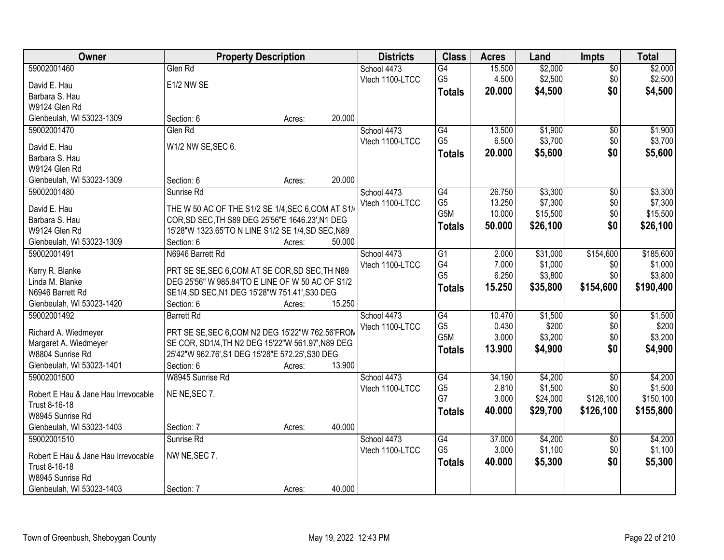| Owner                                    | <b>Property Description</b>                                  |        |        | <b>Districts</b> | <b>Class</b>          | <b>Acres</b>     | Land             | <b>Impts</b>    | <b>Total</b>     |
|------------------------------------------|--------------------------------------------------------------|--------|--------|------------------|-----------------------|------------------|------------------|-----------------|------------------|
| 59002001460                              | Glen Rd                                                      |        |        | School 4473      | $\overline{G4}$       | 15.500           | \$2,000          | $\sqrt{$0}$     | \$2,000          |
| David E. Hau                             | E1/2 NW SE                                                   |        |        | Vtech 1100-LTCC  | G <sub>5</sub>        | 4.500            | \$2,500          | \$0             | \$2,500          |
| Barbara S. Hau                           |                                                              |        |        |                  | <b>Totals</b>         | 20.000           | \$4,500          | \$0             | \$4,500          |
| W9124 Glen Rd                            |                                                              |        |        |                  |                       |                  |                  |                 |                  |
| Glenbeulah, WI 53023-1309                | Section: 6                                                   | Acres: | 20.000 |                  |                       |                  |                  |                 |                  |
| 59002001470                              | Glen Rd                                                      |        |        | School 4473      | G4                    | 13.500           | \$1,900          | \$0             | \$1,900          |
|                                          |                                                              |        |        | Vtech 1100-LTCC  | G <sub>5</sub>        | 6.500            | \$3,700          | \$0             | \$3,700          |
| David E. Hau                             | W1/2 NW SE, SEC 6.                                           |        |        |                  | <b>Totals</b>         | 20.000           | \$5,600          | \$0             | \$5,600          |
| Barbara S. Hau                           |                                                              |        |        |                  |                       |                  |                  |                 |                  |
| W9124 Glen Rd                            |                                                              |        |        |                  |                       |                  |                  |                 |                  |
| Glenbeulah, WI 53023-1309                | Section: 6                                                   | Acres: | 20.000 |                  |                       |                  |                  |                 |                  |
| 59002001480                              | Sunrise Rd                                                   |        |        | School 4473      | G4                    | 26.750           | \$3,300          | $\overline{50}$ | \$3,300          |
| David E. Hau                             | THE W 50 AC OF THE S1/2 SE 1/4, SEC 6, COM AT S1/4           |        |        | Vtech 1100-LTCC  | G <sub>5</sub><br>G5M | 13.250<br>10.000 | \$7,300          | \$0             | \$7,300          |
| Barbara S. Hau                           | COR, SD SEC, TH S89 DEG 25'56"E 1646.23', N1 DEG             |        |        |                  |                       |                  | \$15,500         | \$0             | \$15,500         |
| W9124 Glen Rd                            | 15'28"W 1323.65'TO N LINE S1/2 SE 1/4, SD SEC, N89           |        |        |                  | <b>Totals</b>         | 50.000           | \$26,100         | \$0             | \$26,100         |
| Glenbeulah, WI 53023-1309                | Section: 6                                                   | Acres: | 50.000 |                  |                       |                  |                  |                 |                  |
| 59002001491                              | N6946 Barrett Rd                                             |        |        | School 4473      | G1                    | 2.000            | \$31,000         | \$154,600       | \$185,600        |
|                                          |                                                              |        |        | Vtech 1100-LTCC  | G4                    | 7.000            | \$1,000          | \$0             | \$1,000          |
| Kerry R. Blanke                          | PRT SE SE, SEC 6, COM AT SE COR, SD SEC, TH N89              |        |        |                  | G <sub>5</sub>        | 6.250            | \$3,800          | \$0             | \$3,800          |
| Linda M. Blanke                          | DEG 25'56" W 985.84'TO E LINE OF W 50 AC OF S1/2             |        |        |                  | <b>Totals</b>         | 15.250           | \$35,800         | \$154,600       | \$190,400        |
| N6946 Barrett Rd                         | SE1/4, SD SEC, N1 DEG 15'28"W 751.41', S30 DEG<br>Section: 6 |        | 15.250 |                  |                       |                  |                  |                 |                  |
| Glenbeulah, WI 53023-1420<br>59002001492 |                                                              | Acres: |        |                  | G4                    |                  |                  |                 |                  |
|                                          | <b>Barrett Rd</b>                                            |        |        | School 4473      | G <sub>5</sub>        | 10.470<br>0.430  | \$1,500<br>\$200 | $\overline{50}$ | \$1,500          |
| Richard A. Wiedmeyer                     | PRT SE SE, SEC 6, COM N2 DEG 15'22"W 762.56'FROM             |        |        | Vtech 1100-LTCC  | G5M                   | 3.000            | \$3,200          | \$0<br>\$0      | \$200<br>\$3,200 |
| Margaret A. Wiedmeyer                    | SE COR, SD1/4, TH N2 DEG 15'22"W 561.97', N89 DEG            |        |        |                  |                       | 13.900           |                  | \$0             |                  |
| W8804 Sunrise Rd                         | 25'42"W 962.76', S1 DEG 15'28"E 572.25', S30 DEG             |        |        |                  | <b>Totals</b>         |                  | \$4,900          |                 | \$4,900          |
| Glenbeulah, WI 53023-1401                | Section: 6                                                   | Acres: | 13.900 |                  |                       |                  |                  |                 |                  |
| 59002001500                              | W8945 Sunrise Rd                                             |        |        | School 4473      | G4                    | 34.190           | \$4,200          | $\overline{50}$ | \$4,200          |
| Robert E Hau & Jane Hau Irrevocable      | NE NE, SEC 7.                                                |        |        | Vtech 1100-LTCC  | G <sub>5</sub>        | 2.810            | \$1,500          | \$0             | \$1,500          |
| Trust 8-16-18                            |                                                              |        |        |                  | G7                    | 3.000            | \$24,000         | \$126,100       | \$150,100        |
| W8945 Sunrise Rd                         |                                                              |        |        |                  | <b>Totals</b>         | 40,000           | \$29,700         | \$126,100       | \$155,800        |
| Glenbeulah, WI 53023-1403                | Section: 7                                                   | Acres: | 40.000 |                  |                       |                  |                  |                 |                  |
| 59002001510                              | Sunrise Rd                                                   |        |        | School 4473      | G4                    | 37.000           | \$4,200          | $\overline{50}$ | \$4,200          |
|                                          |                                                              |        |        | Vtech 1100-LTCC  | G <sub>5</sub>        | 3.000            | \$1,100          | \$0             | \$1,100          |
| Robert E Hau & Jane Hau Irrevocable      | NW NE, SEC 7.                                                |        |        |                  |                       | 40.000           |                  | \$0             |                  |
| Trust 8-16-18                            |                                                              |        |        |                  | <b>Totals</b>         |                  | \$5,300          |                 | \$5,300          |
| W8945 Sunrise Rd                         |                                                              |        |        |                  |                       |                  |                  |                 |                  |
| Glenbeulah, WI 53023-1403                | Section: 7                                                   | Acres: | 40.000 |                  |                       |                  |                  |                 |                  |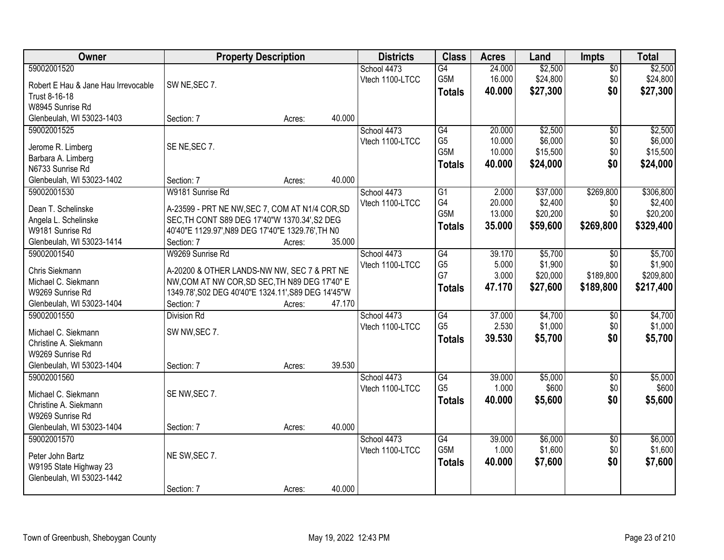| Owner                               | <b>Property Description</b>                         |        |        | <b>Districts</b> | <b>Class</b>    | <b>Acres</b> | Land     | <b>Impts</b>    | <b>Total</b> |
|-------------------------------------|-----------------------------------------------------|--------|--------|------------------|-----------------|--------------|----------|-----------------|--------------|
| 59002001520                         |                                                     |        |        | School 4473      | $\overline{G4}$ | 24.000       | \$2,500  | $\sqrt{$0}$     | \$2,500      |
| Robert E Hau & Jane Hau Irrevocable | SW NE, SEC 7.                                       |        |        | Vtech 1100-LTCC  | G5M             | 16.000       | \$24,800 | \$0             | \$24,800     |
| Trust 8-16-18                       |                                                     |        |        |                  | <b>Totals</b>   | 40.000       | \$27,300 | \$0             | \$27,300     |
| W8945 Sunrise Rd                    |                                                     |        |        |                  |                 |              |          |                 |              |
| Glenbeulah, WI 53023-1403           | Section: 7                                          | Acres: | 40.000 |                  |                 |              |          |                 |              |
| 59002001525                         |                                                     |        |        | School 4473      | G4              | 20,000       | \$2,500  | $\overline{50}$ | \$2,500      |
|                                     |                                                     |        |        | Vtech 1100-LTCC  | G <sub>5</sub>  | 10.000       | \$6,000  | \$0             | \$6,000      |
| Jerome R. Limberg                   | SE NE, SEC 7.                                       |        |        |                  | G5M             | 10.000       | \$15,500 | \$0             | \$15,500     |
| Barbara A. Limberg                  |                                                     |        |        |                  | <b>Totals</b>   | 40.000       | \$24,000 | \$0             | \$24,000     |
| N6733 Sunrise Rd                    |                                                     |        |        |                  |                 |              |          |                 |              |
| Glenbeulah, WI 53023-1402           | Section: 7                                          | Acres: | 40.000 |                  |                 |              |          |                 |              |
| 59002001530                         | W9181 Sunrise Rd                                    |        |        | School 4473      | G1              | 2.000        | \$37,000 | \$269,800       | \$306,800    |
| Dean T. Schelinske                  | A-23599 - PRT NE NW, SEC 7, COM AT N1/4 COR, SD     |        |        | Vtech 1100-LTCC  | G4              | 20.000       | \$2,400  | \$0             | \$2,400      |
| Angela L. Schelinske                | SEC, TH CONT S89 DEG 17'40"W 1370.34', S2 DEG       |        |        |                  | G5M             | 13.000       | \$20,200 | \$0             | \$20,200     |
| W9181 Sunrise Rd                    | 40'40"E 1129.97', N89 DEG 17'40"E 1329.76', TH N0   |        |        |                  | <b>Totals</b>   | 35.000       | \$59,600 | \$269,800       | \$329,400    |
| Glenbeulah, WI 53023-1414           | Section: 7                                          | Acres: | 35.000 |                  |                 |              |          |                 |              |
| 59002001540                         | W9269 Sunrise Rd                                    |        |        | School 4473      | G4              | 39.170       | \$5,700  | $\sqrt{6}$      | \$5,700      |
|                                     |                                                     |        |        | Vtech 1100-LTCC  | G <sub>5</sub>  | 5.000        | \$1,900  | \$0             | \$1,900      |
| Chris Siekmann                      | A-20200 & OTHER LANDS-NW NW, SEC 7 & PRT NE         |        |        |                  | G7              | 3.000        | \$20,000 | \$189,800       | \$209,800    |
| Michael C. Siekmann                 | NW, COM AT NW COR, SD SEC, TH N89 DEG 17'40" E      |        |        |                  | <b>Totals</b>   | 47.170       | \$27,600 | \$189,800       | \$217,400    |
| W9269 Sunrise Rd                    | 1349.78', S02 DEG 40'40"E 1324.11', S89 DEG 14'45"W |        |        |                  |                 |              |          |                 |              |
| Glenbeulah, WI 53023-1404           | Section: 7                                          | Acres: | 47.170 |                  |                 |              |          |                 |              |
| 59002001550                         | <b>Division Rd</b>                                  |        |        | School 4473      | G4              | 37.000       | \$4,700  | \$0             | \$4,700      |
| Michael C. Siekmann                 | SW NW, SEC 7.                                       |        |        | Vtech 1100-LTCC  | G <sub>5</sub>  | 2.530        | \$1,000  | \$0             | \$1,000      |
| Christine A. Siekmann               |                                                     |        |        |                  | <b>Totals</b>   | 39.530       | \$5,700  | \$0             | \$5,700      |
| W9269 Sunrise Rd                    |                                                     |        |        |                  |                 |              |          |                 |              |
| Glenbeulah, WI 53023-1404           | Section: 7                                          | Acres: | 39.530 |                  |                 |              |          |                 |              |
| 59002001560                         |                                                     |        |        | School 4473      | G4              | 39.000       | \$5,000  | $\sqrt{6}$      | \$5,000      |
|                                     |                                                     |        |        | Vtech 1100-LTCC  | G <sub>5</sub>  | 1.000        | \$600    | \$0             | \$600        |
| Michael C. Siekmann                 | SE NW, SEC 7.                                       |        |        |                  | <b>Totals</b>   | 40.000       | \$5,600  | \$0             | \$5,600      |
| Christine A. Siekmann               |                                                     |        |        |                  |                 |              |          |                 |              |
| W9269 Sunrise Rd                    |                                                     |        |        |                  |                 |              |          |                 |              |
| Glenbeulah, WI 53023-1404           | Section: 7                                          | Acres: | 40.000 |                  |                 |              |          |                 |              |
| 59002001570                         |                                                     |        |        | School 4473      | G4              | 39.000       | \$6,000  | $\overline{60}$ | \$6,000      |
| Peter John Bartz                    | NE SW, SEC 7.                                       |        |        | Vtech 1100-LTCC  | G5M             | 1.000        | \$1,600  | \$0             | \$1,600      |
| W9195 State Highway 23              |                                                     |        |        |                  | <b>Totals</b>   | 40.000       | \$7,600  | \$0             | \$7,600      |
| Glenbeulah, WI 53023-1442           |                                                     |        |        |                  |                 |              |          |                 |              |
|                                     | Section: 7                                          | Acres: | 40.000 |                  |                 |              |          |                 |              |
|                                     |                                                     |        |        |                  |                 |              |          |                 |              |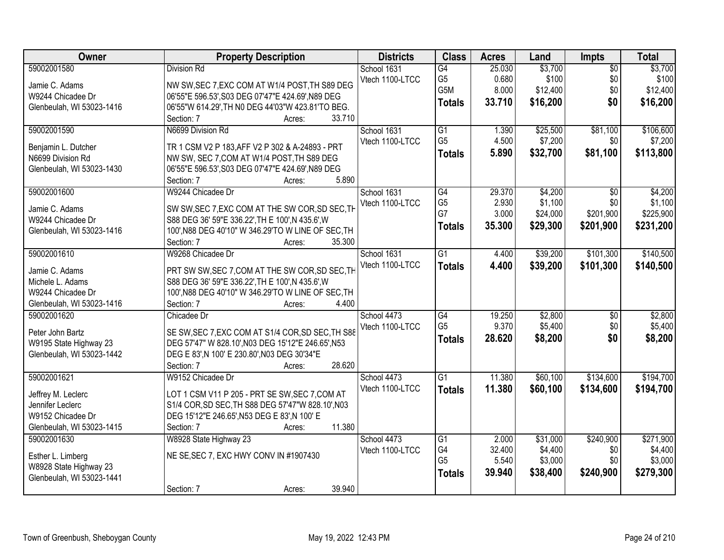| Owner                     | <b>Property Description</b>                                | <b>Districts</b> | <b>Class</b>         | <b>Acres</b> | Land     | <b>Impts</b>    | <b>Total</b> |
|---------------------------|------------------------------------------------------------|------------------|----------------------|--------------|----------|-----------------|--------------|
| 59002001580               | <b>Division Rd</b>                                         | School 1631      | G4                   | 25.030       | \$3,700  | $\overline{50}$ | \$3,700      |
| Jamie C. Adams            | NW SW, SEC 7, EXC COM AT W1/4 POST, TH S89 DEG             | Vtech 1100-LTCC  | G <sub>5</sub>       | 0.680        | \$100    | \$0             | \$100        |
| W9244 Chicadee Dr         | 06'55"E 596.53', S03 DEG 07'47"E 424.69', N89 DEG          |                  | G5M                  | 8.000        | \$12,400 | \$0             | \$12,400     |
| Glenbeulah, WI 53023-1416 | 06'55"W 614.29', TH N0 DEG 44'03"W 423.81'TO BEG.          |                  | <b>Totals</b>        | 33.710       | \$16,200 | \$0             | \$16,200     |
|                           | 33.710<br>Section: 7<br>Acres:                             |                  |                      |              |          |                 |              |
| 59002001590               | N6699 Division Rd                                          | School 1631      | G1                   | 1.390        | \$25,500 | \$81,100        | \$106,600    |
|                           |                                                            | Vtech 1100-LTCC  | G <sub>5</sub>       | 4.500        | \$7,200  | \$0             | \$7,200      |
| Benjamin L. Dutcher       | TR 1 CSM V2 P 183, AFF V2 P 302 & A-24893 - PRT            |                  | <b>Totals</b>        | 5.890        | \$32,700 | \$81,100        | \$113,800    |
| N6699 Division Rd         | NW SW, SEC 7, COM AT W1/4 POST, TH S89 DEG                 |                  |                      |              |          |                 |              |
| Glenbeulah, WI 53023-1430 | 06'55"E 596.53', S03 DEG 07'47"E 424.69', N89 DEG<br>5.890 |                  |                      |              |          |                 |              |
|                           | Section: 7<br>Acres:                                       |                  |                      |              |          |                 |              |
| 59002001600               | W9244 Chicadee Dr                                          | School 1631      | $\overline{G4}$      | 29.370       | \$4,200  | $\overline{50}$ | \$4,200      |
| Jamie C. Adams            | SW SW, SEC 7, EXC COM AT THE SW COR, SD SEC, TH            | Vtech 1100-LTCC  | G <sub>5</sub><br>G7 | 2.930        | \$1,100  | \$0             | \$1,100      |
| W9244 Chicadee Dr         | S88 DEG 36' 59"E 336.22', TH E 100', N 435.6', W           |                  |                      | 3.000        | \$24,000 | \$201,900       | \$225,900    |
| Glenbeulah, WI 53023-1416 | 100', N88 DEG 40'10" W 346.29'TO W LINE OF SEC, TH         |                  | <b>Totals</b>        | 35.300       | \$29,300 | \$201,900       | \$231,200    |
|                           | 35.300<br>Section: 7<br>Acres:                             |                  |                      |              |          |                 |              |
| 59002001610               | W9268 Chicadee Dr                                          | School 1631      | G1                   | 4.400        | \$39,200 | \$101,300       | \$140,500    |
|                           |                                                            | Vtech 1100-LTCC  | <b>Totals</b>        | 4.400        | \$39,200 | \$101,300       | \$140,500    |
| Jamie C. Adams            | PRT SW SW, SEC 7, COM AT THE SW COR, SD SEC, TH            |                  |                      |              |          |                 |              |
| Michele L. Adams          | S88 DEG 36' 59"E 336.22', TH E 100', N 435.6', W           |                  |                      |              |          |                 |              |
| W9244 Chicadee Dr         | 100', N88 DEG 40'10" W 346.29'TO W LINE OF SEC, TH         |                  |                      |              |          |                 |              |
| Glenbeulah, WI 53023-1416 | 4.400<br>Section: 7<br>Acres:                              |                  |                      |              |          |                 |              |
| 59002001620               | Chicadee Dr                                                | School 4473      | $\overline{G4}$      | 19.250       | \$2,800  | $\overline{50}$ | \$2,800      |
| Peter John Bartz          | SE SW, SEC 7, EXC COM AT S1/4 COR, SD SEC, TH S88          | Vtech 1100-LTCC  | G <sub>5</sub>       | 9.370        | \$5,400  | \$0             | \$5,400      |
| W9195 State Highway 23    | DEG 57'47" W 828.10', N03 DEG 15'12"E 246.65', N53         |                  | <b>Totals</b>        | 28.620       | \$8,200  | \$0             | \$8,200      |
| Glenbeulah, WI 53023-1442 | DEG E 83', N 100' E 230.80', N03 DEG 30'34"E               |                  |                      |              |          |                 |              |
|                           | 28.620<br>Section: 7<br>Acres:                             |                  |                      |              |          |                 |              |
| 59002001621               | W9152 Chicadee Dr                                          | School 4473      | G1                   | 11.380       | \$60,100 | \$134,600       | \$194,700    |
| Jeffrey M. Leclerc        | LOT 1 CSM V11 P 205 - PRT SE SW, SEC 7, COM AT             | Vtech 1100-LTCC  | <b>Totals</b>        | 11.380       | \$60,100 | \$134,600       | \$194,700    |
| Jennifer Leclerc          | S1/4 COR, SD SEC, TH S88 DEG 57'47"W 828.10', N03          |                  |                      |              |          |                 |              |
| W9152 Chicadee Dr         | DEG 15'12"E 246.65', N53 DEG E 83', N 100' E               |                  |                      |              |          |                 |              |
| Glenbeulah, WI 53023-1415 | 11.380<br>Section: 7<br>Acres:                             |                  |                      |              |          |                 |              |
| 59002001630               | W8928 State Highway 23                                     | School 4473      | G1                   | 2.000        | \$31,000 | \$240,900       | \$271,900    |
|                           |                                                            | Vtech 1100-LTCC  | G4                   | 32.400       | \$4,400  | \$0             | \$4,400      |
| Esther L. Limberg         | NE SE, SEC 7, EXC HWY CONV IN #1907430                     |                  | G <sub>5</sub>       | 5.540        | \$3,000  | \$0             | \$3,000      |
| W8928 State Highway 23    |                                                            |                  | <b>Totals</b>        | 39.940       | \$38,400 | \$240,900       | \$279,300    |
| Glenbeulah, WI 53023-1441 |                                                            |                  |                      |              |          |                 |              |
|                           | 39.940<br>Section: 7<br>Acres:                             |                  |                      |              |          |                 |              |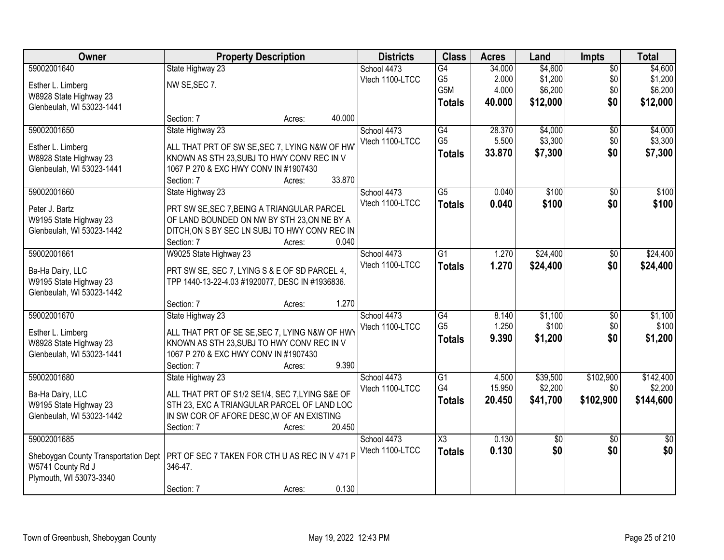| Owner                                | <b>Property Description</b>                         |                  | <b>Districts</b> | <b>Class</b>           | <b>Acres</b> | Land            | <b>Impts</b>    | <b>Total</b>  |
|--------------------------------------|-----------------------------------------------------|------------------|------------------|------------------------|--------------|-----------------|-----------------|---------------|
| 59002001640                          | State Highway 23                                    |                  | School 4473      | G4                     | 34.000       | \$4,600         | $\overline{50}$ | \$4,600       |
| Esther L. Limberg                    | NW SE, SEC 7.                                       |                  | Vtech 1100-LTCC  | G <sub>5</sub>         | 2.000        | \$1,200         | \$0             | \$1,200       |
| W8928 State Highway 23               |                                                     |                  |                  | G5M                    | 4.000        | \$6,200         | \$0             | \$6,200       |
| Glenbeulah, WI 53023-1441            |                                                     |                  |                  | <b>Totals</b>          | 40.000       | \$12,000        | \$0             | \$12,000      |
|                                      | Section: 7                                          | 40.000<br>Acres: |                  |                        |              |                 |                 |               |
| 59002001650                          | State Highway 23                                    |                  | School 4473      | G4                     | 28.370       | \$4,000         | $\overline{50}$ | \$4,000       |
| Esther L. Limberg                    | ALL THAT PRT OF SW SE, SEC 7, LYING N&W OF HW       |                  | Vtech 1100-LTCC  | G <sub>5</sub>         | 5.500        | \$3,300         | \$0             | \$3,300       |
| W8928 State Highway 23               | KNOWN AS STH 23, SUBJ TO HWY CONV REC IN V          |                  |                  | <b>Totals</b>          | 33.870       | \$7,300         | \$0             | \$7,300       |
| Glenbeulah, WI 53023-1441            | 1067 P 270 & EXC HWY CONV IN #1907430               |                  |                  |                        |              |                 |                 |               |
|                                      | Section: 7                                          | 33.870<br>Acres: |                  |                        |              |                 |                 |               |
| 59002001660                          | State Highway 23                                    |                  | School 4473      | $\overline{G5}$        | 0.040        | \$100           | $\overline{50}$ | \$100         |
| Peter J. Bartz                       | PRT SW SE, SEC 7, BEING A TRIANGULAR PARCEL         |                  | Vtech 1100-LTCC  | <b>Totals</b>          | 0.040        | \$100           | \$0             | \$100         |
| W9195 State Highway 23               | OF LAND BOUNDED ON NW BY STH 23, ON NE BY A         |                  |                  |                        |              |                 |                 |               |
| Glenbeulah, WI 53023-1442            | DITCH, ON S BY SEC LN SUBJ TO HWY CONV REC IN       |                  |                  |                        |              |                 |                 |               |
|                                      | Section: 7                                          | 0.040<br>Acres:  |                  |                        |              |                 |                 |               |
| 59002001661                          | W9025 State Highway 23                              |                  | School 4473      | $\overline{G1}$        | 1.270        | \$24,400        | $\sqrt[6]{}$    | \$24,400      |
| Ba-Ha Dairy, LLC                     | PRT SW SE, SEC 7, LYING S & E OF SD PARCEL 4,       |                  | Vtech 1100-LTCC  | <b>Totals</b>          | 1.270        | \$24,400        | \$0             | \$24,400      |
| W9195 State Highway 23               | TPP 1440-13-22-4.03 #1920077, DESC IN #1936836.     |                  |                  |                        |              |                 |                 |               |
| Glenbeulah, WI 53023-1442            |                                                     |                  |                  |                        |              |                 |                 |               |
|                                      | Section: 7                                          | 1.270<br>Acres:  |                  |                        |              |                 |                 |               |
| 59002001670                          | State Highway 23                                    |                  | School 4473      | $\overline{G4}$        | 8.140        | \$1,100         | $\overline{50}$ | \$1,100       |
|                                      |                                                     |                  | Vtech 1100-LTCC  | G <sub>5</sub>         | 1.250        | \$100           | \$0             | \$100         |
| Esther L. Limberg                    | ALL THAT PRT OF SE SE, SEC 7, LYING N&W OF HWY      |                  |                  | <b>Totals</b>          | 9.390        | \$1,200         | \$0             | \$1,200       |
| W8928 State Highway 23               | KNOWN AS STH 23, SUBJ TO HWY CONV REC IN V          |                  |                  |                        |              |                 |                 |               |
| Glenbeulah, WI 53023-1441            | 1067 P 270 & EXC HWY CONV IN #1907430<br>Section: 7 | 9.390            |                  |                        |              |                 |                 |               |
| 59002001680                          | State Highway 23                                    | Acres:           | School 4473      | $\overline{G1}$        | 4.500        | \$39,500        | \$102,900       | \$142,400     |
|                                      |                                                     |                  | Vtech 1100-LTCC  | G4                     | 15.950       | \$2,200         | \$0             | \$2,200       |
| Ba-Ha Dairy, LLC                     | ALL THAT PRT OF S1/2 SE1/4, SEC 7, LYING S&E OF     |                  |                  | <b>Totals</b>          | 20.450       | \$41,700        | \$102,900       | \$144,600     |
| W9195 State Highway 23               | STH 23, EXC A TRIANGULAR PARCEL OF LAND LOC         |                  |                  |                        |              |                 |                 |               |
| Glenbeulah, WI 53023-1442            | IN SW COR OF AFORE DESC, W OF AN EXISTING           |                  |                  |                        |              |                 |                 |               |
|                                      | Section: 7                                          | 20.450<br>Acres: |                  |                        |              |                 |                 |               |
| 59002001685                          |                                                     |                  | School 4473      | $\overline{\text{X3}}$ | 0.130        | $\overline{50}$ | $\overline{30}$ | $\frac{1}{2}$ |
| Sheboygan County Transportation Dept | PRT OF SEC 7 TAKEN FOR CTH U AS REC IN V 471 P      |                  | Vtech 1100-LTCC  | <b>Totals</b>          | 0.130        | \$0             | \$0             | \$0           |
| W5741 County Rd J                    | 346-47.                                             |                  |                  |                        |              |                 |                 |               |
| Plymouth, WI 53073-3340              |                                                     |                  |                  |                        |              |                 |                 |               |
|                                      | Section: 7                                          | 0.130<br>Acres:  |                  |                        |              |                 |                 |               |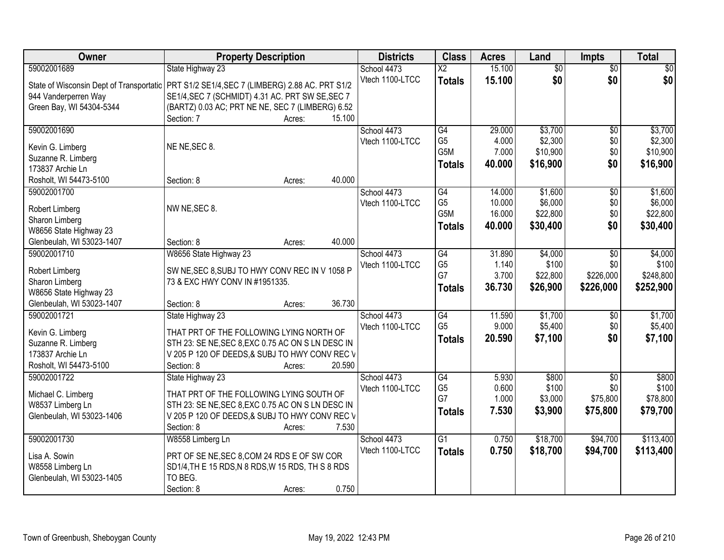| Owner                     | <b>Property Description</b>                                                                  | <b>Districts</b> | <b>Class</b>           | <b>Acres</b> | Land            | <b>Impts</b>    | <b>Total</b> |
|---------------------------|----------------------------------------------------------------------------------------------|------------------|------------------------|--------------|-----------------|-----------------|--------------|
| 59002001689               | State Highway 23                                                                             | School 4473      | $\overline{\text{X2}}$ | 15.100       | $\overline{50}$ | $\overline{50}$ | \$0          |
|                           | State of Wisconsin Dept of Transportatic   PRT S1/2 SE1/4, SEC 7 (LIMBERG) 2.88 AC. PRT S1/2 | Vtech 1100-LTCC  | <b>Totals</b>          | 15.100       | \$0             | \$0             | \$0          |
| 944 Vanderperren Way      | SE1/4, SEC 7 (SCHMIDT) 4.31 AC. PRT SW SE, SEC 7                                             |                  |                        |              |                 |                 |              |
| Green Bay, WI 54304-5344  | (BARTZ) 0.03 AC; PRT NE NE, SEC 7 (LIMBERG) 6.52                                             |                  |                        |              |                 |                 |              |
|                           | 15.100<br>Section: 7<br>Acres:                                                               |                  |                        |              |                 |                 |              |
| 59002001690               |                                                                                              | School 4473      | G4                     | 29.000       | \$3,700         | $\overline{50}$ | \$3,700      |
| Kevin G. Limberg          | NE NE, SEC 8.                                                                                | Vtech 1100-LTCC  | G <sub>5</sub>         | 4.000        | \$2,300         | \$0             | \$2,300      |
| Suzanne R. Limberg        |                                                                                              |                  | G <sub>5</sub> M       | 7.000        | \$10,900        | \$0             | \$10,900     |
| 173837 Archie Ln          |                                                                                              |                  | <b>Totals</b>          | 40.000       | \$16,900        | \$0             | \$16,900     |
| Rosholt, WI 54473-5100    | 40.000<br>Section: 8<br>Acres:                                                               |                  |                        |              |                 |                 |              |
| 59002001700               |                                                                                              | School 4473      | G4                     | 14.000       | \$1,600         | \$0             | \$1,600      |
|                           |                                                                                              | Vtech 1100-LTCC  | G <sub>5</sub>         | 10.000       | \$6,000         | \$0             | \$6,000      |
| Robert Limberg            | NW NE, SEC 8.                                                                                |                  | G <sub>5</sub> M       | 16.000       | \$22,800        | \$0             | \$22,800     |
| Sharon Limberg            |                                                                                              |                  | <b>Totals</b>          | 40.000       | \$30,400        | \$0             | \$30,400     |
| W8656 State Highway 23    |                                                                                              |                  |                        |              |                 |                 |              |
| Glenbeulah, WI 53023-1407 | 40.000<br>Section: 8<br>Acres:                                                               |                  |                        |              |                 |                 |              |
| 59002001710               | W8656 State Highway 23                                                                       | School 4473      | G4                     | 31.890       | \$4,000         | \$0             | \$4,000      |
| Robert Limberg            | SW NE, SEC 8, SUBJ TO HWY CONV REC IN V 1058 P                                               | Vtech 1100-LTCC  | G <sub>5</sub><br>G7   | 1.140        | \$100           | \$0             | \$100        |
| Sharon Limberg            | 73 & EXC HWY CONV IN #1951335.                                                               |                  |                        | 3.700        | \$22,800        | \$226,000       | \$248,800    |
| W8656 State Highway 23    |                                                                                              |                  | <b>Totals</b>          | 36.730       | \$26,900        | \$226,000       | \$252,900    |
| Glenbeulah, WI 53023-1407 | 36.730<br>Section: 8<br>Acres:                                                               |                  |                        |              |                 |                 |              |
| 59002001721               | State Highway 23                                                                             | School 4473      | $\overline{G4}$        | 11.590       | \$1,700         | $\overline{50}$ | \$1,700      |
| Kevin G. Limberg          | THAT PRT OF THE FOLLOWING LYING NORTH OF                                                     | Vtech 1100-LTCC  | G <sub>5</sub>         | 9.000        | \$5,400         | \$0             | \$5,400      |
| Suzanne R. Limberg        | STH 23: SE NE, SEC 8, EXC 0.75 AC ON S LN DESC IN                                            |                  | <b>Totals</b>          | 20.590       | \$7,100         | \$0             | \$7,100      |
| 173837 Archie Ln          | V 205 P 120 OF DEEDS, & SUBJ TO HWY CONV REC V                                               |                  |                        |              |                 |                 |              |
| Rosholt, WI 54473-5100    | Section: 8<br>20.590<br>Acres:                                                               |                  |                        |              |                 |                 |              |
| 59002001722               | State Highway 23                                                                             | School 4473      | G4                     | 5.930        | \$800           | $\overline{50}$ | \$800        |
|                           |                                                                                              | Vtech 1100-LTCC  | G <sub>5</sub>         | 0.600        | \$100           | \$0             | \$100        |
| Michael C. Limberg        | THAT PRT OF THE FOLLOWING LYING SOUTH OF                                                     |                  | G7                     | 1.000        | \$3,000         | \$75,800        | \$78,800     |
| W8537 Limberg Ln          | STH 23: SE NE, SEC 8, EXC 0.75 AC ON S LN DESC IN                                            |                  | <b>Totals</b>          | 7.530        | \$3,900         | \$75,800        | \$79,700     |
| Glenbeulah, WI 53023-1406 | V 205 P 120 OF DEEDS, & SUBJ TO HWY CONV REC V                                               |                  |                        |              |                 |                 |              |
|                           | Section: 8<br>7.530<br>Acres:                                                                |                  |                        |              |                 |                 |              |
| 59002001730               | W8558 Limberg Ln                                                                             | School 4473      | $\overline{G1}$        | 0.750        | \$18,700        | \$94,700        | \$113,400    |
| Lisa A. Sowin             | PRT OF SE NE, SEC 8, COM 24 RDS E OF SW COR                                                  | Vtech 1100-LTCC  | <b>Totals</b>          | 0.750        | \$18,700        | \$94,700        | \$113,400    |
| W8558 Limberg Ln          | SD1/4, TH E 15 RDS, N 8 RDS, W 15 RDS, TH S 8 RDS                                            |                  |                        |              |                 |                 |              |
| Glenbeulah, WI 53023-1405 | TO BEG.                                                                                      |                  |                        |              |                 |                 |              |
|                           | 0.750<br>Section: 8<br>Acres:                                                                |                  |                        |              |                 |                 |              |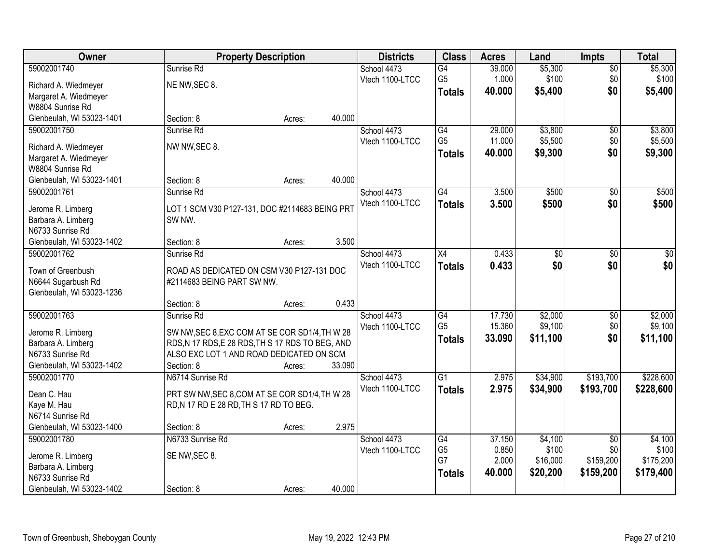| Owner                                     |                                                  | <b>Property Description</b> |        | <b>Districts</b> | <b>Class</b>    | <b>Acres</b> | Land            | Impts           | <b>Total</b> |
|-------------------------------------------|--------------------------------------------------|-----------------------------|--------|------------------|-----------------|--------------|-----------------|-----------------|--------------|
| 59002001740                               | Sunrise Rd                                       |                             |        | School 4473      | $\overline{G4}$ | 39.000       | \$5,300         | $\overline{50}$ | \$5,300      |
| Richard A. Wiedmeyer                      | NE NW, SEC 8.                                    |                             |        | Vtech 1100-LTCC  | G <sub>5</sub>  | 1.000        | \$100           | \$0             | \$100        |
| Margaret A. Wiedmeyer                     |                                                  |                             |        |                  | <b>Totals</b>   | 40.000       | \$5,400         | \$0             | \$5,400      |
| W8804 Sunrise Rd                          |                                                  |                             |        |                  |                 |              |                 |                 |              |
| Glenbeulah, WI 53023-1401                 | Section: 8                                       | Acres:                      | 40.000 |                  |                 |              |                 |                 |              |
| 59002001750                               | Sunrise Rd                                       |                             |        | School 4473      | G4              | 29.000       | \$3,800         | $\overline{50}$ | \$3,800      |
|                                           | NW NW, SEC 8.                                    |                             |        | Vtech 1100-LTCC  | G <sub>5</sub>  | 11.000       | \$5,500         | \$0             | \$5,500      |
| Richard A. Wiedmeyer                      |                                                  |                             |        |                  | <b>Totals</b>   | 40.000       | \$9,300         | \$0             | \$9,300      |
| Margaret A. Wiedmeyer<br>W8804 Sunrise Rd |                                                  |                             |        |                  |                 |              |                 |                 |              |
| Glenbeulah, WI 53023-1401                 | Section: 8                                       | Acres:                      | 40.000 |                  |                 |              |                 |                 |              |
| 59002001761                               | Sunrise Rd                                       |                             |        | School 4473      | G4              | 3.500        | \$500           | \$0             | \$500        |
|                                           |                                                  |                             |        | Vtech 1100-LTCC  | <b>Totals</b>   | 3.500        | \$500           | \$0             | \$500        |
| Jerome R. Limberg                         | LOT 1 SCM V30 P127-131, DOC #2114683 BEING PRT   |                             |        |                  |                 |              |                 |                 |              |
| Barbara A. Limberg                        | SW NW.                                           |                             |        |                  |                 |              |                 |                 |              |
| N6733 Sunrise Rd                          |                                                  |                             |        |                  |                 |              |                 |                 |              |
| Glenbeulah, WI 53023-1402                 | Section: 8                                       | Acres:                      | 3.500  |                  |                 |              |                 |                 |              |
| 59002001762                               | Sunrise Rd                                       |                             |        | School 4473      | $\overline{X4}$ | 0.433        | $\overline{50}$ | \$0             | $\sqrt{50}$  |
| Town of Greenbush                         | ROAD AS DEDICATED ON CSM V30 P127-131 DOC        |                             |        | Vtech 1100-LTCC  | <b>Totals</b>   | 0.433        | \$0             | \$0             | \$0          |
| N6644 Sugarbush Rd                        | #2114683 BEING PART SW NW.                       |                             |        |                  |                 |              |                 |                 |              |
| Glenbeulah, WI 53023-1236                 |                                                  |                             |        |                  |                 |              |                 |                 |              |
|                                           | Section: 8                                       | Acres:                      | 0.433  |                  |                 |              |                 |                 |              |
| 59002001763                               | Sunrise Rd                                       |                             |        | School 4473      | $\overline{G4}$ | 17.730       | \$2,000         | $\overline{50}$ | \$2,000      |
|                                           | SW NW, SEC 8, EXC COM AT SE COR SD1/4, TH W 28   |                             |        | Vtech 1100-LTCC  | G <sub>5</sub>  | 15.360       | \$9,100         | \$0             | \$9,100      |
| Jerome R. Limberg<br>Barbara A. Limberg   | RDS, N 17 RDS, E 28 RDS, TH S 17 RDS TO BEG, AND |                             |        |                  | Totals          | 33.090       | \$11,100        | \$0             | \$11,100     |
| N6733 Sunrise Rd                          | ALSO EXC LOT 1 AND ROAD DEDICATED ON SCM         |                             |        |                  |                 |              |                 |                 |              |
| Glenbeulah, WI 53023-1402                 | Section: 8                                       | Acres:                      | 33.090 |                  |                 |              |                 |                 |              |
| 59002001770                               | N6714 Sunrise Rd                                 |                             |        | School 4473      | $\overline{G1}$ | 2.975        | \$34,900        | \$193,700       | \$228,600    |
|                                           |                                                  |                             |        | Vtech 1100-LTCC  | <b>Totals</b>   | 2.975        | \$34,900        | \$193,700       | \$228,600    |
| Dean C. Hau                               | PRT SW NW, SEC 8, COM AT SE COR SD1/4, TH W 28   |                             |        |                  |                 |              |                 |                 |              |
| Kaye M. Hau                               | RD, N 17 RD E 28 RD, TH S 17 RD TO BEG.          |                             |        |                  |                 |              |                 |                 |              |
| N6714 Sunrise Rd                          |                                                  |                             |        |                  |                 |              |                 |                 |              |
| Glenbeulah, WI 53023-1400                 | Section: 8                                       | Acres:                      | 2.975  |                  |                 |              |                 |                 |              |
| 59002001780                               | N6733 Sunrise Rd                                 |                             |        | School 4473      | G4              | 37.150       | \$4,100         | $\overline{50}$ | \$4,100      |
| Jerome R. Limberg                         | SE NW, SEC 8.                                    |                             |        | Vtech 1100-LTCC  | G <sub>5</sub>  | 0.850        | \$100           | \$0             | \$100        |
| Barbara A. Limberg                        |                                                  |                             |        |                  | G7              | 2.000        | \$16,000        | \$159,200       | \$175,200    |
| N6733 Sunrise Rd                          |                                                  |                             |        |                  | <b>Totals</b>   | 40.000       | \$20,200        | \$159,200       | \$179,400    |
| Glenbeulah, WI 53023-1402                 | Section: 8                                       | Acres:                      | 40.000 |                  |                 |              |                 |                 |              |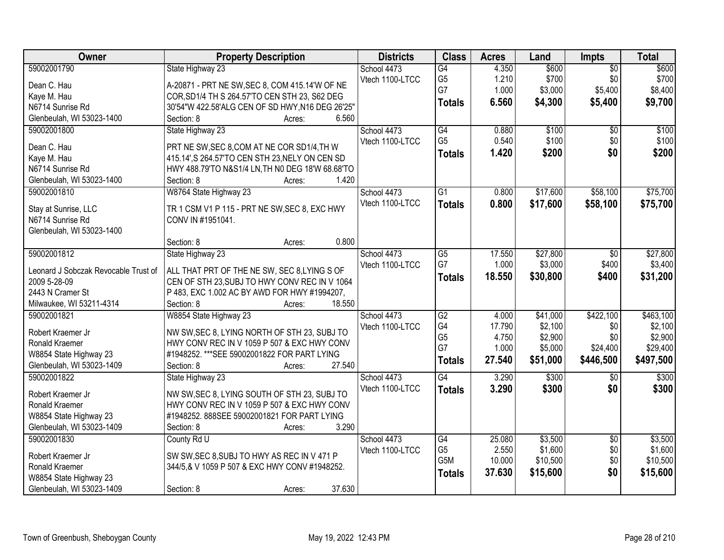| <b>Owner</b>                         | <b>Property Description</b>                      | <b>Districts</b> | <b>Class</b>     | <b>Acres</b> | Land     | <b>Impts</b>    | <b>Total</b> |
|--------------------------------------|--------------------------------------------------|------------------|------------------|--------------|----------|-----------------|--------------|
| 59002001790                          | State Highway 23                                 | School 4473      | G4               | 4.350        | \$600    | $\overline{50}$ | \$600        |
| Dean C. Hau                          | A-20871 - PRT NE SW, SEC 8, COM 415.14'W OF NE   | Vtech 1100-LTCC  | G <sub>5</sub>   | 1.210        | \$700    | \$0             | \$700        |
| Kaye M. Hau                          | COR, SD1/4 TH S 264.57'TO CEN STH 23, S62 DEG    |                  | G7               | 1.000        | \$3,000  | \$5,400         | \$8,400      |
| N6714 Sunrise Rd                     | 30'54"W 422.58'ALG CEN OF SD HWY, N16 DEG 26'25" |                  | <b>Totals</b>    | 6.560        | \$4,300  | \$5,400         | \$9,700      |
| Glenbeulah, WI 53023-1400            | 6.560<br>Section: 8<br>Acres:                    |                  |                  |              |          |                 |              |
| 59002001800                          | State Highway 23                                 | School 4473      | G4               | 0.880        | \$100    | $\overline{50}$ | \$100        |
|                                      |                                                  | Vtech 1100-LTCC  | G <sub>5</sub>   | 0.540        | \$100    | \$0             | \$100        |
| Dean C. Hau                          | PRT NE SW, SEC 8, COM AT NE COR SD1/4, TH W      |                  | <b>Totals</b>    | 1.420        | \$200    | \$0             | \$200        |
| Kaye M. Hau                          | 415.14', S 264.57'TO CEN STH 23, NELY ON CEN SD  |                  |                  |              |          |                 |              |
| N6714 Sunrise Rd                     | HWY 488.79'TO N&S1/4 LN, TH N0 DEG 18'W 68.68'TO |                  |                  |              |          |                 |              |
| Glenbeulah, WI 53023-1400            | 1.420<br>Section: 8<br>Acres:                    |                  |                  |              |          |                 |              |
| 59002001810                          | W8764 State Highway 23                           | School 4473      | $\overline{G1}$  | 0.800        | \$17,600 | \$58,100        | \$75,700     |
| Stay at Sunrise, LLC                 | TR 1 CSM V1 P 115 - PRT NE SW, SEC 8, EXC HWY    | Vtech 1100-LTCC  | <b>Totals</b>    | 0.800        | \$17,600 | \$58,100        | \$75,700     |
| N6714 Sunrise Rd                     | CONV IN #1951041.                                |                  |                  |              |          |                 |              |
| Glenbeulah, WI 53023-1400            |                                                  |                  |                  |              |          |                 |              |
|                                      | 0.800<br>Section: 8<br>Acres:                    |                  |                  |              |          |                 |              |
| 59002001812                          | State Highway 23                                 | School 4473      | G5               | 17.550       | \$27,800 | \$0             | \$27,800     |
|                                      |                                                  | Vtech 1100-LTCC  | G7               | 1.000        | \$3,000  | \$400           | \$3,400      |
| Leonard J Sobczak Revocable Trust of | ALL THAT PRT OF THE NE SW, SEC 8, LYING S OF     |                  | <b>Totals</b>    | 18.550       | \$30,800 | \$400           | \$31,200     |
| 2009 5-28-09                         | CEN OF STH 23, SUBJ TO HWY CONV REC IN V 1064    |                  |                  |              |          |                 |              |
| 2443 N Cramer St                     | P 483, EXC 1.002 AC BY AWD FOR HWY #1994207,     |                  |                  |              |          |                 |              |
| Milwaukee, WI 53211-4314             | 18.550<br>Section: 8<br>Acres:                   |                  |                  |              |          |                 |              |
| 59002001821                          | W8854 State Highway 23                           | School 4473      | $\overline{G2}$  | 4.000        | \$41,000 | \$422,100       | \$463,100    |
| Robert Kraemer Jr                    | NW SW, SEC 8, LYING NORTH OF STH 23, SUBJ TO     | Vtech 1100-LTCC  | G4               | 17.790       | \$2,100  | \$0             | \$2,100      |
| Ronald Kraemer                       | HWY CONV REC IN V 1059 P 507 & EXC HWY CONV      |                  | G <sub>5</sub>   | 4.750        | \$2,900  | \$0             | \$2,900      |
| W8854 State Highway 23               | #1948252. *** SEE 59002001822 FOR PART LYING     |                  | G7               | 1.000        | \$5,000  | \$24,400        | \$29,400     |
| Glenbeulah, WI 53023-1409            | 27.540<br>Section: 8<br>Acres:                   |                  | <b>Totals</b>    | 27.540       | \$51,000 | \$446,500       | \$497,500    |
| 59002001822                          | State Highway 23                                 | School 4473      | G4               | 3.290        | \$300    | \$0             | \$300        |
|                                      |                                                  | Vtech 1100-LTCC  | <b>Totals</b>    | 3.290        | \$300    | \$0             | \$300        |
| Robert Kraemer Jr                    | NW SW, SEC 8, LYING SOUTH OF STH 23, SUBJ TO     |                  |                  |              |          |                 |              |
| Ronald Kraemer                       | HWY CONV REC IN V 1059 P 507 & EXC HWY CONV      |                  |                  |              |          |                 |              |
| W8854 State Highway 23               | #1948252.888SEE 59002001821 FOR PART LYING       |                  |                  |              |          |                 |              |
| Glenbeulah, WI 53023-1409            | 3.290<br>Section: 8<br>Acres:                    |                  |                  |              |          |                 |              |
| 59002001830                          | County Rd U                                      | School 4473      | G4               | 25.080       | \$3,500  | $\overline{50}$ | \$3,500      |
| Robert Kraemer Jr                    | SW SW, SEC 8, SUBJ TO HWY AS REC IN V 471 P      | Vtech 1100-LTCC  | G <sub>5</sub>   | 2.550        | \$1,600  | \$0             | \$1,600      |
| Ronald Kraemer                       | 344/5,& V 1059 P 507 & EXC HWY CONV #1948252.    |                  | G <sub>5</sub> M | 10.000       | \$10,500 | \$0             | \$10,500     |
| W8854 State Highway 23               |                                                  |                  | <b>Totals</b>    | 37.630       | \$15,600 | \$0             | \$15,600     |
| Glenbeulah, WI 53023-1409            | 37.630<br>Section: 8<br>Acres:                   |                  |                  |              |          |                 |              |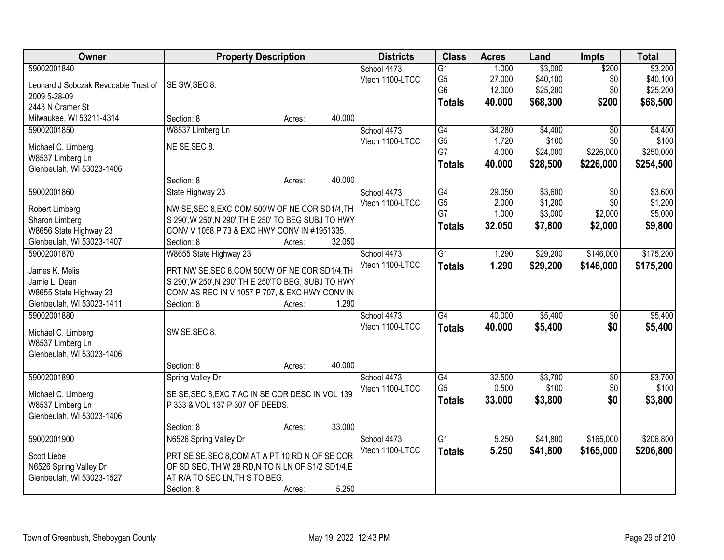| 59002001840<br>\$3,000<br>\$200<br>\$3,200<br>School 4473<br>$\overline{G1}$<br>1.000<br>\$40,100<br>G <sub>5</sub><br>27.000<br>\$0<br>Vtech 1100-LTCC<br>SE SW, SEC 8.<br>Leonard J Sobczak Revocable Trust of<br>G <sub>6</sub><br>\$25,200<br>12.000<br>\$0<br>2009 5-28-09<br>\$200<br>\$68,300<br>40.000<br><b>Totals</b><br>2443 N Cramer St<br>40.000<br>Milwaukee, WI 53211-4314<br>Section: 8<br>Acres:<br>W8537 Limberg Ln<br>G4<br>\$4,400<br>59002001850<br>School 4473<br>34.280<br>$\overline{50}$<br>G <sub>5</sub><br>\$100<br>Vtech 1100-LTCC<br>1.720<br>\$0<br>NE SE, SEC 8.<br>Michael C. Limberg<br>G7<br>4.000<br>\$226,000<br>\$24,000<br>W8537 Limberg Ln<br>40.000<br>\$28,500<br>\$226,000<br>\$254,500<br><b>Totals</b><br>Glenbeulah, WI 53023-1406<br>40.000<br>Section: 8<br>Acres:<br>59002001860<br>G4<br>29.050<br>\$3,600<br>State Highway 23<br>School 4473<br>\$0<br>G <sub>5</sub><br>\$1,200<br>2.000<br>\$0<br>Vtech 1100-LTCC<br>NW SE, SEC 8, EXC COM 500'W OF NE COR SD1/4, TH<br>Robert Limberg<br>G7<br>\$3,000<br>1.000<br>\$2,000<br>S 290', W 250', N 290', TH E 250' TO BEG SUBJ TO HWY<br>Sharon Limberg<br>\$7,800<br>\$2,000<br>\$9,800<br>32.050<br><b>Totals</b><br>CONV V 1058 P 73 & EXC HWY CONV IN #1951335.<br>W8656 State Highway 23<br>32.050<br>Glenbeulah, WI 53023-1407<br>Section: 8<br>Acres:<br>\$29,200<br>\$146,000<br>59002001870<br>W8655 State Highway 23<br>School 4473<br>$\overline{G1}$<br>1.290<br>Vtech 1100-LTCC<br>1.290<br>\$29,200<br>\$146,000<br>\$175,200<br><b>Totals</b><br>PRT NW SE, SEC 8, COM 500'W OF NE COR SD1/4, TH<br>James K. Melis<br>Jamie L. Dean<br>S 290', W 250', N 290', TH E 250'TO BEG, SUBJ TO HWY<br>W8655 State Highway 23<br>CONV AS REC IN V 1057 P 707, & EXC HWY CONV IN<br>Glenbeulah, WI 53023-1411<br>1.290<br>Section: 8<br>Acres:<br>$\overline{G4}$<br>40.000<br>\$5,400<br>59002001880<br>\$0<br>School 4473<br>40.000<br>\$5,400<br>\$0<br>Vtech 1100-LTCC<br><b>Totals</b><br>\$5,400<br>SW SE, SEC 8.<br>Michael C. Limberg<br>W8537 Limberg Ln<br>Glenbeulah, WI 53023-1406<br>40.000<br>Section: 8<br>Acres:<br>$\overline{G4}$<br>59002001890<br>School 4473<br>32.500<br>\$3,700<br>$\overline{$0}$<br>Spring Valley Dr<br>G <sub>5</sub><br>0.500<br>\$100<br>\$0<br>Vtech 1100-LTCC<br>SE SE, SEC 8, EXC 7 AC IN SE COR DESC IN VOL 139<br>Michael C. Limberg<br>\$0<br>33,000<br>\$3,800<br>\$3,800<br><b>Totals</b><br>P 333 & VOL 137 P 307 OF DEEDS.<br>W8537 Limberg Ln<br>Glenbeulah, WI 53023-1406<br>33.000<br>Section: 8<br>Acres: | Owner | <b>Property Description</b> | <b>Districts</b> | <b>Class</b> | <b>Acres</b> | Land | <b>Impts</b> | <b>Total</b> |
|------------------------------------------------------------------------------------------------------------------------------------------------------------------------------------------------------------------------------------------------------------------------------------------------------------------------------------------------------------------------------------------------------------------------------------------------------------------------------------------------------------------------------------------------------------------------------------------------------------------------------------------------------------------------------------------------------------------------------------------------------------------------------------------------------------------------------------------------------------------------------------------------------------------------------------------------------------------------------------------------------------------------------------------------------------------------------------------------------------------------------------------------------------------------------------------------------------------------------------------------------------------------------------------------------------------------------------------------------------------------------------------------------------------------------------------------------------------------------------------------------------------------------------------------------------------------------------------------------------------------------------------------------------------------------------------------------------------------------------------------------------------------------------------------------------------------------------------------------------------------------------------------------------------------------------------------------------------------------------------------------------------------------------------------------------------------------------------------------------------------------------------------------------------------------------------------------------------------------------------------------------------------------------------------------------------------------------------------------------------------------------------------------------------------------------------------------------------------------------------------------------------------------------------------------------------------------|-------|-----------------------------|------------------|--------------|--------------|------|--------------|--------------|
|                                                                                                                                                                                                                                                                                                                                                                                                                                                                                                                                                                                                                                                                                                                                                                                                                                                                                                                                                                                                                                                                                                                                                                                                                                                                                                                                                                                                                                                                                                                                                                                                                                                                                                                                                                                                                                                                                                                                                                                                                                                                                                                                                                                                                                                                                                                                                                                                                                                                                                                                                                              |       |                             |                  |              |              |      |              |              |
| \$25,200<br>\$68,500                                                                                                                                                                                                                                                                                                                                                                                                                                                                                                                                                                                                                                                                                                                                                                                                                                                                                                                                                                                                                                                                                                                                                                                                                                                                                                                                                                                                                                                                                                                                                                                                                                                                                                                                                                                                                                                                                                                                                                                                                                                                                                                                                                                                                                                                                                                                                                                                                                                                                                                                                         |       |                             |                  |              |              |      |              | \$40,100     |
|                                                                                                                                                                                                                                                                                                                                                                                                                                                                                                                                                                                                                                                                                                                                                                                                                                                                                                                                                                                                                                                                                                                                                                                                                                                                                                                                                                                                                                                                                                                                                                                                                                                                                                                                                                                                                                                                                                                                                                                                                                                                                                                                                                                                                                                                                                                                                                                                                                                                                                                                                                              |       |                             |                  |              |              |      |              |              |
|                                                                                                                                                                                                                                                                                                                                                                                                                                                                                                                                                                                                                                                                                                                                                                                                                                                                                                                                                                                                                                                                                                                                                                                                                                                                                                                                                                                                                                                                                                                                                                                                                                                                                                                                                                                                                                                                                                                                                                                                                                                                                                                                                                                                                                                                                                                                                                                                                                                                                                                                                                              |       |                             |                  |              |              |      |              |              |
| \$4,400<br>\$100<br>\$250,000<br>\$3,600<br>\$1,200<br>\$5,000<br>\$175,200                                                                                                                                                                                                                                                                                                                                                                                                                                                                                                                                                                                                                                                                                                                                                                                                                                                                                                                                                                                                                                                                                                                                                                                                                                                                                                                                                                                                                                                                                                                                                                                                                                                                                                                                                                                                                                                                                                                                                                                                                                                                                                                                                                                                                                                                                                                                                                                                                                                                                                  |       |                             |                  |              |              |      |              |              |
|                                                                                                                                                                                                                                                                                                                                                                                                                                                                                                                                                                                                                                                                                                                                                                                                                                                                                                                                                                                                                                                                                                                                                                                                                                                                                                                                                                                                                                                                                                                                                                                                                                                                                                                                                                                                                                                                                                                                                                                                                                                                                                                                                                                                                                                                                                                                                                                                                                                                                                                                                                              |       |                             |                  |              |              |      |              |              |
|                                                                                                                                                                                                                                                                                                                                                                                                                                                                                                                                                                                                                                                                                                                                                                                                                                                                                                                                                                                                                                                                                                                                                                                                                                                                                                                                                                                                                                                                                                                                                                                                                                                                                                                                                                                                                                                                                                                                                                                                                                                                                                                                                                                                                                                                                                                                                                                                                                                                                                                                                                              |       |                             |                  |              |              |      |              |              |
|                                                                                                                                                                                                                                                                                                                                                                                                                                                                                                                                                                                                                                                                                                                                                                                                                                                                                                                                                                                                                                                                                                                                                                                                                                                                                                                                                                                                                                                                                                                                                                                                                                                                                                                                                                                                                                                                                                                                                                                                                                                                                                                                                                                                                                                                                                                                                                                                                                                                                                                                                                              |       |                             |                  |              |              |      |              |              |
|                                                                                                                                                                                                                                                                                                                                                                                                                                                                                                                                                                                                                                                                                                                                                                                                                                                                                                                                                                                                                                                                                                                                                                                                                                                                                                                                                                                                                                                                                                                                                                                                                                                                                                                                                                                                                                                                                                                                                                                                                                                                                                                                                                                                                                                                                                                                                                                                                                                                                                                                                                              |       |                             |                  |              |              |      |              |              |
|                                                                                                                                                                                                                                                                                                                                                                                                                                                                                                                                                                                                                                                                                                                                                                                                                                                                                                                                                                                                                                                                                                                                                                                                                                                                                                                                                                                                                                                                                                                                                                                                                                                                                                                                                                                                                                                                                                                                                                                                                                                                                                                                                                                                                                                                                                                                                                                                                                                                                                                                                                              |       |                             |                  |              |              |      |              |              |
|                                                                                                                                                                                                                                                                                                                                                                                                                                                                                                                                                                                                                                                                                                                                                                                                                                                                                                                                                                                                                                                                                                                                                                                                                                                                                                                                                                                                                                                                                                                                                                                                                                                                                                                                                                                                                                                                                                                                                                                                                                                                                                                                                                                                                                                                                                                                                                                                                                                                                                                                                                              |       |                             |                  |              |              |      |              |              |
|                                                                                                                                                                                                                                                                                                                                                                                                                                                                                                                                                                                                                                                                                                                                                                                                                                                                                                                                                                                                                                                                                                                                                                                                                                                                                                                                                                                                                                                                                                                                                                                                                                                                                                                                                                                                                                                                                                                                                                                                                                                                                                                                                                                                                                                                                                                                                                                                                                                                                                                                                                              |       |                             |                  |              |              |      |              |              |
|                                                                                                                                                                                                                                                                                                                                                                                                                                                                                                                                                                                                                                                                                                                                                                                                                                                                                                                                                                                                                                                                                                                                                                                                                                                                                                                                                                                                                                                                                                                                                                                                                                                                                                                                                                                                                                                                                                                                                                                                                                                                                                                                                                                                                                                                                                                                                                                                                                                                                                                                                                              |       |                             |                  |              |              |      |              |              |
|                                                                                                                                                                                                                                                                                                                                                                                                                                                                                                                                                                                                                                                                                                                                                                                                                                                                                                                                                                                                                                                                                                                                                                                                                                                                                                                                                                                                                                                                                                                                                                                                                                                                                                                                                                                                                                                                                                                                                                                                                                                                                                                                                                                                                                                                                                                                                                                                                                                                                                                                                                              |       |                             |                  |              |              |      |              |              |
|                                                                                                                                                                                                                                                                                                                                                                                                                                                                                                                                                                                                                                                                                                                                                                                                                                                                                                                                                                                                                                                                                                                                                                                                                                                                                                                                                                                                                                                                                                                                                                                                                                                                                                                                                                                                                                                                                                                                                                                                                                                                                                                                                                                                                                                                                                                                                                                                                                                                                                                                                                              |       |                             |                  |              |              |      |              |              |
|                                                                                                                                                                                                                                                                                                                                                                                                                                                                                                                                                                                                                                                                                                                                                                                                                                                                                                                                                                                                                                                                                                                                                                                                                                                                                                                                                                                                                                                                                                                                                                                                                                                                                                                                                                                                                                                                                                                                                                                                                                                                                                                                                                                                                                                                                                                                                                                                                                                                                                                                                                              |       |                             |                  |              |              |      |              |              |
|                                                                                                                                                                                                                                                                                                                                                                                                                                                                                                                                                                                                                                                                                                                                                                                                                                                                                                                                                                                                                                                                                                                                                                                                                                                                                                                                                                                                                                                                                                                                                                                                                                                                                                                                                                                                                                                                                                                                                                                                                                                                                                                                                                                                                                                                                                                                                                                                                                                                                                                                                                              |       |                             |                  |              |              |      |              |              |
|                                                                                                                                                                                                                                                                                                                                                                                                                                                                                                                                                                                                                                                                                                                                                                                                                                                                                                                                                                                                                                                                                                                                                                                                                                                                                                                                                                                                                                                                                                                                                                                                                                                                                                                                                                                                                                                                                                                                                                                                                                                                                                                                                                                                                                                                                                                                                                                                                                                                                                                                                                              |       |                             |                  |              |              |      |              |              |
|                                                                                                                                                                                                                                                                                                                                                                                                                                                                                                                                                                                                                                                                                                                                                                                                                                                                                                                                                                                                                                                                                                                                                                                                                                                                                                                                                                                                                                                                                                                                                                                                                                                                                                                                                                                                                                                                                                                                                                                                                                                                                                                                                                                                                                                                                                                                                                                                                                                                                                                                                                              |       |                             |                  |              |              |      |              |              |
| \$5,400<br>\$3,700<br>\$100                                                                                                                                                                                                                                                                                                                                                                                                                                                                                                                                                                                                                                                                                                                                                                                                                                                                                                                                                                                                                                                                                                                                                                                                                                                                                                                                                                                                                                                                                                                                                                                                                                                                                                                                                                                                                                                                                                                                                                                                                                                                                                                                                                                                                                                                                                                                                                                                                                                                                                                                                  |       |                             |                  |              |              |      |              |              |
|                                                                                                                                                                                                                                                                                                                                                                                                                                                                                                                                                                                                                                                                                                                                                                                                                                                                                                                                                                                                                                                                                                                                                                                                                                                                                                                                                                                                                                                                                                                                                                                                                                                                                                                                                                                                                                                                                                                                                                                                                                                                                                                                                                                                                                                                                                                                                                                                                                                                                                                                                                              |       |                             |                  |              |              |      |              |              |
|                                                                                                                                                                                                                                                                                                                                                                                                                                                                                                                                                                                                                                                                                                                                                                                                                                                                                                                                                                                                                                                                                                                                                                                                                                                                                                                                                                                                                                                                                                                                                                                                                                                                                                                                                                                                                                                                                                                                                                                                                                                                                                                                                                                                                                                                                                                                                                                                                                                                                                                                                                              |       |                             |                  |              |              |      |              |              |
|                                                                                                                                                                                                                                                                                                                                                                                                                                                                                                                                                                                                                                                                                                                                                                                                                                                                                                                                                                                                                                                                                                                                                                                                                                                                                                                                                                                                                                                                                                                                                                                                                                                                                                                                                                                                                                                                                                                                                                                                                                                                                                                                                                                                                                                                                                                                                                                                                                                                                                                                                                              |       |                             |                  |              |              |      |              |              |
|                                                                                                                                                                                                                                                                                                                                                                                                                                                                                                                                                                                                                                                                                                                                                                                                                                                                                                                                                                                                                                                                                                                                                                                                                                                                                                                                                                                                                                                                                                                                                                                                                                                                                                                                                                                                                                                                                                                                                                                                                                                                                                                                                                                                                                                                                                                                                                                                                                                                                                                                                                              |       |                             |                  |              |              |      |              |              |
|                                                                                                                                                                                                                                                                                                                                                                                                                                                                                                                                                                                                                                                                                                                                                                                                                                                                                                                                                                                                                                                                                                                                                                                                                                                                                                                                                                                                                                                                                                                                                                                                                                                                                                                                                                                                                                                                                                                                                                                                                                                                                                                                                                                                                                                                                                                                                                                                                                                                                                                                                                              |       |                             |                  |              |              |      |              |              |
|                                                                                                                                                                                                                                                                                                                                                                                                                                                                                                                                                                                                                                                                                                                                                                                                                                                                                                                                                                                                                                                                                                                                                                                                                                                                                                                                                                                                                                                                                                                                                                                                                                                                                                                                                                                                                                                                                                                                                                                                                                                                                                                                                                                                                                                                                                                                                                                                                                                                                                                                                                              |       |                             |                  |              |              |      |              |              |
|                                                                                                                                                                                                                                                                                                                                                                                                                                                                                                                                                                                                                                                                                                                                                                                                                                                                                                                                                                                                                                                                                                                                                                                                                                                                                                                                                                                                                                                                                                                                                                                                                                                                                                                                                                                                                                                                                                                                                                                                                                                                                                                                                                                                                                                                                                                                                                                                                                                                                                                                                                              |       |                             |                  |              |              |      |              |              |
|                                                                                                                                                                                                                                                                                                                                                                                                                                                                                                                                                                                                                                                                                                                                                                                                                                                                                                                                                                                                                                                                                                                                                                                                                                                                                                                                                                                                                                                                                                                                                                                                                                                                                                                                                                                                                                                                                                                                                                                                                                                                                                                                                                                                                                                                                                                                                                                                                                                                                                                                                                              |       |                             |                  |              |              |      |              |              |
|                                                                                                                                                                                                                                                                                                                                                                                                                                                                                                                                                                                                                                                                                                                                                                                                                                                                                                                                                                                                                                                                                                                                                                                                                                                                                                                                                                                                                                                                                                                                                                                                                                                                                                                                                                                                                                                                                                                                                                                                                                                                                                                                                                                                                                                                                                                                                                                                                                                                                                                                                                              |       |                             |                  |              |              |      |              |              |
|                                                                                                                                                                                                                                                                                                                                                                                                                                                                                                                                                                                                                                                                                                                                                                                                                                                                                                                                                                                                                                                                                                                                                                                                                                                                                                                                                                                                                                                                                                                                                                                                                                                                                                                                                                                                                                                                                                                                                                                                                                                                                                                                                                                                                                                                                                                                                                                                                                                                                                                                                                              |       |                             |                  |              |              |      |              |              |
|                                                                                                                                                                                                                                                                                                                                                                                                                                                                                                                                                                                                                                                                                                                                                                                                                                                                                                                                                                                                                                                                                                                                                                                                                                                                                                                                                                                                                                                                                                                                                                                                                                                                                                                                                                                                                                                                                                                                                                                                                                                                                                                                                                                                                                                                                                                                                                                                                                                                                                                                                                              |       |                             |                  |              |              |      |              |              |
|                                                                                                                                                                                                                                                                                                                                                                                                                                                                                                                                                                                                                                                                                                                                                                                                                                                                                                                                                                                                                                                                                                                                                                                                                                                                                                                                                                                                                                                                                                                                                                                                                                                                                                                                                                                                                                                                                                                                                                                                                                                                                                                                                                                                                                                                                                                                                                                                                                                                                                                                                                              |       |                             |                  |              |              |      |              |              |
|                                                                                                                                                                                                                                                                                                                                                                                                                                                                                                                                                                                                                                                                                                                                                                                                                                                                                                                                                                                                                                                                                                                                                                                                                                                                                                                                                                                                                                                                                                                                                                                                                                                                                                                                                                                                                                                                                                                                                                                                                                                                                                                                                                                                                                                                                                                                                                                                                                                                                                                                                                              |       |                             |                  |              |              |      |              |              |
|                                                                                                                                                                                                                                                                                                                                                                                                                                                                                                                                                                                                                                                                                                                                                                                                                                                                                                                                                                                                                                                                                                                                                                                                                                                                                                                                                                                                                                                                                                                                                                                                                                                                                                                                                                                                                                                                                                                                                                                                                                                                                                                                                                                                                                                                                                                                                                                                                                                                                                                                                                              |       |                             |                  |              |              |      |              |              |
| N6526 Spring Valley Dr<br>\$165,000<br>\$206,800<br>59002001900<br>School 4473<br>$\overline{G1}$<br>5.250<br>\$41,800                                                                                                                                                                                                                                                                                                                                                                                                                                                                                                                                                                                                                                                                                                                                                                                                                                                                                                                                                                                                                                                                                                                                                                                                                                                                                                                                                                                                                                                                                                                                                                                                                                                                                                                                                                                                                                                                                                                                                                                                                                                                                                                                                                                                                                                                                                                                                                                                                                                       |       |                             |                  |              |              |      |              |              |
| Vtech 1100-LTCC<br>5.250<br>\$41,800<br>\$206,800<br>\$165,000<br><b>Totals</b><br>PRT SE SE, SEC 8, COM AT A PT 10 RD N OF SE COR<br>Scott Liebe                                                                                                                                                                                                                                                                                                                                                                                                                                                                                                                                                                                                                                                                                                                                                                                                                                                                                                                                                                                                                                                                                                                                                                                                                                                                                                                                                                                                                                                                                                                                                                                                                                                                                                                                                                                                                                                                                                                                                                                                                                                                                                                                                                                                                                                                                                                                                                                                                            |       |                             |                  |              |              |      |              |              |
| N6526 Spring Valley Dr<br>OF SD SEC, TH W 28 RD, N TO N LN OF S1/2 SD1/4, E                                                                                                                                                                                                                                                                                                                                                                                                                                                                                                                                                                                                                                                                                                                                                                                                                                                                                                                                                                                                                                                                                                                                                                                                                                                                                                                                                                                                                                                                                                                                                                                                                                                                                                                                                                                                                                                                                                                                                                                                                                                                                                                                                                                                                                                                                                                                                                                                                                                                                                  |       |                             |                  |              |              |      |              |              |
| Glenbeulah, WI 53023-1527<br>AT R/A TO SEC LN, TH S TO BEG.                                                                                                                                                                                                                                                                                                                                                                                                                                                                                                                                                                                                                                                                                                                                                                                                                                                                                                                                                                                                                                                                                                                                                                                                                                                                                                                                                                                                                                                                                                                                                                                                                                                                                                                                                                                                                                                                                                                                                                                                                                                                                                                                                                                                                                                                                                                                                                                                                                                                                                                  |       |                             |                  |              |              |      |              |              |
| 5.250<br>Section: 8<br>Acres:                                                                                                                                                                                                                                                                                                                                                                                                                                                                                                                                                                                                                                                                                                                                                                                                                                                                                                                                                                                                                                                                                                                                                                                                                                                                                                                                                                                                                                                                                                                                                                                                                                                                                                                                                                                                                                                                                                                                                                                                                                                                                                                                                                                                                                                                                                                                                                                                                                                                                                                                                |       |                             |                  |              |              |      |              |              |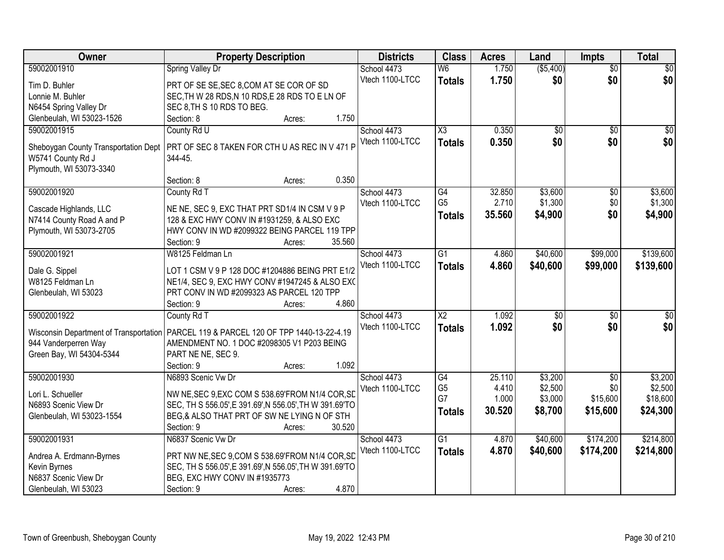| Owner                                  | <b>Property Description</b>                             | <b>Districts</b> | <b>Class</b>           | <b>Acres</b> | Land            | <b>Impts</b>    | <b>Total</b>    |
|----------------------------------------|---------------------------------------------------------|------------------|------------------------|--------------|-----------------|-----------------|-----------------|
| 59002001910                            | <b>Spring Valley Dr</b>                                 | School 4473      | W <sub>6</sub>         | 1.750        | ( \$5,400)      | $\overline{60}$ | \$0             |
| Tim D. Buhler                          | PRT OF SE SE, SEC 8, COM AT SE COR OF SD                | Vtech 1100-LTCC  | <b>Totals</b>          | 1.750        | \$0             | \$0             | \$0             |
| Lonnie M. Buhler                       | SEC, TH W 28 RDS, N 10 RDS, E 28 RDS TO E LN OF         |                  |                        |              |                 |                 |                 |
| N6454 Spring Valley Dr                 | SEC 8, TH S 10 RDS TO BEG.                              |                  |                        |              |                 |                 |                 |
| Glenbeulah, WI 53023-1526              | 1.750<br>Section: 8<br>Acres:                           |                  |                        |              |                 |                 |                 |
| 59002001915                            | County Rd U                                             | School 4473      | $\overline{\text{X3}}$ | 0.350        | $\overline{50}$ | \$0             | \$0             |
|                                        |                                                         | Vtech 1100-LTCC  | <b>Totals</b>          | 0.350        | \$0             | \$0             | \$0             |
| Sheboygan County Transportation Dept   | PRT OF SEC 8 TAKEN FOR CTH U AS REC IN V 471 P          |                  |                        |              |                 |                 |                 |
| W5741 County Rd J                      | 344-45.                                                 |                  |                        |              |                 |                 |                 |
| Plymouth, WI 53073-3340                |                                                         |                  |                        |              |                 |                 |                 |
|                                        | 0.350<br>Section: 8<br>Acres:                           |                  |                        |              |                 |                 |                 |
| 59002001920                            | County Rd T                                             | School 4473      | $\overline{G4}$        | 32.850       | \$3,600         | \$0             | \$3,600         |
| Cascade Highlands, LLC                 | NE NE, SEC 9, EXC THAT PRT SD1/4 IN CSM V 9 P           | Vtech 1100-LTCC  | G <sub>5</sub>         | 2.710        | \$1,300         | \$0             | \$1,300         |
| N7414 County Road A and P              | 128 & EXC HWY CONV IN #1931259, & ALSO EXC              |                  | <b>Totals</b>          | 35.560       | \$4,900         | \$0             | \$4,900         |
| Plymouth, WI 53073-2705                | HWY CONV IN WD #2099322 BEING PARCEL 119 TPP            |                  |                        |              |                 |                 |                 |
|                                        | 35.560<br>Section: 9<br>Acres:                          |                  |                        |              |                 |                 |                 |
| 59002001921                            | W8125 Feldman Ln                                        | School 4473      | $\overline{G1}$        | 4.860        | \$40,600        | \$99,000        | \$139,600       |
|                                        |                                                         | Vtech 1100-LTCC  | <b>Totals</b>          | 4.860        | \$40,600        | \$99,000        | \$139,600       |
| Dale G. Sippel                         | LOT 1 CSM V 9 P 128 DOC #1204886 BEING PRT E1/2         |                  |                        |              |                 |                 |                 |
| W8125 Feldman Ln                       | NE1/4, SEC 9, EXC HWY CONV #1947245 & ALSO EXC          |                  |                        |              |                 |                 |                 |
| Glenbeulah, WI 53023                   | PRT CONV IN WD #2099323 AS PARCEL 120 TPP               |                  |                        |              |                 |                 |                 |
|                                        | 4.860<br>Section: 9<br>Acres:                           |                  |                        |              |                 |                 |                 |
| 59002001922                            | County Rd T                                             | School 4473      | $\overline{X2}$        | 1.092        | $\overline{50}$ | \$0             | $\overline{50}$ |
| Wisconsin Department of Transportation | PARCEL 119 & PARCEL 120 OF TPP 1440-13-22-4.19          | Vtech 1100-LTCC  | <b>Totals</b>          | 1.092        | \$0             | \$0             | \$0             |
| 944 Vanderperren Way                   | AMENDMENT NO. 1 DOC #2098305 V1 P203 BEING              |                  |                        |              |                 |                 |                 |
| Green Bay, WI 54304-5344               | PART NE NE, SEC 9.                                      |                  |                        |              |                 |                 |                 |
|                                        | 1.092<br>Section: 9<br>Acres:                           |                  |                        |              |                 |                 |                 |
| 59002001930                            | N6893 Scenic Vw Dr                                      | School 4473      | G4                     | 25.110       | \$3,200         | $\overline{50}$ | \$3,200         |
|                                        |                                                         | Vtech 1100-LTCC  | G <sub>5</sub>         | 4.410        | \$2,500         | \$0             | \$2,500         |
| Lori L. Schueller                      | NW NE, SEC 9, EXC COM S 538.69' FROM N1/4 COR, SD       |                  | G7                     | 1.000        | \$3,000         | \$15,600        | \$18,600        |
| N6893 Scenic View Dr                   | SEC, TH S 556.05', E 391.69', N 556.05', TH W 391.69'TO |                  | <b>Totals</b>          | 30.520       | \$8,700         | \$15,600        | \$24,300        |
| Glenbeulah, WI 53023-1554              | BEG,& ALSO THAT PRT OF SW NE LYING N OF STH             |                  |                        |              |                 |                 |                 |
|                                        | 30.520<br>Section: 9<br>Acres:                          |                  |                        |              |                 |                 |                 |
| 59002001931                            | N6837 Scenic Vw Dr                                      | School 4473      | G1                     | 4.870        | \$40,600        | \$174,200       | \$214,800       |
| Andrea A. Erdmann-Byrnes               | PRT NW NE, SEC 9, COM S 538.69 FROM N1/4 COR, SD        | Vtech 1100-LTCC  | <b>Totals</b>          | 4.870        | \$40,600        | \$174,200       | \$214,800       |
| Kevin Byrnes                           | SEC, TH S 556.05', E 391.69', N 556.05', TH W 391.69'TO |                  |                        |              |                 |                 |                 |
| N6837 Scenic View Dr                   | BEG, EXC HWY CONV IN #1935773                           |                  |                        |              |                 |                 |                 |
| Glenbeulah, WI 53023                   | 4.870<br>Section: 9<br>Acres:                           |                  |                        |              |                 |                 |                 |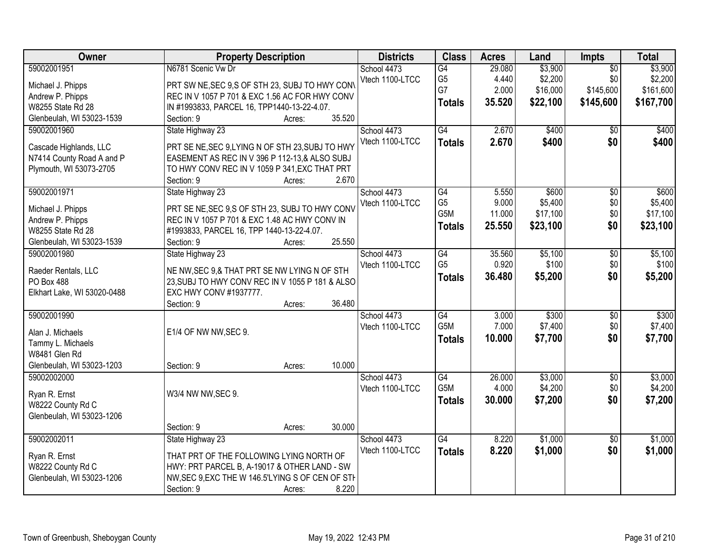| Owner                       | <b>Property Description</b>                      | <b>Districts</b> | <b>Class</b>     | <b>Acres</b> | Land     | <b>Impts</b>    | <b>Total</b> |
|-----------------------------|--------------------------------------------------|------------------|------------------|--------------|----------|-----------------|--------------|
| 59002001951                 | N6781 Scenic Vw Dr                               | School 4473      | G4               | 29.080       | \$3,900  | $\overline{30}$ | \$3,900      |
| Michael J. Phipps           | PRT SW NE, SEC 9, S OF STH 23, SUBJ TO HWY CONV  | Vtech 1100-LTCC  | G <sub>5</sub>   | 4.440        | \$2,200  | \$0             | \$2,200      |
| Andrew P. Phipps            | REC IN V 1057 P 701 & EXC 1.56 AC FOR HWY CONV   |                  | G7               | 2.000        | \$16,000 | \$145,600       | \$161,600    |
| W8255 State Rd 28           | IN #1993833, PARCEL 16, TPP1440-13-22-4.07.      |                  | <b>Totals</b>    | 35.520       | \$22,100 | \$145,600       | \$167,700    |
| Glenbeulah, WI 53023-1539   | 35.520<br>Section: 9<br>Acres:                   |                  |                  |              |          |                 |              |
| 59002001960                 | State Highway 23                                 | School 4473      | G4               | 2.670        | \$400    | $\overline{50}$ | \$400        |
|                             |                                                  | Vtech 1100-LTCC  | <b>Totals</b>    | 2.670        | \$400    | \$0             | \$400        |
| Cascade Highlands, LLC      | PRT SE NE, SEC 9, LYING N OF STH 23, SUBJ TO HWY |                  |                  |              |          |                 |              |
| N7414 County Road A and P   | EASEMENT AS REC IN V 396 P 112-13.& ALSO SUBJ    |                  |                  |              |          |                 |              |
| Plymouth, WI 53073-2705     | TO HWY CONV REC IN V 1059 P 341, EXC THAT PRT    |                  |                  |              |          |                 |              |
|                             | 2.670<br>Section: 9<br>Acres:                    |                  |                  |              |          |                 |              |
| 59002001971                 | State Highway 23                                 | School 4473      | $\overline{G4}$  | 5.550        | \$600    | $\overline{50}$ | \$600        |
| Michael J. Phipps           | PRT SE NE, SEC 9, S OF STH 23, SUBJ TO HWY CONV  | Vtech 1100-LTCC  | G <sub>5</sub>   | 9.000        | \$5,400  | \$0             | \$5,400      |
| Andrew P. Phipps            | REC IN V 1057 P 701 & EXC 1.48 AC HWY CONV IN    |                  | G <sub>5</sub> M | 11.000       | \$17,100 | \$0             | \$17,100     |
| W8255 State Rd 28           | #1993833, PARCEL 16, TPP 1440-13-22-4.07.        |                  | <b>Totals</b>    | 25.550       | \$23,100 | \$0             | \$23,100     |
| Glenbeulah, WI 53023-1539   | 25.550<br>Section: 9<br>Acres:                   |                  |                  |              |          |                 |              |
| 59002001980                 | State Highway 23                                 | School 4473      | $\overline{G4}$  | 35.560       | \$5,100  | \$0             | \$5,100      |
|                             |                                                  | Vtech 1100-LTCC  | G <sub>5</sub>   | 0.920        | \$100    | \$0             | \$100        |
| Raeder Rentals, LLC         | NE NW, SEC 9, & THAT PRT SE NW LYING N OF STH    |                  | <b>Totals</b>    | 36.480       | \$5,200  | \$0             | \$5,200      |
| PO Box 488                  | 23, SUBJ TO HWY CONV REC IN V 1055 P 181 & ALSO  |                  |                  |              |          |                 |              |
| Elkhart Lake, WI 53020-0488 | EXC HWY CONV #1937777.                           |                  |                  |              |          |                 |              |
|                             | 36.480<br>Section: 9<br>Acres:                   |                  |                  |              |          |                 |              |
| 59002001990                 |                                                  | School 4473      | G4               | 3.000        | \$300    | \$0             | \$300        |
| Alan J. Michaels            | E1/4 OF NW NW, SEC 9.                            | Vtech 1100-LTCC  | G <sub>5</sub> M | 7.000        | \$7,400  | \$0             | \$7,400      |
| Tammy L. Michaels           |                                                  |                  | <b>Totals</b>    | 10.000       | \$7,700  | \$0             | \$7,700      |
| W8481 Glen Rd               |                                                  |                  |                  |              |          |                 |              |
| Glenbeulah, WI 53023-1203   | 10.000<br>Section: 9<br>Acres:                   |                  |                  |              |          |                 |              |
| 59002002000                 |                                                  | School 4473      | $\overline{G4}$  | 26.000       | \$3,000  | $\overline{60}$ | \$3,000      |
|                             |                                                  | Vtech 1100-LTCC  | G5M              | 4.000        | \$4,200  | \$0             | \$4,200      |
| Ryan R. Ernst               | W3/4 NW NW, SEC 9.                               |                  | <b>Totals</b>    | 30.000       | \$7,200  | \$0             | \$7,200      |
| W8222 County Rd C           |                                                  |                  |                  |              |          |                 |              |
| Glenbeulah, WI 53023-1206   | 30.000                                           |                  |                  |              |          |                 |              |
| 59002002011                 | Section: 9<br>Acres:                             |                  |                  |              |          |                 |              |
|                             | State Highway 23                                 | School 4473      | $\overline{G4}$  | 8.220        | \$1,000  | $\overline{30}$ | \$1,000      |
| Ryan R. Ernst               | THAT PRT OF THE FOLLOWING LYING NORTH OF         | Vtech 1100-LTCC  | <b>Totals</b>    | 8.220        | \$1,000  | \$0             | \$1,000      |
| W8222 County Rd C           | HWY: PRT PARCEL B, A-19017 & OTHER LAND - SW     |                  |                  |              |          |                 |              |
| Glenbeulah, WI 53023-1206   | NW, SEC 9, EXC THE W 146.5'LYING S OF CEN OF STH |                  |                  |              |          |                 |              |
|                             | 8.220<br>Section: 9<br>Acres:                    |                  |                  |              |          |                 |              |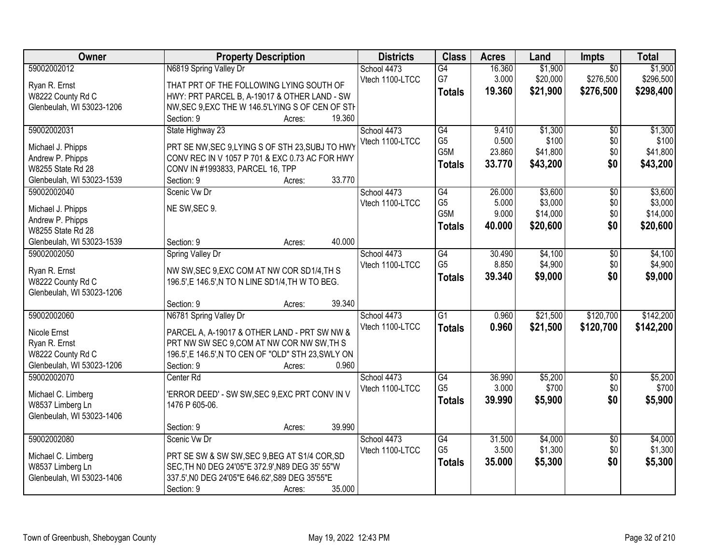| Owner                                 | <b>Property Description</b>                                                                        | <b>Districts</b> | <b>Class</b>         | <b>Acres</b>    | Land               | <b>Impts</b>    | <b>Total</b>       |
|---------------------------------------|----------------------------------------------------------------------------------------------------|------------------|----------------------|-----------------|--------------------|-----------------|--------------------|
| 59002002012                           | N6819 Spring Valley Dr                                                                             | School 4473      | $\overline{G4}$      | 16.360          | \$1,900            | $\overline{50}$ | \$1,900            |
| Ryan R. Ernst                         | THAT PRT OF THE FOLLOWING LYING SOUTH OF                                                           | Vtech 1100-LTCC  | G7                   | 3.000           | \$20,000           | \$276,500       | \$296,500          |
| W8222 County Rd C                     | HWY: PRT PARCEL B, A-19017 & OTHER LAND - SW                                                       |                  | <b>Totals</b>        | 19.360          | \$21,900           | \$276,500       | \$298,400          |
| Glenbeulah, WI 53023-1206             | NW, SEC 9, EXC THE W 146.5'LYING S OF CEN OF STH                                                   |                  |                      |                 |                    |                 |                    |
|                                       | 19.360<br>Section: 9<br>Acres:                                                                     |                  |                      |                 |                    |                 |                    |
| 59002002031                           | State Highway 23                                                                                   | School 4473      | G4                   | 9.410           | \$1,300            | $\overline{50}$ | \$1,300            |
|                                       |                                                                                                    | Vtech 1100-LTCC  | G <sub>5</sub>       | 0.500           | \$100              | \$0             | \$100              |
| Michael J. Phipps<br>Andrew P. Phipps | PRT SE NW, SEC 9, LYING S OF STH 23, SUBJ TO HWY<br>CONV REC IN V 1057 P 701 & EXC 0.73 AC FOR HWY |                  | G5M                  | 23.860          | \$41,800           | \$0             | \$41,800           |
| W8255 State Rd 28                     | CONV IN #1993833, PARCEL 16, TPP                                                                   |                  | <b>Totals</b>        | 33.770          | \$43,200           | \$0             | \$43,200           |
| Glenbeulah, WI 53023-1539             | 33.770<br>Section: 9<br>Acres:                                                                     |                  |                      |                 |                    |                 |                    |
| 59002002040                           | Scenic Vw Dr                                                                                       | School 4473      | G4                   | 26.000          | \$3,600            | $\overline{50}$ | \$3,600            |
|                                       |                                                                                                    | Vtech 1100-LTCC  | G <sub>5</sub>       | 5.000           | \$3,000            | \$0             | \$3,000            |
| Michael J. Phipps                     | NE SW, SEC 9.                                                                                      |                  | G5M                  | 9.000           | \$14,000           | \$0             | \$14,000           |
| Andrew P. Phipps                      |                                                                                                    |                  | <b>Totals</b>        | 40.000          | \$20,600           | \$0             | \$20,600           |
| W8255 State Rd 28                     |                                                                                                    |                  |                      |                 |                    |                 |                    |
| Glenbeulah, WI 53023-1539             | 40.000<br>Section: 9<br>Acres:                                                                     |                  |                      |                 |                    |                 |                    |
| 59002002050                           | Spring Valley Dr                                                                                   | School 4473      | G4                   | 30.490          | \$4,100            | \$0             | \$4,100            |
| Ryan R. Ernst                         | NW SW, SEC 9, EXC COM AT NW COR SD1/4, TH S                                                        | Vtech 1100-LTCC  | G <sub>5</sub>       | 8.850           | \$4,900            | \$0             | \$4,900            |
| W8222 County Rd C                     | 196.5', E 146.5', N TO N LINE SD1/4, TH W TO BEG.                                                  |                  | <b>Totals</b>        | 39.340          | \$9,000            | \$0             | \$9,000            |
| Glenbeulah, WI 53023-1206             |                                                                                                    |                  |                      |                 |                    |                 |                    |
|                                       | 39.340<br>Section: 9<br>Acres:                                                                     |                  |                      |                 |                    |                 |                    |
| 59002002060                           | N6781 Spring Valley Dr                                                                             | School 4473      | $\overline{G1}$      | 0.960           | \$21,500           | \$120,700       | \$142,200          |
| Nicole Ernst                          | PARCEL A, A-19017 & OTHER LAND - PRT SW NW &                                                       | Vtech 1100-LTCC  | <b>Totals</b>        | 0.960           | \$21,500           | \$120,700       | \$142,200          |
| Ryan R. Ernst                         | PRT NW SW SEC 9,COM AT NW COR NW SW,TH S                                                           |                  |                      |                 |                    |                 |                    |
| W8222 County Rd C                     | 196.5', E 146.5', N TO CEN OF "OLD" STH 23, SWLY ON                                                |                  |                      |                 |                    |                 |                    |
| Glenbeulah, WI 53023-1206             | 0.960<br>Section: 9<br>Acres:                                                                      |                  |                      |                 |                    |                 |                    |
| 59002002070                           | Center Rd                                                                                          | School 4473      | G4                   | 36.990          | \$5,200            | $\sqrt{$0}$     | \$5,200            |
|                                       |                                                                                                    | Vtech 1100-LTCC  | G <sub>5</sub>       | 3.000           | \$700              | \$0             | \$700              |
| Michael C. Limberg                    | 'ERROR DEED' - SW SW, SEC 9, EXC PRT CONV IN V                                                     |                  | <b>Totals</b>        | 39.990          | \$5,900            | \$0             | \$5,900            |
| W8537 Limberg Ln                      | 1476 P 605-06.                                                                                     |                  |                      |                 |                    |                 |                    |
| Glenbeulah, WI 53023-1406             |                                                                                                    |                  |                      |                 |                    |                 |                    |
|                                       | 39.990<br>Section: 9<br>Acres:                                                                     |                  |                      |                 |                    |                 |                    |
| 59002002080                           | Scenic Vw Dr                                                                                       | School 4473      | G4<br>G <sub>5</sub> | 31.500<br>3.500 | \$4,000<br>\$1,300 | $\overline{50}$ | \$4,000<br>\$1,300 |
| Michael C. Limberg                    | PRT SE SW & SW SW, SEC 9, BEG AT S1/4 COR, SD                                                      | Vtech 1100-LTCC  |                      |                 |                    | \$0             |                    |
| W8537 Limberg Ln                      | SEC, TH NO DEG 24'05"E 372.9', N89 DEG 35' 55"W                                                    |                  | <b>Totals</b>        | 35.000          | \$5,300            | \$0             | \$5,300            |
| Glenbeulah, WI 53023-1406             | 337.5', NO DEG 24'05"E 646.62', S89 DEG 35'55"E                                                    |                  |                      |                 |                    |                 |                    |
|                                       | 35.000<br>Section: 9<br>Acres:                                                                     |                  |                      |                 |                    |                 |                    |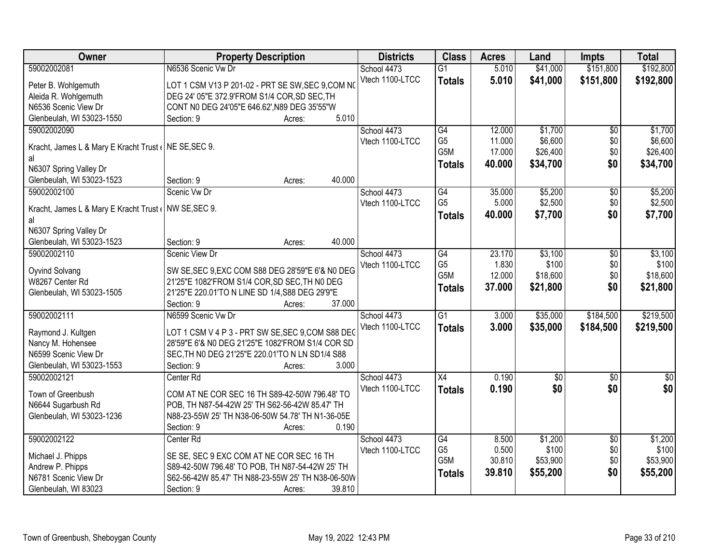| <b>Class</b><br>Owner<br><b>Property Description</b><br><b>Districts</b><br><b>Acres</b><br>Land<br><b>Impts</b>                               | <b>Total</b>     |
|------------------------------------------------------------------------------------------------------------------------------------------------|------------------|
| 59002002081<br>N6536 Scenic Vw Dr<br>5.010<br>\$41,000<br>\$151,800<br>School 4473<br>$\overline{G1}$                                          | \$192,800        |
| Vtech 1100-LTCC<br>5.010<br>\$41,000<br>\$151,800<br><b>Totals</b><br>LOT 1 CSM V13 P 201-02 - PRT SE SW, SEC 9, COM NO<br>Peter B. Wohlgemuth | \$192,800        |
| Aleida R. Wohlgemuth<br>DEG 24' 05"E 372.9'FROM S1/4 COR, SD SEC, TH                                                                           |                  |
| N6536 Scenic View Dr<br>CONT N0 DEG 24'05"E 646.62', N89 DEG 35'55"W                                                                           |                  |
| Glenbeulah, WI 53023-1550<br>5.010<br>Section: 9<br>Acres:                                                                                     |                  |
| \$1,700<br>59002002090<br>G4<br>12.000<br>$\overline{50}$<br>School 4473                                                                       | \$1,700          |
| G <sub>5</sub><br>11.000<br>\$6,600<br>\$0<br>Vtech 1100-LTCC                                                                                  | \$6,600          |
| Kracht, James L & Mary E Kracht Trust (NE SE, SEC 9.<br>G5M<br>\$0<br>17.000<br>\$26,400                                                       | \$26,400         |
| al<br>\$0<br>40.000<br>\$34,700<br><b>Totals</b>                                                                                               | \$34,700         |
| N6307 Spring Valley Dr<br>40.000<br>Section: 9                                                                                                 |                  |
| Glenbeulah, WI 53023-1523<br>Acres:<br>\$5,200<br>59002002100<br>Scenic Vw Dr<br>$\overline{G4}$<br>35.000                                     | \$5,200          |
| $\overline{50}$<br>School 4473<br>G <sub>5</sub><br>\$2,500<br>\$0<br>5.000<br>Vtech 1100-LTCC                                                 | \$2,500          |
| Kracht, James L & Mary E Kracht Trust (NW SE, SEC 9.<br>\$7,700<br>40.000<br>\$0                                                               |                  |
| <b>Totals</b><br>al                                                                                                                            | \$7,700          |
| N6307 Spring Valley Dr                                                                                                                         |                  |
| 40.000<br>Glenbeulah, WI 53023-1523<br>Section: 9<br>Acres:                                                                                    |                  |
| 59002002110<br><b>Scenic View Dr</b><br>23.170<br>\$3,100<br>School 4473<br>G4<br>\$0                                                          | \$3,100          |
| G <sub>5</sub><br>\$100<br>1.830<br>\$0<br>Vtech 1100-LTCC<br>SW SE, SEC 9, EXC COM S88 DEG 28'59"E 6'& N0 DEG<br>Oyvind Solvang               | \$100            |
| G5M<br>12.000<br>\$18,600<br>\$0<br>W8267 Center Rd<br>21'25"E 1082'FROM S1/4 COR, SD SEC, TH N0 DEG                                           | \$18,600         |
| \$0<br>\$21,800<br>37.000<br><b>Totals</b><br>Glenbeulah, WI 53023-1505<br>21'25"E 220.01'TO N LINE SD 1/4, S88 DEG 29'9"E                     | \$21,800         |
| Section: 9<br>37.000<br>Acres:                                                                                                                 |                  |
| 59002002111<br>N6599 Scenic Vw Dr<br>$\overline{G1}$<br>3.000<br>\$35,000<br>\$184,500<br>School 4473                                          | \$219,500        |
| 3.000<br>\$35,000<br>Vtech 1100-LTCC<br><b>Totals</b><br>\$184,500                                                                             | \$219,500        |
| LOT 1 CSM V 4 P 3 - PRT SW SE, SEC 9, COM S88 DEG<br>Raymond J. Kultgen                                                                        |                  |
| Nancy M. Hohensee<br>28'59"E 6'& N0 DEG 21'25"E 1082'FROM S1/4 COR SD                                                                          |                  |
| N6599 Scenic View Dr<br>SEC, TH NO DEG 21'25"E 220.01'TO N LN SD1/4 S88                                                                        |                  |
| 3.000<br>Glenbeulah, WI 53023-1553<br>Section: 9<br>Acres:                                                                                     |                  |
| 59002002121<br>0.190<br>$\overline{30}$<br>School 4473<br>X4<br>$\overline{50}$<br>Center <sub>Rd</sub>                                        | $\overline{\$0}$ |
| \$0<br>\$0<br>Vtech 1100-LTCC<br>0.190<br><b>Totals</b><br>Town of Greenbush<br>COM AT NE COR SEC 16 TH S89-42-50W 796.48' TO                  | \$0              |
| N6644 Sugarbush Rd<br>POB, TH N87-54-42W 25' TH S62-56-42W 85.47' TH                                                                           |                  |
| N88-23-55W 25' TH N38-06-50W 54.78' TH N1-36-05E<br>Glenbeulah, WI 53023-1236                                                                  |                  |
| Section: 9<br>0.190<br>Acres:                                                                                                                  |                  |
| 59002002122<br>\$1,200<br>Center Rd<br>School 4473<br>G4<br>8.500<br>$\overline{50}$                                                           | \$1,200          |
| G <sub>5</sub><br>0.500<br>\$100<br>\$0<br>Vtech 1100-LTCC<br>SE SE, SEC 9 EXC COM AT NE COR SEC 16 TH<br>Michael J. Phipps                    | \$100            |
| G5M<br>30.810<br>\$53,900<br>\$0<br>Andrew P. Phipps<br>S89-42-50W 796.48' TO POB, TH N87-54-42W 25' TH                                        | \$53,900         |
| \$0<br>39.810<br>\$55,200<br><b>Totals</b><br>S62-56-42W 85.47' TH N88-23-55W 25' TH N38-06-50W<br>N6781 Scenic View Dr                        | \$55,200         |
| 39.810<br>Glenbeulah, WI 83023<br>Section: 9<br>Acres:                                                                                         |                  |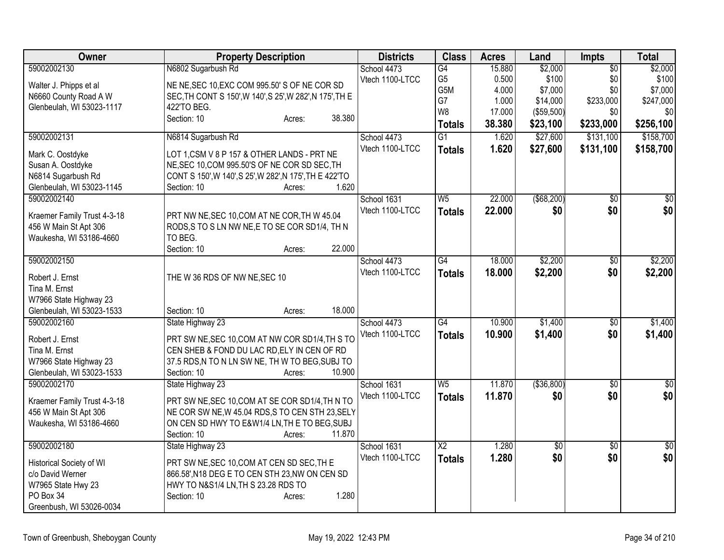| Owner                                               | <b>Property Description</b>                                              | <b>Districts</b> | <b>Class</b>   | <b>Acres</b>   | Land                | <b>Impts</b>     | <b>Total</b>         |
|-----------------------------------------------------|--------------------------------------------------------------------------|------------------|----------------|----------------|---------------------|------------------|----------------------|
| 59002002130                                         | N6802 Sugarbush Rd                                                       | School 4473      | G4             | 15.880         | \$2,000             | $\overline{50}$  | \$2,000              |
| Walter J. Phipps et al                              | NE NE, SEC 10, EXC COM 995.50' S OF NE COR SD                            | Vtech 1100-LTCC  | G <sub>5</sub> | 0.500          | \$100               | \$0              | \$100                |
| N6660 County Road A W                               | SEC, TH CONT S 150', W 140', S 25', W 282', N 175', TH E                 |                  | G5M<br>G7      | 4.000<br>1.000 | \$7,000<br>\$14,000 | \$0<br>\$233,000 | \$7,000<br>\$247,000 |
| Glenbeulah, WI 53023-1117                           | 422'TO BEG.                                                              |                  | W8             | 17.000         | ( \$59,500)         | \$0              | \$0                  |
|                                                     | 38.380<br>Section: 10<br>Acres:                                          |                  | <b>Totals</b>  | 38.380         | \$23,100            | \$233,000        | \$256,100            |
| 59002002131                                         | N6814 Sugarbush Rd                                                       | School 4473      | G1             | 1.620          | \$27,600            | \$131,100        | \$158,700            |
| Mark C. Oostdyke                                    | LOT 1, CSM V 8 P 157 & OTHER LANDS - PRT NE                              | Vtech 1100-LTCC  | <b>Totals</b>  | 1.620          | \$27,600            | \$131,100        | \$158,700            |
| Susan A. Oostdyke                                   | NE, SEC 10, COM 995.50'S OF NE COR SD SEC, TH                            |                  |                |                |                     |                  |                      |
| N6814 Sugarbush Rd                                  | CONT S 150', W 140', S 25', W 282', N 175', TH E 422'TO                  |                  |                |                |                     |                  |                      |
| Glenbeulah, WI 53023-1145                           | 1.620<br>Section: 10<br>Acres:                                           |                  |                |                |                     |                  |                      |
| 59002002140                                         |                                                                          | School 1631      | W <sub>5</sub> | 22.000         | ( \$68, 200)        | $\overline{50}$  | $\frac{1}{30}$       |
|                                                     |                                                                          | Vtech 1100-LTCC  | <b>Totals</b>  | 22.000         | \$0                 | \$0              | \$0                  |
| Kraemer Family Trust 4-3-18                         | PRT NW NE, SEC 10, COM AT NE COR, TH W 45.04                             |                  |                |                |                     |                  |                      |
| 456 W Main St Apt 306<br>Waukesha, WI 53186-4660    | RODS, S TO S LN NW NE, E TO SE COR SD1/4, TH N<br>TO BEG.                |                  |                |                |                     |                  |                      |
|                                                     | 22.000<br>Section: 10<br>Acres:                                          |                  |                |                |                     |                  |                      |
| 59002002150                                         |                                                                          | School 4473      | G4             | 18.000         | \$2,200             | $\overline{50}$  | \$2,200              |
|                                                     |                                                                          | Vtech 1100-LTCC  | <b>Totals</b>  | 18.000         | \$2,200             | \$0              | \$2,200              |
| Robert J. Ernst<br>Tina M. Ernst                    | THE W 36 RDS OF NW NE, SEC 10                                            |                  |                |                |                     |                  |                      |
| W7966 State Highway 23                              |                                                                          |                  |                |                |                     |                  |                      |
| Glenbeulah, WI 53023-1533                           | 18.000<br>Section: 10<br>Acres:                                          |                  |                |                |                     |                  |                      |
| 59002002160                                         | State Highway 23                                                         | School 4473      | G4             | 10.900         | \$1,400             | $\sqrt{6}$       | \$1,400              |
|                                                     |                                                                          | Vtech 1100-LTCC  | <b>Totals</b>  | 10.900         | \$1,400             | \$0              | \$1,400              |
| Robert J. Ernst                                     | PRT SW NE, SEC 10, COM AT NW COR SD1/4, TH S TO                          |                  |                |                |                     |                  |                      |
| Tina M. Ernst                                       | CEN SHEB & FOND DU LAC RD, ELY IN CEN OF RD                              |                  |                |                |                     |                  |                      |
| W7966 State Highway 23<br>Glenbeulah, WI 53023-1533 | 37.5 RDS, N TO N LN SW NE, TH W TO BEG, SUBJ TO<br>10.900<br>Section: 10 |                  |                |                |                     |                  |                      |
| 59002002170                                         | Acres:<br>State Highway 23                                               | School 1631      | W <sub>5</sub> | 11.870         | ( \$36, 800)        | $\overline{50}$  | $\sqrt{50}$          |
|                                                     |                                                                          | Vtech 1100-LTCC  |                | 11.870         | \$0                 | \$0              | \$0                  |
| Kraemer Family Trust 4-3-18                         | PRT SW NE, SEC 10, COM AT SE COR SD1/4, TH N TO                          |                  | <b>Totals</b>  |                |                     |                  |                      |
| 456 W Main St Apt 306                               | NE COR SW NE, W 45.04 RDS, S TO CEN STH 23, SELY                         |                  |                |                |                     |                  |                      |
| Waukesha, WI 53186-4660                             | ON CEN SD HWY TO E&W1/4 LN, TH E TO BEG, SUBJ                            |                  |                |                |                     |                  |                      |
|                                                     | Section: 10<br>11.870<br>Acres:                                          |                  |                |                |                     |                  |                      |
| 59002002180                                         | State Highway 23                                                         | School 1631      | X <sub>2</sub> | 1.280          | $\overline{50}$     | $\overline{50}$  | $\sqrt{50}$          |
| Historical Society of WI                            | PRT SW NE, SEC 10, COM AT CEN SD SEC, TH E                               | Vtech 1100-LTCC  | <b>Totals</b>  | 1.280          | \$0                 | \$0              | \$0                  |
| c/o David Werner                                    | 866.58', N18 DEG E TO CEN STH 23, NW ON CEN SD                           |                  |                |                |                     |                  |                      |
| W7965 State Hwy 23                                  | HWY TO N&S1/4 LN, TH S 23.28 RDS TO                                      |                  |                |                |                     |                  |                      |
| PO Box 34                                           | 1.280<br>Section: 10<br>Acres:                                           |                  |                |                |                     |                  |                      |
| Greenbush, WI 53026-0034                            |                                                                          |                  |                |                |                     |                  |                      |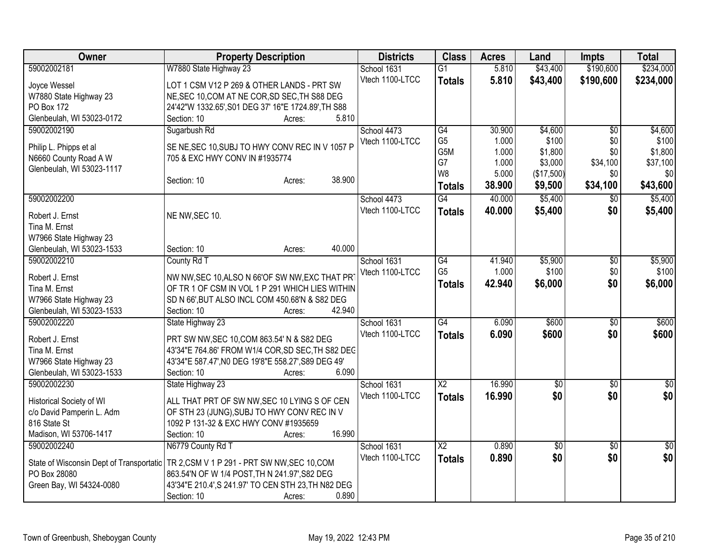| Owner                                               | <b>Property Description</b>                                                           | <b>Districts</b> | <b>Class</b>           | <b>Acres</b> | Land            | <b>Impts</b>    | <b>Total</b> |
|-----------------------------------------------------|---------------------------------------------------------------------------------------|------------------|------------------------|--------------|-----------------|-----------------|--------------|
| 59002002181                                         | W7880 State Highway 23                                                                | School 1631      | $\overline{G1}$        | 5.810        | \$43,400        | \$190,600       | \$234,000    |
| Joyce Wessel                                        | LOT 1 CSM V12 P 269 & OTHER LANDS - PRT SW                                            | Vtech 1100-LTCC  | <b>Totals</b>          | 5.810        | \$43,400        | \$190,600       | \$234,000    |
| W7880 State Highway 23                              | NE, SEC 10, COM AT NE COR, SD SEC, TH S88 DEG                                         |                  |                        |              |                 |                 |              |
| PO Box 172                                          | 24'42"W 1332.65', S01 DEG 37' 16"E 1724.89', TH S88                                   |                  |                        |              |                 |                 |              |
| Glenbeulah, WI 53023-0172                           | 5.810<br>Section: 10<br>Acres:                                                        |                  |                        |              |                 |                 |              |
| 59002002190                                         | Sugarbush Rd                                                                          | School 4473      | G4                     | 30.900       | \$4,600         | $\overline{50}$ | \$4,600      |
|                                                     | SE NE, SEC 10, SUBJ TO HWY CONV REC IN V 1057 P                                       | Vtech 1100-LTCC  | G <sub>5</sub>         | 1.000        | \$100           | \$0             | \$100        |
| Philip L. Phipps et al<br>N6660 County Road A W     | 705 & EXC HWY CONV IN #1935774                                                        |                  | G5M                    | 1.000        | \$1,800         | \$0             | \$1,800      |
| Glenbeulah, WI 53023-1117                           |                                                                                       |                  | G7                     | 1.000        | \$3,000         | \$34,100        | \$37,100     |
|                                                     | 38.900<br>Section: 10<br>Acres:                                                       |                  | W <sub>8</sub>         | 5.000        | (\$17,500)      | \$0             | \$0          |
|                                                     |                                                                                       |                  | <b>Totals</b>          | 38.900       | \$9,500         | \$34,100        | \$43,600     |
| 59002002200                                         |                                                                                       | School 4473      | $\overline{G4}$        | 40.000       | \$5,400         | $\overline{30}$ | \$5,400      |
| Robert J. Ernst                                     | NE NW, SEC 10.                                                                        | Vtech 1100-LTCC  | <b>Totals</b>          | 40,000       | \$5,400         | \$0             | \$5,400      |
| Tina M. Ernst                                       |                                                                                       |                  |                        |              |                 |                 |              |
| W7966 State Highway 23                              |                                                                                       |                  |                        |              |                 |                 |              |
| Glenbeulah, WI 53023-1533                           | 40.000<br>Section: 10<br>Acres:                                                       |                  |                        |              |                 |                 |              |
| 59002002210                                         | County Rd T                                                                           | School 1631      | G4                     | 41.940       | \$5,900         | $\overline{50}$ | \$5,900      |
| Robert J. Ernst                                     | NW NW, SEC 10, ALSO N 66'OF SW NW, EXC THAT PR                                        | Vtech 1100-LTCC  | G <sub>5</sub>         | 1.000        | \$100           | \$0             | \$100        |
| Tina M. Ernst                                       | OF TR 1 OF CSM IN VOL 1 P 291 WHICH LIES WITHIN                                       |                  | <b>Totals</b>          | 42.940       | \$6,000         | \$0             | \$6,000      |
| W7966 State Highway 23                              | SD N 66', BUT ALSO INCL COM 450.68'N & S82 DEG                                        |                  |                        |              |                 |                 |              |
| Glenbeulah, WI 53023-1533                           | 42.940<br>Section: 10<br>Acres:                                                       |                  |                        |              |                 |                 |              |
| 59002002220                                         | State Highway 23                                                                      | School 1631      | G4                     | 6.090        | \$600           | \$0             | \$600        |
|                                                     |                                                                                       | Vtech 1100-LTCC  | <b>Totals</b>          | 6.090        | \$600           | \$0             | \$600        |
| Robert J. Ernst                                     | PRT SW NW, SEC 10, COM 863.54' N & S82 DEG                                            |                  |                        |              |                 |                 |              |
| Tina M. Ernst                                       | 43'34"E 764.86' FROM W1/4 COR, SD SEC, TH S82 DEC                                     |                  |                        |              |                 |                 |              |
| W7966 State Highway 23<br>Glenbeulah, WI 53023-1533 | 43'34"E 587.47', N0 DEG 19'8"E 558.27', S89 DEG 49'<br>6.090<br>Section: 10<br>Acres: |                  |                        |              |                 |                 |              |
| 59002002230                                         | State Highway 23                                                                      | School 1631      | $\overline{\text{X2}}$ | 16.990       | \$0             | $\sqrt{6}$      | \$0          |
|                                                     |                                                                                       | Vtech 1100-LTCC  |                        | 16.990       | \$0             | \$0             | \$0          |
| Historical Society of WI                            | ALL THAT PRT OF SW NW, SEC 10 LYING S OF CEN                                          |                  | <b>Totals</b>          |              |                 |                 |              |
| c/o David Pamperin L. Adm                           | OF STH 23 (JUNG), SUBJ TO HWY CONV REC IN V                                           |                  |                        |              |                 |                 |              |
| 816 State St                                        | 1092 P 131-32 & EXC HWY CONV #1935659                                                 |                  |                        |              |                 |                 |              |
| Madison, WI 53706-1417                              | 16.990<br>Section: 10<br>Acres:                                                       |                  |                        |              |                 |                 |              |
| 59002002240                                         | N6779 County Rd T                                                                     | School 1631      | $\overline{\text{X2}}$ | 0.890        | $\overline{60}$ | \$0             | $\sqrt{50}$  |
| State of Wisconsin Dept of Transportatic            | TR 2,CSM V 1 P 291 - PRT SW NW, SEC 10, COM                                           | Vtech 1100-LTCC  | <b>Totals</b>          | 0.890        | \$0             | \$0             | \$0          |
| PO Box 28080                                        | 863.54'N OF W 1/4 POST, TH N 241.97', S82 DEG                                         |                  |                        |              |                 |                 |              |
| Green Bay, WI 54324-0080                            | 43'34"E 210.4', S 241.97' TO CEN STH 23, TH N82 DEG                                   |                  |                        |              |                 |                 |              |
|                                                     | 0.890<br>Section: 10<br>Acres:                                                        |                  |                        |              |                 |                 |              |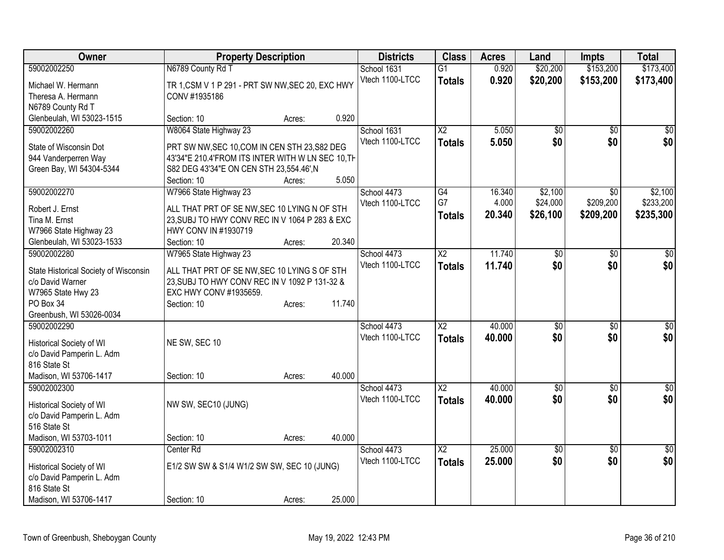| Owner                                 | <b>Property Description</b>                       |        |        | <b>Districts</b> | <b>Class</b>           | <b>Acres</b> | Land            | <b>Impts</b>    | <b>Total</b>    |
|---------------------------------------|---------------------------------------------------|--------|--------|------------------|------------------------|--------------|-----------------|-----------------|-----------------|
| 59002002250                           | N6789 County Rd T                                 |        |        | School 1631      | $\overline{G1}$        | 0.920        | \$20,200        | \$153,200       | \$173,400       |
| Michael W. Hermann                    | TR 1, CSM V 1 P 291 - PRT SW NW, SEC 20, EXC HWY  |        |        | Vtech 1100-LTCC  | <b>Totals</b>          | 0.920        | \$20,200        | \$153,200       | \$173,400       |
| Theresa A. Hermann                    | CONV #1935186                                     |        |        |                  |                        |              |                 |                 |                 |
| N6789 County Rd T                     |                                                   |        |        |                  |                        |              |                 |                 |                 |
| Glenbeulah, WI 53023-1515             | Section: 10                                       | Acres: | 0.920  |                  |                        |              |                 |                 |                 |
| 59002002260                           | W8064 State Highway 23                            |        |        | School 1631      | $\overline{X2}$        | 5.050        | \$0             | $\sqrt{50}$     | \$0             |
| State of Wisconsin Dot                | PRT SW NW, SEC 10, COM IN CEN STH 23, S82 DEG     |        |        | Vtech 1100-LTCC  | <b>Totals</b>          | 5.050        | \$0             | \$0             | \$0             |
| 944 Vanderperren Way                  | 43'34"E 210.4'FROM ITS INTER WITH W LN SEC 10, TH |        |        |                  |                        |              |                 |                 |                 |
| Green Bay, WI 54304-5344              | S82 DEG 43'34"E ON CEN STH 23,554.46', N          |        |        |                  |                        |              |                 |                 |                 |
|                                       | Section: 10                                       | Acres: | 5.050  |                  |                        |              |                 |                 |                 |
| 59002002270                           | W7966 State Highway 23                            |        |        | School 4473      | G4                     | 16.340       | \$2,100         | \$0             | \$2,100         |
|                                       |                                                   |        |        | Vtech 1100-LTCC  | G7                     | 4.000        | \$24,000        | \$209,200       | \$233,200       |
| Robert J. Ernst                       | ALL THAT PRT OF SE NW, SEC 10 LYING N OF STH      |        |        |                  | <b>Totals</b>          | 20.340       | \$26,100        | \$209,200       | \$235,300       |
| Tina M. Ernst                         | 23, SUBJ TO HWY CONV REC IN V 1064 P 283 & EXC    |        |        |                  |                        |              |                 |                 |                 |
| W7966 State Highway 23                | HWY CONV IN #1930719                              |        |        |                  |                        |              |                 |                 |                 |
| Glenbeulah, WI 53023-1533             | Section: 10                                       | Acres: | 20.340 |                  |                        |              |                 |                 |                 |
| 59002002280                           | W7965 State Highway 23                            |        |        | School 4473      | $\overline{\text{X2}}$ | 11.740       | $\overline{50}$ | \$0             | $\sqrt{50}$     |
| State Historical Society of Wisconsin | ALL THAT PRT OF SE NW, SEC 10 LYING S OF STH      |        |        | Vtech 1100-LTCC  | <b>Totals</b>          | 11.740       | \$0             | \$0             | \$0             |
| c/o David Warner                      | 23, SUBJ TO HWY CONV REC IN V 1092 P 131-32 &     |        |        |                  |                        |              |                 |                 |                 |
| W7965 State Hwy 23                    | EXC HWY CONV #1935659.                            |        |        |                  |                        |              |                 |                 |                 |
| PO Box 34                             | Section: 10                                       | Acres: | 11.740 |                  |                        |              |                 |                 |                 |
| Greenbush, WI 53026-0034              |                                                   |        |        |                  |                        |              |                 |                 |                 |
| 59002002290                           |                                                   |        |        | School 4473      | $\overline{\text{X2}}$ | 40.000       | $\overline{50}$ | \$0             | $\sqrt{50}$     |
| Historical Society of WI              | NE SW, SEC 10                                     |        |        | Vtech 1100-LTCC  | <b>Totals</b>          | 40.000       | \$0             | \$0             | \$0             |
| c/o David Pamperin L. Adm             |                                                   |        |        |                  |                        |              |                 |                 |                 |
| 816 State St                          |                                                   |        |        |                  |                        |              |                 |                 |                 |
| Madison, WI 53706-1417                | Section: 10                                       | Acres: | 40.000 |                  |                        |              |                 |                 |                 |
| 59002002300                           |                                                   |        |        | School 4473      | $\overline{X2}$        | 40.000       | $\overline{50}$ | $\overline{50}$ | $\overline{50}$ |
|                                       |                                                   |        |        | Vtech 1100-LTCC  | <b>Totals</b>          | 40.000       | \$0             | \$0             | \$0             |
| Historical Society of WI              | NW SW, SEC10 (JUNG)                               |        |        |                  |                        |              |                 |                 |                 |
| c/o David Pamperin L. Adm             |                                                   |        |        |                  |                        |              |                 |                 |                 |
| 516 State St                          |                                                   |        |        |                  |                        |              |                 |                 |                 |
| Madison, WI 53703-1011                | Section: 10                                       | Acres: | 40.000 |                  |                        |              |                 |                 |                 |
| 59002002310                           | Center Rd                                         |        |        | School 4473      | $\overline{X2}$        | 25.000       | $\overline{50}$ | $\overline{50}$ | $\sqrt{50}$     |
| Historical Society of WI              | E1/2 SW SW & S1/4 W1/2 SW SW, SEC 10 (JUNG)       |        |        | Vtech 1100-LTCC  | <b>Totals</b>          | 25.000       | \$0             | \$0             | \$0             |
| c/o David Pamperin L. Adm             |                                                   |        |        |                  |                        |              |                 |                 |                 |
| 816 State St                          |                                                   |        |        |                  |                        |              |                 |                 |                 |
| Madison, WI 53706-1417                | Section: 10                                       | Acres: | 25.000 |                  |                        |              |                 |                 |                 |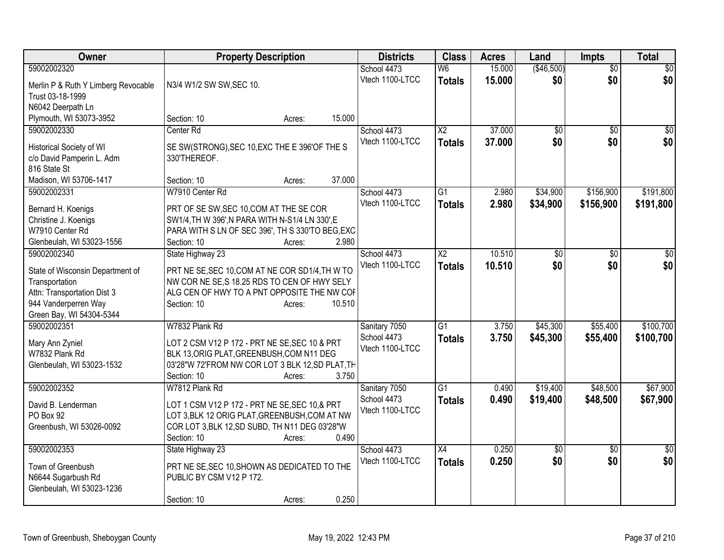| 15.000<br>(\$46,500)<br>$\overline{50}$<br>59002002320<br>School 4473<br>W <sub>6</sub><br>$\overline{50}$<br>\$0<br>\$0<br>Vtech 1100-LTCC<br>15.000<br>\$0<br><b>Totals</b><br>N3/4 W1/2 SW SW, SEC 10.<br>Merlin P & Ruth Y Limberg Revocable<br>Trust 03-18-1999<br>N6042 Deerpath Ln<br>Plymouth, WI 53073-3952<br>15.000<br>Section: 10<br>Acres:<br>59002002330<br>Center Rd<br>$\overline{X2}$<br>37.000<br>School 4473<br>$\overline{50}$<br>$\overline{50}$<br>\$0<br>\$0<br>37,000<br>\$0<br>Vtech 1100-LTCC<br><b>Totals</b><br>Historical Society of WI<br>SE SW(STRONG), SEC 10, EXC THE E 396'OF THE S<br>c/o David Pamperin L. Adm<br>330'THEREOF.<br>816 State St<br>37.000<br>Madison, WI 53706-1417<br>Section: 10<br>Acres:<br>W7910 Center Rd<br>School 4473<br>$\overline{G1}$<br>2.980<br>\$34,900<br>\$156,900<br>59002002331<br>Vtech 1100-LTCC<br>2.980<br>\$34,900<br>\$156,900<br>\$191,800<br><b>Totals</b><br>Bernard H. Koenigs<br>PRT OF SE SW, SEC 10, COM AT THE SE COR<br>Christine J. Koenigs<br>SW1/4, TH W 396', N PARA WITH N-S1/4 LN 330', E<br>PARA WITH S LN OF SEC 396', TH S 330'TO BEG, EXC<br>W7910 Center Rd<br>2.980<br>Glenbeulah, WI 53023-1556<br>Section: 10<br>Acres:<br>10.510<br>59002002340<br>State Highway 23<br>School 4473<br>$\overline{\text{X2}}$<br>$\overline{30}$<br>$\overline{30}$<br>\$0<br>Vtech 1100-LTCC<br>\$0<br>10.510<br>\$0<br><b>Totals</b><br>PRT NE SE, SEC 10, COM AT NE COR SD1/4, TH W TO<br>State of Wisconsin Department of<br>NW COR NE SE, S 18.25 RDS TO CEN OF HWY SELY<br>Transportation<br>Attn: Transportation Dist 3<br>ALG CEN OF HWY TO A PNT OPPOSITE THE NW COF<br>944 Vanderperren Way<br>10.510<br>Section: 10<br>Acres:<br>Green Bay, WI 54304-5344<br>W7832 Plank Rd<br>\$45,300<br>\$55,400<br>59002002351<br>Sanitary 7050<br>G1<br>3.750<br>School 4473<br>3.750<br>\$45,300<br>\$55,400<br>\$100,700<br><b>Totals</b><br>LOT 2 CSM V12 P 172 - PRT NE SE, SEC 10 & PRT<br>Mary Ann Zyniel<br>Vtech 1100-LTCC<br>BLK 13, ORIG PLAT, GREENBUSH, COM N11 DEG<br>W7832 Plank Rd<br>03'28"W 72'FROM NW COR LOT 3 BLK 12, SD PLAT, TH<br>Glenbeulah, WI 53023-1532<br>3.750<br>Section: 10<br>Acres:<br>\$48,500<br>59002002352<br>W7812 Plank Rd<br>$\overline{G1}$<br>\$19,400<br>Sanitary 7050<br>0.490<br>0.490<br>School 4473<br>\$19,400<br>\$48,500<br>\$67,900<br><b>Totals</b><br>LOT 1 CSM V12 P 172 - PRT NE SE, SEC 10, & PRT<br>David B. Lenderman<br>Vtech 1100-LTCC<br>LOT 3, BLK 12 ORIG PLAT, GREENBUSH, COM AT NW<br>PO Box 92<br>COR LOT 3, BLK 12, SD SUBD, TH N11 DEG 03'28"W<br>Greenbush, WI 53026-0092<br>0.490<br>Section: 10<br>Acres:<br>59002002353<br>$\overline{X4}$<br>0.250<br>State Highway 23<br>School 4473<br>$\overline{60}$<br>$\overline{30}$<br>\$0<br>\$0<br>Vtech 1100-LTCC<br>0.250<br>\$0<br><b>Totals</b><br>PRT NE SE, SEC 10, SHOWN AS DEDICATED TO THE<br>Town of Greenbush<br>N6644 Sugarbush Rd<br>PUBLIC BY CSM V12 P 172.<br>Glenbeulah, WI 53023-1236<br>0.250 | Owner | <b>Property Description</b> | <b>Districts</b> | <b>Class</b> | <b>Acres</b> | Land | <b>Impts</b> | <b>Total</b> |
|------------------------------------------------------------------------------------------------------------------------------------------------------------------------------------------------------------------------------------------------------------------------------------------------------------------------------------------------------------------------------------------------------------------------------------------------------------------------------------------------------------------------------------------------------------------------------------------------------------------------------------------------------------------------------------------------------------------------------------------------------------------------------------------------------------------------------------------------------------------------------------------------------------------------------------------------------------------------------------------------------------------------------------------------------------------------------------------------------------------------------------------------------------------------------------------------------------------------------------------------------------------------------------------------------------------------------------------------------------------------------------------------------------------------------------------------------------------------------------------------------------------------------------------------------------------------------------------------------------------------------------------------------------------------------------------------------------------------------------------------------------------------------------------------------------------------------------------------------------------------------------------------------------------------------------------------------------------------------------------------------------------------------------------------------------------------------------------------------------------------------------------------------------------------------------------------------------------------------------------------------------------------------------------------------------------------------------------------------------------------------------------------------------------------------------------------------------------------------------------------------------------------------------------------------------------------------------------------------------------------------------------------------------------------------------------------------------------------------------------------------------------------------------------------------------------------------------------------------------------------------------------------------------------------------------------------------------------------------------------------------------------------|-------|-----------------------------|------------------|--------------|--------------|------|--------------|--------------|
|                                                                                                                                                                                                                                                                                                                                                                                                                                                                                                                                                                                                                                                                                                                                                                                                                                                                                                                                                                                                                                                                                                                                                                                                                                                                                                                                                                                                                                                                                                                                                                                                                                                                                                                                                                                                                                                                                                                                                                                                                                                                                                                                                                                                                                                                                                                                                                                                                                                                                                                                                                                                                                                                                                                                                                                                                                                                                                                                                                                                                        |       |                             |                  |              |              |      |              |              |
|                                                                                                                                                                                                                                                                                                                                                                                                                                                                                                                                                                                                                                                                                                                                                                                                                                                                                                                                                                                                                                                                                                                                                                                                                                                                                                                                                                                                                                                                                                                                                                                                                                                                                                                                                                                                                                                                                                                                                                                                                                                                                                                                                                                                                                                                                                                                                                                                                                                                                                                                                                                                                                                                                                                                                                                                                                                                                                                                                                                                                        |       |                             |                  |              |              |      |              |              |
| \$0<br>\$191,800                                                                                                                                                                                                                                                                                                                                                                                                                                                                                                                                                                                                                                                                                                                                                                                                                                                                                                                                                                                                                                                                                                                                                                                                                                                                                                                                                                                                                                                                                                                                                                                                                                                                                                                                                                                                                                                                                                                                                                                                                                                                                                                                                                                                                                                                                                                                                                                                                                                                                                                                                                                                                                                                                                                                                                                                                                                                                                                                                                                                       |       |                             |                  |              |              |      |              |              |
|                                                                                                                                                                                                                                                                                                                                                                                                                                                                                                                                                                                                                                                                                                                                                                                                                                                                                                                                                                                                                                                                                                                                                                                                                                                                                                                                                                                                                                                                                                                                                                                                                                                                                                                                                                                                                                                                                                                                                                                                                                                                                                                                                                                                                                                                                                                                                                                                                                                                                                                                                                                                                                                                                                                                                                                                                                                                                                                                                                                                                        |       |                             |                  |              |              |      |              |              |
|                                                                                                                                                                                                                                                                                                                                                                                                                                                                                                                                                                                                                                                                                                                                                                                                                                                                                                                                                                                                                                                                                                                                                                                                                                                                                                                                                                                                                                                                                                                                                                                                                                                                                                                                                                                                                                                                                                                                                                                                                                                                                                                                                                                                                                                                                                                                                                                                                                                                                                                                                                                                                                                                                                                                                                                                                                                                                                                                                                                                                        |       |                             |                  |              |              |      |              |              |
|                                                                                                                                                                                                                                                                                                                                                                                                                                                                                                                                                                                                                                                                                                                                                                                                                                                                                                                                                                                                                                                                                                                                                                                                                                                                                                                                                                                                                                                                                                                                                                                                                                                                                                                                                                                                                                                                                                                                                                                                                                                                                                                                                                                                                                                                                                                                                                                                                                                                                                                                                                                                                                                                                                                                                                                                                                                                                                                                                                                                                        |       |                             |                  |              |              |      |              |              |
|                                                                                                                                                                                                                                                                                                                                                                                                                                                                                                                                                                                                                                                                                                                                                                                                                                                                                                                                                                                                                                                                                                                                                                                                                                                                                                                                                                                                                                                                                                                                                                                                                                                                                                                                                                                                                                                                                                                                                                                                                                                                                                                                                                                                                                                                                                                                                                                                                                                                                                                                                                                                                                                                                                                                                                                                                                                                                                                                                                                                                        |       |                             |                  |              |              |      |              |              |
|                                                                                                                                                                                                                                                                                                                                                                                                                                                                                                                                                                                                                                                                                                                                                                                                                                                                                                                                                                                                                                                                                                                                                                                                                                                                                                                                                                                                                                                                                                                                                                                                                                                                                                                                                                                                                                                                                                                                                                                                                                                                                                                                                                                                                                                                                                                                                                                                                                                                                                                                                                                                                                                                                                                                                                                                                                                                                                                                                                                                                        |       |                             |                  |              |              |      |              |              |
|                                                                                                                                                                                                                                                                                                                                                                                                                                                                                                                                                                                                                                                                                                                                                                                                                                                                                                                                                                                                                                                                                                                                                                                                                                                                                                                                                                                                                                                                                                                                                                                                                                                                                                                                                                                                                                                                                                                                                                                                                                                                                                                                                                                                                                                                                                                                                                                                                                                                                                                                                                                                                                                                                                                                                                                                                                                                                                                                                                                                                        |       |                             |                  |              |              |      |              |              |
|                                                                                                                                                                                                                                                                                                                                                                                                                                                                                                                                                                                                                                                                                                                                                                                                                                                                                                                                                                                                                                                                                                                                                                                                                                                                                                                                                                                                                                                                                                                                                                                                                                                                                                                                                                                                                                                                                                                                                                                                                                                                                                                                                                                                                                                                                                                                                                                                                                                                                                                                                                                                                                                                                                                                                                                                                                                                                                                                                                                                                        |       |                             |                  |              |              |      |              |              |
|                                                                                                                                                                                                                                                                                                                                                                                                                                                                                                                                                                                                                                                                                                                                                                                                                                                                                                                                                                                                                                                                                                                                                                                                                                                                                                                                                                                                                                                                                                                                                                                                                                                                                                                                                                                                                                                                                                                                                                                                                                                                                                                                                                                                                                                                                                                                                                                                                                                                                                                                                                                                                                                                                                                                                                                                                                                                                                                                                                                                                        |       |                             |                  |              |              |      |              |              |
| $\overline{\$0}$<br>\$100,700<br>\$67,900<br>$\overline{\$0}$                                                                                                                                                                                                                                                                                                                                                                                                                                                                                                                                                                                                                                                                                                                                                                                                                                                                                                                                                                                                                                                                                                                                                                                                                                                                                                                                                                                                                                                                                                                                                                                                                                                                                                                                                                                                                                                                                                                                                                                                                                                                                                                                                                                                                                                                                                                                                                                                                                                                                                                                                                                                                                                                                                                                                                                                                                                                                                                                                          |       |                             |                  |              |              |      |              |              |
|                                                                                                                                                                                                                                                                                                                                                                                                                                                                                                                                                                                                                                                                                                                                                                                                                                                                                                                                                                                                                                                                                                                                                                                                                                                                                                                                                                                                                                                                                                                                                                                                                                                                                                                                                                                                                                                                                                                                                                                                                                                                                                                                                                                                                                                                                                                                                                                                                                                                                                                                                                                                                                                                                                                                                                                                                                                                                                                                                                                                                        |       |                             |                  |              |              |      |              |              |
|                                                                                                                                                                                                                                                                                                                                                                                                                                                                                                                                                                                                                                                                                                                                                                                                                                                                                                                                                                                                                                                                                                                                                                                                                                                                                                                                                                                                                                                                                                                                                                                                                                                                                                                                                                                                                                                                                                                                                                                                                                                                                                                                                                                                                                                                                                                                                                                                                                                                                                                                                                                                                                                                                                                                                                                                                                                                                                                                                                                                                        |       |                             |                  |              |              |      |              |              |
|                                                                                                                                                                                                                                                                                                                                                                                                                                                                                                                                                                                                                                                                                                                                                                                                                                                                                                                                                                                                                                                                                                                                                                                                                                                                                                                                                                                                                                                                                                                                                                                                                                                                                                                                                                                                                                                                                                                                                                                                                                                                                                                                                                                                                                                                                                                                                                                                                                                                                                                                                                                                                                                                                                                                                                                                                                                                                                                                                                                                                        |       |                             |                  |              |              |      |              |              |
|                                                                                                                                                                                                                                                                                                                                                                                                                                                                                                                                                                                                                                                                                                                                                                                                                                                                                                                                                                                                                                                                                                                                                                                                                                                                                                                                                                                                                                                                                                                                                                                                                                                                                                                                                                                                                                                                                                                                                                                                                                                                                                                                                                                                                                                                                                                                                                                                                                                                                                                                                                                                                                                                                                                                                                                                                                                                                                                                                                                                                        |       |                             |                  |              |              |      |              |              |
|                                                                                                                                                                                                                                                                                                                                                                                                                                                                                                                                                                                                                                                                                                                                                                                                                                                                                                                                                                                                                                                                                                                                                                                                                                                                                                                                                                                                                                                                                                                                                                                                                                                                                                                                                                                                                                                                                                                                                                                                                                                                                                                                                                                                                                                                                                                                                                                                                                                                                                                                                                                                                                                                                                                                                                                                                                                                                                                                                                                                                        |       |                             |                  |              |              |      |              |              |
|                                                                                                                                                                                                                                                                                                                                                                                                                                                                                                                                                                                                                                                                                                                                                                                                                                                                                                                                                                                                                                                                                                                                                                                                                                                                                                                                                                                                                                                                                                                                                                                                                                                                                                                                                                                                                                                                                                                                                                                                                                                                                                                                                                                                                                                                                                                                                                                                                                                                                                                                                                                                                                                                                                                                                                                                                                                                                                                                                                                                                        |       |                             |                  |              |              |      |              |              |
|                                                                                                                                                                                                                                                                                                                                                                                                                                                                                                                                                                                                                                                                                                                                                                                                                                                                                                                                                                                                                                                                                                                                                                                                                                                                                                                                                                                                                                                                                                                                                                                                                                                                                                                                                                                                                                                                                                                                                                                                                                                                                                                                                                                                                                                                                                                                                                                                                                                                                                                                                                                                                                                                                                                                                                                                                                                                                                                                                                                                                        |       |                             |                  |              |              |      |              |              |
|                                                                                                                                                                                                                                                                                                                                                                                                                                                                                                                                                                                                                                                                                                                                                                                                                                                                                                                                                                                                                                                                                                                                                                                                                                                                                                                                                                                                                                                                                                                                                                                                                                                                                                                                                                                                                                                                                                                                                                                                                                                                                                                                                                                                                                                                                                                                                                                                                                                                                                                                                                                                                                                                                                                                                                                                                                                                                                                                                                                                                        |       |                             |                  |              |              |      |              |              |
|                                                                                                                                                                                                                                                                                                                                                                                                                                                                                                                                                                                                                                                                                                                                                                                                                                                                                                                                                                                                                                                                                                                                                                                                                                                                                                                                                                                                                                                                                                                                                                                                                                                                                                                                                                                                                                                                                                                                                                                                                                                                                                                                                                                                                                                                                                                                                                                                                                                                                                                                                                                                                                                                                                                                                                                                                                                                                                                                                                                                                        |       |                             |                  |              |              |      |              |              |
|                                                                                                                                                                                                                                                                                                                                                                                                                                                                                                                                                                                                                                                                                                                                                                                                                                                                                                                                                                                                                                                                                                                                                                                                                                                                                                                                                                                                                                                                                                                                                                                                                                                                                                                                                                                                                                                                                                                                                                                                                                                                                                                                                                                                                                                                                                                                                                                                                                                                                                                                                                                                                                                                                                                                                                                                                                                                                                                                                                                                                        |       |                             |                  |              |              |      |              |              |
|                                                                                                                                                                                                                                                                                                                                                                                                                                                                                                                                                                                                                                                                                                                                                                                                                                                                                                                                                                                                                                                                                                                                                                                                                                                                                                                                                                                                                                                                                                                                                                                                                                                                                                                                                                                                                                                                                                                                                                                                                                                                                                                                                                                                                                                                                                                                                                                                                                                                                                                                                                                                                                                                                                                                                                                                                                                                                                                                                                                                                        |       |                             |                  |              |              |      |              |              |
|                                                                                                                                                                                                                                                                                                                                                                                                                                                                                                                                                                                                                                                                                                                                                                                                                                                                                                                                                                                                                                                                                                                                                                                                                                                                                                                                                                                                                                                                                                                                                                                                                                                                                                                                                                                                                                                                                                                                                                                                                                                                                                                                                                                                                                                                                                                                                                                                                                                                                                                                                                                                                                                                                                                                                                                                                                                                                                                                                                                                                        |       |                             |                  |              |              |      |              |              |
|                                                                                                                                                                                                                                                                                                                                                                                                                                                                                                                                                                                                                                                                                                                                                                                                                                                                                                                                                                                                                                                                                                                                                                                                                                                                                                                                                                                                                                                                                                                                                                                                                                                                                                                                                                                                                                                                                                                                                                                                                                                                                                                                                                                                                                                                                                                                                                                                                                                                                                                                                                                                                                                                                                                                                                                                                                                                                                                                                                                                                        |       |                             |                  |              |              |      |              |              |
|                                                                                                                                                                                                                                                                                                                                                                                                                                                                                                                                                                                                                                                                                                                                                                                                                                                                                                                                                                                                                                                                                                                                                                                                                                                                                                                                                                                                                                                                                                                                                                                                                                                                                                                                                                                                                                                                                                                                                                                                                                                                                                                                                                                                                                                                                                                                                                                                                                                                                                                                                                                                                                                                                                                                                                                                                                                                                                                                                                                                                        |       |                             |                  |              |              |      |              |              |
|                                                                                                                                                                                                                                                                                                                                                                                                                                                                                                                                                                                                                                                                                                                                                                                                                                                                                                                                                                                                                                                                                                                                                                                                                                                                                                                                                                                                                                                                                                                                                                                                                                                                                                                                                                                                                                                                                                                                                                                                                                                                                                                                                                                                                                                                                                                                                                                                                                                                                                                                                                                                                                                                                                                                                                                                                                                                                                                                                                                                                        |       |                             |                  |              |              |      |              |              |
|                                                                                                                                                                                                                                                                                                                                                                                                                                                                                                                                                                                                                                                                                                                                                                                                                                                                                                                                                                                                                                                                                                                                                                                                                                                                                                                                                                                                                                                                                                                                                                                                                                                                                                                                                                                                                                                                                                                                                                                                                                                                                                                                                                                                                                                                                                                                                                                                                                                                                                                                                                                                                                                                                                                                                                                                                                                                                                                                                                                                                        |       |                             |                  |              |              |      |              |              |
|                                                                                                                                                                                                                                                                                                                                                                                                                                                                                                                                                                                                                                                                                                                                                                                                                                                                                                                                                                                                                                                                                                                                                                                                                                                                                                                                                                                                                                                                                                                                                                                                                                                                                                                                                                                                                                                                                                                                                                                                                                                                                                                                                                                                                                                                                                                                                                                                                                                                                                                                                                                                                                                                                                                                                                                                                                                                                                                                                                                                                        |       |                             |                  |              |              |      |              |              |
|                                                                                                                                                                                                                                                                                                                                                                                                                                                                                                                                                                                                                                                                                                                                                                                                                                                                                                                                                                                                                                                                                                                                                                                                                                                                                                                                                                                                                                                                                                                                                                                                                                                                                                                                                                                                                                                                                                                                                                                                                                                                                                                                                                                                                                                                                                                                                                                                                                                                                                                                                                                                                                                                                                                                                                                                                                                                                                                                                                                                                        |       |                             |                  |              |              |      |              |              |
|                                                                                                                                                                                                                                                                                                                                                                                                                                                                                                                                                                                                                                                                                                                                                                                                                                                                                                                                                                                                                                                                                                                                                                                                                                                                                                                                                                                                                                                                                                                                                                                                                                                                                                                                                                                                                                                                                                                                                                                                                                                                                                                                                                                                                                                                                                                                                                                                                                                                                                                                                                                                                                                                                                                                                                                                                                                                                                                                                                                                                        |       |                             |                  |              |              |      |              |              |
|                                                                                                                                                                                                                                                                                                                                                                                                                                                                                                                                                                                                                                                                                                                                                                                                                                                                                                                                                                                                                                                                                                                                                                                                                                                                                                                                                                                                                                                                                                                                                                                                                                                                                                                                                                                                                                                                                                                                                                                                                                                                                                                                                                                                                                                                                                                                                                                                                                                                                                                                                                                                                                                                                                                                                                                                                                                                                                                                                                                                                        |       |                             |                  |              |              |      |              |              |
|                                                                                                                                                                                                                                                                                                                                                                                                                                                                                                                                                                                                                                                                                                                                                                                                                                                                                                                                                                                                                                                                                                                                                                                                                                                                                                                                                                                                                                                                                                                                                                                                                                                                                                                                                                                                                                                                                                                                                                                                                                                                                                                                                                                                                                                                                                                                                                                                                                                                                                                                                                                                                                                                                                                                                                                                                                                                                                                                                                                                                        |       |                             |                  |              |              |      |              |              |
|                                                                                                                                                                                                                                                                                                                                                                                                                                                                                                                                                                                                                                                                                                                                                                                                                                                                                                                                                                                                                                                                                                                                                                                                                                                                                                                                                                                                                                                                                                                                                                                                                                                                                                                                                                                                                                                                                                                                                                                                                                                                                                                                                                                                                                                                                                                                                                                                                                                                                                                                                                                                                                                                                                                                                                                                                                                                                                                                                                                                                        |       |                             |                  |              |              |      |              |              |
|                                                                                                                                                                                                                                                                                                                                                                                                                                                                                                                                                                                                                                                                                                                                                                                                                                                                                                                                                                                                                                                                                                                                                                                                                                                                                                                                                                                                                                                                                                                                                                                                                                                                                                                                                                                                                                                                                                                                                                                                                                                                                                                                                                                                                                                                                                                                                                                                                                                                                                                                                                                                                                                                                                                                                                                                                                                                                                                                                                                                                        |       |                             |                  |              |              |      |              |              |
|                                                                                                                                                                                                                                                                                                                                                                                                                                                                                                                                                                                                                                                                                                                                                                                                                                                                                                                                                                                                                                                                                                                                                                                                                                                                                                                                                                                                                                                                                                                                                                                                                                                                                                                                                                                                                                                                                                                                                                                                                                                                                                                                                                                                                                                                                                                                                                                                                                                                                                                                                                                                                                                                                                                                                                                                                                                                                                                                                                                                                        |       |                             |                  |              |              |      |              |              |
|                                                                                                                                                                                                                                                                                                                                                                                                                                                                                                                                                                                                                                                                                                                                                                                                                                                                                                                                                                                                                                                                                                                                                                                                                                                                                                                                                                                                                                                                                                                                                                                                                                                                                                                                                                                                                                                                                                                                                                                                                                                                                                                                                                                                                                                                                                                                                                                                                                                                                                                                                                                                                                                                                                                                                                                                                                                                                                                                                                                                                        |       | Section: 10<br>Acres:       |                  |              |              |      |              |              |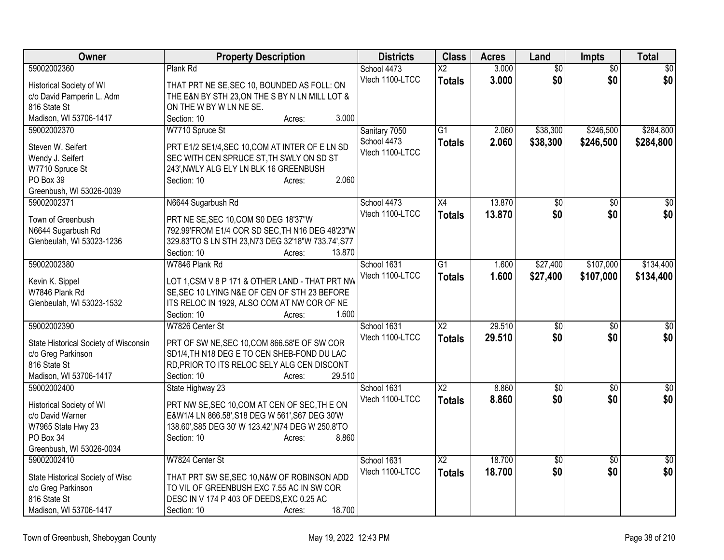| Owner                                 | <b>Property Description</b>                                 | <b>Districts</b> | <b>Class</b>    | <b>Acres</b> | Land            | <b>Impts</b>    | <b>Total</b>     |
|---------------------------------------|-------------------------------------------------------------|------------------|-----------------|--------------|-----------------|-----------------|------------------|
| 59002002360                           | Plank Rd                                                    | School 4473      | $\overline{X2}$ | 3.000        | $\overline{60}$ | \$0             | $\overline{\$0}$ |
| Historical Society of WI              | THAT PRT NE SE, SEC 10, BOUNDED AS FOLL: ON                 | Vtech 1100-LTCC  | <b>Totals</b>   | 3.000        | \$0             | \$0             | \$0              |
| c/o David Pamperin L. Adm             | THE E&N BY STH 23, ON THE S BY N LN MILL LOT &              |                  |                 |              |                 |                 |                  |
| 816 State St                          | ON THE W BY W LN NE SE.                                     |                  |                 |              |                 |                 |                  |
| Madison, WI 53706-1417                | 3.000<br>Section: 10<br>Acres:                              |                  |                 |              |                 |                 |                  |
| 59002002370                           | W7710 Spruce St                                             | Sanitary 7050    | $\overline{G1}$ | 2.060        | \$38,300        | \$246,500       | \$284,800        |
| Steven W. Seifert                     | PRT E1/2 SE1/4, SEC 10, COM AT INTER OF E LN SD             | School 4473      | <b>Totals</b>   | 2.060        | \$38,300        | \$246,500       | \$284,800        |
| Wendy J. Seifert                      | SEC WITH CEN SPRUCE ST, TH SWLY ON SD ST                    | Vtech 1100-LTCC  |                 |              |                 |                 |                  |
| W7710 Spruce St                       | 243', NWLY ALG ELY LN BLK 16 GREENBUSH                      |                  |                 |              |                 |                 |                  |
| PO Box 39                             | 2.060<br>Section: 10<br>Acres:                              |                  |                 |              |                 |                 |                  |
| Greenbush, WI 53026-0039              |                                                             |                  |                 |              |                 |                 |                  |
| 59002002371                           | N6644 Sugarbush Rd                                          | School 4473      | $\overline{X4}$ | 13.870       | $\overline{50}$ | $\overline{50}$ | \$0              |
|                                       |                                                             | Vtech 1100-LTCC  | <b>Totals</b>   | 13.870       | \$0             | \$0             | \$0              |
| Town of Greenbush                     | PRT NE SE, SEC 10, COM S0 DEG 18'37"W                       |                  |                 |              |                 |                 |                  |
| N6644 Sugarbush Rd                    | 792.99'FROM E1/4 COR SD SEC, TH N16 DEG 48'23"W             |                  |                 |              |                 |                 |                  |
| Glenbeulah, WI 53023-1236             | 329.83'TO S LN STH 23, N73 DEG 32'18"W 733.74', S77         |                  |                 |              |                 |                 |                  |
|                                       | Section: 10<br>13.870<br>Acres:                             |                  |                 |              |                 |                 |                  |
| 59002002380                           | W7846 Plank Rd                                              | School 1631      | $\overline{G1}$ | 1.600        | \$27,400        | \$107,000       | \$134,400        |
| Kevin K. Sippel                       | LOT 1, CSM V 8 P 171 & OTHER LAND - THAT PRT NW             | Vtech 1100-LTCC  | <b>Totals</b>   | 1.600        | \$27,400        | \$107,000       | \$134,400        |
| W7846 Plank Rd                        | SE, SEC 10 LYING N&E OF CEN OF STH 23 BEFORE                |                  |                 |              |                 |                 |                  |
| Glenbeulah, WI 53023-1532             | ITS RELOC IN 1929, ALSO COM AT NW COR OF NE                 |                  |                 |              |                 |                 |                  |
|                                       | 1.600<br>Section: 10<br>Acres:                              |                  |                 |              |                 |                 |                  |
| 59002002390                           | W7826 Center St                                             | School 1631      | X <sub>2</sub>  | 29.510       | \$0             | $\sqrt[6]{3}$   | $\overline{50}$  |
| State Historical Society of Wisconsin | PRT OF SW NE, SEC 10, COM 866.58'E OF SW COR                | Vtech 1100-LTCC  | <b>Totals</b>   | 29.510       | \$0             | \$0             | \$0              |
| c/o Greg Parkinson                    | SD1/4, TH N18 DEG E TO CEN SHEB-FOND DU LAC                 |                  |                 |              |                 |                 |                  |
| 816 State St                          | RD, PRIOR TO ITS RELOC SELY ALG CEN DISCONT                 |                  |                 |              |                 |                 |                  |
| Madison, WI 53706-1417                | Section: 10<br>29.510<br>Acres:                             |                  |                 |              |                 |                 |                  |
| 59002002400                           | State Highway 23                                            | School 1631      | X2              | 8.860        | $\sqrt{$0}$     | $\overline{50}$ | \$0              |
|                                       |                                                             | Vtech 1100-LTCC  | <b>Totals</b>   | 8.860        | \$0             | \$0             | \$0              |
| Historical Society of WI              | PRT NW SE, SEC 10, COM AT CEN OF SEC, THE ON                |                  |                 |              |                 |                 |                  |
| c/o David Warner                      | E&W1/4 LN 866.58', S18 DEG W 561', S67 DEG 30'W             |                  |                 |              |                 |                 |                  |
| W7965 State Hwy 23<br>PO Box 34       | 138.60', S85 DEG 30' W 123.42', N74 DEG W 250.8'TO<br>8.860 |                  |                 |              |                 |                 |                  |
| Greenbush, WI 53026-0034              | Section: 10<br>Acres:                                       |                  |                 |              |                 |                 |                  |
| 59002002410                           | W7824 Center St                                             | School 1631      | X <sub>2</sub>  | 18.700       | $\sqrt{6}$      | $\overline{50}$ | \$0              |
|                                       |                                                             | Vtech 1100-LTCC  | <b>Totals</b>   | 18.700       | \$0             | \$0             | \$0              |
| State Historical Society of Wisc      | THAT PRT SW SE, SEC 10, N&W OF ROBINSON ADD                 |                  |                 |              |                 |                 |                  |
| c/o Greg Parkinson                    | TO VIL OF GREENBUSH EXC 7.55 AC IN SW COR                   |                  |                 |              |                 |                 |                  |
| 816 State St                          | DESC IN V 174 P 403 OF DEEDS, EXC 0.25 AC                   |                  |                 |              |                 |                 |                  |
| Madison, WI 53706-1417                | 18.700<br>Section: 10<br>Acres:                             |                  |                 |              |                 |                 |                  |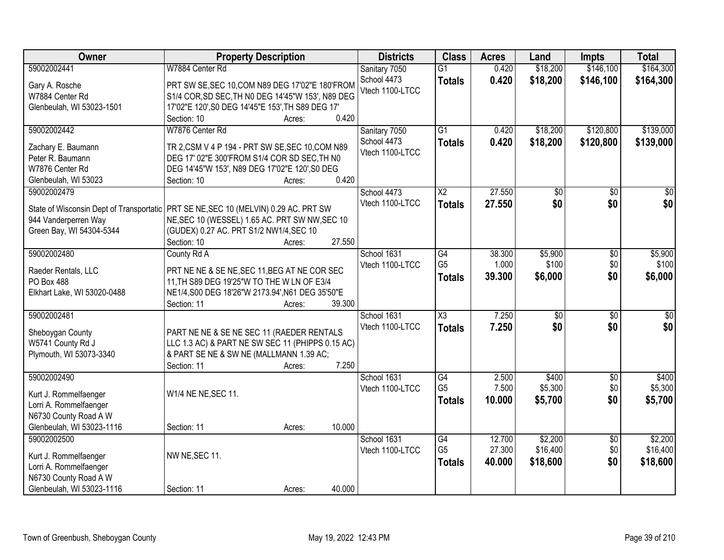| Owner                                     | <b>Property Description</b>                                                                    | <b>Districts</b> | <b>Class</b>        | <b>Acres</b> | Land            | <b>Impts</b>    | <b>Total</b>    |
|-------------------------------------------|------------------------------------------------------------------------------------------------|------------------|---------------------|--------------|-----------------|-----------------|-----------------|
| 59002002441                               | W7884 Center Rd                                                                                | Sanitary 7050    | $\overline{G1}$     | 0.420        | \$18,200        | \$146,100       | \$164,300       |
| Gary A. Rosche                            | PRT SW SE, SEC 10, COM N89 DEG 17'02"E 180'FROM                                                | School 4473      | <b>Totals</b>       | 0.420        | \$18,200        | \$146,100       | \$164,300       |
| W7884 Center Rd                           | S1/4 COR, SD SEC, TH N0 DEG 14'45"W 153', N89 DEG                                              | Vtech 1100-LTCC  |                     |              |                 |                 |                 |
| Glenbeulah, WI 53023-1501                 | 17'02"E 120', S0 DEG 14'45"E 153', TH S89 DEG 17'                                              |                  |                     |              |                 |                 |                 |
|                                           | 0.420<br>Section: 10<br>Acres:                                                                 |                  |                     |              |                 |                 |                 |
| 59002002442                               | W7876 Center Rd                                                                                | Sanitary 7050    | $\overline{G1}$     | 0.420        | \$18,200        | \$120,800       | \$139,000       |
|                                           |                                                                                                | School 4473      | <b>Totals</b>       | 0.420        | \$18,200        | \$120,800       | \$139,000       |
| Zachary E. Baumann                        | TR 2, CSM V 4 P 194 - PRT SW SE, SEC 10, COM N89                                               | Vtech 1100-LTCC  |                     |              |                 |                 |                 |
| Peter R. Baumann                          | DEG 17' 02"E 300'FROM S1/4 COR SD SEC, TH N0                                                   |                  |                     |              |                 |                 |                 |
| W7876 Center Rd                           | DEG 14'45"W 153', N89 DEG 17'02"E 120', S0 DEG                                                 |                  |                     |              |                 |                 |                 |
| Glenbeulah, WI 53023                      | 0.420<br>Section: 10<br>Acres:                                                                 |                  |                     |              |                 |                 |                 |
| 59002002479                               |                                                                                                | School 4473      | $\overline{X2}$     | 27.550       | \$0             | \$0             | $\overline{30}$ |
|                                           | State of Wisconsin Dept of Transportatic   PRT SE NE, SEC 10 (MELVIN) 0.29 AC. PRT SW          | Vtech 1100-LTCC  | <b>Totals</b>       | 27.550       | \$0             | \$0             | \$0             |
| 944 Vanderperren Way                      | NE, SEC 10 (WESSEL) 1.65 AC. PRT SW NW, SEC 10                                                 |                  |                     |              |                 |                 |                 |
| Green Bay, WI 54304-5344                  | (GUDEX) 0.27 AC. PRT S1/2 NW1/4, SEC 10                                                        |                  |                     |              |                 |                 |                 |
|                                           | 27.550<br>Section: 10<br>Acres:                                                                |                  |                     |              |                 |                 |                 |
| 59002002480                               | County Rd A                                                                                    | School 1631      | $\overline{G4}$     | 38.300       | \$5,900         | \$0             | \$5,900         |
|                                           |                                                                                                | Vtech 1100-LTCC  | G <sub>5</sub>      | 1.000        | \$100           | \$0             | \$100           |
| Raeder Rentals, LLC                       | PRT NE NE & SE NE, SEC 11, BEG AT NE COR SEC                                                   |                  | <b>Totals</b>       | 39.300       | \$6,000         | \$0             | \$6,000         |
| PO Box 488<br>Elkhart Lake, WI 53020-0488 | 11, TH S89 DEG 19'25"W TO THE W LN OF E3/4<br>NE1/4, S00 DEG 18'26"W 2173.94', N61 DEG 35'50"E |                  |                     |              |                 |                 |                 |
|                                           | 39.300<br>Section: 11<br>Acres:                                                                |                  |                     |              |                 |                 |                 |
| 59002002481                               |                                                                                                | School 1631      | $\overline{\chi_3}$ | 7.250        | $\overline{50}$ | $\overline{30}$ | $\overline{30}$ |
|                                           |                                                                                                | Vtech 1100-LTCC  | <b>Totals</b>       | 7.250        | \$0             | \$0             | \$0             |
| Sheboygan County                          | PART NE NE & SE NE SEC 11 (RAEDER RENTALS                                                      |                  |                     |              |                 |                 |                 |
| W5741 County Rd J                         | LLC 1.3 AC) & PART NE SW SEC 11 (PHIPPS 0.15 AC)                                               |                  |                     |              |                 |                 |                 |
| Plymouth, WI 53073-3340                   | & PART SE NE & SW NE (MALLMANN 1.39 AC;                                                        |                  |                     |              |                 |                 |                 |
|                                           | 7.250<br>Section: 11<br>Acres:                                                                 |                  |                     |              |                 |                 |                 |
| 59002002490                               |                                                                                                | School 1631      | $\overline{G4}$     | 2.500        | \$400           | $\sqrt{6}$      | \$400           |
| Kurt J. Rommelfaenger                     | W1/4 NE NE, SEC 11.                                                                            | Vtech 1100-LTCC  | G <sub>5</sub>      | 7.500        | \$5,300         | \$0             | \$5,300         |
| Lorri A. Rommelfaenger                    |                                                                                                |                  | <b>Totals</b>       | 10.000       | \$5,700         | \$0             | \$5,700         |
| N6730 County Road A W                     |                                                                                                |                  |                     |              |                 |                 |                 |
| Glenbeulah, WI 53023-1116                 | 10.000<br>Section: 11<br>Acres:                                                                |                  |                     |              |                 |                 |                 |
| 59002002500                               |                                                                                                | School 1631      | $\overline{G4}$     | 12.700       | \$2,200         | $\overline{50}$ | \$2,200         |
|                                           |                                                                                                | Vtech 1100-LTCC  | G <sub>5</sub>      | 27.300       | \$16,400        | \$0             | \$16,400        |
| Kurt J. Rommelfaenger                     | NW NE, SEC 11.                                                                                 |                  | <b>Totals</b>       | 40.000       | \$18,600        | \$0             | \$18,600        |
| Lorri A. Rommelfaenger                    |                                                                                                |                  |                     |              |                 |                 |                 |
| N6730 County Road A W                     |                                                                                                |                  |                     |              |                 |                 |                 |
| Glenbeulah, WI 53023-1116                 | 40.000<br>Section: 11<br>Acres:                                                                |                  |                     |              |                 |                 |                 |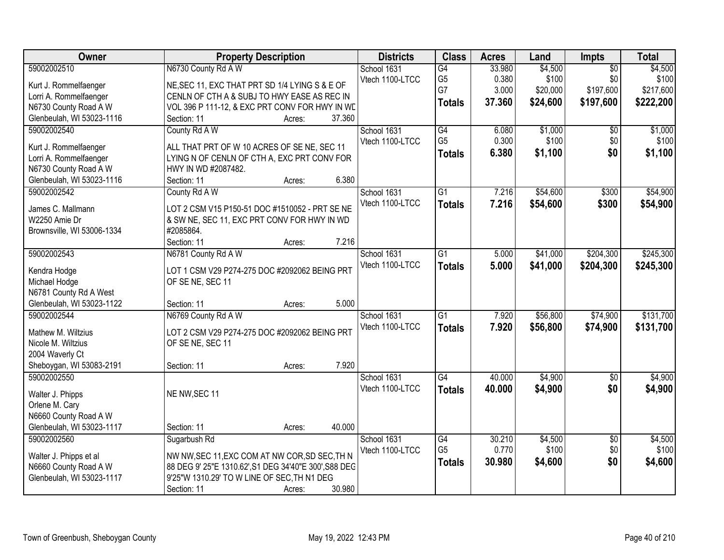| Owner                      | <b>Property Description</b>                           | <b>Districts</b> | <b>Class</b>    | <b>Acres</b> | Land     | Impts           | <b>Total</b> |
|----------------------------|-------------------------------------------------------|------------------|-----------------|--------------|----------|-----------------|--------------|
| 59002002510                | N6730 County Rd A W                                   | School 1631      | G4              | 33.980       | \$4,500  | $\overline{50}$ | \$4,500      |
| Kurt J. Rommelfaenger      | NE, SEC 11, EXC THAT PRT SD 1/4 LYING S & E OF        | Vtech 1100-LTCC  | G <sub>5</sub>  | 0.380        | \$100    | \$0             | \$100        |
| Lorri A. Rommelfaenger     | CENLN OF CTH A & SUBJ TO HWY EASE AS REC IN           |                  | G7              | 3.000        | \$20,000 | \$197,600       | \$217,600    |
| N6730 County Road A W      | VOL 396 P 111-12, & EXC PRT CONV FOR HWY IN WE        |                  | <b>Totals</b>   | 37.360       | \$24,600 | \$197,600       | \$222,200    |
| Glenbeulah, WI 53023-1116  | 37.360<br>Section: 11<br>Acres:                       |                  |                 |              |          |                 |              |
| 59002002540                | County Rd A W                                         | School 1631      | $\overline{G4}$ | 6.080        | \$1,000  | $\overline{50}$ | \$1,000      |
|                            |                                                       | Vtech 1100-LTCC  | G <sub>5</sub>  | 0.300        | \$100    | \$0             | \$100        |
| Kurt J. Rommelfaenger      | ALL THAT PRT OF W 10 ACRES OF SE NE, SEC 11           |                  | <b>Totals</b>   | 6.380        | \$1,100  | \$0             | \$1,100      |
| Lorri A. Rommelfaenger     | LYING N OF CENLN OF CTH A, EXC PRT CONV FOR           |                  |                 |              |          |                 |              |
| N6730 County Road A W      | HWY IN WD #2087482.                                   |                  |                 |              |          |                 |              |
| Glenbeulah, WI 53023-1116  | 6.380<br>Section: 11<br>Acres:                        |                  |                 |              |          |                 |              |
| 59002002542                | County Rd A W                                         | School 1631      | $\overline{G1}$ | 7.216        | \$54,600 | \$300           | \$54,900     |
| James C. Mallmann          | LOT 2 CSM V15 P150-51 DOC #1510052 - PRT SE NE        | Vtech 1100-LTCC  | <b>Totals</b>   | 7.216        | \$54,600 | \$300           | \$54,900     |
| W2250 Amie Dr              | & SW NE, SEC 11, EXC PRT CONV FOR HWY IN WD           |                  |                 |              |          |                 |              |
| Brownsville, WI 53006-1334 | #2085864.                                             |                  |                 |              |          |                 |              |
|                            | 7.216<br>Section: 11<br>Acres:                        |                  |                 |              |          |                 |              |
| 59002002543                | N6781 County Rd A W                                   | School 1631      | $\overline{G1}$ | 5.000        | \$41,000 | \$204,300       | \$245,300    |
|                            |                                                       | Vtech 1100-LTCC  | <b>Totals</b>   | 5.000        | \$41,000 | \$204,300       | \$245,300    |
| Kendra Hodge               | LOT 1 CSM V29 P274-275 DOC #2092062 BEING PRT         |                  |                 |              |          |                 |              |
| Michael Hodge              | OF SE NE, SEC 11                                      |                  |                 |              |          |                 |              |
| N6781 County Rd A West     |                                                       |                  |                 |              |          |                 |              |
| Glenbeulah, WI 53023-1122  | 5.000<br>Section: 11<br>Acres:                        |                  |                 |              |          |                 |              |
| 59002002544                | N6769 County Rd A W                                   | School 1631      | $\overline{G1}$ | 7.920        | \$56,800 | \$74,900        | \$131,700    |
| Mathew M. Wiltzius         | LOT 2 CSM V29 P274-275 DOC #2092062 BEING PRT         | Vtech 1100-LTCC  | <b>Totals</b>   | 7.920        | \$56,800 | \$74,900        | \$131,700    |
| Nicole M. Wiltzius         | OF SE NE, SEC 11                                      |                  |                 |              |          |                 |              |
| 2004 Waverly Ct            |                                                       |                  |                 |              |          |                 |              |
| Sheboygan, WI 53083-2191   | 7.920<br>Section: 11<br>Acres:                        |                  |                 |              |          |                 |              |
| 59002002550                |                                                       | School 1631      | $\overline{G4}$ | 40.000       | \$4,900  | $\overline{50}$ | \$4,900      |
|                            |                                                       | Vtech 1100-LTCC  | <b>Totals</b>   | 40.000       | \$4,900  | \$0             | \$4,900      |
| Walter J. Phipps           | NE NW, SEC 11                                         |                  |                 |              |          |                 |              |
| Orlene M. Cary             |                                                       |                  |                 |              |          |                 |              |
| N6660 County Road A W      |                                                       |                  |                 |              |          |                 |              |
| Glenbeulah, WI 53023-1117  | 40.000<br>Section: 11<br>Acres:                       |                  |                 |              |          |                 |              |
| 59002002560                | Sugarbush Rd                                          | School 1631      | G4              | 30.210       | \$4,500  | $\overline{50}$ | \$4,500      |
| Walter J. Phipps et al     | NW NW, SEC 11, EXC COM AT NW COR, SD SEC, TH N        | Vtech 1100-LTCC  | G <sub>5</sub>  | 0.770        | \$100    | \$0             | \$100        |
| N6660 County Road A W      | 88 DEG 9' 25"E 1310.62", S1 DEG 34'40"E 300', S88 DEG |                  | <b>Totals</b>   | 30.980       | \$4,600  | \$0             | \$4,600      |
| Glenbeulah, WI 53023-1117  | 9'25"W 1310.29' TO W LINE OF SEC, TH N1 DEG           |                  |                 |              |          |                 |              |
|                            | 30.980<br>Section: 11<br>Acres:                       |                  |                 |              |          |                 |              |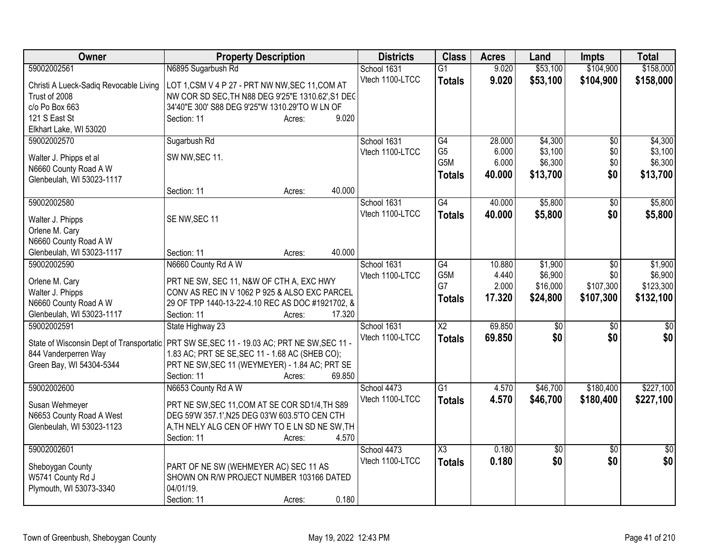| Owner                                    | <b>Property Description</b>                       | <b>Districts</b> | <b>Class</b>           | <b>Acres</b> | Land            | <b>Impts</b>    | <b>Total</b>   |
|------------------------------------------|---------------------------------------------------|------------------|------------------------|--------------|-----------------|-----------------|----------------|
| 59002002561                              | N6895 Sugarbush Rd                                | School 1631      | $\overline{G1}$        | 9.020        | \$53,100        | \$104,900       | \$158,000      |
| Christi A Lueck-Sadiq Revocable Living   | LOT 1, CSM V 4 P 27 - PRT NW NW, SEC 11, COM AT   | Vtech 1100-LTCC  | <b>Totals</b>          | 9.020        | \$53,100        | \$104,900       | \$158,000      |
| Trust of 2008                            | NW COR SD SEC, TH N88 DEG 9'25"E 1310.62', S1 DEC |                  |                        |              |                 |                 |                |
| c/o Po Box 663                           | 34'40"E 300' S88 DEG 9'25"W 1310.29'TO W LN OF    |                  |                        |              |                 |                 |                |
| 121 S East St                            | Section: 11<br>9.020<br>Acres:                    |                  |                        |              |                 |                 |                |
| Elkhart Lake, WI 53020                   |                                                   |                  |                        |              |                 |                 |                |
| 59002002570                              | Sugarbush Rd                                      | School 1631      | G4                     | 28.000       | \$4,300         | $\overline{50}$ | \$4,300        |
| Walter J. Phipps et al                   | SW NW, SEC 11.                                    | Vtech 1100-LTCC  | G <sub>5</sub>         | 6.000        | \$3,100         | \$0             | \$3,100        |
| N6660 County Road A W                    |                                                   |                  | G5M                    | 6.000        | \$6,300         | \$0             | \$6,300        |
| Glenbeulah, WI 53023-1117                |                                                   |                  | <b>Totals</b>          | 40.000       | \$13,700        | \$0             | \$13,700       |
|                                          | 40.000<br>Section: 11<br>Acres:                   |                  |                        |              |                 |                 |                |
| 59002002580                              |                                                   | School 1631      | G4                     | 40.000       | \$5,800         | \$0             | \$5,800        |
|                                          |                                                   | Vtech 1100-LTCC  | <b>Totals</b>          | 40.000       | \$5,800         | \$0             | \$5,800        |
| Walter J. Phipps                         | SE NW, SEC 11                                     |                  |                        |              |                 |                 |                |
| Orlene M. Cary<br>N6660 County Road A W  |                                                   |                  |                        |              |                 |                 |                |
| Glenbeulah, WI 53023-1117                | 40.000<br>Section: 11<br>Acres:                   |                  |                        |              |                 |                 |                |
| 59002002590                              | N6660 County Rd A W                               | School 1631      | G4                     | 10.880       | \$1,900         | \$0             | \$1,900        |
|                                          |                                                   | Vtech 1100-LTCC  | G5M                    | 4.440        | \$6,900         | \$0             | \$6,900        |
| Orlene M. Cary                           | PRT NE SW, SEC 11, N&W OF CTH A, EXC HWY          |                  | G7                     | 2.000        | \$16,000        | \$107,300       | \$123,300      |
| Walter J. Phipps                         | CONV AS REC IN V 1062 P 925 & ALSO EXC PARCEL     |                  | <b>Totals</b>          | 17.320       | \$24,800        | \$107,300       | \$132,100      |
| N6660 County Road A W                    | 29 OF TPP 1440-13-22-4.10 REC AS DOC #1921702, &  |                  |                        |              |                 |                 |                |
| Glenbeulah, WI 53023-1117                | 17.320<br>Section: 11<br>Acres:                   |                  |                        |              |                 |                 |                |
| 59002002591                              | State Highway 23                                  | School 1631      | $\overline{\text{X2}}$ | 69.850       | $\overline{50}$ | \$0             | \$0            |
| State of Wisconsin Dept of Transportatic | PRT SW SE, SEC 11 - 19.03 AC; PRT NE SW, SEC 11 - | Vtech 1100-LTCC  | <b>Totals</b>          | 69.850       | \$0             | \$0             | \$0            |
| 844 Vanderperren Way                     | 1.83 AC; PRT SE SE, SEC 11 - 1.68 AC (SHEB CO);   |                  |                        |              |                 |                 |                |
| Green Bay, WI 54304-5344                 | PRT NE SW, SEC 11 (WEYMEYER) - 1.84 AC; PRT SE    |                  |                        |              |                 |                 |                |
|                                          | 69.850<br>Section: 11<br>Acres:                   |                  |                        |              |                 |                 |                |
| 59002002600                              | N6653 County Rd A W                               | School 4473      | G1                     | 4.570        | \$46,700        | \$180,400       | \$227,100      |
| Susan Wehmeyer                           | PRT NE SW, SEC 11, COM AT SE COR SD1/4, TH S89    | Vtech 1100-LTCC  | <b>Totals</b>          | 4.570        | \$46,700        | \$180,400       | \$227,100      |
| N6653 County Road A West                 | DEG 59'W 357.1', N25 DEG 03'W 603.5'TO CEN CTH    |                  |                        |              |                 |                 |                |
| Glenbeulah, WI 53023-1123                | A, TH NELY ALG CEN OF HWY TO E LN SD NE SW, TH    |                  |                        |              |                 |                 |                |
|                                          | Section: 11<br>4.570<br>Acres:                    |                  |                        |              |                 |                 |                |
| 59002002601                              |                                                   | School 4473      | $\overline{\chi_3}$    | 0.180        | $\overline{50}$ | $\overline{50}$ | $\frac{1}{30}$ |
|                                          |                                                   | Vtech 1100-LTCC  | <b>Totals</b>          | 0.180        | \$0             | \$0             | \$0            |
| Sheboygan County                         | PART OF NE SW (WEHMEYER AC) SEC 11 AS             |                  |                        |              |                 |                 |                |
| W5741 County Rd J                        | SHOWN ON R/W PROJECT NUMBER 103166 DATED          |                  |                        |              |                 |                 |                |
| Plymouth, WI 53073-3340                  | 04/01/19.                                         |                  |                        |              |                 |                 |                |
|                                          | 0.180<br>Section: 11<br>Acres:                    |                  |                        |              |                 |                 |                |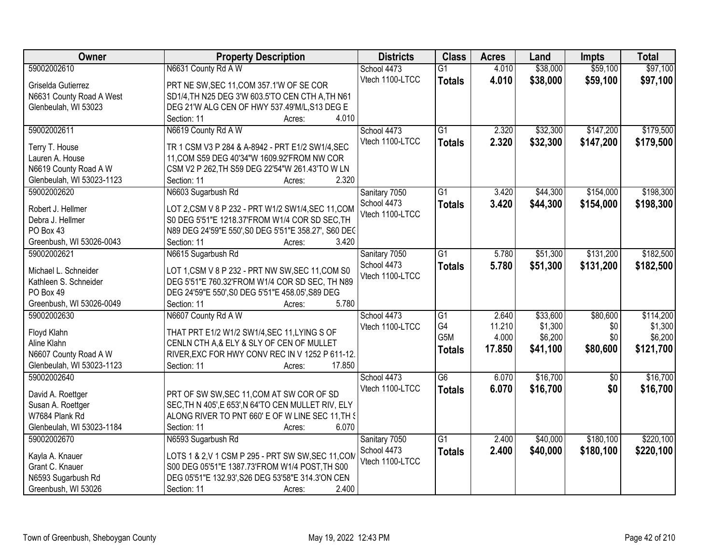| Owner                              | <b>Property Description</b>                                                                          | <b>Districts</b> | <b>Class</b>     | <b>Acres</b> | Land     | <b>Impts</b>    | <b>Total</b> |
|------------------------------------|------------------------------------------------------------------------------------------------------|------------------|------------------|--------------|----------|-----------------|--------------|
| 59002002610                        | N6631 County Rd A W                                                                                  | School 4473      | $\overline{G1}$  | 4.010        | \$38,000 | \$59,100        | \$97,100     |
| Griselda Gutierrez                 | PRT NE SW, SEC 11, COM 357.1'W OF SE COR                                                             | Vtech 1100-LTCC  | <b>Totals</b>    | 4.010        | \$38,000 | \$59,100        | \$97,100     |
| N6631 County Road A West           | SD1/4, TH N25 DEG 3'W 603.5'TO CEN CTH A, TH N61                                                     |                  |                  |              |          |                 |              |
| Glenbeulah, WI 53023               | DEG 21'W ALG CEN OF HWY 537.49'M/L, S13 DEG E                                                        |                  |                  |              |          |                 |              |
|                                    | Section: 11<br>4.010<br>Acres:                                                                       |                  |                  |              |          |                 |              |
| 59002002611                        | N6619 County Rd A W                                                                                  | School 4473      | $\overline{G1}$  | 2.320        | \$32,300 | \$147,200       | \$179,500    |
|                                    |                                                                                                      | Vtech 1100-LTCC  | <b>Totals</b>    | 2.320        | \$32,300 | \$147,200       | \$179,500    |
| Terry T. House                     | TR 1 CSM V3 P 284 & A-8942 - PRT E1/2 SW1/4, SEC                                                     |                  |                  |              |          |                 |              |
| Lauren A. House                    | 11, COM S59 DEG 40'34"W 1609.92' FROM NW COR                                                         |                  |                  |              |          |                 |              |
| N6619 County Road A W              | CSM V2 P 262, TH S59 DEG 22'54"W 261.43'TO W LN                                                      |                  |                  |              |          |                 |              |
| Glenbeulah, WI 53023-1123          | 2.320<br>Section: 11<br>Acres:                                                                       |                  |                  |              |          |                 |              |
| 59002002620                        | N6603 Sugarbush Rd                                                                                   | Sanitary 7050    | $\overline{G1}$  | 3.420        | \$44,300 | \$154,000       | \$198,300    |
| Robert J. Hellmer                  | LOT 2, CSM V 8 P 232 - PRT W1/2 SW1/4, SEC 11, COM                                                   | School 4473      | <b>Totals</b>    | 3.420        | \$44,300 | \$154,000       | \$198,300    |
| Debra J. Hellmer                   | S0 DEG 5'51"E 1218.37'FROM W1/4 COR SD SEC, TH                                                       | Vtech 1100-LTCC  |                  |              |          |                 |              |
| PO Box 43                          | N89 DEG 24'59"E 550', S0 DEG 5'51"E 358.27', S60 DEC                                                 |                  |                  |              |          |                 |              |
| Greenbush, WI 53026-0043           | Section: 11<br>3.420<br>Acres:                                                                       |                  |                  |              |          |                 |              |
| 59002002621                        | N6615 Sugarbush Rd                                                                                   | Sanitary 7050    | $\overline{G1}$  | 5.780        | \$51,300 | \$131,200       | \$182,500    |
|                                    |                                                                                                      | School 4473      | <b>Totals</b>    | 5.780        | \$51,300 | \$131,200       | \$182,500    |
| Michael L. Schneider               | LOT 1, CSM V 8 P 232 - PRT NW SW, SEC 11, COM S0                                                     | Vtech 1100-LTCC  |                  |              |          |                 |              |
| Kathleen S. Schneider              | DEG 5'51"E 760.32'FROM W1/4 COR SD SEC, TH N89                                                       |                  |                  |              |          |                 |              |
| PO Box 49                          | DEG 24'59"E 550', S0 DEG 5'51"E 458.05', S89 DEG                                                     |                  |                  |              |          |                 |              |
| Greenbush, WI 53026-0049           | Section: 11<br>5.780<br>Acres:                                                                       |                  |                  |              |          |                 |              |
| 59002002630                        | N6607 County Rd A W                                                                                  | School 4473      | $\overline{G1}$  | 2.640        | \$33,600 | \$80,600        | \$114,200    |
| Floyd Klahn                        | THAT PRT E1/2 W1/2 SW1/4, SEC 11, LYING S OF                                                         | Vtech 1100-LTCC  | G4               | 11.210       | \$1,300  | \$0             | \$1,300      |
| Aline Klahn                        | CENLN CTH A, & ELY & SLY OF CEN OF MULLET                                                            |                  | G <sub>5</sub> M | 4.000        | \$6,200  | \$0             | \$6,200      |
| N6607 County Road A W              | RIVER, EXC FOR HWY CONV REC IN V 1252 P 611-12.                                                      |                  | <b>Totals</b>    | 17.850       | \$41,100 | \$80,600        | \$121,700    |
| Glenbeulah, WI 53023-1123          | 17.850<br>Section: 11<br>Acres:                                                                      |                  |                  |              |          |                 |              |
| 59002002640                        |                                                                                                      | School 4473      | $\overline{G6}$  | 6.070        | \$16,700 | $\overline{50}$ | \$16,700     |
|                                    |                                                                                                      | Vtech 1100-LTCC  |                  |              |          | \$0             |              |
| David A. Roettger                  | PRT OF SW SW, SEC 11, COM AT SW COR OF SD                                                            |                  | <b>Totals</b>    | 6.070        | \$16,700 |                 | \$16,700     |
| Susan A. Roettger                  | SEC, TH N 405', E 653', N 64'TO CEN MULLET RIV, ELY                                                  |                  |                  |              |          |                 |              |
| W7684 Plank Rd                     | ALONG RIVER TO PNT 660' E OF W LINE SEC 11, TH \$                                                    |                  |                  |              |          |                 |              |
| Glenbeulah, WI 53023-1184          | Section: 11<br>6.070<br>Acres:                                                                       |                  |                  |              |          |                 |              |
| 59002002670                        | N6593 Sugarbush Rd                                                                                   | Sanitary 7050    | $\overline{G1}$  | 2.400        | \$40,000 | \$180,100       | \$220,100    |
|                                    |                                                                                                      | School 4473      | <b>Totals</b>    | 2.400        | \$40,000 | \$180,100       | \$220,100    |
| Kayla A. Knauer<br>Grant C. Knauer | LOTS 1 & 2, V 1 CSM P 295 - PRT SW SW, SEC 11, COM<br>S00 DEG 05'51"E 1387.73'FROM W1/4 POST, TH S00 | Vtech 1100-LTCC  |                  |              |          |                 |              |
|                                    |                                                                                                      |                  |                  |              |          |                 |              |
| N6593 Sugarbush Rd                 | DEG 05'51"E 132.93', S26 DEG 53'58"E 314.3'ON CEN                                                    |                  |                  |              |          |                 |              |
| Greenbush, WI 53026                | 2.400<br>Section: 11<br>Acres:                                                                       |                  |                  |              |          |                 |              |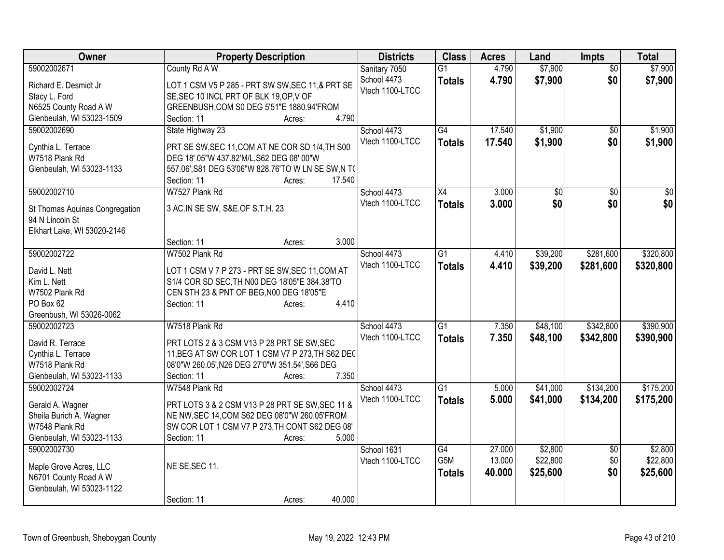| Owner                                  | <b>Property Description</b>                                                                    | <b>Districts</b> | <b>Class</b>     | <b>Acres</b> | Land            | <b>Impts</b>    | <b>Total</b>     |
|----------------------------------------|------------------------------------------------------------------------------------------------|------------------|------------------|--------------|-----------------|-----------------|------------------|
| 59002002671                            | County Rd A W                                                                                  | Sanitary 7050    | $\overline{G1}$  | 4.790        | \$7,900         | $\overline{50}$ | \$7,900          |
| Richard E. Desmidt Jr                  | LOT 1 CSM V5 P 285 - PRT SW SW, SEC 11, & PRT SE                                               | School 4473      | <b>Totals</b>    | 4.790        | \$7,900         | \$0             | \$7,900          |
| Stacy L. Ford                          | SE, SEC 10 INCL PRT OF BLK 19, OP, V OF                                                        | Vtech 1100-LTCC  |                  |              |                 |                 |                  |
| N6525 County Road A W                  | GREENBUSH, COM S0 DEG 5'51"E 1880.94'FROM                                                      |                  |                  |              |                 |                 |                  |
| Glenbeulah, WI 53023-1509              | 4.790<br>Section: 11<br>Acres:                                                                 |                  |                  |              |                 |                 |                  |
| 59002002690                            | State Highway 23                                                                               | School 4473      | G4               | 17.540       | \$1,900         | $\overline{50}$ | \$1,900          |
| Cynthia L. Terrace                     | PRT SE SW, SEC 11, COM AT NE COR SD 1/4, TH S00                                                | Vtech 1100-LTCC  | <b>Totals</b>    | 17.540       | \$1,900         | \$0             | \$1,900          |
| W7518 Plank Rd                         | DEG 18' 05"W 437.82'M/L, S62 DEG 08' 00"W                                                      |                  |                  |              |                 |                 |                  |
| Glenbeulah, WI 53023-1133              | 557.06', S81 DEG 53'06"W 828.76'TO W LN SE SW, N T(                                            |                  |                  |              |                 |                 |                  |
|                                        | 17.540<br>Section: 11<br>Acres:                                                                |                  |                  |              |                 |                 |                  |
| 59002002710                            | W7527 Plank Rd                                                                                 | School 4473      | X4               | 3.000        | $\overline{50}$ | \$0             | $\overline{\$0}$ |
|                                        |                                                                                                | Vtech 1100-LTCC  | <b>Totals</b>    | 3.000        | \$0             | \$0             | \$0              |
| St Thomas Aquinas Congregation         | 3 AC.IN SE SW, S&E.OF S.T.H. 23                                                                |                  |                  |              |                 |                 |                  |
| 94 N Lincoln St                        |                                                                                                |                  |                  |              |                 |                 |                  |
| Elkhart Lake, WI 53020-2146            |                                                                                                |                  |                  |              |                 |                 |                  |
|                                        | 3.000<br>Section: 11<br>Acres:                                                                 |                  |                  |              |                 |                 |                  |
| 59002002722                            | W7502 Plank Rd                                                                                 | School 4473      | $\overline{G1}$  | 4.410        | \$39,200        | \$281,600       | \$320,800        |
| David L. Nett                          | LOT 1 CSM V 7 P 273 - PRT SE SW, SEC 11, COM AT                                                | Vtech 1100-LTCC  | <b>Totals</b>    | 4.410        | \$39,200        | \$281,600       | \$320,800        |
| Kim L. Nett                            | S1/4 COR SD SEC, TH N00 DEG 18'05"E 384.38'TO                                                  |                  |                  |              |                 |                 |                  |
| W7502 Plank Rd                         | CEN STH 23 & PNT OF BEG, N00 DEG 18'05"E                                                       |                  |                  |              |                 |                 |                  |
| PO Box 62                              | 4.410<br>Section: 11<br>Acres:                                                                 |                  |                  |              |                 |                 |                  |
| Greenbush, WI 53026-0062               |                                                                                                |                  |                  |              |                 |                 |                  |
| 59002002723                            | W7518 Plank Rd                                                                                 | School 4473      | $\overline{G1}$  | 7.350        | \$48,100        | \$342,800       | \$390,900        |
|                                        |                                                                                                | Vtech 1100-LTCC  | <b>Totals</b>    | 7.350        | \$48,100        | \$342,800       | \$390,900        |
| David R. Terrace<br>Cynthia L. Terrace | PRT LOTS 2 & 3 CSM V13 P 28 PRT SE SW, SEC<br>11, BEG AT SW COR LOT 1 CSM V7 P 273, TH S62 DEC |                  |                  |              |                 |                 |                  |
| W7518 Plank Rd                         | 08'0"W 260.05', N26 DEG 27'0"W 351.54', S66 DEG                                                |                  |                  |              |                 |                 |                  |
| Glenbeulah, WI 53023-1133              | 7.350<br>Section: 11<br>Acres:                                                                 |                  |                  |              |                 |                 |                  |
| 59002002724                            | W7548 Plank Rd                                                                                 | School 4473      | $\overline{G1}$  | 5.000        | \$41,000        | \$134,200       | \$175,200        |
|                                        |                                                                                                | Vtech 1100-LTCC  | <b>Totals</b>    | 5.000        | \$41,000        | \$134,200       | \$175,200        |
| Gerald A. Wagner                       | PRT LOTS 3 & 2 CSM V13 P 28 PRT SE SW, SEC 11 &                                                |                  |                  |              |                 |                 |                  |
| Sheila Burich A. Wagner                | NE NW, SEC 14, COM S62 DEG 08'0"W 260.05'FROM                                                  |                  |                  |              |                 |                 |                  |
| W7548 Plank Rd                         | SW COR LOT 1 CSM V7 P 273, TH CONT S62 DEG 08'                                                 |                  |                  |              |                 |                 |                  |
| Glenbeulah, WI 53023-1133              | 5.000<br>Section: 11<br>Acres:                                                                 |                  |                  |              |                 |                 |                  |
| 59002002730                            |                                                                                                | School 1631      | G4               | 27.000       | \$2,800         | $\overline{50}$ | \$2,800          |
| Maple Grove Acres, LLC                 | NE SE, SEC 11.                                                                                 | Vtech 1100-LTCC  | G <sub>5</sub> M | 13.000       | \$22,800        | \$0             | \$22,800         |
| N6701 County Road A W                  |                                                                                                |                  | <b>Totals</b>    | 40.000       | \$25,600        | \$0             | \$25,600         |
| Glenbeulah, WI 53023-1122              |                                                                                                |                  |                  |              |                 |                 |                  |
|                                        | 40.000<br>Section: 11<br>Acres:                                                                |                  |                  |              |                 |                 |                  |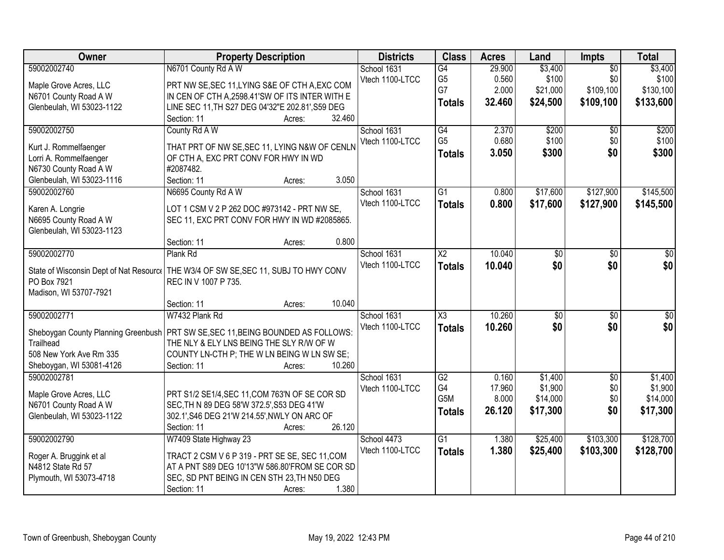| \$3,400<br>School 1631<br>G4<br>29.900<br>$\overline{50}$<br>\$100<br>\$0<br>\$100<br>G <sub>5</sub><br>0.560<br>Vtech 1100-LTCC<br>PRT NW SE, SEC 11, LYING S&E OF CTH A, EXC COM<br>Maple Grove Acres, LLC<br>\$109,100<br>G7<br>2.000<br>\$130,100<br>\$21,000<br>N6701 County Road A W<br>IN CEN OF CTH A, 2598.41'SW OF ITS INTER WITH E<br>32.460<br>\$24,500<br>\$109,100<br>\$133,600<br><b>Totals</b><br>LINE SEC 11, TH S27 DEG 04'32"E 202.81', S59 DEG<br>Glenbeulah, WI 53023-1122<br>32.460<br>Section: 11<br>Acres:<br>\$200<br>\$200<br>59002002750<br>G4<br>2.370<br>County Rd A W<br>School 1631<br>\$0<br>G <sub>5</sub><br>0.680<br>\$100<br>\$0<br>Vtech 1100-LTCC<br>THAT PRT OF NW SE, SEC 11, LYING N&W OF CENLN<br>Kurt J. Rommelfaenger<br>3.050<br>\$300<br>\$0<br><b>Totals</b><br>Lorri A. Rommelfaenger<br>OF CTH A, EXC PRT CONV FOR HWY IN WD<br>N6730 County Road A W<br>#2087482.<br>3.050<br>Section: 11<br>Glenbeulah, WI 53023-1116<br>Acres:<br>N6695 County Rd A W<br>59002002760<br>School 1631<br>$\overline{G1}$<br>0.800<br>\$17,600<br>\$127,900<br>Vtech 1100-LTCC<br>0.800<br>\$17,600<br>\$127,900<br><b>Totals</b><br>LOT 1 CSM V 2 P 262 DOC #973142 - PRT NW SE,<br>Karen A. Longrie<br>N6695 County Road A W<br>SEC 11, EXC PRT CONV FOR HWY IN WD #2085865.<br>Glenbeulah, WI 53023-1123<br>0.800<br>Section: 11<br>Acres:<br>59002002770<br>10.040<br>Plank Rd<br>School 1631<br>X2<br>\$0<br>\$0<br>\$0<br>\$0<br>\$0<br>Vtech 1100-LTCC<br>\$0<br>10.040<br><b>Totals</b><br>State of Wisconsin Dept of Nat Resource<br>THE W3/4 OF SW SE, SEC 11, SUBJ TO HWY CONV<br>PO Box 7921<br>REC IN V 1007 P 735.<br>Madison, WI 53707-7921<br>10.040<br>Section: 11<br>Acres:<br>59002002771<br>$\overline{\text{X3}}$<br>10.260<br>W7432 Plank Rd<br>$\overline{50}$<br>$\overline{50}$<br>School 1631<br>10.260<br>\$0<br>Vtech 1100-LTCC<br><b>Totals</b><br>\$0<br>Sheboygan County Planning Greenbush<br>PRT SW SE, SEC 11, BEING BOUNDED AS FOLLOWS:<br>Trailhead<br>THE NLY & ELY LNS BEING THE SLY R/W OF W<br>508 New York Ave Rm 335<br>COUNTY LN-CTH P; THE W LN BEING W LN SW SE;<br>10.260<br>Sheboygan, WI 53081-4126<br>Section: 11<br>Acres:<br>59002002781<br>G2<br>$\overline{50}$<br>School 1631<br>0.160<br>\$1,400<br>G4<br>\$1,900<br>\$0<br>17.960<br>Vtech 1100-LTCC<br>PRT S1/2 SE1/4, SEC 11, COM 763'N OF SE COR SD<br>Maple Grove Acres, LLC<br>G5M<br>\$14,000<br>\$0<br>8.000<br>N6701 County Road A W<br>SEC, TH N 89 DEG 58'W 372.5', S53 DEG 41'W<br>26.120<br>\$17,300<br>\$0<br><b>Totals</b><br>Glenbeulah, WI 53023-1122<br>302.1', S46 DEG 21'W 214.55', NWLY ON ARC OF<br>26.120<br>Section: 11<br>Acres:<br>\$103,300<br>59002002790<br>W7409 State Highway 23<br>School 4473<br>$\overline{G1}$<br>\$25,400<br>1.380<br>1.380<br>Vtech 1100-LTCC<br>\$103,300<br>\$25,400<br>\$128,700<br><b>Totals</b><br>TRACT 2 CSM V 6 P 319 - PRT SE SE, SEC 11, COM | Owner                   | <b>Property Description</b> | <b>Districts</b> | <b>Class</b> | <b>Acres</b> | Land    | <b>Impts</b> | <b>Total</b> |
|-----------------------------------------------------------------------------------------------------------------------------------------------------------------------------------------------------------------------------------------------------------------------------------------------------------------------------------------------------------------------------------------------------------------------------------------------------------------------------------------------------------------------------------------------------------------------------------------------------------------------------------------------------------------------------------------------------------------------------------------------------------------------------------------------------------------------------------------------------------------------------------------------------------------------------------------------------------------------------------------------------------------------------------------------------------------------------------------------------------------------------------------------------------------------------------------------------------------------------------------------------------------------------------------------------------------------------------------------------------------------------------------------------------------------------------------------------------------------------------------------------------------------------------------------------------------------------------------------------------------------------------------------------------------------------------------------------------------------------------------------------------------------------------------------------------------------------------------------------------------------------------------------------------------------------------------------------------------------------------------------------------------------------------------------------------------------------------------------------------------------------------------------------------------------------------------------------------------------------------------------------------------------------------------------------------------------------------------------------------------------------------------------------------------------------------------------------------------------------------------------------------------------------------------------------------------------------------------------------------------------------------------------------------------------------------------------------------------------------------------------------------------------------------------------------------------------------------------------------------------------------------------------------------------------------------------------------|-------------------------|-----------------------------|------------------|--------------|--------------|---------|--------------|--------------|
|                                                                                                                                                                                                                                                                                                                                                                                                                                                                                                                                                                                                                                                                                                                                                                                                                                                                                                                                                                                                                                                                                                                                                                                                                                                                                                                                                                                                                                                                                                                                                                                                                                                                                                                                                                                                                                                                                                                                                                                                                                                                                                                                                                                                                                                                                                                                                                                                                                                                                                                                                                                                                                                                                                                                                                                                                                                                                                                                                     | 59002002740             | N6701 County Rd A W         |                  |              |              | \$3,400 |              |              |
|                                                                                                                                                                                                                                                                                                                                                                                                                                                                                                                                                                                                                                                                                                                                                                                                                                                                                                                                                                                                                                                                                                                                                                                                                                                                                                                                                                                                                                                                                                                                                                                                                                                                                                                                                                                                                                                                                                                                                                                                                                                                                                                                                                                                                                                                                                                                                                                                                                                                                                                                                                                                                                                                                                                                                                                                                                                                                                                                                     |                         |                             |                  |              |              |         |              |              |
|                                                                                                                                                                                                                                                                                                                                                                                                                                                                                                                                                                                                                                                                                                                                                                                                                                                                                                                                                                                                                                                                                                                                                                                                                                                                                                                                                                                                                                                                                                                                                                                                                                                                                                                                                                                                                                                                                                                                                                                                                                                                                                                                                                                                                                                                                                                                                                                                                                                                                                                                                                                                                                                                                                                                                                                                                                                                                                                                                     |                         |                             |                  |              |              |         |              |              |
|                                                                                                                                                                                                                                                                                                                                                                                                                                                                                                                                                                                                                                                                                                                                                                                                                                                                                                                                                                                                                                                                                                                                                                                                                                                                                                                                                                                                                                                                                                                                                                                                                                                                                                                                                                                                                                                                                                                                                                                                                                                                                                                                                                                                                                                                                                                                                                                                                                                                                                                                                                                                                                                                                                                                                                                                                                                                                                                                                     |                         |                             |                  |              |              |         |              |              |
|                                                                                                                                                                                                                                                                                                                                                                                                                                                                                                                                                                                                                                                                                                                                                                                                                                                                                                                                                                                                                                                                                                                                                                                                                                                                                                                                                                                                                                                                                                                                                                                                                                                                                                                                                                                                                                                                                                                                                                                                                                                                                                                                                                                                                                                                                                                                                                                                                                                                                                                                                                                                                                                                                                                                                                                                                                                                                                                                                     |                         |                             |                  |              |              |         |              |              |
| \$100<br>\$300<br>\$145,500<br>\$145,500<br>$\overline{\$0}$<br>\$0<br>\$1,400<br>\$1,900<br>\$14,000<br>\$17,300<br>\$128,700                                                                                                                                                                                                                                                                                                                                                                                                                                                                                                                                                                                                                                                                                                                                                                                                                                                                                                                                                                                                                                                                                                                                                                                                                                                                                                                                                                                                                                                                                                                                                                                                                                                                                                                                                                                                                                                                                                                                                                                                                                                                                                                                                                                                                                                                                                                                                                                                                                                                                                                                                                                                                                                                                                                                                                                                                      |                         |                             |                  |              |              |         |              |              |
|                                                                                                                                                                                                                                                                                                                                                                                                                                                                                                                                                                                                                                                                                                                                                                                                                                                                                                                                                                                                                                                                                                                                                                                                                                                                                                                                                                                                                                                                                                                                                                                                                                                                                                                                                                                                                                                                                                                                                                                                                                                                                                                                                                                                                                                                                                                                                                                                                                                                                                                                                                                                                                                                                                                                                                                                                                                                                                                                                     |                         |                             |                  |              |              |         |              |              |
|                                                                                                                                                                                                                                                                                                                                                                                                                                                                                                                                                                                                                                                                                                                                                                                                                                                                                                                                                                                                                                                                                                                                                                                                                                                                                                                                                                                                                                                                                                                                                                                                                                                                                                                                                                                                                                                                                                                                                                                                                                                                                                                                                                                                                                                                                                                                                                                                                                                                                                                                                                                                                                                                                                                                                                                                                                                                                                                                                     |                         |                             |                  |              |              |         |              |              |
|                                                                                                                                                                                                                                                                                                                                                                                                                                                                                                                                                                                                                                                                                                                                                                                                                                                                                                                                                                                                                                                                                                                                                                                                                                                                                                                                                                                                                                                                                                                                                                                                                                                                                                                                                                                                                                                                                                                                                                                                                                                                                                                                                                                                                                                                                                                                                                                                                                                                                                                                                                                                                                                                                                                                                                                                                                                                                                                                                     |                         |                             |                  |              |              |         |              |              |
|                                                                                                                                                                                                                                                                                                                                                                                                                                                                                                                                                                                                                                                                                                                                                                                                                                                                                                                                                                                                                                                                                                                                                                                                                                                                                                                                                                                                                                                                                                                                                                                                                                                                                                                                                                                                                                                                                                                                                                                                                                                                                                                                                                                                                                                                                                                                                                                                                                                                                                                                                                                                                                                                                                                                                                                                                                                                                                                                                     |                         |                             |                  |              |              |         |              |              |
|                                                                                                                                                                                                                                                                                                                                                                                                                                                                                                                                                                                                                                                                                                                                                                                                                                                                                                                                                                                                                                                                                                                                                                                                                                                                                                                                                                                                                                                                                                                                                                                                                                                                                                                                                                                                                                                                                                                                                                                                                                                                                                                                                                                                                                                                                                                                                                                                                                                                                                                                                                                                                                                                                                                                                                                                                                                                                                                                                     |                         |                             |                  |              |              |         |              |              |
|                                                                                                                                                                                                                                                                                                                                                                                                                                                                                                                                                                                                                                                                                                                                                                                                                                                                                                                                                                                                                                                                                                                                                                                                                                                                                                                                                                                                                                                                                                                                                                                                                                                                                                                                                                                                                                                                                                                                                                                                                                                                                                                                                                                                                                                                                                                                                                                                                                                                                                                                                                                                                                                                                                                                                                                                                                                                                                                                                     |                         |                             |                  |              |              |         |              |              |
|                                                                                                                                                                                                                                                                                                                                                                                                                                                                                                                                                                                                                                                                                                                                                                                                                                                                                                                                                                                                                                                                                                                                                                                                                                                                                                                                                                                                                                                                                                                                                                                                                                                                                                                                                                                                                                                                                                                                                                                                                                                                                                                                                                                                                                                                                                                                                                                                                                                                                                                                                                                                                                                                                                                                                                                                                                                                                                                                                     |                         |                             |                  |              |              |         |              |              |
|                                                                                                                                                                                                                                                                                                                                                                                                                                                                                                                                                                                                                                                                                                                                                                                                                                                                                                                                                                                                                                                                                                                                                                                                                                                                                                                                                                                                                                                                                                                                                                                                                                                                                                                                                                                                                                                                                                                                                                                                                                                                                                                                                                                                                                                                                                                                                                                                                                                                                                                                                                                                                                                                                                                                                                                                                                                                                                                                                     |                         |                             |                  |              |              |         |              |              |
|                                                                                                                                                                                                                                                                                                                                                                                                                                                                                                                                                                                                                                                                                                                                                                                                                                                                                                                                                                                                                                                                                                                                                                                                                                                                                                                                                                                                                                                                                                                                                                                                                                                                                                                                                                                                                                                                                                                                                                                                                                                                                                                                                                                                                                                                                                                                                                                                                                                                                                                                                                                                                                                                                                                                                                                                                                                                                                                                                     |                         |                             |                  |              |              |         |              |              |
|                                                                                                                                                                                                                                                                                                                                                                                                                                                                                                                                                                                                                                                                                                                                                                                                                                                                                                                                                                                                                                                                                                                                                                                                                                                                                                                                                                                                                                                                                                                                                                                                                                                                                                                                                                                                                                                                                                                                                                                                                                                                                                                                                                                                                                                                                                                                                                                                                                                                                                                                                                                                                                                                                                                                                                                                                                                                                                                                                     |                         |                             |                  |              |              |         |              |              |
|                                                                                                                                                                                                                                                                                                                                                                                                                                                                                                                                                                                                                                                                                                                                                                                                                                                                                                                                                                                                                                                                                                                                                                                                                                                                                                                                                                                                                                                                                                                                                                                                                                                                                                                                                                                                                                                                                                                                                                                                                                                                                                                                                                                                                                                                                                                                                                                                                                                                                                                                                                                                                                                                                                                                                                                                                                                                                                                                                     |                         |                             |                  |              |              |         |              |              |
|                                                                                                                                                                                                                                                                                                                                                                                                                                                                                                                                                                                                                                                                                                                                                                                                                                                                                                                                                                                                                                                                                                                                                                                                                                                                                                                                                                                                                                                                                                                                                                                                                                                                                                                                                                                                                                                                                                                                                                                                                                                                                                                                                                                                                                                                                                                                                                                                                                                                                                                                                                                                                                                                                                                                                                                                                                                                                                                                                     |                         |                             |                  |              |              |         |              |              |
|                                                                                                                                                                                                                                                                                                                                                                                                                                                                                                                                                                                                                                                                                                                                                                                                                                                                                                                                                                                                                                                                                                                                                                                                                                                                                                                                                                                                                                                                                                                                                                                                                                                                                                                                                                                                                                                                                                                                                                                                                                                                                                                                                                                                                                                                                                                                                                                                                                                                                                                                                                                                                                                                                                                                                                                                                                                                                                                                                     |                         |                             |                  |              |              |         |              |              |
|                                                                                                                                                                                                                                                                                                                                                                                                                                                                                                                                                                                                                                                                                                                                                                                                                                                                                                                                                                                                                                                                                                                                                                                                                                                                                                                                                                                                                                                                                                                                                                                                                                                                                                                                                                                                                                                                                                                                                                                                                                                                                                                                                                                                                                                                                                                                                                                                                                                                                                                                                                                                                                                                                                                                                                                                                                                                                                                                                     |                         |                             |                  |              |              |         |              |              |
|                                                                                                                                                                                                                                                                                                                                                                                                                                                                                                                                                                                                                                                                                                                                                                                                                                                                                                                                                                                                                                                                                                                                                                                                                                                                                                                                                                                                                                                                                                                                                                                                                                                                                                                                                                                                                                                                                                                                                                                                                                                                                                                                                                                                                                                                                                                                                                                                                                                                                                                                                                                                                                                                                                                                                                                                                                                                                                                                                     |                         |                             |                  |              |              |         |              |              |
|                                                                                                                                                                                                                                                                                                                                                                                                                                                                                                                                                                                                                                                                                                                                                                                                                                                                                                                                                                                                                                                                                                                                                                                                                                                                                                                                                                                                                                                                                                                                                                                                                                                                                                                                                                                                                                                                                                                                                                                                                                                                                                                                                                                                                                                                                                                                                                                                                                                                                                                                                                                                                                                                                                                                                                                                                                                                                                                                                     |                         |                             |                  |              |              |         |              |              |
|                                                                                                                                                                                                                                                                                                                                                                                                                                                                                                                                                                                                                                                                                                                                                                                                                                                                                                                                                                                                                                                                                                                                                                                                                                                                                                                                                                                                                                                                                                                                                                                                                                                                                                                                                                                                                                                                                                                                                                                                                                                                                                                                                                                                                                                                                                                                                                                                                                                                                                                                                                                                                                                                                                                                                                                                                                                                                                                                                     |                         |                             |                  |              |              |         |              |              |
|                                                                                                                                                                                                                                                                                                                                                                                                                                                                                                                                                                                                                                                                                                                                                                                                                                                                                                                                                                                                                                                                                                                                                                                                                                                                                                                                                                                                                                                                                                                                                                                                                                                                                                                                                                                                                                                                                                                                                                                                                                                                                                                                                                                                                                                                                                                                                                                                                                                                                                                                                                                                                                                                                                                                                                                                                                                                                                                                                     |                         |                             |                  |              |              |         |              |              |
|                                                                                                                                                                                                                                                                                                                                                                                                                                                                                                                                                                                                                                                                                                                                                                                                                                                                                                                                                                                                                                                                                                                                                                                                                                                                                                                                                                                                                                                                                                                                                                                                                                                                                                                                                                                                                                                                                                                                                                                                                                                                                                                                                                                                                                                                                                                                                                                                                                                                                                                                                                                                                                                                                                                                                                                                                                                                                                                                                     |                         |                             |                  |              |              |         |              |              |
|                                                                                                                                                                                                                                                                                                                                                                                                                                                                                                                                                                                                                                                                                                                                                                                                                                                                                                                                                                                                                                                                                                                                                                                                                                                                                                                                                                                                                                                                                                                                                                                                                                                                                                                                                                                                                                                                                                                                                                                                                                                                                                                                                                                                                                                                                                                                                                                                                                                                                                                                                                                                                                                                                                                                                                                                                                                                                                                                                     |                         |                             |                  |              |              |         |              |              |
|                                                                                                                                                                                                                                                                                                                                                                                                                                                                                                                                                                                                                                                                                                                                                                                                                                                                                                                                                                                                                                                                                                                                                                                                                                                                                                                                                                                                                                                                                                                                                                                                                                                                                                                                                                                                                                                                                                                                                                                                                                                                                                                                                                                                                                                                                                                                                                                                                                                                                                                                                                                                                                                                                                                                                                                                                                                                                                                                                     |                         |                             |                  |              |              |         |              |              |
|                                                                                                                                                                                                                                                                                                                                                                                                                                                                                                                                                                                                                                                                                                                                                                                                                                                                                                                                                                                                                                                                                                                                                                                                                                                                                                                                                                                                                                                                                                                                                                                                                                                                                                                                                                                                                                                                                                                                                                                                                                                                                                                                                                                                                                                                                                                                                                                                                                                                                                                                                                                                                                                                                                                                                                                                                                                                                                                                                     |                         |                             |                  |              |              |         |              |              |
|                                                                                                                                                                                                                                                                                                                                                                                                                                                                                                                                                                                                                                                                                                                                                                                                                                                                                                                                                                                                                                                                                                                                                                                                                                                                                                                                                                                                                                                                                                                                                                                                                                                                                                                                                                                                                                                                                                                                                                                                                                                                                                                                                                                                                                                                                                                                                                                                                                                                                                                                                                                                                                                                                                                                                                                                                                                                                                                                                     |                         |                             |                  |              |              |         |              |              |
|                                                                                                                                                                                                                                                                                                                                                                                                                                                                                                                                                                                                                                                                                                                                                                                                                                                                                                                                                                                                                                                                                                                                                                                                                                                                                                                                                                                                                                                                                                                                                                                                                                                                                                                                                                                                                                                                                                                                                                                                                                                                                                                                                                                                                                                                                                                                                                                                                                                                                                                                                                                                                                                                                                                                                                                                                                                                                                                                                     |                         |                             |                  |              |              |         |              |              |
|                                                                                                                                                                                                                                                                                                                                                                                                                                                                                                                                                                                                                                                                                                                                                                                                                                                                                                                                                                                                                                                                                                                                                                                                                                                                                                                                                                                                                                                                                                                                                                                                                                                                                                                                                                                                                                                                                                                                                                                                                                                                                                                                                                                                                                                                                                                                                                                                                                                                                                                                                                                                                                                                                                                                                                                                                                                                                                                                                     |                         |                             |                  |              |              |         |              |              |
|                                                                                                                                                                                                                                                                                                                                                                                                                                                                                                                                                                                                                                                                                                                                                                                                                                                                                                                                                                                                                                                                                                                                                                                                                                                                                                                                                                                                                                                                                                                                                                                                                                                                                                                                                                                                                                                                                                                                                                                                                                                                                                                                                                                                                                                                                                                                                                                                                                                                                                                                                                                                                                                                                                                                                                                                                                                                                                                                                     |                         |                             |                  |              |              |         |              |              |
|                                                                                                                                                                                                                                                                                                                                                                                                                                                                                                                                                                                                                                                                                                                                                                                                                                                                                                                                                                                                                                                                                                                                                                                                                                                                                                                                                                                                                                                                                                                                                                                                                                                                                                                                                                                                                                                                                                                                                                                                                                                                                                                                                                                                                                                                                                                                                                                                                                                                                                                                                                                                                                                                                                                                                                                                                                                                                                                                                     |                         |                             |                  |              |              |         |              |              |
| N4812 State Rd 57<br>AT A PNT S89 DEG 10'13"W 586.80'FROM SE COR SD                                                                                                                                                                                                                                                                                                                                                                                                                                                                                                                                                                                                                                                                                                                                                                                                                                                                                                                                                                                                                                                                                                                                                                                                                                                                                                                                                                                                                                                                                                                                                                                                                                                                                                                                                                                                                                                                                                                                                                                                                                                                                                                                                                                                                                                                                                                                                                                                                                                                                                                                                                                                                                                                                                                                                                                                                                                                                 | Roger A. Bruggink et al |                             |                  |              |              |         |              |              |
| SEC, SD PNT BEING IN CEN STH 23, TH N50 DEG<br>Plymouth, WI 53073-4718                                                                                                                                                                                                                                                                                                                                                                                                                                                                                                                                                                                                                                                                                                                                                                                                                                                                                                                                                                                                                                                                                                                                                                                                                                                                                                                                                                                                                                                                                                                                                                                                                                                                                                                                                                                                                                                                                                                                                                                                                                                                                                                                                                                                                                                                                                                                                                                                                                                                                                                                                                                                                                                                                                                                                                                                                                                                              |                         |                             |                  |              |              |         |              |              |
| 1.380<br>Section: 11<br>Acres:                                                                                                                                                                                                                                                                                                                                                                                                                                                                                                                                                                                                                                                                                                                                                                                                                                                                                                                                                                                                                                                                                                                                                                                                                                                                                                                                                                                                                                                                                                                                                                                                                                                                                                                                                                                                                                                                                                                                                                                                                                                                                                                                                                                                                                                                                                                                                                                                                                                                                                                                                                                                                                                                                                                                                                                                                                                                                                                      |                         |                             |                  |              |              |         |              |              |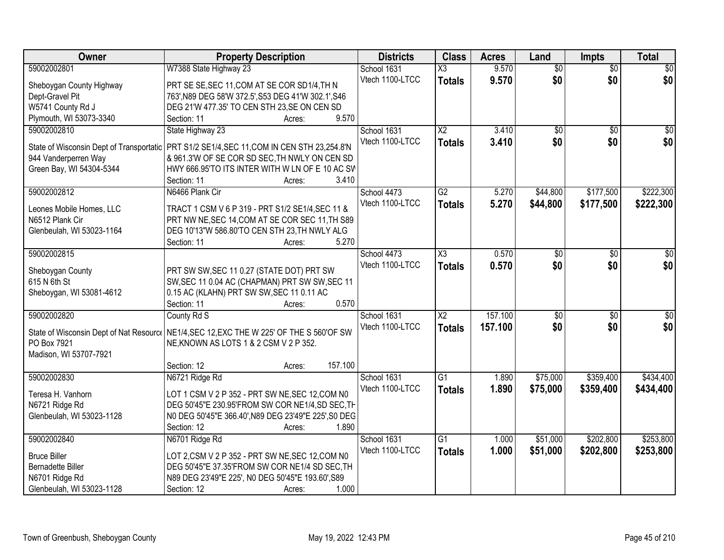| Owner                                                  | <b>Property Description</b>                          | <b>Districts</b> | <b>Class</b>           | <b>Acres</b> | Land            | <b>Impts</b>    | <b>Total</b>     |
|--------------------------------------------------------|------------------------------------------------------|------------------|------------------------|--------------|-----------------|-----------------|------------------|
| 59002002801                                            | W7388 State Highway 23                               | School 1631      | $\overline{\text{X3}}$ | 9.570        | $\overline{50}$ | $\overline{50}$ | $\overline{30}$  |
| Sheboygan County Highway                               | PRT SE SE, SEC 11, COM AT SE COR SD1/4, TH N         | Vtech 1100-LTCC  | <b>Totals</b>          | 9.570        | \$0             | \$0             | \$0              |
| Dept-Gravel Pit                                        | 763', N89 DEG 58'W 372.5', S53 DEG 41'W 302.1', S46  |                  |                        |              |                 |                 |                  |
| W5741 County Rd J                                      | DEG 21'W 477.35' TO CEN STH 23, SE ON CEN SD         |                  |                        |              |                 |                 |                  |
| Plymouth, WI 53073-3340                                | 9.570<br>Section: 11<br>Acres:                       |                  |                        |              |                 |                 |                  |
| 59002002810                                            | State Highway 23                                     | School 1631      | $\overline{X2}$        | 3.410        | $\overline{50}$ | $\overline{50}$ | $\sqrt{50}$      |
|                                                        |                                                      | Vtech 1100-LTCC  | <b>Totals</b>          | 3.410        | \$0             | \$0             | \$0              |
| State of Wisconsin Dept of Transportatic               | PRT S1/2 SE1/4, SEC 11, COM IN CEN STH 23, 254.8'N   |                  |                        |              |                 |                 |                  |
| 944 Vanderperren Way                                   | & 961.3'W OF SE COR SD SEC, TH NWLY ON CEN SD        |                  |                        |              |                 |                 |                  |
| Green Bay, WI 54304-5344                               | HWY 666.95'TO ITS INTER WITH W LN OF E 10 AC SW      |                  |                        |              |                 |                 |                  |
|                                                        | 3.410<br>Section: 11<br>Acres:                       |                  |                        |              |                 |                 |                  |
| 59002002812                                            | N6466 Plank Cir                                      | School 4473      | G2                     | 5.270        | \$44,800        | \$177,500       | \$222,300        |
| Leones Mobile Homes, LLC                               | TRACT 1 CSM V 6 P 319 - PRT S1/2 SE1/4, SEC 11 &     | Vtech 1100-LTCC  | <b>Totals</b>          | 5.270        | \$44,800        | \$177,500       | \$222,300        |
| N6512 Plank Cir                                        | PRT NW NE, SEC 14, COM AT SE COR SEC 11, TH S89      |                  |                        |              |                 |                 |                  |
| Glenbeulah, WI 53023-1164                              | DEG 10'13"W 586.80'TO CEN STH 23, TH NWLY ALG        |                  |                        |              |                 |                 |                  |
|                                                        | Section: 11<br>5.270<br>Acres:                       |                  |                        |              |                 |                 |                  |
| 59002002815                                            |                                                      | School 4473      | $\overline{\chi_3}$    | 0.570        | \$0             | \$0             | \$0              |
|                                                        |                                                      | Vtech 1100-LTCC  | <b>Totals</b>          | 0.570        | \$0             | \$0             | \$0              |
| Sheboygan County                                       | PRT SW SW, SEC 11 0.27 (STATE DOT) PRT SW            |                  |                        |              |                 |                 |                  |
| 615 N 6th St                                           | SW, SEC 11 0.04 AC (CHAPMAN) PRT SW SW, SEC 11       |                  |                        |              |                 |                 |                  |
| Sheboygan, WI 53081-4612                               | 0.15 AC (KLAHN) PRT SW SW, SEC 11 0.11 AC            |                  |                        |              |                 |                 |                  |
|                                                        | 0.570<br>Section: 11<br>Acres:                       |                  |                        |              |                 |                 |                  |
| 59002002820                                            | County Rd S                                          | School 1631      | $\overline{\text{X2}}$ | 157.100      | $\overline{50}$ | $\overline{50}$ | $\overline{\$0}$ |
|                                                        | $ $ NE1/4,SEC 12,EXC THE W 225' OF THE S 560'OF SW   | Vtech 1100-LTCC  | <b>Totals</b>          | 157.100      | \$0             | \$0             | \$0              |
| State of Wisconsin Dept of Nat Resource<br>PO Box 7921 | NE, KNOWN AS LOTS 1 & 2 CSM V 2 P 352.               |                  |                        |              |                 |                 |                  |
|                                                        |                                                      |                  |                        |              |                 |                 |                  |
| Madison, WI 53707-7921                                 | 157.100                                              |                  |                        |              |                 |                 |                  |
|                                                        | Section: 12<br>Acres:                                |                  |                        |              |                 |                 |                  |
| 59002002830                                            | N6721 Ridge Rd                                       | School 1631      | $\overline{G1}$        | 1.890        | \$75,000        | \$359,400       | \$434,400        |
| Teresa H. Vanhorn                                      | LOT 1 CSM V 2 P 352 - PRT SW NE, SEC 12, COM N0      | Vtech 1100-LTCC  | <b>Totals</b>          | 1.890        | \$75,000        | \$359,400       | \$434,400        |
| N6721 Ridge Rd                                         | DEG 50'45"E 230.95'FROM SW COR NE1/4,SD SEC, TH      |                  |                        |              |                 |                 |                  |
| Glenbeulah, WI 53023-1128                              | N0 DEG 50'45"E 366.40', N89 DEG 23'49"E 225', S0 DEG |                  |                        |              |                 |                 |                  |
|                                                        | Section: 12<br>1.890<br>Acres:                       |                  |                        |              |                 |                 |                  |
| 59002002840                                            | N6701 Ridge Rd                                       | School 1631      | G <sub>1</sub>         | 1.000        | \$51,000        | \$202,800       | \$253,800        |
|                                                        |                                                      | Vtech 1100-LTCC  | <b>Totals</b>          | 1.000        | \$51,000        | \$202,800       | \$253,800        |
| <b>Bruce Biller</b>                                    | LOT 2,CSM V 2 P 352 - PRT SW NE, SEC 12, COM N0      |                  |                        |              |                 |                 |                  |
| <b>Bernadette Biller</b>                               | DEG 50'45"E 37.35'FROM SW COR NE1/4 SD SEC, TH       |                  |                        |              |                 |                 |                  |
| N6701 Ridge Rd                                         | N89 DEG 23'49"E 225', N0 DEG 50'45"E 193.60', S89    |                  |                        |              |                 |                 |                  |
| Glenbeulah, WI 53023-1128                              | Section: 12<br>1.000<br>Acres:                       |                  |                        |              |                 |                 |                  |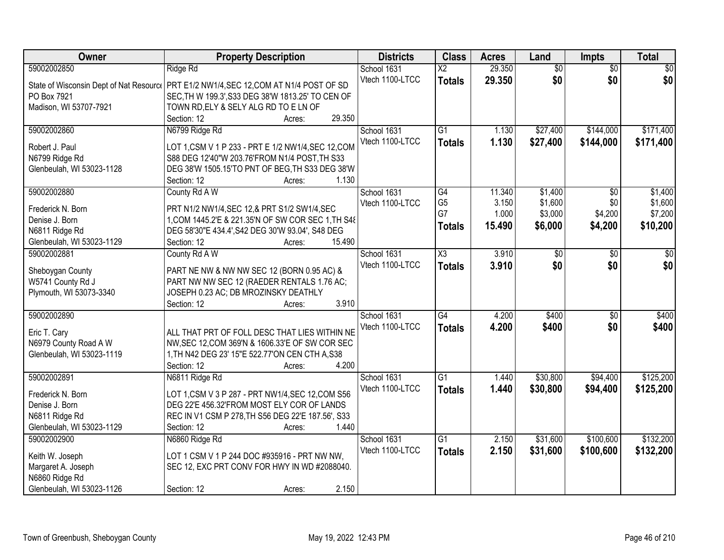| Owner                     | <b>Property Description</b>                                                             | <b>Districts</b> | <b>Class</b>           | <b>Acres</b> | Land            | <b>Impts</b>    | <b>Total</b>    |
|---------------------------|-----------------------------------------------------------------------------------------|------------------|------------------------|--------------|-----------------|-----------------|-----------------|
| 59002002850               | Ridge Rd                                                                                | School 1631      | $\overline{\text{X2}}$ | 29.350       | $\overline{50}$ | $\overline{50}$ | $\overline{30}$ |
|                           | State of Wisconsin Dept of Nat Resourc   PRT E1/2 NW1/4, SEC 12, COM AT N1/4 POST OF SD | Vtech 1100-LTCC  | <b>Totals</b>          | 29.350       | \$0             | \$0             | \$0             |
| PO Box 7921               | SEC, TH W 199.3', S33 DEG 38'W 1813.25' TO CEN OF                                       |                  |                        |              |                 |                 |                 |
| Madison, WI 53707-7921    | TOWN RD, ELY & SELY ALG RD TO E LN OF                                                   |                  |                        |              |                 |                 |                 |
|                           | 29.350<br>Section: 12<br>Acres:                                                         |                  |                        |              |                 |                 |                 |
| 59002002860               | N6799 Ridge Rd                                                                          | School 1631      | $\overline{G1}$        | 1.130        | \$27,400        | \$144,000       | \$171,400       |
|                           |                                                                                         | Vtech 1100-LTCC  | <b>Totals</b>          | 1.130        | \$27,400        | \$144,000       | \$171,400       |
| Robert J. Paul            | LOT 1, CSM V 1 P 233 - PRT E 1/2 NW1/4, SEC 12, COM                                     |                  |                        |              |                 |                 |                 |
| N6799 Ridge Rd            | S88 DEG 12'40"W 203.76'FROM N1/4 POST, TH S33                                           |                  |                        |              |                 |                 |                 |
| Glenbeulah, WI 53023-1128 | DEG 38'W 1505.15'TO PNT OF BEG, TH S33 DEG 38'W<br>1.130                                |                  |                        |              |                 |                 |                 |
|                           | Section: 12<br>Acres:                                                                   |                  |                        |              |                 |                 |                 |
| 59002002880               | County Rd A W                                                                           | School 1631      | $\overline{G4}$        | 11.340       | \$1,400         | \$0             | \$1,400         |
| Frederick N. Born         | PRT N1/2 NW1/4, SEC 12, & PRT S1/2 SW1/4, SEC                                           | Vtech 1100-LTCC  | G <sub>5</sub><br>G7   | 3.150        | \$1,600         | \$0             | \$1,600         |
| Denise J. Born            | 1, COM 1445.2'E & 221.35'N OF SW COR SEC 1, TH S48                                      |                  |                        | 1.000        | \$3,000         | \$4,200         | \$7,200         |
| N6811 Ridge Rd            | DEG 58'30"E 434.4', S42 DEG 30'W 93.04', S48 DEG                                        |                  | <b>Totals</b>          | 15.490       | \$6,000         | \$4,200         | \$10,200        |
| Glenbeulah, WI 53023-1129 | Section: 12<br>15.490<br>Acres:                                                         |                  |                        |              |                 |                 |                 |
| 59002002881               | County Rd A W                                                                           | School 1631      | $\overline{\text{X3}}$ | 3.910        | \$0             | \$0             | \$0             |
|                           |                                                                                         | Vtech 1100-LTCC  | <b>Totals</b>          | 3.910        | \$0             | \$0             | \$0             |
| Sheboygan County          | PART NE NW & NW NW SEC 12 (BORN 0.95 AC) &                                              |                  |                        |              |                 |                 |                 |
| W5741 County Rd J         | PART NW NW SEC 12 (RAEDER RENTALS 1.76 AC;                                              |                  |                        |              |                 |                 |                 |
| Plymouth, WI 53073-3340   | JOSEPH 0.23 AC; DB MROZINSKY DEATHLY                                                    |                  |                        |              |                 |                 |                 |
|                           | 3.910<br>Section: 12<br>Acres:                                                          |                  |                        |              |                 |                 |                 |
| 59002002890               |                                                                                         | School 1631      | $\overline{G4}$        | 4.200        | \$400           | $\overline{50}$ | \$400           |
| Eric T. Cary              | ALL THAT PRT OF FOLL DESC THAT LIES WITHIN NE                                           | Vtech 1100-LTCC  | <b>Totals</b>          | 4.200        | \$400           | \$0             | \$400           |
| N6979 County Road A W     | NW, SEC 12, COM 369'N & 1606.33'E OF SW COR SEC                                         |                  |                        |              |                 |                 |                 |
| Glenbeulah, WI 53023-1119 | 1, TH N42 DEG 23' 15"E 522.77'ON CEN CTH A, S38                                         |                  |                        |              |                 |                 |                 |
|                           | 4.200<br>Section: 12<br>Acres:                                                          |                  |                        |              |                 |                 |                 |
| 59002002891               | N6811 Ridge Rd                                                                          | School 1631      | G1                     | 1.440        | \$30,800        | \$94,400        | \$125,200       |
|                           |                                                                                         | Vtech 1100-LTCC  | <b>Totals</b>          | 1.440        | \$30,800        | \$94,400        | \$125,200       |
| Frederick N. Born         | LOT 1, CSM V 3 P 287 - PRT NW1/4, SEC 12, COM S56                                       |                  |                        |              |                 |                 |                 |
| Denise J. Born            | DEG 22'E 456.32'FROM MOST ELY COR OF LANDS                                              |                  |                        |              |                 |                 |                 |
| N6811 Ridge Rd            | REC IN V1 CSM P 278, TH S56 DEG 22'E 187.56', S33                                       |                  |                        |              |                 |                 |                 |
| Glenbeulah, WI 53023-1129 | 1.440<br>Section: 12<br>Acres:                                                          |                  |                        |              |                 |                 |                 |
| 59002002900               | N6860 Ridge Rd                                                                          | School 1631      | $\overline{G1}$        | 2.150        | \$31,600        | \$100,600       | \$132,200       |
| Keith W. Joseph           | LOT 1 CSM V 1 P 244 DOC #935916 - PRT NW NW,                                            | Vtech 1100-LTCC  | <b>Totals</b>          | 2.150        | \$31,600        | \$100,600       | \$132,200       |
| Margaret A. Joseph        | SEC 12, EXC PRT CONV FOR HWY IN WD #2088040.                                            |                  |                        |              |                 |                 |                 |
| N6860 Ridge Rd            |                                                                                         |                  |                        |              |                 |                 |                 |
| Glenbeulah, WI 53023-1126 | 2.150<br>Section: 12<br>Acres:                                                          |                  |                        |              |                 |                 |                 |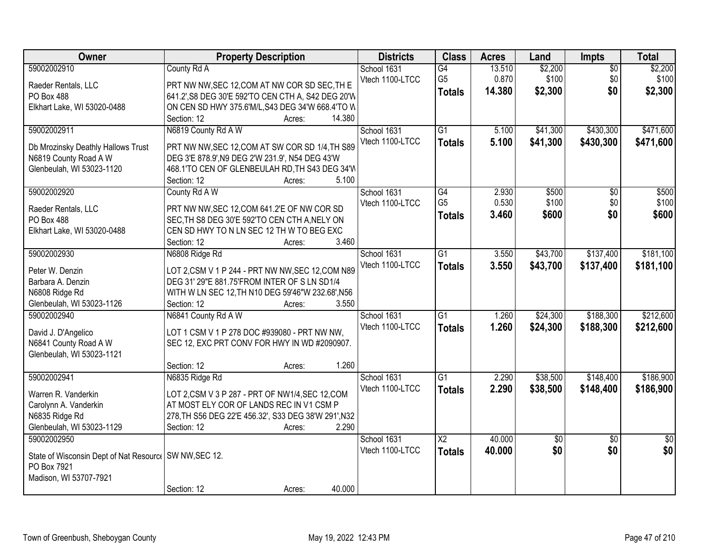| Owner                                                                  | <b>Property Description</b>                          | <b>Districts</b> | <b>Class</b>             | <b>Acres</b> | Land     | Impts           | <b>Total</b>    |
|------------------------------------------------------------------------|------------------------------------------------------|------------------|--------------------------|--------------|----------|-----------------|-----------------|
| 59002002910                                                            | County Rd A                                          | School 1631      | G4                       | 13.510       | \$2,200  | $\overline{50}$ | \$2,200         |
| Raeder Rentals, LLC                                                    | PRT NW NW, SEC 12, COM AT NW COR SD SEC, TH E        | Vtech 1100-LTCC  | G <sub>5</sub>           | 0.870        | \$100    | \$0             | \$100           |
| PO Box 488                                                             | 641.2', S8 DEG 30'E 592'TO CEN CTH A, S42 DEG 20'W   |                  | <b>Totals</b>            | 14.380       | \$2,300  | \$0             | \$2,300         |
| Elkhart Lake, WI 53020-0488                                            | ON CEN SD HWY 375.6'M/L, S43 DEG 34'W 668.4'TO W     |                  |                          |              |          |                 |                 |
|                                                                        | 14.380<br>Section: 12<br>Acres:                      |                  |                          |              |          |                 |                 |
| 59002002911                                                            | N6819 County Rd A W                                  | School 1631      | $\overline{G1}$          | 5.100        | \$41,300 | \$430,300       | \$471,600       |
|                                                                        |                                                      | Vtech 1100-LTCC  | <b>Totals</b>            | 5.100        | \$41,300 | \$430,300       | \$471,600       |
| Db Mrozinsky Deathly Hallows Trust                                     | PRT NW NW, SEC 12, COM AT SW COR SD 1/4, TH S89      |                  |                          |              |          |                 |                 |
| N6819 County Road A W                                                  | DEG 3'E 878.9', N9 DEG 2'W 231.9', N54 DEG 43'W      |                  |                          |              |          |                 |                 |
| Glenbeulah, WI 53023-1120                                              | 468.1'TO CEN OF GLENBEULAH RD, TH S43 DEG 34'W       |                  |                          |              |          |                 |                 |
|                                                                        | 5.100<br>Section: 12<br>Acres:                       |                  |                          |              |          |                 |                 |
| 59002002920                                                            | County Rd A W                                        | School 1631      | $\overline{G4}$          | 2.930        | \$500    | $\overline{50}$ | \$500           |
| Raeder Rentals, LLC                                                    | PRT NW NW, SEC 12, COM 641.2'E OF NW COR SD          | Vtech 1100-LTCC  | G <sub>5</sub>           | 0.530        | \$100    | \$0             | \$100           |
| PO Box 488                                                             | SEC, TH S8 DEG 30'E 592'TO CEN CTH A, NELY ON        |                  | <b>Totals</b>            | 3.460        | \$600    | \$0             | \$600           |
| Elkhart Lake, WI 53020-0488                                            | CEN SD HWY TO N LN SEC 12 TH W TO BEG EXC            |                  |                          |              |          |                 |                 |
|                                                                        | 3.460<br>Section: 12<br>Acres:                       |                  |                          |              |          |                 |                 |
| 59002002930                                                            | N6808 Ridge Rd                                       | School 1631      | $\overline{G1}$          | 3.550        | \$43,700 | \$137,400       | \$181,100       |
| Peter W. Denzin                                                        | LOT 2,CSM V 1 P 244 - PRT NW NW, SEC 12, COM N89     | Vtech 1100-LTCC  | <b>Totals</b>            | 3.550        | \$43,700 | \$137,400       | \$181,100       |
| Barbara A. Denzin                                                      | DEG 31' 29"E 881.75'FROM INTER OF S LN SD1/4         |                  |                          |              |          |                 |                 |
| N6808 Ridge Rd                                                         | WITH W LN SEC 12, TH N10 DEG 59'46"W 232.68', N56    |                  |                          |              |          |                 |                 |
| Glenbeulah, WI 53023-1126                                              | 3.550<br>Section: 12<br>Acres:                       |                  |                          |              |          |                 |                 |
| 59002002940                                                            | N6841 County Rd A W                                  | School 1631      | $\overline{G1}$          | 1.260        | \$24,300 | \$188,300       | \$212,600       |
|                                                                        |                                                      | Vtech 1100-LTCC  | <b>Totals</b>            | 1.260        | \$24,300 | \$188,300       | \$212,600       |
| David J. D'Angelico                                                    | LOT 1 CSM V 1 P 278 DOC #939080 - PRT NW NW,         |                  |                          |              |          |                 |                 |
| N6841 County Road A W                                                  | SEC 12, EXC PRT CONV FOR HWY IN WD #2090907.         |                  |                          |              |          |                 |                 |
| Glenbeulah, WI 53023-1121                                              |                                                      |                  |                          |              |          |                 |                 |
|                                                                        | 1.260<br>Section: 12<br>Acres:                       |                  |                          |              |          |                 |                 |
| 59002002941                                                            | N6835 Ridge Rd                                       | School 1631      | G1                       | 2.290        | \$38,500 | \$148,400       | \$186,900       |
| Warren R. Vanderkin                                                    | LOT 2,CSM V 3 P 287 - PRT OF NW1/4,SEC 12,COM        | Vtech 1100-LTCC  | <b>Totals</b>            | 2.290        | \$38,500 | \$148,400       | \$186,900       |
| Carolynn A. Vanderkin                                                  | AT MOST ELY COR OF LANDS REC IN V1 CSM P             |                  |                          |              |          |                 |                 |
| N6835 Ridge Rd                                                         | 278, TH S56 DEG 22'E 456.32', S33 DEG 38'W 291', N32 |                  |                          |              |          |                 |                 |
| Glenbeulah, WI 53023-1129                                              | Section: 12<br>2.290<br>Acres:                       |                  |                          |              |          |                 |                 |
| 59002002950                                                            |                                                      | School 1631      | $\overline{\mathsf{X2}}$ | 40.000       | \$0      | $\overline{50}$ | $\overline{50}$ |
|                                                                        |                                                      | Vtech 1100-LTCC  | <b>Totals</b>            | 40.000       | \$0      | \$0             | \$0             |
| State of Wisconsin Dept of Nat Resourc   SW NW, SEC 12.<br>PO Box 7921 |                                                      |                  |                          |              |          |                 |                 |
| Madison, WI 53707-7921                                                 |                                                      |                  |                          |              |          |                 |                 |
|                                                                        | 40.000<br>Section: 12<br>Acres:                      |                  |                          |              |          |                 |                 |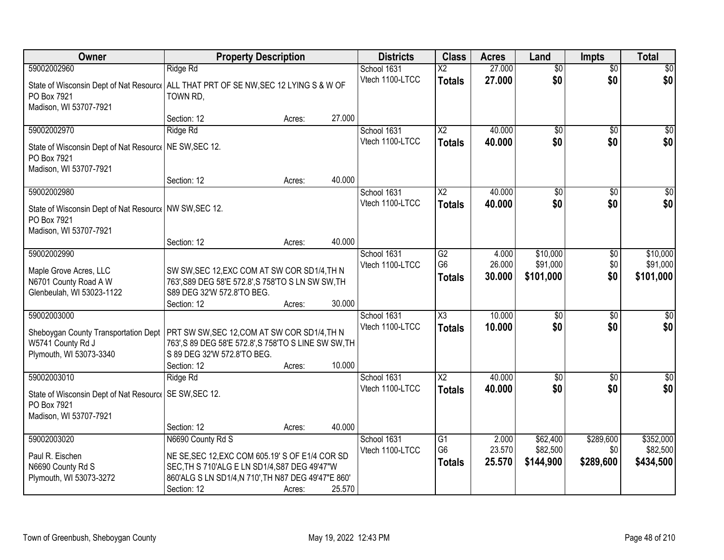| Owner                                                                                                                          | <b>Property Description</b>                                                                                                                                            |        |        | <b>Districts</b>               | <b>Class</b>                          | <b>Acres</b>              | Land                              | <b>Impts</b>                | <b>Total</b>                      |
|--------------------------------------------------------------------------------------------------------------------------------|------------------------------------------------------------------------------------------------------------------------------------------------------------------------|--------|--------|--------------------------------|---------------------------------------|---------------------------|-----------------------------------|-----------------------------|-----------------------------------|
| 59002002960                                                                                                                    | Ridge Rd                                                                                                                                                               |        |        | School 1631                    | X2                                    | 27.000                    | $\overline{50}$                   | $\overline{50}$             | $\overline{30}$                   |
| State of Wisconsin Dept of Nat Resourc   ALL THAT PRT OF SE NW, SEC 12 LYING S & W OF<br>PO Box 7921<br>Madison, WI 53707-7921 | TOWN RD,                                                                                                                                                               |        |        | Vtech 1100-LTCC                | <b>Totals</b>                         | 27.000                    | \$0                               | \$0                         | \$0                               |
|                                                                                                                                | Section: 12                                                                                                                                                            | Acres: | 27.000 |                                |                                       |                           |                                   |                             |                                   |
| 59002002970                                                                                                                    | Ridge Rd                                                                                                                                                               |        |        | School 1631                    | $\overline{\text{X2}}$                | 40.000                    | $\overline{50}$                   | $\overline{50}$             | \$0                               |
| State of Wisconsin Dept of Nat Resource<br>PO Box 7921<br>Madison, WI 53707-7921                                               | NE SW, SEC 12.                                                                                                                                                         |        |        | Vtech 1100-LTCC                | <b>Totals</b>                         | 40.000                    | \$0                               | \$0                         | \$0                               |
|                                                                                                                                | Section: 12                                                                                                                                                            | Acres: | 40.000 |                                |                                       |                           |                                   |                             |                                   |
| 59002002980                                                                                                                    |                                                                                                                                                                        |        |        | School 1631                    | $\overline{\text{X2}}$                | 40.000                    | $\overline{50}$                   | \$0                         | $\overline{50}$                   |
| State of Wisconsin Dept of Nat Resourc   NW SW, SEC 12.<br>PO Box 7921<br>Madison, WI 53707-7921                               |                                                                                                                                                                        |        |        | Vtech 1100-LTCC                | <b>Totals</b>                         | 40.000                    | \$0                               | \$0                         | \$0                               |
|                                                                                                                                | Section: 12                                                                                                                                                            | Acres: | 40.000 |                                |                                       |                           |                                   |                             |                                   |
| 59002002990<br>Maple Grove Acres, LLC<br>N6701 County Road A W<br>Glenbeulah, WI 53023-1122                                    | SW SW, SEC 12, EXC COM AT SW COR SD1/4, TH N<br>763', S89 DEG 58'E 572.8', S 758'TO S LN SW SW, TH<br>S89 DEG 32'W 572.8'TO BEG.<br>Section: 12                        | Acres: | 30.000 | School 1631<br>Vtech 1100-LTCC | G2<br>G <sub>6</sub><br><b>Totals</b> | 4.000<br>26.000<br>30.000 | \$10,000<br>\$91,000<br>\$101,000 | $\sqrt[6]{3}$<br>\$0<br>\$0 | \$10,000<br>\$91,000<br>\$101,000 |
| 59002003000                                                                                                                    |                                                                                                                                                                        |        |        | School 1631                    | $\overline{\chi_3}$                   | 10.000                    | $\overline{50}$                   | $\overline{30}$             | $\overline{30}$                   |
| Sheboygan County Transportation Dept<br>W5741 County Rd J<br>Plymouth, WI 53073-3340                                           | PRT SW SW, SEC 12, COM AT SW COR SD1/4, TH N<br>763', S 89 DEG 58'E 572.8', S 758'TO S LINE SW SW, TH<br>S 89 DEG 32'W 572.8'TO BEG.<br>Section: 12                    | Acres: | 10.000 | Vtech 1100-LTCC                | <b>Totals</b>                         | 10,000                    | \$0                               | \$0                         | \$0                               |
| 59002003010                                                                                                                    | Ridge Rd                                                                                                                                                               |        |        | School 1631                    | $\overline{X2}$                       | 40.000                    | $\overline{50}$                   | $\overline{50}$             | $\overline{\$0}$                  |
| State of Wisconsin Dept of Nat Resourc   SE SW, SEC 12.<br>PO Box 7921<br>Madison, WI 53707-7921                               | Section: 12                                                                                                                                                            | Acres: | 40.000 | Vtech 1100-LTCC                | <b>Totals</b>                         | 40.000                    | \$0                               | \$0                         | \$0                               |
| 59002003020                                                                                                                    | N6690 County Rd S                                                                                                                                                      |        |        | School 1631                    | G1                                    | 2.000                     | \$62,400                          | \$289,600                   | \$352,000                         |
| Paul R. Eischen<br>N6690 County Rd S<br>Plymouth, WI 53073-3272                                                                | NE SE, SEC 12, EXC COM 605.19' S OF E1/4 COR SD<br>SEC, TH S 710'ALG E LN SD1/4, S87 DEG 49'47"W<br>860'ALG S LN SD1/4, N 710', TH N87 DEG 49'47"E 860'<br>Section: 12 | Acres: | 25.570 | Vtech 1100-LTCC                | G <sub>6</sub><br><b>Totals</b>       | 23.570<br>25.570          | \$82,500<br>\$144,900             | \$0<br>\$289,600            | \$82,500<br>\$434,500             |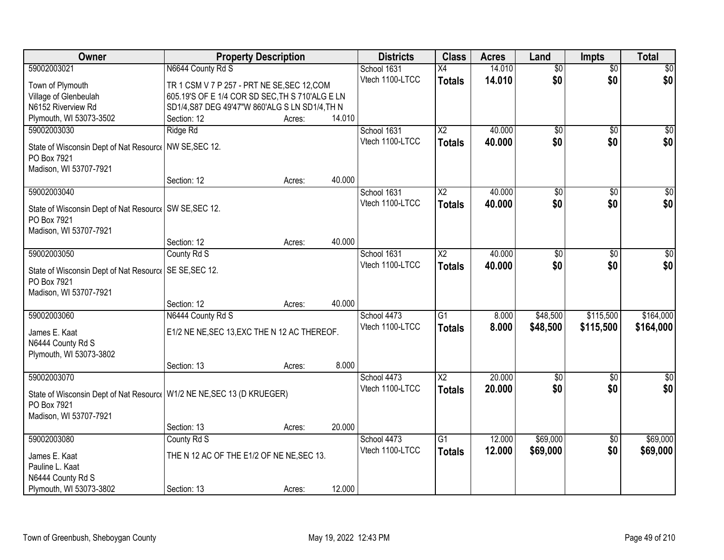| Owner                                                                   | <b>Property Description</b>                     |        |        | <b>Districts</b> | <b>Class</b>           | <b>Acres</b> | Land            | <b>Impts</b>    | <b>Total</b>     |
|-------------------------------------------------------------------------|-------------------------------------------------|--------|--------|------------------|------------------------|--------------|-----------------|-----------------|------------------|
| 59002003021                                                             | N6644 County Rd S                               |        |        | School 1631      | X4                     | 14.010       | $\overline{50}$ | $\overline{50}$ | \$0              |
| Town of Plymouth                                                        | TR 1 CSM V 7 P 257 - PRT NE SE, SEC 12, COM     |        |        | Vtech 1100-LTCC  | <b>Totals</b>          | 14.010       | \$0             | \$0             | \$0              |
| Village of Glenbeulah                                                   | 605.19'S OF E 1/4 COR SD SEC, TH S 710'ALG E LN |        |        |                  |                        |              |                 |                 |                  |
| N6152 Riverview Rd                                                      | SD1/4, S87 DEG 49'47"W 860'ALG S LN SD1/4, TH N |        |        |                  |                        |              |                 |                 |                  |
| Plymouth, WI 53073-3502                                                 | Section: 12                                     | Acres: | 14.010 |                  |                        |              |                 |                 |                  |
| 59002003030                                                             | Ridge Rd                                        |        |        | School 1631      | $\overline{X2}$        | 40.000       | $\overline{50}$ | $\overline{50}$ | \$0              |
| State of Wisconsin Dept of Nat Resource                                 | NW SE, SEC 12.                                  |        |        | Vtech 1100-LTCC  | <b>Totals</b>          | 40.000       | \$0             | \$0             | \$0              |
| PO Box 7921                                                             |                                                 |        |        |                  |                        |              |                 |                 |                  |
| Madison, WI 53707-7921                                                  |                                                 |        |        |                  |                        |              |                 |                 |                  |
|                                                                         | Section: 12                                     | Acres: | 40.000 |                  |                        |              |                 |                 |                  |
| 59002003040                                                             |                                                 |        |        | School 1631      | X <sub>2</sub>         | 40.000       | \$0             | \$0             | $\overline{50}$  |
|                                                                         |                                                 |        |        | Vtech 1100-LTCC  | <b>Totals</b>          | 40.000       | \$0             | \$0             | \$0              |
| State of Wisconsin Dept of Nat Resourc   SW SE, SEC 12.<br>PO Box 7921  |                                                 |        |        |                  |                        |              |                 |                 |                  |
| Madison, WI 53707-7921                                                  |                                                 |        |        |                  |                        |              |                 |                 |                  |
|                                                                         | Section: 12                                     | Acres: | 40.000 |                  |                        |              |                 |                 |                  |
| 59002003050                                                             | County Rd S                                     |        |        | School 1631      | X <sub>2</sub>         | 40.000       | \$0             | $\sqrt{6}$      | $\sqrt{50}$      |
|                                                                         |                                                 |        |        | Vtech 1100-LTCC  | <b>Totals</b>          | 40.000       | \$0             | \$0             | \$0              |
| State of Wisconsin Dept of Nat Resourc   SE SE, SEC 12.                 |                                                 |        |        |                  |                        |              |                 |                 |                  |
| PO Box 7921                                                             |                                                 |        |        |                  |                        |              |                 |                 |                  |
| Madison, WI 53707-7921                                                  | Section: 12                                     |        | 40.000 |                  |                        |              |                 |                 |                  |
| 59002003060                                                             | N6444 County Rd S                               | Acres: |        | School 4473      | $\overline{G1}$        | 8.000        | \$48,500        | \$115,500       | \$164,000        |
|                                                                         |                                                 |        |        | Vtech 1100-LTCC  | <b>Totals</b>          | 8.000        | \$48,500        | \$115,500       | \$164,000        |
| James E. Kaat                                                           | E1/2 NE NE, SEC 13, EXC THE N 12 AC THEREOF.    |        |        |                  |                        |              |                 |                 |                  |
| N6444 County Rd S                                                       |                                                 |        |        |                  |                        |              |                 |                 |                  |
| Plymouth, WI 53073-3802                                                 |                                                 |        |        |                  |                        |              |                 |                 |                  |
|                                                                         | Section: 13                                     | Acres: | 8.000  |                  |                        |              |                 |                 |                  |
| 59002003070                                                             |                                                 |        |        | School 4473      | $\overline{\text{X2}}$ | 20.000       | $\overline{50}$ | $\overline{50}$ | $\overline{\$0}$ |
| State of Wisconsin Dept of Nat Resourc   W1/2 NE NE, SEC 13 (D KRUEGER) |                                                 |        |        | Vtech 1100-LTCC  | <b>Totals</b>          | 20.000       | \$0             | \$0             | \$0              |
| PO Box 7921                                                             |                                                 |        |        |                  |                        |              |                 |                 |                  |
| Madison, WI 53707-7921                                                  |                                                 |        |        |                  |                        |              |                 |                 |                  |
|                                                                         | Section: 13                                     | Acres: | 20.000 |                  |                        |              |                 |                 |                  |
| 59002003080                                                             | County Rd S                                     |        |        | School 4473      | $\overline{G1}$        | 12.000       | \$69,000        | $\overline{60}$ | \$69,000         |
| James E. Kaat                                                           | THE N 12 AC OF THE E1/2 OF NE NE, SEC 13.       |        |        | Vtech 1100-LTCC  | <b>Totals</b>          | 12.000       | \$69,000        | \$0             | \$69,000         |
| Pauline L. Kaat                                                         |                                                 |        |        |                  |                        |              |                 |                 |                  |
| N6444 County Rd S                                                       |                                                 |        |        |                  |                        |              |                 |                 |                  |
| Plymouth, WI 53073-3802                                                 | Section: 13                                     | Acres: | 12.000 |                  |                        |              |                 |                 |                  |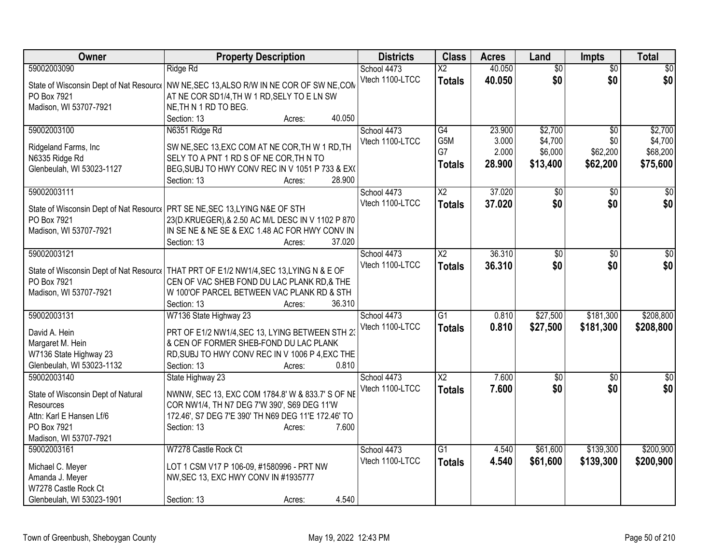| Owner                                       | <b>Property Description</b>                                                                | <b>Districts</b> | <b>Class</b>           | <b>Acres</b> | Land            | <b>Impts</b>    | <b>Total</b>    |
|---------------------------------------------|--------------------------------------------------------------------------------------------|------------------|------------------------|--------------|-----------------|-----------------|-----------------|
| 59002003090                                 | Ridge Rd                                                                                   | School 4473      | $\overline{X2}$        | 40.050       | $\overline{50}$ | $\overline{50}$ | \$0             |
|                                             | State of Wisconsin Dept of Nat Resource NW NE, SEC 13, ALSO R/W IN NE COR OF SW NE, COM    | Vtech 1100-LTCC  | <b>Totals</b>          | 40.050       | \$0             | \$0             | \$0             |
| PO Box 7921                                 | AT NE COR SD1/4, TH W 1 RD, SELY TO E LN SW                                                |                  |                        |              |                 |                 |                 |
| Madison, WI 53707-7921                      | NE, TH N 1 RD TO BEG.                                                                      |                  |                        |              |                 |                 |                 |
|                                             | 40.050<br>Section: 13<br>Acres:                                                            |                  |                        |              |                 |                 |                 |
| 59002003100                                 | N6351 Ridge Rd                                                                             | School 4473      | G4                     | 23.900       | \$2,700         | $\overline{30}$ | \$2,700         |
|                                             |                                                                                            | Vtech 1100-LTCC  | G5M                    | 3.000        | \$4,700         | \$0             | \$4,700         |
| Ridgeland Farms, Inc.                       | SW NE, SEC 13, EXC COM AT NE COR, TH W 1 RD, TH                                            |                  | G7                     | 2.000        | \$6,000         | \$62,200        | \$68,200        |
| N6335 Ridge Rd<br>Glenbeulah, WI 53023-1127 | SELY TO A PNT 1 RD S OF NE COR, TH N TO<br>BEG, SUBJ TO HWY CONV REC IN V 1051 P 733 & EX( |                  | <b>Totals</b>          | 28.900       | \$13,400        | \$62,200        | \$75,600        |
|                                             | 28.900<br>Section: 13<br>Acres:                                                            |                  |                        |              |                 |                 |                 |
| 59002003111                                 |                                                                                            | School 4473      | $\overline{X2}$        | 37.020       | $\overline{50}$ | \$0             | $\sqrt{50}$     |
|                                             |                                                                                            | Vtech 1100-LTCC  | <b>Totals</b>          | 37.020       | \$0             | \$0             | \$0             |
|                                             | State of Wisconsin Dept of Nat Resourc   PRT SE NE, SEC 13, LYING N&E OF STH               |                  |                        |              |                 |                 |                 |
| PO Box 7921                                 | 23(D.KRUEGER), & 2.50 AC M/L DESC IN V 1102 P 870                                          |                  |                        |              |                 |                 |                 |
| Madison, WI 53707-7921                      | IN SE NE & NE SE & EXC 1.48 AC FOR HWY CONV IN                                             |                  |                        |              |                 |                 |                 |
|                                             | Section: 13<br>37.020<br>Acres:                                                            |                  |                        |              |                 |                 |                 |
| 59002003121                                 |                                                                                            | School 4473      | $\overline{\text{X2}}$ | 36.310       | $\overline{50}$ | \$0             | $\overline{30}$ |
| State of Wisconsin Dept of Nat Resource     | THAT PRT OF E1/2 NW1/4,SEC 13,LYING N & E OF                                               | Vtech 1100-LTCC  | <b>Totals</b>          | 36.310       | \$0             | \$0             | \$0             |
| PO Box 7921                                 | CEN OF VAC SHEB FOND DU LAC PLANK RD,& THE                                                 |                  |                        |              |                 |                 |                 |
| Madison, WI 53707-7921                      | W 100'OF PARCEL BETWEEN VAC PLANK RD & STH                                                 |                  |                        |              |                 |                 |                 |
|                                             | 36.310<br>Section: 13<br>Acres:                                                            |                  |                        |              |                 |                 |                 |
| 59002003131                                 | W7136 State Highway 23                                                                     | School 4473      | $\overline{G1}$        | 0.810        | \$27,500        | \$181,300       | \$208,800       |
|                                             |                                                                                            | Vtech 1100-LTCC  | <b>Totals</b>          | 0.810        | \$27,500        | \$181,300       | \$208,800       |
| David A. Hein                               | PRT OF E1/2 NW1/4, SEC 13, LYING BETWEEN STH 23                                            |                  |                        |              |                 |                 |                 |
| Margaret M. Hein                            | & CEN OF FORMER SHEB-FOND DU LAC PLANK                                                     |                  |                        |              |                 |                 |                 |
| W7136 State Highway 23                      | RD, SUBJ TO HWY CONV REC IN V 1006 P 4, EXC THE<br>0.810                                   |                  |                        |              |                 |                 |                 |
| Glenbeulah, WI 53023-1132                   | Section: 13<br>Acres:                                                                      |                  | $\overline{X2}$        |              |                 |                 |                 |
| 59002003140                                 | State Highway 23                                                                           | School 4473      |                        | 7.600        | $\overline{50}$ | $\overline{50}$ | $\overline{30}$ |
| State of Wisconsin Dept of Natural          | NWNW, SEC 13, EXC COM 1784.8' W & 833.7' S OF NE                                           | Vtech 1100-LTCC  | <b>Totals</b>          | 7.600        | \$0             | \$0             | \$0             |
| Resources                                   | COR NW1/4, TH N7 DEG 7'W 390', S69 DEG 11'W                                                |                  |                        |              |                 |                 |                 |
| Attn: Karl E Hansen Lf/6                    | 172.46', S7 DEG 7'E 390' TH N69 DEG 11'E 172.46' TO                                        |                  |                        |              |                 |                 |                 |
| PO Box 7921                                 | 7.600<br>Section: 13<br>Acres:                                                             |                  |                        |              |                 |                 |                 |
| Madison, WI 53707-7921                      |                                                                                            |                  |                        |              |                 |                 |                 |
| 59002003161                                 | W7278 Castle Rock Ct                                                                       | School 4473      | $\overline{G1}$        | 4.540        | \$61,600        | \$139,300       | \$200,900       |
| Michael C. Meyer                            | LOT 1 CSM V17 P 106-09, #1580996 - PRT NW                                                  | Vtech 1100-LTCC  | <b>Totals</b>          | 4.540        | \$61,600        | \$139,300       | \$200,900       |
| Amanda J. Meyer                             | NW, SEC 13, EXC HWY CONV IN #1935777                                                       |                  |                        |              |                 |                 |                 |
| W7278 Castle Rock Ct                        |                                                                                            |                  |                        |              |                 |                 |                 |
| Glenbeulah, WI 53023-1901                   | 4.540<br>Section: 13<br>Acres:                                                             |                  |                        |              |                 |                 |                 |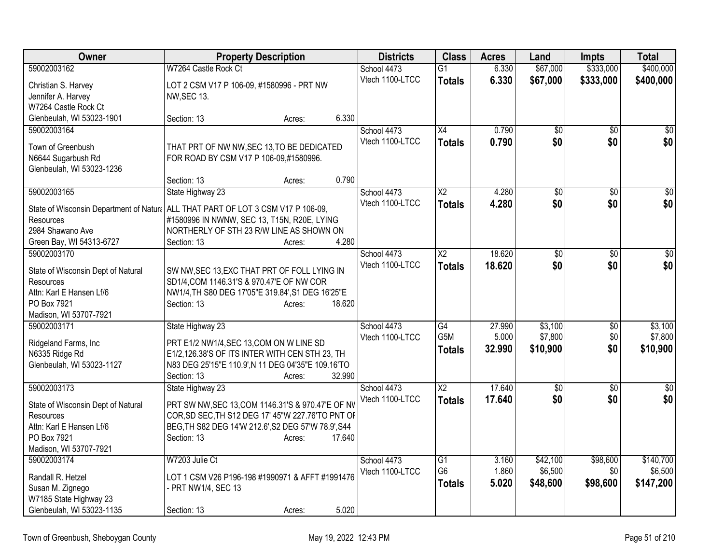| Owner                                                                            |                                                     | <b>Property Description</b> |        | <b>Districts</b> | <b>Class</b>           | <b>Acres</b> | Land            | <b>Impts</b>    | <b>Total</b>     |
|----------------------------------------------------------------------------------|-----------------------------------------------------|-----------------------------|--------|------------------|------------------------|--------------|-----------------|-----------------|------------------|
| 59002003162                                                                      | W7264 Castle Rock Ct                                |                             |        | School 4473      | $\overline{G1}$        | 6.330        | \$67,000        | \$333,000       | \$400,000        |
| Christian S. Harvey                                                              | LOT 2 CSM V17 P 106-09, #1580996 - PRT NW           |                             |        | Vtech 1100-LTCC  | <b>Totals</b>          | 6.330        | \$67,000        | \$333,000       | \$400,000        |
| Jennifer A. Harvey                                                               | <b>NW, SEC 13.</b>                                  |                             |        |                  |                        |              |                 |                 |                  |
| W7264 Castle Rock Ct                                                             |                                                     |                             |        |                  |                        |              |                 |                 |                  |
| Glenbeulah, WI 53023-1901                                                        | Section: 13                                         | Acres:                      | 6.330  |                  |                        |              |                 |                 |                  |
| 59002003164                                                                      |                                                     |                             |        | School 4473      | X4                     | 0.790        | \$0             | \$0             | $\overline{50}$  |
| Town of Greenbush                                                                | THAT PRT OF NW NW, SEC 13, TO BE DEDICATED          |                             |        | Vtech 1100-LTCC  | <b>Totals</b>          | 0.790        | \$0             | \$0             | \$0              |
| N6644 Sugarbush Rd                                                               | FOR ROAD BY CSM V17 P 106-09,#1580996.              |                             |        |                  |                        |              |                 |                 |                  |
| Glenbeulah, WI 53023-1236                                                        |                                                     |                             |        |                  |                        |              |                 |                 |                  |
|                                                                                  | Section: 13                                         | Acres:                      | 0.790  |                  |                        |              |                 |                 |                  |
| 59002003165                                                                      | State Highway 23                                    |                             |        | School 4473      | $\overline{X2}$        | 4.280        | $\overline{60}$ | $\overline{50}$ | $\overline{\$0}$ |
| State of Wisconsin Department of Natur: ALL THAT PART OF LOT 3 CSM V17 P 106-09, |                                                     |                             |        | Vtech 1100-LTCC  | <b>Totals</b>          | 4.280        | \$0             | \$0             | \$0              |
| Resources                                                                        | #1580996 IN NWNW, SEC 13, T15N, R20E, LYING         |                             |        |                  |                        |              |                 |                 |                  |
| 2984 Shawano Ave                                                                 | NORTHERLY OF STH 23 R/W LINE AS SHOWN ON            |                             |        |                  |                        |              |                 |                 |                  |
| Green Bay, WI 54313-6727                                                         | Section: 13                                         | Acres:                      | 4.280  |                  |                        |              |                 |                 |                  |
| 59002003170                                                                      |                                                     |                             |        | School 4473      | $\overline{\text{X2}}$ | 18.620       | $\overline{50}$ | $\overline{50}$ | $\sqrt{50}$      |
| State of Wisconsin Dept of Natural                                               | SW NW, SEC 13, EXC THAT PRT OF FOLL LYING IN        |                             |        | Vtech 1100-LTCC  | <b>Totals</b>          | 18.620       | \$0             | \$0             | \$0              |
| Resources                                                                        | SD1/4, COM 1146.31'S & 970.47'E OF NW COR           |                             |        |                  |                        |              |                 |                 |                  |
| Attn: Karl E Hansen Lf/6                                                         | NW1/4, TH S80 DEG 17'05"E 319.84', S1 DEG 16'25"E   |                             |        |                  |                        |              |                 |                 |                  |
| PO Box 7921                                                                      | Section: 13                                         | Acres:                      | 18.620 |                  |                        |              |                 |                 |                  |
| Madison, WI 53707-7921                                                           |                                                     |                             |        |                  |                        |              |                 |                 |                  |
| 59002003171                                                                      | State Highway 23                                    |                             |        | School 4473      | G4                     | 27.990       | \$3,100         | \$0             | \$3,100          |
| Ridgeland Farms, Inc                                                             | PRT E1/2 NW1/4, SEC 13, COM ON W LINE SD            |                             |        | Vtech 1100-LTCC  | G <sub>5</sub> M       | 5.000        | \$7,800         | \$0             | \$7,800          |
| N6335 Ridge Rd                                                                   | E1/2,126.38'S OF ITS INTER WITH CEN STH 23, TH      |                             |        |                  | <b>Totals</b>          | 32.990       | \$10,900        | \$0             | \$10,900         |
| Glenbeulah, WI 53023-1127                                                        | N83 DEG 25'15"E 110.9', N 11 DEG 04'35"E 109.16'TO  |                             |        |                  |                        |              |                 |                 |                  |
|                                                                                  | Section: 13                                         | Acres:                      | 32.990 |                  |                        |              |                 |                 |                  |
| 59002003173                                                                      | State Highway 23                                    |                             |        | School 4473      | $\overline{X2}$        | 17.640       | $\sqrt{6}$      | \$0             | $\sqrt{$0]}$     |
| State of Wisconsin Dept of Natural                                               | PRT SW NW, SEC 13, COM 1146.31'S & 970.47'E OF NV   |                             |        | Vtech 1100-LTCC  | <b>Totals</b>          | 17.640       | \$0             | \$0             | \$0              |
| Resources                                                                        | COR, SD SEC, TH S12 DEG 17' 45"W 227.76'TO PNT OF   |                             |        |                  |                        |              |                 |                 |                  |
| Attn: Karl E Hansen Lf/6                                                         | BEG, TH S82 DEG 14'W 212.6', S2 DEG 57'W 78.9', S44 |                             |        |                  |                        |              |                 |                 |                  |
| PO Box 7921                                                                      | Section: 13                                         | Acres:                      | 17.640 |                  |                        |              |                 |                 |                  |
| Madison, WI 53707-7921                                                           |                                                     |                             |        |                  |                        |              |                 |                 |                  |
| 59002003174                                                                      | W7203 Julie Ct                                      |                             |        | School 4473      | $\overline{G1}$        | 3.160        | \$42,100        | \$98,600        | \$140,700        |
| Randall R. Hetzel                                                                | LOT 1 CSM V26 P196-198 #1990971 & AFFT #1991476     |                             |        | Vtech 1100-LTCC  | G <sub>6</sub>         | 1.860        | \$6,500         | \$0             | \$6,500          |
| Susan M. Zignego                                                                 | - PRT NW1/4, SEC 13                                 |                             |        |                  | <b>Totals</b>          | 5.020        | \$48,600        | \$98,600        | \$147,200        |
| W7185 State Highway 23                                                           |                                                     |                             |        |                  |                        |              |                 |                 |                  |
| Glenbeulah, WI 53023-1135                                                        | Section: 13                                         | Acres:                      | 5.020  |                  |                        |              |                 |                 |                  |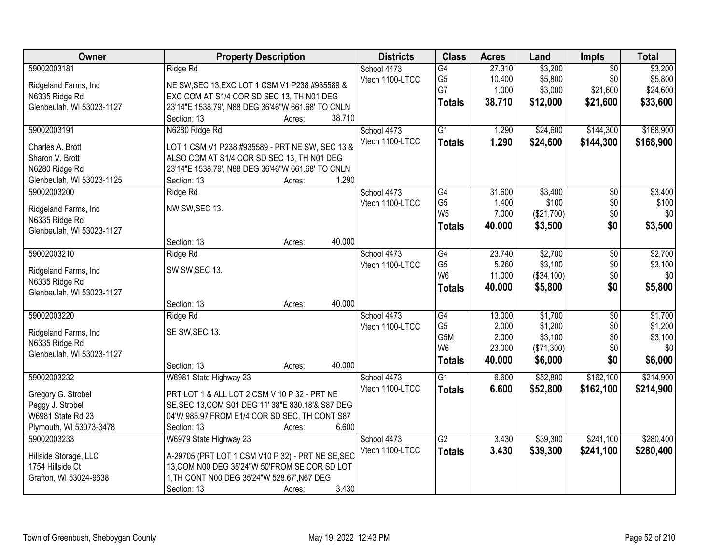| Owner                     | <b>Property Description</b>                       | <b>Districts</b> | <b>Class</b>    | <b>Acres</b> | Land       | <b>Impts</b>    | <b>Total</b> |
|---------------------------|---------------------------------------------------|------------------|-----------------|--------------|------------|-----------------|--------------|
| 59002003181               | Ridge Rd                                          | School 4473      | $\overline{G4}$ | 27.310       | \$3,200    | $\overline{50}$ | \$3,200      |
| Ridgeland Farms, Inc.     | NE SW, SEC 13, EXC LOT 1 CSM V1 P238 #935589 &    | Vtech 1100-LTCC  | G <sub>5</sub>  | 10.400       | \$5,800    | \$0             | \$5,800      |
| N6335 Ridge Rd            | EXC COM AT S1/4 COR SD SEC 13, TH N01 DEG         |                  | G7              | 1.000        | \$3,000    | \$21,600        | \$24,600     |
| Glenbeulah, WI 53023-1127 | 23'14"E 1538.79', N88 DEG 36'46"W 661.68' TO CNLN |                  | <b>Totals</b>   | 38.710       | \$12,000   | \$21,600        | \$33,600     |
|                           | 38.710<br>Section: 13<br>Acres:                   |                  |                 |              |            |                 |              |
| 59002003191               |                                                   |                  | $\overline{G1}$ | 1.290        |            | \$144,300       | \$168,900    |
|                           | N6280 Ridge Rd                                    | School 4473      |                 |              | \$24,600   |                 |              |
| Charles A. Brott          | LOT 1 CSM V1 P238 #935589 - PRT NE SW, SEC 13 &   | Vtech 1100-LTCC  | <b>Totals</b>   | 1.290        | \$24,600   | \$144,300       | \$168,900    |
| Sharon V. Brott           | ALSO COM AT S1/4 COR SD SEC 13, TH N01 DEG        |                  |                 |              |            |                 |              |
| N6280 Ridge Rd            | 23'14"E 1538.79', N88 DEG 36'46"W 661.68' TO CNLN |                  |                 |              |            |                 |              |
| Glenbeulah, WI 53023-1125 | 1.290<br>Section: 13<br>Acres:                    |                  |                 |              |            |                 |              |
| 59002003200               | Ridge Rd                                          | School 4473      | G4              | 31.600       | \$3,400    | $\overline{50}$ | \$3,400      |
|                           |                                                   | Vtech 1100-LTCC  | G <sub>5</sub>  | 1.400        | \$100      | \$0             | \$100        |
| Ridgeland Farms, Inc.     | NW SW, SEC 13.                                    |                  | W <sub>5</sub>  | 7.000        | (\$21,700) | \$0             | \$0          |
| N6335 Ridge Rd            |                                                   |                  | <b>Totals</b>   | 40.000       | \$3,500    | \$0             | \$3,500      |
| Glenbeulah, WI 53023-1127 |                                                   |                  |                 |              |            |                 |              |
|                           | 40.000<br>Section: 13<br>Acres:                   |                  |                 |              |            |                 |              |
| 59002003210               | Ridge Rd                                          | School 4473      | G4              | 23.740       | \$2,700    | \$0             | \$2,700      |
| Ridgeland Farms, Inc      | SW SW, SEC 13.                                    | Vtech 1100-LTCC  | G <sub>5</sub>  | 5.260        | \$3,100    | \$0             | \$3,100      |
| N6335 Ridge Rd            |                                                   |                  | W <sub>6</sub>  | 11.000       | (\$34,100) | \$0             | \$0          |
| Glenbeulah, WI 53023-1127 |                                                   |                  | <b>Totals</b>   | 40.000       | \$5,800    | \$0             | \$5,800      |
|                           | 40.000<br>Section: 13<br>Acres:                   |                  |                 |              |            |                 |              |
| 59002003220               | Ridge Rd                                          | School 4473      | G4              | 13.000       | \$1,700    | $\overline{30}$ | \$1,700      |
|                           |                                                   | Vtech 1100-LTCC  | G <sub>5</sub>  | 2.000        | \$1,200    | \$0             | \$1,200      |
| Ridgeland Farms, Inc      | SE SW, SEC 13.                                    |                  | G5M             | 2.000        | \$3,100    | \$0             | \$3,100      |
| N6335 Ridge Rd            |                                                   |                  | W <sub>6</sub>  | 23.000       | (\$71,300) | \$0             | \$0          |
| Glenbeulah, WI 53023-1127 |                                                   |                  | <b>Totals</b>   | 40.000       | \$6,000    | \$0             | \$6,000      |
|                           | 40.000<br>Section: 13<br>Acres:                   |                  |                 |              |            |                 |              |
| 59002003232               | W6981 State Highway 23                            | School 4473      | $\overline{G1}$ | 6.600        | \$52,800   | \$162,100       | \$214,900    |
| Gregory G. Strobel        | PRT LOT 1 & ALL LOT 2,CSM V 10 P 32 - PRT NE      | Vtech 1100-LTCC  | <b>Totals</b>   | 6.600        | \$52,800   | \$162,100       | \$214,900    |
| Peggy J. Strobel          | SE, SEC 13, COM S01 DEG 11' 38"E 830.18'& S87 DEG |                  |                 |              |            |                 |              |
| W6981 State Rd 23         | 04'W 985.97'FROM E1/4 COR SD SEC, TH CONT S87     |                  |                 |              |            |                 |              |
| Plymouth, WI 53073-3478   | 6.600<br>Section: 13<br>Acres:                    |                  |                 |              |            |                 |              |
| 59002003233               | W6979 State Highway 23                            | School 4473      | G2              | 3.430        | \$39,300   | \$241,100       | \$280,400    |
|                           |                                                   | Vtech 1100-LTCC  | <b>Totals</b>   | 3.430        | \$39,300   | \$241,100       | \$280,400    |
| Hillside Storage, LLC     | A-29705 (PRT LOT 1 CSM V10 P 32) - PRT NE SE, SEC |                  |                 |              |            |                 |              |
| 1754 Hillside Ct          | 13, COM N00 DEG 35'24"W 50'FROM SE COR SD LOT     |                  |                 |              |            |                 |              |
| Grafton, WI 53024-9638    | 1, TH CONT N00 DEG 35'24"W 528.67', N67 DEG       |                  |                 |              |            |                 |              |
|                           | 3.430<br>Section: 13<br>Acres:                    |                  |                 |              |            |                 |              |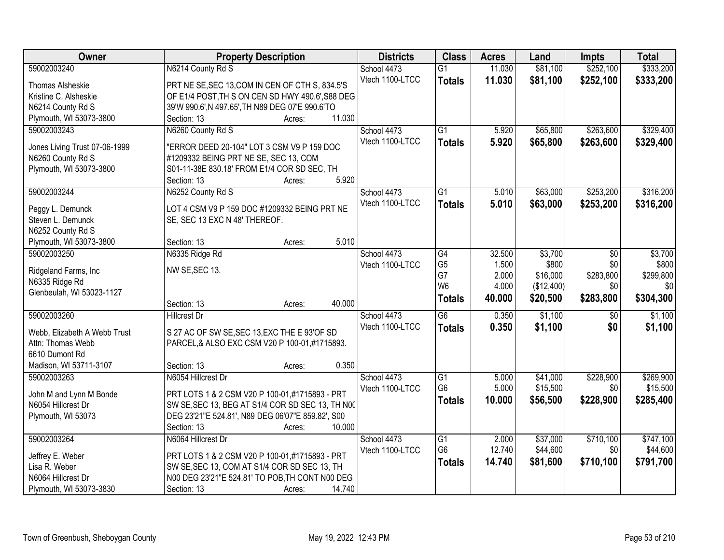| Owner                         | <b>Property Description</b>                          | <b>Districts</b> | <b>Class</b>    | <b>Acres</b> | Land       | <b>Impts</b>    | <b>Total</b> |
|-------------------------------|------------------------------------------------------|------------------|-----------------|--------------|------------|-----------------|--------------|
| 59002003240                   | N6214 County Rd S                                    | School 4473      | $\overline{G1}$ | 11.030       | \$81,100   | \$252,100       | \$333,200    |
| Thomas Alsheskie              | PRT NE SE, SEC 13, COM IN CEN OF CTH S, 834.5'S      | Vtech 1100-LTCC  | <b>Totals</b>   | 11.030       | \$81,100   | \$252,100       | \$333,200    |
| Kristine C. Alsheskie         | OF E1/4 POST, TH S ON CEN SD HWY 490.6', S88 DEG     |                  |                 |              |            |                 |              |
| N6214 County Rd S             | 39'W 990.6', N 497.65', TH N89 DEG 07'E 990.6'TO     |                  |                 |              |            |                 |              |
| Plymouth, WI 53073-3800       | 11.030<br>Section: 13<br>Acres:                      |                  |                 |              |            |                 |              |
| 59002003243                   | N6260 County Rd S                                    | School 4473      | $\overline{G1}$ | 5.920        | \$65,800   | \$263,600       | \$329,400    |
|                               |                                                      | Vtech 1100-LTCC  | <b>Totals</b>   | 5.920        | \$65,800   | \$263,600       | \$329,400    |
| Jones Living Trust 07-06-1999 | "ERROR DEED 20-104" LOT 3 CSM V9 P 159 DOC           |                  |                 |              |            |                 |              |
| N6260 County Rd S             | #1209332 BEING PRT NE SE, SEC 13, COM                |                  |                 |              |            |                 |              |
| Plymouth, WI 53073-3800       | S01-11-38E 830.18' FROM E1/4 COR SD SEC, TH<br>5.920 |                  |                 |              |            |                 |              |
|                               | Section: 13<br>Acres:                                |                  |                 |              |            |                 |              |
| 59002003244                   | N6252 County Rd S                                    | School 4473      | $\overline{G1}$ | 5.010        | \$63,000   | \$253,200       | \$316,200    |
| Peggy L. Demunck              | LOT 4 CSM V9 P 159 DOC #1209332 BEING PRT NE         | Vtech 1100-LTCC  | <b>Totals</b>   | 5.010        | \$63,000   | \$253,200       | \$316,200    |
| Steven L. Demunck             | SE, SEC 13 EXC N 48' THEREOF.                        |                  |                 |              |            |                 |              |
| N6252 County Rd S             |                                                      |                  |                 |              |            |                 |              |
| Plymouth, WI 53073-3800       | 5.010<br>Section: 13<br>Acres:                       |                  |                 |              |            |                 |              |
| 59002003250                   | N6335 Ridge Rd                                       | School 4473      | G4              | 32.500       | \$3,700    | \$0             | \$3,700      |
| Ridgeland Farms, Inc.         | NW SE, SEC 13.                                       | Vtech 1100-LTCC  | G <sub>5</sub>  | 1.500        | \$800      | \$0             | \$800        |
| N6335 Ridge Rd                |                                                      |                  | G7              | 2.000        | \$16,000   | \$283,800       | \$299,800    |
| Glenbeulah, WI 53023-1127     |                                                      |                  | W <sub>6</sub>  | 4.000        | (\$12,400) | \$0             | \$0          |
|                               | 40.000<br>Section: 13<br>Acres:                      |                  | <b>Totals</b>   | 40.000       | \$20,500   | \$283,800       | \$304,300    |
| 59002003260                   | <b>Hillcrest Dr</b>                                  | School 4473      | $\overline{G6}$ | 0.350        | \$1,100    | $\overline{50}$ | \$1,100      |
|                               |                                                      | Vtech 1100-LTCC  | <b>Totals</b>   | 0.350        | \$1,100    | \$0             | \$1,100      |
| Webb, Elizabeth A Webb Trust  | S 27 AC OF SW SE, SEC 13, EXC THE E 93'OF SD         |                  |                 |              |            |                 |              |
| Attn: Thomas Webb             | PARCEL, & ALSO EXC CSM V20 P 100-01, #1715893.       |                  |                 |              |            |                 |              |
| 6610 Dumont Rd                |                                                      |                  |                 |              |            |                 |              |
| Madison, WI 53711-3107        | 0.350<br>Section: 13<br>Acres:                       |                  |                 |              |            |                 |              |
| 59002003263                   | N6054 Hillcrest Dr                                   | School 4473      | $\overline{G1}$ | 5.000        | \$41,000   | \$228,900       | \$269,900    |
| John M and Lynn M Bonde       | PRT LOTS 1 & 2 CSM V20 P 100-01,#1715893 - PRT       | Vtech 1100-LTCC  | G <sub>6</sub>  | 5.000        | \$15,500   | \$0             | \$15,500     |
| N6054 Hillcrest Dr            | SW SE, SEC 13, BEG AT S1/4 COR SD SEC 13, TH NOC     |                  | <b>Totals</b>   | 10.000       | \$56,500   | \$228,900       | \$285,400    |
| Plymouth, WI 53073            | DEG 23'21"E 524.81', N89 DEG 06'07"E 859.82', S00    |                  |                 |              |            |                 |              |
|                               | 10.000<br>Section: 13<br>Acres:                      |                  |                 |              |            |                 |              |
| 59002003264                   | N6064 Hillcrest Dr                                   | School 4473      | G1              | 2.000        | \$37,000   | \$710,100       | \$747,100    |
|                               |                                                      | Vtech 1100-LTCC  | G <sub>6</sub>  | 12.740       | \$44,600   | \$0             | \$44,600     |
| Jeffrey E. Weber              | PRT LOTS 1 & 2 CSM V20 P 100-01,#1715893 - PRT       |                  | <b>Totals</b>   | 14.740       | \$81,600   | \$710,100       | \$791,700    |
| Lisa R. Weber                 | SW SE, SEC 13, COM AT S1/4 COR SD SEC 13, TH         |                  |                 |              |            |                 |              |
| N6064 Hillcrest Dr            | N00 DEG 23'21"E 524.81' TO POB, TH CONT N00 DEG      |                  |                 |              |            |                 |              |
| Plymouth, WI 53073-3830       | 14.740<br>Section: 13<br>Acres:                      |                  |                 |              |            |                 |              |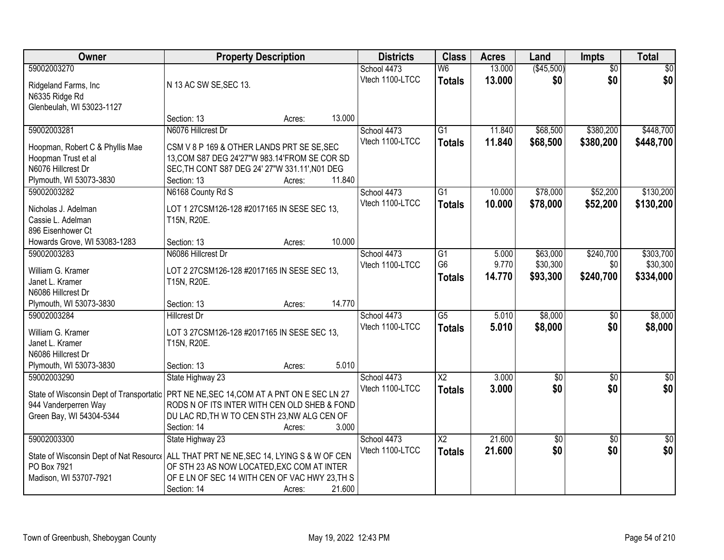| <b>Owner</b>                                                                            | <b>Property Description</b>                                 |        |        | <b>Districts</b> | <b>Class</b>             | <b>Acres</b> | Land       | Impts           | <b>Total</b>    |
|-----------------------------------------------------------------------------------------|-------------------------------------------------------------|--------|--------|------------------|--------------------------|--------------|------------|-----------------|-----------------|
| 59002003270                                                                             |                                                             |        |        | School 4473      | $\overline{\mathsf{W6}}$ | 13.000       | (\$45,500) | $\overline{50}$ | \$0             |
| Ridgeland Farms, Inc.                                                                   | N 13 AC SW SE, SEC 13.                                      |        |        | Vtech 1100-LTCC  | <b>Totals</b>            | 13.000       | \$0        | \$0             | \$0             |
| N6335 Ridge Rd                                                                          |                                                             |        |        |                  |                          |              |            |                 |                 |
| Glenbeulah, WI 53023-1127                                                               |                                                             |        |        |                  |                          |              |            |                 |                 |
|                                                                                         | Section: 13                                                 | Acres: | 13.000 |                  |                          |              |            |                 |                 |
| 59002003281                                                                             | N6076 Hillcrest Dr                                          |        |        | School 4473      | $\overline{G1}$          | 11.840       | \$68,500   | \$380,200       | \$448,700       |
| Hoopman, Robert C & Phyllis Mae                                                         | CSM V 8 P 169 & OTHER LANDS PRT SE SE, SEC                  |        |        | Vtech 1100-LTCC  | <b>Totals</b>            | 11.840       | \$68,500   | \$380,200       | \$448,700       |
| Hoopman Trust et al                                                                     | 13, COM S87 DEG 24'27"W 983.14'FROM SE COR SD               |        |        |                  |                          |              |            |                 |                 |
| N6076 Hillcrest Dr                                                                      | SEC, TH CONT S87 DEG 24' 27"W 331.11', N01 DEG              |        |        |                  |                          |              |            |                 |                 |
| Plymouth, WI 53073-3830                                                                 | Section: 13                                                 | Acres: | 11.840 |                  |                          |              |            |                 |                 |
| 59002003282                                                                             | N6168 County Rd S                                           |        |        | School 4473      | $\overline{G1}$          | 10.000       | \$78,000   | \$52,200        | \$130,200       |
| Nicholas J. Adelman                                                                     | LOT 1 27CSM126-128 #2017165 IN SESE SEC 13,                 |        |        | Vtech 1100-LTCC  | <b>Totals</b>            | 10.000       | \$78,000   | \$52,200        | \$130,200       |
| Cassie L. Adelman                                                                       | T15N, R20E.                                                 |        |        |                  |                          |              |            |                 |                 |
| 896 Eisenhower Ct                                                                       |                                                             |        |        |                  |                          |              |            |                 |                 |
| Howards Grove, WI 53083-1283                                                            | Section: 13                                                 | Acres: | 10.000 |                  |                          |              |            |                 |                 |
| 59002003283                                                                             | N6086 Hillcrest Dr                                          |        |        | School 4473      | G1                       | 5.000        | \$63,000   | \$240,700       | \$303,700       |
|                                                                                         |                                                             |        |        | Vtech 1100-LTCC  | G <sub>6</sub>           | 9.770        | \$30,300   | \$0             | \$30,300        |
| William G. Kramer<br>Janet L. Kramer                                                    | LOT 2 27CSM126-128 #2017165 IN SESE SEC 13,<br>T15N, R20E.  |        |        |                  | <b>Totals</b>            | 14.770       | \$93,300   | \$240,700       | \$334,000       |
| N6086 Hillcrest Dr                                                                      |                                                             |        |        |                  |                          |              |            |                 |                 |
| Plymouth, WI 53073-3830                                                                 | Section: 13                                                 | Acres: | 14.770 |                  |                          |              |            |                 |                 |
| 59002003284                                                                             | <b>Hillcrest Dr</b>                                         |        |        | School 4473      | $\overline{G5}$          | 5.010        | \$8,000    | $\overline{50}$ | \$8,000         |
|                                                                                         |                                                             |        |        | Vtech 1100-LTCC  | <b>Totals</b>            | 5.010        | \$8,000    | \$0             | \$8,000         |
| William G. Kramer                                                                       | LOT 3 27CSM126-128 #2017165 IN SESE SEC 13,                 |        |        |                  |                          |              |            |                 |                 |
| Janet L. Kramer<br>N6086 Hillcrest Dr                                                   | T15N, R20E.                                                 |        |        |                  |                          |              |            |                 |                 |
| Plymouth, WI 53073-3830                                                                 | Section: 13                                                 | Acres: | 5.010  |                  |                          |              |            |                 |                 |
| 59002003290                                                                             | State Highway 23                                            |        |        | School 4473      | $\overline{\text{X2}}$   | 3.000        | $\sqrt{6}$ | $\sqrt{6}$      | $\frac{1}{6}$   |
|                                                                                         |                                                             |        |        | Vtech 1100-LTCC  | <b>Totals</b>            | 3.000        | \$0        | \$0             | \$0             |
| State of Wisconsin Dept of Transportatic                                                | PRT NE NE, SEC 14, COM AT A PNT ON E SEC LN 27              |        |        |                  |                          |              |            |                 |                 |
| 944 Vanderperren Way                                                                    | RODS N OF ITS INTER WITH CEN OLD SHEB & FOND                |        |        |                  |                          |              |            |                 |                 |
| Green Bay, WI 54304-5344                                                                | DU LAC RD, TH W TO CEN STH 23, NW ALG CEN OF<br>Section: 14 |        | 3.000  |                  |                          |              |            |                 |                 |
| 59002003300                                                                             | State Highway 23                                            | Acres: |        | School 4473      | $\overline{\text{X2}}$   | 21.600       | $\sqrt{6}$ | $\overline{50}$ | $\overline{50}$ |
|                                                                                         |                                                             |        |        | Vtech 1100-LTCC  | <b>Totals</b>            | 21.600       | \$0        | \$0             | \$0             |
| State of Wisconsin Dept of Nat Resourc   ALL THAT PRT NE NE, SEC 14, LYING S & W OF CEN |                                                             |        |        |                  |                          |              |            |                 |                 |
| PO Box 7921                                                                             | OF STH 23 AS NOW LOCATED, EXC COM AT INTER                  |        |        |                  |                          |              |            |                 |                 |
| Madison, WI 53707-7921                                                                  | OF E LN OF SEC 14 WITH CEN OF VAC HWY 23, TH S              |        |        |                  |                          |              |            |                 |                 |
|                                                                                         | Section: 14                                                 | Acres: | 21.600 |                  |                          |              |            |                 |                 |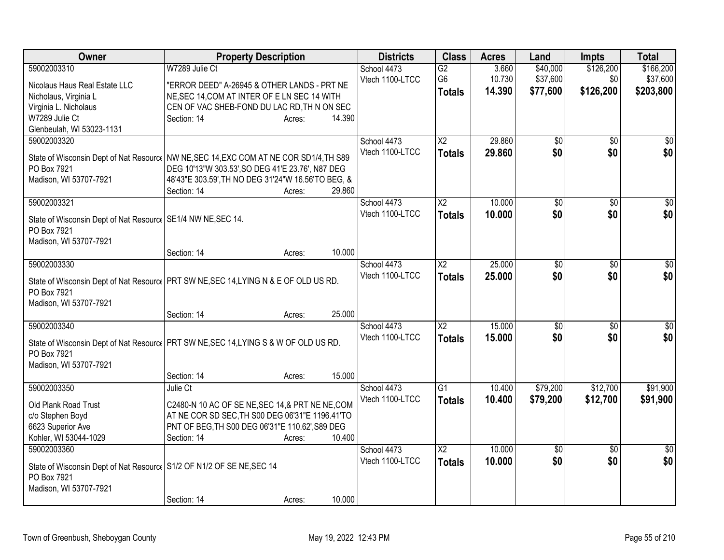| Owner                                                                                   | <b>Property Description</b>                        |        |        | <b>Districts</b> | <b>Class</b>    | <b>Acres</b> | Land            | <b>Impts</b>    | <b>Total</b>    |
|-----------------------------------------------------------------------------------------|----------------------------------------------------|--------|--------|------------------|-----------------|--------------|-----------------|-----------------|-----------------|
| 59002003310                                                                             | W7289 Julie Ct                                     |        |        | School 4473      | $\overline{G2}$ | 3.660        | \$40,000        | \$126,200       | \$166,200       |
| Nicolaus Haus Real Estate LLC                                                           | "ERROR DEED" A-26945 & OTHER LANDS - PRT NE        |        |        | Vtech 1100-LTCC  | G <sub>6</sub>  | 10.730       | \$37,600        | \$0             | \$37,600        |
| Nicholaus, Virginia L                                                                   | NE, SEC 14, COM AT INTER OF E LN SEC 14 WITH       |        |        |                  | <b>Totals</b>   | 14.390       | \$77,600        | \$126,200       | \$203,800       |
| Virginia L. Nicholaus                                                                   | CEN OF VAC SHEB-FOND DU LAC RD, TH N ON SEC        |        |        |                  |                 |              |                 |                 |                 |
| W7289 Julie Ct                                                                          | Section: 14                                        | Acres: | 14.390 |                  |                 |              |                 |                 |                 |
| Glenbeulah, WI 53023-1131                                                               |                                                    |        |        |                  |                 |              |                 |                 |                 |
| 59002003320                                                                             |                                                    |        |        | School 4473      | X2              | 29.860       | \$0             | \$0             | $\overline{50}$ |
| State of Wisconsin Dept of Nat Resourc   NW NE, SEC 14, EXC COM AT NE COR SD1/4, TH S89 |                                                    |        |        | Vtech 1100-LTCC  | <b>Totals</b>   | 29.860       | \$0             | \$0             | \$0             |
| PO Box 7921                                                                             | DEG 10'13"W 303.53', SO DEG 41'E 23.76', N87 DEG   |        |        |                  |                 |              |                 |                 |                 |
| Madison, WI 53707-7921                                                                  | 48'43"E 303.59', TH NO DEG 31'24"W 16.56'TO BEG, & |        |        |                  |                 |              |                 |                 |                 |
|                                                                                         | Section: 14                                        | Acres: | 29.860 |                  |                 |              |                 |                 |                 |
| 59002003321                                                                             |                                                    |        |        | School 4473      | $\overline{X2}$ | 10.000       | \$0             | \$0             | $\sqrt{50}$     |
|                                                                                         |                                                    |        |        | Vtech 1100-LTCC  | <b>Totals</b>   | 10.000       | \$0             | \$0             | \$0             |
| State of Wisconsin Dept of Nat Resourc   SE1/4 NW NE, SEC 14.                           |                                                    |        |        |                  |                 |              |                 |                 |                 |
| PO Box 7921<br>Madison, WI 53707-7921                                                   |                                                    |        |        |                  |                 |              |                 |                 |                 |
|                                                                                         | Section: 14                                        | Acres: | 10.000 |                  |                 |              |                 |                 |                 |
| 59002003330                                                                             |                                                    |        |        | School 4473      | $\overline{X2}$ | 25.000       | $\overline{50}$ | \$0             | \$0             |
|                                                                                         |                                                    |        |        | Vtech 1100-LTCC  | <b>Totals</b>   | 25.000       | \$0             | \$0             | \$0             |
| State of Wisconsin Dept of Nat Resourc   PRT SW NE, SEC 14, LYING N & E OF OLD US RD.   |                                                    |        |        |                  |                 |              |                 |                 |                 |
| PO Box 7921                                                                             |                                                    |        |        |                  |                 |              |                 |                 |                 |
| Madison, WI 53707-7921                                                                  |                                                    |        |        |                  |                 |              |                 |                 |                 |
|                                                                                         | Section: 14                                        | Acres: | 25.000 |                  |                 |              |                 |                 |                 |
| 59002003340                                                                             |                                                    |        |        | School 4473      | X <sub>2</sub>  | 15.000       | \$0             | $\sqrt{6}$      | \$0             |
| State of Wisconsin Dept of Nat Resource   PRT SW NE, SEC 14, LYING S & W OF OLD US RD.  |                                                    |        |        | Vtech 1100-LTCC  | <b>Totals</b>   | 15.000       | \$0             | \$0             | \$0             |
| PO Box 7921                                                                             |                                                    |        |        |                  |                 |              |                 |                 |                 |
| Madison, WI 53707-7921                                                                  |                                                    |        |        |                  |                 |              |                 |                 |                 |
|                                                                                         | Section: 14                                        | Acres: | 15.000 |                  |                 |              |                 |                 |                 |
| 59002003350                                                                             | Julie Ct                                           |        |        | School 4473      | $\overline{G1}$ | 10.400       | \$79,200        | \$12,700        | \$91,900        |
| Old Plank Road Trust                                                                    | C2480-N 10 AC OF SE NE, SEC 14, & PRT NE NE, COM   |        |        | Vtech 1100-LTCC  | <b>Totals</b>   | 10.400       | \$79,200        | \$12,700        | \$91,900        |
| c/o Stephen Boyd                                                                        | AT NE COR SD SEC, TH S00 DEG 06'31"E 1196.41'TO    |        |        |                  |                 |              |                 |                 |                 |
| 6623 Superior Ave                                                                       | PNT OF BEG, TH S00 DEG 06'31"E 110.62', S89 DEG    |        |        |                  |                 |              |                 |                 |                 |
| Kohler, WI 53044-1029                                                                   | Section: 14                                        | Acres: | 10.400 |                  |                 |              |                 |                 |                 |
| 59002003360                                                                             |                                                    |        |        | School 4473      | $\overline{X2}$ | 10.000       | $\overline{50}$ | $\overline{50}$ | $\sqrt{50}$     |
| State of Wisconsin Dept of Nat Resourc   S1/2 OF N1/2 OF SE NE, SEC 14                  |                                                    |        |        | Vtech 1100-LTCC  | <b>Totals</b>   | 10.000       | \$0             | \$0             | \$0             |
| PO Box 7921                                                                             |                                                    |        |        |                  |                 |              |                 |                 |                 |
| Madison, WI 53707-7921                                                                  |                                                    |        |        |                  |                 |              |                 |                 |                 |
|                                                                                         | Section: 14                                        | Acres: | 10.000 |                  |                 |              |                 |                 |                 |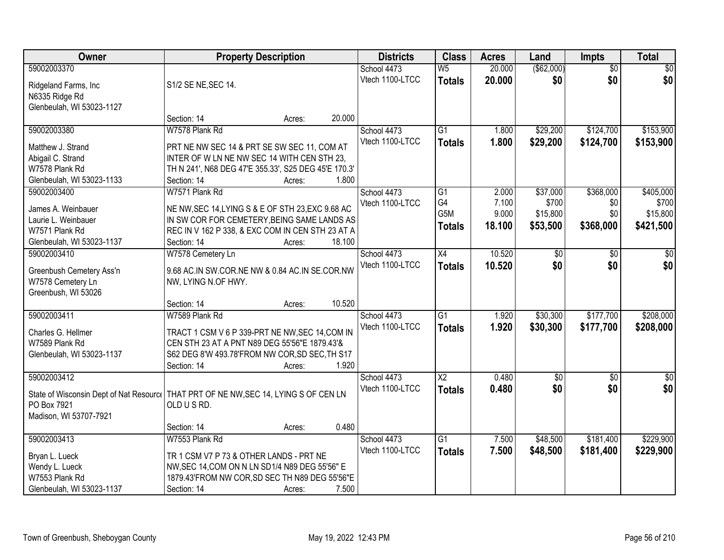| Owner                                                                                 | <b>Property Description</b>                          |        |        | <b>Districts</b> | <b>Class</b>             | <b>Acres</b> | Land        | <b>Impts</b>    | <b>Total</b> |
|---------------------------------------------------------------------------------------|------------------------------------------------------|--------|--------|------------------|--------------------------|--------------|-------------|-----------------|--------------|
| 59002003370                                                                           |                                                      |        |        | School 4473      | $\overline{\mathsf{W5}}$ | 20.000       | ( \$62,000) | $\overline{50}$ | \$0          |
| Ridgeland Farms, Inc.                                                                 | S1/2 SE NE, SEC 14.                                  |        |        | Vtech 1100-LTCC  | <b>Totals</b>            | 20.000       | \$0         | \$0             | \$0          |
| N6335 Ridge Rd                                                                        |                                                      |        |        |                  |                          |              |             |                 |              |
| Glenbeulah, WI 53023-1127                                                             |                                                      |        |        |                  |                          |              |             |                 |              |
|                                                                                       | Section: 14                                          | Acres: | 20.000 |                  |                          |              |             |                 |              |
| 59002003380                                                                           | W7578 Plank Rd                                       |        |        | School 4473      | $\overline{G1}$          | 1.800        | \$29,200    | \$124,700       | \$153,900    |
| Matthew J. Strand                                                                     | PRT NE NW SEC 14 & PRT SE SW SEC 11, COM AT          |        |        | Vtech 1100-LTCC  | <b>Totals</b>            | 1.800        | \$29,200    | \$124,700       | \$153,900    |
| Abigail C. Strand                                                                     | INTER OF W LN NE NW SEC 14 WITH CEN STH 23.          |        |        |                  |                          |              |             |                 |              |
| W7578 Plank Rd                                                                        | TH N 241', N68 DEG 47'E 355.33', S25 DEG 45'E 170.3' |        |        |                  |                          |              |             |                 |              |
| Glenbeulah, WI 53023-1133                                                             | Section: 14                                          | Acres: | 1.800  |                  |                          |              |             |                 |              |
| 59002003400                                                                           | W7571 Plank Rd                                       |        |        | School 4473      | $\overline{G1}$          | 2.000        | \$37,000    | \$368,000       | \$405,000    |
|                                                                                       |                                                      |        |        | Vtech 1100-LTCC  | G4                       | 7.100        | \$700       | \$0             | \$700        |
| James A. Weinbauer                                                                    | NE NW, SEC 14, LYING S & E OF STH 23, EXC 9.68 AC    |        |        |                  | G5M                      | 9.000        | \$15,800    | \$0             | \$15,800     |
| Laurie L. Weinbauer                                                                   | IN SW COR FOR CEMETERY, BEING SAME LANDS AS          |        |        |                  | <b>Totals</b>            | 18.100       | \$53,500    | \$368,000       | \$421,500    |
| W7571 Plank Rd                                                                        | REC IN V 162 P 338, & EXC COM IN CEN STH 23 AT A     |        |        |                  |                          |              |             |                 |              |
| Glenbeulah, WI 53023-1137                                                             | Section: 14                                          | Acres: | 18.100 |                  |                          |              |             |                 |              |
| 59002003410                                                                           | W7578 Cemetery Ln                                    |        |        | School 4473      | X4                       | 10.520       | \$0         | $\sqrt[6]{}$    | \$0          |
| Greenbush Cemetery Ass'n                                                              | 9.68 AC.IN SW.COR.NE NW & 0.84 AC.IN SE.COR.NW       |        |        | Vtech 1100-LTCC  | <b>Totals</b>            | 10.520       | \$0         | \$0             | \$0          |
| W7578 Cemetery Ln                                                                     | NW, LYING N.OF HWY.                                  |        |        |                  |                          |              |             |                 |              |
| Greenbush, WI 53026                                                                   |                                                      |        |        |                  |                          |              |             |                 |              |
|                                                                                       | Section: 14                                          | Acres: | 10.520 |                  |                          |              |             |                 |              |
| 59002003411                                                                           | W7589 Plank Rd                                       |        |        | School 4473      | $\overline{G1}$          | 1.920        | \$30,300    | \$177,700       | \$208,000    |
|                                                                                       |                                                      |        |        | Vtech 1100-LTCC  | <b>Totals</b>            | 1.920        | \$30,300    | \$177,700       | \$208,000    |
| Charles G. Hellmer                                                                    | TRACT 1 CSM V 6 P 339-PRT NE NW, SEC 14, COM IN      |        |        |                  |                          |              |             |                 |              |
| W7589 Plank Rd                                                                        | CEN STH 23 AT A PNT N89 DEG 55'56"E 1879.43'&        |        |        |                  |                          |              |             |                 |              |
| Glenbeulah, WI 53023-1137                                                             | S62 DEG 8'W 493.78'FROM NW COR, SD SEC, TH S17       |        | 1.920  |                  |                          |              |             |                 |              |
| 59002003412                                                                           | Section: 14                                          | Acres: |        | School 4473      | $\overline{X2}$          | 0.480        | $\sqrt{$0}$ |                 | \$0          |
|                                                                                       |                                                      |        |        | Vtech 1100-LTCC  |                          |              | \$0         | \$0<br>\$0      | \$0          |
| State of Wisconsin Dept of Nat Resourc   THAT PRT OF NE NW, SEC 14, LYING S OF CEN LN |                                                      |        |        |                  | <b>Totals</b>            | 0.480        |             |                 |              |
| PO Box 7921                                                                           | OLD USRD.                                            |        |        |                  |                          |              |             |                 |              |
| Madison, WI 53707-7921                                                                |                                                      |        |        |                  |                          |              |             |                 |              |
|                                                                                       | Section: 14                                          | Acres: | 0.480  |                  |                          |              |             |                 |              |
| 59002003413                                                                           | W7553 Plank Rd                                       |        |        | School 4473      | $\overline{G1}$          | 7.500        | \$48,500    | \$181,400       | \$229,900    |
| Bryan L. Lueck                                                                        | TR 1 CSM V7 P 73 & OTHER LANDS - PRT NE              |        |        | Vtech 1100-LTCC  | <b>Totals</b>            | 7.500        | \$48,500    | \$181,400       | \$229,900    |
| Wendy L. Lueck                                                                        | NW, SEC 14, COM ON N LN SD1/4 N89 DEG 55'56" E       |        |        |                  |                          |              |             |                 |              |
| W7553 Plank Rd                                                                        | 1879.43'FROM NW COR, SD SEC TH N89 DEG 55'56"E       |        |        |                  |                          |              |             |                 |              |
| Glenbeulah, WI 53023-1137                                                             | Section: 14                                          | Acres: | 7.500  |                  |                          |              |             |                 |              |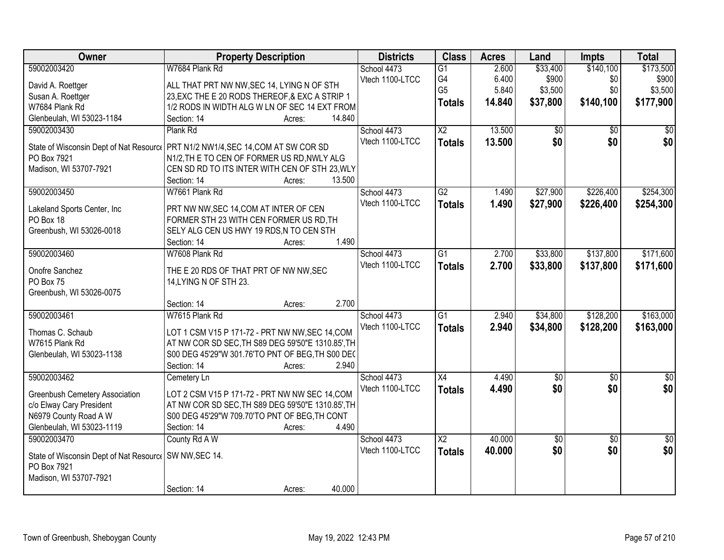| <b>Owner</b>                                            | <b>Property Description</b>                                                       | <b>Districts</b>               | <b>Class</b>             | <b>Acres</b> | Land            | <b>Impts</b>    | <b>Total</b>    |
|---------------------------------------------------------|-----------------------------------------------------------------------------------|--------------------------------|--------------------------|--------------|-----------------|-----------------|-----------------|
| 59002003420                                             | W7684 Plank Rd                                                                    | School 4473                    | $\overline{G1}$          | 2.600        | \$33,400        | \$140,100       | \$173,500       |
| David A. Roettger                                       | ALL THAT PRT NW NW, SEC 14, LYING N OF STH                                        | Vtech 1100-LTCC                | G4                       | 6.400        | \$900           | \$0             | \$900           |
| Susan A. Roettger                                       | 23, EXC THE E 20 RODS THEREOF, & EXC A STRIP 1                                    |                                | G <sub>5</sub>           | 5.840        | \$3,500         | \$0             | \$3,500         |
| W7684 Plank Rd                                          | 1/2 RODS IN WIDTH ALG W LN OF SEC 14 EXT FROM                                     |                                | <b>Totals</b>            | 14.840       | \$37,800        | \$140,100       | \$177,900       |
| Glenbeulah, WI 53023-1184                               | 14.840<br>Section: 14<br>Acres:                                                   |                                |                          |              |                 |                 |                 |
| 59002003430                                             | Plank Rd                                                                          | School 4473                    | $\overline{X2}$          | 13.500       | $\overline{60}$ | $\overline{50}$ | \$0             |
|                                                         |                                                                                   | Vtech 1100-LTCC                | <b>Totals</b>            | 13.500       | \$0             | \$0             | \$0             |
|                                                         | State of Wisconsin Dept of Nat Resourcol PRT N1/2 NW1/4, SEC 14, COM AT SW COR SD |                                |                          |              |                 |                 |                 |
| PO Box 7921                                             | N1/2, TH E TO CEN OF FORMER US RD, NWLY ALG                                       |                                |                          |              |                 |                 |                 |
| Madison, WI 53707-7921                                  | CEN SD RD TO ITS INTER WITH CEN OF STH 23, WLY<br>13.500                          |                                |                          |              |                 |                 |                 |
| 59002003450                                             | Section: 14<br>Acres:<br>W7661 Plank Rd                                           | School 4473                    | G2                       | 1.490        | \$27,900        | \$226,400       | \$254,300       |
|                                                         |                                                                                   | Vtech 1100-LTCC                |                          |              |                 |                 |                 |
| Lakeland Sports Center, Inc                             | PRT NW NW, SEC 14, COM AT INTER OF CEN                                            |                                | <b>Totals</b>            | 1.490        | \$27,900        | \$226,400       | \$254,300       |
| PO Box 18                                               | FORMER STH 23 WITH CEN FORMER US RD, TH                                           |                                |                          |              |                 |                 |                 |
| Greenbush, WI 53026-0018                                | SELY ALG CEN US HWY 19 RDS, N TO CEN STH                                          |                                |                          |              |                 |                 |                 |
|                                                         | 1.490<br>Section: 14<br>Acres:                                                    |                                |                          |              |                 |                 |                 |
| 59002003460                                             | W7608 Plank Rd                                                                    | School 4473                    | $\overline{G1}$          | 2.700        | \$33,800        | \$137,800       | \$171,600       |
| Onofre Sanchez                                          | THE E 20 RDS OF THAT PRT OF NW NW, SEC                                            | Vtech 1100-LTCC                | <b>Totals</b>            | 2.700        | \$33,800        | \$137,800       | \$171,600       |
| PO Box 75                                               | 14, LYING N OF STH 23.                                                            |                                |                          |              |                 |                 |                 |
| Greenbush, WI 53026-0075                                |                                                                                   |                                |                          |              |                 |                 |                 |
|                                                         | 2.700<br>Section: 14<br>Acres:                                                    |                                |                          |              |                 |                 |                 |
| 59002003461                                             | W7615 Plank Rd                                                                    | School 4473                    | $\overline{G1}$          | 2.940        | \$34,800        | \$128,200       | \$163,000       |
|                                                         |                                                                                   | Vtech 1100-LTCC                | <b>Totals</b>            | 2.940        | \$34,800        | \$128,200       | \$163,000       |
| Thomas C. Schaub                                        | LOT 1 CSM V15 P 171-72 - PRT NW NW, SEC 14, COM                                   |                                |                          |              |                 |                 |                 |
| W7615 Plank Rd                                          | AT NW COR SD SEC, TH S89 DEG 59'50"E 1310.85', TH                                 |                                |                          |              |                 |                 |                 |
| Glenbeulah, WI 53023-1138                               | S00 DEG 45'29"W 301.76'TO PNT OF BEG, TH S00 DEC<br>2.940                         |                                |                          |              |                 |                 |                 |
| 59002003462                                             | Section: 14<br>Acres:                                                             |                                | X4                       | 4.490        | $\sqrt{50}$     |                 | $\overline{30}$ |
|                                                         | Cemetery Ln                                                                       | School 4473<br>Vtech 1100-LTCC |                          |              | \$0             | $\overline{50}$ | \$0             |
| Greenbush Cemetery Association                          | LOT 2 CSM V15 P 171-72 - PRT NW NW SEC 14, COM                                    |                                | <b>Totals</b>            | 4.490        |                 | \$0             |                 |
| c/o Elway Cary President                                | AT NW COR SD SEC, TH S89 DEG 59'50"E 1310.85', TH                                 |                                |                          |              |                 |                 |                 |
| N6979 County Road A W                                   | S00 DEG 45'29"W 709.70'TO PNT OF BEG, TH CONT                                     |                                |                          |              |                 |                 |                 |
| Glenbeulah, WI 53023-1119                               | Section: 14<br>4.490<br>Acres:                                                    |                                |                          |              |                 |                 |                 |
| 59002003470                                             | County Rd A W                                                                     | School 4473                    | $\overline{\mathsf{X2}}$ | 40.000       | $\sqrt{$0}$     | $\overline{50}$ | $\overline{50}$ |
| State of Wisconsin Dept of Nat Resourc   SW NW, SEC 14. |                                                                                   | Vtech 1100-LTCC                | <b>Totals</b>            | 40.000       | \$0             | \$0             | \$0             |
| PO Box 7921                                             |                                                                                   |                                |                          |              |                 |                 |                 |
| Madison, WI 53707-7921                                  |                                                                                   |                                |                          |              |                 |                 |                 |
|                                                         | 40.000<br>Section: 14<br>Acres:                                                   |                                |                          |              |                 |                 |                 |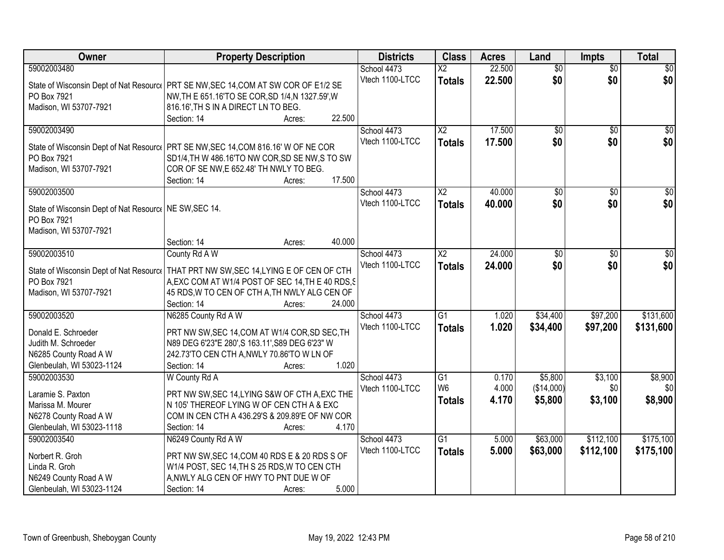| Owner                                                   | <b>Property Description</b>                                                          | <b>Districts</b> | <b>Class</b>           | <b>Acres</b> | Land            | <b>Impts</b>    | <b>Total</b>    |
|---------------------------------------------------------|--------------------------------------------------------------------------------------|------------------|------------------------|--------------|-----------------|-----------------|-----------------|
| 59002003480                                             |                                                                                      | School 4473      | $\overline{\text{X2}}$ | 22.500       | $\overline{50}$ | $\overline{50}$ | \$0             |
|                                                         | State of Wisconsin Dept of Nat Resourc   PRT SE NW, SEC 14, COM AT SW COR OF E1/2 SE | Vtech 1100-LTCC  | <b>Totals</b>          | 22.500       | \$0             | \$0             | \$0             |
| PO Box 7921                                             | NW, TH E 651.16'TO SE COR, SD 1/4, N 1327.59', W                                     |                  |                        |              |                 |                 |                 |
| Madison, WI 53707-7921                                  | 816.16', TH S IN A DIRECT LN TO BEG.                                                 |                  |                        |              |                 |                 |                 |
|                                                         | 22.500<br>Section: 14<br>Acres:                                                      |                  |                        |              |                 |                 |                 |
| 59002003490                                             |                                                                                      | School 4473      | $\overline{X2}$        | 17.500       | $\overline{50}$ | $\overline{50}$ | \$0             |
|                                                         |                                                                                      | Vtech 1100-LTCC  | <b>Totals</b>          | 17.500       | \$0             | \$0             | \$0             |
|                                                         | State of Wisconsin Dept of Nat Resourc   PRT SE NW, SEC 14, COM 816.16' W OF NE COR  |                  |                        |              |                 |                 |                 |
| PO Box 7921                                             | SD1/4, TH W 486.16'TO NW COR, SD SE NW, S TO SW                                      |                  |                        |              |                 |                 |                 |
| Madison, WI 53707-7921                                  | COR OF SE NW, E 652.48' TH NWLY TO BEG.                                              |                  |                        |              |                 |                 |                 |
|                                                         | 17.500<br>Section: 14<br>Acres:                                                      |                  |                        |              |                 |                 |                 |
| 59002003500                                             |                                                                                      | School 4473      | $\overline{X2}$        | 40.000       | $\overline{50}$ | \$0             | $\overline{50}$ |
| State of Wisconsin Dept of Nat Resourc   NE SW, SEC 14. |                                                                                      | Vtech 1100-LTCC  | <b>Totals</b>          | 40.000       | \$0             | \$0             | \$0             |
| PO Box 7921                                             |                                                                                      |                  |                        |              |                 |                 |                 |
| Madison, WI 53707-7921                                  |                                                                                      |                  |                        |              |                 |                 |                 |
|                                                         | 40.000<br>Section: 14<br>Acres:                                                      |                  |                        |              |                 |                 |                 |
| 59002003510                                             | County Rd A W                                                                        | School 4473      | X <sub>2</sub>         | 24.000       | \$0             | $\sqrt[6]{3}$   | $\sqrt{50}$     |
|                                                         |                                                                                      | Vtech 1100-LTCC  | <b>Totals</b>          | 24.000       | \$0             | \$0             | \$0             |
| State of Wisconsin Dept of Nat Resource                 | THAT PRT NW SW, SEC 14, LYING E OF CEN OF CTH                                        |                  |                        |              |                 |                 |                 |
| PO Box 7921                                             | A, EXC COM AT W1/4 POST OF SEC 14, TH E 40 RDS, S                                    |                  |                        |              |                 |                 |                 |
| Madison, WI 53707-7921                                  | 45 RDS, W TO CEN OF CTH A, TH NWLY ALG CEN OF                                        |                  |                        |              |                 |                 |                 |
|                                                         | 24.000<br>Section: 14<br>Acres:                                                      |                  |                        |              |                 |                 |                 |
| 59002003520                                             | N6285 County Rd A W                                                                  | School 4473      | $\overline{G1}$        | 1.020        | \$34,400        | \$97,200        | \$131,600       |
| Donald E. Schroeder                                     | PRT NW SW, SEC 14, COM AT W1/4 COR, SD SEC, TH                                       | Vtech 1100-LTCC  | <b>Totals</b>          | 1.020        | \$34,400        | \$97,200        | \$131,600       |
| Judith M. Schroeder                                     | N89 DEG 6'23"E 280', S 163.11', S89 DEG 6'23" W                                      |                  |                        |              |                 |                 |                 |
| N6285 County Road A W                                   | 242.73'TO CEN CTH A, NWLY 70.86'TO W LN OF                                           |                  |                        |              |                 |                 |                 |
| Glenbeulah, WI 53023-1124                               | Section: 14<br>1.020<br>Acres:                                                       |                  |                        |              |                 |                 |                 |
| 59002003530                                             | W County Rd A                                                                        | School 4473      | G1                     | 0.170        | \$5,800         | \$3,100         | \$8,900         |
|                                                         |                                                                                      | Vtech 1100-LTCC  | W <sub>6</sub>         | 4.000        | (\$14,000)      | \$0             | \$0             |
| Laramie S. Paxton                                       | PRT NW SW, SEC 14, LYING S&W OF CTH A, EXC THE                                       |                  | <b>Totals</b>          | 4.170        | \$5,800         | \$3,100         | \$8,900         |
| Marissa M. Mourer                                       | N 105' THEREOF LYING W OF CEN CTH A & EXC                                            |                  |                        |              |                 |                 |                 |
| N6278 County Road A W                                   | COM IN CEN CTH A 436.29'S & 209.89'E OF NW COR                                       |                  |                        |              |                 |                 |                 |
| Glenbeulah, WI 53023-1118                               | 4.170<br>Section: 14<br>Acres:                                                       |                  |                        |              |                 |                 |                 |
| 59002003540                                             | N6249 County Rd A W                                                                  | School 4473      | G1                     | 5.000        | \$63,000        | \$112,100       | \$175,100       |
| Norbert R. Groh                                         | PRT NW SW, SEC 14, COM 40 RDS E & 20 RDS S OF                                        | Vtech 1100-LTCC  | <b>Totals</b>          | 5.000        | \$63,000        | \$112,100       | \$175,100       |
| Linda R. Groh                                           | W1/4 POST, SEC 14, TH S 25 RDS, W TO CEN CTH                                         |                  |                        |              |                 |                 |                 |
| N6249 County Road A W                                   | A, NWLY ALG CEN OF HWY TO PNT DUE W OF                                               |                  |                        |              |                 |                 |                 |
| Glenbeulah, WI 53023-1124                               | 5.000<br>Section: 14<br>Acres:                                                       |                  |                        |              |                 |                 |                 |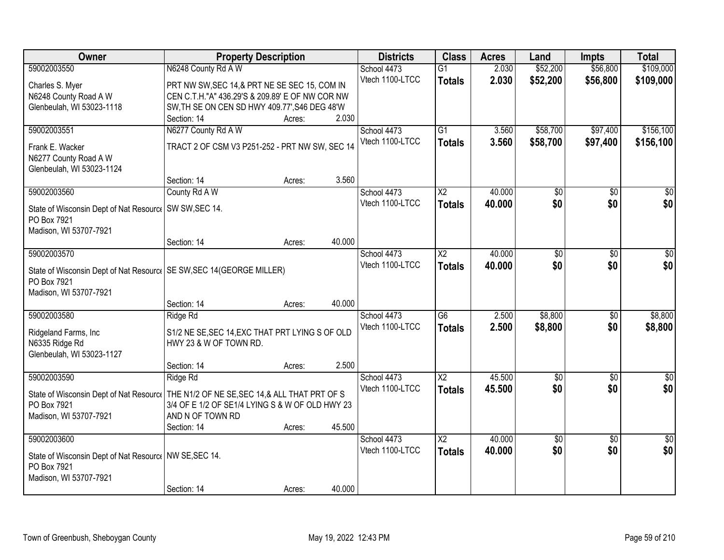| \$109,000<br>59002003550<br>N6248 County Rd A W<br>\$52,200<br>\$56,800<br>School 4473<br>$\overline{G1}$<br>2.030<br>Vtech 1100-LTCC<br>2.030<br>\$52,200<br>\$56,800<br>\$109,000<br><b>Totals</b><br>PRT NW SW, SEC 14, & PRT NE SE SEC 15, COM IN<br>Charles S. Myer<br>N6248 County Road A W<br>CEN C.T.H."A" 436.29'S & 209.89' E OF NW COR NW<br>Glenbeulah, WI 53023-1118<br>SW, TH SE ON CEN SD HWY 409.77', S46 DEG 48'W<br>2.030<br>Section: 14<br>Acres:<br>N6277 County Rd A W<br>$\overline{G1}$<br>\$58,700<br>\$97,400<br>\$156,100<br>59002003551<br>School 4473<br>3.560<br>Vtech 1100-LTCC<br>3.560<br>\$58,700<br>\$97,400<br>\$156,100<br><b>Totals</b><br>TRACT 2 OF CSM V3 P251-252 - PRT NW SW, SEC 14<br>Frank E. Wacker<br>N6277 County Road A W<br>Glenbeulah, WI 53023-1124<br>3.560<br>Section: 14<br>Acres:<br>59002003560<br>$\overline{\text{X2}}$<br>40.000<br>County Rd A W<br>School 4473<br>\$0<br>\$0<br>\$0<br>\$0<br>\$0 <br>Vtech 1100-LTCC<br>\$0<br>40.000<br><b>Totals</b><br>State of Wisconsin Dept of Nat Resourc   SW SW, SEC 14.<br>PO Box 7921<br>Madison, WI 53707-7921<br>40.000<br>Section: 14<br>Acres:<br>40.000<br>59002003570<br>School 4473<br>$\overline{\text{X2}}$<br>\$0<br>\$0<br>\$0<br>\$0<br>\$0<br>Vtech 1100-LTCC<br>\$0<br>40.000<br><b>Totals</b><br>State of Wisconsin Dept of Nat Resourc   SE SW, SEC 14(GEORGE MILLER)<br>PO Box 7921<br>Madison, WI 53707-7921<br>40.000<br>Section: 14<br>Acres:<br>59002003580<br>$\overline{G6}$<br>2.500<br>\$8,800<br>$\overline{50}$<br>\$8,800<br>Ridge Rd<br>School 4473<br>Vtech 1100-LTCC<br>2.500<br>\$8,800<br>\$0<br>\$8,800<br><b>Totals</b><br>Ridgeland Farms, Inc<br>S1/2 NE SE, SEC 14, EXC THAT PRT LYING S OF OLD<br>N6335 Ridge Rd<br>HWY 23 & W OF TOWN RD.<br>Glenbeulah, WI 53023-1127<br>2.500<br>Section: 14<br>Acres:<br>45.500<br>59002003590<br>School 4473<br>$\overline{\text{X2}}$<br>Ridge Rd<br>$\sqrt{6}$<br>$\overline{50}$<br>$\frac{1}{6}$<br>\$0<br>\$0<br>Vtech 1100-LTCC<br>45.500<br>\$0<br><b>Totals</b><br>State of Wisconsin Dept of Nat Resourc   THE N1/2 OF NE SE, SEC 14, & ALL THAT PRT OF S<br>3/4 OF E 1/2 OF SE1/4 LYING S & W OF OLD HWY 23<br>PO Box 7921<br>AND N OF TOWN RD<br>Madison, WI 53707-7921<br>45.500<br>Section: 14<br>Acres:<br>$\overline{\text{X2}}$<br>59002003600<br>School 4473<br>40.000<br>$\overline{30}$<br>$\sqrt{6}$<br>$\overline{50}$<br>\$0<br>\$0<br>Vtech 1100-LTCC<br>\$0<br>40.000<br><b>Totals</b><br>State of Wisconsin Dept of Nat Resourc   NW SE, SEC 14.<br>PO Box 7921<br>Madison, WI 53707-7921 | Owner | <b>Property Description</b> |        |        | <b>Districts</b> | <b>Class</b> | <b>Acres</b> | Land | <b>Impts</b> | <b>Total</b> |
|----------------------------------------------------------------------------------------------------------------------------------------------------------------------------------------------------------------------------------------------------------------------------------------------------------------------------------------------------------------------------------------------------------------------------------------------------------------------------------------------------------------------------------------------------------------------------------------------------------------------------------------------------------------------------------------------------------------------------------------------------------------------------------------------------------------------------------------------------------------------------------------------------------------------------------------------------------------------------------------------------------------------------------------------------------------------------------------------------------------------------------------------------------------------------------------------------------------------------------------------------------------------------------------------------------------------------------------------------------------------------------------------------------------------------------------------------------------------------------------------------------------------------------------------------------------------------------------------------------------------------------------------------------------------------------------------------------------------------------------------------------------------------------------------------------------------------------------------------------------------------------------------------------------------------------------------------------------------------------------------------------------------------------------------------------------------------------------------------------------------------------------------------------------------------------------------------------------------------------------------------------------------------------------------------------------------------------------------------------------------------------------------------------------------------------------------------------------------------------------------------------------------------------------------------------------------------------------------------------|-------|-----------------------------|--------|--------|------------------|--------------|--------------|------|--------------|--------------|
|                                                                                                                                                                                                                                                                                                                                                                                                                                                                                                                                                                                                                                                                                                                                                                                                                                                                                                                                                                                                                                                                                                                                                                                                                                                                                                                                                                                                                                                                                                                                                                                                                                                                                                                                                                                                                                                                                                                                                                                                                                                                                                                                                                                                                                                                                                                                                                                                                                                                                                                                                                                                          |       |                             |        |        |                  |              |              |      |              |              |
|                                                                                                                                                                                                                                                                                                                                                                                                                                                                                                                                                                                                                                                                                                                                                                                                                                                                                                                                                                                                                                                                                                                                                                                                                                                                                                                                                                                                                                                                                                                                                                                                                                                                                                                                                                                                                                                                                                                                                                                                                                                                                                                                                                                                                                                                                                                                                                                                                                                                                                                                                                                                          |       |                             |        |        |                  |              |              |      |              |              |
|                                                                                                                                                                                                                                                                                                                                                                                                                                                                                                                                                                                                                                                                                                                                                                                                                                                                                                                                                                                                                                                                                                                                                                                                                                                                                                                                                                                                                                                                                                                                                                                                                                                                                                                                                                                                                                                                                                                                                                                                                                                                                                                                                                                                                                                                                                                                                                                                                                                                                                                                                                                                          |       |                             |        |        |                  |              |              |      |              |              |
|                                                                                                                                                                                                                                                                                                                                                                                                                                                                                                                                                                                                                                                                                                                                                                                                                                                                                                                                                                                                                                                                                                                                                                                                                                                                                                                                                                                                                                                                                                                                                                                                                                                                                                                                                                                                                                                                                                                                                                                                                                                                                                                                                                                                                                                                                                                                                                                                                                                                                                                                                                                                          |       |                             |        |        |                  |              |              |      |              |              |
|                                                                                                                                                                                                                                                                                                                                                                                                                                                                                                                                                                                                                                                                                                                                                                                                                                                                                                                                                                                                                                                                                                                                                                                                                                                                                                                                                                                                                                                                                                                                                                                                                                                                                                                                                                                                                                                                                                                                                                                                                                                                                                                                                                                                                                                                                                                                                                                                                                                                                                                                                                                                          |       |                             |        |        |                  |              |              |      |              |              |
|                                                                                                                                                                                                                                                                                                                                                                                                                                                                                                                                                                                                                                                                                                                                                                                                                                                                                                                                                                                                                                                                                                                                                                                                                                                                                                                                                                                                                                                                                                                                                                                                                                                                                                                                                                                                                                                                                                                                                                                                                                                                                                                                                                                                                                                                                                                                                                                                                                                                                                                                                                                                          |       |                             |        |        |                  |              |              |      |              |              |
|                                                                                                                                                                                                                                                                                                                                                                                                                                                                                                                                                                                                                                                                                                                                                                                                                                                                                                                                                                                                                                                                                                                                                                                                                                                                                                                                                                                                                                                                                                                                                                                                                                                                                                                                                                                                                                                                                                                                                                                                                                                                                                                                                                                                                                                                                                                                                                                                                                                                                                                                                                                                          |       |                             |        |        |                  |              |              |      |              |              |
|                                                                                                                                                                                                                                                                                                                                                                                                                                                                                                                                                                                                                                                                                                                                                                                                                                                                                                                                                                                                                                                                                                                                                                                                                                                                                                                                                                                                                                                                                                                                                                                                                                                                                                                                                                                                                                                                                                                                                                                                                                                                                                                                                                                                                                                                                                                                                                                                                                                                                                                                                                                                          |       |                             |        |        |                  |              |              |      |              |              |
|                                                                                                                                                                                                                                                                                                                                                                                                                                                                                                                                                                                                                                                                                                                                                                                                                                                                                                                                                                                                                                                                                                                                                                                                                                                                                                                                                                                                                                                                                                                                                                                                                                                                                                                                                                                                                                                                                                                                                                                                                                                                                                                                                                                                                                                                                                                                                                                                                                                                                                                                                                                                          |       |                             |        |        |                  |              |              |      |              |              |
|                                                                                                                                                                                                                                                                                                                                                                                                                                                                                                                                                                                                                                                                                                                                                                                                                                                                                                                                                                                                                                                                                                                                                                                                                                                                                                                                                                                                                                                                                                                                                                                                                                                                                                                                                                                                                                                                                                                                                                                                                                                                                                                                                                                                                                                                                                                                                                                                                                                                                                                                                                                                          |       |                             |        |        |                  |              |              |      |              |              |
|                                                                                                                                                                                                                                                                                                                                                                                                                                                                                                                                                                                                                                                                                                                                                                                                                                                                                                                                                                                                                                                                                                                                                                                                                                                                                                                                                                                                                                                                                                                                                                                                                                                                                                                                                                                                                                                                                                                                                                                                                                                                                                                                                                                                                                                                                                                                                                                                                                                                                                                                                                                                          |       |                             |        |        |                  |              |              |      |              |              |
|                                                                                                                                                                                                                                                                                                                                                                                                                                                                                                                                                                                                                                                                                                                                                                                                                                                                                                                                                                                                                                                                                                                                                                                                                                                                                                                                                                                                                                                                                                                                                                                                                                                                                                                                                                                                                                                                                                                                                                                                                                                                                                                                                                                                                                                                                                                                                                                                                                                                                                                                                                                                          |       |                             |        |        |                  |              |              |      |              |              |
|                                                                                                                                                                                                                                                                                                                                                                                                                                                                                                                                                                                                                                                                                                                                                                                                                                                                                                                                                                                                                                                                                                                                                                                                                                                                                                                                                                                                                                                                                                                                                                                                                                                                                                                                                                                                                                                                                                                                                                                                                                                                                                                                                                                                                                                                                                                                                                                                                                                                                                                                                                                                          |       |                             |        |        |                  |              |              |      |              |              |
|                                                                                                                                                                                                                                                                                                                                                                                                                                                                                                                                                                                                                                                                                                                                                                                                                                                                                                                                                                                                                                                                                                                                                                                                                                                                                                                                                                                                                                                                                                                                                                                                                                                                                                                                                                                                                                                                                                                                                                                                                                                                                                                                                                                                                                                                                                                                                                                                                                                                                                                                                                                                          |       |                             |        |        |                  |              |              |      |              |              |
|                                                                                                                                                                                                                                                                                                                                                                                                                                                                                                                                                                                                                                                                                                                                                                                                                                                                                                                                                                                                                                                                                                                                                                                                                                                                                                                                                                                                                                                                                                                                                                                                                                                                                                                                                                                                                                                                                                                                                                                                                                                                                                                                                                                                                                                                                                                                                                                                                                                                                                                                                                                                          |       |                             |        |        |                  |              |              |      |              |              |
|                                                                                                                                                                                                                                                                                                                                                                                                                                                                                                                                                                                                                                                                                                                                                                                                                                                                                                                                                                                                                                                                                                                                                                                                                                                                                                                                                                                                                                                                                                                                                                                                                                                                                                                                                                                                                                                                                                                                                                                                                                                                                                                                                                                                                                                                                                                                                                                                                                                                                                                                                                                                          |       |                             |        |        |                  |              |              |      |              |              |
|                                                                                                                                                                                                                                                                                                                                                                                                                                                                                                                                                                                                                                                                                                                                                                                                                                                                                                                                                                                                                                                                                                                                                                                                                                                                                                                                                                                                                                                                                                                                                                                                                                                                                                                                                                                                                                                                                                                                                                                                                                                                                                                                                                                                                                                                                                                                                                                                                                                                                                                                                                                                          |       |                             |        |        |                  |              |              |      |              |              |
|                                                                                                                                                                                                                                                                                                                                                                                                                                                                                                                                                                                                                                                                                                                                                                                                                                                                                                                                                                                                                                                                                                                                                                                                                                                                                                                                                                                                                                                                                                                                                                                                                                                                                                                                                                                                                                                                                                                                                                                                                                                                                                                                                                                                                                                                                                                                                                                                                                                                                                                                                                                                          |       |                             |        |        |                  |              |              |      |              |              |
|                                                                                                                                                                                                                                                                                                                                                                                                                                                                                                                                                                                                                                                                                                                                                                                                                                                                                                                                                                                                                                                                                                                                                                                                                                                                                                                                                                                                                                                                                                                                                                                                                                                                                                                                                                                                                                                                                                                                                                                                                                                                                                                                                                                                                                                                                                                                                                                                                                                                                                                                                                                                          |       |                             |        |        |                  |              |              |      |              |              |
|                                                                                                                                                                                                                                                                                                                                                                                                                                                                                                                                                                                                                                                                                                                                                                                                                                                                                                                                                                                                                                                                                                                                                                                                                                                                                                                                                                                                                                                                                                                                                                                                                                                                                                                                                                                                                                                                                                                                                                                                                                                                                                                                                                                                                                                                                                                                                                                                                                                                                                                                                                                                          |       |                             |        |        |                  |              |              |      |              |              |
|                                                                                                                                                                                                                                                                                                                                                                                                                                                                                                                                                                                                                                                                                                                                                                                                                                                                                                                                                                                                                                                                                                                                                                                                                                                                                                                                                                                                                                                                                                                                                                                                                                                                                                                                                                                                                                                                                                                                                                                                                                                                                                                                                                                                                                                                                                                                                                                                                                                                                                                                                                                                          |       |                             |        |        |                  |              |              |      |              |              |
|                                                                                                                                                                                                                                                                                                                                                                                                                                                                                                                                                                                                                                                                                                                                                                                                                                                                                                                                                                                                                                                                                                                                                                                                                                                                                                                                                                                                                                                                                                                                                                                                                                                                                                                                                                                                                                                                                                                                                                                                                                                                                                                                                                                                                                                                                                                                                                                                                                                                                                                                                                                                          |       |                             |        |        |                  |              |              |      |              |              |
|                                                                                                                                                                                                                                                                                                                                                                                                                                                                                                                                                                                                                                                                                                                                                                                                                                                                                                                                                                                                                                                                                                                                                                                                                                                                                                                                                                                                                                                                                                                                                                                                                                                                                                                                                                                                                                                                                                                                                                                                                                                                                                                                                                                                                                                                                                                                                                                                                                                                                                                                                                                                          |       |                             |        |        |                  |              |              |      |              |              |
|                                                                                                                                                                                                                                                                                                                                                                                                                                                                                                                                                                                                                                                                                                                                                                                                                                                                                                                                                                                                                                                                                                                                                                                                                                                                                                                                                                                                                                                                                                                                                                                                                                                                                                                                                                                                                                                                                                                                                                                                                                                                                                                                                                                                                                                                                                                                                                                                                                                                                                                                                                                                          |       |                             |        |        |                  |              |              |      |              |              |
|                                                                                                                                                                                                                                                                                                                                                                                                                                                                                                                                                                                                                                                                                                                                                                                                                                                                                                                                                                                                                                                                                                                                                                                                                                                                                                                                                                                                                                                                                                                                                                                                                                                                                                                                                                                                                                                                                                                                                                                                                                                                                                                                                                                                                                                                                                                                                                                                                                                                                                                                                                                                          |       |                             |        |        |                  |              |              |      |              |              |
|                                                                                                                                                                                                                                                                                                                                                                                                                                                                                                                                                                                                                                                                                                                                                                                                                                                                                                                                                                                                                                                                                                                                                                                                                                                                                                                                                                                                                                                                                                                                                                                                                                                                                                                                                                                                                                                                                                                                                                                                                                                                                                                                                                                                                                                                                                                                                                                                                                                                                                                                                                                                          |       |                             |        |        |                  |              |              |      |              |              |
|                                                                                                                                                                                                                                                                                                                                                                                                                                                                                                                                                                                                                                                                                                                                                                                                                                                                                                                                                                                                                                                                                                                                                                                                                                                                                                                                                                                                                                                                                                                                                                                                                                                                                                                                                                                                                                                                                                                                                                                                                                                                                                                                                                                                                                                                                                                                                                                                                                                                                                                                                                                                          |       |                             |        |        |                  |              |              |      |              |              |
|                                                                                                                                                                                                                                                                                                                                                                                                                                                                                                                                                                                                                                                                                                                                                                                                                                                                                                                                                                                                                                                                                                                                                                                                                                                                                                                                                                                                                                                                                                                                                                                                                                                                                                                                                                                                                                                                                                                                                                                                                                                                                                                                                                                                                                                                                                                                                                                                                                                                                                                                                                                                          |       |                             |        |        |                  |              |              |      |              |              |
|                                                                                                                                                                                                                                                                                                                                                                                                                                                                                                                                                                                                                                                                                                                                                                                                                                                                                                                                                                                                                                                                                                                                                                                                                                                                                                                                                                                                                                                                                                                                                                                                                                                                                                                                                                                                                                                                                                                                                                                                                                                                                                                                                                                                                                                                                                                                                                                                                                                                                                                                                                                                          |       |                             |        |        |                  |              |              |      |              |              |
|                                                                                                                                                                                                                                                                                                                                                                                                                                                                                                                                                                                                                                                                                                                                                                                                                                                                                                                                                                                                                                                                                                                                                                                                                                                                                                                                                                                                                                                                                                                                                                                                                                                                                                                                                                                                                                                                                                                                                                                                                                                                                                                                                                                                                                                                                                                                                                                                                                                                                                                                                                                                          |       |                             |        |        |                  |              |              |      |              |              |
|                                                                                                                                                                                                                                                                                                                                                                                                                                                                                                                                                                                                                                                                                                                                                                                                                                                                                                                                                                                                                                                                                                                                                                                                                                                                                                                                                                                                                                                                                                                                                                                                                                                                                                                                                                                                                                                                                                                                                                                                                                                                                                                                                                                                                                                                                                                                                                                                                                                                                                                                                                                                          |       |                             |        |        |                  |              |              |      |              |              |
|                                                                                                                                                                                                                                                                                                                                                                                                                                                                                                                                                                                                                                                                                                                                                                                                                                                                                                                                                                                                                                                                                                                                                                                                                                                                                                                                                                                                                                                                                                                                                                                                                                                                                                                                                                                                                                                                                                                                                                                                                                                                                                                                                                                                                                                                                                                                                                                                                                                                                                                                                                                                          |       |                             |        |        |                  |              |              |      |              |              |
|                                                                                                                                                                                                                                                                                                                                                                                                                                                                                                                                                                                                                                                                                                                                                                                                                                                                                                                                                                                                                                                                                                                                                                                                                                                                                                                                                                                                                                                                                                                                                                                                                                                                                                                                                                                                                                                                                                                                                                                                                                                                                                                                                                                                                                                                                                                                                                                                                                                                                                                                                                                                          |       |                             |        |        |                  |              |              |      |              |              |
|                                                                                                                                                                                                                                                                                                                                                                                                                                                                                                                                                                                                                                                                                                                                                                                                                                                                                                                                                                                                                                                                                                                                                                                                                                                                                                                                                                                                                                                                                                                                                                                                                                                                                                                                                                                                                                                                                                                                                                                                                                                                                                                                                                                                                                                                                                                                                                                                                                                                                                                                                                                                          |       |                             |        |        |                  |              |              |      |              |              |
|                                                                                                                                                                                                                                                                                                                                                                                                                                                                                                                                                                                                                                                                                                                                                                                                                                                                                                                                                                                                                                                                                                                                                                                                                                                                                                                                                                                                                                                                                                                                                                                                                                                                                                                                                                                                                                                                                                                                                                                                                                                                                                                                                                                                                                                                                                                                                                                                                                                                                                                                                                                                          |       |                             |        |        |                  |              |              |      |              |              |
|                                                                                                                                                                                                                                                                                                                                                                                                                                                                                                                                                                                                                                                                                                                                                                                                                                                                                                                                                                                                                                                                                                                                                                                                                                                                                                                                                                                                                                                                                                                                                                                                                                                                                                                                                                                                                                                                                                                                                                                                                                                                                                                                                                                                                                                                                                                                                                                                                                                                                                                                                                                                          |       |                             |        |        |                  |              |              |      |              |              |
|                                                                                                                                                                                                                                                                                                                                                                                                                                                                                                                                                                                                                                                                                                                                                                                                                                                                                                                                                                                                                                                                                                                                                                                                                                                                                                                                                                                                                                                                                                                                                                                                                                                                                                                                                                                                                                                                                                                                                                                                                                                                                                                                                                                                                                                                                                                                                                                                                                                                                                                                                                                                          |       | Section: 14                 | Acres: | 40.000 |                  |              |              |      |              |              |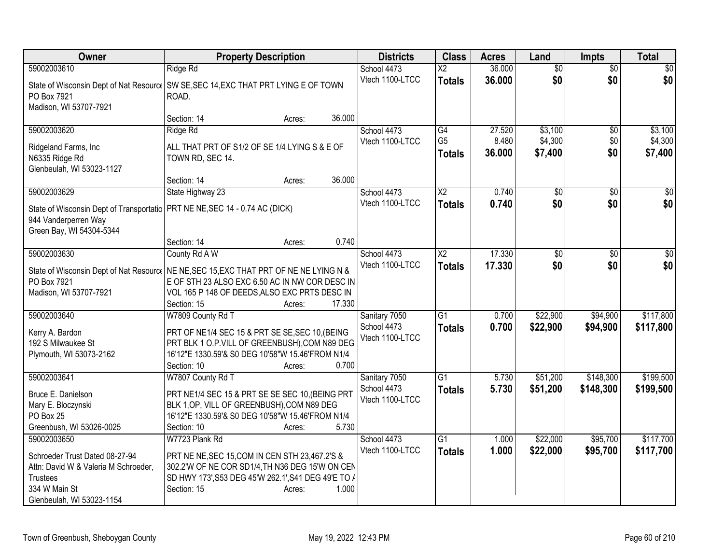| Owner                                                                         | <b>Property Description</b>                                                             |        | <b>Districts</b> | <b>Class</b>             | <b>Acres</b> | Land            | <b>Impts</b>    | <b>Total</b>    |
|-------------------------------------------------------------------------------|-----------------------------------------------------------------------------------------|--------|------------------|--------------------------|--------------|-----------------|-----------------|-----------------|
| 59002003610                                                                   | Ridge Rd                                                                                |        | School 4473      | $\overline{\mathsf{x2}}$ | 36.000       | $\overline{50}$ | $\overline{50}$ | $\sqrt{50}$     |
|                                                                               | State of Wisconsin Dept of Nat Resource   SW SE, SEC 14, EXC THAT PRT LYING E OF TOWN   |        | Vtech 1100-LTCC  | <b>Totals</b>            | 36.000       | \$0             | \$0             | \$0             |
| PO Box 7921                                                                   | ROAD.                                                                                   |        |                  |                          |              |                 |                 |                 |
| Madison, WI 53707-7921                                                        |                                                                                         |        |                  |                          |              |                 |                 |                 |
|                                                                               | Section: 14<br>Acres:                                                                   | 36.000 |                  |                          |              |                 |                 |                 |
| 59002003620                                                                   | Ridge Rd                                                                                |        | School 4473      | G4                       | 27.520       | \$3,100         | $\overline{50}$ | \$3,100         |
| Ridgeland Farms, Inc                                                          | ALL THAT PRT OF S1/2 OF SE 1/4 LYING S & E OF                                           |        | Vtech 1100-LTCC  | G <sub>5</sub>           | 8.480        | \$4,300         | \$0             | \$4,300         |
| N6335 Ridge Rd                                                                | TOWN RD, SEC 14.                                                                        |        |                  | <b>Totals</b>            | 36.000       | \$7,400         | \$0             | \$7,400         |
| Glenbeulah, WI 53023-1127                                                     |                                                                                         |        |                  |                          |              |                 |                 |                 |
|                                                                               | Section: 14<br>Acres:                                                                   | 36.000 |                  |                          |              |                 |                 |                 |
| 59002003629                                                                   | State Highway 23                                                                        |        | School 4473      | $\overline{X2}$          | 0.740        | $\overline{50}$ | $\overline{30}$ | $\overline{50}$ |
| State of Wisconsin Dept of Transportatic   PRT NE NE, SEC 14 - 0.74 AC (DICK) |                                                                                         |        | Vtech 1100-LTCC  | <b>Totals</b>            | 0.740        | \$0             | \$0             | \$0             |
| 944 Vanderperren Way                                                          |                                                                                         |        |                  |                          |              |                 |                 |                 |
| Green Bay, WI 54304-5344                                                      |                                                                                         |        |                  |                          |              |                 |                 |                 |
|                                                                               | Section: 14<br>Acres:                                                                   | 0.740  |                  |                          |              |                 |                 |                 |
| 59002003630                                                                   | County Rd A W                                                                           |        | School 4473      | $\overline{\text{X2}}$   | 17.330       | \$0             | \$0             | \$0             |
|                                                                               | State of Wisconsin Dept of Nat Resourc   NE NE, SEC 15, EXC THAT PRT OF NE NE LYING N & |        | Vtech 1100-LTCC  | <b>Totals</b>            | 17.330       | \$0             | \$0             | \$0             |
| PO Box 7921                                                                   | E OF STH 23 ALSO EXC 6.50 AC IN NW COR DESC IN                                          |        |                  |                          |              |                 |                 |                 |
| Madison, WI 53707-7921                                                        | VOL 165 P 148 OF DEEDS, ALSO EXC PRTS DESC IN                                           |        |                  |                          |              |                 |                 |                 |
|                                                                               | Section: 15<br>Acres:                                                                   | 17.330 |                  |                          |              |                 |                 |                 |
| 59002003640                                                                   | W7809 County Rd T                                                                       |        | Sanitary 7050    | $\overline{G1}$          | 0.700        | \$22,900        | \$94,900        | \$117,800       |
| Kerry A. Bardon                                                               | PRT OF NE1/4 SEC 15 & PRT SE SE, SEC 10, (BEING                                         |        | School 4473      | <b>Totals</b>            | 0.700        | \$22,900        | \$94,900        | \$117,800       |
| 192 S Milwaukee St                                                            | PRT BLK 1 O.P.VILL OF GREENBUSH), COM N89 DEG                                           |        | Vtech 1100-LTCC  |                          |              |                 |                 |                 |
| Plymouth, WI 53073-2162                                                       | 16'12"E 1330.59'& S0 DEG 10'58"W 15.46'FROM N1/4                                        |        |                  |                          |              |                 |                 |                 |
|                                                                               | Section: 10<br>Acres:                                                                   | 0.700  |                  |                          |              |                 |                 |                 |
| 59002003641                                                                   | W7807 County Rd T                                                                       |        | Sanitary 7050    | $\overline{G1}$          | 5.730        | \$51,200        | \$148,300       | \$199,500       |
| Bruce E. Danielson                                                            | PRT NE1/4 SEC 15 & PRT SE SE SEC 10, (BEING PRT                                         |        | School 4473      | <b>Totals</b>            | 5.730        | \$51,200        | \$148,300       | \$199,500       |
| Mary E. Bloczynski                                                            | BLK 1, OP, VILL OF GREENBUSH), COM N89 DEG                                              |        | Vtech 1100-LTCC  |                          |              |                 |                 |                 |
| PO Box 25                                                                     | 16'12"E 1330.59'& S0 DEG 10'58"W 15.46'FROM N1/4                                        |        |                  |                          |              |                 |                 |                 |
| Greenbush, WI 53026-0025                                                      | Section: 10<br>Acres:                                                                   | 5.730  |                  |                          |              |                 |                 |                 |
| 59002003650                                                                   | W7723 Plank Rd                                                                          |        | School 4473      | G1                       | 1.000        | \$22,000        | \$95,700        | \$117,700       |
| Schroeder Trust Dated 08-27-94                                                | PRT NE NE, SEC 15, COM IN CEN STH 23, 467.2'S &                                         |        | Vtech 1100-LTCC  | <b>Totals</b>            | 1.000        | \$22,000        | \$95,700        | \$117,700       |
| Attn: David W & Valeria M Schroeder,                                          | 302.2'W OF NE COR SD1/4, TH N36 DEG 15'W ON CEN                                         |        |                  |                          |              |                 |                 |                 |
| <b>Trustees</b>                                                               | SD HWY 173', S53 DEG 45'W 262.1', S41 DEG 49'E TO /                                     |        |                  |                          |              |                 |                 |                 |
| 334 W Main St                                                                 | Section: 15<br>Acres:                                                                   | 1.000  |                  |                          |              |                 |                 |                 |
| Glenbeulah, WI 53023-1154                                                     |                                                                                         |        |                  |                          |              |                 |                 |                 |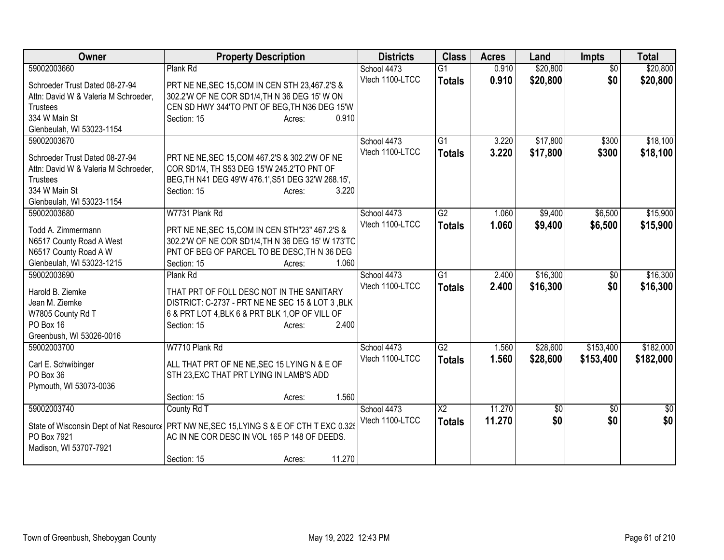| Owner                                 | <b>Property Description</b>                                                                | <b>Districts</b> | <b>Class</b>    | <b>Acres</b> | Land         | <b>Impts</b>    | <b>Total</b>    |
|---------------------------------------|--------------------------------------------------------------------------------------------|------------------|-----------------|--------------|--------------|-----------------|-----------------|
| 59002003660                           | Plank Rd                                                                                   | School 4473      | $\overline{G1}$ | 0.910        | \$20,800     | $\overline{50}$ | \$20,800        |
| Schroeder Trust Dated 08-27-94        | PRT NE NE, SEC 15, COM IN CEN STH 23, 467.2'S &                                            | Vtech 1100-LTCC  | <b>Totals</b>   | 0.910        | \$20,800     | \$0             | \$20,800        |
| Attn: David W & Valeria M Schroeder,  | 302.2'W OF NE COR SD1/4, TH N 36 DEG 15' W ON                                              |                  |                 |              |              |                 |                 |
| <b>Trustees</b>                       | CEN SD HWY 344'TO PNT OF BEG.TH N36 DEG 15'W                                               |                  |                 |              |              |                 |                 |
| 334 W Main St                         | 0.910<br>Section: 15<br>Acres:                                                             |                  |                 |              |              |                 |                 |
| Glenbeulah, WI 53023-1154             |                                                                                            |                  |                 |              |              |                 |                 |
| 59002003670                           |                                                                                            | School 4473      | G1              | 3.220        | \$17,800     | \$300           | \$18,100        |
| Schroeder Trust Dated 08-27-94        | PRT NE NE, SEC 15, COM 467.2'S & 302.2'W OF NE                                             | Vtech 1100-LTCC  | <b>Totals</b>   | 3.220        | \$17,800     | \$300           | \$18,100        |
| Attn: David W & Valeria M Schroeder,  | COR SD1/4, TH S53 DEG 15'W 245.2'TO PNT OF                                                 |                  |                 |              |              |                 |                 |
| <b>Trustees</b>                       | BEG, TH N41 DEG 49'W 476.1', S51 DEG 32'W 268.15',                                         |                  |                 |              |              |                 |                 |
| 334 W Main St                         | 3.220<br>Section: 15<br>Acres:                                                             |                  |                 |              |              |                 |                 |
| Glenbeulah, WI 53023-1154             |                                                                                            |                  |                 |              |              |                 |                 |
| 59002003680                           | W7731 Plank Rd                                                                             | School 4473      | G2              | 1.060        | \$9,400      | \$6,500         | \$15,900        |
| Todd A. Zimmermann                    | PRT NE NE, SEC 15, COM IN CEN STH"23" 467.2'S &                                            | Vtech 1100-LTCC  | <b>Totals</b>   | 1.060        | \$9,400      | \$6,500         | \$15,900        |
| N6517 County Road A West              | 302.2'W OF NE COR SD1/4, TH N 36 DEG 15' W 173'TO                                          |                  |                 |              |              |                 |                 |
| N6517 County Road A W                 | PNT OF BEG OF PARCEL TO BE DESC, TH N 36 DEG                                               |                  |                 |              |              |                 |                 |
| Glenbeulah, WI 53023-1215             | Section: 15<br>1.060<br>Acres:                                                             |                  |                 |              |              |                 |                 |
| 59002003690                           | Plank Rd                                                                                   | School 4473      | G1              | 2.400        | \$16,300     | $\overline{50}$ | \$16,300        |
|                                       |                                                                                            | Vtech 1100-LTCC  | <b>Totals</b>   | 2.400        | \$16,300     | \$0             | \$16,300        |
| Harold B. Ziemke                      | THAT PRT OF FOLL DESC NOT IN THE SANITARY                                                  |                  |                 |              |              |                 |                 |
| Jean M. Ziemke                        | DISTRICT: C-2737 - PRT NE NE SEC 15 & LOT 3, BLK                                           |                  |                 |              |              |                 |                 |
| W7805 County Rd T                     | 6 & PRT LOT 4, BLK 6 & PRT BLK 1, OP OF VILL OF<br>2.400                                   |                  |                 |              |              |                 |                 |
| PO Box 16<br>Greenbush, WI 53026-0016 | Section: 15<br>Acres:                                                                      |                  |                 |              |              |                 |                 |
| 59002003700                           | W7710 Plank Rd                                                                             | School 4473      | G2              | 1.560        | \$28,600     | \$153,400       | \$182,000       |
|                                       |                                                                                            | Vtech 1100-LTCC  | <b>Totals</b>   | 1.560        | \$28,600     | \$153,400       | \$182,000       |
| Carl E. Schwibinger                   | ALL THAT PRT OF NE NE, SEC 15 LYING N & E OF                                               |                  |                 |              |              |                 |                 |
| PO Box 36                             | STH 23, EXC THAT PRT LYING IN LAMB'S ADD                                                   |                  |                 |              |              |                 |                 |
| Plymouth, WI 53073-0036               |                                                                                            |                  |                 |              |              |                 |                 |
|                                       | 1.560<br>Section: 15<br>Acres:                                                             |                  |                 |              |              |                 |                 |
| 59002003740                           | County Rd T                                                                                | School 4473      | $\overline{X2}$ | 11.270       | $\sqrt[6]{}$ | $\sqrt[6]{3}$   | $\overline{50}$ |
|                                       | State of Wisconsin Dept of Nat Resourc   PRT NW NE, SEC 15, LYING S & E OF CTH T EXC 0.325 | Vtech 1100-LTCC  | <b>Totals</b>   | 11.270       | \$0          | \$0             | \$0             |
| PO Box 7921                           | AC IN NE COR DESC IN VOL 165 P 148 OF DEEDS.                                               |                  |                 |              |              |                 |                 |
| Madison, WI 53707-7921                |                                                                                            |                  |                 |              |              |                 |                 |
|                                       | 11.270<br>Section: 15<br>Acres:                                                            |                  |                 |              |              |                 |                 |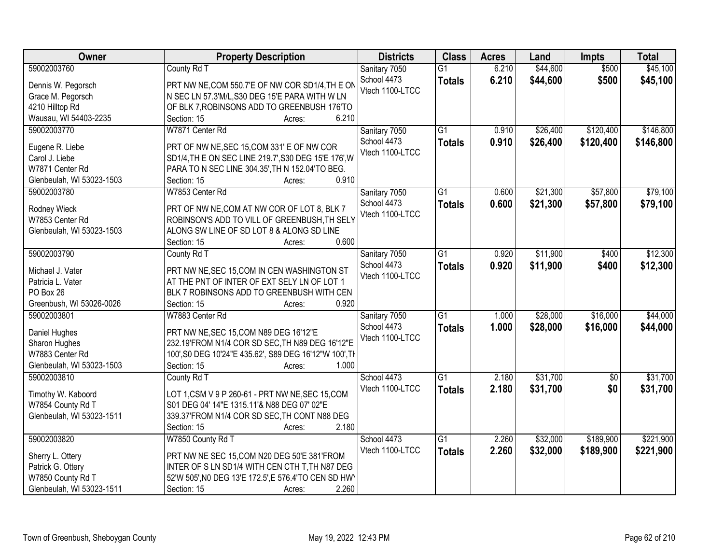| <b>Owner</b>                            | <b>Property Description</b>                                                                     | <b>Districts</b> | <b>Class</b>    | <b>Acres</b> | Land     | <b>Impts</b>    | <b>Total</b> |
|-----------------------------------------|-------------------------------------------------------------------------------------------------|------------------|-----------------|--------------|----------|-----------------|--------------|
| 59002003760                             | County Rd T                                                                                     | Sanitary 7050    | $\overline{G1}$ | 6.210        | \$44,600 | \$500           | \$45,100     |
| Dennis W. Pegorsch                      | PRT NW NE, COM 550.7'E OF NW COR SD1/4, TH E ON                                                 | School 4473      | <b>Totals</b>   | 6.210        | \$44,600 | \$500           | \$45,100     |
| Grace M. Pegorsch                       | N SEC LN 57.3'M/L, S30 DEG 15'E PARA WITH W LN                                                  | Vtech 1100-LTCC  |                 |              |          |                 |              |
| 4210 Hilltop Rd                         | OF BLK 7, ROBINSONS ADD TO GREENBUSH 176'TO                                                     |                  |                 |              |          |                 |              |
| Wausau, WI 54403-2235                   | 6.210<br>Section: 15<br>Acres:                                                                  |                  |                 |              |          |                 |              |
| 59002003770                             | W7871 Center Rd                                                                                 | Sanitary 7050    | $\overline{G1}$ | 0.910        | \$26,400 | \$120,400       | \$146,800    |
|                                         |                                                                                                 | School 4473      | <b>Totals</b>   | 0.910        | \$26,400 | \$120,400       | \$146,800    |
| Eugene R. Liebe                         | PRT OF NW NE, SEC 15, COM 331' E OF NW COR                                                      | Vtech 1100-LTCC  |                 |              |          |                 |              |
| Carol J. Liebe                          | SD1/4, TH E ON SEC LINE 219.7', S30 DEG 15'E 176', W                                            |                  |                 |              |          |                 |              |
| W7871 Center Rd                         | PARA TO N SEC LINE 304.35', TH N 152.04'TO BEG.                                                 |                  |                 |              |          |                 |              |
| Glenbeulah, WI 53023-1503               | 0.910<br>Section: 15<br>Acres:                                                                  |                  |                 |              |          |                 |              |
| 59002003780                             | W7853 Center Rd                                                                                 | Sanitary 7050    | $\overline{G1}$ | 0.600        | \$21,300 | \$57,800        | \$79,100     |
| Rodney Wieck                            | PRT OF NW NE, COM AT NW COR OF LOT 8, BLK 7                                                     | School 4473      | <b>Totals</b>   | 0.600        | \$21,300 | \$57,800        | \$79,100     |
| W7853 Center Rd                         | ROBINSON'S ADD TO VILL OF GREENBUSH, TH SELY                                                    | Vtech 1100-LTCC  |                 |              |          |                 |              |
| Glenbeulah, WI 53023-1503               | ALONG SW LINE OF SD LOT 8 & ALONG SD LINE                                                       |                  |                 |              |          |                 |              |
|                                         | 0.600<br>Section: 15<br>Acres:                                                                  |                  |                 |              |          |                 |              |
| 59002003790                             | County Rd T                                                                                     | Sanitary 7050    | $\overline{G1}$ | 0.920        | \$11,900 | \$400           | \$12,300     |
|                                         |                                                                                                 | School 4473      | <b>Totals</b>   | 0.920        | \$11,900 | \$400           | \$12,300     |
| Michael J. Vater                        | PRT NW NE, SEC 15, COM IN CEN WASHINGTON ST                                                     | Vtech 1100-LTCC  |                 |              |          |                 |              |
| Patricia L. Vater                       | AT THE PNT OF INTER OF EXT SELY LN OF LOT 1                                                     |                  |                 |              |          |                 |              |
| PO Box 26                               | BLK 7 ROBINSONS ADD TO GREENBUSH WITH CEN<br>0.920                                              |                  |                 |              |          |                 |              |
| Greenbush, WI 53026-0026                | Section: 15<br>Acres:<br>W7883 Center Rd                                                        |                  | $\overline{G1}$ | 1.000        | \$28,000 | \$16,000        | \$44,000     |
| 59002003801                             |                                                                                                 | Sanitary 7050    |                 |              |          |                 |              |
| Daniel Hughes                           | PRT NW NE, SEC 15, COM N89 DEG 16'12"E                                                          | School 4473      | <b>Totals</b>   | 1.000        | \$28,000 | \$16,000        | \$44,000     |
| Sharon Hughes                           | 232.19'FROM N1/4 COR SD SEC, TH N89 DEG 16'12"E                                                 | Vtech 1100-LTCC  |                 |              |          |                 |              |
| W7883 Center Rd                         | 100', S0 DEG 10'24"E 435.62', S89 DEG 16'12"W 100', TH                                          |                  |                 |              |          |                 |              |
| Glenbeulah, WI 53023-1503               | Section: 15<br>1.000<br>Acres:                                                                  |                  |                 |              |          |                 |              |
| 59002003810                             | County Rd T                                                                                     | School 4473      | G1              | 2.180        | \$31,700 | $\overline{50}$ | \$31,700     |
|                                         |                                                                                                 | Vtech 1100-LTCC  | <b>Totals</b>   | 2.180        | \$31,700 | \$0             | \$31,700     |
| Timothy W. Kaboord<br>W7854 County Rd T | LOT 1, CSM V 9 P 260-61 - PRT NW NE, SEC 15, COM<br>S01 DEG 04' 14"E 1315.11'& N88 DEG 07' 02"E |                  |                 |              |          |                 |              |
|                                         | 339.37'FROM N1/4 COR SD SEC, TH CONT N88 DEG                                                    |                  |                 |              |          |                 |              |
| Glenbeulah, WI 53023-1511               | 2.180<br>Section: 15                                                                            |                  |                 |              |          |                 |              |
| 59002003820                             | Acres:<br>W7850 County Rd T                                                                     | School 4473      | $\overline{G1}$ | 2.260        | \$32,000 | \$189,900       | \$221,900    |
|                                         |                                                                                                 | Vtech 1100-LTCC  |                 |              |          |                 |              |
| Sherry L. Ottery                        | PRT NW NE SEC 15, COM N20 DEG 50'E 381'FROM                                                     |                  | <b>Totals</b>   | 2.260        | \$32,000 | \$189,900       | \$221,900    |
| Patrick G. Ottery                       | INTER OF S LN SD1/4 WITH CEN CTH T, TH N87 DEG                                                  |                  |                 |              |          |                 |              |
| W7850 County Rd T                       | 52'W 505', NO DEG 13'E 172.5', E 576.4'TO CEN SD HWY                                            |                  |                 |              |          |                 |              |
| Glenbeulah, WI 53023-1511               | 2.260<br>Section: 15<br>Acres:                                                                  |                  |                 |              |          |                 |              |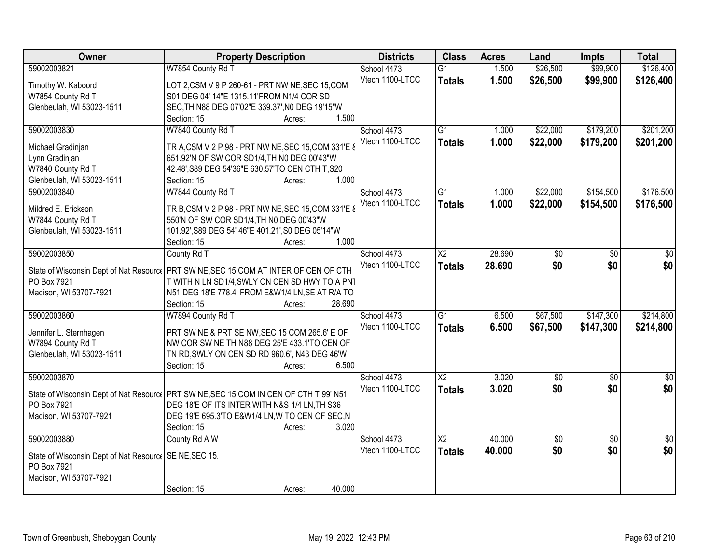| Owner                                                  | <b>Property Description</b>                                                             | <b>Districts</b> | <b>Class</b>           | <b>Acres</b> | Land            | <b>Impts</b>    | <b>Total</b>    |
|--------------------------------------------------------|-----------------------------------------------------------------------------------------|------------------|------------------------|--------------|-----------------|-----------------|-----------------|
| 59002003821                                            | W7854 County Rd T                                                                       | School 4473      | $\overline{G1}$        | 1.500        | \$26,500        | \$99,900        | \$126,400       |
| Timothy W. Kaboord                                     | LOT 2, CSM V 9 P 260-61 - PRT NW NE, SEC 15, COM                                        | Vtech 1100-LTCC  | <b>Totals</b>          | 1.500        | \$26,500        | \$99,900        | \$126,400       |
| W7854 County Rd T                                      | S01 DEG 04' 14"E 1315.11'FROM N1/4 COR SD                                               |                  |                        |              |                 |                 |                 |
| Glenbeulah, WI 53023-1511                              | SEC, TH N88 DEG 07'02"E 339.37', N0 DEG 19'15"W                                         |                  |                        |              |                 |                 |                 |
|                                                        | 1.500<br>Section: 15<br>Acres:                                                          |                  |                        |              |                 |                 |                 |
| 59002003830                                            | W7840 County Rd T                                                                       | School 4473      | $\overline{G1}$        | 1.000        | \$22,000        | \$179,200       | \$201,200       |
|                                                        |                                                                                         | Vtech 1100-LTCC  | <b>Totals</b>          | 1.000        | \$22,000        | \$179,200       | \$201,200       |
| Michael Gradinjan                                      | TR A, CSM V 2 P 98 - PRT NW NE, SEC 15, COM 331'E 8                                     |                  |                        |              |                 |                 |                 |
| Lynn Gradinjan                                         | 651.92'N OF SW COR SD1/4, TH N0 DEG 00'43"W                                             |                  |                        |              |                 |                 |                 |
| W7840 County Rd T                                      | 42.48', S89 DEG 54'36"E 630.57'TO CEN CTH T, S20                                        |                  |                        |              |                 |                 |                 |
| Glenbeulah, WI 53023-1511                              | 1.000<br>Section: 15<br>Acres:                                                          |                  |                        |              |                 |                 |                 |
| 59002003840                                            | W7844 County Rd T                                                                       | School 4473      | $\overline{G1}$        | 1.000        | \$22,000        | \$154,500       | \$176,500       |
| Mildred E. Erickson                                    | TR B, CSM V 2 P 98 - PRT NW NE, SEC 15, COM 331'E 8                                     | Vtech 1100-LTCC  | <b>Totals</b>          | 1.000        | \$22,000        | \$154,500       | \$176,500       |
| W7844 County Rd T                                      | 550'N OF SW COR SD1/4, TH N0 DEG 00'43"W                                                |                  |                        |              |                 |                 |                 |
| Glenbeulah, WI 53023-1511                              | 101.92', S89 DEG 54' 46"E 401.21', S0 DEG 05'14"W                                       |                  |                        |              |                 |                 |                 |
|                                                        | 1.000<br>Section: 15<br>Acres:                                                          |                  |                        |              |                 |                 |                 |
| 59002003850                                            | County Rd T                                                                             | School 4473      | $\overline{\text{X2}}$ | 28.690       | \$0             | \$0             | \$0             |
|                                                        |                                                                                         | Vtech 1100-LTCC  |                        |              | \$0             | \$0             | \$0             |
| State of Wisconsin Dept of Nat Resource                | PRT SW NE, SEC 15, COM AT INTER OF CEN OF CTH                                           |                  | <b>Totals</b>          | 28.690       |                 |                 |                 |
| PO Box 7921                                            | T WITH N LN SD1/4, SWLY ON CEN SD HWY TO A PN1                                          |                  |                        |              |                 |                 |                 |
| Madison, WI 53707-7921                                 | N51 DEG 18'E 778.4' FROM E&W1/4 LN, SE AT R/A TO                                        |                  |                        |              |                 |                 |                 |
|                                                        | Section: 15<br>28.690<br>Acres:                                                         |                  |                        |              |                 |                 |                 |
| 59002003860                                            | W7894 County Rd T                                                                       | School 4473      | $\overline{G1}$        | 6.500        | \$67,500        | \$147,300       | \$214,800       |
|                                                        | PRT SW NE & PRT SE NW, SEC 15 COM 265.6' E OF                                           | Vtech 1100-LTCC  | <b>Totals</b>          | 6.500        | \$67,500        | \$147,300       | \$214,800       |
| Jennifer L. Sternhagen<br>W7894 County Rd T            | NW COR SW NE TH N88 DEG 25'E 433.1'TO CEN OF                                            |                  |                        |              |                 |                 |                 |
|                                                        |                                                                                         |                  |                        |              |                 |                 |                 |
| Glenbeulah, WI 53023-1511                              | TN RD, SWLY ON CEN SD RD 960.6', N43 DEG 46'W<br>6.500<br>Section: 15                   |                  |                        |              |                 |                 |                 |
| 59002003870                                            | Acres:                                                                                  |                  | $\overline{\text{X2}}$ |              |                 |                 |                 |
|                                                        |                                                                                         | School 4473      |                        | 3.020        | $\sqrt{6}$      | $\overline{50}$ | $\overline{50}$ |
|                                                        | State of Wisconsin Dept of Nat Resourc   PRT SW NE, SEC 15, COM IN CEN OF CTH T 99' N51 | Vtech 1100-LTCC  | <b>Totals</b>          | 3.020        | \$0             | \$0             | \$0             |
| PO Box 7921                                            | DEG 18'E OF ITS INTER WITH N&S 1/4 LN, TH S36                                           |                  |                        |              |                 |                 |                 |
| Madison, WI 53707-7921                                 | DEG 19'E 695.3'TO E&W1/4 LN, W TO CEN OF SEC, N                                         |                  |                        |              |                 |                 |                 |
|                                                        | 3.020<br>Section: 15<br>Acres:                                                          |                  |                        |              |                 |                 |                 |
| 59002003880                                            | County Rd A W                                                                           | School 4473      | $\overline{\text{X2}}$ | 40.000       | $\overline{60}$ | $\overline{30}$ | $\overline{50}$ |
|                                                        |                                                                                         | Vtech 1100-LTCC  | <b>Totals</b>          | 40.000       | \$0             | \$0             | \$0             |
| State of Wisconsin Dept of Nat Resource<br>PO Box 7921 | SE NE, SEC 15.                                                                          |                  |                        |              |                 |                 |                 |
|                                                        |                                                                                         |                  |                        |              |                 |                 |                 |
| Madison, WI 53707-7921                                 | 40.000<br>Section: 15                                                                   |                  |                        |              |                 |                 |                 |
|                                                        | Acres:                                                                                  |                  |                        |              |                 |                 |                 |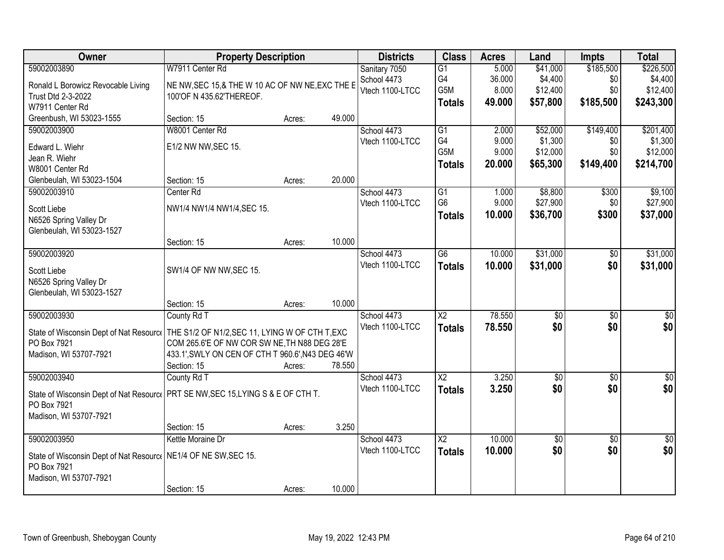| Owner                                                                             | <b>Property Description</b>                       |        |        | <b>Districts</b> | <b>Class</b>    | <b>Acres</b> | Land            | <b>Impts</b>    | <b>Total</b>    |
|-----------------------------------------------------------------------------------|---------------------------------------------------|--------|--------|------------------|-----------------|--------------|-----------------|-----------------|-----------------|
| 59002003890                                                                       | W7911 Center Rd                                   |        |        | Sanitary 7050    | $\overline{G1}$ | 5.000        | \$41,000        | \$185,500       | \$226,500       |
| Ronald L Borowicz Revocable Living                                                | NE NW, SEC 15,& THE W 10 AC OF NW NE, EXC THE E   |        |        | School 4473      | G4              | 36.000       | \$4,400         | \$0             | \$4,400         |
| Trust Dtd 2-3-2022                                                                | 100'OF N 435.62'THEREOF.                          |        |        | Vtech 1100-LTCC  | G5M             | 8.000        | \$12,400        | \$0             | \$12,400        |
| W7911 Center Rd                                                                   |                                                   |        |        |                  | <b>Totals</b>   | 49.000       | \$57,800        | \$185,500       | \$243,300       |
| Greenbush, WI 53023-1555                                                          | Section: 15                                       | Acres: | 49.000 |                  |                 |              |                 |                 |                 |
| 59002003900                                                                       | W8001 Center Rd                                   |        |        | School 4473      | $\overline{G1}$ | 2.000        | \$52,000        | \$149,400       | \$201,400       |
| Edward L. Wiehr                                                                   | E1/2 NW NW, SEC 15.                               |        |        | Vtech 1100-LTCC  | G4              | 9.000        | \$1,300         | \$0             | \$1,300         |
| Jean R. Wiehr                                                                     |                                                   |        |        |                  | G5M             | 9.000        | \$12,000        | \$0             | \$12,000        |
| W8001 Center Rd                                                                   |                                                   |        |        |                  | <b>Totals</b>   | 20.000       | \$65,300        | \$149,400       | \$214,700       |
| Glenbeulah, WI 53023-1504                                                         | Section: 15                                       | Acres: | 20.000 |                  |                 |              |                 |                 |                 |
| 59002003910                                                                       | Center Rd                                         |        |        | School 4473      | G1              | 1.000        | \$8,800         | \$300           | \$9,100         |
| Scott Liebe                                                                       | NW1/4 NW1/4 NW1/4, SEC 15.                        |        |        | Vtech 1100-LTCC  | G <sub>6</sub>  | 9.000        | \$27,900        | \$0             | \$27,900        |
| N6526 Spring Valley Dr                                                            |                                                   |        |        |                  | <b>Totals</b>   | 10.000       | \$36,700        | \$300           | \$37,000        |
| Glenbeulah, WI 53023-1527                                                         |                                                   |        |        |                  |                 |              |                 |                 |                 |
|                                                                                   | Section: 15                                       | Acres: | 10.000 |                  |                 |              |                 |                 |                 |
| 59002003920                                                                       |                                                   |        |        | School 4473      | $\overline{G6}$ | 10.000       | \$31,000        | \$0             | \$31,000        |
| Scott Liebe                                                                       | SW1/4 OF NW NW, SEC 15.                           |        |        | Vtech 1100-LTCC  | <b>Totals</b>   | 10.000       | \$31,000        | \$0             | \$31,000        |
| N6526 Spring Valley Dr                                                            |                                                   |        |        |                  |                 |              |                 |                 |                 |
| Glenbeulah, WI 53023-1527                                                         |                                                   |        |        |                  |                 |              |                 |                 |                 |
|                                                                                   | Section: 15                                       | Acres: | 10.000 |                  |                 |              |                 |                 |                 |
| 59002003930                                                                       | County Rd T                                       |        |        | School 4473      | $\overline{X2}$ | 78.550       | $\overline{50}$ | $\overline{50}$ | $\overline{50}$ |
| State of Wisconsin Dept of Nat Resource                                           | THE S1/2 OF N1/2, SEC 11, LYING W OF CTH T, EXC   |        |        | Vtech 1100-LTCC  | <b>Totals</b>   | 78.550       | \$0             | \$0             | \$0             |
| PO Box 7921                                                                       | COM 265.6'E OF NW COR SW NE, TH N88 DEG 28'E      |        |        |                  |                 |              |                 |                 |                 |
| Madison, WI 53707-7921                                                            | 433.1', SWLY ON CEN OF CTH T 960.6', N43 DEG 46'W |        |        |                  |                 |              |                 |                 |                 |
|                                                                                   | Section: 15                                       | Acres: | 78.550 |                  |                 |              |                 |                 |                 |
| 59002003940                                                                       | County Rd T                                       |        |        | School 4473      | $\overline{X2}$ | 3.250        | \$0             | \$0             | \$0             |
| State of Wisconsin Dept of Nat Resourc   PRT SE NW, SEC 15, LYING S & E OF CTH T. |                                                   |        |        | Vtech 1100-LTCC  | <b>Totals</b>   | 3.250        | \$0             | \$0             | \$0             |
| PO Box 7921                                                                       |                                                   |        |        |                  |                 |              |                 |                 |                 |
| Madison, WI 53707-7921                                                            |                                                   |        |        |                  |                 |              |                 |                 |                 |
|                                                                                   | Section: 15                                       | Acres: | 3.250  |                  |                 |              |                 |                 |                 |
| 59002003950                                                                       | Kettle Moraine Dr                                 |        |        | School 4473      | $\overline{X2}$ | 10.000       | \$0             | $\overline{30}$ | $\overline{50}$ |
| State of Wisconsin Dept of Nat Resourc   NE1/4 OF NE SW, SEC 15.                  |                                                   |        |        | Vtech 1100-LTCC  | <b>Totals</b>   | 10.000       | \$0             | \$0             | \$0             |
| PO Box 7921                                                                       |                                                   |        |        |                  |                 |              |                 |                 |                 |
| Madison, WI 53707-7921                                                            |                                                   |        |        |                  |                 |              |                 |                 |                 |
|                                                                                   | Section: 15                                       | Acres: | 10.000 |                  |                 |              |                 |                 |                 |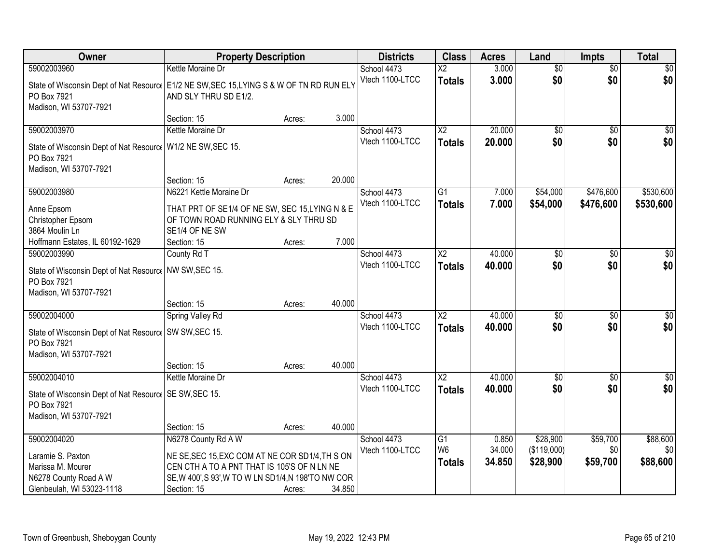| Owner                                                                                                                              | <b>Property Description</b>                                                                                 |        |        | <b>Districts</b>               | <b>Class</b>                     | <b>Acres</b>     | Land                    | <b>Impts</b>           | <b>Total</b>       |
|------------------------------------------------------------------------------------------------------------------------------------|-------------------------------------------------------------------------------------------------------------|--------|--------|--------------------------------|----------------------------------|------------------|-------------------------|------------------------|--------------------|
| 59002003960                                                                                                                        | Kettle Moraine Dr                                                                                           |        |        | School 4473                    | X2                               | 3.000            | $\overline{50}$         | $\overline{50}$        | $\overline{30}$    |
| State of Wisconsin Dept of Nat Resourc   E1/2 NE SW, SEC 15, LYING S & W OF TN RD RUN ELY<br>PO Box 7921<br>Madison, WI 53707-7921 | AND SLY THRU SD E1/2.                                                                                       |        |        | Vtech 1100-LTCC                | <b>Totals</b>                    | 3.000            | \$0                     | \$0                    | \$0                |
|                                                                                                                                    | Section: 15                                                                                                 | Acres: | 3.000  |                                |                                  |                  |                         |                        |                    |
| 59002003970                                                                                                                        | Kettle Moraine Dr                                                                                           |        |        | School 4473                    | $\overline{\text{X2}}$           | 20.000           | $\overline{50}$         | $\overline{50}$        | \$0                |
| State of Wisconsin Dept of Nat Resource<br>PO Box 7921<br>Madison, WI 53707-7921                                                   | W1/2 NE SW, SEC 15.                                                                                         |        |        | Vtech 1100-LTCC                | <b>Totals</b>                    | 20,000           | \$0                     | \$0                    | \$0                |
|                                                                                                                                    | Section: 15                                                                                                 | Acres: | 20.000 |                                |                                  |                  |                         |                        |                    |
| 59002003980                                                                                                                        | N6221 Kettle Moraine Dr                                                                                     |        |        | School 4473                    | $\overline{G1}$                  | 7.000            | \$54,000                | \$476,600              | \$530,600          |
| Anne Epsom<br>Christopher Epsom<br>3864 Moulin Ln                                                                                  | THAT PRT OF SE1/4 OF NE SW, SEC 15, LYING N & E<br>OF TOWN ROAD RUNNING ELY & SLY THRU SD<br>SE1/4 OF NE SW |        |        | Vtech 1100-LTCC                | <b>Totals</b>                    | 7.000            | \$54,000                | \$476,600              | \$530,600          |
| Hoffmann Estates, IL 60192-1629                                                                                                    | Section: 15                                                                                                 | Acres: | 7.000  |                                |                                  |                  |                         |                        |                    |
| 59002003990<br>State of Wisconsin Dept of Nat Resource<br>PO Box 7921<br>Madison, WI 53707-7921                                    | County Rd T<br>NW SW, SEC 15.                                                                               |        |        | School 4473<br>Vtech 1100-LTCC | X <sub>2</sub><br><b>Totals</b>  | 40.000<br>40.000 | \$0<br>\$0              | $\sqrt{6}$<br>\$0      | $\sqrt{50}$<br>\$0 |
|                                                                                                                                    | Section: 15                                                                                                 | Acres: | 40.000 |                                |                                  |                  |                         |                        |                    |
| 59002004000<br>State of Wisconsin Dept of Nat Resourc   SW SW, SEC 15.<br>PO Box 7921<br>Madison, WI 53707-7921                    | <b>Spring Valley Rd</b>                                                                                     |        |        | School 4473<br>Vtech 1100-LTCC | $\overline{X2}$<br><b>Totals</b> | 40.000<br>40.000 | $\overline{50}$<br>\$0  | $\overline{50}$<br>\$0 | $\sqrt{50}$<br>\$0 |
|                                                                                                                                    | Section: 15                                                                                                 | Acres: | 40.000 |                                |                                  |                  |                         |                        |                    |
| 59002004010<br>State of Wisconsin Dept of Nat Resourc   SE SW, SEC 15.<br>PO Box 7921<br>Madison, WI 53707-7921                    | Kettle Moraine Dr                                                                                           |        |        | School 4473<br>Vtech 1100-LTCC | $\overline{X2}$<br><b>Totals</b> | 40.000<br>40.000 | $\sqrt{6}$<br>\$0       | $\overline{50}$<br>\$0 | \$0<br>\$0         |
|                                                                                                                                    | Section: 15                                                                                                 | Acres: | 40.000 |                                |                                  |                  |                         |                        |                    |
| 59002004020                                                                                                                        | N6278 County Rd A W                                                                                         |        |        | School 4473<br>Vtech 1100-LTCC | G1<br>W <sub>6</sub>             | 0.850<br>34.000  | \$28,900<br>(\$119,000) | \$59,700<br>\$0        | \$88,600<br>\$0    |
| Laramie S. Paxton                                                                                                                  | NE SE, SEC 15, EXC COM AT NE COR SD1/4, TH S ON<br>CEN CTH A TO A PNT THAT IS 105'S OF N LN NE              |        |        |                                | <b>Totals</b>                    | 34.850           | \$28,900                | \$59,700               | \$88,600           |
| Marissa M. Mourer<br>N6278 County Road A W                                                                                         | SE, W 400', S 93', W TO W LN SD1/4, N 198'TO NW COR                                                         |        |        |                                |                                  |                  |                         |                        |                    |
| Glenbeulah, WI 53023-1118                                                                                                          | Section: 15                                                                                                 | Acres: | 34.850 |                                |                                  |                  |                         |                        |                    |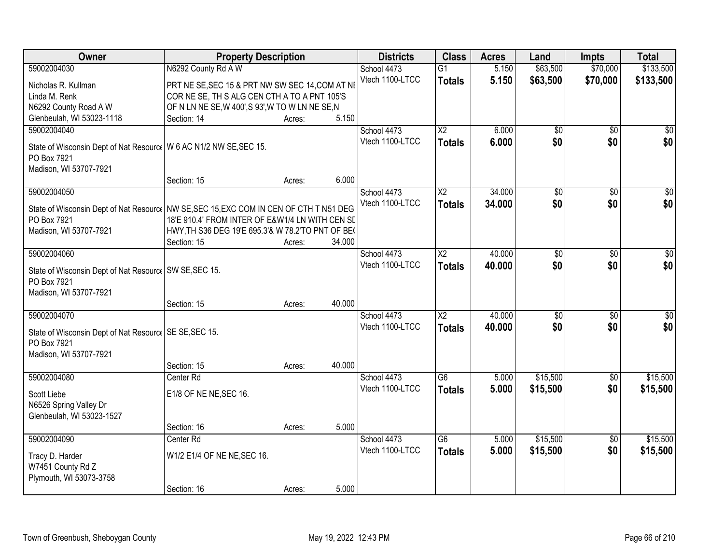| Owner                                                                                   | <b>Property Description</b>                       |        |        | <b>Districts</b>               | <b>Class</b>           | <b>Acres</b> | Land            | <b>Impts</b>    | <b>Total</b>    |
|-----------------------------------------------------------------------------------------|---------------------------------------------------|--------|--------|--------------------------------|------------------------|--------------|-----------------|-----------------|-----------------|
| 59002004030                                                                             | N6292 County Rd A W                               |        |        | School 4473                    | $\overline{G1}$        | 5.150        | \$63,500        | \$70,000        | \$133,500       |
| Nicholas R. Kullman                                                                     | PRT NE SE, SEC 15 & PRT NW SW SEC 14, COM AT NE   |        |        | Vtech 1100-LTCC                | <b>Totals</b>          | 5.150        | \$63,500        | \$70,000        | \$133,500       |
| Linda M. Renk                                                                           | COR NE SE, TH S ALG CEN CTH A TO A PNT 105'S      |        |        |                                |                        |              |                 |                 |                 |
| N6292 County Road A W                                                                   | OF N LN NE SE, W 400', S 93', W TO W LN NE SE, N  |        |        |                                |                        |              |                 |                 |                 |
| Glenbeulah, WI 53023-1118                                                               | Section: 14                                       | Acres: | 5.150  |                                |                        |              |                 |                 |                 |
| 59002004040                                                                             |                                                   |        |        | School 4473                    | $\overline{X2}$        | 6.000        | \$0             | $\overline{50}$ | $\sqrt{50}$     |
|                                                                                         |                                                   |        |        | Vtech 1100-LTCC                | <b>Totals</b>          | 6.000        | \$0             | \$0             | \$0             |
| State of Wisconsin Dept of Nat Resourc   W 6 AC N1/2 NW SE, SEC 15.                     |                                                   |        |        |                                |                        |              |                 |                 |                 |
| PO Box 7921                                                                             |                                                   |        |        |                                |                        |              |                 |                 |                 |
| Madison, WI 53707-7921                                                                  |                                                   |        | 6.000  |                                |                        |              |                 |                 |                 |
|                                                                                         | Section: 15                                       | Acres: |        |                                |                        | 34,000       |                 |                 |                 |
| 59002004050                                                                             |                                                   |        |        | School 4473<br>Vtech 1100-LTCC | X2                     |              | \$0<br>\$0      | \$0             | \$0             |
| State of Wisconsin Dept of Nat Resourc   NW SE, SEC 15, EXC COM IN CEN OF CTH T N51 DEG |                                                   |        |        |                                | <b>Totals</b>          | 34.000       |                 | \$0             | \$0             |
| PO Box 7921                                                                             | 18'E 910.4' FROM INTER OF E&W1/4 LN WITH CEN SE   |        |        |                                |                        |              |                 |                 |                 |
| Madison, WI 53707-7921                                                                  | HWY, TH S36 DEG 19'E 695.3'& W 78.2'TO PNT OF BE( |        |        |                                |                        |              |                 |                 |                 |
|                                                                                         | Section: 15                                       | Acres: | 34.000 |                                |                        |              |                 |                 |                 |
| 59002004060                                                                             |                                                   |        |        | School 4473                    | $\overline{\text{X2}}$ | 40.000       | \$0             | \$0             | \$0             |
| State of Wisconsin Dept of Nat Resourc   SW SE, SEC 15.                                 |                                                   |        |        | Vtech 1100-LTCC                | <b>Totals</b>          | 40.000       | \$0             | \$0             | \$0             |
| PO Box 7921                                                                             |                                                   |        |        |                                |                        |              |                 |                 |                 |
| Madison, WI 53707-7921                                                                  |                                                   |        |        |                                |                        |              |                 |                 |                 |
|                                                                                         | Section: 15                                       | Acres: | 40.000 |                                |                        |              |                 |                 |                 |
| 59002004070                                                                             |                                                   |        |        | School 4473                    | $\overline{\text{X2}}$ | 40.000       | $\overline{50}$ | $\overline{50}$ | $\overline{50}$ |
|                                                                                         |                                                   |        |        | Vtech 1100-LTCC                | <b>Totals</b>          | 40.000       | \$0             | \$0             | \$0             |
| State of Wisconsin Dept of Nat Resourc   SE SE, SEC 15.                                 |                                                   |        |        |                                |                        |              |                 |                 |                 |
| PO Box 7921                                                                             |                                                   |        |        |                                |                        |              |                 |                 |                 |
| Madison, WI 53707-7921                                                                  | Section: 15                                       |        | 40.000 |                                |                        |              |                 |                 |                 |
| 59002004080                                                                             | Center Rd                                         | Acres: |        | School 4473                    | $\overline{G6}$        | 5.000        | \$15,500        | $\overline{50}$ | \$15,500        |
|                                                                                         |                                                   |        |        | Vtech 1100-LTCC                |                        | 5.000        | \$15,500        | \$0             | \$15,500        |
| Scott Liebe                                                                             | E1/8 OF NE NE, SEC 16.                            |        |        |                                | <b>Totals</b>          |              |                 |                 |                 |
| N6526 Spring Valley Dr                                                                  |                                                   |        |        |                                |                        |              |                 |                 |                 |
| Glenbeulah, WI 53023-1527                                                               |                                                   |        |        |                                |                        |              |                 |                 |                 |
|                                                                                         | Section: 16                                       | Acres: | 5.000  |                                |                        |              |                 |                 |                 |
| 59002004090                                                                             | Center Rd                                         |        |        | School 4473                    | $\overline{G6}$        | 5.000        | \$15,500        | $\overline{50}$ | \$15,500        |
| Tracy D. Harder                                                                         | W1/2 E1/4 OF NE NE, SEC 16.                       |        |        | Vtech 1100-LTCC                | <b>Totals</b>          | 5.000        | \$15,500        | \$0             | \$15,500        |
| W7451 County Rd Z                                                                       |                                                   |        |        |                                |                        |              |                 |                 |                 |
| Plymouth, WI 53073-3758                                                                 |                                                   |        |        |                                |                        |              |                 |                 |                 |
|                                                                                         | Section: 16                                       | Acres: | 5.000  |                                |                        |              |                 |                 |                 |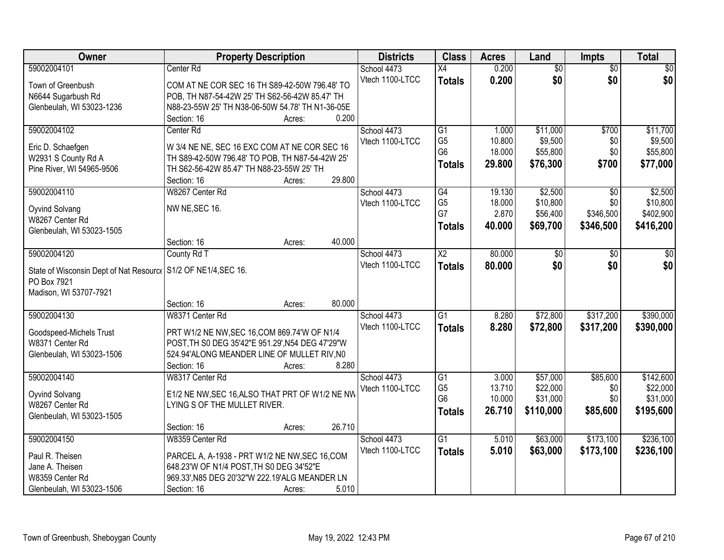| Owner                                                           | <b>Property Description</b>                                                                     |        | <b>Districts</b>               | <b>Class</b>    | <b>Acres</b> | Land            | <b>Impts</b>    | <b>Total</b> |
|-----------------------------------------------------------------|-------------------------------------------------------------------------------------------------|--------|--------------------------------|-----------------|--------------|-----------------|-----------------|--------------|
| 59002004101                                                     | Center Rd                                                                                       |        | School 4473                    | $\overline{X4}$ | 0.200        | $\overline{50}$ | $\overline{60}$ | \$0          |
| Town of Greenbush                                               | COM AT NE COR SEC 16 TH S89-42-50W 796.48' TO                                                   |        | Vtech 1100-LTCC                | <b>Totals</b>   | 0.200        | \$0             | \$0             | \$0          |
| N6644 Sugarbush Rd                                              | POB, TH N87-54-42W 25' TH S62-56-42W 85.47' TH                                                  |        |                                |                 |              |                 |                 |              |
| Glenbeulah, WI 53023-1236                                       | N88-23-55W 25' TH N38-06-50W 54.78' TH N1-36-05E                                                |        |                                |                 |              |                 |                 |              |
|                                                                 | Section: 16<br>Acres:                                                                           | 0.200  |                                |                 |              |                 |                 |              |
| 59002004102                                                     | Center Rd                                                                                       |        | School 4473                    | $\overline{G1}$ | 1.000        | \$11,000        | \$700           | \$11,700     |
|                                                                 |                                                                                                 |        | Vtech 1100-LTCC                | G <sub>5</sub>  | 10.800       | \$9,500         | \$0             | \$9,500      |
| Eric D. Schaefgen<br>W2931 S County Rd A                        | W 3/4 NE NE, SEC 16 EXC COM AT NE COR SEC 16<br>TH S89-42-50W 796.48' TO POB, TH N87-54-42W 25' |        |                                | G <sub>6</sub>  | 18.000       | \$55,800        | \$0             | \$55,800     |
| Pine River, WI 54965-9506                                       | TH S62-56-42W 85.47' TH N88-23-55W 25' TH                                                       |        |                                | <b>Totals</b>   | 29.800       | \$76,300        | \$700           | \$77,000     |
|                                                                 | Section: 16<br>Acres:                                                                           | 29.800 |                                |                 |              |                 |                 |              |
| 59002004110                                                     | W8267 Center Rd                                                                                 |        | School 4473                    | G4              | 19.130       | \$2,500         | \$0             | \$2,500      |
|                                                                 |                                                                                                 |        | Vtech 1100-LTCC                | G <sub>5</sub>  | 18.000       | \$10,800        | \$0             | \$10,800     |
| Oyvind Solvang                                                  | NW NE, SEC 16.                                                                                  |        |                                | G7              | 2.870        | \$56,400        | \$346,500       | \$402,900    |
| W8267 Center Rd                                                 |                                                                                                 |        |                                | <b>Totals</b>   | 40.000       | \$69,700        | \$346,500       | \$416,200    |
| Glenbeulah, WI 53023-1505                                       |                                                                                                 |        |                                |                 |              |                 |                 |              |
|                                                                 | Section: 16<br>Acres:                                                                           | 40.000 |                                |                 |              |                 |                 |              |
| 59002004120                                                     | County Rd T                                                                                     |        | School 4473<br>Vtech 1100-LTCC | $\overline{X2}$ | 80.000       | \$0             | $\sqrt[6]{3}$   | \$0          |
| State of Wisconsin Dept of Nat Resourc   S1/2 OF NE1/4, SEC 16. |                                                                                                 |        |                                | <b>Totals</b>   | 80.000       | \$0             | \$0             | \$0          |
| PO Box 7921                                                     |                                                                                                 |        |                                |                 |              |                 |                 |              |
| Madison, WI 53707-7921                                          |                                                                                                 |        |                                |                 |              |                 |                 |              |
|                                                                 | Section: 16<br>Acres:                                                                           | 80.000 |                                |                 |              |                 |                 |              |
| 59002004130                                                     | W8371 Center Rd                                                                                 |        | School 4473                    | $\overline{G1}$ | 8.280        | \$72,800        | \$317,200       | \$390,000    |
| Goodspeed-Michels Trust                                         | PRT W1/2 NE NW, SEC 16, COM 869.74'W OF N1/4                                                    |        | Vtech 1100-LTCC                | <b>Totals</b>   | 8.280        | \$72,800        | \$317,200       | \$390,000    |
| W8371 Center Rd                                                 | POST, TH S0 DEG 35'42"E 951.29', N54 DEG 47'29"W                                                |        |                                |                 |              |                 |                 |              |
| Glenbeulah, WI 53023-1506                                       | 524.94'ALONG MEANDER LINE OF MULLET RIV, NO                                                     |        |                                |                 |              |                 |                 |              |
|                                                                 | Section: 16<br>Acres:                                                                           | 8.280  |                                |                 |              |                 |                 |              |
| 59002004140                                                     | W8317 Center Rd                                                                                 |        | School 4473                    | $\overline{G1}$ | 3.000        | \$57,000        | \$85,600        | \$142,600    |
| Oyvind Solvang                                                  | E1/2 NE NW, SEC 16, ALSO THAT PRT OF W1/2 NE NW                                                 |        | Vtech 1100-LTCC                | G <sub>5</sub>  | 13.710       | \$22,000        | \$0             | \$22,000     |
| W8267 Center Rd                                                 | LYING S OF THE MULLET RIVER.                                                                    |        |                                | G <sub>6</sub>  | 10.000       | \$31,000        | \$0             | \$31,000     |
| Glenbeulah, WI 53023-1505                                       |                                                                                                 |        |                                | <b>Totals</b>   | 26.710       | \$110,000       | \$85,600        | \$195,600    |
|                                                                 | Section: 16<br>Acres:                                                                           | 26.710 |                                |                 |              |                 |                 |              |
| 59002004150                                                     | W8359 Center Rd                                                                                 |        | School 4473                    | $\overline{G1}$ | 5.010        | \$63,000        | \$173,100       | \$236,100    |
|                                                                 |                                                                                                 |        | Vtech 1100-LTCC                | <b>Totals</b>   | 5.010        | \$63,000        | \$173,100       | \$236,100    |
| Paul R. Theisen                                                 | PARCEL A, A-1938 - PRT W1/2 NE NW, SEC 16, COM                                                  |        |                                |                 |              |                 |                 |              |
| Jane A. Theisen                                                 | 648.23'W OF N1/4 POST, TH S0 DEG 34'52"E                                                        |        |                                |                 |              |                 |                 |              |
| W8359 Center Rd                                                 | 969.33', N85 DEG 20'32"W 222.19'ALG MEANDER LN                                                  |        |                                |                 |              |                 |                 |              |
| Glenbeulah, WI 53023-1506                                       | Section: 16<br>Acres:                                                                           | 5.010  |                                |                 |              |                 |                 |              |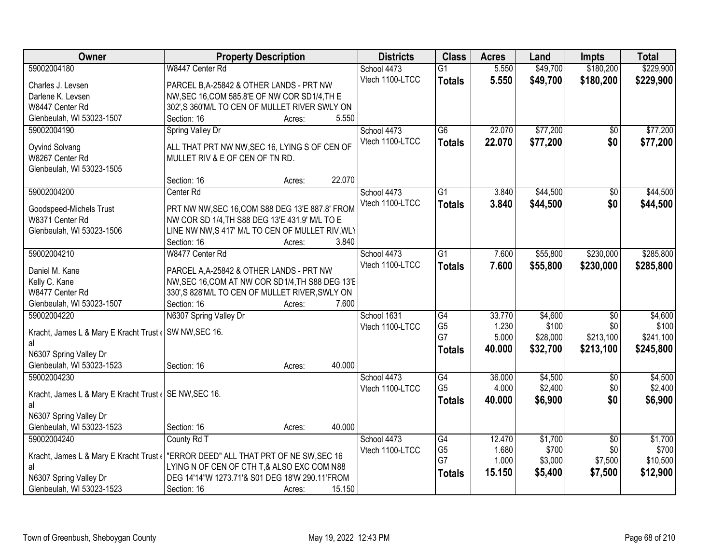| Owner                                                 | <b>Property Description</b>                      | <b>Districts</b> | <b>Class</b>    | <b>Acres</b> | Land     | <b>Impts</b>    | <b>Total</b> |
|-------------------------------------------------------|--------------------------------------------------|------------------|-----------------|--------------|----------|-----------------|--------------|
| 59002004180                                           | W8447 Center Rd                                  | School 4473      | $\overline{G1}$ | 5.550        | \$49,700 | \$180,200       | \$229,900    |
| Charles J. Levsen                                     | PARCEL B, A-25842 & OTHER LANDS - PRT NW         | Vtech 1100-LTCC  | <b>Totals</b>   | 5.550        | \$49,700 | \$180,200       | \$229,900    |
| Darlene K. Levsen                                     | NW, SEC 16, COM 585.8'E OF NW COR SD1/4, TH E    |                  |                 |              |          |                 |              |
| W8447 Center Rd                                       | 302',S 360'M/L TO CEN OF MULLET RIVER SWLY ON    |                  |                 |              |          |                 |              |
| Glenbeulah, WI 53023-1507                             | 5.550<br>Section: 16<br>Acres:                   |                  |                 |              |          |                 |              |
| 59002004190                                           | Spring Valley Dr                                 | School 4473      | $\overline{G6}$ | 22.070       | \$77,200 | $\overline{50}$ | \$77,200     |
|                                                       |                                                  | Vtech 1100-LTCC  | <b>Totals</b>   | 22.070       | \$77,200 | \$0             | \$77,200     |
| Oyvind Solvang                                        | ALL THAT PRT NW NW, SEC 16, LYING S OF CEN OF    |                  |                 |              |          |                 |              |
| W8267 Center Rd                                       | MULLET RIV & E OF CEN OF TN RD.                  |                  |                 |              |          |                 |              |
| Glenbeulah, WI 53023-1505                             |                                                  |                  |                 |              |          |                 |              |
|                                                       | 22.070<br>Section: 16<br>Acres:                  |                  |                 |              |          |                 |              |
| 59002004200                                           | Center Rd                                        | School 4473      | G1              | 3.840        | \$44,500 | \$0             | \$44,500     |
| Goodspeed-Michels Trust                               | PRT NW NW, SEC 16, COM S88 DEG 13'E 887.8' FROM  | Vtech 1100-LTCC  | <b>Totals</b>   | 3.840        | \$44,500 | \$0             | \$44,500     |
| W8371 Center Rd                                       | NW COR SD 1/4, TH S88 DEG 13'E 431.9' M/L TO E   |                  |                 |              |          |                 |              |
| Glenbeulah, WI 53023-1506                             | LINE NW NW, S 417' M/L TO CEN OF MULLET RIV, WLY |                  |                 |              |          |                 |              |
|                                                       | 3.840<br>Section: 16<br>Acres:                   |                  |                 |              |          |                 |              |
| 59002004210                                           | W8477 Center Rd                                  | School 4473      | G1              | 7.600        | \$55,800 | \$230,000       | \$285,800    |
| Daniel M. Kane                                        | PARCEL A, A-25842 & OTHER LANDS - PRT NW         | Vtech 1100-LTCC  | <b>Totals</b>   | 7.600        | \$55,800 | \$230,000       | \$285,800    |
| Kelly C. Kane                                         | NW, SEC 16, COM AT NW COR SD1/4, TH S88 DEG 13'E |                  |                 |              |          |                 |              |
| W8477 Center Rd                                       | 330', S 828'M/L TO CEN OF MULLET RIVER, SWLY ON  |                  |                 |              |          |                 |              |
| Glenbeulah, WI 53023-1507                             | Section: 16<br>7.600<br>Acres:                   |                  |                 |              |          |                 |              |
| 59002004220                                           | N6307 Spring Valley Dr                           | School 1631      | $\overline{G4}$ | 33.770       | \$4,600  | $\overline{50}$ | \$4,600      |
|                                                       |                                                  | Vtech 1100-LTCC  | G <sub>5</sub>  | 1.230        | \$100    | \$0             | \$100        |
| Kracht, James L & Mary E Kracht Trust (               | SW NW, SEC 16.                                   |                  | G7              | 5.000        | \$28,000 | \$213,100       | \$241,100    |
| al                                                    |                                                  |                  | <b>Totals</b>   | 40.000       | \$32,700 | \$213,100       | \$245,800    |
| N6307 Spring Valley Dr                                |                                                  |                  |                 |              |          |                 |              |
| Glenbeulah, WI 53023-1523                             | 40.000<br>Section: 16<br>Acres:                  |                  |                 |              |          |                 |              |
| 59002004230                                           |                                                  | School 4473      | G4              | 36.000       | \$4,500  | $\overline{30}$ | \$4,500      |
| Kracht, James L & Mary E Kracht Trust (SE NW, SEC 16. |                                                  | Vtech 1100-LTCC  | G <sub>5</sub>  | 4.000        | \$2,400  | \$0             | \$2,400      |
| al                                                    |                                                  |                  | <b>Totals</b>   | 40.000       | \$6,900  | \$0             | \$6,900      |
| N6307 Spring Valley Dr                                |                                                  |                  |                 |              |          |                 |              |
| Glenbeulah, WI 53023-1523                             | 40.000<br>Section: 16<br>Acres:                  |                  |                 |              |          |                 |              |
| 59002004240                                           | County Rd T                                      | School 4473      | G4              | 12.470       | \$1,700  | $\overline{50}$ | \$1,700      |
| Kracht, James L & Mary E Kracht Trust (               | "ERROR DEED" ALL THAT PRT OF NE SW, SEC 16       | Vtech 1100-LTCC  | G <sub>5</sub>  | 1.680        | \$700    | \$0             | \$700        |
| al                                                    | LYING N OF CEN OF CTH T,& ALSO EXC COM N88       |                  | G7              | 1.000        | \$3,000  | \$7,500         | \$10,500     |
| N6307 Spring Valley Dr                                | DEG 14'14"W 1273.71'& S01 DEG 18'W 290.11'FROM   |                  | <b>Totals</b>   | 15.150       | \$5,400  | \$7,500         | \$12,900     |
| Glenbeulah, WI 53023-1523                             | Section: 16<br>15.150<br>Acres:                  |                  |                 |              |          |                 |              |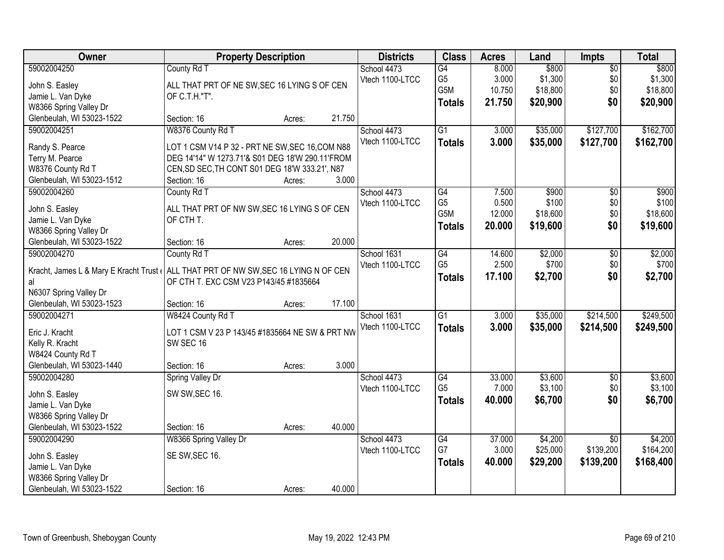| Owner                                    | <b>Property Description</b>                                                          | <b>Districts</b> | <b>Class</b>    | <b>Acres</b>     | Land   | Impts    | <b>Total</b>    |           |
|------------------------------------------|--------------------------------------------------------------------------------------|------------------|-----------------|------------------|--------|----------|-----------------|-----------|
| 59002004250                              | County Rd T                                                                          |                  | School 4473     | G4               | 8.000  | \$800    | $\overline{50}$ | \$800     |
| John S. Easley                           | ALL THAT PRT OF NE SW, SEC 16 LYING S OF CEN                                         |                  | Vtech 1100-LTCC | G <sub>5</sub>   | 3.000  | \$1,300  | \$0             | \$1,300   |
| Jamie L. Van Dyke                        | OF C.T.H."T".                                                                        |                  |                 | G5M              | 10.750 | \$18,800 | \$0             | \$18,800  |
| W8366 Spring Valley Dr                   |                                                                                      |                  |                 | <b>Totals</b>    | 21.750 | \$20,900 | \$0             | \$20,900  |
| Glenbeulah, WI 53023-1522                | Section: 16<br>Acres:                                                                | 21.750           |                 |                  |        |          |                 |           |
| 59002004251                              | W8376 County Rd T                                                                    |                  | School 4473     | $\overline{G1}$  | 3.000  | \$35,000 | \$127,700       | \$162,700 |
| Randy S. Pearce                          | LOT 1 CSM V14 P 32 - PRT NE SW, SEC 16, COM N88                                      |                  | Vtech 1100-LTCC | <b>Totals</b>    | 3.000  | \$35,000 | \$127,700       | \$162,700 |
| Terry M. Pearce                          | DEG 14'14" W 1273.71'& S01 DEG 18'W 290.11'FROM                                      |                  |                 |                  |        |          |                 |           |
| W8376 County Rd T                        | CEN, SD SEC, TH CONT S01 DEG 18'W 333.21', N87                                       |                  |                 |                  |        |          |                 |           |
| Glenbeulah, WI 53023-1512                | Section: 16<br>Acres:                                                                | 3.000            |                 |                  |        |          |                 |           |
| 59002004260                              | County Rd T                                                                          |                  | School 4473     | G4               | 7.500  | \$900    | \$0             | \$900     |
|                                          |                                                                                      |                  | Vtech 1100-LTCC | G <sub>5</sub>   | 0.500  | \$100    | \$0\$           | \$100     |
| John S. Easley<br>Jamie L. Van Dyke      | ALL THAT PRT OF NW SW, SEC 16 LYING S OF CEN<br>OF CTH T.                            |                  |                 | G <sub>5</sub> M | 12.000 | \$18,600 | \$0             | \$18,600  |
| W8366 Spring Valley Dr                   |                                                                                      |                  |                 | <b>Totals</b>    | 20,000 | \$19,600 | \$0             | \$19,600  |
| Glenbeulah, WI 53023-1522                | Section: 16<br>Acres:                                                                | 20.000           |                 |                  |        |          |                 |           |
| 59002004270                              | County Rd T                                                                          |                  | School 1631     | G4               | 14.600 | \$2,000  | \$0             | \$2,000   |
|                                          |                                                                                      |                  | Vtech 1100-LTCC | G <sub>5</sub>   | 2.500  | \$700    | \$0             | \$700     |
|                                          | Kracht, James L & Mary E Kracht Trust ( ALL THAT PRT OF NW SW, SEC 16 LYING N OF CEN |                  |                 | <b>Totals</b>    | 17.100 | \$2,700  | \$0             | \$2,700   |
| al<br>N6307 Spring Valley Dr             | OF CTH T. EXC CSM V23 P143/45 #1835664                                               |                  |                 |                  |        |          |                 |           |
| Glenbeulah, WI 53023-1523                | Section: 16<br>Acres:                                                                | 17.100           |                 |                  |        |          |                 |           |
| 59002004271                              | W8424 County Rd T                                                                    |                  | School 1631     | $\overline{G1}$  | 3.000  | \$35,000 | \$214,500       | \$249,500 |
|                                          |                                                                                      |                  | Vtech 1100-LTCC | <b>Totals</b>    | 3.000  | \$35,000 | \$214,500       | \$249,500 |
| Eric J. Kracht                           | LOT 1 CSM V 23 P 143/45 #1835664 NE SW & PRT NW                                      |                  |                 |                  |        |          |                 |           |
| Kelly R. Kracht                          | SW SEC 16                                                                            |                  |                 |                  |        |          |                 |           |
| W8424 County Rd T                        |                                                                                      | 3.000            |                 |                  |        |          |                 |           |
| Glenbeulah, WI 53023-1440<br>59002004280 | Section: 16<br>Acres:                                                                |                  | School 4473     | G4               | 33.000 | \$3,600  | $\overline{50}$ | \$3,600   |
|                                          | Spring Valley Dr                                                                     |                  | Vtech 1100-LTCC | G <sub>5</sub>   | 7.000  | \$3,100  | \$0             | \$3,100   |
| John S. Easley                           | SW SW, SEC 16.                                                                       |                  |                 | <b>Totals</b>    | 40.000 | \$6,700  | \$0             | \$6,700   |
| Jamie L. Van Dyke                        |                                                                                      |                  |                 |                  |        |          |                 |           |
| W8366 Spring Valley Dr                   |                                                                                      |                  |                 |                  |        |          |                 |           |
| Glenbeulah, WI 53023-1522                | Section: 16<br>Acres:                                                                | 40.000           |                 |                  |        |          |                 |           |
| 59002004290                              | W8366 Spring Valley Dr                                                               |                  | School 4473     | $\overline{G4}$  | 37,000 | \$4,200  | $\overline{30}$ | \$4,200   |
| John S. Easley                           | SE SW, SEC 16.                                                                       |                  | Vtech 1100-LTCC | G7               | 3.000  | \$25,000 | \$139,200       | \$164,200 |
| Jamie L. Van Dyke                        |                                                                                      |                  |                 | <b>Totals</b>    | 40.000 | \$29,200 | \$139,200       | \$168,400 |
| W8366 Spring Valley Dr                   |                                                                                      |                  |                 |                  |        |          |                 |           |
| Glenbeulah, WI 53023-1522                | Section: 16<br>Acres:                                                                | 40.000           |                 |                  |        |          |                 |           |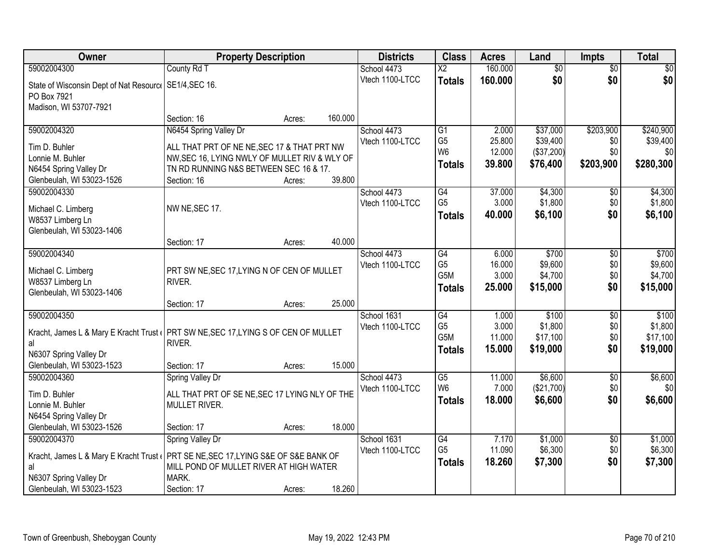| Owner                                                                               | <b>Property Description</b>                           |        |         | <b>Districts</b> | <b>Class</b>           | <b>Acres</b>    | Land               | <b>Impts</b>           | <b>Total</b>       |
|-------------------------------------------------------------------------------------|-------------------------------------------------------|--------|---------|------------------|------------------------|-----------------|--------------------|------------------------|--------------------|
| 59002004300                                                                         | County Rd T                                           |        |         | School 4473      | $\overline{\text{X2}}$ | 160.000         | $\overline{50}$    | $\overline{$0}$        | $\overline{30}$    |
| State of Wisconsin Dept of Nat Resourc   SE1/4, SEC 16.                             |                                                       |        |         | Vtech 1100-LTCC  | <b>Totals</b>          | 160.000         | \$0                | \$0                    | \$0                |
| PO Box 7921                                                                         |                                                       |        |         |                  |                        |                 |                    |                        |                    |
| Madison, WI 53707-7921                                                              |                                                       |        |         |                  |                        |                 |                    |                        |                    |
|                                                                                     | Section: 16                                           | Acres: | 160.000 |                  |                        |                 |                    |                        |                    |
| 59002004320                                                                         | N6454 Spring Valley Dr                                |        |         | School 4473      | $\overline{G1}$        | 2.000           | \$37,000           | \$203,900              | \$240,900          |
| Tim D. Buhler                                                                       | ALL THAT PRT OF NE NE, SEC 17 & THAT PRT NW           |        |         | Vtech 1100-LTCC  | G <sub>5</sub>         | 25.800          | \$39,400           | \$0                    | \$39,400           |
| Lonnie M. Buhler                                                                    | NW, SEC 16, LYING NWLY OF MULLET RIV & WLY OF         |        |         |                  | W <sub>6</sub>         | 12.000          | (\$37,200)         | \$0                    | \$0                |
| N6454 Spring Valley Dr                                                              | TN RD RUNNING N&S BETWEEN SEC 16 & 17.                |        |         |                  | <b>Totals</b>          | 39.800          | \$76,400           | \$203,900              | \$280,300          |
| Glenbeulah, WI 53023-1526                                                           | Section: 16                                           | Acres: | 39.800  |                  |                        |                 |                    |                        |                    |
| 59002004330                                                                         |                                                       |        |         | School 4473      | G4                     | 37.000          | \$4,300            | \$0                    | \$4,300            |
| Michael C. Limberg                                                                  | NW NE, SEC 17.                                        |        |         | Vtech 1100-LTCC  | G <sub>5</sub>         | 3.000           | \$1,800            | \$0                    | \$1,800            |
| W8537 Limberg Ln                                                                    |                                                       |        |         |                  | <b>Totals</b>          | 40.000          | \$6,100            | \$0                    | \$6,100            |
| Glenbeulah, WI 53023-1406                                                           |                                                       |        |         |                  |                        |                 |                    |                        |                    |
|                                                                                     | Section: 17                                           | Acres: | 40.000  |                  |                        |                 |                    |                        |                    |
| 59002004340                                                                         |                                                       |        |         | School 4473      | $\overline{G4}$        | 6.000           | \$700              | \$0                    | \$700              |
|                                                                                     |                                                       |        |         | Vtech 1100-LTCC  | G <sub>5</sub>         | 16.000          | \$9,600            | \$0                    | \$9,600            |
| Michael C. Limberg<br>W8537 Limberg Ln                                              | PRT SW NE, SEC 17, LYING N OF CEN OF MULLET<br>RIVER. |        |         |                  | G <sub>5</sub> M       | 3.000           | \$4,700            | \$0                    | \$4,700            |
| Glenbeulah, WI 53023-1406                                                           |                                                       |        |         |                  | <b>Totals</b>          | 25.000          | \$15,000           | \$0                    | \$15,000           |
|                                                                                     | Section: 17                                           | Acres: | 25.000  |                  |                        |                 |                    |                        |                    |
| 59002004350                                                                         |                                                       |        |         | School 1631      | $\overline{G4}$        | 1.000           | \$100              | \$0                    | \$100              |
|                                                                                     |                                                       |        |         | Vtech 1100-LTCC  | G <sub>5</sub>         | 3.000           | \$1,800            | \$0                    | \$1,800            |
| Kracht, James L & Mary E Kracht Trust ( PRT SW NE, SEC 17, LYING S OF CEN OF MULLET |                                                       |        |         |                  | G5M                    | 11.000          | \$17,100           | \$0                    | \$17,100           |
| al<br>N6307 Spring Valley Dr                                                        | RIVER.                                                |        |         |                  | <b>Totals</b>          | 15.000          | \$19,000           | \$0                    | \$19,000           |
| Glenbeulah, WI 53023-1523                                                           | Section: 17                                           | Acres: | 15.000  |                  |                        |                 |                    |                        |                    |
| 59002004360                                                                         | Spring Valley Dr                                      |        |         | School 4473      | $\overline{G5}$        | 11.000          | \$6,600            | $\overline{$0}$        | \$6,600            |
|                                                                                     |                                                       |        |         | Vtech 1100-LTCC  | W <sub>6</sub>         | 7.000           | (\$21,700)         | \$0                    | \$0                |
| Tim D. Buhler                                                                       | ALL THAT PRT OF SE NE, SEC 17 LYING NLY OF THE        |        |         |                  | <b>Totals</b>          | 18.000          | \$6,600            | \$0                    | \$6,600            |
| Lonnie M. Buhler                                                                    | MULLET RIVER.                                         |        |         |                  |                        |                 |                    |                        |                    |
| N6454 Spring Valley Dr                                                              |                                                       |        |         |                  |                        |                 |                    |                        |                    |
| Glenbeulah, WI 53023-1526                                                           | Section: 17                                           | Acres: | 18.000  |                  |                        |                 |                    |                        |                    |
| 59002004370                                                                         | Spring Valley Dr                                      |        |         | School 1631      | G4<br>G <sub>5</sub>   | 7.170<br>11.090 | \$1,000<br>\$6,300 | $\overline{60}$<br>\$0 | \$1,000<br>\$6,300 |
| Kracht, James L & Mary E Kracht Trust                                               | PRT SE NE, SEC 17, LYING S&E OF S&E BANK OF           |        |         | Vtech 1100-LTCC  |                        |                 |                    |                        |                    |
| al                                                                                  | MILL POND OF MULLET RIVER AT HIGH WATER               |        |         |                  | <b>Totals</b>          | 18.260          | \$7,300            | \$0                    | \$7,300            |
| N6307 Spring Valley Dr                                                              | MARK.                                                 |        |         |                  |                        |                 |                    |                        |                    |
| Glenbeulah, WI 53023-1523                                                           | Section: 17                                           | Acres: | 18.260  |                  |                        |                 |                    |                        |                    |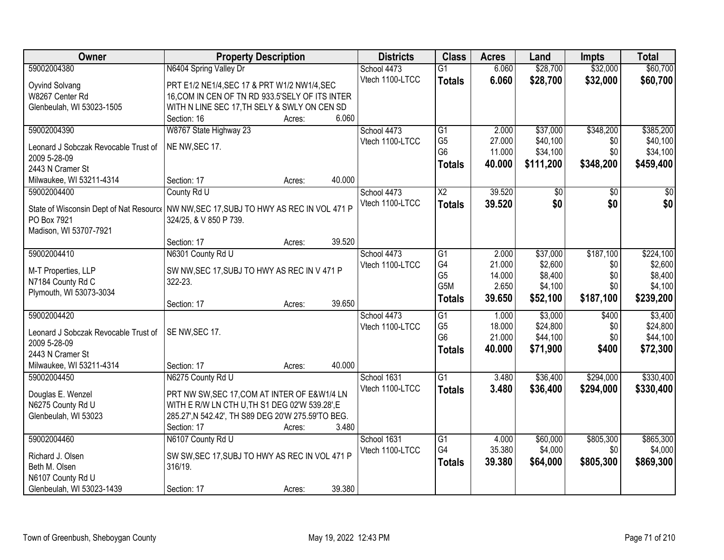| Owner                                                                                   | <b>Property Description</b>                        |        |        | <b>Districts</b> | <b>Class</b>    | <b>Acres</b> | Land      | <b>Impts</b> | <b>Total</b> |
|-----------------------------------------------------------------------------------------|----------------------------------------------------|--------|--------|------------------|-----------------|--------------|-----------|--------------|--------------|
| 59002004380                                                                             | N6404 Spring Valley Dr                             |        |        | School 4473      | $\overline{G1}$ | 6.060        | \$28,700  | \$32,000     | \$60,700     |
| Oyvind Solvang                                                                          | PRT E1/2 NE1/4, SEC 17 & PRT W1/2 NW1/4, SEC       |        |        | Vtech 1100-LTCC  | <b>Totals</b>   | 6.060        | \$28,700  | \$32,000     | \$60,700     |
| W8267 Center Rd                                                                         | 16, COM IN CEN OF TN RD 933.5'SELY OF ITS INTER    |        |        |                  |                 |              |           |              |              |
| Glenbeulah, WI 53023-1505                                                               | WITH N LINE SEC 17, TH SELY & SWLY ON CEN SD       |        |        |                  |                 |              |           |              |              |
|                                                                                         | Section: 16                                        | Acres: | 6.060  |                  |                 |              |           |              |              |
| 59002004390                                                                             | W8767 State Highway 23                             |        |        | School 4473      | $\overline{G1}$ | 2.000        | \$37,000  | \$348,200    | \$385,200    |
|                                                                                         | NE NW, SEC 17.                                     |        |        | Vtech 1100-LTCC  | G <sub>5</sub>  | 27.000       | \$40,100  | \$0          | \$40,100     |
| Leonard J Sobczak Revocable Trust of<br>2009 5-28-09                                    |                                                    |        |        |                  | G <sub>6</sub>  | 11.000       | \$34,100  | \$0          | \$34,100     |
| 2443 N Cramer St                                                                        |                                                    |        |        |                  | <b>Totals</b>   | 40.000       | \$111,200 | \$348,200    | \$459,400    |
| Milwaukee, WI 53211-4314                                                                | Section: 17                                        | Acres: | 40.000 |                  |                 |              |           |              |              |
| 59002004400                                                                             | County Rd U                                        |        |        | School 4473      | $\overline{X2}$ | 39.520       | \$0       | \$0          | $\sqrt{50}$  |
|                                                                                         |                                                    |        |        | Vtech 1100-LTCC  |                 |              | \$0       | \$0          | \$0          |
| State of Wisconsin Dept of Nat Resourc   NW NW, SEC 17, SUBJ TO HWY AS REC IN VOL 471 P |                                                    |        |        |                  | <b>Totals</b>   | 39.520       |           |              |              |
| PO Box 7921                                                                             | 324/25, & V 850 P 739.                             |        |        |                  |                 |              |           |              |              |
| Madison, WI 53707-7921                                                                  |                                                    |        |        |                  |                 |              |           |              |              |
|                                                                                         | Section: 17                                        | Acres: | 39.520 |                  |                 |              |           |              |              |
| 59002004410                                                                             | N6301 County Rd U                                  |        |        | School 4473      | G1              | 2.000        | \$37,000  | \$187,100    | \$224,100    |
| M-T Properties, LLP                                                                     | SW NW, SEC 17, SUBJ TO HWY AS REC IN V 471 P       |        |        | Vtech 1100-LTCC  | G4              | 21.000       | \$2,600   | \$0          | \$2,600      |
| N7184 County Rd C                                                                       | 322-23.                                            |        |        |                  | G <sub>5</sub>  | 14.000       | \$8,400   | \$0          | \$8,400      |
| Plymouth, WI 53073-3034                                                                 |                                                    |        |        |                  | G5M             | 2.650        | \$4,100   | \$0          | \$4,100      |
|                                                                                         | Section: 17                                        | Acres: | 39.650 |                  | <b>Totals</b>   | 39.650       | \$52,100  | \$187,100    | \$239,200    |
| 59002004420                                                                             |                                                    |        |        | School 4473      | G1              | 1.000        | \$3,000   | \$400        | \$3,400      |
|                                                                                         |                                                    |        |        | Vtech 1100-LTCC  | G <sub>5</sub>  | 18.000       | \$24,800  | \$0          | \$24,800     |
| Leonard J Sobczak Revocable Trust of                                                    | SE NW, SEC 17.                                     |        |        |                  | G <sub>6</sub>  | 21.000       | \$44,100  | \$0          | \$44,100     |
| 2009 5-28-09                                                                            |                                                    |        |        |                  | <b>Totals</b>   | 40.000       | \$71,900  | \$400        | \$72,300     |
| 2443 N Cramer St                                                                        |                                                    |        |        |                  |                 |              |           |              |              |
| Milwaukee, WI 53211-4314                                                                | Section: 17                                        | Acres: | 40.000 |                  |                 |              |           |              |              |
| 59002004450                                                                             | N6275 County Rd U                                  |        |        | School 1631      | $\overline{G1}$ | 3.480        | \$36,400  | \$294,000    | \$330,400    |
| Douglas E. Wenzel                                                                       | PRT NW SW, SEC 17, COM AT INTER OF E&W1/4 LN       |        |        | Vtech 1100-LTCC  | <b>Totals</b>   | 3.480        | \$36,400  | \$294,000    | \$330,400    |
| N6275 County Rd U                                                                       | WITH E R/W LN CTH U, TH S1 DEG 02'W 539.28', E     |        |        |                  |                 |              |           |              |              |
| Glenbeulah, WI 53023                                                                    | 285.27', N 542.42', TH S89 DEG 20'W 275.59'TO BEG. |        |        |                  |                 |              |           |              |              |
|                                                                                         | Section: 17                                        | Acres: | 3.480  |                  |                 |              |           |              |              |
| 59002004460                                                                             | N6107 County Rd U                                  |        |        | School 1631      | G1              | 4.000        | \$60,000  | \$805,300    | \$865,300    |
|                                                                                         |                                                    |        |        | Vtech 1100-LTCC  | G4              | 35.380       | \$4,000   | \$0          | \$4,000      |
| Richard J. Olsen                                                                        | SW SW, SEC 17, SUBJ TO HWY AS REC IN VOL 471 P     |        |        |                  | <b>Totals</b>   | 39.380       | \$64,000  | \$805,300    | \$869,300    |
| Beth M. Olsen                                                                           | 316/19.                                            |        |        |                  |                 |              |           |              |              |
| N6107 County Rd U                                                                       |                                                    |        |        |                  |                 |              |           |              |              |
| Glenbeulah, WI 53023-1439                                                               | Section: 17                                        | Acres: | 39.380 |                  |                 |              |           |              |              |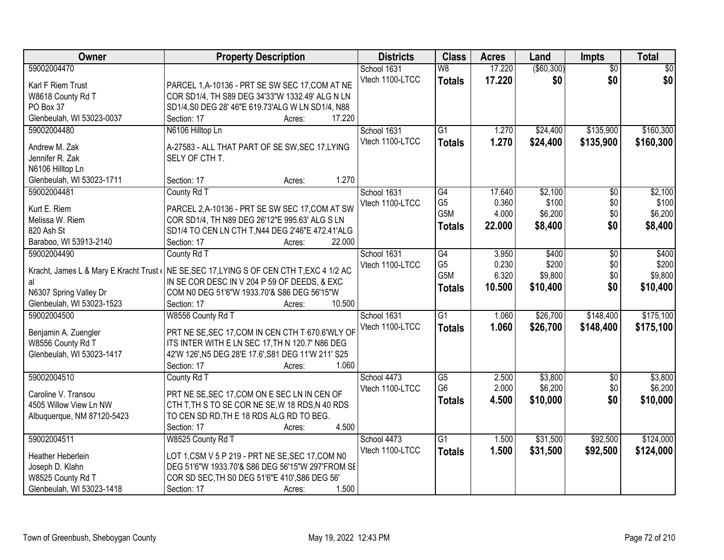| Owner                      | <b>Property Description</b>                                                               | <b>Districts</b> | <b>Class</b>    | <b>Acres</b> | Land       | <b>Impts</b>    | <b>Total</b> |
|----------------------------|-------------------------------------------------------------------------------------------|------------------|-----------------|--------------|------------|-----------------|--------------|
| 59002004470                |                                                                                           | School 1631      | W8              | 17.220       | (\$60,300) | $\overline{50}$ | \$0          |
| Karl F Riem Trust          | PARCEL 1, A-10136 - PRT SE SW SEC 17, COM AT NE                                           | Vtech 1100-LTCC  | <b>Totals</b>   | 17.220       | \$0        | \$0             | \$0          |
| W8618 County Rd T          | COR SD1/4, TH S89 DEG 34'33"W 1332.49' ALG N LN                                           |                  |                 |              |            |                 |              |
| PO Box 37                  | SD1/4, S0 DEG 28' 46"E 619.73'ALG W LN SD1/4, N88                                         |                  |                 |              |            |                 |              |
| Glenbeulah, WI 53023-0037  | 17.220<br>Section: 17<br>Acres:                                                           |                  |                 |              |            |                 |              |
| 59002004480                | N6106 Hilltop Ln                                                                          | School 1631      | $\overline{G1}$ | 1.270        | \$24,400   | \$135,900       | \$160,300    |
|                            |                                                                                           | Vtech 1100-LTCC  | <b>Totals</b>   | 1.270        | \$24,400   | \$135,900       | \$160,300    |
| Andrew M. Zak              | A-27583 - ALL THAT PART OF SE SW, SEC 17, LYING                                           |                  |                 |              |            |                 |              |
| Jennifer R. Zak            | SELY OF CTH T.                                                                            |                  |                 |              |            |                 |              |
| N6106 Hilltop Ln           |                                                                                           |                  |                 |              |            |                 |              |
| Glenbeulah, WI 53023-1711  | 1.270<br>Section: 17<br>Acres:                                                            |                  |                 |              |            |                 |              |
| 59002004481                | County Rd T                                                                               | School 1631      | G4              | 17.640       | \$2,100    | \$0             | \$2,100      |
| Kurt E. Riem               | PARCEL 2, A-10136 - PRT SE SW SEC 17, COM AT SW                                           | Vtech 1100-LTCC  | G <sub>5</sub>  | 0.360        | \$100      | \$0             | \$100        |
| Melissa W. Riem            | COR SD1/4, TH N89 DEG 26'12"E 995.63' ALG S LN                                            |                  | G5M             | 4.000        | \$6,200    | \$0             | \$6,200      |
| 820 Ash St                 | SD1/4 TO CEN LN CTH T, N44 DEG 2'46"E 472.41'ALG                                          |                  | <b>Totals</b>   | 22.000       | \$8,400    | \$0             | \$8,400      |
| Baraboo, WI 53913-2140     | 22.000<br>Section: 17<br>Acres:                                                           |                  |                 |              |            |                 |              |
| 59002004490                | County Rd T                                                                               | School 1631      | G4              | 3.950        | \$400      | \$0             | \$400        |
|                            |                                                                                           | Vtech 1100-LTCC  | G <sub>5</sub>  | 0.230        | \$200      | \$0             | \$200        |
|                            | Kracht, James L & Mary E Kracht Trust ( NE SE, SEC 17, LYING S OF CEN CTH T, EXC 4 1/2 AC |                  | G5M             | 6.320        | \$9,800    | \$0             | \$9,800      |
| al                         | IN SE COR DESC IN V 204 P 59 OF DEEDS, & EXC                                              |                  | <b>Totals</b>   | 10.500       | \$10,400   | \$0             | \$10,400     |
| N6307 Spring Valley Dr     | COM N0 DEG 51'6"W 1933.70'& S86 DEG 56'15"W                                               |                  |                 |              |            |                 |              |
| Glenbeulah, WI 53023-1523  | 10.500<br>Section: 17<br>Acres:                                                           |                  |                 |              |            |                 |              |
| 59002004500                | W8556 County Rd T                                                                         | School 1631      | $\overline{G1}$ | 1.060        | \$26,700   | \$148,400       | \$175,100    |
| Benjamin A. Zuengler       | PRT NE SE, SEC 17, COM IN CEN CTH T 670.6'WLY OF                                          | Vtech 1100-LTCC  | <b>Totals</b>   | 1.060        | \$26,700   | \$148,400       | \$175,100    |
| W8556 County Rd T          | ITS INTER WITH E LN SEC 17, TH N 120.7' N86 DEG                                           |                  |                 |              |            |                 |              |
| Glenbeulah, WI 53023-1417  | 42'W 126', N5 DEG 28'E 17.6', S81 DEG 11'W 211' S25                                       |                  |                 |              |            |                 |              |
|                            | 1.060<br>Section: 17<br>Acres:                                                            |                  |                 |              |            |                 |              |
| 59002004510                | County Rd T                                                                               | School 4473      | $\overline{G5}$ | 2.500        | \$3,800    | $\sqrt{6}$      | \$3,800      |
| Caroline V. Transou        | PRT NE SE, SEC 17, COM ON E SEC LN IN CEN OF                                              | Vtech 1100-LTCC  | G <sub>6</sub>  | 2.000        | \$6,200    | \$0             | \$6,200      |
| 4505 Willow View Ln NW     | CTH T, TH S TO SE COR NE SE, W 18 RDS, N 40 RDS                                           |                  | <b>Totals</b>   | 4.500        | \$10,000   | \$0             | \$10,000     |
| Albuquerque, NM 87120-5423 | TO CEN SD RD, THE 18 RDS ALG RD TO BEG.                                                   |                  |                 |              |            |                 |              |
|                            | 4.500<br>Section: 17<br>Acres:                                                            |                  |                 |              |            |                 |              |
| 59002004511                | W8525 County Rd T                                                                         | School 4473      | $\overline{G1}$ | 1.500        | \$31,500   | \$92,500        | \$124,000    |
|                            |                                                                                           | Vtech 1100-LTCC  |                 | 1.500        |            |                 | \$124,000    |
| Heather Heberlein          | LOT 1,CSM V 5 P 219 - PRT NE SE, SEC 17, COM N0                                           |                  | <b>Totals</b>   |              | \$31,500   | \$92,500        |              |
| Joseph D. Klahn            | DEG 51'6"W 1933.70'& S86 DEG 56'15"W 297'FROM SE                                          |                  |                 |              |            |                 |              |
| W8525 County Rd T          | COR SD SEC, TH S0 DEG 51'6"E 410', S86 DEG 56'                                            |                  |                 |              |            |                 |              |
| Glenbeulah, WI 53023-1418  | 1.500<br>Section: 17<br>Acres:                                                            |                  |                 |              |            |                 |              |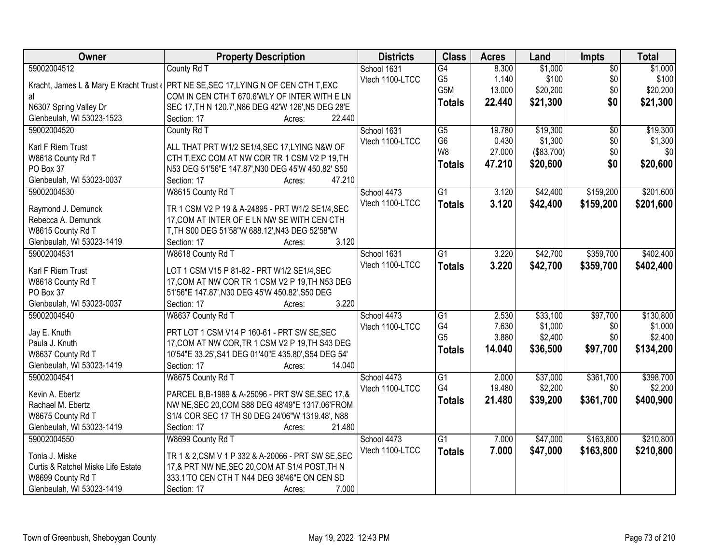| Owner                              | <b>Property Description</b>                                                         | <b>Districts</b> | <b>Class</b>    | <b>Acres</b> | Land       | <b>Impts</b>    | <b>Total</b> |
|------------------------------------|-------------------------------------------------------------------------------------|------------------|-----------------|--------------|------------|-----------------|--------------|
| 59002004512                        | County Rd T                                                                         | School 1631      | $\overline{G4}$ | 8.300        | \$1,000    | $\overline{50}$ | \$1,000      |
|                                    | Kracht, James L & Mary E Kracht Trust (PRT NE SE, SEC 17, LYING N OF CEN CTH T, EXC | Vtech 1100-LTCC  | G <sub>5</sub>  | 1.140        | \$100      | \$0             | \$100        |
| al                                 | COM IN CEN CTH T 670.6'WLY OF INTER WITH E LN                                       |                  | G5M             | 13.000       | \$20,200   | \$0             | \$20,200     |
| N6307 Spring Valley Dr             | SEC 17, TH N 120.7', N86 DEG 42'W 126', N5 DEG 28'E                                 |                  | <b>Totals</b>   | 22.440       | \$21,300   | \$0             | \$21,300     |
| Glenbeulah, WI 53023-1523          | Section: 17<br>22.440<br>Acres:                                                     |                  |                 |              |            |                 |              |
| 59002004520                        | County Rd T                                                                         | School 1631      | $\overline{G5}$ | 19.780       | \$19,300   | $\overline{50}$ | \$19,300     |
|                                    |                                                                                     | Vtech 1100-LTCC  | G <sub>6</sub>  | 0.430        | \$1,300    | \$0             | \$1,300      |
| Karl F Riem Trust                  | ALL THAT PRT W1/2 SE1/4, SEC 17, LYING N&W OF                                       |                  | W <sub>8</sub>  | 27.000       | (\$83,700) | \$0             | \$0          |
| W8618 County Rd T                  | CTH T, EXC COM AT NW COR TR 1 CSM V2 P 19, TH                                       |                  | <b>Totals</b>   | 47.210       | \$20,600   | \$0             | \$20,600     |
| PO Box 37                          | N53 DEG 51'56"E 147.87', N30 DEG 45'W 450.82' S50                                   |                  |                 |              |            |                 |              |
| Glenbeulah, WI 53023-0037          | 47.210<br>Section: 17<br>Acres:                                                     |                  |                 |              |            |                 |              |
| 59002004530                        | W8615 County Rd T                                                                   | School 4473      | G1              | 3.120        | \$42,400   | \$159,200       | \$201,600    |
| Raymond J. Demunck                 | TR 1 CSM V2 P 19 & A-24895 - PRT W1/2 SE1/4, SEC                                    | Vtech 1100-LTCC  | <b>Totals</b>   | 3.120        | \$42,400   | \$159,200       | \$201,600    |
| Rebecca A. Demunck                 | 17, COM AT INTER OF E LN NW SE WITH CEN CTH                                         |                  |                 |              |            |                 |              |
| W8615 County Rd T                  | T, TH S00 DEG 51'58"W 688.12', N43 DEG 52'58"W                                      |                  |                 |              |            |                 |              |
| Glenbeulah, WI 53023-1419          | 3.120<br>Section: 17<br>Acres:                                                      |                  |                 |              |            |                 |              |
| 59002004531                        | W8618 County Rd T                                                                   | School 1631      | $\overline{G1}$ | 3.220        | \$42,700   | \$359,700       | \$402,400    |
|                                    |                                                                                     | Vtech 1100-LTCC  | <b>Totals</b>   | 3.220        | \$42,700   | \$359,700       | \$402,400    |
| Karl F Riem Trust                  | LOT 1 CSM V15 P 81-82 - PRT W1/2 SE1/4, SEC                                         |                  |                 |              |            |                 |              |
| W8618 County Rd T                  | 17, COM AT NW COR TR 1 CSM V2 P 19, TH N53 DEG                                      |                  |                 |              |            |                 |              |
| PO Box 37                          | 51'56"E 147.87', N30 DEG 45'W 450.82', S50 DEG                                      |                  |                 |              |            |                 |              |
| Glenbeulah, WI 53023-0037          | 3.220<br>Section: 17<br>Acres:                                                      |                  |                 |              |            |                 |              |
| 59002004540                        | W8637 County Rd T                                                                   | School 4473      | $\overline{G1}$ | 2.530        | \$33,100   | \$97,700        | \$130,800    |
| Jay E. Knuth                       | PRT LOT 1 CSM V14 P 160-61 - PRT SW SE, SEC                                         | Vtech 1100-LTCC  | G4              | 7.630        | \$1,000    | \$0             | \$1,000      |
| Paula J. Knuth                     | 17, COM AT NW COR, TR 1 CSM V2 P 19, TH S43 DEG                                     |                  | G <sub>5</sub>  | 3.880        | \$2,400    | \$0             | \$2,400      |
| W8637 County Rd T                  | 10'54"E 33.25', S41 DEG 01'40"E 435.80', S54 DEG 54'                                |                  | <b>Totals</b>   | 14.040       | \$36,500   | \$97,700        | \$134,200    |
| Glenbeulah, WI 53023-1419          | 14.040<br>Section: 17<br>Acres:                                                     |                  |                 |              |            |                 |              |
| 59002004541                        | W8675 County Rd T                                                                   | School 4473      | $\overline{G1}$ | 2.000        | \$37,000   | \$361,700       | \$398,700    |
|                                    |                                                                                     | Vtech 1100-LTCC  | G4              | 19.480       | \$2,200    | \$0             | \$2,200      |
| Kevin A. Ebertz                    | PARCEL B, B-1989 & A-25096 - PRT SW SE, SEC 17, &                                   |                  | <b>Totals</b>   | 21.480       | \$39,200   | \$361,700       | \$400,900    |
| Rachael M. Ebertz                  | NW NE, SEC 20, COM S88 DEG 48'49"E 1317.06'FROM                                     |                  |                 |              |            |                 |              |
| W8675 County Rd T                  | S1/4 COR SEC 17 TH S0 DEG 24'06"W 1319.48', N88                                     |                  |                 |              |            |                 |              |
| Glenbeulah, WI 53023-1419          | 21.480<br>Section: 17<br>Acres:                                                     |                  |                 |              |            |                 |              |
| 59002004550                        | W8699 County Rd T                                                                   | School 4473      | $\overline{G1}$ | 7.000        | \$47,000   | \$163,800       | \$210,800    |
| Tonia J. Miske                     | TR 1 & 2, CSM V 1 P 332 & A-20066 - PRT SW SE, SEC                                  | Vtech 1100-LTCC  | <b>Totals</b>   | 7.000        | \$47,000   | \$163,800       | \$210,800    |
| Curtis & Ratchel Miske Life Estate | 17,& PRT NW NE, SEC 20, COM AT S1/4 POST, TH N                                      |                  |                 |              |            |                 |              |
| W8699 County Rd T                  | 333.1'TO CEN CTH T N44 DEG 36'46"E ON CEN SD                                        |                  |                 |              |            |                 |              |
| Glenbeulah, WI 53023-1419          | Section: 17<br>7.000<br>Acres:                                                      |                  |                 |              |            |                 |              |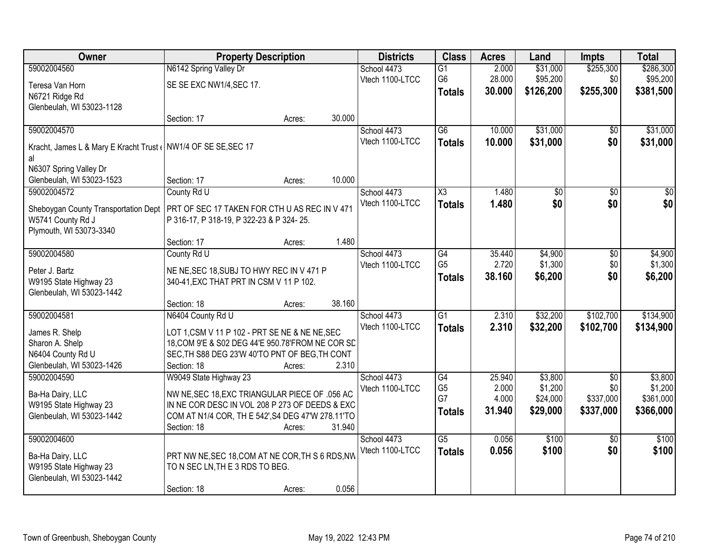| Owner                                                          | <b>Property Description</b>                       |        |        | <b>Districts</b> | <b>Class</b>    | <b>Acres</b> | Land      | <b>Impts</b>    | <b>Total</b> |
|----------------------------------------------------------------|---------------------------------------------------|--------|--------|------------------|-----------------|--------------|-----------|-----------------|--------------|
| 59002004560                                                    | N6142 Spring Valley Dr                            |        |        | School 4473      | $\overline{G1}$ | 2.000        | \$31,000  | \$255,300       | \$286,300    |
| Teresa Van Horn                                                | SE SE EXC NW1/4, SEC 17.                          |        |        | Vtech 1100-LTCC  | G <sub>6</sub>  | 28.000       | \$95,200  | \$0             | \$95,200     |
| N6721 Ridge Rd                                                 |                                                   |        |        |                  | <b>Totals</b>   | 30.000       | \$126,200 | \$255,300       | \$381,500    |
| Glenbeulah, WI 53023-1128                                      |                                                   |        |        |                  |                 |              |           |                 |              |
|                                                                | Section: 17                                       | Acres: | 30.000 |                  |                 |              |           |                 |              |
| 59002004570                                                    |                                                   |        |        | School 4473      | $\overline{G6}$ | 10.000       | \$31,000  | $\overline{50}$ | \$31,000     |
| Kracht, James L & Mary E Kracht Trust ( NW1/4 OF SE SE, SEC 17 |                                                   |        |        | Vtech 1100-LTCC  | <b>Totals</b>   | 10.000       | \$31,000  | \$0             | \$31,000     |
| al                                                             |                                                   |        |        |                  |                 |              |           |                 |              |
| N6307 Spring Valley Dr                                         |                                                   |        |        |                  |                 |              |           |                 |              |
| Glenbeulah, WI 53023-1523                                      | Section: 17                                       | Acres: | 10.000 |                  |                 |              |           |                 |              |
| 59002004572                                                    | County Rd U                                       |        |        | School 4473      | X3              | 1.480        | \$0       | \$0             | \$0          |
| Sheboygan County Transportation Dept                           | PRT OF SEC 17 TAKEN FOR CTH U AS REC IN V 471     |        |        | Vtech 1100-LTCC  | <b>Totals</b>   | 1.480        | \$0       | \$0             | \$0          |
| W5741 County Rd J                                              | P 316-17, P 318-19, P 322-23 & P 324-25.          |        |        |                  |                 |              |           |                 |              |
| Plymouth, WI 53073-3340                                        |                                                   |        |        |                  |                 |              |           |                 |              |
|                                                                | Section: 17                                       | Acres: | 1.480  |                  |                 |              |           |                 |              |
| 59002004580                                                    | County Rd U                                       |        |        | School 4473      | G4              | 35.440       | \$4,900   | \$0             | \$4,900      |
| Peter J. Bartz                                                 | NE NE, SEC 18, SUBJ TO HWY REC IN V 471 P         |        |        | Vtech 1100-LTCC  | G <sub>5</sub>  | 2.720        | \$1,300   | \$0             | \$1,300      |
| W9195 State Highway 23                                         | 340-41, EXC THAT PRT IN CSM V 11 P 102.           |        |        |                  | <b>Totals</b>   | 38.160       | \$6,200   | \$0             | \$6,200      |
| Glenbeulah, WI 53023-1442                                      |                                                   |        |        |                  |                 |              |           |                 |              |
|                                                                | Section: 18                                       | Acres: | 38.160 |                  |                 |              |           |                 |              |
| 59002004581                                                    | N6404 County Rd U                                 |        |        | School 4473      | $\overline{G1}$ | 2.310        | \$32,200  | \$102,700       | \$134,900    |
| James R. Shelp                                                 | LOT 1, CSM V 11 P 102 - PRT SE NE & NE NE, SEC    |        |        | Vtech 1100-LTCC  | <b>Totals</b>   | 2.310        | \$32,200  | \$102,700       | \$134,900    |
| Sharon A. Shelp                                                | 18, COM 9'E & S02 DEG 44'E 950.78'FROM NE COR SD  |        |        |                  |                 |              |           |                 |              |
| N6404 County Rd U                                              | SEC, TH S88 DEG 23'W 40'TO PNT OF BEG, TH CONT    |        |        |                  |                 |              |           |                 |              |
| Glenbeulah, WI 53023-1426                                      | Section: 18                                       | Acres: | 2.310  |                  |                 |              |           |                 |              |
| 59002004590                                                    | W9049 State Highway 23                            |        |        | School 4473      | G4              | 25.940       | \$3,800   | $\overline{30}$ | \$3,800      |
| Ba-Ha Dairy, LLC                                               | NW NE, SEC 18, EXC TRIANGULAR PIECE OF .056 AC    |        |        | Vtech 1100-LTCC  | G <sub>5</sub>  | 2.000        | \$1,200   | \$0             | \$1,200      |
| W9195 State Highway 23                                         | IN NE COR DESC IN VOL 208 P 273 OF DEEDS & EXC    |        |        |                  | G7              | 4.000        | \$24,000  | \$337,000       | \$361,000    |
| Glenbeulah, WI 53023-1442                                      | COM AT N1/4 COR, TH E 542', S4 DEG 47'W 278.11'TO |        |        |                  | <b>Totals</b>   | 31.940       | \$29,000  | \$337,000       | \$366,000    |
|                                                                | Section: 18                                       | Acres: | 31.940 |                  |                 |              |           |                 |              |
| 59002004600                                                    |                                                   |        |        | School 4473      | $\overline{G5}$ | 0.056        | \$100     | $\overline{30}$ | \$100        |
| Ba-Ha Dairy, LLC                                               | PRT NW NE, SEC 18, COM AT NE COR, TH S 6 RDS, NW  |        |        | Vtech 1100-LTCC  | <b>Totals</b>   | 0.056        | \$100     | \$0             | \$100        |
| W9195 State Highway 23                                         | TO N SEC LN, THE 3 RDS TO BEG.                    |        |        |                  |                 |              |           |                 |              |
| Glenbeulah, WI 53023-1442                                      |                                                   |        |        |                  |                 |              |           |                 |              |
|                                                                | Section: 18                                       | Acres: | 0.056  |                  |                 |              |           |                 |              |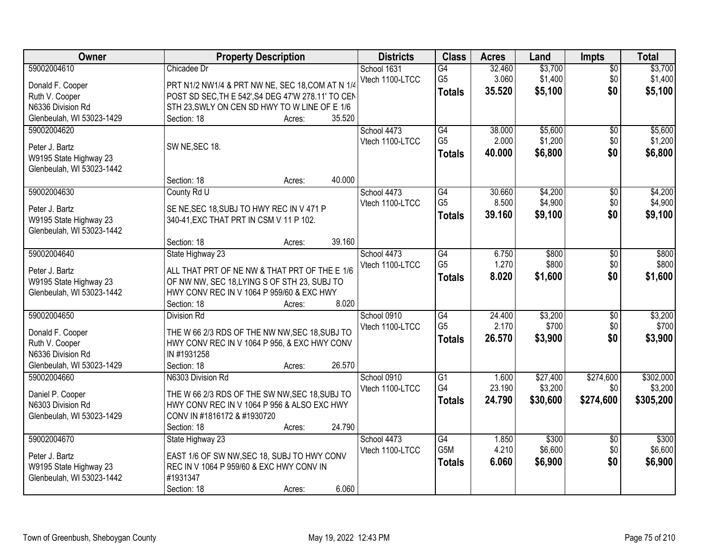| Owner                     | <b>Property Description</b>                        | <b>Districts</b> | <b>Class</b>    | <b>Acres</b> | Land     | <b>Impts</b>    | <b>Total</b> |
|---------------------------|----------------------------------------------------|------------------|-----------------|--------------|----------|-----------------|--------------|
| 59002004610               | Chicadee Dr                                        | School 1631      | $\overline{G4}$ | 32.460       | \$3,700  | $\overline{50}$ | \$3,700      |
| Donald F. Cooper          | PRT N1/2 NW1/4 & PRT NW NE, SEC 18, COM AT N 1/4   | Vtech 1100-LTCC  | G <sub>5</sub>  | 3.060        | \$1,400  | \$0             | \$1,400      |
| Ruth V. Cooper            | POST SD SEC, TH E 542', S4 DEG 47'W 278.11' TO CEN |                  | <b>Totals</b>   | 35.520       | \$5,100  | \$0             | \$5,100      |
| N6336 Division Rd         | STH 23, SWLY ON CEN SD HWY TO W LINE OF E 1/6      |                  |                 |              |          |                 |              |
| Glenbeulah, WI 53023-1429 | 35.520<br>Section: 18<br>Acres:                    |                  |                 |              |          |                 |              |
| 59002004620               |                                                    | School 4473      | G4              | 38.000       | \$5,600  | $\overline{50}$ | \$5,600      |
|                           |                                                    | Vtech 1100-LTCC  | G <sub>5</sub>  | 2.000        | \$1,200  | \$0             | \$1,200      |
| Peter J. Bartz            | SW NE, SEC 18.                                     |                  | <b>Totals</b>   | 40.000       | \$6,800  | \$0             | \$6,800      |
| W9195 State Highway 23    |                                                    |                  |                 |              |          |                 |              |
| Glenbeulah, WI 53023-1442 |                                                    |                  |                 |              |          |                 |              |
|                           | 40.000<br>Section: 18<br>Acres:                    |                  |                 |              |          |                 |              |
| 59002004630               | County Rd U                                        | School 4473      | G4              | 30.660       | \$4,200  | \$0             | \$4,200      |
| Peter J. Bartz            | SE NE, SEC 18, SUBJ TO HWY REC IN V 471 P          | Vtech 1100-LTCC  | G <sub>5</sub>  | 8.500        | \$4,900  | \$0             | \$4,900      |
| W9195 State Highway 23    | 340-41, EXC THAT PRT IN CSM V 11 P 102.            |                  | <b>Totals</b>   | 39.160       | \$9,100  | \$0             | \$9,100      |
| Glenbeulah, WI 53023-1442 |                                                    |                  |                 |              |          |                 |              |
|                           | 39.160<br>Section: 18<br>Acres:                    |                  |                 |              |          |                 |              |
| 59002004640               | State Highway 23                                   | School 4473      | G4              | 6.750        | \$800    | \$0             | \$800        |
| Peter J. Bartz            | ALL THAT PRT OF NE NW & THAT PRT OF THE E 1/6      | Vtech 1100-LTCC  | G <sub>5</sub>  | 1.270        | \$800    | \$0             | \$800        |
| W9195 State Highway 23    | OF NW NW, SEC 18, LYING S OF STH 23, SUBJ TO       |                  | <b>Totals</b>   | 8.020        | \$1,600  | \$0             | \$1,600      |
| Glenbeulah, WI 53023-1442 | HWY CONV REC IN V 1064 P 959/60 & EXC HWY          |                  |                 |              |          |                 |              |
|                           | 8.020<br>Section: 18<br>Acres:                     |                  |                 |              |          |                 |              |
| 59002004650               | <b>Division Rd</b>                                 | School 0910      | $\overline{G4}$ | 24.400       | \$3,200  | $\overline{30}$ | \$3,200      |
|                           |                                                    | Vtech 1100-LTCC  | G <sub>5</sub>  | 2.170        | \$700    | \$0             | \$700        |
| Donald F. Cooper          | THE W 66 2/3 RDS OF THE NW NW, SEC 18, SUBJ TO     |                  |                 | 26.570       | \$3,900  | \$0             | \$3,900      |
| Ruth V. Cooper            | HWY CONV REC IN V 1064 P 956, & EXC HWY CONV       |                  | <b>Totals</b>   |              |          |                 |              |
| N6336 Division Rd         | IN #1931258                                        |                  |                 |              |          |                 |              |
| Glenbeulah, WI 53023-1429 | 26.570<br>Section: 18<br>Acres:                    |                  |                 |              |          |                 |              |
| 59002004660               | N6303 Division Rd                                  | School 0910      | $\overline{G1}$ | 1.600        | \$27,400 | \$274,600       | \$302,000    |
| Daniel P. Cooper          | THE W 66 2/3 RDS OF THE SW NW, SEC 18, SUBJ TO     | Vtech 1100-LTCC  | G4              | 23.190       | \$3,200  | \$0             | \$3,200      |
| N6303 Division Rd         | HWY CONV REC IN V 1064 P 956 & ALSO EXC HWY        |                  | <b>Totals</b>   | 24.790       | \$30,600 | \$274,600       | \$305,200    |
| Glenbeulah, WI 53023-1429 | CONV IN #1816172 & #1930720                        |                  |                 |              |          |                 |              |
|                           | 24.790<br>Section: 18<br>Acres:                    |                  |                 |              |          |                 |              |
| 59002004670               | State Highway 23                                   | School 4473      | G4              | 1.850        | \$300    | $\overline{50}$ | \$300        |
|                           |                                                    | Vtech 1100-LTCC  | G5M             | 4.210        | \$6,600  | \$0             | \$6,600      |
| Peter J. Bartz            | EAST 1/6 OF SW NW, SEC 18, SUBJ TO HWY CONV        |                  | <b>Totals</b>   | 6.060        | \$6,900  | \$0             | \$6,900      |
| W9195 State Highway 23    | REC IN V 1064 P 959/60 & EXC HWY CONV IN           |                  |                 |              |          |                 |              |
| Glenbeulah, WI 53023-1442 | #1931347                                           |                  |                 |              |          |                 |              |
|                           | 6.060<br>Section: 18<br>Acres:                     |                  |                 |              |          |                 |              |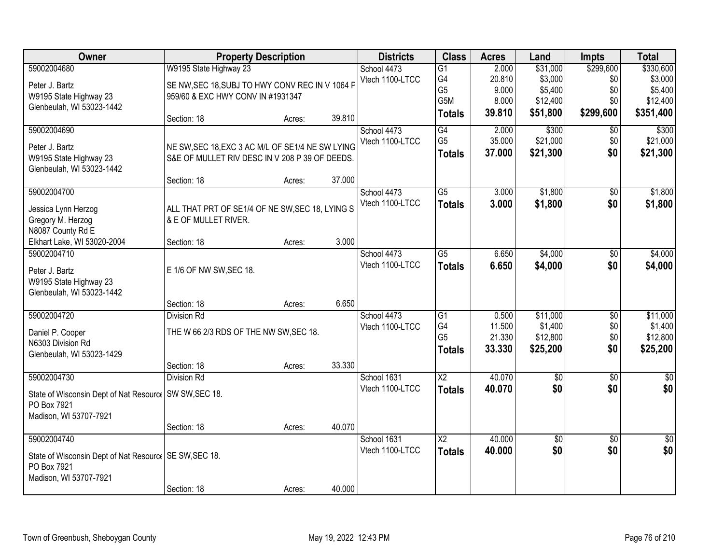| Owner                                                   | <b>Property Description</b>                      |        |        | <b>Districts</b> | <b>Class</b>           | <b>Acres</b>    | Land                 | <b>Impts</b>     | <b>Total</b>    |
|---------------------------------------------------------|--------------------------------------------------|--------|--------|------------------|------------------------|-----------------|----------------------|------------------|-----------------|
| 59002004680                                             | W9195 State Highway 23                           |        |        | School 4473      | $\overline{G1}$        | 2.000           | \$31,000             | \$299,600        | \$330,600       |
| Peter J. Bartz                                          | SE NW, SEC 18, SUBJ TO HWY CONV REC IN V 1064 P  |        |        | Vtech 1100-LTCC  | G4                     | 20.810          | \$3,000              | \$0              | \$3,000         |
| W9195 State Highway 23                                  | 959/60 & EXC HWY CONV IN #1931347                |        |        |                  | G <sub>5</sub>         | 9.000           | \$5,400              | \$0              | \$5,400         |
| Glenbeulah, WI 53023-1442                               |                                                  |        |        |                  | G5M                    | 8.000<br>39.810 | \$12,400<br>\$51,800 | \$0<br>\$299,600 | \$12,400        |
|                                                         | Section: 18                                      | Acres: | 39.810 |                  | <b>Totals</b>          |                 |                      |                  | \$351,400       |
| 59002004690                                             |                                                  |        |        | School 4473      | G4                     | 2.000           | \$300                | \$0              | \$300           |
| Peter J. Bartz                                          | NE SW, SEC 18, EXC 3 AC M/L OF SE1/4 NE SW LYING |        |        | Vtech 1100-LTCC  | G <sub>5</sub>         | 35.000          | \$21,000             | \$0              | \$21,000        |
| W9195 State Highway 23                                  | S&E OF MULLET RIV DESC IN V 208 P 39 OF DEEDS.   |        |        |                  | <b>Totals</b>          | 37.000          | \$21,300             | \$0              | \$21,300        |
| Glenbeulah, WI 53023-1442                               |                                                  |        |        |                  |                        |                 |                      |                  |                 |
|                                                         | Section: 18                                      | Acres: | 37.000 |                  |                        |                 |                      |                  |                 |
| 59002004700                                             |                                                  |        |        | School 4473      | $\overline{G5}$        | 3.000           | \$1,800              | \$0              | \$1,800         |
| Jessica Lynn Herzog                                     | ALL THAT PRT OF SE1/4 OF NE SW, SEC 18, LYING S  |        |        | Vtech 1100-LTCC  | <b>Totals</b>          | 3.000           | \$1,800              | \$0              | \$1,800         |
| Gregory M. Herzog                                       | & E OF MULLET RIVER.                             |        |        |                  |                        |                 |                      |                  |                 |
| N8087 County Rd E                                       |                                                  |        |        |                  |                        |                 |                      |                  |                 |
| Elkhart Lake, WI 53020-2004                             | Section: 18                                      | Acres: | 3.000  |                  |                        |                 |                      |                  |                 |
| 59002004710                                             |                                                  |        |        | School 4473      | G5                     | 6.650           | \$4,000              | \$0              | \$4,000         |
| Peter J. Bartz                                          | E 1/6 OF NW SW, SEC 18.                          |        |        | Vtech 1100-LTCC  | <b>Totals</b>          | 6.650           | \$4,000              | \$0              | \$4,000         |
| W9195 State Highway 23                                  |                                                  |        |        |                  |                        |                 |                      |                  |                 |
| Glenbeulah, WI 53023-1442                               |                                                  |        |        |                  |                        |                 |                      |                  |                 |
|                                                         | Section: 18                                      | Acres: | 6.650  |                  |                        |                 |                      |                  |                 |
| 59002004720                                             | <b>Division Rd</b>                               |        |        | School 4473      | $\overline{G1}$        | 0.500           | \$11,000             | $\overline{50}$  | \$11,000        |
| Daniel P. Cooper                                        | THE W 66 2/3 RDS OF THE NW SW, SEC 18.           |        |        | Vtech 1100-LTCC  | G4                     | 11.500          | \$1,400              | \$0              | \$1,400         |
| N6303 Division Rd                                       |                                                  |        |        |                  | G <sub>5</sub>         | 21.330          | \$12,800             | \$0              | \$12,800        |
| Glenbeulah, WI 53023-1429                               |                                                  |        |        |                  | <b>Totals</b>          | 33.330          | \$25,200             | \$0              | \$25,200        |
|                                                         | Section: 18                                      | Acres: | 33.330 |                  |                        |                 |                      |                  |                 |
| 59002004730                                             | <b>Division Rd</b>                               |        |        | School 1631      | $\overline{X2}$        | 40.070          | $\overline{60}$      | $\overline{50}$  | $\frac{1}{6}$   |
| State of Wisconsin Dept of Nat Resourc   SW SW, SEC 18. |                                                  |        |        | Vtech 1100-LTCC  | <b>Totals</b>          | 40.070          | \$0                  | \$0              | \$0             |
| PO Box 7921                                             |                                                  |        |        |                  |                        |                 |                      |                  |                 |
| Madison, WI 53707-7921                                  |                                                  |        |        |                  |                        |                 |                      |                  |                 |
|                                                         | Section: 18                                      | Acres: | 40.070 |                  |                        |                 |                      |                  |                 |
| 59002004740                                             |                                                  |        |        | School 1631      | $\overline{\text{X2}}$ | 40.000          | \$0                  | $\overline{30}$  | $\overline{50}$ |
| State of Wisconsin Dept of Nat Resourc   SE SW, SEC 18. |                                                  |        |        | Vtech 1100-LTCC  | <b>Totals</b>          | 40.000          | \$0                  | \$0              | \$0             |
| PO Box 7921                                             |                                                  |        |        |                  |                        |                 |                      |                  |                 |
| Madison, WI 53707-7921                                  |                                                  |        |        |                  |                        |                 |                      |                  |                 |
|                                                         | Section: 18                                      | Acres: | 40.000 |                  |                        |                 |                      |                  |                 |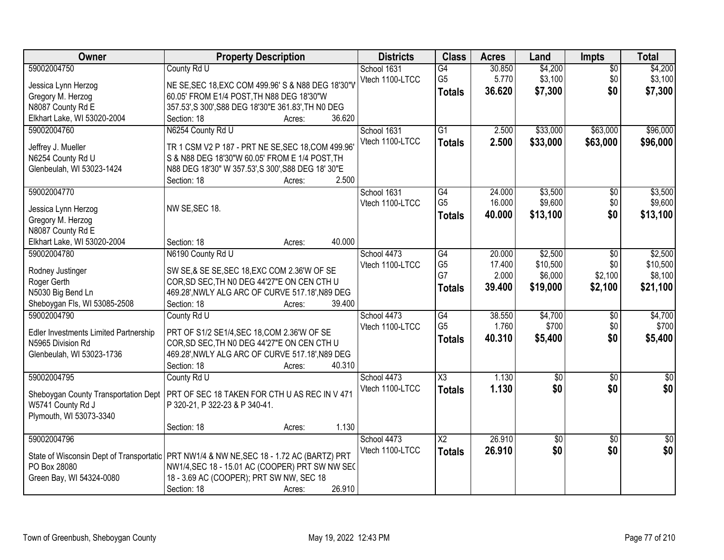| Owner                                 | <b>Property Description</b>                                                                 | <b>Districts</b> | <b>Class</b>           | <b>Acres</b> | Land            | <b>Impts</b>    | <b>Total</b>     |
|---------------------------------------|---------------------------------------------------------------------------------------------|------------------|------------------------|--------------|-----------------|-----------------|------------------|
| 59002004750                           | County Rd U                                                                                 | School 1631      | $\overline{G4}$        | 30.850       | \$4,200         | $\overline{50}$ | \$4,200          |
| Jessica Lynn Herzog                   | NE SE, SEC 18, EXC COM 499.96' S & N88 DEG 18'30"V                                          | Vtech 1100-LTCC  | G <sub>5</sub>         | 5.770        | \$3,100         | \$0             | \$3,100          |
| Gregory M. Herzog                     | 60.05' FROM E1/4 POST, TH N88 DEG 18'30"W                                                   |                  | <b>Totals</b>          | 36.620       | \$7,300         | \$0             | \$7,300          |
| N8087 County Rd E                     | 357.53', S 300', S88 DEG 18'30"E 361.83', TH NO DEG                                         |                  |                        |              |                 |                 |                  |
| Elkhart Lake, WI 53020-2004           | 36.620<br>Section: 18<br>Acres:                                                             |                  |                        |              |                 |                 |                  |
| 59002004760                           | N6254 County Rd U                                                                           | School 1631      | $\overline{G1}$        | 2.500        | \$33,000        | \$63,000        | \$96,000         |
|                                       |                                                                                             | Vtech 1100-LTCC  | <b>Totals</b>          | 2.500        | \$33,000        | \$63,000        | \$96,000         |
| Jeffrey J. Mueller                    | TR 1 CSM V2 P 187 - PRT NE SE, SEC 18, COM 499.96                                           |                  |                        |              |                 |                 |                  |
| N6254 County Rd U                     | S & N88 DEG 18'30"W 60.05' FROM E 1/4 POST, TH                                              |                  |                        |              |                 |                 |                  |
| Glenbeulah, WI 53023-1424             | N88 DEG 18'30" W 357.53', S 300', S88 DEG 18' 30"E                                          |                  |                        |              |                 |                 |                  |
|                                       | 2.500<br>Section: 18<br>Acres:                                                              |                  |                        |              |                 |                 |                  |
| 59002004770                           |                                                                                             | School 1631      | G4<br>G <sub>5</sub>   | 24.000       | \$3,500         | $\overline{50}$ | \$3,500          |
| Jessica Lynn Herzog                   | NW SE, SEC 18.                                                                              | Vtech 1100-LTCC  |                        | 16.000       | \$9,600         | \$0             | \$9,600          |
| Gregory M. Herzog                     |                                                                                             |                  | Totals                 | 40.000       | \$13,100        | \$0             | \$13,100         |
| N8087 County Rd E                     |                                                                                             |                  |                        |              |                 |                 |                  |
| Elkhart Lake, WI 53020-2004           | 40.000<br>Section: 18<br>Acres:                                                             |                  |                        |              |                 |                 |                  |
| 59002004780                           | N6190 County Rd U                                                                           | School 4473      | $\overline{G4}$        | 20.000       | \$2,500         | $\sqrt{6}$      | \$2,500          |
| Rodney Justinger                      | SW SE,& SE SE, SEC 18, EXC COM 2.36'W OF SE                                                 | Vtech 1100-LTCC  | G <sub>5</sub>         | 17.400       | \$10,500        | \$0             | \$10,500         |
| Roger Gerth                           | COR, SD SEC, TH NO DEG 44'27"E ON CEN CTH U                                                 |                  | G7                     | 2.000        | \$6,000         | \$2,100         | \$8,100          |
| N5030 Big Bend Ln                     | 469.28', NWLY ALG ARC OF CURVE 517.18', N89 DEG                                             |                  | <b>Totals</b>          | 39.400       | \$19,000        | \$2,100         | \$21,100         |
| Sheboygan Fls, WI 53085-2508          | 39.400<br>Section: 18<br>Acres:                                                             |                  |                        |              |                 |                 |                  |
| 59002004790                           | County Rd U                                                                                 | School 4473      | $\overline{G4}$        | 38.550       | \$4,700         | \$0             | \$4,700          |
|                                       |                                                                                             | Vtech 1100-LTCC  | G <sub>5</sub>         | 1.760        | \$700           | \$0             | \$700            |
| Edler Investments Limited Partnership | PRT OF S1/2 SE1/4, SEC 18, COM 2.36'W OF SE                                                 |                  | <b>Totals</b>          | 40.310       | \$5,400         | \$0             | \$5,400          |
| N5965 Division Rd                     | COR, SD SEC, TH NO DEG 44'27"E ON CEN CTH U                                                 |                  |                        |              |                 |                 |                  |
| Glenbeulah, WI 53023-1736             | 469.28', NWLY ALG ARC OF CURVE 517.18', N89 DEG                                             |                  |                        |              |                 |                 |                  |
|                                       | 40.310<br>Section: 18<br>Acres:                                                             |                  |                        |              |                 |                 |                  |
| 59002004795                           | County Rd U                                                                                 | School 4473      | $\overline{\text{X3}}$ | 1.130        | $\overline{60}$ | $\overline{50}$ | $\overline{\$0}$ |
| Sheboygan County Transportation Dept  | PRT OF SEC 18 TAKEN FOR CTH U AS REC IN V 471                                               | Vtech 1100-LTCC  | Totals                 | 1.130        | \$0             | \$0             | \$0              |
| W5741 County Rd J                     | P 320-21, P 322-23 & P 340-41.                                                              |                  |                        |              |                 |                 |                  |
| Plymouth, WI 53073-3340               |                                                                                             |                  |                        |              |                 |                 |                  |
|                                       | 1.130<br>Section: 18<br>Acres:                                                              |                  |                        |              |                 |                 |                  |
| 59002004796                           |                                                                                             | School 4473      | $\overline{X2}$        | 26.910       | $\overline{50}$ | $\overline{30}$ | $\overline{50}$  |
|                                       |                                                                                             | Vtech 1100-LTCC  | <b>Totals</b>          | 26.910       | \$0             | \$0             | \$0              |
| PO Box 28080                          | State of Wisconsin Dept of Transportatic   PRT NW1/4 & NW NE, SEC 18 - 1.72 AC (BARTZ) PRT  |                  |                        |              |                 |                 |                  |
|                                       | NW1/4, SEC 18 - 15.01 AC (COOPER) PRT SW NW SEC<br>18 - 3.69 AC (COOPER); PRT SW NW, SEC 18 |                  |                        |              |                 |                 |                  |
| Green Bay, WI 54324-0080              | 26.910<br>Section: 18                                                                       |                  |                        |              |                 |                 |                  |
|                                       | Acres:                                                                                      |                  |                        |              |                 |                 |                  |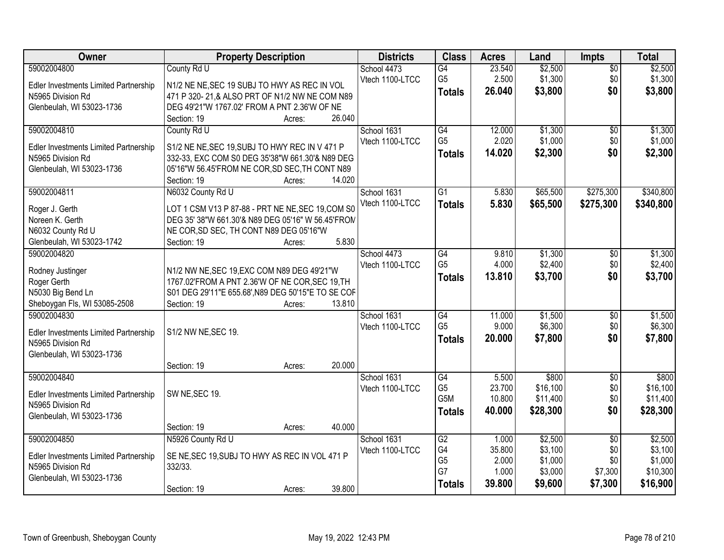| Owner                                        | <b>Property Description</b>                                                                    | <b>Districts</b> | <b>Class</b>     | <b>Acres</b> | Land     | <b>Impts</b>    | <b>Total</b> |
|----------------------------------------------|------------------------------------------------------------------------------------------------|------------------|------------------|--------------|----------|-----------------|--------------|
| 59002004800                                  | County Rd U                                                                                    | School 4473      | G4               | 23.540       | \$2,500  | $\overline{50}$ | \$2,500      |
| Edler Investments Limited Partnership        | N1/2 NE NE, SEC 19 SUBJ TO HWY AS REC IN VOL                                                   | Vtech 1100-LTCC  | G <sub>5</sub>   | 2.500        | \$1,300  | \$0             | \$1,300      |
| N5965 Division Rd                            | 471 P 320-21,& ALSO PRT OF N1/2 NW NE COM N89                                                  |                  | <b>Totals</b>    | 26.040       | \$3,800  | \$0             | \$3,800      |
| Glenbeulah, WI 53023-1736                    | DEG 49'21"W 1767.02' FROM A PNT 2.36'W OF NE                                                   |                  |                  |              |          |                 |              |
|                                              | Section: 19<br>26.040<br>Acres:                                                                |                  |                  |              |          |                 |              |
| 59002004810                                  | County Rd U                                                                                    | School 1631      | G4               | 12.000       | \$1,300  | $\overline{50}$ | \$1,300      |
| <b>Edler Investments Limited Partnership</b> | S1/2 NE NE, SEC 19, SUBJ TO HWY REC IN V 471 P                                                 | Vtech 1100-LTCC  | G <sub>5</sub>   | 2.020        | \$1,000  | \$0             | \$1,000      |
| N5965 Division Rd                            | 332-33, EXC COM S0 DEG 35'38"W 661.30'& N89 DEG                                                |                  | <b>Totals</b>    | 14.020       | \$2,300  | \$0             | \$2,300      |
| Glenbeulah, WI 53023-1736                    | 05'16"W 56.45'FROM NE COR, SD SEC, TH CONT N89                                                 |                  |                  |              |          |                 |              |
|                                              | 14.020<br>Section: 19<br>Acres:                                                                |                  |                  |              |          |                 |              |
| 59002004811                                  | N6032 County Rd U                                                                              | School 1631      | G <sub>1</sub>   | 5.830        | \$65,500 | \$275,300       | \$340,800    |
| Roger J. Gerth                               | LOT 1 CSM V13 P 87-88 - PRT NE NE, SEC 19, COM S0                                              | Vtech 1100-LTCC  | <b>Totals</b>    | 5.830        | \$65,500 | \$275,300       | \$340,800    |
| Noreen K. Gerth                              | DEG 35' 38"W 661.30'& N89 DEG 05'16" W 56.45'FROM                                              |                  |                  |              |          |                 |              |
| N6032 County Rd U                            | NE COR, SD SEC, TH CONT N89 DEG 05'16"W                                                        |                  |                  |              |          |                 |              |
| Glenbeulah, WI 53023-1742                    | 5.830<br>Section: 19<br>Acres:                                                                 |                  |                  |              |          |                 |              |
| 59002004820                                  |                                                                                                | School 4473      | G4               | 9.810        | \$1,300  | $\sqrt[6]{}$    | \$1,300      |
|                                              |                                                                                                | Vtech 1100-LTCC  | G <sub>5</sub>   | 4.000        | \$2,400  | \$0             | \$2,400      |
| Rodney Justinger<br>Roger Gerth              | N1/2 NW NE, SEC 19, EXC COM N89 DEG 49'21"W<br>1767.02'FROM A PNT 2.36'W OF NE COR, SEC 19, TH |                  | <b>Totals</b>    | 13.810       | \$3,700  | \$0             | \$3,700      |
| N5030 Big Bend Ln                            | S01 DEG 29'11"E 655.68', N89 DEG 50'15"E TO SE COF                                             |                  |                  |              |          |                 |              |
| Sheboygan Fls, WI 53085-2508                 | Section: 19<br>13.810<br>Acres:                                                                |                  |                  |              |          |                 |              |
| 59002004830                                  |                                                                                                | School 1631      | $\overline{G4}$  | 11.000       | \$1,500  | $\overline{50}$ | \$1,500      |
|                                              |                                                                                                | Vtech 1100-LTCC  | G <sub>5</sub>   | 9.000        | \$6,300  | \$0             | \$6,300      |
| Edler Investments Limited Partnership        | S1/2 NW NE, SEC 19.                                                                            |                  | <b>Totals</b>    | 20.000       | \$7,800  | \$0             | \$7,800      |
| N5965 Division Rd                            |                                                                                                |                  |                  |              |          |                 |              |
| Glenbeulah, WI 53023-1736                    | 20.000<br>Section: 19<br>Acres:                                                                |                  |                  |              |          |                 |              |
| 59002004840                                  |                                                                                                | School 1631      | G4               | 5.500        | \$800    | $\overline{50}$ | \$800        |
|                                              |                                                                                                | Vtech 1100-LTCC  | G <sub>5</sub>   | 23.700       | \$16,100 | \$0             | \$16,100     |
| Edler Investments Limited Partnership        | SW NE, SEC 19.                                                                                 |                  | G <sub>5</sub> M | 10.800       | \$11,400 | \$0             | \$11,400     |
| N5965 Division Rd                            |                                                                                                |                  | <b>Totals</b>    | 40.000       | \$28,300 | \$0             | \$28,300     |
| Glenbeulah, WI 53023-1736                    | 40.000                                                                                         |                  |                  |              |          |                 |              |
| 59002004850                                  | Section: 19<br>Acres:<br>N5926 County Rd U                                                     | School 1631      | G2               | 1.000        | \$2,500  | $\overline{50}$ | \$2,500      |
|                                              |                                                                                                | Vtech 1100-LTCC  | G4               | 35.800       | \$3,100  | \$0             | \$3,100      |
| Edler Investments Limited Partnership        | SE NE, SEC 19, SUBJ TO HWY AS REC IN VOL 471 P                                                 |                  | G <sub>5</sub>   | 2.000        | \$1,000  | \$0             | \$1,000      |
| N5965 Division Rd                            | 332/33.                                                                                        |                  | G7               | 1.000        | \$3,000  | \$7,300         | \$10,300     |
| Glenbeulah, WI 53023-1736                    |                                                                                                |                  | <b>Totals</b>    | 39,800       | \$9,600  | \$7,300         | \$16,900     |
|                                              | 39.800<br>Section: 19<br>Acres:                                                                |                  |                  |              |          |                 |              |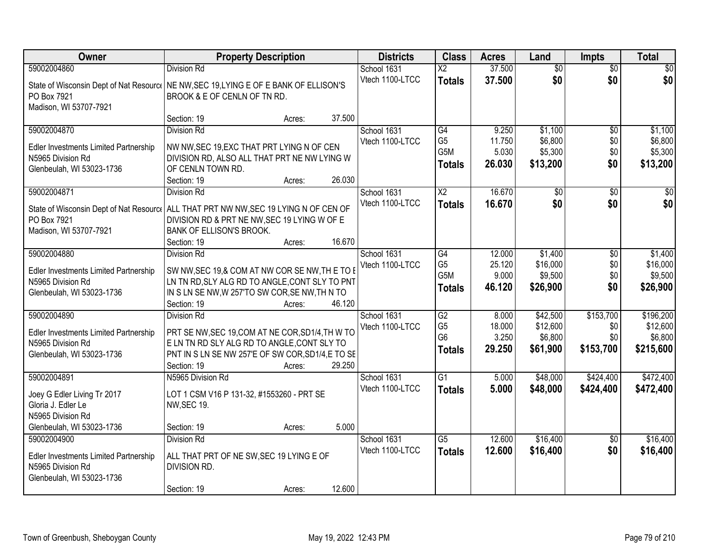| Owner                                                                                                  | <b>Property Description</b>                                                                                                                                                                          | <b>Districts</b>               | <b>Class</b>                                      | <b>Acres</b>                       | Land                                      | <b>Impts</b>                         | <b>Total</b>                              |
|--------------------------------------------------------------------------------------------------------|------------------------------------------------------------------------------------------------------------------------------------------------------------------------------------------------------|--------------------------------|---------------------------------------------------|------------------------------------|-------------------------------------------|--------------------------------------|-------------------------------------------|
| 59002004860                                                                                            | <b>Division Rd</b>                                                                                                                                                                                   | School 1631                    | $\overline{\text{X2}}$                            | 37.500                             | $\overline{50}$                           | $\overline{50}$                      | $\overline{30}$                           |
| PO Box 7921<br>Madison, WI 53707-7921                                                                  | State of Wisconsin Dept of Nat Resourc   NE NW, SEC 19, LYING E OF E BANK OF ELLISON'S<br>BROOK & E OF CENLN OF TN RD.                                                                               | Vtech 1100-LTCC                | <b>Totals</b>                                     | 37.500                             | \$0                                       | \$0                                  | \$0                                       |
|                                                                                                        | 37.500<br>Section: 19<br>Acres:                                                                                                                                                                      |                                |                                                   |                                    |                                           |                                      |                                           |
| 59002004870<br>Edler Investments Limited Partnership<br>N5965 Division Rd<br>Glenbeulah, WI 53023-1736 | <b>Division Rd</b><br>NW NW, SEC 19, EXC THAT PRT LYING N OF CEN<br>DIVISION RD, ALSO ALL THAT PRT NE NW LYING W<br>OF CENLN TOWN RD.<br>26.030<br>Section: 19<br>Acres:                             | School 1631<br>Vtech 1100-LTCC | G4<br>G <sub>5</sub><br>G5M<br><b>Totals</b>      | 9.250<br>11.750<br>5.030<br>26.030 | \$1,100<br>\$6,800<br>\$5,300<br>\$13,200 | $\overline{50}$<br>\$0<br>\$0<br>\$0 | \$1,100<br>\$6,800<br>\$5,300<br>\$13,200 |
| 59002004871                                                                                            | <b>Division Rd</b>                                                                                                                                                                                   | School 1631                    | X <sub>2</sub>                                    | 16.670                             | \$0                                       | \$0                                  | \$0                                       |
| PO Box 7921<br>Madison, WI 53707-7921                                                                  | State of Wisconsin Dept of Nat Resourc   ALL THAT PRT NW NW, SEC 19 LYING N OF CEN OF<br>DIVISION RD & PRT NE NW, SEC 19 LYING W OF E<br>BANK OF ELLISON'S BROOK.<br>16.670<br>Section: 19<br>Acres: | Vtech 1100-LTCC                | <b>Totals</b>                                     | 16.670                             | \$0                                       | \$0                                  | \$0                                       |
| 59002004880                                                                                            | <b>Division Rd</b>                                                                                                                                                                                   | School 1631                    | G4                                                | 12.000                             | \$1,400                                   | \$0                                  | \$1,400                                   |
| Edler Investments Limited Partnership<br>N5965 Division Rd<br>Glenbeulah, WI 53023-1736                | SW NW, SEC 19,& COM AT NW COR SE NW, THE TO E<br>LN TN RD, SLY ALG RD TO ANGLE, CONT SLY TO PNT<br>IN S LN SE NW, W 257'TO SW COR, SE NW, TH N TO<br>46.120<br>Section: 19<br>Acres:                 | Vtech 1100-LTCC                | G <sub>5</sub><br>G5M<br><b>Totals</b>            | 25.120<br>9.000<br>46.120          | \$16,000<br>\$9,500<br>\$26,900           | \$0<br>\$0<br>\$0                    | \$16,000<br>\$9,500<br>\$26,900           |
| 59002004890                                                                                            | <b>Division Rd</b>                                                                                                                                                                                   | School 1631                    | $\overline{G2}$                                   | 8.000                              | \$42,500                                  | \$153,700                            | \$196,200                                 |
| Edler Investments Limited Partnership<br>N5965 Division Rd<br>Glenbeulah, WI 53023-1736                | PRT SE NW, SEC 19, COM AT NE COR, SD1/4, TH W TO<br>E LN TN RD SLY ALG RD TO ANGLE, CONT SLY TO<br>PNT IN S LN SE NW 257'E OF SW COR, SD1/4, E TO SE<br>29.250<br>Section: 19<br>Acres:              | Vtech 1100-LTCC                | G <sub>5</sub><br>G <sub>6</sub><br><b>Totals</b> | 18.000<br>3.250<br>29.250          | \$12,600<br>\$6,800<br>\$61,900           | \$0<br>\$0<br>\$153,700              | \$12,600<br>\$6,800<br>\$215,600          |
| 59002004891                                                                                            | N5965 Division Rd                                                                                                                                                                                    | School 1631                    | $\overline{G1}$                                   | 5.000                              | \$48,000                                  | \$424,400                            | \$472,400                                 |
| Joey G Edler Living Tr 2017<br>Gloria J. Edler Le<br>N5965 Division Rd<br>Glenbeulah, WI 53023-1736    | LOT 1 CSM V16 P 131-32, #1553260 - PRT SE<br><b>NW, SEC 19.</b><br>5.000<br>Section: 19<br>Acres:                                                                                                    | Vtech 1100-LTCC                | <b>Totals</b>                                     | 5.000                              | \$48,000                                  | \$424,400                            | \$472,400                                 |
| 59002004900                                                                                            | <b>Division Rd</b>                                                                                                                                                                                   | School 1631                    | $\overline{G5}$                                   | 12.600                             | \$16,400                                  | $\overline{30}$                      | \$16,400                                  |
| Edler Investments Limited Partnership<br>N5965 Division Rd<br>Glenbeulah, WI 53023-1736                | ALL THAT PRT OF NE SW, SEC 19 LYING E OF<br><b>DIVISION RD.</b><br>12.600<br>Section: 19<br>Acres:                                                                                                   | Vtech 1100-LTCC                | <b>Totals</b>                                     | 12.600                             | \$16,400                                  | \$0                                  | \$16,400                                  |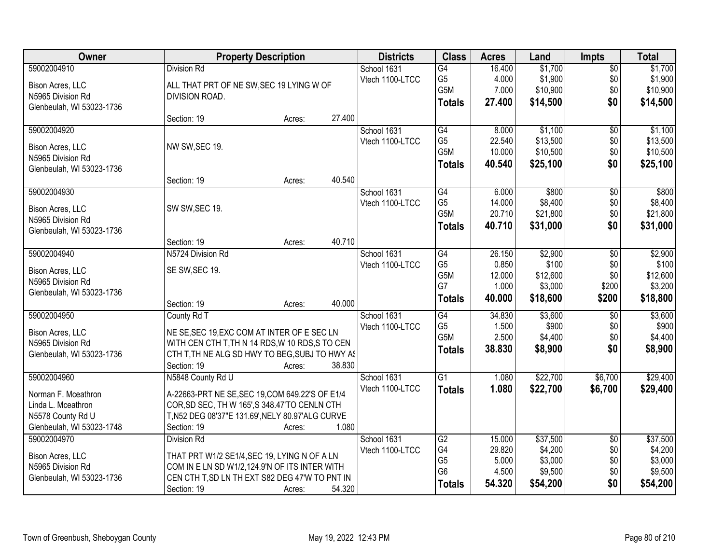| Owner                     |                                                  | <b>Property Description</b> |        | <b>Districts</b> | <b>Class</b>     | <b>Acres</b> | Land     | <b>Impts</b>    | <b>Total</b> |
|---------------------------|--------------------------------------------------|-----------------------------|--------|------------------|------------------|--------------|----------|-----------------|--------------|
| 59002004910               | <b>Division Rd</b>                               |                             |        | School 1631      | G4               | 16.400       | \$1,700  | $\overline{50}$ | \$1,700      |
| Bison Acres, LLC          | ALL THAT PRT OF NE SW, SEC 19 LYING W OF         |                             |        | Vtech 1100-LTCC  | G <sub>5</sub>   | 4.000        | \$1,900  | \$0             | \$1,900      |
| N5965 Division Rd         | DIVISION ROAD.                                   |                             |        |                  | G5M              | 7.000        | \$10,900 | \$0             | \$10,900     |
| Glenbeulah, WI 53023-1736 |                                                  |                             |        |                  | <b>Totals</b>    | 27.400       | \$14,500 | \$0             | \$14,500     |
|                           | Section: 19                                      | Acres:                      | 27.400 |                  |                  |              |          |                 |              |
| 59002004920               |                                                  |                             |        | School 1631      | G4               | 8.000        | \$1,100  | $\overline{50}$ | \$1,100      |
|                           |                                                  |                             |        | Vtech 1100-LTCC  | G <sub>5</sub>   | 22.540       | \$13,500 | \$0             | \$13,500     |
| Bison Acres, LLC          | NW SW, SEC 19.                                   |                             |        |                  | G5M              | 10.000       | \$10,500 | \$0             | \$10,500     |
| N5965 Division Rd         |                                                  |                             |        |                  | <b>Totals</b>    | 40.540       | \$25,100 | \$0             | \$25,100     |
| Glenbeulah, WI 53023-1736 | Section: 19                                      | Acres:                      | 40.540 |                  |                  |              |          |                 |              |
| 59002004930               |                                                  |                             |        | School 1631      | $\overline{G4}$  | 6.000        | \$800    | $\overline{50}$ | \$800        |
|                           |                                                  |                             |        | Vtech 1100-LTCC  | G <sub>5</sub>   | 14.000       | \$8,400  | \$0             | \$8,400      |
| Bison Acres, LLC          | SW SW, SEC 19.                                   |                             |        |                  | G <sub>5</sub> M | 20.710       | \$21,800 | \$0             | \$21,800     |
| N5965 Division Rd         |                                                  |                             |        |                  | <b>Totals</b>    | 40.710       | \$31,000 | \$0             | \$31,000     |
| Glenbeulah, WI 53023-1736 |                                                  |                             |        |                  |                  |              |          |                 |              |
|                           | Section: 19                                      | Acres:                      | 40.710 |                  |                  |              |          |                 |              |
| 59002004940               | N5724 Division Rd                                |                             |        | School 1631      | G4               | 26.150       | \$2,900  | \$0             | \$2,900      |
| Bison Acres, LLC          | SE SW, SEC 19.                                   |                             |        | Vtech 1100-LTCC  | G <sub>5</sub>   | 0.850        | \$100    | \$0             | \$100        |
| N5965 Division Rd         |                                                  |                             |        |                  | G5M              | 12.000       | \$12,600 | \$0             | \$12,600     |
| Glenbeulah, WI 53023-1736 |                                                  |                             |        |                  | G7               | 1.000        | \$3,000  | \$200           | \$3,200      |
|                           | Section: 19                                      | Acres:                      | 40.000 |                  | <b>Totals</b>    | 40.000       | \$18,600 | \$200           | \$18,800     |
| 59002004950               | County Rd T                                      |                             |        | School 1631      | $\overline{G4}$  | 34.830       | \$3,600  | \$0             | \$3,600      |
| Bison Acres, LLC          | NE SE, SEC 19, EXC COM AT INTER OF E SEC LN      |                             |        | Vtech 1100-LTCC  | G <sub>5</sub>   | 1.500        | \$900    | \$0             | \$900        |
| N5965 Division Rd         | WITH CEN CTH T, TH N 14 RDS, W 10 RDS, S TO CEN  |                             |        |                  | G <sub>5</sub> M | 2.500        | \$4,400  | \$0             | \$4,400      |
| Glenbeulah, WI 53023-1736 | CTH T, TH NE ALG SD HWY TO BEG, SUBJ TO HWY AS   |                             |        |                  | <b>Totals</b>    | 38.830       | \$8,900  | \$0             | \$8,900      |
|                           | Section: 19                                      | Acres:                      | 38.830 |                  |                  |              |          |                 |              |
| 59002004960               | N5848 County Rd U                                |                             |        | School 1631      | $\overline{G1}$  | 1.080        | \$22,700 | \$6,700         | \$29,400     |
| Norman F. Mceathron       | A-22663-PRT NE SE, SEC 19, COM 649.22'S OF E1/4  |                             |        | Vtech 1100-LTCC  | <b>Totals</b>    | 1.080        | \$22,700 | \$6,700         | \$29,400     |
| Linda L. Mceathron        | COR, SD SEC, TH W 165', S 348.47'TO CENLN CTH    |                             |        |                  |                  |              |          |                 |              |
| N5578 County Rd U         | T, N52 DEG 08'37"E 131.69', NELY 80.97'ALG CURVE |                             |        |                  |                  |              |          |                 |              |
| Glenbeulah, WI 53023-1748 | Section: 19                                      | Acres:                      | 1.080  |                  |                  |              |          |                 |              |
| 59002004970               | <b>Division Rd</b>                               |                             |        | School 1631      | G2               | 15.000       | \$37,500 | $\overline{50}$ | \$37,500     |
|                           |                                                  |                             |        | Vtech 1100-LTCC  | G4               | 29.820       | \$4,200  | \$0             | \$4,200      |
| Bison Acres, LLC          | THAT PRT W1/2 SE1/4, SEC 19, LYING N OF A LN     |                             |        |                  | G <sub>5</sub>   | 5.000        | \$3,000  | \$0             | \$3,000      |
| N5965 Division Rd         | COM IN E LN SD W1/2,124.9'N OF ITS INTER WITH    |                             |        |                  | G <sub>6</sub>   | 4.500        | \$9,500  | \$0             | \$9,500      |
| Glenbeulah, WI 53023-1736 | CEN CTH T, SD LN TH EXT S82 DEG 47'W TO PNT IN   |                             |        |                  | <b>Totals</b>    | 54.320       | \$54,200 | \$0             | \$54,200     |
|                           | Section: 19                                      | Acres:                      | 54.320 |                  |                  |              |          |                 |              |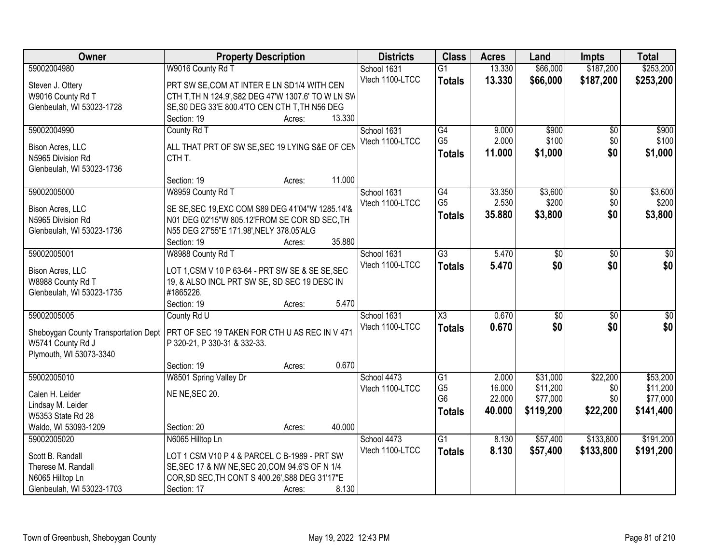| Owner                                | <b>Property Description</b>                         |                  | <b>Districts</b> | <b>Class</b>         | <b>Acres</b>    | Land                 | <b>Impts</b>         | <b>Total</b>         |
|--------------------------------------|-----------------------------------------------------|------------------|------------------|----------------------|-----------------|----------------------|----------------------|----------------------|
| 59002004980                          | W9016 County Rd T                                   |                  | School 1631      | $\overline{G1}$      | 13.330          | \$66,000             | \$187,200            | \$253,200            |
| Steven J. Ottery                     | PRT SW SE, COM AT INTER E LN SD1/4 WITH CEN         |                  | Vtech 1100-LTCC  | <b>Totals</b>        | 13.330          | \$66,000             | \$187,200            | \$253,200            |
| W9016 County Rd T                    | CTH T, TH N 124.9', S82 DEG 47'W 1307.6' TO W LN SW |                  |                  |                      |                 |                      |                      |                      |
| Glenbeulah, WI 53023-1728            | SE, S0 DEG 33'E 800.4'TO CEN CTH T, TH N56 DEG      |                  |                  |                      |                 |                      |                      |                      |
|                                      | Section: 19                                         | 13.330<br>Acres: |                  |                      |                 |                      |                      |                      |
| 59002004990                          | County Rd T                                         |                  | School 1631      | $\overline{G4}$      | 9.000           | \$900                | \$0                  | \$900                |
|                                      |                                                     |                  | Vtech 1100-LTCC  | G <sub>5</sub>       | 2.000           | \$100                | \$0                  | \$100                |
| Bison Acres, LLC                     | ALL THAT PRT OF SW SE, SEC 19 LYING S&E OF CEN      |                  |                  | <b>Totals</b>        | 11.000          | \$1,000              | \$0                  | \$1,000              |
| N5965 Division Rd                    | CTH T.                                              |                  |                  |                      |                 |                      |                      |                      |
| Glenbeulah, WI 53023-1736            | Section: 19                                         | 11.000           |                  |                      |                 |                      |                      |                      |
| 59002005000                          | W8959 County Rd T                                   | Acres:           | School 1631      | $\overline{G4}$      | 33.350          | \$3,600              |                      | \$3,600              |
|                                      |                                                     |                  | Vtech 1100-LTCC  | G <sub>5</sub>       | 2.530           | \$200                | $\sqrt[6]{3}$<br>\$0 | \$200                |
| Bison Acres, LLC                     | SE SE, SEC 19, EXC COM S89 DEG 41'04"W 1285.14'&    |                  |                  |                      | 35.880          | \$3,800              | \$0                  | \$3,800              |
| N5965 Division Rd                    | N01 DEG 02'15"W 805.12'FROM SE COR SD SEC, TH       |                  |                  | <b>Totals</b>        |                 |                      |                      |                      |
| Glenbeulah, WI 53023-1736            | N55 DEG 27'55"E 171.98', NELY 378.05'ALG            |                  |                  |                      |                 |                      |                      |                      |
|                                      | Section: 19                                         | 35.880<br>Acres: |                  |                      |                 |                      |                      |                      |
| 59002005001                          | W8988 County Rd T                                   |                  | School 1631      | $\overline{G3}$      | 5.470           | \$0                  | \$0                  | $\sqrt{50}$          |
| Bison Acres, LLC                     | LOT 1, CSM V 10 P 63-64 - PRT SW SE & SE SE, SEC    |                  | Vtech 1100-LTCC  | <b>Totals</b>        | 5.470           | \$0                  | \$0                  | \$0                  |
| W8988 County Rd T                    | 19, & ALSO INCL PRT SW SE, SD SEC 19 DESC IN        |                  |                  |                      |                 |                      |                      |                      |
| Glenbeulah, WI 53023-1735            | #1865226.                                           |                  |                  |                      |                 |                      |                      |                      |
|                                      | Section: 19                                         | 5.470<br>Acres:  |                  |                      |                 |                      |                      |                      |
| 59002005005                          | County Rd U                                         |                  | School 1631      | $\overline{X3}$      | 0.670           | $\overline{50}$      | \$0                  | $\overline{50}$      |
|                                      |                                                     |                  | Vtech 1100-LTCC  | <b>Totals</b>        | 0.670           | \$0                  | \$0                  | \$0                  |
| Sheboygan County Transportation Dept | PRT OF SEC 19 TAKEN FOR CTH U AS REC IN V 471       |                  |                  |                      |                 |                      |                      |                      |
| W5741 County Rd J                    | P 320-21, P 330-31 & 332-33.                        |                  |                  |                      |                 |                      |                      |                      |
| Plymouth, WI 53073-3340              |                                                     | 0.670            |                  |                      |                 |                      |                      |                      |
|                                      | Section: 19                                         | Acres:           |                  |                      |                 |                      |                      |                      |
| 59002005010                          | W8501 Spring Valley Dr                              |                  | School 4473      | G1<br>G <sub>5</sub> | 2.000<br>16.000 | \$31,000<br>\$11,200 | \$22,200             | \$53,200             |
| Calen H. Leider                      | NE NE, SEC 20.                                      |                  | Vtech 1100-LTCC  | G <sub>6</sub>       | 22.000          | \$77,000             | \$0<br>\$0           | \$11,200<br>\$77,000 |
| Lindsay M. Leider                    |                                                     |                  |                  | <b>Totals</b>        | 40.000          | \$119,200            | \$22,200             | \$141,400            |
| W5353 State Rd 28                    |                                                     |                  |                  |                      |                 |                      |                      |                      |
| Waldo, WI 53093-1209                 | Section: 20                                         | 40.000<br>Acres: |                  |                      |                 |                      |                      |                      |
| 59002005020                          | N6065 Hilltop Ln                                    |                  | School 4473      | G1                   | 8.130           | \$57,400             | \$133,800            | \$191,200            |
| Scott B. Randall                     | LOT 1 CSM V10 P 4 & PARCEL C B-1989 - PRT SW        |                  | Vtech 1100-LTCC  | <b>Totals</b>        | 8.130           | \$57,400             | \$133,800            | \$191,200            |
| Therese M. Randall                   | SE, SEC 17 & NW NE, SEC 20, COM 94.6'S OF N 1/4     |                  |                  |                      |                 |                      |                      |                      |
| N6065 Hilltop Ln                     | COR, SD SEC, TH CONT S 400.26', S88 DEG 31'17"E     |                  |                  |                      |                 |                      |                      |                      |
| Glenbeulah, WI 53023-1703            | Section: 17                                         | 8.130<br>Acres:  |                  |                      |                 |                      |                      |                      |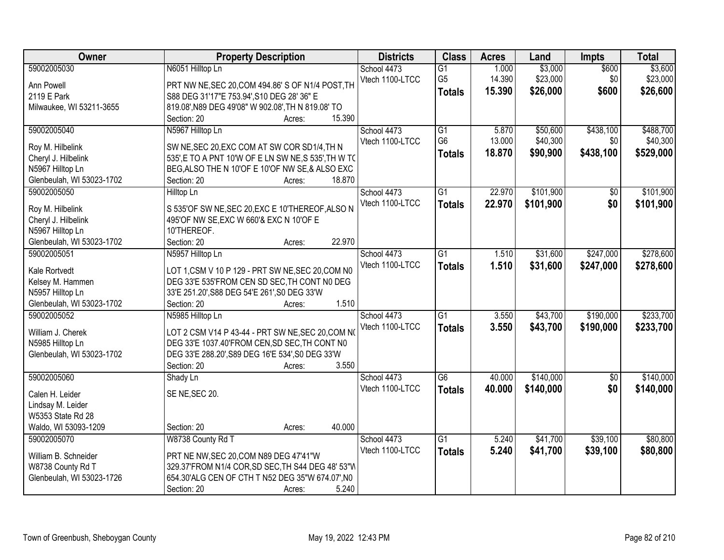| Owner                                    | <b>Property Description</b>                                                                      | <b>Districts</b> | <b>Class</b>    | <b>Acres</b> | Land      | <b>Impts</b>    | <b>Total</b> |
|------------------------------------------|--------------------------------------------------------------------------------------------------|------------------|-----------------|--------------|-----------|-----------------|--------------|
| 59002005030                              | N6051 Hilltop Ln                                                                                 | School 4473      | $\overline{G1}$ | 1.000        | \$3,000   | \$600           | \$3,600      |
| Ann Powell                               | PRT NW NE, SEC 20, COM 494.86' S OF N1/4 POST, TH                                                | Vtech 1100-LTCC  | G <sub>5</sub>  | 14.390       | \$23,000  | \$0             | \$23,000     |
| 2119 E Park                              | S88 DEG 31'17"E 753.94', S10 DEG 28' 36" E                                                       |                  | <b>Totals</b>   | 15.390       | \$26,000  | \$600           | \$26,600     |
| Milwaukee, WI 53211-3655                 | 819.08', N89 DEG 49'08" W 902.08', TH N 819.08' TO                                               |                  |                 |              |           |                 |              |
|                                          | 15.390<br>Section: 20<br>Acres:                                                                  |                  |                 |              |           |                 |              |
| 59002005040                              | N5967 Hilltop Ln                                                                                 | School 4473      | $\overline{G1}$ | 5.870        | \$50,600  | \$438,100       | \$488,700    |
|                                          |                                                                                                  | Vtech 1100-LTCC  | G <sub>6</sub>  | 13.000       | \$40,300  | \$0             | \$40,300     |
| Roy M. Hilbelink                         | SW NE, SEC 20, EXC COM AT SW COR SD1/4, TH N                                                     |                  | <b>Totals</b>   | 18.870       | \$90,900  | \$438,100       | \$529,000    |
| Cheryl J. Hilbelink                      | 535', E TO A PNT 10'W OF E LN SW NE, S 535', TH W TO                                             |                  |                 |              |           |                 |              |
| N5967 Hilltop Ln                         | BEG, ALSO THE N 10'OF E 10'OF NW SE, & ALSO EXC<br>18.870                                        |                  |                 |              |           |                 |              |
| Glenbeulah, WI 53023-1702<br>59002005050 | Section: 20<br>Acres:                                                                            | School 4473      | $\overline{G1}$ | 22.970       | \$101,900 |                 | \$101,900    |
|                                          | Hilltop Ln                                                                                       | Vtech 1100-LTCC  |                 |              |           | $\overline{50}$ |              |
| Roy M. Hilbelink                         | S 535'OF SW NE, SEC 20, EXC E 10'THEREOF, ALSO N                                                 |                  | <b>Totals</b>   | 22.970       | \$101,900 | \$0             | \$101,900    |
| Cheryl J. Hilbelink                      | 495'OF NW SE, EXC W 660'& EXC N 10'OF E                                                          |                  |                 |              |           |                 |              |
| N5967 Hilltop Ln                         | 10'THEREOF.                                                                                      |                  |                 |              |           |                 |              |
| Glenbeulah, WI 53023-1702                | 22.970<br>Section: 20<br>Acres:                                                                  |                  |                 |              |           |                 |              |
| 59002005051                              | N5957 Hilltop Ln                                                                                 | School 4473      | $\overline{G1}$ | 1.510        | \$31,600  | \$247,000       | \$278,600    |
| Kale Rortvedt                            |                                                                                                  | Vtech 1100-LTCC  | <b>Totals</b>   | 1.510        | \$31,600  | \$247,000       | \$278,600    |
| Kelsey M. Hammen                         | LOT 1,CSM V 10 P 129 - PRT SW NE, SEC 20, COM N0<br>DEG 33'E 535'FROM CEN SD SEC, TH CONT NO DEG |                  |                 |              |           |                 |              |
| N5957 Hilltop Ln                         | 33'E 251.20', S88 DEG 54'E 261', S0 DEG 33'W                                                     |                  |                 |              |           |                 |              |
| Glenbeulah, WI 53023-1702                | 1.510<br>Section: 20<br>Acres:                                                                   |                  |                 |              |           |                 |              |
| 59002005052                              | N5985 Hilltop Ln                                                                                 | School 4473      | $\overline{G1}$ | 3.550        | \$43,700  | \$190,000       | \$233,700    |
|                                          |                                                                                                  | Vtech 1100-LTCC  |                 | 3.550        | \$43,700  | \$190,000       |              |
| William J. Cherek                        | LOT 2 CSM V14 P 43-44 - PRT SW NE, SEC 20, COM NO                                                |                  | <b>Totals</b>   |              |           |                 | \$233,700    |
| N5985 Hilltop Ln                         | DEG 33'E 1037.40'FROM CEN, SD SEC, TH CONT N0                                                    |                  |                 |              |           |                 |              |
| Glenbeulah, WI 53023-1702                | DEG 33'E 288.20', S89 DEG 16'E 534', S0 DEG 33'W                                                 |                  |                 |              |           |                 |              |
|                                          | 3.550<br>Section: 20<br>Acres:                                                                   |                  |                 |              |           |                 |              |
| 59002005060                              | Shady Ln                                                                                         | School 4473      | $\overline{G6}$ | 40.000       | \$140,000 | $\overline{60}$ | \$140,000    |
| Calen H. Leider                          | SE NE, SEC 20.                                                                                   | Vtech 1100-LTCC  | <b>Totals</b>   | 40.000       | \$140,000 | \$0             | \$140,000    |
| Lindsay M. Leider                        |                                                                                                  |                  |                 |              |           |                 |              |
| W5353 State Rd 28                        |                                                                                                  |                  |                 |              |           |                 |              |
| Waldo, WI 53093-1209                     | 40.000<br>Section: 20<br>Acres:                                                                  |                  |                 |              |           |                 |              |
| 59002005070                              | W8738 County Rd T                                                                                | School 4473      | $\overline{G1}$ | 5.240        | \$41,700  | \$39,100        | \$80,800     |
|                                          |                                                                                                  | Vtech 1100-LTCC  | <b>Totals</b>   | 5.240        | \$41,700  | \$39,100        | \$80,800     |
| William B. Schneider                     | PRT NE NW, SEC 20, COM N89 DEG 47'41"W                                                           |                  |                 |              |           |                 |              |
| W8738 County Rd T                        | 329.37'FROM N1/4 COR, SD SEC, TH S44 DEG 48' 53"M                                                |                  |                 |              |           |                 |              |
| Glenbeulah, WI 53023-1726                | 654.30'ALG CEN OF CTH T N52 DEG 35"W 674.07', N0                                                 |                  |                 |              |           |                 |              |
|                                          | 5.240<br>Section: 20<br>Acres:                                                                   |                  |                 |              |           |                 |              |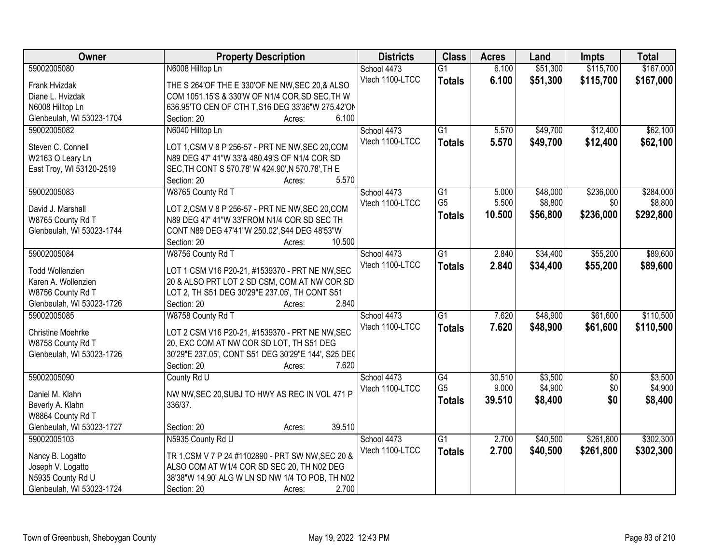| Owner                     | <b>Property Description</b>                                | <b>Districts</b> | <b>Class</b>         | <b>Acres</b>    | Land     | <b>Impts</b>    | <b>Total</b>       |
|---------------------------|------------------------------------------------------------|------------------|----------------------|-----------------|----------|-----------------|--------------------|
| 59002005080               | N6008 Hilltop Ln                                           | School 4473      | $\overline{G1}$      | 6.100           | \$51,300 | \$115,700       | \$167,000          |
| <b>Frank Hvizdak</b>      | THE S 264'OF THE E 330'OF NE NW, SEC 20, & ALSO            | Vtech 1100-LTCC  | <b>Totals</b>        | 6.100           | \$51,300 | \$115,700       | \$167,000          |
| Diane L. Hvizdak          | COM 1051.15'S & 330'W OF N1/4 COR, SD SEC, TH W            |                  |                      |                 |          |                 |                    |
| N6008 Hilltop Ln          | 636.95'TO CEN OF CTH T, S16 DEG 33'36"W 275.42'ON          |                  |                      |                 |          |                 |                    |
| Glenbeulah, WI 53023-1704 | 6.100<br>Section: 20<br>Acres:                             |                  |                      |                 |          |                 |                    |
| 59002005082               | N6040 Hilltop Ln                                           | School 4473      | $\overline{G1}$      | 5.570           | \$49,700 | \$12,400        | \$62,100           |
|                           |                                                            | Vtech 1100-LTCC  | <b>Totals</b>        | 5.570           | \$49,700 | \$12,400        | \$62,100           |
| Steven C. Connell         | LOT 1, CSM V 8 P 256-57 - PRT NE NW, SEC 20, COM           |                  |                      |                 |          |                 |                    |
| W2163 O Leary Ln          | N89 DEG 47' 41"W 33'& 480.49'S OF N1/4 COR SD              |                  |                      |                 |          |                 |                    |
| East Troy, WI 53120-2519  | SEC, TH CONT S 570.78' W 424.90', N 570.78', TH E<br>5.570 |                  |                      |                 |          |                 |                    |
| 59002005083               | Section: 20<br>Acres:<br>W8765 County Rd T                 | School 4473      | $\overline{G1}$      | 5.000           | \$48,000 | \$236,000       | \$284,000          |
|                           |                                                            | Vtech 1100-LTCC  | G <sub>5</sub>       | 5.500           | \$8,800  | \$0             | \$8,800            |
| David J. Marshall         | LOT 2, CSM V 8 P 256-57 - PRT NE NW, SEC 20, COM           |                  |                      | 10.500          | \$56,800 | \$236,000       | \$292,800          |
| W8765 County Rd T         | N89 DEG 47' 41"W 33'FROM N1/4 COR SD SEC TH                |                  | <b>Totals</b>        |                 |          |                 |                    |
| Glenbeulah, WI 53023-1744 | CONT N89 DEG 47'41"W 250.02', S44 DEG 48'53"W              |                  |                      |                 |          |                 |                    |
|                           | 10.500<br>Section: 20<br>Acres:                            |                  |                      |                 |          |                 |                    |
| 59002005084               | W8756 County Rd T                                          | School 4473      | $\overline{G1}$      | 2.840           | \$34,400 | \$55,200        | \$89,600           |
| <b>Todd Wollenzien</b>    | LOT 1 CSM V16 P20-21, #1539370 - PRT NE NW, SEC            | Vtech 1100-LTCC  | <b>Totals</b>        | 2.840           | \$34,400 | \$55,200        | \$89,600           |
| Karen A. Wollenzien       | 20 & ALSO PRT LOT 2 SD CSM, COM AT NW COR SD               |                  |                      |                 |          |                 |                    |
| W8756 County Rd T         | LOT 2, TH S51 DEG 30'29"E 237.05', TH CONT S51             |                  |                      |                 |          |                 |                    |
| Glenbeulah, WI 53023-1726 | 2.840<br>Section: 20<br>Acres:                             |                  |                      |                 |          |                 |                    |
| 59002005085               | W8758 County Rd T                                          | School 4473      | $\overline{G1}$      | 7.620           | \$48,900 | \$61,600        | \$110,500          |
|                           |                                                            | Vtech 1100-LTCC  | <b>Totals</b>        | 7.620           | \$48,900 | \$61,600        | \$110,500          |
| <b>Christine Moehrke</b>  | LOT 2 CSM V16 P20-21, #1539370 - PRT NE NW, SEC            |                  |                      |                 |          |                 |                    |
| W8758 County Rd T         | 20, EXC COM AT NW COR SD LOT, TH S51 DEG                   |                  |                      |                 |          |                 |                    |
| Glenbeulah, WI 53023-1726 | 30'29"E 237.05', CONT S51 DEG 30'29"E 144', S25 DEC        |                  |                      |                 |          |                 |                    |
|                           | 7.620<br>Section: 20<br>Acres:                             |                  |                      |                 |          |                 |                    |
| 59002005090               | County Rd U                                                | School 4473      | G4<br>G <sub>5</sub> | 30.510<br>9.000 | \$3,500  | $\overline{60}$ | \$3,500<br>\$4,900 |
| Daniel M. Klahn           | NW NW, SEC 20, SUBJ TO HWY AS REC IN VOL 471 P             | Vtech 1100-LTCC  |                      |                 | \$4,900  | \$0             |                    |
| Beverly A. Klahn          | 336/37.                                                    |                  | <b>Totals</b>        | 39.510          | \$8,400  | \$0             | \$8,400            |
| W8864 County Rd T         |                                                            |                  |                      |                 |          |                 |                    |
| Glenbeulah, WI 53023-1727 | 39.510<br>Section: 20<br>Acres:                            |                  |                      |                 |          |                 |                    |
| 59002005103               | N5935 County Rd U                                          | School 4473      | $\overline{G1}$      | 2.700           | \$40,500 | \$261,800       | \$302,300          |
| Nancy B. Logatto          | TR 1, CSM V 7 P 24 #1102890 - PRT SW NW, SEC 20 &          | Vtech 1100-LTCC  | <b>Totals</b>        | 2.700           | \$40,500 | \$261,800       | \$302,300          |
| Joseph V. Logatto         | ALSO COM AT W1/4 COR SD SEC 20, TH N02 DEG                 |                  |                      |                 |          |                 |                    |
| N5935 County Rd U         | 38'38"W 14.90' ALG W LN SD NW 1/4 TO POB, TH N02           |                  |                      |                 |          |                 |                    |
| Glenbeulah, WI 53023-1724 | 2.700<br>Section: 20<br>Acres:                             |                  |                      |                 |          |                 |                    |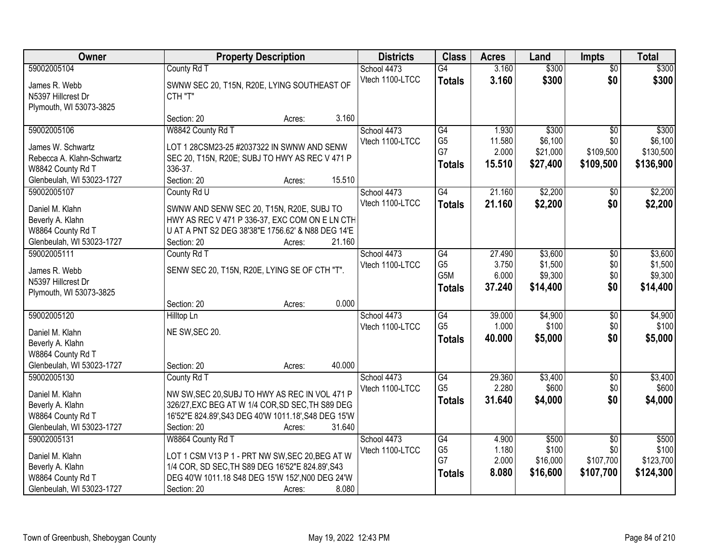| Owner                     | <b>Property Description</b>                          | <b>Districts</b> | <b>Class</b>     | <b>Acres</b> | Land             | <b>Impts</b>    | <b>Total</b>     |
|---------------------------|------------------------------------------------------|------------------|------------------|--------------|------------------|-----------------|------------------|
| 59002005104               | County Rd T                                          | School 4473      | G4               | 3.160        | \$300            | $\overline{50}$ | \$300            |
| James R. Webb             | SWNW SEC 20, T15N, R20E, LYING SOUTHEAST OF          | Vtech 1100-LTCC  | <b>Totals</b>    | 3.160        | \$300            | \$0             | \$300            |
| N5397 Hillcrest Dr        | CTH "T"                                              |                  |                  |              |                  |                 |                  |
| Plymouth, WI 53073-3825   |                                                      |                  |                  |              |                  |                 |                  |
|                           | 3.160<br>Section: 20<br>Acres:                       |                  |                  |              |                  |                 |                  |
| 59002005106               | W8842 County Rd T                                    | School 4473      | $\overline{G4}$  | 1.930        | \$300            | $\overline{50}$ | \$300            |
| James W. Schwartz         | LOT 1 28CSM23-25 #2037322 IN SWNW AND SENW           | Vtech 1100-LTCC  | G <sub>5</sub>   | 11.580       | \$6,100          | \$0             | \$6,100          |
| Rebecca A. Klahn-Schwartz | SEC 20, T15N, R20E; SUBJ TO HWY AS REC V 471 P       |                  | G7               | 2.000        | \$21,000         | \$109,500       | \$130,500        |
| W8842 County Rd T         | 336-37.                                              |                  | <b>Totals</b>    | 15.510       | \$27,400         | \$109,500       | \$136,900        |
| Glenbeulah, WI 53023-1727 | Section: 20<br>15.510<br>Acres:                      |                  |                  |              |                  |                 |                  |
| 59002005107               | County Rd U                                          | School 4473      | $\overline{G4}$  | 21.160       | \$2,200          | $\sqrt[6]{}$    | \$2,200          |
| Daniel M. Klahn           | SWNW AND SENW SEC 20, T15N, R20E, SUBJ TO            | Vtech 1100-LTCC  | <b>Totals</b>    | 21.160       | \$2,200          | \$0             | \$2,200          |
| Beverly A. Klahn          | HWY AS REC V 471 P 336-37, EXC COM ON E LN CTH       |                  |                  |              |                  |                 |                  |
| W8864 County Rd T         | U AT A PNT S2 DEG 38'38"E 1756.62' & N88 DEG 14'E    |                  |                  |              |                  |                 |                  |
| Glenbeulah, WI 53023-1727 | Section: 20<br>21.160<br>Acres:                      |                  |                  |              |                  |                 |                  |
| 59002005111               | County Rd T                                          | School 4473      | G4               | 27.490       | \$3,600          | \$0             | \$3,600          |
|                           |                                                      | Vtech 1100-LTCC  | G <sub>5</sub>   | 3.750        | \$1,500          | \$0             | \$1,500          |
| James R. Webb             | SENW SEC 20, T15N, R20E, LYING SE OF CTH "T".        |                  | G <sub>5</sub> M | 6.000        | \$9,300          | \$0             | \$9,300          |
| N5397 Hillcrest Dr        |                                                      |                  | <b>Totals</b>    | 37.240       | \$14,400         | \$0             | \$14,400         |
| Plymouth, WI 53073-3825   | 0.000                                                |                  |                  |              |                  |                 |                  |
| 59002005120               | Section: 20<br>Acres:                                |                  | G4               | 39.000       |                  |                 |                  |
|                           | Hilltop Ln                                           | School 4473      | G <sub>5</sub>   | 1.000        | \$4,900<br>\$100 | \$0<br>\$0      | \$4,900<br>\$100 |
| Daniel M. Klahn           | NE SW, SEC 20.                                       | Vtech 1100-LTCC  |                  | 40.000       | \$5,000          | \$0             | \$5,000          |
| Beverly A. Klahn          |                                                      |                  | <b>Totals</b>    |              |                  |                 |                  |
| W8864 County Rd T         |                                                      |                  |                  |              |                  |                 |                  |
| Glenbeulah, WI 53023-1727 | 40.000<br>Section: 20<br>Acres:                      |                  |                  |              |                  |                 |                  |
| 59002005130               | County Rd T                                          | School 4473      | $\overline{G4}$  | 29.360       | \$3,400          | $\overline{$0}$ | \$3,400          |
| Daniel M. Klahn           | NW SW, SEC 20, SUBJ TO HWY AS REC IN VOL 471 P       | Vtech 1100-LTCC  | G <sub>5</sub>   | 2.280        | \$600            | \$0             | \$600            |
| Beverly A. Klahn          | 326/27, EXC BEG AT W 1/4 COR, SD SEC, TH S89 DEG     |                  | <b>Totals</b>    | 31.640       | \$4,000          | \$0             | \$4,000          |
| W8864 County Rd T         | 16'52"E 824.89', S43 DEG 40'W 1011.18', S48 DEG 15'W |                  |                  |              |                  |                 |                  |
| Glenbeulah, WI 53023-1727 | Section: 20<br>31.640<br>Acres:                      |                  |                  |              |                  |                 |                  |
| 59002005131               | W8864 County Rd T                                    | School 4473      | G4               | 4.900        | \$500            | $\overline{50}$ | \$500            |
| Daniel M. Klahn           | LOT 1 CSM V13 P 1 - PRT NW SW, SEC 20, BEG AT W      | Vtech 1100-LTCC  | G <sub>5</sub>   | 1.180        | \$100            | \$0             | \$100            |
| Beverly A. Klahn          | 1/4 COR, SD SEC, TH S89 DEG 16'52"E 824.89', S43     |                  | G7               | 2.000        | \$16,000         | \$107,700       | \$123,700        |
| W8864 County Rd T         | DEG 40'W 1011.18 S48 DEG 15'W 152', N00 DEG 24'W     |                  | <b>Totals</b>    | 8.080        | \$16,600         | \$107,700       | \$124,300        |
| Glenbeulah, WI 53023-1727 | 8.080<br>Section: 20<br>Acres:                       |                  |                  |              |                  |                 |                  |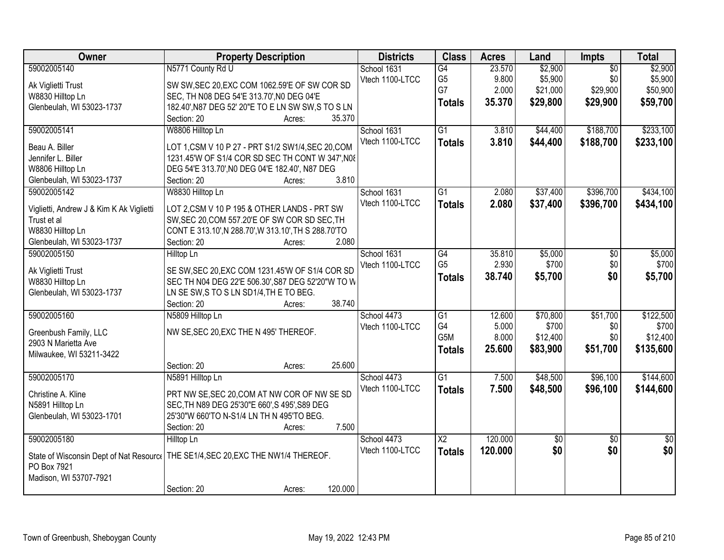| Owner                                    | <b>Property Description</b>                                                        | <b>Districts</b> | <b>Class</b>           | <b>Acres</b> | Land            | <b>Impts</b>    | <b>Total</b>    |
|------------------------------------------|------------------------------------------------------------------------------------|------------------|------------------------|--------------|-----------------|-----------------|-----------------|
| 59002005140                              | N5771 County Rd U                                                                  | School 1631      | G4                     | 23.570       | \$2,900         | $\overline{50}$ | \$2,900         |
| Ak Viglietti Trust                       | SW SW, SEC 20, EXC COM 1062.59'E OF SW COR SD                                      | Vtech 1100-LTCC  | G <sub>5</sub>         | 9.800        | \$5,900         | \$0             | \$5,900         |
| W8830 Hilltop Ln                         | SEC, TH N08 DEG 54'E 313.70', N0 DEG 04'E                                          |                  | G7                     | 2.000        | \$21,000        | \$29,900        | \$50,900        |
| Glenbeulah, WI 53023-1737                | 182.40', N87 DEG 52' 20"E TO E LN SW SW, S TO S LN                                 |                  | <b>Totals</b>          | 35.370       | \$29,800        | \$29,900        | \$59,700        |
|                                          | 35.370<br>Section: 20<br>Acres:                                                    |                  |                        |              |                 |                 |                 |
| 59002005141                              | W8806 Hilltop Ln                                                                   | School 1631      | G1                     | 3.810        | \$44,400        | \$188,700       | \$233,100       |
|                                          |                                                                                    | Vtech 1100-LTCC  | <b>Totals</b>          | 3.810        | \$44,400        | \$188,700       | \$233,100       |
| Beau A. Biller                           | LOT 1, CSM V 10 P 27 - PRT S1/2 SW1/4, SEC 20, COM                                 |                  |                        |              |                 |                 |                 |
| Jennifer L. Biller                       | 1231.45'W OF S1/4 COR SD SEC TH CONT W 347', N08                                   |                  |                        |              |                 |                 |                 |
| W8806 Hilltop Ln                         | DEG 54'E 313.70', NO DEG 04'E 182.40', N87 DEG                                     |                  |                        |              |                 |                 |                 |
| Glenbeulah, WI 53023-1737                | 3.810<br>Section: 20<br>Acres:                                                     |                  |                        |              |                 |                 |                 |
| 59002005142                              | W8830 Hilltop Ln                                                                   | School 1631      | G1                     | 2.080        | \$37,400        | \$396,700       | \$434,100       |
| Viglietti, Andrew J & Kim K Ak Viglietti | LOT 2,CSM V 10 P 195 & OTHER LANDS - PRT SW                                        | Vtech 1100-LTCC  | <b>Totals</b>          | 2.080        | \$37,400        | \$396,700       | \$434,100       |
| Trust et al                              | SW, SEC 20, COM 557.20'E OF SW COR SD SEC, TH                                      |                  |                        |              |                 |                 |                 |
| W8830 Hilltop Ln                         | CONT E 313.10', N 288.70', W 313.10', TH S 288.70'TO                               |                  |                        |              |                 |                 |                 |
| Glenbeulah, WI 53023-1737                | 2.080<br>Section: 20<br>Acres:                                                     |                  |                        |              |                 |                 |                 |
| 59002005150                              | <b>Hilltop Ln</b>                                                                  | School 1631      | G4                     | 35.810       | \$5,000         | \$0             | \$5,000         |
|                                          |                                                                                    | Vtech 1100-LTCC  | G <sub>5</sub>         | 2.930        | \$700           | \$0             | \$700           |
| Ak Viglietti Trust                       | SE SW, SEC 20, EXC COM 1231.45'W OF S1/4 COR SD                                    |                  |                        | 38.740       |                 | \$0             |                 |
| W8830 Hilltop Ln                         | SEC TH N04 DEG 22'E 506.30', S87 DEG 52'20"W TO W                                  |                  | <b>Totals</b>          |              | \$5,700         |                 | \$5,700         |
| Glenbeulah, WI 53023-1737                | LN SE SW, S TO S LN SD1/4, TH E TO BEG.                                            |                  |                        |              |                 |                 |                 |
|                                          | 38.740<br>Section: 20<br>Acres:                                                    |                  |                        |              |                 |                 |                 |
| 59002005160                              | N5809 Hilltop Ln                                                                   | School 4473      | $\overline{G1}$        | 12.600       | \$70,800        | \$51,700        | \$122,500       |
|                                          | NW SE, SEC 20, EXC THE N 495' THEREOF.                                             | Vtech 1100-LTCC  | G <sub>4</sub>         | 5.000        | \$700           | \$0             | \$700           |
| Greenbush Family, LLC                    |                                                                                    |                  | G5M                    | 8.000        | \$12,400        | \$0             | \$12,400        |
| 2903 N Marietta Ave                      |                                                                                    |                  | <b>Totals</b>          | 25.600       | \$83,900        | \$51,700        | \$135,600       |
| Milwaukee, WI 53211-3422                 | 25.600                                                                             |                  |                        |              |                 |                 |                 |
|                                          | Section: 20<br>Acres:                                                              |                  |                        |              |                 |                 |                 |
| 59002005170                              | N5891 Hilltop Ln                                                                   | School 4473      | $\overline{G1}$        | 7.500        | \$48,500        | \$96,100        | \$144,600       |
| Christine A. Kline                       | PRT NW SE, SEC 20, COM AT NW COR OF NW SE SD                                       | Vtech 1100-LTCC  | <b>Totals</b>          | 7.500        | \$48,500        | \$96,100        | \$144,600       |
| N5891 Hilltop Ln                         | SEC, TH N89 DEG 25'30"E 660', S 495', S89 DEG                                      |                  |                        |              |                 |                 |                 |
| Glenbeulah, WI 53023-1701                | 25'30"W 660'TO N-S1/4 LN TH N 495'TO BEG.                                          |                  |                        |              |                 |                 |                 |
|                                          | 7.500<br>Section: 20<br>Acres:                                                     |                  |                        |              |                 |                 |                 |
| 59002005180                              | Hilltop Ln                                                                         | School 4473      | $\overline{\text{X2}}$ | 120,000      | $\overline{50}$ | $\overline{50}$ | $\overline{50}$ |
|                                          |                                                                                    | Vtech 1100-LTCC  | <b>Totals</b>          | 120.000      | \$0             | \$0             | \$0             |
|                                          | State of Wisconsin Dept of Nat Resourc   THE SE1/4, SEC 20, EXC THE NW1/4 THEREOF. |                  |                        |              |                 |                 |                 |
| PO Box 7921                              |                                                                                    |                  |                        |              |                 |                 |                 |
| Madison, WI 53707-7921                   |                                                                                    |                  |                        |              |                 |                 |                 |
|                                          | 120.000<br>Section: 20<br>Acres:                                                   |                  |                        |              |                 |                 |                 |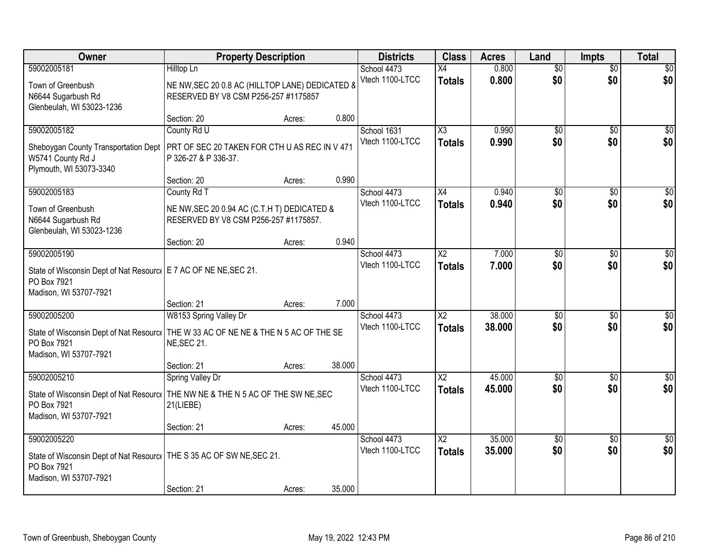| Owner                                                                                | <b>Property Description</b>                     |        |        | <b>Districts</b> | <b>Class</b>           | <b>Acres</b> | Land            | <b>Impts</b>    | <b>Total</b>    |
|--------------------------------------------------------------------------------------|-------------------------------------------------|--------|--------|------------------|------------------------|--------------|-----------------|-----------------|-----------------|
| 59002005181                                                                          | Hilltop Ln                                      |        |        | School 4473      | X4                     | 0.800        | $\overline{50}$ | $\overline{50}$ | \$0             |
| Town of Greenbush                                                                    | NE NW, SEC 20 0.8 AC (HILLTOP LANE) DEDICATED 8 |        |        | Vtech 1100-LTCC  | <b>Totals</b>          | 0.800        | \$0             | \$0             | \$0             |
| N6644 Sugarbush Rd                                                                   | RESERVED BY V8 CSM P256-257 #1175857            |        |        |                  |                        |              |                 |                 |                 |
| Glenbeulah, WI 53023-1236                                                            |                                                 |        |        |                  |                        |              |                 |                 |                 |
| 59002005182                                                                          | Section: 20<br>County Rd U                      | Acres: | 0.800  | School 1631      | $\overline{\chi_3}$    | 0.990        | \$0             | \$0             | \$0             |
|                                                                                      |                                                 |        |        | Vtech 1100-LTCC  | <b>Totals</b>          | 0.990        | \$0             | \$0             | \$0             |
| Sheboygan County Transportation Dept                                                 | PRT OF SEC 20 TAKEN FOR CTH U AS REC IN V 471   |        |        |                  |                        |              |                 |                 |                 |
| W5741 County Rd J<br>Plymouth, WI 53073-3340                                         | P 326-27 & P 336-37.                            |        |        |                  |                        |              |                 |                 |                 |
|                                                                                      | Section: 20                                     | Acres: | 0.990  |                  |                        |              |                 |                 |                 |
| 59002005183                                                                          | County Rd T                                     |        |        | School 4473      | X4                     | 0.940        | $\overline{50}$ | \$0             | $\overline{50}$ |
| Town of Greenbush                                                                    | NE NW, SEC 20 0.94 AC (C.T.H T) DEDICATED &     |        |        | Vtech 1100-LTCC  | <b>Totals</b>          | 0.940        | \$0             | \$0             | \$0             |
| N6644 Sugarbush Rd                                                                   | RESERVED BY V8 CSM P256-257 #1175857.           |        |        |                  |                        |              |                 |                 |                 |
| Glenbeulah, WI 53023-1236                                                            |                                                 |        |        |                  |                        |              |                 |                 |                 |
|                                                                                      | Section: 20                                     | Acres: | 0.940  |                  |                        |              |                 |                 |                 |
| 59002005190                                                                          |                                                 |        |        | School 4473      | $\overline{\text{X2}}$ | 7.000        | \$0             | \$0             | $\sqrt{50}$     |
| State of Wisconsin Dept of Nat Resourc   E 7 AC OF NE NE, SEC 21.                    |                                                 |        |        | Vtech 1100-LTCC  | <b>Totals</b>          | 7.000        | \$0             | \$0             | \$0             |
| PO Box 7921                                                                          |                                                 |        |        |                  |                        |              |                 |                 |                 |
| Madison, WI 53707-7921                                                               |                                                 |        |        |                  |                        |              |                 |                 |                 |
| 59002005200                                                                          | Section: 21<br>W8153 Spring Valley Dr           | Acres: | 7.000  | School 4473      | $\overline{X2}$        | 38.000       | \$0             | $\overline{50}$ | \$0             |
|                                                                                      |                                                 |        |        | Vtech 1100-LTCC  | <b>Totals</b>          | 38.000       | \$0             | \$0             | \$0             |
| State of Wisconsin Dept of Nat Resourc   THE W 33 AC OF NE NE & THE N 5 AC OF THE SE |                                                 |        |        |                  |                        |              |                 |                 |                 |
| PO Box 7921<br>Madison, WI 53707-7921                                                | NE, SEC 21.                                     |        |        |                  |                        |              |                 |                 |                 |
|                                                                                      | Section: 21                                     | Acres: | 38.000 |                  |                        |              |                 |                 |                 |
| 59002005210                                                                          | Spring Valley Dr                                |        |        | School 4473      | X <sub>2</sub>         | 45.000       | \$0             | \$0             | $\sqrt{30}$     |
| State of Wisconsin Dept of Nat Resourc   THE NW NE & THE N 5 AC OF THE SW NE, SEC    |                                                 |        |        | Vtech 1100-LTCC  | <b>Totals</b>          | 45.000       | \$0             | \$0             | \$0             |
| PO Box 7921                                                                          | 21(LIEBE)                                       |        |        |                  |                        |              |                 |                 |                 |
| Madison, WI 53707-7921                                                               |                                                 |        |        |                  |                        |              |                 |                 |                 |
|                                                                                      | Section: 21                                     | Acres: | 45.000 |                  |                        |              |                 |                 |                 |
| 59002005220                                                                          |                                                 |        |        | School 4473      | $\overline{X2}$        | 35.000       | $\overline{60}$ | $\overline{50}$ | $\overline{50}$ |
| State of Wisconsin Dept of Nat Resourc   THE S 35 AC OF SW NE, SEC 21.               |                                                 |        |        | Vtech 1100-LTCC  | <b>Totals</b>          | 35.000       | \$0             | \$0             | \$0             |
| PO Box 7921                                                                          |                                                 |        |        |                  |                        |              |                 |                 |                 |
| Madison, WI 53707-7921                                                               |                                                 |        |        |                  |                        |              |                 |                 |                 |
|                                                                                      | Section: 21                                     | Acres: | 35.000 |                  |                        |              |                 |                 |                 |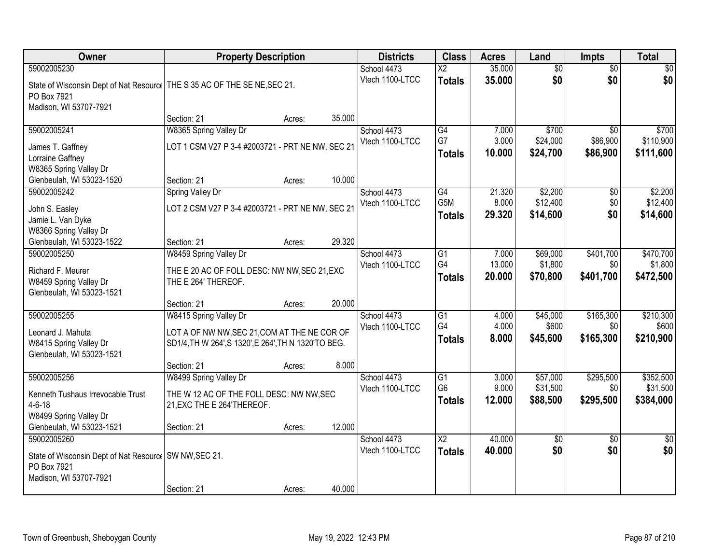| <b>Owner</b>                                                               | <b>Property Description</b>                          |        |        | <b>Districts</b>               | <b>Class</b>           | <b>Acres</b>    | Land                 | <b>Impts</b>     | <b>Total</b>         |
|----------------------------------------------------------------------------|------------------------------------------------------|--------|--------|--------------------------------|------------------------|-----------------|----------------------|------------------|----------------------|
| 59002005230                                                                |                                                      |        |        | School 4473                    | $\overline{X2}$        | 35.000          | $\overline{50}$      | $\overline{50}$  | \$0                  |
| State of Wisconsin Dept of Nat Resourc   THE S 35 AC OF THE SE NE, SEC 21. |                                                      |        |        | Vtech 1100-LTCC                | <b>Totals</b>          | 35.000          | \$0                  | \$0              | \$0                  |
| PO Box 7921                                                                |                                                      |        |        |                                |                        |                 |                      |                  |                      |
| Madison, WI 53707-7921                                                     |                                                      |        |        |                                |                        |                 |                      |                  |                      |
|                                                                            | Section: 21                                          | Acres: | 35.000 |                                |                        |                 |                      |                  |                      |
| 59002005241                                                                | W8365 Spring Valley Dr                               |        |        | School 4473                    | G4                     | 7.000           | \$700                | \$0              | \$700                |
| James T. Gaffney                                                           | LOT 1 CSM V27 P 3-4 #2003721 - PRT NE NW, SEC 21     |        |        | Vtech 1100-LTCC                | G7                     | 3.000           | \$24,000             | \$86,900         | \$110,900            |
| Lorraine Gaffney                                                           |                                                      |        |        |                                | <b>Totals</b>          | 10.000          | \$24,700             | \$86,900         | \$111,600            |
| W8365 Spring Valley Dr                                                     |                                                      |        |        |                                |                        |                 |                      |                  |                      |
| Glenbeulah, WI 53023-1520                                                  | Section: 21                                          | Acres: | 10.000 |                                |                        |                 |                      |                  |                      |
| 59002005242                                                                | Spring Valley Dr                                     |        |        | School 4473                    | G4                     | 21.320          | \$2,200              | \$0              | \$2,200              |
| John S. Easley                                                             | LOT 2 CSM V27 P 3-4 #2003721 - PRT NE NW, SEC 21     |        |        | Vtech 1100-LTCC                | G5M                    | 8.000<br>29.320 | \$12,400<br>\$14,600 | \$0<br>\$0       | \$12,400<br>\$14,600 |
| Jamie L. Van Dyke                                                          |                                                      |        |        |                                | <b>Totals</b>          |                 |                      |                  |                      |
| W8366 Spring Valley Dr                                                     |                                                      |        |        |                                |                        |                 |                      |                  |                      |
| Glenbeulah, WI 53023-1522                                                  | Section: 21                                          | Acres: | 29.320 |                                |                        |                 |                      |                  |                      |
| 59002005250                                                                | W8459 Spring Valley Dr                               |        |        | School 4473<br>Vtech 1100-LTCC | G1<br>G4               | 7.000<br>13.000 | \$69,000<br>\$1,800  | \$401,700<br>\$0 | \$470,700<br>\$1,800 |
| Richard F. Meurer                                                          | THE E 20 AC OF FOLL DESC: NW NW, SEC 21, EXC         |        |        |                                | <b>Totals</b>          | 20.000          | \$70,800             | \$401,700        | \$472,500            |
| W8459 Spring Valley Dr                                                     | THE E 264' THEREOF.                                  |        |        |                                |                        |                 |                      |                  |                      |
| Glenbeulah, WI 53023-1521                                                  |                                                      |        |        |                                |                        |                 |                      |                  |                      |
| 59002005255                                                                | Section: 21<br>W8415 Spring Valley Dr                | Acres: | 20.000 | School 4473                    | $\overline{G1}$        | 4.000           | \$45,000             | \$165,300        | \$210,300            |
|                                                                            |                                                      |        |        | Vtech 1100-LTCC                | G4                     | 4.000           | \$600                | \$0              | \$600                |
| Leonard J. Mahuta                                                          | LOT A OF NW NW, SEC 21, COM AT THE NE COR OF         |        |        |                                | <b>Totals</b>          | 8.000           | \$45,600             | \$165,300        | \$210,900            |
| W8415 Spring Valley Dr                                                     | SD1/4, TH W 264', S 1320', E 264', TH N 1320'TO BEG. |        |        |                                |                        |                 |                      |                  |                      |
| Glenbeulah, WI 53023-1521                                                  |                                                      |        | 8.000  |                                |                        |                 |                      |                  |                      |
| 59002005256                                                                | Section: 21<br>W8499 Spring Valley Dr                | Acres: |        | School 4473                    | G1                     | 3.000           | \$57,000             | \$295,500        | \$352,500            |
|                                                                            |                                                      |        |        | Vtech 1100-LTCC                | G <sub>6</sub>         | 9.000           | \$31,500             | \$0              | \$31,500             |
| Kenneth Tushaus Irrevocable Trust                                          | THE W 12 AC OF THE FOLL DESC: NW NW, SEC             |        |        |                                | <b>Totals</b>          | 12.000          | \$88,500             | \$295,500        | \$384,000            |
| $4 - 6 - 18$                                                               | 21, EXC THE E 264' THEREOF.                          |        |        |                                |                        |                 |                      |                  |                      |
| W8499 Spring Valley Dr<br>Glenbeulah, WI 53023-1521                        | Section: 21                                          | Acres: | 12.000 |                                |                        |                 |                      |                  |                      |
| 59002005260                                                                |                                                      |        |        | School 4473                    | $\overline{\text{X2}}$ | 40.000          | $\overline{50}$      | $\overline{30}$  | $\overline{50}$      |
|                                                                            |                                                      |        |        | Vtech 1100-LTCC                | <b>Totals</b>          | 40.000          | \$0                  | \$0              | \$0                  |
| State of Wisconsin Dept of Nat Resourc   SW NW, SEC 21.                    |                                                      |        |        |                                |                        |                 |                      |                  |                      |
| PO Box 7921<br>Madison, WI 53707-7921                                      |                                                      |        |        |                                |                        |                 |                      |                  |                      |
|                                                                            | Section: 21                                          | Acres: | 40.000 |                                |                        |                 |                      |                  |                      |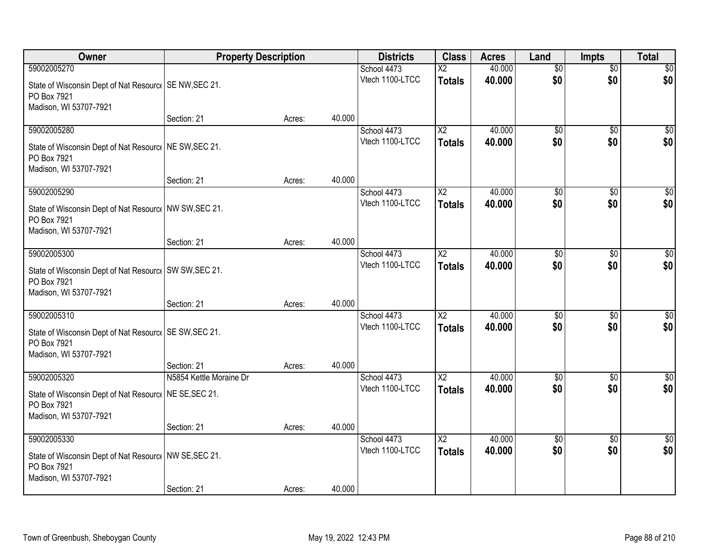| Owner                                                                  | <b>Property Description</b> |        |        | <b>Districts</b>               | <b>Class</b>             | <b>Acres</b>     | Land            | <b>Impts</b>    | <b>Total</b>     |
|------------------------------------------------------------------------|-----------------------------|--------|--------|--------------------------------|--------------------------|------------------|-----------------|-----------------|------------------|
| 59002005270                                                            |                             |        |        | School 4473                    | $\overline{\mathsf{x2}}$ | 40.000           | $\overline{50}$ | $\overline{50}$ | \$0              |
| State of Wisconsin Dept of Nat Resourc   SE NW, SEC 21.                |                             |        |        | Vtech 1100-LTCC                | <b>Totals</b>            | 40.000           | \$0             | \$0             | \$0              |
| PO Box 7921                                                            |                             |        |        |                                |                          |                  |                 |                 |                  |
| Madison, WI 53707-7921                                                 |                             |        |        |                                |                          |                  |                 |                 |                  |
|                                                                        | Section: 21                 | Acres: | 40.000 |                                |                          |                  |                 |                 |                  |
| 59002005280                                                            |                             |        |        | School 4473                    | $\overline{X2}$          | 40.000           | $\overline{50}$ | $\overline{50}$ | \$0              |
| State of Wisconsin Dept of Nat Resourc   NE SW, SEC 21.                |                             |        |        | Vtech 1100-LTCC                | <b>Totals</b>            | 40.000           | \$0             | \$0             | \$0              |
| PO Box 7921                                                            |                             |        |        |                                |                          |                  |                 |                 |                  |
| Madison, WI 53707-7921                                                 |                             |        |        |                                |                          |                  |                 |                 |                  |
|                                                                        | Section: 21                 | Acres: | 40.000 |                                |                          |                  |                 |                 | $\overline{50}$  |
| 59002005290                                                            |                             |        |        | School 4473<br>Vtech 1100-LTCC | X <sub>2</sub>           | 40.000<br>40.000 | \$0<br>\$0      | \$0<br>\$0      | \$0              |
| State of Wisconsin Dept of Nat Resourc   NW SW, SEC 21.                |                             |        |        |                                | <b>Totals</b>            |                  |                 |                 |                  |
| PO Box 7921                                                            |                             |        |        |                                |                          |                  |                 |                 |                  |
| Madison, WI 53707-7921                                                 | Section: 21                 |        | 40.000 |                                |                          |                  |                 |                 |                  |
| 59002005300                                                            |                             | Acres: |        | School 4473                    | X2                       | 40.000           | \$0             | $\sqrt{6}$      | \$0              |
|                                                                        |                             |        |        | Vtech 1100-LTCC                | <b>Totals</b>            | 40.000           | \$0             | \$0             | \$0              |
| State of Wisconsin Dept of Nat Resourc   SW SW, SEC 21.                |                             |        |        |                                |                          |                  |                 |                 |                  |
| PO Box 7921<br>Madison, WI 53707-7921                                  |                             |        |        |                                |                          |                  |                 |                 |                  |
|                                                                        | Section: 21                 | Acres: | 40.000 |                                |                          |                  |                 |                 |                  |
| 59002005310                                                            |                             |        |        | School 4473                    | $\overline{\text{X2}}$   | 40.000           | $\overline{50}$ | $\overline{50}$ | $\overline{50}$  |
|                                                                        |                             |        |        | Vtech 1100-LTCC                | <b>Totals</b>            | 40.000           | \$0             | \$0             | \$0              |
| State of Wisconsin Dept of Nat Resourc   SE SW, SEC 21.<br>PO Box 7921 |                             |        |        |                                |                          |                  |                 |                 |                  |
| Madison, WI 53707-7921                                                 |                             |        |        |                                |                          |                  |                 |                 |                  |
|                                                                        | Section: 21                 | Acres: | 40.000 |                                |                          |                  |                 |                 |                  |
| 59002005320                                                            | N5854 Kettle Moraine Dr     |        |        | School 4473                    | $\overline{\text{X2}}$   | 40.000           | $\overline{50}$ | $\overline{30}$ | $\overline{\$0}$ |
| State of Wisconsin Dept of Nat Resourc   NE SE, SEC 21.                |                             |        |        | Vtech 1100-LTCC                | <b>Totals</b>            | 40.000           | \$0             | \$0             | \$0              |
| PO Box 7921                                                            |                             |        |        |                                |                          |                  |                 |                 |                  |
| Madison, WI 53707-7921                                                 |                             |        |        |                                |                          |                  |                 |                 |                  |
|                                                                        | Section: 21                 | Acres: | 40.000 |                                |                          |                  |                 |                 |                  |
| 59002005330                                                            |                             |        |        | School 4473                    | $\overline{X2}$          | 40.000           | $\overline{50}$ | $\overline{50}$ | $\overline{30}$  |
| State of Wisconsin Dept of Nat Resourc   NW SE, SEC 21.                |                             |        |        | Vtech 1100-LTCC                | <b>Totals</b>            | 40.000           | \$0             | \$0             | \$0              |
| PO Box 7921                                                            |                             |        |        |                                |                          |                  |                 |                 |                  |
| Madison, WI 53707-7921                                                 |                             |        |        |                                |                          |                  |                 |                 |                  |
|                                                                        | Section: 21                 | Acres: | 40.000 |                                |                          |                  |                 |                 |                  |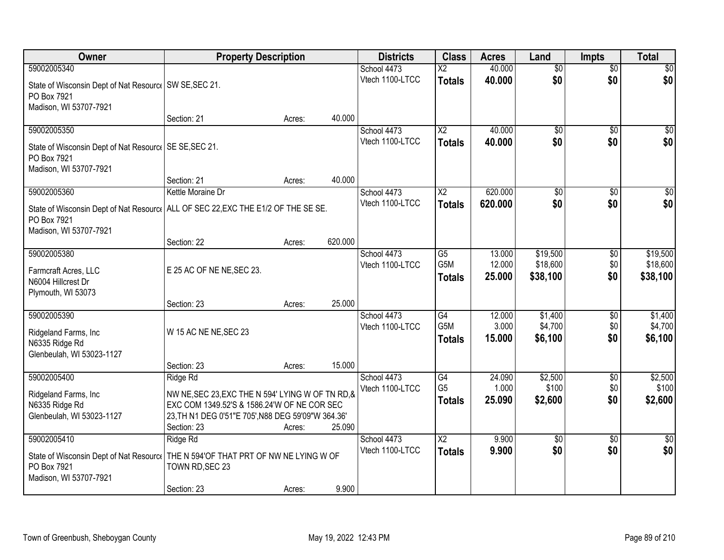| Owner                                                                              | <b>Property Description</b>                        |        |         | <b>Districts</b> | <b>Class</b>                        | <b>Acres</b>     | Land               | <b>Impts</b>    | <b>Total</b>       |
|------------------------------------------------------------------------------------|----------------------------------------------------|--------|---------|------------------|-------------------------------------|------------------|--------------------|-----------------|--------------------|
| 59002005340                                                                        |                                                    |        |         | School 4473      | $\overline{\mathsf{x2}}$            | 40.000           | $\overline{50}$    | $\overline{50}$ | \$0                |
| State of Wisconsin Dept of Nat Resourc   SW SE, SEC 21.                            |                                                    |        |         | Vtech 1100-LTCC  | <b>Totals</b>                       | 40.000           | \$0                | \$0             | \$0                |
| PO Box 7921                                                                        |                                                    |        |         |                  |                                     |                  |                    |                 |                    |
| Madison, WI 53707-7921                                                             |                                                    |        |         |                  |                                     |                  |                    |                 |                    |
|                                                                                    | Section: 21                                        | Acres: | 40.000  |                  |                                     |                  |                    |                 |                    |
| 59002005350                                                                        |                                                    |        |         | School 4473      | $\overline{X2}$                     | 40.000           | $\overline{50}$    | $\overline{50}$ | \$0                |
| State of Wisconsin Dept of Nat Resourc   SE SE, SEC 21.                            |                                                    |        |         | Vtech 1100-LTCC  | <b>Totals</b>                       | 40.000           | \$0                | \$0             | \$0                |
| PO Box 7921                                                                        |                                                    |        |         |                  |                                     |                  |                    |                 |                    |
| Madison, WI 53707-7921                                                             |                                                    |        |         |                  |                                     |                  |                    |                 |                    |
|                                                                                    | Section: 21                                        | Acres: | 40.000  |                  |                                     |                  |                    |                 |                    |
| 59002005360                                                                        | Kettle Moraine Dr                                  |        |         | School 4473      | X <sub>2</sub>                      | 620,000          | \$0                | \$0             | $\overline{50}$    |
| State of Wisconsin Dept of Nat Resourc   ALL OF SEC 22, EXC THE E1/2 OF THE SE SE. |                                                    |        |         | Vtech 1100-LTCC  | <b>Totals</b>                       | 620.000          | \$0                | \$0             | \$0                |
| PO Box 7921                                                                        |                                                    |        |         |                  |                                     |                  |                    |                 |                    |
| Madison, WI 53707-7921                                                             |                                                    |        |         |                  |                                     |                  |                    |                 |                    |
|                                                                                    | Section: 22                                        | Acres: | 620.000 |                  |                                     |                  |                    |                 |                    |
| 59002005380                                                                        |                                                    |        |         | School 4473      | G5<br>G5M                           | 13.000           | \$19,500           | $\sqrt[6]{3}$   | \$19,500           |
| Farmcraft Acres, LLC                                                               | E 25 AC OF NE NE, SEC 23.                          |        |         | Vtech 1100-LTCC  |                                     | 12.000<br>25.000 | \$18,600           | \$0<br>\$0      | \$18,600           |
| N6004 Hillcrest Dr                                                                 |                                                    |        |         |                  | <b>Totals</b>                       |                  | \$38,100           |                 | \$38,100           |
| Plymouth, WI 53073                                                                 |                                                    |        |         |                  |                                     |                  |                    |                 |                    |
|                                                                                    | Section: 23                                        | Acres: | 25.000  |                  |                                     |                  |                    |                 |                    |
| 59002005390                                                                        |                                                    |        |         | School 4473      | $\overline{G4}$<br>G <sub>5</sub> M | 12.000           | \$1,400            | $\overline{50}$ | \$1,400            |
| Ridgeland Farms, Inc                                                               | W 15 AC NE NE, SEC 23                              |        |         | Vtech 1100-LTCC  |                                     | 3.000<br>15.000  | \$4,700<br>\$6,100 | \$0<br>\$0      | \$4,700<br>\$6,100 |
| N6335 Ridge Rd                                                                     |                                                    |        |         |                  | <b>Totals</b>                       |                  |                    |                 |                    |
| Glenbeulah, WI 53023-1127                                                          |                                                    |        |         |                  |                                     |                  |                    |                 |                    |
|                                                                                    | Section: 23                                        | Acres: | 15.000  |                  |                                     |                  |                    |                 |                    |
| 59002005400                                                                        | Ridge Rd                                           |        |         | School 4473      | G4<br>G <sub>5</sub>                | 24.090<br>1.000  | \$2,500<br>\$100   | $\overline{50}$ | \$2,500<br>\$100   |
| Ridgeland Farms, Inc                                                               | NW NE, SEC 23, EXC THE N 594' LYING W OF TN RD, &  |        |         | Vtech 1100-LTCC  |                                     | 25,090           | \$2,600            | \$0<br>\$0      | \$2,600            |
| N6335 Ridge Rd                                                                     | EXC COM 1349.52'S & 1586.24'W OF NE COR SEC        |        |         |                  | <b>Totals</b>                       |                  |                    |                 |                    |
| Glenbeulah, WI 53023-1127                                                          | 23, TH N1 DEG 0'51"E 705', N88 DEG 59'09"W 364.36' |        |         |                  |                                     |                  |                    |                 |                    |
|                                                                                    | Section: 23                                        | Acres: | 25.090  |                  |                                     |                  |                    |                 |                    |
| 59002005410                                                                        | Ridge Rd                                           |        |         | School 4473      | $\overline{X2}$                     | 9.900            | $\overline{50}$    | $\overline{50}$ | $\overline{30}$    |
| State of Wisconsin Dept of Nat Resourc   THE N 594'OF THAT PRT OF NW NE LYING W OF |                                                    |        |         | Vtech 1100-LTCC  | <b>Totals</b>                       | 9.900            | \$0                | \$0             | \$0                |
| PO Box 7921                                                                        | TOWN RD, SEC 23                                    |        |         |                  |                                     |                  |                    |                 |                    |
| Madison, WI 53707-7921                                                             |                                                    |        |         |                  |                                     |                  |                    |                 |                    |
|                                                                                    | Section: 23                                        | Acres: | 9.900   |                  |                                     |                  |                    |                 |                    |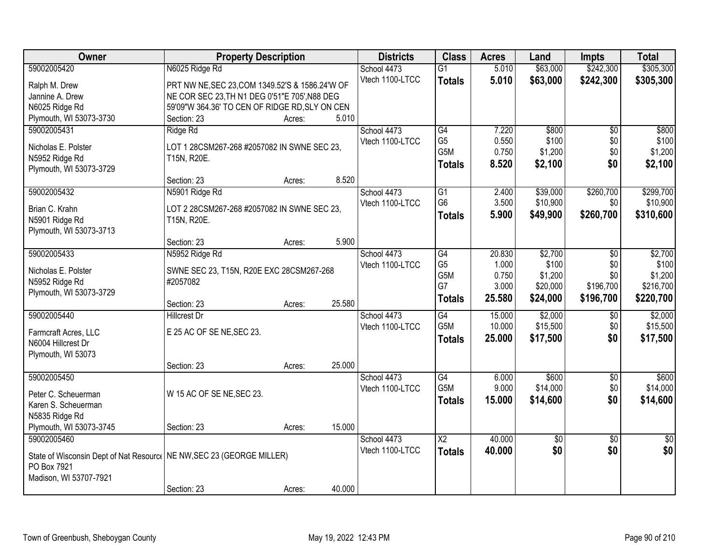| Owner                                                                  | <b>Property Description</b>                     |                  | <b>Districts</b> | <b>Class</b>     | <b>Acres</b> | Land            | <b>Impts</b>    | <b>Total</b>    |
|------------------------------------------------------------------------|-------------------------------------------------|------------------|------------------|------------------|--------------|-----------------|-----------------|-----------------|
| 59002005420                                                            | N6025 Ridge Rd                                  |                  | School 4473      | $\overline{G1}$  | 5.010        | \$63,000        | \$242,300       | \$305,300       |
| Ralph M. Drew                                                          | PRT NW NE, SEC 23, COM 1349.52'S & 1586.24'W OF |                  | Vtech 1100-LTCC  | <b>Totals</b>    | 5.010        | \$63,000        | \$242,300       | \$305,300       |
| Jannine A. Drew                                                        | NE COR SEC 23, TH N1 DEG 0'51"E 705', N88 DEG   |                  |                  |                  |              |                 |                 |                 |
| N6025 Ridge Rd                                                         | 59'09"W 364.36' TO CEN OF RIDGE RD, SLY ON CEN  |                  |                  |                  |              |                 |                 |                 |
| Plymouth, WI 53073-3730                                                | Section: 23                                     | 5.010<br>Acres:  |                  |                  |              |                 |                 |                 |
| 59002005431                                                            | Ridge Rd                                        |                  | School 4473      | $\overline{G4}$  | 7.220        | \$800           | $\overline{50}$ | \$800           |
|                                                                        |                                                 |                  | Vtech 1100-LTCC  | G <sub>5</sub>   | 0.550        | \$100           | \$0             | \$100           |
| Nicholas E. Polster                                                    | LOT 1 28CSM267-268 #2057082 IN SWNE SEC 23,     |                  |                  | G <sub>5</sub> M | 0.750        | \$1,200         | \$0             | \$1,200         |
| N5952 Ridge Rd                                                         | T15N, R20E.                                     |                  |                  | <b>Totals</b>    | 8.520        | \$2,100         | \$0             | \$2,100         |
| Plymouth, WI 53073-3729                                                | Section: 23                                     | 8.520            |                  |                  |              |                 |                 |                 |
| 59002005432                                                            | N5901 Ridge Rd                                  | Acres:           | School 4473      | $\overline{G1}$  | 2.400        | \$39,000        | \$260,700       | \$299,700       |
|                                                                        |                                                 |                  | Vtech 1100-LTCC  | G <sub>6</sub>   | 3.500        | \$10,900        | \$0             | \$10,900        |
| Brian C. Krahn                                                         | LOT 2 28CSM267-268 #2057082 IN SWNE SEC 23,     |                  |                  | <b>Totals</b>    | 5.900        | \$49,900        | \$260,700       | \$310,600       |
| N5901 Ridge Rd                                                         | T15N, R20E.                                     |                  |                  |                  |              |                 |                 |                 |
| Plymouth, WI 53073-3713                                                |                                                 |                  |                  |                  |              |                 |                 |                 |
|                                                                        | Section: 23                                     | 5.900<br>Acres:  |                  |                  |              |                 |                 |                 |
| 59002005433                                                            | N5952 Ridge Rd                                  |                  | School 4473      | $\overline{G4}$  | 20.830       | \$2,700         | $\sqrt{6}$      | \$2,700         |
| Nicholas E. Polster                                                    | SWNE SEC 23, T15N, R20E EXC 28CSM267-268        |                  | Vtech 1100-LTCC  | G <sub>5</sub>   | 1.000        | \$100           | \$0             | \$100           |
| N5952 Ridge Rd                                                         | #2057082                                        |                  |                  | G5M              | 0.750        | \$1,200         | \$0             | \$1,200         |
| Plymouth, WI 53073-3729                                                |                                                 |                  |                  | G7               | 3.000        | \$20,000        | \$196,700       | \$216,700       |
|                                                                        | Section: 23                                     | 25.580<br>Acres: |                  | <b>Totals</b>    | 25.580       | \$24,000        | \$196,700       | \$220,700       |
| 59002005440                                                            | <b>Hillcrest Dr</b>                             |                  | School 4473      | G4               | 15.000       | \$2,000         | \$0             | \$2,000         |
| Farmcraft Acres, LLC                                                   | E 25 AC OF SE NE, SEC 23.                       |                  | Vtech 1100-LTCC  | G <sub>5</sub> M | 10.000       | \$15,500        | \$0             | \$15,500        |
| N6004 Hillcrest Dr                                                     |                                                 |                  |                  | <b>Totals</b>    | 25.000       | \$17,500        | \$0             | \$17,500        |
| Plymouth, WI 53073                                                     |                                                 |                  |                  |                  |              |                 |                 |                 |
|                                                                        | Section: 23                                     | 25.000<br>Acres: |                  |                  |              |                 |                 |                 |
| 59002005450                                                            |                                                 |                  | School 4473      | $\overline{G4}$  | 6.000        | \$600           | $\sqrt{$0}$     | \$600           |
|                                                                        |                                                 |                  | Vtech 1100-LTCC  | G <sub>5</sub> M | 9.000        | \$14,000        | \$0             | \$14,000        |
| Peter C. Scheuerman                                                    | W 15 AC OF SE NE, SEC 23.                       |                  |                  | <b>Totals</b>    | 15.000       | \$14,600        | \$0             | \$14,600        |
| Karen S. Scheuerman                                                    |                                                 |                  |                  |                  |              |                 |                 |                 |
| N5835 Ridge Rd                                                         |                                                 |                  |                  |                  |              |                 |                 |                 |
| Plymouth, WI 53073-3745                                                | Section: 23                                     | 15.000<br>Acres: |                  |                  |              |                 |                 |                 |
| 59002005460                                                            |                                                 |                  | School 4473      | $\overline{X2}$  | 40.000       | $\overline{50}$ | $\overline{50}$ | $\overline{30}$ |
| State of Wisconsin Dept of Nat Resourc   NE NW, SEC 23 (GEORGE MILLER) |                                                 |                  | Vtech 1100-LTCC  | <b>Totals</b>    | 40.000       | \$0             | \$0             | \$0             |
| PO Box 7921                                                            |                                                 |                  |                  |                  |              |                 |                 |                 |
| Madison, WI 53707-7921                                                 |                                                 |                  |                  |                  |              |                 |                 |                 |
|                                                                        | Section: 23                                     | 40.000<br>Acres: |                  |                  |              |                 |                 |                 |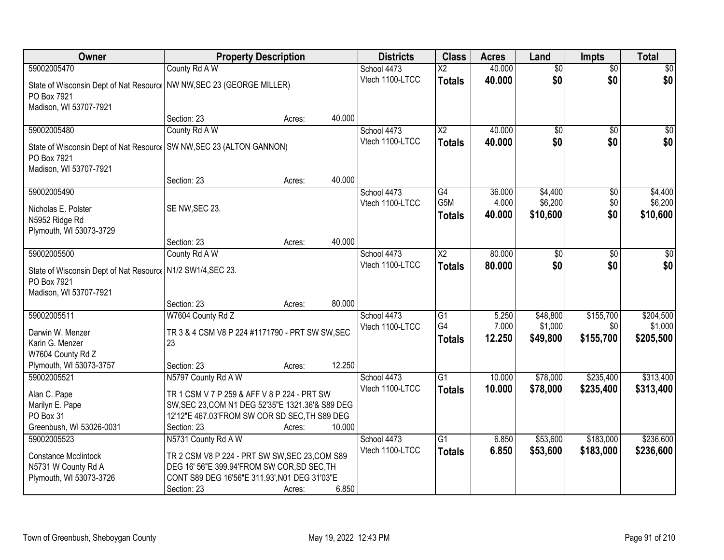| Owner                                                                                 | <b>Property Description</b>                      |        |        | <b>Districts</b> | <b>Class</b>           | <b>Acres</b> | Land            | <b>Impts</b>    | <b>Total</b>     |
|---------------------------------------------------------------------------------------|--------------------------------------------------|--------|--------|------------------|------------------------|--------------|-----------------|-----------------|------------------|
| 59002005470                                                                           | County Rd A W                                    |        |        | School 4473      | $\overline{\text{X2}}$ | 40.000       | $\overline{50}$ | $\overline{30}$ | $\overline{30}$  |
| State of Wisconsin Dept of Nat Resourc   NW NW, SEC 23 (GEORGE MILLER)<br>PO Box 7921 |                                                  |        |        | Vtech 1100-LTCC  | <b>Totals</b>          | 40.000       | \$0             | \$0             | \$0              |
| Madison, WI 53707-7921                                                                |                                                  |        |        |                  |                        |              |                 |                 |                  |
|                                                                                       | Section: 23                                      | Acres: | 40.000 |                  |                        |              |                 |                 |                  |
| 59002005480                                                                           | County Rd A W                                    |        |        | School 4473      | $\overline{X2}$        | 40.000       | $\overline{50}$ | $\overline{30}$ | $\overline{\$0}$ |
| State of Wisconsin Dept of Nat Resourc   SW NW, SEC 23 (ALTON GANNON)<br>PO Box 7921  |                                                  |        |        | Vtech 1100-LTCC  | <b>Totals</b>          | 40.000       | \$0             | \$0             | \$0              |
| Madison, WI 53707-7921                                                                | Section: 23                                      | Acres: | 40.000 |                  |                        |              |                 |                 |                  |
| 59002005490                                                                           |                                                  |        |        | School 4473      | G4                     | 36.000       | \$4,400         | \$0             | \$4,400          |
|                                                                                       |                                                  |        |        | Vtech 1100-LTCC  | G5M                    | 4.000        | \$6,200         | \$0             | \$6,200          |
| Nicholas E. Polster                                                                   | SE NW, SEC 23.                                   |        |        |                  | <b>Totals</b>          | 40.000       | \$10,600        | \$0             | \$10,600         |
| N5952 Ridge Rd                                                                        |                                                  |        |        |                  |                        |              |                 |                 |                  |
| Plymouth, WI 53073-3729                                                               |                                                  |        | 40.000 |                  |                        |              |                 |                 |                  |
| 59002005500                                                                           | Section: 23<br>County Rd A W                     | Acres: |        | School 4473      | $\overline{X2}$        | 80.000       | \$0             |                 | \$0              |
|                                                                                       |                                                  |        |        | Vtech 1100-LTCC  |                        | 80,000       | \$0             | \$0<br>\$0      | \$0              |
| State of Wisconsin Dept of Nat Resourc   N1/2 SW1/4, SEC 23.                          |                                                  |        |        |                  | <b>Totals</b>          |              |                 |                 |                  |
| PO Box 7921                                                                           |                                                  |        |        |                  |                        |              |                 |                 |                  |
| Madison, WI 53707-7921                                                                |                                                  |        |        |                  |                        |              |                 |                 |                  |
|                                                                                       | Section: 23                                      | Acres: | 80.000 |                  |                        |              |                 |                 |                  |
| 59002005511                                                                           | W7604 County Rd Z                                |        |        | School 4473      | $\overline{G1}$        | 5.250        | \$48,800        | \$155,700       | \$204,500        |
| Darwin W. Menzer                                                                      | TR 3 & 4 CSM V8 P 224 #1171790 - PRT SW SW, SEC  |        |        | Vtech 1100-LTCC  | G4                     | 7.000        | \$1,000         | \$0             | \$1,000          |
| Karin G. Menzer                                                                       | 23                                               |        |        |                  | <b>Totals</b>          | 12.250       | \$49,800        | \$155,700       | \$205,500        |
| W7604 County Rd Z                                                                     |                                                  |        |        |                  |                        |              |                 |                 |                  |
| Plymouth, WI 53073-3757                                                               | Section: 23                                      | Acres: | 12.250 |                  |                        |              |                 |                 |                  |
| 59002005521                                                                           | N5797 County Rd A W                              |        |        | School 4473      | $\overline{G1}$        | 10.000       | \$78,000        | \$235,400       | \$313,400        |
| Alan C. Pape                                                                          | TR 1 CSM V 7 P 259 & AFF V 8 P 224 - PRT SW      |        |        | Vtech 1100-LTCC  | <b>Totals</b>          | 10.000       | \$78,000        | \$235,400       | \$313,400        |
| Marilyn E. Pape                                                                       | SW, SEC 23, COM N1 DEG 52'35"E 1321.36'& S89 DEG |        |        |                  |                        |              |                 |                 |                  |
| PO Box 31                                                                             | 12'12"E 467.03'FROM SW COR SD SEC, TH S89 DEG    |        |        |                  |                        |              |                 |                 |                  |
| Greenbush, WI 53026-0031                                                              | Section: 23                                      | Acres: | 10.000 |                  |                        |              |                 |                 |                  |
| 59002005523                                                                           | N5731 County Rd A W                              |        |        | School 4473      | $\overline{G1}$        | 6.850        | \$53,600        | \$183,000       | \$236,600        |
|                                                                                       |                                                  |        |        | Vtech 1100-LTCC  | <b>Totals</b>          | 6.850        | \$53,600        | \$183,000       | \$236,600        |
| <b>Constance Mcclintock</b>                                                           | TR 2 CSM V8 P 224 - PRT SW SW, SEC 23, COM S89   |        |        |                  |                        |              |                 |                 |                  |
| N5731 W County Rd A                                                                   | DEG 16' 56"E 399.94'FROM SW COR, SD SEC, TH      |        |        |                  |                        |              |                 |                 |                  |
| Plymouth, WI 53073-3726                                                               | CONT S89 DEG 16'56"E 311.93', N01 DEG 31'03"E    |        |        |                  |                        |              |                 |                 |                  |
|                                                                                       | Section: 23                                      | Acres: | 6.850  |                  |                        |              |                 |                 |                  |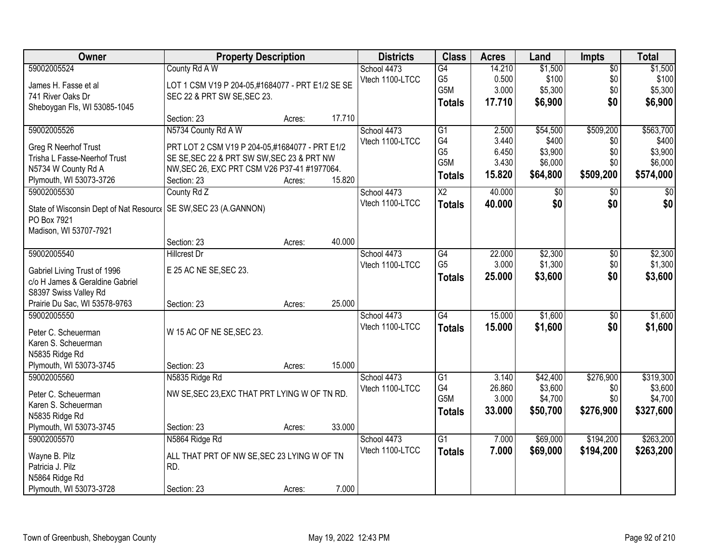| <b>Owner</b>                                                      | <b>Property Description</b>                      |        |        | <b>Districts</b> | <b>Class</b>    | <b>Acres</b> | Land     | <b>Impts</b>    | <b>Total</b> |
|-------------------------------------------------------------------|--------------------------------------------------|--------|--------|------------------|-----------------|--------------|----------|-----------------|--------------|
| 59002005524                                                       | County Rd A W                                    |        |        | School 4473      | $\overline{G4}$ | 14.210       | \$1,500  | $\overline{50}$ | \$1,500      |
| James H. Fasse et al                                              | LOT 1 CSM V19 P 204-05,#1684077 - PRT E1/2 SE SE |        |        | Vtech 1100-LTCC  | G <sub>5</sub>  | 0.500        | \$100    | \$0             | \$100        |
| 741 River Oaks Dr                                                 | SEC 22 & PRT SW SE, SEC 23.                      |        |        |                  | G5M             | 3.000        | \$5,300  | \$0             | \$5,300      |
| Sheboygan Fls, WI 53085-1045                                      |                                                  |        |        |                  | <b>Totals</b>   | 17.710       | \$6,900  | \$0             | \$6,900      |
|                                                                   | Section: 23                                      | Acres: | 17.710 |                  |                 |              |          |                 |              |
| 59002005526                                                       | N5734 County Rd A W                              |        |        | School 4473      | $\overline{G1}$ | 2.500        | \$54,500 | \$509,200       | \$563,700    |
| Greg R Neerhof Trust                                              | PRT LOT 2 CSM V19 P 204-05,#1684077 - PRT E1/2   |        |        | Vtech 1100-LTCC  | G4              | 3.440        | \$400    | \$0             | \$400        |
| Trisha L Fasse-Neerhof Trust                                      | SE SE, SEC 22 & PRT SW SW, SEC 23 & PRT NW       |        |        |                  | G <sub>5</sub>  | 6.450        | \$3,900  | \$0             | \$3,900      |
| N5734 W County Rd A                                               | NW, SEC 26, EXC PRT CSM V26 P37-41 #1977064.     |        |        |                  | G5M             | 3.430        | \$6,000  | \$0             | \$6,000      |
| Plymouth, WI 53073-3726                                           | Section: 23                                      | Acres: | 15.820 |                  | <b>Totals</b>   | 15.820       | \$64,800 | \$509,200       | \$574,000    |
| 59002005530                                                       | County Rd Z                                      |        |        | School 4473      | $\overline{X2}$ | 40.000       | \$0      | $\sqrt[6]{3}$   | $\sqrt{50}$  |
| State of Wisconsin Dept of Nat Resourc   SE SW, SEC 23 (A.GANNON) |                                                  |        |        | Vtech 1100-LTCC  | <b>Totals</b>   | 40.000       | \$0      | \$0             | \$0          |
| PO Box 7921                                                       |                                                  |        |        |                  |                 |              |          |                 |              |
| Madison, WI 53707-7921                                            |                                                  |        |        |                  |                 |              |          |                 |              |
|                                                                   | Section: 23                                      | Acres: | 40.000 |                  |                 |              |          |                 |              |
| 59002005540                                                       | <b>Hillcrest Dr</b>                              |        |        | School 4473      | G4              | 22.000       | \$2,300  | $\sqrt[6]{3}$   | \$2,300      |
| Gabriel Living Trust of 1996                                      | E 25 AC NE SE, SEC 23.                           |        |        | Vtech 1100-LTCC  | G <sub>5</sub>  | 3.000        | \$1,300  | \$0             | \$1,300      |
| c/o H James & Geraldine Gabriel                                   |                                                  |        |        |                  | <b>Totals</b>   | 25.000       | \$3,600  | \$0             | \$3,600      |
| S8397 Swiss Valley Rd                                             |                                                  |        |        |                  |                 |              |          |                 |              |
| Prairie Du Sac, WI 53578-9763                                     | Section: 23                                      | Acres: | 25.000 |                  |                 |              |          |                 |              |
| 59002005550                                                       |                                                  |        |        | School 4473      | G4              | 15.000       | \$1,600  | $\overline{50}$ | \$1,600      |
|                                                                   |                                                  |        |        | Vtech 1100-LTCC  | <b>Totals</b>   | 15,000       | \$1,600  | \$0             | \$1,600      |
| Peter C. Scheuerman                                               | W 15 AC OF NE SE, SEC 23.                        |        |        |                  |                 |              |          |                 |              |
| Karen S. Scheuerman<br>N5835 Ridge Rd                             |                                                  |        |        |                  |                 |              |          |                 |              |
| Plymouth, WI 53073-3745                                           | Section: 23                                      | Acres: | 15.000 |                  |                 |              |          |                 |              |
| 59002005560                                                       | N5835 Ridge Rd                                   |        |        | School 4473      | G1              | 3.140        | \$42,400 | \$276,900       | \$319,300    |
|                                                                   |                                                  |        |        | Vtech 1100-LTCC  | G4              | 26.860       | \$3,600  | \$0             | \$3,600      |
| Peter C. Scheuerman                                               | NW SE, SEC 23, EXC THAT PRT LYING W OF TN RD.    |        |        |                  | G5M             | 3.000        | \$4,700  | \$0             | \$4,700      |
| Karen S. Scheuerman                                               |                                                  |        |        |                  | <b>Totals</b>   | 33.000       | \$50,700 | \$276,900       | \$327,600    |
| N5835 Ridge Rd                                                    |                                                  |        |        |                  |                 |              |          |                 |              |
| Plymouth, WI 53073-3745                                           | Section: 23                                      | Acres: | 33.000 |                  |                 |              |          |                 |              |
| 59002005570                                                       | N5864 Ridge Rd                                   |        |        | School 4473      | G <sub>1</sub>  | 7.000        | \$69,000 | \$194,200       | \$263,200    |
| Wayne B. Pilz                                                     | ALL THAT PRT OF NW SE, SEC 23 LYING W OF TN      |        |        | Vtech 1100-LTCC  | <b>Totals</b>   | 7.000        | \$69,000 | \$194,200       | \$263,200    |
| Patricia J. Pilz                                                  | RD.                                              |        |        |                  |                 |              |          |                 |              |
| N5864 Ridge Rd                                                    |                                                  |        |        |                  |                 |              |          |                 |              |
| Plymouth, WI 53073-3728                                           | Section: 23                                      | Acres: | 7.000  |                  |                 |              |          |                 |              |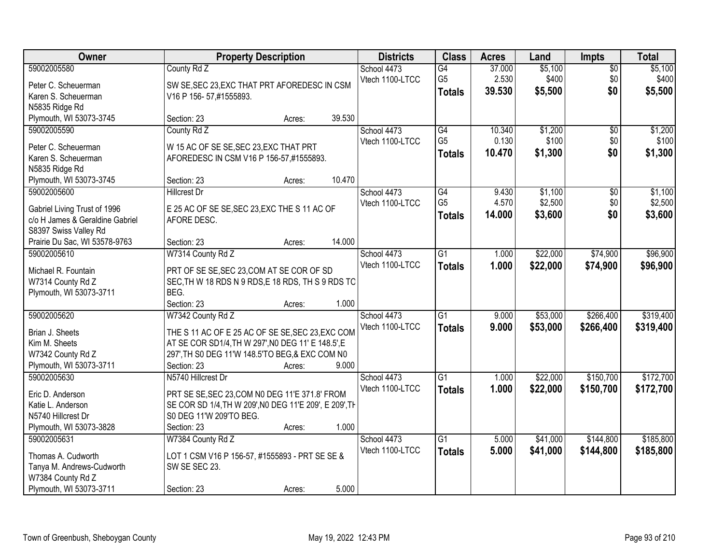| Owner                           |                                                        | <b>Property Description</b> |        | <b>Districts</b> | <b>Class</b>    | <b>Acres</b> | Land     | <b>Impts</b>    | <b>Total</b> |
|---------------------------------|--------------------------------------------------------|-----------------------------|--------|------------------|-----------------|--------------|----------|-----------------|--------------|
| 59002005580                     | County Rd Z                                            |                             |        | School 4473      | $\overline{G4}$ | 37.000       | \$5,100  | $\overline{50}$ | \$5,100      |
| Peter C. Scheuerman             | SW SE, SEC 23, EXC THAT PRT AFOREDESC IN CSM           |                             |        | Vtech 1100-LTCC  | G <sub>5</sub>  | 2.530        | \$400    | \$0             | \$400        |
| Karen S. Scheuerman             | V16 P 156-57,#1555893.                                 |                             |        |                  | <b>Totals</b>   | 39.530       | \$5,500  | \$0             | \$5,500      |
| N5835 Ridge Rd                  |                                                        |                             |        |                  |                 |              |          |                 |              |
| Plymouth, WI 53073-3745         | Section: 23                                            | Acres:                      | 39.530 |                  |                 |              |          |                 |              |
| 59002005590                     | County Rd Z                                            |                             |        | School 4473      | G4              | 10.340       | \$1,200  | $\overline{50}$ | \$1,200      |
|                                 |                                                        |                             |        | Vtech 1100-LTCC  | G <sub>5</sub>  | 0.130        | \$100    | \$0             | \$100        |
| Peter C. Scheuerman             | W 15 AC OF SE SE, SEC 23, EXC THAT PRT                 |                             |        |                  | <b>Totals</b>   | 10.470       | \$1,300  | \$0             | \$1,300      |
| Karen S. Scheuerman             | AFOREDESC IN CSM V16 P 156-57,#1555893.                |                             |        |                  |                 |              |          |                 |              |
| N5835 Ridge Rd                  |                                                        |                             |        |                  |                 |              |          |                 |              |
| Plymouth, WI 53073-3745         | Section: 23                                            | Acres:                      | 10.470 |                  |                 |              |          |                 |              |
| 59002005600                     | <b>Hillcrest Dr</b>                                    |                             |        | School 4473      | $\overline{G4}$ | 9.430        | \$1,100  | \$0             | \$1,100      |
| Gabriel Living Trust of 1996    | E 25 AC OF SE SE, SEC 23, EXC THE S 11 AC OF           |                             |        | Vtech 1100-LTCC  | G <sub>5</sub>  | 4.570        | \$2,500  | \$0             | \$2,500      |
| c/o H James & Geraldine Gabriel | AFORE DESC.                                            |                             |        |                  | <b>Totals</b>   | 14.000       | \$3,600  | \$0             | \$3,600      |
| S8397 Swiss Valley Rd           |                                                        |                             |        |                  |                 |              |          |                 |              |
| Prairie Du Sac, WI 53578-9763   | Section: 23                                            | Acres:                      | 14.000 |                  |                 |              |          |                 |              |
| 59002005610                     | W7314 County Rd Z                                      |                             |        | School 4473      | $\overline{G1}$ | 1.000        | \$22,000 | \$74,900        | \$96,900     |
|                                 |                                                        |                             |        | Vtech 1100-LTCC  | <b>Totals</b>   | 1.000        | \$22,000 | \$74,900        | \$96,900     |
| Michael R. Fountain             | PRT OF SE SE, SEC 23, COM AT SE COR OF SD              |                             |        |                  |                 |              |          |                 |              |
| W7314 County Rd Z               | SEC, TH W 18 RDS N 9 RDS, E 18 RDS, TH S 9 RDS TO      |                             |        |                  |                 |              |          |                 |              |
| Plymouth, WI 53073-3711         | BEG.                                                   |                             |        |                  |                 |              |          |                 |              |
|                                 | Section: 23                                            | Acres:                      | 1.000  |                  |                 |              |          |                 |              |
| 59002005620                     | W7342 County Rd Z                                      |                             |        | School 4473      | $\overline{G1}$ | 9.000        | \$53,000 | \$266,400       | \$319,400    |
| Brian J. Sheets                 | THE S 11 AC OF E 25 AC OF SE SE, SEC 23, EXC COM       |                             |        | Vtech 1100-LTCC  | <b>Totals</b>   | 9.000        | \$53,000 | \$266,400       | \$319,400    |
| Kim M. Sheets                   | AT SE COR SD1/4, TH W 297', N0 DEG 11' E 148.5', E     |                             |        |                  |                 |              |          |                 |              |
| W7342 County Rd Z               | 297', TH S0 DEG 11'W 148.5'TO BEG, & EXC COM N0        |                             |        |                  |                 |              |          |                 |              |
| Plymouth, WI 53073-3711         | Section: 23                                            | Acres:                      | 9.000  |                  |                 |              |          |                 |              |
| 59002005630                     | N5740 Hillcrest Dr                                     |                             |        | School 4473      | $\overline{G1}$ | 1.000        | \$22,000 | \$150,700       | \$172,700    |
|                                 |                                                        |                             |        | Vtech 1100-LTCC  | <b>Totals</b>   | 1.000        | \$22,000 | \$150,700       | \$172,700    |
| Eric D. Anderson                | PRT SE SE, SEC 23, COM N0 DEG 11'E 371.8' FROM         |                             |        |                  |                 |              |          |                 |              |
| Katie L. Anderson               | SE COR SD 1/4, TH W 209', NO DEG 11'E 209', E 209', TH |                             |        |                  |                 |              |          |                 |              |
| N5740 Hillcrest Dr              | S0 DEG 11'W 209'TO BEG.                                |                             |        |                  |                 |              |          |                 |              |
| Plymouth, WI 53073-3828         | Section: 23                                            | Acres:                      | 1.000  |                  |                 |              |          |                 |              |
| 59002005631                     | W7384 County Rd Z                                      |                             |        | School 4473      | $\overline{G1}$ | 5.000        | \$41,000 | \$144,800       | \$185,800    |
| Thomas A. Cudworth              | LOT 1 CSM V16 P 156-57, #1555893 - PRT SE SE &         |                             |        | Vtech 1100-LTCC  | <b>Totals</b>   | 5.000        | \$41,000 | \$144,800       | \$185,800    |
| Tanya M. Andrews-Cudworth       | SW SE SEC 23.                                          |                             |        |                  |                 |              |          |                 |              |
| W7384 County Rd Z               |                                                        |                             |        |                  |                 |              |          |                 |              |
| Plymouth, WI 53073-3711         | Section: 23                                            | Acres:                      | 5.000  |                  |                 |              |          |                 |              |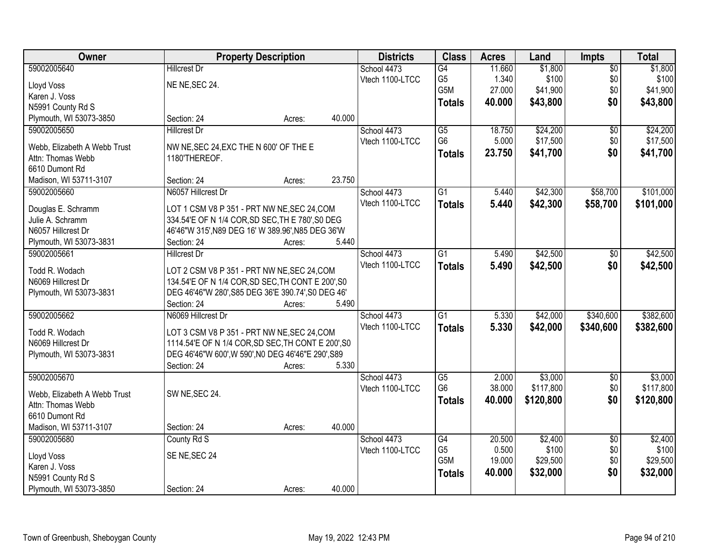| Owner                        |                                                    | <b>Property Description</b> |        | <b>Districts</b> | <b>Class</b>    | <b>Acres</b> | Land      | Impts           | <b>Total</b> |
|------------------------------|----------------------------------------------------|-----------------------------|--------|------------------|-----------------|--------------|-----------|-----------------|--------------|
| 59002005640                  | <b>Hillcrest Dr</b>                                |                             |        | School 4473      | G4              | 11.660       | \$1,800   | $\overline{60}$ | \$1,800      |
| Lloyd Voss                   | NE NE, SEC 24.                                     |                             |        | Vtech 1100-LTCC  | G <sub>5</sub>  | 1.340        | \$100     | \$0             | \$100        |
| Karen J. Voss                |                                                    |                             |        |                  | G5M             | 27.000       | \$41,900  | \$0             | \$41,900     |
| N5991 County Rd S            |                                                    |                             |        |                  | <b>Totals</b>   | 40.000       | \$43,800  | \$0             | \$43,800     |
| Plymouth, WI 53073-3850      | Section: 24                                        | Acres:                      | 40.000 |                  |                 |              |           |                 |              |
| 59002005650                  | <b>Hillcrest Dr</b>                                |                             |        | School 4473      | $\overline{G5}$ | 18.750       | \$24,200  | $\overline{50}$ | \$24,200     |
|                              |                                                    |                             |        | Vtech 1100-LTCC  | G <sub>6</sub>  | 5.000        | \$17,500  | \$0             | \$17,500     |
| Webb, Elizabeth A Webb Trust | NW NE, SEC 24, EXC THE N 600' OF THE E             |                             |        |                  | <b>Totals</b>   | 23.750       | \$41,700  | \$0             | \$41,700     |
| Attn: Thomas Webb            | 1180'THEREOF.                                      |                             |        |                  |                 |              |           |                 |              |
| 6610 Dumont Rd               |                                                    |                             |        |                  |                 |              |           |                 |              |
| Madison, WI 53711-3107       | Section: 24                                        | Acres:                      | 23.750 |                  |                 |              |           |                 |              |
| 59002005660                  | N6057 Hillcrest Dr                                 |                             |        | School 4473      | $\overline{G1}$ | 5.440        | \$42,300  | \$58,700        | \$101,000    |
| Douglas E. Schramm           | LOT 1 CSM V8 P 351 - PRT NW NE, SEC 24, COM        |                             |        | Vtech 1100-LTCC  | <b>Totals</b>   | 5.440        | \$42,300  | \$58,700        | \$101,000    |
| Julie A. Schramm             | 334.54'E OF N 1/4 COR, SD SEC, TH E 780', S0 DEG   |                             |        |                  |                 |              |           |                 |              |
| N6057 Hillcrest Dr           | 46'46"W 315', N89 DEG 16' W 389.96', N85 DEG 36'W  |                             |        |                  |                 |              |           |                 |              |
| Plymouth, WI 53073-3831      | Section: 24                                        | Acres:                      | 5.440  |                  |                 |              |           |                 |              |
| 59002005661                  | <b>Hillcrest Dr</b>                                |                             |        | School 4473      | G1              | 5.490        | \$42,500  | \$0             | \$42,500     |
|                              |                                                    |                             |        | Vtech 1100-LTCC  | <b>Totals</b>   | 5.490        | \$42,500  | \$0             | \$42,500     |
| Todd R. Wodach               | LOT 2 CSM V8 P 351 - PRT NW NE, SEC 24, COM        |                             |        |                  |                 |              |           |                 |              |
| N6069 Hillcrest Dr           | 134.54'E OF N 1/4 COR, SD SEC, TH CONT E 200', S0  |                             |        |                  |                 |              |           |                 |              |
| Plymouth, WI 53073-3831      | DEG 46'46"W 280', S85 DEG 36'E 390.74', S0 DEG 46' |                             |        |                  |                 |              |           |                 |              |
|                              | Section: 24                                        | Acres:                      | 5.490  |                  |                 |              |           |                 |              |
| 59002005662                  | N6069 Hillcrest Dr                                 |                             |        | School 4473      | $\overline{G1}$ | 5.330        | \$42,000  | \$340,600       | \$382,600    |
| Todd R. Wodach               | LOT 3 CSM V8 P 351 - PRT NW NE, SEC 24, COM        |                             |        | Vtech 1100-LTCC  | <b>Totals</b>   | 5.330        | \$42,000  | \$340,600       | \$382,600    |
| N6069 Hillcrest Dr           | 1114.54'E OF N 1/4 COR, SD SEC, TH CONT E 200', S0 |                             |        |                  |                 |              |           |                 |              |
| Plymouth, WI 53073-3831      | DEG 46'46"W 600', W 590', NO DEG 46'46"E 290', S89 |                             |        |                  |                 |              |           |                 |              |
|                              | Section: 24                                        | Acres:                      | 5.330  |                  |                 |              |           |                 |              |
| 59002005670                  |                                                    |                             |        | School 4473      | $\overline{G5}$ | 2.000        | \$3,000   | $\sqrt{6}$      | \$3,000      |
|                              |                                                    |                             |        | Vtech 1100-LTCC  | G <sub>6</sub>  | 38.000       | \$117,800 | \$0             | \$117,800    |
| Webb, Elizabeth A Webb Trust | SW NE, SEC 24.                                     |                             |        |                  | <b>Totals</b>   | 40.000       | \$120,800 | \$0             | \$120,800    |
| Attn: Thomas Webb            |                                                    |                             |        |                  |                 |              |           |                 |              |
| 6610 Dumont Rd               |                                                    |                             |        |                  |                 |              |           |                 |              |
| Madison, WI 53711-3107       | Section: 24                                        | Acres:                      | 40.000 |                  |                 |              |           |                 |              |
| 59002005680                  | County Rd S                                        |                             |        | School 4473      | G4              | 20.500       | \$2,400   | $\overline{30}$ | \$2,400      |
| Lloyd Voss                   | SE NE, SEC 24                                      |                             |        | Vtech 1100-LTCC  | G <sub>5</sub>  | 0.500        | \$100     | \$0             | \$100        |
| Karen J. Voss                |                                                    |                             |        |                  | G5M             | 19.000       | \$29,500  | \$0             | \$29,500     |
| N5991 County Rd S            |                                                    |                             |        |                  | <b>Totals</b>   | 40.000       | \$32,000  | \$0             | \$32,000     |
| Plymouth, WI 53073-3850      | Section: 24                                        | Acres:                      | 40.000 |                  |                 |              |           |                 |              |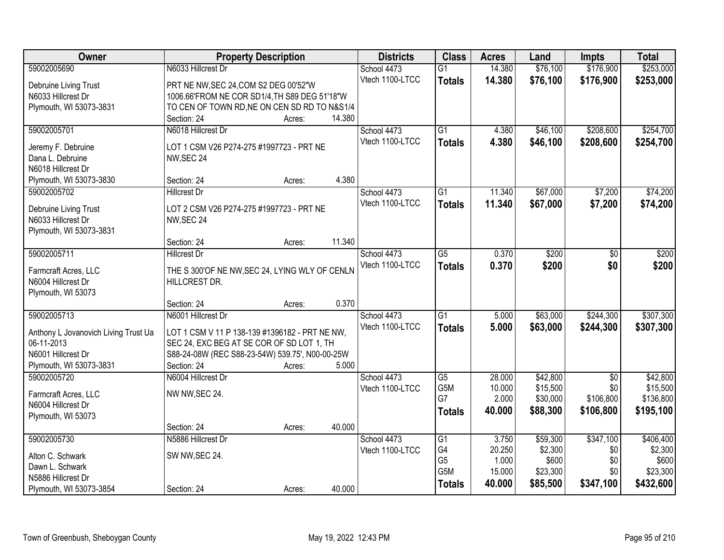| Owner                                 | <b>Property Description</b>                     |                  | <b>Districts</b> | <b>Class</b>    | <b>Acres</b> | Land     | <b>Impts</b>    | <b>Total</b> |
|---------------------------------------|-------------------------------------------------|------------------|------------------|-----------------|--------------|----------|-----------------|--------------|
| 59002005690                           | N6033 Hillcrest Dr                              |                  | School 4473      | $\overline{G1}$ | 14.380       | \$76,100 | \$176,900       | \$253,000    |
| Debruine Living Trust                 | PRT NE NW, SEC 24, COM S2 DEG 00'52"W           |                  | Vtech 1100-LTCC  | <b>Totals</b>   | 14.380       | \$76,100 | \$176,900       | \$253,000    |
| N6033 Hillcrest Dr                    | 1006.66'FROM NE COR SD1/4, TH S89 DEG 51'18"W   |                  |                  |                 |              |          |                 |              |
| Plymouth, WI 53073-3831               | TO CEN OF TOWN RD, NE ON CEN SD RD TO N&S1/4    |                  |                  |                 |              |          |                 |              |
|                                       | Section: 24                                     | 14.380<br>Acres: |                  |                 |              |          |                 |              |
| 59002005701                           | N6018 Hillcrest Dr                              |                  | School 4473      | $\overline{G1}$ | 4.380        | \$46,100 | \$208,600       | \$254,700    |
| Jeremy F. Debruine                    | LOT 1 CSM V26 P274-275 #1997723 - PRT NE        |                  | Vtech 1100-LTCC  | <b>Totals</b>   | 4.380        | \$46,100 | \$208,600       | \$254,700    |
| Dana L. Debruine                      | NW, SEC 24                                      |                  |                  |                 |              |          |                 |              |
| N6018 Hillcrest Dr                    |                                                 |                  |                  |                 |              |          |                 |              |
| Plymouth, WI 53073-3830               | Section: 24                                     | 4.380<br>Acres:  |                  |                 |              |          |                 |              |
| 59002005702                           | <b>Hillcrest Dr</b>                             |                  | School 4473      | $\overline{G1}$ | 11.340       | \$67,000 | \$7,200         | \$74,200     |
|                                       |                                                 |                  | Vtech 1100-LTCC  | <b>Totals</b>   | 11.340       | \$67,000 | \$7,200         | \$74,200     |
| Debruine Living Trust                 | LOT 2 CSM V26 P274-275 #1997723 - PRT NE        |                  |                  |                 |              |          |                 |              |
| N6033 Hillcrest Dr                    | NW, SEC 24                                      |                  |                  |                 |              |          |                 |              |
| Plymouth, WI 53073-3831               | Section: 24                                     | 11.340           |                  |                 |              |          |                 |              |
| 59002005711                           | <b>Hillcrest Dr</b>                             | Acres:           | School 4473      | $\overline{G5}$ | 0.370        | \$200    |                 | \$200        |
|                                       |                                                 |                  | Vtech 1100-LTCC  |                 | 0.370        | \$200    | \$0<br>\$0      | \$200        |
| Farmcraft Acres, LLC                  | THE S 300'OF NE NW, SEC 24, LYING WLY OF CENLN  |                  |                  | <b>Totals</b>   |              |          |                 |              |
| N6004 Hillcrest Dr                    | HILLCREST DR.                                   |                  |                  |                 |              |          |                 |              |
| Plymouth, WI 53073                    |                                                 |                  |                  |                 |              |          |                 |              |
|                                       | Section: 24                                     | 0.370<br>Acres:  |                  |                 |              |          |                 |              |
| 59002005713                           | N6001 Hillcrest Dr                              |                  | School 4473      | $\overline{G1}$ | 5.000        | \$63,000 | \$244,300       | \$307,300    |
| Anthony L Jovanovich Living Trust Ua  | LOT 1 CSM V 11 P 138-139 #1396182 - PRT NE NW,  |                  | Vtech 1100-LTCC  | <b>Totals</b>   | 5.000        | \$63,000 | \$244,300       | \$307,300    |
| 06-11-2013                            | SEC 24, EXC BEG AT SE COR OF SD LOT 1, TH       |                  |                  |                 |              |          |                 |              |
| N6001 Hillcrest Dr                    | S88-24-08W (REC S88-23-54W) 539.75', N00-00-25W |                  |                  |                 |              |          |                 |              |
| Plymouth, WI 53073-3831               | Section: 24                                     | 5.000<br>Acres:  |                  |                 |              |          |                 |              |
| 59002005720                           | N6004 Hillcrest Dr                              |                  | School 4473      | G5              | 28.000       | \$42,800 | $\overline{50}$ | \$42,800     |
| Farmcraft Acres, LLC                  | NW NW, SEC 24.                                  |                  | Vtech 1100-LTCC  | G5M             | 10.000       | \$15,500 | \$0             | \$15,500     |
| N6004 Hillcrest Dr                    |                                                 |                  |                  | G7              | 2.000        | \$30,000 | \$106,800       | \$136,800    |
| Plymouth, WI 53073                    |                                                 |                  |                  | <b>Totals</b>   | 40,000       | \$88,300 | \$106,800       | \$195,100    |
|                                       | Section: 24                                     | 40.000<br>Acres: |                  |                 |              |          |                 |              |
| 59002005730                           | N5886 Hillcrest Dr                              |                  | School 4473      | G1              | 3.750        | \$59,300 | \$347,100       | \$406,400    |
|                                       |                                                 |                  | Vtech 1100-LTCC  | G4              | 20.250       | \$2,300  | \$0             | \$2,300      |
| Alton C. Schwark                      | SW NW, SEC 24.                                  |                  |                  | G <sub>5</sub>  | 1.000        | \$600    | \$0             | \$600        |
| Dawn L. Schwark<br>N5886 Hillcrest Dr |                                                 |                  |                  | G5M             | 15.000       | \$23,300 | \$0             | \$23,300     |
| Plymouth, WI 53073-3854               | Section: 24                                     | 40.000<br>Acres: |                  | <b>Totals</b>   | 40.000       | \$85,500 | \$347,100       | \$432,600    |
|                                       |                                                 |                  |                  |                 |              |          |                 |              |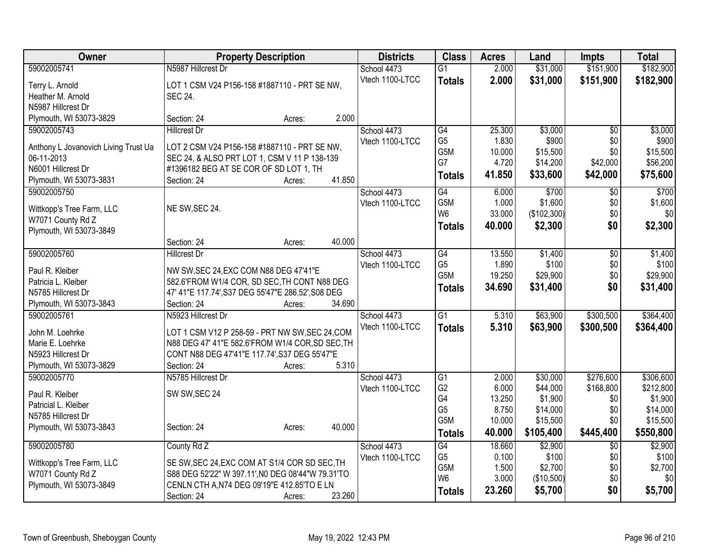| Owner                                | <b>Property Description</b>                                               | <b>Districts</b> | <b>Class</b>         | <b>Acres</b>    | Land                | Impts           | <b>Total</b>        |
|--------------------------------------|---------------------------------------------------------------------------|------------------|----------------------|-----------------|---------------------|-----------------|---------------------|
| 59002005741                          | N5987 Hillcrest Dr                                                        | School 4473      | $\overline{G1}$      | 2.000           | \$31,000            | \$151,900       | \$182,900           |
| Terry L. Arnold                      | LOT 1 CSM V24 P156-158 #1887110 - PRT SE NW,                              | Vtech 1100-LTCC  | <b>Totals</b>        | 2.000           | \$31,000            | \$151,900       | \$182,900           |
| Heather M. Arnold                    | <b>SEC 24.</b>                                                            |                  |                      |                 |                     |                 |                     |
| N5987 Hillcrest Dr                   |                                                                           |                  |                      |                 |                     |                 |                     |
| Plymouth, WI 53073-3829              | 2.000<br>Section: 24<br>Acres:                                            |                  |                      |                 |                     |                 |                     |
| 59002005743                          | <b>Hillcrest Dr</b>                                                       | School 4473      | $\overline{G4}$      | 25.300          | \$3,000             | \$0             | \$3,000             |
|                                      |                                                                           | Vtech 1100-LTCC  | G <sub>5</sub>       | 1.830           | \$900               | \$0             | \$900               |
| Anthony L Jovanovich Living Trust Ua | LOT 2 CSM V24 P156-158 #1887110 - PRT SE NW,                              |                  | G <sub>5</sub> M     | 10.000          | \$15,500            | \$0             | \$15,500            |
| 06-11-2013<br>N6001 Hillcrest Dr     | SEC 24, & ALSO PRT LOT 1, CSM V 11 P 138-139                              |                  | G7                   | 4.720           | \$14,200            | \$42,000        | \$56,200            |
| Plymouth, WI 53073-3831              | #1396182 BEG AT SE COR OF SD LOT 1, TH<br>41.850<br>Section: 24<br>Acres: |                  | <b>Totals</b>        | 41.850          | \$33,600            | \$42,000        | \$75,600            |
| 59002005750                          |                                                                           | School 4473      | $\overline{G4}$      | 6.000           | \$700               | \$0             | \$700               |
|                                      |                                                                           | Vtech 1100-LTCC  | G5M                  | 1.000           | \$1,600             | \$0             | \$1,600             |
| Wittkopp's Tree Farm, LLC            | NE SW, SEC 24.                                                            |                  | W <sub>6</sub>       | 33.000          | (\$102,300)         | \$0             | \$0                 |
| W7071 County Rd Z                    |                                                                           |                  | <b>Totals</b>        | 40.000          | \$2,300             | \$0             | \$2,300             |
| Plymouth, WI 53073-3849              |                                                                           |                  |                      |                 |                     |                 |                     |
|                                      | 40.000<br>Section: 24<br>Acres:                                           |                  |                      |                 |                     |                 |                     |
| 59002005760                          | <b>Hillcrest Dr</b>                                                       | School 4473      | G4                   | 13.550          | \$1,400             | $\overline{50}$ | \$1,400             |
| Paul R. Kleiber                      | NW SW, SEC 24, EXC COM N88 DEG 47'41"E                                    | Vtech 1100-LTCC  | G <sub>5</sub>       | 1.890           | \$100               | \$0             | \$100               |
| Patricia L. Kleiber                  | 582.6'FROM W1/4 COR, SD SEC, TH CONT N88 DEG                              |                  | G5M                  | 19.250          | \$29,900            | \$0             | \$29,900            |
| N5785 Hillcrest Dr                   | 47' 41"E 117.74', S37 DEG 55'47"E 286.52', S08 DEG                        |                  | <b>Totals</b>        | 34.690          | \$31,400            | \$0             | \$31,400            |
| Plymouth, WI 53073-3843              | 34.690<br>Section: 24<br>Acres:                                           |                  |                      |                 |                     |                 |                     |
| 59002005761                          | N5923 Hillcrest Dr                                                        | School 4473      | $\overline{G1}$      | 5.310           | \$63,900            | \$300,500       | \$364,400           |
|                                      |                                                                           | Vtech 1100-LTCC  | <b>Totals</b>        | 5.310           | \$63,900            | \$300,500       | \$364,400           |
| John M. Loehrke                      | LOT 1 CSM V12 P 258-59 - PRT NW SW, SEC 24, COM                           |                  |                      |                 |                     |                 |                     |
| Marie E. Loehrke                     | N88 DEG 47' 41"E 582.6'FROM W1/4 COR, SD SEC, TH                          |                  |                      |                 |                     |                 |                     |
| N5923 Hillcrest Dr                   | CONT N88 DEG 47'41"E 117.74', S37 DEG 55'47"E                             |                  |                      |                 |                     |                 |                     |
| Plymouth, WI 53073-3829              | 5.310<br>Section: 24<br>Acres:                                            |                  |                      |                 |                     |                 |                     |
| 59002005770                          | N5785 Hillcrest Dr                                                        | School 4473      | $\overline{G1}$      | 2.000           | \$30,000            | \$276,600       | \$306,600           |
| Paul R. Kleiber                      | SW SW, SEC 24                                                             | Vtech 1100-LTCC  | G <sub>2</sub>       | 6.000           | \$44,000            | \$168,800       | \$212,800           |
| Patricial L. Kleiber                 |                                                                           |                  | G4<br>G <sub>5</sub> | 13.250<br>8.750 | \$1,900<br>\$14,000 | \$0<br>\$0      | \$1,900<br>\$14,000 |
| N5785 Hillcrest Dr                   |                                                                           |                  | G5M                  | 10.000          | \$15,500            | \$0             | \$15,500            |
| Plymouth, WI 53073-3843              | 40.000<br>Section: 24<br>Acres:                                           |                  |                      | 40.000          |                     | \$445,400       |                     |
|                                      |                                                                           |                  | <b>Totals</b>        |                 | \$105,400           |                 | \$550,800           |
| 59002005780                          | County Rd Z                                                               | School 4473      | $\overline{G4}$      | 18.660          | \$2,900             | \$0             | \$2,900             |
| Wittkopp's Tree Farm, LLC            | SE SW, SEC 24, EXC COM AT S1/4 COR SD SEC, TH                             | Vtech 1100-LTCC  | G <sub>5</sub>       | 0.100           | \$100               | \$0             | \$100               |
| W7071 County Rd Z                    | S88 DEG 52'22" W 397.11', N0 DEG 08'44"W 79.31'TO                         |                  | G <sub>5</sub> M     | 1.500           | \$2,700             | \$0             | \$2,700             |
| Plymouth, WI 53073-3849              | CENLN CTH A, N74 DEG 09'19"E 412.85'TO E LN                               |                  | W <sub>6</sub>       | 3.000           | (\$10,500)          | \$0             | \$0                 |
|                                      | 23.260<br>Section: 24<br>Acres:                                           |                  | <b>Totals</b>        | 23.260          | \$5,700             | \$0             | \$5,700             |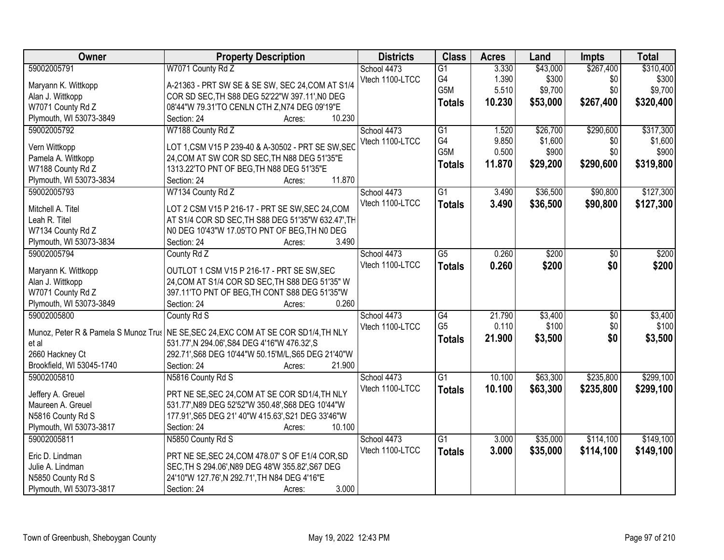| Owner                     | <b>Property Description</b>                                                           | <b>Districts</b> | <b>Class</b>     | <b>Acres</b> | Land     | <b>Impts</b> | <b>Total</b> |
|---------------------------|---------------------------------------------------------------------------------------|------------------|------------------|--------------|----------|--------------|--------------|
| 59002005791               | W7071 County Rd Z                                                                     | School 4473      | $\overline{G1}$  | 3.330        | \$43,000 | \$267,400    | \$310,400    |
| Maryann K. Wittkopp       | A-21363 - PRT SW SE & SE SW, SEC 24, COM AT S1/4                                      | Vtech 1100-LTCC  | G4               | 1.390        | \$300    | \$0          | \$300        |
| Alan J. Wittkopp          | COR SD SEC, TH S88 DEG 52'22"W 397.11', NO DEG                                        |                  | G5M              | 5.510        | \$9,700  | \$0          | \$9,700      |
| W7071 County Rd Z         | 08'44"W 79.31'TO CENLN CTH Z,N74 DEG 09'19"E                                          |                  | <b>Totals</b>    | 10.230       | \$53,000 | \$267,400    | \$320,400    |
| Plymouth, WI 53073-3849   | 10.230<br>Section: 24<br>Acres:                                                       |                  |                  |              |          |              |              |
| 59002005792               | W7188 County Rd Z                                                                     | School 4473      | $\overline{G1}$  | 1.520        | \$26,700 | \$290,600    | \$317,300    |
|                           |                                                                                       | Vtech 1100-LTCC  | G4               | 9.850        | \$1,600  | \$0          | \$1,600      |
| Vern Wittkopp             | LOT 1, CSM V15 P 239-40 & A-30502 - PRT SE SW, SEC                                    |                  | G <sub>5</sub> M | 0.500        | \$900    | \$0          | \$900        |
| Pamela A. Wittkopp        | 24, COM AT SW COR SD SEC, TH N88 DEG 51'35"E                                          |                  |                  | 11.870       | \$29,200 | \$290,600    | \$319,800    |
| W7188 County Rd Z         | 1313.22'TO PNT OF BEG, TH N88 DEG 51'35"E                                             |                  | <b>Totals</b>    |              |          |              |              |
| Plymouth, WI 53073-3834   | 11.870<br>Section: 24<br>Acres:                                                       |                  |                  |              |          |              |              |
| 59002005793               | W7134 County Rd Z                                                                     | School 4473      | $\overline{G1}$  | 3.490        | \$36,500 | \$90,800     | \$127,300    |
| Mitchell A. Titel         | LOT 2 CSM V15 P 216-17 - PRT SE SW, SEC 24, COM                                       | Vtech 1100-LTCC  | <b>Totals</b>    | 3.490        | \$36,500 | \$90,800     | \$127,300    |
| Leah R. Titel             | AT S1/4 COR SD SEC, TH S88 DEG 51'35"W 632.47', TH                                    |                  |                  |              |          |              |              |
| W7134 County Rd Z         |                                                                                       |                  |                  |              |          |              |              |
|                           | N0 DEG 10'43"W 17.05'TO PNT OF BEG, TH N0 DEG<br>3.490<br>Section: 24                 |                  |                  |              |          |              |              |
| Plymouth, WI 53073-3834   | Acres:                                                                                |                  |                  |              |          |              |              |
| 59002005794               | County Rd Z                                                                           | School 4473      | $\overline{G5}$  | 0.260        | \$200    | \$0          | \$200        |
| Maryann K. Wittkopp       | OUTLOT 1 CSM V15 P 216-17 - PRT SE SW, SEC                                            | Vtech 1100-LTCC  | <b>Totals</b>    | 0.260        | \$200    | \$0          | \$200        |
| Alan J. Wittkopp          | 24, COM AT S1/4 COR SD SEC, TH S88 DEG 51'35" W                                       |                  |                  |              |          |              |              |
| W7071 County Rd Z         | 397.11'TO PNT OF BEG, TH CONT S88 DEG 51'35"W                                         |                  |                  |              |          |              |              |
| Plymouth, WI 53073-3849   | 0.260<br>Section: 24<br>Acres:                                                        |                  |                  |              |          |              |              |
| 59002005800               | County Rd S                                                                           | School 4473      | $\overline{G4}$  | 21.790       | \$3,400  | \$0          | \$3,400      |
|                           |                                                                                       | Vtech 1100-LTCC  | G <sub>5</sub>   | 0.110        | \$100    | \$0          | \$100        |
|                           | Munoz, Peter R & Pamela S Munoz Trus   NE SE, SEC 24, EXC COM AT SE COR SD1/4, TH NLY |                  | <b>Totals</b>    | 21.900       | \$3,500  | \$0          | \$3,500      |
| et al                     | 531.77', N 294.06', S84 DEG 4'16"W 476.32', S                                         |                  |                  |              |          |              |              |
| 2660 Hackney Ct           | 292.71', S68 DEG 10'44"W 50.15'M/L, S65 DEG 21'40"W                                   |                  |                  |              |          |              |              |
| Brookfield, WI 53045-1740 | 21.900<br>Section: 24<br>Acres:                                                       |                  |                  |              |          |              |              |
| 59002005810               | N5816 County Rd S                                                                     | School 4473      | $\overline{G1}$  | 10.100       | \$63,300 | \$235,800    | \$299,100    |
| Jeffery A. Greuel         | PRT NE SE, SEC 24, COM AT SE COR SD1/4, TH NLY                                        | Vtech 1100-LTCC  | <b>Totals</b>    | 10.100       | \$63,300 | \$235,800    | \$299,100    |
| Maureen A. Greuel         | 531.77', N89 DEG 52'52"W 350.48', S68 DEG 10'44"W                                     |                  |                  |              |          |              |              |
| N5816 County Rd S         | 177.91', S65 DEG 21' 40"W 415.63', S21 DEG 33'46"W                                    |                  |                  |              |          |              |              |
| Plymouth, WI 53073-3817   | 10.100<br>Section: 24<br>Acres:                                                       |                  |                  |              |          |              |              |
| 59002005811               | N5850 County Rd S                                                                     | School 4473      | $\overline{G1}$  | 3.000        | \$35,000 | \$114,100    | \$149,100    |
|                           |                                                                                       | Vtech 1100-LTCC  | <b>Totals</b>    | 3.000        | \$35,000 | \$114,100    | \$149,100    |
| Eric D. Lindman           | PRT NE SE, SEC 24, COM 478.07' S OF E1/4 COR, SD                                      |                  |                  |              |          |              |              |
| Julie A. Lindman          | SEC, TH S 294.06', N89 DEG 48'W 355.82', S67 DEG                                      |                  |                  |              |          |              |              |
| N5850 County Rd S         | 24'10"W 127.76', N 292.71', TH N84 DEG 4'16"E                                         |                  |                  |              |          |              |              |
| Plymouth, WI 53073-3817   | 3.000<br>Section: 24<br>Acres:                                                        |                  |                  |              |          |              |              |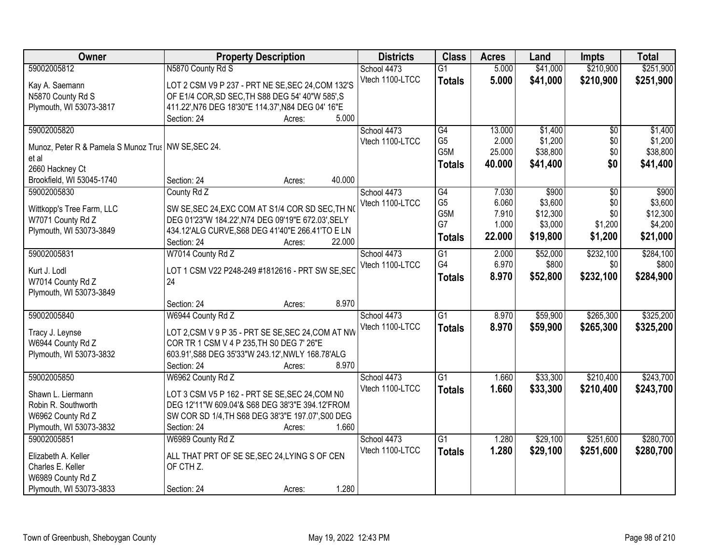| Owner                                                 | <b>Property Description</b>                        | <b>Districts</b> | <b>Class</b>    | <b>Acres</b> | Land     | <b>Impts</b>    | <b>Total</b> |
|-------------------------------------------------------|----------------------------------------------------|------------------|-----------------|--------------|----------|-----------------|--------------|
| 59002005812                                           | N5870 County Rd S                                  | School 4473      | $\overline{G1}$ | 5.000        | \$41,000 | \$210,900       | \$251,900    |
| Kay A. Saemann                                        | LOT 2 CSM V9 P 237 - PRT NE SE, SEC 24, COM 132'S  | Vtech 1100-LTCC  | <b>Totals</b>   | 5.000        | \$41,000 | \$210,900       | \$251,900    |
| N5870 County Rd S                                     | OF E1/4 COR, SD SEC, TH S88 DEG 54' 40"W 585', S   |                  |                 |              |          |                 |              |
| Plymouth, WI 53073-3817                               | 411.22', N76 DEG 18'30"E 114.37', N84 DEG 04' 16"E |                  |                 |              |          |                 |              |
|                                                       | 5.000<br>Section: 24<br>Acres:                     |                  |                 |              |          |                 |              |
| 59002005820                                           |                                                    | School 4473      | G4              | 13.000       | \$1,400  | $\overline{50}$ | \$1,400      |
| Munoz, Peter R & Pamela S Munoz Trus   NW SE, SEC 24. |                                                    | Vtech 1100-LTCC  | G <sub>5</sub>  | 2.000        | \$1,200  | \$0             | \$1,200      |
| et al                                                 |                                                    |                  | G5M             | 25.000       | \$38,800 | \$0             | \$38,800     |
| 2660 Hackney Ct                                       |                                                    |                  | <b>Totals</b>   | 40.000       | \$41,400 | \$0             | \$41,400     |
| Brookfield, WI 53045-1740                             | Section: 24<br>40.000<br>Acres:                    |                  |                 |              |          |                 |              |
| 59002005830                                           | County Rd Z                                        | School 4473      | G4              | 7.030        | \$900    | $\overline{50}$ | \$900        |
|                                                       |                                                    | Vtech 1100-LTCC  | G <sub>5</sub>  | 6.060        | \$3,600  | \$0             | \$3,600      |
| Wittkopp's Tree Farm, LLC                             | SW SE, SEC 24, EXC COM AT S1/4 COR SD SEC, TH NO   |                  | G5M             | 7.910        | \$12,300 | \$0             | \$12,300     |
| W7071 County Rd Z                                     | DEG 01'23"W 184.22', N74 DEG 09'19"E 672.03', SELY |                  | G7              | 1.000        | \$3,000  | \$1,200         | \$4,200      |
| Plymouth, WI 53073-3849                               | 434.12'ALG CURVE, S68 DEG 41'40"E 266.41'TO E LN   |                  | <b>Totals</b>   | 22.000       | \$19,800 | \$1,200         | \$21,000     |
|                                                       | Section: 24<br>22.000<br>Acres:                    |                  |                 |              |          |                 |              |
| 59002005831                                           | W7014 County Rd Z                                  | School 4473      | $\overline{G1}$ | 2.000        | \$52,000 | \$232,100       | \$284,100    |
| Kurt J. Lodl                                          | LOT 1 CSM V22 P248-249 #1812616 - PRT SW SE, SEC   | Vtech 1100-LTCC  | G4              | 6.970        | \$800    | \$0             | \$800        |
| W7014 County Rd Z                                     | 24                                                 |                  | <b>Totals</b>   | 8.970        | \$52,800 | \$232,100       | \$284,900    |
| Plymouth, WI 53073-3849                               |                                                    |                  |                 |              |          |                 |              |
|                                                       | 8.970<br>Section: 24<br>Acres:                     |                  |                 |              |          |                 |              |
| 59002005840                                           | W6944 County Rd Z                                  | School 4473      | $\overline{G1}$ | 8.970        | \$59,900 | \$265,300       | \$325,200    |
| Tracy J. Leynse                                       | LOT 2,CSM V 9 P 35 - PRT SE SE, SEC 24, COM AT NW  | Vtech 1100-LTCC  | <b>Totals</b>   | 8.970        | \$59,900 | \$265,300       | \$325,200    |
| W6944 County Rd Z                                     | COR TR 1 CSM V 4 P 235, TH S0 DEG 7' 26"E          |                  |                 |              |          |                 |              |
| Plymouth, WI 53073-3832                               | 603.91', S88 DEG 35'33"W 243.12', NWLY 168.78'ALG  |                  |                 |              |          |                 |              |
|                                                       | 8.970<br>Section: 24<br>Acres:                     |                  |                 |              |          |                 |              |
| 59002005850                                           | W6962 County Rd Z                                  | School 4473      | $\overline{G1}$ | 1.660        | \$33,300 | \$210,400       | \$243,700    |
| Shawn L. Liermann                                     | LOT 3 CSM V5 P 162 - PRT SE SE, SEC 24, COM N0     | Vtech 1100-LTCC  | <b>Totals</b>   | 1.660        | \$33,300 | \$210,400       | \$243,700    |
| Robin R. Southworth                                   | DEG 12'11"W 609.04'& S68 DEG 38'3"E 394.12'FROM    |                  |                 |              |          |                 |              |
| W6962 County Rd Z                                     | SW COR SD 1/4, TH S68 DEG 38'3"E 197.07', S00 DEG  |                  |                 |              |          |                 |              |
| Plymouth, WI 53073-3832                               | 1.660<br>Section: 24<br>Acres:                     |                  |                 |              |          |                 |              |
| 59002005851                                           | W6989 County Rd Z                                  | School 4473      | $\overline{G1}$ | 1.280        | \$29,100 | \$251,600       | \$280,700    |
|                                                       |                                                    | Vtech 1100-LTCC  | <b>Totals</b>   | 1.280        | \$29,100 | \$251,600       | \$280,700    |
| Elizabeth A. Keller                                   | ALL THAT PRT OF SE SE, SEC 24, LYING S OF CEN      |                  |                 |              |          |                 |              |
| Charles E. Keller                                     | OF CTH Z.                                          |                  |                 |              |          |                 |              |
| W6989 County Rd Z                                     |                                                    |                  |                 |              |          |                 |              |
| Plymouth, WI 53073-3833                               | 1.280<br>Section: 24<br>Acres:                     |                  |                 |              |          |                 |              |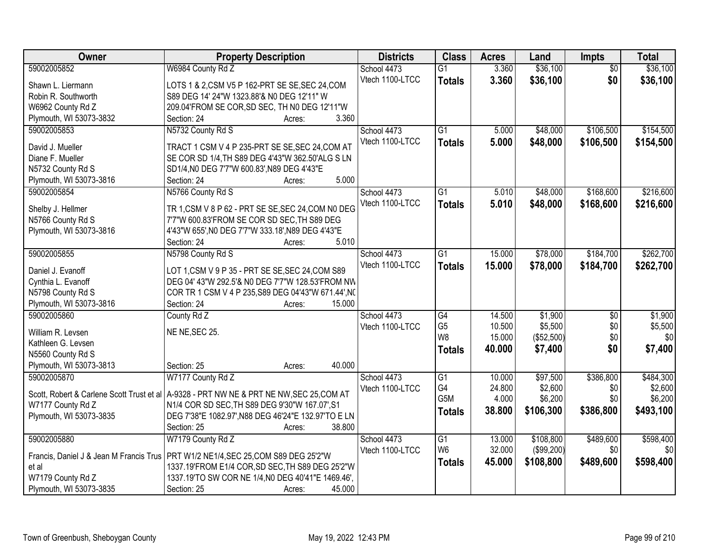| Owner                                   | <b>Property Description</b>                                                                | <b>Districts</b>               | <b>Class</b>    | <b>Acres</b> | Land       | <b>Impts</b>    | <b>Total</b> |
|-----------------------------------------|--------------------------------------------------------------------------------------------|--------------------------------|-----------------|--------------|------------|-----------------|--------------|
| 59002005852                             | W6984 County Rd Z                                                                          | School 4473                    | $\overline{G1}$ | 3.360        | \$36,100   | $\overline{50}$ | \$36,100     |
| Shawn L. Liermann                       | LOTS 1 & 2,CSM V5 P 162-PRT SE SE, SEC 24, COM                                             | Vtech 1100-LTCC                | <b>Totals</b>   | 3.360        | \$36,100   | \$0             | \$36,100     |
| Robin R. Southworth                     | S89 DEG 14' 24"W 1323.88'& N0 DEG 12'11" W                                                 |                                |                 |              |            |                 |              |
| W6962 County Rd Z                       | 209.04'FROM SE COR, SD SEC, TH N0 DEG 12'11"W                                              |                                |                 |              |            |                 |              |
| Plymouth, WI 53073-3832                 | 3.360<br>Section: 24<br>Acres:                                                             |                                |                 |              |            |                 |              |
| 59002005853                             | N5732 County Rd S                                                                          | School 4473                    | $\overline{G1}$ | 5.000        | \$48,000   | \$106,500       | \$154,500    |
|                                         |                                                                                            | Vtech 1100-LTCC                | <b>Totals</b>   | 5.000        | \$48,000   | \$106,500       | \$154,500    |
| David J. Mueller                        | TRACT 1 CSM V 4 P 235-PRT SE SE, SEC 24, COM AT                                            |                                |                 |              |            |                 |              |
| Diane F. Mueller                        | SE COR SD 1/4, TH S89 DEG 4'43"W 362.50'ALG S LN                                           |                                |                 |              |            |                 |              |
| N5732 County Rd S                       | SD1/4, N0 DEG 7'7"W 600.83', N89 DEG 4'43"E                                                |                                |                 |              |            |                 |              |
| Plymouth, WI 53073-3816                 | 5.000<br>Section: 24<br>Acres:                                                             |                                |                 |              |            |                 |              |
| 59002005854                             | N5766 County Rd S                                                                          | School 4473                    | $\overline{G1}$ | 5.010        | \$48,000   | \$168,600       | \$216,600    |
| Shelby J. Hellmer                       | TR 1, CSM V 8 P 62 - PRT SE SE, SEC 24, COM NO DEG                                         | Vtech 1100-LTCC                | <b>Totals</b>   | 5.010        | \$48,000   | \$168,600       | \$216,600    |
| N5766 County Rd S                       | 7'7"W 600.83'FROM SE COR SD SEC, TH S89 DEG                                                |                                |                 |              |            |                 |              |
| Plymouth, WI 53073-3816                 | 4'43"W 655', NO DEG 7'7"W 333.18', N89 DEG 4'43"E                                          |                                |                 |              |            |                 |              |
|                                         | 5.010<br>Section: 24<br>Acres:                                                             |                                |                 |              |            |                 |              |
| 59002005855                             | N5798 County Rd S                                                                          | School 4473                    | $\overline{G1}$ | 15,000       | \$78,000   | \$184,700       | \$262,700    |
|                                         |                                                                                            | Vtech 1100-LTCC                | <b>Totals</b>   | 15.000       | \$78,000   | \$184,700       | \$262,700    |
| Daniel J. Evanoff                       | LOT 1, CSM V 9 P 35 - PRT SE SE, SEC 24, COM S89                                           |                                |                 |              |            |                 |              |
| Cynthia L. Evanoff                      | DEG 04' 43"W 292.5'& N0 DEG 7'7"W 128.53'FROM NW                                           |                                |                 |              |            |                 |              |
| N5798 County Rd S                       | COR TR 1 CSM V 4 P 235, S89 DEG 04'43"W 671.44', NC                                        |                                |                 |              |            |                 |              |
| Plymouth, WI 53073-3816                 | 15.000<br>Section: 24<br>Acres:                                                            |                                |                 |              |            |                 |              |
| 59002005860                             | County Rd Z                                                                                | School 4473                    | $\overline{G4}$ | 14.500       | \$1,900    | $\overline{50}$ | \$1,900      |
| William R. Levsen                       | NE NE, SEC 25.                                                                             | Vtech 1100-LTCC                | G <sub>5</sub>  | 10.500       | \$5,500    | \$0             | \$5,500      |
| Kathleen G. Levsen                      |                                                                                            |                                | W <sub>8</sub>  | 15.000       | (\$52,500) | \$0             | \$0          |
| N5560 County Rd S                       |                                                                                            |                                | <b>Totals</b>   | 40.000       | \$7,400    | \$0             | \$7,400      |
| Plymouth, WI 53073-3813                 | 40.000<br>Section: 25<br>Acres:                                                            |                                |                 |              |            |                 |              |
| 59002005870                             |                                                                                            |                                | $\overline{G1}$ | 10.000       | \$97,500   | \$386,800       | \$484,300    |
|                                         | W7177 County Rd Z                                                                          | School 4473<br>Vtech 1100-LTCC | G4              | 24.800       | \$2,600    | \$0             | \$2,600      |
|                                         | Scott, Robert & Carlene Scott Trust et al   A-9328 - PRT NW NE & PRT NE NW, SEC 25, COM AT |                                | G5M             | 4.000        | \$6,200    | \$0             | \$6,200      |
| W7177 County Rd Z                       | N1/4 COR SD SEC, TH S89 DEG 9'30"W 167.07', S1                                             |                                |                 |              |            |                 |              |
| Plymouth, WI 53073-3835                 | DEG 7'38"E 1082.97', N88 DEG 46'24"E 132.97'TO E LN                                        |                                | <b>Totals</b>   | 38,800       | \$106,300  | \$386,800       | \$493,100    |
|                                         | 38.800<br>Section: 25<br>Acres:                                                            |                                |                 |              |            |                 |              |
| 59002005880                             | W7179 County Rd Z                                                                          | School 4473                    | $\overline{G1}$ | 13.000       | \$108,800  | \$489,600       | \$598,400    |
|                                         |                                                                                            | Vtech 1100-LTCC                | W <sub>6</sub>  | 32.000       | (\$99,200) | \$0             | \$0          |
| Francis, Daniel J & Jean M Francis Trus | PRT W1/2 NE1/4, SEC 25, COM S89 DEG 25'2"W                                                 |                                | <b>Totals</b>   | 45.000       | \$108,800  | \$489,600       | \$598,400    |
| et al                                   | 1337.19'FROM E1/4 COR, SD SEC, TH S89 DEG 25'2"W                                           |                                |                 |              |            |                 |              |
| W7179 County Rd Z                       | 1337.19'TO SW COR NE 1/4, NO DEG 40'41"E 1469.46',                                         |                                |                 |              |            |                 |              |
| Plymouth, WI 53073-3835                 | Section: 25<br>45.000<br>Acres:                                                            |                                |                 |              |            |                 |              |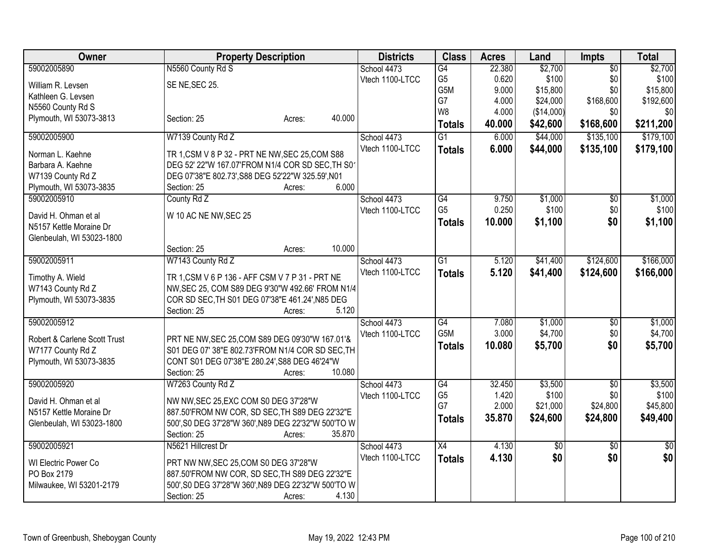| Owner                                                | <b>Property Description</b>                                                                           | <b>Districts</b> | <b>Class</b>    | <b>Acres</b> | Land       | <b>Impts</b>    | <b>Total</b> |
|------------------------------------------------------|-------------------------------------------------------------------------------------------------------|------------------|-----------------|--------------|------------|-----------------|--------------|
| 59002005890                                          | N5560 County Rd S                                                                                     | School 4473      | G4              | 22.380       | \$2,700    | $\overline{50}$ | \$2,700      |
| William R. Levsen                                    | SE NE, SEC 25.                                                                                        | Vtech 1100-LTCC  | G <sub>5</sub>  | 0.620        | \$100      | \$0             | \$100        |
| Kathleen G. Levsen                                   |                                                                                                       |                  | G5M             | 9.000        | \$15,800   | \$0             | \$15,800     |
| N5560 County Rd S                                    |                                                                                                       |                  | G7              | 4.000        | \$24,000   | \$168,600       | \$192,600    |
| Plymouth, WI 53073-3813                              | 40.000<br>Section: 25<br>Acres:                                                                       |                  | W <sub>8</sub>  | 4.000        | (\$14,000) | \$0             | \$0          |
|                                                      |                                                                                                       |                  | <b>Totals</b>   | 40.000       | \$42,600   | \$168,600       | \$211,200    |
| 59002005900                                          | W7139 County Rd Z                                                                                     | School 4473      | $\overline{G1}$ | 6.000        | \$44,000   | \$135,100       | \$179,100    |
| Norman L. Kaehne                                     | TR 1, CSM V 8 P 32 - PRT NE NW, SEC 25, COM S88                                                       | Vtech 1100-LTCC  | <b>Totals</b>   | 6.000        | \$44,000   | \$135,100       | \$179,100    |
| Barbara A. Kaehne                                    | DEG 52' 22"W 167.07'FROM N1/4 COR SD SEC, TH S01                                                      |                  |                 |              |            |                 |              |
| W7139 County Rd Z                                    | DEG 07'38"E 802.73', S88 DEG 52'22"W 325.59', N01                                                     |                  |                 |              |            |                 |              |
| Plymouth, WI 53073-3835                              | 6.000<br>Section: 25<br>Acres:                                                                        |                  |                 |              |            |                 |              |
| 59002005910                                          | County Rd Z                                                                                           | School 4473      | G4              | 9.750        | \$1,000    | $\overline{50}$ | \$1,000      |
| David H. Ohman et al                                 |                                                                                                       | Vtech 1100-LTCC  | G <sub>5</sub>  | 0.250        | \$100      | \$0             | \$100        |
| N5157 Kettle Moraine Dr                              | W 10 AC NE NW, SEC 25                                                                                 |                  | <b>Totals</b>   | 10.000       | \$1,100    | \$0             | \$1,100      |
| Glenbeulah, WI 53023-1800                            |                                                                                                       |                  |                 |              |            |                 |              |
|                                                      | 10.000<br>Section: 25<br>Acres:                                                                       |                  |                 |              |            |                 |              |
| 59002005911                                          | W7143 County Rd Z                                                                                     | School 4473      | $\overline{G1}$ | 5.120        | \$41,400   | \$124,600       | \$166,000    |
|                                                      |                                                                                                       | Vtech 1100-LTCC  |                 | 5.120        | \$41,400   | \$124,600       | \$166,000    |
| Timothy A. Wield                                     | TR 1, CSM V 6 P 136 - AFF CSM V 7 P 31 - PRT NE                                                       |                  | <b>Totals</b>   |              |            |                 |              |
| W7143 County Rd Z                                    | NW, SEC 25, COM S89 DEG 9'30"W 492.66' FROM N1/4                                                      |                  |                 |              |            |                 |              |
| Plymouth, WI 53073-3835                              | COR SD SEC, TH S01 DEG 07'38"E 461.24', N85 DEG                                                       |                  |                 |              |            |                 |              |
|                                                      | 5.120<br>Section: 25<br>Acres:                                                                        |                  |                 |              |            |                 |              |
| 59002005912                                          |                                                                                                       | School 4473      | G4              | 7.080        | \$1,000    | \$0             | \$1,000      |
| Robert & Carlene Scott Trust                         | PRT NE NW, SEC 25, COM S89 DEG 09'30"W 167.01'&                                                       | Vtech 1100-LTCC  | G5M             | 3.000        | \$4,700    | \$0             | \$4,700      |
| W7177 County Rd Z                                    | S01 DEG 07' 38"E 802.73'FROM N1/4 COR SD SEC, TH                                                      |                  | <b>Totals</b>   | 10.080       | \$5,700    | \$0             | \$5,700      |
| Plymouth, WI 53073-3835                              | CONT S01 DEG 07'38"E 280.24', S88 DEG 46'24"W                                                         |                  |                 |              |            |                 |              |
|                                                      | 10.080<br>Section: 25<br>Acres:                                                                       |                  |                 |              |            |                 |              |
| 59002005920                                          | W7263 County Rd Z                                                                                     | School 4473      | G4              | 32.450       | \$3,500    | \$0             | \$3,500      |
|                                                      |                                                                                                       | Vtech 1100-LTCC  | G <sub>5</sub>  | 1.420        | \$100      | \$0             | \$100        |
| David H. Ohman et al                                 | NW NW, SEC 25, EXC COM S0 DEG 37'28"W                                                                 |                  | G7              | 2.000        | \$21,000   | \$24,800        | \$45,800     |
| N5157 Kettle Moraine Dr<br>Glenbeulah, WI 53023-1800 | 887.50'FROM NW COR, SD SEC, TH S89 DEG 22'32"E<br>500', S0 DEG 37'28"W 360', N89 DEG 22'32"W 500'TO W |                  | <b>Totals</b>   | 35.870       | \$24,600   | \$24,800        | \$49,400     |
|                                                      | 35.870<br>Section: 25<br>Acres:                                                                       |                  |                 |              |            |                 |              |
| 59002005921                                          | N5621 Hillcrest Dr                                                                                    | School 4473      | $\overline{X4}$ | 4.130        | \$0        | $\overline{50}$ | \$0          |
|                                                      |                                                                                                       | Vtech 1100-LTCC  | <b>Totals</b>   | 4.130        | \$0        | \$0             | \$0          |
| WI Electric Power Co                                 | PRT NW NW, SEC 25, COM S0 DEG 37'28"W                                                                 |                  |                 |              |            |                 |              |
| PO Box 2179                                          | 887.50'FROM NW COR, SD SEC, TH S89 DEG 22'32"E                                                        |                  |                 |              |            |                 |              |
| Milwaukee, WI 53201-2179                             | 500', S0 DEG 37'28"W 360', N89 DEG 22'32"W 500'TO W                                                   |                  |                 |              |            |                 |              |
|                                                      | 4.130<br>Section: 25<br>Acres:                                                                        |                  |                 |              |            |                 |              |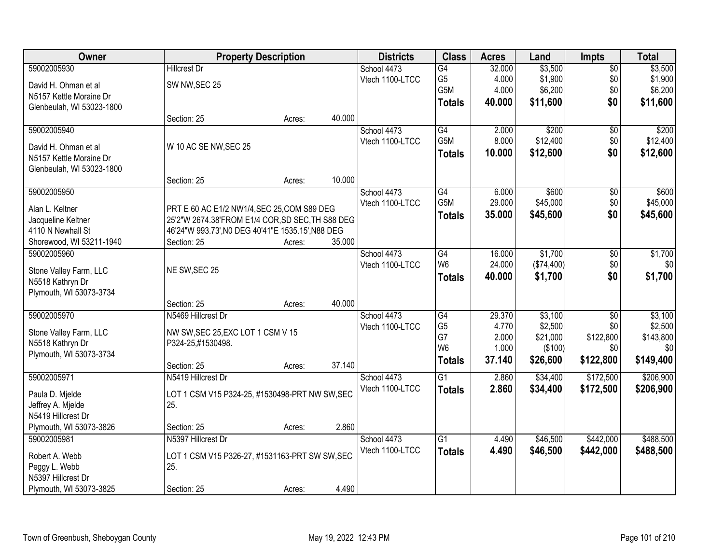| Owner                     |                                                   | <b>Property Description</b> |        | <b>Districts</b> | <b>Class</b>     | <b>Acres</b> | Land       | <b>Impts</b>    | <b>Total</b> |
|---------------------------|---------------------------------------------------|-----------------------------|--------|------------------|------------------|--------------|------------|-----------------|--------------|
| 59002005930               | <b>Hillcrest Dr</b>                               |                             |        | School 4473      | $\overline{G4}$  | 32.000       | \$3,500    | $\overline{50}$ | \$3,500      |
| David H. Ohman et al      | SW NW, SEC 25                                     |                             |        | Vtech 1100-LTCC  | G <sub>5</sub>   | 4.000        | \$1,900    | \$0             | \$1,900      |
| N5157 Kettle Moraine Dr   |                                                   |                             |        |                  | G5M              | 4.000        | \$6,200    | \$0             | \$6,200      |
| Glenbeulah, WI 53023-1800 |                                                   |                             |        |                  | <b>Totals</b>    | 40.000       | \$11,600   | \$0             | \$11,600     |
|                           | Section: 25                                       | Acres:                      | 40.000 |                  |                  |              |            |                 |              |
| 59002005940               |                                                   |                             |        | School 4473      | G4               | 2.000        | \$200      | \$0             | \$200        |
|                           |                                                   |                             |        | Vtech 1100-LTCC  | G <sub>5</sub> M | 8.000        | \$12,400   | \$0             | \$12,400     |
| David H. Ohman et al      | W 10 AC SE NW, SEC 25                             |                             |        |                  | <b>Totals</b>    | 10.000       | \$12,600   | \$0             | \$12,600     |
| N5157 Kettle Moraine Dr   |                                                   |                             |        |                  |                  |              |            |                 |              |
| Glenbeulah, WI 53023-1800 | Section: 25                                       | Acres:                      | 10.000 |                  |                  |              |            |                 |              |
| 59002005950               |                                                   |                             |        | School 4473      | G4               | 6.000        | \$600      | \$0             | \$600        |
|                           |                                                   |                             |        | Vtech 1100-LTCC  | G5M              | 29.000       | \$45,000   | \$0             | \$45,000     |
| Alan L. Keltner           | PRT E 60 AC E1/2 NW1/4, SEC 25, COM S89 DEG       |                             |        |                  | <b>Totals</b>    | 35.000       | \$45,600   | \$0             | \$45,600     |
| Jacqueline Keltner        | 25'2"W 2674.38'FROM E1/4 COR, SD SEC, TH S88 DEG  |                             |        |                  |                  |              |            |                 |              |
| 4110 N Newhall St         | 46'24"W 993.73', NO DEG 40'41"E 1535.15', N88 DEG |                             |        |                  |                  |              |            |                 |              |
| Shorewood, WI 53211-1940  | Section: 25                                       | Acres:                      | 35.000 |                  |                  |              |            |                 |              |
| 59002005960               |                                                   |                             |        | School 4473      | G4               | 16.000       | \$1,700    | \$0             | \$1,700      |
| Stone Valley Farm, LLC    | NE SW, SEC 25                                     |                             |        | Vtech 1100-LTCC  | W <sub>6</sub>   | 24.000       | (\$74,400) | \$0             | \$0          |
| N5518 Kathryn Dr          |                                                   |                             |        |                  | <b>Totals</b>    | 40.000       | \$1,700    | \$0             | \$1,700      |
| Plymouth, WI 53073-3734   |                                                   |                             |        |                  |                  |              |            |                 |              |
|                           | Section: 25                                       | Acres:                      | 40.000 |                  |                  |              |            |                 |              |
| 59002005970               | N5469 Hillcrest Dr                                |                             |        | School 4473      | $\overline{G4}$  | 29.370       | \$3,100    | $\overline{30}$ | \$3,100      |
| Stone Valley Farm, LLC    | NW SW, SEC 25, EXC LOT 1 CSM V 15                 |                             |        | Vtech 1100-LTCC  | G <sub>5</sub>   | 4.770        | \$2,500    | \$0             | \$2,500      |
| N5518 Kathryn Dr          | P324-25,#1530498.                                 |                             |        |                  | G7               | 2.000        | \$21,000   | \$122,800       | \$143,800    |
| Plymouth, WI 53073-3734   |                                                   |                             |        |                  | W <sub>6</sub>   | 1.000        | (\$100)    | \$0             | \$0          |
|                           | Section: 25                                       | Acres:                      | 37.140 |                  | <b>Totals</b>    | 37.140       | \$26,600   | \$122,800       | \$149,400    |
| 59002005971               | N5419 Hillcrest Dr                                |                             |        | School 4473      | $\overline{G1}$  | 2.860        | \$34,400   | \$172,500       | \$206,900    |
| Paula D. Mjelde           | LOT 1 CSM V15 P324-25, #1530498-PRT NW SW, SEC    |                             |        | Vtech 1100-LTCC  | <b>Totals</b>    | 2.860        | \$34,400   | \$172,500       | \$206,900    |
| Jeffrey A. Mjelde         | 25.                                               |                             |        |                  |                  |              |            |                 |              |
| N5419 Hillcrest Dr        |                                                   |                             |        |                  |                  |              |            |                 |              |
| Plymouth, WI 53073-3826   | Section: 25                                       | Acres:                      | 2.860  |                  |                  |              |            |                 |              |
| 59002005981               | N5397 Hillcrest Dr                                |                             |        | School 4473      | $\overline{G1}$  | 4.490        | \$46,500   | \$442,000       | \$488,500    |
|                           |                                                   |                             |        | Vtech 1100-LTCC  | <b>Totals</b>    | 4.490        | \$46,500   | \$442,000       | \$488,500    |
| Robert A. Webb            | LOT 1 CSM V15 P326-27, #1531163-PRT SW SW, SEC    |                             |        |                  |                  |              |            |                 |              |
| Peggy L. Webb             | 25.                                               |                             |        |                  |                  |              |            |                 |              |
| N5397 Hillcrest Dr        |                                                   |                             |        |                  |                  |              |            |                 |              |
| Plymouth, WI 53073-3825   | Section: 25                                       | Acres:                      | 4.490  |                  |                  |              |            |                 |              |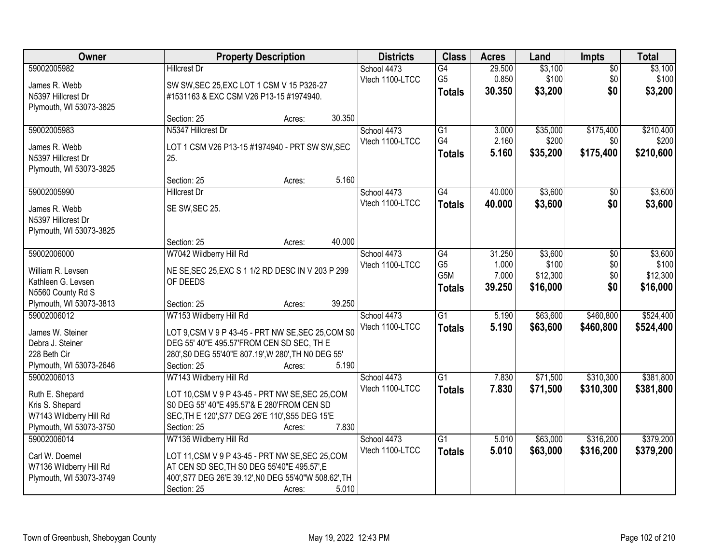| Owner                              | <b>Property Description</b>                                                                    | <b>Districts</b> | <b>Class</b>    | <b>Acres</b> | Land     | <b>Impts</b>    | <b>Total</b> |
|------------------------------------|------------------------------------------------------------------------------------------------|------------------|-----------------|--------------|----------|-----------------|--------------|
| 59002005982                        | <b>Hillcrest Dr</b>                                                                            | School 4473      | $\overline{G4}$ | 29.500       | \$3,100  | $\overline{50}$ | \$3,100      |
| James R. Webb                      | SW SW, SEC 25, EXC LOT 1 CSM V 15 P326-27                                                      | Vtech 1100-LTCC  | G <sub>5</sub>  | 0.850        | \$100    | \$0             | \$100        |
| N5397 Hillcrest Dr                 | #1531163 & EXC CSM V26 P13-15 #1974940.                                                        |                  | <b>Totals</b>   | 30.350       | \$3,200  | \$0             | \$3,200      |
| Plymouth, WI 53073-3825            |                                                                                                |                  |                 |              |          |                 |              |
|                                    | 30.350<br>Section: 25<br>Acres:                                                                |                  |                 |              |          |                 |              |
| 59002005983                        | N5347 Hillcrest Dr                                                                             | School 4473      | $\overline{G1}$ | 3.000        | \$35,000 | \$175,400       | \$210,400    |
| James R. Webb                      | LOT 1 CSM V26 P13-15 #1974940 - PRT SW SW, SEC                                                 | Vtech 1100-LTCC  | G4              | 2.160        | \$200    | \$0             | \$200        |
| N5397 Hillcrest Dr                 | 25.                                                                                            |                  | <b>Totals</b>   | 5.160        | \$35,200 | \$175,400       | \$210,600    |
| Plymouth, WI 53073-3825            |                                                                                                |                  |                 |              |          |                 |              |
|                                    | 5.160<br>Section: 25<br>Acres:                                                                 |                  |                 |              |          |                 |              |
| 59002005990                        | <b>Hillcrest Dr</b>                                                                            | School 4473      | G4              | 40.000       | \$3,600  | $\sqrt[6]{}$    | \$3,600      |
|                                    |                                                                                                | Vtech 1100-LTCC  | <b>Totals</b>   | 40.000       | \$3,600  | \$0             | \$3,600      |
| James R. Webb                      | SE SW, SEC 25.                                                                                 |                  |                 |              |          |                 |              |
| N5397 Hillcrest Dr                 |                                                                                                |                  |                 |              |          |                 |              |
| Plymouth, WI 53073-3825            | 40.000<br>Section: 25                                                                          |                  |                 |              |          |                 |              |
| 59002006000                        | Acres:<br>W7042 Wildberry Hill Rd                                                              | School 4473      | G4              | 31.250       | \$3,600  | \$0             | \$3,600      |
|                                    |                                                                                                | Vtech 1100-LTCC  | G <sub>5</sub>  | 1.000        | \$100    | \$0             | \$100        |
| William R. Levsen                  | NE SE, SEC 25, EXC S 1 1/2 RD DESC IN V 203 P 299                                              |                  | G5M             | 7.000        | \$12,300 | \$0             | \$12,300     |
| Kathleen G. Levsen                 | OF DEEDS                                                                                       |                  |                 | 39.250       | \$16,000 | \$0             | \$16,000     |
| N5560 County Rd S                  |                                                                                                |                  | <b>Totals</b>   |              |          |                 |              |
| Plymouth, WI 53073-3813            | 39.250<br>Section: 25<br>Acres:                                                                |                  |                 |              |          |                 |              |
| 59002006012                        | W7153 Wildberry Hill Rd                                                                        | School 4473      | $\overline{G1}$ | 5.190        | \$63,600 | \$460,800       | \$524,400    |
| James W. Steiner                   | LOT 9, CSM V 9 P 43-45 - PRT NW SE, SEC 25, COM S0                                             | Vtech 1100-LTCC  | <b>Totals</b>   | 5.190        | \$63,600 | \$460,800       | \$524,400    |
| Debra J. Steiner                   | DEG 55' 40"E 495.57'FROM CEN SD SEC, TH E                                                      |                  |                 |              |          |                 |              |
| 228 Beth Cir                       | 280', S0 DEG 55'40"E 807.19', W 280', TH N0 DEG 55'                                            |                  |                 |              |          |                 |              |
| Plymouth, WI 53073-2646            | 5.190<br>Section: 25<br>Acres:                                                                 |                  |                 |              |          |                 |              |
| 59002006013                        | W7143 Wildberry Hill Rd                                                                        | School 4473      | $\overline{G1}$ | 7.830        | \$71,500 | \$310,300       | \$381,800    |
|                                    |                                                                                                | Vtech 1100-LTCC  | <b>Totals</b>   | 7.830        | \$71,500 | \$310,300       | \$381,800    |
| Ruth E. Shepard<br>Kris S. Shepard | LOT 10, CSM V 9 P 43-45 - PRT NW SE, SEC 25, COM<br>S0 DEG 55' 40"E 495.57'& E 280'FROM CEN SD |                  |                 |              |          |                 |              |
| W7143 Wildberry Hill Rd            | SEC, TH E 120', S77 DEG 26'E 110', S55 DEG 15'E                                                |                  |                 |              |          |                 |              |
| Plymouth, WI 53073-3750            | 7.830<br>Section: 25<br>Acres:                                                                 |                  |                 |              |          |                 |              |
| 59002006014                        | W7136 Wildberry Hill Rd                                                                        | School 4473      | G1              | 5.010        | \$63,000 | \$316,200       | \$379,200    |
|                                    |                                                                                                | Vtech 1100-LTCC  | <b>Totals</b>   | 5.010        | \$63,000 | \$316,200       | \$379,200    |
| Carl W. Doemel                     | LOT 11, CSM V 9 P 43-45 - PRT NW SE, SEC 25, COM                                               |                  |                 |              |          |                 |              |
| W7136 Wildberry Hill Rd            | AT CEN SD SEC, TH S0 DEG 55'40"E 495.57', E                                                    |                  |                 |              |          |                 |              |
| Plymouth, WI 53073-3749            | 400', S77 DEG 26'E 39.12', N0 DEG 55'40"W 508.62', TH                                          |                  |                 |              |          |                 |              |
|                                    | 5.010<br>Section: 25<br>Acres:                                                                 |                  |                 |              |          |                 |              |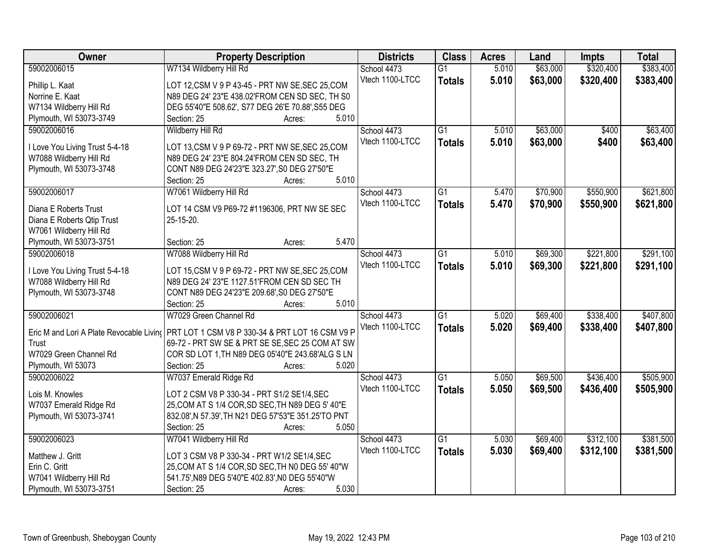| Owner                                    | <b>Property Description</b>                                                                        | <b>Districts</b> | <b>Class</b>    | <b>Acres</b> | Land     | <b>Impts</b> | <b>Total</b> |
|------------------------------------------|----------------------------------------------------------------------------------------------------|------------------|-----------------|--------------|----------|--------------|--------------|
| 59002006015                              | W7134 Wildberry Hill Rd                                                                            | School 4473      | $\overline{G1}$ | 5.010        | \$63,000 | \$320,400    | \$383,400    |
| Phillip L. Kaat                          | LOT 12, CSM V 9 P 43-45 - PRT NW SE, SEC 25, COM                                                   | Vtech 1100-LTCC  | <b>Totals</b>   | 5.010        | \$63,000 | \$320,400    | \$383,400    |
| Norrine E. Kaat                          | N89 DEG 24' 23"E 438.02'FROM CEN SD SEC, TH S0                                                     |                  |                 |              |          |              |              |
| W7134 Wildberry Hill Rd                  | DEG 55'40"E 508.62', S77 DEG 26'E 70.88', S55 DEG                                                  |                  |                 |              |          |              |              |
| Plymouth, WI 53073-3749                  | 5.010<br>Section: 25<br>Acres:                                                                     |                  |                 |              |          |              |              |
| 59002006016                              | <b>Wildberry Hill Rd</b>                                                                           | School 4473      | $\overline{G1}$ | 5.010        | \$63,000 | \$400        | \$63,400     |
|                                          |                                                                                                    | Vtech 1100-LTCC  | <b>Totals</b>   | 5.010        | \$63,000 | \$400        | \$63,400     |
| I Love You Living Trust 5-4-18           | LOT 13, CSM V 9 P 69-72 - PRT NW SE, SEC 25, COM                                                   |                  |                 |              |          |              |              |
| W7088 Wildberry Hill Rd                  | N89 DEG 24' 23"E 804.24'FROM CEN SD SEC, TH                                                        |                  |                 |              |          |              |              |
| Plymouth, WI 53073-3748                  | CONT N89 DEG 24'23"E 323.27', S0 DEG 27'50"E                                                       |                  |                 |              |          |              |              |
|                                          | 5.010<br>Section: 25<br>Acres:                                                                     |                  |                 |              |          |              |              |
| 59002006017                              | W7061 Wildberry Hill Rd                                                                            | School 4473      | $\overline{G1}$ | 5.470        | \$70,900 | \$550,900    | \$621,800    |
| Diana E Roberts Trust                    | LOT 14 CSM V9 P69-72 #1196306, PRT NW SE SEC                                                       | Vtech 1100-LTCC  | <b>Totals</b>   | 5.470        | \$70,900 | \$550,900    | \$621,800    |
| Diana E Roberts Qtip Trust               | 25-15-20.                                                                                          |                  |                 |              |          |              |              |
| W7061 Wildberry Hill Rd                  |                                                                                                    |                  |                 |              |          |              |              |
| Plymouth, WI 53073-3751                  | 5.470<br>Section: 25<br>Acres:                                                                     |                  |                 |              |          |              |              |
| 59002006018                              | W7088 Wildberry Hill Rd                                                                            | School 4473      | $\overline{G1}$ | 5.010        | \$69,300 | \$221,800    | \$291,100    |
|                                          |                                                                                                    | Vtech 1100-LTCC  | <b>Totals</b>   | 5.010        | \$69,300 | \$221,800    | \$291,100    |
| I Love You Living Trust 5-4-18           | LOT 15, CSM V 9 P 69-72 - PRT NW SE, SEC 25, COM                                                   |                  |                 |              |          |              |              |
| W7088 Wildberry Hill Rd                  | N89 DEG 24' 23"E 1127.51'FROM CEN SD SEC TH                                                        |                  |                 |              |          |              |              |
| Plymouth, WI 53073-3748                  | CONT N89 DEG 24'23"E 209.68', S0 DEG 27'50"E                                                       |                  |                 |              |          |              |              |
|                                          | 5.010<br>Section: 25<br>Acres:                                                                     |                  |                 |              |          |              |              |
| 59002006021                              | W7029 Green Channel Rd                                                                             | School 4473      | $\overline{G1}$ | 5.020        | \$69,400 | \$338,400    | \$407,800    |
| Eric M and Lori A Plate Revocable Livino |                                                                                                    | Vtech 1100-LTCC  | <b>Totals</b>   | 5.020        | \$69,400 | \$338,400    | \$407,800    |
| Trust                                    | PRT LOT 1 CSM V8 P 330-34 & PRT LOT 16 CSM V9 P<br>69-72 - PRT SW SE & PRT SE SE, SEC 25 COM AT SW |                  |                 |              |          |              |              |
| W7029 Green Channel Rd                   | COR SD LOT 1, TH N89 DEG 05'40"E 243.68'ALG S LN                                                   |                  |                 |              |          |              |              |
| Plymouth, WI 53073                       | Section: 25<br>5.020                                                                               |                  |                 |              |          |              |              |
|                                          | Acres:                                                                                             |                  |                 |              |          |              |              |
| 59002006022                              | W7037 Emerald Ridge Rd                                                                             | School 4473      | $\overline{G1}$ | 5.050        | \$69,500 | \$436,400    | \$505,900    |
| Lois M. Knowles                          | LOT 2 CSM V8 P 330-34 - PRT S1/2 SE1/4, SEC                                                        | Vtech 1100-LTCC  | <b>Totals</b>   | 5.050        | \$69,500 | \$436,400    | \$505,900    |
| W7037 Emerald Ridge Rd                   | 25, COM AT S 1/4 COR, SD SEC, TH N89 DEG 5' 40"E                                                   |                  |                 |              |          |              |              |
| Plymouth, WI 53073-3741                  | 832.08', N 57.39', TH N21 DEG 57'53"E 351.25'TO PNT                                                |                  |                 |              |          |              |              |
|                                          | 5.050<br>Section: 25<br>Acres:                                                                     |                  |                 |              |          |              |              |
| 59002006023                              | W7041 Wildberry Hill Rd                                                                            | School 4473      | $\overline{G1}$ | 5.030        | \$69,400 | \$312,100    | \$381,500    |
|                                          |                                                                                                    | Vtech 1100-LTCC  | <b>Totals</b>   | 5.030        | \$69,400 | \$312,100    | \$381,500    |
| Matthew J. Gritt                         | LOT 3 CSM V8 P 330-34 - PRT W1/2 SE1/4, SEC                                                        |                  |                 |              |          |              |              |
| Erin C. Gritt                            | 25, COM AT S 1/4 COR, SD SEC, TH N0 DEG 55' 40"W                                                   |                  |                 |              |          |              |              |
| W7041 Wildberry Hill Rd                  | 541.75', N89 DEG 5'40"E 402.83', N0 DEG 55'40"W                                                    |                  |                 |              |          |              |              |
| Plymouth, WI 53073-3751                  | 5.030<br>Section: 25<br>Acres:                                                                     |                  |                 |              |          |              |              |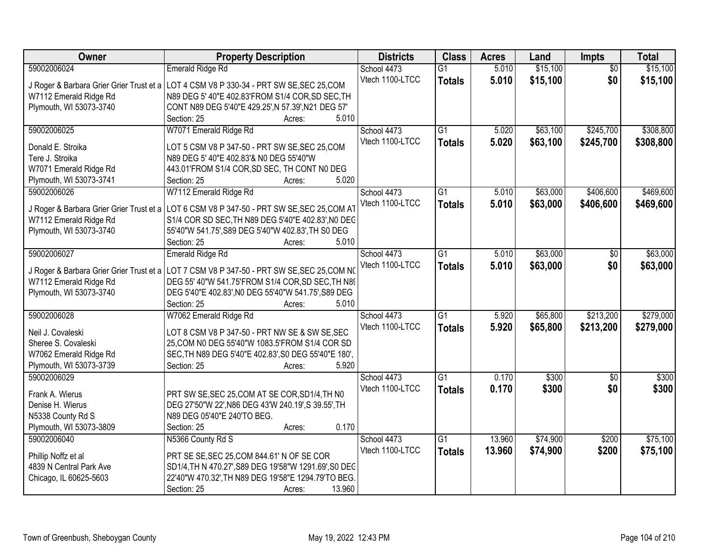| <b>Owner</b>            | <b>Property Description</b>                                                                  | <b>Districts</b> | <b>Class</b>    | <b>Acres</b> | Land     | <b>Impts</b>    | <b>Total</b> |
|-------------------------|----------------------------------------------------------------------------------------------|------------------|-----------------|--------------|----------|-----------------|--------------|
| 59002006024             | <b>Emerald Ridge Rd</b>                                                                      | School 4473      | $\overline{G1}$ | 5.010        | \$15,100 | $\overline{50}$ | \$15,100     |
|                         | J Roger & Barbara Grier Grier Trust et a LOT 4 CSM V8 P 330-34 - PRT SW SE, SEC 25, COM      | Vtech 1100-LTCC  | <b>Totals</b>   | 5.010        | \$15,100 | \$0             | \$15,100     |
| W7112 Emerald Ridge Rd  | N89 DEG 5' 40"E 402.83'FROM S1/4 COR, SD SEC, TH                                             |                  |                 |              |          |                 |              |
| Plymouth, WI 53073-3740 | CONT N89 DEG 5'40"E 429.25', N 57.39', N21 DEG 57'                                           |                  |                 |              |          |                 |              |
|                         | 5.010<br>Section: 25<br>Acres:                                                               |                  |                 |              |          |                 |              |
| 59002006025             | W7071 Emerald Ridge Rd                                                                       | School 4473      | $\overline{G1}$ | 5.020        | \$63,100 | \$245,700       | \$308,800    |
|                         |                                                                                              | Vtech 1100-LTCC  | <b>Totals</b>   | 5.020        | \$63,100 | \$245,700       | \$308,800    |
| Donald E. Stroika       | LOT 5 CSM V8 P 347-50 - PRT SW SE, SEC 25, COM                                               |                  |                 |              |          |                 |              |
| Tere J. Stroika         | N89 DEG 5' 40"E 402.83'& N0 DEG 55'40"W                                                      |                  |                 |              |          |                 |              |
| W7071 Emerald Ridge Rd  | 443.01'FROM S1/4 COR, SD SEC, TH CONT N0 DEG                                                 |                  |                 |              |          |                 |              |
| Plymouth, WI 53073-3741 | 5.020<br>Section: 25<br>Acres:                                                               |                  |                 |              |          |                 |              |
| 59002006026             | W7112 Emerald Ridge Rd                                                                       | School 4473      | G1              | 5.010        | \$63,000 | \$406,600       | \$469,600    |
|                         | J Roger & Barbara Grier Grier Trust et a LOT 6 CSM V8 P 347-50 - PRT SW SE, SEC 25, COM AT   | Vtech 1100-LTCC  | <b>Totals</b>   | 5.010        | \$63,000 | \$406,600       | \$469,600    |
| W7112 Emerald Ridge Rd  | S1/4 COR SD SEC, TH N89 DEG 5'40"E 402.83', NO DEC                                           |                  |                 |              |          |                 |              |
| Plymouth, WI 53073-3740 | 55'40"W 541.75', S89 DEG 5'40"W 402.83', TH S0 DEG                                           |                  |                 |              |          |                 |              |
|                         | Section: 25<br>5.010<br>Acres:                                                               |                  |                 |              |          |                 |              |
| 59002006027             | Emerald Ridge Rd                                                                             | School 4473      | $\overline{G1}$ | 5.010        | \$63,000 | \$0             | \$63,000     |
|                         |                                                                                              | Vtech 1100-LTCC  |                 |              |          |                 |              |
|                         | J Roger & Barbara Grier Grier Trust et a   LOT 7 CSM V8 P 347-50 - PRT SW SE, SEC 25, COM NO |                  | <b>Totals</b>   | 5.010        | \$63,000 | \$0             | \$63,000     |
| W7112 Emerald Ridge Rd  | DEG 55' 40"W 541.75'FROM S1/4 COR, SD SEC, TH N89                                            |                  |                 |              |          |                 |              |
| Plymouth, WI 53073-3740 | DEG 5'40"E 402.83', NO DEG 55'40"W 541.75', S89 DEG                                          |                  |                 |              |          |                 |              |
|                         | Section: 25<br>5.010<br>Acres:                                                               |                  |                 |              |          |                 |              |
| 59002006028             | W7062 Emerald Ridge Rd                                                                       | School 4473      | $\overline{G1}$ | 5.920        | \$65,800 | \$213,200       | \$279,000    |
|                         |                                                                                              | Vtech 1100-LTCC  | <b>Totals</b>   | 5.920        | \$65,800 | \$213,200       | \$279,000    |
| Neil J. Covaleski       | LOT 8 CSM V8 P 347-50 - PRT NW SE & SW SE, SEC                                               |                  |                 |              |          |                 |              |
| Sheree S. Covaleski     | 25, COM N0 DEG 55'40"W 1083.5'FROM S1/4 COR SD                                               |                  |                 |              |          |                 |              |
| W7062 Emerald Ridge Rd  | SEC, TH N89 DEG 5'40"E 402.83', S0 DEG 55'40"E 180',                                         |                  |                 |              |          |                 |              |
| Plymouth, WI 53073-3739 | 5.920<br>Section: 25<br>Acres:                                                               |                  |                 |              |          |                 |              |
| 59002006029             |                                                                                              | School 4473      | $\overline{G1}$ | 0.170        | \$300    | $\overline{50}$ | \$300        |
| Frank A. Wierus         | PRT SW SE, SEC 25, COM AT SE COR, SD1/4, TH NO                                               | Vtech 1100-LTCC  | <b>Totals</b>   | 0.170        | \$300    | \$0             | \$300        |
| Denise H. Wierus        | DEG 27'50"W 22', N86 DEG 43'W 240.19', S 39.55', TH                                          |                  |                 |              |          |                 |              |
| N5338 County Rd S       | N89 DEG 05'40"E 240'TO BEG.                                                                  |                  |                 |              |          |                 |              |
| Plymouth, WI 53073-3809 | 0.170<br>Section: 25<br>Acres:                                                               |                  |                 |              |          |                 |              |
| 59002006040             | N5366 County Rd S                                                                            | School 4473      | $\overline{G1}$ | 13.960       | \$74,900 | \$200           | \$75,100     |
|                         |                                                                                              | Vtech 1100-LTCC  | <b>Totals</b>   | 13.960       | \$74,900 | \$200           | \$75,100     |
| Phillip Noffz et al     | PRT SE SE, SEC 25, COM 844.61' N OF SE COR                                                   |                  |                 |              |          |                 |              |
| 4839 N Central Park Ave | SD1/4, TH N 470.27', S89 DEG 19'58"W 1291.69', S0 DEC                                        |                  |                 |              |          |                 |              |
| Chicago, IL 60625-5603  | 22'40"W 470.32', TH N89 DEG 19'58"E 1294.79'TO BEG.                                          |                  |                 |              |          |                 |              |
|                         | 13.960<br>Section: 25<br>Acres:                                                              |                  |                 |              |          |                 |              |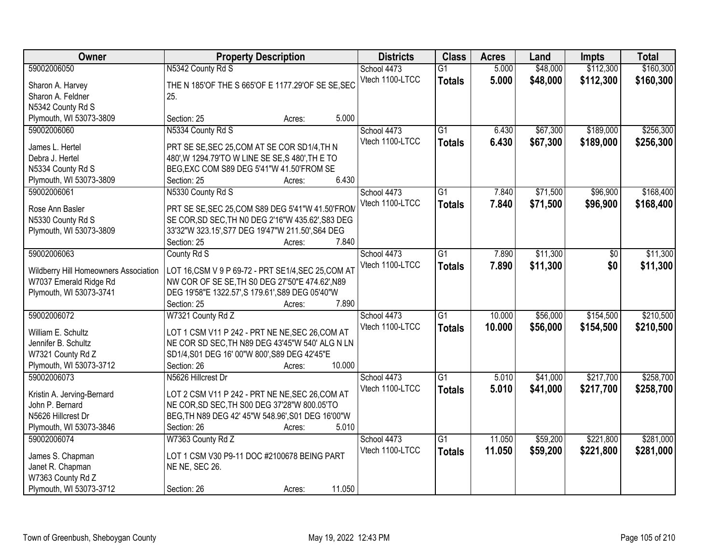| Owner                                 | <b>Property Description</b>                         | <b>Districts</b> | <b>Class</b>    | <b>Acres</b> | Land     | <b>Impts</b> | <b>Total</b> |
|---------------------------------------|-----------------------------------------------------|------------------|-----------------|--------------|----------|--------------|--------------|
| 59002006050                           | N5342 County Rd S                                   | School 4473      | $\overline{G1}$ | 5.000        | \$48,000 | \$112,300    | \$160,300    |
| Sharon A. Harvey                      | THE N 185'OF THE S 665'OF E 1177.29'OF SE SE, SEC   | Vtech 1100-LTCC  | <b>Totals</b>   | 5.000        | \$48,000 | \$112,300    | \$160,300    |
| Sharon A. Feldner                     | 25.                                                 |                  |                 |              |          |              |              |
| N5342 County Rd S                     |                                                     |                  |                 |              |          |              |              |
| Plymouth, WI 53073-3809               | 5.000<br>Section: 25<br>Acres:                      |                  |                 |              |          |              |              |
| 59002006060                           | N5334 County Rd S                                   | School 4473      | $\overline{G1}$ | 6.430        | \$67,300 | \$189,000    | \$256,300    |
|                                       |                                                     | Vtech 1100-LTCC  | <b>Totals</b>   | 6.430        | \$67,300 | \$189,000    | \$256,300    |
| James L. Hertel                       | PRT SE SE, SEC 25, COM AT SE COR SD1/4, TH N        |                  |                 |              |          |              |              |
| Debra J. Hertel                       | 480', W 1294.79'TO W LINE SE SE, S 480', TH E TO    |                  |                 |              |          |              |              |
| N5334 County Rd S                     | BEG, EXC COM S89 DEG 5'41"W 41.50'FROM SE           |                  |                 |              |          |              |              |
| Plymouth, WI 53073-3809               | 6.430<br>Section: 25<br>Acres:                      |                  |                 |              |          |              |              |
| 59002006061                           | N5330 County Rd S                                   | School 4473      | G1              | 7.840        | \$71,500 | \$96,900     | \$168,400    |
| Rose Ann Basler                       | PRT SE SE, SEC 25, COM S89 DEG 5'41"W 41.50'FROM    | Vtech 1100-LTCC  | <b>Totals</b>   | 7.840        | \$71,500 | \$96,900     | \$168,400    |
| N5330 County Rd S                     | SE COR, SD SEC, TH N0 DEG 2'16"W 435.62', S83 DEG   |                  |                 |              |          |              |              |
| Plymouth, WI 53073-3809               | 33'32"W 323.15', S77 DEG 19'47"W 211.50', S64 DEG   |                  |                 |              |          |              |              |
|                                       | 7.840<br>Section: 25<br>Acres:                      |                  |                 |              |          |              |              |
| 59002006063                           | County Rd S                                         | School 4473      | G1              | 7.890        | \$11,300 | \$0          | \$11,300     |
|                                       |                                                     | Vtech 1100-LTCC  |                 | 7.890        |          | \$0          |              |
| Wildberry Hill Homeowners Association | LOT 16, CSM V 9 P 69-72 - PRT SE1/4, SEC 25, COM AT |                  | <b>Totals</b>   |              | \$11,300 |              | \$11,300     |
| W7037 Emerald Ridge Rd                | NW COR OF SE SE, TH S0 DEG 27'50"E 474.62', N89     |                  |                 |              |          |              |              |
| Plymouth, WI 53073-3741               | DEG 19'58"E 1322.57', S 179.61', S89 DEG 05'40"W    |                  |                 |              |          |              |              |
|                                       | 7.890<br>Section: 25<br>Acres:                      |                  |                 |              |          |              |              |
| 59002006072                           | W7321 County Rd Z                                   | School 4473      | $\overline{G1}$ | 10.000       | \$56,000 | \$154,500    | \$210,500    |
|                                       |                                                     | Vtech 1100-LTCC  | <b>Totals</b>   | 10.000       | \$56,000 | \$154,500    | \$210,500    |
| William E. Schultz                    | LOT 1 CSM V11 P 242 - PRT NE NE, SEC 26, COM AT     |                  |                 |              |          |              |              |
| Jennifer B. Schultz                   | NE COR SD SEC, TH N89 DEG 43'45"W 540' ALG N LN     |                  |                 |              |          |              |              |
| W7321 County Rd Z                     | SD1/4, S01 DEG 16' 00"W 800', S89 DEG 42'45"E       |                  |                 |              |          |              |              |
| Plymouth, WI 53073-3712               | Section: 26<br>10.000<br>Acres:                     |                  |                 |              |          |              |              |
| 59002006073                           | N5626 Hillcrest Dr                                  | School 4473      | $\overline{G1}$ | 5.010        | \$41,000 | \$217,700    | \$258,700    |
| Kristin A. Jerving-Bernard            | LOT 2 CSM V11 P 242 - PRT NE NE, SEC 26, COM AT     | Vtech 1100-LTCC  | <b>Totals</b>   | 5.010        | \$41,000 | \$217,700    | \$258,700    |
| John P. Bernard                       | NE COR, SD SEC, TH S00 DEG 37'28"W 800.05'TO        |                  |                 |              |          |              |              |
| N5626 Hillcrest Dr                    | BEG, TH N89 DEG 42' 45"W 548.96', S01 DEG 16'00"W   |                  |                 |              |          |              |              |
| Plymouth, WI 53073-3846               | 5.010<br>Section: 26<br>Acres:                      |                  |                 |              |          |              |              |
| 59002006074                           | W7363 County Rd Z                                   | School 4473      | $\overline{G1}$ | 11.050       | \$59,200 | \$221,800    | \$281,000    |
|                                       |                                                     | Vtech 1100-LTCC  | <b>Totals</b>   | 11.050       | \$59,200 | \$221,800    | \$281,000    |
| James S. Chapman                      | LOT 1 CSM V30 P9-11 DOC #2100678 BEING PART         |                  |                 |              |          |              |              |
| Janet R. Chapman                      | NE NE, SEC 26.                                      |                  |                 |              |          |              |              |
| W7363 County Rd Z                     |                                                     |                  |                 |              |          |              |              |
| Plymouth, WI 53073-3712               | 11.050<br>Section: 26<br>Acres:                     |                  |                 |              |          |              |              |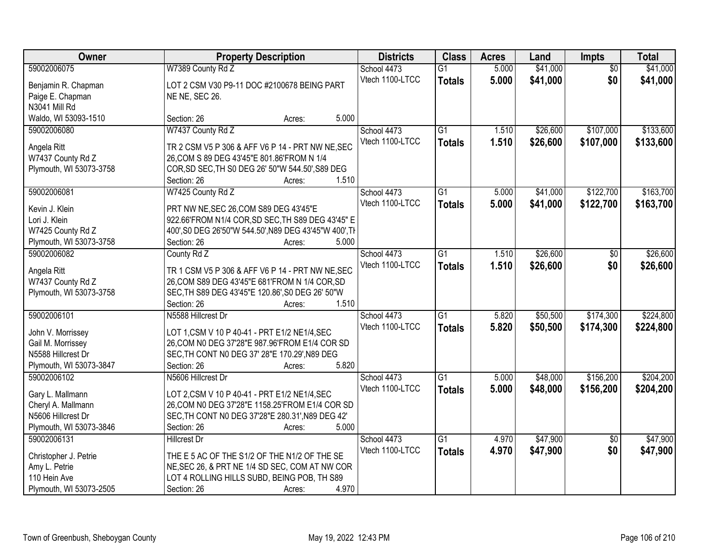| Owner                   | <b>Property Description</b>                                              | <b>Districts</b> | <b>Class</b>    | <b>Acres</b> | Land     | Impts           | <b>Total</b> |
|-------------------------|--------------------------------------------------------------------------|------------------|-----------------|--------------|----------|-----------------|--------------|
| 59002006075             | W7389 County Rd Z                                                        | School 4473      | $\overline{G1}$ | 5.000        | \$41,000 | $\overline{50}$ | \$41,000     |
| Benjamin R. Chapman     | LOT 2 CSM V30 P9-11 DOC #2100678 BEING PART                              | Vtech 1100-LTCC  | <b>Totals</b>   | 5.000        | \$41,000 | \$0             | \$41,000     |
| Paige E. Chapman        | NE NE, SEC 26.                                                           |                  |                 |              |          |                 |              |
| N3041 Mill Rd           |                                                                          |                  |                 |              |          |                 |              |
| Waldo, WI 53093-1510    | 5.000<br>Section: 26<br>Acres:                                           |                  |                 |              |          |                 |              |
| 59002006080             | W7437 County Rd Z                                                        | School 4473      | $\overline{G1}$ | 1.510        | \$26,600 | \$107,000       | \$133,600    |
|                         |                                                                          | Vtech 1100-LTCC  | <b>Totals</b>   | 1.510        | \$26,600 | \$107,000       | \$133,600    |
| Angela Ritt             | TR 2 CSM V5 P 306 & AFF V6 P 14 - PRT NW NE, SEC                         |                  |                 |              |          |                 |              |
| W7437 County Rd Z       | 26, COM S 89 DEG 43'45"E 801.86' FROM N 1/4                              |                  |                 |              |          |                 |              |
| Plymouth, WI 53073-3758 | COR, SD SEC, TH S0 DEG 26' 50"W 544.50', S89 DEG                         |                  |                 |              |          |                 |              |
|                         | 1.510<br>Section: 26<br>Acres:                                           |                  |                 |              |          |                 |              |
| 59002006081             | W7425 County Rd Z                                                        | School 4473      | $\overline{G1}$ | 5.000        | \$41,000 | \$122,700       | \$163,700    |
| Kevin J. Klein          | PRT NW NE, SEC 26, COM S89 DEG 43'45"E                                   | Vtech 1100-LTCC  | <b>Totals</b>   | 5.000        | \$41,000 | \$122,700       | \$163,700    |
| Lori J. Klein           | 922.66'FROM N1/4 COR, SD SEC, TH S89 DEG 43'45" E                        |                  |                 |              |          |                 |              |
| W7425 County Rd Z       | 400', S0 DEG 26'50"W 544.50', N89 DEG 43'45"W 400', TH                   |                  |                 |              |          |                 |              |
| Plymouth, WI 53073-3758 | Section: 26<br>5.000<br>Acres:                                           |                  |                 |              |          |                 |              |
| 59002006082             | County Rd Z                                                              | School 4473      | $\overline{G1}$ | 1.510        | \$26,600 | \$0             | \$26,600     |
|                         |                                                                          | Vtech 1100-LTCC  | <b>Totals</b>   | 1.510        | \$26,600 | \$0             | \$26,600     |
| Angela Ritt             | TR 1 CSM V5 P 306 & AFF V6 P 14 - PRT NW NE, SEC                         |                  |                 |              |          |                 |              |
| W7437 County Rd Z       | 26, COM S89 DEG 43'45"E 681'FROM N 1/4 COR, SD                           |                  |                 |              |          |                 |              |
| Plymouth, WI 53073-3758 | SEC, TH S89 DEG 43'45"E 120.86', S0 DEG 26' 50"W<br>1.510<br>Section: 26 |                  |                 |              |          |                 |              |
| 59002006101             | Acres:<br>N5588 Hillcrest Dr                                             | School 4473      | $\overline{G1}$ | 5.820        | \$50,500 | \$174,300       | \$224,800    |
|                         |                                                                          | Vtech 1100-LTCC  |                 |              |          |                 |              |
| John V. Morrissey       | LOT 1, CSM V 10 P 40-41 - PRT E1/2 NE1/4, SEC                            |                  | <b>Totals</b>   | 5.820        | \$50,500 | \$174,300       | \$224,800    |
| Gail M. Morrissey       | 26, COM N0 DEG 37'28"E 987.96'FROM E1/4 COR SD                           |                  |                 |              |          |                 |              |
| N5588 Hillcrest Dr      | SEC, TH CONT N0 DEG 37' 28"E 170.29', N89 DEG                            |                  |                 |              |          |                 |              |
| Plymouth, WI 53073-3847 | 5.820<br>Section: 26<br>Acres:                                           |                  |                 |              |          |                 |              |
| 59002006102             | N5606 Hillcrest Dr                                                       | School 4473      | $\overline{G1}$ | 5.000        | \$48,000 | \$156,200       | \$204,200    |
| Gary L. Mallmann        | LOT 2, CSM V 10 P 40-41 - PRT E1/2 NE1/4, SEC                            | Vtech 1100-LTCC  | <b>Totals</b>   | 5.000        | \$48,000 | \$156,200       | \$204,200    |
| Cheryl A. Mallmann      | 26, COM N0 DEG 37'28"E 1158.25'FROM E1/4 COR SD                          |                  |                 |              |          |                 |              |
| N5606 Hillcrest Dr      | SEC, TH CONT N0 DEG 37'28"E 280.31', N89 DEG 42'                         |                  |                 |              |          |                 |              |
| Plymouth, WI 53073-3846 | 5.000<br>Section: 26<br>Acres:                                           |                  |                 |              |          |                 |              |
| 59002006131             | <b>Hillcrest Dr</b>                                                      | School 4473      | $\overline{G1}$ | 4.970        | \$47,900 | $\overline{50}$ | \$47,900     |
|                         |                                                                          | Vtech 1100-LTCC  | <b>Totals</b>   | 4.970        | \$47,900 | \$0             | \$47,900     |
| Christopher J. Petrie   | THE E 5 AC OF THE S1/2 OF THE N1/2 OF THE SE                             |                  |                 |              |          |                 |              |
| Amy L. Petrie           | NE, SEC 26, & PRT NE 1/4 SD SEC, COM AT NW COR                           |                  |                 |              |          |                 |              |
| 110 Hein Ave            | LOT 4 ROLLING HILLS SUBD, BEING POB, TH S89                              |                  |                 |              |          |                 |              |
| Plymouth, WI 53073-2505 | 4.970<br>Section: 26<br>Acres:                                           |                  |                 |              |          |                 |              |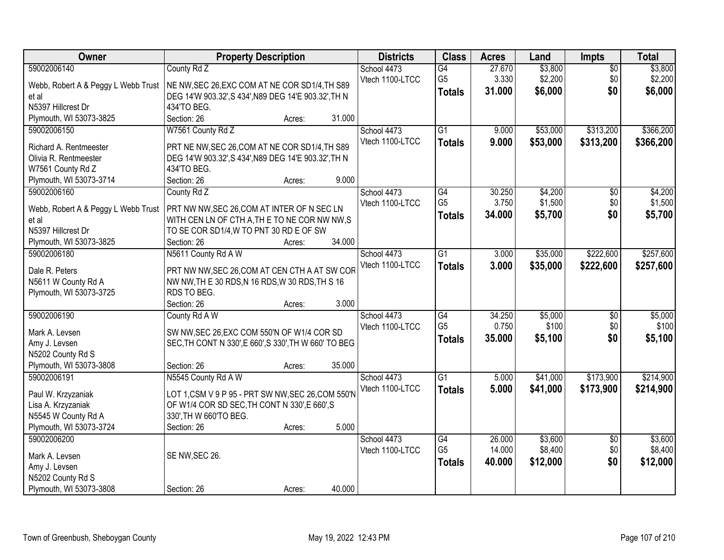| Owner                               | <b>Property Description</b>                           | <b>Districts</b> | <b>Class</b>    | <b>Acres</b> | Land     | <b>Impts</b>    | <b>Total</b> |
|-------------------------------------|-------------------------------------------------------|------------------|-----------------|--------------|----------|-----------------|--------------|
| 59002006140                         | County Rd Z                                           | School 4473      | $\overline{G4}$ | 27.670       | \$3,800  | $\overline{50}$ | \$3,800      |
| Webb, Robert A & Peggy L Webb Trust | NE NW, SEC 26, EXC COM AT NE COR SD1/4, TH S89        | Vtech 1100-LTCC  | G <sub>5</sub>  | 3.330        | \$2,200  | \$0             | \$2,200      |
| et al                               | DEG 14'W 903.32', S 434', N89 DEG 14'E 903.32', TH N  |                  | <b>Totals</b>   | 31.000       | \$6,000  | \$0             | \$6,000      |
| N5397 Hillcrest Dr                  | 434'TO BEG.                                           |                  |                 |              |          |                 |              |
| Plymouth, WI 53073-3825             | Section: 26<br>31.000<br>Acres:                       |                  |                 |              |          |                 |              |
| 59002006150                         | W7561 County Rd Z                                     | School 4473      | $\overline{G1}$ | 9.000        | \$53,000 | \$313,200       | \$366,200    |
|                                     |                                                       | Vtech 1100-LTCC  | <b>Totals</b>   | 9.000        | \$53,000 | \$313,200       | \$366,200    |
| Richard A. Rentmeester              | PRT NE NW, SEC 26, COM AT NE COR SD1/4, TH S89        |                  |                 |              |          |                 |              |
| Olivia R. Rentmeester               | DEG 14'W 903.32', S 434', N89 DEG 14'E 903.32', TH N  |                  |                 |              |          |                 |              |
| W7561 County Rd Z                   | 434'TO BEG.                                           |                  |                 |              |          |                 |              |
| Plymouth, WI 53073-3714             | 9.000<br>Section: 26<br>Acres:                        |                  |                 |              |          |                 |              |
| 59002006160                         | County Rd Z                                           | School 4473      | G4              | 30.250       | \$4,200  | \$0             | \$4,200      |
| Webb, Robert A & Peggy L Webb Trust | PRT NW NW, SEC 26, COM AT INTER OF N SEC LN           | Vtech 1100-LTCC  | G <sub>5</sub>  | 3.750        | \$1,500  | \$0             | \$1,500      |
| et al                               | WITH CEN LN OF CTH A, THE TO NE COR NW NW, S          |                  | <b>Totals</b>   | 34.000       | \$5,700  | \$0             | \$5,700      |
| N5397 Hillcrest Dr                  | TO SE COR SD1/4, W TO PNT 30 RD E OF SW               |                  |                 |              |          |                 |              |
| Plymouth, WI 53073-3825             | 34.000<br>Section: 26<br>Acres:                       |                  |                 |              |          |                 |              |
| 59002006180                         | N5611 County Rd A W                                   | School 4473      | $\overline{G1}$ | 3.000        | \$35,000 | \$222,600       | \$257,600    |
|                                     |                                                       | Vtech 1100-LTCC  |                 | 3.000        |          |                 |              |
| Dale R. Peters                      | PRT NW NW, SEC 26, COM AT CEN CTH A AT SW COR         |                  | <b>Totals</b>   |              | \$35,000 | \$222,600       | \$257,600    |
| N5611 W County Rd A                 | NW NW, TH E 30 RDS, N 16 RDS, W 30 RDS, TH S 16       |                  |                 |              |          |                 |              |
| Plymouth, WI 53073-3725             | RDS TO BEG.                                           |                  |                 |              |          |                 |              |
|                                     | 3.000<br>Section: 26<br>Acres:                        |                  |                 |              |          |                 |              |
| 59002006190                         | County Rd A W                                         | School 4473      | $\overline{G4}$ | 34.250       | \$5,000  | $\overline{50}$ | \$5,000      |
| Mark A. Levsen                      | SW NW, SEC 26, EXC COM 550'N OF W1/4 COR SD           | Vtech 1100-LTCC  | G <sub>5</sub>  | 0.750        | \$100    | \$0             | \$100        |
| Amy J. Levsen                       | SEC, TH CONT N 330', E 660', S 330', TH W 660' TO BEG |                  | <b>Totals</b>   | 35.000       | \$5,100  | \$0             | \$5,100      |
| N5202 County Rd S                   |                                                       |                  |                 |              |          |                 |              |
| Plymouth, WI 53073-3808             | 35.000<br>Section: 26                                 |                  |                 |              |          |                 |              |
| 59002006191                         | Acres:                                                |                  |                 |              |          |                 |              |
|                                     | N5545 County Rd A W                                   | School 4473      | $\overline{G1}$ | 5.000        | \$41,000 | \$173,900       | \$214,900    |
| Paul W. Krzyzaniak                  | LOT 1,CSM V 9 P 95 - PRT SW NW, SEC 26, COM 550'N     | Vtech 1100-LTCC  | <b>Totals</b>   | 5.000        | \$41,000 | \$173,900       | \$214,900    |
| Lisa A. Krzyzaniak                  | OF W1/4 COR SD SEC, TH CONT N 330', E 660', S         |                  |                 |              |          |                 |              |
| N5545 W County Rd A                 | 330', TH W 660'TO BEG.                                |                  |                 |              |          |                 |              |
| Plymouth, WI 53073-3724             | 5.000<br>Section: 26<br>Acres:                        |                  |                 |              |          |                 |              |
| 59002006200                         |                                                       | School 4473      | $\overline{G4}$ | 26,000       | \$3,600  | $\overline{50}$ | \$3,600      |
|                                     |                                                       | Vtech 1100-LTCC  | G <sub>5</sub>  | 14.000       | \$8,400  | \$0             | \$8,400      |
| Mark A. Levsen                      | SE NW, SEC 26.                                        |                  | <b>Totals</b>   | 40.000       | \$12,000 | \$0             | \$12,000     |
| Amy J. Levsen                       |                                                       |                  |                 |              |          |                 |              |
| N5202 County Rd S                   |                                                       |                  |                 |              |          |                 |              |
| Plymouth, WI 53073-3808             | 40.000<br>Section: 26<br>Acres:                       |                  |                 |              |          |                 |              |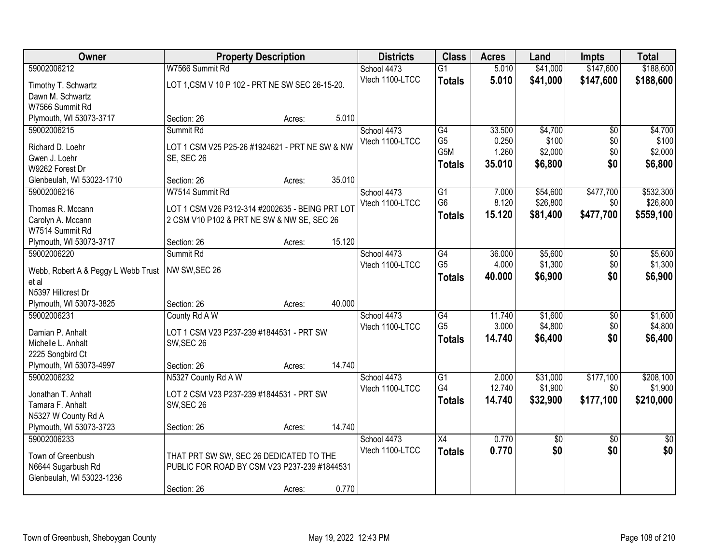| Owner                                        |                                                 | <b>Property Description</b> |        | <b>Districts</b>               | <b>Class</b>    | <b>Acres</b>   | Land                   | <b>Impts</b>           | <b>Total</b>           |
|----------------------------------------------|-------------------------------------------------|-----------------------------|--------|--------------------------------|-----------------|----------------|------------------------|------------------------|------------------------|
| 59002006212                                  | W7566 Summit Rd                                 |                             |        | School 4473                    | $\overline{G1}$ | 5.010          | \$41,000               | \$147,600              | \$188,600              |
| Timothy T. Schwartz                          | LOT 1, CSM V 10 P 102 - PRT NE SW SEC 26-15-20. |                             |        | Vtech 1100-LTCC                | <b>Totals</b>   | 5.010          | \$41,000               | \$147,600              | \$188,600              |
| Dawn M. Schwartz                             |                                                 |                             |        |                                |                 |                |                        |                        |                        |
| W7566 Summit Rd                              |                                                 |                             |        |                                |                 |                |                        |                        |                        |
| Plymouth, WI 53073-3717                      | Section: 26                                     | Acres:                      | 5.010  |                                |                 |                |                        |                        |                        |
| 59002006215                                  | Summit Rd                                       |                             |        | School 4473                    | G4              | 33.500         | \$4,700                | $\overline{50}$        | \$4,700                |
| Richard D. Loehr                             | LOT 1 CSM V25 P25-26 #1924621 - PRT NE SW & NW  |                             |        | Vtech 1100-LTCC                | G <sub>5</sub>  | 0.250          | \$100                  | \$0                    | \$100                  |
| Gwen J. Loehr                                | <b>SE, SEC 26</b>                               |                             |        |                                | G5M             | 1.260          | \$2,000                | \$0                    | \$2,000                |
| W9262 Forest Dr                              |                                                 |                             |        |                                | <b>Totals</b>   | 35.010         | \$6,800                | \$0                    | \$6,800                |
| Glenbeulah, WI 53023-1710                    | Section: 26                                     | Acres:                      | 35.010 |                                |                 |                |                        |                        |                        |
| 59002006216                                  | W7514 Summit Rd                                 |                             |        | School 4473                    | $\overline{G1}$ | 7.000          | \$54,600               | \$477,700              | \$532,300              |
|                                              | LOT 1 CSM V26 P312-314 #2002635 - BEING PRT LOT |                             |        | Vtech 1100-LTCC                | G <sub>6</sub>  | 8.120          | \$26,800               | \$0                    | \$26,800               |
| Thomas R. Mccann<br>Carolyn A. Mccann        | 2 CSM V10 P102 & PRT NE SW & NW SE, SEC 26      |                             |        |                                | Totals          | 15.120         | \$81,400               | \$477,700              | \$559,100              |
| W7514 Summit Rd                              |                                                 |                             |        |                                |                 |                |                        |                        |                        |
| Plymouth, WI 53073-3717                      | Section: 26                                     | Acres:                      | 15.120 |                                |                 |                |                        |                        |                        |
| 59002006220                                  | Summit Rd                                       |                             |        | School 4473                    | G4              | 36.000         | \$5,600                | \$0                    | \$5,600                |
|                                              |                                                 |                             |        | Vtech 1100-LTCC                | G <sub>5</sub>  | 4.000          | \$1,300                | \$0                    | \$1,300                |
| Webb, Robert A & Peggy L Webb Trust<br>et al | NW SW, SEC 26                                   |                             |        |                                | <b>Totals</b>   | 40.000         | \$6,900                | \$0                    | \$6,900                |
| N5397 Hillcrest Dr                           |                                                 |                             |        |                                |                 |                |                        |                        |                        |
| Plymouth, WI 53073-3825                      | Section: 26                                     | Acres:                      | 40.000 |                                |                 |                |                        |                        |                        |
| 59002006231                                  | County Rd A W                                   |                             |        | School 4473                    | G4              | 11.740         | \$1,600                | $\overline{50}$        | \$1,600                |
|                                              |                                                 |                             |        | Vtech 1100-LTCC                | G <sub>5</sub>  | 3.000          | \$4,800                | \$0                    | \$4,800                |
| Damian P. Anhalt                             | LOT 1 CSM V23 P237-239 #1844531 - PRT SW        |                             |        |                                | <b>Totals</b>   | 14.740         | \$6,400                | \$0                    | \$6,400                |
| Michelle L. Anhalt                           | SW, SEC 26                                      |                             |        |                                |                 |                |                        |                        |                        |
| 2225 Songbird Ct<br>Plymouth, WI 53073-4997  | Section: 26                                     | Acres:                      | 14.740 |                                |                 |                |                        |                        |                        |
| 59002006232                                  | N5327 County Rd A W                             |                             |        | School 4473                    | $\overline{G1}$ | 2.000          | \$31,000               | \$177,100              | \$208,100              |
|                                              |                                                 |                             |        | Vtech 1100-LTCC                | G4              | 12.740         | \$1,900                | \$0                    | \$1,900                |
| Jonathan T. Anhalt                           | LOT 2 CSM V23 P237-239 #1844531 - PRT SW        |                             |        |                                | <b>Totals</b>   | 14.740         | \$32,900               | \$177,100              | \$210,000              |
| Tamara F. Anhalt                             | SW, SEC 26                                      |                             |        |                                |                 |                |                        |                        |                        |
| N5327 W County Rd A                          |                                                 |                             |        |                                |                 |                |                        |                        |                        |
| Plymouth, WI 53073-3723                      | Section: 26                                     | Acres:                      | 14.740 |                                |                 |                |                        |                        |                        |
| 59002006233                                  |                                                 |                             |        | School 4473<br>Vtech 1100-LTCC | X4              | 0.770<br>0.770 | $\overline{50}$<br>\$0 | $\overline{50}$<br>\$0 | $\overline{50}$<br>\$0 |
| Town of Greenbush                            | THAT PRT SW SW, SEC 26 DEDICATED TO THE         |                             |        |                                | <b>Totals</b>   |                |                        |                        |                        |
| N6644 Sugarbush Rd                           | PUBLIC FOR ROAD BY CSM V23 P237-239 #1844531    |                             |        |                                |                 |                |                        |                        |                        |
| Glenbeulah, WI 53023-1236                    |                                                 |                             |        |                                |                 |                |                        |                        |                        |
|                                              | Section: 26                                     | Acres:                      | 0.770  |                                |                 |                |                        |                        |                        |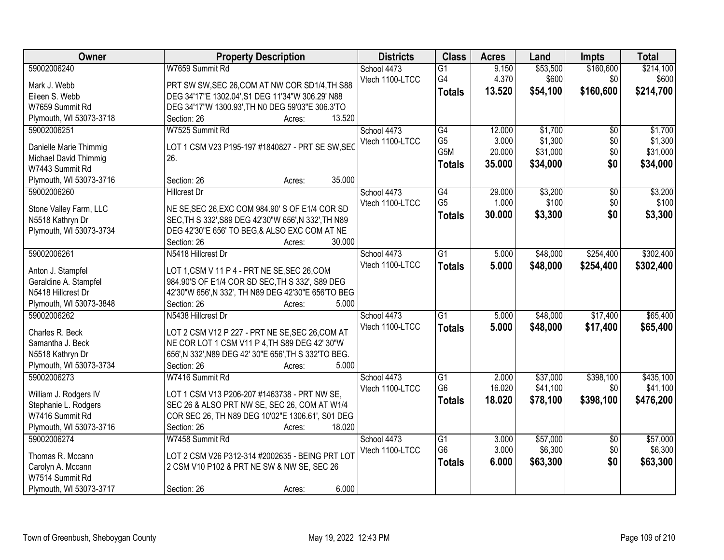| Owner                                       | <b>Property Description</b>                                                                             | <b>Districts</b> | <b>Class</b>     | <b>Acres</b> | Land     | <b>Impts</b>    | <b>Total</b> |
|---------------------------------------------|---------------------------------------------------------------------------------------------------------|------------------|------------------|--------------|----------|-----------------|--------------|
| 59002006240                                 | W7659 Summit Rd                                                                                         | School 4473      | $\overline{G1}$  | 9.150        | \$53,500 | \$160,600       | \$214,100    |
| Mark J. Webb                                | PRT SW SW, SEC 26, COM AT NW COR SD1/4, TH S88                                                          | Vtech 1100-LTCC  | G4               | 4.370        | \$600    | \$0             | \$600        |
| Eileen S. Webb                              | DEG 34'17"E 1302.04', S1 DEG 11'34"W 306.29' N88                                                        |                  | <b>Totals</b>    | 13.520       | \$54,100 | \$160,600       | \$214,700    |
| W7659 Summit Rd                             | DEG 34'17"W 1300.93', TH N0 DEG 59'03"E 306.3'TO                                                        |                  |                  |              |          |                 |              |
| Plymouth, WI 53073-3718                     | 13.520<br>Section: 26<br>Acres:                                                                         |                  |                  |              |          |                 |              |
| 59002006251                                 | W7525 Summit Rd                                                                                         | School 4473      | G4               | 12.000       | \$1,700  | $\overline{50}$ | \$1,700      |
|                                             |                                                                                                         | Vtech 1100-LTCC  | G <sub>5</sub>   | 3.000        | \$1,300  | \$0             | \$1,300      |
| Danielle Marie Thimmig                      | LOT 1 CSM V23 P195-197 #1840827 - PRT SE SW, SEC                                                        |                  | G <sub>5</sub> M | 20.000       | \$31,000 | \$0             | \$31,000     |
| Michael David Thimmig                       | 26.                                                                                                     |                  | <b>Totals</b>    | 35.000       | \$34,000 | \$0             | \$34,000     |
| W7443 Summit Rd                             |                                                                                                         |                  |                  |              |          |                 |              |
| Plymouth, WI 53073-3716                     | 35.000<br>Section: 26<br>Acres:                                                                         |                  |                  |              |          |                 |              |
| 59002006260                                 | <b>Hillcrest Dr</b>                                                                                     | School 4473      | G4               | 29.000       | \$3,200  | \$0             | \$3,200      |
| Stone Valley Farm, LLC                      | NE SE, SEC 26, EXC COM 984.90' S OF E1/4 COR SD                                                         | Vtech 1100-LTCC  | G <sub>5</sub>   | 1.000        | \$100    | \$0             | \$100        |
| N5518 Kathryn Dr                            | SEC, TH S 332', S89 DEG 42'30"W 656', N 332', TH N89                                                    |                  | <b>Totals</b>    | 30.000       | \$3,300  | \$0             | \$3,300      |
| Plymouth, WI 53073-3734                     | DEG 42'30"E 656' TO BEG,& ALSO EXC COM AT NE                                                            |                  |                  |              |          |                 |              |
|                                             | 30.000<br>Section: 26<br>Acres:                                                                         |                  |                  |              |          |                 |              |
| 59002006261                                 | N5418 Hillcrest Dr                                                                                      | School 4473      | $\overline{G1}$  | 5.000        | \$48,000 | \$254,400       | \$302,400    |
|                                             |                                                                                                         | Vtech 1100-LTCC  | <b>Totals</b>    | 5.000        | \$48,000 | \$254,400       | \$302,400    |
| Anton J. Stampfel                           | LOT 1, CSM V 11 P 4 - PRT NE SE, SEC 26, COM                                                            |                  |                  |              |          |                 |              |
| Geraldine A. Stampfel<br>N5418 Hillcrest Dr | 984.90'S OF E1/4 COR SD SEC, TH S 332', S89 DEG<br>42'30"W 656', N 332', TH N89 DEG 42'30"E 656'TO BEG. |                  |                  |              |          |                 |              |
| Plymouth, WI 53073-3848                     | Section: 26<br>5.000<br>Acres:                                                                          |                  |                  |              |          |                 |              |
| 59002006262                                 | N5438 Hillcrest Dr                                                                                      | School 4473      | $\overline{G1}$  | 5.000        | \$48,000 | \$17,400        | \$65,400     |
|                                             |                                                                                                         | Vtech 1100-LTCC  |                  |              |          |                 |              |
| Charles R. Beck                             | LOT 2 CSM V12 P 227 - PRT NE SE, SEC 26, COM AT                                                         |                  | <b>Totals</b>    | 5.000        | \$48,000 | \$17,400        | \$65,400     |
| Samantha J. Beck                            | NE COR LOT 1 CSM V11 P 4, TH S89 DEG 42' 30"W                                                           |                  |                  |              |          |                 |              |
| N5518 Kathryn Dr                            | 656', N 332', N89 DEG 42' 30"E 656', TH S 332'TO BEG.                                                   |                  |                  |              |          |                 |              |
| Plymouth, WI 53073-3734                     | 5.000<br>Section: 26<br>Acres:                                                                          |                  |                  |              |          |                 |              |
| 59002006273                                 | W7416 Summit Rd                                                                                         | School 4473      | $\overline{G1}$  | 2.000        | \$37,000 | \$398,100       | \$435,100    |
| William J. Rodgers IV                       | LOT 1 CSM V13 P206-207 #1463738 - PRT NW SE,                                                            | Vtech 1100-LTCC  | G <sub>6</sub>   | 16.020       | \$41,100 | \$0             | \$41,100     |
| Stephanie L. Rodgers                        | SEC 26 & ALSO PRT NW SE, SEC 26, COM AT W1/4                                                            |                  | <b>Totals</b>    | 18.020       | \$78,100 | \$398,100       | \$476,200    |
| W7416 Summit Rd                             | COR SEC 26, TH N89 DEG 10'02"E 1306.61', S01 DEG                                                        |                  |                  |              |          |                 |              |
| Plymouth, WI 53073-3716                     | 18.020<br>Section: 26<br>Acres:                                                                         |                  |                  |              |          |                 |              |
| 59002006274                                 | W7458 Summit Rd                                                                                         | School 4473      | $\overline{G1}$  | 3.000        | \$57,000 | $\overline{50}$ | \$57,000     |
|                                             |                                                                                                         | Vtech 1100-LTCC  | G <sub>6</sub>   | 3.000        | \$6,300  | \$0             | \$6,300      |
| Thomas R. Mccann                            | LOT 2 CSM V26 P312-314 #2002635 - BEING PRT LOT                                                         |                  | <b>Totals</b>    | 6.000        | \$63,300 | \$0             | \$63,300     |
| Carolyn A. Mccann                           | 2 CSM V10 P102 & PRT NE SW & NW SE, SEC 26                                                              |                  |                  |              |          |                 |              |
| W7514 Summit Rd                             |                                                                                                         |                  |                  |              |          |                 |              |
| Plymouth, WI 53073-3717                     | 6.000<br>Section: 26<br>Acres:                                                                          |                  |                  |              |          |                 |              |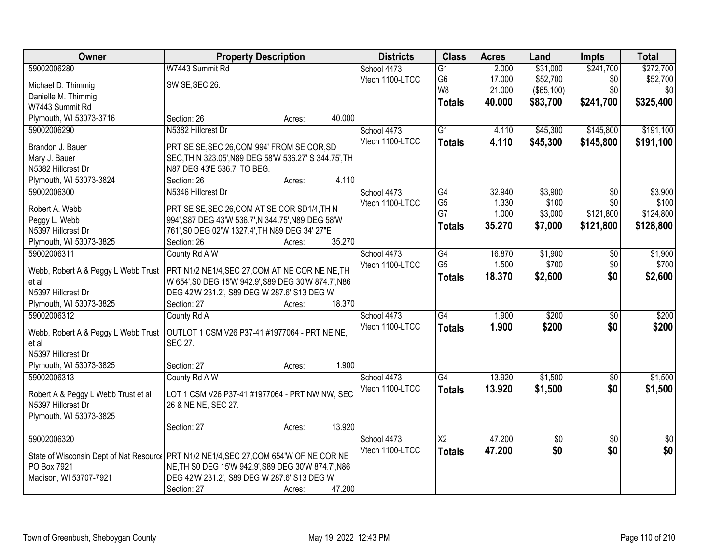| Owner                                                                                   | <b>Property Description</b>                           |        |        | <b>Districts</b> | <b>Class</b>           | <b>Acres</b> | Land       | Impts           | <b>Total</b>    |
|-----------------------------------------------------------------------------------------|-------------------------------------------------------|--------|--------|------------------|------------------------|--------------|------------|-----------------|-----------------|
| 59002006280                                                                             | W7443 Summit Rd                                       |        |        | School 4473      | $\overline{G1}$        | 2.000        | \$31,000   | \$241,700       | \$272,700       |
| Michael D. Thimmig                                                                      | SW SE, SEC 26.                                        |        |        | Vtech 1100-LTCC  | G <sub>6</sub>         | 17.000       | \$52,700   | \$0             | \$52,700        |
| Danielle M. Thimmig                                                                     |                                                       |        |        |                  | W <sub>8</sub>         | 21.000       | (\$65,100) | \$0             | \$0             |
| W7443 Summit Rd                                                                         |                                                       |        |        |                  | <b>Totals</b>          | 40.000       | \$83,700   | \$241,700       | \$325,400       |
| Plymouth, WI 53073-3716                                                                 | Section: 26                                           | Acres: | 40.000 |                  |                        |              |            |                 |                 |
| 59002006290                                                                             | N5382 Hillcrest Dr                                    |        |        | School 4473      | $\overline{G1}$        | 4.110        | \$45,300   | \$145,800       | \$191,100       |
|                                                                                         |                                                       |        |        | Vtech 1100-LTCC  | <b>Totals</b>          | 4.110        | \$45,300   | \$145,800       | \$191,100       |
| Brandon J. Bauer                                                                        | PRT SE SE, SEC 26, COM 994' FROM SE COR, SD           |        |        |                  |                        |              |            |                 |                 |
| Mary J. Bauer                                                                           | SEC, TH N 323.05', N89 DEG 58'W 536.27' S 344.75', TH |        |        |                  |                        |              |            |                 |                 |
| N5382 Hillcrest Dr                                                                      | N87 DEG 43'E 536.7' TO BEG.                           |        |        |                  |                        |              |            |                 |                 |
| Plymouth, WI 53073-3824                                                                 | Section: 26                                           | Acres: | 4.110  |                  |                        |              |            |                 |                 |
| 59002006300                                                                             | N5346 Hillcrest Dr                                    |        |        | School 4473      | $\overline{G4}$        | 32.940       | \$3,900    | $\overline{50}$ | \$3,900         |
| Robert A. Webb                                                                          | PRT SE SE, SEC 26, COM AT SE COR SD1/4, TH N          |        |        | Vtech 1100-LTCC  | G <sub>5</sub>         | 1.330        | \$100      | \$0             | \$100           |
| Peggy L. Webb                                                                           | 994', S87 DEG 43'W 536.7', N 344.75', N89 DEG 58'W    |        |        |                  | G7                     | 1.000        | \$3,000    | \$121,800       | \$124,800       |
| N5397 Hillcrest Dr                                                                      | 761', S0 DEG 02'W 1327.4', TH N89 DEG 34' 27"E        |        |        |                  | <b>Totals</b>          | 35.270       | \$7,000    | \$121,800       | \$128,800       |
| Plymouth, WI 53073-3825                                                                 | Section: 26                                           | Acres: | 35.270 |                  |                        |              |            |                 |                 |
| 59002006311                                                                             | County Rd A W                                         |        |        | School 4473      | G4                     | 16.870       | \$1,900    | \$0             | \$1,900         |
|                                                                                         |                                                       |        |        | Vtech 1100-LTCC  | G <sub>5</sub>         | 1.500        | \$700      | \$0             | \$700           |
| Webb, Robert A & Peggy L Webb Trust                                                     | PRT N1/2 NE1/4, SEC 27, COM AT NE COR NE NE, TH       |        |        |                  | <b>Totals</b>          | 18.370       | \$2,600    | \$0             | \$2,600         |
| et al                                                                                   | W 654', S0 DEG 15'W 942.9', S89 DEG 30'W 874.7', N86  |        |        |                  |                        |              |            |                 |                 |
| N5397 Hillcrest Dr                                                                      | DEG 42'W 231.2', S89 DEG W 287.6', S13 DEG W          |        |        |                  |                        |              |            |                 |                 |
| Plymouth, WI 53073-3825                                                                 | Section: 27                                           | Acres: | 18.370 |                  |                        |              |            |                 |                 |
| 59002006312                                                                             | County Rd A                                           |        |        | School 4473      | G4                     | 1.900        | \$200      | $\overline{50}$ | \$200           |
| Webb, Robert A & Peggy L Webb Trust                                                     | OUTLOT 1 CSM V26 P37-41 #1977064 - PRT NE NE,         |        |        | Vtech 1100-LTCC  | <b>Totals</b>          | 1.900        | \$200      | \$0             | \$200           |
| et al                                                                                   | SEC 27.                                               |        |        |                  |                        |              |            |                 |                 |
| N5397 Hillcrest Dr                                                                      |                                                       |        |        |                  |                        |              |            |                 |                 |
| Plymouth, WI 53073-3825                                                                 | Section: 27                                           | Acres: | 1.900  |                  |                        |              |            |                 |                 |
| 59002006313                                                                             | County Rd A W                                         |        |        | School 4473      | G4                     | 13.920       | \$1,500    | $\sqrt{6}$      | \$1,500         |
|                                                                                         |                                                       |        |        | Vtech 1100-LTCC  | <b>Totals</b>          | 13.920       | \$1,500    | \$0             | \$1,500         |
| Robert A & Peggy L Webb Trust et al<br>N5397 Hillcrest Dr                               | LOT 1 CSM V26 P37-41 #1977064 - PRT NW NW, SEC        |        |        |                  |                        |              |            |                 |                 |
|                                                                                         | 26 & NE NE, SEC 27.                                   |        |        |                  |                        |              |            |                 |                 |
| Plymouth, WI 53073-3825                                                                 | Section: 27                                           |        | 13.920 |                  |                        |              |            |                 |                 |
| 59002006320                                                                             |                                                       | Acres: |        | School 4473      |                        | 47.200       |            |                 |                 |
|                                                                                         |                                                       |        |        |                  | $\overline{\text{X2}}$ |              | \$0        | $\overline{50}$ | $\overline{50}$ |
| State of Wisconsin Dept of Nat Resourc   PRT N1/2 NE1/4, SEC 27, COM 654'W OF NE COR NE |                                                       |        |        | Vtech 1100-LTCC  | <b>Totals</b>          | 47.200       | \$0        | \$0             | \$0             |
| PO Box 7921                                                                             | NE, TH S0 DEG 15'W 942.9', S89 DEG 30'W 874.7', N86   |        |        |                  |                        |              |            |                 |                 |
| Madison, WI 53707-7921                                                                  | DEG 42'W 231.2', S89 DEG W 287.6', S13 DEG W          |        |        |                  |                        |              |            |                 |                 |
|                                                                                         | Section: 27                                           | Acres: | 47.200 |                  |                        |              |            |                 |                 |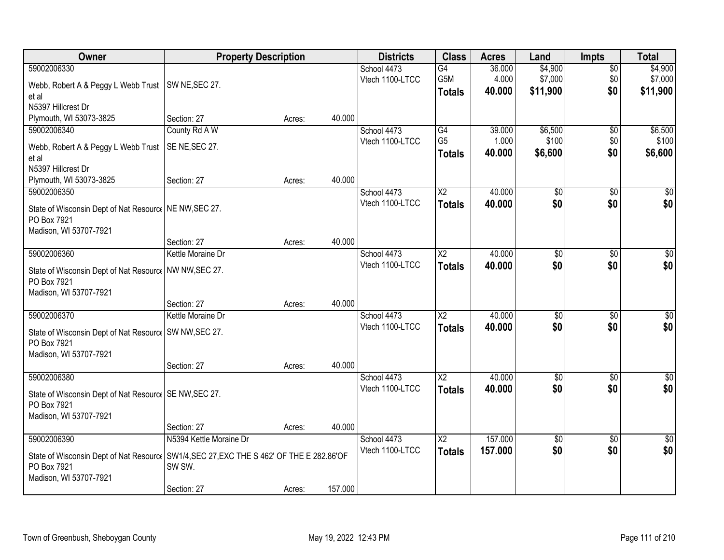| Owner                                                                                     | <b>Property Description</b> |        |         | <b>Districts</b> | <b>Class</b>           | <b>Acres</b> | Land            | <b>Impts</b>    | <b>Total</b>     |
|-------------------------------------------------------------------------------------------|-----------------------------|--------|---------|------------------|------------------------|--------------|-----------------|-----------------|------------------|
| 59002006330                                                                               |                             |        |         | School 4473      | G4                     | 36.000       | \$4,900         | $\overline{50}$ | \$4,900          |
| Webb, Robert A & Peggy L Webb Trust                                                       | SW NE, SEC 27.              |        |         | Vtech 1100-LTCC  | G5M                    | 4.000        | \$7,000         | \$0             | \$7,000          |
| et al                                                                                     |                             |        |         |                  | <b>Totals</b>          | 40.000       | \$11,900        | \$0             | \$11,900         |
| N5397 Hillcrest Dr                                                                        |                             |        |         |                  |                        |              |                 |                 |                  |
| Plymouth, WI 53073-3825                                                                   | Section: 27                 | Acres: | 40.000  |                  |                        |              |                 |                 |                  |
| 59002006340                                                                               | County Rd A W               |        |         | School 4473      | G4                     | 39.000       | \$6,500         | $\overline{50}$ | \$6,500          |
| Webb, Robert A & Peggy L Webb Trust                                                       | SE NE, SEC 27.              |        |         | Vtech 1100-LTCC  | G <sub>5</sub>         | 1.000        | \$100           | \$0             | \$100            |
| et al                                                                                     |                             |        |         |                  | <b>Totals</b>          | 40.000       | \$6,600         | \$0             | \$6,600          |
| N5397 Hillcrest Dr                                                                        |                             |        |         |                  |                        |              |                 |                 |                  |
| Plymouth, WI 53073-3825                                                                   | Section: 27                 | Acres: | 40.000  |                  |                        |              |                 |                 |                  |
| 59002006350                                                                               |                             |        |         | School 4473      | X <sub>2</sub>         | 40.000       | \$0             | \$0             | \$0              |
| State of Wisconsin Dept of Nat Resourc   NE NW, SEC 27.                                   |                             |        |         | Vtech 1100-LTCC  | <b>Totals</b>          | 40.000       | \$0             | \$0             | \$0              |
| PO Box 7921                                                                               |                             |        |         |                  |                        |              |                 |                 |                  |
| Madison, WI 53707-7921                                                                    |                             |        |         |                  |                        |              |                 |                 |                  |
|                                                                                           | Section: 27                 | Acres: | 40.000  |                  |                        |              |                 |                 |                  |
| 59002006360                                                                               | Kettle Moraine Dr           |        |         | School 4473      | X <sub>2</sub>         | 40.000       | \$0             | $\sqrt{6}$      | \$0              |
| State of Wisconsin Dept of Nat Resourc   NW NW, SEC 27.                                   |                             |        |         | Vtech 1100-LTCC  | <b>Totals</b>          | 40.000       | \$0             | \$0             | \$0              |
| PO Box 7921                                                                               |                             |        |         |                  |                        |              |                 |                 |                  |
| Madison, WI 53707-7921                                                                    |                             |        |         |                  |                        |              |                 |                 |                  |
|                                                                                           | Section: 27                 | Acres: | 40.000  |                  |                        |              |                 |                 |                  |
| 59002006370                                                                               | Kettle Moraine Dr           |        |         | School 4473      | $\overline{\text{X2}}$ | 40.000       | $\overline{50}$ | $\overline{50}$ | $\overline{50}$  |
| State of Wisconsin Dept of Nat Resourc   SW NW, SEC 27.                                   |                             |        |         | Vtech 1100-LTCC  | <b>Totals</b>          | 40.000       | \$0             | \$0             | \$0              |
| PO Box 7921                                                                               |                             |        |         |                  |                        |              |                 |                 |                  |
| Madison, WI 53707-7921                                                                    |                             |        |         |                  |                        |              |                 |                 |                  |
|                                                                                           | Section: 27                 | Acres: | 40.000  |                  |                        |              |                 |                 |                  |
| 59002006380                                                                               |                             |        |         | School 4473      | $\overline{\text{X2}}$ | 40.000       | $\overline{50}$ | $\overline{50}$ | $\overline{\$0}$ |
| State of Wisconsin Dept of Nat Resourc   SE NW, SEC 27.                                   |                             |        |         | Vtech 1100-LTCC  | <b>Totals</b>          | 40.000       | \$0             | \$0             | \$0              |
| PO Box 7921                                                                               |                             |        |         |                  |                        |              |                 |                 |                  |
| Madison, WI 53707-7921                                                                    |                             |        |         |                  |                        |              |                 |                 |                  |
|                                                                                           | Section: 27                 | Acres: | 40.000  |                  |                        |              |                 |                 |                  |
| 59002006390                                                                               | N5394 Kettle Moraine Dr     |        |         | School 4473      | $\overline{X2}$        | 157,000      | $\overline{50}$ | $\overline{50}$ | $\overline{30}$  |
| State of Wisconsin Dept of Nat Resourc   SW1/4, SEC 27, EXC THE S 462' OF THE E 282.86'OF |                             |        |         | Vtech 1100-LTCC  | <b>Totals</b>          | 157.000      | \$0             | \$0             | \$0              |
| PO Box 7921                                                                               | SW SW.                      |        |         |                  |                        |              |                 |                 |                  |
| Madison, WI 53707-7921                                                                    |                             |        |         |                  |                        |              |                 |                 |                  |
|                                                                                           | Section: 27                 | Acres: | 157.000 |                  |                        |              |                 |                 |                  |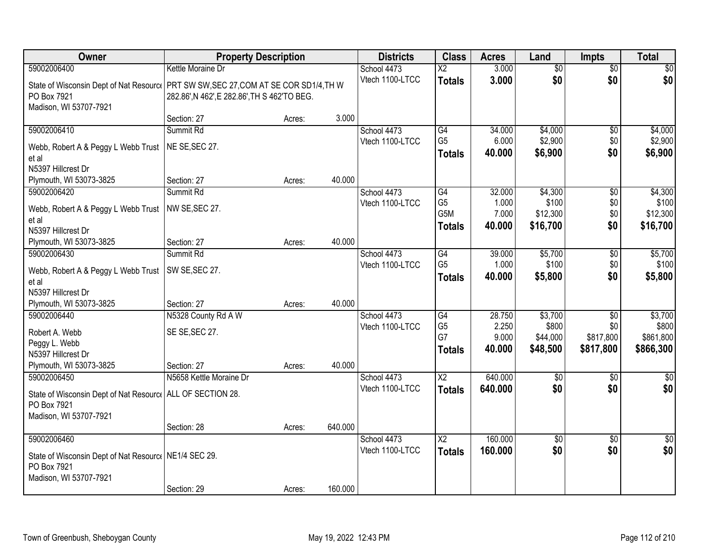| Owner                                                                                 | <b>Property Description</b>                  |        |         | <b>Districts</b> | <b>Class</b>           | <b>Acres</b> | Land            | <b>Impts</b>    | <b>Total</b>    |
|---------------------------------------------------------------------------------------|----------------------------------------------|--------|---------|------------------|------------------------|--------------|-----------------|-----------------|-----------------|
| 59002006400                                                                           | Kettle Moraine Dr                            |        |         | School 4473      | $\overline{\text{X2}}$ | 3.000        | $\overline{60}$ | $\overline{50}$ | \$0             |
| State of Wisconsin Dept of Nat Resourc   PRT SW SW, SEC 27, COM AT SE COR SD1/4, TH W |                                              |        |         | Vtech 1100-LTCC  | <b>Totals</b>          | 3.000        | \$0             | \$0             | \$0             |
| PO Box 7921                                                                           | 282.86', N 462', E 282.86', TH S 462'TO BEG. |        |         |                  |                        |              |                 |                 |                 |
| Madison, WI 53707-7921                                                                |                                              |        |         |                  |                        |              |                 |                 |                 |
|                                                                                       | Section: 27                                  | Acres: | 3.000   |                  |                        |              |                 |                 |                 |
| 59002006410                                                                           | Summit Rd                                    |        |         | School 4473      | $\overline{G4}$        | 34.000       | \$4,000         | \$0             | \$4,000         |
| Webb, Robert A & Peggy L Webb Trust                                                   | NE SE, SEC 27.                               |        |         | Vtech 1100-LTCC  | G <sub>5</sub>         | 6.000        | \$2,900         | \$0             | \$2,900         |
| et al                                                                                 |                                              |        |         |                  | <b>Totals</b>          | 40.000       | \$6,900         | \$0             | \$6,900         |
| N5397 Hillcrest Dr                                                                    |                                              |        |         |                  |                        |              |                 |                 |                 |
| Plymouth, WI 53073-3825                                                               | Section: 27                                  | Acres: | 40.000  |                  |                        |              |                 |                 |                 |
| 59002006420                                                                           | Summit Rd                                    |        |         | School 4473      | G4                     | 32.000       | \$4,300         | $\overline{50}$ | \$4,300         |
| Webb, Robert A & Peggy L Webb Trust                                                   | NW SE, SEC 27.                               |        |         | Vtech 1100-LTCC  | G <sub>5</sub>         | 1.000        | \$100           | \$0             | \$100           |
| et al                                                                                 |                                              |        |         |                  | G5M                    | 7.000        | \$12,300        | \$0             | \$12,300        |
| N5397 Hillcrest Dr                                                                    |                                              |        |         |                  | <b>Totals</b>          | 40.000       | \$16,700        | \$0             | \$16,700        |
| Plymouth, WI 53073-3825                                                               | Section: 27                                  | Acres: | 40.000  |                  |                        |              |                 |                 |                 |
| 59002006430                                                                           | Summit Rd                                    |        |         | School 4473      | G4                     | 39.000       | \$5,700         | \$0             | \$5,700         |
| Webb, Robert A & Peggy L Webb Trust                                                   | SW SE, SEC 27.                               |        |         | Vtech 1100-LTCC  | G <sub>5</sub>         | 1.000        | \$100           | \$0             | \$100           |
| et al                                                                                 |                                              |        |         |                  | <b>Totals</b>          | 40.000       | \$5,800         | \$0             | \$5,800         |
| N5397 Hillcrest Dr                                                                    |                                              |        |         |                  |                        |              |                 |                 |                 |
| Plymouth, WI 53073-3825                                                               | Section: 27                                  | Acres: | 40.000  |                  |                        |              |                 |                 |                 |
| 59002006440                                                                           | N5328 County Rd A W                          |        |         | School 4473      | $\overline{G4}$        | 28.750       | \$3,700         | $\overline{50}$ | \$3,700         |
| Robert A. Webb                                                                        | SE SE, SEC 27.                               |        |         | Vtech 1100-LTCC  | G <sub>5</sub>         | 2.250        | \$800           | \$0             | \$800           |
| Peggy L. Webb                                                                         |                                              |        |         |                  | G7                     | 9.000        | \$44,000        | \$817,800       | \$861,800       |
| N5397 Hillcrest Dr                                                                    |                                              |        |         |                  | <b>Totals</b>          | 40.000       | \$48,500        | \$817,800       | \$866,300       |
| Plymouth, WI 53073-3825                                                               | Section: 27                                  | Acres: | 40.000  |                  |                        |              |                 |                 |                 |
| 59002006450                                                                           | N5658 Kettle Moraine Dr                      |        |         | School 4473      | $\overline{\text{X2}}$ | 640.000      | $\sqrt{50}$     | $\sqrt{6}$      | $\frac{1}{6}$   |
| State of Wisconsin Dept of Nat Resourc   ALL OF SECTION 28.                           |                                              |        |         | Vtech 1100-LTCC  | <b>Totals</b>          | 640.000      | \$0             | \$0             | \$0             |
| PO Box 7921                                                                           |                                              |        |         |                  |                        |              |                 |                 |                 |
| Madison, WI 53707-7921                                                                |                                              |        |         |                  |                        |              |                 |                 |                 |
|                                                                                       | Section: 28                                  | Acres: | 640.000 |                  |                        |              |                 |                 |                 |
| 59002006460                                                                           |                                              |        |         | School 4473      | $\overline{\text{X2}}$ | 160.000      | \$0             | $\overline{30}$ | $\overline{50}$ |
| State of Wisconsin Dept of Nat Resourc   NE1/4 SEC 29.                                |                                              |        |         | Vtech 1100-LTCC  | <b>Totals</b>          | 160.000      | \$0             | \$0             | \$0             |
| PO Box 7921                                                                           |                                              |        |         |                  |                        |              |                 |                 |                 |
| Madison, WI 53707-7921                                                                |                                              |        |         |                  |                        |              |                 |                 |                 |
|                                                                                       | Section: 29                                  | Acres: | 160.000 |                  |                        |              |                 |                 |                 |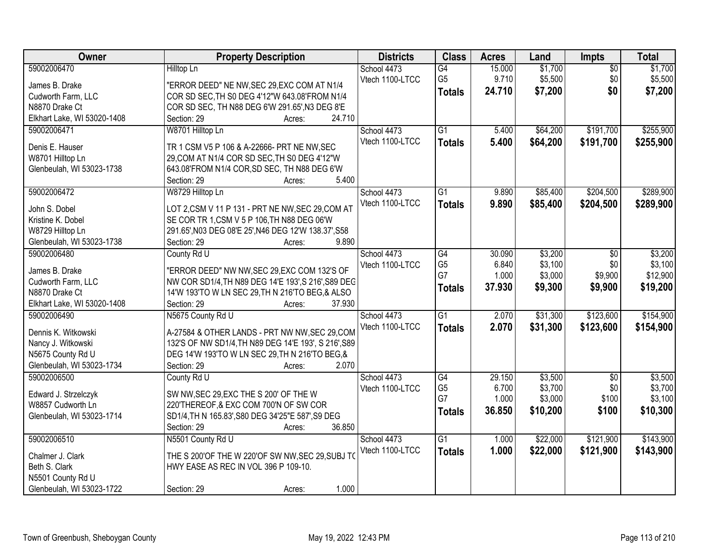| Owner                       | <b>Property Description</b>                          | <b>Districts</b> | <b>Class</b>    | <b>Acres</b> | Land     | Impts           | <b>Total</b> |
|-----------------------------|------------------------------------------------------|------------------|-----------------|--------------|----------|-----------------|--------------|
| 59002006470                 | Hilltop Ln                                           | School 4473      | $\overline{G4}$ | 15.000       | \$1,700  | $\overline{50}$ | \$1,700      |
| James B. Drake              | "ERROR DEED" NE NW, SEC 29, EXC COM AT N1/4          | Vtech 1100-LTCC  | G <sub>5</sub>  | 9.710        | \$5,500  | \$0             | \$5,500      |
| Cudworth Farm, LLC          | COR SD SEC, TH S0 DEG 4'12"W 643.08'FROM N1/4        |                  | <b>Totals</b>   | 24.710       | \$7,200  | \$0             | \$7,200      |
| N8870 Drake Ct              | COR SD SEC, TH N88 DEG 6'W 291.65', N3 DEG 8'E       |                  |                 |              |          |                 |              |
| Elkhart Lake, WI 53020-1408 | 24.710<br>Section: 29<br>Acres:                      |                  |                 |              |          |                 |              |
| 59002006471                 | W8701 Hilltop Ln                                     | School 4473      | $\overline{G1}$ | 5.400        | \$64,200 | \$191,700       | \$255,900    |
|                             |                                                      | Vtech 1100-LTCC  | <b>Totals</b>   | 5.400        | \$64,200 | \$191,700       | \$255,900    |
| Denis E. Hauser             | TR 1 CSM V5 P 106 & A-22666- PRT NE NW, SEC          |                  |                 |              |          |                 |              |
| W8701 Hilltop Ln            | 29, COM AT N1/4 COR SD SEC, TH S0 DEG 4'12"W         |                  |                 |              |          |                 |              |
| Glenbeulah, WI 53023-1738   | 643.08'FROM N1/4 COR, SD SEC, TH N88 DEG 6'W         |                  |                 |              |          |                 |              |
|                             | 5.400<br>Section: 29<br>Acres:                       |                  |                 |              |          |                 |              |
| 59002006472                 | W8729 Hilltop Ln                                     | School 4473      | $\overline{G1}$ | 9.890        | \$85,400 | \$204,500       | \$289,900    |
| John S. Dobel               | LOT 2,CSM V 11 P 131 - PRT NE NW, SEC 29, COM AT     | Vtech 1100-LTCC  | <b>Totals</b>   | 9.890        | \$85,400 | \$204,500       | \$289,900    |
| Kristine K. Dobel           | SE COR TR 1, CSM V 5 P 106, TH N88 DEG 06'W          |                  |                 |              |          |                 |              |
| W8729 Hilltop Ln            | 291.65', N03 DEG 08'E 25', N46 DEG 12'W 138.37', S58 |                  |                 |              |          |                 |              |
| Glenbeulah, WI 53023-1738   | 9.890<br>Section: 29<br>Acres:                       |                  |                 |              |          |                 |              |
| 59002006480                 | County Rd U                                          | School 4473      | $\overline{G4}$ | 30.090       | \$3,200  | \$0             | \$3,200      |
|                             |                                                      | Vtech 1100-LTCC  | G <sub>5</sub>  | 6.840        | \$3,100  | \$0             | \$3,100      |
| James B. Drake              | "ERROR DEED" NW NW, SEC 29, EXC COM 132'S OF         |                  | G7              | 1.000        | \$3,000  | \$9,900         | \$12,900     |
| Cudworth Farm, LLC          | NW COR SD1/4, TH N89 DEG 14'E 193', S 216', S89 DEG  |                  | <b>Totals</b>   | 37.930       | \$9,300  | \$9,900         | \$19,200     |
| N8870 Drake Ct              | 14'W 193'TO W LN SEC 29, TH N 216'TO BEG, & ALSO     |                  |                 |              |          |                 |              |
| Elkhart Lake, WI 53020-1408 | 37.930<br>Section: 29<br>Acres:                      |                  |                 |              |          |                 |              |
| 59002006490                 | N5675 County Rd U                                    | School 4473      | $\overline{G1}$ | 2.070        | \$31,300 | \$123,600       | \$154,900    |
| Dennis K. Witkowski         | A-27584 & OTHER LANDS - PRT NW NW, SEC 29, COM       | Vtech 1100-LTCC  | <b>Totals</b>   | 2.070        | \$31,300 | \$123,600       | \$154,900    |
| Nancy J. Witkowski          | 132'S OF NW SD1/4, TH N89 DEG 14'E 193', S 216', S89 |                  |                 |              |          |                 |              |
| N5675 County Rd U           | DEG 14'W 193'TO W LN SEC 29, TH N 216'TO BEG, &      |                  |                 |              |          |                 |              |
| Glenbeulah, WI 53023-1734   | Section: 29<br>2.070<br>Acres:                       |                  |                 |              |          |                 |              |
| 59002006500                 | County Rd U                                          | School 4473      | G4              | 29.150       | \$3,500  | $\overline{50}$ | \$3,500      |
|                             |                                                      | Vtech 1100-LTCC  | G <sub>5</sub>  | 6.700        | \$3,700  | \$0             | \$3,700      |
| Edward J. Strzelczyk        | SW NW, SEC 29, EXC THE S 200' OF THE W               |                  | G7              | 1.000        | \$3,000  | \$100           | \$3,100      |
| W8857 Cudworth Ln           | 220'THEREOF, & EXC COM 700'N OF SW COR               |                  | <b>Totals</b>   | 36.850       | \$10,200 | \$100           | \$10,300     |
| Glenbeulah, WI 53023-1714   | SD1/4, TH N 165.83', S80 DEG 34'25"E 587', S9 DEG    |                  |                 |              |          |                 |              |
|                             | Section: 29<br>36.850<br>Acres:                      |                  |                 |              |          |                 |              |
| 59002006510                 | N5501 County Rd U                                    | School 4473      | $\overline{G1}$ | 1.000        | \$22,000 | \$121,900       | \$143,900    |
| Chalmer J. Clark            | THE S 200'OF THE W 220'OF SW NW, SEC 29, SUBJ TO     | Vtech 1100-LTCC  | <b>Totals</b>   | 1.000        | \$22,000 | \$121,900       | \$143,900    |
| Beth S. Clark               | HWY EASE AS REC IN VOL 396 P 109-10.                 |                  |                 |              |          |                 |              |
| N5501 County Rd U           |                                                      |                  |                 |              |          |                 |              |
| Glenbeulah, WI 53023-1722   | 1.000<br>Section: 29<br>Acres:                       |                  |                 |              |          |                 |              |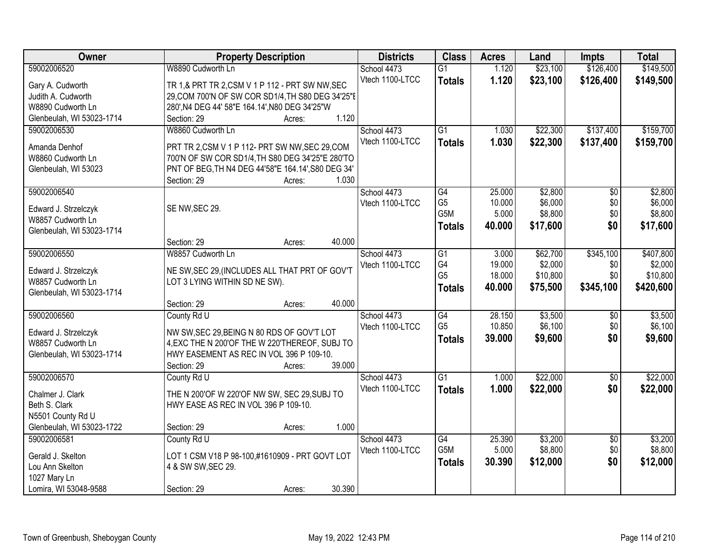| Owner                     | <b>Property Description</b>                        |                  | <b>Districts</b>               | <b>Class</b>         | <b>Acres</b>    | Land               | <b>Impts</b>    | <b>Total</b>       |
|---------------------------|----------------------------------------------------|------------------|--------------------------------|----------------------|-----------------|--------------------|-----------------|--------------------|
| 59002006520               | W8890 Cudworth Ln                                  |                  | School 4473                    | $\overline{G1}$      | 1.120           | \$23,100           | \$126,400       | \$149,500          |
| Gary A. Cudworth          | TR 1,& PRT TR 2, CSM V 1 P 112 - PRT SW NW, SEC    |                  | Vtech 1100-LTCC                | <b>Totals</b>        | 1.120           | \$23,100           | \$126,400       | \$149,500          |
| Judith A. Cudworth        | 29, COM 700'N OF SW COR SD1/4, TH S80 DEG 34'25"E  |                  |                                |                      |                 |                    |                 |                    |
| W8890 Cudworth Ln         | 280', N4 DEG 44' 58"E 164.14', N80 DEG 34'25"W     |                  |                                |                      |                 |                    |                 |                    |
| Glenbeulah, WI 53023-1714 | Section: 29                                        | 1.120<br>Acres:  |                                |                      |                 |                    |                 |                    |
| 59002006530               | W8860 Cudworth Ln                                  |                  | School 4473                    | $\overline{G1}$      | 1.030           | \$22,300           | \$137,400       | \$159,700          |
|                           |                                                    |                  | Vtech 1100-LTCC                | <b>Totals</b>        | 1.030           | \$22,300           | \$137,400       | \$159,700          |
| Amanda Denhof             | PRT TR 2,CSM V 1 P 112- PRT SW NW, SEC 29,COM      |                  |                                |                      |                 |                    |                 |                    |
| W8860 Cudworth Ln         | 700'N OF SW COR SD1/4, TH S80 DEG 34'25"E 280'TO   |                  |                                |                      |                 |                    |                 |                    |
| Glenbeulah, WI 53023      | PNT OF BEG, TH N4 DEG 44'58"E 164.14', S80 DEG 34' | 1.030            |                                |                      |                 |                    |                 |                    |
|                           | Section: 29                                        | Acres:           |                                |                      |                 |                    |                 |                    |
| 59002006540               |                                                    |                  | School 4473                    | G4<br>G <sub>5</sub> | 25.000          | \$2,800<br>\$6,000 | $\overline{50}$ | \$2,800<br>\$6,000 |
| Edward J. Strzelczyk      | SE NW, SEC 29.                                     |                  | Vtech 1100-LTCC                | G5M                  | 10.000<br>5.000 | \$8,800            | \$0<br>\$0      | \$8,800            |
| W8857 Cudworth Ln         |                                                    |                  |                                |                      | 40.000          | \$17,600           | \$0             | \$17,600           |
| Glenbeulah, WI 53023-1714 |                                                    |                  |                                | <b>Totals</b>        |                 |                    |                 |                    |
|                           | Section: 29                                        | 40.000<br>Acres: |                                |                      |                 |                    |                 |                    |
| 59002006550               | W8857 Cudworth Ln                                  |                  | School 4473                    | G1                   | 3.000           | \$62,700           | \$345,100       | \$407,800          |
| Edward J. Strzelczyk      | NE SW, SEC 29, (INCLUDES ALL THAT PRT OF GOV'T     |                  | Vtech 1100-LTCC                | G4                   | 19.000          | \$2,000            | \$0             | \$2,000            |
| W8857 Cudworth Ln         | LOT 3 LYING WITHIN SD NE SW).                      |                  |                                | G <sub>5</sub>       | 18.000          | \$10,800           | \$0             | \$10,800           |
| Glenbeulah, WI 53023-1714 |                                                    |                  |                                | <b>Totals</b>        | 40.000          | \$75,500           | \$345,100       | \$420,600          |
|                           | Section: 29                                        | 40.000<br>Acres: |                                |                      |                 |                    |                 |                    |
| 59002006560               | County Rd U                                        |                  | School 4473                    | $\overline{G4}$      | 28.150          | \$3,500            | $\overline{50}$ | \$3,500            |
|                           |                                                    |                  | Vtech 1100-LTCC                | G <sub>5</sub>       | 10.850          | \$6,100            | \$0             | \$6,100            |
| Edward J. Strzelczyk      | NW SW, SEC 29, BEING N 80 RDS OF GOV'T LOT         |                  |                                | <b>Totals</b>        | 39.000          | \$9,600            | \$0             | \$9,600            |
| W8857 Cudworth Ln         | 4, EXC THE N 200'OF THE W 220'THEREOF, SUBJ TO     |                  |                                |                      |                 |                    |                 |                    |
| Glenbeulah, WI 53023-1714 | HWY EASEMENT AS REC IN VOL 396 P 109-10.           | 39.000           |                                |                      |                 |                    |                 |                    |
|                           | Section: 29                                        | Acres:           |                                | $\overline{G1}$      |                 |                    |                 | \$22,000           |
| 59002006570               | County Rd U                                        |                  | School 4473<br>Vtech 1100-LTCC |                      | 1.000           | \$22,000           | $\sqrt{$0}$     |                    |
| Chalmer J. Clark          | THE N 200'OF W 220'OF NW SW, SEC 29, SUBJ TO       |                  |                                | <b>Totals</b>        | 1.000           | \$22,000           | \$0             | \$22,000           |
| Beth S. Clark             | HWY EASE AS REC IN VOL 396 P 109-10.               |                  |                                |                      |                 |                    |                 |                    |
| N5501 County Rd U         |                                                    |                  |                                |                      |                 |                    |                 |                    |
| Glenbeulah, WI 53023-1722 | Section: 29                                        | 1.000<br>Acres:  |                                |                      |                 |                    |                 |                    |
| 59002006581               | County Rd U                                        |                  | School 4473                    | G4                   | 25.390          | \$3,200            | $\overline{30}$ | \$3,200            |
| Gerald J. Skelton         | LOT 1 CSM V18 P 98-100,#1610909 - PRT GOVT LOT     |                  | Vtech 1100-LTCC                | G5M                  | 5.000           | \$8,800            | \$0             | \$8,800            |
| Lou Ann Skelton           | 4 & SW SW, SEC 29.                                 |                  |                                | <b>Totals</b>        | 30.390          | \$12,000           | \$0             | \$12,000           |
| 1027 Mary Ln              |                                                    |                  |                                |                      |                 |                    |                 |                    |
| Lomira, WI 53048-9588     | Section: 29                                        | 30.390<br>Acres: |                                |                      |                 |                    |                 |                    |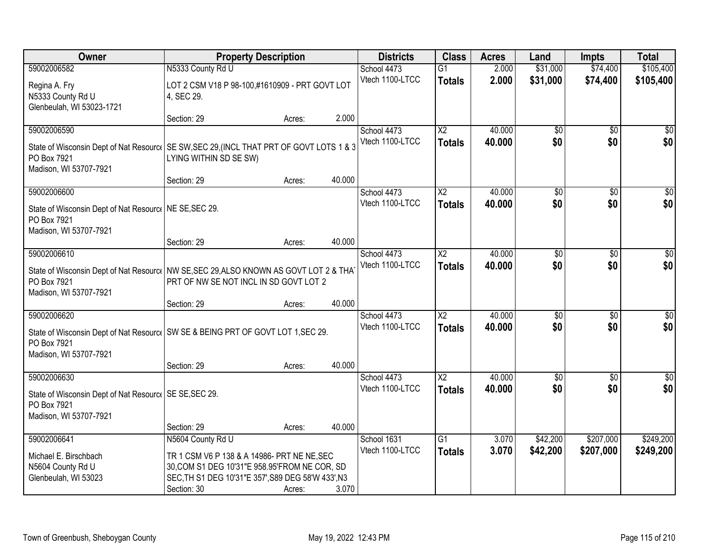| Owner                                                                                     | <b>Property Description</b>                        |        |        | <b>Districts</b> | <b>Class</b>           | <b>Acres</b> | Land            | <b>Impts</b>    | <b>Total</b> |
|-------------------------------------------------------------------------------------------|----------------------------------------------------|--------|--------|------------------|------------------------|--------------|-----------------|-----------------|--------------|
| 59002006582                                                                               | N5333 County Rd U                                  |        |        | School 4473      | $\overline{G1}$        | 2.000        | \$31,000        | \$74,400        | \$105,400    |
| Regina A. Fry                                                                             | LOT 2 CSM V18 P 98-100,#1610909 - PRT GOVT LOT     |        |        | Vtech 1100-LTCC  | <b>Totals</b>          | 2.000        | \$31,000        | \$74,400        | \$105,400    |
| N5333 County Rd U                                                                         | 4, SEC 29.                                         |        |        |                  |                        |              |                 |                 |              |
| Glenbeulah, WI 53023-1721                                                                 |                                                    |        |        |                  |                        |              |                 |                 |              |
|                                                                                           | Section: 29                                        | Acres: | 2.000  |                  |                        |              |                 |                 |              |
| 59002006590                                                                               |                                                    |        |        | School 4473      | $\overline{X2}$        | 40.000       | \$0             | $\overline{50}$ | \$0          |
| State of Wisconsin Dept of Nat Resourc   SE SW, SEC 29, (INCL THAT PRT OF GOVT LOTS 1 & 3 |                                                    |        |        | Vtech 1100-LTCC  | <b>Totals</b>          | 40.000       | \$0             | \$0             | \$0          |
| PO Box 7921                                                                               | LYING WITHIN SD SE SW)                             |        |        |                  |                        |              |                 |                 |              |
| Madison, WI 53707-7921                                                                    |                                                    |        |        |                  |                        |              |                 |                 |              |
|                                                                                           | Section: 29                                        | Acres: | 40.000 |                  |                        |              |                 |                 |              |
| 59002006600                                                                               |                                                    |        |        | School 4473      | X <sub>2</sub>         | 40.000       | \$0             | \$0             | \$0          |
| State of Wisconsin Dept of Nat Resourc   NE SE, SEC 29.                                   |                                                    |        |        | Vtech 1100-LTCC  | <b>Totals</b>          | 40.000       | \$0             | \$0             | \$0          |
| PO Box 7921                                                                               |                                                    |        |        |                  |                        |              |                 |                 |              |
| Madison, WI 53707-7921                                                                    |                                                    |        |        |                  |                        |              |                 |                 |              |
|                                                                                           | Section: 29                                        | Acres: | 40.000 |                  |                        |              |                 |                 |              |
| 59002006610                                                                               |                                                    |        |        | School 4473      | $\overline{X2}$        | 40.000       | $\overline{30}$ | \$0             | \$0          |
| State of Wisconsin Dept of Nat Resourc   NW SE, SEC 29, ALSO KNOWN AS GOVT LOT 2 & THA    |                                                    |        |        | Vtech 1100-LTCC  | <b>Totals</b>          | 40.000       | \$0             | \$0             | \$0          |
| PO Box 7921                                                                               | PRT OF NW SE NOT INCL IN SD GOVT LOT 2             |        |        |                  |                        |              |                 |                 |              |
| Madison, WI 53707-7921                                                                    |                                                    |        |        |                  |                        |              |                 |                 |              |
|                                                                                           | Section: 29                                        | Acres: | 40.000 |                  |                        |              |                 |                 |              |
| 59002006620                                                                               |                                                    |        |        | School 4473      | $\overline{\text{X2}}$ | 40.000       | $\overline{30}$ | $\overline{50}$ | \$0          |
| State of Wisconsin Dept of Nat Resourc   SW SE & BEING PRT OF GOVT LOT 1, SEC 29.         |                                                    |        |        | Vtech 1100-LTCC  | <b>Totals</b>          | 40.000       | \$0             | \$0             | \$0          |
| PO Box 7921                                                                               |                                                    |        |        |                  |                        |              |                 |                 |              |
| Madison, WI 53707-7921                                                                    |                                                    |        |        |                  |                        |              |                 |                 |              |
|                                                                                           | Section: 29                                        | Acres: | 40.000 |                  |                        |              |                 |                 |              |
| 59002006630                                                                               |                                                    |        |        | School 4473      | $\overline{X2}$        | 40.000       | $\overline{60}$ | $\overline{60}$ | $\sqrt{50}$  |
| State of Wisconsin Dept of Nat Resourc   SE SE, SEC 29.                                   |                                                    |        |        | Vtech 1100-LTCC  | <b>Totals</b>          | 40.000       | \$0             | \$0             | \$0          |
| PO Box 7921                                                                               |                                                    |        |        |                  |                        |              |                 |                 |              |
| Madison, WI 53707-7921                                                                    |                                                    |        |        |                  |                        |              |                 |                 |              |
|                                                                                           | Section: 29                                        | Acres: | 40.000 |                  |                        |              |                 |                 |              |
| 59002006641                                                                               | N5604 County Rd U                                  |        |        | School 1631      | $\overline{G1}$        | 3.070        | \$42,200        | \$207,000       | \$249,200    |
| Michael E. Birschbach                                                                     | TR 1 CSM V6 P 138 & A 14986- PRT NE NE, SEC        |        |        | Vtech 1100-LTCC  | <b>Totals</b>          | 3.070        | \$42,200        | \$207,000       | \$249,200    |
| N5604 County Rd U                                                                         | 30, COM S1 DEG 10'31"E 958.95'FROM NE COR, SD      |        |        |                  |                        |              |                 |                 |              |
| Glenbeulah, WI 53023                                                                      | SEC, TH S1 DEG 10'31"E 357', S89 DEG 58'W 433', N3 |        |        |                  |                        |              |                 |                 |              |
|                                                                                           | Section: 30                                        | Acres: | 3.070  |                  |                        |              |                 |                 |              |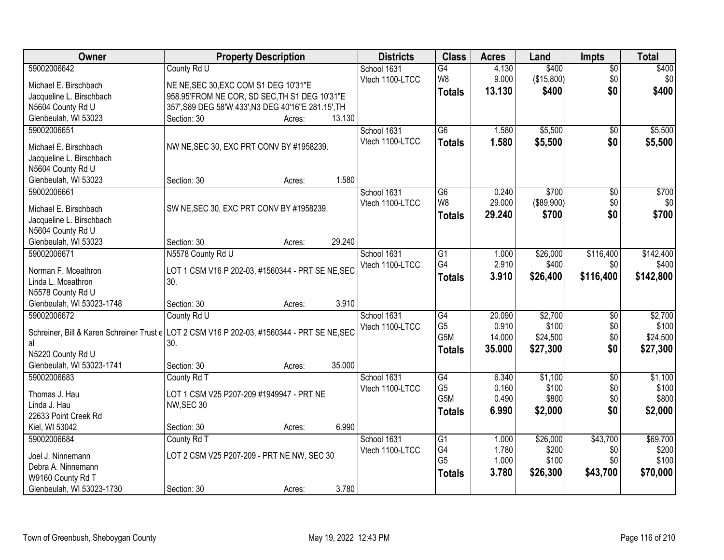| \$400<br>County Rd U<br>School 1631<br>G4<br>$\overline{50}$<br>W8<br>\$0<br>9.000<br>(\$15,800)<br>\$0<br>Vtech 1100-LTCC<br>Michael E. Birschbach<br>NE NE, SEC 30, EXC COM S1 DEG 10'31"E<br>\$0<br>\$400<br>13.130<br>\$400<br><b>Totals</b><br>958.95'FROM NE COR, SD SEC, TH S1 DEG 10'31"E<br>Jacqueline L. Birschbach<br>357', S89 DEG 58'W 433', N3 DEG 40'16"E 281.15', TH<br>N5604 County Rd U<br>Glenbeulah, WI 53023<br>13.130<br>Section: 30<br>Acres:<br>\$5,500<br>59002006651<br>$\overline{G6}$<br>\$5,500<br>School 1631<br>1.580<br>\$0<br>Vtech 1100-LTCC<br>1.580<br>\$5,500<br>\$0<br>\$5,500<br><b>Totals</b><br>NW NE, SEC 30, EXC PRT CONV BY #1958239.<br>Michael E. Birschbach<br>Jacqueline L. Birschbach<br>N5604 County Rd U<br>1.580<br>Glenbeulah, WI 53023<br>Section: 30<br>Acres:<br>\$700<br>\$700<br>59002006661<br>0.240<br>School 1631<br>G6<br>\$0<br>W8<br>\$0<br>29.000<br>(\$89,900)<br>\$0<br>Vtech 1100-LTCC<br>Michael E. Birschbach<br>SW NE, SEC 30, EXC PRT CONV BY #1958239.<br>\$700<br>29.240<br>\$700<br>\$0<br><b>Totals</b><br>Jacqueline L. Birschbach<br>N5604 County Rd U<br>29.240<br>Glenbeulah, WI 53023<br>Section: 30<br>Acres:<br>\$26,000<br>\$116,400<br>\$142,400<br>59002006671<br>N5578 County Rd U<br>School 1631<br>G <sub>1</sub><br>1.000<br>G4<br>2.910<br>Vtech 1100-LTCC<br>\$400<br>\$0<br>\$400<br>LOT 1 CSM V16 P 202-03, #1560344 - PRT SE NE, SEC<br>Norman F. Mceathron<br>3.910<br>\$116,400<br>\$142,800<br>\$26,400<br><b>Totals</b><br>Linda L. Mceathron<br>30.<br>N5578 County Rd U<br>3.910<br>Glenbeulah, WI 53023-1748<br>Section: 30<br>Acres:<br>\$2,700<br>\$2,700<br>59002006672<br>$\overline{G4}$<br>20.090<br>$\overline{50}$<br>County Rd U<br>School 1631<br>G <sub>5</sub><br>0.910<br>\$100<br>\$0<br>\$100<br>Vtech 1100-LTCC<br>Schreiner, Bill & Karen Schreiner Trust $\epsilon$ LOT 2 CSM V16 P 202-03, #1560344 - PRT SE NE, SEC<br>G <sub>5</sub> M<br>\$0<br>14.000<br>\$24,500<br>\$24,500 | Owner       | <b>Property Description</b> | <b>Districts</b> | <b>Class</b> | <b>Acres</b> | Land  | <b>Impts</b> | <b>Total</b> |
|------------------------------------------------------------------------------------------------------------------------------------------------------------------------------------------------------------------------------------------------------------------------------------------------------------------------------------------------------------------------------------------------------------------------------------------------------------------------------------------------------------------------------------------------------------------------------------------------------------------------------------------------------------------------------------------------------------------------------------------------------------------------------------------------------------------------------------------------------------------------------------------------------------------------------------------------------------------------------------------------------------------------------------------------------------------------------------------------------------------------------------------------------------------------------------------------------------------------------------------------------------------------------------------------------------------------------------------------------------------------------------------------------------------------------------------------------------------------------------------------------------------------------------------------------------------------------------------------------------------------------------------------------------------------------------------------------------------------------------------------------------------------------------------------------------------------------------------------------------------------------------------------------------------------------------------------------------------------------------------------------------|-------------|-----------------------------|------------------|--------------|--------------|-------|--------------|--------------|
|                                                                                                                                                                                                                                                                                                                                                                                                                                                                                                                                                                                                                                                                                                                                                                                                                                                                                                                                                                                                                                                                                                                                                                                                                                                                                                                                                                                                                                                                                                                                                                                                                                                                                                                                                                                                                                                                                                                                                                                                            | 59002006642 |                             |                  |              | 4.130        | \$400 |              |              |
|                                                                                                                                                                                                                                                                                                                                                                                                                                                                                                                                                                                                                                                                                                                                                                                                                                                                                                                                                                                                                                                                                                                                                                                                                                                                                                                                                                                                                                                                                                                                                                                                                                                                                                                                                                                                                                                                                                                                                                                                            |             |                             |                  |              |              |       |              |              |
|                                                                                                                                                                                                                                                                                                                                                                                                                                                                                                                                                                                                                                                                                                                                                                                                                                                                                                                                                                                                                                                                                                                                                                                                                                                                                                                                                                                                                                                                                                                                                                                                                                                                                                                                                                                                                                                                                                                                                                                                            |             |                             |                  |              |              |       |              |              |
|                                                                                                                                                                                                                                                                                                                                                                                                                                                                                                                                                                                                                                                                                                                                                                                                                                                                                                                                                                                                                                                                                                                                                                                                                                                                                                                                                                                                                                                                                                                                                                                                                                                                                                                                                                                                                                                                                                                                                                                                            |             |                             |                  |              |              |       |              |              |
|                                                                                                                                                                                                                                                                                                                                                                                                                                                                                                                                                                                                                                                                                                                                                                                                                                                                                                                                                                                                                                                                                                                                                                                                                                                                                                                                                                                                                                                                                                                                                                                                                                                                                                                                                                                                                                                                                                                                                                                                            |             |                             |                  |              |              |       |              |              |
|                                                                                                                                                                                                                                                                                                                                                                                                                                                                                                                                                                                                                                                                                                                                                                                                                                                                                                                                                                                                                                                                                                                                                                                                                                                                                                                                                                                                                                                                                                                                                                                                                                                                                                                                                                                                                                                                                                                                                                                                            |             |                             |                  |              |              |       |              |              |
|                                                                                                                                                                                                                                                                                                                                                                                                                                                                                                                                                                                                                                                                                                                                                                                                                                                                                                                                                                                                                                                                                                                                                                                                                                                                                                                                                                                                                                                                                                                                                                                                                                                                                                                                                                                                                                                                                                                                                                                                            |             |                             |                  |              |              |       |              |              |
|                                                                                                                                                                                                                                                                                                                                                                                                                                                                                                                                                                                                                                                                                                                                                                                                                                                                                                                                                                                                                                                                                                                                                                                                                                                                                                                                                                                                                                                                                                                                                                                                                                                                                                                                                                                                                                                                                                                                                                                                            |             |                             |                  |              |              |       |              |              |
|                                                                                                                                                                                                                                                                                                                                                                                                                                                                                                                                                                                                                                                                                                                                                                                                                                                                                                                                                                                                                                                                                                                                                                                                                                                                                                                                                                                                                                                                                                                                                                                                                                                                                                                                                                                                                                                                                                                                                                                                            |             |                             |                  |              |              |       |              |              |
|                                                                                                                                                                                                                                                                                                                                                                                                                                                                                                                                                                                                                                                                                                                                                                                                                                                                                                                                                                                                                                                                                                                                                                                                                                                                                                                                                                                                                                                                                                                                                                                                                                                                                                                                                                                                                                                                                                                                                                                                            |             |                             |                  |              |              |       |              |              |
|                                                                                                                                                                                                                                                                                                                                                                                                                                                                                                                                                                                                                                                                                                                                                                                                                                                                                                                                                                                                                                                                                                                                                                                                                                                                                                                                                                                                                                                                                                                                                                                                                                                                                                                                                                                                                                                                                                                                                                                                            |             |                             |                  |              |              |       |              |              |
|                                                                                                                                                                                                                                                                                                                                                                                                                                                                                                                                                                                                                                                                                                                                                                                                                                                                                                                                                                                                                                                                                                                                                                                                                                                                                                                                                                                                                                                                                                                                                                                                                                                                                                                                                                                                                                                                                                                                                                                                            |             |                             |                  |              |              |       |              |              |
|                                                                                                                                                                                                                                                                                                                                                                                                                                                                                                                                                                                                                                                                                                                                                                                                                                                                                                                                                                                                                                                                                                                                                                                                                                                                                                                                                                                                                                                                                                                                                                                                                                                                                                                                                                                                                                                                                                                                                                                                            |             |                             |                  |              |              |       |              |              |
|                                                                                                                                                                                                                                                                                                                                                                                                                                                                                                                                                                                                                                                                                                                                                                                                                                                                                                                                                                                                                                                                                                                                                                                                                                                                                                                                                                                                                                                                                                                                                                                                                                                                                                                                                                                                                                                                                                                                                                                                            |             |                             |                  |              |              |       |              |              |
|                                                                                                                                                                                                                                                                                                                                                                                                                                                                                                                                                                                                                                                                                                                                                                                                                                                                                                                                                                                                                                                                                                                                                                                                                                                                                                                                                                                                                                                                                                                                                                                                                                                                                                                                                                                                                                                                                                                                                                                                            |             |                             |                  |              |              |       |              |              |
|                                                                                                                                                                                                                                                                                                                                                                                                                                                                                                                                                                                                                                                                                                                                                                                                                                                                                                                                                                                                                                                                                                                                                                                                                                                                                                                                                                                                                                                                                                                                                                                                                                                                                                                                                                                                                                                                                                                                                                                                            |             |                             |                  |              |              |       |              |              |
|                                                                                                                                                                                                                                                                                                                                                                                                                                                                                                                                                                                                                                                                                                                                                                                                                                                                                                                                                                                                                                                                                                                                                                                                                                                                                                                                                                                                                                                                                                                                                                                                                                                                                                                                                                                                                                                                                                                                                                                                            |             |                             |                  |              |              |       |              |              |
|                                                                                                                                                                                                                                                                                                                                                                                                                                                                                                                                                                                                                                                                                                                                                                                                                                                                                                                                                                                                                                                                                                                                                                                                                                                                                                                                                                                                                                                                                                                                                                                                                                                                                                                                                                                                                                                                                                                                                                                                            |             |                             |                  |              |              |       |              |              |
|                                                                                                                                                                                                                                                                                                                                                                                                                                                                                                                                                                                                                                                                                                                                                                                                                                                                                                                                                                                                                                                                                                                                                                                                                                                                                                                                                                                                                                                                                                                                                                                                                                                                                                                                                                                                                                                                                                                                                                                                            |             |                             |                  |              |              |       |              |              |
|                                                                                                                                                                                                                                                                                                                                                                                                                                                                                                                                                                                                                                                                                                                                                                                                                                                                                                                                                                                                                                                                                                                                                                                                                                                                                                                                                                                                                                                                                                                                                                                                                                                                                                                                                                                                                                                                                                                                                                                                            |             |                             |                  |              |              |       |              |              |
|                                                                                                                                                                                                                                                                                                                                                                                                                                                                                                                                                                                                                                                                                                                                                                                                                                                                                                                                                                                                                                                                                                                                                                                                                                                                                                                                                                                                                                                                                                                                                                                                                                                                                                                                                                                                                                                                                                                                                                                                            |             |                             |                  |              |              |       |              |              |
|                                                                                                                                                                                                                                                                                                                                                                                                                                                                                                                                                                                                                                                                                                                                                                                                                                                                                                                                                                                                                                                                                                                                                                                                                                                                                                                                                                                                                                                                                                                                                                                                                                                                                                                                                                                                                                                                                                                                                                                                            |             |                             |                  |              |              |       |              |              |
|                                                                                                                                                                                                                                                                                                                                                                                                                                                                                                                                                                                                                                                                                                                                                                                                                                                                                                                                                                                                                                                                                                                                                                                                                                                                                                                                                                                                                                                                                                                                                                                                                                                                                                                                                                                                                                                                                                                                                                                                            |             |                             |                  |              |              |       |              |              |
|                                                                                                                                                                                                                                                                                                                                                                                                                                                                                                                                                                                                                                                                                                                                                                                                                                                                                                                                                                                                                                                                                                                                                                                                                                                                                                                                                                                                                                                                                                                                                                                                                                                                                                                                                                                                                                                                                                                                                                                                            |             |                             |                  |              |              |       |              |              |
| \$0<br>35.000<br>\$27,300<br>\$27,300<br><b>Totals</b>                                                                                                                                                                                                                                                                                                                                                                                                                                                                                                                                                                                                                                                                                                                                                                                                                                                                                                                                                                                                                                                                                                                                                                                                                                                                                                                                                                                                                                                                                                                                                                                                                                                                                                                                                                                                                                                                                                                                                     | al          | 30.                         |                  |              |              |       |              |              |
| N5220 County Rd U                                                                                                                                                                                                                                                                                                                                                                                                                                                                                                                                                                                                                                                                                                                                                                                                                                                                                                                                                                                                                                                                                                                                                                                                                                                                                                                                                                                                                                                                                                                                                                                                                                                                                                                                                                                                                                                                                                                                                                                          |             |                             |                  |              |              |       |              |              |
| Glenbeulah, WI 53023-1741<br>35.000<br>Section: 30<br>Acres:                                                                                                                                                                                                                                                                                                                                                                                                                                                                                                                                                                                                                                                                                                                                                                                                                                                                                                                                                                                                                                                                                                                                                                                                                                                                                                                                                                                                                                                                                                                                                                                                                                                                                                                                                                                                                                                                                                                                               |             |                             |                  |              |              |       |              |              |
| 59002006683<br>G4<br>\$1,100<br>\$1,100<br>School 1631<br>6.340<br>$\overline{50}$<br>County Rd T                                                                                                                                                                                                                                                                                                                                                                                                                                                                                                                                                                                                                                                                                                                                                                                                                                                                                                                                                                                                                                                                                                                                                                                                                                                                                                                                                                                                                                                                                                                                                                                                                                                                                                                                                                                                                                                                                                          |             |                             |                  |              |              |       |              |              |
| G <sub>5</sub><br>0.160<br>\$100<br>\$0<br>\$100<br>Vtech 1100-LTCC<br>Thomas J. Hau<br>LOT 1 CSM V25 P207-209 #1949947 - PRT NE                                                                                                                                                                                                                                                                                                                                                                                                                                                                                                                                                                                                                                                                                                                                                                                                                                                                                                                                                                                                                                                                                                                                                                                                                                                                                                                                                                                                                                                                                                                                                                                                                                                                                                                                                                                                                                                                           |             |                             |                  |              |              |       |              |              |
| G5M<br>\$800<br>\$0<br>0.490<br>\$800<br>Linda J. Hau<br>NW, SEC 30                                                                                                                                                                                                                                                                                                                                                                                                                                                                                                                                                                                                                                                                                                                                                                                                                                                                                                                                                                                                                                                                                                                                                                                                                                                                                                                                                                                                                                                                                                                                                                                                                                                                                                                                                                                                                                                                                                                                        |             |                             |                  |              |              |       |              |              |
| \$2,000<br>6.990<br>\$2,000<br>\$0<br><b>Totals</b><br>22633 Point Creek Rd                                                                                                                                                                                                                                                                                                                                                                                                                                                                                                                                                                                                                                                                                                                                                                                                                                                                                                                                                                                                                                                                                                                                                                                                                                                                                                                                                                                                                                                                                                                                                                                                                                                                                                                                                                                                                                                                                                                                |             |                             |                  |              |              |       |              |              |
| 6.990<br>Kiel, WI 53042<br>Section: 30<br>Acres:                                                                                                                                                                                                                                                                                                                                                                                                                                                                                                                                                                                                                                                                                                                                                                                                                                                                                                                                                                                                                                                                                                                                                                                                                                                                                                                                                                                                                                                                                                                                                                                                                                                                                                                                                                                                                                                                                                                                                           |             |                             |                  |              |              |       |              |              |
| \$43,700<br>\$26,000<br>\$69,700<br>59002006684<br>County Rd T<br>School 1631<br>G1<br>1.000                                                                                                                                                                                                                                                                                                                                                                                                                                                                                                                                                                                                                                                                                                                                                                                                                                                                                                                                                                                                                                                                                                                                                                                                                                                                                                                                                                                                                                                                                                                                                                                                                                                                                                                                                                                                                                                                                                               |             |                             |                  |              |              |       |              |              |
| G4<br>1.780<br>\$200<br>\$200<br>Vtech 1100-LTCC<br>\$0<br>LOT 2 CSM V25 P207-209 - PRT NE NW, SEC 30<br>Joel J. Ninnemann                                                                                                                                                                                                                                                                                                                                                                                                                                                                                                                                                                                                                                                                                                                                                                                                                                                                                                                                                                                                                                                                                                                                                                                                                                                                                                                                                                                                                                                                                                                                                                                                                                                                                                                                                                                                                                                                                 |             |                             |                  |              |              |       |              |              |
| G <sub>5</sub><br>1.000<br>\$100<br>\$100<br>\$0<br>Debra A. Ninnemann                                                                                                                                                                                                                                                                                                                                                                                                                                                                                                                                                                                                                                                                                                                                                                                                                                                                                                                                                                                                                                                                                                                                                                                                                                                                                                                                                                                                                                                                                                                                                                                                                                                                                                                                                                                                                                                                                                                                     |             |                             |                  |              |              |       |              |              |
| 3.780<br>\$43,700<br>\$70,000<br>\$26,300<br><b>Totals</b><br>W9160 County Rd T                                                                                                                                                                                                                                                                                                                                                                                                                                                                                                                                                                                                                                                                                                                                                                                                                                                                                                                                                                                                                                                                                                                                                                                                                                                                                                                                                                                                                                                                                                                                                                                                                                                                                                                                                                                                                                                                                                                            |             |                             |                  |              |              |       |              |              |
| 3.780<br>Glenbeulah, WI 53023-1730<br>Section: 30<br>Acres:                                                                                                                                                                                                                                                                                                                                                                                                                                                                                                                                                                                                                                                                                                                                                                                                                                                                                                                                                                                                                                                                                                                                                                                                                                                                                                                                                                                                                                                                                                                                                                                                                                                                                                                                                                                                                                                                                                                                                |             |                             |                  |              |              |       |              |              |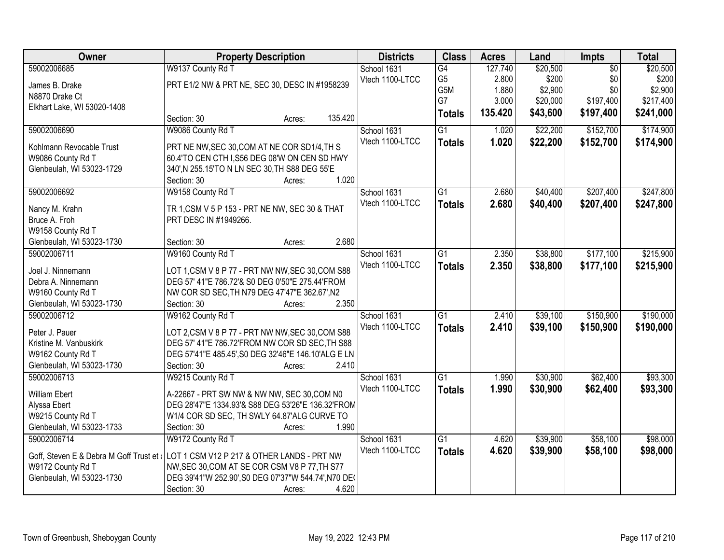| Owner                                    |                                                      | <b>Property Description</b> |         | <b>Districts</b> | <b>Class</b>    | <b>Acres</b> | Land     | <b>Impts</b>    | <b>Total</b> |
|------------------------------------------|------------------------------------------------------|-----------------------------|---------|------------------|-----------------|--------------|----------|-----------------|--------------|
| 59002006685                              | W9137 County Rd T                                    |                             |         | School 1631      | G4              | 127.740      | \$20,500 | $\overline{50}$ | \$20,500     |
| James B. Drake                           | PRT E1/2 NW & PRT NE, SEC 30, DESC IN #1958239       |                             |         | Vtech 1100-LTCC  | G <sub>5</sub>  | 2.800        | \$200    | \$0             | \$200        |
| N8870 Drake Ct                           |                                                      |                             |         |                  | G5M             | 1.880        | \$2,900  | \$0             | \$2,900      |
| Elkhart Lake, WI 53020-1408              |                                                      |                             |         |                  | G7              | 3.000        | \$20,000 | \$197,400       | \$217,400    |
|                                          | Section: 30                                          | Acres:                      | 135.420 |                  | <b>Totals</b>   | 135.420      | \$43,600 | \$197,400       | \$241,000    |
| 59002006690                              | W9086 County Rd T                                    |                             |         | School 1631      | $\overline{G1}$ | 1.020        | \$22,200 | \$152,700       | \$174,900    |
| Kohlmann Revocable Trust                 | PRT NE NW, SEC 30, COM AT NE COR SD1/4, TH S         |                             |         | Vtech 1100-LTCC  | <b>Totals</b>   | 1.020        | \$22,200 | \$152,700       | \$174,900    |
| W9086 County Rd T                        | 60.4'TO CEN CTH I, S56 DEG 08'W ON CEN SD HWY        |                             |         |                  |                 |              |          |                 |              |
| Glenbeulah, WI 53023-1729                | 340', N 255.15'TO N LN SEC 30, TH S88 DEG 55'E       |                             |         |                  |                 |              |          |                 |              |
|                                          | Section: 30                                          | Acres:                      | 1.020   |                  |                 |              |          |                 |              |
| 59002006692                              | W9158 County Rd T                                    |                             |         | School 1631      | $\overline{G1}$ | 2.680        | \$40,400 | \$207,400       | \$247,800    |
|                                          |                                                      |                             |         | Vtech 1100-LTCC  | <b>Totals</b>   | 2.680        | \$40,400 | \$207,400       | \$247,800    |
| Nancy M. Krahn                           | TR 1, CSM V 5 P 153 - PRT NE NW, SEC 30 & THAT       |                             |         |                  |                 |              |          |                 |              |
| Bruce A. Froh                            | PRT DESC IN #1949266.                                |                             |         |                  |                 |              |          |                 |              |
| W9158 County Rd T                        |                                                      |                             |         |                  |                 |              |          |                 |              |
| Glenbeulah, WI 53023-1730                | Section: 30                                          | Acres:                      | 2.680   |                  |                 |              |          |                 |              |
| 59002006711                              | W9160 County Rd T                                    |                             |         | School 1631      | $\overline{G1}$ | 2.350        | \$38,800 | \$177,100       | \$215,900    |
| Joel J. Ninnemann                        | LOT 1, CSM V 8 P 77 - PRT NW NW, SEC 30, COM S88     |                             |         | Vtech 1100-LTCC  | <b>Totals</b>   | 2.350        | \$38,800 | \$177,100       | \$215,900    |
| Debra A. Ninnemann                       | DEG 57' 41"E 786.72'& S0 DEG 0'50"E 275.44'FROM      |                             |         |                  |                 |              |          |                 |              |
| W9160 County Rd T                        | NW COR SD SEC, TH N79 DEG 47'47"E 362.67', N2        |                             |         |                  |                 |              |          |                 |              |
| Glenbeulah, WI 53023-1730                | Section: 30                                          | Acres:                      | 2.350   |                  |                 |              |          |                 |              |
| 59002006712                              | W9162 County Rd T                                    |                             |         | School 1631      | $\overline{G1}$ | 2.410        | \$39,100 | \$150,900       | \$190,000    |
| Peter J. Pauer                           | LOT 2,CSM V 8 P 77 - PRT NW NW, SEC 30, COM S88      |                             |         | Vtech 1100-LTCC  | <b>Totals</b>   | 2.410        | \$39,100 | \$150,900       | \$190,000    |
| Kristine M. Vanbuskirk                   | DEG 57' 41"E 786.72'FROM NW COR SD SEC, TH S88       |                             |         |                  |                 |              |          |                 |              |
| W9162 County Rd T                        | DEG 57'41"E 485.45', S0 DEG 32'46"E 146.10'ALG E LN  |                             |         |                  |                 |              |          |                 |              |
| Glenbeulah, WI 53023-1730                | Section: 30                                          | Acres:                      | 2.410   |                  |                 |              |          |                 |              |
| 59002006713                              | W9215 County Rd T                                    |                             |         | School 1631      | G1              | 1.990        | \$30,900 | \$62,400        | \$93,300     |
|                                          |                                                      |                             |         | Vtech 1100-LTCC  | <b>Totals</b>   | 1.990        | \$30,900 | \$62,400        | \$93,300     |
| <b>William Ebert</b>                     | A-22667 - PRT SW NW & NW NW, SEC 30, COM N0          |                             |         |                  |                 |              |          |                 |              |
| Alyssa Ebert                             | DEG 28'47"E 1334.93'& S88 DEG 53'26"E 136.32'FROM    |                             |         |                  |                 |              |          |                 |              |
| W9215 County Rd T                        | W1/4 COR SD SEC, TH SWLY 64.87'ALG CURVE TO          |                             |         |                  |                 |              |          |                 |              |
| Glenbeulah, WI 53023-1733                | Section: 30                                          | Acres:                      | 1.990   |                  |                 |              |          |                 |              |
| 59002006714                              | W9172 County Rd T                                    |                             |         | School 1631      | $\overline{G1}$ | 4.620        | \$39,900 | \$58,100        | \$98,000     |
| Goff, Steven E & Debra M Goff Trust et a | LOT 1 CSM V12 P 217 & OTHER LANDS - PRT NW           |                             |         | Vtech 1100-LTCC  | <b>Totals</b>   | 4.620        | \$39,900 | \$58,100        | \$98,000     |
| W9172 County Rd T                        | NW, SEC 30, COM AT SE COR CSM V8 P 77, TH S77        |                             |         |                  |                 |              |          |                 |              |
| Glenbeulah, WI 53023-1730                | DEG 39'41"W 252.90', S0 DEG 07'37"W 544.74', N70 DE( |                             |         |                  |                 |              |          |                 |              |
|                                          | Section: 30                                          | Acres:                      | 4.620   |                  |                 |              |          |                 |              |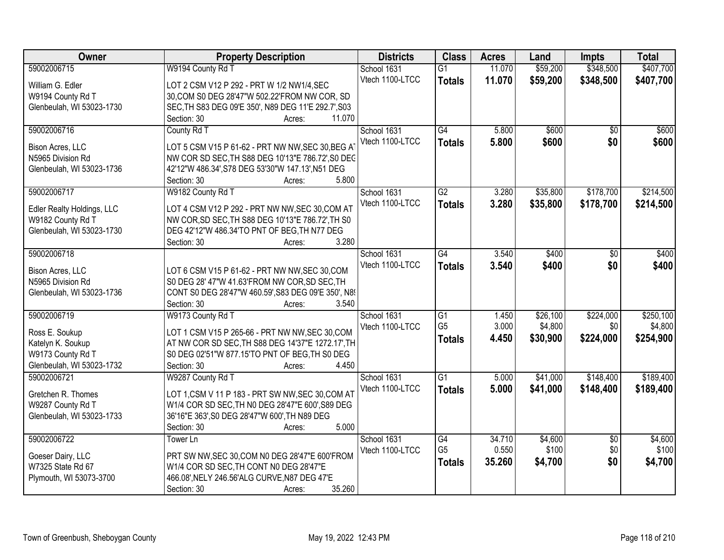| Owner                      | <b>Property Description</b>                                | <b>Districts</b> | <b>Class</b>    | <b>Acres</b> | Land     | Impts           | <b>Total</b> |
|----------------------------|------------------------------------------------------------|------------------|-----------------|--------------|----------|-----------------|--------------|
| 59002006715                | W9194 County Rd T                                          | School 1631      | $\overline{G1}$ | 11.070       | \$59,200 | \$348,500       | \$407,700    |
| William G. Edler           | LOT 2 CSM V12 P 292 - PRT W 1/2 NW1/4, SEC                 | Vtech 1100-LTCC  | <b>Totals</b>   | 11.070       | \$59,200 | \$348,500       | \$407,700    |
| W9194 County Rd T          | 30, COM S0 DEG 28'47"W 502.22' FROM NW COR, SD             |                  |                 |              |          |                 |              |
| Glenbeulah, WI 53023-1730  | SEC, TH S83 DEG 09'E 350', N89 DEG 11'E 292.7', S03        |                  |                 |              |          |                 |              |
|                            | 11.070<br>Section: 30<br>Acres:                            |                  |                 |              |          |                 |              |
| 59002006716                | County Rd T                                                | School 1631      | $\overline{G4}$ | 5.800        | \$600    | $\overline{50}$ | \$600        |
|                            |                                                            | Vtech 1100-LTCC  | <b>Totals</b>   | 5.800        | \$600    | \$0             | \$600        |
| Bison Acres, LLC           | LOT 5 CSM V15 P 61-62 - PRT NW NW, SEC 30, BEG A           |                  |                 |              |          |                 |              |
| N5965 Division Rd          | NW COR SD SEC, TH S88 DEG 10'13"E 786.72', S0 DEC          |                  |                 |              |          |                 |              |
| Glenbeulah, WI 53023-1736  | 42'12"W 486.34', S78 DEG 53'30"W 147.13', N51 DEG<br>5.800 |                  |                 |              |          |                 |              |
| 59002006717                | Section: 30<br>Acres:<br>W9182 County Rd T                 | School 1631      | $\overline{G2}$ | 3.280        | \$35,800 | \$178,700       | \$214,500    |
|                            |                                                            | Vtech 1100-LTCC  |                 |              |          |                 |              |
| Edler Realty Holdings, LLC | LOT 4 CSM V12 P 292 - PRT NW NW, SEC 30, COM AT            |                  | <b>Totals</b>   | 3.280        | \$35,800 | \$178,700       | \$214,500    |
| W9182 County Rd T          | NW COR, SD SEC, TH S88 DEG 10'13"E 786.72', TH S0          |                  |                 |              |          |                 |              |
| Glenbeulah, WI 53023-1730  | DEG 42'12"W 486.34'TO PNT OF BEG, TH N77 DEG               |                  |                 |              |          |                 |              |
|                            | 3.280<br>Section: 30<br>Acres:                             |                  |                 |              |          |                 |              |
| 59002006718                |                                                            | School 1631      | $\overline{G4}$ | 3.540        | \$400    | \$0             | \$400        |
| Bison Acres, LLC           | LOT 6 CSM V15 P 61-62 - PRT NW NW, SEC 30, COM             | Vtech 1100-LTCC  | <b>Totals</b>   | 3.540        | \$400    | \$0             | \$400        |
| N5965 Division Rd          | S0 DEG 28' 47"W 41.63'FROM NW COR, SD SEC, TH              |                  |                 |              |          |                 |              |
| Glenbeulah, WI 53023-1736  | CONT S0 DEG 28'47"W 460.59', S83 DEG 09'E 350', N89        |                  |                 |              |          |                 |              |
|                            | Section: 30<br>3.540<br>Acres:                             |                  |                 |              |          |                 |              |
| 59002006719                | W9173 County Rd T                                          | School 1631      | $\overline{G1}$ | 1.450        | \$26,100 | \$224,000       | \$250,100    |
|                            |                                                            | Vtech 1100-LTCC  | G <sub>5</sub>  | 3.000        | \$4,800  | \$0             | \$4,800      |
| Ross E. Soukup             | LOT 1 CSM V15 P 265-66 - PRT NW NW, SEC 30, COM            |                  | <b>Totals</b>   | 4.450        | \$30,900 | \$224,000       | \$254,900    |
| Katelyn K. Soukup          | AT NW COR SD SEC, TH S88 DEG 14'37"E 1272.17', TH          |                  |                 |              |          |                 |              |
| W9173 County Rd T          | S0 DEG 02'51"W 877.15'TO PNT OF BEG, TH S0 DEG             |                  |                 |              |          |                 |              |
| Glenbeulah, WI 53023-1732  | 4.450<br>Section: 30<br>Acres:                             |                  |                 |              |          |                 |              |
| 59002006721                | W9287 County Rd T                                          | School 1631      | $\overline{G1}$ | 5.000        | \$41,000 | \$148,400       | \$189,400    |
| Gretchen R. Thomes         | LOT 1, CSM V 11 P 183 - PRT SW NW, SEC 30, COM AT          | Vtech 1100-LTCC  | <b>Totals</b>   | 5.000        | \$41,000 | \$148,400       | \$189,400    |
| W9287 County Rd T          | W1/4 COR SD SEC, TH N0 DEG 28'47"E 600', S89 DEG           |                  |                 |              |          |                 |              |
| Glenbeulah, WI 53023-1733  | 36'16"E 363', S0 DEG 28'47"W 600', TH N89 DEG              |                  |                 |              |          |                 |              |
|                            | 5.000<br>Section: 30<br>Acres:                             |                  |                 |              |          |                 |              |
| 59002006722                | Tower Ln                                                   | School 1631      | G4              | 34.710       | \$4,600  | $\overline{50}$ | \$4,600      |
|                            |                                                            | Vtech 1100-LTCC  | G <sub>5</sub>  | 0.550        | \$100    | \$0             | \$100        |
| Goeser Dairy, LLC          | PRT SW NW, SEC 30, COM N0 DEG 28'47"E 600'FROM             |                  | <b>Totals</b>   | 35.260       | \$4,700  | \$0             | \$4,700      |
| W7325 State Rd 67          | W1/4 COR SD SEC, TH CONT N0 DEG 28'47"E                    |                  |                 |              |          |                 |              |
| Plymouth, WI 53073-3700    | 466.08', NELY 246.56' ALG CURVE, N87 DEG 47'E              |                  |                 |              |          |                 |              |
|                            | 35.260<br>Section: 30<br>Acres:                            |                  |                 |              |          |                 |              |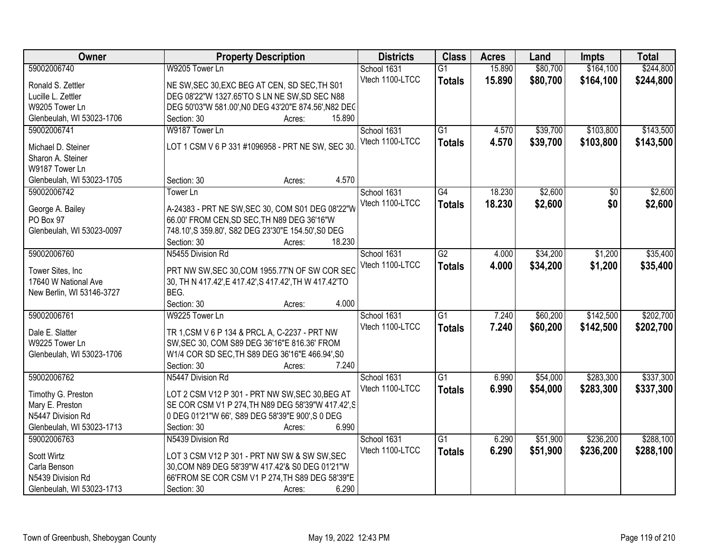| Owner                     | <b>Property Description</b>                            | <b>Districts</b> | <b>Class</b>    | <b>Acres</b> | Land     | Impts           | <b>Total</b> |
|---------------------------|--------------------------------------------------------|------------------|-----------------|--------------|----------|-----------------|--------------|
| 59002006740               | W9205 Tower Ln                                         | School 1631      | $\overline{G1}$ | 15.890       | \$80,700 | \$164,100       | \$244,800    |
| Ronald S. Zettler         | NE SW, SEC 30, EXC BEG AT CEN, SD SEC, TH S01          | Vtech 1100-LTCC  | <b>Totals</b>   | 15.890       | \$80,700 | \$164,100       | \$244,800    |
| Lucille L. Zettler        | DEG 08'22"W 1327.65'TO S LN NE SW, SD SEC N88          |                  |                 |              |          |                 |              |
| W9205 Tower Ln            | DEG 50'03"W 581.00', N0 DEG 43'20"E 874.56', N82 DEC   |                  |                 |              |          |                 |              |
| Glenbeulah, WI 53023-1706 | 15.890<br>Section: 30<br>Acres:                        |                  |                 |              |          |                 |              |
| 59002006741               | W9187 Tower Ln                                         | School 1631      | $\overline{G1}$ | 4.570        | \$39,700 | \$103,800       | \$143,500    |
|                           |                                                        | Vtech 1100-LTCC  |                 | 4.570        | \$39,700 | \$103,800       | \$143,500    |
| Michael D. Steiner        | LOT 1 CSM V 6 P 331 #1096958 - PRT NE SW, SEC 30       |                  | <b>Totals</b>   |              |          |                 |              |
| Sharon A. Steiner         |                                                        |                  |                 |              |          |                 |              |
| W9187 Tower Ln            |                                                        |                  |                 |              |          |                 |              |
| Glenbeulah, WI 53023-1705 | 4.570<br>Section: 30<br>Acres:                         |                  |                 |              |          |                 |              |
| 59002006742               | Tower Ln                                               | School 1631      | $\overline{G4}$ | 18.230       | \$2,600  | $\overline{50}$ | \$2,600      |
| George A. Bailey          | A-24383 - PRT NE SW, SEC 30, COM S01 DEG 08'22"W       | Vtech 1100-LTCC  | <b>Totals</b>   | 18.230       | \$2,600  | \$0             | \$2,600      |
| PO Box 97                 | 66.00' FROM CEN, SD SEC, TH N89 DEG 36'16"W            |                  |                 |              |          |                 |              |
| Glenbeulah, WI 53023-0097 | 748.10', S 359.80', S82 DEG 23'30"E 154.50', S0 DEG    |                  |                 |              |          |                 |              |
|                           | 18.230<br>Section: 30<br>Acres:                        |                  |                 |              |          |                 |              |
| 59002006760               | N5455 Division Rd                                      | School 1631      | $\overline{G2}$ | 4.000        | \$34,200 | \$1,200         | \$35,400     |
|                           |                                                        | Vtech 1100-LTCC  |                 |              |          |                 |              |
| Tower Sites, Inc          | PRT NW SW, SEC 30, COM 1955.77'N OF SW COR SEC         |                  | <b>Totals</b>   | 4.000        | \$34,200 | \$1,200         | \$35,400     |
| 17640 W National Ave      | 30, TH N 417.42', E 417.42', S 417.42', TH W 417.42'TO |                  |                 |              |          |                 |              |
| New Berlin, WI 53146-3727 | BEG.                                                   |                  |                 |              |          |                 |              |
|                           | 4.000<br>Section: 30<br>Acres:                         |                  |                 |              |          |                 |              |
| 59002006761               | W9225 Tower Ln                                         | School 1631      | $\overline{G1}$ | 7.240        | \$60,200 | \$142,500       | \$202,700    |
|                           |                                                        | Vtech 1100-LTCC  | <b>Totals</b>   | 7.240        | \$60,200 | \$142,500       | \$202,700    |
| Dale E. Slatter           | TR 1, CSM V 6 P 134 & PRCL A, C-2237 - PRT NW          |                  |                 |              |          |                 |              |
| W9225 Tower Ln            | SW, SEC 30, COM S89 DEG 36'16"E 816.36' FROM           |                  |                 |              |          |                 |              |
| Glenbeulah, WI 53023-1706 | W1/4 COR SD SEC, TH S89 DEG 36'16"E 466.94', S0        |                  |                 |              |          |                 |              |
|                           | 7.240<br>Section: 30<br>Acres:                         |                  |                 |              |          |                 |              |
| 59002006762               | N5447 Division Rd                                      | School 1631      | G1              | 6.990        | \$54,000 | \$283,300       | \$337,300    |
| Timothy G. Preston        | LOT 2 CSM V12 P 301 - PRT NW SW, SEC 30, BEG AT        | Vtech 1100-LTCC  | <b>Totals</b>   | 6.990        | \$54,000 | \$283,300       | \$337,300    |
| Mary E. Preston           | SE COR CSM V1 P 274, TH N89 DEG 58'39"W 417.42', S     |                  |                 |              |          |                 |              |
| N5447 Division Rd         | 0 DEG 01'21"W 66', S89 DEG 58'39"E 900', S 0 DEG       |                  |                 |              |          |                 |              |
| Glenbeulah, WI 53023-1713 | 6.990<br>Section: 30<br>Acres:                         |                  |                 |              |          |                 |              |
| 59002006763               | N5439 Division Rd                                      | School 1631      | $\overline{G1}$ | 6.290        | \$51,900 | \$236,200       | \$288,100    |
|                           |                                                        | Vtech 1100-LTCC  | <b>Totals</b>   | 6.290        | \$51,900 | \$236,200       | \$288,100    |
| Scott Wirtz               | LOT 3 CSM V12 P 301 - PRT NW SW & SW SW, SEC           |                  |                 |              |          |                 |              |
| Carla Benson              | 30, COM N89 DEG 58'39"W 417.42'& S0 DEG 01'21"W        |                  |                 |              |          |                 |              |
| N5439 Division Rd         | 66'FROM SE COR CSM V1 P 274, TH S89 DEG 58'39"E        |                  |                 |              |          |                 |              |
| Glenbeulah, WI 53023-1713 | 6.290<br>Section: 30<br>Acres:                         |                  |                 |              |          |                 |              |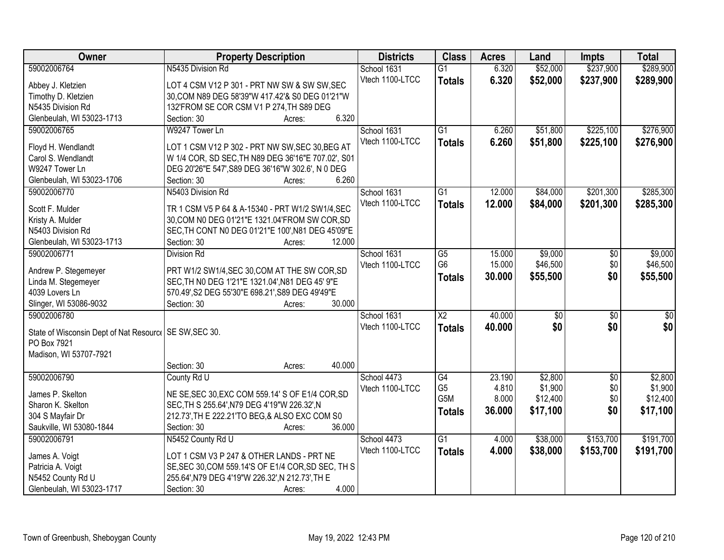| Owner                                                   | <b>Property Description</b>                        | <b>Districts</b> | <b>Class</b>    | <b>Acres</b> | Land            | <b>Impts</b>      | <b>Total</b>    |
|---------------------------------------------------------|----------------------------------------------------|------------------|-----------------|--------------|-----------------|-------------------|-----------------|
| 59002006764                                             | N5435 Division Rd                                  | School 1631      | $\overline{G1}$ | 6.320        | \$52,000        | \$237,900         | \$289,900       |
| Abbey J. Kletzien                                       | LOT 4 CSM V12 P 301 - PRT NW SW & SW SW, SEC       | Vtech 1100-LTCC  | <b>Totals</b>   | 6.320        | \$52,000        | \$237,900         | \$289,900       |
| Timothy D. Kletzien                                     | 30, COM N89 DEG 58'39"W 417.42'& S0 DEG 01'21"W    |                  |                 |              |                 |                   |                 |
| N5435 Division Rd                                       | 132'FROM SE COR CSM V1 P 274, TH S89 DEG           |                  |                 |              |                 |                   |                 |
| Glenbeulah, WI 53023-1713                               | 6.320<br>Section: 30<br>Acres:                     |                  |                 |              |                 |                   |                 |
| 59002006765                                             | W9247 Tower Ln                                     | School 1631      | $\overline{G1}$ | 6.260        | \$51,800        | \$225,100         | \$276,900       |
|                                                         |                                                    | Vtech 1100-LTCC  | <b>Totals</b>   | 6.260        | \$51,800        | \$225,100         | \$276,900       |
| Floyd H. Wendlandt                                      | LOT 1 CSM V12 P 302 - PRT NW SW, SEC 30, BEG AT    |                  |                 |              |                 |                   |                 |
| Carol S. Wendlandt                                      | W 1/4 COR, SD SEC, TH N89 DEG 36'16"E 707.02', S01 |                  |                 |              |                 |                   |                 |
| W9247 Tower Ln                                          | DEG 20'26"E 547', S89 DEG 36'16"W 302.6', N 0 DEG  |                  |                 |              |                 |                   |                 |
| Glenbeulah, WI 53023-1706                               | 6.260<br>Section: 30<br>Acres:                     |                  |                 |              |                 |                   |                 |
| 59002006770                                             | N5403 Division Rd                                  | School 1631      | $\overline{G1}$ | 12.000       | \$84,000        | \$201,300         | \$285,300       |
| Scott F. Mulder                                         | TR 1 CSM V5 P 64 & A-15340 - PRT W1/2 SW1/4, SEC   | Vtech 1100-LTCC  | <b>Totals</b>   | 12.000       | \$84,000        | \$201,300         | \$285,300       |
| Kristy A. Mulder                                        | 30, COM N0 DEG 01'21"E 1321.04'FROM SW COR, SD     |                  |                 |              |                 |                   |                 |
| N5403 Division Rd                                       | SEC, TH CONT N0 DEG 01'21"E 100', N81 DEG 45'09"E  |                  |                 |              |                 |                   |                 |
| Glenbeulah, WI 53023-1713                               | Section: 30<br>12.000<br>Acres:                    |                  |                 |              |                 |                   |                 |
| 59002006771                                             | <b>Division Rd</b>                                 | School 1631      | G5              | 15.000       | \$9,000         | \$0               | \$9,000         |
|                                                         |                                                    | Vtech 1100-LTCC  | G <sub>6</sub>  | 15.000       | \$46,500        | \$0               | \$46,500        |
| Andrew P. Stegemeyer                                    | PRT W1/2 SW1/4, SEC 30, COM AT THE SW COR, SD      |                  | Totals          | 30.000       | \$55,500        | \$0               | \$55,500        |
| Linda M. Stegemeyer                                     | SEC, TH NO DEG 1'21"E 1321.04', N81 DEG 45' 9"E    |                  |                 |              |                 |                   |                 |
| 4039 Lovers Ln                                          | 570.49', S2 DEG 55'30"E 698.21', S89 DEG 49'49"E   |                  |                 |              |                 |                   |                 |
| Slinger, WI 53086-9032                                  | 30.000<br>Section: 30<br>Acres:                    |                  |                 |              |                 |                   |                 |
| 59002006780                                             |                                                    | School 1631      | $\overline{X2}$ | 40.000       | $\overline{30}$ | $\overline{30}$   | $\overline{30}$ |
| State of Wisconsin Dept of Nat Resourc   SE SW, SEC 30. |                                                    | Vtech 1100-LTCC  | <b>Totals</b>   | 40.000       | \$0             | \$0               | \$0             |
| PO Box 7921                                             |                                                    |                  |                 |              |                 |                   |                 |
| Madison, WI 53707-7921                                  |                                                    |                  |                 |              |                 |                   |                 |
|                                                         | 40.000<br>Section: 30<br>Acres:                    |                  |                 |              |                 |                   |                 |
| 59002006790                                             | County Rd U                                        | School 4473      | G4              | 23.190       | \$2,800         |                   | \$2,800         |
|                                                         |                                                    | Vtech 1100-LTCC  | G <sub>5</sub>  | 4.810        | \$1,900         | $\sqrt{6}$<br>\$0 | \$1,900         |
| James P. Skelton                                        | NE SE, SEC 30, EXC COM 559.14' S OF E1/4 COR, SD   |                  | G5M             | 8.000        | \$12,400        | \$0               | \$12,400        |
| Sharon K. Skelton                                       | SEC, TH S 255.64', N79 DEG 4'19"W 226.32', N       |                  |                 | 36,000       |                 | \$0               |                 |
| 304 S Mayfair Dr                                        | 212.73', TH E 222.21'TO BEG, & ALSO EXC COM S0     |                  | <b>Totals</b>   |              | \$17,100        |                   | \$17,100        |
| Saukville, WI 53080-1844                                | 36.000<br>Section: 30<br>Acres:                    |                  |                 |              |                 |                   |                 |
| 59002006791                                             | N5452 County Rd U                                  | School 4473      | $\overline{G1}$ | 4.000        | \$38,000        | \$153,700         | \$191,700       |
|                                                         |                                                    | Vtech 1100-LTCC  | <b>Totals</b>   | 4.000        | \$38,000        | \$153,700         | \$191,700       |
| James A. Voigt                                          | LOT 1 CSM V3 P 247 & OTHER LANDS - PRT NE          |                  |                 |              |                 |                   |                 |
| Patricia A. Voigt                                       | SE, SEC 30, COM 559.14'S OF E1/4 COR, SD SEC, TH S |                  |                 |              |                 |                   |                 |
| N5452 County Rd U                                       | 255.64', N79 DEG 4'19"W 226.32', N 212.73', TH E   |                  |                 |              |                 |                   |                 |
| Glenbeulah, WI 53023-1717                               | 4.000<br>Section: 30<br>Acres:                     |                  |                 |              |                 |                   |                 |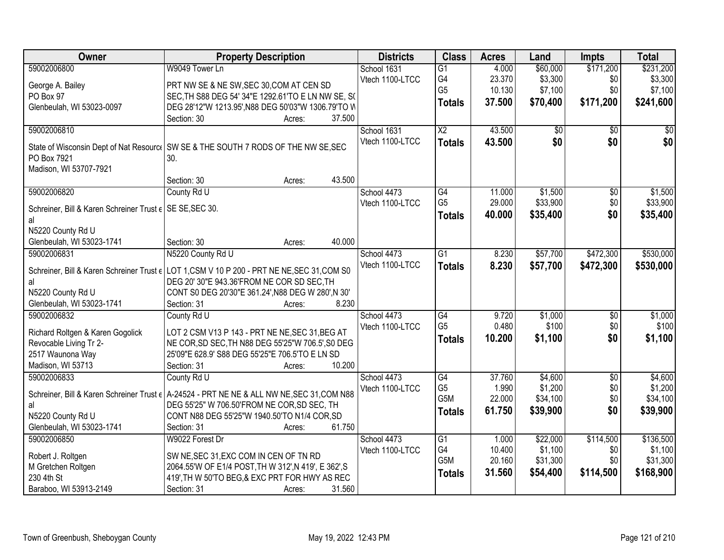| Owner                                                    | <b>Property Description</b>                                                                          | <b>Districts</b> | <b>Class</b>     | <b>Acres</b> | Land            | <b>Impts</b>           | <b>Total</b>       |
|----------------------------------------------------------|------------------------------------------------------------------------------------------------------|------------------|------------------|--------------|-----------------|------------------------|--------------------|
| 59002006800                                              | W9049 Tower Ln                                                                                       | School 1631      | $\overline{G1}$  | 4.000        | \$60,000        | \$171,200              | \$231,200          |
| George A. Bailey                                         | PRT NW SE & NE SW, SEC 30, COM AT CEN SD                                                             | Vtech 1100-LTCC  | G4               | 23.370       | \$3,300         | \$0                    | \$3,300            |
| PO Box 97                                                | SEC, TH S88 DEG 54' 34"E 1292.61'TO E LN NW SE, S(                                                   |                  | G <sub>5</sub>   | 10.130       | \$7,100         | \$0                    | \$7,100            |
| Glenbeulah, WI 53023-0097                                | DEG 28'12"W 1213.95', N88 DEG 50'03"W 1306.79'TO W                                                   |                  | <b>Totals</b>    | 37.500       | \$70,400        | \$171,200              | \$241,600          |
|                                                          | 37.500<br>Section: 30<br>Acres:                                                                      |                  |                  |              |                 |                        |                    |
| 59002006810                                              |                                                                                                      | School 1631      | $\overline{X2}$  | 43.500       | $\overline{50}$ | $\overline{50}$        | \$0                |
|                                                          |                                                                                                      | Vtech 1100-LTCC  | <b>Totals</b>    | 43.500       | \$0             | \$0                    | \$0                |
|                                                          | State of Wisconsin Dept of Nat Resourc   SW SE & THE SOUTH 7 RODS OF THE NW SE, SEC                  |                  |                  |              |                 |                        |                    |
| PO Box 7921                                              | 30.                                                                                                  |                  |                  |              |                 |                        |                    |
| Madison, WI 53707-7921                                   | 43.500<br>Section: 30<br>Acres:                                                                      |                  |                  |              |                 |                        |                    |
| 59002006820                                              | County Rd U                                                                                          | School 4473      | $\overline{G4}$  | 11.000       | \$1,500         | $\overline{50}$        | \$1,500            |
|                                                          |                                                                                                      | Vtech 1100-LTCC  | G <sub>5</sub>   | 29.000       | \$33,900        | \$0                    | \$33,900           |
| Schreiner, Bill & Karen Schreiner Trust e SE SE, SEC 30. |                                                                                                      |                  |                  | 40.000       | \$35,400        | \$0                    | \$35,400           |
| al                                                       |                                                                                                      |                  | <b>Totals</b>    |              |                 |                        |                    |
| N5220 County Rd U                                        |                                                                                                      |                  |                  |              |                 |                        |                    |
| Glenbeulah, WI 53023-1741                                | 40.000<br>Section: 30<br>Acres:                                                                      |                  |                  |              |                 |                        |                    |
| 59002006831                                              | N5220 County Rd U                                                                                    | School 4473      | $\overline{G1}$  | 8.230        | \$57,700        | \$472,300              | \$530,000          |
|                                                          | Schreiner, Bill & Karen Schreiner Trust $\epsilon$ LOT 1, CSM V 10 P 200 - PRT NE NE, SEC 31, COM S0 | Vtech 1100-LTCC  | <b>Totals</b>    | 8.230        | \$57,700        | \$472,300              | \$530,000          |
| al                                                       | DEG 20' 30"E 943.36'FROM NE COR SD SEC, TH                                                           |                  |                  |              |                 |                        |                    |
| N5220 County Rd U                                        | CONT S0 DEG 20'30"E 361.24', N88 DEG W 280', N 30'                                                   |                  |                  |              |                 |                        |                    |
| Glenbeulah, WI 53023-1741                                | Section: 31<br>8.230<br>Acres:                                                                       |                  |                  |              |                 |                        |                    |
| 59002006832                                              | County Rd U                                                                                          | School 4473      | $\overline{G4}$  | 9.720        | \$1,000         | $\overline{50}$        | \$1,000            |
|                                                          |                                                                                                      | Vtech 1100-LTCC  | G <sub>5</sub>   | 0.480        | \$100           | \$0                    | \$100              |
| Richard Roltgen & Karen Gogolick                         | LOT 2 CSM V13 P 143 - PRT NE NE, SEC 31, BEG AT                                                      |                  | <b>Totals</b>    | 10.200       | \$1,100         | \$0                    | \$1,100            |
| Revocable Living Tr 2-                                   | NE COR, SD SEC, TH N88 DEG 55'25"W 706.5', S0 DEG                                                    |                  |                  |              |                 |                        |                    |
| 2517 Waunona Way                                         | 25'09"E 628.9' S88 DEG 55'25"E 706.5'TO E LN SD<br>10.200                                            |                  |                  |              |                 |                        |                    |
| Madison, WI 53713                                        | Section: 31<br>Acres:                                                                                |                  | $\overline{G4}$  | 37.760       | \$4,600         |                        |                    |
| 59002006833                                              | County Rd U                                                                                          | School 4473      | G <sub>5</sub>   | 1.990        | \$1,200         | $\overline{50}$<br>\$0 | \$4,600<br>\$1,200 |
|                                                          | Schreiner, Bill & Karen Schreiner Trust $\epsilon$ A-24524 - PRT NE NE & ALL NW NE, SEC 31, COM N88  | Vtech 1100-LTCC  | G <sub>5</sub> M | 22.000       | \$34,100        | \$0                    | \$34,100           |
| al                                                       | DEG 55'25" W 706.50'FROM NE COR, SD SEC, TH                                                          |                  | <b>Totals</b>    | 61.750       | \$39,900        | \$0                    | \$39,900           |
| N5220 County Rd U                                        | CONT N88 DEG 55'25"W 1940.50'TO N1/4 COR, SD                                                         |                  |                  |              |                 |                        |                    |
| Glenbeulah, WI 53023-1741                                | 61.750<br>Section: 31<br>Acres:                                                                      |                  |                  |              |                 |                        |                    |
| 59002006850                                              | W9022 Forest Dr                                                                                      | School 4473      | $\overline{G1}$  | 1.000        | \$22,000        | \$114,500              | \$136,500          |
| Robert J. Roltgen                                        | SW NE, SEC 31, EXC COM IN CEN OF TN RD                                                               | Vtech 1100-LTCC  | G4               | 10.400       | \$1,100         | \$0                    | \$1,100            |
| M Gretchen Roltgen                                       | 2064.55'W OF E1/4 POST, TH W 312', N 419', E 362', S                                                 |                  | G5M              | 20.160       | \$31,300        | \$0                    | \$31,300           |
| 230 4th St                                               | 419', TH W 50'TO BEG, & EXC PRT FOR HWY AS REC                                                       |                  | <b>Totals</b>    | 31.560       | \$54,400        | \$114,500              | \$168,900          |
| Baraboo, WI 53913-2149                                   | Section: 31<br>31.560<br>Acres:                                                                      |                  |                  |              |                 |                        |                    |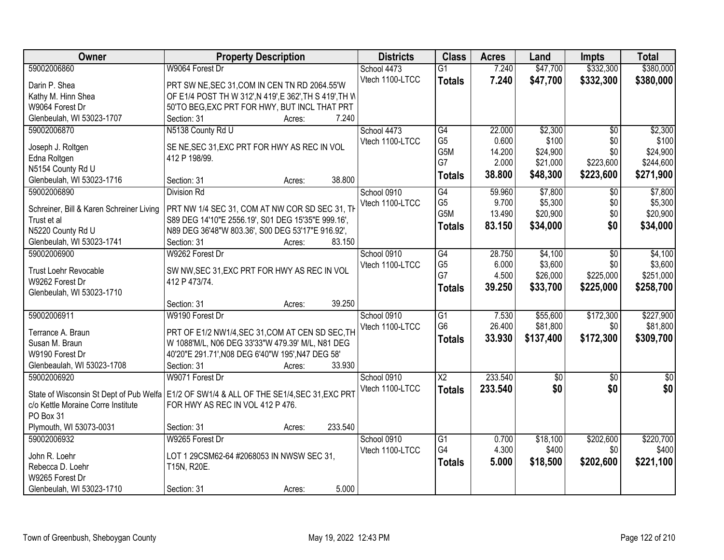| Owner                                    | <b>Property Description</b>                                                                 | <b>Districts</b> | <b>Class</b>    | <b>Acres</b> | Land        | <b>Impts</b>    | <b>Total</b> |
|------------------------------------------|---------------------------------------------------------------------------------------------|------------------|-----------------|--------------|-------------|-----------------|--------------|
| 59002006860                              | W9064 Forest Dr                                                                             | School 4473      | $\overline{G1}$ | 7.240        | \$47,700    | \$332,300       | \$380,000    |
| Darin P. Shea                            | PRT SW NE, SEC 31, COM IN CEN TN RD 2064.55'W                                               | Vtech 1100-LTCC  | <b>Totals</b>   | 7.240        | \$47,700    | \$332,300       | \$380,000    |
| Kathy M. Hinn Shea                       | OF E1/4 POST TH W 312', N 419', E 362', TH S 419', TH W                                     |                  |                 |              |             |                 |              |
| W9064 Forest Dr                          | 50'TO BEG, EXC PRT FOR HWY, BUT INCL THAT PRT                                               |                  |                 |              |             |                 |              |
| Glenbeulah, WI 53023-1707                | 7.240<br>Section: 31<br>Acres:                                                              |                  |                 |              |             |                 |              |
| 59002006870                              | N5138 County Rd U                                                                           | School 4473      | G4              | 22,000       | \$2,300     | $\overline{50}$ | \$2,300      |
|                                          |                                                                                             | Vtech 1100-LTCC  | G <sub>5</sub>  | 0.600        | \$100       | \$0             | \$100        |
| Joseph J. Roltgen                        | SE NE, SEC 31, EXC PRT FOR HWY AS REC IN VOL                                                |                  | G5M             | 14.200       | \$24,900    | \$0             | \$24,900     |
| Edna Roltgen                             | 412 P 198/99.                                                                               |                  | G7              | 2.000        | \$21,000    | \$223,600       | \$244,600    |
| N5154 County Rd U                        |                                                                                             |                  | <b>Totals</b>   | 38.800       | \$48,300    | \$223,600       | \$271,900    |
| Glenbeulah, WI 53023-1716                | 38.800<br>Section: 31<br>Acres:                                                             |                  |                 |              |             |                 |              |
| 59002006890                              | <b>Division Rd</b>                                                                          | School 0910      | G4              | 59.960       | \$7,800     | \$0             | \$7,800      |
| Schreiner, Bill & Karen Schreiner Living | PRT NW 1/4 SEC 31, COM AT NW COR SD SEC 31, TH                                              | Vtech 1100-LTCC  | G <sub>5</sub>  | 9.700        | \$5,300     | \$0             | \$5,300      |
| Trust et al                              | S89 DEG 14'10"E 2556.19', S01 DEG 15'35"E 999.16',                                          |                  | G5M             | 13.490       | \$20,900    | \$0             | \$20,900     |
| N5220 County Rd U                        | N89 DEG 36'48"W 803.36', S00 DEG 53'17"E 916.92',                                           |                  | <b>Totals</b>   | 83.150       | \$34,000    | \$0             | \$34,000     |
| Glenbeulah, WI 53023-1741                | 83.150<br>Section: 31<br>Acres:                                                             |                  |                 |              |             |                 |              |
| 59002006900                              | W9262 Forest Dr                                                                             | School 0910      | G4              | 28.750       | \$4,100     | $\sqrt{6}$      | \$4,100      |
|                                          |                                                                                             | Vtech 1100-LTCC  | G <sub>5</sub>  | 6.000        | \$3,600     | \$0             | \$3,600      |
| Trust Loehr Revocable                    | SW NW, SEC 31, EXC PRT FOR HWY AS REC IN VOL                                                |                  | G7              | 4.500        | \$26,000    | \$225,000       | \$251,000    |
| W9262 Forest Dr                          | 412 P 473/74.                                                                               |                  | <b>Totals</b>   | 39.250       | \$33,700    | \$225,000       | \$258,700    |
| Glenbeulah, WI 53023-1710                |                                                                                             |                  |                 |              |             |                 |              |
|                                          | 39.250<br>Section: 31<br>Acres:                                                             |                  |                 |              |             |                 |              |
| 59002006911                              | W9190 Forest Dr                                                                             | School 0910      | $\overline{G1}$ | 7.530        | \$55,600    | \$172,300       | \$227,900    |
| Terrance A. Braun                        | PRT OF E1/2 NW1/4, SEC 31, COM AT CEN SD SEC, TH                                            | Vtech 1100-LTCC  | G <sub>6</sub>  | 26.400       | \$81,800    | \$0             | \$81,800     |
| Susan M. Braun                           | W 1088'M/L, N06 DEG 33'33"W 479.39' M/L, N81 DEG                                            |                  | <b>Totals</b>   | 33.930       | \$137,400   | \$172,300       | \$309,700    |
| W9190 Forest Dr                          | 40'20"E 291.71', N08 DEG 6'40"W 195', N47 DEG 58'                                           |                  |                 |              |             |                 |              |
| Glenbeaulah, WI 53023-1708               | 33.930<br>Section: 31<br>Acres:                                                             |                  |                 |              |             |                 |              |
| 59002006920                              | W9071 Forest Dr                                                                             | School 0910      | $\overline{X2}$ | 233.540      | $\sqrt{$0}$ | $\sqrt{6}$      | $\sqrt{50}$  |
|                                          |                                                                                             | Vtech 1100-LTCC  | <b>Totals</b>   | 233.540      | \$0         | \$0             | \$0          |
|                                          | State of Wisconsin St Dept of Pub Welfa   E1/2 OF SW1/4 & ALL OF THE SE1/4, SEC 31, EXC PRT |                  |                 |              |             |                 |              |
| c/o Kettle Moraine Corre Institute       | FOR HWY AS REC IN VOL 412 P 476.                                                            |                  |                 |              |             |                 |              |
| PO Box 31                                |                                                                                             |                  |                 |              |             |                 |              |
| Plymouth, WI 53073-0031                  | 233.540<br>Section: 31<br>Acres:                                                            |                  |                 |              |             |                 |              |
| 59002006932                              | W9265 Forest Dr                                                                             | School 0910      | G1              | 0.700        | \$18,100    | \$202,600       | \$220,700    |
| John R. Loehr                            | LOT 1 29CSM62-64 #2068053 IN NWSW SEC 31,                                                   | Vtech 1100-LTCC  | G4              | 4.300        | \$400       | \$0             | \$400        |
| Rebecca D. Loehr                         | T15N, R20E.                                                                                 |                  | <b>Totals</b>   | 5.000        | \$18,500    | \$202,600       | \$221,100    |
| W9265 Forest Dr                          |                                                                                             |                  |                 |              |             |                 |              |
| Glenbeulah, WI 53023-1710                | 5.000<br>Section: 31<br>Acres:                                                              |                  |                 |              |             |                 |              |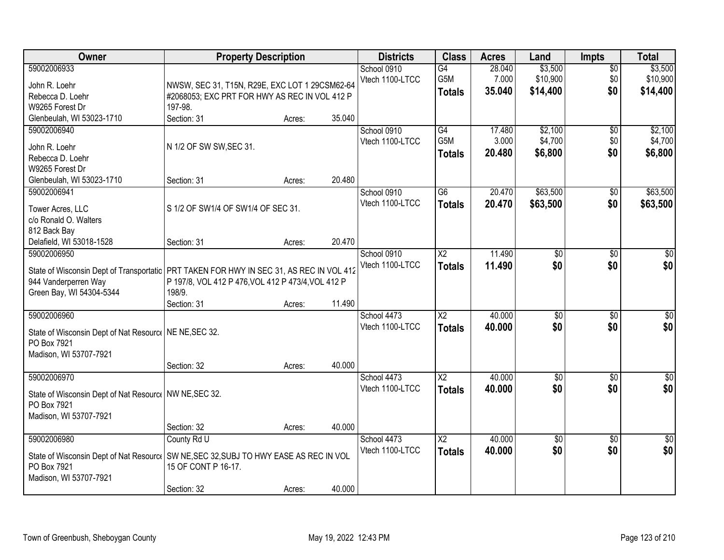| Owner                                                                                     | <b>Property Description</b>                        |        |        | <b>Districts</b>               | <b>Class</b>           | <b>Acres</b> | Land            | <b>Impts</b>    | <b>Total</b>    |
|-------------------------------------------------------------------------------------------|----------------------------------------------------|--------|--------|--------------------------------|------------------------|--------------|-----------------|-----------------|-----------------|
| 59002006933                                                                               |                                                    |        |        | School 0910                    | $\overline{G4}$        | 28.040       | \$3,500         | $\overline{50}$ | \$3,500         |
| John R. Loehr                                                                             | NWSW, SEC 31, T15N, R29E, EXC LOT 1 29CSM62-64     |        |        | Vtech 1100-LTCC                | G5M                    | 7.000        | \$10,900        | \$0             | \$10,900        |
| Rebecca D. Loehr                                                                          | #2068053; EXC PRT FOR HWY AS REC IN VOL 412 P      |        |        |                                | <b>Totals</b>          | 35.040       | \$14,400        | \$0             | \$14,400        |
| W9265 Forest Dr                                                                           | 197-98.                                            |        |        |                                |                        |              |                 |                 |                 |
| Glenbeulah, WI 53023-1710                                                                 | Section: 31                                        | Acres: | 35.040 |                                |                        |              |                 |                 |                 |
| 59002006940                                                                               |                                                    |        |        | School 0910                    | G4                     | 17.480       | \$2,100         | $\overline{50}$ | \$2,100         |
|                                                                                           | N 1/2 OF SW SW, SEC 31.                            |        |        | Vtech 1100-LTCC                | G5M                    | 3.000        | \$4,700         | \$0             | \$4,700         |
| John R. Loehr<br>Rebecca D. Loehr                                                         |                                                    |        |        |                                | Totals                 | 20.480       | \$6,800         | \$0             | \$6,800         |
| W9265 Forest Dr                                                                           |                                                    |        |        |                                |                        |              |                 |                 |                 |
| Glenbeulah, WI 53023-1710                                                                 | Section: 31                                        | Acres: | 20.480 |                                |                        |              |                 |                 |                 |
| 59002006941                                                                               |                                                    |        |        | School 0910                    | $\overline{G6}$        | 20.470       | \$63,500        | \$0             | \$63,500        |
|                                                                                           |                                                    |        |        | Vtech 1100-LTCC                | <b>Totals</b>          | 20.470       | \$63,500        | \$0             | \$63,500        |
| Tower Acres, LLC                                                                          | S 1/2 OF SW1/4 OF SW1/4 OF SEC 31.                 |        |        |                                |                        |              |                 |                 |                 |
| c/o Ronald O. Walters                                                                     |                                                    |        |        |                                |                        |              |                 |                 |                 |
| 812 Back Bay                                                                              |                                                    |        | 20.470 |                                |                        |              |                 |                 |                 |
| Delafield, WI 53018-1528                                                                  | Section: 31                                        | Acres: |        |                                |                        |              |                 |                 |                 |
| 59002006950                                                                               |                                                    |        |        | School 0910<br>Vtech 1100-LTCC | X <sub>2</sub>         | 11.490       | \$0<br>\$0      | \$0             | \$0             |
| State of Wisconsin Dept of Transportatic   PRT TAKEN FOR HWY IN SEC 31, AS REC IN VOL 412 |                                                    |        |        |                                | <b>Totals</b>          | 11.490       |                 | \$0             | \$0             |
| 944 Vanderperren Way                                                                      | P 197/8, VOL 412 P 476, VOL 412 P 473/4, VOL 412 P |        |        |                                |                        |              |                 |                 |                 |
| Green Bay, WI 54304-5344                                                                  | 198/9.                                             |        |        |                                |                        |              |                 |                 |                 |
|                                                                                           | Section: 31                                        | Acres: | 11.490 |                                |                        |              |                 |                 |                 |
| 59002006960                                                                               |                                                    |        |        | School 4473                    | $\overline{\text{X2}}$ | 40.000       | $\overline{50}$ | $\overline{30}$ | $\overline{30}$ |
| State of Wisconsin Dept of Nat Resourc   NE NE, SEC 32.                                   |                                                    |        |        | Vtech 1100-LTCC                | <b>Totals</b>          | 40.000       | \$0             | \$0             | \$0             |
| PO Box 7921                                                                               |                                                    |        |        |                                |                        |              |                 |                 |                 |
| Madison, WI 53707-7921                                                                    |                                                    |        |        |                                |                        |              |                 |                 |                 |
|                                                                                           | Section: 32                                        | Acres: | 40.000 |                                |                        |              |                 |                 |                 |
| 59002006970                                                                               |                                                    |        |        | School 4473                    | $\overline{\text{X2}}$ | 40.000       | $\overline{60}$ | $\overline{50}$ | $\sqrt{50}$     |
| State of Wisconsin Dept of Nat Resourc   NW NE, SEC 32.                                   |                                                    |        |        | Vtech 1100-LTCC                | <b>Totals</b>          | 40.000       | \$0             | \$0             | \$0             |
| PO Box 7921                                                                               |                                                    |        |        |                                |                        |              |                 |                 |                 |
| Madison, WI 53707-7921                                                                    |                                                    |        |        |                                |                        |              |                 |                 |                 |
|                                                                                           | Section: 32                                        | Acres: | 40.000 |                                |                        |              |                 |                 |                 |
| 59002006980                                                                               | County Rd U                                        |        |        | School 4473                    | $\overline{X2}$        | 40.000       | $\overline{30}$ | $\overline{50}$ | $\overline{50}$ |
|                                                                                           |                                                    |        |        | Vtech 1100-LTCC                | <b>Totals</b>          | 40.000       | \$0             | \$0             | \$0             |
| State of Wisconsin Dept of Nat Resourc   SW NE, SEC 32, SUBJ TO HWY EASE AS REC IN VOL    |                                                    |        |        |                                |                        |              |                 |                 |                 |
| PO Box 7921                                                                               | 15 OF CONT P 16-17.                                |        |        |                                |                        |              |                 |                 |                 |
| Madison, WI 53707-7921                                                                    |                                                    |        | 40.000 |                                |                        |              |                 |                 |                 |
|                                                                                           | Section: 32                                        | Acres: |        |                                |                        |              |                 |                 |                 |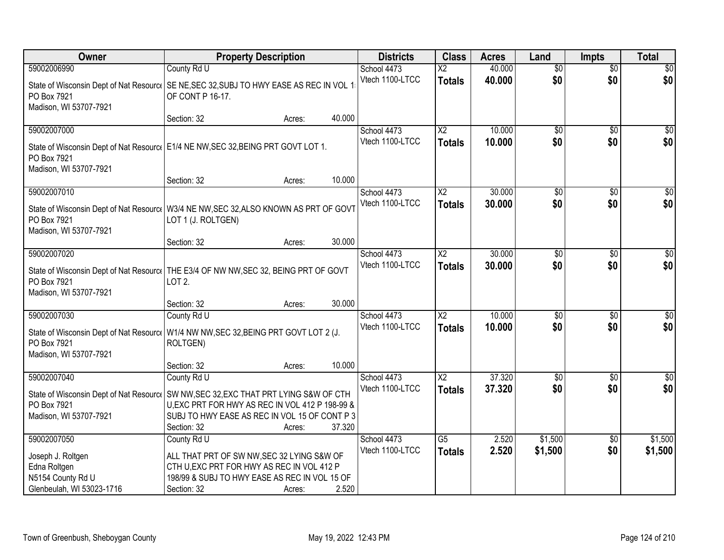| Owner                                                                                              | <b>Property Description</b>                                                                                                                                                                                                                 | <b>Districts</b>               | <b>Class</b>                            | <b>Acres</b>     | Land                   | <b>Impts</b>           | <b>Total</b>            |
|----------------------------------------------------------------------------------------------------|---------------------------------------------------------------------------------------------------------------------------------------------------------------------------------------------------------------------------------------------|--------------------------------|-----------------------------------------|------------------|------------------------|------------------------|-------------------------|
| 59002006990                                                                                        | County Rd U                                                                                                                                                                                                                                 | School 4473                    | $\overline{\mathsf{X2}}$                | 40.000           | $\overline{50}$        | $\overline{50}$        | $\overline{30}$         |
| PO Box 7921<br>Madison, WI 53707-7921                                                              | State of Wisconsin Dept of Nat Resourc   SE NE, SEC 32, SUBJ TO HWY EASE AS REC IN VOL 1<br>OF CONT P 16-17.                                                                                                                                | Vtech 1100-LTCC                | <b>Totals</b>                           | 40.000           | \$0                    | \$0                    | \$0                     |
|                                                                                                    | 40.000<br>Section: 32<br>Acres:                                                                                                                                                                                                             |                                |                                         |                  |                        |                        |                         |
| 59002007000<br>PO Box 7921<br>Madison, WI 53707-7921                                               | State of Wisconsin Dept of Nat Resourc   E1/4 NE NW, SEC 32, BEING PRT GOVT LOT 1.                                                                                                                                                          | School 4473<br>Vtech 1100-LTCC | $\overline{\text{X2}}$<br><b>Totals</b> | 10.000<br>10.000 | \$0<br>\$0             | \$0<br>\$0             | \$0<br>\$0              |
|                                                                                                    | 10.000<br>Section: 32<br>Acres:                                                                                                                                                                                                             |                                |                                         |                  |                        |                        |                         |
| 59002007010<br>PO Box 7921<br>Madison, WI 53707-7921                                               | State of Wisconsin Dept of Nat Resourc   W3/4 NE NW, SEC 32, ALSO KNOWN AS PRT OF GOVT<br>LOT 1 (J. ROLTGEN)                                                                                                                                | School 4473<br>Vtech 1100-LTCC | X <sub>2</sub><br><b>Totals</b>         | 30.000<br>30.000 | \$0<br>\$0             | \$0<br>\$0             | $\overline{50}$<br>\$0  |
|                                                                                                    | Section: 32<br>30.000<br>Acres:                                                                                                                                                                                                             |                                |                                         |                  |                        |                        |                         |
| 59002007020<br>PO Box 7921<br>Madison, WI 53707-7921                                               | State of Wisconsin Dept of Nat Resourc   THE E3/4 OF NW NW, SEC 32, BEING PRT OF GOVT<br>LOT 2.                                                                                                                                             | School 4473<br>Vtech 1100-LTCC | $\overline{\text{X2}}$<br><b>Totals</b> | 30.000<br>30.000 | $\overline{50}$<br>\$0 | \$0<br>\$0             | $\sqrt{50}$<br>\$0      |
|                                                                                                    | 30.000<br>Section: 32<br>Acres:                                                                                                                                                                                                             |                                |                                         |                  |                        |                        |                         |
| 59002007030<br>PO Box 7921<br>Madison, WI 53707-7921                                               | County Rd U<br>State of Wisconsin Dept of Nat Resourc   W1/4 NW NW, SEC 32, BEING PRT GOVT LOT 2 (J.<br>ROLTGEN)                                                                                                                            | School 4473<br>Vtech 1100-LTCC | $\overline{X2}$<br><b>Totals</b>        | 10.000<br>10.000 | \$0<br>\$0             | \$0<br>\$0             | $\sqrt{50}$<br>\$0      |
|                                                                                                    | 10.000<br>Section: 32<br>Acres:                                                                                                                                                                                                             |                                |                                         |                  |                        |                        |                         |
| 59002007040<br>PO Box 7921<br>Madison, WI 53707-7921                                               | County Rd U<br>State of Wisconsin Dept of Nat Resourc   SW NW, SEC 32, EXC THAT PRT LYING S&W OF CTH<br>U, EXC PRT FOR HWY AS REC IN VOL 412 P 198-99 &<br>SUBJ TO HWY EASE AS REC IN VOL 15 OF CONT P 3<br>37.320<br>Section: 32<br>Acres: | School 4473<br>Vtech 1100-LTCC | $\overline{X2}$<br><b>Totals</b>        | 37.320<br>37.320 | $\overline{50}$<br>\$0 | \$0<br>\$0             | $\overline{\$0}$<br>\$0 |
| 59002007050<br>Joseph J. Roltgen<br>Edna Roltgen<br>N5154 County Rd U<br>Glenbeulah, WI 53023-1716 | County Rd U<br>ALL THAT PRT OF SW NW, SEC 32 LYING S&W OF<br>CTH U, EXC PRT FOR HWY AS REC IN VOL 412 P<br>198/99 & SUBJ TO HWY EASE AS REC IN VOL 15 OF<br>2.520<br>Section: 32<br>Acres:                                                  | School 4473<br>Vtech 1100-LTCC | G5<br><b>Totals</b>                     | 2.520<br>2.520   | \$1,500<br>\$1,500     | $\overline{50}$<br>\$0 | \$1,500<br>\$1,500      |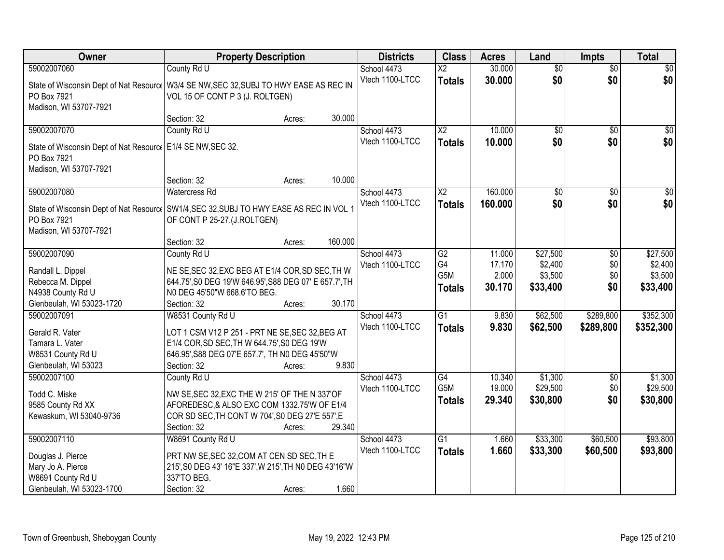| Owner                                                                                                                                            | <b>Property Description</b>                                                                                                                                                           |        |         | <b>Districts</b>               | <b>Class</b>                            | <b>Acres</b>                        | Land                                       | <b>Impts</b>              | <b>Total</b>                               |
|--------------------------------------------------------------------------------------------------------------------------------------------------|---------------------------------------------------------------------------------------------------------------------------------------------------------------------------------------|--------|---------|--------------------------------|-----------------------------------------|-------------------------------------|--------------------------------------------|---------------------------|--------------------------------------------|
| 59002007060                                                                                                                                      | County Rd U                                                                                                                                                                           |        |         | School 4473                    | $\overline{X2}$                         | 30.000                              | $\overline{50}$                            | $\overline{60}$           | $\overline{30}$                            |
| State of Wisconsin Dept of Nat Resourc   W3/4 SE NW, SEC 32, SUBJ TO HWY EASE AS REC IN<br>PO Box 7921<br>Madison, WI 53707-7921                 | VOL 15 OF CONT P 3 (J. ROLTGEN)                                                                                                                                                       |        |         | Vtech 1100-LTCC                | <b>Totals</b>                           | 30.000                              | \$0                                        | \$0                       | \$0                                        |
|                                                                                                                                                  | Section: 32                                                                                                                                                                           | Acres: | 30.000  |                                |                                         |                                     |                                            |                           |                                            |
| 59002007070<br>State of Wisconsin Dept of Nat Resource<br>PO Box 7921<br>Madison, WI 53707-7921                                                  | County Rd U<br>E1/4 SE NW, SEC 32.                                                                                                                                                    |        |         | School 4473<br>Vtech 1100-LTCC | $\overline{X2}$<br><b>Totals</b>        | 10.000<br>10.000                    | \$0<br>\$0                                 | \$0<br>\$0                | \$0<br>\$0                                 |
|                                                                                                                                                  | Section: 32                                                                                                                                                                           | Acres: | 10.000  |                                |                                         |                                     |                                            |                           |                                            |
| 59002007080<br>State of Wisconsin Dept of Nat Resourc   SW1/4, SEC 32, SUBJ TO HWY EASE AS REC IN VOL 1<br>PO Box 7921<br>Madison, WI 53707-7921 | <b>Watercress Rd</b><br>OF CONT P 25-27.(J.ROLTGEN)                                                                                                                                   |        |         | School 4473<br>Vtech 1100-LTCC | $\overline{X2}$<br><b>Totals</b>        | 160.000<br>160.000                  | $\overline{50}$<br>\$0                     | \$0<br>\$0                | $\overline{50}$<br>\$0                     |
|                                                                                                                                                  | Section: 32                                                                                                                                                                           | Acres: | 160.000 |                                |                                         |                                     |                                            |                           |                                            |
| 59002007090<br>Randall L. Dippel<br>Rebecca M. Dippel<br>N4938 County Rd U<br>Glenbeulah, WI 53023-1720                                          | County Rd U<br>NE SE, SEC 32, EXC BEG AT E1/4 COR, SD SEC, TH W<br>644.75', S0 DEG 19'W 646.95', S88 DEG 07' E 657.7', TH<br>NO DEG 45'50"W 668.6'TO BEG.<br>Section: 32              | Acres: | 30.170  | School 4473<br>Vtech 1100-LTCC | G2<br>G4<br>G5M<br><b>Totals</b>        | 11.000<br>17.170<br>2.000<br>30.170 | \$27,500<br>\$2,400<br>\$3,500<br>\$33,400 | \$0<br>\$0<br>\$0<br>\$0  | \$27,500<br>\$2,400<br>\$3,500<br>\$33,400 |
| 59002007091<br>Gerald R. Vater<br>Tamara L. Vater<br>W8531 County Rd U<br>Glenbeulah, WI 53023                                                   | W8531 County Rd U<br>LOT 1 CSM V12 P 251 - PRT NE SE, SEC 32, BEG AT<br>E1/4 COR, SD SEC, TH W 644.75', S0 DEG 19'W<br>646.95', S88 DEG 07'E 657.7', TH N0 DEG 45'50"W<br>Section: 32 | Acres: | 9.830   | School 4473<br>Vtech 1100-LTCC | $\overline{G1}$<br><b>Totals</b>        | 9.830<br>9.830                      | \$62,500<br>\$62,500                       | \$289,800<br>\$289,800    | \$352,300<br>\$352,300                     |
| 59002007100<br>Todd C. Miske<br>9585 County Rd XX<br>Kewaskum, WI 53040-9736                                                                     | County Rd U<br>NW SE, SEC 32, EXC THE W 215' OF THE N 337' OF<br>AFOREDESC,& ALSO EXC COM 1332.75'W OF E1/4<br>COR SD SEC, TH CONT W 704', S0 DEG 27'E 557', E<br>Section: 32         | Acres: | 29.340  | School 4473<br>Vtech 1100-LTCC | G4<br>G <sub>5</sub> M<br><b>Totals</b> | 10.340<br>19.000<br>29.340          | \$1,300<br>\$29,500<br>\$30,800            | $\sqrt{$0}$<br>\$0<br>\$0 | \$1,300<br>\$29,500<br>\$30,800            |
| 59002007110<br>Douglas J. Pierce<br>Mary Jo A. Pierce<br>W8691 County Rd U<br>Glenbeulah, WI 53023-1700                                          | W8691 County Rd U<br>PRT NW SE, SEC 32, COM AT CEN SD SEC, TH E<br>215', S0 DEG 43' 16"E 337', W 215', TH N0 DEG 43'16"W<br>337'TO BEG.<br>Section: 32                                | Acres: | 1.660   | School 4473<br>Vtech 1100-LTCC | $\overline{G1}$<br><b>Totals</b>        | 1.660<br>1.660                      | \$33,300<br>\$33,300                       | \$60,500<br>\$60,500      | \$93,800<br>\$93,800                       |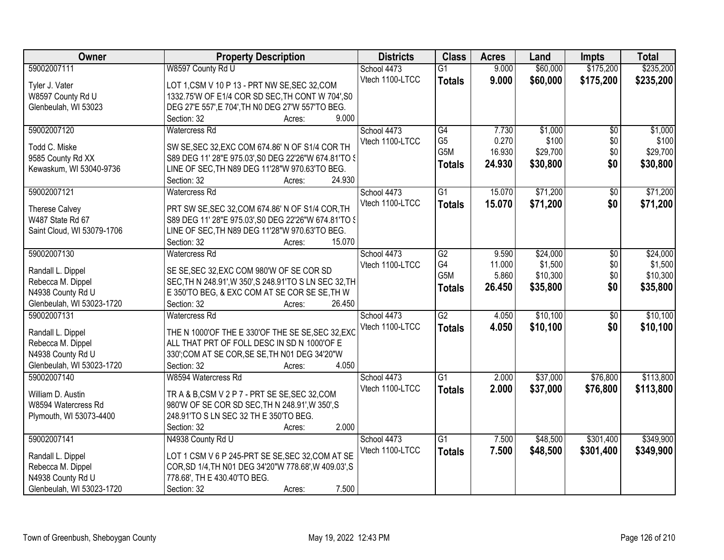| Owner                      | <b>Property Description</b>                            | <b>Districts</b> | <b>Class</b>    | <b>Acres</b> | Land     | <b>Impts</b>    | <b>Total</b> |
|----------------------------|--------------------------------------------------------|------------------|-----------------|--------------|----------|-----------------|--------------|
| 59002007111                | W8597 County Rd U                                      | School 4473      | $\overline{G1}$ | 9.000        | \$60,000 | \$175,200       | \$235,200    |
| Tyler J. Vater             | LOT 1,CSM V 10 P 13 - PRT NW SE, SEC 32, COM           | Vtech 1100-LTCC  | <b>Totals</b>   | 9.000        | \$60,000 | \$175,200       | \$235,200    |
| W8597 County Rd U          | 1332.75'W OF E1/4 COR SD SEC, TH CONT W 704', S0       |                  |                 |              |          |                 |              |
| Glenbeulah, WI 53023       | DEG 27'E 557', E 704', TH N0 DEG 27'W 557'TO BEG.      |                  |                 |              |          |                 |              |
|                            | 9.000<br>Section: 32<br>Acres:                         |                  |                 |              |          |                 |              |
| 59002007120                | <b>Watercress Rd</b>                                   | School 4473      | G4              | 7.730        | \$1,000  | $\overline{50}$ | \$1,000      |
|                            |                                                        | Vtech 1100-LTCC  | G <sub>5</sub>  | 0.270        | \$100    | \$0             | \$100        |
| Todd C. Miske              | SW SE, SEC 32, EXC COM 674.86' N OF S1/4 COR TH        |                  | G5M             | 16.930       | \$29,700 | \$0             | \$29,700     |
| 9585 County Rd XX          | S89 DEG 11' 28"E 975.03', S0 DEG 22'26"W 674.81'TO \$  |                  | <b>Totals</b>   | 24.930       | \$30,800 | \$0             | \$30,800     |
| Kewaskum, WI 53040-9736    | LINE OF SEC, TH N89 DEG 11'28"W 970.63'TO BEG.         |                  |                 |              |          |                 |              |
|                            | 24.930<br>Section: 32<br>Acres:                        |                  |                 |              |          |                 |              |
| 59002007121                | Watercress Rd                                          | School 4473      | $\overline{G1}$ | 15.070       | \$71,200 | $\overline{50}$ | \$71,200     |
| <b>Therese Calvey</b>      | PRT SW SE, SEC 32, COM 674.86' N OF S1/4 COR, TH       | Vtech 1100-LTCC  | <b>Totals</b>   | 15.070       | \$71,200 | \$0             | \$71,200     |
| W487 State Rd 67           | S89 DEG 11' 28"E 975.03', S0 DEG 22'26"W 674.81'TO \$  |                  |                 |              |          |                 |              |
| Saint Cloud, WI 53079-1706 | LINE OF SEC, TH N89 DEG 11'28"W 970.63'TO BEG.         |                  |                 |              |          |                 |              |
|                            | Section: 32<br>15.070<br>Acres:                        |                  |                 |              |          |                 |              |
| 59002007130                | <b>Watercress Rd</b>                                   | School 4473      | G2              | 9.590        | \$24,000 | \$0             | \$24,000     |
|                            |                                                        | Vtech 1100-LTCC  | G4              | 11.000       | \$1,500  | \$0             | \$1,500      |
| Randall L. Dippel          | SE SE, SEC 32, EXC COM 980'W OF SE COR SD              |                  | G5M             | 5.860        | \$10,300 | \$0             | \$10,300     |
| Rebecca M. Dippel          | SEC, TH N 248.91', W 350', S 248.91'TO S LN SEC 32, TH |                  | <b>Totals</b>   | 26.450       | \$35,800 | \$0             | \$35,800     |
| N4938 County Rd U          | E 350'TO BEG, & EXC COM AT SE COR SE SE, TH W          |                  |                 |              |          |                 |              |
| Glenbeulah, WI 53023-1720  | Section: 32<br>26.450<br>Acres:                        |                  |                 |              |          |                 |              |
| 59002007131                | <b>Watercress Rd</b>                                   | School 4473      | $\overline{G2}$ | 4.050        | \$10,100 | $\overline{50}$ | \$10,100     |
| Randall L. Dippel          | THE N 1000'OF THE E 330'OF THE SE SE, SEC 32, EXC      | Vtech 1100-LTCC  | <b>Totals</b>   | 4.050        | \$10,100 | \$0             | \$10,100     |
| Rebecca M. Dippel          | ALL THAT PRT OF FOLL DESC IN SD N 1000'OF E            |                  |                 |              |          |                 |              |
| N4938 County Rd U          | 330';COM AT SE COR, SE SE, TH N01 DEG 34'20"W          |                  |                 |              |          |                 |              |
| Glenbeulah, WI 53023-1720  | 4.050<br>Section: 32<br>Acres:                         |                  |                 |              |          |                 |              |
| 59002007140                | W8594 Watercress Rd                                    | School 4473      | $\overline{G1}$ | 2.000        | \$37,000 | \$76,800        | \$113,800    |
|                            |                                                        | Vtech 1100-LTCC  | <b>Totals</b>   | 2.000        | \$37,000 | \$76,800        | \$113,800    |
| William D. Austin          | TRA&B,CSMV2P7-PRTSESE,SEC32,COM                        |                  |                 |              |          |                 |              |
| W8594 Watercress Rd        | 980'W OF SE COR SD SEC, TH N 248.91', W 350', S        |                  |                 |              |          |                 |              |
| Plymouth, WI 53073-4400    | 248.91'TO S LN SEC 32 TH E 350'TO BEG.                 |                  |                 |              |          |                 |              |
|                            | 2.000<br>Section: 32<br>Acres:                         |                  |                 |              |          |                 |              |
| 59002007141                | N4938 County Rd U                                      | School 4473      | $\overline{G1}$ | 7.500        | \$48,500 | \$301,400       | \$349,900    |
| Randall L. Dippel          | LOT 1 CSM V 6 P 245-PRT SE SE, SEC 32, COM AT SE       | Vtech 1100-LTCC  | <b>Totals</b>   | 7.500        | \$48,500 | \$301,400       | \$349,900    |
| Rebecca M. Dippel          | COR, SD 1/4, TH N01 DEG 34'20"W 778.68', W 409.03', S  |                  |                 |              |          |                 |              |
| N4938 County Rd U          | 778.68', TH E 430.40'TO BEG.                           |                  |                 |              |          |                 |              |
| Glenbeulah, WI 53023-1720  | 7.500<br>Section: 32<br>Acres:                         |                  |                 |              |          |                 |              |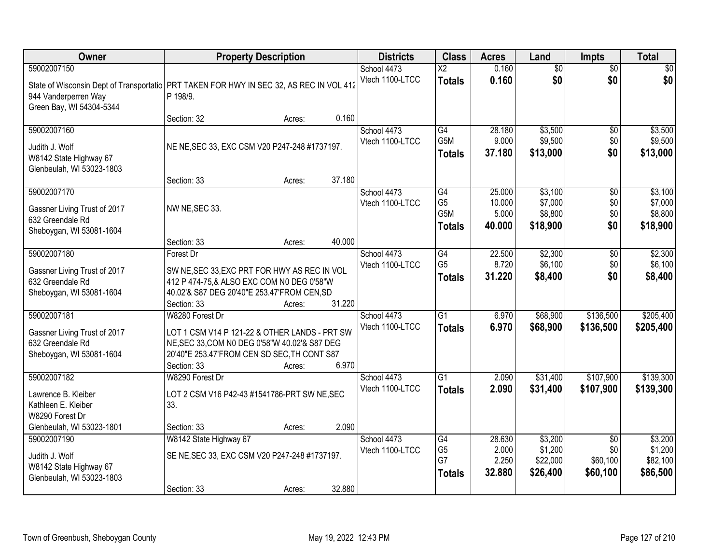| Owner                                                                                                                                         |                                                                                           | <b>Property Description</b> |        | <b>Districts</b>               | <b>Class</b>           | <b>Acres</b>    | Land               | <b>Impts</b>           | <b>Total</b>       |
|-----------------------------------------------------------------------------------------------------------------------------------------------|-------------------------------------------------------------------------------------------|-----------------------------|--------|--------------------------------|------------------------|-----------------|--------------------|------------------------|--------------------|
| 59002007150                                                                                                                                   |                                                                                           |                             |        | School 4473                    | $\overline{\text{X2}}$ | 0.160           | $\overline{50}$    | $\overline{50}$        | $\overline{30}$    |
| State of Wisconsin Dept of Transportatic   PRT TAKEN FOR HWY IN SEC 32, AS REC IN VOL 412<br>944 Vanderperren Way<br>Green Bay, WI 54304-5344 | P 198/9.                                                                                  |                             |        | Vtech 1100-LTCC                | <b>Totals</b>          | 0.160           | \$0                | \$0                    | \$0                |
|                                                                                                                                               | Section: 32                                                                               | Acres:                      | 0.160  |                                |                        |                 |                    |                        |                    |
| 59002007160                                                                                                                                   |                                                                                           |                             |        | School 4473<br>Vtech 1100-LTCC | G4<br>G <sub>5</sub> M | 28.180<br>9.000 | \$3,500<br>\$9,500 | $\overline{50}$<br>\$0 | \$3,500<br>\$9,500 |
| Judith J. Wolf<br>W8142 State Highway 67<br>Glenbeulah, WI 53023-1803                                                                         | NE NE, SEC 33, EXC CSM V20 P247-248 #1737197.                                             |                             |        |                                | <b>Totals</b>          | 37.180          | \$13,000           | \$0                    | \$13,000           |
|                                                                                                                                               | Section: 33                                                                               | Acres:                      | 37.180 |                                |                        |                 |                    |                        |                    |
| 59002007170                                                                                                                                   |                                                                                           |                             |        | School 4473                    | G4                     | 25.000          | \$3,100            | \$0                    | \$3,100            |
| Gassner Living Trust of 2017                                                                                                                  | NW NE, SEC 33.                                                                            |                             |        | Vtech 1100-LTCC                | G <sub>5</sub><br>G5M  | 10.000<br>5.000 | \$7,000<br>\$8,800 | \$0<br>\$0             | \$7,000<br>\$8,800 |
| 632 Greendale Rd                                                                                                                              |                                                                                           |                             |        |                                | <b>Totals</b>          | 40.000          | \$18,900           | \$0                    | \$18,900           |
| Sheboygan, WI 53081-1604                                                                                                                      | Section: 33                                                                               | Acres:                      | 40.000 |                                |                        |                 |                    |                        |                    |
| 59002007180                                                                                                                                   | Forest Dr                                                                                 |                             |        | School 4473                    | $\overline{G4}$        | 22.500          | \$2,300            | \$0                    | \$2,300            |
|                                                                                                                                               |                                                                                           |                             |        | Vtech 1100-LTCC                | G <sub>5</sub>         | 8.720           | \$6,100            | \$0                    | \$6,100            |
| Gassner Living Trust of 2017<br>632 Greendale Rd                                                                                              | SW NE, SEC 33, EXC PRT FOR HWY AS REC IN VOL<br>412 P 474-75,& ALSO EXC COM N0 DEG 0'58"W |                             |        |                                | <b>Totals</b>          | 31.220          | \$8,400            | \$0                    | \$8,400            |
| Sheboygan, WI 53081-1604                                                                                                                      | 40.02'& S87 DEG 20'40"E 253.47'FROM CEN, SD                                               |                             |        |                                |                        |                 |                    |                        |                    |
|                                                                                                                                               | Section: 33                                                                               | Acres:                      | 31.220 |                                |                        |                 |                    |                        |                    |
| 59002007181                                                                                                                                   | W8280 Forest Dr                                                                           |                             |        | School 4473                    | $\overline{G1}$        | 6.970           | \$68,900           | \$136,500              | \$205,400          |
| Gassner Living Trust of 2017                                                                                                                  | LOT 1 CSM V14 P 121-22 & OTHER LANDS - PRT SW                                             |                             |        | Vtech 1100-LTCC                | <b>Totals</b>          | 6.970           | \$68,900           | \$136,500              | \$205,400          |
| 632 Greendale Rd                                                                                                                              | NE, SEC 33, COM N0 DEG 0'58"W 40.02'& S87 DEG                                             |                             |        |                                |                        |                 |                    |                        |                    |
| Sheboygan, WI 53081-1604                                                                                                                      | 20'40"E 253.47'FROM CEN SD SEC, TH CONT S87                                               |                             |        |                                |                        |                 |                    |                        |                    |
| 59002007182                                                                                                                                   | Section: 33<br>W8290 Forest Dr                                                            | Acres:                      | 6.970  | School 4473                    | $\overline{G1}$        | 2.090           | \$31,400           | \$107,900              | \$139,300          |
|                                                                                                                                               |                                                                                           |                             |        | Vtech 1100-LTCC                | <b>Totals</b>          | 2.090           | \$31,400           | \$107,900              | \$139,300          |
| Lawrence B. Kleiber                                                                                                                           | LOT 2 CSM V16 P42-43 #1541786-PRT SW NE, SEC                                              |                             |        |                                |                        |                 |                    |                        |                    |
| Kathleen E. Kleiber<br>W8290 Forest Dr                                                                                                        | 33.                                                                                       |                             |        |                                |                        |                 |                    |                        |                    |
| Glenbeulah, WI 53023-1801                                                                                                                     | Section: 33                                                                               | Acres:                      | 2.090  |                                |                        |                 |                    |                        |                    |
| 59002007190                                                                                                                                   | W8142 State Highway 67                                                                    |                             |        | School 4473                    | G4                     | 28.630          | \$3,200            | $\overline{50}$        | \$3,200            |
| Judith J. Wolf                                                                                                                                | SE NE, SEC 33, EXC CSM V20 P247-248 #1737197.                                             |                             |        | Vtech 1100-LTCC                | G <sub>5</sub>         | 2.000           | \$1,200            | \$0                    | \$1,200            |
| W8142 State Highway 67                                                                                                                        |                                                                                           |                             |        |                                | G7                     | 2.250           | \$22,000           | \$60,100               | \$82,100           |
| Glenbeulah, WI 53023-1803                                                                                                                     |                                                                                           |                             |        |                                | <b>Totals</b>          | 32.880          | \$26,400           | \$60,100               | \$86,500           |
|                                                                                                                                               | Section: 33                                                                               | Acres:                      | 32.880 |                                |                        |                 |                    |                        |                    |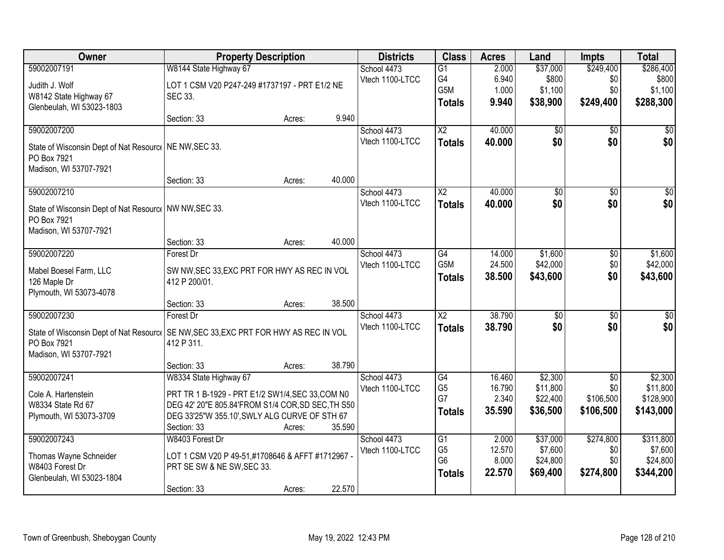| Owner                                                                                  | <b>Property Description</b>                       |        |        | <b>Districts</b> | <b>Class</b>           | <b>Acres</b> | Land            | <b>Impts</b>    | <b>Total</b>    |
|----------------------------------------------------------------------------------------|---------------------------------------------------|--------|--------|------------------|------------------------|--------------|-----------------|-----------------|-----------------|
| 59002007191                                                                            | W8144 State Highway 67                            |        |        | School 4473      | $\overline{G1}$        | 2.000        | \$37,000        | \$249,400       | \$286,400       |
| Judith J. Wolf                                                                         | LOT 1 CSM V20 P247-249 #1737197 - PRT E1/2 NE     |        |        | Vtech 1100-LTCC  | G4                     | 6.940        | \$800           | \$0             | \$800           |
| W8142 State Highway 67                                                                 | SEC 33.                                           |        |        |                  | G <sub>5</sub> M       | 1.000        | \$1,100         | \$0             | \$1,100         |
| Glenbeulah, WI 53023-1803                                                              |                                                   |        |        |                  | <b>Totals</b>          | 9.940        | \$38,900        | \$249,400       | \$288,300       |
|                                                                                        | Section: 33                                       | Acres: | 9.940  |                  |                        |              |                 |                 |                 |
| 59002007200                                                                            |                                                   |        |        | School 4473      | $\overline{X2}$        | 40.000       | \$0             | \$0             | \$0             |
| State of Wisconsin Dept of Nat Resourc   NE NW, SEC 33.                                |                                                   |        |        | Vtech 1100-LTCC  | <b>Totals</b>          | 40.000       | \$0             | \$0             | \$0             |
| PO Box 7921                                                                            |                                                   |        |        |                  |                        |              |                 |                 |                 |
| Madison, WI 53707-7921                                                                 |                                                   |        |        |                  |                        |              |                 |                 |                 |
|                                                                                        | Section: 33                                       | Acres: | 40.000 |                  |                        |              |                 |                 |                 |
| 59002007210                                                                            |                                                   |        |        | School 4473      | X2                     | 40.000       | \$0             | \$0             | $\overline{50}$ |
| State of Wisconsin Dept of Nat Resourc   NW NW, SEC 33.                                |                                                   |        |        | Vtech 1100-LTCC  | <b>Totals</b>          | 40.000       | \$0             | \$0             | \$0             |
| PO Box 7921                                                                            |                                                   |        |        |                  |                        |              |                 |                 |                 |
| Madison, WI 53707-7921                                                                 |                                                   |        |        |                  |                        |              |                 |                 |                 |
|                                                                                        | Section: 33                                       | Acres: | 40.000 |                  |                        |              |                 |                 |                 |
| 59002007220                                                                            | Forest Dr                                         |        |        | School 4473      | $\overline{G4}$        | 14.000       | \$1,600         | \$0             | \$1,600         |
| Mabel Boesel Farm, LLC                                                                 | SW NW, SEC 33, EXC PRT FOR HWY AS REC IN VOL      |        |        | Vtech 1100-LTCC  | G5M                    | 24.500       | \$42,000        | \$0             | \$42,000        |
| 126 Maple Dr                                                                           | 412 P 200/01.                                     |        |        |                  | <b>Totals</b>          | 38.500       | \$43,600        | \$0             | \$43,600        |
| Plymouth, WI 53073-4078                                                                |                                                   |        |        |                  |                        |              |                 |                 |                 |
|                                                                                        | Section: 33                                       | Acres: | 38.500 |                  |                        |              |                 |                 |                 |
| 59002007230                                                                            | Forest Dr                                         |        |        | School 4473      | $\overline{\text{X2}}$ | 38.790       | $\overline{50}$ | $\overline{50}$ | $\overline{50}$ |
| State of Wisconsin Dept of Nat Resourcoll SE NW, SEC 33, EXC PRT FOR HWY AS REC IN VOL |                                                   |        |        | Vtech 1100-LTCC  | <b>Totals</b>          | 38.790       | \$0             | \$0             | \$0             |
| PO Box 7921                                                                            | 412 P 311.                                        |        |        |                  |                        |              |                 |                 |                 |
| Madison, WI 53707-7921                                                                 |                                                   |        |        |                  |                        |              |                 |                 |                 |
|                                                                                        | Section: 33                                       | Acres: | 38.790 |                  |                        |              |                 |                 |                 |
| 59002007241                                                                            | W8334 State Highway 67                            |        |        | School 4473      | $\overline{G4}$        | 16.460       | \$2,300         | $\overline{50}$ | \$2,300         |
| Cole A. Hartenstein                                                                    | PRT TR 1 B-1929 - PRT E1/2 SW1/4, SEC 33, COM N0  |        |        | Vtech 1100-LTCC  | G <sub>5</sub>         | 16.790       | \$11,800        | \$0             | \$11,800        |
| W8334 State Rd 67                                                                      | DEG 42' 20"E 805.84'FROM S1/4 COR, SD SEC, TH S50 |        |        |                  | G7                     | 2.340        | \$22,400        | \$106,500       | \$128,900       |
| Plymouth, WI 53073-3709                                                                | DEG 33'25"W 355.10', SWLY ALG CURVE OF STH 67     |        |        |                  | <b>Totals</b>          | 35.590       | \$36,500        | \$106,500       | \$143,000       |
|                                                                                        | Section: 33                                       | Acres: | 35.590 |                  |                        |              |                 |                 |                 |
| 59002007243                                                                            | W8403 Forest Dr                                   |        |        | School 4473      | $\overline{G1}$        | 2.000        | \$37,000        | \$274,800       | \$311,800       |
| Thomas Wayne Schneider                                                                 | LOT 1 CSM V20 P 49-51,#1708646 & AFFT #1712967 -  |        |        | Vtech 1100-LTCC  | G <sub>5</sub>         | 12.570       | \$7,600         | \$0             | \$7,600         |
| W8403 Forest Dr                                                                        | PRT SE SW & NE SW, SEC 33.                        |        |        |                  | G <sub>6</sub>         | 8.000        | \$24,800        | \$0             | \$24,800        |
| Glenbeulah, WI 53023-1804                                                              |                                                   |        |        |                  | <b>Totals</b>          | 22.570       | \$69,400        | \$274,800       | \$344,200       |
|                                                                                        | Section: 33                                       | Acres: | 22.570 |                  |                        |              |                 |                 |                 |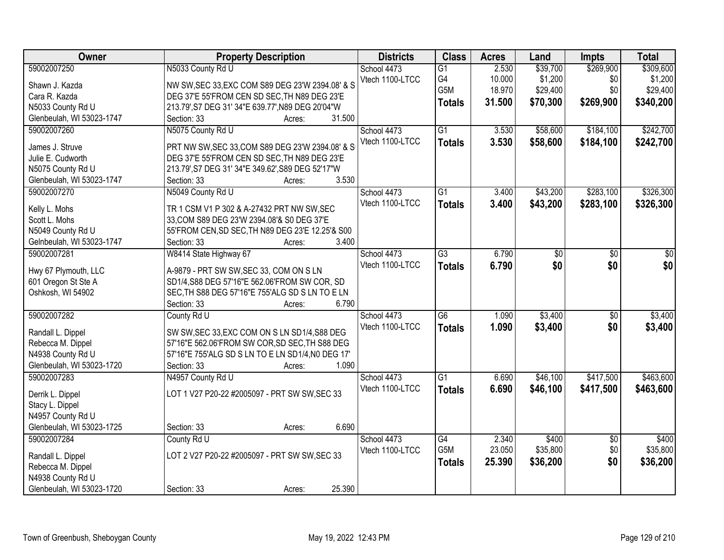| Owner                     | <b>Property Description</b>                       | <b>Districts</b> | <b>Class</b>    | <b>Acres</b> | Land     | Impts           | <b>Total</b> |
|---------------------------|---------------------------------------------------|------------------|-----------------|--------------|----------|-----------------|--------------|
| 59002007250               | N5033 County Rd U                                 | School 4473      | $\overline{G1}$ | 2.530        | \$39,700 | \$269,900       | \$309,600    |
| Shawn J. Kazda            | NW SW, SEC 33, EXC COM S89 DEG 23'W 2394.08' & S  | Vtech 1100-LTCC  | G4              | 10.000       | \$1,200  | \$0             | \$1,200      |
| Cara R. Kazda             | DEG 37'E 55'FROM CEN SD SEC, TH N89 DEG 23'E      |                  | G5M             | 18.970       | \$29,400 | \$0             | \$29,400     |
| N5033 County Rd U         | 213.79', S7 DEG 31' 34"E 639.77', N89 DEG 20'04"W |                  | <b>Totals</b>   | 31.500       | \$70,300 | \$269,900       | \$340,200    |
| Glenbeulah, WI 53023-1747 | 31.500<br>Section: 33<br>Acres:                   |                  |                 |              |          |                 |              |
| 59002007260               | N5075 County Rd U                                 | School 4473      | $\overline{G1}$ | 3.530        | \$58,600 | \$184,100       | \$242,700    |
|                           |                                                   | Vtech 1100-LTCC  | <b>Totals</b>   | 3.530        | \$58,600 | \$184,100       | \$242,700    |
| James J. Struve           | PRT NW SW, SEC 33, COM S89 DEG 23'W 2394.08' & S  |                  |                 |              |          |                 |              |
| Julie E. Cudworth         | DEG 37'E 55'FROM CEN SD SEC, TH N89 DEG 23'E      |                  |                 |              |          |                 |              |
| N5075 County Rd U         | 213.79', S7 DEG 31' 34"E 349.62', S89 DEG 52'17"W |                  |                 |              |          |                 |              |
| Glenbeulah, WI 53023-1747 | 3.530<br>Section: 33<br>Acres:                    |                  |                 |              |          |                 |              |
| 59002007270               | N5049 County Rd U                                 | School 4473      | $\overline{G1}$ | 3.400        | \$43,200 | \$283,100       | \$326,300    |
| Kelly L. Mohs             | TR 1 CSM V1 P 302 & A-27432 PRT NW SW, SEC        | Vtech 1100-LTCC  | <b>Totals</b>   | 3.400        | \$43,200 | \$283,100       | \$326,300    |
| Scott L. Mohs             | 33, COM S89 DEG 23'W 2394.08'& S0 DEG 37'E        |                  |                 |              |          |                 |              |
| N5049 County Rd U         | 55'FROM CEN, SD SEC, TH N89 DEG 23'E 12.25'& S00  |                  |                 |              |          |                 |              |
| Gelnbeulah, WI 53023-1747 | 3.400<br>Section: 33<br>Acres:                    |                  |                 |              |          |                 |              |
| 59002007281               | W8414 State Highway 67                            | School 4473      | $\overline{G3}$ | 6.790        | \$0      | \$0             | \$0          |
|                           |                                                   | Vtech 1100-LTCC  | <b>Totals</b>   | 6.790        | \$0      | \$0             | \$0          |
| Hwy 67 Plymouth, LLC      | A-9879 - PRT SW SW, SEC 33, COM ON S LN           |                  |                 |              |          |                 |              |
| 601 Oregon St Ste A       | SD1/4,S88 DEG 57'16"E 562.06'FROM SW COR, SD      |                  |                 |              |          |                 |              |
| Oshkosh, WI 54902         | SEC, TH S88 DEG 57'16"E 755'ALG SD S LN TO E LN   |                  |                 |              |          |                 |              |
|                           | 6.790<br>Section: 33<br>Acres:                    |                  |                 |              |          |                 |              |
| 59002007282               | County Rd U                                       | School 4473      | $\overline{G6}$ | 1.090        | \$3,400  | $\overline{50}$ | \$3,400      |
| Randall L. Dippel         | SW SW, SEC 33, EXC COM ON S LN SD1/4, S88 DEG     | Vtech 1100-LTCC  | <b>Totals</b>   | 1.090        | \$3,400  | \$0             | \$3,400      |
| Rebecca M. Dippel         | 57'16"E 562.06'FROM SW COR, SD SEC, TH S88 DEG    |                  |                 |              |          |                 |              |
| N4938 County Rd U         | 57'16"E 755'ALG SD S LN TO E LN SD1/4, N0 DEG 17' |                  |                 |              |          |                 |              |
| Glenbeulah, WI 53023-1720 | 1.090<br>Section: 33<br>Acres:                    |                  |                 |              |          |                 |              |
| 59002007283               | N4957 County Rd U                                 | School 4473      | G1              | 6.690        | \$46,100 | \$417,500       | \$463,600    |
|                           |                                                   | Vtech 1100-LTCC  | <b>Totals</b>   | 6.690        | \$46,100 | \$417,500       | \$463,600    |
| Derrik L. Dippel          | LOT 1 V27 P20-22 #2005097 - PRT SW SW, SEC 33     |                  |                 |              |          |                 |              |
| Stacy L. Dippel           |                                                   |                  |                 |              |          |                 |              |
| N4957 County Rd U         |                                                   |                  |                 |              |          |                 |              |
| Glenbeulah, WI 53023-1725 | 6.690<br>Section: 33<br>Acres:                    |                  |                 |              |          |                 |              |
| 59002007284               | County Rd U                                       | School 4473      | G4              | 2.340        | \$400    | $\overline{30}$ | \$400        |
| Randall L. Dippel         | LOT 2 V27 P20-22 #2005097 - PRT SW SW, SEC 33     | Vtech 1100-LTCC  | G5M             | 23.050       | \$35,800 | \$0             | \$35,800     |
| Rebecca M. Dippel         |                                                   |                  | <b>Totals</b>   | 25.390       | \$36,200 | \$0             | \$36,200     |
| N4938 County Rd U         |                                                   |                  |                 |              |          |                 |              |
|                           |                                                   |                  |                 |              |          |                 |              |
| Glenbeulah, WI 53023-1720 | 25.390<br>Section: 33<br>Acres:                   |                  |                 |              |          |                 |              |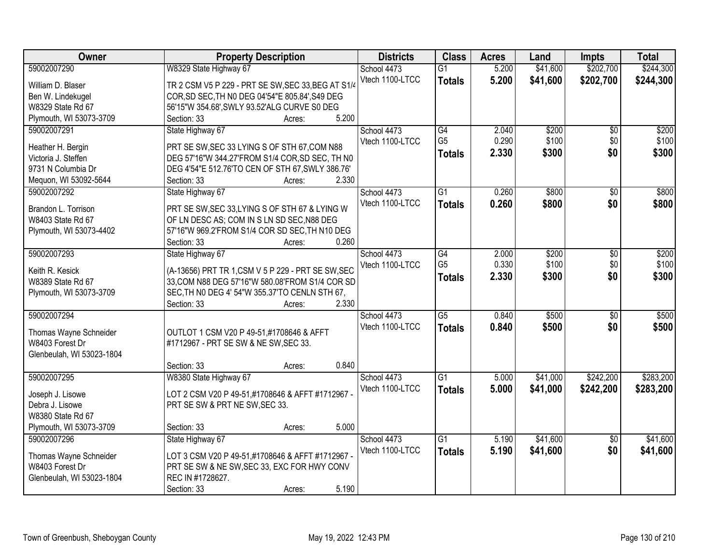| Owner                     | <b>Property Description</b>                               | <b>Districts</b> | <b>Class</b>    | <b>Acres</b> | Land     | <b>Impts</b>    | <b>Total</b> |
|---------------------------|-----------------------------------------------------------|------------------|-----------------|--------------|----------|-----------------|--------------|
| 59002007290               | W8329 State Highway 67                                    | School 4473      | $\overline{G1}$ | 5.200        | \$41,600 | \$202,700       | \$244,300    |
| William D. Blaser         | TR 2 CSM V5 P 229 - PRT SE SW, SEC 33, BEG AT S1/4        | Vtech 1100-LTCC  | <b>Totals</b>   | 5.200        | \$41,600 | \$202,700       | \$244,300    |
| Ben W. Lindekugel         | COR, SD SEC, TH NO DEG 04'54"E 805.84', S49 DEG           |                  |                 |              |          |                 |              |
| W8329 State Rd 67         | 56'15"W 354.68', SWLY 93.52'ALG CURVE S0 DEG              |                  |                 |              |          |                 |              |
| Plymouth, WI 53073-3709   | 5.200<br>Section: 33<br>Acres:                            |                  |                 |              |          |                 |              |
| 59002007291               | State Highway 67                                          | School 4473      | G4              | 2.040        | \$200    | $\overline{50}$ | \$200        |
|                           |                                                           | Vtech 1100-LTCC  | G <sub>5</sub>  | 0.290        | \$100    | \$0             | \$100        |
| Heather H. Bergin         | PRT SE SW, SEC 33 LYING S OF STH 67, COM N88              |                  | <b>Totals</b>   | 2.330        | \$300    | \$0             | \$300        |
| Victoria J. Steffen       | DEG 57'16"W 344.27'FROM S1/4 COR, SD SEC, TH N0           |                  |                 |              |          |                 |              |
| 9731 N Columbia Dr        | DEG 4'54"E 512.76'TO CEN OF STH 67, SWLY 386.76'<br>2.330 |                  |                 |              |          |                 |              |
| Mequon, WI 53092-5644     | Section: 33<br>Acres:                                     |                  |                 |              |          |                 |              |
| 59002007292               | State Highway 67                                          | School 4473      | G1              | 0.260        | \$800    | \$0             | \$800        |
| Brandon L. Torrison       | PRT SE SW, SEC 33, LYING S OF STH 67 & LYING W            | Vtech 1100-LTCC  | <b>Totals</b>   | 0.260        | \$800    | \$0             | \$800        |
| W8403 State Rd 67         | OF LN DESC AS; COM IN S LN SD SEC, N88 DEG                |                  |                 |              |          |                 |              |
| Plymouth, WI 53073-4402   | 57'16"W 969.2'FROM S1/4 COR SD SEC, TH N10 DEG            |                  |                 |              |          |                 |              |
|                           | 0.260<br>Section: 33<br>Acres:                            |                  |                 |              |          |                 |              |
| 59002007293               | State Highway 67                                          | School 4473      | $\overline{G4}$ | 2.000        | \$200    | \$0             | \$200        |
|                           |                                                           | Vtech 1100-LTCC  | G <sub>5</sub>  | 0.330        | \$100    | \$0             | \$100        |
| Keith R. Kesick           | (A-13656) PRT TR 1, CSM V 5 P 229 - PRT SE SW, SEC        |                  | <b>Totals</b>   | 2.330        | \$300    | \$0             | \$300        |
| W8389 State Rd 67         | 33, COM N88 DEG 57'16"W 580.08'FROM S1/4 COR SD           |                  |                 |              |          |                 |              |
| Plymouth, WI 53073-3709   | SEC, TH NO DEG 4' 54"W 355.37'TO CENLN STH 67,<br>2.330   |                  |                 |              |          |                 |              |
| 59002007294               | Section: 33<br>Acres:                                     |                  | $\overline{G5}$ | 0.840        | \$500    | \$0             | \$500        |
|                           |                                                           | School 4473      |                 |              |          |                 |              |
| Thomas Wayne Schneider    | OUTLOT 1 CSM V20 P 49-51,#1708646 & AFFT                  | Vtech 1100-LTCC  | <b>Totals</b>   | 0.840        | \$500    | \$0             | \$500        |
| W8403 Forest Dr           | #1712967 - PRT SE SW & NE SW, SEC 33.                     |                  |                 |              |          |                 |              |
| Glenbeulah, WI 53023-1804 |                                                           |                  |                 |              |          |                 |              |
|                           | 0.840<br>Section: 33<br>Acres:                            |                  |                 |              |          |                 |              |
| 59002007295               | W8380 State Highway 67                                    | School 4473      | $\overline{G1}$ | 5.000        | \$41,000 | \$242,200       | \$283,200    |
| Joseph J. Lisowe          | LOT 2 CSM V20 P 49-51,#1708646 & AFFT #1712967 -          | Vtech 1100-LTCC  | <b>Totals</b>   | 5.000        | \$41,000 | \$242,200       | \$283,200    |
| Debra J. Lisowe           | PRT SE SW & PRT NE SW, SEC 33.                            |                  |                 |              |          |                 |              |
| W8380 State Rd 67         |                                                           |                  |                 |              |          |                 |              |
| Plymouth, WI 53073-3709   | 5.000<br>Section: 33<br>Acres:                            |                  |                 |              |          |                 |              |
| 59002007296               | State Highway 67                                          | School 4473      | $\overline{G1}$ | 5.190        | \$41,600 | $\overline{30}$ | \$41,600     |
|                           |                                                           | Vtech 1100-LTCC  | <b>Totals</b>   | 5.190        | \$41,600 | \$0             | \$41,600     |
| Thomas Wayne Schneider    | LOT 3 CSM V20 P 49-51,#1708646 & AFFT #1712967 -          |                  |                 |              |          |                 |              |
| W8403 Forest Dr           | PRT SE SW & NE SW, SEC 33, EXC FOR HWY CONV               |                  |                 |              |          |                 |              |
| Glenbeulah, WI 53023-1804 | REC IN #1728627.                                          |                  |                 |              |          |                 |              |
|                           | 5.190<br>Section: 33<br>Acres:                            |                  |                 |              |          |                 |              |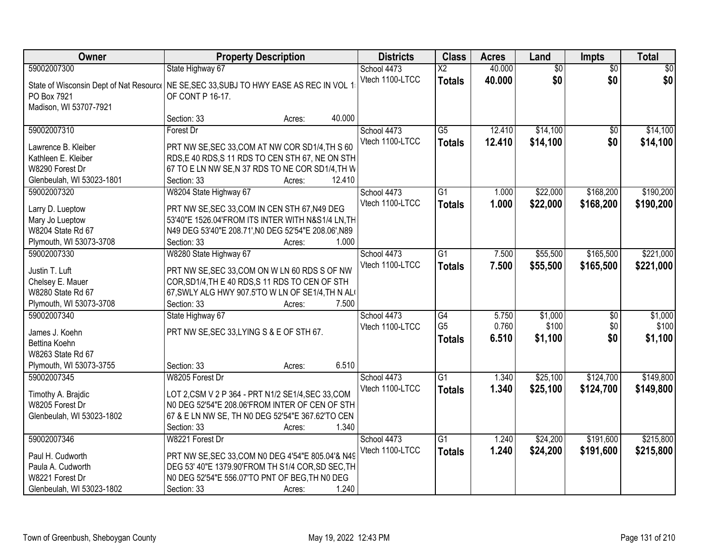| Owner                     | <b>Property Description</b>                                                              | <b>Districts</b> | <b>Class</b>           | <b>Acres</b> | Land            | <b>Impts</b>    | <b>Total</b> |
|---------------------------|------------------------------------------------------------------------------------------|------------------|------------------------|--------------|-----------------|-----------------|--------------|
| 59002007300               | State Highway 67                                                                         | School 4473      | $\overline{\text{X2}}$ | 40.000       | $\overline{50}$ | $\overline{50}$ | \$0          |
|                           | State of Wisconsin Dept of Nat Resourc   NE SE, SEC 33, SUBJ TO HWY EASE AS REC IN VOL 1 | Vtech 1100-LTCC  | <b>Totals</b>          | 40.000       | \$0             | \$0             | \$0          |
| PO Box 7921               | OF CONT P 16-17.                                                                         |                  |                        |              |                 |                 |              |
| Madison, WI 53707-7921    |                                                                                          |                  |                        |              |                 |                 |              |
|                           | 40.000<br>Section: 33<br>Acres:                                                          |                  |                        |              |                 |                 |              |
| 59002007310               | Forest Dr                                                                                | School 4473      | $\overline{G5}$        | 12.410       | \$14,100        | \$0             | \$14,100     |
| Lawrence B. Kleiber       | PRT NW SE, SEC 33, COM AT NW COR SD1/4, TH S 60                                          | Vtech 1100-LTCC  | <b>Totals</b>          | 12.410       | \$14,100        | \$0             | \$14,100     |
| Kathleen E. Kleiber       | RDS, E 40 RDS, S 11 RDS TO CEN STH 67, NE ON STH                                         |                  |                        |              |                 |                 |              |
| W8290 Forest Dr           | 67 TO E LN NW SE, N 37 RDS TO NE COR SD1/4, TH W                                         |                  |                        |              |                 |                 |              |
| Glenbeulah, WI 53023-1801 | 12.410<br>Section: 33<br>Acres:                                                          |                  |                        |              |                 |                 |              |
| 59002007320               | W8204 State Highway 67                                                                   | School 4473      | G1                     | 1.000        | \$22,000        | \$168,200       | \$190,200    |
|                           |                                                                                          | Vtech 1100-LTCC  | <b>Totals</b>          | 1.000        | \$22,000        | \$168,200       | \$190,200    |
| Larry D. Lueptow          | PRT NW SE, SEC 33, COM IN CEN STH 67, N49 DEG                                            |                  |                        |              |                 |                 |              |
| Mary Jo Lueptow           | 53'40"E 1526.04'FROM ITS INTER WITH N&S1/4 LN, TH                                        |                  |                        |              |                 |                 |              |
| W8204 State Rd 67         | N49 DEG 53'40"E 208.71', N0 DEG 52'54"E 208.06', N89                                     |                  |                        |              |                 |                 |              |
| Plymouth, WI 53073-3708   | Section: 33<br>1.000<br>Acres:                                                           |                  |                        |              |                 |                 |              |
| 59002007330               | W8280 State Highway 67                                                                   | School 4473      | $\overline{G1}$        | 7.500        | \$55,500        | \$165,500       | \$221,000    |
| Justin T. Luft            | PRT NW SE, SEC 33, COM ON W LN 60 RDS S OF NW                                            | Vtech 1100-LTCC  | <b>Totals</b>          | 7.500        | \$55,500        | \$165,500       | \$221,000    |
| Chelsey E. Mauer          | COR, SD1/4, TH E 40 RDS, S 11 RDS TO CEN OF STH                                          |                  |                        |              |                 |                 |              |
| W8280 State Rd 67         | 67, SWLY ALG HWY 907.5'TO W LN OF SE1/4, TH N AL                                         |                  |                        |              |                 |                 |              |
| Plymouth, WI 53073-3708   | 7.500<br>Section: 33<br>Acres:                                                           |                  |                        |              |                 |                 |              |
| 59002007340               | State Highway 67                                                                         | School 4473      | $\overline{G4}$        | 5.750        | \$1,000         | \$0             | \$1,000      |
| James J. Koehn            | PRT NW SE, SEC 33, LYING S & E OF STH 67.                                                | Vtech 1100-LTCC  | G <sub>5</sub>         | 0.760        | \$100           | \$0             | \$100        |
| Bettina Koehn             |                                                                                          |                  | <b>Totals</b>          | 6.510        | \$1,100         | \$0             | \$1,100      |
| W8263 State Rd 67         |                                                                                          |                  |                        |              |                 |                 |              |
| Plymouth, WI 53073-3755   | 6.510<br>Section: 33<br>Acres:                                                           |                  |                        |              |                 |                 |              |
| 59002007345               | W8205 Forest Dr                                                                          | School 4473      | $\overline{G1}$        | 1.340        | \$25,100        | \$124,700       | \$149,800    |
|                           |                                                                                          | Vtech 1100-LTCC  | <b>Totals</b>          | 1.340        | \$25,100        | \$124,700       | \$149,800    |
| Timothy A. Brajdic        | LOT 2, CSM V 2 P 364 - PRT N1/2 SE1/4, SEC 33, COM                                       |                  |                        |              |                 |                 |              |
| W8205 Forest Dr           | NO DEG 52'54"E 208.06'FROM INTER OF CEN OF STH                                           |                  |                        |              |                 |                 |              |
| Glenbeulah, WI 53023-1802 | 67 & E LN NW SE, TH N0 DEG 52'54"E 367.62'TO CEN                                         |                  |                        |              |                 |                 |              |
|                           | Section: 33<br>1.340<br>Acres:                                                           |                  |                        |              |                 |                 |              |
| 59002007346               | W8221 Forest Dr                                                                          | School 4473      | $\overline{G1}$        | 1.240        | \$24,200        | \$191,600       | \$215,800    |
| Paul H. Cudworth          | PRT NW SE, SEC 33, COM N0 DEG 4'54"E 805.04'& N49                                        | Vtech 1100-LTCC  | <b>Totals</b>          | 1.240        | \$24,200        | \$191,600       | \$215,800    |
| Paula A. Cudworth         | DEG 53' 40"E 1379.90'FROM TH S1/4 COR, SD SEC, TH                                        |                  |                        |              |                 |                 |              |
| W8221 Forest Dr           | N0 DEG 52'54"E 556.07'TO PNT OF BEG, TH N0 DEG                                           |                  |                        |              |                 |                 |              |
| Glenbeulah, WI 53023-1802 | 1.240<br>Section: 33<br>Acres:                                                           |                  |                        |              |                 |                 |              |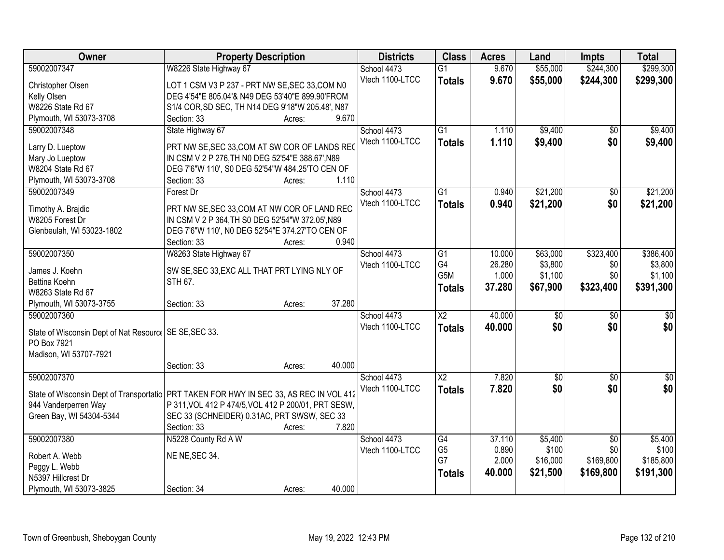| <b>Owner</b>                                             | <b>Property Description</b>                                                             | <b>Districts</b> | <b>Class</b>           | <b>Acres</b> | Land            | Impts           | <b>Total</b>     |
|----------------------------------------------------------|-----------------------------------------------------------------------------------------|------------------|------------------------|--------------|-----------------|-----------------|------------------|
| 59002007347                                              | W8226 State Highway 67                                                                  | School 4473      | $\overline{G1}$        | 9.670        | \$55,000        | \$244,300       | \$299,300        |
| Christopher Olsen                                        | LOT 1 CSM V3 P 237 - PRT NW SE, SEC 33, COM N0                                          | Vtech 1100-LTCC  | <b>Totals</b>          | 9.670        | \$55,000        | \$244,300       | \$299,300        |
| Kelly Olsen                                              | DEG 4'54"E 805.04'& N49 DEG 53'40"E 899.90'FROM                                         |                  |                        |              |                 |                 |                  |
| W8226 State Rd 67                                        | S1/4 COR, SD SEC, TH N14 DEG 9'18"W 205.48', N87                                        |                  |                        |              |                 |                 |                  |
| Plymouth, WI 53073-3708                                  | 9.670<br>Section: 33<br>Acres:                                                          |                  |                        |              |                 |                 |                  |
| 59002007348                                              | State Highway 67                                                                        | School 4473      | $\overline{G1}$        | 1.110        | \$9,400         | \$0             | \$9,400          |
|                                                          |                                                                                         | Vtech 1100-LTCC  | <b>Totals</b>          | 1.110        | \$9,400         | \$0             | \$9,400          |
| Larry D. Lueptow                                         | PRT NW SE, SEC 33, COM AT SW COR OF LANDS REC                                           |                  |                        |              |                 |                 |                  |
| Mary Jo Lueptow                                          | IN CSM V 2 P 276, TH NO DEG 52'54"E 388.67', N89                                        |                  |                        |              |                 |                 |                  |
| W8204 State Rd 67                                        | DEG 7'6"W 110', S0 DEG 52'54"W 484.25'TO CEN OF                                         |                  |                        |              |                 |                 |                  |
| Plymouth, WI 53073-3708                                  | 1.110<br>Section: 33<br>Acres:                                                          |                  |                        |              |                 |                 |                  |
| 59002007349                                              | Forest Dr                                                                               | School 4473      | G1                     | 0.940        | \$21,200        | \$0             | \$21,200         |
| Timothy A. Braidic                                       | PRT NW SE, SEC 33, COM AT NW COR OF LAND REC                                            | Vtech 1100-LTCC  | <b>Totals</b>          | 0.940        | \$21,200        | \$0             | \$21,200         |
| W8205 Forest Dr                                          | IN CSM V 2 P 364, TH S0 DEG 52'54"W 372.05', N89                                        |                  |                        |              |                 |                 |                  |
| Glenbeulah, WI 53023-1802                                | DEG 7'6"W 110', N0 DEG 52'54"E 374.27'TO CEN OF                                         |                  |                        |              |                 |                 |                  |
|                                                          | Section: 33<br>0.940<br>Acres:                                                          |                  |                        |              |                 |                 |                  |
| 59002007350                                              | W8263 State Highway 67                                                                  | School 4473      | G1                     | 10.000       | \$63,000        | \$323,400       | \$386,400        |
|                                                          |                                                                                         | Vtech 1100-LTCC  | G4                     | 26.280       | \$3,800         | \$0             | \$3,800          |
| James J. Koehn                                           | SW SE, SEC 33, EXC ALL THAT PRT LYING NLY OF                                            |                  | G5M                    | 1.000        | \$1,100         | \$0             | \$1,100          |
| Bettina Koehn                                            | STH 67.                                                                                 |                  | <b>Totals</b>          | 37.280       | \$67,900        | \$323,400       | \$391,300        |
| W8263 State Rd 67                                        |                                                                                         |                  |                        |              |                 |                 |                  |
| Plymouth, WI 53073-3755                                  | 37.280<br>Section: 33<br>Acres:                                                         |                  |                        |              |                 |                 |                  |
| 59002007360                                              |                                                                                         | School 4473      | $\overline{\text{X2}}$ | 40.000       | $\overline{50}$ | $\overline{50}$ | \$0              |
| State of Wisconsin Dept of Nat Resource   SE SE, SEC 33. |                                                                                         | Vtech 1100-LTCC  | <b>Totals</b>          | 40.000       | \$0             | \$0             | \$0              |
| PO Box 7921                                              |                                                                                         |                  |                        |              |                 |                 |                  |
| Madison, WI 53707-7921                                   |                                                                                         |                  |                        |              |                 |                 |                  |
|                                                          | 40.000<br>Section: 33<br>Acres:                                                         |                  |                        |              |                 |                 |                  |
| 59002007370                                              |                                                                                         | School 4473      | $\overline{X2}$        | 7.820        | $\overline{50}$ | $\overline{50}$ | $\overline{\$0}$ |
|                                                          |                                                                                         | Vtech 1100-LTCC  | <b>Totals</b>          | 7.820        | \$0             | \$0             | \$0              |
|                                                          | State of Wisconsin Dept of Transportatic PRT TAKEN FOR HWY IN SEC 33, AS REC IN VOL 412 |                  |                        |              |                 |                 |                  |
| 944 Vanderperren Way                                     | P 311, VOL 412 P 474/5, VOL 412 P 200/01, PRT SESW,                                     |                  |                        |              |                 |                 |                  |
| Green Bay, WI 54304-5344                                 | SEC 33 (SCHNEIDER) 0.31AC, PRT SWSW, SEC 33                                             |                  |                        |              |                 |                 |                  |
|                                                          | Section: 33<br>7.820<br>Acres:                                                          |                  |                        |              |                 |                 |                  |
| 59002007380                                              | N5228 County Rd A W                                                                     | School 4473      | G4                     | 37.110       | \$5,400         | $\overline{50}$ | \$5,400          |
| Robert A. Webb                                           | NE NE, SEC 34.                                                                          | Vtech 1100-LTCC  | G <sub>5</sub>         | 0.890        | \$100           | \$0             | \$100            |
| Peggy L. Webb                                            |                                                                                         |                  | G7                     | 2.000        | \$16,000        | \$169,800       | \$185,800        |
| N5397 Hillcrest Dr                                       |                                                                                         |                  | <b>Totals</b>          | 40.000       | \$21,500        | \$169,800       | \$191,300        |
| Plymouth, WI 53073-3825                                  | 40.000<br>Section: 34<br>Acres:                                                         |                  |                        |              |                 |                 |                  |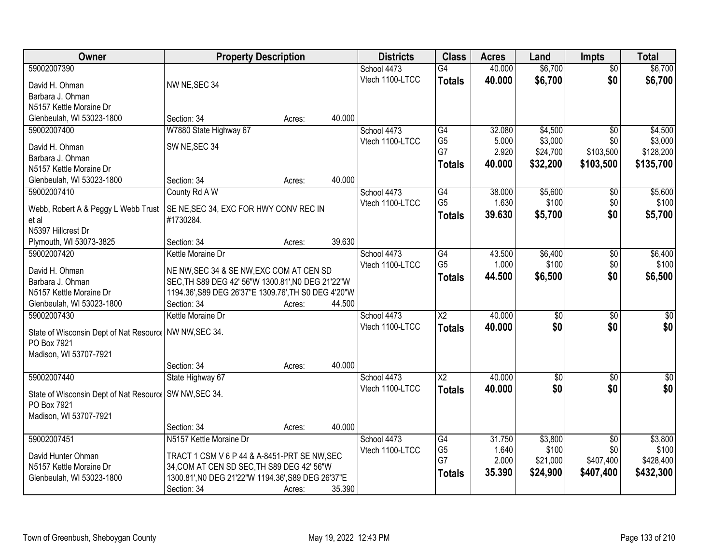| Owner                                                   | <b>Property Description</b>                          |        |        | <b>Districts</b> | <b>Class</b>    | <b>Acres</b> | Land            | <b>Impts</b>    | <b>Total</b>     |
|---------------------------------------------------------|------------------------------------------------------|--------|--------|------------------|-----------------|--------------|-----------------|-----------------|------------------|
| 59002007390                                             |                                                      |        |        | School 4473      | G4              | 40.000       | \$6,700         | $\overline{50}$ | \$6,700          |
| David H. Ohman                                          | NW NE, SEC 34                                        |        |        | Vtech 1100-LTCC  | <b>Totals</b>   | 40.000       | \$6,700         | \$0             | \$6,700          |
| Barbara J. Ohman                                        |                                                      |        |        |                  |                 |              |                 |                 |                  |
| N5157 Kettle Moraine Dr                                 |                                                      |        |        |                  |                 |              |                 |                 |                  |
| Glenbeulah, WI 53023-1800                               | Section: 34                                          | Acres: | 40.000 |                  |                 |              |                 |                 |                  |
| 59002007400                                             | W7880 State Highway 67                               |        |        | School 4473      | G4              | 32.080       | \$4,500         | $\overline{50}$ | \$4,500          |
|                                                         |                                                      |        |        | Vtech 1100-LTCC  | G <sub>5</sub>  | 5.000        | \$3,000         | \$0             | \$3,000          |
| David H. Ohman                                          | SW NE, SEC 34                                        |        |        |                  | G7              | 2.920        | \$24,700        | \$103,500       | \$128,200        |
| Barbara J. Ohman                                        |                                                      |        |        |                  | <b>Totals</b>   | 40.000       | \$32,200        | \$103,500       | \$135,700        |
| N5157 Kettle Moraine Dr                                 |                                                      |        |        |                  |                 |              |                 |                 |                  |
| Glenbeulah, WI 53023-1800                               | Section: 34                                          | Acres: | 40.000 |                  |                 |              |                 |                 |                  |
| 59002007410                                             | County Rd A W                                        |        |        | School 4473      | $\overline{G4}$ | 38.000       | \$5,600         | $\sqrt[6]{}$    | \$5,600          |
| Webb, Robert A & Peggy L Webb Trust                     | SE NE, SEC 34, EXC FOR HWY CONV REC IN               |        |        | Vtech 1100-LTCC  | G <sub>5</sub>  | 1.630        | \$100           | \$0             | \$100            |
| et al                                                   | #1730284.                                            |        |        |                  | <b>Totals</b>   | 39.630       | \$5,700         | \$0             | \$5,700          |
| N5397 Hillcrest Dr                                      |                                                      |        |        |                  |                 |              |                 |                 |                  |
| Plymouth, WI 53073-3825                                 | Section: 34                                          | Acres: | 39.630 |                  |                 |              |                 |                 |                  |
| 59002007420                                             | Kettle Moraine Dr                                    |        |        | School 4473      | G4              | 43.500       | \$6,400         | \$0             | \$6,400          |
|                                                         |                                                      |        |        | Vtech 1100-LTCC  | G <sub>5</sub>  | 1.000        | \$100           | \$0             | \$100            |
| David H. Ohman                                          | NE NW, SEC 34 & SE NW, EXC COM AT CEN SD             |        |        |                  | <b>Totals</b>   | 44.500       | \$6,500         | \$0             | \$6,500          |
| Barbara J. Ohman                                        | SEC, TH S89 DEG 42' 56"W 1300.81', NO DEG 21'22"W    |        |        |                  |                 |              |                 |                 |                  |
| N5157 Kettle Moraine Dr                                 | 1194.36', S89 DEG 26'37"E 1309.76', TH S0 DEG 4'20"W |        |        |                  |                 |              |                 |                 |                  |
| Glenbeulah, WI 53023-1800                               | Section: 34                                          | Acres: | 44.500 |                  |                 |              |                 |                 |                  |
| 59002007430                                             | Kettle Moraine Dr                                    |        |        | School 4473      | $\overline{X2}$ | 40.000       | $\overline{50}$ | $\overline{50}$ | $\sqrt{50}$      |
| State of Wisconsin Dept of Nat Resourc   NW NW, SEC 34. |                                                      |        |        | Vtech 1100-LTCC  | <b>Totals</b>   | 40.000       | \$0             | \$0             | \$0              |
| PO Box 7921                                             |                                                      |        |        |                  |                 |              |                 |                 |                  |
| Madison, WI 53707-7921                                  |                                                      |        |        |                  |                 |              |                 |                 |                  |
|                                                         | Section: 34                                          | Acres: | 40.000 |                  |                 |              |                 |                 |                  |
| 59002007440                                             | State Highway 67                                     |        |        | School 4473      | $\overline{X2}$ | 40.000       | $\overline{50}$ | $\overline{50}$ | $\overline{\$0}$ |
|                                                         |                                                      |        |        | Vtech 1100-LTCC  | <b>Totals</b>   | 40.000       | \$0             | \$0             | \$0              |
| State of Wisconsin Dept of Nat Resourc   SW NW, SEC 34. |                                                      |        |        |                  |                 |              |                 |                 |                  |
| PO Box 7921                                             |                                                      |        |        |                  |                 |              |                 |                 |                  |
| Madison, WI 53707-7921                                  |                                                      |        |        |                  |                 |              |                 |                 |                  |
|                                                         | Section: 34                                          | Acres: | 40.000 |                  |                 |              |                 |                 |                  |
| 59002007451                                             | N5157 Kettle Moraine Dr                              |        |        | School 4473      | G4              | 31.750       | \$3,800         | $\overline{50}$ | \$3,800          |
| David Hunter Ohman                                      | TRACT 1 CSM V 6 P 44 & A-8451-PRT SE NW, SEC         |        |        | Vtech 1100-LTCC  | G <sub>5</sub>  | 1.640        | \$100           | \$0             | \$100            |
| N5157 Kettle Moraine Dr                                 | 34, COM AT CEN SD SEC, TH S89 DEG 42' 56"W           |        |        |                  | G7              | 2.000        | \$21,000        | \$407,400       | \$428,400        |
| Glenbeulah, WI 53023-1800                               | 1300.81', NO DEG 21'22"W 1194.36', S89 DEG 26'37"E   |        |        |                  | <b>Totals</b>   | 35.390       | \$24,900        | \$407,400       | \$432,300        |
|                                                         | Section: 34                                          | Acres: | 35.390 |                  |                 |              |                 |                 |                  |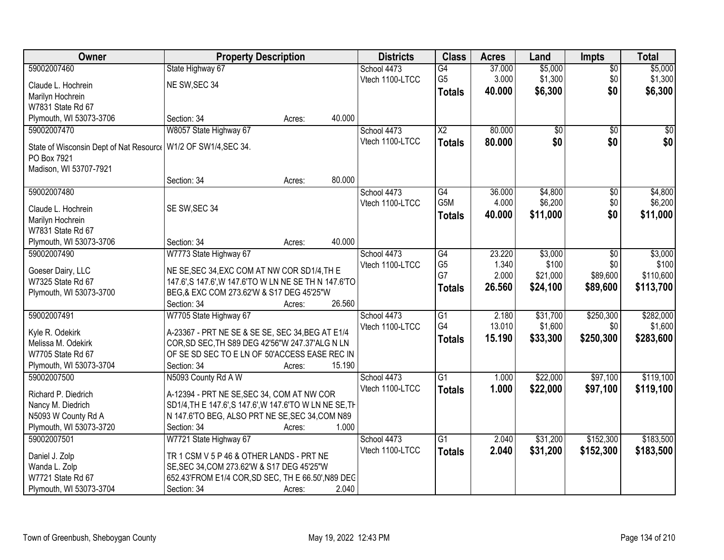| Owner                                                         | <b>Property Description</b>                                                                                     |        |        | <b>Districts</b> | <b>Class</b>    | <b>Acres</b> | Land            | <b>Impts</b>    | <b>Total</b> |
|---------------------------------------------------------------|-----------------------------------------------------------------------------------------------------------------|--------|--------|------------------|-----------------|--------------|-----------------|-----------------|--------------|
| 59002007460                                                   | State Highway 67                                                                                                |        |        | School 4473      | $\overline{G4}$ | 37.000       | \$5,000         | $\overline{50}$ | \$5,000      |
| Claude L. Hochrein                                            | NE SW, SEC 34                                                                                                   |        |        | Vtech 1100-LTCC  | G <sub>5</sub>  | 3.000        | \$1,300         | \$0             | \$1,300      |
| Marilyn Hochrein                                              |                                                                                                                 |        |        |                  | <b>Totals</b>   | 40.000       | \$6,300         | \$0             | \$6,300      |
| W7831 State Rd 67                                             |                                                                                                                 |        |        |                  |                 |              |                 |                 |              |
| Plymouth, WI 53073-3706                                       | Section: 34                                                                                                     | Acres: | 40.000 |                  |                 |              |                 |                 |              |
| 59002007470                                                   | W8057 State Highway 67                                                                                          |        |        | School 4473      | $\overline{X2}$ | 80.000       | $\overline{50}$ | $\overline{50}$ | $\sqrt{50}$  |
|                                                               |                                                                                                                 |        |        | Vtech 1100-LTCC  | <b>Totals</b>   | 80.000       | \$0             | \$0             | \$0          |
| State of Wisconsin Dept of Nat Resource                       | W1/2 OF SW1/4, SEC 34.                                                                                          |        |        |                  |                 |              |                 |                 |              |
| PO Box 7921                                                   |                                                                                                                 |        |        |                  |                 |              |                 |                 |              |
| Madison, WI 53707-7921                                        | Section: 34                                                                                                     |        | 80.000 |                  |                 |              |                 |                 |              |
| 59002007480                                                   |                                                                                                                 | Acres: |        | School 4473      | G4              | 36.000       | \$4,800         | $\overline{50}$ | \$4,800      |
|                                                               |                                                                                                                 |        |        | Vtech 1100-LTCC  | G5M             | 4.000        | \$6,200         | \$0             | \$6,200      |
| Claude L. Hochrein                                            | SE SW, SEC 34                                                                                                   |        |        |                  |                 | 40.000       | \$11,000        | \$0             | \$11,000     |
| Marilyn Hochrein                                              |                                                                                                                 |        |        |                  | <b>Totals</b>   |              |                 |                 |              |
| W7831 State Rd 67                                             |                                                                                                                 |        |        |                  |                 |              |                 |                 |              |
| Plymouth, WI 53073-3706                                       | Section: 34                                                                                                     | Acres: | 40.000 |                  |                 |              |                 |                 |              |
| 59002007490                                                   | W7773 State Highway 67                                                                                          |        |        | School 4473      | $\overline{G4}$ | 23.220       | \$3,000         | \$0             | \$3,000      |
| Goeser Dairy, LLC                                             | NE SE, SEC 34, EXC COM AT NW COR SD1/4, TH E                                                                    |        |        | Vtech 1100-LTCC  | G <sub>5</sub>  | 1.340        | \$100           | \$0             | \$100        |
| W7325 State Rd 67                                             | 147.6', S 147.6', W 147.6'TO W LN NE SE TH N 147.6'TO                                                           |        |        |                  | G7              | 2.000        | \$21,000        | \$89,600        | \$110,600    |
| Plymouth, WI 53073-3700                                       | BEG,& EXC COM 273.62'W & S17 DEG 45'25"W                                                                        |        |        |                  | <b>Totals</b>   | 26.560       | \$24,100        | \$89,600        | \$113,700    |
|                                                               | Section: 34                                                                                                     | Acres: | 26.560 |                  |                 |              |                 |                 |              |
| 59002007491                                                   | W7705 State Highway 67                                                                                          |        |        | School 4473      | $\overline{G1}$ | 2.180        | \$31,700        | \$250,300       | \$282,000    |
|                                                               |                                                                                                                 |        |        | Vtech 1100-LTCC  | G4              | 13.010       | \$1,600         | \$0             | \$1,600      |
| Kyle R. Odekirk                                               | A-23367 - PRT NE SE & SE SE, SEC 34, BEG AT E1/4                                                                |        |        |                  | <b>Totals</b>   | 15.190       | \$33,300        | \$250,300       | \$283,600    |
| Melissa M. Odekirk                                            | COR, SD SEC, TH S89 DEG 42'56"W 247.37'ALG N LN                                                                 |        |        |                  |                 |              |                 |                 |              |
| W7705 State Rd 67                                             | OF SE SD SEC TO E LN OF 50'ACCESS EASE REC IN                                                                   |        |        |                  |                 |              |                 |                 |              |
| Plymouth, WI 53073-3704                                       | Section: 34                                                                                                     | Acres: | 15.190 |                  |                 |              |                 |                 |              |
| 59002007500                                                   | N5093 County Rd A W                                                                                             |        |        | School 4473      | $\overline{G1}$ | 1.000        | \$22,000        | \$97,100        | \$119,100    |
| Richard P. Diedrich                                           | A-12394 - PRT NE SE, SEC 34, COM AT NW COR                                                                      |        |        | Vtech 1100-LTCC  | <b>Totals</b>   | 1.000        | \$22,000        | \$97,100        | \$119,100    |
| Nancy M. Diedrich                                             | SD1/4, TH E 147.6', S 147.6', W 147.6'TO W LN NE SE, TH                                                         |        |        |                  |                 |              |                 |                 |              |
| N5093 W County Rd A                                           | N 147.6'TO BEG, ALSO PRT NE SE, SEC 34, COM N89                                                                 |        |        |                  |                 |              |                 |                 |              |
| Plymouth, WI 53073-3720                                       | Section: 34                                                                                                     | Acres: | 1.000  |                  |                 |              |                 |                 |              |
| 59002007501                                                   | W7721 State Highway 67                                                                                          |        |        | School 4473      | $\overline{G1}$ | 2.040        | \$31,200        | \$152,300       | \$183,500    |
|                                                               |                                                                                                                 |        |        | Vtech 1100-LTCC  | <b>Totals</b>   | 2.040        | \$31,200        | \$152,300       | \$183,500    |
| Daniel J. Zolp                                                | TR 1 CSM V 5 P 46 & OTHER LANDS - PRT NE                                                                        |        |        |                  |                 |              |                 |                 |              |
|                                                               |                                                                                                                 |        |        |                  |                 |              |                 |                 |              |
|                                                               |                                                                                                                 |        |        |                  |                 |              |                 |                 |              |
| Wanda L. Zolp<br>W7721 State Rd 67<br>Plymouth, WI 53073-3704 | SE, SEC 34, COM 273.62'W & S17 DEG 45'25"W<br>652.43'FROM E1/4 COR, SD SEC, TH E 66.50', N89 DEC<br>Section: 34 | Acres: | 2.040  |                  |                 |              |                 |                 |              |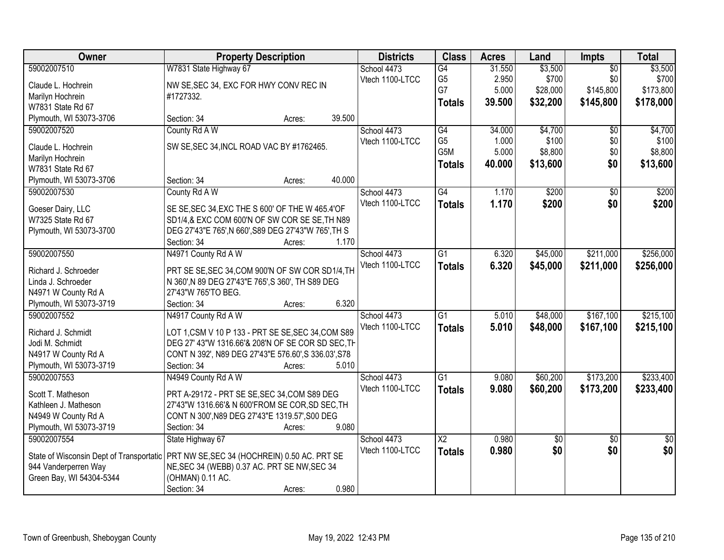| Owner                                    | <b>Property Description</b>                          |        |        | <b>Districts</b> | <b>Class</b>           | <b>Acres</b> | Land            | <b>Impts</b>    | <b>Total</b>    |
|------------------------------------------|------------------------------------------------------|--------|--------|------------------|------------------------|--------------|-----------------|-----------------|-----------------|
| 59002007510                              | W7831 State Highway 67                               |        |        | School 4473      | G4                     | 31.550       | \$3,500         | $\overline{50}$ | \$3,500         |
| Claude L. Hochrein                       | NW SE, SEC 34, EXC FOR HWY CONV REC IN               |        |        | Vtech 1100-LTCC  | G <sub>5</sub>         | 2.950        | \$700           | \$0             | \$700           |
| Marilyn Hochrein                         | #1727332.                                            |        |        |                  | G7                     | 5.000        | \$28,000        | \$145,800       | \$173,800       |
| W7831 State Rd 67                        |                                                      |        |        |                  | <b>Totals</b>          | 39.500       | \$32,200        | \$145,800       | \$178,000       |
| Plymouth, WI 53073-3706                  | Section: 34                                          | Acres: | 39.500 |                  |                        |              |                 |                 |                 |
| 59002007520                              | County Rd A W                                        |        |        | School 4473      | G4                     | 34.000       | \$4,700         | \$0             | \$4,700         |
|                                          |                                                      |        |        | Vtech 1100-LTCC  | G <sub>5</sub>         | 1.000        | \$100           | \$0             | \$100           |
| Claude L. Hochrein                       | SW SE, SEC 34, INCL ROAD VAC BY #1762465.            |        |        |                  | G <sub>5</sub> M       | 5.000        | \$8,800         | \$0             | \$8,800         |
| Marilyn Hochrein                         |                                                      |        |        |                  | <b>Totals</b>          | 40.000       | \$13,600        | \$0             | \$13,600        |
| W7831 State Rd 67                        |                                                      |        |        |                  |                        |              |                 |                 |                 |
| Plymouth, WI 53073-3706                  | Section: 34                                          | Acres: | 40.000 |                  |                        |              |                 |                 |                 |
| 59002007530                              | County Rd A W                                        |        |        | School 4473      | $\overline{G4}$        | 1.170        | \$200           | $\overline{50}$ | \$200           |
| Goeser Dairy, LLC                        | SE SE, SEC 34, EXC THE S 600' OF THE W 465.4' OF     |        |        | Vtech 1100-LTCC  | <b>Totals</b>          | 1.170        | \$200           | \$0             | \$200           |
| W7325 State Rd 67                        | SD1/4,& EXC COM 600'N OF SW COR SE SE, TH N89        |        |        |                  |                        |              |                 |                 |                 |
| Plymouth, WI 53073-3700                  | DEG 27'43"E 765', N 660', S89 DEG 27'43"W 765', TH S |        |        |                  |                        |              |                 |                 |                 |
|                                          | Section: 34                                          | Acres: | 1.170  |                  |                        |              |                 |                 |                 |
| 59002007550                              | N4971 County Rd A W                                  |        |        | School 4473      | $\overline{G1}$        | 6.320        | \$45,000        | \$211,000       | \$256,000       |
|                                          |                                                      |        |        | Vtech 1100-LTCC  | <b>Totals</b>          | 6.320        | \$45,000        | \$211,000       | \$256,000       |
| Richard J. Schroeder                     | PRT SE SE, SEC 34, COM 900'N OF SW COR SD1/4, TH     |        |        |                  |                        |              |                 |                 |                 |
| Linda J. Schroeder                       | N 360', N 89 DEG 27'43"E 765', S 360', TH S89 DEG    |        |        |                  |                        |              |                 |                 |                 |
| N4971 W County Rd A                      | 27'43"W 765'TO BEG.                                  |        |        |                  |                        |              |                 |                 |                 |
| Plymouth, WI 53073-3719                  | Section: 34                                          | Acres: | 6.320  |                  |                        |              |                 |                 |                 |
| 59002007552                              | N4917 County Rd A W                                  |        |        | School 4473      | $\overline{G1}$        | 5.010        | \$48,000        | \$167,100       | \$215,100       |
| Richard J. Schmidt                       | LOT 1, CSM V 10 P 133 - PRT SE SE, SEC 34, COM S89   |        |        | Vtech 1100-LTCC  | <b>Totals</b>          | 5.010        | \$48,000        | \$167,100       | \$215,100       |
| Jodi M. Schmidt                          | DEG 27' 43"W 1316.66'& 208'N OF SE COR SD SEC, TH    |        |        |                  |                        |              |                 |                 |                 |
| N4917 W County Rd A                      | CONT N 392', N89 DEG 27'43"E 576.60', S 336.03', S78 |        |        |                  |                        |              |                 |                 |                 |
| Plymouth, WI 53073-3719                  | Section: 34                                          | Acres: | 5.010  |                  |                        |              |                 |                 |                 |
| 59002007553                              | N4949 County Rd A W                                  |        |        | School 4473      | $\overline{G1}$        | 9.080        | \$60,200        | \$173,200       | \$233,400       |
|                                          |                                                      |        |        | Vtech 1100-LTCC  | <b>Totals</b>          | 9.080        | \$60,200        | \$173,200       | \$233,400       |
| Scott T. Matheson                        | PRT A-29172 - PRT SE SE, SEC 34, COM S89 DEG         |        |        |                  |                        |              |                 |                 |                 |
| Kathleen J. Matheson                     | 27'43"W 1316.66'& N 600'FROM SE COR, SD SEC, TH      |        |        |                  |                        |              |                 |                 |                 |
| N4949 W County Rd A                      | CONT N 300', N89 DEG 27'43"E 1319.57', S00 DEG       |        |        |                  |                        |              |                 |                 |                 |
| Plymouth, WI 53073-3719                  | Section: 34                                          | Acres: | 9.080  |                  |                        |              |                 |                 |                 |
| 59002007554                              | State Highway 67                                     |        |        | School 4473      | $\overline{\text{X2}}$ | 0.980        | $\overline{50}$ | $\overline{30}$ | $\overline{30}$ |
| State of Wisconsin Dept of Transportatic | PRT NW SE, SEC 34 (HOCHREIN) 0.50 AC. PRT SE         |        |        | Vtech 1100-LTCC  | <b>Totals</b>          | 0.980        | \$0             | \$0             | \$0             |
| 944 Vanderperren Way                     | NE, SEC 34 (WEBB) 0.37 AC. PRT SE NW, SEC 34         |        |        |                  |                        |              |                 |                 |                 |
| Green Bay, WI 54304-5344                 | (OHMAN) 0.11 AC.                                     |        |        |                  |                        |              |                 |                 |                 |
|                                          | Section: 34                                          | Acres: | 0.980  |                  |                        |              |                 |                 |                 |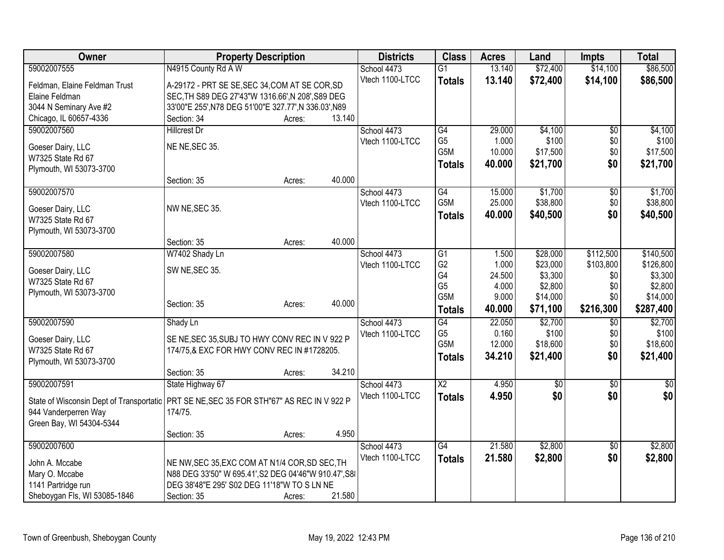| Owner                                    | <b>Property Description</b>                           |        |        | <b>Districts</b> | <b>Class</b>                       | <b>Acres</b>    | Land               | <b>Impts</b>    | <b>Total</b>       |
|------------------------------------------|-------------------------------------------------------|--------|--------|------------------|------------------------------------|-----------------|--------------------|-----------------|--------------------|
| 59002007555                              | N4915 County Rd A W                                   |        |        | School 4473      | $\overline{G1}$                    | 13.140          | \$72,400           | \$14,100        | \$86,500           |
| Feldman, Elaine Feldman Trust            | A-29172 - PRT SE SE, SEC 34, COM AT SE COR, SD        |        |        | Vtech 1100-LTCC  | <b>Totals</b>                      | 13.140          | \$72,400           | \$14,100        | \$86,500           |
| Elaine Feldman                           | SEC, TH S89 DEG 27'43"W 1316.66', N 208', S89 DEG     |        |        |                  |                                    |                 |                    |                 |                    |
| 3044 N Seminary Ave #2                   | 33'00"E 255', N78 DEG 51'00"E 327.77', N 336.03', N89 |        |        |                  |                                    |                 |                    |                 |                    |
| Chicago, IL 60657-4336                   | Section: 34                                           | Acres: | 13.140 |                  |                                    |                 |                    |                 |                    |
| 59002007560                              | <b>Hillcrest Dr</b>                                   |        |        | School 4473      | G4                                 | 29.000          | \$4,100            | \$0             | \$4,100            |
|                                          |                                                       |        |        | Vtech 1100-LTCC  | G <sub>5</sub>                     | 1.000           | \$100              | \$0             | \$100              |
| Goeser Dairy, LLC<br>W7325 State Rd 67   | NE NE, SEC 35.                                        |        |        |                  | G <sub>5</sub> M                   | 10.000          | \$17,500           | \$0             | \$17,500           |
| Plymouth, WI 53073-3700                  |                                                       |        |        |                  | <b>Totals</b>                      | 40.000          | \$21,700           | \$0             | \$21,700           |
|                                          | Section: 35                                           | Acres: | 40.000 |                  |                                    |                 |                    |                 |                    |
| 59002007570                              |                                                       |        |        | School 4473      | G4                                 | 15.000          | \$1,700            | $\overline{50}$ | \$1,700            |
|                                          |                                                       |        |        | Vtech 1100-LTCC  | G <sub>5</sub> M                   | 25.000          | \$38,800           | \$0             | \$38,800           |
| Goeser Dairy, LLC                        | NW NE, SEC 35.                                        |        |        |                  | <b>Totals</b>                      | 40.000          | \$40,500           | \$0             | \$40,500           |
| W7325 State Rd 67                        |                                                       |        |        |                  |                                    |                 |                    |                 |                    |
| Plymouth, WI 53073-3700                  |                                                       |        |        |                  |                                    |                 |                    |                 |                    |
|                                          | Section: 35                                           | Acres: | 40.000 |                  |                                    |                 |                    |                 |                    |
| 59002007580                              | W7402 Shady Ln                                        |        |        | School 4473      | $\overline{G1}$                    | 1.500           | \$28,000           | \$112,500       | \$140,500          |
| Goeser Dairy, LLC                        | SW NE, SEC 35.                                        |        |        | Vtech 1100-LTCC  | G <sub>2</sub>                     | 1.000           | \$23,000           | \$103,800       | \$126,800          |
| W7325 State Rd 67                        |                                                       |        |        |                  | G4<br>G <sub>5</sub>               | 24.500<br>4.000 | \$3,300<br>\$2,800 | \$0             | \$3,300<br>\$2,800 |
| Plymouth, WI 53073-3700                  |                                                       |        |        |                  | G5M                                | 9.000           | \$14,000           | \$0<br>\$0      | \$14,000           |
|                                          | Section: 35                                           | Acres: | 40.000 |                  |                                    | 40.000          | \$71,100           | \$216,300       | \$287,400          |
|                                          |                                                       |        |        |                  | <b>Totals</b>                      |                 |                    |                 |                    |
| 59002007590                              | Shady Ln                                              |        |        | School 4473      | G4                                 | 22.050          | \$2,700            | \$0             | \$2,700            |
| Goeser Dairy, LLC                        | SE NE, SEC 35, SUBJ TO HWY CONV REC IN V 922 P        |        |        | Vtech 1100-LTCC  | G <sub>5</sub><br>G <sub>5</sub> M | 0.160<br>12.000 | \$100<br>\$18,600  | \$0<br>\$0      | \$100<br>\$18,600  |
| W7325 State Rd 67                        | 174/75,& EXC FOR HWY CONV REC IN #1728205.            |        |        |                  |                                    |                 |                    |                 |                    |
| Plymouth, WI 53073-3700                  |                                                       |        |        |                  | <b>Totals</b>                      | 34.210          | \$21,400           | \$0             | \$21,400           |
|                                          | Section: 35                                           | Acres: | 34.210 |                  |                                    |                 |                    |                 |                    |
| 59002007591                              | State Highway 67                                      |        |        | School 4473      | $\overline{X2}$                    | 4.950           | $\overline{50}$    | $\sqrt[6]{}$    | \$0                |
| State of Wisconsin Dept of Transportatic | PRT SE NE, SEC 35 FOR STH"67" AS REC IN V 922 P       |        |        | Vtech 1100-LTCC  | <b>Totals</b>                      | 4.950           | \$0                | \$0             | \$0                |
| 944 Vanderperren Way                     | 174/75.                                               |        |        |                  |                                    |                 |                    |                 |                    |
| Green Bay, WI 54304-5344                 |                                                       |        |        |                  |                                    |                 |                    |                 |                    |
|                                          | Section: 35                                           | Acres: | 4.950  |                  |                                    |                 |                    |                 |                    |
| 59002007600                              |                                                       |        |        | School 4473      | G4                                 | 21.580          | \$2,800            | \$0             | \$2,800            |
|                                          |                                                       |        |        | Vtech 1100-LTCC  | <b>Totals</b>                      | 21.580          | \$2,800            | \$0             | \$2,800            |
| John A. Mccabe                           | NE NW, SEC 35, EXC COM AT N1/4 COR, SD SEC, TH        |        |        |                  |                                    |                 |                    |                 |                    |
| Mary O. Mccabe                           | N88 DEG 33'50" W 695.41', S2 DEG 04'46"W 910.47', S8  |        |        |                  |                                    |                 |                    |                 |                    |
| 1141 Partridge run                       | DEG 38'48"E 295' S02 DEG 11'18"W TO S LN NE           |        |        |                  |                                    |                 |                    |                 |                    |
| Sheboygan Fls, WI 53085-1846             | Section: 35                                           | Acres: | 21.580 |                  |                                    |                 |                    |                 |                    |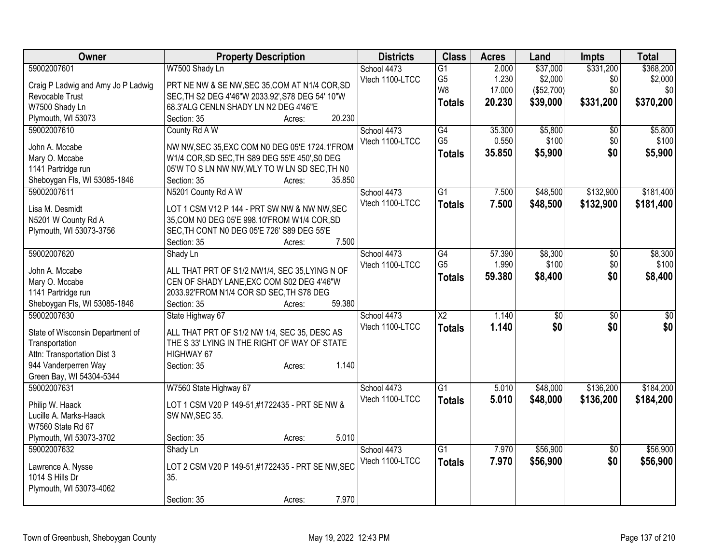| Owner                                       | <b>Property Description</b>                                            | <b>Districts</b> | <b>Class</b>           | <b>Acres</b> | Land       | <b>Impts</b>    | <b>Total</b> |
|---------------------------------------------|------------------------------------------------------------------------|------------------|------------------------|--------------|------------|-----------------|--------------|
| 59002007601                                 | W7500 Shady Ln                                                         | School 4473      | $\overline{G1}$        | 2.000        | \$37,000   | \$331,200       | \$368,200    |
| Craig P Ladwig and Amy Jo P Ladwig          | PRT NE NW & SE NW, SEC 35, COM AT N1/4 COR, SD                         | Vtech 1100-LTCC  | G <sub>5</sub>         | 1.230        | \$2,000    | \$0             | \$2,000      |
| Revocable Trust                             | SEC, TH S2 DEG 4'46"W 2033.92', S78 DEG 54' 10"W                       |                  | W <sub>8</sub>         | 17.000       | (\$52,700) | \$0             | \$0          |
| W7500 Shady Ln                              | 68.3'ALG CENLN SHADY LN N2 DEG 4'46"E                                  |                  | <b>Totals</b>          | 20.230       | \$39,000   | \$331,200       | \$370,200    |
| Plymouth, WI 53073                          | 20.230<br>Section: 35<br>Acres:                                        |                  |                        |              |            |                 |              |
| 59002007610                                 | County Rd A W                                                          | School 4473      | G4                     | 35.300       | \$5,800    | \$0             | \$5,800      |
|                                             |                                                                        | Vtech 1100-LTCC  | G <sub>5</sub>         | 0.550        | \$100      | \$0             | \$100        |
| John A. Mccabe                              | NW NW, SEC 35, EXC COM N0 DEG 05'E 1724.1'FROM                         |                  | <b>Totals</b>          | 35.850       | \$5,900    | \$0             | \$5,900      |
| Mary O. Mccabe                              | W1/4 COR, SD SEC, TH S89 DEG 55'E 450', S0 DEG                         |                  |                        |              |            |                 |              |
| 1141 Partridge run                          | 05'W TO S LN NW NW, WLY TO W LN SD SEC, TH N0<br>35.850<br>Section: 35 |                  |                        |              |            |                 |              |
| Sheboygan Fls, WI 53085-1846<br>59002007611 | Acres:<br>N5201 County Rd A W                                          | School 4473      | $\overline{G1}$        | 7.500        | \$48,500   | \$132,900       | \$181,400    |
|                                             |                                                                        | Vtech 1100-LTCC  |                        |              |            |                 |              |
| Lisa M. Desmidt                             | LOT 1 CSM V12 P 144 - PRT SW NW & NW NW, SEC                           |                  | <b>Totals</b>          | 7.500        | \$48,500   | \$132,900       | \$181,400    |
| N5201 W County Rd A                         | 35, COM N0 DEG 05'E 998.10'FROM W1/4 COR, SD                           |                  |                        |              |            |                 |              |
| Plymouth, WI 53073-3756                     | SEC, TH CONT N0 DEG 05'E 726' S89 DEG 55'E                             |                  |                        |              |            |                 |              |
|                                             | 7.500<br>Section: 35<br>Acres:                                         |                  |                        |              |            |                 |              |
| 59002007620                                 | Shady Ln                                                               | School 4473      | G4                     | 57.390       | \$8,300    | \$0             | \$8,300      |
| John A. Mccabe                              | ALL THAT PRT OF S1/2 NW1/4, SEC 35, LYING N OF                         | Vtech 1100-LTCC  | G <sub>5</sub>         | 1.990        | \$100      | \$0             | \$100        |
| Mary O. Mccabe                              | CEN OF SHADY LANE, EXC COM S02 DEG 4'46"W                              |                  | <b>Totals</b>          | 59.380       | \$8,400    | \$0             | \$8,400      |
| 1141 Partridge run                          | 2033.92'FROM N1/4 COR SD SEC, TH S78 DEG                               |                  |                        |              |            |                 |              |
| Sheboygan Fls, WI 53085-1846                | 59.380<br>Section: 35<br>Acres:                                        |                  |                        |              |            |                 |              |
| 59002007630                                 | State Highway 67                                                       | School 4473      | $\overline{\text{X2}}$ | 1.140        | \$0        | $\overline{50}$ | \$0          |
|                                             |                                                                        | Vtech 1100-LTCC  | <b>Totals</b>          | 1.140        | \$0        | \$0             | \$0          |
| State of Wisconsin Department of            | ALL THAT PRT OF S1/2 NW 1/4, SEC 35, DESC AS                           |                  |                        |              |            |                 |              |
| Transportation                              | THE S 33' LYING IN THE RIGHT OF WAY OF STATE                           |                  |                        |              |            |                 |              |
| Attn: Transportation Dist 3                 | HIGHWAY 67                                                             |                  |                        |              |            |                 |              |
| 944 Vanderperren Way                        | 1.140<br>Section: 35<br>Acres:                                         |                  |                        |              |            |                 |              |
| Green Bay, WI 54304-5344                    |                                                                        |                  |                        |              |            |                 |              |
| 59002007631                                 | W7560 State Highway 67                                                 | School 4473      | $\overline{G1}$        | 5.010        | \$48,000   | \$136,200       | \$184,200    |
| Philip W. Haack                             | LOT 1 CSM V20 P 149-51,#1722435 - PRT SE NW &                          | Vtech 1100-LTCC  | <b>Totals</b>          | 5.010        | \$48,000   | \$136,200       | \$184,200    |
| Lucille A. Marks-Haack                      | SW NW, SEC 35.                                                         |                  |                        |              |            |                 |              |
| W7560 State Rd 67                           |                                                                        |                  |                        |              |            |                 |              |
| Plymouth, WI 53073-3702                     | 5.010<br>Section: 35<br>Acres:                                         |                  |                        |              |            |                 |              |
| 59002007632                                 | Shady Ln                                                               | School 4473      | $\overline{G1}$        | 7.970        | \$56,900   | $\overline{50}$ | \$56,900     |
|                                             |                                                                        | Vtech 1100-LTCC  | <b>Totals</b>          | 7.970        | \$56,900   | \$0             | \$56,900     |
| Lawrence A. Nysse                           | LOT 2 CSM V20 P 149-51,#1722435 - PRT SE NW, SEC                       |                  |                        |              |            |                 |              |
| 1014 S Hills Dr                             | 35.                                                                    |                  |                        |              |            |                 |              |
| Plymouth, WI 53073-4062                     |                                                                        |                  |                        |              |            |                 |              |
|                                             | 7.970<br>Section: 35<br>Acres:                                         |                  |                        |              |            |                 |              |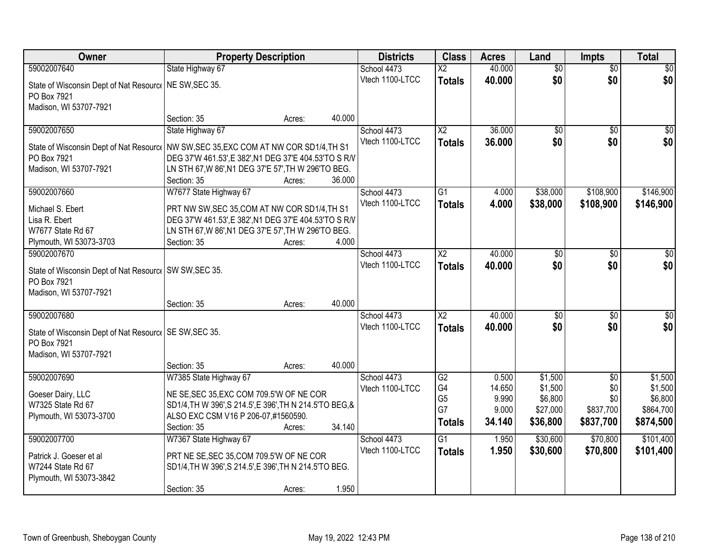| Owner                                                                  | <b>Property Description</b>                                                                     |        |        | <b>Districts</b> | <b>Class</b>           | <b>Acres</b> | Land            | <b>Impts</b>    | <b>Total</b>    |
|------------------------------------------------------------------------|-------------------------------------------------------------------------------------------------|--------|--------|------------------|------------------------|--------------|-----------------|-----------------|-----------------|
| 59002007640                                                            | State Highway 67                                                                                |        |        | School 4473      | $\overline{\text{X2}}$ | 40.000       | $\overline{60}$ | $\overline{50}$ | \$0             |
| State of Wisconsin Dept of Nat Resourc   NE SW, SEC 35.                |                                                                                                 |        |        | Vtech 1100-LTCC  | <b>Totals</b>          | 40.000       | \$0             | \$0             | \$0             |
| PO Box 7921                                                            |                                                                                                 |        |        |                  |                        |              |                 |                 |                 |
| Madison, WI 53707-7921                                                 |                                                                                                 |        |        |                  |                        |              |                 |                 |                 |
|                                                                        | Section: 35                                                                                     | Acres: | 40.000 |                  |                        |              |                 |                 |                 |
| 59002007650                                                            | State Highway 67                                                                                |        |        | School 4473      | $\overline{X2}$        | 36.000       | $\overline{50}$ | $\overline{50}$ | $\overline{30}$ |
| State of Wisconsin Dept of Nat Resource                                | NW SW, SEC 35, EXC COM AT NW COR SD1/4, TH S1                                                   |        |        | Vtech 1100-LTCC  | <b>Totals</b>          | 36.000       | \$0             | \$0             | \$0             |
| PO Box 7921                                                            | DEG 37'W 461.53', E 382', N1 DEG 37'E 404.53'TO S R/V                                           |        |        |                  |                        |              |                 |                 |                 |
| Madison, WI 53707-7921                                                 | LN STH 67, W 86', N1 DEG 37'E 57', TH W 296'TO BEG.                                             |        |        |                  |                        |              |                 |                 |                 |
|                                                                        | Section: 35                                                                                     | Acres: | 36.000 |                  |                        |              |                 |                 |                 |
| 59002007660                                                            | W7677 State Highway 67                                                                          |        |        | School 4473      | G1                     | 4.000        | \$38,000        | \$108,900       | \$146,900       |
| Michael S. Ebert                                                       | PRT NW SW, SEC 35, COM AT NW COR SD1/4, TH S1                                                   |        |        | Vtech 1100-LTCC  | <b>Totals</b>          | 4.000        | \$38,000        | \$108,900       | \$146,900       |
| Lisa R. Ebert                                                          | DEG 37'W 461.53', E 382', N1 DEG 37'E 404.53'TO S R/V                                           |        |        |                  |                        |              |                 |                 |                 |
| W7677 State Rd 67                                                      | LN STH 67, W 86', N1 DEG 37'E 57', TH W 296'TO BEG.                                             |        |        |                  |                        |              |                 |                 |                 |
| Plymouth, WI 53073-3703                                                | Section: 35                                                                                     | Acres: | 4.000  |                  |                        |              |                 |                 |                 |
| 59002007670                                                            |                                                                                                 |        |        | School 4473      | $\overline{X2}$        | 40.000       | \$0             | $\sqrt{6}$      | $\sqrt{50}$     |
|                                                                        |                                                                                                 |        |        | Vtech 1100-LTCC  | <b>Totals</b>          | 40.000       | \$0             | \$0             | \$0             |
| State of Wisconsin Dept of Nat Resourc   SW SW, SEC 35.<br>PO Box 7921 |                                                                                                 |        |        |                  |                        |              |                 |                 |                 |
| Madison, WI 53707-7921                                                 |                                                                                                 |        |        |                  |                        |              |                 |                 |                 |
|                                                                        | Section: 35                                                                                     | Acres: | 40.000 |                  |                        |              |                 |                 |                 |
| 59002007680                                                            |                                                                                                 |        |        | School 4473      | $\overline{\text{X2}}$ | 40.000       | \$0             | $\overline{50}$ | $\sqrt{50}$     |
|                                                                        |                                                                                                 |        |        | Vtech 1100-LTCC  | <b>Totals</b>          | 40.000       | \$0             | \$0             | \$0             |
| State of Wisconsin Dept of Nat Resourc   SE SW, SEC 35.<br>PO Box 7921 |                                                                                                 |        |        |                  |                        |              |                 |                 |                 |
| Madison, WI 53707-7921                                                 |                                                                                                 |        |        |                  |                        |              |                 |                 |                 |
|                                                                        | Section: 35                                                                                     | Acres: | 40.000 |                  |                        |              |                 |                 |                 |
| 59002007690                                                            | W7385 State Highway 67                                                                          |        |        | School 4473      | G2                     | 0.500        | \$1,500         | $\overline{50}$ | \$1,500         |
|                                                                        |                                                                                                 |        |        | Vtech 1100-LTCC  | G4                     | 14.650       | \$1,500         | \$0             | \$1,500         |
| Goeser Dairy, LLC                                                      | NE SE, SEC 35, EXC COM 709.5'W OF NE COR                                                        |        |        |                  | G <sub>5</sub>         | 9.990        | \$6,800         | \$0             | \$6,800         |
| W7325 State Rd 67<br>Plymouth, WI 53073-3700                           | SD1/4, TH W 396', S 214.5', E 396', TH N 214.5'TO BEG, &<br>ALSO EXC CSM V16 P 206-07,#1560590. |        |        |                  | G7                     | 9.000        | \$27,000        | \$837,700       | \$864,700       |
|                                                                        | Section: 35                                                                                     | Acres: | 34.140 |                  | <b>Totals</b>          | 34.140       | \$36,800        | \$837,700       | \$874,500       |
| 59002007700                                                            | W7367 State Highway 67                                                                          |        |        | School 4473      | $\overline{G1}$        | 1.950        | \$30,600        | \$70,800        | \$101,400       |
|                                                                        |                                                                                                 |        |        | Vtech 1100-LTCC  | <b>Totals</b>          | 1.950        | \$30,600        | \$70,800        | \$101,400       |
| Patrick J. Goeser et al                                                | PRT NE SE, SEC 35, COM 709.5'W OF NE COR                                                        |        |        |                  |                        |              |                 |                 |                 |
| W7244 State Rd 67                                                      | SD1/4, TH W 396', S 214.5', E 396', TH N 214.5'TO BEG.                                          |        |        |                  |                        |              |                 |                 |                 |
| Plymouth, WI 53073-3842                                                |                                                                                                 |        | 1.950  |                  |                        |              |                 |                 |                 |
|                                                                        | Section: 35                                                                                     | Acres: |        |                  |                        |              |                 |                 |                 |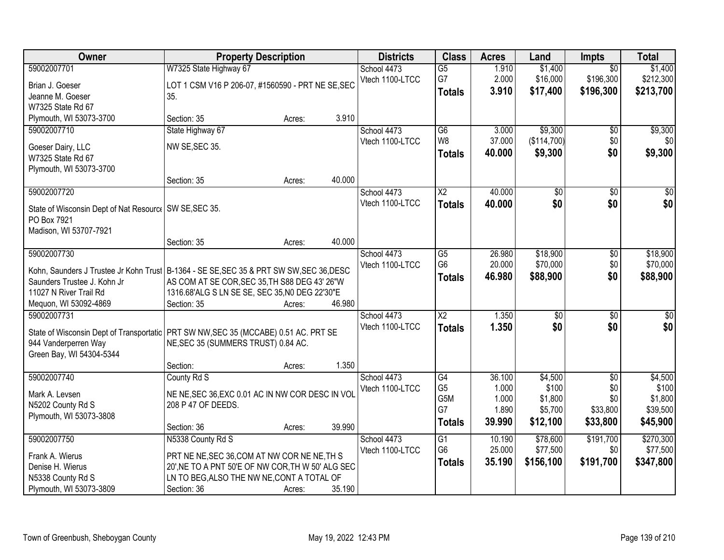| Owner                                                                                                                                                                                      | <b>Property Description</b>                                                                                                                                                         |        |        | <b>Districts</b>               | <b>Class</b>                                       | <b>Acres</b>                                | Land                                               | <b>Impts</b>                                          | <b>Total</b>                                        |
|--------------------------------------------------------------------------------------------------------------------------------------------------------------------------------------------|-------------------------------------------------------------------------------------------------------------------------------------------------------------------------------------|--------|--------|--------------------------------|----------------------------------------------------|---------------------------------------------|----------------------------------------------------|-------------------------------------------------------|-----------------------------------------------------|
| 59002007701<br>Brian J. Goeser                                                                                                                                                             | W7325 State Highway 67<br>LOT 1 CSM V16 P 206-07, #1560590 - PRT NE SE, SEC                                                                                                         |        |        | School 4473<br>Vtech 1100-LTCC | $\overline{G5}$<br>G7<br><b>Totals</b>             | 1.910<br>2.000<br>3.910                     | \$1,400<br>\$16,000<br>\$17,400                    | $\overline{30}$<br>\$196,300<br>\$196,300             | \$1,400<br>\$212,300<br>\$213,700                   |
| Jeanne M. Goeser<br>W7325 State Rd 67<br>Plymouth, WI 53073-3700                                                                                                                           | 35.<br>Section: 35                                                                                                                                                                  |        | 3.910  |                                |                                                    |                                             |                                                    |                                                       |                                                     |
| 59002007710                                                                                                                                                                                | State Highway 67                                                                                                                                                                    | Acres: |        | School 4473                    | $\overline{G6}$                                    | 3.000                                       | \$9,300                                            | \$0                                                   | \$9,300                                             |
| Goeser Dairy, LLC<br>W7325 State Rd 67<br>Plymouth, WI 53073-3700                                                                                                                          | NW SE, SEC 35.                                                                                                                                                                      |        |        | Vtech 1100-LTCC                | W8<br><b>Totals</b>                                | 37.000<br>40.000                            | (\$114,700)<br>\$9,300                             | \$0<br>\$0                                            | \$0<br>\$9,300                                      |
|                                                                                                                                                                                            | Section: 35                                                                                                                                                                         | Acres: | 40.000 |                                |                                                    |                                             |                                                    |                                                       |                                                     |
| 59002007720                                                                                                                                                                                |                                                                                                                                                                                     |        |        | School 4473                    | $\overline{\text{X2}}$                             | 40.000                                      | $\overline{50}$                                    | $\overline{50}$                                       | $\overline{30}$                                     |
| State of Wisconsin Dept of Nat Resourc   SW SE, SEC 35.<br>PO Box 7921<br>Madison, WI 53707-7921                                                                                           |                                                                                                                                                                                     |        |        | Vtech 1100-LTCC                | <b>Totals</b>                                      | 40.000                                      | \$0                                                | \$0                                                   | \$0                                                 |
|                                                                                                                                                                                            | Section: 35                                                                                                                                                                         | Acres: | 40.000 |                                |                                                    |                                             |                                                    |                                                       |                                                     |
| 59002007730<br>Kohn, Saunders J Trustee Jr Kohn Trust   B-1364 - SE SE, SEC 35 & PRT SW SW, SEC 36, DESC<br>Saunders Trustee J. Kohn Jr<br>11027 N River Trail Rd<br>Mequon, WI 53092-4869 | AS COM AT SE COR, SEC 35, TH S88 DEG 43' 26"W<br>1316.68'ALG S LN SE SE, SEC 35, NO DEG 22'30"E<br>Section: 35                                                                      | Acres: | 46.980 | School 4473<br>Vtech 1100-LTCC | G5<br>G <sub>6</sub><br><b>Totals</b>              | 26.980<br>20.000<br>46.980                  | \$18,900<br>\$70,000<br>\$88,900                   | \$0<br>\$0<br>\$0                                     | \$18,900<br>\$70,000<br>\$88,900                    |
| 59002007731<br>State of Wisconsin Dept of Transportatic   PRT SW NW, SEC 35 (MCCABE) 0.51 AC. PRT SE<br>944 Vanderperren Way<br>Green Bay, WI 54304-5344                                   | NE, SEC 35 (SUMMERS TRUST) 0.84 AC.<br>Section:                                                                                                                                     | Acres: | 1.350  | School 4473<br>Vtech 1100-LTCC | $\overline{X2}$<br><b>Totals</b>                   | 1.350<br>1.350                              | $\overline{50}$<br>\$0                             | $\overline{30}$<br>\$0                                | $\overline{30}$<br>\$0                              |
| 59002007740<br>Mark A. Levsen<br>N5202 County Rd S<br>Plymouth, WI 53073-3808                                                                                                              | County Rd S<br>NE NE, SEC 36, EXC 0.01 AC IN NW COR DESC IN VOL<br>208 P 47 OF DEEDS.<br>Section: 36                                                                                | Acres: | 39.990 | School 4473<br>Vtech 1100-LTCC | G4<br>G <sub>5</sub><br>G5M<br>G7<br><b>Totals</b> | 36.100<br>1.000<br>1.000<br>1.890<br>39.990 | \$4,500<br>\$100<br>\$1,800<br>\$5,700<br>\$12,100 | $\overline{50}$<br>\$0<br>\$0<br>\$33,800<br>\$33,800 | \$4,500<br>\$100<br>\$1,800<br>\$39,500<br>\$45,900 |
| 59002007750<br>Frank A. Wierus<br>Denise H. Wierus<br>N5338 County Rd S<br>Plymouth, WI 53073-3809                                                                                         | N5338 County Rd S<br>PRT NE NE, SEC 36, COM AT NW COR NE NE, TH S<br>20', NE TO A PNT 50'E OF NW COR, TH W 50' ALG SEC<br>LN TO BEG, ALSO THE NW NE, CONT A TOTAL OF<br>Section: 36 | Acres: | 35.190 | School 4473<br>Vtech 1100-LTCC | G1<br>G <sub>6</sub><br><b>Totals</b>              | 10.190<br>25.000<br>35.190                  | \$78,600<br>\$77,500<br>\$156,100                  | \$191,700<br>\$0<br>\$191,700                         | \$270,300<br>\$77,500<br>\$347,800                  |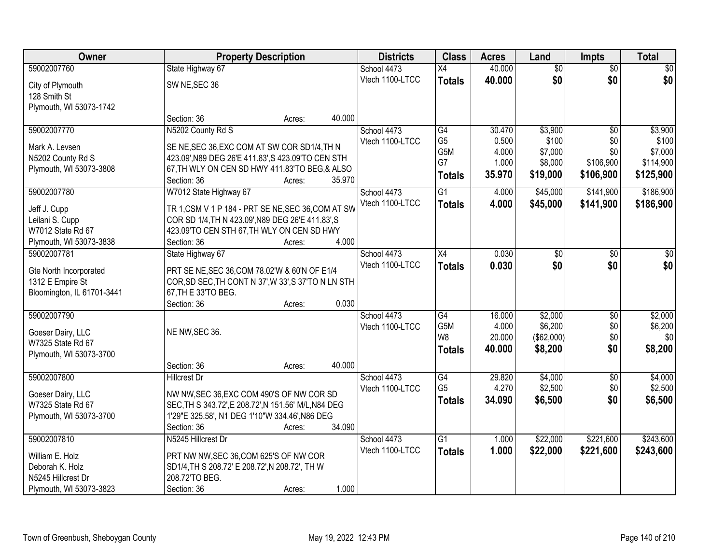| Owner                      | <b>Property Description</b>                          | <b>Districts</b> | <b>Class</b>    | <b>Acres</b> | Land            | <b>Impts</b>    | <b>Total</b> |
|----------------------------|------------------------------------------------------|------------------|-----------------|--------------|-----------------|-----------------|--------------|
| 59002007760                | State Highway 67                                     | School 4473      | $\overline{X4}$ | 40.000       | $\overline{50}$ | $\overline{50}$ | \$0          |
| City of Plymouth           | SW NE, SEC 36                                        | Vtech 1100-LTCC  | <b>Totals</b>   | 40.000       | \$0             | \$0             | \$0          |
| 128 Smith St               |                                                      |                  |                 |              |                 |                 |              |
| Plymouth, WI 53073-1742    |                                                      |                  |                 |              |                 |                 |              |
|                            | 40.000<br>Section: 36<br>Acres:                      |                  |                 |              |                 |                 |              |
| 59002007770                | N5202 County Rd S                                    | School 4473      | G4              | 30.470       | \$3,900         | $\overline{50}$ | \$3,900      |
| Mark A. Levsen             | SE NE, SEC 36, EXC COM AT SW COR SD1/4, TH N         | Vtech 1100-LTCC  | G <sub>5</sub>  | 0.500        | \$100           | \$0             | \$100        |
| N5202 County Rd S          | 423.09', N89 DEG 26'E 411.83', S 423.09'TO CEN STH   |                  | G5M<br>G7       | 4.000        | \$7,000         | \$0             | \$7,000      |
| Plymouth, WI 53073-3808    | 67, TH WLY ON CEN SD HWY 411.83'TO BEG, & ALSO       |                  |                 | 1.000        | \$8,000         | \$106,900       | \$114,900    |
|                            | 35.970<br>Section: 36<br>Acres:                      |                  | <b>Totals</b>   | 35.970       | \$19,000        | \$106,900       | \$125,900    |
| 59002007780                | W7012 State Highway 67                               | School 4473      | G1              | 4.000        | \$45,000        | \$141,900       | \$186,900    |
| Jeff J. Cupp               | TR 1, CSM V 1 P 184 - PRT SE NE, SEC 36, COM AT SW   | Vtech 1100-LTCC  | <b>Totals</b>   | 4.000        | \$45,000        | \$141,900       | \$186,900    |
| Leilani S. Cupp            | COR SD 1/4, TH N 423.09', N89 DEG 26'E 411.83', S    |                  |                 |              |                 |                 |              |
| W7012 State Rd 67          | 423.09'TO CEN STH 67, TH WLY ON CEN SD HWY           |                  |                 |              |                 |                 |              |
| Plymouth, WI 53073-3838    | 4.000<br>Section: 36<br>Acres:                       |                  |                 |              |                 |                 |              |
| 59002007781                | State Highway 67                                     | School 4473      | X4              | 0.030        | \$0             | $\sqrt[6]{3}$   | $\sqrt{50}$  |
| Gte North Incorporated     | PRT SE NE, SEC 36, COM 78.02'W & 60'N OF E1/4        | Vtech 1100-LTCC  | <b>Totals</b>   | 0.030        | \$0             | \$0             | \$0          |
| 1312 E Empire St           | COR, SD SEC, TH CONT N 37', W 33', S 37'TO N LN STH  |                  |                 |              |                 |                 |              |
| Bloomington, IL 61701-3441 | 67, TH E 33'TO BEG.                                  |                  |                 |              |                 |                 |              |
|                            | 0.030<br>Section: 36<br>Acres:                       |                  |                 |              |                 |                 |              |
| 59002007790                |                                                      | School 4473      | $\overline{G4}$ | 16.000       | \$2,000         | $\overline{50}$ | \$2,000      |
| Goeser Dairy, LLC          | NE NW, SEC 36.                                       | Vtech 1100-LTCC  | G5M             | 4.000        | \$6,200         | \$0             | \$6,200      |
| W7325 State Rd 67          |                                                      |                  | W8              | 20.000       | (\$62,000)      | \$0             | \$0          |
| Plymouth, WI 53073-3700    |                                                      |                  | <b>Totals</b>   | 40.000       | \$8,200         | \$0             | \$8,200      |
|                            | 40.000<br>Section: 36<br>Acres:                      |                  |                 |              |                 |                 |              |
| 59002007800                | <b>Hillcrest Dr</b>                                  | School 4473      | G4              | 29.820       | \$4,000         | $\overline{50}$ | \$4,000      |
| Goeser Dairy, LLC          | NW NW, SEC 36, EXC COM 490'S OF NW COR SD            | Vtech 1100-LTCC  | G <sub>5</sub>  | 4.270        | \$2,500         | \$0             | \$2,500      |
| W7325 State Rd 67          | SEC, TH S 343.72', E 208.72', N 151.56' M/L, N84 DEG |                  | <b>Totals</b>   | 34.090       | \$6,500         | \$0             | \$6,500      |
| Plymouth, WI 53073-3700    | 1'29"E 325.58', N1 DEG 1'10"W 334.46', N86 DEG       |                  |                 |              |                 |                 |              |
|                            | 34.090<br>Section: 36<br>Acres:                      |                  |                 |              |                 |                 |              |
| 59002007810                | N5245 Hillcrest Dr                                   | School 4473      | $\overline{G1}$ | 1.000        | \$22,000        | \$221,600       | \$243,600    |
| William E. Holz            | PRT NW NW, SEC 36, COM 625'S OF NW COR               | Vtech 1100-LTCC  | <b>Totals</b>   | 1.000        | \$22,000        | \$221,600       | \$243,600    |
| Deborah K. Holz            | SD1/4, TH S 208.72' E 208.72', N 208.72', TH W       |                  |                 |              |                 |                 |              |
| N5245 Hillcrest Dr         | 208.72'TO BEG.                                       |                  |                 |              |                 |                 |              |
| Plymouth, WI 53073-3823    | 1.000<br>Section: 36<br>Acres:                       |                  |                 |              |                 |                 |              |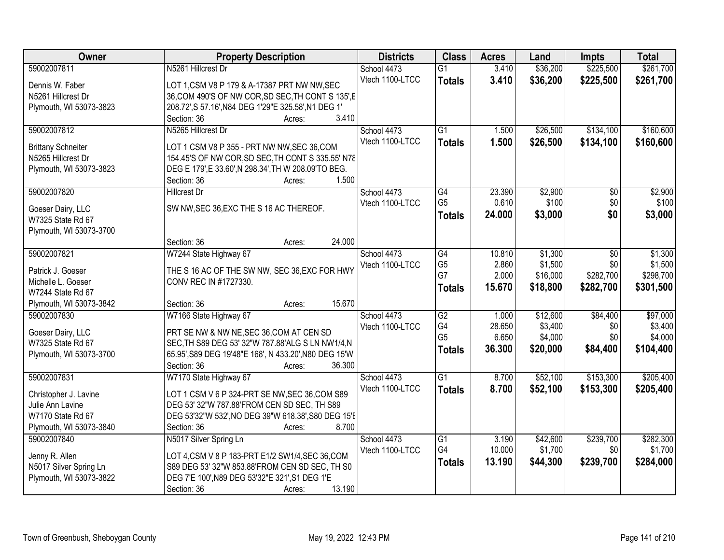| <b>Owner</b>              | <b>Property Description</b>                                                              | <b>Districts</b> | <b>Class</b>    | <b>Acres</b> | Land     | <b>Impts</b>    | <b>Total</b> |
|---------------------------|------------------------------------------------------------------------------------------|------------------|-----------------|--------------|----------|-----------------|--------------|
| 59002007811               | N5261 Hillcrest Dr                                                                       | School 4473      | $\overline{G1}$ | 3.410        | \$36,200 | \$225,500       | \$261,700    |
| Dennis W. Faber           | LOT 1, CSM V8 P 179 & A-17387 PRT NW NW, SEC                                             | Vtech 1100-LTCC  | <b>Totals</b>   | 3.410        | \$36,200 | \$225,500       | \$261,700    |
| N5261 Hillcrest Dr        | 36, COM 490'S OF NW COR, SD SEC, TH CONT S 135', E                                       |                  |                 |              |          |                 |              |
| Plymouth, WI 53073-3823   | 208.72', S 57.16', N84 DEG 1'29"E 325.58', N1 DEG 1'                                     |                  |                 |              |          |                 |              |
|                           | 3.410<br>Section: 36<br>Acres:                                                           |                  |                 |              |          |                 |              |
| 59002007812               | N5265 Hillcrest Dr                                                                       | School 4473      | $\overline{G1}$ | 1.500        | \$26,500 | \$134,100       | \$160,600    |
|                           |                                                                                          | Vtech 1100-LTCC  | <b>Totals</b>   | 1.500        | \$26,500 | \$134,100       | \$160,600    |
| <b>Brittany Schneiter</b> | LOT 1 CSM V8 P 355 - PRT NW NW, SEC 36, COM                                              |                  |                 |              |          |                 |              |
| N5265 Hillcrest Dr        | 154.45'S OF NW COR, SD SEC, TH CONT S 335.55' N78                                        |                  |                 |              |          |                 |              |
| Plymouth, WI 53073-3823   | DEG E 179', E 33.60', N 298.34', TH W 208.09'TO BEG.<br>1.500<br>Section: 36             |                  |                 |              |          |                 |              |
| 59002007820               | Acres:<br><b>Hillcrest Dr</b>                                                            | School 4473      | $\overline{G4}$ | 23.390       | \$2,900  | $\overline{50}$ | \$2,900      |
|                           |                                                                                          | Vtech 1100-LTCC  | G <sub>5</sub>  | 0.610        | \$100    | \$0             | \$100        |
| Goeser Dairy, LLC         | SW NW, SEC 36, EXC THE S 16 AC THEREOF.                                                  |                  |                 | 24.000       | \$3,000  | \$0             | \$3,000      |
| W7325 State Rd 67         |                                                                                          |                  | <b>Totals</b>   |              |          |                 |              |
| Plymouth, WI 53073-3700   |                                                                                          |                  |                 |              |          |                 |              |
|                           | 24.000<br>Section: 36<br>Acres:                                                          |                  |                 |              |          |                 |              |
| 59002007821               | W7244 State Highway 67                                                                   | School 4473      | G4              | 10.810       | \$1,300  | \$0             | \$1,300      |
| Patrick J. Goeser         | THE S 16 AC OF THE SW NW, SEC 36, EXC FOR HWY                                            | Vtech 1100-LTCC  | G <sub>5</sub>  | 2.860        | \$1,500  | \$0             | \$1,500      |
| Michelle L. Goeser        | CONV REC IN #1727330.                                                                    |                  | G7              | 2.000        | \$16,000 | \$282,700       | \$298,700    |
| W7244 State Rd 67         |                                                                                          |                  | <b>Totals</b>   | 15.670       | \$18,800 | \$282,700       | \$301,500    |
| Plymouth, WI 53073-3842   | 15.670<br>Section: 36<br>Acres:                                                          |                  |                 |              |          |                 |              |
| 59002007830               | W7166 State Highway 67                                                                   | School 4473      | $\overline{G2}$ | 1.000        | \$12,600 | \$84,400        | \$97,000     |
|                           |                                                                                          | Vtech 1100-LTCC  | G4              | 28.650       | \$3,400  | \$0             | \$3,400      |
| Goeser Dairy, LLC         | PRT SE NW & NW NE, SEC 36, COM AT CEN SD                                                 |                  | G <sub>5</sub>  | 6.650        | \$4,000  | \$0             | \$4,000      |
| W7325 State Rd 67         | SEC, TH S89 DEG 53' 32"W 787.88'ALG S LN NW1/4, N                                        |                  | <b>Totals</b>   | 36.300       | \$20,000 | \$84,400        | \$104,400    |
| Plymouth, WI 53073-3700   | 65.95', S89 DEG 19'48"E 168', N 433.20', N80 DEG 15'W<br>Section: 36<br>36.300<br>Acres: |                  |                 |              |          |                 |              |
| 59002007831               | W7170 State Highway 67                                                                   | School 4473      | G1              | 8.700        | \$52,100 | \$153,300       | \$205,400    |
|                           |                                                                                          | Vtech 1100-LTCC  |                 | 8.700        | \$52,100 |                 |              |
| Christopher J. Lavine     | LOT 1 CSM V 6 P 324-PRT SE NW, SEC 36, COM S89                                           |                  | <b>Totals</b>   |              |          | \$153,300       | \$205,400    |
| Julie Ann Lavine          | DEG 53' 32"W 787.88'FROM CEN SD SEC, TH S89                                              |                  |                 |              |          |                 |              |
| W7170 State Rd 67         | DEG 53'32"W 532', NO DEG 39"W 618.38', S80 DEG 15'E                                      |                  |                 |              |          |                 |              |
| Plymouth, WI 53073-3840   | 8.700<br>Section: 36<br>Acres:                                                           |                  |                 |              |          |                 |              |
| 59002007840               | N5017 Silver Spring Ln                                                                   | School 4473      | $\overline{G1}$ | 3.190        | \$42,600 | \$239,700       | \$282,300    |
| Jenny R. Allen            | LOT 4, CSM V 8 P 183-PRT E1/2 SW1/4, SEC 36, COM                                         | Vtech 1100-LTCC  | G4              | 10.000       | \$1,700  | \$0             | \$1,700      |
| N5017 Silver Spring Ln    | S89 DEG 53' 32"W 853.88'FROM CEN SD SEC, TH S0                                           |                  | <b>Totals</b>   | 13.190       | \$44,300 | \$239,700       | \$284,000    |
| Plymouth, WI 53073-3822   | DEG 7'E 100', N89 DEG 53'32"E 321', S1 DEG 1'E                                           |                  |                 |              |          |                 |              |
|                           | Section: 36<br>13.190<br>Acres:                                                          |                  |                 |              |          |                 |              |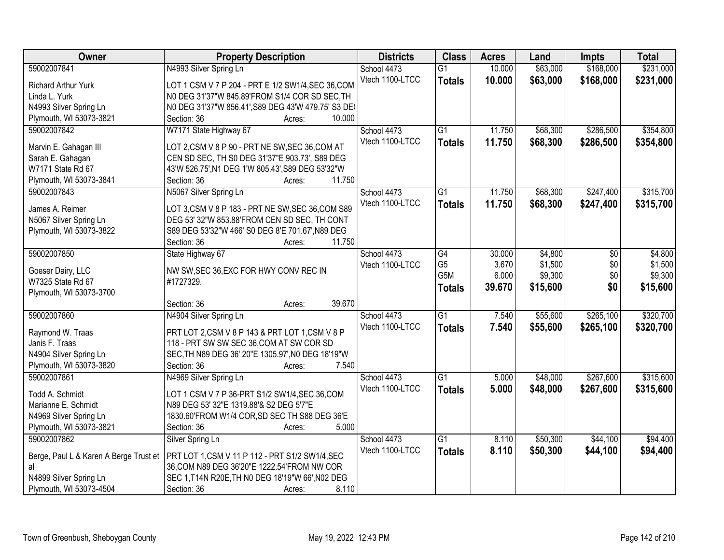| <b>Owner</b>                           | <b>Property Description</b>                            | <b>Districts</b> | <b>Class</b>     | <b>Acres</b> | Land     | <b>Impts</b> | <b>Total</b> |
|----------------------------------------|--------------------------------------------------------|------------------|------------------|--------------|----------|--------------|--------------|
| 59002007841                            | N4993 Silver Spring Ln                                 | School 4473      | $\overline{G1}$  | 10.000       | \$63,000 | \$168,000    | \$231,000    |
| <b>Richard Arthur Yurk</b>             | LOT 1 CSM V 7 P 204 - PRT E 1/2 SW1/4, SEC 36, COM     | Vtech 1100-LTCC  | <b>Totals</b>    | 10.000       | \$63,000 | \$168,000    | \$231,000    |
| Linda L. Yurk                          | N0 DEG 31'37"W 845.89'FROM S1/4 COR SD SEC, TH         |                  |                  |              |          |              |              |
| N4993 Silver Spring Ln                 | N0 DEG 31'37"W 856.41', S89 DEG 43'W 479.75' S3 DE(    |                  |                  |              |          |              |              |
| Plymouth, WI 53073-3821                | 10.000<br>Section: 36<br>Acres:                        |                  |                  |              |          |              |              |
| 59002007842                            | W7171 State Highway 67                                 | School 4473      | $\overline{G1}$  | 11.750       | \$68,300 | \$286,500    | \$354,800    |
|                                        |                                                        | Vtech 1100-LTCC  | <b>Totals</b>    | 11.750       | \$68,300 | \$286,500    | \$354,800    |
| Marvin E. Gahagan III                  | LOT 2,CSM V 8 P 90 - PRT NE SW, SEC 36, COM AT         |                  |                  |              |          |              |              |
| Sarah E. Gahagan                       | CEN SD SEC, TH S0 DEG 31'37"E 903.73', S89 DEG         |                  |                  |              |          |              |              |
| W7171 State Rd 67                      | 43'W 526.75', N1 DEG 1'W 805.43', S89 DEG 53'32"W      |                  |                  |              |          |              |              |
| Plymouth, WI 53073-3841                | 11.750<br>Section: 36<br>Acres:                        |                  |                  |              |          |              |              |
| 59002007843                            | N5067 Silver Spring Ln                                 | School 4473      | $\overline{G1}$  | 11.750       | \$68,300 | \$247,400    | \$315,700    |
| James A. Reimer                        | LOT 3, CSM V 8 P 183 - PRT NE SW, SEC 36, COM S89      | Vtech 1100-LTCC  | <b>Totals</b>    | 11.750       | \$68,300 | \$247,400    | \$315,700    |
| N5067 Silver Spring Ln                 | DEG 53' 32"W 853.88'FROM CEN SD SEC, TH CONT           |                  |                  |              |          |              |              |
| Plymouth, WI 53073-3822                | S89 DEG 53'32"W 466' S0 DEG 8'E 701.67', N89 DEG       |                  |                  |              |          |              |              |
|                                        | 11.750<br>Section: 36<br>Acres:                        |                  |                  |              |          |              |              |
| 59002007850                            | State Highway 67                                       | School 4473      | G4               | 30.000       | \$4,800  | \$0          | \$4,800      |
|                                        |                                                        | Vtech 1100-LTCC  | G <sub>5</sub>   | 3.670        | \$1,500  | \$0          | \$1,500      |
| Goeser Dairy, LLC                      | NW SW, SEC 36, EXC FOR HWY CONV REC IN                 |                  | G <sub>5</sub> M | 6.000        | \$9,300  | \$0          | \$9,300      |
| W7325 State Rd 67                      | #1727329.                                              |                  | <b>Totals</b>    | 39.670       | \$15,600 | \$0          | \$15,600     |
| Plymouth, WI 53073-3700                |                                                        |                  |                  |              |          |              |              |
|                                        | 39.670<br>Section: 36<br>Acres:                        |                  |                  |              |          |              |              |
| 59002007860                            | N4904 Silver Spring Ln                                 | School 4473      | $\overline{G1}$  | 7.540        | \$55,600 | \$265,100    | \$320,700    |
| Raymond W. Traas                       | PRT LOT 2,CSM V 8 P 143 & PRT LOT 1,CSM V 8 P          | Vtech 1100-LTCC  | <b>Totals</b>    | 7.540        | \$55,600 | \$265,100    | \$320,700    |
| Janis F. Traas                         | 118 - PRT SW SW SEC 36, COM AT SW COR SD               |                  |                  |              |          |              |              |
| N4904 Silver Spring Ln                 | SEC, TH N89 DEG 36' 20"E 1305.97', N0 DEG 18'19"W      |                  |                  |              |          |              |              |
| Plymouth, WI 53073-3820                | Section: 36<br>7.540<br>Acres:                         |                  |                  |              |          |              |              |
| 59002007861                            | N4969 Silver Spring Ln                                 | School 4473      | $\overline{G1}$  | 5.000        | \$48,000 | \$267,600    | \$315,600    |
|                                        |                                                        | Vtech 1100-LTCC  | <b>Totals</b>    | 5.000        | \$48,000 | \$267,600    | \$315,600    |
| Todd A. Schmidt                        | LOT 1 CSM V 7 P 36-PRT S1/2 SW1/4, SEC 36, COM         |                  |                  |              |          |              |              |
| Marianne E. Schmidt                    | N89 DEG 53' 32"E 1319.88'& S2 DEG 5'7"E                |                  |                  |              |          |              |              |
| N4969 Silver Spring Ln                 | 1830.60'FROM W1/4 COR, SD SEC TH S88 DEG 36'E<br>5.000 |                  |                  |              |          |              |              |
| Plymouth, WI 53073-3821<br>59002007862 | Section: 36<br>Acres:                                  |                  |                  |              |          |              |              |
|                                        | Silver Spring Ln                                       | School 4473      | $\overline{G1}$  | 8.110        | \$50,300 | \$44,100     | \$94,400     |
| Berge, Paul L & Karen A Berge Trust et | PRT LOT 1,CSM V 11 P 112 - PRT S1/2 SW1/4,SEC          | Vtech 1100-LTCC  | <b>Totals</b>    | 8.110        | \$50,300 | \$44,100     | \$94,400     |
| al                                     | 36, COM N89 DEG 36'20"E 1222.54'FROM NW COR            |                  |                  |              |          |              |              |
| N4899 Silver Spring Ln                 | SEC 1, T14N R20E, TH N0 DEG 18'19"W 66', N02 DEG       |                  |                  |              |          |              |              |
| Plymouth, WI 53073-4504                | 8.110<br>Section: 36<br>Acres:                         |                  |                  |              |          |              |              |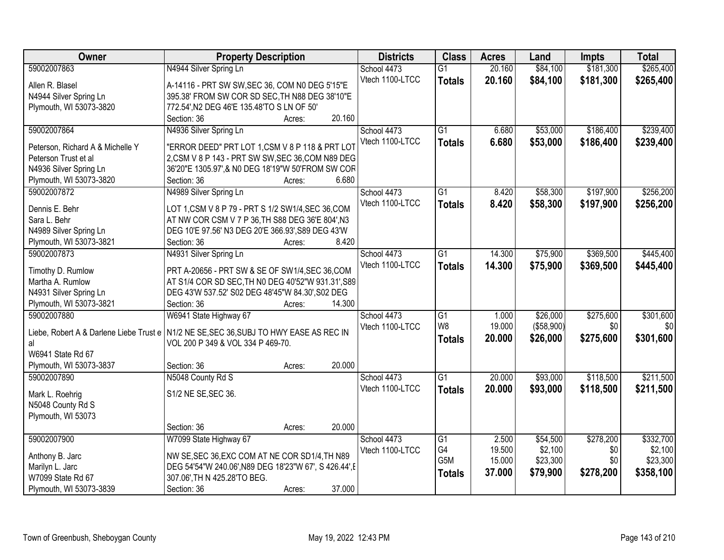| Owner                            | <b>Property Description</b>                                                            | <b>Districts</b> | <b>Class</b>    | <b>Acres</b> | Land       | <b>Impts</b> | <b>Total</b> |
|----------------------------------|----------------------------------------------------------------------------------------|------------------|-----------------|--------------|------------|--------------|--------------|
| 59002007863                      | N4944 Silver Spring Ln                                                                 | School 4473      | $\overline{G1}$ | 20.160       | \$84,100   | \$181,300    | \$265,400    |
| Allen R. Blasel                  | A-14116 - PRT SW SW, SEC 36, COM N0 DEG 5'15"E                                         | Vtech 1100-LTCC  | <b>Totals</b>   | 20.160       | \$84,100   | \$181,300    | \$265,400    |
| N4944 Silver Spring Ln           | 395.38' FROM SW COR SD SEC, TH N88 DEG 38'10"E                                         |                  |                 |              |            |              |              |
| Plymouth, WI 53073-3820          | 772.54', N2 DEG 46'E 135.48'TO S LN OF 50'                                             |                  |                 |              |            |              |              |
|                                  | 20.160<br>Section: 36<br>Acres:                                                        |                  |                 |              |            |              |              |
| 59002007864                      | N4936 Silver Spring Ln                                                                 | School 4473      | $\overline{G1}$ | 6.680        | \$53,000   | \$186,400    | \$239,400    |
| Peterson, Richard A & Michelle Y | "ERROR DEED" PRT LOT 1,CSM V 8 P 118 & PRT LOT                                         | Vtech 1100-LTCC  | <b>Totals</b>   | 6.680        | \$53,000   | \$186,400    | \$239,400    |
| Peterson Trust et al             | 2, CSM V 8 P 143 - PRT SW SW, SEC 36, COM N89 DEG                                      |                  |                 |              |            |              |              |
| N4936 Silver Spring Ln           | 36'20"E 1305.97',& N0 DEG 18'19"W 50'FROM SW COR                                       |                  |                 |              |            |              |              |
| Plymouth, WI 53073-3820          | 6.680<br>Section: 36<br>Acres:                                                         |                  |                 |              |            |              |              |
| 59002007872                      | N4989 Silver Spring Ln                                                                 | School 4473      | $\overline{G1}$ | 8.420        | \$58,300   | \$197,900    | \$256,200    |
|                                  |                                                                                        | Vtech 1100-LTCC  |                 | 8.420        | \$58,300   | \$197,900    |              |
| Dennis E. Behr                   | LOT 1, CSM V 8 P 79 - PRT S 1/2 SW1/4, SEC 36, COM                                     |                  | <b>Totals</b>   |              |            |              | \$256,200    |
| Sara L. Behr                     | AT NW COR CSM V 7 P 36, TH S88 DEG 36'E 804', N3                                       |                  |                 |              |            |              |              |
| N4989 Silver Spring Ln           | DEG 10'E 97.56' N3 DEG 20'E 366.93', S89 DEG 43'W                                      |                  |                 |              |            |              |              |
| Plymouth, WI 53073-3821          | 8.420<br>Section: 36<br>Acres:                                                         |                  |                 |              |            |              |              |
| 59002007873                      | N4931 Silver Spring Ln                                                                 | School 4473      | $\overline{G1}$ | 14.300       | \$75,900   | \$369,500    | \$445,400    |
| Timothy D. Rumlow                | PRT A-20656 - PRT SW & SE OF SW1/4, SEC 36, COM                                        | Vtech 1100-LTCC  | <b>Totals</b>   | 14.300       | \$75,900   | \$369,500    | \$445,400    |
| Martha A. Rumlow                 | AT S1/4 COR SD SEC, TH N0 DEG 40'52"W 931.31', S89                                     |                  |                 |              |            |              |              |
| N4931 Silver Spring Ln           | DEG 43'W 537.52' S02 DEG 48'45"W 84.30', S02 DEG                                       |                  |                 |              |            |              |              |
| Plymouth, WI 53073-3821          | Section: 36<br>14.300<br>Acres:                                                        |                  |                 |              |            |              |              |
| 59002007880                      | W6941 State Highway 67                                                                 | School 4473      | $\overline{G1}$ | 1.000        | \$26,000   | \$275,600    | \$301,600    |
|                                  |                                                                                        | Vtech 1100-LTCC  | W <sub>8</sub>  | 19.000       | (\$58,900) | \$0          | \$0          |
|                                  | Liebe, Robert A & Darlene Liebe Trust e N1/2 NE SE, SEC 36, SUBJ TO HWY EASE AS REC IN |                  | <b>Totals</b>   | 20.000       | \$26,000   | \$275,600    | \$301,600    |
| al                               | VOL 200 P 349 & VOL 334 P 469-70.                                                      |                  |                 |              |            |              |              |
| W6941 State Rd 67                |                                                                                        |                  |                 |              |            |              |              |
| Plymouth, WI 53073-3837          | 20.000<br>Section: 36<br>Acres:                                                        |                  |                 |              |            |              |              |
| 59002007890                      | N5048 County Rd S                                                                      | School 4473      | $\overline{G1}$ | 20.000       | \$93,000   | \$118,500    | \$211,500    |
| Mark L. Roehrig                  | S1/2 NE SE, SEC 36.                                                                    | Vtech 1100-LTCC  | <b>Totals</b>   | 20.000       | \$93,000   | \$118,500    | \$211,500    |
| N5048 County Rd S                |                                                                                        |                  |                 |              |            |              |              |
| Plymouth, WI 53073               |                                                                                        |                  |                 |              |            |              |              |
|                                  | 20.000<br>Section: 36<br>Acres:                                                        |                  |                 |              |            |              |              |
| 59002007900                      | W7099 State Highway 67                                                                 | School 4473      | $\overline{G1}$ | 2.500        | \$54,500   | \$278,200    | \$332,700    |
|                                  |                                                                                        | Vtech 1100-LTCC  | G4              | 19.500       | \$2,100    | \$0          | \$2,100      |
| Anthony B. Jarc                  | NW SE, SEC 36, EXC COM AT NE COR SD1/4, TH N89                                         |                  | G5M             | 15.000       | \$23,300   | \$0          | \$23,300     |
| Marilyn L. Jarc                  | DEG 54'54"W 240.06', N89 DEG 18'23"W 67', S 426.44', E                                 |                  | <b>Totals</b>   | 37.000       | \$79,900   | \$278,200    | \$358,100    |
| W7099 State Rd 67                | 307.06', TH N 425.28'TO BEG.                                                           |                  |                 |              |            |              |              |
| Plymouth, WI 53073-3839          | 37.000<br>Section: 36<br>Acres:                                                        |                  |                 |              |            |              |              |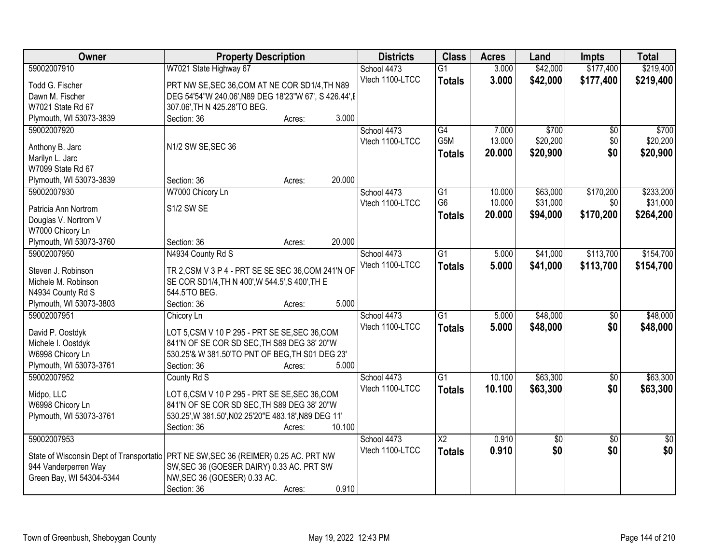| Owner                                                                                 | <b>Property Description</b>                            |        |        | <b>Districts</b> | <b>Class</b>           | <b>Acres</b> | Land     | <b>Impts</b>    | <b>Total</b>    |
|---------------------------------------------------------------------------------------|--------------------------------------------------------|--------|--------|------------------|------------------------|--------------|----------|-----------------|-----------------|
| 59002007910                                                                           | W7021 State Highway 67                                 |        |        | School 4473      | $\overline{G1}$        | 3.000        | \$42,000 | \$177,400       | \$219,400       |
| Todd G. Fischer                                                                       | PRT NW SE, SEC 36, COM AT NE COR SD1/4, TH N89         |        |        | Vtech 1100-LTCC  | <b>Totals</b>          | 3.000        | \$42,000 | \$177,400       | \$219,400       |
| Dawn M. Fischer                                                                       | DEG 54'54"W 240.06', N89 DEG 18'23"W 67', S 426.44', E |        |        |                  |                        |              |          |                 |                 |
| W7021 State Rd 67                                                                     | 307.06', TH N 425.28'TO BEG.                           |        |        |                  |                        |              |          |                 |                 |
| Plymouth, WI 53073-3839                                                               | Section: 36                                            | Acres: | 3.000  |                  |                        |              |          |                 |                 |
| 59002007920                                                                           |                                                        |        |        | School 4473      | G4                     | 7.000        | \$700    | \$0             | \$700           |
|                                                                                       |                                                        |        |        | Vtech 1100-LTCC  | G5M                    | 13.000       | \$20,200 | \$0             | \$20,200        |
| Anthony B. Jarc                                                                       | N1/2 SW SE, SEC 36                                     |        |        |                  | <b>Totals</b>          | 20.000       | \$20,900 | \$0             | \$20,900        |
| Marilyn L. Jarc                                                                       |                                                        |        |        |                  |                        |              |          |                 |                 |
| W7099 State Rd 67                                                                     |                                                        |        |        |                  |                        |              |          |                 |                 |
| Plymouth, WI 53073-3839                                                               | Section: 36                                            | Acres: | 20.000 |                  |                        |              |          |                 |                 |
| 59002007930                                                                           | W7000 Chicory Ln                                       |        |        | School 4473      | $\overline{G1}$        | 10.000       | \$63,000 | \$170,200       | \$233,200       |
| Patricia Ann Nortrom                                                                  | S1/2 SW SE                                             |        |        | Vtech 1100-LTCC  | G <sub>6</sub>         | 10.000       | \$31,000 | \$0             | \$31,000        |
| Douglas V. Nortrom V                                                                  |                                                        |        |        |                  | <b>Totals</b>          | 20,000       | \$94,000 | \$170,200       | \$264,200       |
| W7000 Chicory Ln                                                                      |                                                        |        |        |                  |                        |              |          |                 |                 |
| Plymouth, WI 53073-3760                                                               | Section: 36                                            | Acres: | 20.000 |                  |                        |              |          |                 |                 |
| 59002007950                                                                           |                                                        |        |        | School 4473      | $\overline{G1}$        |              |          | \$113,700       |                 |
|                                                                                       | N4934 County Rd S                                      |        |        |                  |                        | 5.000        | \$41,000 |                 | \$154,700       |
| Steven J. Robinson                                                                    | TR 2, CSM V 3 P 4 - PRT SE SE SEC 36, COM 241'N OF     |        |        | Vtech 1100-LTCC  | <b>Totals</b>          | 5.000        | \$41,000 | \$113,700       | \$154,700       |
| Michele M. Robinson                                                                   | SE COR SD1/4, TH N 400', W 544.5', S 400', TH E        |        |        |                  |                        |              |          |                 |                 |
| N4934 County Rd S                                                                     | 544.5'TO BEG.                                          |        |        |                  |                        |              |          |                 |                 |
| Plymouth, WI 53073-3803                                                               | Section: 36                                            | Acres: | 5.000  |                  |                        |              |          |                 |                 |
| 59002007951                                                                           | Chicory Ln                                             |        |        | School 4473      | $\overline{G1}$        | 5.000        | \$48,000 | $\overline{50}$ | \$48,000        |
|                                                                                       |                                                        |        |        | Vtech 1100-LTCC  | <b>Totals</b>          | 5.000        | \$48,000 | \$0             | \$48,000        |
| David P. Oostdyk                                                                      | LOT 5,CSM V 10 P 295 - PRT SE SE, SEC 36, COM          |        |        |                  |                        |              |          |                 |                 |
| Michele I. Oostdyk                                                                    | 841'N OF SE COR SD SEC, TH S89 DEG 38' 20"W            |        |        |                  |                        |              |          |                 |                 |
| W6998 Chicory Ln                                                                      | 530.25'& W 381.50'TO PNT OF BEG, TH S01 DEG 23'        |        |        |                  |                        |              |          |                 |                 |
| Plymouth, WI 53073-3761                                                               | Section: 36                                            | Acres: | 5.000  |                  |                        |              |          |                 |                 |
| 59002007952                                                                           | County Rd S                                            |        |        | School 4473      | $\overline{G1}$        | 10.100       | \$63,300 | $\overline{50}$ | \$63,300        |
| Midpo, LLC                                                                            | LOT 6,CSM V 10 P 295 - PRT SE SE, SEC 36, COM          |        |        | Vtech 1100-LTCC  | <b>Totals</b>          | 10.100       | \$63,300 | \$0             | \$63,300        |
| W6998 Chicory Ln                                                                      | 841'N OF SE COR SD SEC, TH S89 DEG 38' 20"W            |        |        |                  |                        |              |          |                 |                 |
| Plymouth, WI 53073-3761                                                               | 530.25', W 381.50', N02 25'20" E 483.18', N89 DEG 11'  |        |        |                  |                        |              |          |                 |                 |
|                                                                                       | Section: 36                                            | Acres: | 10.100 |                  |                        |              |          |                 |                 |
| 59002007953                                                                           |                                                        |        |        | School 4473      | $\overline{\text{X2}}$ | 0.910        | \$0      | $\overline{50}$ | $\overline{50}$ |
|                                                                                       |                                                        |        |        | Vtech 1100-LTCC  | <b>Totals</b>          | 0.910        | \$0      | \$0             | \$0             |
| State of Wisconsin Dept of Transportatic   PRT NE SW, SEC 36 (REIMER) 0.25 AC. PRT NW |                                                        |        |        |                  |                        |              |          |                 |                 |
| 944 Vanderperren Way                                                                  | SW, SEC 36 (GOESER DAIRY) 0.33 AC. PRT SW              |        |        |                  |                        |              |          |                 |                 |
| Green Bay, WI 54304-5344                                                              | NW, SEC 36 (GOESER) 0.33 AC.                           |        |        |                  |                        |              |          |                 |                 |
|                                                                                       | Section: 36                                            | Acres: | 0.910  |                  |                        |              |          |                 |                 |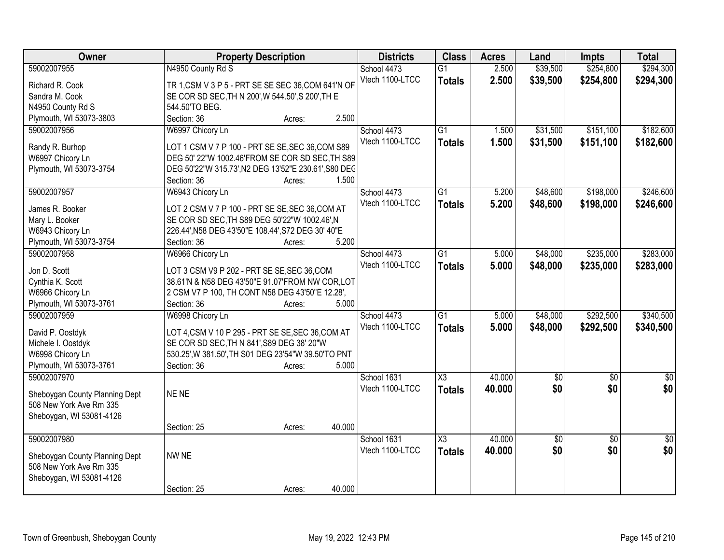| Owner                          | <b>Property Description</b>                          |                  | <b>Districts</b> | <b>Class</b>    | <b>Acres</b> | Land        | <b>Impts</b>    | <b>Total</b>    |
|--------------------------------|------------------------------------------------------|------------------|------------------|-----------------|--------------|-------------|-----------------|-----------------|
| 59002007955                    | N4950 County Rd S                                    |                  | School 4473      | $\overline{G1}$ | 2.500        | \$39,500    | \$254,800       | \$294,300       |
| Richard R. Cook                | TR 1, CSM V 3 P 5 - PRT SE SE SEC 36, COM 641'N OF   |                  | Vtech 1100-LTCC  | <b>Totals</b>   | 2.500        | \$39,500    | \$254,800       | \$294,300       |
| Sandra M. Cook                 | SE COR SD SEC, TH N 200', W 544.50', S 200', TH E    |                  |                  |                 |              |             |                 |                 |
| N4950 County Rd S              | 544.50'TO BEG.                                       |                  |                  |                 |              |             |                 |                 |
| Plymouth, WI 53073-3803        | Section: 36                                          | 2.500<br>Acres:  |                  |                 |              |             |                 |                 |
| 59002007956                    | W6997 Chicory Ln                                     |                  | School 4473      | $\overline{G1}$ | 1.500        | \$31,500    | \$151,100       | \$182,600       |
|                                |                                                      |                  | Vtech 1100-LTCC  | <b>Totals</b>   | 1.500        | \$31,500    | \$151,100       | \$182,600       |
| Randy R. Burhop                | LOT 1 CSM V 7 P 100 - PRT SE SE, SEC 36, COM S89     |                  |                  |                 |              |             |                 |                 |
| W6997 Chicory Ln               | DEG 50' 22"W 1002.46'FROM SE COR SD SEC, TH S89      |                  |                  |                 |              |             |                 |                 |
| Plymouth, WI 53073-3754        | DEG 50'22"W 315.73', N2 DEG 13'52"E 230.61', S80 DEC |                  |                  |                 |              |             |                 |                 |
|                                | Section: 36                                          | 1.500<br>Acres:  |                  |                 |              |             |                 |                 |
| 59002007957                    | W6943 Chicory Ln                                     |                  | School 4473      | $\overline{G1}$ | 5.200        | \$48,600    | \$198,000       | \$246,600       |
| James R. Booker                | LOT 2 CSM V 7 P 100 - PRT SE SE, SEC 36, COM AT      |                  | Vtech 1100-LTCC  | <b>Totals</b>   | 5.200        | \$48,600    | \$198,000       | \$246,600       |
| Mary L. Booker                 | SE COR SD SEC, TH S89 DEG 50'22"W 1002.46', N        |                  |                  |                 |              |             |                 |                 |
| W6943 Chicory Ln               | 226.44', N58 DEG 43'50"E 108.44', S72 DEG 30' 40"E   |                  |                  |                 |              |             |                 |                 |
| Plymouth, WI 53073-3754        | Section: 36                                          | 5.200<br>Acres:  |                  |                 |              |             |                 |                 |
| 59002007958                    | W6966 Chicory Ln                                     |                  | School 4473      | G1              | 5.000        | \$48,000    | \$235,000       | \$283,000       |
|                                |                                                      |                  | Vtech 1100-LTCC  | <b>Totals</b>   | 5.000        | \$48,000    | \$235,000       | \$283,000       |
| Jon D. Scott                   | LOT 3 CSM V9 P 202 - PRT SE SE, SEC 36, COM          |                  |                  |                 |              |             |                 |                 |
| Cynthia K. Scott               | 38.61'N & N58 DEG 43'50"E 91.07'FROM NW COR, LOT     |                  |                  |                 |              |             |                 |                 |
| W6966 Chicory Ln               | 2 CSM V7 P 100, TH CONT N58 DEG 43'50"E 12.28',      |                  |                  |                 |              |             |                 |                 |
| Plymouth, WI 53073-3761        | Section: 36                                          | 5.000<br>Acres:  |                  |                 |              |             |                 |                 |
| 59002007959                    | W6998 Chicory Ln                                     |                  | School 4473      | $\overline{G1}$ | 5.000        | \$48,000    | \$292,500       | \$340,500       |
| David P. Oostdyk               | LOT 4, CSM V 10 P 295 - PRT SE SE, SEC 36, COM AT    |                  | Vtech 1100-LTCC  | <b>Totals</b>   | 5.000        | \$48,000    | \$292,500       | \$340,500       |
| Michele I. Oostdyk             | SE COR SD SEC, TH N 841', S89 DEG 38' 20"W           |                  |                  |                 |              |             |                 |                 |
| W6998 Chicory Ln               | 530.25', W 381.50', TH S01 DEG 23'54"W 39.50'TO PNT  |                  |                  |                 |              |             |                 |                 |
| Plymouth, WI 53073-3761        | Section: 36                                          | 5.000<br>Acres:  |                  |                 |              |             |                 |                 |
| 59002007970                    |                                                      |                  | School 1631      | X3              | 40.000       | $\sqrt{50}$ | $\overline{50}$ | $\frac{1}{6}$   |
|                                |                                                      |                  | Vtech 1100-LTCC  | <b>Totals</b>   | 40.000       | \$0         | \$0             | \$0             |
| Sheboygan County Planning Dept | NE NE                                                |                  |                  |                 |              |             |                 |                 |
| 508 New York Ave Rm 335        |                                                      |                  |                  |                 |              |             |                 |                 |
| Sheboygan, WI 53081-4126       |                                                      |                  |                  |                 |              |             |                 |                 |
|                                | Section: 25                                          | 40.000<br>Acres: |                  |                 |              |             |                 |                 |
| 59002007980                    |                                                      |                  | School 1631      | X3              | 40.000       | $\sqrt{50}$ | $\overline{50}$ | $\overline{50}$ |
| Sheboygan County Planning Dept | NW NE                                                |                  | Vtech 1100-LTCC  | <b>Totals</b>   | 40.000       | \$0         | \$0             | \$0             |
| 508 New York Ave Rm 335        |                                                      |                  |                  |                 |              |             |                 |                 |
| Sheboygan, WI 53081-4126       |                                                      |                  |                  |                 |              |             |                 |                 |
|                                | Section: 25                                          | 40.000<br>Acres: |                  |                 |              |             |                 |                 |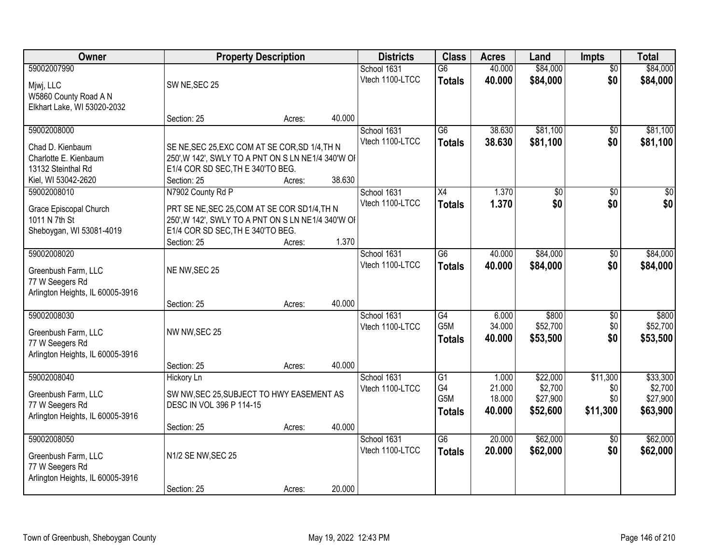| Owner                                                                                     |                                                                                                                                                        | <b>Property Description</b> |        | <b>Districts</b>               | <b>Class</b>                                         | <b>Acres</b>                        | Land                                        | <b>Impts</b>                       | <b>Total</b>                                |
|-------------------------------------------------------------------------------------------|--------------------------------------------------------------------------------------------------------------------------------------------------------|-----------------------------|--------|--------------------------------|------------------------------------------------------|-------------------------------------|---------------------------------------------|------------------------------------|---------------------------------------------|
| 59002007990<br>Mjwj, LLC<br>W5860 County Road A N                                         | SW NE, SEC 25                                                                                                                                          |                             |        | School 1631<br>Vtech 1100-LTCC | $\overline{G6}$<br><b>Totals</b>                     | 40.000<br>40.000                    | \$84,000<br>\$84,000                        | $\overline{50}$<br>\$0             | \$84,000<br>\$84,000                        |
| Elkhart Lake, WI 53020-2032                                                               | Section: 25                                                                                                                                            | Acres:                      | 40.000 |                                |                                                      |                                     |                                             |                                    |                                             |
| 59002008000<br>Chad D. Kienbaum<br>Charlotte E. Kienbaum<br>13132 Steinthal Rd            | SE NE, SEC 25, EXC COM AT SE COR, SD 1/4, TH N<br>250', W 142', SWLY TO A PNT ON S LN NE1/4 340'W OF<br>E1/4 COR SD SEC, TH E 340'TO BEG.              |                             |        | School 1631<br>Vtech 1100-LTCC | $\overline{G6}$<br><b>Totals</b>                     | 38.630<br>38.630                    | \$81,100<br>\$81,100                        | \$0<br>\$0                         | \$81,100<br>\$81,100                        |
| Kiel, WI 53042-2620<br>59002008010                                                        | Section: 25<br>N7902 County Rd P                                                                                                                       | Acres:                      | 38.630 | School 1631<br>Vtech 1100-LTCC | X4<br><b>Totals</b>                                  | 1.370<br>1.370                      | \$0<br>\$0                                  | \$0<br>\$0                         | $\overline{30}$<br>\$0                      |
| Grace Episcopal Church<br>1011 N 7th St<br>Sheboygan, WI 53081-4019                       | PRT SE NE, SEC 25, COM AT SE COR SD1/4, TH N<br>250', W 142', SWLY TO A PNT ON S LN NE1/4 340'W OF<br>E1/4 COR SD SEC, TH E 340'TO BEG.<br>Section: 25 | Acres:                      | 1.370  |                                |                                                      |                                     |                                             |                                    |                                             |
| 59002008020<br>Greenbush Farm, LLC<br>77 W Seegers Rd<br>Arlington Heights, IL 60005-3916 | NE NW, SEC 25                                                                                                                                          |                             |        | School 1631<br>Vtech 1100-LTCC | $\overline{G6}$<br><b>Totals</b>                     | 40.000<br>40.000                    | \$84,000<br>\$84,000                        | $\sqrt[6]{3}$<br>\$0               | \$84,000<br>\$84,000                        |
|                                                                                           | Section: 25                                                                                                                                            | Acres:                      | 40.000 |                                |                                                      |                                     |                                             |                                    |                                             |
| 59002008030<br>Greenbush Farm, LLC<br>77 W Seegers Rd<br>Arlington Heights, IL 60005-3916 | NW NW, SEC 25                                                                                                                                          |                             |        | School 1631<br>Vtech 1100-LTCC | $\overline{G4}$<br>G <sub>5</sub> M<br><b>Totals</b> | 6.000<br>34.000<br>40.000           | \$800<br>\$52,700<br>\$53,500               | \$0<br>\$0<br>\$0                  | \$800<br>\$52,700<br>\$53,500               |
|                                                                                           | Section: 25                                                                                                                                            | Acres:                      | 40.000 |                                |                                                      |                                     |                                             |                                    |                                             |
| 59002008040<br>Greenbush Farm, LLC<br>77 W Seegers Rd<br>Arlington Heights, IL 60005-3916 | Hickory Ln<br>SW NW, SEC 25, SUBJECT TO HWY EASEMENT AS<br>DESC IN VOL 396 P 114-15                                                                    |                             |        | School 1631<br>Vtech 1100-LTCC | G1<br>G4<br>G <sub>5</sub> M<br><b>Totals</b>        | 1.000<br>21.000<br>18.000<br>40.000 | \$22,000<br>\$2,700<br>\$27,900<br>\$52,600 | \$11,300<br>\$0<br>\$0<br>\$11,300 | \$33,300<br>\$2,700<br>\$27,900<br>\$63,900 |
|                                                                                           | Section: 25                                                                                                                                            | Acres:                      | 40.000 |                                |                                                      |                                     |                                             |                                    |                                             |
| 59002008050<br>Greenbush Farm, LLC<br>77 W Seegers Rd<br>Arlington Heights, IL 60005-3916 | N1/2 SE NW, SEC 25                                                                                                                                     |                             |        | School 1631<br>Vtech 1100-LTCC | $\overline{G6}$<br><b>Totals</b>                     | 20.000<br>20.000                    | \$62,000<br>\$62,000                        | $\overline{50}$<br>\$0             | \$62,000<br>\$62,000                        |
|                                                                                           | Section: 25                                                                                                                                            | Acres:                      | 20.000 |                                |                                                      |                                     |                                             |                                    |                                             |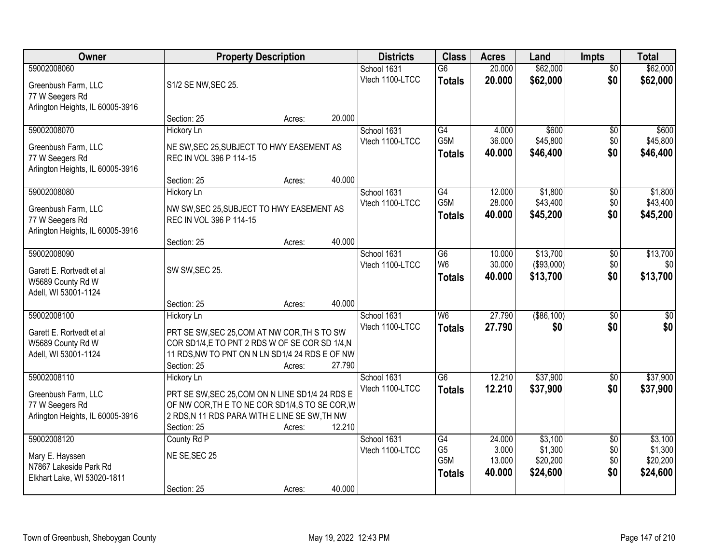| <b>Owner</b>                                                               |                                                                                                                                                                   | <b>Property Description</b> |        | <b>Districts</b>               | <b>Class</b>                     | <b>Acres</b>     | Land                   | <b>Impts</b>           | <b>Total</b>         |
|----------------------------------------------------------------------------|-------------------------------------------------------------------------------------------------------------------------------------------------------------------|-----------------------------|--------|--------------------------------|----------------------------------|------------------|------------------------|------------------------|----------------------|
| 59002008060<br>Greenbush Farm, LLC                                         | S1/2 SE NW, SEC 25.                                                                                                                                               |                             |        | School 1631<br>Vtech 1100-LTCC | $\overline{G6}$<br><b>Totals</b> | 20.000<br>20.000 | \$62,000<br>\$62,000   | $\overline{50}$<br>\$0 | \$62,000<br>\$62,000 |
| 77 W Seegers Rd<br>Arlington Heights, IL 60005-3916                        | Section: 25                                                                                                                                                       |                             | 20.000 |                                |                                  |                  |                        |                        |                      |
| 59002008070                                                                | <b>Hickory Ln</b>                                                                                                                                                 | Acres:                      |        | School 1631                    | G4                               | 4.000            | \$600                  | \$0                    | \$600                |
| Greenbush Farm, LLC<br>77 W Seegers Rd<br>Arlington Heights, IL 60005-3916 | NE SW, SEC 25, SUBJECT TO HWY EASEMENT AS<br>REC IN VOL 396 P 114-15                                                                                              |                             |        | Vtech 1100-LTCC                | G <sub>5</sub> M<br>Totals       | 36.000<br>40.000 | \$45,800<br>\$46,400   | \$0<br>\$0             | \$45,800<br>\$46,400 |
|                                                                            | Section: 25                                                                                                                                                       | Acres:                      | 40.000 |                                |                                  |                  |                        |                        |                      |
| 59002008080                                                                | <b>Hickory Ln</b>                                                                                                                                                 |                             |        | School 1631                    | G4                               | 12.000           | \$1,800                | $\sqrt[6]{3}$          | \$1,800              |
| Greenbush Farm, LLC<br>77 W Seegers Rd<br>Arlington Heights, IL 60005-3916 | NW SW, SEC 25, SUBJECT TO HWY EASEMENT AS<br>REC IN VOL 396 P 114-15                                                                                              |                             |        | Vtech 1100-LTCC                | G5M<br><b>Totals</b>             | 28.000<br>40.000 | \$43,400<br>\$45,200   | \$0<br>\$0             | \$43,400<br>\$45,200 |
|                                                                            | Section: 25                                                                                                                                                       | Acres:                      | 40.000 |                                |                                  |                  |                        |                        |                      |
| 59002008090                                                                |                                                                                                                                                                   |                             |        | School 1631<br>Vtech 1100-LTCC | G <sub>6</sub><br>W <sub>6</sub> | 10.000<br>30.000 | \$13,700<br>(\$93,000) | \$0<br>\$0             | \$13,700<br>\$0      |
| Garett E. Rortvedt et al<br>W5689 County Rd W<br>Adell, WI 53001-1124      | SW SW, SEC 25.                                                                                                                                                    |                             |        |                                | <b>Totals</b>                    | 40.000           | \$13,700               | \$0                    | \$13,700             |
|                                                                            | Section: 25                                                                                                                                                       | Acres:                      | 40.000 |                                |                                  |                  |                        |                        |                      |
| 59002008100                                                                | <b>Hickory Ln</b>                                                                                                                                                 |                             |        | School 1631                    | W <sub>6</sub>                   | 27.790           | $($ \$86,100)          | \$0                    | $\overline{50}$      |
| Garett E. Rortvedt et al<br>W5689 County Rd W<br>Adell, WI 53001-1124      | PRT SE SW, SEC 25, COM AT NW COR, TH S TO SW<br>COR SD1/4,E TO PNT 2 RDS W OF SE COR SD 1/4,N<br>11 RDS, NW TO PNT ON N LN SD1/4 24 RDS E OF NW<br>Section: 25    | Acres:                      | 27.790 | Vtech 1100-LTCC                | <b>Totals</b>                    | 27.790           | \$0                    | \$0                    | \$0                  |
| 59002008110                                                                | Hickory Ln                                                                                                                                                        |                             |        | School 1631                    | $\overline{G6}$                  | 12.210           | \$37,900               | \$0                    | \$37,900             |
| Greenbush Farm, LLC<br>77 W Seegers Rd<br>Arlington Heights, IL 60005-3916 | PRT SE SW, SEC 25, COM ON N LINE SD1/4 24 RDS E<br>OF NW COR, THE TO NE COR SD1/4, S TO SE COR, W<br>2 RDS, N 11 RDS PARA WITH E LINE SE SW, TH NW<br>Section: 25 | Acres:                      | 12.210 | Vtech 1100-LTCC                | <b>Totals</b>                    | 12.210           | \$37,900               | \$0                    | \$37,900             |
| 59002008120                                                                | County Rd P                                                                                                                                                       |                             |        | School 1631<br>Vtech 1100-LTCC | G4<br>G <sub>5</sub>             | 24.000<br>3.000  | \$3,100<br>\$1,300     | $\overline{50}$<br>\$0 | \$3,100<br>\$1,300   |
| Mary E. Hayssen<br>N7867 Lakeside Park Rd<br>Elkhart Lake, WI 53020-1811   | NE SE, SEC 25                                                                                                                                                     |                             |        |                                | G5M<br><b>Totals</b>             | 13.000<br>40.000 | \$20,200<br>\$24,600   | \$0<br>\$0             | \$20,200<br>\$24,600 |
|                                                                            | Section: 25                                                                                                                                                       | Acres:                      | 40.000 |                                |                                  |                  |                        |                        |                      |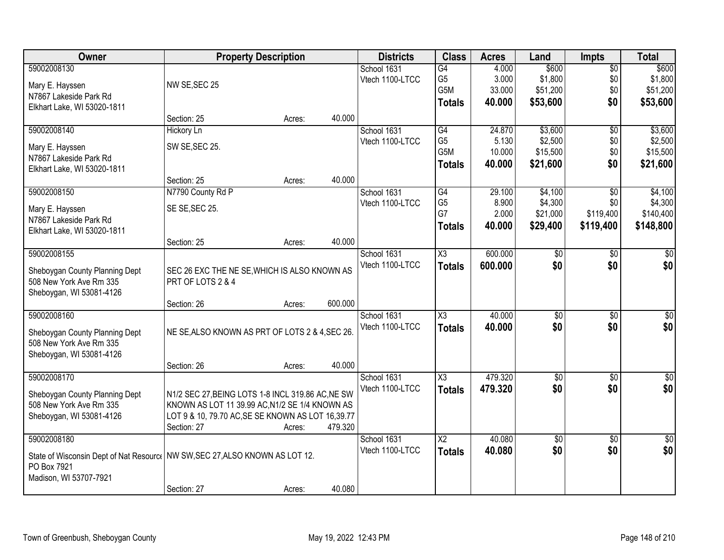| Owner                                                                          |                                                   | <b>Property Description</b> |         | <b>Districts</b> | <b>Class</b>           | <b>Acres</b> | Land            | <b>Impts</b>    | <b>Total</b>    |
|--------------------------------------------------------------------------------|---------------------------------------------------|-----------------------------|---------|------------------|------------------------|--------------|-----------------|-----------------|-----------------|
| 59002008130                                                                    |                                                   |                             |         | School 1631      | G4                     | 4.000        | \$600           | $\overline{50}$ | \$600           |
| Mary E. Hayssen                                                                | NW SE, SEC 25                                     |                             |         | Vtech 1100-LTCC  | G <sub>5</sub>         | 3.000        | \$1,800         | \$0             | \$1,800         |
| N7867 Lakeside Park Rd                                                         |                                                   |                             |         |                  | G5M                    | 33.000       | \$51,200        | \$0             | \$51,200        |
| Elkhart Lake, WI 53020-1811                                                    |                                                   |                             |         |                  | <b>Totals</b>          | 40.000       | \$53,600        | \$0             | \$53,600        |
|                                                                                | Section: 25                                       | Acres:                      | 40.000  |                  |                        |              |                 |                 |                 |
| 59002008140                                                                    | <b>Hickory Ln</b>                                 |                             |         | School 1631      | G4                     | 24.870       | \$3,600         | $\overline{50}$ | \$3,600         |
| Mary E. Hayssen                                                                | SW SE, SEC 25.                                    |                             |         | Vtech 1100-LTCC  | G <sub>5</sub>         | 5.130        | \$2,500         | \$0             | \$2,500         |
| N7867 Lakeside Park Rd                                                         |                                                   |                             |         |                  | G5M                    | 10.000       | \$15,500        | \$0             | \$15,500        |
| Elkhart Lake, WI 53020-1811                                                    |                                                   |                             |         |                  | <b>Totals</b>          | 40.000       | \$21,600        | \$0             | \$21,600        |
|                                                                                | Section: 25                                       | Acres:                      | 40.000  |                  |                        |              |                 |                 |                 |
| 59002008150                                                                    | N7790 County Rd P                                 |                             |         | School 1631      | G4                     | 29.100       | \$4,100         | \$0             | \$4,100         |
| Mary E. Hayssen                                                                | SE SE, SEC 25.                                    |                             |         | Vtech 1100-LTCC  | G <sub>5</sub>         | 8.900        | \$4,300         | \$0             | \$4,300         |
| N7867 Lakeside Park Rd                                                         |                                                   |                             |         |                  | G7                     | 2.000        | \$21,000        | \$119,400       | \$140,400       |
| Elkhart Lake, WI 53020-1811                                                    |                                                   |                             |         |                  | <b>Totals</b>          | 40.000       | \$29,400        | \$119,400       | \$148,800       |
|                                                                                | Section: 25                                       | Acres:                      | 40.000  |                  |                        |              |                 |                 |                 |
| 59002008155                                                                    |                                                   |                             |         | School 1631      | X3                     | 600.000      | \$0             | $\sqrt{6}$      | \$0             |
| Sheboygan County Planning Dept                                                 | SEC 26 EXC THE NE SE, WHICH IS ALSO KNOWN AS      |                             |         | Vtech 1100-LTCC  | <b>Totals</b>          | 600.000      | \$0             | \$0             | \$0             |
| 508 New York Ave Rm 335                                                        | PRT OF LOTS 2 & 4                                 |                             |         |                  |                        |              |                 |                 |                 |
| Sheboygan, WI 53081-4126                                                       |                                                   |                             |         |                  |                        |              |                 |                 |                 |
|                                                                                | Section: 26                                       | Acres:                      | 600.000 |                  |                        |              |                 |                 |                 |
| 59002008160                                                                    |                                                   |                             |         | School 1631      | $\overline{\chi_3}$    | 40.000       | $\overline{30}$ | $\overline{30}$ | $\sqrt{30}$     |
| Sheboygan County Planning Dept                                                 | NE SE, ALSO KNOWN AS PRT OF LOTS 2 & 4, SEC 26.   |                             |         | Vtech 1100-LTCC  | <b>Totals</b>          | 40.000       | \$0             | \$0             | \$0             |
| 508 New York Ave Rm 335                                                        |                                                   |                             |         |                  |                        |              |                 |                 |                 |
| Sheboygan, WI 53081-4126                                                       |                                                   |                             |         |                  |                        |              |                 |                 |                 |
|                                                                                | Section: 26                                       | Acres:                      | 40.000  |                  |                        |              |                 |                 |                 |
| 59002008170                                                                    |                                                   |                             |         | School 1631      | $\overline{\chi_3}$    | 479.320      | $\overline{60}$ | $\overline{50}$ | $\sqrt{50}$     |
| Sheboygan County Planning Dept                                                 | N1/2 SEC 27, BEING LOTS 1-8 INCL 319.86 AC, NE SW |                             |         | Vtech 1100-LTCC  | <b>Totals</b>          | 479.320      | \$0             | \$0             | \$0             |
| 508 New York Ave Rm 335                                                        | KNOWN AS LOT 11 39.99 AC, N1/2 SE 1/4 KNOWN AS    |                             |         |                  |                        |              |                 |                 |                 |
| Sheboygan, WI 53081-4126                                                       | LOT 9 & 10, 79.70 AC, SE SE KNOWN AS LOT 16,39.77 |                             |         |                  |                        |              |                 |                 |                 |
|                                                                                | Section: 27                                       | Acres:                      | 479.320 |                  |                        |              |                 |                 |                 |
| 59002008180                                                                    |                                                   |                             |         | School 1631      | $\overline{\text{X2}}$ | 40.080       | $\overline{50}$ | $\overline{50}$ | $\overline{50}$ |
| State of Wisconsin Dept of Nat Resource   NW SW, SEC 27, ALSO KNOWN AS LOT 12. |                                                   |                             |         | Vtech 1100-LTCC  | <b>Totals</b>          | 40.080       | \$0             | \$0             | \$0             |
| PO Box 7921                                                                    |                                                   |                             |         |                  |                        |              |                 |                 |                 |
| Madison, WI 53707-7921                                                         |                                                   |                             |         |                  |                        |              |                 |                 |                 |
|                                                                                | Section: 27                                       | Acres:                      | 40.080  |                  |                        |              |                 |                 |                 |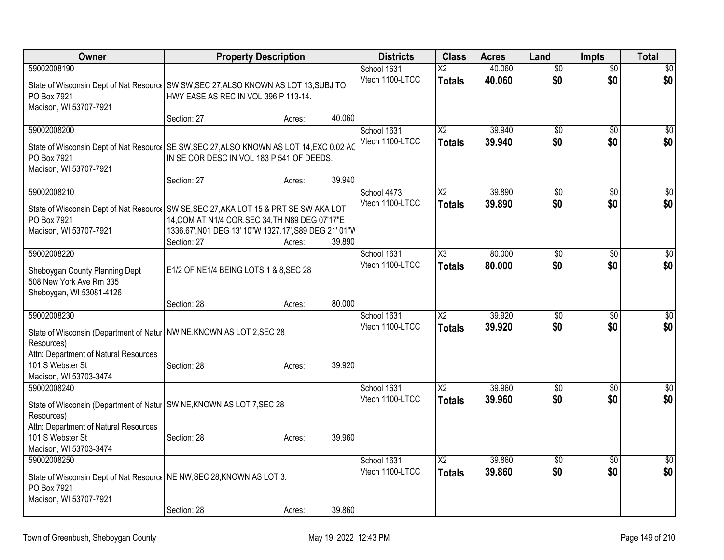| Owner                                                                                                | <b>Property Description</b>                           |        |        | <b>Districts</b>               | <b>Class</b>                              | <b>Acres</b>     | Land                   | <b>Impts</b>           | <b>Total</b>    |
|------------------------------------------------------------------------------------------------------|-------------------------------------------------------|--------|--------|--------------------------------|-------------------------------------------|------------------|------------------------|------------------------|-----------------|
| 59002008190                                                                                          |                                                       |        |        | School 1631<br>Vtech 1100-LTCC | $\overline{\mathsf{x2}}$<br><b>Totals</b> | 40.060<br>40.060 | $\overline{50}$<br>\$0 | $\overline{50}$<br>\$0 | \$0<br>\$0      |
| State of Wisconsin Dept of Nat Resourc   SW SW, SEC 27, ALSO KNOWN AS LOT 13, SUBJ TO<br>PO Box 7921 | HWY EASE AS REC IN VOL 396 P 113-14.                  |        |        |                                |                                           |                  |                        |                        |                 |
| Madison, WI 53707-7921                                                                               |                                                       |        |        |                                |                                           |                  |                        |                        |                 |
|                                                                                                      | Section: 27                                           | Acres: | 40.060 |                                |                                           |                  |                        |                        |                 |
| 59002008200                                                                                          |                                                       |        |        | School 1631                    | X <sub>2</sub>                            | 39.940           | \$0                    | $\sqrt{6}$             | $\sqrt{50}$     |
| State of Wisconsin Dept of Nat Resourc   SE SW, SEC 27, ALSO KNOWN AS LOT 14, EXC 0.02 AC            |                                                       |        |        | Vtech 1100-LTCC                | <b>Totals</b>                             | 39.940           | \$0                    | \$0                    | \$0             |
| PO Box 7921                                                                                          | IN SE COR DESC IN VOL 183 P 541 OF DEEDS.             |        |        |                                |                                           |                  |                        |                        |                 |
| Madison, WI 53707-7921                                                                               | Section: 27                                           | Acres: | 39.940 |                                |                                           |                  |                        |                        |                 |
| 59002008210                                                                                          |                                                       |        |        | School 4473                    | $\overline{X2}$                           | 39.890           | \$0                    | \$0                    | $\sqrt{50}$     |
| State of Wisconsin Dept of Nat Resourc   SW SE, SEC 27, AKA LOT 15 & PRT SE SW AKA LOT               |                                                       |        |        | Vtech 1100-LTCC                | <b>Totals</b>                             | 39.890           | \$0                    | \$0                    | \$0             |
| PO Box 7921                                                                                          | 14, COM AT N1/4 COR, SEC 34, TH N89 DEG 07'17"E       |        |        |                                |                                           |                  |                        |                        |                 |
| Madison, WI 53707-7921                                                                               | 1336.67', N01 DEG 13' 10"W 1327.17', S89 DEG 21' 01"W |        |        |                                |                                           |                  |                        |                        |                 |
| 59002008220                                                                                          | Section: 27                                           | Acres: | 39.890 | School 1631                    | $\overline{\text{X3}}$                    | 80.000           | \$0                    | \$0                    | $\sqrt{50}$     |
|                                                                                                      |                                                       |        |        | Vtech 1100-LTCC                | <b>Totals</b>                             | 80,000           | \$0                    | \$0                    | \$0             |
| Sheboygan County Planning Dept<br>508 New York Ave Rm 335                                            | E1/2 OF NE1/4 BEING LOTS 1 & 8, SEC 28                |        |        |                                |                                           |                  |                        |                        |                 |
| Sheboygan, WI 53081-4126                                                                             |                                                       |        |        |                                |                                           |                  |                        |                        |                 |
|                                                                                                      | Section: 28                                           | Acres: | 80.000 |                                |                                           |                  |                        |                        |                 |
| 59002008230                                                                                          |                                                       |        |        | School 1631                    | $\overline{X2}$                           | 39.920           | $\overline{50}$        | $\overline{50}$        | $\overline{50}$ |
| State of Wisconsin (Department of Natur   NW NE, KNOWN AS LOT 2, SEC 28                              |                                                       |        |        | Vtech 1100-LTCC                | <b>Totals</b>                             | 39.920           | \$0                    | \$0                    | \$0             |
| Resources)                                                                                           |                                                       |        |        |                                |                                           |                  |                        |                        |                 |
| Attn: Department of Natural Resources<br>101 S Webster St                                            | Section: 28                                           | Acres: | 39.920 |                                |                                           |                  |                        |                        |                 |
| Madison, WI 53703-3474                                                                               |                                                       |        |        |                                |                                           |                  |                        |                        |                 |
| 59002008240                                                                                          |                                                       |        |        | School 1631                    | $\overline{X2}$                           | 39.960           | $\overline{60}$        | $\overline{50}$        | \$0             |
| State of Wisconsin (Department of Natur   SW NE, KNOWN AS LOT 7, SEC 28                              |                                                       |        |        | Vtech 1100-LTCC                | <b>Totals</b>                             | 39.960           | \$0                    | \$0                    | \$0             |
| Resources)                                                                                           |                                                       |        |        |                                |                                           |                  |                        |                        |                 |
| Attn: Department of Natural Resources<br>101 S Webster St                                            | Section: 28                                           | Acres: | 39.960 |                                |                                           |                  |                        |                        |                 |
| Madison, WI 53703-3474                                                                               |                                                       |        |        |                                |                                           |                  |                        |                        |                 |
| 59002008250                                                                                          |                                                       |        |        | School 1631                    | $\overline{X2}$                           | 39.860           | $\overline{60}$        | $\overline{50}$        | $\overline{30}$ |
| State of Wisconsin Dept of Nat Resourc   NE NW, SEC 28, KNOWN AS LOT 3.                              |                                                       |        |        | Vtech 1100-LTCC                | <b>Totals</b>                             | 39.860           | \$0                    | \$0                    | \$0             |
| PO Box 7921                                                                                          |                                                       |        |        |                                |                                           |                  |                        |                        |                 |
| Madison, WI 53707-7921                                                                               |                                                       |        | 39.860 |                                |                                           |                  |                        |                        |                 |
|                                                                                                      | Section: 28                                           | Acres: |        |                                |                                           |                  |                        |                        |                 |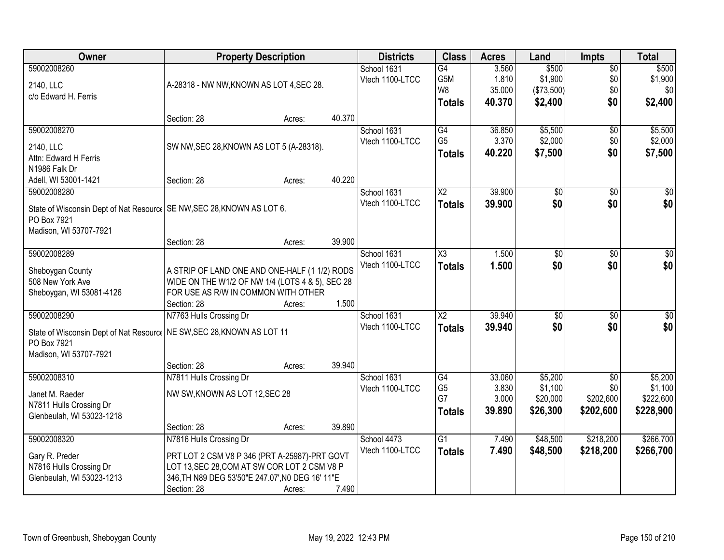| <b>Class</b><br>Owner<br><b>Districts</b><br><b>Property Description</b><br><b>Acres</b><br>Land<br><b>Impts</b>                      | <b>Total</b>    |
|---------------------------------------------------------------------------------------------------------------------------------------|-----------------|
| \$500<br>59002008260<br>$\overline{G4}$<br>3.560<br>$\overline{$0}$<br>School 1631                                                    | \$500           |
| 1.810<br>\$1,900<br>G5M<br>\$0<br>Vtech 1100-LTCC<br>A-28318 - NW NW, KNOWN AS LOT 4, SEC 28.<br>2140, LLC                            | \$1,900         |
| W8<br>35.000<br>\$0<br>(\$73,500)<br>c/o Edward H. Ferris                                                                             | \$0             |
| \$0<br>40.370<br>\$2,400<br><b>Totals</b>                                                                                             | \$2,400         |
| 40.370<br>Section: 28<br>Acres:                                                                                                       |                 |
| 59002008270<br>G4<br>\$5,500<br>School 1631<br>36.850<br>\$0                                                                          | \$5,500         |
| G <sub>5</sub><br>3.370<br>\$2,000<br>Vtech 1100-LTCC<br>\$0<br>SW NW, SEC 28, KNOWN AS LOT 5 (A-28318).<br>2140, LLC                 | \$2,000         |
| \$0<br>\$7,500<br>40.220<br><b>Totals</b><br>Attn: Edward H Ferris                                                                    | \$7,500         |
| N1986 Falk Dr                                                                                                                         |                 |
| 40.220<br>Adell, WI 53001-1421<br>Section: 28<br>Acres:                                                                               |                 |
| $\overline{X2}$<br>39.900<br>$\overline{50}$<br>59002008280<br>School 1631<br>\$0                                                     | $\overline{50}$ |
| \$0<br>\$0<br>Vtech 1100-LTCC<br>39.900<br><b>Totals</b>                                                                              | \$0             |
| State of Wisconsin Dept of Nat Resourc   SE NW, SEC 28, KNOWN AS LOT 6.<br>PO Box 7921                                                |                 |
| Madison, WI 53707-7921                                                                                                                |                 |
| 39.900<br>Section: 28<br>Acres:                                                                                                       |                 |
| 59002008289<br>School 1631<br>X3<br>1.500<br>\$0<br>$\sqrt[6]{3}$                                                                     | $\sqrt{50}$     |
| Vtech 1100-LTCC<br>1.500<br>\$0<br>\$0<br><b>Totals</b>                                                                               | \$0             |
| A STRIP OF LAND ONE AND ONE-HALF (1 1/2) RODS<br>Sheboygan County                                                                     |                 |
| 508 New York Ave<br>WIDE ON THE W1/2 OF NW 1/4 (LOTS 4 & 5), SEC 28                                                                   |                 |
| FOR USE AS R/W IN COMMON WITH OTHER<br>Sheboygan, WI 53081-4126                                                                       |                 |
| 1.500<br>Section: 28<br>Acres:                                                                                                        |                 |
| 39.940<br>59002008290<br>N7763 Hulls Crossing Dr<br>$\overline{\text{X2}}$<br>$\overline{50}$<br>$\overline{50}$<br>School 1631       | $\overline{50}$ |
| \$0<br>\$0<br>Vtech 1100-LTCC<br>39.940<br><b>Totals</b><br>State of Wisconsin Dept of Nat Resourc   NE SW, SEC 28, KNOWN AS LOT 11   | \$0             |
| PO Box 7921                                                                                                                           |                 |
| Madison, WI 53707-7921                                                                                                                |                 |
| 39.940<br>Section: 28<br>Acres:                                                                                                       |                 |
| 59002008310<br>G4<br>33.060<br>\$5,200<br>N7811 Hulls Crossing Dr<br>School 1631<br>$\overline{50}$                                   | \$5,200         |
| G <sub>5</sub><br>\$1,100<br>3.830<br>\$0<br>Vtech 1100-LTCC<br>Janet M. Raeder<br>NW SW, KNOWN AS LOT 12, SEC 28                     | \$1,100         |
| G7<br>\$202,600<br>3.000<br>\$20,000<br>N7811 Hulls Crossing Dr                                                                       | \$222,600       |
| 39.890<br>\$26,300<br>\$202,600<br><b>Totals</b><br>Glenbeulah, WI 53023-1218                                                         | \$228,900       |
| 39.890<br>Section: 28<br>Acres:                                                                                                       |                 |
| \$48,500<br>\$218,200<br>59002008320<br>N7816 Hulls Crossing Dr<br>$\overline{G1}$<br>School 4473<br>7.490                            | \$266,700       |
| Vtech 1100-LTCC<br>7.490<br>\$48,500<br>\$218,200<br><b>Totals</b><br>PRT LOT 2 CSM V8 P 346 (PRT A-25987)-PRT GOVT<br>Gary R. Preder | \$266,700       |
| N7816 Hulls Crossing Dr<br>LOT 13, SEC 28, COM AT SW COR LOT 2 CSM V8 P                                                               |                 |
| Glenbeulah, WI 53023-1213<br>346, TH N89 DEG 53'50"E 247.07', N0 DEG 16' 11"E                                                         |                 |
| Section: 28<br>7.490<br>Acres:                                                                                                        |                 |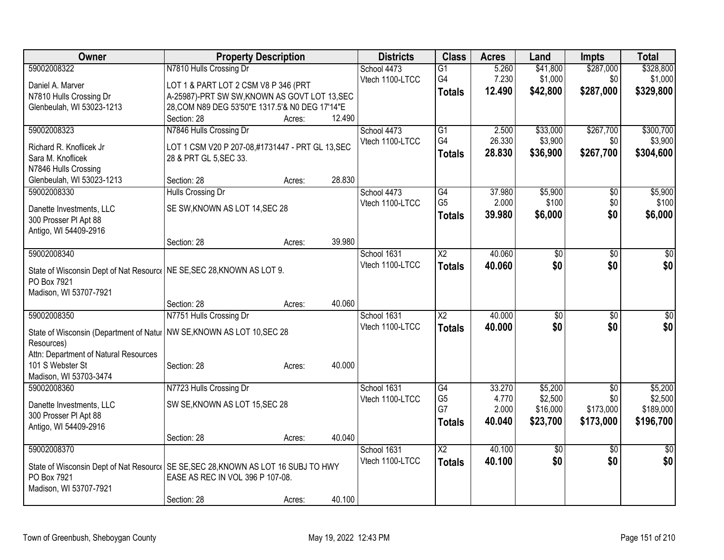| Owner                                                                                              | <b>Property Description</b>                                                |        |        | <b>Districts</b> | <b>Class</b>           | <b>Acres</b> | Land            | <b>Impts</b>    | <b>Total</b>    |
|----------------------------------------------------------------------------------------------------|----------------------------------------------------------------------------|--------|--------|------------------|------------------------|--------------|-----------------|-----------------|-----------------|
| 59002008322                                                                                        | N7810 Hulls Crossing Dr                                                    |        |        | School 4473      | $\overline{G1}$        | 5.260        | \$41,800        | \$287,000       | \$328,800       |
| Daniel A. Marver                                                                                   | LOT 1 & PART LOT 2 CSM V8 P 346 (PRT                                       |        |        | Vtech 1100-LTCC  | G4                     | 7.230        | \$1,000         | \$0             | \$1,000         |
| N7810 Hulls Crossing Dr                                                                            | A-25987)-PRT SW SW, KNOWN AS GOVT LOT 13, SEC                              |        |        |                  | <b>Totals</b>          | 12.490       | \$42,800        | \$287,000       | \$329,800       |
| Glenbeulah, WI 53023-1213                                                                          | 28, COM N89 DEG 53'50"E 1317.5'& N0 DEG 17'14"E                            |        |        |                  |                        |              |                 |                 |                 |
|                                                                                                    | Section: 28                                                                | Acres: | 12.490 |                  |                        |              |                 |                 |                 |
| 59002008323                                                                                        | N7846 Hulls Crossing Dr                                                    |        |        | School 4473      | G1                     | 2.500        | \$33,000        | \$267,700       | \$300,700       |
|                                                                                                    |                                                                            |        |        | Vtech 1100-LTCC  | G4                     | 26.330       | \$3,900         | \$0             | \$3,900         |
| Richard R. Knoflicek Jr<br>Sara M. Knoflicek                                                       | LOT 1 CSM V20 P 207-08,#1731447 - PRT GL 13, SEC<br>28 & PRT GL 5, SEC 33. |        |        |                  | <b>Totals</b>          | 28.830       | \$36,900        | \$267,700       | \$304,600       |
| N7846 Hulls Crossing                                                                               |                                                                            |        |        |                  |                        |              |                 |                 |                 |
| Glenbeulah, WI 53023-1213                                                                          | Section: 28                                                                | Acres: | 28.830 |                  |                        |              |                 |                 |                 |
| 59002008330                                                                                        | Hulls Crossing Dr                                                          |        |        | School 4473      | G4                     | 37.980       | \$5,900         | \$0             | \$5,900         |
|                                                                                                    |                                                                            |        |        | Vtech 1100-LTCC  | G <sub>5</sub>         | 2.000        | \$100           | \$0             | \$100           |
| Danette Investments, LLC                                                                           | SE SW, KNOWN AS LOT 14, SEC 28                                             |        |        |                  | <b>Totals</b>          | 39.980       | \$6,000         | \$0             | \$6,000         |
| 300 Prosser PI Apt 88                                                                              |                                                                            |        |        |                  |                        |              |                 |                 |                 |
| Antigo, WI 54409-2916                                                                              |                                                                            |        |        |                  |                        |              |                 |                 |                 |
|                                                                                                    | Section: 28                                                                | Acres: | 39.980 |                  |                        |              |                 |                 |                 |
| 59002008340                                                                                        |                                                                            |        |        | School 1631      | $\overline{X2}$        | 40.060       | $\overline{30}$ | $\overline{50}$ | $\overline{50}$ |
| State of Wisconsin Dept of Nat Resourc   NE SE, SEC 28, KNOWN AS LOT 9.                            |                                                                            |        |        | Vtech 1100-LTCC  | <b>Totals</b>          | 40.060       | \$0             | \$0             | \$0             |
| PO Box 7921                                                                                        |                                                                            |        |        |                  |                        |              |                 |                 |                 |
| Madison, WI 53707-7921                                                                             |                                                                            |        |        |                  |                        |              |                 |                 |                 |
|                                                                                                    | Section: 28                                                                | Acres: | 40.060 |                  |                        |              |                 |                 |                 |
| 59002008350                                                                                        | N7751 Hulls Crossing Dr                                                    |        |        | School 1631      | $\overline{\text{X2}}$ | 40.000       | $\overline{30}$ | $\overline{50}$ | $\sqrt{50}$     |
| State of Wisconsin (Department of Natur   NW SE, KNOWN AS LOT 10, SEC 28                           |                                                                            |        |        | Vtech 1100-LTCC  | <b>Totals</b>          | 40.000       | \$0             | \$0             | \$0             |
| Resources)                                                                                         |                                                                            |        |        |                  |                        |              |                 |                 |                 |
| Attn: Department of Natural Resources                                                              |                                                                            |        |        |                  |                        |              |                 |                 |                 |
| 101 S Webster St                                                                                   | Section: 28                                                                | Acres: | 40.000 |                  |                        |              |                 |                 |                 |
| Madison, WI 53703-3474                                                                             |                                                                            |        |        |                  |                        |              |                 |                 |                 |
| 59002008360                                                                                        | N7723 Hulls Crossing Dr                                                    |        |        | School 1631      | G4                     | 33.270       | \$5,200         | $\overline{50}$ | \$5,200         |
| Danette Investments, LLC                                                                           | SW SE, KNOWN AS LOT 15, SEC 28                                             |        |        | Vtech 1100-LTCC  | G <sub>5</sub>         | 4.770        | \$2,500         | \$0             | \$2,500         |
| 300 Prosser PI Apt 88                                                                              |                                                                            |        |        |                  | G7                     | 2.000        | \$16,000        | \$173,000       | \$189,000       |
| Antigo, WI 54409-2916                                                                              |                                                                            |        |        |                  | <b>Totals</b>          | 40.040       | \$23,700        | \$173,000       | \$196,700       |
|                                                                                                    | Section: 28                                                                | Acres: | 40.040 |                  |                        |              |                 |                 |                 |
| 59002008370                                                                                        |                                                                            |        |        | School 1631      | $\overline{X2}$        | 40.100       | $\overline{60}$ | $\overline{30}$ | $\overline{30}$ |
|                                                                                                    |                                                                            |        |        | Vtech 1100-LTCC  | <b>Totals</b>          | 40.100       | \$0             | \$0             | \$0             |
| State of Wisconsin Dept of Nat Resourc   SE SE, SEC 28, KNOWN AS LOT 16 SUBJ TO HWY<br>PO Box 7921 | EASE AS REC IN VOL 396 P 107-08.                                           |        |        |                  |                        |              |                 |                 |                 |
| Madison, WI 53707-7921                                                                             |                                                                            |        |        |                  |                        |              |                 |                 |                 |
|                                                                                                    | Section: 28                                                                | Acres: | 40.100 |                  |                        |              |                 |                 |                 |
|                                                                                                    |                                                                            |        |        |                  |                        |              |                 |                 |                 |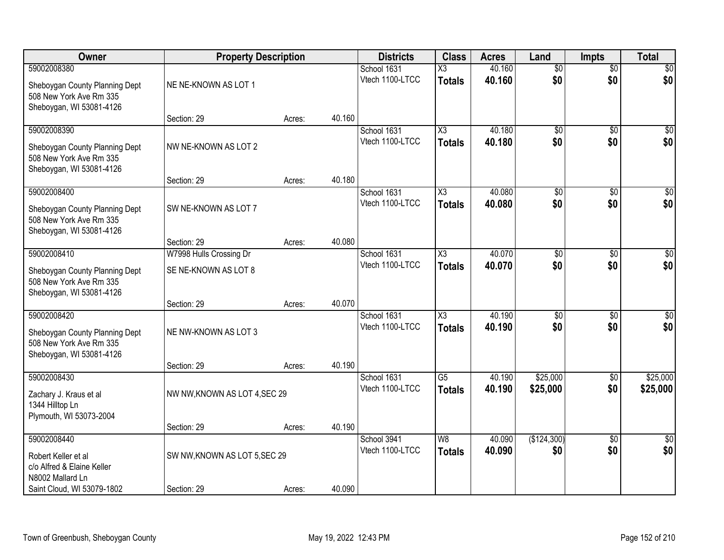| Owner                                                                                                | <b>Property Description</b>                     |        |        | <b>Districts</b>               | <b>Class</b>                            | <b>Acres</b>     | Land                   | <b>Impts</b>           | <b>Total</b>           |
|------------------------------------------------------------------------------------------------------|-------------------------------------------------|--------|--------|--------------------------------|-----------------------------------------|------------------|------------------------|------------------------|------------------------|
| 59002008380<br>Sheboygan County Planning Dept<br>508 New York Ave Rm 335<br>Sheboygan, WI 53081-4126 | NE NE-KNOWN AS LOT 1                            |        |        | School 1631<br>Vtech 1100-LTCC | $\overline{\text{X3}}$<br><b>Totals</b> | 40.160<br>40.160 | $\overline{50}$<br>\$0 | $\overline{50}$<br>\$0 | \$0<br>\$0             |
|                                                                                                      | Section: 29                                     | Acres: | 40.160 |                                |                                         |                  |                        |                        |                        |
| 59002008390<br>Sheboygan County Planning Dept<br>508 New York Ave Rm 335<br>Sheboygan, WI 53081-4126 | NW NE-KNOWN AS LOT 2                            |        |        | School 1631<br>Vtech 1100-LTCC | X3<br><b>Totals</b>                     | 40.180<br>40.180 | $\overline{50}$<br>\$0 | $\overline{50}$<br>\$0 | \$0<br>\$0             |
| 59002008400                                                                                          | Section: 29                                     | Acres: | 40.180 | School 1631                    | $\overline{\text{X3}}$                  | 40.080           | \$0                    | \$0                    | $\overline{50}$        |
| Sheboygan County Planning Dept<br>508 New York Ave Rm 335<br>Sheboygan, WI 53081-4126                | SW NE-KNOWN AS LOT 7                            |        |        | Vtech 1100-LTCC                | <b>Totals</b>                           | 40.080           | \$0                    | \$0                    | \$0                    |
|                                                                                                      | Section: 29                                     | Acres: | 40.080 |                                |                                         |                  |                        |                        |                        |
| 59002008410<br>Sheboygan County Planning Dept<br>508 New York Ave Rm 335<br>Sheboygan, WI 53081-4126 | W7998 Hulls Crossing Dr<br>SE NE-KNOWN AS LOT 8 |        |        | School 1631<br>Vtech 1100-LTCC | X3<br><b>Totals</b>                     | 40.070<br>40.070 | \$0<br>\$0             | $\sqrt{6}$<br>\$0      | $\sqrt{50}$<br>\$0     |
|                                                                                                      | Section: 29                                     | Acres: | 40.070 |                                |                                         |                  |                        |                        |                        |
| 59002008420<br>Sheboygan County Planning Dept<br>508 New York Ave Rm 335<br>Sheboygan, WI 53081-4126 | NE NW-KNOWN AS LOT 3<br>Section: 29             |        | 40.190 | School 1631<br>Vtech 1100-LTCC | $\overline{\chi_3}$<br><b>Totals</b>    | 40.190<br>40.190 | $\overline{50}$<br>\$0 | $\overline{50}$<br>\$0 | $\overline{50}$<br>\$0 |
| 59002008430                                                                                          |                                                 | Acres: |        | School 1631                    | $\overline{G5}$                         | 40.190           | \$25,000               | $\overline{30}$        | \$25,000               |
| Zachary J. Kraus et al<br>1344 Hilltop Ln<br>Plymouth, WI 53073-2004                                 | NW NW, KNOWN AS LOT 4, SEC 29                   |        |        | Vtech 1100-LTCC                | <b>Totals</b>                           | 40.190           | \$25,000               | \$0                    | \$25,000               |
|                                                                                                      | Section: 29                                     | Acres: | 40.190 |                                |                                         |                  |                        |                        |                        |
| 59002008440<br>Robert Keller et al<br>c/o Alfred & Elaine Keller<br>N8002 Mallard Ln                 | SW NW, KNOWN AS LOT 5, SEC 29                   |        |        | School 3941<br>Vtech 1100-LTCC | W8<br><b>Totals</b>                     | 40.090<br>40.090 | (\$124,300)<br>\$0     | $\overline{50}$<br>\$0 | $\overline{30}$<br>\$0 |
| Saint Cloud, WI 53079-1802                                                                           | Section: 29                                     | Acres: | 40.090 |                                |                                         |                  |                        |                        |                        |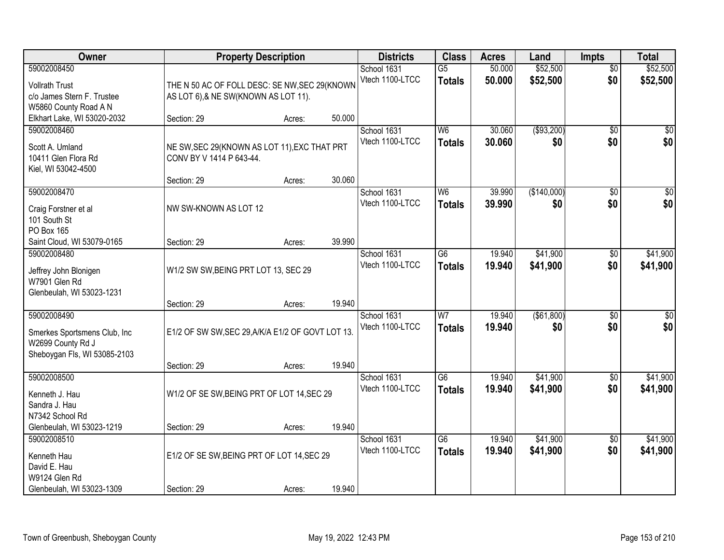| Owner                                                                                             |                                                                                       | <b>Property Description</b> |        | <b>Districts</b>               | <b>Class</b>                     | <b>Acres</b>     | Land                 | <b>Impts</b>           | <b>Total</b>           |
|---------------------------------------------------------------------------------------------------|---------------------------------------------------------------------------------------|-----------------------------|--------|--------------------------------|----------------------------------|------------------|----------------------|------------------------|------------------------|
| 59002008450<br><b>Vollrath Trust</b><br>c/o James Stern F. Trustee<br>W5860 County Road A N       | THE N 50 AC OF FOLL DESC: SE NW, SEC 29(KNOWN<br>AS LOT 6), & NE SW(KNOWN AS LOT 11). |                             |        | School 1631<br>Vtech 1100-LTCC | $\overline{G5}$<br><b>Totals</b> | 50.000<br>50.000 | \$52,500<br>\$52,500 | $\overline{50}$<br>\$0 | \$52,500<br>\$52,500   |
| Elkhart Lake, WI 53020-2032                                                                       | Section: 29                                                                           | Acres:                      | 50.000 |                                |                                  |                  |                      |                        |                        |
| 59002008460<br>Scott A. Umland<br>10411 Glen Flora Rd<br>Kiel, WI 53042-4500                      | NE SW, SEC 29(KNOWN AS LOT 11), EXC THAT PRT<br>CONV BY V 1414 P 643-44.              |                             |        | School 1631<br>Vtech 1100-LTCC | W6<br><b>Totals</b>              | 30.060<br>30.060 | ( \$93,200)<br>\$0   | $\overline{50}$<br>\$0 | \$0<br>\$0             |
| 59002008470                                                                                       | Section: 29                                                                           | Acres:                      | 30.060 | School 1631                    | W <sub>6</sub>                   | 39.990           | (\$140,000)          | \$0                    | $\overline{50}$        |
| Craig Forstner et al<br>101 South St<br>PO Box 165                                                | NW SW-KNOWN AS LOT 12                                                                 |                             |        | Vtech 1100-LTCC                | <b>Totals</b>                    | 39.990           | \$0                  | \$0                    | \$0                    |
| Saint Cloud, WI 53079-0165                                                                        | Section: 29                                                                           | Acres:                      | 39.990 |                                |                                  |                  |                      |                        |                        |
| 59002008480<br>Jeffrey John Blonigen<br>W7901 Glen Rd<br>Glenbeulah, WI 53023-1231                | W1/2 SW SW, BEING PRT LOT 13, SEC 29                                                  |                             |        | School 1631<br>Vtech 1100-LTCC | G <sub>6</sub><br><b>Totals</b>  | 19.940<br>19,940 | \$41,900<br>\$41,900 | $\sqrt[6]{3}$<br>\$0   | \$41,900<br>\$41,900   |
|                                                                                                   | Section: 29                                                                           | Acres:                      | 19.940 |                                |                                  |                  |                      |                        |                        |
| 59002008490<br>Smerkes Sportsmens Club, Inc.<br>W2699 County Rd J<br>Sheboygan Fls, WI 53085-2103 | E1/2 OF SW SW, SEC 29, A/K/A E1/2 OF GOVT LOT 13.<br>Section: 29                      | Acres:                      | 19.940 | School 1631<br>Vtech 1100-LTCC | W <sub>7</sub><br><b>Totals</b>  | 19.940<br>19.940 | (\$61,800)<br>\$0    | $\overline{50}$<br>\$0 | $\overline{50}$<br>\$0 |
| 59002008500                                                                                       |                                                                                       |                             |        | School 1631                    | $\overline{G6}$                  | 19.940           | \$41,900             | $\overline{50}$        | \$41,900               |
| Kenneth J. Hau<br>Sandra J. Hau<br>N7342 School Rd                                                | W1/2 OF SE SW, BEING PRT OF LOT 14, SEC 29                                            |                             |        | Vtech 1100-LTCC                | <b>Totals</b>                    | 19.940           | \$41,900             | \$0                    | \$41,900               |
| Glenbeulah, WI 53023-1219                                                                         | Section: 29                                                                           | Acres:                      | 19.940 |                                |                                  |                  |                      |                        |                        |
| 59002008510<br>Kenneth Hau<br>David E. Hau<br>W9124 Glen Rd                                       | E1/2 OF SE SW, BEING PRT OF LOT 14, SEC 29                                            |                             |        | School 1631<br>Vtech 1100-LTCC | $\overline{G6}$<br><b>Totals</b> | 19.940<br>19.940 | \$41,900<br>\$41,900 | $\overline{60}$<br>\$0 | \$41,900<br>\$41,900   |
| Glenbeulah, WI 53023-1309                                                                         | Section: 29                                                                           | Acres:                      | 19.940 |                                |                                  |                  |                      |                        |                        |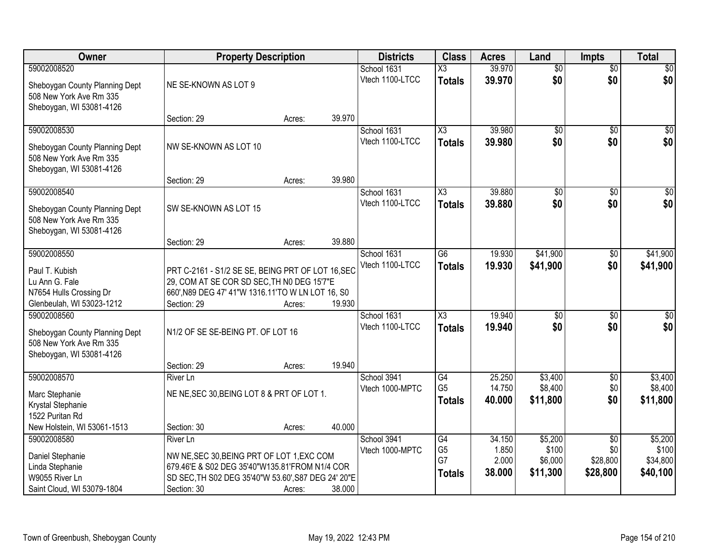| Owner                                                                                                   | <b>Property Description</b>                                                                                                                                                           |        |        | <b>Districts</b>               | <b>Class</b>                                | <b>Acres</b>                       | Land                                    | <b>Impts</b>                                   | <b>Total</b>                             |
|---------------------------------------------------------------------------------------------------------|---------------------------------------------------------------------------------------------------------------------------------------------------------------------------------------|--------|--------|--------------------------------|---------------------------------------------|------------------------------------|-----------------------------------------|------------------------------------------------|------------------------------------------|
| 59002008520                                                                                             |                                                                                                                                                                                       |        |        | School 1631                    | X3                                          | 39.970                             | $\overline{50}$                         | $\overline{$0}$                                | $\overline{30}$                          |
| Sheboygan County Planning Dept<br>508 New York Ave Rm 335<br>Sheboygan, WI 53081-4126                   | NE SE-KNOWN AS LOT 9                                                                                                                                                                  |        |        | Vtech 1100-LTCC                | <b>Totals</b>                               | 39.970                             | \$0                                     | \$0                                            | \$0                                      |
|                                                                                                         | Section: 29                                                                                                                                                                           | Acres: | 39.970 |                                |                                             |                                    |                                         |                                                |                                          |
| 59002008530<br>Sheboygan County Planning Dept<br>508 New York Ave Rm 335<br>Sheboygan, WI 53081-4126    | NW SE-KNOWN AS LOT 10                                                                                                                                                                 |        |        | School 1631<br>Vtech 1100-LTCC | X3<br><b>Totals</b>                         | 39.980<br>39.980                   | $\overline{50}$<br>\$0                  | $\overline{50}$<br>\$0                         | \$0<br>\$0                               |
|                                                                                                         | Section: 29                                                                                                                                                                           | Acres: | 39.980 |                                |                                             |                                    |                                         |                                                |                                          |
| 59002008540<br>Sheboygan County Planning Dept<br>508 New York Ave Rm 335<br>Sheboygan, WI 53081-4126    | SW SE-KNOWN AS LOT 15                                                                                                                                                                 |        |        | School 1631<br>Vtech 1100-LTCC | $\overline{\chi_3}$<br><b>Totals</b>        | 39.880<br>39.880                   | $\overline{50}$<br>\$0                  | \$0<br>\$0                                     | $\sqrt{50}$<br>\$0                       |
|                                                                                                         | Section: 29                                                                                                                                                                           | Acres: | 39.880 |                                |                                             |                                    |                                         |                                                |                                          |
| 59002008550<br>Paul T. Kubish<br>Lu Ann G. Fale<br>N7654 Hulls Crossing Dr<br>Glenbeulah, WI 53023-1212 | PRT C-2161 - S1/2 SE SE, BEING PRT OF LOT 16, SEC<br>29, COM AT SE COR SD SEC, TH N0 DEG 15'7"E<br>660', N89 DEG 47' 41"W 1316.11'TO W LN LOT 16, S0<br>Section: 29                   | Acres: | 19.930 | School 1631<br>Vtech 1100-LTCC | $\overline{G6}$<br><b>Totals</b>            | 19.930<br>19.930                   | \$41,900<br>\$41,900                    | $\sqrt[6]{}$<br>\$0                            | \$41,900<br>\$41,900                     |
| 59002008560<br>Sheboygan County Planning Dept<br>508 New York Ave Rm 335<br>Sheboygan, WI 53081-4126    | N1/2 OF SE SE-BEING PT. OF LOT 16                                                                                                                                                     |        |        | School 1631<br>Vtech 1100-LTCC | $\overline{\chi_3}$<br><b>Totals</b>        | 19.940<br>19.940                   | $\overline{50}$<br>\$0                  | $\overline{50}$<br>\$0                         | $\overline{50}$<br>\$0                   |
|                                                                                                         | Section: 29                                                                                                                                                                           | Acres: | 19.940 |                                |                                             |                                    |                                         |                                                |                                          |
| 59002008570<br>Marc Stephanie<br>Krystal Stephanie<br>1522 Puritan Rd                                   | <b>River Ln</b><br>NE NE, SEC 30, BEING LOT 8 & PRT OF LOT 1.                                                                                                                         |        |        | School 3941<br>Vtech 1000-MPTC | G4<br>G <sub>5</sub><br><b>Totals</b>       | 25.250<br>14.750<br>40.000         | \$3,400<br>\$8,400<br>\$11,800          | $\sqrt{6}$<br>\$0<br>\$0                       | \$3,400<br>\$8,400<br>\$11,800           |
| New Holstein, WI 53061-1513                                                                             | Section: 30                                                                                                                                                                           | Acres: | 40.000 |                                |                                             |                                    |                                         |                                                |                                          |
| 59002008580<br>Daniel Stephanie<br>Linda Stephanie<br>W9055 River Ln<br>Saint Cloud, WI 53079-1804      | <b>River Ln</b><br>NW NE, SEC 30, BEING PRT OF LOT 1, EXC COM<br>679.46'E & S02 DEG 35'40"W135.81'FROM N1/4 COR<br>SD SEC, TH S02 DEG 35'40"W 53.60', S87 DEG 24' 20"E<br>Section: 30 | Acres: | 38.000 | School 3941<br>Vtech 1000-MPTC | G4<br>G <sub>5</sub><br>G7<br><b>Totals</b> | 34.150<br>1.850<br>2.000<br>38.000 | \$5,200<br>\$100<br>\$6,000<br>\$11,300 | $\overline{60}$<br>\$0<br>\$28,800<br>\$28,800 | \$5,200<br>\$100<br>\$34,800<br>\$40,100 |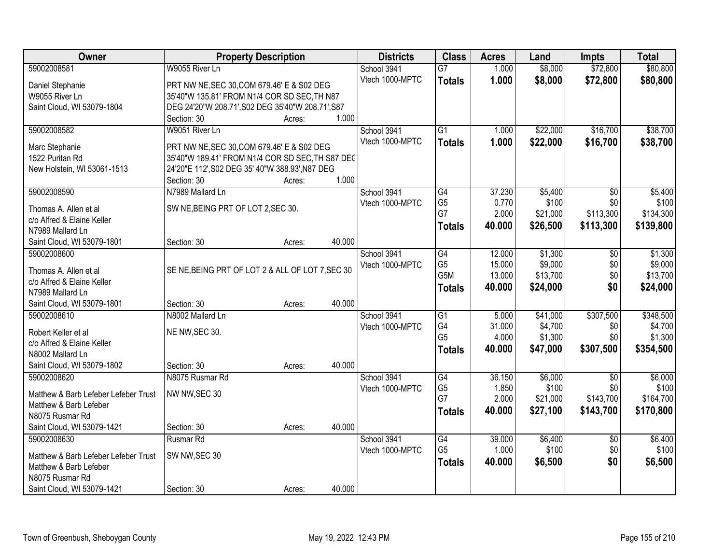| Owner                                     | <b>Property Description</b>                       |        | <b>Districts</b> | <b>Class</b>         | <b>Acres</b>   | Land              | <b>Impts</b>     | <b>Total</b>       |
|-------------------------------------------|---------------------------------------------------|--------|------------------|----------------------|----------------|-------------------|------------------|--------------------|
| 59002008581                               | W9055 River Ln                                    |        | School 3941      | $\overline{G7}$      | 1.000          | \$8,000           | \$72,800         | \$80,800           |
| Daniel Stephanie                          | PRT NW NE, SEC 30, COM 679.46' E & S02 DEG        |        | Vtech 1000-MPTC  | <b>Totals</b>        | 1.000          | \$8,000           | \$72,800         | \$80,800           |
| W9055 River Ln                            | 35'40"W 135.81' FROM N1/4 COR SD SEC, TH N87      |        |                  |                      |                |                   |                  |                    |
| Saint Cloud, WI 53079-1804                | DEG 24'20"W 208.71', S02 DEG 35'40"W 208.71', S87 |        |                  |                      |                |                   |                  |                    |
|                                           | Section: 30<br>Acres:                             | 1.000  |                  |                      |                |                   |                  |                    |
| 59002008582                               | W9051 River Ln                                    |        | School 3941      | $\overline{G1}$      | 1.000          | \$22,000          | \$16,700         | \$38,700           |
|                                           |                                                   |        | Vtech 1000-MPTC  | <b>Totals</b>        | 1.000          | \$22,000          | \$16,700         | \$38,700           |
| Marc Stephanie                            | PRT NW NE, SEC 30, COM 679.46' E & S02 DEG        |        |                  |                      |                |                   |                  |                    |
| 1522 Puritan Rd                           | 35'40"W 189.41' FROM N1/4 COR SD SEC, TH S87 DEC  |        |                  |                      |                |                   |                  |                    |
| New Holstein, WI 53061-1513               | 24'20"E 112', S02 DEG 35' 40"W 388.93', N87 DEG   |        |                  |                      |                |                   |                  |                    |
|                                           | Section: 30<br>Acres:                             | 1.000  |                  |                      |                |                   |                  |                    |
| 59002008590                               | N7989 Mallard Ln                                  |        | School 3941      | G4                   | 37.230         | \$5,400           | \$0              | \$5,400            |
| Thomas A. Allen et al                     | SW NE, BEING PRT OF LOT 2, SEC 30.                |        | Vtech 1000-MPTC  | G <sub>5</sub><br>G7 | 0.770<br>2.000 | \$100<br>\$21,000 | \$0<br>\$113,300 | \$100<br>\$134,300 |
| c/o Alfred & Elaine Keller                |                                                   |        |                  |                      |                |                   |                  |                    |
| N7989 Mallard Ln                          |                                                   |        |                  | <b>Totals</b>        | 40.000         | \$26,500          | \$113,300        | \$139,800          |
| Saint Cloud, WI 53079-1801                | Section: 30<br>Acres:                             | 40.000 |                  |                      |                |                   |                  |                    |
| 59002008600                               |                                                   |        | School 3941      | $\overline{G4}$      | 12.000         | \$1,300           | \$0              | \$1,300            |
| Thomas A. Allen et al                     | SE NE, BEING PRT OF LOT 2 & ALL OF LOT 7, SEC 30  |        | Vtech 1000-MPTC  | G <sub>5</sub>       | 15.000         | \$9,000           | \$0              | \$9,000            |
| c/o Alfred & Elaine Keller                |                                                   |        |                  | G5M                  | 13.000         | \$13,700          | \$0              | \$13,700           |
| N7989 Mallard Ln                          |                                                   |        |                  | <b>Totals</b>        | 40.000         | \$24,000          | \$0              | \$24,000           |
| Saint Cloud, WI 53079-1801                | Section: 30<br>Acres:                             | 40.000 |                  |                      |                |                   |                  |                    |
| 59002008610                               | N8002 Mallard Ln                                  |        | School 3941      | $\overline{G1}$      | 5.000          | \$41,000          | \$307,500        | \$348,500          |
|                                           |                                                   |        | Vtech 1000-MPTC  | G4                   | 31.000         | \$4,700           | \$0              | \$4,700            |
| Robert Keller et al                       | NE NW, SEC 30.                                    |        |                  | G <sub>5</sub>       | 4.000          | \$1,300           | \$0              | \$1,300            |
| c/o Alfred & Elaine Keller                |                                                   |        |                  | <b>Totals</b>        | 40.000         | \$47,000          | \$307,500        | \$354,500          |
| N8002 Mallard Ln                          |                                                   |        |                  |                      |                |                   |                  |                    |
| Saint Cloud, WI 53079-1802                | Section: 30<br>Acres:                             | 40.000 |                  |                      |                |                   |                  |                    |
| 59002008620                               | N8075 Rusmar Rd                                   |        | School 3941      | G4                   | 36.150         | \$6,000           | $\sqrt{6}$       | \$6,000            |
| Matthew & Barb Lefeber Lefeber Trust      | NW NW, SEC 30                                     |        | Vtech 1000-MPTC  | G <sub>5</sub>       | 1.850          | \$100             | \$0              | \$100              |
| Matthew & Barb Lefeber                    |                                                   |        |                  | G7                   | 2.000          | \$21,000          | \$143,700        | \$164,700          |
| N8075 Rusmar Rd                           |                                                   |        |                  | <b>Totals</b>        | 40.000         | \$27,100          | \$143,700        | \$170,800          |
| Saint Cloud, WI 53079-1421                | Section: 30<br>Acres:                             | 40.000 |                  |                      |                |                   |                  |                    |
| 59002008630                               | Rusmar Rd                                         |        | School 3941      | $\overline{G4}$      | 39.000         | \$6,400           | $\overline{50}$  | \$6,400            |
|                                           |                                                   |        | Vtech 1000-MPTC  | G <sub>5</sub>       | 1.000          | \$100             | \$0              | \$100              |
| Matthew & Barb Lefeber Lefeber Trust      | SW NW, SEC 30                                     |        |                  | <b>Totals</b>        | 40.000         | \$6,500           | \$0              | \$6,500            |
| Matthew & Barb Lefeber<br>N8075 Rusmar Rd |                                                   |        |                  |                      |                |                   |                  |                    |
|                                           |                                                   |        |                  |                      |                |                   |                  |                    |
| Saint Cloud, WI 53079-1421                | Section: 30<br>Acres:                             | 40.000 |                  |                      |                |                   |                  |                    |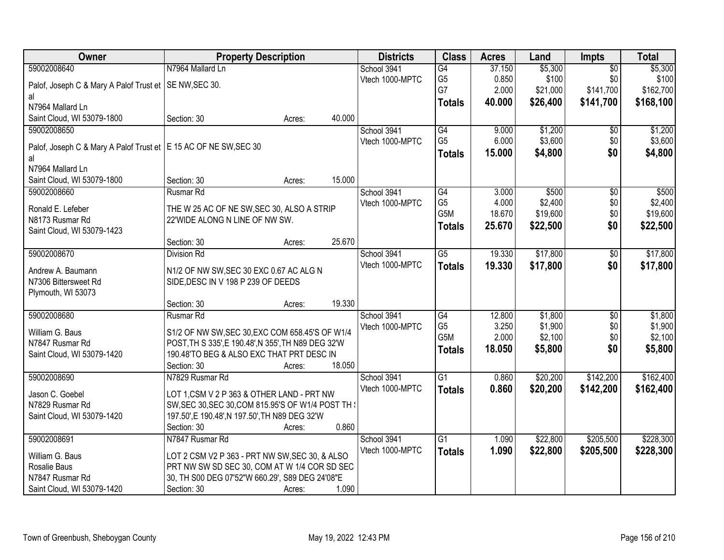| 59002008640<br>N7964 Mallard Ln<br>\$5,300<br>\$5,300<br>School 3941<br>$\overline{G4}$<br>37.150<br>$\overline{50}$<br>\$0<br>\$100<br>G <sub>5</sub><br>0.850<br>\$100<br>Vtech 1000-MPTC<br>Palof, Joseph C & Mary A Palof Trust et   SE NW, SEC 30.<br>G7<br>\$141,700<br>2.000<br>\$21,000<br>\$162,700<br>al<br>\$26,400<br>\$141,700<br>\$168,100<br>40.000<br><b>Totals</b><br>N7964 Mallard Ln<br>Saint Cloud, WI 53079-1800<br>40.000<br>Section: 30<br>Acres:<br>59002008650<br>G4<br>9.000<br>\$1,200<br>\$1,200<br>School 3941<br>\$0<br>G <sub>5</sub><br>\$3,600<br>\$3,600<br>6.000<br>\$0<br>Vtech 1000-MPTC<br>Palof, Joseph C & Mary A Palof Trust et   E 15 AC OF NE SW, SEC 30<br>\$0<br>\$4,800<br>15.000<br>\$4,800<br><b>Totals</b><br>al<br>N7964 Mallard Ln<br>15.000<br>Saint Cloud, WI 53079-1800<br>Section: 30<br>Acres:<br>\$500<br>59002008660<br>Rusmar Rd<br>G4<br>3.000<br>$\overline{50}$<br>\$500<br>School 3941<br>G <sub>5</sub><br>\$0<br>4.000<br>\$2,400<br>\$2,400<br>Vtech 1000-MPTC<br>Ronald E. Lefeber<br>THE W 25 AC OF NE SW, SEC 30, ALSO A STRIP<br>G5M<br>\$19,600<br>\$0<br>\$19,600<br>18.670<br>N8173 Rusmar Rd<br>22'WIDE ALONG N LINE OF NW SW.<br>25.670<br>\$0<br>\$22,500<br>\$22,500<br><b>Totals</b><br>Saint Cloud, WI 53079-1423<br>25.670<br>Section: 30<br>Acres:<br>$\overline{G5}$<br>19.330<br>\$17,800<br>59002008670<br><b>Division Rd</b><br>School 3941<br>\$0<br>Vtech 1000-MPTC<br>\$17,800<br>\$0<br>19.330<br><b>Totals</b><br>Andrew A. Baumann<br>N1/2 OF NW SW, SEC 30 EXC 0.67 AC ALG N<br>N7306 Bittersweet Rd<br>SIDE, DESC IN V 198 P 239 OF DEEDS<br>Plymouth, WI 53073<br>19.330<br>Section: 30<br>Acres: | Owner       | <b>Property Description</b> | <b>Districts</b> | <b>Class</b> | <b>Acres</b> | Land    | <b>Impts</b>    | <b>Total</b> |
|-------------------------------------------------------------------------------------------------------------------------------------------------------------------------------------------------------------------------------------------------------------------------------------------------------------------------------------------------------------------------------------------------------------------------------------------------------------------------------------------------------------------------------------------------------------------------------------------------------------------------------------------------------------------------------------------------------------------------------------------------------------------------------------------------------------------------------------------------------------------------------------------------------------------------------------------------------------------------------------------------------------------------------------------------------------------------------------------------------------------------------------------------------------------------------------------------------------------------------------------------------------------------------------------------------------------------------------------------------------------------------------------------------------------------------------------------------------------------------------------------------------------------------------------------------------------------------------------------------------------------------------------------------------------------------------------------|-------------|-----------------------------|------------------|--------------|--------------|---------|-----------------|--------------|
|                                                                                                                                                                                                                                                                                                                                                                                                                                                                                                                                                                                                                                                                                                                                                                                                                                                                                                                                                                                                                                                                                                                                                                                                                                                                                                                                                                                                                                                                                                                                                                                                                                                                                                 |             |                             |                  |              |              |         |                 |              |
|                                                                                                                                                                                                                                                                                                                                                                                                                                                                                                                                                                                                                                                                                                                                                                                                                                                                                                                                                                                                                                                                                                                                                                                                                                                                                                                                                                                                                                                                                                                                                                                                                                                                                                 |             |                             |                  |              |              |         |                 |              |
|                                                                                                                                                                                                                                                                                                                                                                                                                                                                                                                                                                                                                                                                                                                                                                                                                                                                                                                                                                                                                                                                                                                                                                                                                                                                                                                                                                                                                                                                                                                                                                                                                                                                                                 |             |                             |                  |              |              |         |                 |              |
|                                                                                                                                                                                                                                                                                                                                                                                                                                                                                                                                                                                                                                                                                                                                                                                                                                                                                                                                                                                                                                                                                                                                                                                                                                                                                                                                                                                                                                                                                                                                                                                                                                                                                                 |             |                             |                  |              |              |         |                 |              |
|                                                                                                                                                                                                                                                                                                                                                                                                                                                                                                                                                                                                                                                                                                                                                                                                                                                                                                                                                                                                                                                                                                                                                                                                                                                                                                                                                                                                                                                                                                                                                                                                                                                                                                 |             |                             |                  |              |              |         |                 |              |
|                                                                                                                                                                                                                                                                                                                                                                                                                                                                                                                                                                                                                                                                                                                                                                                                                                                                                                                                                                                                                                                                                                                                                                                                                                                                                                                                                                                                                                                                                                                                                                                                                                                                                                 |             |                             |                  |              |              |         |                 |              |
|                                                                                                                                                                                                                                                                                                                                                                                                                                                                                                                                                                                                                                                                                                                                                                                                                                                                                                                                                                                                                                                                                                                                                                                                                                                                                                                                                                                                                                                                                                                                                                                                                                                                                                 |             |                             |                  |              |              |         |                 |              |
|                                                                                                                                                                                                                                                                                                                                                                                                                                                                                                                                                                                                                                                                                                                                                                                                                                                                                                                                                                                                                                                                                                                                                                                                                                                                                                                                                                                                                                                                                                                                                                                                                                                                                                 |             |                             |                  |              |              |         |                 |              |
|                                                                                                                                                                                                                                                                                                                                                                                                                                                                                                                                                                                                                                                                                                                                                                                                                                                                                                                                                                                                                                                                                                                                                                                                                                                                                                                                                                                                                                                                                                                                                                                                                                                                                                 |             |                             |                  |              |              |         |                 |              |
|                                                                                                                                                                                                                                                                                                                                                                                                                                                                                                                                                                                                                                                                                                                                                                                                                                                                                                                                                                                                                                                                                                                                                                                                                                                                                                                                                                                                                                                                                                                                                                                                                                                                                                 |             |                             |                  |              |              |         |                 |              |
|                                                                                                                                                                                                                                                                                                                                                                                                                                                                                                                                                                                                                                                                                                                                                                                                                                                                                                                                                                                                                                                                                                                                                                                                                                                                                                                                                                                                                                                                                                                                                                                                                                                                                                 |             |                             |                  |              |              |         |                 |              |
|                                                                                                                                                                                                                                                                                                                                                                                                                                                                                                                                                                                                                                                                                                                                                                                                                                                                                                                                                                                                                                                                                                                                                                                                                                                                                                                                                                                                                                                                                                                                                                                                                                                                                                 |             |                             |                  |              |              |         |                 |              |
|                                                                                                                                                                                                                                                                                                                                                                                                                                                                                                                                                                                                                                                                                                                                                                                                                                                                                                                                                                                                                                                                                                                                                                                                                                                                                                                                                                                                                                                                                                                                                                                                                                                                                                 |             |                             |                  |              |              |         |                 |              |
| \$17,800<br>\$17,800                                                                                                                                                                                                                                                                                                                                                                                                                                                                                                                                                                                                                                                                                                                                                                                                                                                                                                                                                                                                                                                                                                                                                                                                                                                                                                                                                                                                                                                                                                                                                                                                                                                                            |             |                             |                  |              |              |         |                 |              |
|                                                                                                                                                                                                                                                                                                                                                                                                                                                                                                                                                                                                                                                                                                                                                                                                                                                                                                                                                                                                                                                                                                                                                                                                                                                                                                                                                                                                                                                                                                                                                                                                                                                                                                 |             |                             |                  |              |              |         |                 |              |
|                                                                                                                                                                                                                                                                                                                                                                                                                                                                                                                                                                                                                                                                                                                                                                                                                                                                                                                                                                                                                                                                                                                                                                                                                                                                                                                                                                                                                                                                                                                                                                                                                                                                                                 |             |                             |                  |              |              |         |                 |              |
|                                                                                                                                                                                                                                                                                                                                                                                                                                                                                                                                                                                                                                                                                                                                                                                                                                                                                                                                                                                                                                                                                                                                                                                                                                                                                                                                                                                                                                                                                                                                                                                                                                                                                                 |             |                             |                  |              |              |         |                 |              |
|                                                                                                                                                                                                                                                                                                                                                                                                                                                                                                                                                                                                                                                                                                                                                                                                                                                                                                                                                                                                                                                                                                                                                                                                                                                                                                                                                                                                                                                                                                                                                                                                                                                                                                 |             |                             |                  |              |              |         |                 |              |
|                                                                                                                                                                                                                                                                                                                                                                                                                                                                                                                                                                                                                                                                                                                                                                                                                                                                                                                                                                                                                                                                                                                                                                                                                                                                                                                                                                                                                                                                                                                                                                                                                                                                                                 |             |                             |                  |              |              |         |                 |              |
|                                                                                                                                                                                                                                                                                                                                                                                                                                                                                                                                                                                                                                                                                                                                                                                                                                                                                                                                                                                                                                                                                                                                                                                                                                                                                                                                                                                                                                                                                                                                                                                                                                                                                                 |             |                             |                  |              |              |         |                 |              |
|                                                                                                                                                                                                                                                                                                                                                                                                                                                                                                                                                                                                                                                                                                                                                                                                                                                                                                                                                                                                                                                                                                                                                                                                                                                                                                                                                                                                                                                                                                                                                                                                                                                                                                 |             |                             |                  |              |              |         |                 |              |
|                                                                                                                                                                                                                                                                                                                                                                                                                                                                                                                                                                                                                                                                                                                                                                                                                                                                                                                                                                                                                                                                                                                                                                                                                                                                                                                                                                                                                                                                                                                                                                                                                                                                                                 | 59002008680 | Rusmar Rd                   | School 3941      | G4           | 12.800       | \$1,800 | $\overline{$0}$ | \$1,800      |
| G <sub>5</sub><br>\$1,900<br>3.250<br>\$1,900<br>\$0<br>Vtech 1000-MPTC                                                                                                                                                                                                                                                                                                                                                                                                                                                                                                                                                                                                                                                                                                                                                                                                                                                                                                                                                                                                                                                                                                                                                                                                                                                                                                                                                                                                                                                                                                                                                                                                                         |             |                             |                  |              |              |         |                 |              |
| William G. Baus<br>S1/2 OF NW SW, SEC 30, EXC COM 658.45'S OF W1/4<br>G5M<br>\$2,100<br>\$0<br>2.000<br>\$2,100                                                                                                                                                                                                                                                                                                                                                                                                                                                                                                                                                                                                                                                                                                                                                                                                                                                                                                                                                                                                                                                                                                                                                                                                                                                                                                                                                                                                                                                                                                                                                                                 |             |                             |                  |              |              |         |                 |              |
| N7847 Rusmar Rd<br>POST, TH S 335', E 190.48', N 355', TH N89 DEG 32'W<br>\$0<br>\$5,800<br>18.050<br>\$5,800<br><b>Totals</b>                                                                                                                                                                                                                                                                                                                                                                                                                                                                                                                                                                                                                                                                                                                                                                                                                                                                                                                                                                                                                                                                                                                                                                                                                                                                                                                                                                                                                                                                                                                                                                  |             |                             |                  |              |              |         |                 |              |
| Saint Cloud, WI 53079-1420<br>190.48'TO BEG & ALSO EXC THAT PRT DESC IN<br>18.050                                                                                                                                                                                                                                                                                                                                                                                                                                                                                                                                                                                                                                                                                                                                                                                                                                                                                                                                                                                                                                                                                                                                                                                                                                                                                                                                                                                                                                                                                                                                                                                                               |             |                             |                  |              |              |         |                 |              |
| Section: 30<br>Acres:                                                                                                                                                                                                                                                                                                                                                                                                                                                                                                                                                                                                                                                                                                                                                                                                                                                                                                                                                                                                                                                                                                                                                                                                                                                                                                                                                                                                                                                                                                                                                                                                                                                                           |             |                             |                  |              |              |         |                 |              |
| $\overline{G1}$<br>\$20,200<br>\$142,200<br>\$162,400<br>59002008690<br>N7829 Rusmar Rd<br>0.860<br>School 3941                                                                                                                                                                                                                                                                                                                                                                                                                                                                                                                                                                                                                                                                                                                                                                                                                                                                                                                                                                                                                                                                                                                                                                                                                                                                                                                                                                                                                                                                                                                                                                                 |             |                             |                  |              |              |         |                 |              |
| Vtech 1000-MPTC<br>0.860<br>\$20,200<br>\$142,200<br>\$162,400<br><b>Totals</b><br>LOT 1, CSM V 2 P 363 & OTHER LAND - PRT NW<br>Jason C. Goebel                                                                                                                                                                                                                                                                                                                                                                                                                                                                                                                                                                                                                                                                                                                                                                                                                                                                                                                                                                                                                                                                                                                                                                                                                                                                                                                                                                                                                                                                                                                                                |             |                             |                  |              |              |         |                 |              |
| SW, SEC 30, SEC 30, COM 815.95'S OF W1/4 POST TH \<br>N7829 Rusmar Rd                                                                                                                                                                                                                                                                                                                                                                                                                                                                                                                                                                                                                                                                                                                                                                                                                                                                                                                                                                                                                                                                                                                                                                                                                                                                                                                                                                                                                                                                                                                                                                                                                           |             |                             |                  |              |              |         |                 |              |
| 197.50', E 190.48', N 197.50', TH N89 DEG 32'W<br>Saint Cloud, WI 53079-1420                                                                                                                                                                                                                                                                                                                                                                                                                                                                                                                                                                                                                                                                                                                                                                                                                                                                                                                                                                                                                                                                                                                                                                                                                                                                                                                                                                                                                                                                                                                                                                                                                    |             |                             |                  |              |              |         |                 |              |
| 0.860<br>Section: 30<br>Acres:                                                                                                                                                                                                                                                                                                                                                                                                                                                                                                                                                                                                                                                                                                                                                                                                                                                                                                                                                                                                                                                                                                                                                                                                                                                                                                                                                                                                                                                                                                                                                                                                                                                                  |             |                             |                  |              |              |         |                 |              |
| 59002008691<br>N7847 Rusmar Rd<br>\$22,800<br>\$205,500<br>\$228,300<br>School 3941<br>G1<br>1.090                                                                                                                                                                                                                                                                                                                                                                                                                                                                                                                                                                                                                                                                                                                                                                                                                                                                                                                                                                                                                                                                                                                                                                                                                                                                                                                                                                                                                                                                                                                                                                                              |             |                             |                  |              |              |         |                 |              |
| Vtech 1000-MPTC<br>1.090<br>\$22,800<br>\$205,500<br>\$228,300<br><b>Totals</b><br>William G. Baus<br>LOT 2 CSM V2 P 363 - PRT NW SW, SEC 30, & ALSO                                                                                                                                                                                                                                                                                                                                                                                                                                                                                                                                                                                                                                                                                                                                                                                                                                                                                                                                                                                                                                                                                                                                                                                                                                                                                                                                                                                                                                                                                                                                            |             |                             |                  |              |              |         |                 |              |
| Rosalie Baus<br>PRT NW SW SD SEC 30, COM AT W 1/4 COR SD SEC                                                                                                                                                                                                                                                                                                                                                                                                                                                                                                                                                                                                                                                                                                                                                                                                                                                                                                                                                                                                                                                                                                                                                                                                                                                                                                                                                                                                                                                                                                                                                                                                                                    |             |                             |                  |              |              |         |                 |              |
| N7847 Rusmar Rd<br>30, TH S00 DEG 07'52"W 660.29', S89 DEG 24'08"E                                                                                                                                                                                                                                                                                                                                                                                                                                                                                                                                                                                                                                                                                                                                                                                                                                                                                                                                                                                                                                                                                                                                                                                                                                                                                                                                                                                                                                                                                                                                                                                                                              |             |                             |                  |              |              |         |                 |              |
| Saint Cloud, WI 53079-1420<br>Section: 30<br>1.090<br>Acres:                                                                                                                                                                                                                                                                                                                                                                                                                                                                                                                                                                                                                                                                                                                                                                                                                                                                                                                                                                                                                                                                                                                                                                                                                                                                                                                                                                                                                                                                                                                                                                                                                                    |             |                             |                  |              |              |         |                 |              |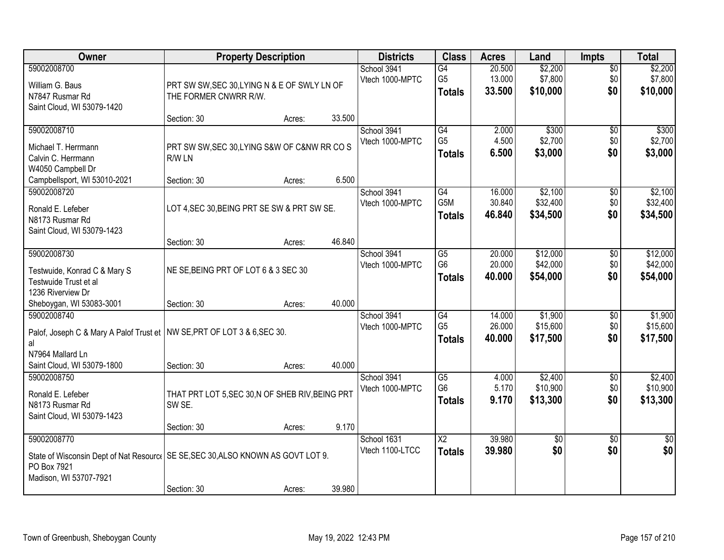| Owner                                                                                                               | <b>Property Description</b>                                                       | <b>Districts</b>               | <b>Class</b>                                       | <b>Acres</b>               | Land                             | <b>Impts</b>                  | <b>Total</b>                     |
|---------------------------------------------------------------------------------------------------------------------|-----------------------------------------------------------------------------------|--------------------------------|----------------------------------------------------|----------------------------|----------------------------------|-------------------------------|----------------------------------|
| 59002008700<br>William G. Baus<br>N7847 Rusmar Rd<br>Saint Cloud, WI 53079-1420                                     | PRT SW SW, SEC 30, LYING N & E OF SWLY LN OF<br>THE FORMER CNWRR R/W.             | School 3941<br>Vtech 1000-MPTC | $\overline{G4}$<br>G <sub>5</sub><br><b>Totals</b> | 20.500<br>13.000<br>33.500 | \$2,200<br>\$7,800<br>\$10,000   | $\overline{30}$<br>\$0<br>\$0 | \$2,200<br>\$7,800<br>\$10,000   |
|                                                                                                                     | 33.500<br>Section: 30<br>Acres:                                                   |                                |                                                    |                            |                                  |                               |                                  |
| 59002008710<br>Michael T. Herrmann<br>Calvin C. Herrmann<br>W4050 Campbell Dr                                       | PRT SW SW, SEC 30, LYING S&W OF C&NW RR CO S<br>R/W LN                            | School 3941<br>Vtech 1000-MPTC | G4<br>G <sub>5</sub><br><b>Totals</b>              | 2.000<br>4.500<br>6.500    | \$300<br>\$2,700<br>\$3,000      | $\overline{50}$<br>\$0<br>\$0 | \$300<br>\$2,700<br>\$3,000      |
| Campbellsport, WI 53010-2021                                                                                        | 6.500<br>Section: 30<br>Acres:                                                    |                                |                                                    |                            |                                  |                               |                                  |
| 59002008720<br>Ronald E. Lefeber<br>N8173 Rusmar Rd<br>Saint Cloud, WI 53079-1423                                   | LOT 4, SEC 30, BEING PRT SE SW & PRT SW SE.                                       | School 3941<br>Vtech 1000-MPTC | G4<br>G5M<br><b>Totals</b>                         | 16.000<br>30.840<br>46.840 | \$2,100<br>\$32,400<br>\$34,500  | $\sqrt[6]{30}$<br>\$0<br>\$0  | \$2,100<br>\$32,400<br>\$34,500  |
|                                                                                                                     | 46.840<br>Section: 30<br>Acres:                                                   |                                |                                                    |                            |                                  |                               |                                  |
| 59002008730<br>Testwuide, Konrad C & Mary S<br>Testwuide Trust et al<br>1236 Riverview Dr                           | NE SE, BEING PRT OF LOT 6 & 3 SEC 30                                              | School 3941<br>Vtech 1000-MPTC | G5<br>G <sub>6</sub><br><b>Totals</b>              | 20.000<br>20.000<br>40.000 | \$12,000<br>\$42,000<br>\$54,000 | \$0<br>\$0<br>\$0             | \$12,000<br>\$42,000<br>\$54,000 |
| Sheboygan, WI 53083-3001                                                                                            | 40.000<br>Section: 30<br>Acres:                                                   |                                |                                                    |                            |                                  |                               |                                  |
| 59002008740<br>Palof, Joseph C & Mary A Palof Trust et   NW SE, PRT OF LOT 3 & 6, SEC 30.<br>al<br>N7964 Mallard Ln |                                                                                   | School 3941<br>Vtech 1000-MPTC | $\overline{G4}$<br>G <sub>5</sub><br><b>Totals</b> | 14.000<br>26.000<br>40.000 | \$1,900<br>\$15,600<br>\$17,500  | \$0<br>\$0<br>\$0             | \$1,900<br>\$15,600<br>\$17,500  |
| Saint Cloud, WI 53079-1800                                                                                          | 40.000<br>Section: 30<br>Acres:                                                   |                                |                                                    |                            |                                  |                               |                                  |
| 59002008750<br>Ronald E. Lefeber<br>N8173 Rusmar Rd<br>Saint Cloud, WI 53079-1423                                   | THAT PRT LOT 5, SEC 30, N OF SHEB RIV, BEING PRT<br>SW SE.                        | School 3941<br>Vtech 1000-MPTC | $\overline{G5}$<br>G <sub>6</sub><br><b>Totals</b> | 4.000<br>5.170<br>9.170    | \$2,400<br>\$10,900<br>\$13,300  | $\overline{60}$<br>\$0<br>\$0 | \$2,400<br>\$10,900<br>\$13,300  |
|                                                                                                                     | 9.170<br>Section: 30<br>Acres:                                                    |                                |                                                    |                            |                                  |                               |                                  |
| 59002008770<br>PO Box 7921<br>Madison, WI 53707-7921                                                                | State of Wisconsin Dept of Nat Resourc   SE SE, SEC 30, ALSO KNOWN AS GOVT LOT 9. | School 1631<br>Vtech 1100-LTCC | $\overline{X2}$<br><b>Totals</b>                   | 39.980<br>39.980           | $\overline{50}$<br>\$0           | $\overline{50}$<br>\$0        | $\overline{50}$<br>\$0           |
|                                                                                                                     | 39.980<br>Section: 30<br>Acres:                                                   |                                |                                                    |                            |                                  |                               |                                  |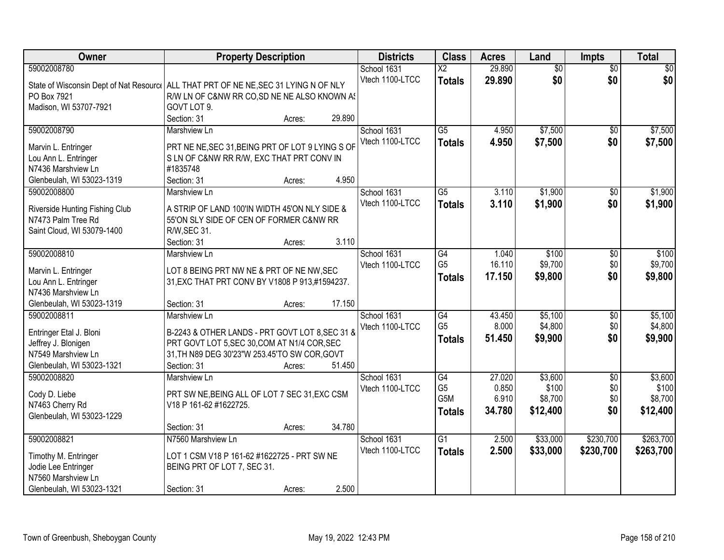| Owner                                                                               | <b>Property Description</b>                                                              |        |        | <b>Districts</b> | <b>Class</b>                      | <b>Acres</b>    | Land               | <b>Impts</b>    | <b>Total</b>       |
|-------------------------------------------------------------------------------------|------------------------------------------------------------------------------------------|--------|--------|------------------|-----------------------------------|-----------------|--------------------|-----------------|--------------------|
| 59002008780                                                                         |                                                                                          |        |        | School 1631      | $\overline{\mathsf{x2}}$          | 29.890          | $\overline{50}$    | $\overline{50}$ | \$0                |
| State of Wisconsin Dept of Nat Resourc ALL THAT PRT OF NE NE, SEC 31 LYING N OF NLY |                                                                                          |        |        | Vtech 1100-LTCC  | <b>Totals</b>                     | 29.890          | \$0                | \$0             | \$0                |
| PO Box 7921                                                                         | R/W LN OF C&NW RR CO, SD NE NE ALSO KNOWN AS                                             |        |        |                  |                                   |                 |                    |                 |                    |
| Madison, WI 53707-7921                                                              | GOVT LOT 9.                                                                              |        |        |                  |                                   |                 |                    |                 |                    |
|                                                                                     | Section: 31                                                                              | Acres: | 29.890 |                  |                                   |                 |                    |                 |                    |
| 59002008790                                                                         | Marshview Ln                                                                             |        |        | School 1631      | $\overline{G5}$                   | 4.950           | \$7,500            | \$0             | \$7,500            |
| Marvin L. Entringer                                                                 | PRT NE NE, SEC 31, BEING PRT OF LOT 9 LYING S OF                                         |        |        | Vtech 1100-LTCC  | <b>Totals</b>                     | 4.950           | \$7,500            | \$0             | \$7,500            |
| Lou Ann L. Entringer                                                                | S LN OF C&NW RR R/W, EXC THAT PRT CONV IN                                                |        |        |                  |                                   |                 |                    |                 |                    |
| N7436 Marshview Ln                                                                  | #1835748                                                                                 |        |        |                  |                                   |                 |                    |                 |                    |
| Glenbeulah, WI 53023-1319                                                           | Section: 31                                                                              | Acres: | 4.950  |                  |                                   |                 |                    |                 |                    |
| 59002008800                                                                         | Marshview Ln                                                                             |        |        | School 1631      | $\overline{G5}$                   | 3.110           | \$1,900            | \$0             | \$1,900            |
|                                                                                     |                                                                                          |        |        | Vtech 1100-LTCC  | <b>Totals</b>                     | 3.110           | \$1,900            | \$0             | \$1,900            |
| Riverside Hunting Fishing Club<br>N7473 Palm Tree Rd                                | A STRIP OF LAND 100'IN WIDTH 45'ON NLY SIDE &<br>55'ON SLY SIDE OF CEN OF FORMER C&NW RR |        |        |                  |                                   |                 |                    |                 |                    |
| Saint Cloud, WI 53079-1400                                                          | R/W, SEC 31.                                                                             |        |        |                  |                                   |                 |                    |                 |                    |
|                                                                                     | Section: 31                                                                              | Acres: | 3.110  |                  |                                   |                 |                    |                 |                    |
| 59002008810                                                                         | Marshview Ln                                                                             |        |        | School 1631      | $\overline{G4}$                   | 1.040           | \$100              | \$0             | \$100              |
|                                                                                     |                                                                                          |        |        | Vtech 1100-LTCC  | G <sub>5</sub>                    | 16.110          | \$9,700            | \$0             | \$9,700            |
| Marvin L. Entringer                                                                 | LOT 8 BEING PRT NW NE & PRT OF NE NW, SEC                                                |        |        |                  | <b>Totals</b>                     | 17.150          | \$9,800            | \$0             | \$9,800            |
| Lou Ann L. Entringer                                                                | 31, EXC THAT PRT CONV BY V1808 P 913, #1594237.                                          |        |        |                  |                                   |                 |                    |                 |                    |
| N7436 Marshview Ln                                                                  |                                                                                          |        |        |                  |                                   |                 |                    |                 |                    |
| Glenbeulah, WI 53023-1319                                                           | Section: 31                                                                              | Acres: | 17.150 |                  |                                   |                 |                    |                 |                    |
| 59002008811                                                                         | <b>Marshview Ln</b>                                                                      |        |        | School 1631      | $\overline{G4}$<br>G <sub>5</sub> | 43.450<br>8.000 | \$5,100<br>\$4,800 | \$0<br>\$0      | \$5,100<br>\$4,800 |
| Entringer Etal J. Bloni                                                             | B-2243 & OTHER LANDS - PRT GOVT LOT 8, SEC 31 &                                          |        |        | Vtech 1100-LTCC  |                                   | 51.450          |                    | \$0             | \$9,900            |
| Jeffrey J. Blonigen                                                                 | PRT GOVT LOT 5, SEC 30, COM AT N1/4 COR, SEC                                             |        |        |                  | <b>Totals</b>                     |                 | \$9,900            |                 |                    |
| N7549 Marshview Ln                                                                  | 31, TH N89 DEG 30'23"W 253.45'TO SW COR, GOVT                                            |        |        |                  |                                   |                 |                    |                 |                    |
| Glenbeulah, WI 53023-1321                                                           | Section: 31                                                                              | Acres: | 51.450 |                  |                                   |                 |                    |                 |                    |
| 59002008820                                                                         | Marshview Ln                                                                             |        |        | School 1631      | G4                                | 27.020          | \$3,600            | $\overline{50}$ | \$3,600            |
| Cody D. Liebe                                                                       | PRT SW NE, BEING ALL OF LOT 7 SEC 31, EXC CSM                                            |        |        | Vtech 1100-LTCC  | G <sub>5</sub>                    | 0.850           | \$100              | \$0             | \$100              |
| N7463 Cherry Rd                                                                     | V18 P 161-62 #1622725.                                                                   |        |        |                  | G5M                               | 6.910           | \$8,700            | \$0             | \$8,700            |
| Glenbeulah, WI 53023-1229                                                           |                                                                                          |        |        |                  | <b>Totals</b>                     | 34.780          | \$12,400           | \$0             | \$12,400           |
|                                                                                     | Section: 31                                                                              | Acres: | 34.780 |                  |                                   |                 |                    |                 |                    |
| 59002008821                                                                         | N7560 Marshview Ln                                                                       |        |        | School 1631      | $\overline{G1}$                   | 2.500           | \$33,000           | \$230,700       | \$263,700          |
| Timothy M. Entringer                                                                | LOT 1 CSM V18 P 161-62 #1622725 - PRT SW NE                                              |        |        | Vtech 1100-LTCC  | <b>Totals</b>                     | 2.500           | \$33,000           | \$230,700       | \$263,700          |
| Jodie Lee Entringer                                                                 | BEING PRT OF LOT 7, SEC 31.                                                              |        |        |                  |                                   |                 |                    |                 |                    |
| N7560 Marshview Ln                                                                  |                                                                                          |        |        |                  |                                   |                 |                    |                 |                    |
| Glenbeulah, WI 53023-1321                                                           | Section: 31                                                                              | Acres: | 2.500  |                  |                                   |                 |                    |                 |                    |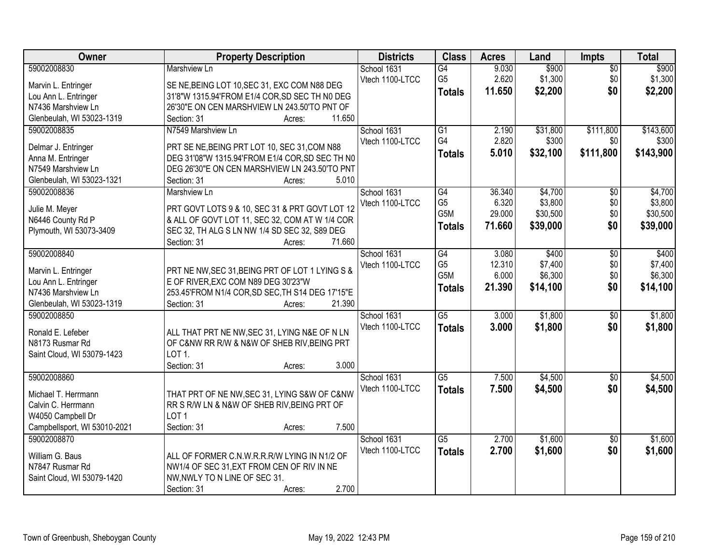| Owner                                   | <b>Property Description</b>                                                                     | <b>Districts</b> | <b>Class</b>    | <b>Acres</b> | Land     | Impts           | <b>Total</b> |
|-----------------------------------------|-------------------------------------------------------------------------------------------------|------------------|-----------------|--------------|----------|-----------------|--------------|
| 59002008830                             | <b>Marshview Ln</b>                                                                             | School 1631      | G4              | 9.030        | \$900    | $\overline{50}$ | \$900        |
| Marvin L. Entringer                     | SE NE, BEING LOT 10, SEC 31, EXC COM N88 DEG                                                    | Vtech 1100-LTCC  | G <sub>5</sub>  | 2.620        | \$1,300  | \$0             | \$1,300      |
| Lou Ann L. Entringer                    | 31'8"W 1315.94'FROM E1/4 COR, SD SEC TH N0 DEG                                                  |                  | <b>Totals</b>   | 11.650       | \$2,200  | \$0             | \$2,200      |
| N7436 Marshview Ln                      | 26'30"E ON CEN MARSHVIEW LN 243.50'TO PNT OF                                                    |                  |                 |              |          |                 |              |
| Glenbeulah, WI 53023-1319               | 11.650<br>Section: 31<br>Acres:                                                                 |                  |                 |              |          |                 |              |
| 59002008835                             | N7549 Marshview Ln                                                                              | School 1631      | $\overline{G1}$ | 2.190        | \$31,800 | \$111,800       | \$143,600    |
|                                         |                                                                                                 | Vtech 1100-LTCC  | G4              | 2.820        | \$300    | \$0             | \$300        |
| Delmar J. Entringer                     | PRT SE NE, BEING PRT LOT 10, SEC 31, COM N88<br>DEG 31'08"W 1315.94'FROM E1/4 COR, SD SEC TH N0 |                  | <b>Totals</b>   | 5.010        | \$32,100 | \$111,800       | \$143,900    |
| Anna M. Entringer<br>N7549 Marshview Ln | DEG 26'30"E ON CEN MARSHVIEW LN 243.50'TO PNT                                                   |                  |                 |              |          |                 |              |
| Glenbeulah, WI 53023-1321               | 5.010<br>Section: 31<br>Acres:                                                                  |                  |                 |              |          |                 |              |
| 59002008836                             | Marshview Ln                                                                                    | School 1631      | G4              | 36.340       | \$4,700  | \$0             | \$4,700      |
|                                         |                                                                                                 | Vtech 1100-LTCC  | G <sub>5</sub>  | 6.320        | \$3,800  | \$0             | \$3,800      |
| Julie M. Meyer                          | PRT GOVT LOTS 9 & 10, SEC 31 & PRT GOVT LOT 12                                                  |                  | G5M             | 29.000       | \$30,500 | \$0             | \$30,500     |
| N6446 County Rd P                       | & ALL OF GOVT LOT 11, SEC 32, COM AT W 1/4 COR                                                  |                  | <b>Totals</b>   | 71.660       | \$39,000 | \$0             | \$39,000     |
| Plymouth, WI 53073-3409                 | SEC 32, TH ALG S LN NW 1/4 SD SEC 32, S89 DEG                                                   |                  |                 |              |          |                 |              |
|                                         | 71.660<br>Section: 31<br>Acres:                                                                 |                  |                 |              |          |                 |              |
| 59002008840                             |                                                                                                 | School 1631      | $\overline{G4}$ | 3.080        | \$400    | \$0             | \$400        |
| Marvin L. Entringer                     | PRT NE NW, SEC 31, BEING PRT OF LOT 1 LYING S &                                                 | Vtech 1100-LTCC  | G <sub>5</sub>  | 12.310       | \$7,400  | \$0             | \$7,400      |
| Lou Ann L. Entringer                    | E OF RIVER, EXC COM N89 DEG 30'23"W                                                             |                  | G5M             | 6.000        | \$6,300  | \$0             | \$6,300      |
| N7436 Marshview Ln                      | 253.45'FROM N1/4 COR, SD SEC, TH S14 DEG 17'15"E                                                |                  | <b>Totals</b>   | 21.390       | \$14,100 | \$0             | \$14,100     |
| Glenbeulah, WI 53023-1319               | 21.390<br>Section: 31<br>Acres:                                                                 |                  |                 |              |          |                 |              |
| 59002008850                             |                                                                                                 | School 1631      | $\overline{G5}$ | 3.000        | \$1,800  | \$0             | \$1,800      |
| Ronald E. Lefeber                       | ALL THAT PRT NE NW, SEC 31, LYING N&E OF N LN                                                   | Vtech 1100-LTCC  | <b>Totals</b>   | 3.000        | \$1,800  | \$0             | \$1,800      |
| N8173 Rusmar Rd                         | OF C&NW RR R/W & N&W OF SHEB RIV, BEING PRT                                                     |                  |                 |              |          |                 |              |
| Saint Cloud, WI 53079-1423              | LOT <sub>1</sub> .                                                                              |                  |                 |              |          |                 |              |
|                                         | 3.000<br>Section: 31<br>Acres:                                                                  |                  |                 |              |          |                 |              |
| 59002008860                             |                                                                                                 | School 1631      | $\overline{G5}$ | 7.500        | \$4,500  | $\sqrt{6}$      | \$4,500      |
|                                         |                                                                                                 | Vtech 1100-LTCC  | <b>Totals</b>   | 7.500        | \$4,500  | \$0             | \$4,500      |
| Michael T. Herrmann                     | THAT PRT OF NE NW, SEC 31, LYING S&W OF C&NW                                                    |                  |                 |              |          |                 |              |
| Calvin C. Herrmann                      | RR S R/W LN & N&W OF SHEB RIV, BEING PRT OF                                                     |                  |                 |              |          |                 |              |
| W4050 Campbell Dr                       | LOT <sub>1</sub>                                                                                |                  |                 |              |          |                 |              |
| Campbellsport, WI 53010-2021            | 7.500<br>Section: 31<br>Acres:                                                                  |                  |                 |              |          |                 |              |
| 59002008870                             |                                                                                                 | School 1631      | $\overline{G5}$ | 2.700        | \$1,600  | $\overline{50}$ | \$1,600      |
| William G. Baus                         | ALL OF FORMER C.N.W.R.R.R/W LYING IN N1/2 OF                                                    | Vtech 1100-LTCC  | <b>Totals</b>   | 2.700        | \$1,600  | \$0             | \$1,600      |
| N7847 Rusmar Rd                         | NW1/4 OF SEC 31, EXT FROM CEN OF RIV IN NE                                                      |                  |                 |              |          |                 |              |
| Saint Cloud, WI 53079-1420              | NW, NWLY TO N LINE OF SEC 31.                                                                   |                  |                 |              |          |                 |              |
|                                         | 2.700<br>Section: 31<br>Acres:                                                                  |                  |                 |              |          |                 |              |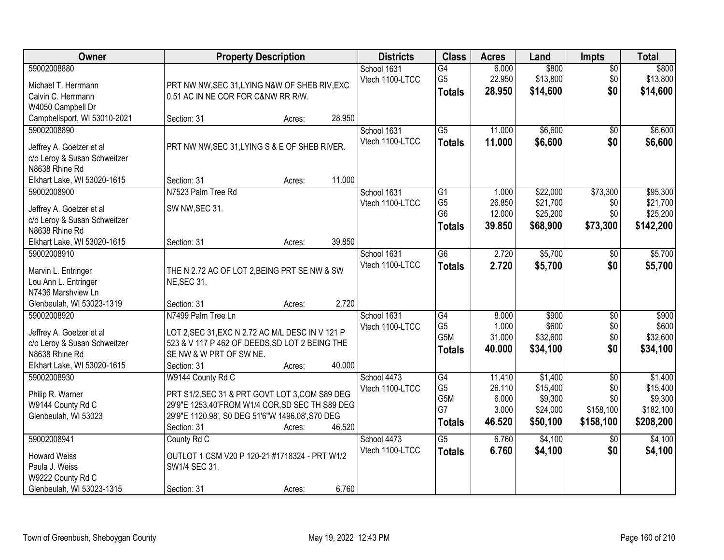| Owner                                                                                                                    | <b>Property Description</b>                                                                                                                                                                                   | <b>Districts</b>               | <b>Class</b>                                              | <b>Acres</b>                                 | Land                                                   | <b>Impts</b>                                            | <b>Total</b>                                             |
|--------------------------------------------------------------------------------------------------------------------------|---------------------------------------------------------------------------------------------------------------------------------------------------------------------------------------------------------------|--------------------------------|-----------------------------------------------------------|----------------------------------------------|--------------------------------------------------------|---------------------------------------------------------|----------------------------------------------------------|
| 59002008880<br>Michael T. Herrmann<br>Calvin C. Herrmann                                                                 | PRT NW NW, SEC 31, LYING N&W OF SHEB RIV, EXC<br>0.51 AC IN NE COR FOR C&NW RR R/W.                                                                                                                           | School 1631<br>Vtech 1100-LTCC | $\overline{G4}$<br>G <sub>5</sub><br><b>Totals</b>        | 6.000<br>22.950<br>28.950                    | \$800<br>\$13,800<br>\$14,600                          | $\overline{50}$<br>\$0<br>\$0                           | \$800<br>\$13,800<br>\$14,600                            |
| W4050 Campbell Dr<br>Campbellsport, WI 53010-2021                                                                        | 28.950<br>Section: 31<br>Acres:                                                                                                                                                                               |                                |                                                           |                                              |                                                        |                                                         |                                                          |
| 59002008890<br>Jeffrey A. Goelzer et al<br>c/o Leroy & Susan Schweitzer<br>N8638 Rhine Rd                                | PRT NW NW, SEC 31, LYING S & E OF SHEB RIVER.                                                                                                                                                                 | School 1631<br>Vtech 1100-LTCC | $\overline{G5}$<br><b>Totals</b>                          | 11.000<br>11.000                             | \$6,600<br>\$6,600                                     | $\overline{50}$<br>\$0                                  | \$6,600<br>\$6,600                                       |
| Elkhart Lake, WI 53020-1615                                                                                              | 11.000<br>Section: 31<br>Acres:                                                                                                                                                                               |                                |                                                           |                                              |                                                        |                                                         |                                                          |
| 59002008900<br>Jeffrey A. Goelzer et al<br>c/o Leroy & Susan Schweitzer<br>N8638 Rhine Rd                                | N7523 Palm Tree Rd<br>SW NW, SEC 31.                                                                                                                                                                          | School 1631<br>Vtech 1100-LTCC | G1<br>G <sub>5</sub><br>G <sub>6</sub><br><b>Totals</b>   | 1.000<br>26.850<br>12.000<br>39.850          | \$22,000<br>\$21,700<br>\$25,200<br>\$68,900           | \$73,300<br>\$0<br>\$0<br>\$73,300                      | \$95,300<br>\$21,700<br>\$25,200<br>\$142,200            |
| Elkhart Lake, WI 53020-1615                                                                                              | 39.850<br>Section: 31<br>Acres:                                                                                                                                                                               |                                |                                                           |                                              |                                                        |                                                         |                                                          |
| 59002008910<br>Marvin L. Entringer<br>Lou Ann L. Entringer<br>N7436 Marshview Ln                                         | THE N 2.72 AC OF LOT 2, BEING PRT SE NW & SW<br><b>NE, SEC 31.</b>                                                                                                                                            | School 1631<br>Vtech 1100-LTCC | $\overline{G6}$<br><b>Totals</b>                          | 2.720<br>2.720                               | \$5,700<br>\$5,700                                     | $\sqrt{6}$<br>\$0                                       | \$5,700<br>\$5,700                                       |
| Glenbeulah, WI 53023-1319                                                                                                | 2.720<br>Section: 31<br>Acres:                                                                                                                                                                                |                                |                                                           |                                              |                                                        |                                                         |                                                          |
| 59002008920<br>Jeffrey A. Goelzer et al<br>c/o Leroy & Susan Schweitzer<br>N8638 Rhine Rd<br>Elkhart Lake, WI 53020-1615 | N7499 Palm Tree Ln<br>LOT 2, SEC 31, EXC N 2.72 AC M/L DESC IN V 121 P<br>523 & V 117 P 462 OF DEEDS, SD LOT 2 BEING THE<br>SE NW & W PRT OF SW NE.<br>40.000<br>Section: 31<br>Acres:                        | School 1631<br>Vtech 1100-LTCC | $\overline{G4}$<br>G <sub>5</sub><br>G5M<br><b>Totals</b> | 8.000<br>1.000<br>31.000<br>40.000           | \$900<br>\$600<br>\$32,600<br>\$34,100                 | \$0<br>\$0<br>\$0<br>\$0                                | \$900<br>\$600<br>\$32,600<br>\$34,100                   |
| 59002008930<br>Philip R. Warner<br>W9144 County Rd C<br>Glenbeulah, WI 53023                                             | W9144 County Rd C<br>PRT S1/2, SEC 31 & PRT GOVT LOT 3, COM S89 DEG<br>29'9"E 1253.40'FROM W1/4 COR, SD SEC TH S89 DEG<br>29'9"E 1120.98', S0 DEG 51'6"W 1496.08', S70 DEG<br>46.520<br>Section: 31<br>Acres: | School 4473<br>Vtech 1100-LTCC | G4<br>G <sub>5</sub><br>G5M<br>G7<br><b>Totals</b>        | 11.410<br>26.110<br>6.000<br>3.000<br>46.520 | \$1,400<br>\$15,400<br>\$9,300<br>\$24,000<br>\$50,100 | $\overline{50}$<br>\$0<br>\$0<br>\$158,100<br>\$158,100 | \$1,400<br>\$15,400<br>\$9,300<br>\$182,100<br>\$208,200 |
| 59002008941<br><b>Howard Weiss</b><br>Paula J. Weiss<br>W9222 County Rd C<br>Glenbeulah, WI 53023-1315                   | County Rd C<br>OUTLOT 1 CSM V20 P 120-21 #1718324 - PRT W1/2<br>SW1/4 SEC 31.<br>6.760<br>Section: 31<br>Acres:                                                                                               | School 4473<br>Vtech 1100-LTCC | $\overline{\text{G5}}$<br><b>Totals</b>                   | 6.760<br>6.760                               | \$4,100<br>\$4,100                                     | $\overline{50}$<br>\$0                                  | \$4,100<br>\$4,100                                       |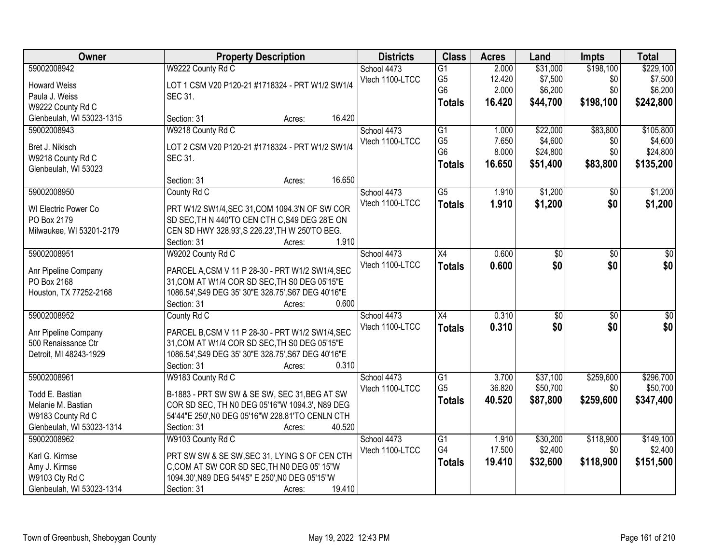| Owner                     | <b>Property Description</b>                         | <b>Districts</b> | <b>Class</b>    | <b>Acres</b> | Land            | <b>Impts</b>    | <b>Total</b>     |
|---------------------------|-----------------------------------------------------|------------------|-----------------|--------------|-----------------|-----------------|------------------|
| 59002008942               | W9222 County Rd C                                   | School 4473      | $\overline{G1}$ | 2.000        | \$31,000        | \$198,100       | \$229,100        |
| <b>Howard Weiss</b>       | LOT 1 CSM V20 P120-21 #1718324 - PRT W1/2 SW1/4     | Vtech 1100-LTCC  | G <sub>5</sub>  | 12.420       | \$7,500         | \$0             | \$7,500          |
| Paula J. Weiss            | SEC 31.                                             |                  | G <sub>6</sub>  | 2.000        | \$6,200         | \$0             | \$6,200          |
| W9222 County Rd C         |                                                     |                  | <b>Totals</b>   | 16.420       | \$44,700        | \$198,100       | \$242,800        |
| Glenbeulah, WI 53023-1315 | 16.420<br>Section: 31<br>Acres:                     |                  |                 |              |                 |                 |                  |
| 59002008943               | W9218 County Rd C                                   | School 4473      | $\overline{G1}$ | 1.000        | \$22,000        | \$83,800        | \$105,800        |
|                           |                                                     | Vtech 1100-LTCC  | G <sub>5</sub>  | 7.650        | \$4,600         | \$0             | \$4,600          |
| Bret J. Nikisch           | LOT 2 CSM V20 P120-21 #1718324 - PRT W1/2 SW1/4     |                  | G <sub>6</sub>  | 8.000        | \$24,800        | \$0             | \$24,800         |
| W9218 County Rd C         | SEC 31.                                             |                  | <b>Totals</b>   | 16.650       | \$51,400        | \$83,800        | \$135,200        |
| Glenbeulah, WI 53023      | 16.650                                              |                  |                 |              |                 |                 |                  |
|                           | Section: 31<br>Acres:                               |                  | $\overline{G5}$ | 1.910        | \$1,200         |                 |                  |
| 59002008950               | County Rd C                                         | School 4473      |                 |              |                 | $\overline{50}$ | \$1,200          |
| WI Electric Power Co      | PRT W1/2 SW1/4, SEC 31, COM 1094.3'N OF SW COR      | Vtech 1100-LTCC  | <b>Totals</b>   | 1.910        | \$1,200         | \$0             | \$1,200          |
| PO Box 2179               | SD SEC, TH N 440'TO CEN CTH C, S49 DEG 28'E ON      |                  |                 |              |                 |                 |                  |
| Milwaukee, WI 53201-2179  | CEN SD HWY 328.93', S 226.23', TH W 250'TO BEG.     |                  |                 |              |                 |                 |                  |
|                           | Section: 31<br>1.910<br>Acres:                      |                  |                 |              |                 |                 |                  |
| 59002008951               | W9202 County Rd C                                   | School 4473      | X4              | 0.600        | \$0             | \$0             | \$0              |
| Anr Pipeline Company      | PARCEL A,CSM V 11 P 28-30 - PRT W1/2 SW1/4,SEC      | Vtech 1100-LTCC  | <b>Totals</b>   | 0.600        | \$0             | \$0             | \$0              |
| PO Box 2168               | 31, COM AT W1/4 COR SD SEC, TH S0 DEG 05'15"E       |                  |                 |              |                 |                 |                  |
| Houston, TX 77252-2168    | 1086.54', S49 DEG 35' 30"E 328.75', S67 DEG 40'16"E |                  |                 |              |                 |                 |                  |
|                           | 0.600<br>Section: 31<br>Acres:                      |                  |                 |              |                 |                 |                  |
| 59002008952               | County Rd C                                         | School 4473      | $\overline{X4}$ | 0.310        | $\overline{50}$ | $\overline{50}$ | $\overline{\$0}$ |
|                           |                                                     | Vtech 1100-LTCC  | <b>Totals</b>   | 0.310        | \$0             | \$0             | \$0              |
| Anr Pipeline Company      | PARCEL B,CSM V 11 P 28-30 - PRT W1/2 SW1/4,SEC      |                  |                 |              |                 |                 |                  |
| 500 Renaissance Ctr       | 31, COM AT W1/4 COR SD SEC, TH S0 DEG 05'15"E       |                  |                 |              |                 |                 |                  |
| Detroit, MI 48243-1929    | 1086.54', S49 DEG 35' 30"E 328.75', S67 DEG 40'16"E |                  |                 |              |                 |                 |                  |
|                           | 0.310<br>Section: 31<br>Acres:                      |                  |                 |              |                 |                 |                  |
| 59002008961               | W9183 County Rd C                                   | School 4473      | G1              | 3.700        | \$37,100        | \$259,600       | \$296,700        |
| Todd E. Bastian           | B-1883 - PRT SW SW & SE SW, SEC 31, BEG AT SW       | Vtech 1100-LTCC  | G <sub>5</sub>  | 36.820       | \$50,700        | \$0             | \$50,700         |
| Melanie M. Bastian        | COR SD SEC, TH N0 DEG 05'16"W 1094.3', N89 DEG      |                  | <b>Totals</b>   | 40.520       | \$87,800        | \$259,600       | \$347,400        |
| W9183 County Rd C         | 54'44"E 250', N0 DEG 05'16"W 228.81'TO CENLN CTH    |                  |                 |              |                 |                 |                  |
| Glenbeulah, WI 53023-1314 | 40.520<br>Section: 31<br>Acres:                     |                  |                 |              |                 |                 |                  |
| 59002008962               | W9103 County Rd C                                   | School 4473      | $\overline{G1}$ | 1.910        | \$30,200        | \$118,900       | \$149,100        |
|                           |                                                     | Vtech 1100-LTCC  | G4              | 17.500       | \$2,400         | \$0             | \$2,400          |
| Karl G. Kirmse            | PRT SW SW & SE SW, SEC 31, LYING S OF CEN CTH       |                  | <b>Totals</b>   | 19.410       | \$32,600        | \$118,900       | \$151,500        |
| Amy J. Kirmse             | C,COM AT SW COR SD SEC, TH N0 DEG 05' 15"W          |                  |                 |              |                 |                 |                  |
| W9103 Cty Rd C            | 1094.30', N89 DEG 54'45" E 250', N0 DEG 05'15"W     |                  |                 |              |                 |                 |                  |
| Glenbeulah, WI 53023-1314 | 19.410<br>Section: 31<br>Acres:                     |                  |                 |              |                 |                 |                  |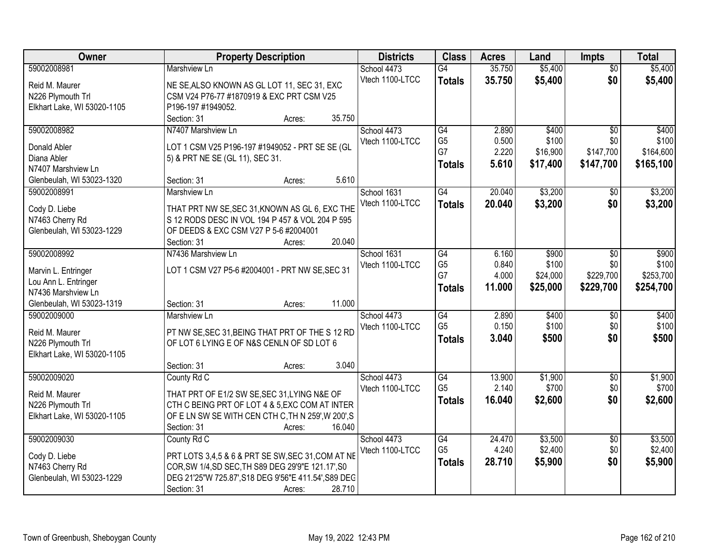| Owner                       | <b>Property Description</b>                          | <b>Districts</b>               | <b>Class</b>         | <b>Acres</b>    | Land             | <b>Impts</b>      | <b>Total</b>     |
|-----------------------------|------------------------------------------------------|--------------------------------|----------------------|-----------------|------------------|-------------------|------------------|
| 59002008981                 | Marshview Ln                                         | School 4473                    | $\overline{G4}$      | 35.750          | \$5,400          | $\overline{50}$   | \$5,400          |
| Reid M. Maurer              | NE SE, ALSO KNOWN AS GL LOT 11, SEC 31, EXC          | Vtech 1100-LTCC                | <b>Totals</b>        | 35.750          | \$5,400          | \$0               | \$5,400          |
| N226 Plymouth Trl           | CSM V24 P76-77 #1870919 & EXC PRT CSM V25            |                                |                      |                 |                  |                   |                  |
| Elkhart Lake, WI 53020-1105 | P196-197 #1949052.                                   |                                |                      |                 |                  |                   |                  |
|                             | 35.750<br>Section: 31<br>Acres:                      |                                |                      |                 |                  |                   |                  |
| 59002008982                 | N7407 Marshview Ln                                   | School 4473                    | G4                   | 2.890           | \$400            | $\overline{50}$   | \$400            |
|                             |                                                      | Vtech 1100-LTCC                | G <sub>5</sub>       | 0.500           | \$100            | \$0               | \$100            |
| Donald Abler<br>Diana Abler | LOT 1 CSM V25 P196-197 #1949052 - PRT SE SE (GL      |                                | G7                   | 2.220           | \$16,900         | \$147,700         | \$164,600        |
| N7407 Marshview Ln          | 5) & PRT NE SE (GL 11), SEC 31.                      |                                | <b>Totals</b>        | 5.610           | \$17,400         | \$147,700         | \$165,100        |
| Glenbeulah, WI 53023-1320   | 5.610<br>Section: 31<br>Acres:                       |                                |                      |                 |                  |                   |                  |
| 59002008991                 | Marshview Ln                                         | School 1631                    | G4                   | 20.040          | \$3,200          | \$0               | \$3,200          |
|                             |                                                      | Vtech 1100-LTCC                |                      | 20.040          | \$3,200          | \$0               |                  |
| Cody D. Liebe               | THAT PRT NW SE, SEC 31, KNOWN AS GL 6, EXC THE       |                                | <b>Totals</b>        |                 |                  |                   | \$3,200          |
| N7463 Cherry Rd             | S 12 RODS DESC IN VOL 194 P 457 & VOL 204 P 595      |                                |                      |                 |                  |                   |                  |
| Glenbeulah, WI 53023-1229   | OF DEEDS & EXC CSM V27 P 5-6 #2004001                |                                |                      |                 |                  |                   |                  |
|                             | 20.040<br>Section: 31<br>Acres:                      |                                |                      |                 |                  |                   |                  |
| 59002008992                 | N7436 Marshview Ln                                   | School 1631                    | G4                   | 6.160           | \$900            | \$0               | \$900            |
| Marvin L. Entringer         | LOT 1 CSM V27 P5-6 #2004001 - PRT NW SE, SEC 31      | Vtech 1100-LTCC                | G <sub>5</sub>       | 0.840           | \$100            | \$0               | \$100            |
| Lou Ann L. Entringer        |                                                      |                                | G7                   | 4.000           | \$24,000         | \$229,700         | \$253,700        |
| N7436 Marshview Ln          |                                                      |                                | <b>Totals</b>        | 11.000          | \$25,000         | \$229,700         | \$254,700        |
| Glenbeulah, WI 53023-1319   | 11.000<br>Section: 31<br>Acres:                      |                                |                      |                 |                  |                   |                  |
| 59002009000                 | Marshview Ln                                         | School 4473                    | G4                   | 2.890           | \$400            | $\overline{50}$   | \$400            |
|                             |                                                      | Vtech 1100-LTCC                | G <sub>5</sub>       | 0.150           | \$100            | \$0               | \$100            |
| Reid M. Maurer              | PT NW SE, SEC 31, BEING THAT PRT OF THE S 12 RD      |                                | <b>Totals</b>        | 3.040           | \$500            | \$0               | \$500            |
| N226 Plymouth Trl           | OF LOT 6 LYING E OF N&S CENLN OF SD LOT 6            |                                |                      |                 |                  |                   |                  |
| Elkhart Lake, WI 53020-1105 | 3.040                                                |                                |                      |                 |                  |                   |                  |
|                             | Section: 31<br>Acres:                                |                                |                      |                 |                  |                   |                  |
| 59002009020                 | County Rd C                                          | School 4473<br>Vtech 1100-LTCC | G4<br>G <sub>5</sub> | 13.900<br>2.140 | \$1,900<br>\$700 | $\sqrt{6}$<br>\$0 | \$1,900<br>\$700 |
| Reid M. Maurer              | THAT PRT OF E1/2 SW SE, SEC 31, LYING N&E OF         |                                |                      |                 |                  |                   |                  |
| N226 Plymouth Trl           | CTH C BEING PRT OF LOT 4 & 5, EXC COM AT INTER       |                                | <b>Totals</b>        | 16.040          | \$2,600          | \$0               | \$2,600          |
| Elkhart Lake, WI 53020-1105 | OF ELN SW SE WITH CEN CTH C, TH N 259', W 200', S    |                                |                      |                 |                  |                   |                  |
|                             | 16.040<br>Section: 31<br>Acres:                      |                                |                      |                 |                  |                   |                  |
| 59002009030                 | County Rd C                                          | School 4473                    | G4                   | 24.470          | \$3,500          | $\overline{30}$   | \$3,500          |
| Cody D. Liebe               | PRT LOTS 3,4,5 & 6 & PRT SE SW, SEC 31, COM AT NE    | Vtech 1100-LTCC                | G <sub>5</sub>       | 4.240           | \$2,400          | \$0               | \$2,400          |
| N7463 Cherry Rd             | COR, SW 1/4, SD SEC, TH S89 DEG 29'9"E 121.17', S0   |                                | <b>Totals</b>        | 28.710          | \$5,900          | \$0               | \$5,900          |
| Glenbeulah, WI 53023-1229   | DEG 21'25"W 725.87', S18 DEG 9'56"E 411.54', S89 DEC |                                |                      |                 |                  |                   |                  |
|                             | 28.710<br>Section: 31<br>Acres:                      |                                |                      |                 |                  |                   |                  |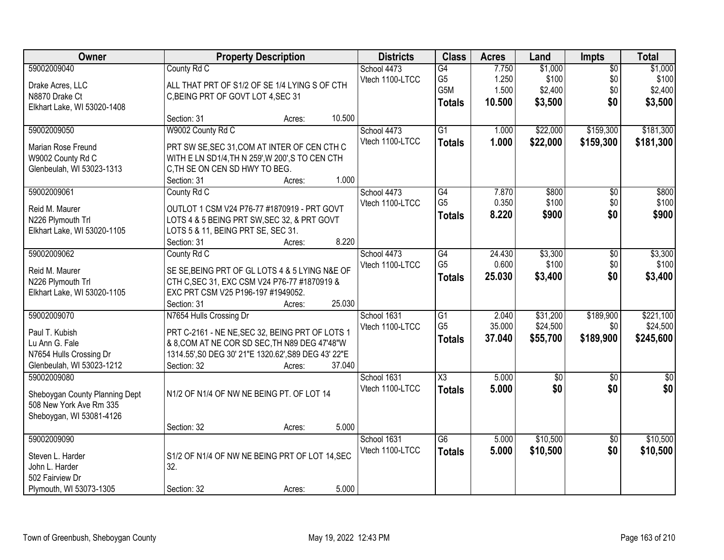| Owner                                                                                                                                                                           | <b>Property Description</b>                                                                                                                                                                                                                                                                                                                                                     | <b>Districts</b>                                                 | <b>Class</b>                                                                           | <b>Acres</b>                              | Land                                            | <b>Impts</b>                                            | <b>Total</b>                                      |
|---------------------------------------------------------------------------------------------------------------------------------------------------------------------------------|---------------------------------------------------------------------------------------------------------------------------------------------------------------------------------------------------------------------------------------------------------------------------------------------------------------------------------------------------------------------------------|------------------------------------------------------------------|----------------------------------------------------------------------------------------|-------------------------------------------|-------------------------------------------------|---------------------------------------------------------|---------------------------------------------------|
| 59002009040<br>Drake Acres, LLC<br>N8870 Drake Ct<br>Elkhart Lake, WI 53020-1408                                                                                                | County Rd C<br>ALL THAT PRT OF S1/2 OF SE 1/4 LYING S OF CTH<br>C, BEING PRT OF GOVT LOT 4, SEC 31                                                                                                                                                                                                                                                                              | School 4473<br>Vtech 1100-LTCC                                   | G4<br>G5<br>G5M<br><b>Totals</b>                                                       | 7.750<br>1.250<br>1.500<br>10.500         | \$1,000<br>\$100<br>\$2,400<br>\$3,500          | $\overline{50}$<br>\$0<br>\$0<br>\$0                    | \$1,000<br>\$100<br>\$2,400<br>\$3,500            |
| 59002009050<br><b>Marian Rose Freund</b><br>W9002 County Rd C<br>Glenbeulah, WI 53023-1313<br>59002009061<br>Reid M. Maurer<br>N226 Plymouth Trl<br>Elkhart Lake, WI 53020-1105 | 10.500<br>Section: 31<br>Acres:<br>W9002 County Rd C<br>PRT SW SE, SEC 31, COM AT INTER OF CEN CTH C<br>WITH E LN SD1/4, TH N 259', W 200', S TO CEN CTH<br>C, TH SE ON CEN SD HWY TO BEG.<br>1.000<br>Section: 31<br>Acres:<br>County Rd C<br>OUTLOT 1 CSM V24 P76-77 #1870919 - PRT GOVT<br>LOTS 4 & 5 BEING PRT SW, SEC 32, & PRT GOVT<br>LOTS 5 & 11, BEING PRT SE, SEC 31. | School 4473<br>Vtech 1100-LTCC<br>School 4473<br>Vtech 1100-LTCC | $\overline{G1}$<br><b>Totals</b><br>$\overline{G4}$<br>G <sub>5</sub><br><b>Totals</b> | 1.000<br>1.000<br>7.870<br>0.350<br>8.220 | \$22,000<br>\$22,000<br>\$800<br>\$100<br>\$900 | \$159,300<br>\$159,300<br>$\overline{50}$<br>\$0<br>\$0 | \$181,300<br>\$181,300<br>\$800<br>\$100<br>\$900 |
| 59002009062<br>Reid M. Maurer<br>N226 Plymouth Trl<br>Elkhart Lake, WI 53020-1105                                                                                               | 8.220<br>Section: 31<br>Acres:<br>County Rd C<br>SE SE, BEING PRT OF GL LOTS 4 & 5 LYING N&E OF<br>CTH C, SEC 31, EXC CSM V24 P76-77 #1870919 &<br>EXC PRT CSM V25 P196-197 #1949052.<br>25.030<br>Section: 31<br>Acres:                                                                                                                                                        | School 4473<br>Vtech 1100-LTCC                                   | G4<br>G <sub>5</sub><br><b>Totals</b>                                                  | 24.430<br>0.600<br>25.030                 | \$3,300<br>\$100<br>\$3,400                     | \$0<br>\$0<br>\$0                                       | \$3,300<br>\$100<br>\$3,400                       |
| 59002009070<br>Paul T. Kubish<br>Lu Ann G. Fale<br>N7654 Hulls Crossing Dr<br>Glenbeulah, WI 53023-1212                                                                         | N7654 Hulls Crossing Dr<br>PRT C-2161 - NE NE, SEC 32, BEING PRT OF LOTS 1<br>& 8, COM AT NE COR SD SEC, TH N89 DEG 47'48"W<br>1314.55', S0 DEG 30' 21"E 1320.62', S89 DEG 43' 22"E<br>Section: 32<br>37.040<br>Acres:                                                                                                                                                          | School 1631<br>Vtech 1100-LTCC                                   | $\overline{G1}$<br>G <sub>5</sub><br><b>Totals</b>                                     | 2.040<br>35.000<br>37.040                 | \$31,200<br>\$24,500<br>\$55,700                | \$189,900<br>\$0<br>\$189,900                           | \$221,100<br>\$24,500<br>\$245,600                |
| 59002009080<br>Sheboygan County Planning Dept<br>508 New York Ave Rm 335<br>Sheboygan, WI 53081-4126                                                                            | N1/2 OF N1/4 OF NW NE BEING PT. OF LOT 14<br>5.000<br>Section: 32<br>Acres:                                                                                                                                                                                                                                                                                                     | School 1631<br>Vtech 1100-LTCC                                   | X3<br><b>Totals</b>                                                                    | 5.000<br>5.000                            | $\sqrt{6}$<br>\$0                               | $\overline{50}$<br>\$0                                  | $\frac{6}{3}$<br>\$0                              |
| 59002009090<br>Steven L. Harder<br>John L. Harder<br>502 Fairview Dr<br>Plymouth, WI 53073-1305                                                                                 | S1/2 OF N1/4 OF NW NE BEING PRT OF LOT 14, SEC<br>32.<br>5.000<br>Section: 32<br>Acres:                                                                                                                                                                                                                                                                                         | School 1631<br>Vtech 1100-LTCC                                   | G6<br><b>Totals</b>                                                                    | 5.000<br>5.000                            | \$10,500<br>\$10,500                            | $\overline{50}$<br>\$0                                  | \$10,500<br>\$10,500                              |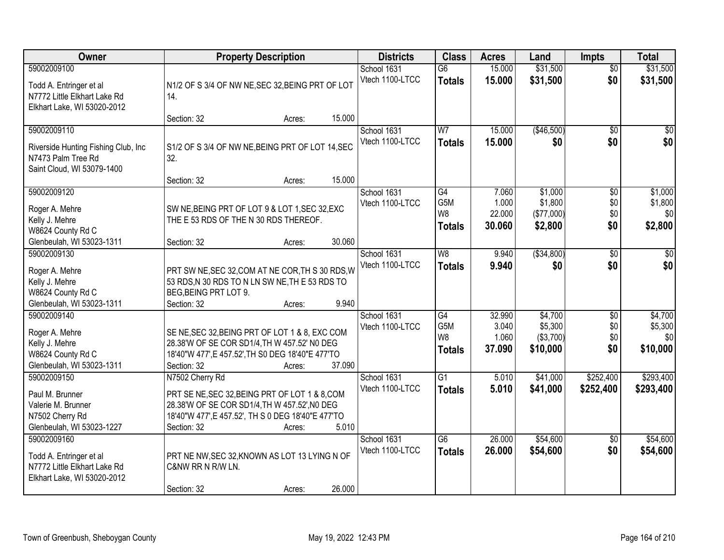| Owner                                                                                                   | <b>Property Description</b>                                                                                                                                                                                | <b>Districts</b>               | <b>Class</b>                                                           | <b>Acres</b>                       | Land                                        | <b>Impts</b>             | <b>Total</b>                                       |
|---------------------------------------------------------------------------------------------------------|------------------------------------------------------------------------------------------------------------------------------------------------------------------------------------------------------------|--------------------------------|------------------------------------------------------------------------|------------------------------------|---------------------------------------------|--------------------------|----------------------------------------------------|
| 59002009100<br>Todd A. Entringer et al<br>N7772 Little Elkhart Lake Rd<br>Elkhart Lake, WI 53020-2012   | N1/2 OF S 3/4 OF NW NE, SEC 32, BEING PRT OF LOT<br>14.                                                                                                                                                    | School 1631<br>Vtech 1100-LTCC | $\overline{G6}$<br><b>Totals</b>                                       | 15.000<br>15.000                   | \$31,500<br>\$31,500                        | $\overline{50}$<br>\$0   | \$31,500<br>\$31,500                               |
|                                                                                                         | 15.000<br>Section: 32<br>Acres:                                                                                                                                                                            |                                |                                                                        |                                    |                                             |                          |                                                    |
| 59002009110<br>Riverside Hunting Fishing Club, Inc.<br>N7473 Palm Tree Rd<br>Saint Cloud, WI 53079-1400 | S1/2 OF S 3/4 OF NW NE, BEING PRT OF LOT 14, SEC<br>32.                                                                                                                                                    | School 1631<br>Vtech 1100-LTCC | W <sub>7</sub><br><b>Totals</b>                                        | 15.000<br>15.000                   | (\$46,500)<br>\$0                           | $\overline{50}$<br>\$0   | $\overline{30}$<br>\$0                             |
|                                                                                                         | 15.000<br>Section: 32<br>Acres:                                                                                                                                                                            |                                |                                                                        |                                    |                                             |                          |                                                    |
| 59002009120<br>Roger A. Mehre<br>Kelly J. Mehre<br>W8624 County Rd C                                    | SW NE, BEING PRT OF LOT 9 & LOT 1, SEC 32, EXC<br>THE E 53 RDS OF THE N 30 RDS THEREOF.                                                                                                                    | School 1631<br>Vtech 1100-LTCC | G4<br>G <sub>5</sub> M<br>W8<br><b>Totals</b>                          | 7.060<br>1.000<br>22.000<br>30.060 | \$1,000<br>\$1,800<br>(\$77,000)<br>\$2,800 | \$0<br>\$0<br>\$0<br>\$0 | \$1,000<br>\$1,800<br>\$0<br>\$2,800               |
| Glenbeulah, WI 53023-1311                                                                               | 30.060<br>Section: 32<br>Acres:                                                                                                                                                                            |                                |                                                                        |                                    |                                             |                          |                                                    |
| 59002009130<br>Roger A. Mehre<br>Kelly J. Mehre<br>W8624 County Rd C<br>Glenbeulah, WI 53023-1311       | PRT SW NE, SEC 32, COM AT NE COR, TH S 30 RDS, W<br>53 RDS, N 30 RDS TO N LN SW NE, TH E 53 RDS TO<br>BEG, BEING PRT LOT 9.<br>9.940<br>Section: 32<br>Acres:                                              | School 1631<br>Vtech 1100-LTCC | W8<br><b>Totals</b>                                                    | 9.940<br>9.940                     | ( \$34, 800)<br>\$0                         | \$0<br>\$0               | $\sqrt{50}$<br>\$0                                 |
| 59002009140<br>Roger A. Mehre<br>Kelly J. Mehre<br>W8624 County Rd C<br>Glenbeulah, WI 53023-1311       | SE NE, SEC 32, BEING PRT OF LOT 1 & 8, EXC COM<br>28.38'W OF SE COR SD1/4, TH W 457.52' NO DEG<br>18'40"W 477', E 457.52', TH S0 DEG 18'40"E 477'TO<br>37.090<br>Section: 32<br>Acres:                     | School 1631<br>Vtech 1100-LTCC | $\overline{G4}$<br>G <sub>5</sub> M<br>W <sub>8</sub><br><b>Totals</b> | 32.990<br>3.040<br>1.060<br>37.090 | \$4,700<br>\$5,300<br>(\$3,700)<br>\$10,000 | \$0<br>\$0<br>\$0<br>\$0 | \$4,700<br>\$5,300<br>\$0 <sub>l</sub><br>\$10,000 |
| 59002009150<br>Paul M. Brunner<br>Valerie M. Brunner<br>N7502 Cherry Rd<br>Glenbeulah, WI 53023-1227    | N7502 Cherry Rd<br>PRT SE NE, SEC 32, BEING PRT OF LOT 1 & 8, COM<br>28.38'W OF SE COR SD1/4, TH W 457.52', NO DEG<br>18'40"W 477', E 457.52', TH S 0 DEG 18'40"E 477'TO<br>5.010<br>Section: 32<br>Acres: | School 1631<br>Vtech 1100-LTCC | $\overline{G1}$<br><b>Totals</b>                                       | 5.010<br>5.010                     | \$41,000<br>\$41,000                        | \$252,400<br>\$252,400   | \$293,400<br>\$293,400                             |
| 59002009160<br>Todd A. Entringer et al<br>N7772 Little Elkhart Lake Rd<br>Elkhart Lake, WI 53020-2012   | PRT NE NW, SEC 32, KNOWN AS LOT 13 LYING N OF<br>C&NW RR N R/W LN.<br>26.000<br>Section: 32<br>Acres:                                                                                                      | School 1631<br>Vtech 1100-LTCC | $\overline{G6}$<br><b>Totals</b>                                       | 26.000<br>26.000                   | \$54,600<br>\$54,600                        | $\overline{50}$<br>\$0   | \$54,600<br>\$54,600                               |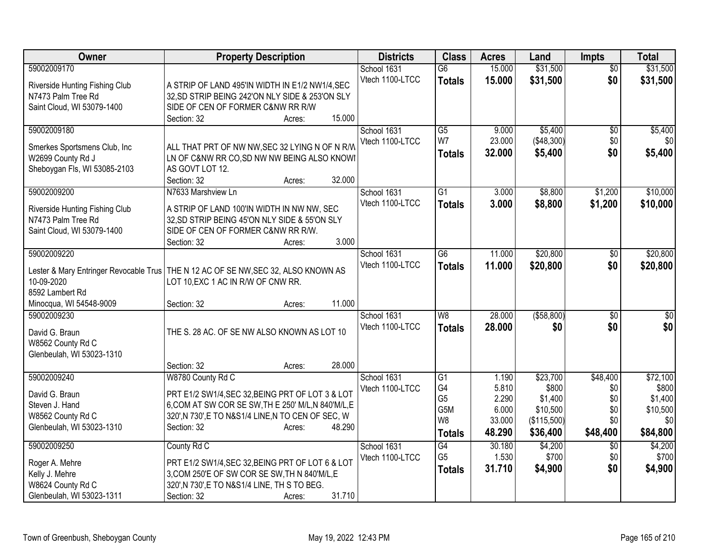| Owner                                              | <b>Property Description</b>                                                                   | <b>Districts</b> | <b>Class</b>    | <b>Acres</b> | Land         | <b>Impts</b>    | <b>Total</b>    |
|----------------------------------------------------|-----------------------------------------------------------------------------------------------|------------------|-----------------|--------------|--------------|-----------------|-----------------|
| 59002009170                                        |                                                                                               | School 1631      | $\overline{G6}$ | 15.000       | \$31,500     | $\overline{50}$ | \$31,500        |
| Riverside Hunting Fishing Club                     | A STRIP OF LAND 495'IN WIDTH IN E1/2 NW1/4, SEC                                               | Vtech 1100-LTCC  | <b>Totals</b>   | 15.000       | \$31,500     | \$0             | \$31,500        |
| N7473 Palm Tree Rd                                 | 32, SD STRIP BEING 242'ON NLY SIDE & 253'ON SLY                                               |                  |                 |              |              |                 |                 |
| Saint Cloud, WI 53079-1400                         | SIDE OF CEN OF FORMER C&NW RR R/W                                                             |                  |                 |              |              |                 |                 |
|                                                    | 15.000<br>Section: 32<br>Acres:                                                               |                  |                 |              |              |                 |                 |
| 59002009180                                        |                                                                                               | School 1631      | G5              | 9.000        | \$5,400      | $\sqrt{6}$      | \$5,400         |
|                                                    |                                                                                               | Vtech 1100-LTCC  | W7              | 23.000       | (\$48,300)   | \$0             | \$0             |
| Smerkes Sportsmens Club, Inc.<br>W2699 County Rd J | ALL THAT PRT OF NW NW, SEC 32 LYING N OF N R/W<br>LN OF C&NW RR CO, SD NW NW BEING ALSO KNOWI |                  | <b>Totals</b>   | 32.000       | \$5,400      | \$0             | \$5,400         |
| Sheboygan Fls, WI 53085-2103                       | AS GOVT LOT 12.                                                                               |                  |                 |              |              |                 |                 |
|                                                    | 32.000<br>Section: 32<br>Acres:                                                               |                  |                 |              |              |                 |                 |
| 59002009200                                        | N7633 Marshview Ln                                                                            | School 1631      | $\overline{G1}$ | 3.000        | \$8,800      | \$1,200         | \$10,000        |
|                                                    |                                                                                               | Vtech 1100-LTCC  | <b>Totals</b>   | 3.000        | \$8,800      | \$1,200         | \$10,000        |
| Riverside Hunting Fishing Club                     | A STRIP OF LAND 100'IN WIDTH IN NW NW, SEC                                                    |                  |                 |              |              |                 |                 |
| N7473 Palm Tree Rd                                 | 32, SD STRIP BEING 45'ON NLY SIDE & 55'ON SLY                                                 |                  |                 |              |              |                 |                 |
| Saint Cloud, WI 53079-1400                         | SIDE OF CEN OF FORMER C&NW RR R/W.                                                            |                  |                 |              |              |                 |                 |
|                                                    | 3.000<br>Section: 32<br>Acres:                                                                |                  |                 |              |              |                 |                 |
| 59002009220                                        |                                                                                               | School 1631      | $\overline{G6}$ | 11.000       | \$20,800     | \$0             | \$20,800        |
|                                                    | Lester & Mary Entringer Revocable Trus   THE N 12 AC OF SE NW, SEC 32, ALSO KNOWN AS          | Vtech 1100-LTCC  | <b>Totals</b>   | 11.000       | \$20,800     | \$0             | \$20,800        |
| 10-09-2020                                         | LOT 10, EXC 1 AC IN R/W OF CNW RR.                                                            |                  |                 |              |              |                 |                 |
| 8592 Lambert Rd                                    |                                                                                               |                  |                 |              |              |                 |                 |
| Minocqua, WI 54548-9009                            | 11.000<br>Section: 32<br>Acres:                                                               |                  |                 |              |              |                 |                 |
| 59002009230                                        |                                                                                               | School 1631      | W <sub>8</sub>  | 28.000       | ( \$58, 800) | \$0             | $\overline{30}$ |
| David G. Braun                                     | THE S. 28 AC. OF SE NW ALSO KNOWN AS LOT 10                                                   | Vtech 1100-LTCC  | <b>Totals</b>   | 28.000       | \$0          | \$0             | \$0             |
| W8562 County Rd C                                  |                                                                                               |                  |                 |              |              |                 |                 |
| Glenbeulah, WI 53023-1310                          |                                                                                               |                  |                 |              |              |                 |                 |
|                                                    | 28.000<br>Section: 32<br>Acres:                                                               |                  |                 |              |              |                 |                 |
| 59002009240                                        | W8780 County Rd C                                                                             | School 1631      | G1              | 1.190        | \$23,700     | \$48,400        | \$72,100        |
|                                                    |                                                                                               | Vtech 1100-LTCC  | G4              | 5.810        | \$800        | \$0             | \$800           |
| David G. Braun                                     | PRT E1/2 SW1/4, SEC 32, BEING PRT OF LOT 3 & LOT                                              |                  | G <sub>5</sub>  | 2.290        | \$1,400      | \$0             | \$1,400         |
| Steven J. Hand                                     | 6, COM AT SW COR SE SW, TH E 250' M/L, N 840'M/L, E                                           |                  | G5M             | 6.000        | \$10,500     | \$0             | \$10,500        |
| W8562 County Rd C                                  | 320', N 730', E TO N&S1/4 LINE, N TO CEN OF SEC, W                                            |                  | W <sub>8</sub>  | 33.000       | (\$115,500)  | \$0             | \$0             |
| Glenbeulah, WI 53023-1310                          | Section: 32<br>48.290<br>Acres:                                                               |                  | <b>Totals</b>   | 48.290       | \$36,400     | \$48,400        | \$84,800        |
| 59002009250                                        | County Rd C                                                                                   | School 1631      | G4              | 30.180       | \$4,200      | \$0             | \$4,200         |
|                                                    |                                                                                               | Vtech 1100-LTCC  | G <sub>5</sub>  | 1.530        | \$700        | \$0             | \$700           |
| Roger A. Mehre                                     | PRT E1/2 SW1/4, SEC 32, BEING PRT OF LOT 6 & LOT                                              |                  | <b>Totals</b>   | 31.710       | \$4,900      | \$0             | \$4,900         |
| Kelly J. Mehre                                     | 3, COM 250'E OF SW COR SE SW, TH N 840'M/L, E                                                 |                  |                 |              |              |                 |                 |
| W8624 County Rd C                                  | 320', N 730', E TO N&S1/4 LINE, TH S TO BEG.                                                  |                  |                 |              |              |                 |                 |
| Glenbeulah, WI 53023-1311                          | 31.710<br>Section: 32<br>Acres:                                                               |                  |                 |              |              |                 |                 |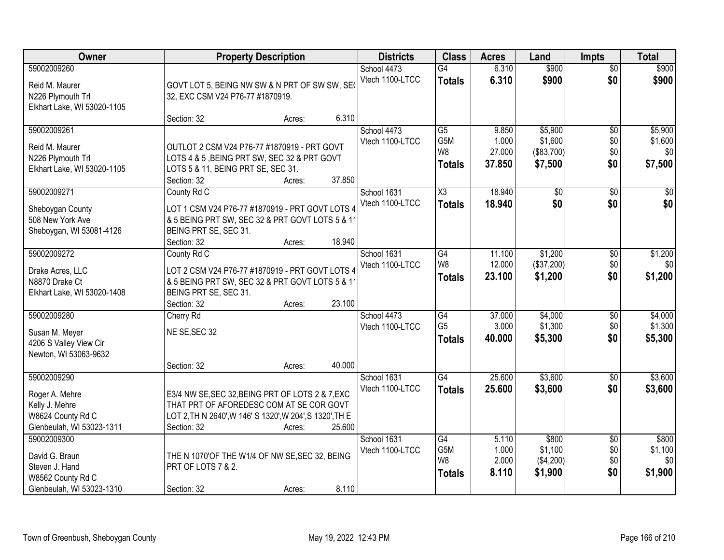| Owner                                                                                             |                                                                                                                                                                         | <b>Property Description</b> |        | <b>Districts</b>               | <b>Class</b>                                              | <b>Acres</b>                       | Land                                        | <b>Impts</b>                         | <b>Total</b>                         |
|---------------------------------------------------------------------------------------------------|-------------------------------------------------------------------------------------------------------------------------------------------------------------------------|-----------------------------|--------|--------------------------------|-----------------------------------------------------------|------------------------------------|---------------------------------------------|--------------------------------------|--------------------------------------|
| 59002009260<br>Reid M. Maurer<br>N226 Plymouth Trl<br>Elkhart Lake, WI 53020-1105                 | GOVT LOT 5, BEING NW SW & N PRT OF SW SW, SE(<br>32, EXC CSM V24 P76-77 #1870919.                                                                                       |                             |        | School 4473<br>Vtech 1100-LTCC | $\overline{G4}$<br><b>Totals</b>                          | 6.310<br>6.310                     | \$900<br>\$900                              | $\overline{50}$<br>\$0               | \$900<br>\$900                       |
|                                                                                                   | Section: 32                                                                                                                                                             | Acres:                      | 6.310  |                                |                                                           |                                    |                                             |                                      |                                      |
| 59002009261<br>Reid M. Maurer<br>N226 Plymouth Trl<br>Elkhart Lake, WI 53020-1105                 | OUTLOT 2 CSM V24 P76-77 #1870919 - PRT GOVT<br>LOTS 4 & 5, BEING PRT SW, SEC 32 & PRT GOVT<br>LOTS 5 & 11, BEING PRT SE, SEC 31.<br>Section: 32                         | Acres:                      | 37.850 | School 4473<br>Vtech 1100-LTCC | $\overline{G5}$<br>G5M<br>W <sub>8</sub><br><b>Totals</b> | 9.850<br>1.000<br>27.000<br>37.850 | \$5,900<br>\$1,600<br>(\$83,700)<br>\$7,500 | $\overline{50}$<br>\$0<br>\$0<br>\$0 | \$5,900<br>\$1,600<br>\$0<br>\$7,500 |
| 59002009271                                                                                       | County Rd C                                                                                                                                                             |                             |        | School 1631                    | $\overline{\text{X3}}$                                    | 18.940                             | $\overline{50}$                             | $\overline{60}$                      | $\overline{30}$                      |
| Sheboygan County<br>508 New York Ave<br>Sheboygan, WI 53081-4126                                  | LOT 1 CSM V24 P76-77 #1870919 - PRT GOVT LOTS 4<br>& 5 BEING PRT SW, SEC 32 & PRT GOVT LOTS 5 & 11<br>BEING PRT SE, SEC 31.<br>Section: 32                              | Acres:                      | 18.940 | Vtech 1100-LTCC                | <b>Totals</b>                                             | 18.940                             | \$0                                         | \$0                                  | \$0                                  |
| 59002009272                                                                                       | County Rd C                                                                                                                                                             |                             |        | School 1631                    | $\overline{G4}$                                           | 11.100                             | \$1,200                                     | \$0                                  | \$1,200                              |
| Drake Acres, LLC<br>N8870 Drake Ct<br>Elkhart Lake, WI 53020-1408                                 | LOT 2 CSM V24 P76-77 #1870919 - PRT GOVT LOTS 4<br>& 5 BEING PRT SW, SEC 32 & PRT GOVT LOTS 5 & 11<br>BEING PRT SE, SEC 31.                                             |                             |        | Vtech 1100-LTCC                | W8<br><b>Totals</b>                                       | 12.000<br>23.100                   | (\$37,200)<br>\$1,200                       | \$0<br>\$0                           | \$0<br>\$1,200                       |
|                                                                                                   | Section: 32                                                                                                                                                             | Acres:                      | 23.100 |                                |                                                           |                                    |                                             |                                      |                                      |
| 59002009280<br>Susan M. Meyer<br>4206 S Valley View Cir<br>Newton, WI 53063-9632                  | Cherry Rd<br>NE SE, SEC 32                                                                                                                                              |                             |        | School 4473<br>Vtech 1100-LTCC | $\overline{G4}$<br>G <sub>5</sub><br><b>Totals</b>        | 37.000<br>3.000<br>40.000          | \$4,000<br>\$1,300<br>\$5,300               | \$0<br>\$0<br>\$0                    | \$4,000<br>\$1,300<br>\$5,300        |
|                                                                                                   | Section: 32                                                                                                                                                             | Acres:                      | 40.000 |                                |                                                           |                                    |                                             |                                      |                                      |
| 59002009290<br>Roger A. Mehre<br>Kelly J. Mehre<br>W8624 County Rd C<br>Glenbeulah, WI 53023-1311 | E3/4 NW SE, SEC 32, BEING PRT OF LOTS 2 & 7, EXC<br>THAT PRT OF AFOREDESC COM AT SE COR GOVT<br>LOT 2, TH N 2640', W 146' S 1320', W 204', S 1320', TH E<br>Section: 32 | Acres:                      | 25.600 | School 1631<br>Vtech 1100-LTCC | G4<br><b>Totals</b>                                       | 25.600<br>25.600                   | \$3,600<br>\$3,600                          | $\overline{50}$<br>\$0               | \$3,600<br>\$3,600                   |
| 59002009300<br>David G. Braun<br>Steven J. Hand<br>W8562 County Rd C<br>Glenbeulah, WI 53023-1310 | THE N 1070'OF THE W1/4 OF NW SE, SEC 32, BEING<br>PRT OF LOTS 7 & 2.<br>Section: 32                                                                                     | Acres:                      | 8.110  | School 1631<br>Vtech 1100-LTCC | G4<br>G5M<br>W8<br><b>Totals</b>                          | 5.110<br>1.000<br>2.000<br>8.110   | \$800<br>\$1,100<br>(\$4,200)<br>\$1,900    | $\overline{50}$<br>\$0<br>\$0<br>\$0 | \$800<br>\$1,100<br>\$0<br>\$1,900   |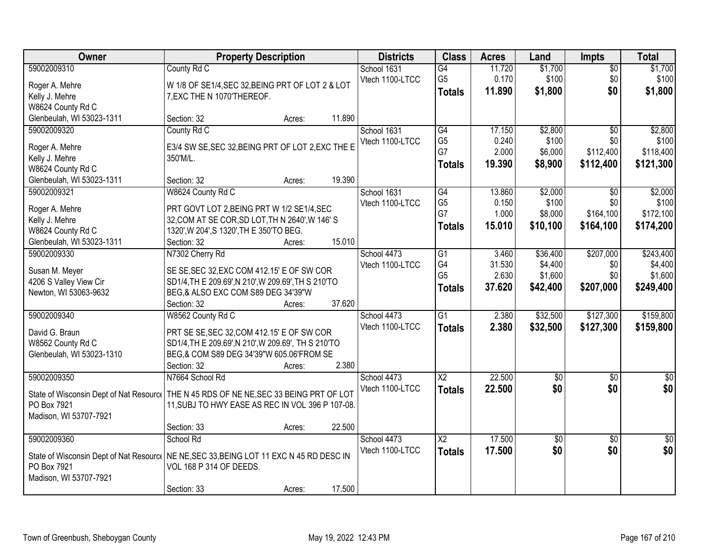| Owner                     | <b>Property Description</b>                                                               |        | <b>Districts</b> | <b>Class</b>    | <b>Acres</b> | Land            | <b>Impts</b>    | <b>Total</b>     |
|---------------------------|-------------------------------------------------------------------------------------------|--------|------------------|-----------------|--------------|-----------------|-----------------|------------------|
| 59002009310               | County Rd C                                                                               |        | School 1631      | $\overline{G4}$ | 11.720       | \$1,700         | $\overline{50}$ | \$1,700          |
| Roger A. Mehre            | W 1/8 OF SE1/4, SEC 32, BEING PRT OF LOT 2 & LOT                                          |        | Vtech 1100-LTCC  | G <sub>5</sub>  | 0.170        | \$100           | \$0             | \$100            |
| Kelly J. Mehre            | 7, EXC THE N 1070'THEREOF.                                                                |        |                  | <b>Totals</b>   | 11.890       | \$1,800         | \$0             | \$1,800          |
| W8624 County Rd C         |                                                                                           |        |                  |                 |              |                 |                 |                  |
| Glenbeulah, WI 53023-1311 | Section: 32<br>Acres:                                                                     | 11.890 |                  |                 |              |                 |                 |                  |
| 59002009320               | County Rd C                                                                               |        | School 1631      | G4              | 17.150       | \$2,800         | $\overline{30}$ | \$2,800          |
| Roger A. Mehre            | E3/4 SW SE, SEC 32, BEING PRT OF LOT 2, EXC THE E                                         |        | Vtech 1100-LTCC  | G <sub>5</sub>  | 0.240        | \$100           | \$0             | \$100            |
| Kelly J. Mehre            | 350'M/L.                                                                                  |        |                  | G7              | 2.000        | \$6,000         | \$112,400       | \$118,400        |
| W8624 County Rd C         |                                                                                           |        |                  | <b>Totals</b>   | 19.390       | \$8,900         | \$112,400       | \$121,300        |
| Glenbeulah, WI 53023-1311 | Section: 32<br>Acres:                                                                     | 19.390 |                  |                 |              |                 |                 |                  |
| 59002009321               | W8624 County Rd C                                                                         |        | School 1631      | G4              | 13.860       | \$2,000         | \$0             | \$2,000          |
|                           |                                                                                           |        | Vtech 1100-LTCC  | G <sub>5</sub>  | 0.150        | \$100           | \$0             | \$100            |
| Roger A. Mehre            | PRT GOVT LOT 2, BEING PRT W 1/2 SE1/4, SEC                                                |        |                  | G7              | 1.000        | \$8,000         | \$164,100       | \$172,100        |
| Kelly J. Mehre            | 32, COM AT SE COR, SD LOT, TH N 2640', W 146' S                                           |        |                  | <b>Totals</b>   | 15.010       | \$10,100        | \$164,100       | \$174,200        |
| W8624 County Rd C         | 1320', W 204', S 1320', TH E 350'TO BEG.                                                  |        |                  |                 |              |                 |                 |                  |
| Glenbeulah, WI 53023-1311 | Section: 32<br>Acres:                                                                     | 15.010 |                  |                 |              |                 |                 |                  |
| 59002009330               | N7302 Cherry Rd                                                                           |        | School 4473      | G1              | 3.460        | \$36,400        | \$207,000       | \$243,400        |
| Susan M. Meyer            | SE SE, SEC 32, EXC COM 412.15' E OF SW COR                                                |        | Vtech 1100-LTCC  | G4              | 31.530       | \$4,400         | \$0             | \$4,400          |
| 4206 S Valley View Cir    | SD1/4, TH E 209.69', N 210', W 209.69', TH S 210'TO                                       |        |                  | G <sub>5</sub>  | 2.630        | \$1,600         | \$0             | \$1,600          |
| Newton, WI 53063-9632     | BEG,& ALSO EXC COM S89 DEG 34'39"W                                                        |        |                  | <b>Totals</b>   | 37.620       | \$42,400        | \$207,000       | \$249,400        |
|                           | Section: 32<br>Acres:                                                                     | 37.620 |                  |                 |              |                 |                 |                  |
| 59002009340               | W8562 County Rd C                                                                         |        | School 4473      | $\overline{G1}$ | 2.380        | \$32,500        | \$127,300       | \$159,800        |
| David G. Braun            | PRT SE SE, SEC 32, COM 412.15' E OF SW COR                                                |        | Vtech 1100-LTCC  | <b>Totals</b>   | 2.380        | \$32,500        | \$127,300       | \$159,800        |
| W8562 County Rd C         | SD1/4, TH E 209.69', N 210', W 209.69', TH S 210'TO                                       |        |                  |                 |              |                 |                 |                  |
| Glenbeulah, WI 53023-1310 | BEG,& COM S89 DEG 34'39"W 605.06'FROM SE                                                  |        |                  |                 |              |                 |                 |                  |
|                           | Section: 32<br>Acres:                                                                     | 2.380  |                  |                 |              |                 |                 |                  |
| 59002009350               | N7664 School Rd                                                                           |        | School 4473      | $\overline{X2}$ | 22.500       | $\overline{50}$ | $\overline{50}$ | $\overline{\$0}$ |
|                           |                                                                                           |        | Vtech 1100-LTCC  | <b>Totals</b>   | 22.500       | \$0             | \$0             | \$0              |
|                           | State of Wisconsin Dept of Nat Resourc   THE N 45 RDS OF NE NE, SEC 33 BEING PRT OF LOT   |        |                  |                 |              |                 |                 |                  |
| PO Box 7921               | 11, SUBJ TO HWY EASE AS REC IN VOL 396 P 107-08.                                          |        |                  |                 |              |                 |                 |                  |
| Madison, WI 53707-7921    |                                                                                           |        |                  |                 |              |                 |                 |                  |
|                           | Section: 33<br>Acres:                                                                     | 22.500 |                  |                 |              |                 |                 |                  |
| 59002009360               | School Rd                                                                                 |        | School 4473      | $\overline{X2}$ | 17.500       | $\overline{30}$ | $\overline{50}$ | $\overline{30}$  |
|                           | State of Wisconsin Dept of Nat Resource   NE NE, SEC 33, BEING LOT 11 EXC N 45 RD DESC IN |        | Vtech 1100-LTCC  | <b>Totals</b>   | 17.500       | \$0             | \$0             | \$0              |
| PO Box 7921               | VOL 168 P 314 OF DEEDS.                                                                   |        |                  |                 |              |                 |                 |                  |
| Madison, WI 53707-7921    |                                                                                           |        |                  |                 |              |                 |                 |                  |
|                           | Section: 33<br>Acres:                                                                     | 17.500 |                  |                 |              |                 |                 |                  |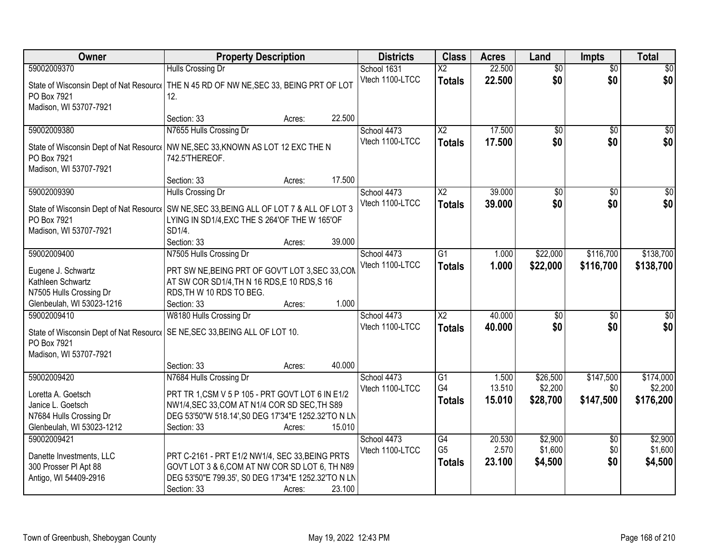| Owner                                                                                                          | <b>Property Description</b>                                                                                                                                                                                            | <b>Districts</b>               | <b>Class</b>                            | <b>Acres</b>              | Land                            | <b>Impts</b>                  | <b>Total</b>                      |
|----------------------------------------------------------------------------------------------------------------|------------------------------------------------------------------------------------------------------------------------------------------------------------------------------------------------------------------------|--------------------------------|-----------------------------------------|---------------------------|---------------------------------|-------------------------------|-----------------------------------|
| 59002009370                                                                                                    | Hulls Crossing Dr                                                                                                                                                                                                      | School 1631                    | $\overline{X2}$                         | 22.500                    | $\overline{50}$                 | $\overline{50}$               | $\overline{30}$                   |
| PO Box 7921<br>Madison, WI 53707-7921                                                                          | State of Wisconsin Dept of Nat Resourc   THE N 45 RD OF NW NE, SEC 33, BEING PRT OF LOT<br>12.                                                                                                                         | Vtech 1100-LTCC                | <b>Totals</b>                           | 22.500                    | \$0                             | \$0                           | \$0                               |
|                                                                                                                | 22.500<br>Section: 33<br>Acres:                                                                                                                                                                                        |                                |                                         |                           |                                 |                               |                                   |
| 59002009380<br>PO Box 7921<br>Madison, WI 53707-7921                                                           | N7655 Hulls Crossing Dr<br>State of Wisconsin Dept of Nat Resourc   NW NE, SEC 33, KNOWN AS LOT 12 EXC THE N<br>742.5'THEREOF.                                                                                         | School 4473<br>Vtech 1100-LTCC | $\overline{X2}$<br><b>Totals</b>        | 17.500<br>17.500          | \$0<br>\$0                      | \$0<br>\$0                    | \$0<br>\$0                        |
| 59002009390                                                                                                    | 17.500<br>Section: 33<br>Acres:                                                                                                                                                                                        |                                | X <sub>2</sub>                          | 39.000                    | \$0                             |                               | $\overline{50}$                   |
| PO Box 7921<br>Madison, WI 53707-7921                                                                          | Hulls Crossing Dr<br>State of Wisconsin Dept of Nat Resourc   SW NE, SEC 33, BEING ALL OF LOT 7 & ALL OF LOT 3<br>LYING IN SD1/4, EXC THE S 264'OF THE W 165'OF<br>SD1/4.<br>39.000<br>Section: 33<br>Acres:           | School 4473<br>Vtech 1100-LTCC | <b>Totals</b>                           | 39.000                    | \$0                             | \$0<br>\$0                    | \$0                               |
| 59002009400                                                                                                    | N7505 Hulls Crossing Dr                                                                                                                                                                                                | School 4473                    | $\overline{G1}$                         | 1.000                     | \$22,000                        | \$116,700                     | \$138,700                         |
| Eugene J. Schwartz<br>Kathleen Schwartz<br>N7505 Hulls Crossing Dr<br>Glenbeulah, WI 53023-1216                | PRT SW NE, BEING PRT OF GOV'T LOT 3, SEC 33, COM<br>AT SW COR SD1/4, TH N 16 RDS, E 10 RDS, S 16<br>RDS, TH W 10 RDS TO BEG.<br>1.000<br>Section: 33<br>Acres:                                                         | Vtech 1100-LTCC                | <b>Totals</b>                           | 1.000                     | \$22,000                        | \$116,700                     | \$138,700                         |
| 59002009410<br>PO Box 7921<br>Madison, WI 53707-7921                                                           | W8180 Hulls Crossing Dr<br>State of Wisconsin Dept of Nat Resourc   SE NE, SEC 33, BEING ALL OF LOT 10.                                                                                                                | School 4473<br>Vtech 1100-LTCC | $\overline{\text{X2}}$<br><b>Totals</b> | 40.000<br>40.000          | \$0<br>\$0                      | \$0<br>\$0                    | $\overline{50}$<br>\$0            |
|                                                                                                                | 40.000<br>Section: 33<br>Acres:                                                                                                                                                                                        |                                |                                         |                           |                                 |                               |                                   |
| 59002009420<br>Loretta A. Goetsch<br>Janice L. Goetsch<br>N7684 Hulls Crossing Dr<br>Glenbeulah, WI 53023-1212 | N7684 Hulls Crossing Dr<br>PRT TR 1, CSM V 5 P 105 - PRT GOVT LOT 6 IN E1/2<br>NW1/4, SEC 33, COM AT N1/4 COR SD SEC, TH S89<br>DEG 53'50"W 518.14', S0 DEG 17'34"E 1252.32'TO N LN<br>15.010<br>Section: 33<br>Acres: | School 4473<br>Vtech 1100-LTCC | G1<br>G4<br><b>Totals</b>               | 1.500<br>13.510<br>15.010 | \$26,500<br>\$2,200<br>\$28,700 | \$147,500<br>\$0<br>\$147,500 | \$174,000<br>\$2,200<br>\$176,200 |
| 59002009421<br>Danette Investments, LLC<br>300 Prosser PI Apt 88<br>Antigo, WI 54409-2916                      | PRT C-2161 - PRT E1/2 NW1/4, SEC 33, BEING PRTS<br>GOVT LOT 3 & 6, COM AT NW COR SD LOT 6, TH N89<br>DEG 53'50"E 799.35', S0 DEG 17'34"E 1252.32'TO N LN<br>23.100<br>Section: 33<br>Acres:                            | School 4473<br>Vtech 1100-LTCC | G4<br>G <sub>5</sub><br><b>Totals</b>   | 20.530<br>2.570<br>23.100 | \$2,900<br>\$1,600<br>\$4,500   | $\overline{60}$<br>\$0<br>\$0 | \$2,900<br>\$1,600<br>\$4,500     |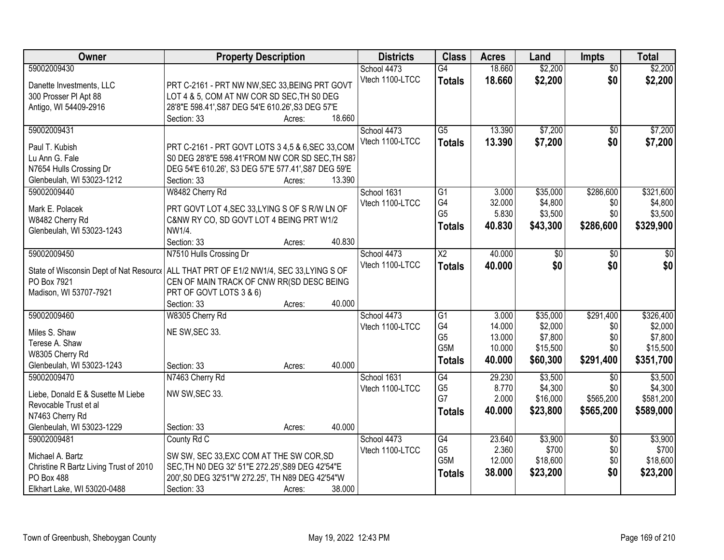| Owner                                                                                  | <b>Property Description</b>                         |        |        | <b>Districts</b>               | <b>Class</b>    | <b>Acres</b> | Land            | <b>Impts</b>    | <b>Total</b> |
|----------------------------------------------------------------------------------------|-----------------------------------------------------|--------|--------|--------------------------------|-----------------|--------------|-----------------|-----------------|--------------|
| 59002009430                                                                            |                                                     |        |        | School 4473                    | $\overline{G4}$ | 18.660       | \$2,200         | $\overline{50}$ | \$2,200      |
| Danette Investments, LLC                                                               | PRT C-2161 - PRT NW NW, SEC 33, BEING PRT GOVT      |        |        | Vtech 1100-LTCC                | <b>Totals</b>   | 18.660       | \$2,200         | \$0             | \$2,200      |
| 300 Prosser PI Apt 88                                                                  | LOT 4 & 5, COM AT NW COR SD SEC, TH S0 DEG          |        |        |                                |                 |              |                 |                 |              |
| Antigo, WI 54409-2916                                                                  | 28'8"E 598.41', S87 DEG 54'E 610.26', S3 DEG 57'E   |        |        |                                |                 |              |                 |                 |              |
|                                                                                        | Section: 33                                         | Acres: | 18.660 |                                |                 |              |                 |                 |              |
| 59002009431                                                                            |                                                     |        |        | School 4473                    | $\overline{G5}$ | 13.390       | \$7,200         | \$0             | \$7,200      |
| Paul T. Kubish                                                                         | PRT C-2161 - PRT GOVT LOTS 3 4,5 & 6, SEC 33, COM   |        |        | Vtech 1100-LTCC                | <b>Totals</b>   | 13.390       | \$7,200         | \$0             | \$7,200      |
| Lu Ann G. Fale                                                                         | S0 DEG 28'8"E 598.41'FROM NW COR SD SEC, TH S87     |        |        |                                |                 |              |                 |                 |              |
| N7654 Hulls Crossing Dr                                                                | DEG 54'E 610.26', S3 DEG 57'E 577.41', S87 DEG 59'E |        |        |                                |                 |              |                 |                 |              |
| Glenbeulah, WI 53023-1212                                                              | Section: 33                                         | Acres: | 13.390 |                                |                 |              |                 |                 |              |
| 59002009440                                                                            | W8482 Cherry Rd                                     |        |        | School 1631                    | $\overline{G1}$ | 3.000        | \$35,000        | \$286,600       | \$321,600    |
|                                                                                        |                                                     |        |        | Vtech 1100-LTCC                | G4              | 32.000       | \$4,800         | \$0             | \$4,800      |
| Mark E. Polacek                                                                        | PRT GOVT LOT 4, SEC 33, LYING S OF S R/W LN OF      |        |        |                                | G <sub>5</sub>  | 5.830        | \$3,500         | \$0             | \$3,500      |
| W8482 Cherry Rd                                                                        | C&NW RY CO, SD GOVT LOT 4 BEING PRT W1/2            |        |        |                                | <b>Totals</b>   | 40.830       | \$43,300        | \$286,600       | \$329,900    |
| Glenbeulah, WI 53023-1243                                                              | NW1/4.<br>Section: 33                               |        | 40.830 |                                |                 |              |                 |                 |              |
| 59002009450                                                                            | N7510 Hulls Crossing Dr                             | Acres: |        |                                | $\overline{X2}$ | 40.000       | $\overline{50}$ |                 | $\sqrt{50}$  |
|                                                                                        |                                                     |        |        | School 4473<br>Vtech 1100-LTCC |                 |              | \$0             | \$0<br>\$0      |              |
| State of Wisconsin Dept of Nat Resourc   ALL THAT PRT OF E1/2 NW1/4, SEC 33,LYING S OF |                                                     |        |        |                                | <b>Totals</b>   | 40.000       |                 |                 | \$0          |
| PO Box 7921                                                                            | CEN OF MAIN TRACK OF CNW RR(SD DESC BEING           |        |        |                                |                 |              |                 |                 |              |
| Madison, WI 53707-7921                                                                 | PRT OF GOVT LOTS 3 & 6)                             |        |        |                                |                 |              |                 |                 |              |
|                                                                                        | Section: 33                                         | Acres: | 40.000 |                                |                 |              |                 |                 |              |
| 59002009460                                                                            | W8305 Cherry Rd                                     |        |        | School 4473                    | $\overline{G1}$ | 3.000        | \$35,000        | \$291,400       | \$326,400    |
| Miles S. Shaw                                                                          | NE SW, SEC 33.                                      |        |        | Vtech 1100-LTCC                | G4              | 14.000       | \$2,000         | \$0             | \$2,000      |
| Terese A. Shaw                                                                         |                                                     |        |        |                                | G <sub>5</sub>  | 13.000       | \$7,800         | \$0             | \$7,800      |
| W8305 Cherry Rd                                                                        |                                                     |        |        |                                | G5M             | 10.000       | \$15,500        | \$0             | \$15,500     |
| Glenbeulah, WI 53023-1243                                                              | Section: 33                                         | Acres: | 40.000 |                                | <b>Totals</b>   | 40.000       | \$60,300        | \$291,400       | \$351,700    |
| 59002009470                                                                            | N7463 Cherry Rd                                     |        |        | School 1631                    | G4              | 29.230       | \$3,500         | $\overline{50}$ | \$3,500      |
| Liebe, Donald E & Susette M Liebe                                                      | NW SW, SEC 33.                                      |        |        | Vtech 1100-LTCC                | G <sub>5</sub>  | 8.770        | \$4,300         | \$0             | \$4,300      |
| Revocable Trust et al                                                                  |                                                     |        |        |                                | G7              | 2.000        | \$16,000        | \$565,200       | \$581,200    |
| N7463 Cherry Rd                                                                        |                                                     |        |        |                                | Totals          | 40,000       | \$23,800        | \$565,200       | \$589,000    |
| Glenbeulah, WI 53023-1229                                                              | Section: 33                                         | Acres: | 40.000 |                                |                 |              |                 |                 |              |
| 59002009481                                                                            | County Rd C                                         |        |        | School 4473                    | G4              | 23.640       | \$3,900         | $\overline{50}$ | \$3,900      |
|                                                                                        |                                                     |        |        | Vtech 1100-LTCC                | G <sub>5</sub>  | 2.360        | \$700           | \$0             | \$700        |
| Michael A. Bartz                                                                       | SW SW, SEC 33, EXC COM AT THE SW COR, SD            |        |        |                                | G5M             | 12.000       | \$18,600        | \$0             | \$18,600     |
| Christine R Bartz Living Trust of 2010                                                 | SEC, TH NO DEG 32' 51"E 272.25', S89 DEG 42'54"E    |        |        |                                | <b>Totals</b>   | 38.000       | \$23,200        | \$0             | \$23,200     |
| PO Box 488                                                                             | 200', S0 DEG 32'51"W 272.25', TH N89 DEG 42'54"W    |        |        |                                |                 |              |                 |                 |              |
| Elkhart Lake, WI 53020-0488                                                            | Section: 33                                         | Acres: | 38.000 |                                |                 |              |                 |                 |              |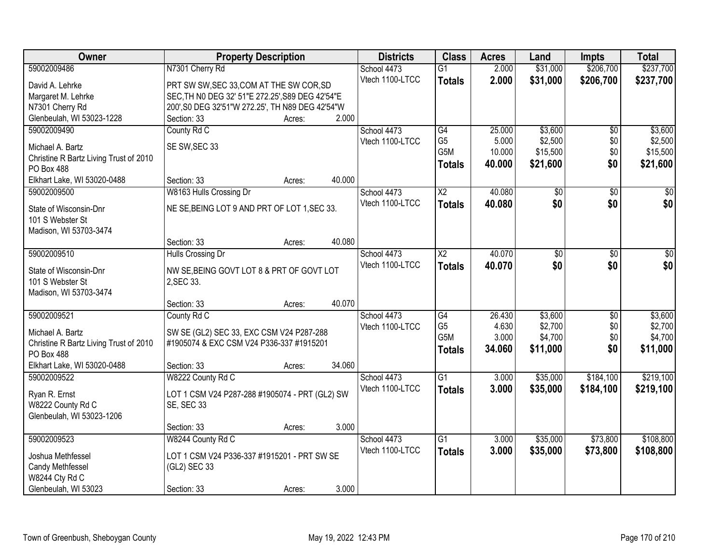| 59002009486<br>N7301 Cherry Rd<br>2.000<br>\$31,000<br>\$206,700<br>School 4473<br>$\overline{G1}$<br>Vtech 1100-LTCC<br>2.000<br>\$31,000<br>\$206,700<br>\$237,700<br><b>Totals</b><br>David A. Lehrke<br>PRT SW SW, SEC 33, COM AT THE SW COR, SD<br>Margaret M. Lehrke<br>SEC, TH NO DEG 32' 51"E 272.25', S89 DEG 42'54"E<br>N7301 Cherry Rd<br>200', S0 DEG 32'51"W 272.25', TH N89 DEG 42'54"W<br>Glenbeulah, WI 53023-1228<br>2.000<br>Section: 33<br>Acres:<br>\$3,600<br>\$3,600<br>59002009490<br>County Rd C<br>$\overline{G4}$<br>25.000<br>School 4473<br>\$0<br>G <sub>5</sub><br>\$2,500<br>\$0<br>\$2,500<br>Vtech 1100-LTCC<br>5.000<br>SE SW, SEC 33<br>Michael A. Bartz<br>G5M<br>\$15,500<br>\$0<br>10.000<br>\$15,500<br>Christine R Bartz Living Trust of 2010<br>\$0<br>\$21,600<br>40.000<br>\$21,600<br><b>Totals</b><br>PO Box 488<br>40.000<br>Elkhart Lake, WI 53020-0488<br>Section: 33<br>Acres:<br>40.080<br>59002009500<br>W8163 Hulls Crossing Dr<br>$\overline{\text{X2}}$<br>$\overline{50}$<br>$\overline{50}$<br>$\overline{30}$<br>School 4473<br>\$0<br>Vtech 1100-LTCC<br>\$0<br>40.080<br><b>Totals</b><br>NE SE, BEING LOT 9 AND PRT OF LOT 1, SEC 33.<br>State of Wisconsin-Dnr<br>101 S Webster St<br>Madison, WI 53703-3474<br>40.080<br>Section: 33<br>Acres:<br>$\overline{X2}$<br>40.070<br>59002009510<br>Hulls Crossing Dr<br>School 4473<br>\$0<br>\$0<br>\$0<br>Vtech 1100-LTCC<br>\$0<br>\$0<br>40.070<br><b>Totals</b><br>NW SE, BEING GOVT LOT 8 & PRT OF GOVT LOT<br>State of Wisconsin-Dnr<br>101 S Webster St<br>2, SEC 33.<br>Madison, WI 53703-3474<br>40.070<br>Section: 33<br>Acres:<br>59002009521<br>26.430<br>\$3,600<br>$\overline{G4}$<br>$\overline{30}$<br>County Rd C<br>School 4473<br>G <sub>5</sub><br>4.630<br>\$2,700<br>\$0<br>Vtech 1100-LTCC<br>SW SE (GL2) SEC 33, EXC CSM V24 P287-288<br>Michael A. Bartz<br>G5M<br>\$4,700<br>\$0<br>3.000<br>#1905074 & EXC CSM V24 P336-337 #1915201<br>Christine R Bartz Living Trust of 2010<br>\$0<br>34.060<br>\$11,000<br>\$11,000<br><b>Totals</b><br>PO Box 488<br>34.060<br>Elkhart Lake, WI 53020-0488<br>Section: 33<br>Acres:<br>59002009522<br>$\overline{G1}$<br>\$35,000<br>\$184,100<br>W8222 County Rd C<br>School 4473<br>3.000<br>Vtech 1100-LTCC<br>3.000<br>\$35,000<br>\$184,100<br><b>Totals</b><br>Ryan R. Ernst<br>LOT 1 CSM V24 P287-288 #1905074 - PRT (GL2) SW<br><b>SE, SEC 33</b><br>W8222 County Rd C<br>Glenbeulah, WI 53023-1206<br>3.000<br>Section: 33<br>Acres:<br>59002009523<br>W8244 County Rd C<br>School 4473<br>$\overline{G1}$<br>\$35,000<br>\$73,800<br>3.000 | Owner | <b>Property Description</b> |  | <b>Districts</b> | <b>Class</b>  | <b>Acres</b> | Land     | <b>Impts</b> | <b>Total</b> |
|--------------------------------------------------------------------------------------------------------------------------------------------------------------------------------------------------------------------------------------------------------------------------------------------------------------------------------------------------------------------------------------------------------------------------------------------------------------------------------------------------------------------------------------------------------------------------------------------------------------------------------------------------------------------------------------------------------------------------------------------------------------------------------------------------------------------------------------------------------------------------------------------------------------------------------------------------------------------------------------------------------------------------------------------------------------------------------------------------------------------------------------------------------------------------------------------------------------------------------------------------------------------------------------------------------------------------------------------------------------------------------------------------------------------------------------------------------------------------------------------------------------------------------------------------------------------------------------------------------------------------------------------------------------------------------------------------------------------------------------------------------------------------------------------------------------------------------------------------------------------------------------------------------------------------------------------------------------------------------------------------------------------------------------------------------------------------------------------------------------------------------------------------------------------------------------------------------------------------------------------------------------------------------------------------------------------------------------------------------------------------------------------------------------------------------------------------------------------------------------------------------------------------------------------------------------------------------------------------------------------------------|-------|-----------------------------|--|------------------|---------------|--------------|----------|--------------|--------------|
|                                                                                                                                                                                                                                                                                                                                                                                                                                                                                                                                                                                                                                                                                                                                                                                                                                                                                                                                                                                                                                                                                                                                                                                                                                                                                                                                                                                                                                                                                                                                                                                                                                                                                                                                                                                                                                                                                                                                                                                                                                                                                                                                                                                                                                                                                                                                                                                                                                                                                                                                                                                                                                |       |                             |  |                  |               |              |          |              | \$237,700    |
|                                                                                                                                                                                                                                                                                                                                                                                                                                                                                                                                                                                                                                                                                                                                                                                                                                                                                                                                                                                                                                                                                                                                                                                                                                                                                                                                                                                                                                                                                                                                                                                                                                                                                                                                                                                                                                                                                                                                                                                                                                                                                                                                                                                                                                                                                                                                                                                                                                                                                                                                                                                                                                |       |                             |  |                  |               |              |          |              |              |
|                                                                                                                                                                                                                                                                                                                                                                                                                                                                                                                                                                                                                                                                                                                                                                                                                                                                                                                                                                                                                                                                                                                                                                                                                                                                                                                                                                                                                                                                                                                                                                                                                                                                                                                                                                                                                                                                                                                                                                                                                                                                                                                                                                                                                                                                                                                                                                                                                                                                                                                                                                                                                                |       |                             |  |                  |               |              |          |              |              |
|                                                                                                                                                                                                                                                                                                                                                                                                                                                                                                                                                                                                                                                                                                                                                                                                                                                                                                                                                                                                                                                                                                                                                                                                                                                                                                                                                                                                                                                                                                                                                                                                                                                                                                                                                                                                                                                                                                                                                                                                                                                                                                                                                                                                                                                                                                                                                                                                                                                                                                                                                                                                                                |       |                             |  |                  |               |              |          |              |              |
|                                                                                                                                                                                                                                                                                                                                                                                                                                                                                                                                                                                                                                                                                                                                                                                                                                                                                                                                                                                                                                                                                                                                                                                                                                                                                                                                                                                                                                                                                                                                                                                                                                                                                                                                                                                                                                                                                                                                                                                                                                                                                                                                                                                                                                                                                                                                                                                                                                                                                                                                                                                                                                |       |                             |  |                  |               |              |          |              |              |
|                                                                                                                                                                                                                                                                                                                                                                                                                                                                                                                                                                                                                                                                                                                                                                                                                                                                                                                                                                                                                                                                                                                                                                                                                                                                                                                                                                                                                                                                                                                                                                                                                                                                                                                                                                                                                                                                                                                                                                                                                                                                                                                                                                                                                                                                                                                                                                                                                                                                                                                                                                                                                                |       |                             |  |                  |               |              |          |              |              |
|                                                                                                                                                                                                                                                                                                                                                                                                                                                                                                                                                                                                                                                                                                                                                                                                                                                                                                                                                                                                                                                                                                                                                                                                                                                                                                                                                                                                                                                                                                                                                                                                                                                                                                                                                                                                                                                                                                                                                                                                                                                                                                                                                                                                                                                                                                                                                                                                                                                                                                                                                                                                                                |       |                             |  |                  |               |              |          |              |              |
|                                                                                                                                                                                                                                                                                                                                                                                                                                                                                                                                                                                                                                                                                                                                                                                                                                                                                                                                                                                                                                                                                                                                                                                                                                                                                                                                                                                                                                                                                                                                                                                                                                                                                                                                                                                                                                                                                                                                                                                                                                                                                                                                                                                                                                                                                                                                                                                                                                                                                                                                                                                                                                |       |                             |  |                  |               |              |          |              |              |
|                                                                                                                                                                                                                                                                                                                                                                                                                                                                                                                                                                                                                                                                                                                                                                                                                                                                                                                                                                                                                                                                                                                                                                                                                                                                                                                                                                                                                                                                                                                                                                                                                                                                                                                                                                                                                                                                                                                                                                                                                                                                                                                                                                                                                                                                                                                                                                                                                                                                                                                                                                                                                                |       |                             |  |                  |               |              |          |              |              |
|                                                                                                                                                                                                                                                                                                                                                                                                                                                                                                                                                                                                                                                                                                                                                                                                                                                                                                                                                                                                                                                                                                                                                                                                                                                                                                                                                                                                                                                                                                                                                                                                                                                                                                                                                                                                                                                                                                                                                                                                                                                                                                                                                                                                                                                                                                                                                                                                                                                                                                                                                                                                                                |       |                             |  |                  |               |              |          |              |              |
| \$0 <br>\$0<br>\$3,600<br>\$2,700<br>\$4,700<br>\$219,100<br>\$219,100<br>\$108,800                                                                                                                                                                                                                                                                                                                                                                                                                                                                                                                                                                                                                                                                                                                                                                                                                                                                                                                                                                                                                                                                                                                                                                                                                                                                                                                                                                                                                                                                                                                                                                                                                                                                                                                                                                                                                                                                                                                                                                                                                                                                                                                                                                                                                                                                                                                                                                                                                                                                                                                                            |       |                             |  |                  |               |              |          |              |              |
|                                                                                                                                                                                                                                                                                                                                                                                                                                                                                                                                                                                                                                                                                                                                                                                                                                                                                                                                                                                                                                                                                                                                                                                                                                                                                                                                                                                                                                                                                                                                                                                                                                                                                                                                                                                                                                                                                                                                                                                                                                                                                                                                                                                                                                                                                                                                                                                                                                                                                                                                                                                                                                |       |                             |  |                  |               |              |          |              |              |
|                                                                                                                                                                                                                                                                                                                                                                                                                                                                                                                                                                                                                                                                                                                                                                                                                                                                                                                                                                                                                                                                                                                                                                                                                                                                                                                                                                                                                                                                                                                                                                                                                                                                                                                                                                                                                                                                                                                                                                                                                                                                                                                                                                                                                                                                                                                                                                                                                                                                                                                                                                                                                                |       |                             |  |                  |               |              |          |              |              |
|                                                                                                                                                                                                                                                                                                                                                                                                                                                                                                                                                                                                                                                                                                                                                                                                                                                                                                                                                                                                                                                                                                                                                                                                                                                                                                                                                                                                                                                                                                                                                                                                                                                                                                                                                                                                                                                                                                                                                                                                                                                                                                                                                                                                                                                                                                                                                                                                                                                                                                                                                                                                                                |       |                             |  |                  |               |              |          |              |              |
|                                                                                                                                                                                                                                                                                                                                                                                                                                                                                                                                                                                                                                                                                                                                                                                                                                                                                                                                                                                                                                                                                                                                                                                                                                                                                                                                                                                                                                                                                                                                                                                                                                                                                                                                                                                                                                                                                                                                                                                                                                                                                                                                                                                                                                                                                                                                                                                                                                                                                                                                                                                                                                |       |                             |  |                  |               |              |          |              |              |
|                                                                                                                                                                                                                                                                                                                                                                                                                                                                                                                                                                                                                                                                                                                                                                                                                                                                                                                                                                                                                                                                                                                                                                                                                                                                                                                                                                                                                                                                                                                                                                                                                                                                                                                                                                                                                                                                                                                                                                                                                                                                                                                                                                                                                                                                                                                                                                                                                                                                                                                                                                                                                                |       |                             |  |                  |               |              |          |              |              |
|                                                                                                                                                                                                                                                                                                                                                                                                                                                                                                                                                                                                                                                                                                                                                                                                                                                                                                                                                                                                                                                                                                                                                                                                                                                                                                                                                                                                                                                                                                                                                                                                                                                                                                                                                                                                                                                                                                                                                                                                                                                                                                                                                                                                                                                                                                                                                                                                                                                                                                                                                                                                                                |       |                             |  |                  |               |              |          |              |              |
|                                                                                                                                                                                                                                                                                                                                                                                                                                                                                                                                                                                                                                                                                                                                                                                                                                                                                                                                                                                                                                                                                                                                                                                                                                                                                                                                                                                                                                                                                                                                                                                                                                                                                                                                                                                                                                                                                                                                                                                                                                                                                                                                                                                                                                                                                                                                                                                                                                                                                                                                                                                                                                |       |                             |  |                  |               |              |          |              |              |
|                                                                                                                                                                                                                                                                                                                                                                                                                                                                                                                                                                                                                                                                                                                                                                                                                                                                                                                                                                                                                                                                                                                                                                                                                                                                                                                                                                                                                                                                                                                                                                                                                                                                                                                                                                                                                                                                                                                                                                                                                                                                                                                                                                                                                                                                                                                                                                                                                                                                                                                                                                                                                                |       |                             |  |                  |               |              |          |              |              |
|                                                                                                                                                                                                                                                                                                                                                                                                                                                                                                                                                                                                                                                                                                                                                                                                                                                                                                                                                                                                                                                                                                                                                                                                                                                                                                                                                                                                                                                                                                                                                                                                                                                                                                                                                                                                                                                                                                                                                                                                                                                                                                                                                                                                                                                                                                                                                                                                                                                                                                                                                                                                                                |       |                             |  |                  |               |              |          |              |              |
|                                                                                                                                                                                                                                                                                                                                                                                                                                                                                                                                                                                                                                                                                                                                                                                                                                                                                                                                                                                                                                                                                                                                                                                                                                                                                                                                                                                                                                                                                                                                                                                                                                                                                                                                                                                                                                                                                                                                                                                                                                                                                                                                                                                                                                                                                                                                                                                                                                                                                                                                                                                                                                |       |                             |  |                  |               |              |          |              |              |
|                                                                                                                                                                                                                                                                                                                                                                                                                                                                                                                                                                                                                                                                                                                                                                                                                                                                                                                                                                                                                                                                                                                                                                                                                                                                                                                                                                                                                                                                                                                                                                                                                                                                                                                                                                                                                                                                                                                                                                                                                                                                                                                                                                                                                                                                                                                                                                                                                                                                                                                                                                                                                                |       |                             |  |                  |               |              |          |              |              |
|                                                                                                                                                                                                                                                                                                                                                                                                                                                                                                                                                                                                                                                                                                                                                                                                                                                                                                                                                                                                                                                                                                                                                                                                                                                                                                                                                                                                                                                                                                                                                                                                                                                                                                                                                                                                                                                                                                                                                                                                                                                                                                                                                                                                                                                                                                                                                                                                                                                                                                                                                                                                                                |       |                             |  |                  |               |              |          |              |              |
|                                                                                                                                                                                                                                                                                                                                                                                                                                                                                                                                                                                                                                                                                                                                                                                                                                                                                                                                                                                                                                                                                                                                                                                                                                                                                                                                                                                                                                                                                                                                                                                                                                                                                                                                                                                                                                                                                                                                                                                                                                                                                                                                                                                                                                                                                                                                                                                                                                                                                                                                                                                                                                |       |                             |  |                  |               |              |          |              |              |
|                                                                                                                                                                                                                                                                                                                                                                                                                                                                                                                                                                                                                                                                                                                                                                                                                                                                                                                                                                                                                                                                                                                                                                                                                                                                                                                                                                                                                                                                                                                                                                                                                                                                                                                                                                                                                                                                                                                                                                                                                                                                                                                                                                                                                                                                                                                                                                                                                                                                                                                                                                                                                                |       |                             |  |                  |               |              |          |              |              |
|                                                                                                                                                                                                                                                                                                                                                                                                                                                                                                                                                                                                                                                                                                                                                                                                                                                                                                                                                                                                                                                                                                                                                                                                                                                                                                                                                                                                                                                                                                                                                                                                                                                                                                                                                                                                                                                                                                                                                                                                                                                                                                                                                                                                                                                                                                                                                                                                                                                                                                                                                                                                                                |       |                             |  |                  |               |              |          |              |              |
|                                                                                                                                                                                                                                                                                                                                                                                                                                                                                                                                                                                                                                                                                                                                                                                                                                                                                                                                                                                                                                                                                                                                                                                                                                                                                                                                                                                                                                                                                                                                                                                                                                                                                                                                                                                                                                                                                                                                                                                                                                                                                                                                                                                                                                                                                                                                                                                                                                                                                                                                                                                                                                |       |                             |  |                  |               |              |          |              |              |
|                                                                                                                                                                                                                                                                                                                                                                                                                                                                                                                                                                                                                                                                                                                                                                                                                                                                                                                                                                                                                                                                                                                                                                                                                                                                                                                                                                                                                                                                                                                                                                                                                                                                                                                                                                                                                                                                                                                                                                                                                                                                                                                                                                                                                                                                                                                                                                                                                                                                                                                                                                                                                                |       |                             |  |                  |               |              |          |              |              |
|                                                                                                                                                                                                                                                                                                                                                                                                                                                                                                                                                                                                                                                                                                                                                                                                                                                                                                                                                                                                                                                                                                                                                                                                                                                                                                                                                                                                                                                                                                                                                                                                                                                                                                                                                                                                                                                                                                                                                                                                                                                                                                                                                                                                                                                                                                                                                                                                                                                                                                                                                                                                                                |       |                             |  |                  |               |              |          |              |              |
|                                                                                                                                                                                                                                                                                                                                                                                                                                                                                                                                                                                                                                                                                                                                                                                                                                                                                                                                                                                                                                                                                                                                                                                                                                                                                                                                                                                                                                                                                                                                                                                                                                                                                                                                                                                                                                                                                                                                                                                                                                                                                                                                                                                                                                                                                                                                                                                                                                                                                                                                                                                                                                |       |                             |  |                  |               |              |          |              |              |
|                                                                                                                                                                                                                                                                                                                                                                                                                                                                                                                                                                                                                                                                                                                                                                                                                                                                                                                                                                                                                                                                                                                                                                                                                                                                                                                                                                                                                                                                                                                                                                                                                                                                                                                                                                                                                                                                                                                                                                                                                                                                                                                                                                                                                                                                                                                                                                                                                                                                                                                                                                                                                                |       |                             |  |                  |               |              |          |              |              |
|                                                                                                                                                                                                                                                                                                                                                                                                                                                                                                                                                                                                                                                                                                                                                                                                                                                                                                                                                                                                                                                                                                                                                                                                                                                                                                                                                                                                                                                                                                                                                                                                                                                                                                                                                                                                                                                                                                                                                                                                                                                                                                                                                                                                                                                                                                                                                                                                                                                                                                                                                                                                                                |       |                             |  |                  |               |              |          |              |              |
|                                                                                                                                                                                                                                                                                                                                                                                                                                                                                                                                                                                                                                                                                                                                                                                                                                                                                                                                                                                                                                                                                                                                                                                                                                                                                                                                                                                                                                                                                                                                                                                                                                                                                                                                                                                                                                                                                                                                                                                                                                                                                                                                                                                                                                                                                                                                                                                                                                                                                                                                                                                                                                |       |                             |  | Vtech 1100-LTCC  | <b>Totals</b> | 3.000        | \$35,000 | \$73,800     | \$108,800    |
| Joshua Methfessel<br>LOT 1 CSM V24 P336-337 #1915201 - PRT SW SE                                                                                                                                                                                                                                                                                                                                                                                                                                                                                                                                                                                                                                                                                                                                                                                                                                                                                                                                                                                                                                                                                                                                                                                                                                                                                                                                                                                                                                                                                                                                                                                                                                                                                                                                                                                                                                                                                                                                                                                                                                                                                                                                                                                                                                                                                                                                                                                                                                                                                                                                                               |       |                             |  |                  |               |              |          |              |              |
| Candy Methfessel<br>(GL2) SEC 33<br>W8244 Cty Rd C                                                                                                                                                                                                                                                                                                                                                                                                                                                                                                                                                                                                                                                                                                                                                                                                                                                                                                                                                                                                                                                                                                                                                                                                                                                                                                                                                                                                                                                                                                                                                                                                                                                                                                                                                                                                                                                                                                                                                                                                                                                                                                                                                                                                                                                                                                                                                                                                                                                                                                                                                                             |       |                             |  |                  |               |              |          |              |              |
| 3.000<br>Glenbeulah, WI 53023<br>Section: 33<br>Acres:                                                                                                                                                                                                                                                                                                                                                                                                                                                                                                                                                                                                                                                                                                                                                                                                                                                                                                                                                                                                                                                                                                                                                                                                                                                                                                                                                                                                                                                                                                                                                                                                                                                                                                                                                                                                                                                                                                                                                                                                                                                                                                                                                                                                                                                                                                                                                                                                                                                                                                                                                                         |       |                             |  |                  |               |              |          |              |              |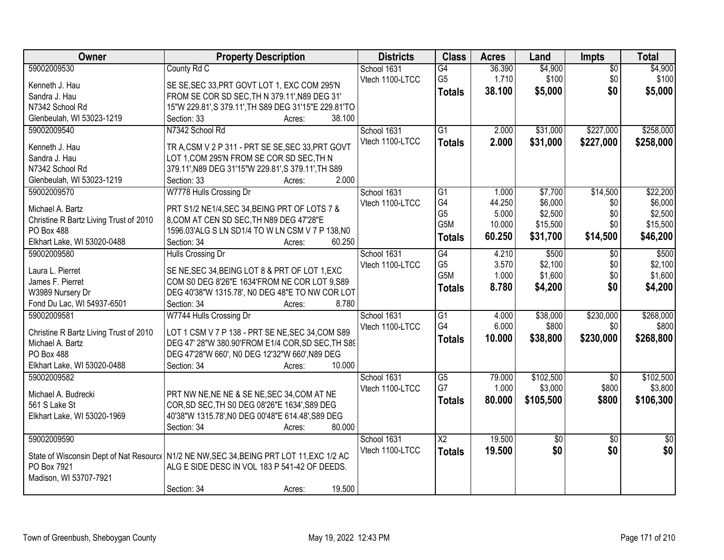| Owner                                  | <b>Property Description</b>                                                               | <b>Districts</b> | <b>Class</b>    | <b>Acres</b> | Land            | <b>Impts</b>    | <b>Total</b>    |
|----------------------------------------|-------------------------------------------------------------------------------------------|------------------|-----------------|--------------|-----------------|-----------------|-----------------|
| 59002009530                            | County Rd C                                                                               | School 1631      | $\overline{G4}$ | 36.390       | \$4,900         | $\overline{50}$ | \$4,900         |
| Kenneth J. Hau                         | SE SE, SEC 33, PRT GOVT LOT 1, EXC COM 295'N                                              | Vtech 1100-LTCC  | G <sub>5</sub>  | 1.710        | \$100           | \$0             | \$100           |
| Sandra J. Hau                          | FROM SE COR SD SEC, TH N 379.11', N89 DEG 31'                                             |                  | <b>Totals</b>   | 38.100       | \$5,000         | \$0             | \$5,000         |
| N7342 School Rd                        | 15"W 229.81', S 379.11', TH S89 DEG 31'15"E 229.81'TO                                     |                  |                 |              |                 |                 |                 |
| Glenbeulah, WI 53023-1219              | 38.100<br>Section: 33<br>Acres:                                                           |                  |                 |              |                 |                 |                 |
| 59002009540                            | N7342 School Rd                                                                           | School 1631      | $\overline{G1}$ | 2.000        | \$31,000        | \$227,000       | \$258,000       |
|                                        |                                                                                           | Vtech 1100-LTCC  | <b>Totals</b>   | 2.000        | \$31,000        | \$227,000       | \$258,000       |
| Kenneth J. Hau                         | TR A, CSM V 2 P 311 - PRT SE SE, SEC 33, PRT GOVT                                         |                  |                 |              |                 |                 |                 |
| Sandra J. Hau                          | LOT 1, COM 295'N FROM SE COR SD SEC, TH N                                                 |                  |                 |              |                 |                 |                 |
| N7342 School Rd                        | 379.11', N89 DEG 31'15"W 229.81', S 379.11', TH S89                                       |                  |                 |              |                 |                 |                 |
| Glenbeulah, WI 53023-1219              | 2.000<br>Section: 33<br>Acres:                                                            |                  |                 |              |                 |                 |                 |
| 59002009570                            | W7778 Hulls Crossing Dr                                                                   | School 1631      | G1              | 1.000        | \$7,700         | \$14,500        | \$22,200        |
| Michael A. Bartz                       | PRT S1/2 NE1/4, SEC 34, BEING PRT OF LOTS 7 &                                             | Vtech 1100-LTCC  | G4              | 44.250       | \$6,000         | \$0             | \$6,000         |
| Christine R Bartz Living Trust of 2010 | 8, COM AT CEN SD SEC, TH N89 DEG 47'28"E                                                  |                  | G <sub>5</sub>  | 5.000        | \$2,500         | \$0             | \$2,500         |
| <b>PO Box 488</b>                      | 1596.03'ALG S LN SD1/4 TO W LN CSM V 7 P 138, NO                                          |                  | G5M             | 10.000       | \$15,500        | \$0             | \$15,500        |
| Elkhart Lake, WI 53020-0488            | 60.250<br>Section: 34<br>Acres:                                                           |                  | <b>Totals</b>   | 60.250       | \$31,700        | \$14,500        | \$46,200        |
| 59002009580                            | Hulls Crossing Dr                                                                         | School 1631      | G4              | 4.210        | \$500           | $\overline{50}$ | \$500           |
|                                        |                                                                                           | Vtech 1100-LTCC  | G <sub>5</sub>  | 3.570        | \$2,100         | \$0             | \$2,100         |
| Laura L. Pierret                       | SE NE, SEC 34, BEING LOT 8 & PRT OF LOT 1, EXC                                            |                  | G5M             | 1.000        | \$1,600         | \$0             | \$1,600         |
| James F. Pierret                       | COM S0 DEG 8'26"E 1634'FROM NE COR LOT 9,S89                                              |                  | <b>Totals</b>   | 8.780        | \$4,200         | \$0             | \$4,200         |
| W3989 Nursery Dr                       | DEG 40'38"W 1315.78', N0 DEG 48"E TO NW COR LOT                                           |                  |                 |              |                 |                 |                 |
| Fond Du Lac, WI 54937-6501             | 8.780<br>Section: 34<br>Acres:                                                            |                  |                 |              |                 |                 |                 |
| 59002009581                            | W7744 Hulls Crossing Dr                                                                   | School 1631      | $\overline{G1}$ | 4.000        | \$38,000        | \$230,000       | \$268,000       |
| Christine R Bartz Living Trust of 2010 | LOT 1 CSM V 7 P 138 - PRT SE NE, SEC 34, COM S89                                          | Vtech 1100-LTCC  | G4              | 6.000        | \$800           | \$0             | \$800           |
| Michael A. Bartz                       | DEG 47' 28"W 380.90'FROM E1/4 COR, SD SEC, TH S89                                         |                  | <b>Totals</b>   | 10.000       | \$38,800        | \$230,000       | \$268,800       |
| PO Box 488                             | DEG 47'28"W 660', N0 DEG 12'32"W 660', N89 DEG                                            |                  |                 |              |                 |                 |                 |
| Elkhart Lake, WI 53020-0488            | 10.000<br>Section: 34<br>Acres:                                                           |                  |                 |              |                 |                 |                 |
| 59002009582                            |                                                                                           | School 1631      | G5              | 79.000       | \$102,500       | $\sqrt{6}$      | \$102,500       |
|                                        |                                                                                           | Vtech 1100-LTCC  | G7              | 1.000        | \$3,000         | \$800           | \$3,800         |
| Michael A. Budrecki                    | PRT NW NE, NE NE & SE NE, SEC 34, COM AT NE                                               |                  | <b>Totals</b>   | 80.000       | \$105,500       | \$800           | \$106,300       |
| 561 S Lake St                          | COR, SD SEC, TH S0 DEG 08'26"E 1634', S89 DEG                                             |                  |                 |              |                 |                 |                 |
| Elkhart Lake, WI 53020-1969            | 40'38"W 1315.78', NO DEG 00'48"E 614.48', S89 DEG                                         |                  |                 |              |                 |                 |                 |
|                                        | 80.000<br>Section: 34<br>Acres:                                                           |                  |                 |              |                 |                 |                 |
| 59002009590                            |                                                                                           | School 1631      | $\overline{X2}$ | 19.500       | $\overline{50}$ | $\overline{30}$ | $\overline{50}$ |
|                                        | State of Wisconsin Dept of Nat Resourc   N1/2 NE NW, SEC 34, BEING PRT LOT 11, EXC 1/2 AC | Vtech 1100-LTCC  | <b>Totals</b>   | 19.500       | \$0             | \$0             | \$0             |
| PO Box 7921                            | ALG E SIDE DESC IN VOL 183 P 541-42 OF DEEDS.                                             |                  |                 |              |                 |                 |                 |
| Madison, WI 53707-7921                 |                                                                                           |                  |                 |              |                 |                 |                 |
|                                        | 19.500<br>Section: 34<br>Acres:                                                           |                  |                 |              |                 |                 |                 |
|                                        |                                                                                           |                  |                 |              |                 |                 |                 |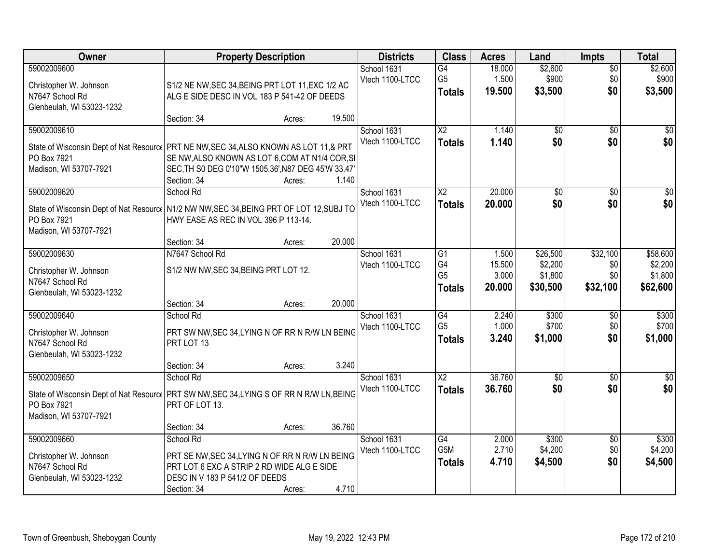| Owner                                                                                                                                            |                                                                                                                                                             | <b>Property Description</b> |        | <b>Districts</b>               | <b>Class</b>                          | <b>Acres</b>              | Land                           | <b>Impts</b>                  | <b>Total</b>                   |
|--------------------------------------------------------------------------------------------------------------------------------------------------|-------------------------------------------------------------------------------------------------------------------------------------------------------------|-----------------------------|--------|--------------------------------|---------------------------------------|---------------------------|--------------------------------|-------------------------------|--------------------------------|
| 59002009600<br>Christopher W. Johnson<br>N7647 School Rd<br>Glenbeulah, WI 53023-1232                                                            | S1/2 NE NW, SEC 34, BEING PRT LOT 11, EXC 1/2 AC<br>ALG E SIDE DESC IN VOL 183 P 541-42 OF DEEDS                                                            |                             |        | School 1631<br>Vtech 1100-LTCC | G4<br>G <sub>5</sub><br><b>Totals</b> | 18.000<br>1.500<br>19.500 | \$2,600<br>\$900<br>\$3,500    | $\overline{50}$<br>\$0<br>\$0 | \$2,600<br>\$900<br>\$3,500    |
|                                                                                                                                                  | Section: 34                                                                                                                                                 | Acres:                      | 19.500 |                                |                                       |                           |                                |                               |                                |
| 59002009610<br>State of Wisconsin Dept of Nat Resourc   PRT NE NW, SEC 34, ALSO KNOWN AS LOT 11, & PRT<br>PO Box 7921<br>Madison, WI 53707-7921  | SE NW, ALSO KNOWN AS LOT 6, COM AT N1/4 COR, SI<br>SEC, TH S0 DEG 0'10"W 1505.36', N87 DEG 45'W 33.47'<br>Section: 34                                       | Acres:                      | 1.140  | School 1631<br>Vtech 1100-LTCC | $\overline{X2}$<br><b>Totals</b>      | 1.140<br>1.140            | $\overline{50}$<br>\$0         | $\overline{30}$<br>\$0        | $\overline{30}$<br>\$0         |
| 59002009620                                                                                                                                      | School Rd                                                                                                                                                   |                             |        | School 1631                    | $\overline{\text{X2}}$                | 20.000                    | \$0                            | \$0                           | $\overline{\$0}$               |
| State of Wisconsin Dept of Nat Resourc   N1/2 NW NW, SEC 34, BEING PRT OF LOT 12, SUBJ TO<br>PO Box 7921<br>Madison, WI 53707-7921               | HWY EASE AS REC IN VOL 396 P 113-14.<br>Section: 34                                                                                                         | Acres:                      | 20.000 | Vtech 1100-LTCC                | <b>Totals</b>                         | 20.000                    | \$0                            | \$0                           | \$0                            |
| 59002009630                                                                                                                                      | N7647 School Rd                                                                                                                                             |                             |        | School 1631                    | G1                                    | 1.500                     | \$26,500                       | \$32,100                      | \$58,600                       |
| Christopher W. Johnson<br>N7647 School Rd<br>Glenbeulah, WI 53023-1232                                                                           | S1/2 NW NW, SEC 34, BEING PRT LOT 12.                                                                                                                       |                             |        | Vtech 1100-LTCC                | G4<br>G <sub>5</sub><br><b>Totals</b> | 15.500<br>3.000<br>20.000 | \$2,200<br>\$1,800<br>\$30,500 | \$0<br>\$0<br>\$32,100        | \$2,200<br>\$1,800<br>\$62,600 |
|                                                                                                                                                  | Section: 34                                                                                                                                                 | Acres:                      | 20.000 |                                |                                       |                           |                                |                               |                                |
| 59002009640<br>Christopher W. Johnson<br>N7647 School Rd<br>Glenbeulah, WI 53023-1232                                                            | School Rd<br>PRT SW NW, SEC 34, LYING N OF RR N R/W LN BEING<br>PRT LOT 13                                                                                  |                             |        | School 1631<br>Vtech 1100-LTCC | G4<br>G <sub>5</sub><br><b>Totals</b> | 2.240<br>1.000<br>3.240   | \$300<br>\$700<br>\$1,000      | \$0<br>\$0<br>\$0             | \$300<br>\$700<br>\$1,000      |
|                                                                                                                                                  | Section: 34                                                                                                                                                 | Acres:                      | 3.240  |                                |                                       |                           |                                |                               |                                |
| 59002009650<br>State of Wisconsin Dept of Nat Resource PRT SW NW, SEC 34, LYING S OF RR N R/W LN, BEING<br>PO Box 7921<br>Madison, WI 53707-7921 | School Rd<br>PRT OF LOT 13.                                                                                                                                 |                             |        | School 1631<br>Vtech 1100-LTCC | $\overline{X2}$<br><b>Totals</b>      | 36.760<br>36.760          | $\overline{60}$<br>\$0         | $\sqrt{6}$<br>\$0             | \$0<br>\$0                     |
|                                                                                                                                                  | Section: 34                                                                                                                                                 | Acres:                      | 36.760 |                                |                                       |                           |                                |                               |                                |
| 59002009660<br>Christopher W. Johnson<br>N7647 School Rd<br>Glenbeulah, WI 53023-1232                                                            | School Rd<br>PRT SE NW, SEC 34, LYING N OF RR N R/W LN BEING<br>PRT LOT 6 EXC A STRIP 2 RD WIDE ALG E SIDE<br>DESC IN V 183 P 541/2 OF DEEDS<br>Section: 34 | Acres:                      | 4.710  | School 1631<br>Vtech 1100-LTCC | G4<br>G5M<br><b>Totals</b>            | 2.000<br>2.710<br>4.710   | \$300<br>\$4,200<br>\$4,500    | $\overline{60}$<br>\$0<br>\$0 | \$300<br>\$4,200<br>\$4,500    |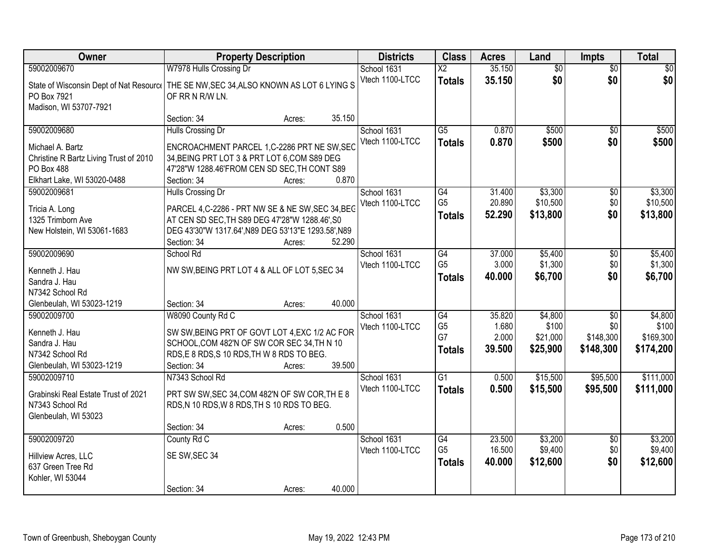| Owner                                                                                   | <b>Property Description</b>                                                               |                  | <b>Districts</b>               | <b>Class</b>             | <b>Acres</b> | Land            | <b>Impts</b>           | <b>Total</b>    |
|-----------------------------------------------------------------------------------------|-------------------------------------------------------------------------------------------|------------------|--------------------------------|--------------------------|--------------|-----------------|------------------------|-----------------|
| 59002009670                                                                             | W7978 Hulls Crossing Dr                                                                   |                  | School 1631                    | $\overline{\mathsf{x2}}$ | 35.150       | $\overline{30}$ | $\overline{50}$        | $\overline{30}$ |
| State of Wisconsin Dept of Nat Resourc   THE SE NW, SEC 34, ALSO KNOWN AS LOT 6 LYING S |                                                                                           |                  | Vtech 1100-LTCC                | <b>Totals</b>            | 35.150       | \$0             | \$0                    | \$0             |
| PO Box 7921                                                                             | OF RR N R/W LN.                                                                           |                  |                                |                          |              |                 |                        |                 |
| Madison, WI 53707-7921                                                                  |                                                                                           |                  |                                |                          |              |                 |                        |                 |
|                                                                                         | Section: 34                                                                               | 35.150<br>Acres: |                                |                          |              |                 |                        |                 |
| 59002009680                                                                             | Hulls Crossing Dr                                                                         |                  | School 1631                    | $\overline{G5}$          | 0.870        | \$500           | $\overline{50}$        | \$500           |
| Michael A. Bartz                                                                        | ENCROACHMENT PARCEL 1,C-2286 PRT NE SW, SEC                                               |                  | Vtech 1100-LTCC                | <b>Totals</b>            | 0.870        | \$500           | \$0                    | \$500           |
| Christine R Bartz Living Trust of 2010                                                  | 34, BEING PRT LOT 3 & PRT LOT 6, COM S89 DEG                                              |                  |                                |                          |              |                 |                        |                 |
| <b>PO Box 488</b>                                                                       | 47'28"W 1288.46'FROM CEN SD SEC, TH CONT S89                                              |                  |                                |                          |              |                 |                        |                 |
| Elkhart Lake, WI 53020-0488                                                             | Section: 34                                                                               | 0.870<br>Acres:  |                                |                          |              |                 |                        |                 |
| 59002009681                                                                             | Hulls Crossing Dr                                                                         |                  | School 1631                    | G4                       | 31.400       | \$3,300         | $\sqrt[6]{30}$         | \$3,300         |
| Tricia A. Long                                                                          | PARCEL 4, C-2286 - PRT NW SE & NE SW, SEC 34, BEG                                         |                  | Vtech 1100-LTCC                | G <sub>5</sub>           | 20.890       | \$10,500        | \$0                    | \$10,500        |
| 1325 Trimborn Ave                                                                       | AT CEN SD SEC, TH S89 DEG 47'28"W 1288.46', S0                                            |                  |                                | <b>Totals</b>            | 52.290       | \$13,800        | \$0                    | \$13,800        |
| New Holstein, WI 53061-1683                                                             | DEG 43'30"W 1317.64', N89 DEG 53'13"E 1293.58', N89                                       |                  |                                |                          |              |                 |                        |                 |
|                                                                                         | Section: 34                                                                               | 52.290<br>Acres: |                                |                          |              |                 |                        |                 |
| 59002009690                                                                             | School Rd                                                                                 |                  | School 1631                    | G4                       | 37.000       | \$5,400         | \$0                    | \$5,400         |
|                                                                                         | NW SW, BEING PRT LOT 4 & ALL OF LOT 5, SEC 34                                             |                  | Vtech 1100-LTCC                | G <sub>5</sub>           | 3.000        | \$1,300         | \$0                    | \$1,300         |
| Kenneth J. Hau<br>Sandra J. Hau                                                         |                                                                                           |                  |                                | <b>Totals</b>            | 40.000       | \$6,700         | \$0                    | \$6,700         |
| N7342 School Rd                                                                         |                                                                                           |                  |                                |                          |              |                 |                        |                 |
| Glenbeulah, WI 53023-1219                                                               | Section: 34                                                                               | 40.000<br>Acres: |                                |                          |              |                 |                        |                 |
| 59002009700                                                                             | W8090 County Rd C                                                                         |                  | School 1631                    | G4                       | 35.820       | \$4,800         | $\overline{30}$        | \$4,800         |
|                                                                                         |                                                                                           |                  | Vtech 1100-LTCC                | G <sub>5</sub>           | 1.680        | \$100           | \$0                    | \$100           |
| Kenneth J. Hau                                                                          | SW SW, BEING PRT OF GOVT LOT 4, EXC 1/2 AC FOR                                            |                  |                                | G7                       | 2.000        | \$21,000        | \$148,300              | \$169,300       |
| Sandra J. Hau<br>N7342 School Rd                                                        | SCHOOL, COM 482'N OF SW COR SEC 34, TH N 10<br>RDS, E 8 RDS, S 10 RDS, TH W 8 RDS TO BEG. |                  |                                | <b>Totals</b>            | 39.500       | \$25,900        | \$148,300              | \$174,200       |
| Glenbeulah, WI 53023-1219                                                               | Section: 34                                                                               | 39.500<br>Acres: |                                |                          |              |                 |                        |                 |
| 59002009710                                                                             | N7343 School Rd                                                                           |                  | School 1631                    | $\overline{G1}$          | 0.500        | \$15,500        | \$95,500               | \$111,000       |
|                                                                                         |                                                                                           |                  | Vtech 1100-LTCC                | <b>Totals</b>            | 0.500        | \$15,500        | \$95,500               | \$111,000       |
| Grabinski Real Estate Trust of 2021                                                     | PRT SW SW, SEC 34, COM 482'N OF SW COR, THE 8                                             |                  |                                |                          |              |                 |                        |                 |
| N7343 School Rd                                                                         | RDS, N 10 RDS, W 8 RDS, TH S 10 RDS TO BEG.                                               |                  |                                |                          |              |                 |                        |                 |
| Glenbeulah, WI 53023                                                                    |                                                                                           |                  |                                |                          |              |                 |                        |                 |
| 59002009720                                                                             | Section: 34                                                                               | 0.500<br>Acres:  |                                | G4                       | 23.500       | \$3,200         |                        | \$3,200         |
|                                                                                         | County Rd C                                                                               |                  | School 1631<br>Vtech 1100-LTCC | G <sub>5</sub>           | 16.500       | \$9,400         | $\overline{50}$<br>\$0 | \$9,400         |
| Hillview Acres, LLC                                                                     | SE SW, SEC 34                                                                             |                  |                                | <b>Totals</b>            | 40.000       | \$12,600        | \$0                    | \$12,600        |
| 637 Green Tree Rd                                                                       |                                                                                           |                  |                                |                          |              |                 |                        |                 |
| Kohler, WI 53044                                                                        |                                                                                           |                  |                                |                          |              |                 |                        |                 |
|                                                                                         | Section: 34                                                                               | 40.000<br>Acres: |                                |                          |              |                 |                        |                 |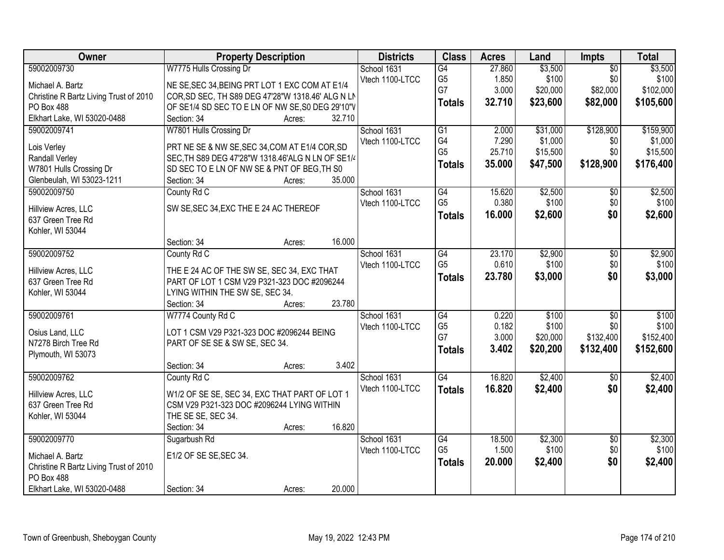| Owner                                  | <b>Property Description</b>                       | <b>Districts</b> | <b>Class</b>                      | <b>Acres</b>    | Land             | Impts                  | <b>Total</b>     |
|----------------------------------------|---------------------------------------------------|------------------|-----------------------------------|-----------------|------------------|------------------------|------------------|
| 59002009730                            | W7775 Hulls Crossing Dr                           | School 1631      | G4                                | 27.860          | \$3,500          | $\overline{50}$        | \$3,500          |
| Michael A. Bartz                       | NE SE, SEC 34, BEING PRT LOT 1 EXC COM AT E1/4    | Vtech 1100-LTCC  | G <sub>5</sub>                    | 1.850           | \$100            | \$0                    | \$100            |
| Christine R Bartz Living Trust of 2010 | COR, SD SEC, TH S89 DEG 47'28"W 1318.46' ALG N LN |                  | G7                                | 3.000           | \$20,000         | \$82,000               | \$102,000        |
| PO Box 488                             | OF SE1/4 SD SEC TO E LN OF NW SE, S0 DEG 29'10"V  |                  | <b>Totals</b>                     | 32.710          | \$23,600         | \$82,000               | \$105,600        |
| Elkhart Lake, WI 53020-0488            | 32.710<br>Section: 34<br>Acres:                   |                  |                                   |                 |                  |                        |                  |
| 59002009741                            | W7801 Hulls Crossing Dr                           | School 1631      | $\overline{G1}$                   | 2.000           | \$31,000         | \$128,900              | \$159,900        |
|                                        |                                                   | Vtech 1100-LTCC  | G4                                | 7.290           | \$1,000          | \$0                    | \$1,000          |
| Lois Verley                            | PRT NE SE & NW SE, SEC 34, COM AT E1/4 COR, SD    |                  | G <sub>5</sub>                    | 25.710          | \$15,500         | \$0                    | \$15,500         |
| <b>Randall Verley</b>                  | SEC, TH S89 DEG 47'28"W 1318.46'ALG N LN OF SE1/4 |                  | <b>Totals</b>                     | 35.000          | \$47,500         | \$128,900              | \$176,400        |
| W7801 Hulls Crossing Dr                | SD SEC TO E LN OF NW SE & PNT OF BEG, TH S0       |                  |                                   |                 |                  |                        |                  |
| Glenbeulah, WI 53023-1211              | 35.000<br>Section: 34<br>Acres:                   |                  |                                   |                 |                  |                        |                  |
| 59002009750                            | County Rd C                                       | School 1631      | $\overline{G4}$                   | 15.620          | \$2,500          | $\overline{50}$        | \$2,500          |
| Hillview Acres, LLC                    | SW SE, SEC 34, EXC THE E 24 AC THEREOF            | Vtech 1100-LTCC  | G <sub>5</sub>                    | 0.380           | \$100            | \$0                    | \$100            |
| 637 Green Tree Rd                      |                                                   |                  | <b>Totals</b>                     | 16.000          | \$2,600          | \$0                    | \$2,600          |
| Kohler, WI 53044                       |                                                   |                  |                                   |                 |                  |                        |                  |
|                                        | 16.000<br>Section: 34<br>Acres:                   |                  |                                   |                 |                  |                        |                  |
| 59002009752                            | County Rd C                                       | School 1631      | $\overline{G4}$                   | 23.170          | \$2,900          | $\overline{50}$        | \$2,900          |
|                                        |                                                   | Vtech 1100-LTCC  | G <sub>5</sub>                    | 0.610           | \$100            | \$0                    | \$100            |
| Hillview Acres, LLC                    | THE E 24 AC OF THE SW SE, SEC 34, EXC THAT        |                  | <b>Totals</b>                     | 23.780          | \$3,000          | \$0                    | \$3,000          |
| 637 Green Tree Rd                      | PART OF LOT 1 CSM V29 P321-323 DOC #2096244       |                  |                                   |                 |                  |                        |                  |
| Kohler, WI 53044                       | LYING WITHIN THE SW SE, SEC 34.                   |                  |                                   |                 |                  |                        |                  |
|                                        | 23.780<br>Section: 34<br>Acres:                   |                  |                                   |                 |                  |                        |                  |
| 59002009761                            | W7774 County Rd C                                 | School 1631      | $\overline{G4}$                   | 0.220           | \$100            | $\overline{50}$        | \$100            |
| Osius Land, LLC                        | LOT 1 CSM V29 P321-323 DOC #2096244 BEING         | Vtech 1100-LTCC  | G <sub>5</sub>                    | 0.182           | \$100            | \$0                    | \$100            |
| N7278 Birch Tree Rd                    | PART OF SE SE & SW SE, SEC 34.                    |                  | G7                                | 3.000           | \$20,000         | \$132,400              | \$152,400        |
| Plymouth, WI 53073                     |                                                   |                  | <b>Totals</b>                     | 3.402           | \$20,200         | \$132,400              | \$152,600        |
|                                        | 3.402<br>Section: 34<br>Acres:                    |                  |                                   |                 |                  |                        |                  |
| 59002009762                            | County Rd C                                       | School 1631      | $\overline{G4}$                   | 16.820          | \$2,400          | $\overline{50}$        | \$2,400          |
|                                        |                                                   | Vtech 1100-LTCC  | <b>Totals</b>                     | 16.820          | \$2,400          | \$0                    | \$2,400          |
| Hillview Acres, LLC                    | W1/2 OF SE SE, SEC 34, EXC THAT PART OF LOT 1     |                  |                                   |                 |                  |                        |                  |
| 637 Green Tree Rd                      | CSM V29 P321-323 DOC #2096244 LYING WITHIN        |                  |                                   |                 |                  |                        |                  |
| Kohler, WI 53044                       | THE SE SE, SEC 34.                                |                  |                                   |                 |                  |                        |                  |
|                                        | 16.820<br>Section: 34<br>Acres:                   |                  |                                   |                 |                  |                        |                  |
| 59002009770                            | Sugarbush Rd                                      | School 1631      | $\overline{G4}$<br>G <sub>5</sub> | 18.500<br>1.500 | \$2,300<br>\$100 | $\overline{50}$<br>\$0 | \$2,300<br>\$100 |
| Michael A. Bartz                       | E1/2 OF SE SE, SEC 34.                            | Vtech 1100-LTCC  |                                   |                 |                  |                        |                  |
| Christine R Bartz Living Trust of 2010 |                                                   |                  | <b>Totals</b>                     | 20.000          | \$2,400          | \$0                    | \$2,400          |
| PO Box 488                             |                                                   |                  |                                   |                 |                  |                        |                  |
| Elkhart Lake, WI 53020-0488            | 20.000<br>Section: 34<br>Acres:                   |                  |                                   |                 |                  |                        |                  |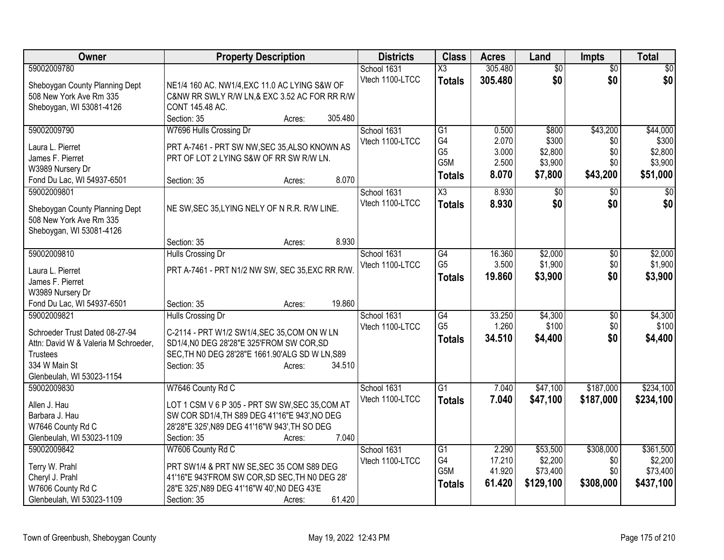| Owner                                                                                                                                                  | <b>Property Description</b>                                                                                                                                                                              | <b>Districts</b>               | <b>Class</b>                                                   | <b>Acres</b>                              | Land                                            | <b>Impts</b>                              | <b>Total</b>                                        |
|--------------------------------------------------------------------------------------------------------------------------------------------------------|----------------------------------------------------------------------------------------------------------------------------------------------------------------------------------------------------------|--------------------------------|----------------------------------------------------------------|-------------------------------------------|-------------------------------------------------|-------------------------------------------|-----------------------------------------------------|
| 59002009780<br>Sheboygan County Planning Dept<br>508 New York Ave Rm 335<br>Sheboygan, WI 53081-4126                                                   | NE1/4 160 AC. NW1/4, EXC 11.0 AC LYING S&W OF<br>C&NW RR SWLY R/W LN,& EXC 3.52 AC FOR RR R/W<br>CONT 145.48 AC.<br>305.480<br>Section: 35<br>Acres:                                                     | School 1631<br>Vtech 1100-LTCC | $\overline{\text{X3}}$<br><b>Totals</b>                        | 305.480<br>305.480                        | $\overline{50}$<br>\$0                          | $\overline{50}$<br>\$0                    | $\sqrt{50}$<br>\$0                                  |
| 59002009790<br>Laura L. Pierret<br>James F. Pierret<br>W3989 Nursery Dr<br>Fond Du Lac, WI 54937-6501                                                  | W7696 Hulls Crossing Dr<br>PRT A-7461 - PRT SW NW, SEC 35, ALSO KNOWN AS<br>PRT OF LOT 2 LYING S&W OF RR SW R/W LN.<br>8.070<br>Section: 35<br>Acres:                                                    | School 1631<br>Vtech 1100-LTCC | G1<br>G <sub>4</sub><br>G <sub>5</sub><br>G5M<br><b>Totals</b> | 0.500<br>2.070<br>3.000<br>2.500<br>8.070 | \$800<br>\$300<br>\$2,800<br>\$3,900<br>\$7,800 | \$43,200<br>\$0<br>\$0<br>\$0<br>\$43,200 | \$44,000<br>\$300<br>\$2,800<br>\$3,900<br>\$51,000 |
| 59002009801<br>Sheboygan County Planning Dept<br>508 New York Ave Rm 335<br>Sheboygan, WI 53081-4126                                                   | NE SW, SEC 35, LYING NELY OF N R.R. R/W LINE.<br>8.930<br>Section: 35<br>Acres:                                                                                                                          | School 1631<br>Vtech 1100-LTCC | $\overline{\text{X3}}$<br><b>Totals</b>                        | 8.930<br>8.930                            | \$0<br>\$0                                      | $\sqrt{6}$<br>\$0                         | $\sqrt{50}$<br>\$0                                  |
| 59002009810<br>Laura L. Pierret<br>James F. Pierret<br>W3989 Nursery Dr<br>Fond Du Lac, WI 54937-6501                                                  | Hulls Crossing Dr<br>PRT A-7461 - PRT N1/2 NW SW, SEC 35, EXC RR R/W.<br>19.860<br>Section: 35<br>Acres:                                                                                                 | School 1631<br>Vtech 1100-LTCC | G4<br>G <sub>5</sub><br><b>Totals</b>                          | 16.360<br>3.500<br>19.860                 | \$2,000<br>\$1,900<br>\$3,900                   | \$0<br>\$0<br>\$0                         | \$2,000<br>\$1,900<br>\$3,900                       |
| 59002009821<br>Schroeder Trust Dated 08-27-94<br>Attn: David W & Valeria M Schroeder,<br><b>Trustees</b><br>334 W Main St<br>Glenbeulah, WI 53023-1154 | Hulls Crossing Dr<br>C-2114 - PRT W1/2 SW1/4, SEC 35, COM ON W LN<br>SD1/4, N0 DEG 28'28"E 325'FROM SW COR, SD<br>SEC, TH NO DEG 28'28"E 1661.90'ALG SD W LN, S89<br>Section: 35<br>34.510<br>Acres:     | School 1631<br>Vtech 1100-LTCC | $\overline{G4}$<br>G <sub>5</sub><br><b>Totals</b>             | 33.250<br>1.260<br>34.510                 | \$4,300<br>\$100<br>\$4,400                     | \$0<br>\$0<br>\$0                         | \$4,300<br>\$100<br>\$4,400                         |
| 59002009830<br>Allen J. Hau<br>Barbara J. Hau<br>W7646 County Rd C<br>Glenbeulah, WI 53023-1109                                                        | W7646 County Rd C<br>LOT 1 CSM V 6 P 305 - PRT SW SW, SEC 35, COM AT<br>SW COR SD1/4, TH S89 DEG 41'16"E 943', NO DEG<br>28'28"E 325', N89 DEG 41'16"W 943', TH SO DEG<br>7.040<br>Section: 35<br>Acres: | School 1631<br>Vtech 1100-LTCC | G1<br><b>Totals</b>                                            | 7.040<br>7.040                            | \$47,100<br>\$47,100                            | \$187,000<br>\$187,000                    | \$234,100<br>\$234,100                              |
| 59002009842<br>Terry W. Prahl<br>Cheryl J. Prahl<br>W7606 County Rd C<br>Glenbeulah, WI 53023-1109                                                     | W7606 County Rd C<br>PRT SW1/4 & PRT NW SE, SEC 35 COM S89 DEG<br>41'16"E 943'FROM SW COR, SD SEC, TH NO DEG 28'<br>28"E 325', N89 DEG 41'16"W 40', N0 DEG 43'E<br>61.420<br>Section: 35<br>Acres:       | School 1631<br>Vtech 1100-LTCC | G1<br>G4<br>G5M<br><b>Totals</b>                               | 2.290<br>17.210<br>41.920<br>61.420       | \$53,500<br>\$2,200<br>\$73,400<br>\$129,100    | \$308,000<br>\$0<br>\$0<br>\$308,000      | \$361,500<br>\$2,200<br>\$73,400<br>\$437,100       |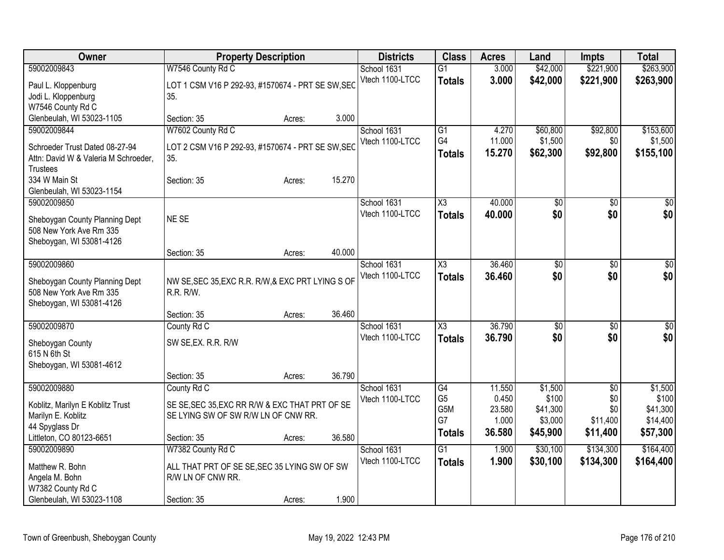| Owner                                                                  | <b>Property Description</b>                              |        |        | <b>Districts</b> | <b>Class</b>        | <b>Acres</b> | Land            | <b>Impts</b>    | <b>Total</b>    |
|------------------------------------------------------------------------|----------------------------------------------------------|--------|--------|------------------|---------------------|--------------|-----------------|-----------------|-----------------|
| 59002009843                                                            | W7546 County Rd C                                        |        |        | School 1631      | $\overline{G1}$     | 3.000        | \$42,000        | \$221,900       | \$263,900       |
| Paul L. Kloppenburg                                                    | LOT 1 CSM V16 P 292-93, #1570674 - PRT SE SW, SEC        |        |        | Vtech 1100-LTCC  | <b>Totals</b>       | 3.000        | \$42,000        | \$221,900       | \$263,900       |
| Jodi L. Kloppenburg                                                    | 35.                                                      |        |        |                  |                     |              |                 |                 |                 |
| W7546 County Rd C                                                      |                                                          |        |        |                  |                     |              |                 |                 |                 |
| Glenbeulah, WI 53023-1105                                              | Section: 35                                              | Acres: | 3.000  |                  |                     |              |                 |                 |                 |
| 59002009844                                                            | W7602 County Rd C                                        |        |        | School 1631      | G1                  | 4.270        | \$60,800        | \$92,800        | \$153,600       |
|                                                                        |                                                          |        |        | Vtech 1100-LTCC  | G4                  | 11.000       | \$1,500         | \$0             | \$1,500         |
| Schroeder Trust Dated 08-27-94<br>Attn: David W & Valeria M Schroeder, | LOT 2 CSM V16 P 292-93, #1570674 - PRT SE SW, SEC<br>35. |        |        |                  | <b>Totals</b>       | 15.270       | \$62,300        | \$92,800        | \$155,100       |
| <b>Trustees</b>                                                        |                                                          |        |        |                  |                     |              |                 |                 |                 |
| 334 W Main St                                                          | Section: 35                                              | Acres: | 15.270 |                  |                     |              |                 |                 |                 |
| Glenbeulah, WI 53023-1154                                              |                                                          |        |        |                  |                     |              |                 |                 |                 |
| 59002009850                                                            |                                                          |        |        | School 1631      | X3                  | 40.000       | $\overline{50}$ | \$0             | $\sqrt{50}$     |
|                                                                        |                                                          |        |        | Vtech 1100-LTCC  | <b>Totals</b>       | 40.000       | \$0             | \$0             | \$0             |
| Sheboygan County Planning Dept                                         | NE SE                                                    |        |        |                  |                     |              |                 |                 |                 |
| 508 New York Ave Rm 335                                                |                                                          |        |        |                  |                     |              |                 |                 |                 |
| Sheboygan, WI 53081-4126                                               |                                                          |        |        |                  |                     |              |                 |                 |                 |
|                                                                        | Section: 35                                              | Acres: | 40.000 |                  |                     |              |                 |                 |                 |
| 59002009860                                                            |                                                          |        |        | School 1631      | $\overline{\chi_3}$ | 36.460       | \$0             | \$0             | $\sqrt{50}$     |
| Sheboygan County Planning Dept                                         | NW SE, SEC 35, EXC R.R. R/W, & EXC PRT LYING S OF        |        |        | Vtech 1100-LTCC  | <b>Totals</b>       | 36,460       | \$0             | \$0             | \$0             |
| 508 New York Ave Rm 335                                                | R.R. R/W.                                                |        |        |                  |                     |              |                 |                 |                 |
| Sheboygan, WI 53081-4126                                               |                                                          |        |        |                  |                     |              |                 |                 |                 |
|                                                                        | Section: 35                                              | Acres: | 36.460 |                  |                     |              |                 |                 |                 |
| 59002009870                                                            | County Rd C                                              |        |        | School 1631      | X3                  | 36.790       | \$0             | \$0             | $\overline{50}$ |
| Sheboygan County                                                       | SW SE, EX. R.R. R/W                                      |        |        | Vtech 1100-LTCC  | <b>Totals</b>       | 36.790       | \$0             | \$0             | \$0             |
| 615 N 6th St                                                           |                                                          |        |        |                  |                     |              |                 |                 |                 |
| Sheboygan, WI 53081-4612                                               |                                                          |        |        |                  |                     |              |                 |                 |                 |
|                                                                        | Section: 35                                              | Acres: | 36.790 |                  |                     |              |                 |                 |                 |
| 59002009880                                                            | County Rd C                                              |        |        | School 1631      | $\overline{G4}$     | 11.550       | \$1,500         | $\overline{50}$ | \$1,500         |
|                                                                        |                                                          |        |        | Vtech 1100-LTCC  | G <sub>5</sub>      | 0.450        | \$100           | \$0             | \$100           |
| Koblitz, Marilyn E Koblitz Trust                                       | SE SE, SEC 35, EXC RR R/W & EXC THAT PRT OF SE           |        |        |                  | G5M                 | 23.580       | \$41,300        | \$0             | \$41,300        |
| Marilyn E. Koblitz<br>44 Spyglass Dr                                   | SE LYING SW OF SW R/W LN OF CNW RR.                      |        |        |                  | G7                  | 1.000        | \$3,000         | \$11,400        | \$14,400        |
| Littleton, CO 80123-6651                                               | Section: 35                                              | Acres: | 36.580 |                  | <b>Totals</b>       | 36.580       | \$45,900        | \$11,400        | \$57,300        |
| 59002009890                                                            | W7382 County Rd C                                        |        |        | School 1631      | $\overline{G1}$     | 1.900        | \$30,100        | \$134,300       | \$164,400       |
|                                                                        |                                                          |        |        | Vtech 1100-LTCC  | <b>Totals</b>       | 1.900        | \$30,100        | \$134,300       | \$164,400       |
| Matthew R. Bohn                                                        | ALL THAT PRT OF SE SE, SEC 35 LYING SW OF SW             |        |        |                  |                     |              |                 |                 |                 |
| Angela M. Bohn                                                         | R/W LN OF CNW RR.                                        |        |        |                  |                     |              |                 |                 |                 |
| W7382 County Rd C                                                      |                                                          |        |        |                  |                     |              |                 |                 |                 |
| Glenbeulah, WI 53023-1108                                              | Section: 35                                              | Acres: | 1.900  |                  |                     |              |                 |                 |                 |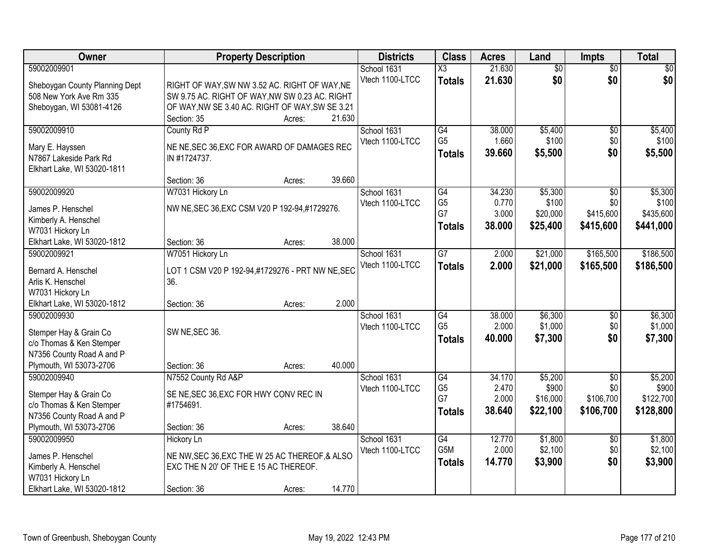| Owner                          | <b>Property Description</b>                                                             | <b>Districts</b> | <b>Class</b>    | <b>Acres</b> | Land            | <b>Impts</b>    | <b>Total</b> |
|--------------------------------|-----------------------------------------------------------------------------------------|------------------|-----------------|--------------|-----------------|-----------------|--------------|
| 59002009901                    |                                                                                         | School 1631      | X3              | 21.630       | $\overline{50}$ | $\overline{50}$ | \$0          |
| Sheboygan County Planning Dept | RIGHT OF WAY, SW NW 3.52 AC. RIGHT OF WAY, NE                                           | Vtech 1100-LTCC  | <b>Totals</b>   | 21.630       | \$0             | \$0             | \$0          |
| 508 New York Ave Rm 335        | SW 9.75 AC. RIGHT OF WAY, NW SW 0.23 AC. RIGHT                                          |                  |                 |              |                 |                 |              |
| Sheboygan, WI 53081-4126       | OF WAY, NW SE 3.40 AC. RIGHT OF WAY, SW SE 3.21                                         |                  |                 |              |                 |                 |              |
|                                | 21.630<br>Section: 35<br>Acres:                                                         |                  |                 |              |                 |                 |              |
| 59002009910                    | County Rd P                                                                             | School 1631      | G4              | 38,000       | \$5,400         | \$0             | \$5,400      |
| Mary E. Hayssen                | NE NE, SEC 36, EXC FOR AWARD OF DAMAGES REC                                             | Vtech 1100-LTCC  | G <sub>5</sub>  | 1.660        | \$100           | \$0             | \$100        |
| N7867 Lakeside Park Rd         | IN #1724737.                                                                            |                  | <b>Totals</b>   | 39.660       | \$5,500         | \$0             | \$5,500      |
| Elkhart Lake, WI 53020-1811    |                                                                                         |                  |                 |              |                 |                 |              |
|                                | 39.660<br>Section: 36<br>Acres:                                                         |                  |                 |              |                 |                 |              |
| 59002009920                    | W7031 Hickory Ln                                                                        | School 1631      | G4              | 34.230       | \$5,300         | \$0             | \$5,300      |
| James P. Henschel              | NW NE, SEC 36, EXC CSM V20 P 192-94, #1729276.                                          | Vtech 1100-LTCC  | G <sub>5</sub>  | 0.770        | \$100           | \$0             | \$100        |
| Kimberly A. Henschel           |                                                                                         |                  | G7              | 3.000        | \$20,000        | \$415,600       | \$435,600    |
| W7031 Hickory Ln               |                                                                                         |                  | <b>Totals</b>   | 38.000       | \$25,400        | \$415,600       | \$441,000    |
| Elkhart Lake, WI 53020-1812    | 38.000<br>Section: 36<br>Acres:                                                         |                  |                 |              |                 |                 |              |
| 59002009921                    | W7051 Hickory Ln                                                                        | School 1631      | $\overline{G}$  | 2.000        | \$21,000        | \$165,500       | \$186,500    |
| Bernard A. Henschel            | LOT 1 CSM V20 P 192-94,#1729276 - PRT NW NE, SEC                                        | Vtech 1100-LTCC  | <b>Totals</b>   | 2.000        | \$21,000        | \$165,500       | \$186,500    |
| Arlis K. Henschel              | 36.                                                                                     |                  |                 |              |                 |                 |              |
| W7031 Hickory Ln               |                                                                                         |                  |                 |              |                 |                 |              |
| Elkhart Lake, WI 53020-1812    | 2.000<br>Section: 36<br>Acres:                                                          |                  |                 |              |                 |                 |              |
| 59002009930                    |                                                                                         | School 1631      | $\overline{G4}$ | 38.000       | \$6,300         | \$0             | \$6,300      |
| Stemper Hay & Grain Co         | SW NE, SEC 36.                                                                          | Vtech 1100-LTCC  | G <sub>5</sub>  | 2.000        | \$1,000         | \$0             | \$1,000      |
| c/o Thomas & Ken Stemper       |                                                                                         |                  | <b>Totals</b>   | 40,000       | \$7,300         | \$0             | \$7,300      |
| N7356 County Road A and P      |                                                                                         |                  |                 |              |                 |                 |              |
| Plymouth, WI 53073-2706        | 40.000<br>Section: 36<br>Acres:                                                         |                  |                 |              |                 |                 |              |
| 59002009940                    | N7552 County Rd A&P                                                                     | School 1631      | G4              | 34.170       | \$5,200         | $\overline{50}$ | \$5,200      |
| Stemper Hay & Grain Co         | SE NE, SEC 36, EXC FOR HWY CONV REC IN                                                  | Vtech 1100-LTCC  | G <sub>5</sub>  | 2.470        | \$900           | \$0             | \$900        |
| c/o Thomas & Ken Stemper       | #1754691.                                                                               |                  | G7              | 2.000        | \$16,000        | \$106,700       | \$122,700    |
| N7356 County Road A and P      |                                                                                         |                  | Totals          | 38,640       | \$22,100        | \$106,700       | \$128,800    |
| Plymouth, WI 53073-2706        | 38.640<br>Section: 36<br>Acres:                                                         |                  |                 |              |                 |                 |              |
| 59002009950                    | <b>Hickory Ln</b>                                                                       | School 1631      | G4              | 12.770       | \$1,800         | $\overline{50}$ | \$1,800      |
| James P. Henschel              |                                                                                         | Vtech 1100-LTCC  | G5M             | 2.000        | \$2,100         | \$0             | \$2,100      |
| Kimberly A. Henschel           | NE NW, SEC 36, EXC THE W 25 AC THEREOF, & ALSO<br>EXC THE N 20' OF THE E 15 AC THEREOF. |                  | <b>Totals</b>   | 14.770       | \$3,900         | \$0             | \$3,900      |
| W7031 Hickory Ln               |                                                                                         |                  |                 |              |                 |                 |              |
| Elkhart Lake, WI 53020-1812    | 14.770<br>Section: 36<br>Acres:                                                         |                  |                 |              |                 |                 |              |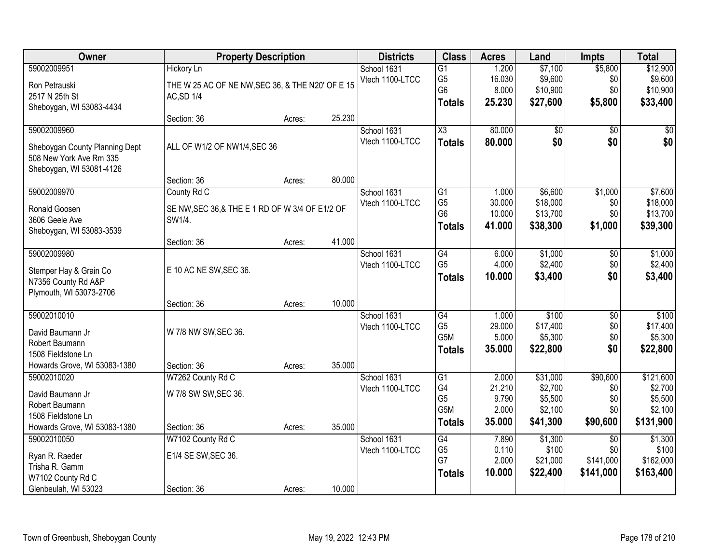| Owner                          |                                                  | <b>Property Description</b> |        | <b>Districts</b> | <b>Class</b>           | <b>Acres</b> | Land     | <b>Impts</b>    | <b>Total</b> |
|--------------------------------|--------------------------------------------------|-----------------------------|--------|------------------|------------------------|--------------|----------|-----------------|--------------|
| 59002009951                    | <b>Hickory Ln</b>                                |                             |        | School 1631      | $\overline{G1}$        | 1.200        | \$7,100  | \$5,800         | \$12,900     |
| Ron Petrauski                  | THE W 25 AC OF NE NW, SEC 36, & THE N20' OF E 15 |                             |        | Vtech 1100-LTCC  | G <sub>5</sub>         | 16.030       | \$9,600  | \$0             | \$9,600      |
| 2517 N 25th St                 | <b>AC, SD 1/4</b>                                |                             |        |                  | G <sub>6</sub>         | 8.000        | \$10,900 | \$0             | \$10,900     |
| Sheboygan, WI 53083-4434       |                                                  |                             |        |                  | <b>Totals</b>          | 25.230       | \$27,600 | \$5,800         | \$33,400     |
|                                | Section: 36                                      | Acres:                      | 25.230 |                  |                        |              |          |                 |              |
| 59002009960                    |                                                  |                             |        | School 1631      | $\overline{\text{X3}}$ | 80.000       | \$0      | $\overline{50}$ | \$0          |
| Sheboygan County Planning Dept | ALL OF W1/2 OF NW1/4, SEC 36                     |                             |        | Vtech 1100-LTCC  | <b>Totals</b>          | 80.000       | \$0      | \$0             | \$0          |
| 508 New York Ave Rm 335        |                                                  |                             |        |                  |                        |              |          |                 |              |
| Sheboygan, WI 53081-4126       |                                                  |                             |        |                  |                        |              |          |                 |              |
|                                | Section: 36                                      | Acres:                      | 80.000 |                  |                        |              |          |                 |              |
| 59002009970                    | County Rd C                                      |                             |        | School 1631      | G1                     | 1.000        | \$6,600  | \$1,000         | \$7,600      |
| Ronald Goosen                  | SE NW, SEC 36, & THE E 1 RD OF W 3/4 OF E1/2 OF  |                             |        | Vtech 1100-LTCC  | G <sub>5</sub>         | 30.000       | \$18,000 | \$0             | \$18,000     |
| 3606 Geele Ave                 | SW1/4.                                           |                             |        |                  | G <sub>6</sub>         | 10.000       | \$13,700 | \$0             | \$13,700     |
| Sheboygan, WI 53083-3539       |                                                  |                             |        |                  | <b>Totals</b>          | 41.000       | \$38,300 | \$1,000         | \$39,300     |
|                                | Section: 36                                      | Acres:                      | 41.000 |                  |                        |              |          |                 |              |
| 59002009980                    |                                                  |                             |        | School 1631      | $\overline{G4}$        | 6.000        | \$1,000  | \$0             | \$1,000      |
| Stemper Hay & Grain Co         | E 10 AC NE SW, SEC 36.                           |                             |        | Vtech 1100-LTCC  | G <sub>5</sub>         | 4.000        | \$2,400  | \$0             | \$2,400      |
| N7356 County Rd A&P            |                                                  |                             |        |                  | <b>Totals</b>          | 10.000       | \$3,400  | \$0             | \$3,400      |
| Plymouth, WI 53073-2706        |                                                  |                             |        |                  |                        |              |          |                 |              |
|                                | Section: 36                                      | Acres:                      | 10.000 |                  |                        |              |          |                 |              |
| 59002010010                    |                                                  |                             |        | School 1631      | $\overline{G4}$        | 1.000        | \$100    | $\overline{50}$ | \$100        |
| David Baumann Jr               | W 7/8 NW SW, SEC 36.                             |                             |        | Vtech 1100-LTCC  | G <sub>5</sub>         | 29.000       | \$17,400 | \$0             | \$17,400     |
| Robert Baumann                 |                                                  |                             |        |                  | G5M                    | 5.000        | \$5,300  | \$0             | \$5,300      |
| 1508 Fieldstone Ln             |                                                  |                             |        |                  | <b>Totals</b>          | 35.000       | \$22,800 | \$0             | \$22,800     |
| Howards Grove, WI 53083-1380   | Section: 36                                      | Acres:                      | 35.000 |                  |                        |              |          |                 |              |
| 59002010020                    | W7262 County Rd C                                |                             |        | School 1631      | $\overline{G1}$        | 2.000        | \$31,000 | \$90,600        | \$121,600    |
| David Baumann Jr               | W 7/8 SW SW, SEC 36.                             |                             |        | Vtech 1100-LTCC  | G4                     | 21.210       | \$2,700  | \$0             | \$2,700      |
| Robert Baumann                 |                                                  |                             |        |                  | G <sub>5</sub>         | 9.790        | \$5,500  | \$0             | \$5,500      |
| 1508 Fieldstone Ln             |                                                  |                             |        |                  | G <sub>5</sub> M       | 2.000        | \$2,100  | \$0             | \$2,100      |
| Howards Grove, WI 53083-1380   | Section: 36                                      | Acres:                      | 35.000 |                  | <b>Totals</b>          | 35.000       | \$41,300 | \$90,600        | \$131,900    |
| 59002010050                    | W7102 County Rd C                                |                             |        | School 1631      | G4                     | 7.890        | \$1,300  | $\overline{50}$ | \$1,300      |
| Ryan R. Raeder                 | E1/4 SE SW, SEC 36.                              |                             |        | Vtech 1100-LTCC  | G <sub>5</sub>         | 0.110        | \$100    | \$0             | \$100        |
| Trisha R. Gamm                 |                                                  |                             |        |                  | G7                     | 2.000        | \$21,000 | \$141,000       | \$162,000    |
| W7102 County Rd C              |                                                  |                             |        |                  | <b>Totals</b>          | 10.000       | \$22,400 | \$141,000       | \$163,400    |
| Glenbeulah, WI 53023           | Section: 36                                      | Acres:                      | 10.000 |                  |                        |              |          |                 |              |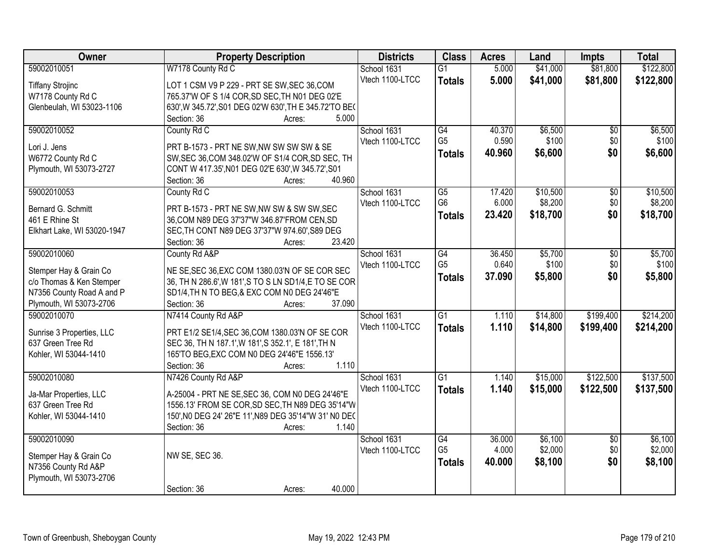| Owner                       | <b>Property Description</b>                            | <b>Districts</b> | <b>Class</b>    | <b>Acres</b> | Land     | <b>Impts</b>    | <b>Total</b> |
|-----------------------------|--------------------------------------------------------|------------------|-----------------|--------------|----------|-----------------|--------------|
| 59002010051                 | W7178 County Rd C                                      | School 1631      | $\overline{G1}$ | 5.000        | \$41,000 | \$81,800        | \$122,800    |
| <b>Tiffany Strojinc</b>     | LOT 1 CSM V9 P 229 - PRT SE SW, SEC 36, COM            | Vtech 1100-LTCC  | <b>Totals</b>   | 5.000        | \$41,000 | \$81,800        | \$122,800    |
| W7178 County Rd C           | 765.37'W OF S 1/4 COR, SD SEC, TH N01 DEG 02'E         |                  |                 |              |          |                 |              |
| Glenbeulah, WI 53023-1106   | 630', W 345.72', S01 DEG 02'W 630', TH E 345.72'TO BE( |                  |                 |              |          |                 |              |
|                             | 5.000<br>Section: 36<br>Acres:                         |                  |                 |              |          |                 |              |
| 59002010052                 | County Rd C                                            | School 1631      | G4              | 40.370       | \$6,500  | $\overline{50}$ | \$6,500      |
|                             |                                                        | Vtech 1100-LTCC  | G <sub>5</sub>  | 0.590        | \$100    | \$0             | \$100        |
| Lori J. Jens                | PRT B-1573 - PRT NE SW, NW SW SW SW & SE               |                  | <b>Totals</b>   | 40.960       | \$6,600  | \$0             | \$6,600      |
| W6772 County Rd C           | SW, SEC 36, COM 348.02'W OF S1/4 COR, SD SEC, TH       |                  |                 |              |          |                 |              |
| Plymouth, WI 53073-2727     | CONT W 417.35', N01 DEG 02'E 630', W 345.72', S01      |                  |                 |              |          |                 |              |
|                             | 40.960<br>Section: 36<br>Acres:                        |                  |                 |              |          |                 |              |
| 59002010053                 | County Rd C                                            | School 1631      | $\overline{G5}$ | 17.420       | \$10,500 | $\overline{50}$ | \$10,500     |
| Bernard G. Schmitt          | PRT B-1573 - PRT NE SW, NW SW & SW SW, SEC             | Vtech 1100-LTCC  | G <sub>6</sub>  | 6.000        | \$8,200  | \$0             | \$8,200      |
| 461 E Rhine St              | 36, COM N89 DEG 37'37"W 346.87'FROM CEN, SD            |                  | <b>Totals</b>   | 23.420       | \$18,700 | \$0             | \$18,700     |
| Elkhart Lake, WI 53020-1947 | SEC, TH CONT N89 DEG 37'37"W 974.60', S89 DEG          |                  |                 |              |          |                 |              |
|                             | 23.420<br>Section: 36<br>Acres:                        |                  |                 |              |          |                 |              |
| 59002010060                 | County Rd A&P                                          | School 1631      | $\overline{G4}$ | 36.450       | \$5,700  | $\overline{50}$ | \$5,700      |
| Stemper Hay & Grain Co      | NE SE, SEC 36, EXC COM 1380.03'N OF SE COR SEC         | Vtech 1100-LTCC  | G <sub>5</sub>  | 0.640        | \$100    | \$0             | \$100        |
| c/o Thomas & Ken Stemper    | 36, TH N 286.6', W 181', S TO S LN SD1/4, E TO SE COR  |                  | <b>Totals</b>   | 37.090       | \$5,800  | \$0             | \$5,800      |
| N7356 County Road A and P   | SD1/4, TH N TO BEG, & EXC COM N0 DEG 24'46"E           |                  |                 |              |          |                 |              |
| Plymouth, WI 53073-2706     | 37.090<br>Section: 36<br>Acres:                        |                  |                 |              |          |                 |              |
| 59002010070                 | N7414 County Rd A&P                                    | School 1631      | $\overline{G1}$ | 1.110        | \$14,800 | \$199,400       | \$214,200    |
|                             |                                                        | Vtech 1100-LTCC  | <b>Totals</b>   | 1.110        | \$14,800 | \$199,400       | \$214,200    |
| Sunrise 3 Properties, LLC   | PRT E1/2 SE1/4, SEC 36, COM 1380.03'N OF SE COR        |                  |                 |              |          |                 |              |
| 637 Green Tree Rd           | SEC 36, TH N 187.1', W 181', S 352.1', E 181', TH N    |                  |                 |              |          |                 |              |
| Kohler, WI 53044-1410       | 165'TO BEG, EXC COM N0 DEG 24'46"E 1556.13'            |                  |                 |              |          |                 |              |
|                             | Section: 36<br>1.110<br>Acres:                         |                  |                 |              |          |                 |              |
| 59002010080                 | N7426 County Rd A&P                                    | School 1631      | $\overline{G1}$ | 1.140        | \$15,000 | \$122,500       | \$137,500    |
| Ja-Mar Properties, LLC      | A-25004 - PRT NE SE, SEC 36, COM N0 DEG 24'46"E        | Vtech 1100-LTCC  | <b>Totals</b>   | 1.140        | \$15,000 | \$122,500       | \$137,500    |
| 637 Green Tree Rd           | 1556.13' FROM SE COR, SD SEC, TH N89 DEG 35'14"W       |                  |                 |              |          |                 |              |
| Kohler, WI 53044-1410       | 150', N0 DEG 24' 26"E 11', N89 DEG 35'14"W 31' N0 DEC  |                  |                 |              |          |                 |              |
|                             | Section: 36<br>1.140<br>Acres:                         |                  |                 |              |          |                 |              |
| 59002010090                 |                                                        | School 1631      | G4              | 36.000       | \$6,100  | $\overline{50}$ | \$6,100      |
|                             |                                                        | Vtech 1100-LTCC  | G <sub>5</sub>  | 4.000        | \$2,000  | \$0             | \$2,000      |
| Stemper Hay & Grain Co      | NW SE, SEC 36.                                         |                  | <b>Totals</b>   | 40.000       | \$8,100  | \$0             | \$8,100      |
| N7356 County Rd A&P         |                                                        |                  |                 |              |          |                 |              |
| Plymouth, WI 53073-2706     | 40.000<br>Section: 36                                  |                  |                 |              |          |                 |              |
|                             | Acres:                                                 |                  |                 |              |          |                 |              |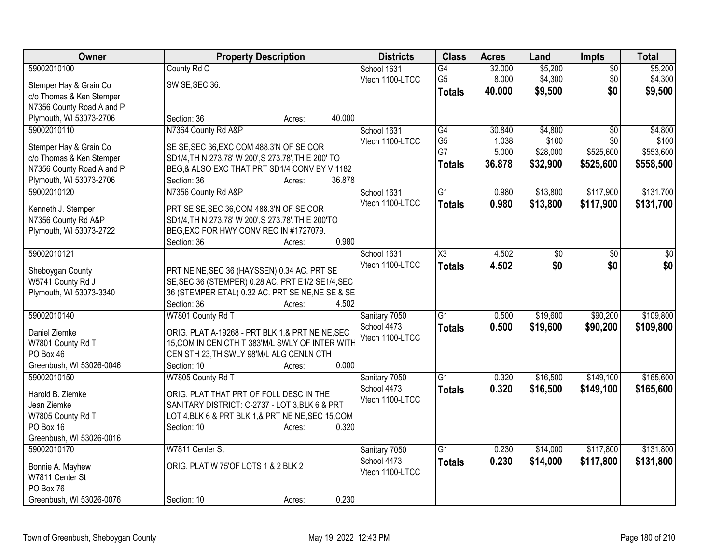| Owner                     | <b>Property Description</b>                           |                  | <b>Districts</b> | <b>Class</b>        | <b>Acres</b> | Land     | Impts           | <b>Total</b> |
|---------------------------|-------------------------------------------------------|------------------|------------------|---------------------|--------------|----------|-----------------|--------------|
| 59002010100               | County Rd C                                           |                  | School 1631      | G4                  | 32.000       | \$5,200  | $\sqrt{$0}$     | \$5,200      |
| Stemper Hay & Grain Co    | SW SE, SEC 36.                                        |                  | Vtech 1100-LTCC  | G <sub>5</sub>      | 8.000        | \$4,300  | \$0             | \$4,300      |
| c/o Thomas & Ken Stemper  |                                                       |                  |                  | <b>Totals</b>       | 40.000       | \$9,500  | \$0             | \$9,500      |
| N7356 County Road A and P |                                                       |                  |                  |                     |              |          |                 |              |
| Plymouth, WI 53073-2706   | Section: 36                                           | 40.000<br>Acres: |                  |                     |              |          |                 |              |
| 59002010110               | N7364 County Rd A&P                                   |                  | School 1631      | G4                  | 30.840       | \$4,800  | \$0             | \$4,800      |
| Stemper Hay & Grain Co    | SE SE, SEC 36, EXC COM 488.3'N OF SE COR              |                  | Vtech 1100-LTCC  | G <sub>5</sub>      | 1.038        | \$100    | \$0             | \$100        |
| c/o Thomas & Ken Stemper  | SD1/4, TH N 273.78' W 200', S 273.78', TH E 200' TO   |                  |                  | G7                  | 5.000        | \$28,000 | \$525,600       | \$553,600    |
| N7356 County Road A and P | BEG,& ALSO EXC THAT PRT SD1/4 CONV BY V 1182          |                  |                  | <b>Totals</b>       | 36.878       | \$32,900 | \$525,600       | \$558,500    |
| Plymouth, WI 53073-2706   | Section: 36                                           | 36.878<br>Acres: |                  |                     |              |          |                 |              |
| 59002010120               | N7356 County Rd A&P                                   |                  | School 1631      | $\overline{G1}$     | 0.980        | \$13,800 | \$117,900       | \$131,700    |
|                           |                                                       |                  | Vtech 1100-LTCC  | <b>Totals</b>       | 0.980        | \$13,800 | \$117,900       | \$131,700    |
| Kenneth J. Stemper        | PRT SE SE, SEC 36, COM 488.3'N OF SE COR              |                  |                  |                     |              |          |                 |              |
| N7356 County Rd A&P       | SD1/4, TH N 273.78' W 200', S 273.78', TH E 200'TO    |                  |                  |                     |              |          |                 |              |
| Plymouth, WI 53073-2722   | BEG, EXC FOR HWY CONV REC IN #1727079.<br>Section: 36 | 0.980            |                  |                     |              |          |                 |              |
| 59002010121               |                                                       | Acres:           | School 1631      | $\overline{\chi_3}$ | 4.502        | \$0      | $\overline{30}$ | \$0          |
|                           |                                                       |                  | Vtech 1100-LTCC  |                     |              | \$0      |                 | \$0          |
| Sheboygan County          | PRT NE NE, SEC 36 (HAYSSEN) 0.34 AC. PRT SE           |                  |                  | <b>Totals</b>       | 4.502        |          | \$0             |              |
| W5741 County Rd J         | SE, SEC 36 (STEMPER) 0.28 AC. PRT E1/2 SE1/4, SEC     |                  |                  |                     |              |          |                 |              |
| Plymouth, WI 53073-3340   | 36 (STEMPER ETAL) 0.32 AC. PRT SE NE, NE SE & SE      |                  |                  |                     |              |          |                 |              |
|                           | Section: 36                                           | 4.502<br>Acres:  |                  |                     |              |          |                 |              |
| 59002010140               | W7801 County Rd T                                     |                  | Sanitary 7050    | $\overline{G1}$     | 0.500        | \$19,600 | \$90,200        | \$109,800    |
| Daniel Ziemke             | ORIG. PLAT A-19268 - PRT BLK 1,& PRT NE NE, SEC       |                  | School 4473      | <b>Totals</b>       | 0.500        | \$19,600 | \$90,200        | \$109,800    |
| W7801 County Rd T         | 15, COM IN CEN CTH T 383'M/L SWLY OF INTER WITH       |                  | Vtech 1100-LTCC  |                     |              |          |                 |              |
| PO Box 46                 | CEN STH 23, TH SWLY 98'M/L ALG CENLN CTH              |                  |                  |                     |              |          |                 |              |
| Greenbush, WI 53026-0046  | Section: 10                                           | 0.000<br>Acres:  |                  |                     |              |          |                 |              |
| 59002010150               | W7805 County Rd T                                     |                  | Sanitary 7050    | $\overline{G1}$     | 0.320        | \$16,500 | \$149,100       | \$165,600    |
| Harold B. Ziemke          | ORIG. PLAT THAT PRT OF FOLL DESC IN THE               |                  | School 4473      | <b>Totals</b>       | 0.320        | \$16,500 | \$149,100       | \$165,600    |
| Jean Ziemke               | SANITARY DISTRICT: C-2737 - LOT 3, BLK 6 & PRT        |                  | Vtech 1100-LTCC  |                     |              |          |                 |              |
| W7805 County Rd T         | LOT 4, BLK 6 & PRT BLK 1, & PRT NE NE, SEC 15, COM    |                  |                  |                     |              |          |                 |              |
| PO Box 16                 | Section: 10                                           | 0.320<br>Acres:  |                  |                     |              |          |                 |              |
| Greenbush, WI 53026-0016  |                                                       |                  |                  |                     |              |          |                 |              |
| 59002010170               | W7811 Center St                                       |                  | Sanitary 7050    | $\overline{G1}$     | 0.230        | \$14,000 | \$117,800       | \$131,800    |
| Bonnie A. Mayhew          | ORIG. PLAT W 75'OF LOTS 1 & 2 BLK 2                   |                  | School 4473      | <b>Totals</b>       | 0.230        | \$14,000 | \$117,800       | \$131,800    |
| W7811 Center St           |                                                       |                  | Vtech 1100-LTCC  |                     |              |          |                 |              |
| PO Box 76                 |                                                       |                  |                  |                     |              |          |                 |              |
| Greenbush, WI 53026-0076  | Section: 10                                           | 0.230<br>Acres:  |                  |                     |              |          |                 |              |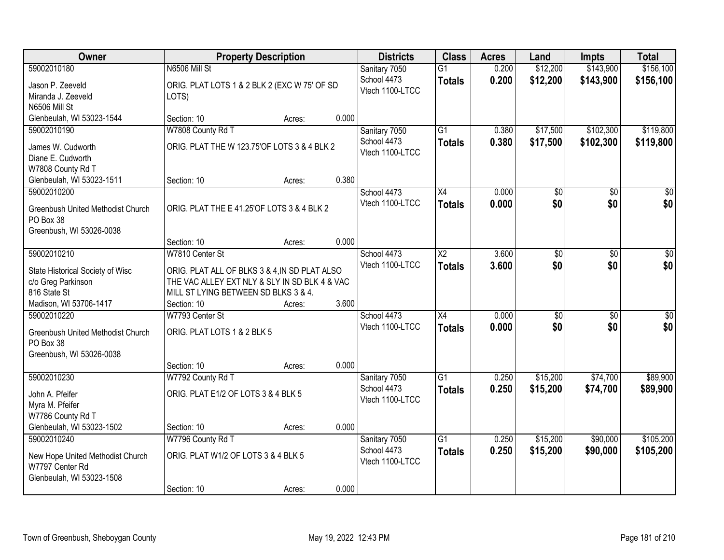| Owner                                                  | <b>Property Description</b>                   |        |       | <b>Districts</b> | <b>Class</b>           | <b>Acres</b> | Land            | <b>Impts</b> | <b>Total</b>    |
|--------------------------------------------------------|-----------------------------------------------|--------|-------|------------------|------------------------|--------------|-----------------|--------------|-----------------|
| 59002010180                                            | N6506 Mill St                                 |        |       | Sanitary 7050    | $\overline{G1}$        | 0.200        | \$12,200        | \$143,900    | \$156,100       |
| Jason P. Zeeveld                                       | ORIG. PLAT LOTS 1 & 2 BLK 2 (EXC W 75' OF SD  |        |       | School 4473      | <b>Totals</b>          | 0.200        | \$12,200        | \$143,900    | \$156,100       |
| Miranda J. Zeeveld                                     | LOTS)                                         |        |       | Vtech 1100-LTCC  |                        |              |                 |              |                 |
| N6506 Mill St                                          |                                               |        |       |                  |                        |              |                 |              |                 |
| Glenbeulah, WI 53023-1544                              | Section: 10                                   | Acres: | 0.000 |                  |                        |              |                 |              |                 |
| 59002010190                                            | W7808 County Rd T                             |        |       | Sanitary 7050    | $\overline{G1}$        | 0.380        | \$17,500        | \$102,300    | \$119,800       |
| James W. Cudworth                                      | ORIG. PLAT THE W 123.75'OF LOTS 3 & 4 BLK 2   |        |       | School 4473      | <b>Totals</b>          | 0.380        | \$17,500        | \$102,300    | \$119,800       |
| Diane E. Cudworth                                      |                                               |        |       | Vtech 1100-LTCC  |                        |              |                 |              |                 |
| W7808 County Rd T                                      |                                               |        |       |                  |                        |              |                 |              |                 |
| Glenbeulah, WI 53023-1511                              | Section: 10                                   | Acres: | 0.380 |                  |                        |              |                 |              |                 |
| 59002010200                                            |                                               |        |       | School 4473      | X4                     | 0.000        | $\overline{50}$ | \$0          | $\sqrt{50}$     |
| Greenbush United Methodist Church                      | ORIG. PLAT THE E 41.25'OF LOTS 3 & 4 BLK 2    |        |       | Vtech 1100-LTCC  | <b>Totals</b>          | 0.000        | \$0             | \$0          | \$0             |
| PO Box 38                                              |                                               |        |       |                  |                        |              |                 |              |                 |
| Greenbush, WI 53026-0038                               |                                               |        |       |                  |                        |              |                 |              |                 |
|                                                        | Section: 10                                   | Acres: | 0.000 |                  |                        |              |                 |              |                 |
| 59002010210                                            | W7810 Center St                               |        |       | School 4473      | $\overline{\text{X2}}$ | 3.600        | $\overline{50}$ | \$0          | $\sqrt{50}$     |
|                                                        | ORIG. PLAT ALL OF BLKS 3 & 4, IN SD PLAT ALSO |        |       | Vtech 1100-LTCC  | <b>Totals</b>          | 3.600        | \$0             | \$0          | \$0             |
| State Historical Society of Wisc<br>c/o Greg Parkinson | THE VAC ALLEY EXT NLY & SLY IN SD BLK 4 & VAC |        |       |                  |                        |              |                 |              |                 |
| 816 State St                                           | MILL ST LYING BETWEEN SD BLKS 3 & 4.          |        |       |                  |                        |              |                 |              |                 |
| Madison, WI 53706-1417                                 | Section: 10                                   | Acres: | 3.600 |                  |                        |              |                 |              |                 |
| 59002010220                                            | W7793 Center St                               |        |       | School 4473      | $\overline{X4}$        | 0.000        | \$0             | \$0          | $\overline{50}$ |
|                                                        |                                               |        |       | Vtech 1100-LTCC  | <b>Totals</b>          | 0.000        | \$0             | \$0          | \$0             |
| Greenbush United Methodist Church<br>PO Box 38         | ORIG. PLAT LOTS 1 & 2 BLK 5                   |        |       |                  |                        |              |                 |              |                 |
| Greenbush, WI 53026-0038                               |                                               |        |       |                  |                        |              |                 |              |                 |
|                                                        | Section: 10                                   | Acres: | 0.000 |                  |                        |              |                 |              |                 |
| 59002010230                                            | W7792 County Rd T                             |        |       | Sanitary 7050    | $\overline{G1}$        | 0.250        | \$15,200        | \$74,700     | \$89,900        |
|                                                        |                                               |        |       | School 4473      | <b>Totals</b>          | 0.250        | \$15,200        | \$74,700     | \$89,900        |
| John A. Pfeifer                                        | ORIG. PLAT E1/2 OF LOTS 3 & 4 BLK 5           |        |       | Vtech 1100-LTCC  |                        |              |                 |              |                 |
| Myra M. Pfeifer<br>W7786 County Rd T                   |                                               |        |       |                  |                        |              |                 |              |                 |
| Glenbeulah, WI 53023-1502                              | Section: 10                                   | Acres: | 0.000 |                  |                        |              |                 |              |                 |
| 59002010240                                            | W7796 County Rd T                             |        |       | Sanitary 7050    | $\overline{G1}$        | 0.250        | \$15,200        | \$90,000     | \$105,200       |
|                                                        |                                               |        |       | School 4473      | <b>Totals</b>          | 0.250        | \$15,200        | \$90,000     | \$105,200       |
| New Hope United Methodist Church                       | ORIG. PLAT W1/2 OF LOTS 3 & 4 BLK 5           |        |       | Vtech 1100-LTCC  |                        |              |                 |              |                 |
| W7797 Center Rd                                        |                                               |        |       |                  |                        |              |                 |              |                 |
| Glenbeulah, WI 53023-1508                              |                                               |        | 0.000 |                  |                        |              |                 |              |                 |
|                                                        | Section: 10                                   | Acres: |       |                  |                        |              |                 |              |                 |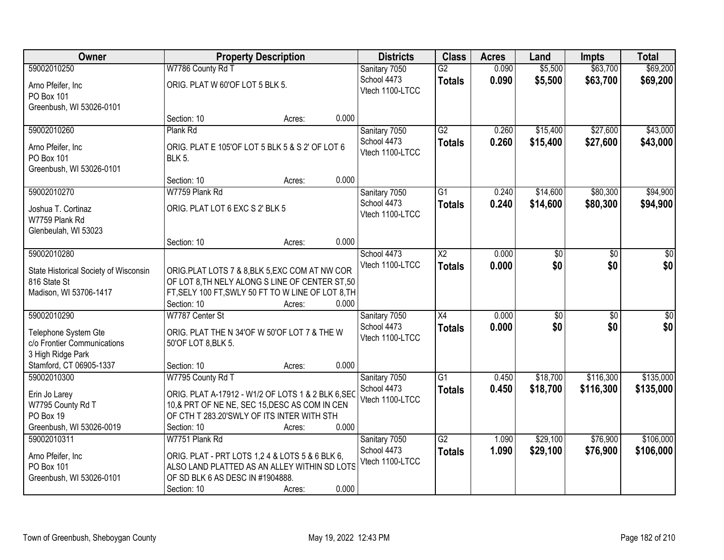| Owner                                 | <b>Property Description</b>                        |        |       | <b>Districts</b> | <b>Class</b>           | <b>Acres</b> | Land            | <b>Impts</b>    | <b>Total</b> |
|---------------------------------------|----------------------------------------------------|--------|-------|------------------|------------------------|--------------|-----------------|-----------------|--------------|
| 59002010250                           | W7786 County Rd T                                  |        |       | Sanitary 7050    | $\overline{G2}$        | 0.090        | \$5,500         | \$63,700        | \$69,200     |
| Arno Pfeifer, Inc                     | ORIG. PLAT W 60'OF LOT 5 BLK 5.                    |        |       | School 4473      | <b>Totals</b>          | 0.090        | \$5,500         | \$63,700        | \$69,200     |
| PO Box 101                            |                                                    |        |       | Vtech 1100-LTCC  |                        |              |                 |                 |              |
| Greenbush, WI 53026-0101              |                                                    |        |       |                  |                        |              |                 |                 |              |
|                                       | Section: 10                                        | Acres: | 0.000 |                  |                        |              |                 |                 |              |
| 59002010260                           | Plank Rd                                           |        |       | Sanitary 7050    | $\overline{G2}$        | 0.260        | \$15,400        | \$27,600        | \$43,000     |
| Arno Pfeifer, Inc.                    | ORIG. PLAT E 105'OF LOT 5 BLK 5 & S 2' OF LOT 6    |        |       | School 4473      | <b>Totals</b>          | 0.260        | \$15,400        | \$27,600        | \$43,000     |
| PO Box 101                            | <b>BLK 5.</b>                                      |        |       | Vtech 1100-LTCC  |                        |              |                 |                 |              |
| Greenbush, WI 53026-0101              |                                                    |        |       |                  |                        |              |                 |                 |              |
|                                       | Section: 10                                        | Acres: | 0.000 |                  |                        |              |                 |                 |              |
| 59002010270                           | W7759 Plank Rd                                     |        |       | Sanitary 7050    | $\overline{G1}$        | 0.240        | \$14,600        | \$80,300        | \$94,900     |
| Joshua T. Cortinaz                    | ORIG. PLAT LOT 6 EXC S 2' BLK 5                    |        |       | School 4473      | <b>Totals</b>          | 0.240        | \$14,600        | \$80,300        | \$94,900     |
| W7759 Plank Rd                        |                                                    |        |       | Vtech 1100-LTCC  |                        |              |                 |                 |              |
| Glenbeulah, WI 53023                  |                                                    |        |       |                  |                        |              |                 |                 |              |
|                                       | Section: 10                                        | Acres: | 0.000 |                  |                        |              |                 |                 |              |
| 59002010280                           |                                                    |        |       | School 4473      | $\overline{\text{X2}}$ | 0.000        | $\overline{30}$ | \$0             | \$0          |
| State Historical Society of Wisconsin | ORIG.PLAT LOTS 7 & 8,BLK 5,EXC COM AT NW COR       |        |       | Vtech 1100-LTCC  | <b>Totals</b>          | 0.000        | \$0             | \$0             | \$0          |
| 816 State St                          | OF LOT 8, TH NELY ALONG S LINE OF CENTER ST, 50    |        |       |                  |                        |              |                 |                 |              |
| Madison, WI 53706-1417                | FT, SELY 100 FT, SWLY 50 FT TO W LINE OF LOT 8, TH |        |       |                  |                        |              |                 |                 |              |
|                                       | Section: 10                                        | Acres: | 0.000 |                  |                        |              |                 |                 |              |
| 59002010290                           | W7787 Center St                                    |        |       | Sanitary 7050    | $\overline{X4}$        | 0.000        | \$0             | $\overline{50}$ | \$0          |
| Telephone System Gte                  | ORIG. PLAT THE N 34'OF W 50'OF LOT 7 & THE W       |        |       | School 4473      | <b>Totals</b>          | 0.000        | \$0             | \$0             | \$0          |
| c/o Frontier Communications           | 50'OF LOT 8, BLK 5.                                |        |       | Vtech 1100-LTCC  |                        |              |                 |                 |              |
| 3 High Ridge Park                     |                                                    |        |       |                  |                        |              |                 |                 |              |
| Stamford, CT 06905-1337               | Section: 10                                        | Acres: | 0.000 |                  |                        |              |                 |                 |              |
| 59002010300                           | W7795 County Rd T                                  |        |       | Sanitary 7050    | $\overline{G1}$        | 0.450        | \$18,700        | \$116,300       | \$135,000    |
| Erin Jo Larey                         | ORIG. PLAT A-17912 - W1/2 OF LOTS 1 & 2 BLK 6, SEC |        |       | School 4473      | <b>Totals</b>          | 0.450        | \$18,700        | \$116,300       | \$135,000    |
| W7795 County Rd T                     | 10,& PRT OF NE NE, SEC 15, DESC AS COM IN CEN      |        |       | Vtech 1100-LTCC  |                        |              |                 |                 |              |
| PO Box 19                             | OF CTH T 283.20'SWLY OF ITS INTER WITH STH         |        |       |                  |                        |              |                 |                 |              |
| Greenbush, WI 53026-0019              | Section: 10                                        | Acres: | 0.000 |                  |                        |              |                 |                 |              |
| 59002010311                           | W7751 Plank Rd                                     |        |       | Sanitary 7050    | $\overline{G2}$        | 1.090        | \$29,100        | \$76,900        | \$106,000    |
| Arno Pfeifer, Inc                     | ORIG. PLAT - PRT LOTS 1,2 4 & LOTS 5 & 6 BLK 6,    |        |       | School 4473      | <b>Totals</b>          | 1.090        | \$29,100        | \$76,900        | \$106,000    |
| PO Box 101                            | ALSO LAND PLATTED AS AN ALLEY WITHIN SD LOTS       |        |       | Vtech 1100-LTCC  |                        |              |                 |                 |              |
| Greenbush, WI 53026-0101              | OF SD BLK 6 AS DESC IN #1904888.                   |        |       |                  |                        |              |                 |                 |              |
|                                       | Section: 10                                        | Acres: | 0.000 |                  |                        |              |                 |                 |              |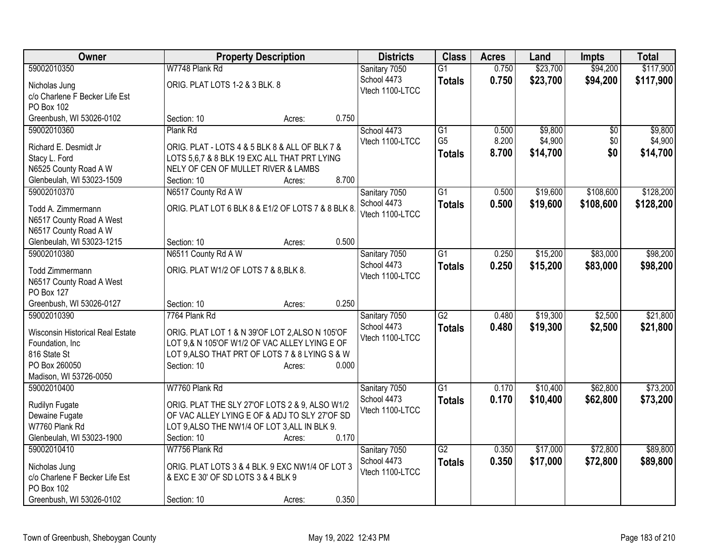| Owner                            | <b>Property Description</b>                        |        |       | <b>Districts</b> | <b>Class</b>    | <b>Acres</b> | Land     | <b>Impts</b>    | <b>Total</b> |
|----------------------------------|----------------------------------------------------|--------|-------|------------------|-----------------|--------------|----------|-----------------|--------------|
| 59002010350                      | W7748 Plank Rd                                     |        |       | Sanitary 7050    | $\overline{G1}$ | 0.750        | \$23,700 | \$94,200        | \$117,900    |
| Nicholas Jung                    | ORIG. PLAT LOTS 1-2 & 3 BLK. 8                     |        |       | School 4473      | <b>Totals</b>   | 0.750        | \$23,700 | \$94,200        | \$117,900    |
| c/o Charlene F Becker Life Est   |                                                    |        |       | Vtech 1100-LTCC  |                 |              |          |                 |              |
| PO Box 102                       |                                                    |        |       |                  |                 |              |          |                 |              |
| Greenbush, WI 53026-0102         | Section: 10                                        | Acres: | 0.750 |                  |                 |              |          |                 |              |
| 59002010360                      | Plank Rd                                           |        |       | School 4473      | $\overline{G1}$ | 0.500        | \$9,800  | $\overline{50}$ | \$9,800      |
| Richard E. Desmidt Jr            | ORIG. PLAT - LOTS 4 & 5 BLK 8 & ALL OF BLK 7 &     |        |       | Vtech 1100-LTCC  | G <sub>5</sub>  | 8.200        | \$4,900  | \$0             | \$4,900      |
| Stacy L. Ford                    | LOTS 5,6,7 & 8 BLK 19 EXC ALL THAT PRT LYING       |        |       |                  | <b>Totals</b>   | 8.700        | \$14,700 | \$0             | \$14,700     |
| N6525 County Road A W            | NELY OF CEN OF MULLET RIVER & LAMBS                |        |       |                  |                 |              |          |                 |              |
| Glenbeulah, WI 53023-1509        | Section: 10                                        | Acres: | 8.700 |                  |                 |              |          |                 |              |
| 59002010370                      | N6517 County Rd A W                                |        |       | Sanitary 7050    | $\overline{G1}$ | 0.500        | \$19,600 | \$108,600       | \$128,200    |
|                                  |                                                    |        |       | School 4473      | <b>Totals</b>   | 0.500        | \$19,600 | \$108,600       | \$128,200    |
| Todd A. Zimmermann               | ORIG. PLAT LOT 6 BLK 8 & E1/2 OF LOTS 7 & 8 BLK 8. |        |       | Vtech 1100-LTCC  |                 |              |          |                 |              |
| N6517 County Road A West         |                                                    |        |       |                  |                 |              |          |                 |              |
| N6517 County Road A W            |                                                    |        |       |                  |                 |              |          |                 |              |
| Glenbeulah, WI 53023-1215        | Section: 10                                        | Acres: | 0.500 |                  |                 |              |          |                 |              |
| 59002010380                      | N6511 County Rd A W                                |        |       | Sanitary 7050    | $\overline{G1}$ | 0.250        | \$15,200 | \$83,000        | \$98,200     |
| <b>Todd Zimmermann</b>           | ORIG. PLAT W1/2 OF LOTS 7 & 8, BLK 8.              |        |       | School 4473      | <b>Totals</b>   | 0.250        | \$15,200 | \$83,000        | \$98,200     |
| N6517 County Road A West         |                                                    |        |       | Vtech 1100-LTCC  |                 |              |          |                 |              |
| PO Box 127                       |                                                    |        |       |                  |                 |              |          |                 |              |
| Greenbush, WI 53026-0127         | Section: 10                                        | Acres: | 0.250 |                  |                 |              |          |                 |              |
| 59002010390                      | 7764 Plank Rd                                      |        |       | Sanitary 7050    | $\overline{G2}$ | 0.480        | \$19,300 | \$2,500         | \$21,800     |
| Wisconsin Historical Real Estate | ORIG. PLAT LOT 1 & N 39'OF LOT 2, ALSO N 105'OF    |        |       | School 4473      | <b>Totals</b>   | 0.480        | \$19,300 | \$2,500         | \$21,800     |
| Foundation, Inc.                 | LOT 9,& N 105'OF W1/2 OF VAC ALLEY LYING E OF      |        |       | Vtech 1100-LTCC  |                 |              |          |                 |              |
| 816 State St                     | LOT 9, ALSO THAT PRT OF LOTS 7 & 8 LYING S & W     |        |       |                  |                 |              |          |                 |              |
| PO Box 260050                    | Section: 10                                        | Acres: | 0.000 |                  |                 |              |          |                 |              |
| Madison, WI 53726-0050           |                                                    |        |       |                  |                 |              |          |                 |              |
| 59002010400                      | W7760 Plank Rd                                     |        |       | Sanitary 7050    | $\overline{G1}$ | 0.170        | \$10,400 | \$62,800        | \$73,200     |
| Rudilyn Fugate                   | ORIG. PLAT THE SLY 27'OF LOTS 2 & 9, ALSO W1/2     |        |       | School 4473      | <b>Totals</b>   | 0.170        | \$10,400 | \$62,800        | \$73,200     |
| Dewaine Fugate                   | OF VAC ALLEY LYING E OF & ADJ TO SLY 27'OF SD      |        |       | Vtech 1100-LTCC  |                 |              |          |                 |              |
| W7760 Plank Rd                   | LOT 9, ALSO THE NW1/4 OF LOT 3, ALL IN BLK 9.      |        |       |                  |                 |              |          |                 |              |
| Glenbeulah, WI 53023-1900        | Section: 10                                        | Acres: | 0.170 |                  |                 |              |          |                 |              |
| 59002010410                      | W7756 Plank Rd                                     |        |       | Sanitary 7050    | $\overline{G2}$ | 0.350        | \$17,000 | \$72,800        | \$89,800     |
|                                  |                                                    |        |       | School 4473      | <b>Totals</b>   | 0.350        | \$17,000 | \$72,800        | \$89,800     |
| Nicholas Jung                    | ORIG. PLAT LOTS 3 & 4 BLK. 9 EXC NW1/4 OF LOT 3    |        |       | Vtech 1100-LTCC  |                 |              |          |                 |              |
| c/o Charlene F Becker Life Est   | & EXC E 30' OF SD LOTS 3 & 4 BLK 9                 |        |       |                  |                 |              |          |                 |              |
| PO Box 102                       |                                                    |        | 0.350 |                  |                 |              |          |                 |              |
| Greenbush, WI 53026-0102         | Section: 10                                        | Acres: |       |                  |                 |              |          |                 |              |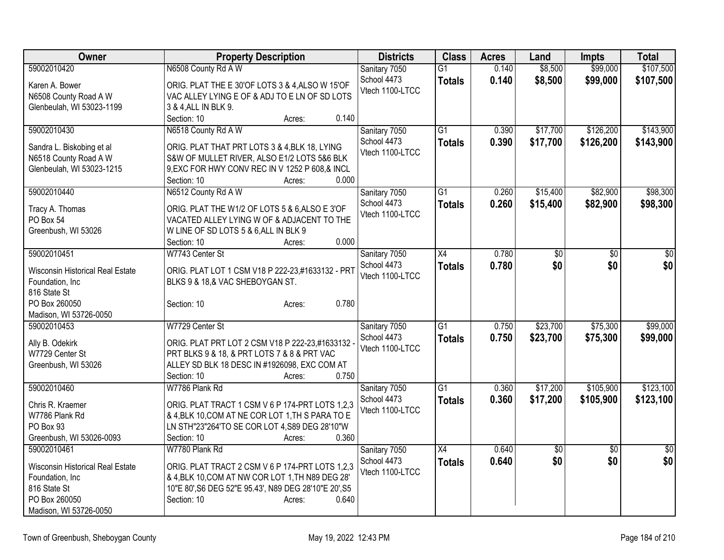| Owner                            | <b>Property Description</b>                           | <b>Districts</b> | <b>Class</b>    | <b>Acres</b> | Land            | Impts           | <b>Total</b>    |
|----------------------------------|-------------------------------------------------------|------------------|-----------------|--------------|-----------------|-----------------|-----------------|
| 59002010420                      | N6508 County Rd A W                                   | Sanitary 7050    | $\overline{G1}$ | 0.140        | \$8,500         | \$99,000        | \$107,500       |
| Karen A. Bower                   | ORIG. PLAT THE E 30'OF LOTS 3 & 4, ALSO W 15'OF       | School 4473      | <b>Totals</b>   | 0.140        | \$8,500         | \$99,000        | \$107,500       |
| N6508 County Road A W            | VAC ALLEY LYING E OF & ADJ TO E LN OF SD LOTS         | Vtech 1100-LTCC  |                 |              |                 |                 |                 |
| Glenbeulah, WI 53023-1199        | 3 & 4, ALL IN BLK 9.                                  |                  |                 |              |                 |                 |                 |
|                                  | 0.140<br>Section: 10<br>Acres:                        |                  |                 |              |                 |                 |                 |
| 59002010430                      | N6518 County Rd A W                                   | Sanitary 7050    | $\overline{G1}$ | 0.390        | \$17,700        | \$126,200       | \$143,900       |
| Sandra L. Biskobing et al        | ORIG. PLAT THAT PRT LOTS 3 & 4, BLK 18, LYING         | School 4473      | <b>Totals</b>   | 0.390        | \$17,700        | \$126,200       | \$143,900       |
| N6518 County Road A W            | S&W OF MULLET RIVER, ALSO E1/2 LOTS 5&6 BLK           | Vtech 1100-LTCC  |                 |              |                 |                 |                 |
| Glenbeulah, WI 53023-1215        | 9, EXC FOR HWY CONV REC IN V 1252 P 608, & INCL       |                  |                 |              |                 |                 |                 |
|                                  | 0.000<br>Section: 10<br>Acres:                        |                  |                 |              |                 |                 |                 |
| 59002010440                      | N6512 County Rd A W                                   | Sanitary 7050    | $\overline{G1}$ | 0.260        | \$15,400        | \$82,900        | \$98,300        |
| Tracy A. Thomas                  | ORIG. PLAT THE W1/2 OF LOTS 5 & 6, ALSO E 3'OF        | School 4473      | <b>Totals</b>   | 0.260        | \$15,400        | \$82,900        | \$98,300        |
| PO Box 54                        | VACATED ALLEY LYING W OF & ADJACENT TO THE            | Vtech 1100-LTCC  |                 |              |                 |                 |                 |
| Greenbush, WI 53026              | W LINE OF SD LOTS 5 & 6, ALL IN BLK 9                 |                  |                 |              |                 |                 |                 |
|                                  | 0.000<br>Section: 10<br>Acres:                        |                  |                 |              |                 |                 |                 |
| 59002010451                      | W7743 Center St                                       | Sanitary 7050    | $\overline{X4}$ | 0.780        | $\overline{50}$ | \$0             | $\overline{30}$ |
| Wisconsin Historical Real Estate | ORIG. PLAT LOT 1 CSM V18 P 222-23,#1633132 - PRT      | School 4473      | <b>Totals</b>   | 0.780        | \$0             | \$0             | \$0             |
| Foundation, Inc                  | BLKS 9 & 18,& VAC SHEBOYGAN ST.                       | Vtech 1100-LTCC  |                 |              |                 |                 |                 |
| 816 State St                     |                                                       |                  |                 |              |                 |                 |                 |
| PO Box 260050                    | 0.780<br>Section: 10<br>Acres:                        |                  |                 |              |                 |                 |                 |
| Madison, WI 53726-0050           |                                                       |                  |                 |              |                 |                 |                 |
| 59002010453                      | W7729 Center St                                       | Sanitary 7050    | $\overline{G1}$ | 0.750        | \$23,700        | \$75,300        | \$99,000        |
| Ally B. Odekirk                  | ORIG. PLAT PRT LOT 2 CSM V18 P 222-23,#1633132        | School 4473      | <b>Totals</b>   | 0.750        | \$23,700        | \$75,300        | \$99,000        |
| W7729 Center St                  | PRT BLKS 9 & 18, & PRT LOTS 7 & 8 & PRT VAC           | Vtech 1100-LTCC  |                 |              |                 |                 |                 |
| Greenbush, WI 53026              | ALLEY SD BLK 18 DESC IN #1926098, EXC COM AT          |                  |                 |              |                 |                 |                 |
|                                  | Section: 10<br>0.750<br>Acres:                        |                  |                 |              |                 |                 |                 |
| 59002010460                      | W7786 Plank Rd                                        | Sanitary 7050    | $\overline{G1}$ | 0.360        | \$17,200        | \$105,900       | \$123,100       |
| Chris R. Kraemer                 | ORIG. PLAT TRACT 1 CSM V 6 P 174-PRT LOTS 1,2,3       | School 4473      | <b>Totals</b>   | 0.360        | \$17,200        | \$105,900       | \$123,100       |
| W7786 Plank Rd                   | & 4, BLK 10, COM AT NE COR LOT 1, TH S PARA TO E      | Vtech 1100-LTCC  |                 |              |                 |                 |                 |
| PO Box 93                        | LN STH"23"264'TO SE COR LOT 4,S89 DEG 28'10"W         |                  |                 |              |                 |                 |                 |
| Greenbush, WI 53026-0093         | Section: 10<br>0.360<br>Acres:                        |                  |                 |              |                 |                 |                 |
| 59002010461                      | W7780 Plank Rd                                        | Sanitary 7050    | $\overline{X4}$ | 0.640        | $\overline{60}$ | $\overline{50}$ | $\sqrt{30}$     |
| Wisconsin Historical Real Estate | ORIG. PLAT TRACT 2 CSM V 6 P 174-PRT LOTS 1,2,3       | School 4473      | <b>Totals</b>   | 0.640        | \$0             | \$0             | \$0             |
| Foundation, Inc                  | & 4, BLK 10, COM AT NW COR LOT 1, TH N89 DEG 28'      | Vtech 1100-LTCC  |                 |              |                 |                 |                 |
| 816 State St                     | 10"E 80', S6 DEG 52"E 95.43', N89 DEG 28'10"E 20', S5 |                  |                 |              |                 |                 |                 |
| PO Box 260050                    | Section: 10<br>0.640<br>Acres:                        |                  |                 |              |                 |                 |                 |
| Madison, WI 53726-0050           |                                                       |                  |                 |              |                 |                 |                 |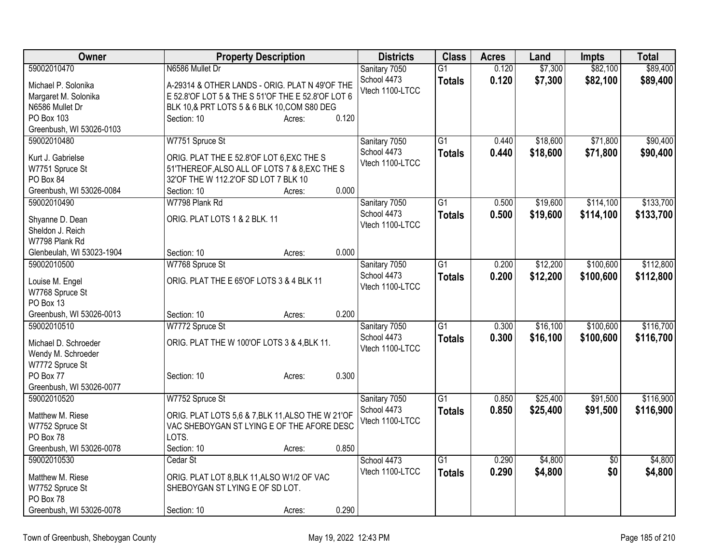| Owner                                                                                                                    | <b>Property Description</b>                                                                                                                                                                             | <b>Districts</b>                                | <b>Class</b>                     | <b>Acres</b>   | Land                 | <b>Impts</b>           | <b>Total</b>           |
|--------------------------------------------------------------------------------------------------------------------------|---------------------------------------------------------------------------------------------------------------------------------------------------------------------------------------------------------|-------------------------------------------------|----------------------------------|----------------|----------------------|------------------------|------------------------|
| 59002010470<br>Michael P. Solonika<br>Margaret M. Solonika<br>N6586 Mullet Dr<br>PO Box 103                              | N6586 Mullet Dr<br>A-29314 & OTHER LANDS - ORIG. PLAT N 49'OF THE<br>E 52.8'OF LOT 5 & THE S 51'OF THE E 52.8'OF LOT 6<br>BLK 10,& PRT LOTS 5 & 6 BLK 10, COM S80 DEG<br>0.120<br>Section: 10<br>Acres: | Sanitary 7050<br>School 4473<br>Vtech 1100-LTCC | $\overline{G1}$<br><b>Totals</b> | 0.120<br>0.120 | \$7,300<br>\$7,300   | \$82,100<br>\$82,100   | \$89,400<br>\$89,400   |
| Greenbush, WI 53026-0103<br>59002010480<br>Kurt J. Gabrielse<br>W7751 Spruce St<br>PO Box 84<br>Greenbush, WI 53026-0084 | W7751 Spruce St<br>ORIG. PLAT THE E 52.8'OF LOT 6, EXC THE S<br>51'THEREOF, ALSO ALL OF LOTS 7 & 8, EXC THE S<br>32'OF THE W 112.2'OF SD LOT 7 BLK 10<br>0.000<br>Section: 10<br>Acres:                 | Sanitary 7050<br>School 4473<br>Vtech 1100-LTCC | $\overline{G1}$<br><b>Totals</b> | 0.440<br>0.440 | \$18,600<br>\$18,600 | \$71,800<br>\$71,800   | \$90,400<br>\$90,400   |
| 59002010490<br>Shyanne D. Dean<br>Sheldon J. Reich<br>W7798 Plank Rd<br>Glenbeulah, WI 53023-1904                        | W7798 Plank Rd<br>ORIG. PLAT LOTS 1 & 2 BLK. 11<br>0.000<br>Section: 10<br>Acres:                                                                                                                       | Sanitary 7050<br>School 4473<br>Vtech 1100-LTCC | $\overline{G1}$<br><b>Totals</b> | 0.500<br>0.500 | \$19,600<br>\$19,600 | \$114,100<br>\$114,100 | \$133,700<br>\$133,700 |
| 59002010500<br>Louise M. Engel<br>W7768 Spruce St<br>PO Box 13<br>Greenbush, WI 53026-0013                               | W7768 Spruce St<br>ORIG. PLAT THE E 65'OF LOTS 3 & 4 BLK 11<br>0.200<br>Section: 10<br>Acres:                                                                                                           | Sanitary 7050<br>School 4473<br>Vtech 1100-LTCC | $\overline{G1}$<br><b>Totals</b> | 0.200<br>0.200 | \$12,200<br>\$12,200 | \$100,600<br>\$100,600 | \$112,800<br>\$112,800 |
| 59002010510<br>Michael D. Schroeder<br>Wendy M. Schroeder<br>W7772 Spruce St<br>PO Box 77<br>Greenbush, WI 53026-0077    | W7772 Spruce St<br>ORIG. PLAT THE W 100'OF LOTS 3 & 4, BLK 11.<br>0.300<br>Section: 10<br>Acres:                                                                                                        | Sanitary 7050<br>School 4473<br>Vtech 1100-LTCC | $\overline{G1}$<br><b>Totals</b> | 0.300<br>0.300 | \$16,100<br>\$16,100 | \$100,600<br>\$100,600 | \$116,700<br>\$116,700 |
| 59002010520<br>Matthew M. Riese<br>W7752 Spruce St<br>PO Box 78<br>Greenbush, WI 53026-0078                              | W7752 Spruce St<br>ORIG. PLAT LOTS 5,6 & 7, BLK 11, ALSO THE W 21'OF<br>VAC SHEBOYGAN ST LYING E OF THE AFORE DESC<br>LOTS.<br>0.850<br>Section: 10<br>Acres:                                           | Sanitary 7050<br>School 4473<br>Vtech 1100-LTCC | $\overline{G1}$<br><b>Totals</b> | 0.850<br>0.850 | \$25,400<br>\$25,400 | \$91,500<br>\$91,500   | \$116,900<br>\$116,900 |
| 59002010530<br>Matthew M. Riese<br>W7752 Spruce St<br>PO Box 78<br>Greenbush, WI 53026-0078                              | Cedar St<br>ORIG. PLAT LOT 8, BLK 11, ALSO W1/2 OF VAC<br>SHEBOYGAN ST LYING E OF SD LOT.<br>0.290<br>Section: 10<br>Acres:                                                                             | School 4473<br>Vtech 1100-LTCC                  | $\overline{G1}$<br><b>Totals</b> | 0.290<br>0.290 | \$4,800<br>\$4,800   | $\sqrt{6}$<br>\$0      | \$4,800<br>\$4,800     |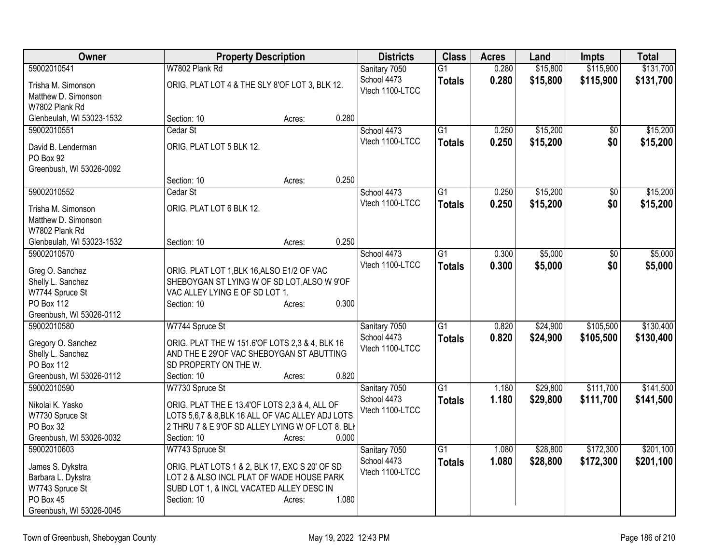| Owner                                   |                                                                                                   | <b>Property Description</b> |       |                 | <b>Class</b>    | <b>Acres</b> | Land     | <b>Impts</b> | <b>Total</b> |
|-----------------------------------------|---------------------------------------------------------------------------------------------------|-----------------------------|-------|-----------------|-----------------|--------------|----------|--------------|--------------|
| 59002010541                             | W7802 Plank Rd                                                                                    |                             |       | Sanitary 7050   | $\overline{G1}$ | 0.280        | \$15,800 | \$115,900    | \$131,700    |
| Trisha M. Simonson                      | ORIG. PLAT LOT 4 & THE SLY 8'OF LOT 3, BLK 12.                                                    |                             |       | School 4473     | <b>Totals</b>   | 0.280        | \$15,800 | \$115,900    | \$131,700    |
| Matthew D. Simonson                     |                                                                                                   |                             |       | Vtech 1100-LTCC |                 |              |          |              |              |
| W7802 Plank Rd                          |                                                                                                   |                             |       |                 |                 |              |          |              |              |
| Glenbeulah, WI 53023-1532               | Section: 10                                                                                       | Acres:                      | 0.280 |                 |                 |              |          |              |              |
| 59002010551                             | Cedar St                                                                                          |                             |       | School 4473     | G1              | 0.250        | \$15,200 | \$0          | \$15,200     |
| David B. Lenderman                      | ORIG. PLAT LOT 5 BLK 12.                                                                          |                             |       | Vtech 1100-LTCC | <b>Totals</b>   | 0.250        | \$15,200 | \$0          | \$15,200     |
| PO Box 92                               |                                                                                                   |                             |       |                 |                 |              |          |              |              |
| Greenbush, WI 53026-0092                |                                                                                                   |                             |       |                 |                 |              |          |              |              |
|                                         | Section: 10                                                                                       | Acres:                      | 0.250 |                 |                 |              |          |              |              |
| 59002010552                             | Cedar St                                                                                          |                             |       | School 4473     | G1              | 0.250        | \$15,200 | \$0          | \$15,200     |
| Trisha M. Simonson                      | ORIG. PLAT LOT 6 BLK 12.                                                                          |                             |       | Vtech 1100-LTCC | <b>Totals</b>   | 0.250        | \$15,200 | \$0          | \$15,200     |
| Matthew D. Simonson                     |                                                                                                   |                             |       |                 |                 |              |          |              |              |
| W7802 Plank Rd                          |                                                                                                   |                             |       |                 |                 |              |          |              |              |
| Glenbeulah, WI 53023-1532               | Section: 10                                                                                       | Acres:                      | 0.250 |                 |                 |              |          |              |              |
| 59002010570                             |                                                                                                   |                             |       | School 4473     | G1              | 0.300        | \$5,000  | \$0          | \$5,000      |
|                                         |                                                                                                   |                             |       | Vtech 1100-LTCC | <b>Totals</b>   | 0.300        | \$5,000  | \$0          | \$5,000      |
| Greg O. Sanchez<br>Shelly L. Sanchez    | ORIG. PLAT LOT 1, BLK 16, ALSO E1/2 OF VAC<br>SHEBOYGAN ST LYING W OF SD LOT, ALSO W 9'OF         |                             |       |                 |                 |              |          |              |              |
| W7744 Spruce St                         | VAC ALLEY LYING E OF SD LOT 1.                                                                    |                             |       |                 |                 |              |          |              |              |
| <b>PO Box 112</b>                       | Section: 10                                                                                       | Acres:                      | 0.300 |                 |                 |              |          |              |              |
| Greenbush, WI 53026-0112                |                                                                                                   |                             |       |                 |                 |              |          |              |              |
| 59002010580                             | W7744 Spruce St                                                                                   |                             |       | Sanitary 7050   | G1              | 0.820        | \$24,900 | \$105,500    | \$130,400    |
|                                         |                                                                                                   |                             |       | School 4473     | <b>Totals</b>   | 0.820        | \$24,900 | \$105,500    | \$130,400    |
| Gregory O. Sanchez<br>Shelly L. Sanchez | ORIG. PLAT THE W 151.6'OF LOTS 2,3 & 4, BLK 16<br>AND THE E 29'OF VAC SHEBOYGAN ST ABUTTING       |                             |       | Vtech 1100-LTCC |                 |              |          |              |              |
| PO Box 112                              | SD PROPERTY ON THE W.                                                                             |                             |       |                 |                 |              |          |              |              |
| Greenbush, WI 53026-0112                | Section: 10                                                                                       | Acres:                      | 0.820 |                 |                 |              |          |              |              |
| 59002010590                             | W7730 Spruce St                                                                                   |                             |       | Sanitary 7050   | $\overline{G1}$ | 1.180        | \$29,800 | \$111,700    | \$141,500    |
|                                         |                                                                                                   |                             |       | School 4473     | <b>Totals</b>   | 1.180        | \$29,800 | \$111,700    | \$141,500    |
| Nikolai K. Yasko                        | ORIG. PLAT THE E 13.4'OF LOTS 2,3 & 4, ALL OF<br>LOTS 5,6,7 & 8, BLK 16 ALL OF VAC ALLEY ADJ LOTS |                             |       | Vtech 1100-LTCC |                 |              |          |              |              |
| W7730 Spruce St<br>PO Box 32            | 2 THRU 7 & E 9'OF SD ALLEY LYING W OF LOT 8. BLI                                                  |                             |       |                 |                 |              |          |              |              |
| Greenbush, WI 53026-0032                | Section: 10                                                                                       | Acres:                      | 0.000 |                 |                 |              |          |              |              |
| 59002010603                             | W7743 Spruce St                                                                                   |                             |       | Sanitary 7050   | $\overline{G1}$ | 1.080        | \$28,800 | \$172,300    | \$201,100    |
|                                         |                                                                                                   |                             |       | School 4473     | <b>Totals</b>   | 1.080        | \$28,800 | \$172,300    | \$201,100    |
| James S. Dykstra                        | ORIG. PLAT LOTS 1 & 2, BLK 17, EXC S 20' OF SD                                                    |                             |       | Vtech 1100-LTCC |                 |              |          |              |              |
| Barbara L. Dykstra<br>W7743 Spruce St   | LOT 2 & ALSO INCL PLAT OF WADE HOUSE PARK<br>SUBD LOT 1, & INCL VACATED ALLEY DESC IN             |                             |       |                 |                 |              |          |              |              |
| PO Box 45                               | Section: 10                                                                                       | Acres:                      | 1.080 |                 |                 |              |          |              |              |
| Greenbush, WI 53026-0045                |                                                                                                   |                             |       |                 |                 |              |          |              |              |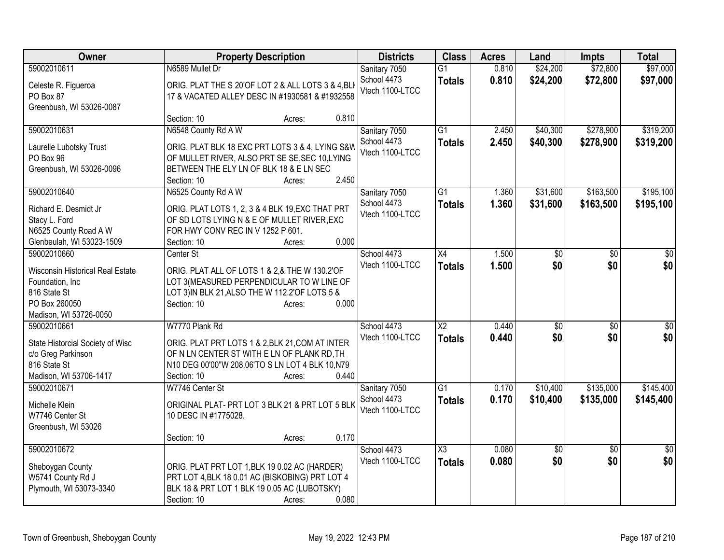| Owner                                 | <b>Property Description</b>                                                                      | <b>Districts</b>               | <b>Class</b>           | <b>Acres</b> | Land            | <b>Impts</b>    | <b>Total</b>    |
|---------------------------------------|--------------------------------------------------------------------------------------------------|--------------------------------|------------------------|--------------|-----------------|-----------------|-----------------|
| 59002010611                           | N6589 Mullet Dr                                                                                  | Sanitary 7050                  | $\overline{G1}$        | 0.810        | \$24,200        | \$72,800        | \$97,000        |
| Celeste R. Figueroa                   | ORIG. PLAT THE S 20'OF LOT 2 & ALL LOTS 3 & 4, BL                                                | School 4473                    | <b>Totals</b>          | 0.810        | \$24,200        | \$72,800        | \$97,000        |
| PO Box 87                             | 17 & VACATED ALLEY DESC IN #1930581 & #1932558                                                   | Vtech 1100-LTCC                |                        |              |                 |                 |                 |
| Greenbush, WI 53026-0087              |                                                                                                  |                                |                        |              |                 |                 |                 |
|                                       | 0.810<br>Section: 10<br>Acres:                                                                   |                                |                        |              |                 |                 |                 |
| 59002010631                           | N6548 County Rd A W                                                                              | Sanitary 7050                  | G1                     | 2.450        | \$40,300        | \$278,900       | \$319,200       |
|                                       | ORIG. PLAT BLK 18 EXC PRT LOTS 3 & 4, LYING S&W                                                  | School 4473                    | <b>Totals</b>          | 2.450        | \$40,300        | \$278,900       | \$319,200       |
| Laurelle Lubotsky Trust<br>PO Box 96  | OF MULLET RIVER, ALSO PRT SE SE, SEC 10, LYING                                                   | Vtech 1100-LTCC                |                        |              |                 |                 |                 |
| Greenbush, WI 53026-0096              | BETWEEN THE ELY LN OF BLK 18 & E LN SEC                                                          |                                |                        |              |                 |                 |                 |
|                                       | 2.450<br>Section: 10<br>Acres:                                                                   |                                |                        |              |                 |                 |                 |
| 59002010640                           | N6525 County Rd A W                                                                              | Sanitary 7050                  | $\overline{G1}$        | 1.360        | \$31,600        | \$163,500       | \$195,100       |
|                                       |                                                                                                  | School 4473                    | <b>Totals</b>          | 1.360        | \$31,600        | \$163,500       | \$195,100       |
| Richard E. Desmidt Jr                 | ORIG. PLAT LOTS 1, 2, 3 & 4 BLK 19, EXC THAT PRT                                                 | Vtech 1100-LTCC                |                        |              |                 |                 |                 |
| Stacy L. Ford                         | OF SD LOTS LYING N & E OF MULLET RIVER, EXC                                                      |                                |                        |              |                 |                 |                 |
| N6525 County Road A W                 | FOR HWY CONV REC IN V 1252 P 601.                                                                |                                |                        |              |                 |                 |                 |
| Glenbeulah, WI 53023-1509             | 0.000<br>Section: 10<br>Acres:                                                                   |                                |                        |              |                 |                 |                 |
| 59002010660                           | Center St                                                                                        | School 4473<br>Vtech 1100-LTCC | $\overline{X4}$        | 1.500        | \$0             | $\overline{30}$ | \$0             |
| Wisconsin Historical Real Estate      | ORIG. PLAT ALL OF LOTS 1 & 2,& THE W 130.2'OF                                                    |                                | <b>Totals</b>          | 1.500        | \$0             | \$0             | \$0             |
| Foundation, Inc                       | LOT 3(MEASURED PERPENDICULAR TO W LINE OF                                                        |                                |                        |              |                 |                 |                 |
| 816 State St                          | LOT 3) IN BLK 21, ALSO THE W 112.2' OF LOTS 5 &                                                  |                                |                        |              |                 |                 |                 |
| PO Box 260050                         | 0.000<br>Section: 10<br>Acres:                                                                   |                                |                        |              |                 |                 |                 |
| Madison, WI 53726-0050                |                                                                                                  |                                |                        |              |                 |                 |                 |
| 59002010661                           | W7770 Plank Rd                                                                                   | School 4473                    | $\overline{\text{X2}}$ | 0.440        | \$0             | \$0             | \$0             |
| State Historcial Society of Wisc      | ORIG. PLAT PRT LOTS 1 & 2, BLK 21, COM AT INTER                                                  | Vtech 1100-LTCC                | <b>Totals</b>          | 0.440        | \$0             | \$0             | \$0             |
| c/o Greg Parkinson                    | OF N LN CENTER ST WITH E LN OF PLANK RD, TH                                                      |                                |                        |              |                 |                 |                 |
| 816 State St                          | N10 DEG 00'00"W 208.06'TO S LN LOT 4 BLK 10,N79                                                  |                                |                        |              |                 |                 |                 |
| Madison, WI 53706-1417                | 0.440<br>Section: 10<br>Acres:                                                                   |                                |                        |              |                 |                 |                 |
| 59002010671                           | W7746 Center St                                                                                  | Sanitary 7050                  | $\overline{G1}$        | 0.170        | \$10,400        | \$135,000       | \$145,400       |
| Michelle Klein                        | ORIGINAL PLAT- PRT LOT 3 BLK 21 & PRT LOT 5 BLK                                                  | School 4473                    | <b>Totals</b>          | 0.170        | \$10,400        | \$135,000       | \$145,400       |
| W7746 Center St                       | 10 DESC IN #1775028.                                                                             | Vtech 1100-LTCC                |                        |              |                 |                 |                 |
| Greenbush, WI 53026                   |                                                                                                  |                                |                        |              |                 |                 |                 |
|                                       | 0.170<br>Section: 10<br>Acres:                                                                   |                                |                        |              |                 |                 |                 |
| 59002010672                           |                                                                                                  | School 4473                    | $\overline{\text{X3}}$ | 0.080        | $\overline{60}$ | $\overline{30}$ | $\overline{50}$ |
|                                       |                                                                                                  | Vtech 1100-LTCC                | <b>Totals</b>          | 0.080        | \$0             | \$0             | \$0             |
| Sheboygan County<br>W5741 County Rd J | ORIG. PLAT PRT LOT 1, BLK 19 0.02 AC (HARDER)<br>PRT LOT 4, BLK 18 0.01 AC (BISKOBING) PRT LOT 4 |                                |                        |              |                 |                 |                 |
| Plymouth, WI 53073-3340               | BLK 18 & PRT LOT 1 BLK 19 0.05 AC (LUBOTSKY)                                                     |                                |                        |              |                 |                 |                 |
|                                       | 0.080<br>Section: 10<br>Acres:                                                                   |                                |                        |              |                 |                 |                 |
|                                       |                                                                                                  |                                |                        |              |                 |                 |                 |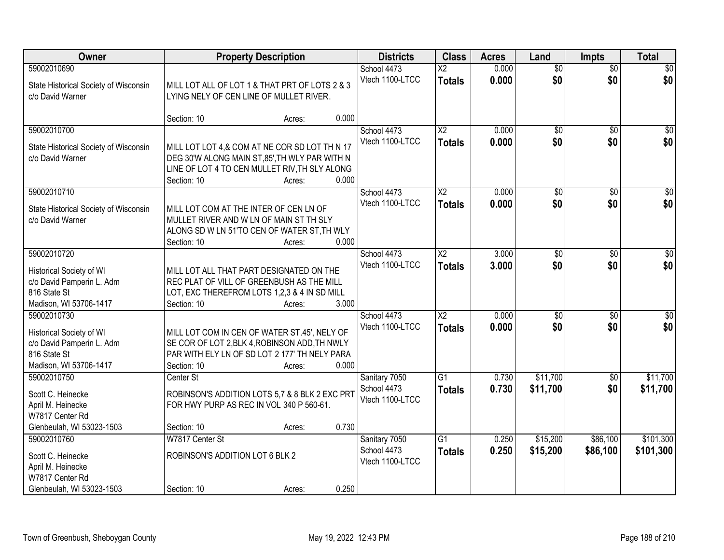| Owner                                                                                                          | <b>Property Description</b>                                                                                                                                     | <b>Districts</b> | <b>Class</b> | <b>Acres</b>                                    | Land                                      | <b>Impts</b>   | <b>Total</b>           |                        |                        |
|----------------------------------------------------------------------------------------------------------------|-----------------------------------------------------------------------------------------------------------------------------------------------------------------|------------------|--------------|-------------------------------------------------|-------------------------------------------|----------------|------------------------|------------------------|------------------------|
| 59002010690<br>State Historical Society of Wisconsin<br>c/o David Warner                                       | MILL LOT ALL OF LOT 1 & THAT PRT OF LOTS 2 & 3<br>LYING NELY OF CEN LINE OF MULLET RIVER.                                                                       |                  |              | School 4473<br>Vtech 1100-LTCC                  | $\overline{\mathsf{x2}}$<br><b>Totals</b> | 0.000<br>0.000 | $\overline{50}$<br>\$0 | $\overline{50}$<br>\$0 | \$0<br>\$0             |
|                                                                                                                | Section: 10                                                                                                                                                     | Acres:           | 0.000        |                                                 |                                           |                |                        |                        |                        |
| 59002010700<br>State Historical Society of Wisconsin<br>c/o David Warner                                       | MILL LOT LOT 4,& COM AT NE COR SD LOT TH N 17<br>DEG 30'W ALONG MAIN ST, 85', TH WLY PAR WITH N<br>LINE OF LOT 4 TO CEN MULLET RIV, TH SLY ALONG<br>Section: 10 | Acres:           | 0.000        | School 4473<br>Vtech 1100-LTCC                  | $\overline{X2}$<br><b>Totals</b>          | 0.000<br>0.000 | $\overline{50}$<br>\$0 | $\overline{50}$<br>\$0 | $\overline{50}$<br>\$0 |
| 59002010710<br>State Historical Society of Wisconsin<br>c/o David Warner                                       | MILL LOT COM AT THE INTER OF CEN LN OF<br>MULLET RIVER AND W LN OF MAIN ST TH SLY<br>ALONG SD W LN 51'TO CEN OF WATER ST, TH WLY<br>Section: 10                 | Acres:           | 0.000        | School 4473<br>Vtech 1100-LTCC                  | X <sub>2</sub><br><b>Totals</b>           | 0.000<br>0.000 | $\overline{50}$<br>\$0 | \$0<br>\$0             | $\overline{50}$<br>\$0 |
| 59002010720<br>Historical Society of WI<br>c/o David Pamperin L. Adm<br>816 State St<br>Madison, WI 53706-1417 | MILL LOT ALL THAT PART DESIGNATED ON THE<br>REC PLAT OF VILL OF GREENBUSH AS THE MILL<br>LOT, EXC THEREFROM LOTS 1,2,3 & 4 IN SD MILL<br>Section: 10            | Acres:           | 3.000        | School 4473<br>Vtech 1100-LTCC                  | $\overline{X2}$<br><b>Totals</b>          | 3.000<br>3.000 | $\overline{50}$<br>\$0 | \$0<br>\$0             | $\sqrt{50}$<br>\$0     |
| 59002010730<br>Historical Society of WI<br>c/o David Pamperin L. Adm<br>816 State St<br>Madison, WI 53706-1417 | MILL LOT COM IN CEN OF WATER ST.45', NELY OF<br>SE COR OF LOT 2, BLK 4, ROBINSON ADD, TH NWLY<br>PAR WITH ELY LN OF SD LOT 2 177' TH NELY PARA<br>Section: 10   | Acres:           | 0.000        | School 4473<br>Vtech 1100-LTCC                  | $\overline{\text{X2}}$<br><b>Totals</b>   | 0.000<br>0.000 | $\overline{50}$<br>\$0 | \$0<br>\$0             | $\overline{50}$<br>\$0 |
| 59002010750<br>Scott C. Heinecke<br>April M. Heinecke<br>W7817 Center Rd<br>Glenbeulah, WI 53023-1503          | Center St<br>ROBINSON'S ADDITION LOTS 5,7 & 8 BLK 2 EXC PRT<br>FOR HWY PURP AS REC IN VOL 340 P 560-61.<br>Section: 10                                          | Acres:           | 0.730        | Sanitary 7050<br>School 4473<br>Vtech 1100-LTCC | $\overline{G1}$<br><b>Totals</b>          | 0.730<br>0.730 | \$11,700<br>\$11,700   | \$0<br>\$0             | \$11,700<br>\$11,700   |
| 59002010760<br>Scott C. Heinecke<br>April M. Heinecke<br>W7817 Center Rd<br>Glenbeulah, WI 53023-1503          | W7817 Center St<br>ROBINSON'S ADDITION LOT 6 BLK 2<br>Section: 10                                                                                               | Acres:           | 0.250        | Sanitary 7050<br>School 4473<br>Vtech 1100-LTCC | $\overline{G1}$<br><b>Totals</b>          | 0.250<br>0.250 | \$15,200<br>\$15,200   | \$86,100<br>\$86,100   | \$101,300<br>\$101,300 |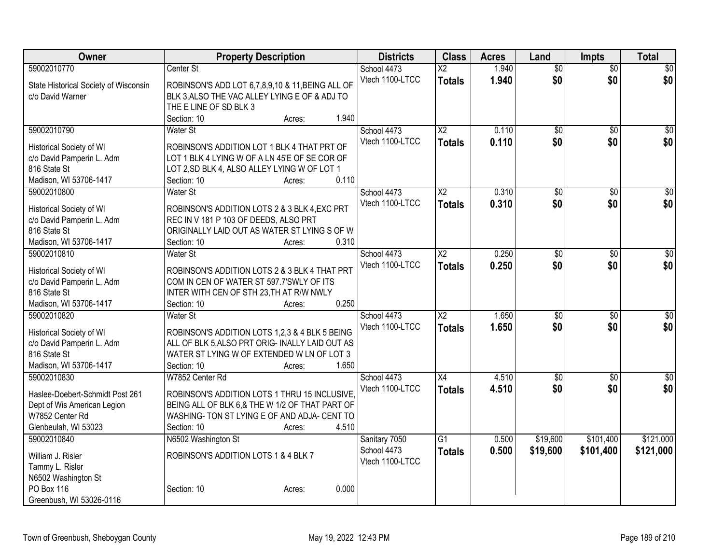| Owner                                     | <b>Property Description</b>                                                           | <b>Districts</b> | <b>Class</b>           | <b>Acres</b> | Land            | <b>Impts</b>    | <b>Total</b>     |
|-------------------------------------------|---------------------------------------------------------------------------------------|------------------|------------------------|--------------|-----------------|-----------------|------------------|
| 59002010770                               | Center St                                                                             | School 4473      | $\overline{X2}$        | 1.940        | $\overline{50}$ | $\overline{50}$ | $\sqrt{50}$      |
| State Historical Society of Wisconsin     | ROBINSON'S ADD LOT 6,7,8,9,10 & 11, BEING ALL OF                                      | Vtech 1100-LTCC  | <b>Totals</b>          | 1.940        | \$0             | \$0             | \$0              |
| c/o David Warner                          | BLK 3, ALSO THE VAC ALLEY LYING E OF & ADJ TO                                         |                  |                        |              |                 |                 |                  |
|                                           | THE E LINE OF SD BLK 3                                                                |                  |                        |              |                 |                 |                  |
|                                           | 1.940<br>Section: 10<br>Acres:                                                        |                  |                        |              |                 |                 |                  |
| 59002010790                               | <b>Water St</b>                                                                       | School 4473      | X <sub>2</sub>         | 0.110        | \$0             | $\sqrt{6}$      | \$0              |
| Historical Society of WI                  | ROBINSON'S ADDITION LOT 1 BLK 4 THAT PRT OF                                           | Vtech 1100-LTCC  | <b>Totals</b>          | 0.110        | \$0             | \$0             | \$0              |
| c/o David Pamperin L. Adm                 | LOT 1 BLK 4 LYING W OF A LN 45'E OF SE COR OF                                         |                  |                        |              |                 |                 |                  |
| 816 State St                              | LOT 2, SD BLK 4, ALSO ALLEY LYING W OF LOT 1                                          |                  |                        |              |                 |                 |                  |
| Madison, WI 53706-1417                    | 0.110<br>Section: 10<br>Acres:                                                        |                  |                        |              |                 |                 |                  |
| 59002010800                               | <b>Water St</b>                                                                       | School 4473      | $\overline{\text{X2}}$ | 0.310        | \$0             | \$0             | $\sqrt{50}$      |
|                                           |                                                                                       | Vtech 1100-LTCC  | <b>Totals</b>          | 0.310        | \$0             | \$0             | \$0              |
| Historical Society of WI                  | ROBINSON'S ADDITION LOTS 2 & 3 BLK 4, EXC PRT                                         |                  |                        |              |                 |                 |                  |
| c/o David Pamperin L. Adm<br>816 State St | REC IN V 181 P 103 OF DEEDS, ALSO PRT<br>ORIGINALLY LAID OUT AS WATER ST LYING S OF W |                  |                        |              |                 |                 |                  |
| Madison, WI 53706-1417                    | 0.310<br>Section: 10<br>Acres:                                                        |                  |                        |              |                 |                 |                  |
| 59002010810                               | Water St                                                                              | School 4473      | $\overline{\text{X2}}$ | 0.250        | $\overline{30}$ | \$0             | $\overline{50}$  |
|                                           |                                                                                       | Vtech 1100-LTCC  | <b>Totals</b>          | 0.250        | \$0             | \$0             | \$0              |
| Historical Society of WI                  | ROBINSON'S ADDITION LOTS 2 & 3 BLK 4 THAT PRT                                         |                  |                        |              |                 |                 |                  |
| c/o David Pamperin L. Adm                 | COM IN CEN OF WATER ST 597.7'SWLY OF ITS                                              |                  |                        |              |                 |                 |                  |
| 816 State St                              | INTER WITH CEN OF STH 23, TH AT R/W NWLY                                              |                  |                        |              |                 |                 |                  |
| Madison, WI 53706-1417                    | 0.250<br>Section: 10<br>Acres:                                                        |                  |                        |              |                 |                 |                  |
| 59002010820                               | Water St                                                                              | School 4473      | $\overline{X2}$        | 1.650        | $\overline{50}$ | $\overline{50}$ | $\overline{\$0}$ |
| <b>Historical Society of WI</b>           | ROBINSON'S ADDITION LOTS 1,2,3 & 4 BLK 5 BEING                                        | Vtech 1100-LTCC  | <b>Totals</b>          | 1.650        | \$0             | \$0             | \$0              |
| c/o David Pamperin L. Adm                 | ALL OF BLK 5, ALSO PRT ORIG- INALLY LAID OUT AS                                       |                  |                        |              |                 |                 |                  |
| 816 State St                              | WATER ST LYING W OF EXTENDED W LN OF LOT 3                                            |                  |                        |              |                 |                 |                  |
| Madison, WI 53706-1417                    | 1.650<br>Section: 10<br>Acres:                                                        |                  |                        |              |                 |                 |                  |
| 59002010830                               | W7852 Center Rd                                                                       | School 4473      | X4                     | 4.510        | $\overline{60}$ | $\overline{50}$ | $\overline{30}$  |
| Haslee-Doebert-Schmidt Post 261           | ROBINSON'S ADDITION LOTS 1 THRU 15 INCLUSIVE.                                         | Vtech 1100-LTCC  | <b>Totals</b>          | 4.510        | \$0             | \$0             | \$0              |
| Dept of Wis American Legion               | BEING ALL OF BLK 6.& THE W 1/2 OF THAT PART OF                                        |                  |                        |              |                 |                 |                  |
| W7852 Center Rd                           | WASHING- TON ST LYING E OF AND ADJA- CENT TO                                          |                  |                        |              |                 |                 |                  |
| Glenbeulah, WI 53023                      | 4.510<br>Section: 10<br>Acres:                                                        |                  |                        |              |                 |                 |                  |
| 59002010840                               | N6502 Washington St                                                                   | Sanitary 7050    | G1                     | 0.500        | \$19,600        | \$101,400       | \$121,000        |
| William J. Risler                         | ROBINSON'S ADDITION LOTS 1 & 4 BLK 7                                                  | School 4473      | <b>Totals</b>          | 0.500        | \$19,600        | \$101,400       | \$121,000        |
| Tammy L. Risler                           |                                                                                       | Vtech 1100-LTCC  |                        |              |                 |                 |                  |
| N6502 Washington St                       |                                                                                       |                  |                        |              |                 |                 |                  |
| PO Box 116                                | 0.000<br>Section: 10<br>Acres:                                                        |                  |                        |              |                 |                 |                  |
| Greenbush, WI 53026-0116                  |                                                                                       |                  |                        |              |                 |                 |                  |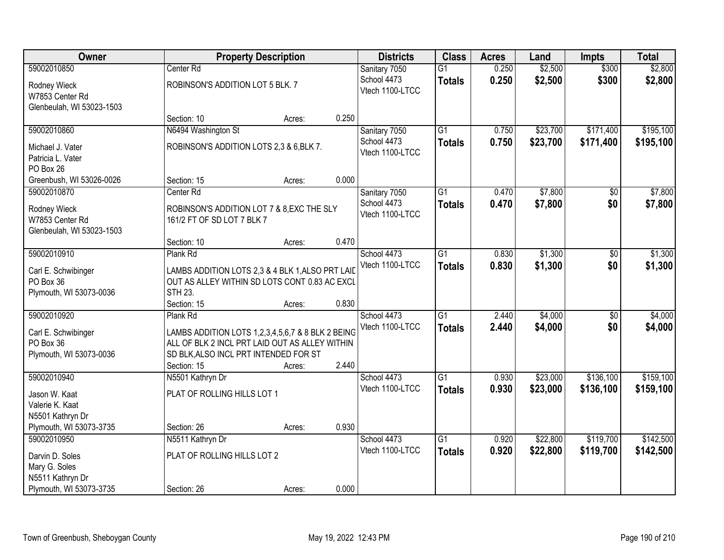| Owner                     |                                                   | <b>Property Description</b> |       |                 | <b>Class</b>    | <b>Acres</b> | Land     | <b>Impts</b>    | <b>Total</b> |
|---------------------------|---------------------------------------------------|-----------------------------|-------|-----------------|-----------------|--------------|----------|-----------------|--------------|
| 59002010850               | Center Rd                                         |                             |       | Sanitary 7050   | $\overline{G1}$ | 0.250        | \$2,500  | \$300           | \$2,800      |
| Rodney Wieck              | ROBINSON'S ADDITION LOT 5 BLK. 7                  |                             |       | School 4473     | <b>Totals</b>   | 0.250        | \$2,500  | \$300           | \$2,800      |
| W7853 Center Rd           |                                                   |                             |       | Vtech 1100-LTCC |                 |              |          |                 |              |
| Glenbeulah, WI 53023-1503 |                                                   |                             |       |                 |                 |              |          |                 |              |
|                           | Section: 10                                       | Acres:                      | 0.250 |                 |                 |              |          |                 |              |
| 59002010860               | N6494 Washington St                               |                             |       | Sanitary 7050   | $\overline{G1}$ | 0.750        | \$23,700 | \$171,400       | \$195,100    |
| Michael J. Vater          | ROBINSON'S ADDITION LOTS 2,3 & 6, BLK 7.          |                             |       | School 4473     | <b>Totals</b>   | 0.750        | \$23,700 | \$171,400       | \$195,100    |
| Patricia L. Vater         |                                                   |                             |       | Vtech 1100-LTCC |                 |              |          |                 |              |
| PO Box 26                 |                                                   |                             |       |                 |                 |              |          |                 |              |
| Greenbush, WI 53026-0026  | Section: 15                                       | Acres:                      | 0.000 |                 |                 |              |          |                 |              |
| 59002010870               | Center <sub>Rd</sub>                              |                             |       | Sanitary 7050   | G1              | 0.470        | \$7,800  | \$0             | \$7,800      |
| Rodney Wieck              | ROBINSON'S ADDITION LOT 7 & 8, EXC THE SLY        |                             |       | School 4473     | <b>Totals</b>   | 0.470        | \$7,800  | \$0             | \$7,800      |
| W7853 Center Rd           | 161/2 FT OF SD LOT 7 BLK 7                        |                             |       | Vtech 1100-LTCC |                 |              |          |                 |              |
| Glenbeulah, WI 53023-1503 |                                                   |                             |       |                 |                 |              |          |                 |              |
|                           | Section: 10                                       | Acres:                      | 0.470 |                 |                 |              |          |                 |              |
| 59002010910               | Plank Rd                                          |                             |       | School 4473     | $\overline{G1}$ | 0.830        | \$1,300  | $\sqrt[6]{3}$   | \$1,300      |
| Carl E. Schwibinger       | LAMBS ADDITION LOTS 2,3 & 4 BLK 1, ALSO PRT LAID  |                             |       | Vtech 1100-LTCC | <b>Totals</b>   | 0.830        | \$1,300  | \$0             | \$1,300      |
| PO Box 36                 | OUT AS ALLEY WITHIN SD LOTS CONT 0.83 AC EXCL     |                             |       |                 |                 |              |          |                 |              |
| Plymouth, WI 53073-0036   | <b>STH 23.</b>                                    |                             |       |                 |                 |              |          |                 |              |
|                           | Section: 15                                       | Acres:                      | 0.830 |                 |                 |              |          |                 |              |
| 59002010920               | Plank Rd                                          |                             |       | School 4473     | $\overline{G1}$ | 2.440        | \$4,000  | $\overline{50}$ | \$4,000      |
| Carl E. Schwibinger       | LAMBS ADDITION LOTS 1,2,3,4,5,6,7 & 8 BLK 2 BEING |                             |       | Vtech 1100-LTCC | <b>Totals</b>   | 2.440        | \$4,000  | \$0             | \$4,000      |
| PO Box 36                 | ALL OF BLK 2 INCL PRT LAID OUT AS ALLEY WITHIN    |                             |       |                 |                 |              |          |                 |              |
| Plymouth, WI 53073-0036   | SD BLK, ALSO INCL PRT INTENDED FOR ST             |                             |       |                 |                 |              |          |                 |              |
|                           | Section: 15                                       | Acres:                      | 2.440 |                 |                 |              |          |                 |              |
| 59002010940               | N5501 Kathryn Dr                                  |                             |       | School 4473     | $\overline{G1}$ | 0.930        | \$23,000 | \$136,100       | \$159,100    |
| Jason W. Kaat             | PLAT OF ROLLING HILLS LOT 1                       |                             |       | Vtech 1100-LTCC | <b>Totals</b>   | 0.930        | \$23,000 | \$136,100       | \$159,100    |
| Valerie K. Kaat           |                                                   |                             |       |                 |                 |              |          |                 |              |
| N5501 Kathryn Dr          |                                                   |                             |       |                 |                 |              |          |                 |              |
| Plymouth, WI 53073-3735   | Section: 26                                       | Acres:                      | 0.930 |                 |                 |              |          |                 |              |
| 59002010950               | N5511 Kathryn Dr                                  |                             |       | School 4473     | $\overline{G1}$ | 0.920        | \$22,800 | \$119,700       | \$142,500    |
| Darvin D. Soles           | PLAT OF ROLLING HILLS LOT 2                       |                             |       | Vtech 1100-LTCC | <b>Totals</b>   | 0.920        | \$22,800 | \$119,700       | \$142,500    |
| Mary G. Soles             |                                                   |                             |       |                 |                 |              |          |                 |              |
| N5511 Kathryn Dr          |                                                   |                             |       |                 |                 |              |          |                 |              |
| Plymouth, WI 53073-3735   | Section: 26                                       | Acres:                      | 0.000 |                 |                 |              |          |                 |              |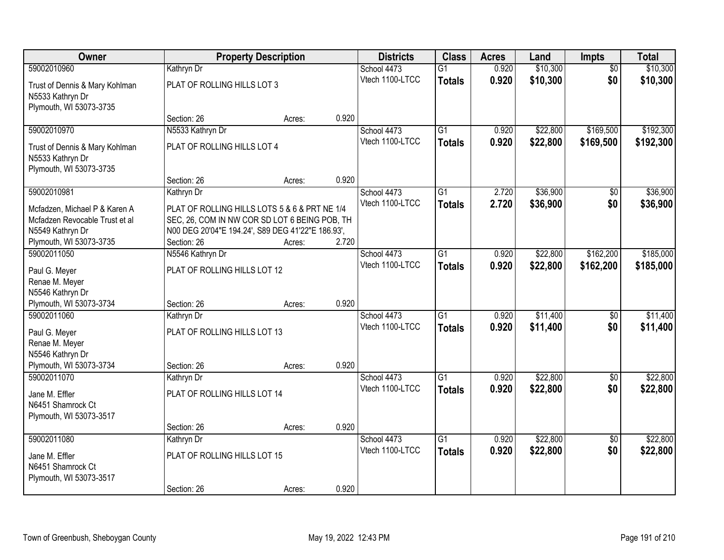| Owner                          | <b>Property Description</b>                       |        | <b>Districts</b> | <b>Class</b>                   | <b>Acres</b>    | Land  | Impts    | <b>Total</b>    |           |
|--------------------------------|---------------------------------------------------|--------|------------------|--------------------------------|-----------------|-------|----------|-----------------|-----------|
| 59002010960                    | Kathryn Dr                                        |        |                  | School 4473                    | $\overline{G1}$ | 0.920 | \$10,300 | $\overline{50}$ | \$10,300  |
| Trust of Dennis & Mary Kohlman | PLAT OF ROLLING HILLS LOT 3                       |        |                  | Vtech 1100-LTCC                | <b>Totals</b>   | 0.920 | \$10,300 | \$0             | \$10,300  |
| N5533 Kathryn Dr               |                                                   |        |                  |                                |                 |       |          |                 |           |
| Plymouth, WI 53073-3735        |                                                   |        |                  |                                |                 |       |          |                 |           |
|                                | Section: 26                                       | Acres: | 0.920            |                                |                 |       |          |                 |           |
| 59002010970                    | N5533 Kathryn Dr                                  |        |                  | School 4473                    | $\overline{G1}$ | 0.920 | \$22,800 | \$169,500       | \$192,300 |
| Trust of Dennis & Mary Kohlman | PLAT OF ROLLING HILLS LOT 4                       |        |                  | Vtech 1100-LTCC                | <b>Totals</b>   | 0.920 | \$22,800 | \$169,500       | \$192,300 |
| N5533 Kathryn Dr               |                                                   |        |                  |                                |                 |       |          |                 |           |
| Plymouth, WI 53073-3735        |                                                   |        |                  |                                |                 |       |          |                 |           |
|                                | Section: 26                                       | Acres: | 0.920            |                                |                 |       |          |                 |           |
| 59002010981                    | Kathryn Dr                                        |        |                  | School 4473<br>Vtech 1100-LTCC | $\overline{G1}$ | 2.720 | \$36,900 | \$0             | \$36,900  |
| Mcfadzen, Michael P & Karen A  | PLAT OF ROLLING HILLS LOTS 5 & 6 & PRT NE 1/4     |        |                  |                                | <b>Totals</b>   | 2.720 | \$36,900 | \$0             | \$36,900  |
| Mcfadzen Revocable Trust et al | SEC, 26, COM IN NW COR SD LOT 6 BEING POB, TH     |        |                  |                                |                 |       |          |                 |           |
| N5549 Kathryn Dr               | N00 DEG 20'04"E 194.24', S89 DEG 41'22"E 186.93', |        |                  |                                |                 |       |          |                 |           |
| Plymouth, WI 53073-3735        | Section: 26                                       | Acres: | 2.720            |                                |                 |       |          |                 |           |
| 59002011050                    | N5546 Kathryn Dr                                  |        |                  | School 4473<br>Vtech 1100-LTCC | $\overline{G1}$ | 0.920 | \$22,800 | \$162,200       | \$185,000 |
| Paul G. Meyer                  | PLAT OF ROLLING HILLS LOT 12                      |        |                  |                                | <b>Totals</b>   | 0.920 | \$22,800 | \$162,200       | \$185,000 |
| Renae M. Meyer                 |                                                   |        |                  |                                |                 |       |          |                 |           |
| N5546 Kathryn Dr               |                                                   |        |                  |                                |                 |       |          |                 |           |
| Plymouth, WI 53073-3734        | Section: 26                                       | Acres: | 0.920            |                                |                 |       |          |                 |           |
| 59002011060                    | Kathryn Dr                                        |        |                  | School 4473                    | $\overline{G1}$ | 0.920 | \$11,400 | $\overline{50}$ | \$11,400  |
| Paul G. Meyer                  | PLAT OF ROLLING HILLS LOT 13                      |        |                  | Vtech 1100-LTCC                | <b>Totals</b>   | 0.920 | \$11,400 | \$0             | \$11,400  |
| Renae M. Meyer                 |                                                   |        |                  |                                |                 |       |          |                 |           |
| N5546 Kathryn Dr               |                                                   |        |                  |                                |                 |       |          |                 |           |
| Plymouth, WI 53073-3734        | Section: 26                                       | Acres: | 0.920            |                                |                 |       |          |                 |           |
| 59002011070                    | Kathryn Dr                                        |        |                  | School 4473<br>Vtech 1100-LTCC | $\overline{G1}$ | 0.920 | \$22,800 | $\sqrt{6}$      | \$22,800  |
| Jane M. Effler                 | PLAT OF ROLLING HILLS LOT 14                      |        |                  |                                | <b>Totals</b>   | 0.920 | \$22,800 | \$0             | \$22,800  |
| N6451 Shamrock Ct              |                                                   |        |                  |                                |                 |       |          |                 |           |
| Plymouth, WI 53073-3517        |                                                   |        |                  |                                |                 |       |          |                 |           |
|                                | Section: 26                                       | Acres: | 0.920            |                                |                 |       |          |                 |           |
| 59002011080                    | Kathryn Dr                                        |        |                  | School 4473<br>Vtech 1100-LTCC | $\overline{G1}$ | 0.920 | \$22,800 | $\overline{50}$ | \$22,800  |
| Jane M. Effler                 | PLAT OF ROLLING HILLS LOT 15                      |        |                  |                                | <b>Totals</b>   | 0.920 | \$22,800 | \$0             | \$22,800  |
| N6451 Shamrock Ct              |                                                   |        |                  |                                |                 |       |          |                 |           |
| Plymouth, WI 53073-3517        |                                                   |        |                  |                                |                 |       |          |                 |           |
|                                | Section: 26                                       | Acres: | 0.920            |                                |                 |       |          |                 |           |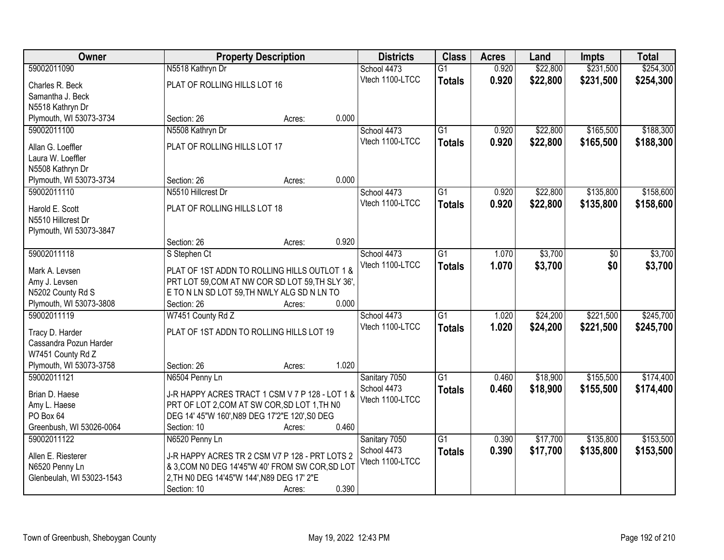| Owner                     |                                            | <b>Property Description</b>                      |       |                 | <b>Class</b>    | <b>Acres</b> | Land     | <b>Impts</b> | <b>Total</b> |
|---------------------------|--------------------------------------------|--------------------------------------------------|-------|-----------------|-----------------|--------------|----------|--------------|--------------|
| 59002011090               | N5518 Kathryn Dr                           |                                                  |       | School 4473     | $\overline{G1}$ | 0.920        | \$22,800 | \$231,500    | \$254,300    |
| Charles R. Beck           | PLAT OF ROLLING HILLS LOT 16               |                                                  |       | Vtech 1100-LTCC | <b>Totals</b>   | 0.920        | \$22,800 | \$231,500    | \$254,300    |
| Samantha J. Beck          |                                            |                                                  |       |                 |                 |              |          |              |              |
| N5518 Kathryn Dr          |                                            |                                                  |       |                 |                 |              |          |              |              |
| Plymouth, WI 53073-3734   | Section: 26                                | Acres:                                           | 0.000 |                 |                 |              |          |              |              |
| 59002011100               | N5508 Kathryn Dr                           |                                                  |       | School 4473     | $\overline{G1}$ | 0.920        | \$22,800 | \$165,500    | \$188,300    |
|                           |                                            |                                                  |       | Vtech 1100-LTCC | <b>Totals</b>   | 0.920        | \$22,800 | \$165,500    | \$188,300    |
| Allan G. Loeffler         | PLAT OF ROLLING HILLS LOT 17               |                                                  |       |                 |                 |              |          |              |              |
| Laura W. Loeffler         |                                            |                                                  |       |                 |                 |              |          |              |              |
| N5508 Kathryn Dr          |                                            |                                                  |       |                 |                 |              |          |              |              |
| Plymouth, WI 53073-3734   | Section: 26                                | Acres:                                           | 0.000 |                 |                 |              |          |              |              |
| 59002011110               | N5510 Hillcrest Dr                         |                                                  |       | School 4473     | G1              | 0.920        | \$22,800 | \$135,800    | \$158,600    |
| Harold E. Scott           | PLAT OF ROLLING HILLS LOT 18               |                                                  |       | Vtech 1100-LTCC | <b>Totals</b>   | 0.920        | \$22,800 | \$135,800    | \$158,600    |
| N5510 Hillcrest Dr        |                                            |                                                  |       |                 |                 |              |          |              |              |
| Plymouth, WI 53073-3847   |                                            |                                                  |       |                 |                 |              |          |              |              |
|                           | Section: 26                                | Acres:                                           | 0.920 |                 |                 |              |          |              |              |
| 59002011118               | S Stephen Ct                               |                                                  |       | School 4473     | G1              | 1.070        | \$3,700  | \$0          | \$3,700      |
| Mark A. Levsen            |                                            | PLAT OF 1ST ADDN TO ROLLING HILLS OUTLOT 1 &     |       | Vtech 1100-LTCC | <b>Totals</b>   | 1.070        | \$3,700  | \$0          | \$3,700      |
| Amy J. Levsen             |                                            | PRT LOT 59, COM AT NW COR SD LOT 59, TH SLY 36', |       |                 |                 |              |          |              |              |
| N5202 County Rd S         |                                            | E TO N LN SD LOT 59, TH NWLY ALG SD N LN TO      |       |                 |                 |              |          |              |              |
| Plymouth, WI 53073-3808   | Section: 26                                | Acres:                                           | 0.000 |                 |                 |              |          |              |              |
| 59002011119               | W7451 County Rd Z                          |                                                  |       | School 4473     | $\overline{G1}$ | 1.020        | \$24,200 | \$221,500    | \$245,700    |
|                           |                                            |                                                  |       | Vtech 1100-LTCC | <b>Totals</b>   | 1.020        | \$24,200 | \$221,500    | \$245,700    |
| Tracy D. Harder           |                                            | PLAT OF 1ST ADDN TO ROLLING HILLS LOT 19         |       |                 |                 |              |          |              |              |
| Cassandra Pozun Harder    |                                            |                                                  |       |                 |                 |              |          |              |              |
| W7451 County Rd Z         |                                            |                                                  |       |                 |                 |              |          |              |              |
| Plymouth, WI 53073-3758   | Section: 26                                | Acres:                                           | 1.020 |                 |                 |              |          |              |              |
| 59002011121               | N6504 Penny Ln                             |                                                  |       | Sanitary 7050   | $\overline{G1}$ | 0.460        | \$18,900 | \$155,500    | \$174,400    |
| Brian D. Haese            |                                            | J-R HAPPY ACRES TRACT 1 CSM V 7 P 128 - LOT 1 &  |       | School 4473     | <b>Totals</b>   | 0.460        | \$18,900 | \$155,500    | \$174,400    |
| Amy L. Haese              |                                            | PRT OF LOT 2, COM AT SW COR, SD LOT 1, TH NO     |       | Vtech 1100-LTCC |                 |              |          |              |              |
| PO Box 64                 |                                            | DEG 14' 45"W 160', N89 DEG 17'2"E 120', S0 DEG   |       |                 |                 |              |          |              |              |
| Greenbush, WI 53026-0064  | Section: 10                                | Acres:                                           | 0.460 |                 |                 |              |          |              |              |
| 59002011122               | N6520 Penny Ln                             |                                                  |       | Sanitary 7050   | $\overline{G1}$ | 0.390        | \$17,700 | \$135,800    | \$153,500    |
|                           |                                            |                                                  |       | School 4473     | <b>Totals</b>   | 0.390        | \$17,700 | \$135,800    | \$153,500    |
| Allen E. Riesterer        |                                            | J-R HAPPY ACRES TR 2 CSM V7 P 128 - PRT LOTS 2   |       | Vtech 1100-LTCC |                 |              |          |              |              |
| N6520 Penny Ln            |                                            | & 3, COM N0 DEG 14'45"W 40' FROM SW COR, SD LOT  |       |                 |                 |              |          |              |              |
| Glenbeulah, WI 53023-1543 | 2, TH NO DEG 14'45"W 144', N89 DEG 17' 2"E |                                                  | 0.390 |                 |                 |              |          |              |              |
|                           | Section: 10                                | Acres:                                           |       |                 |                 |              |          |              |              |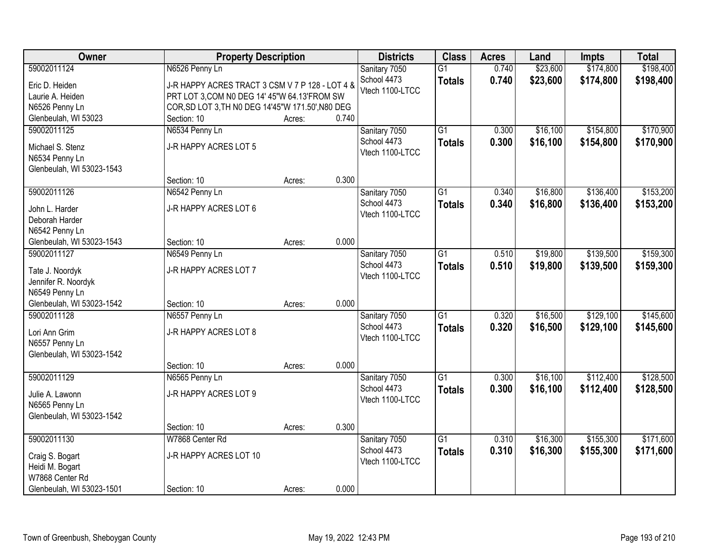| Owner                     |                                                   | <b>Property Description</b> |       |                                | <b>Class</b>    | <b>Acres</b> | Land     | <b>Impts</b> | <b>Total</b> |
|---------------------------|---------------------------------------------------|-----------------------------|-------|--------------------------------|-----------------|--------------|----------|--------------|--------------|
| 59002011124               | N6526 Penny Ln                                    |                             |       | Sanitary 7050                  | $\overline{G1}$ | 0.740        | \$23,600 | \$174,800    | \$198,400    |
| Eric D. Heiden            | J-R HAPPY ACRES TRACT 3 CSM V 7 P 128 - LOT 4 &   |                             |       | School 4473                    | <b>Totals</b>   | 0.740        | \$23,600 | \$174,800    | \$198,400    |
| Laurie A. Heiden          | PRT LOT 3, COM N0 DEG 14' 45"W 64.13'FROM SW      |                             |       | Vtech 1100-LTCC                |                 |              |          |              |              |
| N6526 Penny Ln            | COR, SD LOT 3, TH N0 DEG 14'45"W 171.50', N80 DEG |                             |       |                                |                 |              |          |              |              |
| Glenbeulah, WI 53023      | Section: 10                                       | Acres:                      | 0.740 |                                |                 |              |          |              |              |
| 59002011125               | N6534 Penny Ln                                    |                             |       | Sanitary 7050                  | $\overline{G1}$ | 0.300        | \$16,100 | \$154,800    | \$170,900    |
|                           |                                                   |                             |       | School 4473                    | <b>Totals</b>   | 0.300        | \$16,100 | \$154,800    | \$170,900    |
| Michael S. Stenz          | J-R HAPPY ACRES LOT 5                             |                             |       | Vtech 1100-LTCC                |                 |              |          |              |              |
| N6534 Penny Ln            |                                                   |                             |       |                                |                 |              |          |              |              |
| Glenbeulah, WI 53023-1543 |                                                   |                             | 0.300 |                                |                 |              |          |              |              |
|                           | Section: 10                                       | Acres:                      |       |                                |                 |              |          |              |              |
| 59002011126               | N6542 Penny Ln                                    |                             |       | Sanitary 7050                  | $\overline{G1}$ | 0.340        | \$16,800 | \$136,400    | \$153,200    |
| John L. Harder            | J-R HAPPY ACRES LOT 6                             |                             |       | School 4473<br>Vtech 1100-LTCC | <b>Totals</b>   | 0.340        | \$16,800 | \$136,400    | \$153,200    |
| Deborah Harder            |                                                   |                             |       |                                |                 |              |          |              |              |
| N6542 Penny Ln            |                                                   |                             |       |                                |                 |              |          |              |              |
| Glenbeulah, WI 53023-1543 | Section: 10                                       | Acres:                      | 0.000 |                                |                 |              |          |              |              |
| 59002011127               | N6549 Penny Ln                                    |                             |       | Sanitary 7050                  | $\overline{G1}$ | 0.510        | \$19,800 | \$139,500    | \$159,300    |
| Tate J. Noordyk           | J-R HAPPY ACRES LOT 7                             |                             |       | School 4473                    | <b>Totals</b>   | 0.510        | \$19,800 | \$139,500    | \$159,300    |
| Jennifer R. Noordyk       |                                                   |                             |       | Vtech 1100-LTCC                |                 |              |          |              |              |
| N6549 Penny Ln            |                                                   |                             |       |                                |                 |              |          |              |              |
| Glenbeulah, WI 53023-1542 | Section: 10                                       | Acres:                      | 0.000 |                                |                 |              |          |              |              |
| 59002011128               | N6557 Penny Ln                                    |                             |       | Sanitary 7050                  | $\overline{G1}$ | 0.320        | \$16,500 | \$129,100    | \$145,600    |
|                           |                                                   |                             |       | School 4473                    | <b>Totals</b>   | 0.320        | \$16,500 | \$129,100    | \$145,600    |
| Lori Ann Grim             | J-R HAPPY ACRES LOT 8                             |                             |       | Vtech 1100-LTCC                |                 |              |          |              |              |
| N6557 Penny Ln            |                                                   |                             |       |                                |                 |              |          |              |              |
| Glenbeulah, WI 53023-1542 |                                                   |                             |       |                                |                 |              |          |              |              |
|                           | Section: 10                                       | Acres:                      | 0.000 |                                |                 |              |          |              |              |
| 59002011129               | N6565 Penny Ln                                    |                             |       | Sanitary 7050                  | $\overline{G1}$ | 0.300        | \$16,100 | \$112,400    | \$128,500    |
| Julie A. Lawonn           | J-R HAPPY ACRES LOT 9                             |                             |       | School 4473                    | <b>Totals</b>   | 0.300        | \$16,100 | \$112,400    | \$128,500    |
| N6565 Penny Ln            |                                                   |                             |       | Vtech 1100-LTCC                |                 |              |          |              |              |
| Glenbeulah, WI 53023-1542 |                                                   |                             |       |                                |                 |              |          |              |              |
|                           | Section: 10                                       | Acres:                      | 0.300 |                                |                 |              |          |              |              |
| 59002011130               | W7868 Center Rd                                   |                             |       | Sanitary 7050                  | $\overline{G1}$ | 0.310        | \$16,300 | \$155,300    | \$171,600    |
| Craig S. Bogart           | J-R HAPPY ACRES LOT 10                            |                             |       | School 4473                    | <b>Totals</b>   | 0.310        | \$16,300 | \$155,300    | \$171,600    |
| Heidi M. Bogart           |                                                   |                             |       | Vtech 1100-LTCC                |                 |              |          |              |              |
| W7868 Center Rd           |                                                   |                             |       |                                |                 |              |          |              |              |
| Glenbeulah, WI 53023-1501 | Section: 10                                       | Acres:                      | 0.000 |                                |                 |              |          |              |              |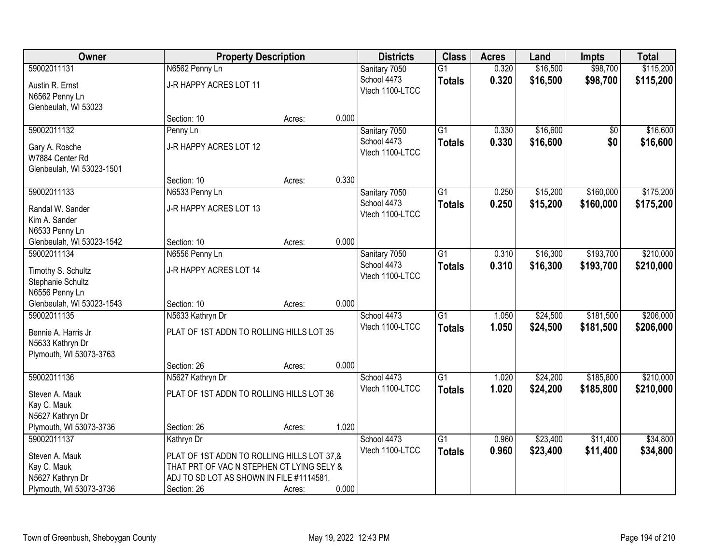| Owner                     | <b>Property Description</b>                |        | <b>Districts</b> | <b>Class</b>    | <b>Acres</b>    | Land  | <b>Impts</b> | <b>Total</b>    |           |
|---------------------------|--------------------------------------------|--------|------------------|-----------------|-----------------|-------|--------------|-----------------|-----------|
| 59002011131               | N6562 Penny Ln                             |        |                  | Sanitary 7050   | $\overline{G1}$ | 0.320 | \$16,500     | \$98,700        | \$115,200 |
| Austin R. Ernst           | J-R HAPPY ACRES LOT 11                     |        |                  | School 4473     | <b>Totals</b>   | 0.320 | \$16,500     | \$98,700        | \$115,200 |
| N6562 Penny Ln            |                                            |        |                  | Vtech 1100-LTCC |                 |       |              |                 |           |
| Glenbeulah, WI 53023      |                                            |        |                  |                 |                 |       |              |                 |           |
|                           | Section: 10                                | Acres: | 0.000            |                 |                 |       |              |                 |           |
| 59002011132               | Penny Ln                                   |        |                  | Sanitary 7050   | $\overline{G1}$ | 0.330 | \$16,600     | $\overline{50}$ | \$16,600  |
| Gary A. Rosche            | J-R HAPPY ACRES LOT 12                     |        |                  | School 4473     | <b>Totals</b>   | 0.330 | \$16,600     | \$0             | \$16,600  |
| W7884 Center Rd           |                                            |        |                  | Vtech 1100-LTCC |                 |       |              |                 |           |
| Glenbeulah, WI 53023-1501 |                                            |        |                  |                 |                 |       |              |                 |           |
|                           | Section: 10                                | Acres: | 0.330            |                 |                 |       |              |                 |           |
| 59002011133               | N6533 Penny Ln                             |        |                  | Sanitary 7050   | $\overline{G1}$ | 0.250 | \$15,200     | \$160,000       | \$175,200 |
| Randal W. Sander          | J-R HAPPY ACRES LOT 13                     |        |                  | School 4473     | <b>Totals</b>   | 0.250 | \$15,200     | \$160,000       | \$175,200 |
| Kim A. Sander             |                                            |        |                  | Vtech 1100-LTCC |                 |       |              |                 |           |
| N6533 Penny Ln            |                                            |        |                  |                 |                 |       |              |                 |           |
| Glenbeulah, WI 53023-1542 | Section: 10                                | Acres: | 0.000            |                 |                 |       |              |                 |           |
| 59002011134               | N6556 Penny Ln                             |        |                  | Sanitary 7050   | $\overline{G1}$ | 0.310 | \$16,300     | \$193,700       | \$210,000 |
| Timothy S. Schultz        | J-R HAPPY ACRES LOT 14                     |        |                  | School 4473     | <b>Totals</b>   | 0.310 | \$16,300     | \$193,700       | \$210,000 |
| Stephanie Schultz         |                                            |        |                  | Vtech 1100-LTCC |                 |       |              |                 |           |
| N6556 Penny Ln            |                                            |        |                  |                 |                 |       |              |                 |           |
| Glenbeulah, WI 53023-1543 | Section: 10                                | Acres: | 0.000            |                 |                 |       |              |                 |           |
| 59002011135               | N5633 Kathryn Dr                           |        |                  | School 4473     | $\overline{G1}$ | 1.050 | \$24,500     | \$181,500       | \$206,000 |
| Bennie A. Harris Jr       | PLAT OF 1ST ADDN TO ROLLING HILLS LOT 35   |        |                  | Vtech 1100-LTCC | <b>Totals</b>   | 1.050 | \$24,500     | \$181,500       | \$206,000 |
| N5633 Kathryn Dr          |                                            |        |                  |                 |                 |       |              |                 |           |
| Plymouth, WI 53073-3763   |                                            |        |                  |                 |                 |       |              |                 |           |
|                           | Section: 26                                | Acres: | 0.000            |                 |                 |       |              |                 |           |
| 59002011136               | N5627 Kathryn Dr                           |        |                  | School 4473     | G1              | 1.020 | \$24,200     | \$185,800       | \$210,000 |
| Steven A. Mauk            | PLAT OF 1ST ADDN TO ROLLING HILLS LOT 36   |        |                  | Vtech 1100-LTCC | <b>Totals</b>   | 1.020 | \$24,200     | \$185,800       | \$210,000 |
| Kay C. Mauk               |                                            |        |                  |                 |                 |       |              |                 |           |
| N5627 Kathryn Dr          |                                            |        |                  |                 |                 |       |              |                 |           |
| Plymouth, WI 53073-3736   | Section: 26                                | Acres: | 1.020            |                 |                 |       |              |                 |           |
| 59002011137               | Kathryn Dr                                 |        |                  | School 4473     | $\overline{G1}$ | 0.960 | \$23,400     | \$11,400        | \$34,800  |
| Steven A. Mauk            | PLAT OF 1ST ADDN TO ROLLING HILLS LOT 37,& |        |                  | Vtech 1100-LTCC | <b>Totals</b>   | 0.960 | \$23,400     | \$11,400        | \$34,800  |
| Kay C. Mauk               | THAT PRT OF VAC N STEPHEN CT LYING SELY &  |        |                  |                 |                 |       |              |                 |           |
| N5627 Kathryn Dr          | ADJ TO SD LOT AS SHOWN IN FILE #1114581.   |        |                  |                 |                 |       |              |                 |           |
| Plymouth, WI 53073-3736   | Section: 26                                | Acres: | 0.000            |                 |                 |       |              |                 |           |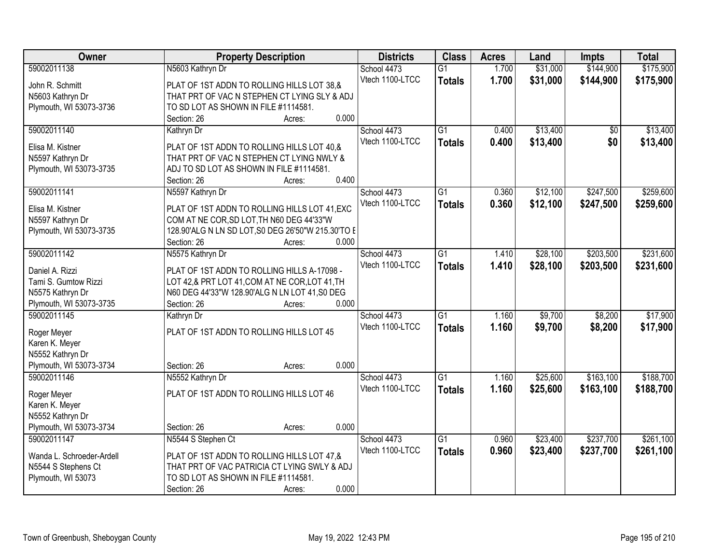| Owner                                  | <b>Property Description</b>                                           | <b>Districts</b> | <b>Class</b>    | <b>Acres</b> | Land     | <b>Impts</b> | <b>Total</b> |
|----------------------------------------|-----------------------------------------------------------------------|------------------|-----------------|--------------|----------|--------------|--------------|
| 59002011138                            | N5603 Kathryn Dr                                                      | School 4473      | $\overline{G1}$ | 1.700        | \$31,000 | \$144,900    | \$175,900    |
| John R. Schmitt                        | PLAT OF 1ST ADDN TO ROLLING HILLS LOT 38,&                            | Vtech 1100-LTCC  | <b>Totals</b>   | 1.700        | \$31,000 | \$144,900    | \$175,900    |
| N5603 Kathryn Dr                       | THAT PRT OF VAC N STEPHEN CT LYING SLY & ADJ                          |                  |                 |              |          |              |              |
| Plymouth, WI 53073-3736                | TO SD LOT AS SHOWN IN FILE #1114581.                                  |                  |                 |              |          |              |              |
|                                        | 0.000<br>Section: 26<br>Acres:                                        |                  |                 |              |          |              |              |
| 59002011140                            | Kathryn Dr                                                            | School 4473      | $\overline{G1}$ | 0.400        | \$13,400 | \$0          | \$13,400     |
|                                        |                                                                       | Vtech 1100-LTCC  | <b>Totals</b>   | 0.400        | \$13,400 | \$0          | \$13,400     |
| Elisa M. Kistner                       | PLAT OF 1ST ADDN TO ROLLING HILLS LOT 40,&                            |                  |                 |              |          |              |              |
| N5597 Kathryn Dr                       | THAT PRT OF VAC N STEPHEN CT LYING NWLY &                             |                  |                 |              |          |              |              |
| Plymouth, WI 53073-3735                | ADJ TO SD LOT AS SHOWN IN FILE #1114581.<br>0.400                     |                  |                 |              |          |              |              |
|                                        | Section: 26<br>Acres:                                                 |                  |                 |              |          |              |              |
| 59002011141                            | N5597 Kathryn Dr                                                      | School 4473      | $\overline{G1}$ | 0.360        | \$12,100 | \$247,500    | \$259,600    |
| Elisa M. Kistner                       | PLAT OF 1ST ADDN TO ROLLING HILLS LOT 41, EXC                         | Vtech 1100-LTCC  | <b>Totals</b>   | 0.360        | \$12,100 | \$247,500    | \$259,600    |
| N5597 Kathryn Dr                       | COM AT NE COR, SD LOT, TH N60 DEG 44'33"W                             |                  |                 |              |          |              |              |
| Plymouth, WI 53073-3735                | 128.90'ALG N LN SD LOT, S0 DEG 26'50"W 215.30'TO E                    |                  |                 |              |          |              |              |
|                                        | Section: 26<br>0.000<br>Acres:                                        |                  |                 |              |          |              |              |
| 59002011142                            | N5575 Kathryn Dr                                                      | School 4473      | $\overline{G1}$ | 1.410        | \$28,100 | \$203,500    | \$231,600    |
|                                        |                                                                       | Vtech 1100-LTCC  | <b>Totals</b>   | 1.410        | \$28,100 | \$203,500    | \$231,600    |
| Daniel A. Rizzi                        | PLAT OF 1ST ADDN TO ROLLING HILLS A-17098 -                           |                  |                 |              |          |              |              |
| Tami S. Gumtow Rizzi                   | LOT 42,& PRT LOT 41, COM AT NE COR, LOT 41, TH                        |                  |                 |              |          |              |              |
| N5575 Kathryn Dr                       | N60 DEG 44'33"W 128.90'ALG N LN LOT 41,S0 DEG<br>0.000<br>Section: 26 |                  |                 |              |          |              |              |
| Plymouth, WI 53073-3735<br>59002011145 | Acres:                                                                |                  | $\overline{G1}$ | 1.160        | \$9,700  | \$8,200      | \$17,900     |
|                                        | Kathryn Dr                                                            | School 4473      |                 |              |          |              |              |
| Roger Meyer                            | PLAT OF 1ST ADDN TO ROLLING HILLS LOT 45                              | Vtech 1100-LTCC  | <b>Totals</b>   | 1.160        | \$9,700  | \$8,200      | \$17,900     |
| Karen K. Meyer                         |                                                                       |                  |                 |              |          |              |              |
| N5552 Kathryn Dr                       |                                                                       |                  |                 |              |          |              |              |
| Plymouth, WI 53073-3734                | 0.000<br>Section: 26<br>Acres:                                        |                  |                 |              |          |              |              |
| 59002011146                            | N5552 Kathryn Dr                                                      | School 4473      | G1              | 1.160        | \$25,600 | \$163,100    | \$188,700    |
| Roger Meyer                            | PLAT OF 1ST ADDN TO ROLLING HILLS LOT 46                              | Vtech 1100-LTCC  | <b>Totals</b>   | 1.160        | \$25,600 | \$163,100    | \$188,700    |
| Karen K. Meyer                         |                                                                       |                  |                 |              |          |              |              |
| N5552 Kathryn Dr                       |                                                                       |                  |                 |              |          |              |              |
| Plymouth, WI 53073-3734                | 0.000<br>Section: 26<br>Acres:                                        |                  |                 |              |          |              |              |
| 59002011147                            | N5544 S Stephen Ct                                                    | School 4473      | $\overline{G1}$ | 0.960        | \$23,400 | \$237,700    | \$261,100    |
|                                        |                                                                       | Vtech 1100-LTCC  |                 | 0.960        | \$23,400 | \$237,700    | \$261,100    |
| Wanda L. Schroeder-Ardell              | PLAT OF 1ST ADDN TO ROLLING HILLS LOT 47,&                            |                  | <b>Totals</b>   |              |          |              |              |
| N5544 S Stephens Ct                    | THAT PRT OF VAC PATRICIA CT LYING SWLY & ADJ                          |                  |                 |              |          |              |              |
| Plymouth, WI 53073                     | TO SD LOT AS SHOWN IN FILE #1114581.                                  |                  |                 |              |          |              |              |
|                                        | 0.000<br>Section: 26<br>Acres:                                        |                  |                 |              |          |              |              |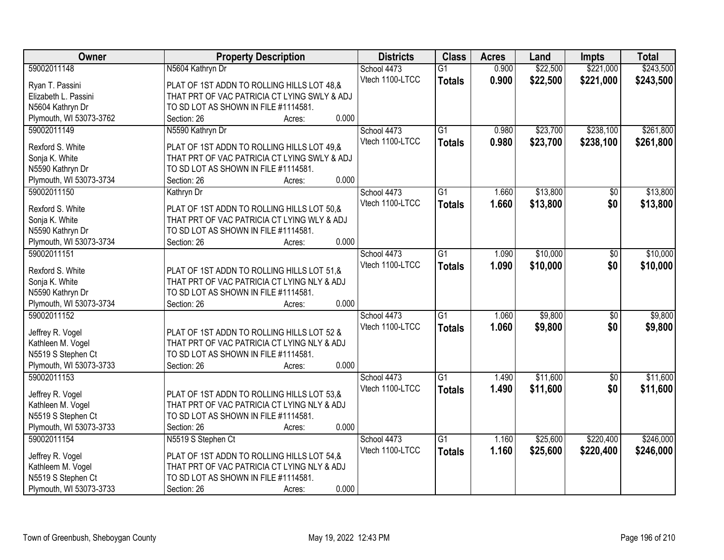| Owner                                   | <b>Property Description</b>                  | <b>Districts</b> | <b>Class</b>    | <b>Acres</b> | Land     | <b>Impts</b>    | <b>Total</b> |
|-----------------------------------------|----------------------------------------------|------------------|-----------------|--------------|----------|-----------------|--------------|
| 59002011148                             | N5604 Kathryn Dr                             | School 4473      | $\overline{G1}$ | 0.900        | \$22,500 | \$221,000       | \$243,500    |
| Ryan T. Passini                         | PLAT OF 1ST ADDN TO ROLLING HILLS LOT 48,&   | Vtech 1100-LTCC  | <b>Totals</b>   | 0.900        | \$22,500 | \$221,000       | \$243,500    |
| Elizabeth L. Passini                    | THAT PRT OF VAC PATRICIA CT LYING SWLY & ADJ |                  |                 |              |          |                 |              |
| N5604 Kathryn Dr                        | TO SD LOT AS SHOWN IN FILE #1114581.         |                  |                 |              |          |                 |              |
| Plymouth, WI 53073-3762                 | 0.000<br>Section: 26<br>Acres:               |                  |                 |              |          |                 |              |
| 59002011149                             | N5590 Kathryn Dr                             | School 4473      | $\overline{G1}$ | 0.980        | \$23,700 | \$238,100       | \$261,800    |
|                                         |                                              | Vtech 1100-LTCC  | <b>Totals</b>   | 0.980        | \$23,700 | \$238,100       | \$261,800    |
| Rexford S. White                        | PLAT OF 1ST ADDN TO ROLLING HILLS LOT 49,&   |                  |                 |              |          |                 |              |
| Sonja K. White                          | THAT PRT OF VAC PATRICIA CT LYING SWLY & ADJ |                  |                 |              |          |                 |              |
| N5590 Kathryn Dr                        | TO SD LOT AS SHOWN IN FILE #1114581.         |                  |                 |              |          |                 |              |
| Plymouth, WI 53073-3734                 | 0.000<br>Section: 26<br>Acres:               |                  |                 |              |          |                 |              |
| 59002011150                             | Kathryn Dr                                   | School 4473      | $\overline{G1}$ | 1.660        | \$13,800 | $\overline{50}$ | \$13,800     |
| Rexford S. White                        | PLAT OF 1ST ADDN TO ROLLING HILLS LOT 50,&   | Vtech 1100-LTCC  | <b>Totals</b>   | 1.660        | \$13,800 | \$0             | \$13,800     |
| Sonja K. White                          | THAT PRT OF VAC PATRICIA CT LYING WLY & ADJ  |                  |                 |              |          |                 |              |
| N5590 Kathryn Dr                        | TO SD LOT AS SHOWN IN FILE #1114581.         |                  |                 |              |          |                 |              |
| Plymouth, WI 53073-3734                 | 0.000<br>Section: 26<br>Acres:               |                  |                 |              |          |                 |              |
| 59002011151                             |                                              | School 4473      | $\overline{G1}$ | 1.090        | \$10,000 | \$0             | \$10,000     |
|                                         |                                              | Vtech 1100-LTCC  | <b>Totals</b>   | 1.090        | \$10,000 | \$0             | \$10,000     |
| Rexford S. White                        | PLAT OF 1ST ADDN TO ROLLING HILLS LOT 51,&   |                  |                 |              |          |                 |              |
| Sonja K. White                          | THAT PRT OF VAC PATRICIA CT LYING NLY & ADJ  |                  |                 |              |          |                 |              |
| N5590 Kathryn Dr                        | TO SD LOT AS SHOWN IN FILE #1114581.         |                  |                 |              |          |                 |              |
| Plymouth, WI 53073-3734                 | 0.000<br>Section: 26<br>Acres:               |                  |                 |              |          |                 |              |
| 59002011152                             |                                              | School 4473      | $\overline{G1}$ | 1.060        | \$9,800  | $\overline{50}$ | \$9,800      |
| Jeffrey R. Vogel                        | PLAT OF 1ST ADDN TO ROLLING HILLS LOT 52 &   | Vtech 1100-LTCC  | <b>Totals</b>   | 1.060        | \$9,800  | \$0             | \$9,800      |
|                                         | THAT PRT OF VAC PATRICIA CT LYING NLY & ADJ  |                  |                 |              |          |                 |              |
| Kathleen M. Vogel<br>N5519 S Stephen Ct | TO SD LOT AS SHOWN IN FILE #1114581.         |                  |                 |              |          |                 |              |
| Plymouth, WI 53073-3733                 | 0.000<br>Section: 26                         |                  |                 |              |          |                 |              |
| 59002011153                             | Acres:                                       |                  |                 |              |          |                 |              |
|                                         |                                              | School 4473      | $\overline{G1}$ | 1.490        | \$11,600 | $\overline{50}$ | \$11,600     |
| Jeffrey R. Vogel                        | PLAT OF 1ST ADDN TO ROLLING HILLS LOT 53.&   | Vtech 1100-LTCC  | <b>Totals</b>   | 1.490        | \$11,600 | \$0             | \$11,600     |
| Kathleen M. Vogel                       | THAT PRT OF VAC PATRICIA CT LYING NLY & ADJ  |                  |                 |              |          |                 |              |
| N5519 S Stephen Ct                      | TO SD LOT AS SHOWN IN FILE #1114581.         |                  |                 |              |          |                 |              |
| Plymouth, WI 53073-3733                 | 0.000<br>Section: 26<br>Acres:               |                  |                 |              |          |                 |              |
| 59002011154                             | N5519 S Stephen Ct                           | School 4473      | $\overline{G1}$ | 1.160        | \$25,600 | \$220,400       | \$246,000    |
|                                         |                                              | Vtech 1100-LTCC  | <b>Totals</b>   | 1.160        | \$25,600 | \$220,400       | \$246,000    |
| Jeffrey R. Vogel                        | PLAT OF 1ST ADDN TO ROLLING HILLS LOT 54,&   |                  |                 |              |          |                 |              |
| Kathleem M. Vogel                       | THAT PRT OF VAC PATRICIA CT LYING NLY & ADJ  |                  |                 |              |          |                 |              |
| N5519 S Stephen Ct                      | TO SD LOT AS SHOWN IN FILE #1114581.         |                  |                 |              |          |                 |              |
| Plymouth, WI 53073-3733                 | 0.000<br>Section: 26<br>Acres:               |                  |                 |              |          |                 |              |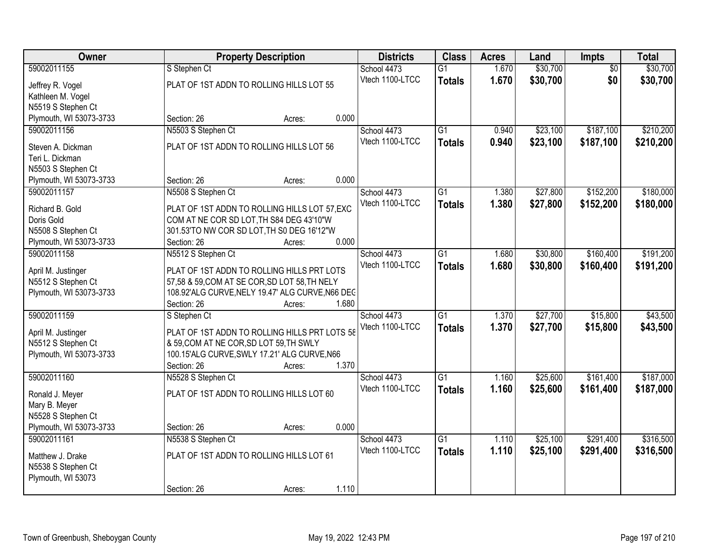| Owner                                    | <b>Property Description</b>                      | <b>Districts</b> | <b>Class</b>    | <b>Acres</b> | Land     | Impts           | <b>Total</b> |
|------------------------------------------|--------------------------------------------------|------------------|-----------------|--------------|----------|-----------------|--------------|
| 59002011155                              | S Stephen Ct                                     | School 4473      | $\overline{G1}$ | 1.670        | \$30,700 | $\overline{50}$ | \$30,700     |
| Jeffrey R. Vogel                         | PLAT OF 1ST ADDN TO ROLLING HILLS LOT 55         | Vtech 1100-LTCC  | <b>Totals</b>   | 1.670        | \$30,700 | \$0             | \$30,700     |
| Kathleen M. Vogel                        |                                                  |                  |                 |              |          |                 |              |
| N5519 S Stephen Ct                       |                                                  |                  |                 |              |          |                 |              |
| Plymouth, WI 53073-3733                  | 0.000<br>Section: 26<br>Acres:                   |                  |                 |              |          |                 |              |
| 59002011156                              | N5503 S Stephen Ct                               | School 4473      | $\overline{G1}$ | 0.940        | \$23,100 | \$187,100       | \$210,200    |
| Steven A. Dickman                        | PLAT OF 1ST ADDN TO ROLLING HILLS LOT 56         | Vtech 1100-LTCC  | <b>Totals</b>   | 0.940        | \$23,100 | \$187,100       | \$210,200    |
| Teri L. Dickman                          |                                                  |                  |                 |              |          |                 |              |
| N5503 S Stephen Ct                       |                                                  |                  |                 |              |          |                 |              |
| Plymouth, WI 53073-3733                  | 0.000<br>Section: 26<br>Acres:                   |                  |                 |              |          |                 |              |
| 59002011157                              | N5508 S Stephen Ct                               | School 4473      | $\overline{G1}$ | 1.380        | \$27,800 | \$152,200       | \$180,000    |
| Richard B. Gold                          | PLAT OF 1ST ADDN TO ROLLING HILLS LOT 57, EXC    | Vtech 1100-LTCC  | <b>Totals</b>   | 1.380        | \$27,800 | \$152,200       | \$180,000    |
| Doris Gold                               | COM AT NE COR SD LOT, TH S84 DEG 43'10"W         |                  |                 |              |          |                 |              |
| N5508 S Stephen Ct                       | 301.53'TO NW COR SD LOT, TH S0 DEG 16'12"W       |                  |                 |              |          |                 |              |
| Plymouth, WI 53073-3733                  | 0.000<br>Section: 26<br>Acres:                   |                  |                 |              |          |                 |              |
| 59002011158                              | N5512 S Stephen Ct                               | School 4473      | $\overline{G1}$ | 1.680        | \$30,800 | \$160,400       | \$191,200    |
| April M. Justinger                       | PLAT OF 1ST ADDN TO ROLLING HILLS PRT LOTS       | Vtech 1100-LTCC  | <b>Totals</b>   | 1.680        | \$30,800 | \$160,400       | \$191,200    |
| N5512 S Stephen Ct                       | 57,58 & 59, COM AT SE COR, SD LOT 58, TH NELY    |                  |                 |              |          |                 |              |
| Plymouth, WI 53073-3733                  | 108.92'ALG CURVE, NELY 19.47' ALG CURVE, N66 DEC |                  |                 |              |          |                 |              |
|                                          | 1.680<br>Section: 26<br>Acres:                   |                  |                 |              |          |                 |              |
| 59002011159                              | S Stephen Ct                                     | School 4473      | $\overline{G1}$ | 1.370        | \$27,700 | \$15,800        | \$43,500     |
|                                          | PLAT OF 1ST ADDN TO ROLLING HILLS PRT LOTS 58    | Vtech 1100-LTCC  | <b>Totals</b>   | 1.370        | \$27,700 | \$15,800        | \$43,500     |
| April M. Justinger<br>N5512 S Stephen Ct | & 59, COM AT NE COR, SD LOT 59, TH SWLY          |                  |                 |              |          |                 |              |
| Plymouth, WI 53073-3733                  | 100.15'ALG CURVE, SWLY 17.21' ALG CURVE, N66     |                  |                 |              |          |                 |              |
|                                          | 1.370<br>Section: 26<br>Acres:                   |                  |                 |              |          |                 |              |
| 59002011160                              | N5528 S Stephen Ct                               | School 4473      | $\overline{G1}$ | 1.160        | \$25,600 | \$161,400       | \$187,000    |
|                                          | PLAT OF 1ST ADDN TO ROLLING HILLS LOT 60         | Vtech 1100-LTCC  | <b>Totals</b>   | 1.160        | \$25,600 | \$161,400       | \$187,000    |
| Ronald J. Meyer<br>Mary B. Meyer         |                                                  |                  |                 |              |          |                 |              |
| N5528 S Stephen Ct                       |                                                  |                  |                 |              |          |                 |              |
| Plymouth, WI 53073-3733                  | 0.000<br>Section: 26<br>Acres:                   |                  |                 |              |          |                 |              |
| 59002011161                              | N5538 S Stephen Ct                               | School 4473      | $\overline{G1}$ | 1.110        | \$25,100 | \$291,400       | \$316,500    |
|                                          |                                                  | Vtech 1100-LTCC  | <b>Totals</b>   | 1.110        | \$25,100 | \$291,400       | \$316,500    |
| Matthew J. Drake<br>N5538 S Stephen Ct   | PLAT OF 1ST ADDN TO ROLLING HILLS LOT 61         |                  |                 |              |          |                 |              |
| Plymouth, WI 53073                       |                                                  |                  |                 |              |          |                 |              |
|                                          | 1.110<br>Section: 26<br>Acres:                   |                  |                 |              |          |                 |              |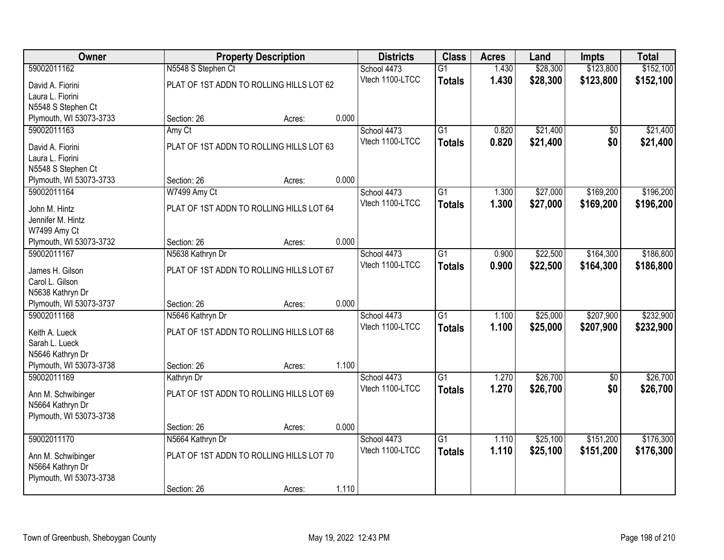| Owner                                       |                    | <b>Property Description</b>              |       |                 | <b>Class</b>    | <b>Acres</b> | Land     | <b>Impts</b>    | <b>Total</b> |
|---------------------------------------------|--------------------|------------------------------------------|-------|-----------------|-----------------|--------------|----------|-----------------|--------------|
| 59002011162                                 | N5548 S Stephen Ct |                                          |       | School 4473     | $\overline{G1}$ | 1.430        | \$28,300 | \$123,800       | \$152,100    |
| David A. Fiorini                            |                    | PLAT OF 1ST ADDN TO ROLLING HILLS LOT 62 |       | Vtech 1100-LTCC | <b>Totals</b>   | 1.430        | \$28,300 | \$123,800       | \$152,100    |
| Laura L. Fiorini                            |                    |                                          |       |                 |                 |              |          |                 |              |
| N5548 S Stephen Ct                          |                    |                                          |       |                 |                 |              |          |                 |              |
| Plymouth, WI 53073-3733                     | Section: 26        | Acres:                                   | 0.000 |                 |                 |              |          |                 |              |
| 59002011163                                 | Amy Ct             |                                          |       | School 4473     | $\overline{G1}$ | 0.820        | \$21,400 | $\overline{50}$ | \$21,400     |
| David A. Fiorini                            |                    | PLAT OF 1ST ADDN TO ROLLING HILLS LOT 63 |       | Vtech 1100-LTCC | <b>Totals</b>   | 0.820        | \$21,400 | \$0             | \$21,400     |
| Laura L. Fiorini                            |                    |                                          |       |                 |                 |              |          |                 |              |
| N5548 S Stephen Ct                          |                    |                                          |       |                 |                 |              |          |                 |              |
| Plymouth, WI 53073-3733                     | Section: 26        | Acres:                                   | 0.000 |                 |                 |              |          |                 |              |
| 59002011164                                 | W7499 Amy Ct       |                                          |       | School 4473     | $\overline{G1}$ | 1.300        | \$27,000 | \$169,200       | \$196,200    |
|                                             |                    |                                          |       | Vtech 1100-LTCC | <b>Totals</b>   | 1.300        | \$27,000 | \$169,200       | \$196,200    |
| John M. Hintz                               |                    | PLAT OF 1ST ADDN TO ROLLING HILLS LOT 64 |       |                 |                 |              |          |                 |              |
| Jennifer M. Hintz                           |                    |                                          |       |                 |                 |              |          |                 |              |
| W7499 Amy Ct                                |                    |                                          | 0.000 |                 |                 |              |          |                 |              |
| Plymouth, WI 53073-3732<br>59002011167      | Section: 26        | Acres:                                   |       | School 4473     | $\overline{G1}$ | 0.900        | \$22,500 | \$164,300       | \$186,800    |
|                                             | N5638 Kathryn Dr   |                                          |       | Vtech 1100-LTCC |                 |              |          |                 |              |
| James H. Gilson                             |                    | PLAT OF 1ST ADDN TO ROLLING HILLS LOT 67 |       |                 | <b>Totals</b>   | 0.900        | \$22,500 | \$164,300       | \$186,800    |
| Carol L. Gilson                             |                    |                                          |       |                 |                 |              |          |                 |              |
| N5638 Kathryn Dr                            |                    |                                          |       |                 |                 |              |          |                 |              |
| Plymouth, WI 53073-3737                     | Section: 26        | Acres:                                   | 0.000 |                 |                 |              |          |                 |              |
| 59002011168                                 | N5646 Kathryn Dr   |                                          |       | School 4473     | $\overline{G1}$ | 1.100        | \$25,000 | \$207,900       | \$232,900    |
| Keith A. Lueck                              |                    | PLAT OF 1ST ADDN TO ROLLING HILLS LOT 68 |       | Vtech 1100-LTCC | <b>Totals</b>   | 1.100        | \$25,000 | \$207,900       | \$232,900    |
| Sarah L. Lueck                              |                    |                                          |       |                 |                 |              |          |                 |              |
| N5646 Kathryn Dr                            |                    |                                          |       |                 |                 |              |          |                 |              |
| Plymouth, WI 53073-3738                     | Section: 26        | Acres:                                   | 1.100 |                 |                 |              |          |                 |              |
| 59002011169                                 | Kathryn Dr         |                                          |       | School 4473     | $\overline{G1}$ | 1.270        | \$26,700 | $\sqrt{6}$      | \$26,700     |
| Ann M. Schwibinger                          |                    | PLAT OF 1ST ADDN TO ROLLING HILLS LOT 69 |       | Vtech 1100-LTCC | <b>Totals</b>   | 1.270        | \$26,700 | \$0             | \$26,700     |
| N5664 Kathryn Dr                            |                    |                                          |       |                 |                 |              |          |                 |              |
| Plymouth, WI 53073-3738                     |                    |                                          |       |                 |                 |              |          |                 |              |
|                                             | Section: 26        | Acres:                                   | 0.000 |                 |                 |              |          |                 |              |
| 59002011170                                 | N5664 Kathryn Dr   |                                          |       | School 4473     | $\overline{G1}$ | 1.110        | \$25,100 | \$151,200       | \$176,300    |
|                                             |                    |                                          |       | Vtech 1100-LTCC | <b>Totals</b>   | 1.110        | \$25,100 | \$151,200       | \$176,300    |
| Ann M. Schwibinger                          |                    | PLAT OF 1ST ADDN TO ROLLING HILLS LOT 70 |       |                 |                 |              |          |                 |              |
| N5664 Kathryn Dr<br>Plymouth, WI 53073-3738 |                    |                                          |       |                 |                 |              |          |                 |              |
|                                             | Section: 26        | Acres:                                   | 1.110 |                 |                 |              |          |                 |              |
|                                             |                    |                                          |       |                 |                 |              |          |                 |              |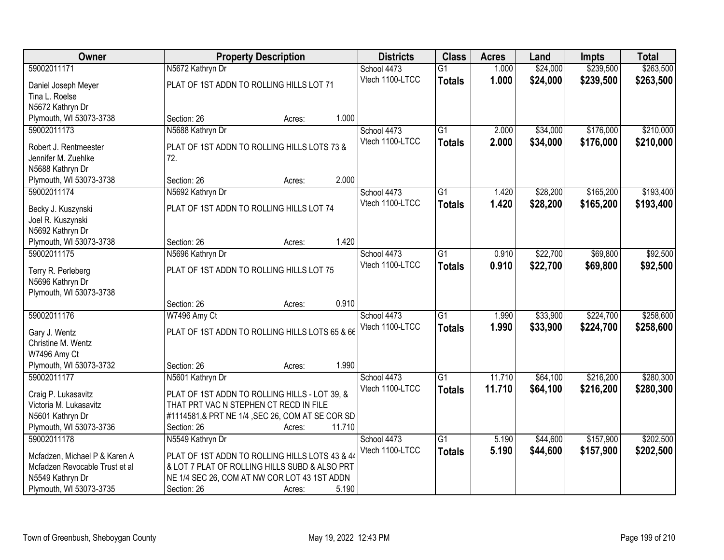| Owner                                         | <b>Property Description</b>                                                             | <b>Districts</b> | <b>Class</b>    | <b>Acres</b> | Land     | <b>Impts</b> | <b>Total</b> |
|-----------------------------------------------|-----------------------------------------------------------------------------------------|------------------|-----------------|--------------|----------|--------------|--------------|
| 59002011171                                   | N5672 Kathryn Dr                                                                        | School 4473      | $\overline{G1}$ | 1.000        | \$24,000 | \$239,500    | \$263,500    |
| Daniel Joseph Meyer                           | PLAT OF 1ST ADDN TO ROLLING HILLS LOT 71                                                | Vtech 1100-LTCC  | <b>Totals</b>   | 1.000        | \$24,000 | \$239,500    | \$263,500    |
| Tina L. Roelse                                |                                                                                         |                  |                 |              |          |              |              |
| N5672 Kathryn Dr                              |                                                                                         |                  |                 |              |          |              |              |
| Plymouth, WI 53073-3738                       | Section: 26<br>Acres:                                                                   | 1.000            |                 |              |          |              |              |
| 59002011173                                   | N5688 Kathryn Dr                                                                        | School 4473      | $\overline{G1}$ | 2.000        | \$34,000 | \$176,000    | \$210,000    |
|                                               | PLAT OF 1ST ADDN TO ROLLING HILLS LOTS 73 &                                             | Vtech 1100-LTCC  | <b>Totals</b>   | 2.000        | \$34,000 | \$176,000    | \$210,000    |
| Robert J. Rentmeester<br>Jennifer M. Zuehlke  | 72.                                                                                     |                  |                 |              |          |              |              |
| N5688 Kathryn Dr                              |                                                                                         |                  |                 |              |          |              |              |
| Plymouth, WI 53073-3738                       | Section: 26<br>Acres:                                                                   | 2.000            |                 |              |          |              |              |
| 59002011174                                   | N5692 Kathryn Dr                                                                        | School 4473      | G1              | 1.420        | \$28,200 | \$165,200    | \$193,400    |
|                                               |                                                                                         | Vtech 1100-LTCC  | <b>Totals</b>   | 1.420        | \$28,200 | \$165,200    | \$193,400    |
| Becky J. Kuszynski                            | PLAT OF 1ST ADDN TO ROLLING HILLS LOT 74                                                |                  |                 |              |          |              |              |
| Joel R. Kuszynski                             |                                                                                         |                  |                 |              |          |              |              |
| N5692 Kathryn Dr                              |                                                                                         |                  |                 |              |          |              |              |
| Plymouth, WI 53073-3738                       | Section: 26<br>Acres:                                                                   | 1.420            |                 |              |          |              |              |
| 59002011175                                   | N5696 Kathryn Dr                                                                        | School 4473      | $\overline{G1}$ | 0.910        | \$22,700 | \$69,800     | \$92,500     |
| Terry R. Perleberg                            | PLAT OF 1ST ADDN TO ROLLING HILLS LOT 75                                                | Vtech 1100-LTCC  | <b>Totals</b>   | 0.910        | \$22,700 | \$69,800     | \$92,500     |
| N5696 Kathryn Dr                              |                                                                                         |                  |                 |              |          |              |              |
| Plymouth, WI 53073-3738                       |                                                                                         |                  |                 |              |          |              |              |
|                                               | Section: 26<br>Acres:                                                                   | 0.910            |                 |              |          |              |              |
| 59002011176                                   | W7496 Amy Ct                                                                            | School 4473      | $\overline{G1}$ | 1.990        | \$33,900 | \$224,700    | \$258,600    |
| Gary J. Wentz                                 | PLAT OF 1ST ADDN TO ROLLING HILLS LOTS 65 & 66                                          | Vtech 1100-LTCC  | <b>Totals</b>   | 1.990        | \$33,900 | \$224,700    | \$258,600    |
| Christine M. Wentz                            |                                                                                         |                  |                 |              |          |              |              |
| W7496 Amy Ct                                  |                                                                                         |                  |                 |              |          |              |              |
| Plymouth, WI 53073-3732                       | Section: 26<br>Acres:                                                                   | 1.990            |                 |              |          |              |              |
| 59002011177                                   | N5601 Kathryn Dr                                                                        | School 4473      | $\overline{G1}$ | 11.710       | \$64,100 | \$216,200    | \$280,300    |
|                                               |                                                                                         | Vtech 1100-LTCC  | <b>Totals</b>   | 11.710       | \$64,100 | \$216,200    | \$280,300    |
| Craig P. Lukasavitz<br>Victoria M. Lukasavitz | PLAT OF 1ST ADDN TO ROLLING HILLS - LOT 39, &<br>THAT PRT VAC N STEPHEN CT RECD IN FILE |                  |                 |              |          |              |              |
| N5601 Kathryn Dr                              | #1114581,& PRT NE 1/4, SEC 26, COM AT SE COR SD                                         |                  |                 |              |          |              |              |
| Plymouth, WI 53073-3736                       | Section: 26<br>Acres:                                                                   | 11.710           |                 |              |          |              |              |
| 59002011178                                   | N5549 Kathryn Dr                                                                        | School 4473      | $\overline{G1}$ | 5.190        | \$44,600 | \$157,900    | \$202,500    |
|                                               |                                                                                         | Vtech 1100-LTCC  |                 | 5.190        | \$44,600 |              |              |
| Mcfadzen, Michael P & Karen A                 | PLAT OF 1ST ADDN TO ROLLING HILLS LOTS 43 & 44                                          |                  | <b>Totals</b>   |              |          | \$157,900    | \$202,500    |
| Mcfadzen Revocable Trust et al                | & LOT 7 PLAT OF ROLLING HILLS SUBD & ALSO PRT                                           |                  |                 |              |          |              |              |
| N5549 Kathryn Dr                              | NE 1/4 SEC 26, COM AT NW COR LOT 43 1ST ADDN                                            |                  |                 |              |          |              |              |
| Plymouth, WI 53073-3735                       | Section: 26<br>Acres:                                                                   | 5.190            |                 |              |          |              |              |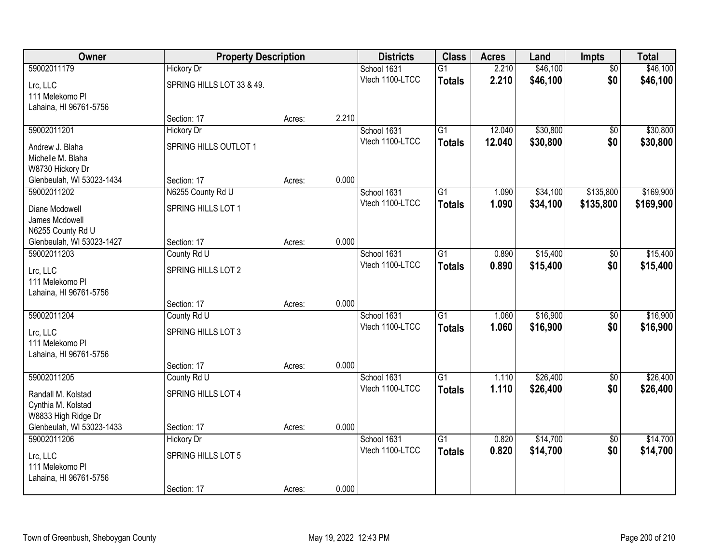| Owner                                    |                           | <b>Property Description</b> |       | <b>Districts</b>               | <b>Class</b>    | <b>Acres</b>   | Land                 | <b>Impts</b>           | <b>Total</b>         |
|------------------------------------------|---------------------------|-----------------------------|-------|--------------------------------|-----------------|----------------|----------------------|------------------------|----------------------|
| 59002011179                              | <b>Hickory Dr</b>         |                             |       | School 1631                    | $\overline{G1}$ | 2.210          | \$46,100             | $\overline{50}$        | \$46,100             |
| Lrc, LLC                                 | SPRING HILLS LOT 33 & 49. |                             |       | Vtech 1100-LTCC                | <b>Totals</b>   | 2.210          | \$46,100             | \$0                    | \$46,100             |
| 111 Melekomo Pl                          |                           |                             |       |                                |                 |                |                      |                        |                      |
| Lahaina, HI 96761-5756                   |                           |                             |       |                                |                 |                |                      |                        |                      |
|                                          | Section: 17               | Acres:                      | 2.210 |                                |                 |                |                      |                        |                      |
| 59002011201                              | <b>Hickory Dr</b>         |                             |       | School 1631                    | $\overline{G1}$ | 12.040         | \$30,800             | $\overline{50}$        | \$30,800             |
| Andrew J. Blaha                          | SPRING HILLS OUTLOT 1     |                             |       | Vtech 1100-LTCC                | <b>Totals</b>   | 12.040         | \$30,800             | \$0                    | \$30,800             |
| Michelle M. Blaha                        |                           |                             |       |                                |                 |                |                      |                        |                      |
| W8730 Hickory Dr                         |                           |                             |       |                                |                 |                |                      |                        |                      |
| Glenbeulah, WI 53023-1434                | Section: 17               | Acres:                      | 0.000 |                                |                 |                |                      |                        |                      |
| 59002011202                              | N6255 County Rd U         |                             |       | School 1631                    | G1              | 1.090          | \$34,100             | \$135,800              | \$169,900            |
| Diane Mcdowell                           | SPRING HILLS LOT 1        |                             |       | Vtech 1100-LTCC                | <b>Totals</b>   | 1.090          | \$34,100             | \$135,800              | \$169,900            |
| James Mcdowell                           |                           |                             |       |                                |                 |                |                      |                        |                      |
| N6255 County Rd U                        |                           |                             |       |                                |                 |                |                      |                        |                      |
| Glenbeulah, WI 53023-1427                | Section: 17               | Acres:                      | 0.000 |                                |                 |                |                      |                        |                      |
| 59002011203                              | County Rd U               |                             |       | School 1631<br>Vtech 1100-LTCC | $\overline{G1}$ | 0.890          | \$15,400             | \$0                    | \$15,400             |
| Lrc, LLC                                 | SPRING HILLS LOT 2        |                             |       |                                | <b>Totals</b>   | 0.890          | \$15,400             | \$0                    | \$15,400             |
| 111 Melekomo Pl                          |                           |                             |       |                                |                 |                |                      |                        |                      |
| Lahaina, HI 96761-5756                   |                           |                             |       |                                |                 |                |                      |                        |                      |
|                                          | Section: 17               | Acres:                      | 0.000 |                                |                 |                |                      |                        |                      |
| 59002011204                              | County Rd U               |                             |       | School 1631<br>Vtech 1100-LTCC | $\overline{G1}$ | 1.060          | \$16,900             | $\overline{50}$        | \$16,900             |
| Lrc, LLC                                 | SPRING HILLS LOT 3        |                             |       |                                | <b>Totals</b>   | 1.060          | \$16,900             | \$0                    | \$16,900             |
| 111 Melekomo Pl                          |                           |                             |       |                                |                 |                |                      |                        |                      |
| Lahaina, HI 96761-5756                   |                           |                             |       |                                |                 |                |                      |                        |                      |
|                                          | Section: 17               | Acres:                      | 0.000 |                                |                 |                |                      |                        |                      |
| 59002011205                              | County Rd U               |                             |       | School 1631<br>Vtech 1100-LTCC | $\overline{G1}$ | 1.110<br>1.110 | \$26,400<br>\$26,400 | $\overline{50}$<br>\$0 | \$26,400<br>\$26,400 |
| Randall M. Kolstad                       | SPRING HILLS LOT 4        |                             |       |                                | <b>Totals</b>   |                |                      |                        |                      |
| Cynthia M. Kolstad                       |                           |                             |       |                                |                 |                |                      |                        |                      |
| W8833 High Ridge Dr                      |                           |                             |       |                                |                 |                |                      |                        |                      |
| Glenbeulah, WI 53023-1433<br>59002011206 | Section: 17               | Acres:                      | 0.000 | School 1631                    | $\overline{G1}$ | 0.820          |                      |                        |                      |
|                                          | <b>Hickory Dr</b>         |                             |       | Vtech 1100-LTCC                |                 | 0.820          | \$14,700<br>\$14,700 | $\overline{50}$<br>\$0 | \$14,700<br>\$14,700 |
| Lrc, LLC                                 | SPRING HILLS LOT 5        |                             |       |                                | <b>Totals</b>   |                |                      |                        |                      |
| 111 Melekomo Pl                          |                           |                             |       |                                |                 |                |                      |                        |                      |
| Lahaina, HI 96761-5756                   |                           |                             |       |                                |                 |                |                      |                        |                      |
|                                          | Section: 17               | Acres:                      | 0.000 |                                |                 |                |                      |                        |                      |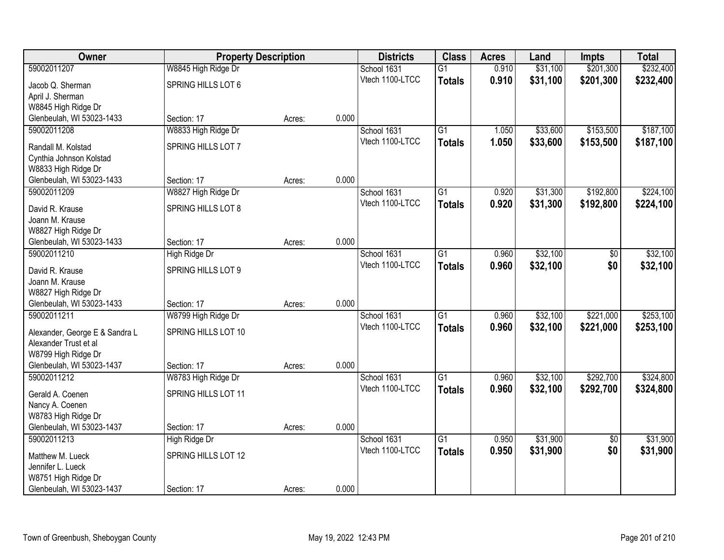| <b>Owner</b>                                            | <b>Property Description</b> |        |       | <b>Districts</b> | <b>Class</b>    | <b>Acres</b> | Land     | <b>Impts</b>    | <b>Total</b> |
|---------------------------------------------------------|-----------------------------|--------|-------|------------------|-----------------|--------------|----------|-----------------|--------------|
| 59002011207                                             | W8845 High Ridge Dr         |        |       | School 1631      | $\overline{G1}$ | 0.910        | \$31,100 | \$201,300       | \$232,400    |
| Jacob Q. Sherman                                        | SPRING HILLS LOT 6          |        |       | Vtech 1100-LTCC  | <b>Totals</b>   | 0.910        | \$31,100 | \$201,300       | \$232,400    |
| April J. Sherman                                        |                             |        |       |                  |                 |              |          |                 |              |
| W8845 High Ridge Dr                                     |                             |        |       |                  |                 |              |          |                 |              |
| Glenbeulah, WI 53023-1433                               | Section: 17                 | Acres: | 0.000 |                  |                 |              |          |                 |              |
| 59002011208                                             | W8833 High Ridge Dr         |        |       | School 1631      | $\overline{G1}$ | 1.050        | \$33,600 | \$153,500       | \$187,100    |
| Randall M. Kolstad                                      | SPRING HILLS LOT 7          |        |       | Vtech 1100-LTCC  | <b>Totals</b>   | 1.050        | \$33,600 | \$153,500       | \$187,100    |
| Cynthia Johnson Kolstad                                 |                             |        |       |                  |                 |              |          |                 |              |
| W8833 High Ridge Dr                                     |                             |        |       |                  |                 |              |          |                 |              |
| Glenbeulah, WI 53023-1433                               | Section: 17                 | Acres: | 0.000 |                  |                 |              |          |                 |              |
| 59002011209                                             | W8827 High Ridge Dr         |        |       | School 1631      | $\overline{G1}$ | 0.920        | \$31,300 | \$192,800       | \$224,100    |
| David R. Krause                                         | SPRING HILLS LOT 8          |        |       | Vtech 1100-LTCC  | <b>Totals</b>   | 0.920        | \$31,300 | \$192,800       | \$224,100    |
| Joann M. Krause                                         |                             |        |       |                  |                 |              |          |                 |              |
| W8827 High Ridge Dr                                     |                             |        |       |                  |                 |              |          |                 |              |
| Glenbeulah, WI 53023-1433                               | Section: 17                 | Acres: | 0.000 |                  |                 |              |          |                 |              |
| 59002011210                                             | High Ridge Dr               |        |       | School 1631      | $\overline{G1}$ | 0.960        | \$32,100 | \$0             | \$32,100     |
| David R. Krause                                         | SPRING HILLS LOT 9          |        |       | Vtech 1100-LTCC  | <b>Totals</b>   | 0.960        | \$32,100 | \$0             | \$32,100     |
| Joann M. Krause                                         |                             |        |       |                  |                 |              |          |                 |              |
| W8827 High Ridge Dr                                     |                             |        |       |                  |                 |              |          |                 |              |
| Glenbeulah, WI 53023-1433                               | Section: 17                 | Acres: | 0.000 |                  |                 |              |          |                 |              |
| 59002011211                                             | W8799 High Ridge Dr         |        |       | School 1631      | $\overline{G1}$ | 0.960        | \$32,100 | \$221,000       | \$253,100    |
|                                                         | SPRING HILLS LOT 10         |        |       | Vtech 1100-LTCC  | <b>Totals</b>   | 0.960        | \$32,100 | \$221,000       | \$253,100    |
| Alexander, George E & Sandra L<br>Alexander Trust et al |                             |        |       |                  |                 |              |          |                 |              |
| W8799 High Ridge Dr                                     |                             |        |       |                  |                 |              |          |                 |              |
| Glenbeulah, WI 53023-1437                               | Section: 17                 | Acres: | 0.000 |                  |                 |              |          |                 |              |
| 59002011212                                             | W8783 High Ridge Dr         |        |       | School 1631      | $\overline{G1}$ | 0.960        | \$32,100 | \$292,700       | \$324,800    |
|                                                         |                             |        |       | Vtech 1100-LTCC  | <b>Totals</b>   | 0.960        | \$32,100 | \$292,700       | \$324,800    |
| Gerald A. Coenen                                        | SPRING HILLS LOT 11         |        |       |                  |                 |              |          |                 |              |
| Nancy A. Coenen<br>W8783 High Ridge Dr                  |                             |        |       |                  |                 |              |          |                 |              |
| Glenbeulah, WI 53023-1437                               | Section: 17                 | Acres: | 0.000 |                  |                 |              |          |                 |              |
| 59002011213                                             | High Ridge Dr               |        |       | School 1631      | $\overline{G1}$ | 0.950        | \$31,900 | $\overline{30}$ | \$31,900     |
|                                                         |                             |        |       | Vtech 1100-LTCC  | <b>Totals</b>   | 0.950        | \$31,900 | \$0             | \$31,900     |
| Matthew M. Lueck                                        | SPRING HILLS LOT 12         |        |       |                  |                 |              |          |                 |              |
| Jennifer L. Lueck                                       |                             |        |       |                  |                 |              |          |                 |              |
| W8751 High Ridge Dr<br>Glenbeulah, WI 53023-1437        | Section: 17                 |        | 0.000 |                  |                 |              |          |                 |              |
|                                                         |                             | Acres: |       |                  |                 |              |          |                 |              |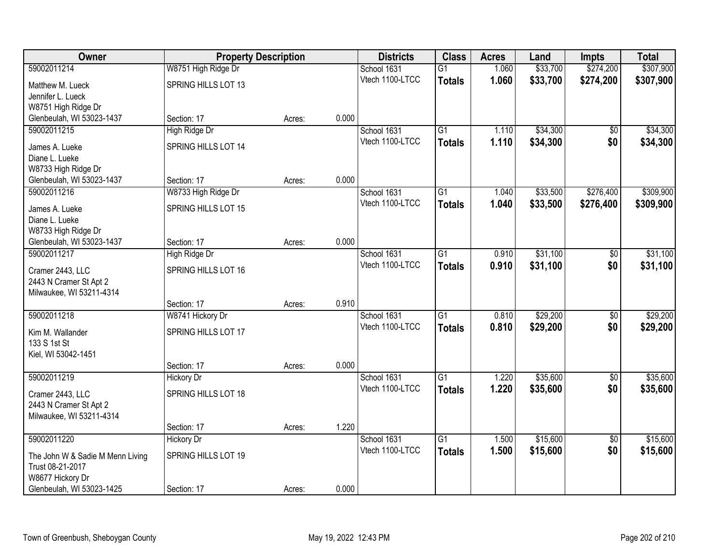| Owner                            | <b>Property Description</b> |        | <b>Districts</b> | <b>Class</b>    | <b>Acres</b>    | Land  | <b>Impts</b> | <b>Total</b>    |           |
|----------------------------------|-----------------------------|--------|------------------|-----------------|-----------------|-------|--------------|-----------------|-----------|
| 59002011214                      | W8751 High Ridge Dr         |        |                  | School 1631     | $\overline{G1}$ | 1.060 | \$33,700     | \$274,200       | \$307,900 |
| Matthew M. Lueck                 | SPRING HILLS LOT 13         |        |                  | Vtech 1100-LTCC | <b>Totals</b>   | 1.060 | \$33,700     | \$274,200       | \$307,900 |
| Jennifer L. Lueck                |                             |        |                  |                 |                 |       |              |                 |           |
| W8751 High Ridge Dr              |                             |        |                  |                 |                 |       |              |                 |           |
| Glenbeulah, WI 53023-1437        | Section: 17                 | Acres: | 0.000            |                 |                 |       |              |                 |           |
| 59002011215                      | High Ridge Dr               |        |                  | School 1631     | $\overline{G1}$ | 1.110 | \$34,300     | $\overline{50}$ | \$34,300  |
| James A. Lueke                   | SPRING HILLS LOT 14         |        |                  | Vtech 1100-LTCC | <b>Totals</b>   | 1.110 | \$34,300     | \$0             | \$34,300  |
| Diane L. Lueke                   |                             |        |                  |                 |                 |       |              |                 |           |
| W8733 High Ridge Dr              |                             |        |                  |                 |                 |       |              |                 |           |
| Glenbeulah, WI 53023-1437        | Section: 17                 | Acres: | 0.000            |                 |                 |       |              |                 |           |
| 59002011216                      | W8733 High Ridge Dr         |        |                  | School 1631     | G <sub>1</sub>  | 1.040 | \$33,500     | \$276,400       | \$309,900 |
| James A. Lueke                   | SPRING HILLS LOT 15         |        |                  | Vtech 1100-LTCC | <b>Totals</b>   | 1.040 | \$33,500     | \$276,400       | \$309,900 |
| Diane L. Lueke                   |                             |        |                  |                 |                 |       |              |                 |           |
| W8733 High Ridge Dr              |                             |        |                  |                 |                 |       |              |                 |           |
| Glenbeulah, WI 53023-1437        | Section: 17                 | Acres: | 0.000            |                 |                 |       |              |                 |           |
| 59002011217                      | High Ridge Dr               |        |                  | School 1631     | $\overline{G1}$ | 0.910 | \$31,100     | \$0             | \$31,100  |
| Cramer 2443, LLC                 | SPRING HILLS LOT 16         |        |                  | Vtech 1100-LTCC | <b>Totals</b>   | 0.910 | \$31,100     | \$0             | \$31,100  |
| 2443 N Cramer St Apt 2           |                             |        |                  |                 |                 |       |              |                 |           |
| Milwaukee, WI 53211-4314         |                             |        |                  |                 |                 |       |              |                 |           |
|                                  | Section: 17                 | Acres: | 0.910            |                 |                 |       |              |                 |           |
| 59002011218                      | W8741 Hickory Dr            |        |                  | School 1631     | $\overline{G1}$ | 0.810 | \$29,200     | $\overline{50}$ | \$29,200  |
| Kim M. Wallander                 | SPRING HILLS LOT 17         |        |                  | Vtech 1100-LTCC | <b>Totals</b>   | 0.810 | \$29,200     | \$0             | \$29,200  |
| 133 S 1st St                     |                             |        |                  |                 |                 |       |              |                 |           |
| Kiel, WI 53042-1451              |                             |        |                  |                 |                 |       |              |                 |           |
|                                  | Section: 17                 | Acres: | 0.000            |                 |                 |       |              |                 |           |
| 59002011219                      | <b>Hickory Dr</b>           |        |                  | School 1631     | $\overline{G1}$ | 1.220 | \$35,600     | $\overline{50}$ | \$35,600  |
| Cramer 2443, LLC                 | SPRING HILLS LOT 18         |        |                  | Vtech 1100-LTCC | <b>Totals</b>   | 1.220 | \$35,600     | \$0             | \$35,600  |
| 2443 N Cramer St Apt 2           |                             |        |                  |                 |                 |       |              |                 |           |
| Milwaukee, WI 53211-4314         |                             |        |                  |                 |                 |       |              |                 |           |
|                                  | Section: 17                 | Acres: | 1.220            |                 |                 |       |              |                 |           |
| 59002011220                      | <b>Hickory Dr</b>           |        |                  | School 1631     | $\overline{G1}$ | 1.500 | \$15,600     | $\overline{50}$ | \$15,600  |
| The John W & Sadie M Menn Living | SPRING HILLS LOT 19         |        |                  | Vtech 1100-LTCC | <b>Totals</b>   | 1.500 | \$15,600     | \$0             | \$15,600  |
| Trust 08-21-2017                 |                             |        |                  |                 |                 |       |              |                 |           |
| W8677 Hickory Dr                 |                             |        |                  |                 |                 |       |              |                 |           |
| Glenbeulah, WI 53023-1425        | Section: 17                 | Acres: | 0.000            |                 |                 |       |              |                 |           |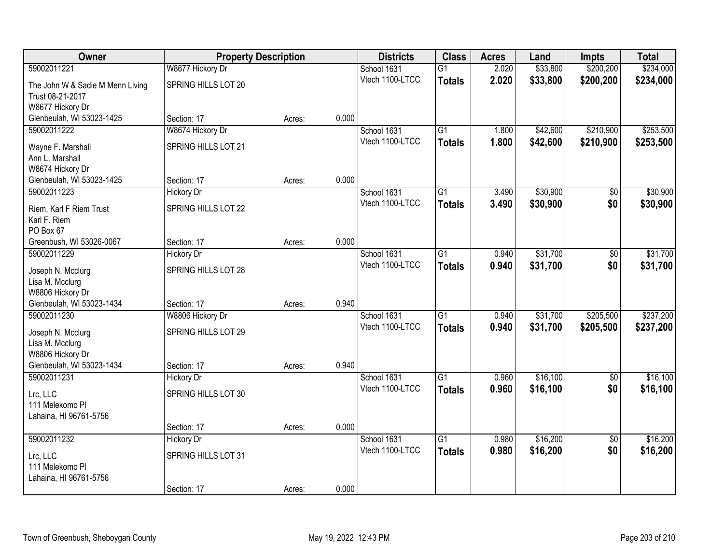| 59002011221<br>W8677 Hickory Dr<br>\$33,800<br>\$200,200<br>School 1631<br>$\overline{G1}$<br>2.020<br>Vtech 1100-LTCC<br>2.020<br>\$33,800<br>\$200,200<br><b>Totals</b><br>SPRING HILLS LOT 20<br>The John W & Sadie M Menn Living<br>Trust 08-21-2017<br>W8677 Hickory Dr<br>0.000<br>Glenbeulah, WI 53023-1425<br>Section: 17<br>Acres:<br>59002011222<br>$\overline{G1}$<br>\$210,900<br>W8674 Hickory Dr<br>School 1631<br>\$42,600<br>1.800<br>Vtech 1100-LTCC<br>1.800<br>\$42,600<br>\$210,900<br><b>Totals</b><br><b>SPRING HILLS LOT 21</b><br>Wayne F. Marshall<br>Ann L. Marshall<br>W8674 Hickory Dr<br>0.000<br>Glenbeulah, WI 53023-1425<br>Section: 17<br>Acres:<br>59002011223<br>$\overline{G1}$<br>\$30,900<br><b>Hickory Dr</b><br>School 1631<br>3.490<br>\$0<br>Vtech 1100-LTCC<br>\$0<br>3.490<br>\$30,900<br><b>Totals</b><br>SPRING HILLS LOT 22<br>Riem, Karl F Riem Trust | Owner | <b>Property Description</b> |  | <b>Districts</b> | <b>Class</b> | <b>Acres</b> | Land | <b>Impts</b> | <b>Total</b> |           |
|-------------------------------------------------------------------------------------------------------------------------------------------------------------------------------------------------------------------------------------------------------------------------------------------------------------------------------------------------------------------------------------------------------------------------------------------------------------------------------------------------------------------------------------------------------------------------------------------------------------------------------------------------------------------------------------------------------------------------------------------------------------------------------------------------------------------------------------------------------------------------------------------------------|-------|-----------------------------|--|------------------|--------------|--------------|------|--------------|--------------|-----------|
|                                                                                                                                                                                                                                                                                                                                                                                                                                                                                                                                                                                                                                                                                                                                                                                                                                                                                                       |       |                             |  |                  |              |              |      |              |              | \$234,000 |
|                                                                                                                                                                                                                                                                                                                                                                                                                                                                                                                                                                                                                                                                                                                                                                                                                                                                                                       |       |                             |  |                  |              |              |      |              |              | \$234,000 |
|                                                                                                                                                                                                                                                                                                                                                                                                                                                                                                                                                                                                                                                                                                                                                                                                                                                                                                       |       |                             |  |                  |              |              |      |              |              |           |
|                                                                                                                                                                                                                                                                                                                                                                                                                                                                                                                                                                                                                                                                                                                                                                                                                                                                                                       |       |                             |  |                  |              |              |      |              |              |           |
|                                                                                                                                                                                                                                                                                                                                                                                                                                                                                                                                                                                                                                                                                                                                                                                                                                                                                                       |       |                             |  |                  |              |              |      |              |              |           |
|                                                                                                                                                                                                                                                                                                                                                                                                                                                                                                                                                                                                                                                                                                                                                                                                                                                                                                       |       |                             |  |                  |              |              |      |              |              | \$253,500 |
|                                                                                                                                                                                                                                                                                                                                                                                                                                                                                                                                                                                                                                                                                                                                                                                                                                                                                                       |       |                             |  |                  |              |              |      |              |              | \$253,500 |
|                                                                                                                                                                                                                                                                                                                                                                                                                                                                                                                                                                                                                                                                                                                                                                                                                                                                                                       |       |                             |  |                  |              |              |      |              |              |           |
|                                                                                                                                                                                                                                                                                                                                                                                                                                                                                                                                                                                                                                                                                                                                                                                                                                                                                                       |       |                             |  |                  |              |              |      |              |              |           |
|                                                                                                                                                                                                                                                                                                                                                                                                                                                                                                                                                                                                                                                                                                                                                                                                                                                                                                       |       |                             |  |                  |              |              |      |              |              |           |
|                                                                                                                                                                                                                                                                                                                                                                                                                                                                                                                                                                                                                                                                                                                                                                                                                                                                                                       |       |                             |  |                  |              |              |      |              |              | \$30,900  |
|                                                                                                                                                                                                                                                                                                                                                                                                                                                                                                                                                                                                                                                                                                                                                                                                                                                                                                       |       |                             |  |                  |              |              |      |              |              | \$30,900  |
| Karl F. Riem                                                                                                                                                                                                                                                                                                                                                                                                                                                                                                                                                                                                                                                                                                                                                                                                                                                                                          |       |                             |  |                  |              |              |      |              |              |           |
| PO Box 67                                                                                                                                                                                                                                                                                                                                                                                                                                                                                                                                                                                                                                                                                                                                                                                                                                                                                             |       |                             |  |                  |              |              |      |              |              |           |
| 0.000<br>Greenbush, WI 53026-0067<br>Section: 17<br>Acres:                                                                                                                                                                                                                                                                                                                                                                                                                                                                                                                                                                                                                                                                                                                                                                                                                                            |       |                             |  |                  |              |              |      |              |              |           |
| \$31,700<br>59002011229<br>School 1631<br>$\overline{G1}$<br>0.940<br><b>Hickory Dr</b><br>\$0                                                                                                                                                                                                                                                                                                                                                                                                                                                                                                                                                                                                                                                                                                                                                                                                        |       |                             |  |                  |              |              |      |              |              | \$31,700  |
| Vtech 1100-LTCC<br>0.940<br>\$31,700<br>\$0<br><b>Totals</b><br>SPRING HILLS LOT 28                                                                                                                                                                                                                                                                                                                                                                                                                                                                                                                                                                                                                                                                                                                                                                                                                   |       |                             |  |                  |              |              |      |              |              | \$31,700  |
| Joseph N. Mcclurg<br>Lisa M. Mcclurg                                                                                                                                                                                                                                                                                                                                                                                                                                                                                                                                                                                                                                                                                                                                                                                                                                                                  |       |                             |  |                  |              |              |      |              |              |           |
| W8806 Hickory Dr                                                                                                                                                                                                                                                                                                                                                                                                                                                                                                                                                                                                                                                                                                                                                                                                                                                                                      |       |                             |  |                  |              |              |      |              |              |           |
| 0.940<br>Glenbeulah, WI 53023-1434<br>Section: 17<br>Acres:                                                                                                                                                                                                                                                                                                                                                                                                                                                                                                                                                                                                                                                                                                                                                                                                                                           |       |                             |  |                  |              |              |      |              |              |           |
| $\overline{G1}$<br>59002011230<br>W8806 Hickory Dr<br>School 1631<br>0.940<br>\$31,700<br>\$205,500                                                                                                                                                                                                                                                                                                                                                                                                                                                                                                                                                                                                                                                                                                                                                                                                   |       |                             |  |                  |              |              |      |              |              | \$237,200 |
| Vtech 1100-LTCC<br>\$31,700<br>\$205,500<br>0.940<br><b>Totals</b>                                                                                                                                                                                                                                                                                                                                                                                                                                                                                                                                                                                                                                                                                                                                                                                                                                    |       |                             |  |                  |              |              |      |              |              | \$237,200 |
| SPRING HILLS LOT 29<br>Joseph N. Mcclurg<br>Lisa M. Mcclurg                                                                                                                                                                                                                                                                                                                                                                                                                                                                                                                                                                                                                                                                                                                                                                                                                                           |       |                             |  |                  |              |              |      |              |              |           |
| W8806 Hickory Dr                                                                                                                                                                                                                                                                                                                                                                                                                                                                                                                                                                                                                                                                                                                                                                                                                                                                                      |       |                             |  |                  |              |              |      |              |              |           |
| 0.940<br>Glenbeulah, WI 53023-1434<br>Section: 17<br>Acres:                                                                                                                                                                                                                                                                                                                                                                                                                                                                                                                                                                                                                                                                                                                                                                                                                                           |       |                             |  |                  |              |              |      |              |              |           |
| \$16,100<br>59002011231<br>School 1631<br>$\overline{G1}$<br><b>Hickory Dr</b><br>0.960<br>$\overline{50}$                                                                                                                                                                                                                                                                                                                                                                                                                                                                                                                                                                                                                                                                                                                                                                                            |       |                             |  |                  |              |              |      |              |              | \$16,100  |
| \$16,100<br>\$0<br>Vtech 1100-LTCC<br>0.960<br><b>Totals</b>                                                                                                                                                                                                                                                                                                                                                                                                                                                                                                                                                                                                                                                                                                                                                                                                                                          |       |                             |  |                  |              |              |      |              |              | \$16,100  |
| SPRING HILLS LOT 30<br>Lrc, LLC<br>111 Melekomo Pl                                                                                                                                                                                                                                                                                                                                                                                                                                                                                                                                                                                                                                                                                                                                                                                                                                                    |       |                             |  |                  |              |              |      |              |              |           |
| Lahaina, HI 96761-5756                                                                                                                                                                                                                                                                                                                                                                                                                                                                                                                                                                                                                                                                                                                                                                                                                                                                                |       |                             |  |                  |              |              |      |              |              |           |
| 0.000<br>Section: 17<br>Acres:                                                                                                                                                                                                                                                                                                                                                                                                                                                                                                                                                                                                                                                                                                                                                                                                                                                                        |       |                             |  |                  |              |              |      |              |              |           |
| 59002011232<br>$\overline{G1}$<br>\$16,200<br><b>Hickory Dr</b><br>School 1631<br>0.980<br>$\overline{50}$                                                                                                                                                                                                                                                                                                                                                                                                                                                                                                                                                                                                                                                                                                                                                                                            |       |                             |  |                  |              |              |      |              |              | \$16,200  |
| Vtech 1100-LTCC<br>0.980<br>\$16,200<br>\$0<br><b>Totals</b>                                                                                                                                                                                                                                                                                                                                                                                                                                                                                                                                                                                                                                                                                                                                                                                                                                          |       |                             |  |                  |              |              |      |              |              | \$16,200  |
| SPRING HILLS LOT 31<br>Lrc, LLC<br>111 Melekomo Pl                                                                                                                                                                                                                                                                                                                                                                                                                                                                                                                                                                                                                                                                                                                                                                                                                                                    |       |                             |  |                  |              |              |      |              |              |           |
| Lahaina, HI 96761-5756                                                                                                                                                                                                                                                                                                                                                                                                                                                                                                                                                                                                                                                                                                                                                                                                                                                                                |       |                             |  |                  |              |              |      |              |              |           |
| 0.000<br>Section: 17<br>Acres:                                                                                                                                                                                                                                                                                                                                                                                                                                                                                                                                                                                                                                                                                                                                                                                                                                                                        |       |                             |  |                  |              |              |      |              |              |           |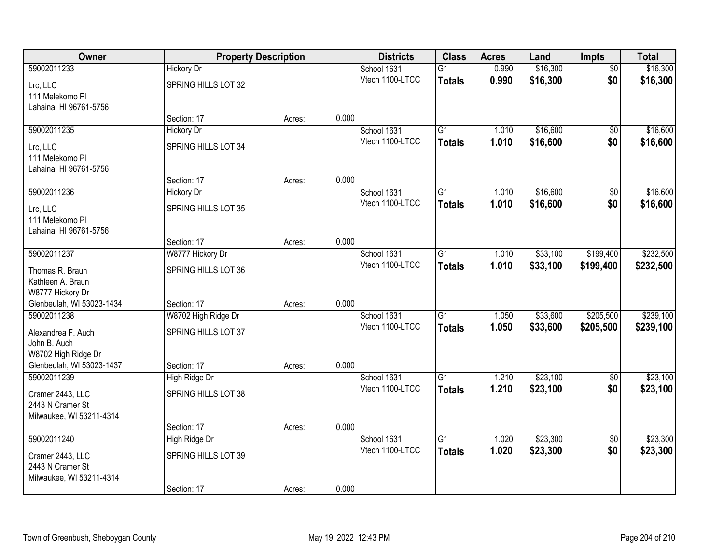| Owner                     |                     | <b>Property Description</b><br><b>Districts</b> |       |                 | <b>Class</b>    | <b>Acres</b> | Land     | <b>Impts</b>    | <b>Total</b> |
|---------------------------|---------------------|-------------------------------------------------|-------|-----------------|-----------------|--------------|----------|-----------------|--------------|
| 59002011233               | <b>Hickory Dr</b>   |                                                 |       | School 1631     | $\overline{G1}$ | 0.990        | \$16,300 | $\overline{50}$ | \$16,300     |
| Lrc, LLC                  | SPRING HILLS LOT 32 |                                                 |       | Vtech 1100-LTCC | <b>Totals</b>   | 0.990        | \$16,300 | \$0             | \$16,300     |
| 111 Melekomo Pl           |                     |                                                 |       |                 |                 |              |          |                 |              |
| Lahaina, HI 96761-5756    |                     |                                                 |       |                 |                 |              |          |                 |              |
|                           | Section: 17         | Acres:                                          | 0.000 |                 |                 |              |          |                 |              |
| 59002011235               | <b>Hickory Dr</b>   |                                                 |       | School 1631     | $\overline{G1}$ | 1.010        | \$16,600 | $\overline{50}$ | \$16,600     |
| Lrc, LLC                  | SPRING HILLS LOT 34 |                                                 |       | Vtech 1100-LTCC | <b>Totals</b>   | 1.010        | \$16,600 | \$0             | \$16,600     |
| 111 Melekomo Pl           |                     |                                                 |       |                 |                 |              |          |                 |              |
| Lahaina, HI 96761-5756    |                     |                                                 |       |                 |                 |              |          |                 |              |
|                           | Section: 17         | Acres:                                          | 0.000 |                 |                 |              |          |                 |              |
| 59002011236               | <b>Hickory Dr</b>   |                                                 |       | School 1631     | G1              | 1.010        | \$16,600 | \$0             | \$16,600     |
| Lrc, LLC                  | SPRING HILLS LOT 35 |                                                 |       | Vtech 1100-LTCC | <b>Totals</b>   | 1.010        | \$16,600 | \$0             | \$16,600     |
| 111 Melekomo Pl           |                     |                                                 |       |                 |                 |              |          |                 |              |
| Lahaina, HI 96761-5756    |                     |                                                 |       |                 |                 |              |          |                 |              |
|                           | Section: 17         | Acres:                                          | 0.000 |                 |                 |              |          |                 |              |
| 59002011237               | W8777 Hickory Dr    |                                                 |       | School 1631     | G1              | 1.010        | \$33,100 | \$199,400       | \$232,500    |
| Thomas R. Braun           | SPRING HILLS LOT 36 |                                                 |       | Vtech 1100-LTCC | <b>Totals</b>   | 1.010        | \$33,100 | \$199,400       | \$232,500    |
| Kathleen A. Braun         |                     |                                                 |       |                 |                 |              |          |                 |              |
| W8777 Hickory Dr          |                     |                                                 |       |                 |                 |              |          |                 |              |
| Glenbeulah, WI 53023-1434 | Section: 17         | Acres:                                          | 0.000 |                 |                 |              |          |                 |              |
| 59002011238               | W8702 High Ridge Dr |                                                 |       | School 1631     | $\overline{G1}$ | 1.050        | \$33,600 | \$205,500       | \$239,100    |
| Alexandrea F. Auch        | SPRING HILLS LOT 37 |                                                 |       | Vtech 1100-LTCC | Totals          | 1.050        | \$33,600 | \$205,500       | \$239,100    |
| John B. Auch              |                     |                                                 |       |                 |                 |              |          |                 |              |
| W8702 High Ridge Dr       |                     |                                                 |       |                 |                 |              |          |                 |              |
| Glenbeulah, WI 53023-1437 | Section: 17         | Acres:                                          | 0.000 |                 |                 |              |          |                 |              |
| 59002011239               | High Ridge Dr       |                                                 |       | School 1631     | $\overline{G1}$ | 1.210        | \$23,100 | $\overline{60}$ | \$23,100     |
| Cramer 2443, LLC          | SPRING HILLS LOT 38 |                                                 |       | Vtech 1100-LTCC | <b>Totals</b>   | 1.210        | \$23,100 | \$0             | \$23,100     |
| 2443 N Cramer St          |                     |                                                 |       |                 |                 |              |          |                 |              |
| Milwaukee, WI 53211-4314  |                     |                                                 |       |                 |                 |              |          |                 |              |
|                           | Section: 17         | Acres:                                          | 0.000 |                 |                 |              |          |                 |              |
| 59002011240               | High Ridge Dr       |                                                 |       | School 1631     | $\overline{G1}$ | 1.020        | \$23,300 | $\overline{50}$ | \$23,300     |
| Cramer 2443, LLC          | SPRING HILLS LOT 39 |                                                 |       | Vtech 1100-LTCC | <b>Totals</b>   | 1.020        | \$23,300 | \$0             | \$23,300     |
| 2443 N Cramer St          |                     |                                                 |       |                 |                 |              |          |                 |              |
| Milwaukee, WI 53211-4314  |                     |                                                 |       |                 |                 |              |          |                 |              |
|                           | Section: 17         | Acres:                                          | 0.000 |                 |                 |              |          |                 |              |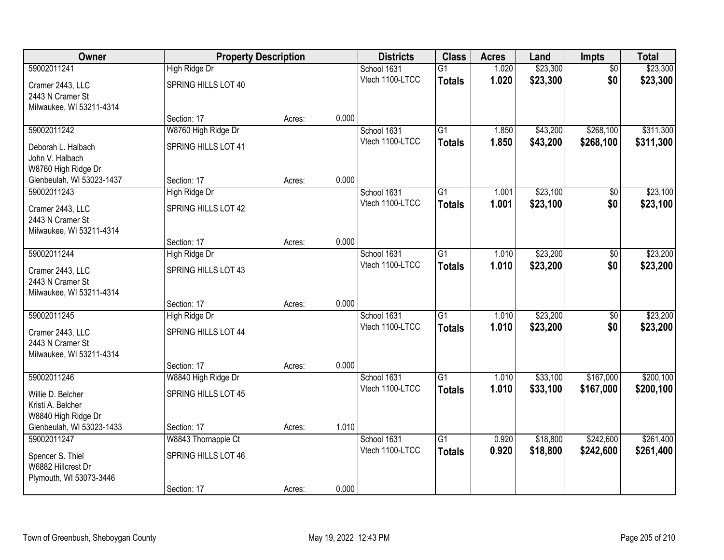| Owner                                |                              | <b>Property Description</b> |       |                                |                 | <b>Acres</b> | Land     | Impts           | <b>Total</b> |
|--------------------------------------|------------------------------|-----------------------------|-------|--------------------------------|-----------------|--------------|----------|-----------------|--------------|
| 59002011241                          | High Ridge Dr                |                             |       | School 1631                    | $\overline{G1}$ | 1.020        | \$23,300 | $\overline{50}$ | \$23,300     |
| Cramer 2443, LLC                     | SPRING HILLS LOT 40          |                             |       | Vtech 1100-LTCC                | <b>Totals</b>   | 1.020        | \$23,300 | \$0             | \$23,300     |
| 2443 N Cramer St                     |                              |                             |       |                                |                 |              |          |                 |              |
| Milwaukee, WI 53211-4314             |                              |                             |       |                                |                 |              |          |                 |              |
|                                      | Section: 17                  | Acres:                      | 0.000 |                                |                 |              |          |                 |              |
| 59002011242                          | W8760 High Ridge Dr          |                             |       | School 1631                    | $\overline{G1}$ | 1.850        | \$43,200 | \$268,100       | \$311,300    |
| Deborah L. Halbach                   | SPRING HILLS LOT 41          |                             |       | Vtech 1100-LTCC                | <b>Totals</b>   | 1.850        | \$43,200 | \$268,100       | \$311,300    |
| John V. Halbach                      |                              |                             |       |                                |                 |              |          |                 |              |
| W8760 High Ridge Dr                  |                              |                             |       |                                |                 |              |          |                 |              |
| Glenbeulah, WI 53023-1437            | Section: 17                  | Acres:                      | 0.000 |                                |                 |              |          |                 |              |
| 59002011243                          | High Ridge Dr                |                             |       | School 1631<br>Vtech 1100-LTCC | G1              | 1.001        | \$23,100 | \$0             | \$23,100     |
| Cramer 2443, LLC                     | SPRING HILLS LOT 42          |                             |       |                                | <b>Totals</b>   | 1.001        | \$23,100 | \$0             | \$23,100     |
| 2443 N Cramer St                     |                              |                             |       |                                |                 |              |          |                 |              |
| Milwaukee, WI 53211-4314             |                              |                             | 0.000 |                                |                 |              |          |                 |              |
| 59002011244                          | Section: 17<br>High Ridge Dr | Acres:                      |       | School 1631                    | $\overline{G1}$ | 1.010        | \$23,200 | \$0             | \$23,200     |
|                                      |                              |                             |       | Vtech 1100-LTCC                | <b>Totals</b>   | 1.010        | \$23,200 | \$0             | \$23,200     |
| Cramer 2443, LLC                     | SPRING HILLS LOT 43          |                             |       |                                |                 |              |          |                 |              |
| 2443 N Cramer St                     |                              |                             |       |                                |                 |              |          |                 |              |
| Milwaukee, WI 53211-4314             | Section: 17                  | Acres:                      | 0.000 |                                |                 |              |          |                 |              |
| 59002011245                          | High Ridge Dr                |                             |       | School 1631                    | $\overline{G1}$ | 1.010        | \$23,200 | $\overline{50}$ | \$23,200     |
|                                      |                              |                             |       | Vtech 1100-LTCC                | <b>Totals</b>   | 1.010        | \$23,200 | \$0             | \$23,200     |
| Cramer 2443, LLC<br>2443 N Cramer St | SPRING HILLS LOT 44          |                             |       |                                |                 |              |          |                 |              |
| Milwaukee, WI 53211-4314             |                              |                             |       |                                |                 |              |          |                 |              |
|                                      | Section: 17                  | Acres:                      | 0.000 |                                |                 |              |          |                 |              |
| 59002011246                          | W8840 High Ridge Dr          |                             |       | School 1631                    | $\overline{G1}$ | 1.010        | \$33,100 | \$167,000       | \$200,100    |
| Willie D. Belcher                    | <b>SPRING HILLS LOT 45</b>   |                             |       | Vtech 1100-LTCC                | <b>Totals</b>   | 1.010        | \$33,100 | \$167,000       | \$200,100    |
| Kristi A. Belcher                    |                              |                             |       |                                |                 |              |          |                 |              |
| W8840 High Ridge Dr                  |                              |                             |       |                                |                 |              |          |                 |              |
| Glenbeulah, WI 53023-1433            | Section: 17                  | Acres:                      | 1.010 |                                |                 |              |          |                 |              |
| 59002011247                          | W8843 Thornapple Ct          |                             |       | School 1631                    | $\overline{G1}$ | 0.920        | \$18,800 | \$242,600       | \$261,400    |
| Spencer S. Thiel                     | SPRING HILLS LOT 46          |                             |       | Vtech 1100-LTCC                | <b>Totals</b>   | 0.920        | \$18,800 | \$242,600       | \$261,400    |
| W6882 Hillcrest Dr                   |                              |                             |       |                                |                 |              |          |                 |              |
| Plymouth, WI 53073-3446              |                              |                             |       |                                |                 |              |          |                 |              |
|                                      | Section: 17                  | Acres:                      | 0.000 |                                |                 |              |          |                 |              |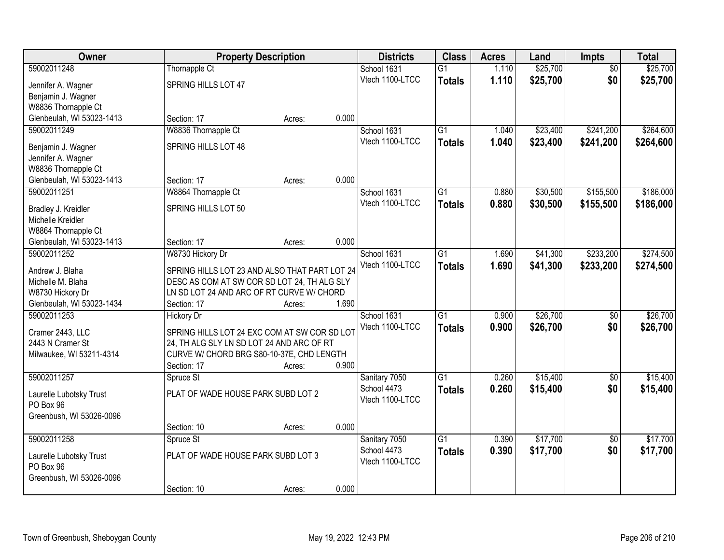| Owner                                        |                                                                                              | <b>Property Description</b> |       | <b>Districts</b> | <b>Class</b>    | <b>Acres</b> | Land     | Impts           | <b>Total</b> |
|----------------------------------------------|----------------------------------------------------------------------------------------------|-----------------------------|-------|------------------|-----------------|--------------|----------|-----------------|--------------|
| 59002011248                                  | <b>Thornapple Ct</b>                                                                         |                             |       | School 1631      | $\overline{G1}$ | 1.110        | \$25,700 | $\overline{50}$ | \$25,700     |
| Jennifer A. Wagner                           | SPRING HILLS LOT 47                                                                          |                             |       | Vtech 1100-LTCC  | <b>Totals</b>   | 1.110        | \$25,700 | \$0             | \$25,700     |
| Benjamin J. Wagner                           |                                                                                              |                             |       |                  |                 |              |          |                 |              |
| W8836 Thornapple Ct                          |                                                                                              |                             |       |                  |                 |              |          |                 |              |
| Glenbeulah, WI 53023-1413                    | Section: 17                                                                                  | Acres:                      | 0.000 |                  |                 |              |          |                 |              |
| 59002011249                                  | W8836 Thornapple Ct                                                                          |                             |       | School 1631      | $\overline{G1}$ | 1.040        | \$23,400 | \$241,200       | \$264,600    |
| Benjamin J. Wagner                           | SPRING HILLS LOT 48                                                                          |                             |       | Vtech 1100-LTCC  | <b>Totals</b>   | 1.040        | \$23,400 | \$241,200       | \$264,600    |
| Jennifer A. Wagner                           |                                                                                              |                             |       |                  |                 |              |          |                 |              |
| W8836 Thornapple Ct                          |                                                                                              |                             |       |                  |                 |              |          |                 |              |
| Glenbeulah, WI 53023-1413                    | Section: 17                                                                                  | Acres:                      | 0.000 |                  |                 |              |          |                 |              |
| 59002011251                                  | W8864 Thornapple Ct                                                                          |                             |       | School 1631      | G1              | 0.880        | \$30,500 | \$155,500       | \$186,000    |
| Bradley J. Kreidler                          | SPRING HILLS LOT 50                                                                          |                             |       | Vtech 1100-LTCC  | <b>Totals</b>   | 0.880        | \$30,500 | \$155,500       | \$186,000    |
| Michelle Kreidler                            |                                                                                              |                             |       |                  |                 |              |          |                 |              |
| W8864 Thornapple Ct                          |                                                                                              |                             |       |                  |                 |              |          |                 |              |
| Glenbeulah, WI 53023-1413                    | Section: 17                                                                                  | Acres:                      | 0.000 |                  |                 |              |          |                 |              |
| 59002011252                                  | W8730 Hickory Dr                                                                             |                             |       | School 1631      | G1              | 1.690        | \$41,300 | \$233,200       | \$274,500    |
|                                              |                                                                                              |                             |       | Vtech 1100-LTCC  | <b>Totals</b>   | 1.690        | \$41,300 | \$233,200       | \$274,500    |
| Andrew J. Blaha<br>Michelle M. Blaha         | SPRING HILLS LOT 23 AND ALSO THAT PART LOT 24<br>DESC AS COM AT SW COR SD LOT 24, TH ALG SLY |                             |       |                  |                 |              |          |                 |              |
| W8730 Hickory Dr                             | LN SD LOT 24 AND ARC OF RT CURVE W/ CHORD                                                    |                             |       |                  |                 |              |          |                 |              |
| Glenbeulah, WI 53023-1434                    | Section: 17                                                                                  | Acres:                      | 1.690 |                  |                 |              |          |                 |              |
| 59002011253                                  | <b>Hickory Dr</b>                                                                            |                             |       | School 1631      | $\overline{G1}$ | 0.900        | \$26,700 | $\overline{50}$ | \$26,700     |
|                                              |                                                                                              |                             |       | Vtech 1100-LTCC  | <b>Totals</b>   | 0.900        | \$26,700 | \$0             | \$26,700     |
| Cramer 2443, LLC                             | SPRING HILLS LOT 24 EXC COM AT SW COR SD LOT                                                 |                             |       |                  |                 |              |          |                 |              |
| 2443 N Cramer St<br>Milwaukee, WI 53211-4314 | 24, TH ALG SLY LN SD LOT 24 AND ARC OF RT<br>CURVE W/ CHORD BRG S80-10-37E, CHD LENGTH       |                             |       |                  |                 |              |          |                 |              |
|                                              | Section: 17                                                                                  | Acres:                      | 0.900 |                  |                 |              |          |                 |              |
| 59002011257                                  | Spruce St                                                                                    |                             |       | Sanitary 7050    | $\overline{G1}$ | 0.260        | \$15,400 | $\overline{50}$ | \$15,400     |
|                                              |                                                                                              |                             |       | School 4473      | <b>Totals</b>   | 0.260        | \$15,400 | \$0             | \$15,400     |
| Laurelle Lubotsky Trust                      | PLAT OF WADE HOUSE PARK SUBD LOT 2                                                           |                             |       | Vtech 1100-LTCC  |                 |              |          |                 |              |
| PO Box 96                                    |                                                                                              |                             |       |                  |                 |              |          |                 |              |
| Greenbush, WI 53026-0096                     | Section: 10                                                                                  | Acres:                      | 0.000 |                  |                 |              |          |                 |              |
| 59002011258                                  | Spruce St                                                                                    |                             |       | Sanitary 7050    | $\overline{G1}$ | 0.390        | \$17,700 | $\overline{50}$ | \$17,700     |
|                                              |                                                                                              |                             |       | School 4473      | <b>Totals</b>   | 0.390        | \$17,700 | \$0             | \$17,700     |
| Laurelle Lubotsky Trust                      | PLAT OF WADE HOUSE PARK SUBD LOT 3                                                           |                             |       | Vtech 1100-LTCC  |                 |              |          |                 |              |
| PO Box 96                                    |                                                                                              |                             |       |                  |                 |              |          |                 |              |
| Greenbush, WI 53026-0096                     |                                                                                              |                             |       |                  |                 |              |          |                 |              |
|                                              | Section: 10                                                                                  | Acres:                      | 0.000 |                  |                 |              |          |                 |              |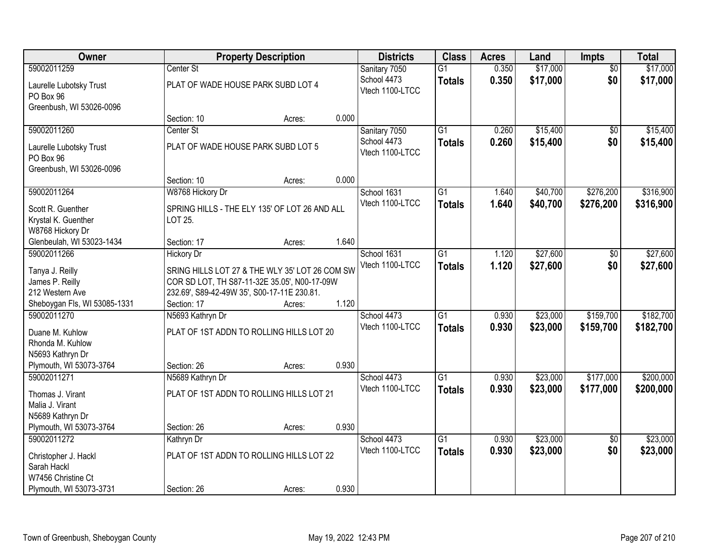| Owner                                           | <b>Property Description</b> |                                                |       | <b>Districts</b>               | <b>Class</b>    | <b>Acres</b> | Land     | <b>Impts</b>    | <b>Total</b> |
|-------------------------------------------------|-----------------------------|------------------------------------------------|-------|--------------------------------|-----------------|--------------|----------|-----------------|--------------|
| 59002011259                                     | Center St                   |                                                |       | Sanitary 7050                  | $\overline{G1}$ | 0.350        | \$17,000 | $\overline{50}$ | \$17,000     |
| Laurelle Lubotsky Trust                         |                             | PLAT OF WADE HOUSE PARK SUBD LOT 4             |       | School 4473<br>Vtech 1100-LTCC | <b>Totals</b>   | 0.350        | \$17,000 | \$0             | \$17,000     |
| PO Box 96<br>Greenbush, WI 53026-0096           |                             |                                                |       |                                |                 |              |          |                 |              |
|                                                 | Section: 10                 | Acres:                                         | 0.000 |                                |                 |              |          |                 |              |
| 59002011260                                     | Center St                   |                                                |       | Sanitary 7050                  | $\overline{G1}$ | 0.260        | \$15,400 | $\overline{50}$ | \$15,400     |
|                                                 |                             |                                                |       | School 4473                    | <b>Totals</b>   | 0.260        | \$15,400 | \$0             | \$15,400     |
| Laurelle Lubotsky Trust                         |                             | PLAT OF WADE HOUSE PARK SUBD LOT 5             |       | Vtech 1100-LTCC                |                 |              |          |                 |              |
| PO Box 96                                       |                             |                                                |       |                                |                 |              |          |                 |              |
| Greenbush, WI 53026-0096                        |                             |                                                |       |                                |                 |              |          |                 |              |
|                                                 | Section: 10                 | Acres:                                         | 0.000 |                                |                 |              |          |                 |              |
| 59002011264                                     | W8768 Hickory Dr            |                                                |       | School 1631                    | G1              | 1.640        | \$40,700 | \$276,200       | \$316,900    |
| Scott R. Guenther                               |                             | SPRING HILLS - THE ELY 135' OF LOT 26 AND ALL  |       | Vtech 1100-LTCC                | <b>Totals</b>   | 1.640        | \$40,700 | \$276,200       | \$316,900    |
| Krystal K. Guenther                             | LOT 25.                     |                                                |       |                                |                 |              |          |                 |              |
| W8768 Hickory Dr                                |                             |                                                |       |                                |                 |              |          |                 |              |
| Glenbeulah, WI 53023-1434                       | Section: 17                 | Acres:                                         | 1.640 |                                |                 |              |          |                 |              |
| 59002011266                                     | <b>Hickory Dr</b>           |                                                |       | School 1631                    | G1              | 1.120        | \$27,600 | \$0             | \$27,600     |
|                                                 |                             |                                                |       | Vtech 1100-LTCC                | <b>Totals</b>   | 1.120        | \$27,600 | \$0             | \$27,600     |
| Tanya J. Reilly                                 |                             | SRING HILLS LOT 27 & THE WLY 35' LOT 26 COM SW |       |                                |                 |              |          |                 |              |
| James P. Reilly                                 |                             | COR SD LOT, TH S87-11-32E 35.05', N00-17-09W   |       |                                |                 |              |          |                 |              |
| 212 Western Ave<br>Sheboygan Fls, WI 53085-1331 | Section: 17                 | 232.69', S89-42-49W 35', S00-17-11E 230.81.    | 1.120 |                                |                 |              |          |                 |              |
| 59002011270                                     | N5693 Kathryn Dr            | Acres:                                         |       |                                | $\overline{G1}$ | 0.930        | \$23,000 | \$159,700       | \$182,700    |
|                                                 |                             |                                                |       | School 4473<br>Vtech 1100-LTCC |                 |              |          |                 |              |
| Duane M. Kuhlow                                 |                             | PLAT OF 1ST ADDN TO ROLLING HILLS LOT 20       |       |                                | <b>Totals</b>   | 0.930        | \$23,000 | \$159,700       | \$182,700    |
| Rhonda M. Kuhlow                                |                             |                                                |       |                                |                 |              |          |                 |              |
| N5693 Kathryn Dr                                |                             |                                                |       |                                |                 |              |          |                 |              |
| Plymouth, WI 53073-3764                         | Section: 26                 | Acres:                                         | 0.930 |                                |                 |              |          |                 |              |
| 59002011271                                     | N5689 Kathryn Dr            |                                                |       | School 4473                    | $\overline{G1}$ | 0.930        | \$23,000 | \$177,000       | \$200,000    |
| Thomas J. Virant                                |                             | PLAT OF 1ST ADDN TO ROLLING HILLS LOT 21       |       | Vtech 1100-LTCC                | <b>Totals</b>   | 0.930        | \$23,000 | \$177,000       | \$200,000    |
| Malia J. Virant                                 |                             |                                                |       |                                |                 |              |          |                 |              |
| N5689 Kathryn Dr                                |                             |                                                |       |                                |                 |              |          |                 |              |
| Plymouth, WI 53073-3764                         | Section: 26                 | Acres:                                         | 0.930 |                                |                 |              |          |                 |              |
| 59002011272                                     | Kathryn Dr                  |                                                |       | School 4473                    | $\overline{G1}$ | 0.930        | \$23,000 | $\overline{50}$ | \$23,000     |
|                                                 |                             |                                                |       | Vtech 1100-LTCC                | <b>Totals</b>   | 0.930        | \$23,000 | \$0             | \$23,000     |
| Christopher J. Hackl                            |                             | PLAT OF 1ST ADDN TO ROLLING HILLS LOT 22       |       |                                |                 |              |          |                 |              |
| Sarah Hackl                                     |                             |                                                |       |                                |                 |              |          |                 |              |
| W7456 Christine Ct                              |                             |                                                |       |                                |                 |              |          |                 |              |
| Plymouth, WI 53073-3731                         | Section: 26                 | Acres:                                         | 0.930 |                                |                 |              |          |                 |              |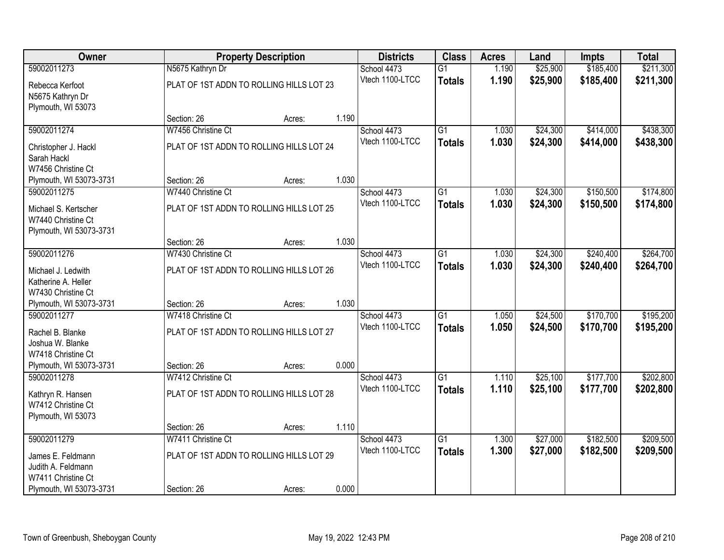| Owner                                                                 |                                          | <b>Property Description</b> |       | <b>Districts</b>               | <b>Class</b>                     | <b>Acres</b>   | Land                 | <b>Impts</b>           | <b>Total</b>           |
|-----------------------------------------------------------------------|------------------------------------------|-----------------------------|-------|--------------------------------|----------------------------------|----------------|----------------------|------------------------|------------------------|
| 59002011273                                                           | N5675 Kathryn Dr                         |                             |       | School 4473                    | $\overline{G1}$                  | 1.190          | \$25,900             | \$185,400              | \$211,300              |
| Rebecca Kerfoot<br>N5675 Kathryn Dr<br>Plymouth, WI 53073             | PLAT OF 1ST ADDN TO ROLLING HILLS LOT 23 |                             |       | Vtech 1100-LTCC                | <b>Totals</b>                    | 1.190          | \$25,900             | \$185,400              | \$211,300              |
|                                                                       | Section: 26                              | Acres:                      | 1.190 |                                |                                  |                |                      |                        |                        |
| 59002011274                                                           | W7456 Christine Ct                       |                             |       | School 4473                    | $\overline{G1}$                  | 1.030          | \$24,300             | \$414,000              | \$438,300              |
| Christopher J. Hackl<br>Sarah Hackl<br>W7456 Christine Ct             | PLAT OF 1ST ADDN TO ROLLING HILLS LOT 24 |                             |       | Vtech 1100-LTCC                | <b>Totals</b>                    | 1.030          | \$24,300             | \$414,000              | \$438,300              |
| Plymouth, WI 53073-3731                                               | Section: 26                              | Acres:                      | 1.030 |                                |                                  |                |                      |                        |                        |
| 59002011275                                                           | W7440 Christine Ct                       |                             |       | School 4473                    | $\overline{G1}$                  | 1.030          | \$24,300             | \$150,500              | \$174,800              |
| Michael S. Kertscher<br>W7440 Christine Ct<br>Plymouth, WI 53073-3731 | PLAT OF 1ST ADDN TO ROLLING HILLS LOT 25 |                             |       | Vtech 1100-LTCC                | <b>Totals</b>                    | 1.030          | \$24,300             | \$150,500              | \$174,800              |
|                                                                       | Section: 26                              | Acres:                      | 1.030 |                                |                                  |                |                      |                        |                        |
| 59002011276                                                           | W7430 Christine Ct                       |                             |       | School 4473                    | $\overline{G1}$                  | 1.030          | \$24,300             | \$240,400              | \$264,700              |
| Michael J. Ledwith<br>Katherine A. Heller<br>W7430 Christine Ct       | PLAT OF 1ST ADDN TO ROLLING HILLS LOT 26 |                             |       | Vtech 1100-LTCC                | <b>Totals</b>                    | 1.030          | \$24,300             | \$240,400              | \$264,700              |
| Plymouth, WI 53073-3731                                               | Section: 26                              | Acres:                      | 1.030 |                                |                                  |                |                      |                        |                        |
| 59002011277                                                           | W7418 Christine Ct                       |                             |       | School 4473<br>Vtech 1100-LTCC | $\overline{G1}$<br><b>Totals</b> | 1.050<br>1.050 | \$24,500<br>\$24,500 | \$170,700<br>\$170,700 | \$195,200<br>\$195,200 |
| Rachel B. Blanke<br>Joshua W. Blanke<br>W7418 Christine Ct            | PLAT OF 1ST ADDN TO ROLLING HILLS LOT 27 |                             | 0.000 |                                |                                  |                |                      |                        |                        |
| Plymouth, WI 53073-3731<br>59002011278                                | Section: 26<br>W7412 Christine Ct        | Acres:                      |       | School 4473                    | $\overline{G1}$                  | 1.110          | \$25,100             | \$177,700              | \$202,800              |
| Kathryn R. Hansen<br>W7412 Christine Ct<br>Plymouth, WI 53073         | PLAT OF 1ST ADDN TO ROLLING HILLS LOT 28 |                             |       | Vtech 1100-LTCC                | <b>Totals</b>                    | 1.110          | \$25,100             | \$177,700              | \$202,800              |
|                                                                       | Section: 26                              | Acres:                      | 1.110 |                                |                                  |                |                      |                        |                        |
| 59002011279                                                           | W7411 Christine Ct                       |                             |       | School 4473                    | $\overline{G1}$                  | 1.300          | \$27,000             | \$182,500              | \$209,500              |
| James E. Feldmann<br>Judith A. Feldmann                               | PLAT OF 1ST ADDN TO ROLLING HILLS LOT 29 |                             |       | Vtech 1100-LTCC                | <b>Totals</b>                    | 1.300          | \$27,000             | \$182,500              | \$209,500              |
| W7411 Christine Ct<br>Plymouth, WI 53073-3731                         | Section: 26                              | Acres:                      | 0.000 |                                |                                  |                |                      |                        |                        |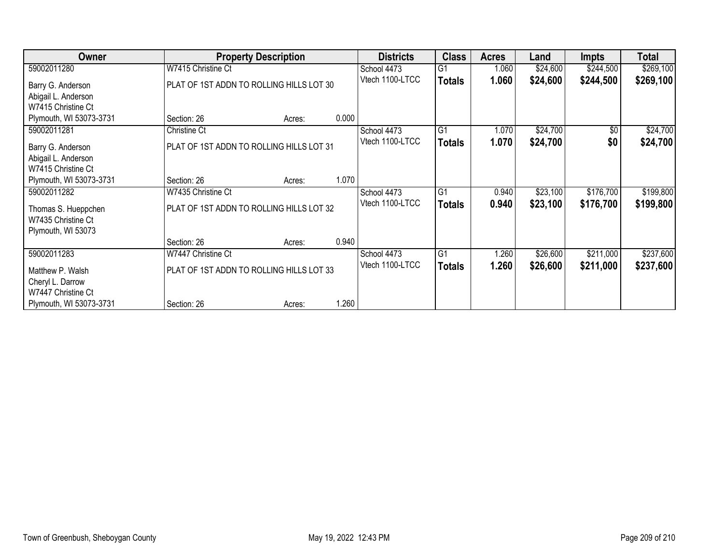| Owner                   |                     | <b>Property Description</b>                                 |       | <b>Districts</b> | <b>Class</b>    | Acres | Land     | Impts      | <b>Total</b> |
|-------------------------|---------------------|-------------------------------------------------------------|-------|------------------|-----------------|-------|----------|------------|--------------|
| 59002011280             | W7415 Christine Ct  |                                                             |       | School 4473      | $\overline{G1}$ | 1.060 | \$24,600 | \$244,500  | \$269,100    |
| Barry G. Anderson       |                     | Vtech 1100-LTCC<br>PLAT OF 1ST ADDN TO ROLLING HILLS LOT 30 |       |                  | <b>Totals</b>   | 1.060 | \$24,600 | \$244,500  | \$269,100    |
| Abigail L. Anderson     |                     |                                                             |       |                  |                 |       |          |            |              |
| W7415 Christine Ct      |                     |                                                             |       |                  |                 |       |          |            |              |
| Plymouth, WI 53073-3731 | Section: 26         | Acres:                                                      | 0.000 |                  |                 |       |          |            |              |
| 59002011281             | <b>Christine Ct</b> |                                                             |       | School 4473      | $\overline{G1}$ | 1.070 | \$24,700 | $\sqrt{6}$ | \$24,700     |
| Barry G. Anderson       |                     | PLAT OF 1ST ADDN TO ROLLING HILLS LOT 31                    |       | Vtech 1100-LTCC  | <b>Totals</b>   | 1.070 | \$24,700 | \$0        | \$24,700     |
| Abigail L. Anderson     |                     |                                                             |       |                  |                 |       |          |            |              |
| W7415 Christine Ct      |                     |                                                             |       |                  |                 |       |          |            |              |
| Plymouth, WI 53073-3731 | Section: 26         | Acres:                                                      | 1.070 |                  |                 |       |          |            |              |
| 59002011282             | W7435 Christine Ct  |                                                             |       | School 4473      | G1              | 0.940 | \$23,100 | \$176,700  | \$199,800    |
| Thomas S. Hueppchen     |                     | PLAT OF 1ST ADDN TO ROLLING HILLS LOT 32                    |       | Vtech 1100-LTCC  | <b>Totals</b>   | 0.940 | \$23,100 | \$176,700  | \$199,800    |
| W7435 Christine Ct      |                     |                                                             |       |                  |                 |       |          |            |              |
| Plymouth, WI 53073      |                     |                                                             |       |                  |                 |       |          |            |              |
|                         | Section: 26         | Acres:                                                      | 0.940 |                  |                 |       |          |            |              |
| 59002011283             | W7447 Christine Ct  |                                                             |       | School 4473      | G1              | 1.260 | \$26,600 | \$211,000  | \$237,600    |
| Matthew P. Walsh        |                     | PLAT OF 1ST ADDN TO ROLLING HILLS LOT 33                    |       |                  | <b>Totals</b>   | 1.260 | \$26,600 | \$211,000  | \$237,600    |
| Cheryl L. Darrow        |                     |                                                             |       |                  |                 |       |          |            |              |
| W7447 Christine Ct      |                     |                                                             |       |                  |                 |       |          |            |              |
| Plymouth, WI 53073-3731 | Section: 26         | Acres:                                                      | 1.260 |                  |                 |       |          |            |              |